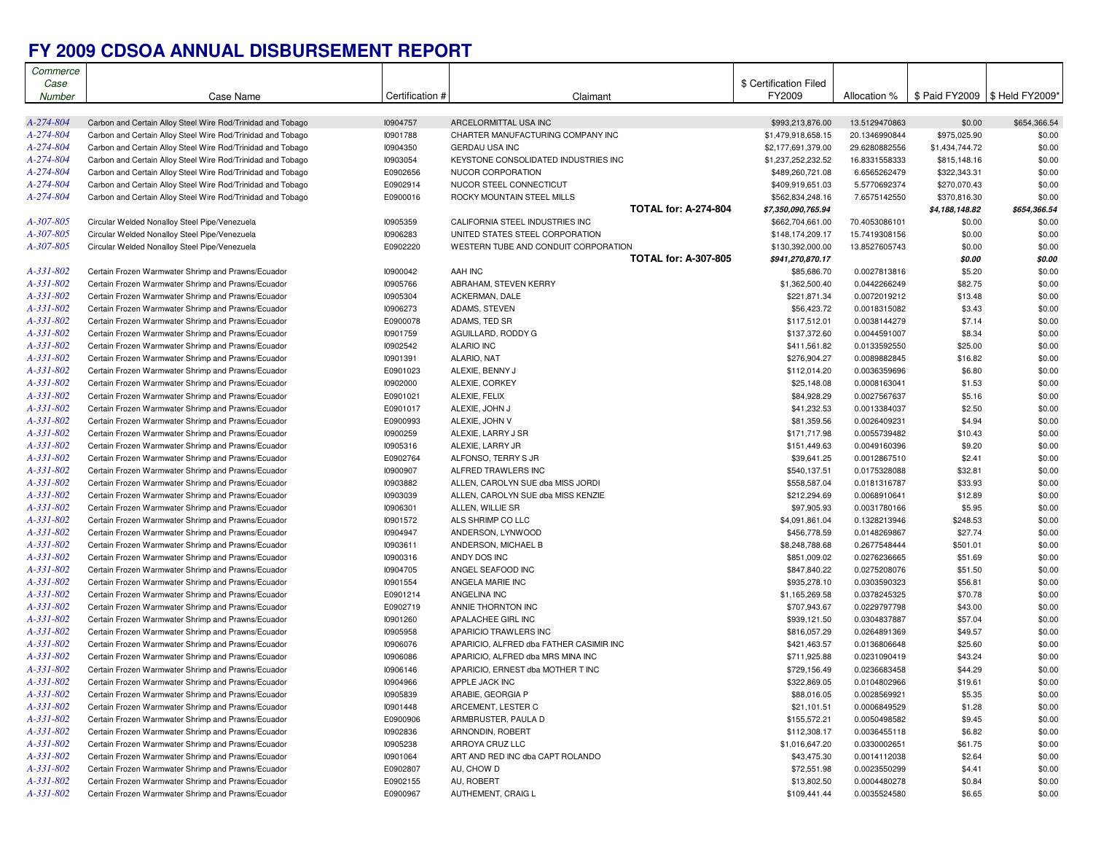## **FY 2009 CDSOA ANNUAL DISBURSEMENT REPORT**

| Commerce        |                                                             |                 |                                         |                        |               |                                  |              |
|-----------------|-------------------------------------------------------------|-----------------|-----------------------------------------|------------------------|---------------|----------------------------------|--------------|
| Case            |                                                             |                 |                                         | \$ Certification Filed |               |                                  |              |
| Number          | Case Name                                                   | Certification # | Claimant                                | FY2009                 | Allocation %  | \$ Paid FY2009   \$ Held FY2009* |              |
|                 |                                                             |                 |                                         |                        |               |                                  |              |
| A-274-804       | Carbon and Certain Alloy Steel Wire Rod/Trinidad and Tobago | I0904757        | ARCELORMITTAL USA INC                   | \$993,213,876.00       | 13.5129470863 | \$0.00                           | \$654,366.54 |
| A-274-804       | Carbon and Certain Alloy Steel Wire Rod/Trinidad and Tobago | 10901788        | CHARTER MANUFACTURING COMPANY INC       | \$1,479,918,658.15     | 20.1346990844 | \$975,025.90                     | \$0.00       |
| A-274-804       | Carbon and Certain Alloy Steel Wire Rod/Trinidad and Tobago | 10904350        | <b>GERDAU USA INC</b>                   | \$2,177,691,379.00     | 29.6280882556 | \$1,434,744.72                   | \$0.00       |
| A-274-804       | Carbon and Certain Alloy Steel Wire Rod/Trinidad and Tobago | 10903054        | KEYSTONE CONSOLIDATED INDUSTRIES INC    | \$1,237,252,232.52     | 16.8331558333 | \$815,148.16                     | \$0.00       |
| A-274-804       | Carbon and Certain Alloy Steel Wire Rod/Trinidad and Tobago | E0902656        | NUCOR CORPORATION                       | \$489,260,721.08       | 6.6565262479  | \$322,343.31                     | \$0.00       |
| A-274-804       | Carbon and Certain Alloy Steel Wire Rod/Trinidad and Tobago | E0902914        | NUCOR STEEL CONNECTICUT                 | \$409,919,651.03       | 5.5770692374  | \$270,070.43                     | \$0.00       |
| A-274-804       | Carbon and Certain Alloy Steel Wire Rod/Trinidad and Tobago | E0900016        | ROCKY MOUNTAIN STEEL MILLS              | \$562,834,248.16       | 7.6575142550  | \$370,816.30                     | \$0.00       |
|                 |                                                             |                 | <b>TOTAL for: A-274-804</b>             | \$7,350,090,765.94     |               | \$4,188,148.82                   | \$654,366.54 |
| A-307-805       | Circular Welded Nonalloy Steel Pipe/Venezuela               | <b>I0905359</b> | CALIFORNIA STEEL INDUSTRIES INC         | \$662,704,661.00       | 70.4053086101 | \$0.00                           | \$0.00       |
| A-307-805       | Circular Welded Nonalloy Steel Pipe/Venezuela               | 10906283        | UNITED STATES STEEL CORPORATION         | \$148,174,209.17       | 15.7419308156 | \$0.00                           | \$0.00       |
| A-307-805       | Circular Welded Nonalloy Steel Pipe/Venezuela               | E0902220        | WESTERN TUBE AND CONDUIT CORPORATION    | \$130,392,000.00       | 13.8527605743 | \$0.00                           | \$0.00       |
|                 |                                                             |                 | <b>TOTAL for: A-307-805</b>             | \$941,270,870.17       |               | \$0.00                           | \$0.00       |
| A-331-802       | Certain Frozen Warmwater Shrimp and Prawns/Ecuador          | 10900042        | AAH INC                                 | \$85,686.70            | 0.0027813816  | \$5.20                           | \$0.00       |
| A-331-802       | Certain Frozen Warmwater Shrimp and Prawns/Ecuador          | 10905766        | ABRAHAM, STEVEN KERRY                   | \$1,362,500.40         | 0.0442266249  | \$82.75                          | \$0.00       |
| A-331-802       | Certain Frozen Warmwater Shrimp and Prawns/Ecuador          | 10905304        | ACKERMAN, DALE                          | \$221,871.34           | 0.0072019212  | \$13.48                          | \$0.00       |
| A-331-802       | Certain Frozen Warmwater Shrimp and Prawns/Ecuador          | 10906273        | ADAMS, STEVEN                           | \$56,423.72            | 0.0018315082  | \$3.43                           | \$0.00       |
| A-331-802       | Certain Frozen Warmwater Shrimp and Prawns/Ecuador          | E0900078        | ADAMS, TED SR                           | \$117,512.01           | 0.0038144279  | \$7.14                           | \$0.00       |
| A-331-802       | Certain Frozen Warmwater Shrimp and Prawns/Ecuador          | 10901759        | AGUILLARD, RODDY G                      | \$137,372.60           | 0.0044591007  | \$8.34                           | \$0.00       |
| A-331-802       | Certain Frozen Warmwater Shrimp and Prawns/Ecuador          | 10902542        | <b>ALARIO INC</b>                       | \$411,561.82           | 0.0133592550  | \$25.00                          | \$0.00       |
| A-331-802       | Certain Frozen Warmwater Shrimp and Prawns/Ecuador          | 10901391        | ALARIO, NAT                             | \$276,904.27           | 0.0089882845  | \$16.82                          | \$0.00       |
| A-331-802       | Certain Frozen Warmwater Shrimp and Prawns/Ecuador          | E0901023        | ALEXIE, BENNY J                         | \$112,014.20           | 0.0036359696  | \$6.80                           | \$0.00       |
| A-331-802       | Certain Frozen Warmwater Shrimp and Prawns/Ecuador          | 10902000        | ALEXIE, CORKEY                          | \$25,148.08            | 0.0008163041  | \$1.53                           | \$0.00       |
| A-331-802       |                                                             |                 |                                         |                        |               |                                  | \$0.00       |
| A-331-802       | Certain Frozen Warmwater Shrimp and Prawns/Ecuador          | E0901021        | ALEXIE, FELIX                           | \$84,928.29            | 0.0027567637  | \$5.16                           |              |
|                 | Certain Frozen Warmwater Shrimp and Prawns/Ecuador          | E0901017        | ALEXIE, JOHN J<br>ALEXIE. JOHN V        | \$41,232.53            | 0.0013384037  | \$2.50                           | \$0.00       |
| A-331-802       | Certain Frozen Warmwater Shrimp and Prawns/Ecuador          | E0900993        |                                         | \$81,359.56            | 0.0026409231  | \$4.94                           | \$0.00       |
| A-331-802       | Certain Frozen Warmwater Shrimp and Prawns/Ecuador          | <b>I0900259</b> | ALEXIE, LARRY J SR                      | \$171,717.98           | 0.0055739482  | \$10.43                          | \$0.00       |
| A-331-802       | Certain Frozen Warmwater Shrimp and Prawns/Ecuador          | 10905316        | ALEXIE, LARRY JR                        | \$151,449.63           | 0.0049160396  | \$9.20                           | \$0.00       |
| A-331-802       | Certain Frozen Warmwater Shrimp and Prawns/Ecuador          | E0902764        | ALFONSO, TERRY S JR                     | \$39,641.25            | 0.0012867510  | \$2.41                           | \$0.00       |
| A-331-802       | Certain Frozen Warmwater Shrimp and Prawns/Ecuador          | 10900907        | ALFRED TRAWLERS INC                     | \$540,137.51           | 0.0175328088  | \$32.81                          | \$0.00       |
| A-331-802       | Certain Frozen Warmwater Shrimp and Prawns/Ecuador          | 10903882        | ALLEN, CAROLYN SUE dba MISS JORDI       | \$558,587.04           | 0.0181316787  | \$33.93                          | \$0.00       |
| A-331-802       | Certain Frozen Warmwater Shrimp and Prawns/Ecuador          | 10903039        | ALLEN, CAROLYN SUE dba MISS KENZIE      | \$212,294.69           | 0.0068910641  | \$12.89                          | \$0.00       |
| A-331-802       | Certain Frozen Warmwater Shrimp and Prawns/Ecuador          | 10906301        | ALLEN, WILLIE SR                        | \$97,905.93            | 0.0031780166  | \$5.95                           | \$0.00       |
| A-331-802       | Certain Frozen Warmwater Shrimp and Prawns/Ecuador          | 10901572        | ALS SHRIMP CO LLC                       | \$4,091,861.04         | 0.1328213946  | \$248.53                         | \$0.00       |
| A-331-802       | Certain Frozen Warmwater Shrimp and Prawns/Ecuador          | 10904947        | ANDERSON, LYNWOOD                       | \$456,778.59           | 0.0148269867  | \$27.74                          | \$0.00       |
| A-331-802       | Certain Frozen Warmwater Shrimp and Prawns/Ecuador          | 10903611        | ANDERSON, MICHAEL B                     | \$8,248,788.68         | 0.2677548444  | \$501.01                         | \$0.00       |
| A-331-802       | Certain Frozen Warmwater Shrimp and Prawns/Ecuador          | 10900316        | ANDY DOS INC                            | \$851,009.02           | 0.0276236665  | \$51.69                          | \$0.00       |
| A-331-802       | Certain Frozen Warmwater Shrimp and Prawns/Ecuador          | 10904705        | ANGEL SEAFOOD INC                       | \$847,840.22           | 0.0275208076  | \$51.50                          | \$0.00       |
| A-331-802       | Certain Frozen Warmwater Shrimp and Prawns/Ecuador          | 10901554        | ANGELA MARIE INC                        | \$935,278.10           | 0.0303590323  | \$56.81                          | \$0.00       |
| A-331-802       | Certain Frozen Warmwater Shrimp and Prawns/Ecuador          | E0901214        | ANGELINA INC                            | \$1,165,269.58         | 0.0378245325  | \$70.78                          | \$0.00       |
| A-331-802       | Certain Frozen Warmwater Shrimp and Prawns/Ecuador          | E0902719        | ANNIE THORNTON INC                      | \$707,943.67           | 0.0229797798  | \$43.00                          | \$0.00       |
| A-331-802       | Certain Frozen Warmwater Shrimp and Prawns/Ecuador          | 10901260        | APALACHEE GIRL INC                      | \$939,121.50           | 0.0304837887  | \$57.04                          | \$0.00       |
| A-331-802       | Certain Frozen Warmwater Shrimp and Prawns/Ecuador          | 10905958        | APARICIO TRAWLERS INC                   | \$816,057.29           | 0.0264891369  | \$49.57                          | \$0.00       |
| A-331-802       | Certain Frozen Warmwater Shrimp and Prawns/Ecuador          | 10906076        | APARICIO, ALFRED dba FATHER CASIMIR INC | \$421,463.57           | 0.0136806648  | \$25.60                          | \$0.00       |
| A-331-802       | Certain Frozen Warmwater Shrimp and Prawns/Ecuador          | 10906086        | APARICIO, ALFRED dba MRS MINA INC       | \$711,925.88           | 0.0231090419  | \$43.24                          | \$0.00       |
| A-331-802       | Certain Frozen Warmwater Shrimp and Prawns/Ecuador          | 10906146        | APARICIO. ERNEST dba MOTHER T INC       | \$729,156.49           | 0.0236683458  | \$44.29                          | \$0.00       |
| $A - 331 - 802$ | Certain Frozen Warmwater Shrimp and Prawns/Ecuador          | 10904966        | APPLE JACK INC                          | \$322,869.05           | 0.0104802966  | \$19.61                          | \$0.00       |
| A-331-802       | Certain Frozen Warmwater Shrimp and Prawns/Ecuador          | 10905839        | ARABIE, GEORGIA P                       | \$88,016.05            | 0.0028569921  | \$5.35                           | \$0.00       |
| A-331-802       | Certain Frozen Warmwater Shrimp and Prawns/Ecuador          | 10901448        | ARCEMENT, LESTER C                      | \$21,101.51            | 0.0006849529  | \$1.28                           | \$0.00       |
| A-331-802       | Certain Frozen Warmwater Shrimp and Prawns/Ecuador          | E0900906        | ARMBRUSTER, PAULA D                     | \$155,572.21           | 0.0050498582  | \$9.45                           | \$0.00       |
| A-331-802       | Certain Frozen Warmwater Shrimp and Prawns/Ecuador          | 10902836        | ARNONDIN, ROBERT                        | \$112,308.17           | 0.0036455118  | \$6.82                           | \$0.00       |
| A-331-802       | Certain Frozen Warmwater Shrimp and Prawns/Ecuador          | 10905238        | ARROYA CRUZ LLC                         | \$1,016,647.20         | 0.0330002651  | \$61.75                          | \$0.00       |
| A-331-802       | Certain Frozen Warmwater Shrimp and Prawns/Ecuador          | 10901064        | ART AND RED INC dba CAPT ROLANDO        | \$43,475.30            | 0.0014112038  | \$2.64                           | \$0.00       |
| A-331-802       | Certain Frozen Warmwater Shrimp and Prawns/Ecuador          | E0902807        | AU, CHOW D                              | \$72,551.98            | 0.0023550299  | \$4.41                           | \$0.00       |
| A-331-802       | Certain Frozen Warmwater Shrimp and Prawns/Ecuador          | E0902155        | AU, ROBERT                              | \$13,802.50            | 0.0004480278  | \$0.84                           | \$0.00       |
| A-331-802       | Certain Frozen Warmwater Shrimp and Prawns/Ecuador          | E0900967        | AUTHEMENT, CRAIG L                      | \$109,441.44           | 0.0035524580  | \$6.65                           | \$0.00       |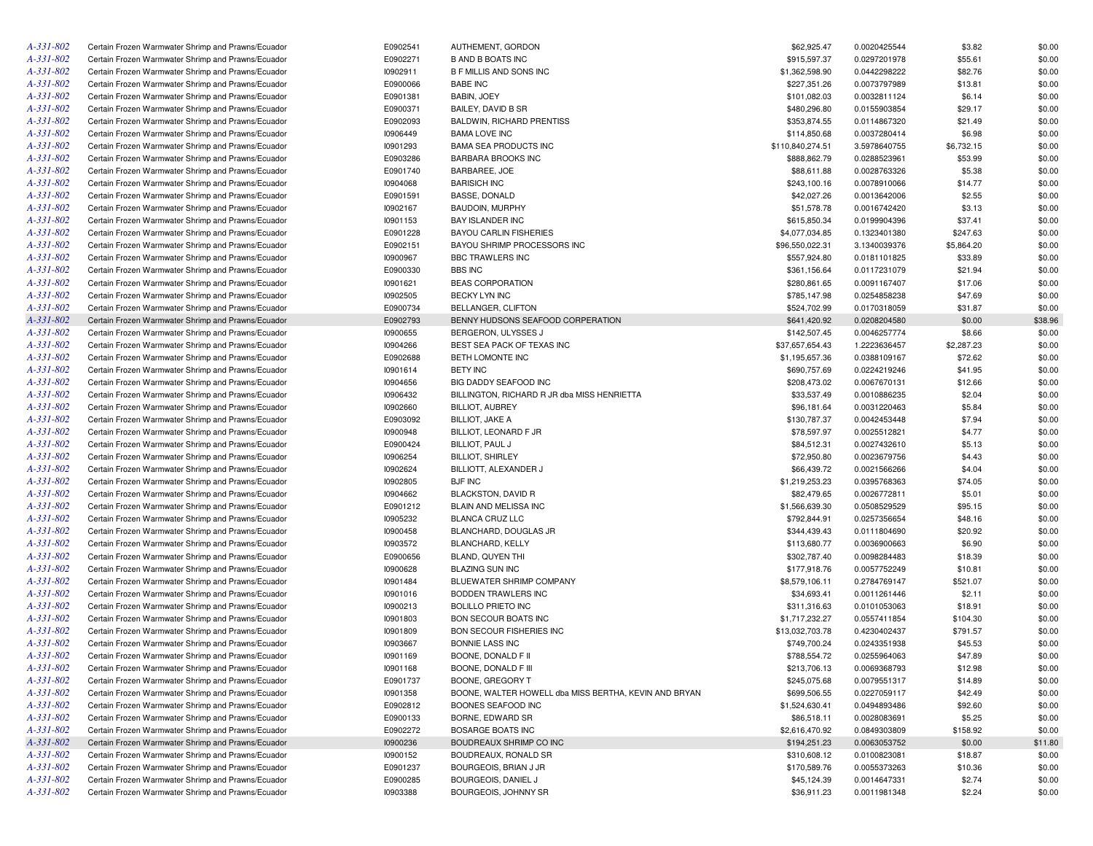| A-331-802 | Certain Frozen Warmwater Shrimp and Prawns/Ecuador | E0902541 | AUTHEMENT, GORDON                                     | \$62,925.47      | 0.0020425544 | \$3.82     | \$0.00  |
|-----------|----------------------------------------------------|----------|-------------------------------------------------------|------------------|--------------|------------|---------|
| A-331-802 | Certain Frozen Warmwater Shrimp and Prawns/Ecuador | E0902271 | <b>B AND B BOATS INC</b>                              | \$915,597.37     | 0.0297201978 | \$55.61    | \$0.00  |
| A-331-802 | Certain Frozen Warmwater Shrimp and Prawns/Ecuador | 10902911 | <b>B F MILLIS AND SONS INC</b>                        | \$1,362,598.90   | 0.0442298222 | \$82.76    | \$0.00  |
| A-331-802 | Certain Frozen Warmwater Shrimp and Prawns/Ecuador | E0900066 | <b>BABE INC</b>                                       | \$227,351.26     | 0.0073797989 | \$13.81    | \$0.00  |
| A-331-802 | Certain Frozen Warmwater Shrimp and Prawns/Ecuador | E0901381 | BABIN, JOEY                                           | \$101,082.03     | 0.0032811124 | \$6.14     | \$0.00  |
| A-331-802 | Certain Frozen Warmwater Shrimp and Prawns/Ecuador | E0900371 | BAILEY, DAVID B SR                                    | \$480,296.80     | 0.0155903854 | \$29.17    | \$0.00  |
| A-331-802 | Certain Frozen Warmwater Shrimp and Prawns/Ecuador | E0902093 | BALDWIN, RICHARD PRENTISS                             | \$353,874.55     | 0.0114867320 | \$21.49    | \$0.00  |
| A-331-802 | Certain Frozen Warmwater Shrimp and Prawns/Ecuador | 10906449 | <b>BAMA LOVE INC</b>                                  | \$114,850.68     | 0.0037280414 | \$6.98     | \$0.00  |
| A-331-802 | Certain Frozen Warmwater Shrimp and Prawns/Ecuador | 10901293 | <b>BAMA SEA PRODUCTS INC</b>                          | \$110,840,274.51 | 3.5978640755 | \$6,732.15 | \$0.00  |
| A-331-802 | Certain Frozen Warmwater Shrimp and Prawns/Ecuador | E0903286 | BARBARA BROOKS INC                                    | \$888,862.79     | 0.0288523961 | \$53.99    | \$0.00  |
| A-331-802 | Certain Frozen Warmwater Shrimp and Prawns/Ecuador | E0901740 | BARBAREE, JOE                                         | \$88,611.88      | 0.0028763326 | \$5.38     | \$0.00  |
| A-331-802 | Certain Frozen Warmwater Shrimp and Prawns/Ecuador | 10904068 | <b>BARISICH INC</b>                                   | \$243,100.16     | 0.0078910066 | \$14.77    | \$0.00  |
| A-331-802 | Certain Frozen Warmwater Shrimp and Prawns/Ecuador | E0901591 | <b>BASSE, DONALD</b>                                  | \$42,027.26      | 0.0013642006 | \$2.55     | \$0.00  |
| A-331-802 | Certain Frozen Warmwater Shrimp and Prawns/Ecuador | 10902167 | <b>BAUDOIN, MURPHY</b>                                | \$51,578.78      | 0.0016742420 | \$3.13     | \$0.00  |
| A-331-802 | Certain Frozen Warmwater Shrimp and Prawns/Ecuador | 10901153 | BAY ISLANDER INC                                      | \$615,850.34     | 0.0199904396 | \$37.41    | \$0.00  |
|           |                                                    |          |                                                       |                  |              |            |         |
| A-331-802 | Certain Frozen Warmwater Shrimp and Prawns/Ecuador | E0901228 | <b>BAYOU CARLIN FISHERIES</b>                         | \$4,077,034.85   | 0.1323401380 | \$247.63   | \$0.00  |
| A-331-802 | Certain Frozen Warmwater Shrimp and Prawns/Ecuador | E0902151 | BAYOU SHRIMP PROCESSORS INC                           | \$96,550,022.31  | 3.1340039376 | \$5,864.20 | \$0.00  |
| A-331-802 | Certain Frozen Warmwater Shrimp and Prawns/Ecuador | 10900967 | <b>BBC TRAWLERS INC</b>                               | \$557,924.80     | 0.0181101825 | \$33.89    | \$0.00  |
| A-331-802 | Certain Frozen Warmwater Shrimp and Prawns/Ecuador | E0900330 | <b>BBS INC</b>                                        | \$361,156.64     | 0.0117231079 | \$21.94    | \$0.00  |
| A-331-802 | Certain Frozen Warmwater Shrimp and Prawns/Ecuador | 10901621 | <b>BEAS CORPORATION</b>                               | \$280,861.65     | 0.0091167407 | \$17.06    | \$0.00  |
| A-331-802 | Certain Frozen Warmwater Shrimp and Prawns/Ecuador | 10902505 | BECKY LYN INC                                         | \$785,147.98     | 0.0254858238 | \$47.69    | \$0.00  |
| A-331-802 | Certain Frozen Warmwater Shrimp and Prawns/Ecuador | E0900734 | BELLANGER, CLIFTON                                    | \$524,702.99     | 0.0170318059 | \$31.87    | \$0.00  |
| A-331-802 | Certain Frozen Warmwater Shrimp and Prawns/Ecuador | E0902793 | BENNY HUDSONS SEAFOOD CORPERATION                     | \$641,420.92     | 0.0208204580 | \$0.00     | \$38.96 |
| A-331-802 | Certain Frozen Warmwater Shrimp and Prawns/Ecuador | 10900655 | BERGERON, ULYSSES J                                   | \$142,507.45     | 0.0046257774 | \$8.66     | \$0.00  |
| A-331-802 | Certain Frozen Warmwater Shrimp and Prawns/Ecuador | 10904266 | BEST SEA PACK OF TEXAS INC                            | \$37,657,654.43  | 1.2223636457 | \$2,287.23 | \$0.00  |
| A-331-802 | Certain Frozen Warmwater Shrimp and Prawns/Ecuador | E0902688 | BETH LOMONTE INC                                      | \$1,195,657.36   | 0.0388109167 | \$72.62    | \$0.00  |
| A-331-802 | Certain Frozen Warmwater Shrimp and Prawns/Ecuador | 10901614 | <b>BETY INC</b>                                       | \$690,757.69     | 0.0224219246 | \$41.95    | \$0.00  |
| A-331-802 | Certain Frozen Warmwater Shrimp and Prawns/Ecuador | 10904656 | <b>BIG DADDY SEAFOOD INC</b>                          | \$208,473.02     | 0.0067670131 | \$12.66    | \$0.00  |
| A-331-802 | Certain Frozen Warmwater Shrimp and Prawns/Ecuador | 10906432 | BILLINGTON, RICHARD R JR dba MISS HENRIETTA           | \$33,537.49      | 0.0010886235 | \$2.04     | \$0.00  |
| A-331-802 | Certain Frozen Warmwater Shrimp and Prawns/Ecuador | 10902660 | <b>BILLIOT, AUBREY</b>                                | \$96,181.64      | 0.0031220463 | \$5.84     | \$0.00  |
| A-331-802 | Certain Frozen Warmwater Shrimp and Prawns/Ecuador | E0903092 | <b>BILLIOT, JAKE A</b>                                | \$130,787.37     | 0.0042453448 | \$7.94     | \$0.00  |
| A-331-802 | Certain Frozen Warmwater Shrimp and Prawns/Ecuador | 10900948 | BILLIOT, LEONARD F JR                                 | \$78,597.97      | 0.0025512821 | \$4.77     | \$0.00  |
| A-331-802 | Certain Frozen Warmwater Shrimp and Prawns/Ecuador | E0900424 | BILLIOT, PAUL J                                       | \$84,512.31      | 0.0027432610 | \$5.13     | \$0.00  |
| A-331-802 | Certain Frozen Warmwater Shrimp and Prawns/Ecuador | 10906254 | <b>BILLIOT, SHIRLEY</b>                               | \$72,950.80      | 0.0023679756 | \$4.43     | \$0.00  |
| A-331-802 | Certain Frozen Warmwater Shrimp and Prawns/Ecuador | 10902624 | BILLIOTT, ALEXANDER J                                 | \$66,439.72      | 0.0021566266 | \$4.04     | \$0.00  |
| A-331-802 | Certain Frozen Warmwater Shrimp and Prawns/Ecuador | 10902805 | <b>BJF INC</b>                                        | \$1,219,253.23   | 0.0395768363 | \$74.05    | \$0.00  |
| A-331-802 | Certain Frozen Warmwater Shrimp and Prawns/Ecuador | 10904662 | <b>BLACKSTON, DAVID R</b>                             | \$82,479.65      | 0.0026772811 | \$5.01     | \$0.00  |
| A-331-802 | Certain Frozen Warmwater Shrimp and Prawns/Ecuador | E0901212 | BLAIN AND MELISSA INC                                 | \$1,566,639.30   | 0.0508529529 | \$95.15    | \$0.00  |
| A-331-802 |                                                    | 10905232 |                                                       | \$792,844.91     |              |            | \$0.00  |
|           | Certain Frozen Warmwater Shrimp and Prawns/Ecuador |          | BLANCA CRUZ LLC                                       |                  | 0.0257356654 | \$48.16    |         |
| A-331-802 | Certain Frozen Warmwater Shrimp and Prawns/Ecuador | 10900458 | BLANCHARD, DOUGLAS JR                                 | \$344,439.43     | 0.0111804690 | \$20.92    | \$0.00  |
| A-331-802 | Certain Frozen Warmwater Shrimp and Prawns/Ecuador | 10903572 | BLANCHARD, KELLY                                      | \$113,680.77     | 0.0036900663 | \$6.90     | \$0.00  |
| A-331-802 | Certain Frozen Warmwater Shrimp and Prawns/Ecuador | E0900656 | BLAND, QUYEN THI                                      | \$302,787.40     | 0.0098284483 | \$18.39    | \$0.00  |
| A-331-802 | Certain Frozen Warmwater Shrimp and Prawns/Ecuador | 10900628 | <b>BLAZING SUN INC</b>                                | \$177,918.76     | 0.0057752249 | \$10.81    | \$0.00  |
| A-331-802 | Certain Frozen Warmwater Shrimp and Prawns/Ecuador | 10901484 | BLUEWATER SHRIMP COMPANY                              | \$8,579,106.11   | 0.2784769147 | \$521.07   | \$0.00  |
| A-331-802 | Certain Frozen Warmwater Shrimp and Prawns/Ecuador | 10901016 | BODDEN TRAWLERS INC                                   | \$34,693.41      | 0.0011261446 | \$2.11     | \$0.00  |
| A-331-802 | Certain Frozen Warmwater Shrimp and Prawns/Ecuador | 10900213 | <b>BOLILLO PRIETO INC</b>                             | \$311,316.63     | 0.0101053063 | \$18.91    | \$0.00  |
| A-331-802 | Certain Frozen Warmwater Shrimp and Prawns/Ecuador | 10901803 | <b>BON SECOUR BOATS INC</b>                           | \$1,717,232.27   | 0.0557411854 | \$104.30   | \$0.00  |
| A-331-802 | Certain Frozen Warmwater Shrimp and Prawns/Ecuador | 10901809 | BON SECOUR FISHERIES INC                              | \$13,032,703.78  | 0.4230402437 | \$791.57   | \$0.00  |
| A-331-802 | Certain Frozen Warmwater Shrimp and Prawns/Ecuador | 10903667 | BONNIE LASS INC                                       | \$749,700.24     | 0.0243351938 | \$45.53    | \$0.00  |
| A-331-802 | Certain Frozen Warmwater Shrimp and Prawns/Ecuador | 10901169 | BOONE, DONALD F II                                    | \$788,554.72     | 0.0255964063 | \$47.89    | \$0.00  |
| A-331-802 | Certain Frozen Warmwater Shrimp and Prawns/Ecuador | 10901168 | BOONE, DONALD F III                                   | \$213,706.13     | 0.0069368793 | \$12.98    | \$0.00  |
| A-331-802 | Certain Frozen Warmwater Shrimp and Prawns/Ecuador | E0901737 | BOONE, GREGORY T                                      | \$245,075.68     | 0.0079551317 | \$14.89    | \$0.00  |
| A-331-802 | Certain Frozen Warmwater Shrimp and Prawns/Ecuador | 10901358 | BOONE, WALTER HOWELL dba MISS BERTHA, KEVIN AND BRYAN | \$699,506.55     | 0.0227059117 | \$42.49    | \$0.00  |
| A-331-802 | Certain Frozen Warmwater Shrimp and Prawns/Ecuador | E0902812 | BOONES SEAFOOD INC                                    | \$1,524,630.41   | 0.0494893486 | \$92.60    | \$0.00  |
| A-331-802 | Certain Frozen Warmwater Shrimp and Prawns/Ecuador | E0900133 | BORNE, EDWARD SR                                      | \$86,518.11      | 0.0028083691 | \$5.25     | \$0.00  |
| A-331-802 | Certain Frozen Warmwater Shrimp and Prawns/Ecuador | E0902272 | BOSARGE BOATS INC                                     | \$2,616,470.92   | 0.0849303809 | \$158.92   | \$0.00  |
| A-331-802 | Certain Frozen Warmwater Shrimp and Prawns/Ecuador | 10900236 | BOUDREAUX SHRIMP CO INC                               | \$194,251.23     | 0.0063053752 | \$0.00     | \$11.80 |
| A-331-802 | Certain Frozen Warmwater Shrimp and Prawns/Ecuador | 10900152 | BOUDREAUX, RONALD SR                                  | \$310,608.12     | 0.0100823081 | \$18.87    | \$0.00  |
| A-331-802 | Certain Frozen Warmwater Shrimp and Prawns/Ecuador | E0901237 | BOURGEOIS, BRIAN J JR                                 | \$170,589.76     | 0.0055373263 | \$10.36    | \$0.00  |
| A-331-802 |                                                    | E0900285 |                                                       |                  |              |            |         |
|           | Certain Frozen Warmwater Shrimp and Prawns/Ecuador |          | BOURGEOIS, DANIEL J                                   | \$45,124.39      | 0.0014647331 | \$2.74     | \$0.00  |
| A-331-802 | Certain Frozen Warmwater Shrimp and Prawns/Ecuador | 10903388 | BOURGEOIS, JOHNNY SR                                  | \$36,911.23      | 0.0011981348 | \$2.24     | \$0.00  |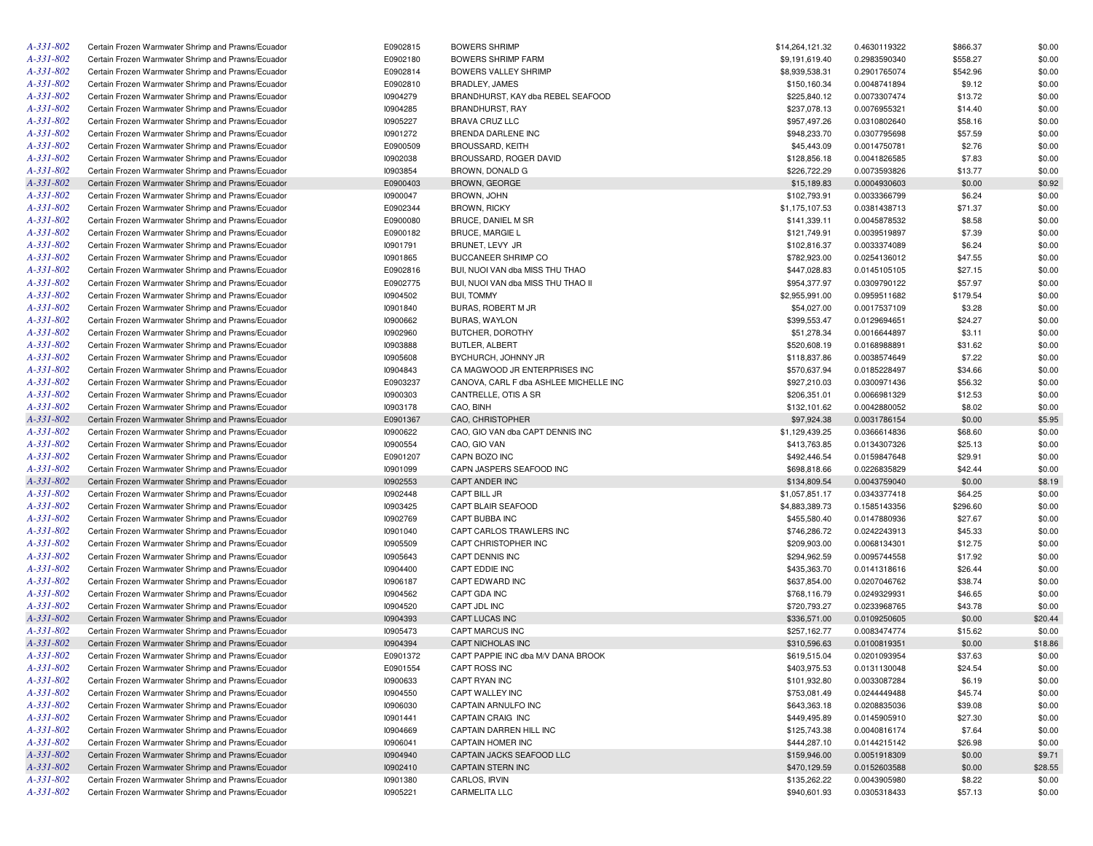| $A - 331 - 802$ | Certain Frozen Warmwater Shrimp and Prawns/Ecuador | E0902815 | <b>BOWERS SHRIMP</b>                   | \$14,264,121.32 | 0.4630119322 | \$866.37 | \$0.00  |
|-----------------|----------------------------------------------------|----------|----------------------------------------|-----------------|--------------|----------|---------|
| $A - 331 - 802$ | Certain Frozen Warmwater Shrimp and Prawns/Ecuador | E0902180 | <b>BOWERS SHRIMP FARM</b>              | \$9,191,619.40  | 0.2983590340 | \$558.27 | \$0.00  |
| A-331-802       | Certain Frozen Warmwater Shrimp and Prawns/Ecuador | E0902814 | BOWERS VALLEY SHRIMP                   | \$8,939,538.31  | 0.2901765074 | \$542.96 | \$0.00  |
| $A - 331 - 802$ | Certain Frozen Warmwater Shrimp and Prawns/Ecuador | E0902810 | <b>BRADLEY, JAMES</b>                  | \$150,160.34    | 0.0048741894 | \$9.12   | \$0.00  |
| A-331-802       | Certain Frozen Warmwater Shrimp and Prawns/Ecuador | 10904279 | BRANDHURST, KAY dba REBEL SEAFOOD      | \$225,840.12    | 0.0073307474 | \$13.72  | \$0.00  |
| A-331-802       | Certain Frozen Warmwater Shrimp and Prawns/Ecuador | 10904285 | BRANDHURST, RAY                        | \$237,078.13    | 0.0076955321 | \$14.40  | \$0.00  |
| A-331-802       | Certain Frozen Warmwater Shrimp and Prawns/Ecuador | 10905227 | <b>BRAVA CRUZ LLC</b>                  | \$957,497.26    | 0.0310802640 | \$58.16  | \$0.00  |
| A-331-802       | Certain Frozen Warmwater Shrimp and Prawns/Ecuador | 10901272 | BRENDA DARLENE INC                     | \$948,233.70    | 0.0307795698 | \$57.59  | \$0.00  |
| A-331-802       | Certain Frozen Warmwater Shrimp and Prawns/Ecuador | E0900509 | <b>BROUSSARD, KEITH</b>                | \$45,443.09     | 0.0014750781 | \$2.76   | \$0.00  |
| A-331-802       | Certain Frozen Warmwater Shrimp and Prawns/Ecuador | 10902038 | BROUSSARD, ROGER DAVID                 | \$128,856.18    | 0.0041826585 | \$7.83   | \$0.00  |
| A-331-802       | Certain Frozen Warmwater Shrimp and Prawns/Ecuador | 10903854 | BROWN, DONALD G                        | \$226,722.29    | 0.0073593826 | \$13.77  | \$0.00  |
| A-331-802       | Certain Frozen Warmwater Shrimp and Prawns/Ecuador | E0900403 | <b>BROWN, GEORGE</b>                   | \$15,189.83     | 0.0004930603 | \$0.00   | \$0.92  |
| $A - 331 - 802$ | Certain Frozen Warmwater Shrimp and Prawns/Ecuador | I0900047 | BROWN, JOHN                            | \$102,793.91    | 0.0033366799 | \$6.24   | \$0.00  |
| A-331-802       | Certain Frozen Warmwater Shrimp and Prawns/Ecuador | E0902344 | <b>BROWN, RICKY</b>                    | \$1,175,107.53  | 0.0381438713 | \$71.37  | \$0.00  |
| A-331-802       | Certain Frozen Warmwater Shrimp and Prawns/Ecuador | E0900080 | <b>BRUCE, DANIEL M SR</b>              | \$141,339.11    | 0.0045878532 | \$8.58   | \$0.00  |
| A-331-802       | Certain Frozen Warmwater Shrimp and Prawns/Ecuador | E0900182 | <b>BRUCE, MARGIE L</b>                 | \$121,749.91    | 0.0039519897 | \$7.39   | \$0.00  |
| A-331-802       | Certain Frozen Warmwater Shrimp and Prawns/Ecuador | 10901791 | BRUNET, LEVY JR                        | \$102,816.37    | 0.0033374089 | \$6.24   | \$0.00  |
| A-331-802       | Certain Frozen Warmwater Shrimp and Prawns/Ecuador | 10901865 | BUCCANEER SHRIMP CO                    | \$782,923.00    | 0.0254136012 | \$47.55  | \$0.00  |
| A-331-802       | Certain Frozen Warmwater Shrimp and Prawns/Ecuador | E0902816 | BUI, NUOI VAN dba MISS THU THAO        | \$447,028.83    | 0.0145105105 | \$27.15  | \$0.00  |
| A-331-802       | Certain Frozen Warmwater Shrimp and Prawns/Ecuador | E0902775 | BUI, NUOI VAN dba MISS THU THAO II     | \$954,377.97    | 0.0309790122 | \$57.97  | \$0.00  |
| A-331-802       |                                                    | 10904502 | <b>BUI, TOMMY</b>                      |                 |              |          | \$0.00  |
| A-331-802       | Certain Frozen Warmwater Shrimp and Prawns/Ecuador |          |                                        | \$2,955,991.00  | 0.0959511682 | \$179.54 | \$0.00  |
| A-331-802       | Certain Frozen Warmwater Shrimp and Prawns/Ecuador | 10901840 | BURAS, ROBERT M JR                     | \$54,027.00     | 0.0017537109 | \$3.28   |         |
| A-331-802       | Certain Frozen Warmwater Shrimp and Prawns/Ecuador | 10900662 | <b>BURAS, WAYLON</b>                   | \$399,553.47    | 0.0129694651 | \$24.27  | \$0.00  |
|                 | Certain Frozen Warmwater Shrimp and Prawns/Ecuador | 10902960 | BUTCHER, DOROTHY                       | \$51,278.34     | 0.0016644897 | \$3.11   | \$0.00  |
| A-331-802       | Certain Frozen Warmwater Shrimp and Prawns/Ecuador | 10903888 | BUTLER, ALBERT                         | \$520,608.19    | 0.0168988891 | \$31.62  | \$0.00  |
| A-331-802       | Certain Frozen Warmwater Shrimp and Prawns/Ecuador | 10905608 | BYCHURCH, JOHNNY JR                    | \$118,837.86    | 0.0038574649 | \$7.22   | \$0.00  |
| A-331-802       | Certain Frozen Warmwater Shrimp and Prawns/Ecuador | 10904843 | CA MAGWOOD JR ENTERPRISES INC          | \$570,637.94    | 0.0185228497 | \$34.66  | \$0.00  |
| A-331-802       | Certain Frozen Warmwater Shrimp and Prawns/Ecuador | E0903237 | CANOVA, CARL F dba ASHLEE MICHELLE INC | \$927,210.03    | 0.0300971436 | \$56.32  | \$0.00  |
| A-331-802       | Certain Frozen Warmwater Shrimp and Prawns/Ecuador | 10900303 | CANTRELLE, OTIS A SR                   | \$206,351.01    | 0.0066981329 | \$12.53  | \$0.00  |
| $A - 331 - 802$ | Certain Frozen Warmwater Shrimp and Prawns/Ecuador | 10903178 | CAO, BINH                              | \$132,101.62    | 0.0042880052 | \$8.02   | \$0.00  |
| A-331-802       | Certain Frozen Warmwater Shrimp and Prawns/Ecuador | E0901367 | <b>CAO, CHRISTOPHER</b>                | \$97,924.38     | 0.0031786154 | \$0.00   | \$5.95  |
| A-331-802       | Certain Frozen Warmwater Shrimp and Prawns/Ecuador | 10900622 | CAO, GIO VAN dba CAPT DENNIS INC       | \$1,129,439.25  | 0.0366614836 | \$68.60  | \$0.00  |
| A-331-802       | Certain Frozen Warmwater Shrimp and Prawns/Ecuador | 10900554 | CAO, GIO VAN                           | \$413,763.85    | 0.0134307326 | \$25.13  | \$0.00  |
| A-331-802       | Certain Frozen Warmwater Shrimp and Prawns/Ecuador | E0901207 | CAPN BOZO INC                          | \$492,446.54    | 0.0159847648 | \$29.91  | \$0.00  |
| A-331-802       | Certain Frozen Warmwater Shrimp and Prawns/Ecuador | 10901099 | CAPN JASPERS SEAFOOD INC               | \$698,818.66    | 0.0226835829 | \$42.44  | \$0.00  |
| A-331-802       | Certain Frozen Warmwater Shrimp and Prawns/Ecuador | 10902553 | <b>CAPT ANDER INC</b>                  | \$134,809.54    | 0.0043759040 | \$0.00   | \$8.19  |
| $A - 331 - 802$ | Certain Frozen Warmwater Shrimp and Prawns/Ecuador | 10902448 | CAPT BILL JR                           | \$1,057,851.17  | 0.0343377418 | \$64.25  | \$0.00  |
| $A - 331 - 802$ | Certain Frozen Warmwater Shrimp and Prawns/Ecuador | 10903425 | CAPT BLAIR SEAFOOD                     | \$4,883,389.73  | 0.1585143356 | \$296.60 | \$0.00  |
| A-331-802       | Certain Frozen Warmwater Shrimp and Prawns/Ecuador | 10902769 | CAPT BUBBA INC                         | \$455,580.40    | 0.0147880936 | \$27.67  | \$0.00  |
| A-331-802       | Certain Frozen Warmwater Shrimp and Prawns/Ecuador | 10901040 | CAPT CARLOS TRAWLERS INC               | \$746,286.72    | 0.0242243913 | \$45.33  | \$0.00  |
| A-331-802       | Certain Frozen Warmwater Shrimp and Prawns/Ecuador | 10905509 | CAPT CHRISTOPHER INC                   | \$209,903.00    | 0.0068134301 | \$12.75  | \$0.00  |
| A-331-802       | Certain Frozen Warmwater Shrimp and Prawns/Ecuador | 10905643 | CAPT DENNIS INC                        | \$294,962.59    | 0.0095744558 | \$17.92  | \$0.00  |
| A-331-802       | Certain Frozen Warmwater Shrimp and Prawns/Ecuador | 10904400 | CAPT EDDIE INC                         | \$435,363.70    | 0.0141318616 | \$26.44  | \$0.00  |
| $A - 331 - 802$ | Certain Frozen Warmwater Shrimp and Prawns/Ecuador | 10906187 | CAPT EDWARD INC                        | \$637,854.00    | 0.0207046762 | \$38.74  | \$0.00  |
| A-331-802       | Certain Frozen Warmwater Shrimp and Prawns/Ecuador | 10904562 | CAPT GDA INC                           | \$768,116.79    | 0.0249329931 | \$46.65  | \$0.00  |
| A-331-802       | Certain Frozen Warmwater Shrimp and Prawns/Ecuador | 10904520 | CAPT JDL INC                           | \$720,793.27    | 0.0233968765 | \$43.78  | \$0.00  |
| A-331-802       | Certain Frozen Warmwater Shrimp and Prawns/Ecuador | 10904393 | CAPT LUCAS INC                         | \$336,571.00    | 0.0109250605 | \$0.00   | \$20.44 |
| A-331-802       | Certain Frozen Warmwater Shrimp and Prawns/Ecuador | 10905473 | CAPT MARCUS INC                        | \$257,162.77    | 0.0083474774 | \$15.62  | \$0.00  |
| A-331-802       | Certain Frozen Warmwater Shrimp and Prawns/Ecuador | 10904394 | CAPT NICHOLAS INC                      | \$310,596.63    | 0.0100819351 | \$0.00   | \$18.86 |
| $A - 331 - 802$ | Certain Frozen Warmwater Shrimp and Prawns/Ecuador | E0901372 | CAPT PAPPIE INC dba M/V DANA BROOK     | \$619,515.04    | 0.0201093954 | \$37.63  | \$0.00  |
| A-331-802       | Certain Frozen Warmwater Shrimp and Prawns/Ecuador | E0901554 | CAPT ROSS INC                          | \$403,975.53    | 0.0131130048 | \$24.54  | \$0.00  |
| A-331-802       | Certain Frozen Warmwater Shrimp and Prawns/Ecuador | 10900633 | CAPT RYAN INC                          | \$101,932.80    | 0.0033087284 | \$6.19   | \$0.00  |
| $A - 331 - 802$ | Certain Frozen Warmwater Shrimp and Prawns/Ecuador | 10904550 | CAPT WALLEY INC                        | \$753,081.49    | 0.0244449488 | \$45.74  | \$0.00  |
| A-331-802       | Certain Frozen Warmwater Shrimp and Prawns/Ecuador | 10906030 | CAPTAIN ARNULFO INC                    | \$643,363.18    | 0.0208835036 | \$39.08  | \$0.00  |
| A-331-802       | Certain Frozen Warmwater Shrimp and Prawns/Ecuador | 10901441 | <b>CAPTAIN CRAIG INC</b>               | \$449,495.89    | 0.0145905910 | \$27.30  | \$0.00  |
| A-331-802       | Certain Frozen Warmwater Shrimp and Prawns/Ecuador | 10904669 | CAPTAIN DARREN HILL INC                | \$125,743.38    | 0.0040816174 | \$7.64   | \$0.00  |
| A-331-802       | Certain Frozen Warmwater Shrimp and Prawns/Ecuador | 10906041 | CAPTAIN HOMER INC                      | \$444,287.10    | 0.0144215142 | \$26.98  | \$0.00  |
| A-331-802       | Certain Frozen Warmwater Shrimp and Prawns/Ecuador | 10904940 | CAPTAIN JACKS SEAFOOD LLC              | \$159,946.00    | 0.0051918309 | \$0.00   | \$9.71  |
| A-331-802       | Certain Frozen Warmwater Shrimp and Prawns/Ecuador | 10902410 | <b>CAPTAIN STERN INC</b>               | \$470,129.59    | 0.0152603588 | \$0.00   | \$28.55 |
| A-331-802       | Certain Frozen Warmwater Shrimp and Prawns/Ecuador | 10901380 | CARLOS, IRVIN                          | \$135,262.22    | 0.0043905980 | \$8.22   | \$0.00  |
| A-331-802       | Certain Frozen Warmwater Shrimp and Prawns/Ecuador | 10905221 | <b>CARMELITA LLC</b>                   | \$940,601.93    | 0.0305318433 | \$57.13  | \$0.00  |
|                 |                                                    |          |                                        |                 |              |          |         |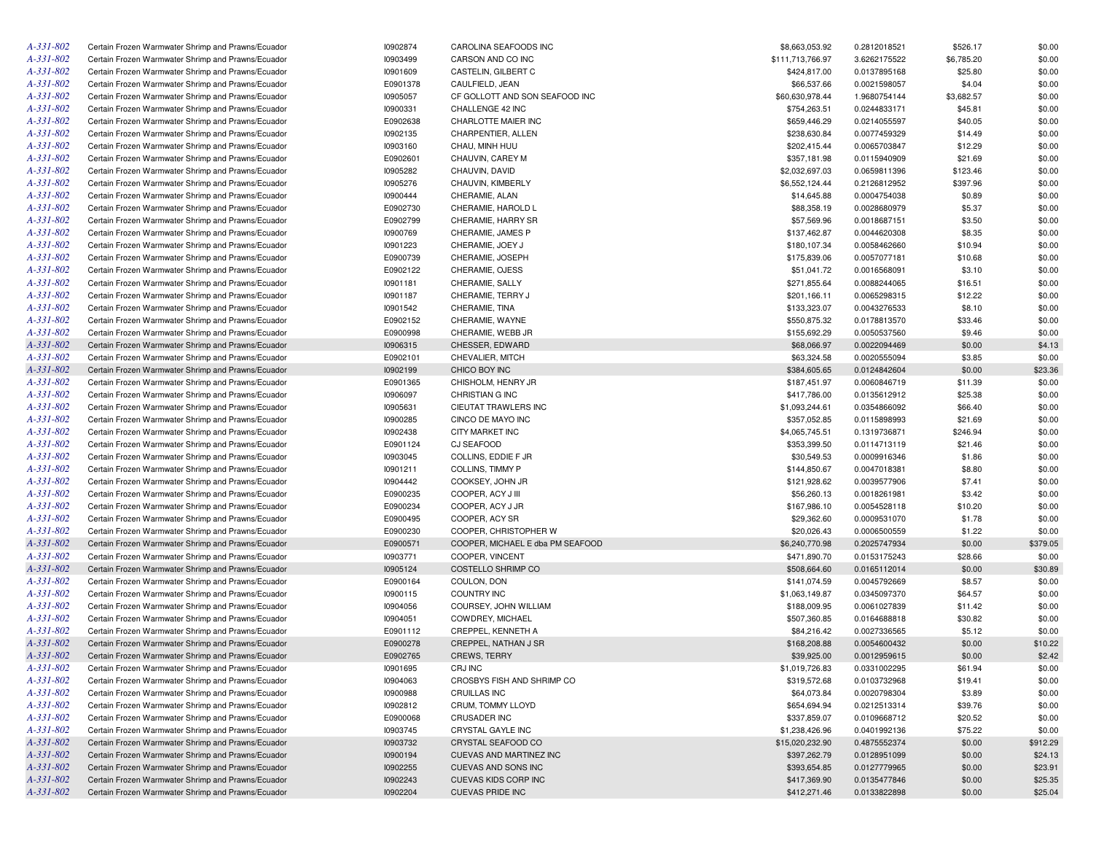| A-331-802       | Certain Frozen Warmwater Shrimp and Prawns/Ecuador | 10902874 | CAROLINA SEAFOODS INC            | \$8,663,053.92   | 0.2812018521 | \$526.17   | \$0.00   |
|-----------------|----------------------------------------------------|----------|----------------------------------|------------------|--------------|------------|----------|
| A-331-802       | Certain Frozen Warmwater Shrimp and Prawns/Ecuador | 10903499 | CARSON AND CO INC                | \$111,713,766.97 | 3.6262175522 | \$6,785.20 | \$0.00   |
| $A - 331 - 802$ | Certain Frozen Warmwater Shrimp and Prawns/Ecuador | 10901609 | CASTELIN, GILBERT C              | \$424,817.00     | 0.0137895168 | \$25.80    | \$0.00   |
| A-331-802       | Certain Frozen Warmwater Shrimp and Prawns/Ecuador | E0901378 | CAULFIELD, JEAN                  | \$66,537.66      | 0.0021598057 | \$4.04     | \$0.00   |
| A-331-802       | Certain Frozen Warmwater Shrimp and Prawns/Ecuador | 10905057 | CF GOLLOTT AND SON SEAFOOD INC   | \$60,630,978.44  | 1.9680754144 | \$3,682.57 | \$0.00   |
| A-331-802       | Certain Frozen Warmwater Shrimp and Prawns/Ecuador | 10900331 | CHALLENGE 42 INC                 | \$754,263.51     | 0.0244833171 | \$45.81    | \$0.00   |
| A-331-802       | Certain Frozen Warmwater Shrimp and Prawns/Ecuador | E0902638 | CHARLOTTE MAIER INC              | \$659,446.29     | 0.0214055597 | \$40.05    | \$0.00   |
| A-331-802       | Certain Frozen Warmwater Shrimp and Prawns/Ecuador | 10902135 | CHARPENTIER, ALLEN               | \$238,630.84     | 0.0077459329 | \$14.49    | \$0.00   |
| A-331-802       | Certain Frozen Warmwater Shrimp and Prawns/Ecuador | 10903160 | CHAU, MINH HUU                   | \$202,415.44     | 0.0065703847 | \$12.29    | \$0.00   |
| A-331-802       | Certain Frozen Warmwater Shrimp and Prawns/Ecuador | E0902601 | CHAUVIN, CAREY M                 | \$357,181.98     | 0.0115940909 | \$21.69    | \$0.00   |
| A-331-802       | Certain Frozen Warmwater Shrimp and Prawns/Ecuador | 10905282 | CHAUVIN, DAVID                   | \$2,032,697.03   | 0.0659811396 | \$123.46   | \$0.00   |
| A-331-802       | Certain Frozen Warmwater Shrimp and Prawns/Ecuador | 10905276 | CHAUVIN, KIMBERLY                | \$6,552,124.44   | 0.2126812952 | \$397.96   | \$0.00   |
| A-331-802       | Certain Frozen Warmwater Shrimp and Prawns/Ecuador | 10900444 | CHERAMIE, ALAN                   | \$14,645.88      | 0.0004754038 | \$0.89     | \$0.00   |
| A-331-802       | Certain Frozen Warmwater Shrimp and Prawns/Ecuador | E0902730 | CHERAMIE, HAROLD L               | \$88,358.19      | 0.0028680979 | \$5.37     | \$0.00   |
| A-331-802       | Certain Frozen Warmwater Shrimp and Prawns/Ecuador | E0902799 | CHERAMIE, HARRY SR               | \$57,569.96      | 0.0018687151 | \$3.50     | \$0.00   |
| A-331-802       | Certain Frozen Warmwater Shrimp and Prawns/Ecuador | 10900769 | CHERAMIE, JAMES P                | \$137,462.87     | 0.0044620308 | \$8.35     | \$0.00   |
| A-331-802       |                                                    |          |                                  |                  |              |            | \$0.00   |
| A-331-802       | Certain Frozen Warmwater Shrimp and Prawns/Ecuador | 10901223 | CHERAMIE, JOEY J                 | \$180,107.34     | 0.0058462660 | \$10.94    |          |
|                 | Certain Frozen Warmwater Shrimp and Prawns/Ecuador | E0900739 | CHERAMIE, JOSEPH                 | \$175,839.06     | 0.0057077181 | \$10.68    | \$0.00   |
| A-331-802       | Certain Frozen Warmwater Shrimp and Prawns/Ecuador | E0902122 | CHERAMIE, OJESS                  | \$51,041.72      | 0.0016568091 | \$3.10     | \$0.00   |
| A-331-802       | Certain Frozen Warmwater Shrimp and Prawns/Ecuador | 10901181 | CHERAMIE, SALLY                  | \$271,855.64     | 0.0088244065 | \$16.51    | \$0.00   |
| A-331-802       | Certain Frozen Warmwater Shrimp and Prawns/Ecuador | 10901187 | CHERAMIE, TERRY J                | \$201,166.11     | 0.0065298315 | \$12.22    | \$0.00   |
| A-331-802       | Certain Frozen Warmwater Shrimp and Prawns/Ecuador | 10901542 | CHERAMIE, TINA                   | \$133,323.07     | 0.0043276533 | \$8.10     | \$0.00   |
| A-331-802       | Certain Frozen Warmwater Shrimp and Prawns/Ecuador | E0902152 | CHERAMIE, WAYNE                  | \$550,875.32     | 0.0178813570 | \$33.46    | \$0.00   |
| A-331-802       | Certain Frozen Warmwater Shrimp and Prawns/Ecuador | E0900998 | CHERAMIE, WEBB JR                | \$155,692.29     | 0.0050537560 | \$9.46     | \$0.00   |
| A-331-802       | Certain Frozen Warmwater Shrimp and Prawns/Ecuador | 10906315 | CHESSER, EDWARD                  | \$68,066.97      | 0.0022094469 | \$0.00     | \$4.13   |
| $A - 331 - 802$ | Certain Frozen Warmwater Shrimp and Prawns/Ecuador | E0902101 | CHEVALIER, MITCH                 | \$63,324.58      | 0.0020555094 | \$3.85     | \$0.00   |
| A-331-802       | Certain Frozen Warmwater Shrimp and Prawns/Ecuador | 10902199 | CHICO BOY INC                    | \$384,605.65     | 0.0124842604 | \$0.00     | \$23.36  |
| $A - 331 - 802$ | Certain Frozen Warmwater Shrimp and Prawns/Ecuador | E0901365 | CHISHOLM, HENRY JR               | \$187,451.97     | 0.0060846719 | \$11.39    | \$0.00   |
| A-331-802       | Certain Frozen Warmwater Shrimp and Prawns/Ecuador | 10906097 | CHRISTIAN G INC                  | \$417,786.00     | 0.0135612912 | \$25.38    | \$0.00   |
| A-331-802       | Certain Frozen Warmwater Shrimp and Prawns/Ecuador | 10905631 | CIEUTAT TRAWLERS INC             | \$1,093,244.61   | 0.0354866092 | \$66.40    | \$0.00   |
| A-331-802       | Certain Frozen Warmwater Shrimp and Prawns/Ecuador | 10900285 | CINCO DE MAYO INC                | \$357,052.85     | 0.0115898993 | \$21.69    | \$0.00   |
| A-331-802       | Certain Frozen Warmwater Shrimp and Prawns/Ecuador | 10902438 | <b>CITY MARKET INC</b>           | \$4,065,745.51   | 0.1319736871 | \$246.94   | \$0.00   |
| A-331-802       | Certain Frozen Warmwater Shrimp and Prawns/Ecuador | E0901124 | CJ SEAFOOD                       | \$353,399.50     | 0.0114713119 | \$21.46    | \$0.00   |
| A-331-802       | Certain Frozen Warmwater Shrimp and Prawns/Ecuador | 10903045 | COLLINS, EDDIE F JR              | \$30,549.53      | 0.0009916346 | \$1.86     | \$0.00   |
| A-331-802       | Certain Frozen Warmwater Shrimp and Prawns/Ecuador | 10901211 | COLLINS, TIMMY P                 | \$144,850.67     | 0.0047018381 | \$8.80     | \$0.00   |
| A-331-802       | Certain Frozen Warmwater Shrimp and Prawns/Ecuador | 10904442 | COOKSEY, JOHN JR                 | \$121,928.62     | 0.0039577906 | \$7.41     | \$0.00   |
| A-331-802       | Certain Frozen Warmwater Shrimp and Prawns/Ecuador | E0900235 | COOPER, ACY J III                | \$56,260.13      | 0.0018261981 | \$3.42     | \$0.00   |
| $A - 331 - 802$ | Certain Frozen Warmwater Shrimp and Prawns/Ecuador | E0900234 | COOPER, ACY J JR                 | \$167,986.10     | 0.0054528118 | \$10.20    | \$0.00   |
| A-331-802       | Certain Frozen Warmwater Shrimp and Prawns/Ecuador | E0900495 | COOPER, ACY SR                   | \$29,362.60      | 0.0009531070 | \$1.78     | \$0.00   |
| A-331-802       | Certain Frozen Warmwater Shrimp and Prawns/Ecuador | E0900230 | COOPER, CHRISTOPHER W            | \$20,026.43      | 0.0006500559 | \$1.22     | \$0.00   |
| A-331-802       | Certain Frozen Warmwater Shrimp and Prawns/Ecuador | E0900571 | COOPER, MICHAEL E dba PM SEAFOOD | \$6,240,770.98   | 0.2025747934 | \$0.00     | \$379.05 |
| $A - 331 - 802$ | Certain Frozen Warmwater Shrimp and Prawns/Ecuador | 10903771 | COOPER, VINCENT                  | \$471,890.70     | 0.0153175243 | \$28.66    | \$0.00   |
| A-331-802       |                                                    | 10905124 |                                  |                  |              |            |          |
|                 | Certain Frozen Warmwater Shrimp and Prawns/Ecuador |          | COSTELLO SHRIMP CO               | \$508,664.60     | 0.0165112014 | \$0.00     | \$30.89  |
| $A - 331 - 802$ | Certain Frozen Warmwater Shrimp and Prawns/Ecuador | E0900164 | COULON, DON                      | \$141,074.59     | 0.0045792669 | \$8.57     | \$0.00   |
| A-331-802       | Certain Frozen Warmwater Shrimp and Prawns/Ecuador | 10900115 | <b>COUNTRY INC</b>               | \$1,063,149.87   | 0.0345097370 | \$64.57    | \$0.00   |
| A-331-802       | Certain Frozen Warmwater Shrimp and Prawns/Ecuador | 10904056 | COURSEY, JOHN WILLIAM            | \$188,009.95     | 0.0061027839 | \$11.42    | \$0.00   |
| $A - 331 - 802$ | Certain Frozen Warmwater Shrimp and Prawns/Ecuador | 10904051 | COWDREY, MICHAEL                 | \$507,360.85     | 0.0164688818 | \$30.82    | \$0.00   |
| A-331-802       | Certain Frozen Warmwater Shrimp and Prawns/Ecuador | E0901112 | CREPPEL, KENNETH A               | \$84,216.42      | 0.0027336565 | \$5.12     | \$0.00   |
| A-331-802       | Certain Frozen Warmwater Shrimp and Prawns/Ecuador | E0900278 | CREPPEL, NATHAN J SR             | \$168,208.88     | 0.0054600432 | \$0.00     | \$10.22  |
| $A - 331 - 802$ | Certain Frozen Warmwater Shrimp and Prawns/Ecuador | E0902765 | <b>CREWS, TERRY</b>              | \$39,925.00      | 0.0012959615 | \$0.00     | \$2.42   |
| A-331-802       | Certain Frozen Warmwater Shrimp and Prawns/Ecuador | 10901695 | CRJ INC                          | \$1,019,726.83   | 0.0331002295 | \$61.94    | \$0.00   |
| A-331-802       | Certain Frozen Warmwater Shrimp and Prawns/Ecuador | 10904063 | CROSBYS FISH AND SHRIMP CO       | \$319,572.68     | 0.0103732968 | \$19.41    | \$0.00   |
| A-331-802       | Certain Frozen Warmwater Shrimp and Prawns/Ecuador | 10900988 | CRUILLAS INC                     | \$64,073.84      | 0.0020798304 | \$3.89     | \$0.00   |
| A-331-802       | Certain Frozen Warmwater Shrimp and Prawns/Ecuador | 10902812 | CRUM, TOMMY LLOYD                | \$654,694.94     | 0.0212513314 | \$39.76    | \$0.00   |
| A-331-802       | Certain Frozen Warmwater Shrimp and Prawns/Ecuador | E0900068 | <b>CRUSADER INC</b>              | \$337,859.07     | 0.0109668712 | \$20.52    | \$0.00   |
| A-331-802       | Certain Frozen Warmwater Shrimp and Prawns/Ecuador | 10903745 | CRYSTAL GAYLE INC                | \$1,238,426.96   | 0.0401992136 | \$75.22    | \$0.00   |
| A-331-802       | Certain Frozen Warmwater Shrimp and Prawns/Ecuador | 10903732 | CRYSTAL SEAFOOD CO               | \$15,020,232.90  | 0.4875552374 | \$0.00     | \$912.29 |
| A-331-802       | Certain Frozen Warmwater Shrimp and Prawns/Ecuador | 10900194 | CUEVAS AND MARTINEZ INC          | \$397,262.79     | 0.0128951099 | \$0.00     | \$24.13  |
| A-331-802       | Certain Frozen Warmwater Shrimp and Prawns/Ecuador | 10902255 | CUEVAS AND SONS INC              | \$393,654.85     | 0.0127779965 | \$0.00     | \$23.91  |
| A-331-802       | Certain Frozen Warmwater Shrimp and Prawns/Ecuador | 10902243 | CUEVAS KIDS CORP INC             | \$417,369.90     | 0.0135477846 | \$0.00     | \$25.35  |
| A-331-802       | Certain Frozen Warmwater Shrimp and Prawns/Ecuador | 10902204 | <b>CUEVAS PRIDE INC</b>          | \$412,271.46     | 0.0133822898 | \$0.00     | \$25.04  |
|                 |                                                    |          |                                  |                  |              |            |          |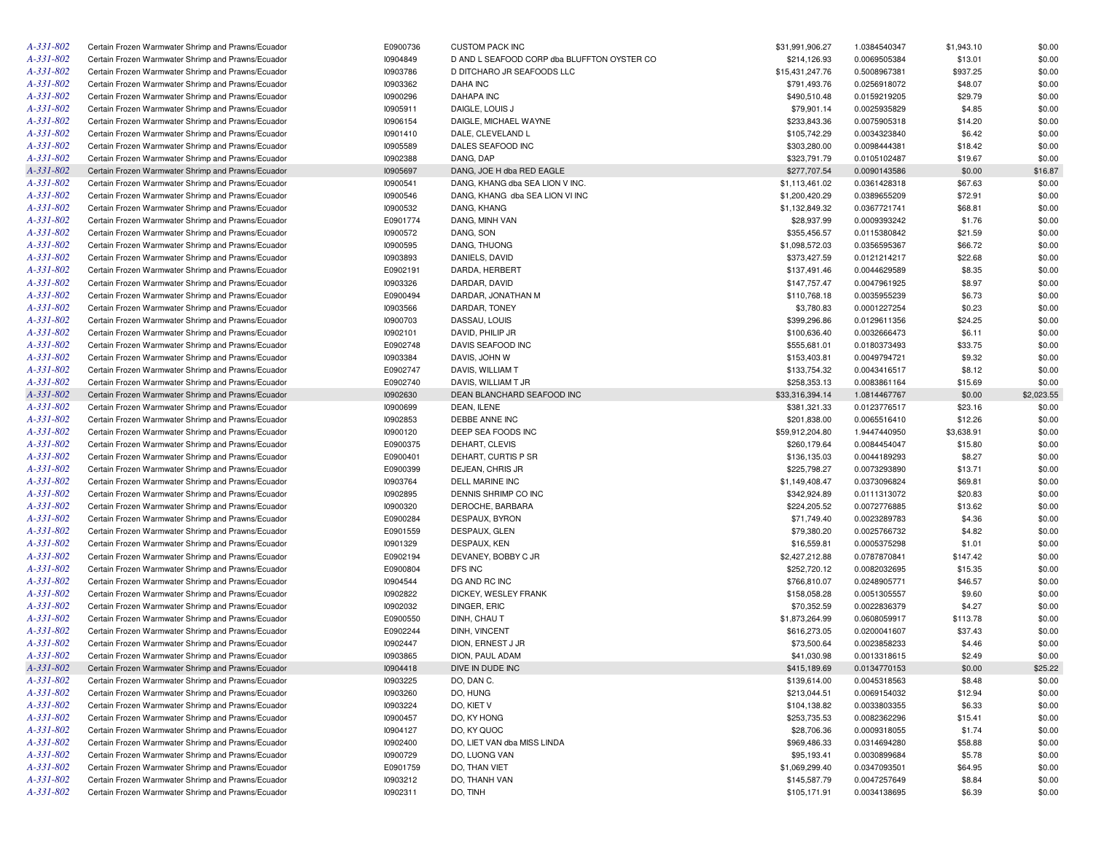| A-331-802                          | Certain Frozen Warmwater Shrimp and Prawns/Ecuador | E0900736 | <b>CUSTOM PACK INC</b>                      | \$31,991,906.27 | 1.0384540347 | \$1,943.10 | \$0.00     |
|------------------------------------|----------------------------------------------------|----------|---------------------------------------------|-----------------|--------------|------------|------------|
| $A - 331 - 802$                    | Certain Frozen Warmwater Shrimp and Prawns/Ecuador | 10904849 | D AND L SEAFOOD CORP dba BLUFFTON OYSTER CO | \$214,126.93    | 0.0069505384 | \$13.01    | \$0.00     |
| $A - 331 - 802$                    | Certain Frozen Warmwater Shrimp and Prawns/Ecuador | 10903786 | D DITCHARO JR SEAFOODS LLC                  | \$15,431,247.76 | 0.5008967381 | \$937.25   | \$0.00     |
| A-331-802                          | Certain Frozen Warmwater Shrimp and Prawns/Ecuador | 10903362 | DAHA INC                                    | \$791,493.76    | 0.0256918072 | \$48.07    | \$0.00     |
| $A - 331 - 802$                    | Certain Frozen Warmwater Shrimp and Prawns/Ecuador | 10900296 | <b>DAHAPA INC</b>                           | \$490,510.48    | 0.0159219205 | \$29.79    | \$0.00     |
| A-331-802                          | Certain Frozen Warmwater Shrimp and Prawns/Ecuador | 10905911 | DAIGLE, LOUIS J                             | \$79,901.14     | 0.0025935829 | \$4.85     | \$0.00     |
| $A - 331 - 802$                    | Certain Frozen Warmwater Shrimp and Prawns/Ecuador | 10906154 | DAIGLE, MICHAEL WAYNE                       | \$233,843.36    | 0.0075905318 | \$14.20    | \$0.00     |
| A-331-802                          | Certain Frozen Warmwater Shrimp and Prawns/Ecuador | 10901410 | DALE, CLEVELAND L                           | \$105,742.29    | 0.0034323840 | \$6.42     | \$0.00     |
| A-331-802                          | Certain Frozen Warmwater Shrimp and Prawns/Ecuador | 10905589 | DALES SEAFOOD INC                           | \$303,280.00    | 0.0098444381 | \$18.42    | \$0.00     |
| A-331-802                          | Certain Frozen Warmwater Shrimp and Prawns/Ecuador | 10902388 | DANG, DAP                                   | \$323,791.79    | 0.0105102487 | \$19.67    | \$0.00     |
| A-331-802                          | Certain Frozen Warmwater Shrimp and Prawns/Ecuador | 10905697 | DANG, JOE H dba RED EAGLE                   | \$277,707.54    | 0.0090143586 | \$0.00     | \$16.87    |
| $A - 331 - 802$                    | Certain Frozen Warmwater Shrimp and Prawns/Ecuador | 10900541 | DANG, KHANG dba SEA LION V INC.             | \$1,113,461.02  | 0.0361428318 | \$67.63    | \$0.00     |
| $A - 331 - 802$                    | Certain Frozen Warmwater Shrimp and Prawns/Ecuador | 10900546 | DANG, KHANG dba SEA LION VI INC             | \$1,200,420.29  | 0.0389655209 | \$72.91    | \$0.00     |
| A-331-802                          | Certain Frozen Warmwater Shrimp and Prawns/Ecuador | 10900532 | DANG, KHANG                                 | \$1,132,849.32  | 0.0367721741 | \$68.81    | \$0.00     |
| $A - 331 - 802$                    | Certain Frozen Warmwater Shrimp and Prawns/Ecuador | E0901774 | DANG, MINH VAN                              | \$28,937.99     | 0.0009393242 | \$1.76     | \$0.00     |
| A-331-802                          | Certain Frozen Warmwater Shrimp and Prawns/Ecuador | 10900572 | DANG, SON                                   | \$355,456.57    | 0.0115380842 | \$21.59    | \$0.00     |
| A-331-802                          | Certain Frozen Warmwater Shrimp and Prawns/Ecuador | 10900595 | DANG, THUONG                                | \$1,098,572.03  | 0.0356595367 | \$66.72    | \$0.00     |
| A-331-802                          | Certain Frozen Warmwater Shrimp and Prawns/Ecuador | 10903893 | DANIELS, DAVID                              | \$373,427.59    | 0.0121214217 | \$22.68    | \$0.00     |
| A-331-802                          | Certain Frozen Warmwater Shrimp and Prawns/Ecuador | E0902191 | DARDA, HERBERT                              | \$137,491.46    | 0.0044629589 | \$8.35     | \$0.00     |
| A-331-802                          | Certain Frozen Warmwater Shrimp and Prawns/Ecuador | 10903326 | DARDAR, DAVID                               | \$147,757.47    | 0.0047961925 | \$8.97     | \$0.00     |
| A-331-802                          | Certain Frozen Warmwater Shrimp and Prawns/Ecuador | E0900494 | DARDAR, JONATHAN M                          | \$110,768.18    | 0.0035955239 | \$6.73     | \$0.00     |
| A-331-802                          | Certain Frozen Warmwater Shrimp and Prawns/Ecuador | 10903566 | DARDAR, TONEY                               | \$3,780.83      | 0.0001227254 | \$0.23     | \$0.00     |
| A-331-802                          | Certain Frozen Warmwater Shrimp and Prawns/Ecuador | 10900703 | DASSAU, LOUIS                               | \$399,296.86    | 0.0129611356 | \$24.25    | \$0.00     |
| A-331-802                          | Certain Frozen Warmwater Shrimp and Prawns/Ecuador | 10902101 | DAVID, PHILIP JR                            | \$100,636.40    | 0.0032666473 | \$6.11     | \$0.00     |
| $A - 331 - 802$                    | Certain Frozen Warmwater Shrimp and Prawns/Ecuador | E0902748 | DAVIS SEAFOOD INC                           |                 |              |            |            |
|                                    | Certain Frozen Warmwater Shrimp and Prawns/Ecuador |          |                                             | \$555,681.01    | 0.0180373493 | \$33.75    | \$0.00     |
| $A - 331 - 802$<br>$A - 331 - 802$ |                                                    | 10903384 | DAVIS, JOHN W                               | \$153,403.81    | 0.0049794721 | \$9.32     | \$0.00     |
|                                    | Certain Frozen Warmwater Shrimp and Prawns/Ecuador | E0902747 | DAVIS, WILLIAM T                            | \$133,754.32    | 0.0043416517 | \$8.12     | \$0.00     |
| A-331-802                          | Certain Frozen Warmwater Shrimp and Prawns/Ecuador | E0902740 | DAVIS, WILLIAM T JR                         | \$258,353.13    | 0.0083861164 | \$15.69    | \$0.00     |
| A-331-802                          | Certain Frozen Warmwater Shrimp and Prawns/Ecuador | 10902630 | DEAN BLANCHARD SEAFOOD INC                  | \$33,316,394.14 | 1.0814467767 | \$0.00     | \$2,023.55 |
| $A - 331 - 802$                    | Certain Frozen Warmwater Shrimp and Prawns/Ecuador | 10900699 | DEAN, ILENE                                 | \$381,321.33    | 0.0123776517 | \$23.16    | \$0.00     |
| A-331-802                          | Certain Frozen Warmwater Shrimp and Prawns/Ecuador | 10902853 | DEBBE ANNE INC                              | \$201,838.00    | 0.0065516410 | \$12.26    | \$0.00     |
| A-331-802                          | Certain Frozen Warmwater Shrimp and Prawns/Ecuador | 10900120 | DEEP SEA FOODS INC                          | \$59.912.204.80 | 1.9447440950 | \$3,638.91 | \$0.00     |
| $A - 331 - 802$                    | Certain Frozen Warmwater Shrimp and Prawns/Ecuador | E0900375 | DEHART, CLEVIS                              | \$260,179.64    | 0.0084454047 | \$15.80    | \$0.00     |
| A-331-802                          | Certain Frozen Warmwater Shrimp and Prawns/Ecuador | E0900401 | DEHART, CURTIS P SR                         | \$136,135.03    | 0.0044189293 | \$8.27     | \$0.00     |
| $A - 331 - 802$                    | Certain Frozen Warmwater Shrimp and Prawns/Ecuador | E0900399 | DEJEAN, CHRIS JR                            | \$225,798.27    | 0.0073293890 | \$13.71    | \$0.00     |
| A-331-802                          | Certain Frozen Warmwater Shrimp and Prawns/Ecuador | 10903764 | DELL MARINE INC                             | \$1,149,408.47  | 0.0373096824 | \$69.81    | \$0.00     |
| $A - 331 - 802$                    | Certain Frozen Warmwater Shrimp and Prawns/Ecuador | 10902895 | DENNIS SHRIMP CO INC                        | \$342,924.89    | 0.0111313072 | \$20.83    | \$0.00     |
| $A - 331 - 802$                    | Certain Frozen Warmwater Shrimp and Prawns/Ecuador | 10900320 | DEROCHE, BARBARA                            | \$224,205.52    | 0.0072776885 | \$13.62    | \$0.00     |
| $A - 331 - 802$                    | Certain Frozen Warmwater Shrimp and Prawns/Ecuador | E0900284 | DESPAUX, BYRON                              | \$71,749.40     | 0.0023289783 | \$4.36     | \$0.00     |
| A-331-802                          | Certain Frozen Warmwater Shrimp and Prawns/Ecuador | E0901559 | DESPAUX, GLEN                               | \$79,380.20     | 0.0025766732 | \$4.82     | \$0.00     |
| $A - 331 - 802$                    | Certain Frozen Warmwater Shrimp and Prawns/Ecuador | 10901329 | DESPAUX, KEN                                | \$16,559.81     | 0.0005375298 | \$1.01     | \$0.00     |
| A-331-802                          | Certain Frozen Warmwater Shrimp and Prawns/Ecuador | E0902194 | DEVANEY, BOBBY C JR                         | \$2,427,212.88  | 0.0787870841 | \$147.42   | \$0.00     |
| A-331-802                          | Certain Frozen Warmwater Shrimp and Prawns/Ecuador | E0900804 | DFS INC                                     | \$252,720.12    | 0.0082032695 | \$15.35    | \$0.00     |
| A-331-802                          | Certain Frozen Warmwater Shrimp and Prawns/Ecuador | 10904544 | DG AND RC INC                               | \$766,810.07    | 0.0248905771 | \$46.57    | \$0.00     |
| $A - 331 - 802$                    | Certain Frozen Warmwater Shrimp and Prawns/Ecuador | 10902822 | DICKEY, WESLEY FRANK                        | \$158,058.28    | 0.0051305557 | \$9.60     | \$0.00     |
| A-331-802                          | Certain Frozen Warmwater Shrimp and Prawns/Ecuador | 10902032 | DINGER, ERIC                                | \$70,352.59     | 0.0022836379 | \$4.27     | \$0.00     |
| A-331-802                          | Certain Frozen Warmwater Shrimp and Prawns/Ecuador | E0900550 | DINH, CHAU T                                | \$1,873,264.99  | 0.0608059917 | \$113.78   | \$0.00     |
| A-331-802                          | Certain Frozen Warmwater Shrimp and Prawns/Ecuador | E0902244 | DINH, VINCENT                               | \$616,273.05    | 0.0200041607 | \$37.43    | \$0.00     |
| $A - 331 - 802$                    | Certain Frozen Warmwater Shrimp and Prawns/Ecuador | 10902447 | DION, ERNEST J JR                           | \$73,500.64     | 0.0023858233 | \$4.46     | \$0.00     |
| $A - 331 - 802$                    | Certain Frozen Warmwater Shrimp and Prawns/Ecuador | 10903865 | DION, PAUL ADAM                             | \$41,030.98     | 0.0013318615 | \$2.49     | \$0.00     |
| A-331-802                          | Certain Frozen Warmwater Shrimp and Prawns/Ecuador | 10904418 | DIVE IN DUDE INC                            | \$415,189.69    | 0.0134770153 | \$0.00     | \$25.22    |
| $A - 331 - 802$                    | Certain Frozen Warmwater Shrimp and Prawns/Ecuador | 10903225 | DO, DAN C.                                  | \$139,614.00    | 0.0045318563 | \$8.48     | \$0.00     |
| $A - 331 - 802$                    | Certain Frozen Warmwater Shrimp and Prawns/Ecuador | 10903260 | DO, HUNG                                    | \$213,044.51    | 0.0069154032 | \$12.94    | \$0.00     |
| $A - 331 - 802$                    | Certain Frozen Warmwater Shrimp and Prawns/Ecuador | 10903224 | DO, KIET V                                  | \$104,138.82    | 0.0033803355 | \$6.33     | \$0.00     |
| $A - 331 - 802$                    | Certain Frozen Warmwater Shrimp and Prawns/Ecuador | 10900457 | DO, KY HONG                                 | \$253,735.53    | 0.0082362296 | \$15.41    | \$0.00     |
| A-331-802                          | Certain Frozen Warmwater Shrimp and Prawns/Ecuador | 10904127 | DO, KY QUOC                                 | \$28,706.36     | 0.0009318055 | \$1.74     | \$0.00     |
| A-331-802                          | Certain Frozen Warmwater Shrimp and Prawns/Ecuador | 10902400 | DO, LIET VAN dba MISS LINDA                 | \$969,486.33    | 0.0314694280 | \$58.88    | \$0.00     |
| A-331-802                          | Certain Frozen Warmwater Shrimp and Prawns/Ecuador | 10900729 | DO, LUONG VAN                               | \$95,193.41     | 0.0030899684 | \$5.78     | \$0.00     |
| A-331-802                          | Certain Frozen Warmwater Shrimp and Prawns/Ecuador | E0901759 | DO, THAN VIET                               | \$1,069,299.40  | 0.0347093501 | \$64.95    | \$0.00     |
| A-331-802                          | Certain Frozen Warmwater Shrimp and Prawns/Ecuador | 10903212 | DO, THANH VAN                               | \$145,587.79    | 0.0047257649 | \$8.84     | \$0.00     |
| $A - 331 - 802$                    | Certain Frozen Warmwater Shrimp and Prawns/Ecuador | 10902311 | DO, TINH                                    | \$105,171.91    | 0.0034138695 | \$6.39     | \$0.00     |
|                                    |                                                    |          |                                             |                 |              |            |            |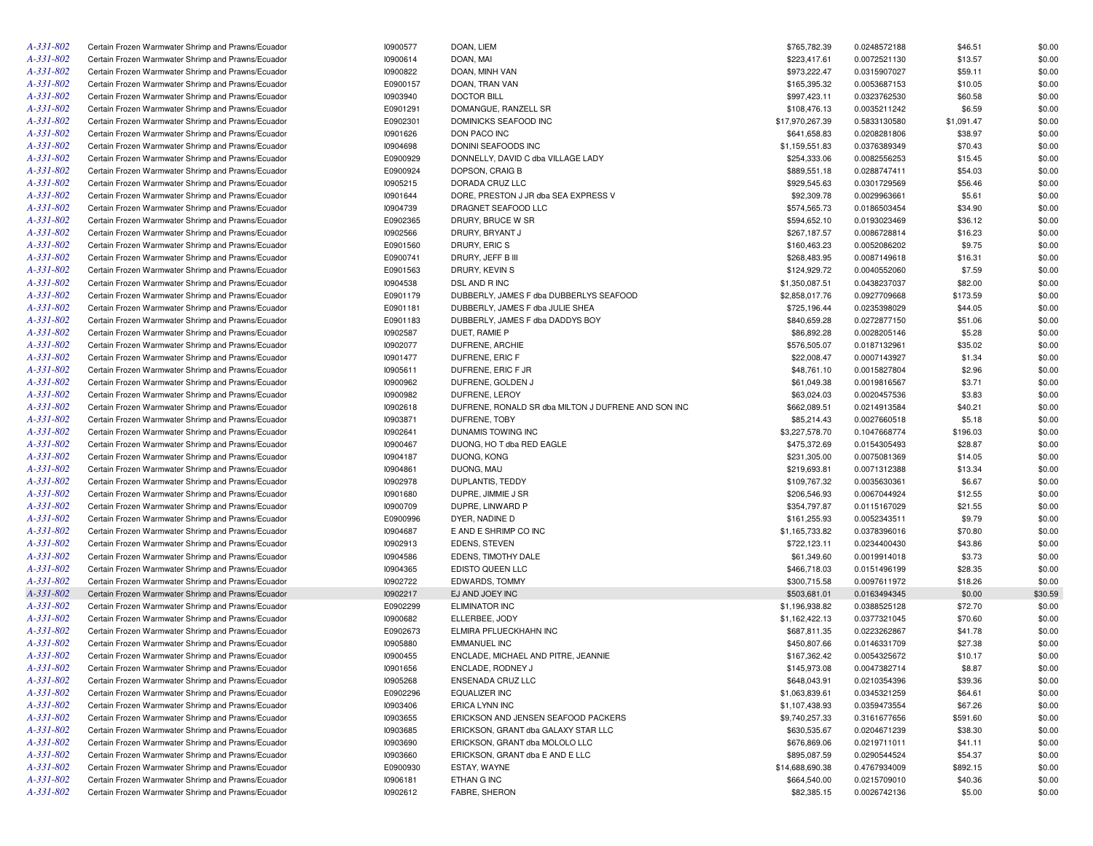| A-331-802       | Certain Frozen Warmwater Shrimp and Prawns/Ecuador | 10900577 | DOAN, LIEM                                          | \$765,782.39    | 0.0248572188 | \$46.51    | \$0.00  |
|-----------------|----------------------------------------------------|----------|-----------------------------------------------------|-----------------|--------------|------------|---------|
| A-331-802       | Certain Frozen Warmwater Shrimp and Prawns/Ecuador | 10900614 | DOAN, MAI                                           | \$223,417.61    | 0.0072521130 | \$13.57    | \$0.00  |
| A-331-802       | Certain Frozen Warmwater Shrimp and Prawns/Ecuador | 10900822 | DOAN, MINH VAN                                      | \$973,222.47    | 0.0315907027 | \$59.11    | \$0.00  |
| A-331-802       | Certain Frozen Warmwater Shrimp and Prawns/Ecuador | E0900157 | DOAN, TRAN VAN                                      | \$165,395.32    | 0.0053687153 | \$10.05    | \$0.00  |
| A-331-802       | Certain Frozen Warmwater Shrimp and Prawns/Ecuador | 10903940 | <b>DOCTOR BILL</b>                                  | \$997,423.11    | 0.0323762530 | \$60.58    | \$0.00  |
| A-331-802       | Certain Frozen Warmwater Shrimp and Prawns/Ecuador | E0901291 | DOMANGUE, RANZELL SR                                | \$108,476.13    | 0.0035211242 | \$6.59     | \$0.00  |
| A-331-802       | Certain Frozen Warmwater Shrimp and Prawns/Ecuador | E0902301 | DOMINICKS SEAFOOD INC                               | \$17,970,267.39 | 0.5833130580 | \$1,091.47 | \$0.00  |
| A-331-802       | Certain Frozen Warmwater Shrimp and Prawns/Ecuador | 10901626 | DON PACO INC                                        | \$641,658.83    | 0.0208281806 | \$38.97    | \$0.00  |
| A-331-802       | Certain Frozen Warmwater Shrimp and Prawns/Ecuador | 10904698 | DONINI SEAFOODS INC                                 | \$1,159,551.83  | 0.0376389349 | \$70.43    | \$0.00  |
| A-331-802       | Certain Frozen Warmwater Shrimp and Prawns/Ecuador | E0900929 | DONNELLY, DAVID C dba VILLAGE LADY                  | \$254,333.06    | 0.0082556253 | \$15.45    | \$0.00  |
| A-331-802       | Certain Frozen Warmwater Shrimp and Prawns/Ecuador | E0900924 | DOPSON, CRAIG B                                     | \$889,551.18    | 0.0288747411 | \$54.03    | \$0.00  |
| A-331-802       | Certain Frozen Warmwater Shrimp and Prawns/Ecuador | 10905215 | DORADA CRUZ LLC                                     | \$929,545.63    | 0.0301729569 | \$56.46    | \$0.00  |
| A-331-802       | Certain Frozen Warmwater Shrimp and Prawns/Ecuador | 10901644 | DORE, PRESTON J JR dba SEA EXPRESS V                | \$92,309.78     | 0.0029963661 | \$5.61     | \$0.00  |
| $A - 331 - 802$ | Certain Frozen Warmwater Shrimp and Prawns/Ecuador | 10904739 | DRAGNET SEAFOOD LLC                                 | \$574,565.73    | 0.0186503454 | \$34.90    | \$0.00  |
| A-331-802       | Certain Frozen Warmwater Shrimp and Prawns/Ecuador | E0902365 | DRURY, BRUCE W SR                                   | \$594,652.10    | 0.0193023469 | \$36.12    | \$0.00  |
| A-331-802       | Certain Frozen Warmwater Shrimp and Prawns/Ecuador | 10902566 | DRURY, BRYANT J                                     | \$267,187.57    | 0.0086728814 | \$16.23    | \$0.00  |
| A-331-802       | Certain Frozen Warmwater Shrimp and Prawns/Ecuador | E0901560 | DRURY, ERIC S                                       | \$160,463.23    | 0.0052086202 | \$9.75     | \$0.00  |
| A-331-802       | Certain Frozen Warmwater Shrimp and Prawns/Ecuador | E0900741 | DRURY, JEFF B III                                   | \$268,483.95    | 0.0087149618 | \$16.31    | \$0.00  |
| A-331-802       | Certain Frozen Warmwater Shrimp and Prawns/Ecuador | E0901563 | DRURY, KEVIN S                                      | \$124,929.72    | 0.0040552060 | \$7.59     | \$0.00  |
| A-331-802       | Certain Frozen Warmwater Shrimp and Prawns/Ecuador | 10904538 | DSL AND R INC                                       | \$1,350,087.51  | 0.0438237037 | \$82.00    | \$0.00  |
| A-331-802       | Certain Frozen Warmwater Shrimp and Prawns/Ecuador | E0901179 | DUBBERLY, JAMES F dba DUBBERLYS SEAFOOD             | \$2,858,017.76  | 0.0927709668 | \$173.59   | \$0.00  |
| A-331-802       | Certain Frozen Warmwater Shrimp and Prawns/Ecuador | E0901181 | DUBBERLY, JAMES F dba JULIE SHEA                    | \$725,196.44    | 0.0235398029 | \$44.05    | \$0.00  |
| A-331-802       | Certain Frozen Warmwater Shrimp and Prawns/Ecuador | E0901183 | DUBBERLY, JAMES F dba DADDYS BOY                    | \$840,659.28    | 0.0272877150 | \$51.06    | \$0.00  |
| A-331-802       | Certain Frozen Warmwater Shrimp and Prawns/Ecuador | 10902587 | DUET, RAMIE P                                       | \$86,892.28     | 0.0028205146 | \$5.28     | \$0.00  |
| A-331-802       | Certain Frozen Warmwater Shrimp and Prawns/Ecuador | 10902077 | DUFRENE, ARCHIE                                     | \$576,505.07    | 0.0187132961 | \$35.02    | \$0.00  |
| A-331-802       | Certain Frozen Warmwater Shrimp and Prawns/Ecuador | 10901477 | DUFRENE, ERIC F                                     | \$22,008.47     | 0.0007143927 | \$1.34     | \$0.00  |
| A-331-802       | Certain Frozen Warmwater Shrimp and Prawns/Ecuador | 10905611 | DUFRENE, ERIC F JR                                  | \$48,761.10     | 0.0015827804 | \$2.96     | \$0.00  |
| A-331-802       | Certain Frozen Warmwater Shrimp and Prawns/Ecuador | 10900962 | DUFRENE, GOLDEN J                                   | \$61,049.38     | 0.0019816567 | \$3.71     | \$0.00  |
| A-331-802       | Certain Frozen Warmwater Shrimp and Prawns/Ecuador | 10900982 | DUFRENE, LEROY                                      | \$63,024.03     | 0.0020457536 | \$3.83     | \$0.00  |
| A-331-802       | Certain Frozen Warmwater Shrimp and Prawns/Ecuador | 10902618 | DUFRENE, RONALD SR dba MILTON J DUFRENE AND SON INC | \$662,089.51    | 0.0214913584 | \$40.21    | \$0.00  |
| A-331-802       | Certain Frozen Warmwater Shrimp and Prawns/Ecuador | 10903871 | DUFRENE, TOBY                                       | \$85,214.43     | 0.0027660518 | \$5.18     | \$0.00  |
| A-331-802       | Certain Frozen Warmwater Shrimp and Prawns/Ecuador | 10902641 | DUNAMIS TOWING INC                                  | \$3,227,578.70  | 0.1047668774 | \$196.03   | \$0.00  |
| A-331-802       | Certain Frozen Warmwater Shrimp and Prawns/Ecuador | 10900467 | DUONG, HO T dba RED EAGLE                           | \$475,372.69    | 0.0154305493 | \$28.87    | \$0.00  |
| A-331-802       | Certain Frozen Warmwater Shrimp and Prawns/Ecuador | 10904187 | DUONG, KONG                                         | \$231,305.00    | 0.0075081369 | \$14.05    | \$0.00  |
| A-331-802       | Certain Frozen Warmwater Shrimp and Prawns/Ecuador | 10904861 | DUONG, MAU                                          | \$219,693.81    | 0.0071312388 | \$13.34    | \$0.00  |
| A-331-802       | Certain Frozen Warmwater Shrimp and Prawns/Ecuador | 10902978 | DUPLANTIS, TEDDY                                    | \$109,767.32    | 0.0035630361 | \$6.67     | \$0.00  |
| A-331-802       | Certain Frozen Warmwater Shrimp and Prawns/Ecuador | 10901680 | DUPRE, JIMMIE J SR                                  | \$206,546.93    | 0.0067044924 | \$12.55    | \$0.00  |
| A-331-802       | Certain Frozen Warmwater Shrimp and Prawns/Ecuador | 10900709 | DUPRE, LINWARD P                                    | \$354,797.87    | 0.0115167029 | \$21.55    | \$0.00  |
| A-331-802       | Certain Frozen Warmwater Shrimp and Prawns/Ecuador | E0900996 | DYER, NADINE D                                      | \$161,255.93    | 0.0052343511 | \$9.79     | \$0.00  |
| A-331-802       | Certain Frozen Warmwater Shrimp and Prawns/Ecuador | 10904687 | E AND E SHRIMP CO INC                               | \$1,165,733.82  | 0.0378396016 | \$70.80    | \$0.00  |
| A-331-802       | Certain Frozen Warmwater Shrimp and Prawns/Ecuador | 10902913 | <b>EDENS, STEVEN</b>                                | \$722,123.11    | 0.0234400430 | \$43.86    | \$0.00  |
| A-331-802       | Certain Frozen Warmwater Shrimp and Prawns/Ecuador | 10904586 | EDENS, TIMOTHY DALE                                 | \$61,349.60     | 0.0019914018 | \$3.73     | \$0.00  |
| A-331-802       | Certain Frozen Warmwater Shrimp and Prawns/Ecuador | 10904365 | EDISTO QUEEN LLC                                    | \$466,718.03    | 0.0151496199 | \$28.35    | \$0.00  |
| A-331-802       | Certain Frozen Warmwater Shrimp and Prawns/Ecuador | 10902722 | EDWARDS, TOMMY                                      | \$300,715.58    | 0.0097611972 | \$18.26    | \$0.00  |
| A-331-802       | Certain Frozen Warmwater Shrimp and Prawns/Ecuador | 10902217 | EJ AND JOEY INC                                     | \$503,681.01    | 0.0163494345 | \$0.00     | \$30.59 |
| A-331-802       | Certain Frozen Warmwater Shrimp and Prawns/Ecuador | E0902299 | <b>ELIMINATOR INC</b>                               | \$1,196,938.82  | 0.0388525128 | \$72.70    | \$0.00  |
| A-331-802       | Certain Frozen Warmwater Shrimp and Prawns/Ecuador | 10900682 | ELLERBEE, JODY                                      | \$1,162,422.13  | 0.0377321045 | \$70.60    | \$0.00  |
| A-331-802       | Certain Frozen Warmwater Shrimp and Prawns/Ecuador | E0902673 | ELMIRA PFLUECKHAHN INC                              | \$687,811.35    | 0.0223262867 | \$41.78    | \$0.00  |
| A-331-802       | Certain Frozen Warmwater Shrimp and Prawns/Ecuador | 10905880 | <b>EMMANUEL INC</b>                                 | \$450,807.66    | 0.0146331709 | \$27.38    | \$0.00  |
| $A - 331 - 802$ | Certain Frozen Warmwater Shrimp and Prawns/Ecuador | 10900455 | ENCLADE, MICHAEL AND PITRE, JEANNIE                 | \$167,362.42    | 0.0054325672 | \$10.17    | \$0.00  |
| A-331-802       | Certain Frozen Warmwater Shrimp and Prawns/Ecuador | 10901656 | ENCLADE, RODNEY J                                   | \$145,973.08    | 0.0047382714 | \$8.87     | \$0.00  |
| A-331-802       | Certain Frozen Warmwater Shrimp and Prawns/Ecuador | 10905268 | ENSENADA CRUZ LLC                                   | \$648,043.91    | 0.0210354396 | \$39.36    | \$0.00  |
| A-331-802       | Certain Frozen Warmwater Shrimp and Prawns/Ecuador | E0902296 | EQUALIZER INC                                       | \$1,063,839.61  | 0.0345321259 | \$64.61    | \$0.00  |
| A-331-802       | Certain Frozen Warmwater Shrimp and Prawns/Ecuador | 10903406 | ERICA LYNN INC                                      | \$1,107,438.93  | 0.0359473554 | \$67.26    | \$0.00  |
| A-331-802       | Certain Frozen Warmwater Shrimp and Prawns/Ecuador | 10903655 | ERICKSON AND JENSEN SEAFOOD PACKERS                 | \$9,740,257.33  | 0.3161677656 | \$591.60   | \$0.00  |
| A-331-802       | Certain Frozen Warmwater Shrimp and Prawns/Ecuador | 10903685 | ERICKSON, GRANT dba GALAXY STAR LLC                 | \$630,535.67    | 0.0204671239 | \$38.30    | \$0.00  |
| $A - 331 - 802$ | Certain Frozen Warmwater Shrimp and Prawns/Ecuador | 10903690 | ERICKSON, GRANT dba MOLOLO LLC                      | \$676,869.06    | 0.0219711011 | \$41.11    | \$0.00  |
| A-331-802       | Certain Frozen Warmwater Shrimp and Prawns/Ecuador | 10903660 | ERICKSON, GRANT dba E AND E LLC                     | \$895,087.59    | 0.0290544524 | \$54.37    | \$0.00  |
| A-331-802       | Certain Frozen Warmwater Shrimp and Prawns/Ecuador | E0900930 | ESTAY, WAYNE                                        | \$14,688,690.38 | 0.4767934009 | \$892.15   | \$0.00  |
| A-331-802       | Certain Frozen Warmwater Shrimp and Prawns/Ecuador | 10906181 | ETHAN G INC                                         | \$664,540.00    | 0.0215709010 | \$40.36    | \$0.00  |
| A-331-802       | Certain Frozen Warmwater Shrimp and Prawns/Ecuador | 10902612 | FABRE, SHERON                                       | \$82,385.15     | 0.0026742136 | \$5.00     | \$0.00  |
|                 |                                                    |          |                                                     |                 |              |            |         |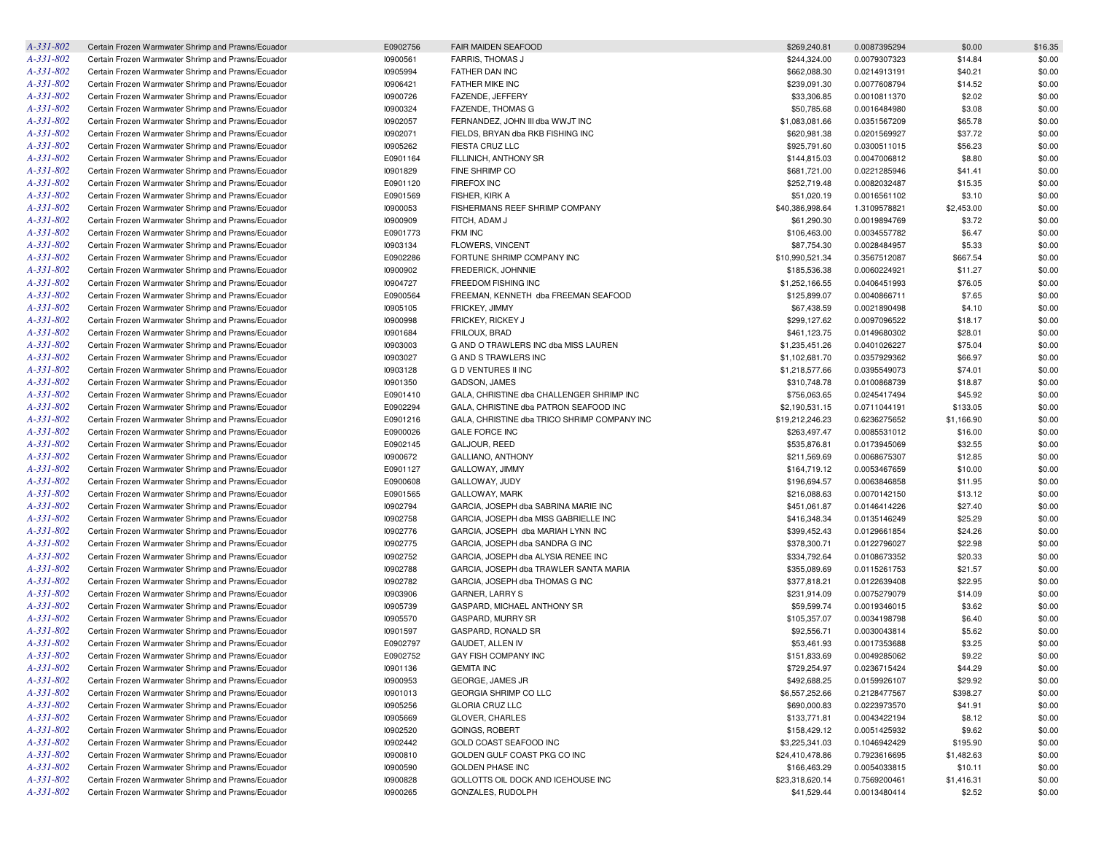| $A - 331 - 802$ | Certain Frozen Warmwater Shrimp and Prawns/Ecuador | E0902756 | <b>FAIR MAIDEN SEAFOOD</b>                   | \$269,240.81    | 0.0087395294 | \$0.00     | \$16.35 |
|-----------------|----------------------------------------------------|----------|----------------------------------------------|-----------------|--------------|------------|---------|
| $A-331-802$     | Certain Frozen Warmwater Shrimp and Prawns/Ecuador | 10900561 | <b>FARRIS, THOMAS J</b>                      | \$244,324.00    | 0.0079307323 | \$14.84    | \$0.00  |
| $A - 331 - 802$ | Certain Frozen Warmwater Shrimp and Prawns/Ecuador | 10905994 | FATHER DAN INC                               | \$662,088.30    | 0.0214913191 | \$40.21    | \$0.00  |
| A-331-802       | Certain Frozen Warmwater Shrimp and Prawns/Ecuador | 10906421 | FATHER MIKE INC                              | \$239,091.30    | 0.0077608794 | \$14.52    | \$0.00  |
| A-331-802       | Certain Frozen Warmwater Shrimp and Prawns/Ecuador | 10900726 | FAZENDE, JEFFERY                             | \$33,306.85     | 0.0010811370 | \$2.02     | \$0.00  |
| A-331-802       | Certain Frozen Warmwater Shrimp and Prawns/Ecuador | 10900324 | <b>FAZENDE, THOMAS G</b>                     | \$50,785.68     | 0.0016484980 | \$3.08     | \$0.00  |
| A-331-802       | Certain Frozen Warmwater Shrimp and Prawns/Ecuador | 10902057 | FERNANDEZ, JOHN III dba WWJT INC             | \$1,083,081.66  | 0.0351567209 | \$65.78    | \$0.00  |
| A-331-802       | Certain Frozen Warmwater Shrimp and Prawns/Ecuador | 10902071 | FIELDS, BRYAN dba RKB FISHING INC            | \$620,981.38    | 0.0201569927 | \$37.72    | \$0.00  |
| $A - 331 - 802$ | Certain Frozen Warmwater Shrimp and Prawns/Ecuador | 10905262 | FIESTA CRUZ LLC                              | \$925,791.60    | 0.0300511015 | \$56.23    | \$0.00  |
| A-331-802       | Certain Frozen Warmwater Shrimp and Prawns/Ecuador | E0901164 | FILLINICH, ANTHONY SR                        | \$144,815.03    | 0.0047006812 | \$8.80     | \$0.00  |
| A-331-802       | Certain Frozen Warmwater Shrimp and Prawns/Ecuador | 10901829 | FINE SHRIMP CO                               | \$681,721.00    | 0.0221285946 | \$41.41    | \$0.00  |
| A-331-802       | Certain Frozen Warmwater Shrimp and Prawns/Ecuador | E0901120 | <b>FIREFOX INC</b>                           | \$252,719.48    | 0.0082032487 | \$15.35    | \$0.00  |
| $A - 331 - 802$ | Certain Frozen Warmwater Shrimp and Prawns/Ecuador | E0901569 | FISHER, KIRK A                               | \$51,020.19     | 0.0016561102 | \$3.10     | \$0.00  |
| A-331-802       | Certain Frozen Warmwater Shrimp and Prawns/Ecuador | 10900053 | FISHERMANS REEF SHRIMP COMPANY               | \$40,386,998.64 | 1.3109578821 | \$2,453.00 | \$0.00  |
| $A - 331 - 802$ | Certain Frozen Warmwater Shrimp and Prawns/Ecuador | 10900909 | FITCH, ADAM J                                | \$61,290.30     | 0.0019894769 | \$3.72     | \$0.00  |
| A-331-802       | Certain Frozen Warmwater Shrimp and Prawns/Ecuador | E0901773 | <b>FKM INC</b>                               | \$106,463.00    | 0.0034557782 | \$6.47     | \$0.00  |
| A-331-802       | Certain Frozen Warmwater Shrimp and Prawns/Ecuador | 10903134 | FLOWERS, VINCENT                             | \$87,754.30     | 0.0028484957 | \$5.33     | \$0.00  |
| A-331-802       |                                                    |          |                                              |                 | 0.3567512087 |            |         |
|                 | Certain Frozen Warmwater Shrimp and Prawns/Ecuador | E0902286 | FORTUNE SHRIMP COMPANY INC                   | \$10,990,521.34 |              | \$667.54   | \$0.00  |
| A-331-802       | Certain Frozen Warmwater Shrimp and Prawns/Ecuador | 10900902 | FREDERICK, JOHNNIE                           | \$185,536.38    | 0.0060224921 | \$11.27    | \$0.00  |
| A-331-802       | Certain Frozen Warmwater Shrimp and Prawns/Ecuador | 10904727 | FREEDOM FISHING INC                          | \$1,252,166.55  | 0.0406451993 | \$76.05    | \$0.00  |
| $A - 331 - 802$ | Certain Frozen Warmwater Shrimp and Prawns/Ecuador | E0900564 | FREEMAN, KENNETH dba FREEMAN SEAFOOD         | \$125,899.07    | 0.0040866711 | \$7.65     | \$0.00  |
| A-331-802       | Certain Frozen Warmwater Shrimp and Prawns/Ecuador | 10905105 | FRICKEY, JIMMY                               | \$67,438.59     | 0.0021890498 | \$4.10     | \$0.00  |
| A-331-802       | Certain Frozen Warmwater Shrimp and Prawns/Ecuador | 10900998 | FRICKEY, RICKEY J                            | \$299,127.62    | 0.0097096522 | \$18.17    | \$0.00  |
| A-331-802       | Certain Frozen Warmwater Shrimp and Prawns/Ecuador | 10901684 | FRILOUX, BRAD                                | \$461,123.75    | 0.0149680302 | \$28.01    | \$0.00  |
| A-331-802       | Certain Frozen Warmwater Shrimp and Prawns/Ecuador | 10903003 | G AND O TRAWLERS INC dba MISS LAUREN         | \$1,235,451.26  | 0.0401026227 | \$75.04    | \$0.00  |
| A-331-802       | Certain Frozen Warmwater Shrimp and Prawns/Ecuador | 10903027 | <b>G AND S TRAWLERS INC</b>                  | \$1,102,681.70  | 0.0357929362 | \$66.97    | \$0.00  |
| $A - 331 - 802$ | Certain Frozen Warmwater Shrimp and Prawns/Ecuador | 10903128 | <b>GD VENTURES II INC</b>                    | \$1,218,577.66  | 0.0395549073 | \$74.01    | \$0.00  |
| A-331-802       | Certain Frozen Warmwater Shrimp and Prawns/Ecuador | 10901350 | GADSON, JAMES                                | \$310,748.78    | 0.0100868739 | \$18.87    | \$0.00  |
| A-331-802       | Certain Frozen Warmwater Shrimp and Prawns/Ecuador | E0901410 | GALA, CHRISTINE dba CHALLENGER SHRIMP INC    | \$756,063.65    | 0.0245417494 | \$45.92    | \$0.00  |
| A-331-802       | Certain Frozen Warmwater Shrimp and Prawns/Ecuador | E0902294 | GALA, CHRISTINE dba PATRON SEAFOOD INC       | \$2,190,531.15  | 0.0711044191 | \$133.05   | \$0.00  |
| A-331-802       | Certain Frozen Warmwater Shrimp and Prawns/Ecuador | E0901216 | GALA, CHRISTINE dba TRICO SHRIMP COMPANY INC | \$19,212,246.23 | 0.6236275652 | \$1,166.90 | \$0.00  |
| A-331-802       | Certain Frozen Warmwater Shrimp and Prawns/Ecuador | E0900026 | <b>GALE FORCE INC</b>                        | \$263,497.47    | 0.0085531012 | \$16.00    | \$0.00  |
| $A - 331 - 802$ | Certain Frozen Warmwater Shrimp and Prawns/Ecuador | E0902145 | GALJOUR, REED                                | \$535,876.81    | 0.0173945069 | \$32.55    | \$0.00  |
| A-331-802       | Certain Frozen Warmwater Shrimp and Prawns/Ecuador | 10900672 | <b>GALLIANO, ANTHONY</b>                     | \$211,569.69    | 0.0068675307 | \$12.85    | \$0.00  |
| A-331-802       | Certain Frozen Warmwater Shrimp and Prawns/Ecuador | E0901127 | GALLOWAY, JIMMY                              | \$164,719.12    | 0.0053467659 | \$10.00    | \$0.00  |
| A-331-802       | Certain Frozen Warmwater Shrimp and Prawns/Ecuador | E0900608 | GALLOWAY, JUDY                               | \$196,694.57    | 0.0063846858 | \$11.95    | \$0.00  |
| A-331-802       | Certain Frozen Warmwater Shrimp and Prawns/Ecuador | E0901565 | GALLOWAY, MARK                               | \$216,088.63    | 0.0070142150 | \$13.12    | \$0.00  |
| A-331-802       | Certain Frozen Warmwater Shrimp and Prawns/Ecuador | 10902794 | GARCIA, JOSEPH dba SABRINA MARIE INC         | \$451,061.87    | 0.0146414226 | \$27.40    | \$0.00  |
| A-331-802       | Certain Frozen Warmwater Shrimp and Prawns/Ecuador | 10902758 | GARCIA, JOSEPH dba MISS GABRIELLE INC        | \$416,348.34    | 0.0135146249 | \$25.29    | \$0.00  |
| A-331-802       | Certain Frozen Warmwater Shrimp and Prawns/Ecuador | 10902776 | GARCIA, JOSEPH dba MARIAH LYNN INC           | \$399,452.43    | 0.0129661854 | \$24.26    | \$0.00  |
| $A-331-802$     | Certain Frozen Warmwater Shrimp and Prawns/Ecuador | 10902775 | GARCIA, JOSEPH dba SANDRA G INC              | \$378,300.71    | 0.0122796027 | \$22.98    | \$0.00  |
| A-331-802       | Certain Frozen Warmwater Shrimp and Prawns/Ecuador | 10902752 | GARCIA, JOSEPH dba ALYSIA RENEE INC          | \$334,792.64    | 0.0108673352 | \$20.33    | \$0.00  |
| A-331-802       | Certain Frozen Warmwater Shrimp and Prawns/Ecuador | 10902788 | GARCIA, JOSEPH dba TRAWLER SANTA MARIA       | \$355,089.69    | 0.0115261753 | \$21.57    | \$0.00  |
| A-331-802       | Certain Frozen Warmwater Shrimp and Prawns/Ecuador | 10902782 | GARCIA, JOSEPH dba THOMAS G INC              | \$377,818.21    | 0.0122639408 | \$22.95    | \$0.00  |
| $A-331-802$     | Certain Frozen Warmwater Shrimp and Prawns/Ecuador | 10903906 | GARNER, LARRY S                              | \$231,914.09    | 0.0075279079 | \$14.09    | \$0.00  |
| A-331-802       | Certain Frozen Warmwater Shrimp and Prawns/Ecuador | 10905739 | GASPARD, MICHAEL ANTHONY SR                  | \$59,599.74     | 0.0019346015 | \$3.62     | \$0.00  |
| A-331-802       | Certain Frozen Warmwater Shrimp and Prawns/Ecuador | 10905570 | GASPARD, MURRY SR                            | \$105,357.07    | 0.0034198798 | \$6.40     | \$0.00  |
| A-331-802       | Certain Frozen Warmwater Shrimp and Prawns/Ecuador | 10901597 | GASPARD, RONALD SR                           | \$92,556.71     | 0.0030043814 | \$5.62     | \$0.00  |
| $A-331-802$     | Certain Frozen Warmwater Shrimp and Prawns/Ecuador | E0902797 | GAUDET, ALLEN IV                             | \$53,461.93     | 0.0017353688 | \$3.25     | \$0.00  |
| $A - 331 - 802$ | Certain Frozen Warmwater Shrimp and Prawns/Ecuador | E0902752 | GAY FISH COMPANY INC                         | \$151,833.69    | 0.0049285062 | \$9.22     | \$0.00  |
| $A-331-802$     | Certain Frozen Warmwater Shrimp and Prawns/Ecuador | 10901136 | <b>GEMITA INC</b>                            | \$729,254.97    | 0.0236715424 | \$44.29    | \$0.00  |
| $A - 331 - 802$ | Certain Frozen Warmwater Shrimp and Prawns/Ecuador | 10900953 | GEORGE, JAMES JR                             | \$492,688.25    | 0.0159926107 | \$29.92    | \$0.00  |
| $A - 331 - 802$ | Certain Frozen Warmwater Shrimp and Prawns/Ecuador | 10901013 | GEORGIA SHRIMP CO LLC                        | \$6,557,252.66  | 0.2128477567 | \$398.27   | \$0.00  |
| $A-331-802$     | Certain Frozen Warmwater Shrimp and Prawns/Ecuador | 10905256 | <b>GLORIA CRUZ LLC</b>                       | \$690,000.83    | 0.0223973570 | \$41.91    | \$0.00  |
| A-331-802       | Certain Frozen Warmwater Shrimp and Prawns/Ecuador | 10905669 | GLOVER, CHARLES                              | \$133,771.81    | 0.0043422194 | \$8.12     | \$0.00  |
| $A-331-802$     | Certain Frozen Warmwater Shrimp and Prawns/Ecuador | 10902520 | GOINGS, ROBERT                               | \$158,429.12    | 0.0051425932 | \$9.62     | \$0.00  |
| A-331-802       |                                                    |          | GOLD COAST SEAFOOD INC                       |                 |              |            |         |
|                 | Certain Frozen Warmwater Shrimp and Prawns/Ecuador | 10902442 |                                              | \$3,225,341.03  | 0.1046942429 | \$195.90   | \$0.00  |
| $A - 331 - 802$ | Certain Frozen Warmwater Shrimp and Prawns/Ecuador | 10900810 | GOLDEN GULF COAST PKG CO INC                 | \$24,410,478.86 | 0.7923616695 | \$1,482.63 | \$0.00  |
| A-331-802       | Certain Frozen Warmwater Shrimp and Prawns/Ecuador | 10900590 | <b>GOLDEN PHASE INC</b>                      | \$166,463.29    | 0.0054033815 | \$10.11    | \$0.00  |
| $A-331-802$     | Certain Frozen Warmwater Shrimp and Prawns/Ecuador | 10900828 | GOLLOTTS OIL DOCK AND ICEHOUSE INC           | \$23,318,620.14 | 0.7569200461 | \$1,416.31 | \$0.00  |
| $A-331-802$     | Certain Frozen Warmwater Shrimp and Prawns/Ecuador | 10900265 | GONZALES, RUDOLPH                            | \$41,529.44     | 0.0013480414 | \$2.52     | \$0.00  |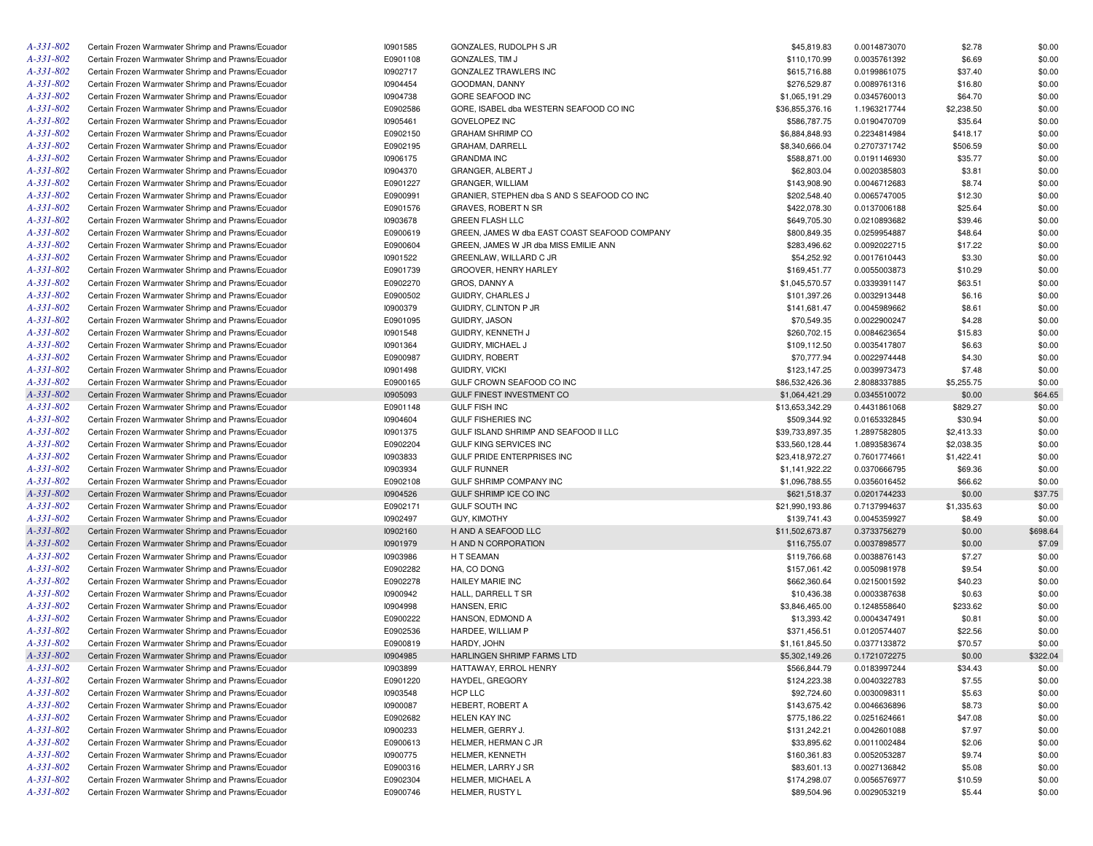| A-331-802 | Certain Frozen Warmwater Shrimp and Prawns/Ecuador | 10901585 | GONZALES, RUDOLPH S JR                        | \$45,819.83     | 0.0014873070 | \$2.78     | \$0.00   |
|-----------|----------------------------------------------------|----------|-----------------------------------------------|-----------------|--------------|------------|----------|
| A-331-802 | Certain Frozen Warmwater Shrimp and Prawns/Ecuador | E0901108 | GONZALES, TIM J                               | \$110,170.99    | 0.0035761392 | \$6.69     | \$0.00   |
| A-331-802 | Certain Frozen Warmwater Shrimp and Prawns/Ecuador | 10902717 | GONZALEZ TRAWLERS INC                         | \$615,716.88    | 0.0199861075 | \$37.40    | \$0.00   |
| A-331-802 | Certain Frozen Warmwater Shrimp and Prawns/Ecuador | 10904454 | GOODMAN, DANNY                                | \$276,529.87    | 0.0089761316 | \$16.80    | \$0.00   |
| A-331-802 | Certain Frozen Warmwater Shrimp and Prawns/Ecuador | 10904738 | GORE SEAFOOD INC                              | \$1,065,191.29  | 0.0345760013 | \$64.70    | \$0.00   |
| A-331-802 | Certain Frozen Warmwater Shrimp and Prawns/Ecuador | E0902586 | GORE, ISABEL dba WESTERN SEAFOOD CO INC       | \$36,855,376.16 | 1.1963217744 | \$2,238.50 | \$0.00   |
| A-331-802 | Certain Frozen Warmwater Shrimp and Prawns/Ecuador | 10905461 | GOVELOPEZ INC                                 | \$586,787.75    | 0.0190470709 | \$35.64    | \$0.00   |
| A-331-802 | Certain Frozen Warmwater Shrimp and Prawns/Ecuador | E0902150 | <b>GRAHAM SHRIMP CO</b>                       | \$6,884,848.93  | 0.2234814984 | \$418.17   | \$0.00   |
| A-331-802 | Certain Frozen Warmwater Shrimp and Prawns/Ecuador | E0902195 | GRAHAM, DARRELL                               | \$8,340,666.04  | 0.2707371742 | \$506.59   | \$0.00   |
|           |                                                    |          |                                               |                 |              |            |          |
| A-331-802 | Certain Frozen Warmwater Shrimp and Prawns/Ecuador | 10906175 | <b>GRANDMA INC</b>                            | \$588,871.00    | 0.0191146930 | \$35.77    | \$0.00   |
| A-331-802 | Certain Frozen Warmwater Shrimp and Prawns/Ecuador | 10904370 | GRANGER, ALBERT J                             | \$62,803.04     | 0.0020385803 | \$3.81     | \$0.00   |
| A-331-802 | Certain Frozen Warmwater Shrimp and Prawns/Ecuador | E0901227 | GRANGER, WILLIAM                              | \$143,908.90    | 0.0046712683 | \$8.74     | \$0.00   |
| A-331-802 | Certain Frozen Warmwater Shrimp and Prawns/Ecuador | E0900991 | GRANIER, STEPHEN dba S AND S SEAFOOD CO INC   | \$202,548.40    | 0.0065747005 | \$12.30    | \$0.00   |
| A-331-802 | Certain Frozen Warmwater Shrimp and Prawns/Ecuador | E0901576 | <b>GRAVES, ROBERT N SR</b>                    | \$422,078.30    | 0.0137006188 | \$25.64    | \$0.00   |
| A-331-802 | Certain Frozen Warmwater Shrimp and Prawns/Ecuador | 10903678 | <b>GREEN FLASH LLC</b>                        | \$649,705.30    | 0.0210893682 | \$39.46    | \$0.00   |
| A-331-802 | Certain Frozen Warmwater Shrimp and Prawns/Ecuador | E0900619 | GREEN, JAMES W dba EAST COAST SEAFOOD COMPANY | \$800,849.35    | 0.0259954887 | \$48.64    | \$0.00   |
| A-331-802 | Certain Frozen Warmwater Shrimp and Prawns/Ecuador | E0900604 | GREEN, JAMES W JR dba MISS EMILIE ANN         | \$283,496.62    | 0.0092022715 | \$17.22    | \$0.00   |
| A-331-802 | Certain Frozen Warmwater Shrimp and Prawns/Ecuador | 10901522 | GREENLAW, WILLARD C JR                        | \$54,252.92     | 0.0017610443 | \$3.30     | \$0.00   |
| A-331-802 | Certain Frozen Warmwater Shrimp and Prawns/Ecuador | E0901739 | GROOVER, HENRY HARLEY                         | \$169,451.77    | 0.0055003873 | \$10.29    | \$0.00   |
| A-331-802 | Certain Frozen Warmwater Shrimp and Prawns/Ecuador | E0902270 | GROS, DANNY A                                 | \$1,045,570.57  | 0.0339391147 | \$63.51    | \$0.00   |
| A-331-802 | Certain Frozen Warmwater Shrimp and Prawns/Ecuador | E0900502 | GUIDRY, CHARLES J                             | \$101,397.26    | 0.0032913448 | \$6.16     | \$0.00   |
| A-331-802 | Certain Frozen Warmwater Shrimp and Prawns/Ecuador | 10900379 | GUIDRY, CLINTON P JR                          | \$141,681.47    | 0.0045989662 | \$8.61     | \$0.00   |
| A-331-802 | Certain Frozen Warmwater Shrimp and Prawns/Ecuador | E0901095 | GUIDRY, JASON                                 | \$70,549.35     | 0.0022900247 | \$4.28     | \$0.00   |
| A-331-802 | Certain Frozen Warmwater Shrimp and Prawns/Ecuador | 10901548 | GUIDRY, KENNETH J                             | \$260,702.15    | 0.0084623654 | \$15.83    | \$0.00   |
| A-331-802 | Certain Frozen Warmwater Shrimp and Prawns/Ecuador | 10901364 | GUIDRY, MICHAEL J                             | \$109,112.50    | 0.0035417807 | \$6.63     | \$0.00   |
| A-331-802 | Certain Frozen Warmwater Shrimp and Prawns/Ecuador | E0900987 | <b>GUIDRY, ROBERT</b>                         | \$70,777.94     | 0.0022974448 | \$4.30     | \$0.00   |
| A-331-802 | Certain Frozen Warmwater Shrimp and Prawns/Ecuador | 10901498 | <b>GUIDRY, VICKI</b>                          | \$123,147.25    | 0.0039973473 | \$7.48     | \$0.00   |
| A-331-802 | Certain Frozen Warmwater Shrimp and Prawns/Ecuador | E0900165 | GULF CROWN SEAFOOD CO INC                     | \$86,532,426.36 | 2.8088337885 | \$5,255.75 | \$0.00   |
| A-331-802 | Certain Frozen Warmwater Shrimp and Prawns/Ecuador | 10905093 | GULF FINEST INVESTMENT CO                     | \$1,064,421.29  | 0.0345510072 | \$0.00     | \$64.65  |
| A-331-802 | Certain Frozen Warmwater Shrimp and Prawns/Ecuador | E0901148 | <b>GULF FISH INC</b>                          | \$13,653,342.29 | 0.4431861068 | \$829.27   | \$0.00   |
| A-331-802 | Certain Frozen Warmwater Shrimp and Prawns/Ecuador | 10904604 | <b>GULF FISHERIES INC</b>                     | \$509,344.92    | 0.0165332845 | \$30.94    | \$0.00   |
| A-331-802 | Certain Frozen Warmwater Shrimp and Prawns/Ecuador | 10901375 | GULF ISLAND SHRIMP AND SEAFOOD II LLC         | \$39,733,897.35 | 1.2897582805 | \$2,413.33 | \$0.00   |
| A-331-802 |                                                    |          |                                               |                 |              |            |          |
|           | Certain Frozen Warmwater Shrimp and Prawns/Ecuador | E0902204 | GULF KING SERVICES INC                        | \$33,560,128.44 | 1.0893583674 | \$2,038.35 | \$0.00   |
| A-331-802 | Certain Frozen Warmwater Shrimp and Prawns/Ecuador | 10903833 | GULF PRIDE ENTERPRISES INC                    | \$23,418,972.27 | 0.7601774661 | \$1,422.41 | \$0.00   |
| A-331-802 | Certain Frozen Warmwater Shrimp and Prawns/Ecuador | 10903934 | <b>GULF RUNNER</b>                            | \$1,141,922.22  | 0.0370666795 | \$69.36    | \$0.00   |
| A-331-802 | Certain Frozen Warmwater Shrimp and Prawns/Ecuador | E0902108 | GULF SHRIMP COMPANY INC                       | \$1,096,788.55  | 0.0356016452 | \$66.62    | \$0.00   |
| A-331-802 | Certain Frozen Warmwater Shrimp and Prawns/Ecuador | 10904526 | GULF SHRIMP ICE CO INC                        | \$621,518.37    | 0.0201744233 | \$0.00     | \$37.75  |
| A-331-802 | Certain Frozen Warmwater Shrimp and Prawns/Ecuador | E0902171 | <b>GULF SOUTH INC</b>                         | \$21,990,193.86 | 0.7137994637 | \$1,335.63 | \$0.00   |
| A-331-802 | Certain Frozen Warmwater Shrimp and Prawns/Ecuador | 10902497 | GUY, KIMOTHY                                  | \$139,741.43    | 0.0045359927 | \$8.49     | \$0.00   |
| A-331-802 | Certain Frozen Warmwater Shrimp and Prawns/Ecuador | 10902160 | H AND A SEAFOOD LLC                           | \$11,502,673.87 | 0.3733756279 | \$0.00     | \$698.64 |
| A-331-802 | Certain Frozen Warmwater Shrimp and Prawns/Ecuador | 10901979 | H AND N CORPORATION                           | \$116,755.07    | 0.0037898577 | \$0.00     | \$7.09   |
| A-331-802 | Certain Frozen Warmwater Shrimp and Prawns/Ecuador | 10903986 | H T SEAMAN                                    | \$119,766.68    | 0.0038876143 | \$7.27     | \$0.00   |
| A-331-802 | Certain Frozen Warmwater Shrimp and Prawns/Ecuador | E0902282 | HA, CO DONG                                   | \$157,061.42    | 0.0050981978 | \$9.54     | \$0.00   |
| A-331-802 | Certain Frozen Warmwater Shrimp and Prawns/Ecuador | E0902278 | HAILEY MARIE INC                              | \$662,360.64    | 0.0215001592 | \$40.23    | \$0.00   |
| A-331-802 | Certain Frozen Warmwater Shrimp and Prawns/Ecuador | 10900942 | HALL, DARRELL T SR                            | \$10,436.38     | 0.0003387638 | \$0.63     | \$0.00   |
| A-331-802 | Certain Frozen Warmwater Shrimp and Prawns/Ecuador | 10904998 | HANSEN, ERIC                                  | \$3,846,465.00  | 0.1248558640 | \$233.62   | \$0.00   |
| A-331-802 | Certain Frozen Warmwater Shrimp and Prawns/Ecuador | E0900222 | HANSON, EDMOND A                              | \$13,393.42     | 0.0004347491 | \$0.81     | \$0.00   |
| A-331-802 | Certain Frozen Warmwater Shrimp and Prawns/Ecuador | E0902536 | HARDEE, WILLIAM P                             | \$371,456.51    | 0.0120574407 | \$22.56    | \$0.00   |
| A-331-802 | Certain Frozen Warmwater Shrimp and Prawns/Ecuador | E0900819 | HARDY, JOHN                                   | \$1,161,845.50  | 0.0377133872 | \$70.57    | \$0.00   |
| A-331-802 | Certain Frozen Warmwater Shrimp and Prawns/Ecuador | 10904985 | HARLINGEN SHRIMP FARMS LTD                    | \$5,302,149.26  | 0.1721072275 | \$0.00     | \$322.04 |
| A-331-802 | Certain Frozen Warmwater Shrimp and Prawns/Ecuador | 10903899 | HATTAWAY, ERROL HENRY                         | \$566,844.79    | 0.0183997244 | \$34.43    | \$0.00   |
| A-331-802 | Certain Frozen Warmwater Shrimp and Prawns/Ecuador | E0901220 | HAYDEL, GREGORY                               | \$124,223.38    | 0.0040322783 | \$7.55     | \$0.00   |
| A-331-802 | Certain Frozen Warmwater Shrimp and Prawns/Ecuador | 10903548 | HCP LLC                                       | \$92,724.60     | 0.0030098311 | \$5.63     | \$0.00   |
| A-331-802 | Certain Frozen Warmwater Shrimp and Prawns/Ecuador | 10900087 | HEBERT, ROBERT A                              | \$143,675.42    | 0.0046636896 | \$8.73     | \$0.00   |
| A-331-802 | Certain Frozen Warmwater Shrimp and Prawns/Ecuador | E0902682 | HELEN KAY INC                                 | \$775,186.22    | 0.0251624661 | \$47.08    | \$0.00   |
| A-331-802 | Certain Frozen Warmwater Shrimp and Prawns/Ecuador |          | HELMER, GERRY J.                              | \$131,242.21    | 0.0042601088 | \$7.97     |          |
|           |                                                    | 10900233 |                                               |                 |              |            | \$0.00   |
| A-331-802 | Certain Frozen Warmwater Shrimp and Prawns/Ecuador | E0900613 | HELMER, HERMAN C JR                           | \$33,895.62     | 0.0011002484 | \$2.06     | \$0.00   |
| A-331-802 | Certain Frozen Warmwater Shrimp and Prawns/Ecuador | 10900775 | HELMER, KENNETH                               | \$160,361.83    | 0.0052053287 | \$9.74     | \$0.00   |
| A-331-802 | Certain Frozen Warmwater Shrimp and Prawns/Ecuador | E0900316 | HELMER, LARRY J SR                            | \$83,601.13     | 0.0027136842 | \$5.08     | \$0.00   |
| A-331-802 | Certain Frozen Warmwater Shrimp and Prawns/Ecuador | E0902304 | HELMER, MICHAEL A                             | \$174,298.07    | 0.0056576977 | \$10.59    | \$0.00   |
| A-331-802 | Certain Frozen Warmwater Shrimp and Prawns/Ecuador | E0900746 | HELMER, RUSTY L                               | \$89,504.96     | 0.0029053219 | \$5.44     | \$0.00   |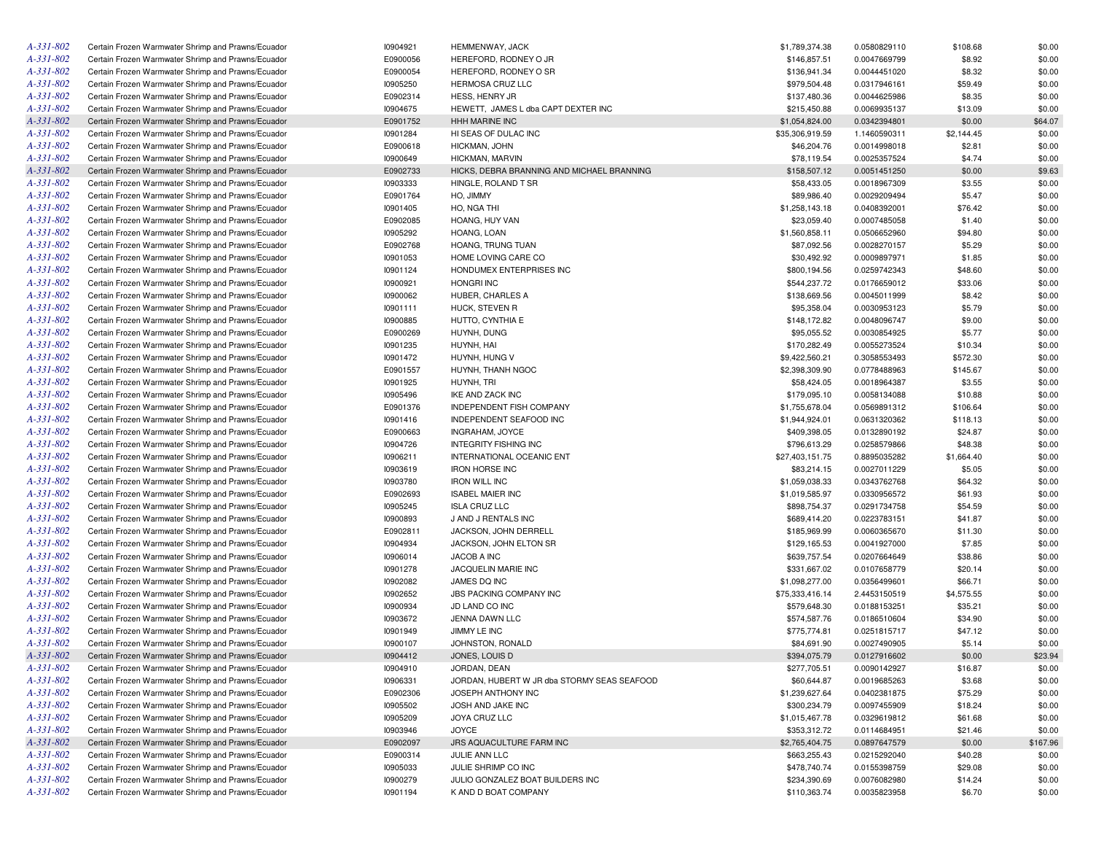| A-331-802       | Certain Frozen Warmwater Shrimp and Prawns/Ecuador | 10904921 | <b>HEMMENWAY, JACK</b>                      | \$1,789,374.38  | 0.0580829110 | \$108.68   | \$0.00   |
|-----------------|----------------------------------------------------|----------|---------------------------------------------|-----------------|--------------|------------|----------|
| A-331-802       | Certain Frozen Warmwater Shrimp and Prawns/Ecuador | E0900056 | HEREFORD, RODNEY O JR                       | \$146,857.51    | 0.0047669799 | \$8.92     | \$0.00   |
| A-331-802       | Certain Frozen Warmwater Shrimp and Prawns/Ecuador | E0900054 | HEREFORD, RODNEY O SR                       | \$136,941.34    | 0.0044451020 | \$8.32     | \$0.00   |
| A-331-802       | Certain Frozen Warmwater Shrimp and Prawns/Ecuador | 10905250 | <b>HERMOSA CRUZ LLC</b>                     | \$979,504.48    | 0.0317946161 | \$59.49    | \$0.00   |
| A-331-802       | Certain Frozen Warmwater Shrimp and Prawns/Ecuador | E0902314 | HESS, HENRY JR                              | \$137,480.36    | 0.0044625986 | \$8.35     | \$0.00   |
| A-331-802       | Certain Frozen Warmwater Shrimp and Prawns/Ecuador | 10904675 | HEWETT, JAMES L dba CAPT DEXTER INC         | \$215,450.88    | 0.0069935137 | \$13.09    | \$0.00   |
| A-331-802       | Certain Frozen Warmwater Shrimp and Prawns/Ecuador | E0901752 | <b>HHH MARINE INC</b>                       | \$1,054,824.00  | 0.0342394801 | \$0.00     | \$64.07  |
| A-331-802       | Certain Frozen Warmwater Shrimp and Prawns/Ecuador | 10901284 | HI SEAS OF DULAC INC                        | \$35,306,919.59 | 1.1460590311 | \$2,144.45 | \$0.00   |
| A-331-802       | Certain Frozen Warmwater Shrimp and Prawns/Ecuador | E0900618 | HICKMAN, JOHN                               | \$46,204.76     | 0.0014998018 | \$2.81     | \$0.00   |
| A-331-802       | Certain Frozen Warmwater Shrimp and Prawns/Ecuador | 10900649 | <b>HICKMAN, MARVIN</b>                      | \$78,119.54     | 0.0025357524 | \$4.74     | \$0.00   |
| A-331-802       | Certain Frozen Warmwater Shrimp and Prawns/Ecuador | E0902733 | HICKS, DEBRA BRANNING AND MICHAEL BRANNING  | \$158,507.12    | 0.0051451250 | \$0.00     | \$9.63   |
| A-331-802       | Certain Frozen Warmwater Shrimp and Prawns/Ecuador | 10903333 | HINGLE, ROLAND T SR                         | \$58,433.05     | 0.0018967309 | \$3.55     | \$0.00   |
| A-331-802       | Certain Frozen Warmwater Shrimp and Prawns/Ecuador | E0901764 | HO, JIMMY                                   | \$89,986.40     | 0.0029209494 | \$5.47     | \$0.00   |
| A-331-802       | Certain Frozen Warmwater Shrimp and Prawns/Ecuador | 10901405 | HO, NGA THI                                 | \$1,258,143.18  | 0.0408392001 | \$76.42    | \$0.00   |
| A-331-802       | Certain Frozen Warmwater Shrimp and Prawns/Ecuador | E0902085 | HOANG, HUY VAN                              | \$23,059.40     | 0.0007485058 | \$1.40     | \$0.00   |
| A-331-802       | Certain Frozen Warmwater Shrimp and Prawns/Ecuador | 10905292 | HOANG, LOAN                                 | \$1,560,858.11  | 0.0506652960 | \$94.80    | \$0.00   |
| A-331-802       | Certain Frozen Warmwater Shrimp and Prawns/Ecuador | E0902768 | HOANG, TRUNG TUAN                           | \$87,092.56     | 0.0028270157 | \$5.29     | \$0.00   |
| A-331-802       | Certain Frozen Warmwater Shrimp and Prawns/Ecuador | 10901053 | HOME LOVING CARE CO                         | \$30,492.92     | 0.0009897971 | \$1.85     | \$0.00   |
| A-331-802       |                                                    |          |                                             |                 |              |            | \$0.00   |
|                 | Certain Frozen Warmwater Shrimp and Prawns/Ecuador | 10901124 | HONDUMEX ENTERPRISES INC                    | \$800,194.56    | 0.0259742343 | \$48.60    |          |
| A-331-802       | Certain Frozen Warmwater Shrimp and Prawns/Ecuador | 10900921 | <b>HONGRI INC</b>                           | \$544,237.72    | 0.0176659012 | \$33.06    | \$0.00   |
| A-331-802       | Certain Frozen Warmwater Shrimp and Prawns/Ecuador | 10900062 | HUBER, CHARLES A                            | \$138,669.56    | 0.0045011999 | \$8.42     | \$0.00   |
| A-331-802       | Certain Frozen Warmwater Shrimp and Prawns/Ecuador | 10901111 | HUCK, STEVEN R                              | \$95,358.04     | 0.0030953123 | \$5.79     | \$0.00   |
| A-331-802       | Certain Frozen Warmwater Shrimp and Prawns/Ecuador | 10900885 | HUTTO, CYNTHIA E                            | \$148,172.82    | 0.0048096747 | \$9.00     | \$0.00   |
| A-331-802       | Certain Frozen Warmwater Shrimp and Prawns/Ecuador | E0900269 | HUYNH, DUNG                                 | \$95,055.52     | 0.0030854925 | \$5.77     | \$0.00   |
| A-331-802       | Certain Frozen Warmwater Shrimp and Prawns/Ecuador | 10901235 | HUYNH, HAI                                  | \$170,282.49    | 0.0055273524 | \$10.34    | \$0.00   |
| A-331-802       | Certain Frozen Warmwater Shrimp and Prawns/Ecuador | 10901472 | HUYNH, HUNG V                               | \$9,422,560.21  | 0.3058553493 | \$572.30   | \$0.00   |
| A-331-802       | Certain Frozen Warmwater Shrimp and Prawns/Ecuador | E0901557 | HUYNH, THANH NGOC                           | \$2,398,309.90  | 0.0778488963 | \$145.67   | \$0.00   |
| A-331-802       | Certain Frozen Warmwater Shrimp and Prawns/Ecuador | 10901925 | HUYNH, TRI                                  | \$58,424.05     | 0.0018964387 | \$3.55     | \$0.00   |
| A-331-802       | Certain Frozen Warmwater Shrimp and Prawns/Ecuador | 10905496 | IKE AND ZACK INC                            | \$179,095.10    | 0.0058134088 | \$10.88    | \$0.00   |
| A-331-802       | Certain Frozen Warmwater Shrimp and Prawns/Ecuador | E0901376 | <b>INDEPENDENT FISH COMPANY</b>             | \$1,755,678.04  | 0.0569891312 | \$106.64   | \$0.00   |
| A-331-802       | Certain Frozen Warmwater Shrimp and Prawns/Ecuador | 10901416 | INDEPENDENT SEAFOOD INC                     | \$1,944,924.01  | 0.0631320362 | \$118.13   | \$0.00   |
| A-331-802       | Certain Frozen Warmwater Shrimp and Prawns/Ecuador | E0900663 | INGRAHAM, JOYCE                             | \$409,398.05    | 0.0132890192 | \$24.87    | \$0.00   |
| A-331-802       | Certain Frozen Warmwater Shrimp and Prawns/Ecuador | 10904726 | <b>INTEGRITY FISHING INC</b>                | \$796,613.29    | 0.0258579866 | \$48.38    | \$0.00   |
| A-331-802       | Certain Frozen Warmwater Shrimp and Prawns/Ecuador | 10906211 | INTERNATIONAL OCEANIC ENT                   | \$27,403,151.75 | 0.8895035282 | \$1,664.40 | \$0.00   |
| A-331-802       | Certain Frozen Warmwater Shrimp and Prawns/Ecuador | 10903619 | <b>IRON HORSE INC</b>                       | \$83,214.15     | 0.0027011229 | \$5.05     | \$0.00   |
| A-331-802       | Certain Frozen Warmwater Shrimp and Prawns/Ecuador | 10903780 | <b>IRON WILL INC</b>                        | \$1,059,038.33  | 0.0343762768 | \$64.32    | \$0.00   |
| A-331-802       | Certain Frozen Warmwater Shrimp and Prawns/Ecuador | E0902693 | <b>ISABEL MAIER INC</b>                     | \$1,019,585.97  | 0.0330956572 | \$61.93    | \$0.00   |
| A-331-802       | Certain Frozen Warmwater Shrimp and Prawns/Ecuador | 10905245 | <b>ISLA CRUZ LLC</b>                        | \$898,754.37    | 0.0291734758 | \$54.59    | \$0.00   |
| A-331-802       | Certain Frozen Warmwater Shrimp and Prawns/Ecuador | 10900893 | J AND J RENTALS INC                         | \$689,414.20    | 0.0223783151 | \$41.87    | \$0.00   |
| A-331-802       | Certain Frozen Warmwater Shrimp and Prawns/Ecuador | E0902811 | JACKSON, JOHN DERRELL                       | \$185,969.99    | 0.0060365670 | \$11.30    | \$0.00   |
| A-331-802       | Certain Frozen Warmwater Shrimp and Prawns/Ecuador | 10904934 | JACKSON, JOHN ELTON SR                      | \$129,165.53    | 0.0041927000 | \$7.85     | \$0.00   |
| A-331-802       | Certain Frozen Warmwater Shrimp and Prawns/Ecuador | 10906014 | JACOB A INC                                 | \$639,757.54    | 0.0207664649 | \$38.86    | \$0.00   |
| A-331-802       | Certain Frozen Warmwater Shrimp and Prawns/Ecuador | 10901278 | JACQUELIN MARIE INC                         | \$331,667.02    | 0.0107658779 | \$20.14    | \$0.00   |
| A-331-802       | Certain Frozen Warmwater Shrimp and Prawns/Ecuador | 10902082 | JAMES DO INC                                | \$1,098,277.00  | 0.0356499601 | \$66.71    | \$0.00   |
| A-331-802       | Certain Frozen Warmwater Shrimp and Prawns/Ecuador | 10902652 | JBS PACKING COMPANY INC                     | \$75,333,416.14 | 2.4453150519 | \$4,575.55 | \$0.00   |
| A-331-802       | Certain Frozen Warmwater Shrimp and Prawns/Ecuador | 10900934 | JD LAND CO INC                              | \$579,648.30    | 0.0188153251 | \$35.21    | \$0.00   |
| A-331-802       | Certain Frozen Warmwater Shrimp and Prawns/Ecuador | 10903672 | JENNA DAWN LLC                              | \$574,587.76    | 0.0186510604 | \$34.90    | \$0.00   |
| A-331-802       | Certain Frozen Warmwater Shrimp and Prawns/Ecuador | 10901949 | JIMMY LE INC                                |                 | 0.0251815717 | \$47.12    | \$0.00   |
| A-331-802       |                                                    |          |                                             | \$775,774.81    |              |            |          |
|                 | Certain Frozen Warmwater Shrimp and Prawns/Ecuador | 10900107 | JOHNSTON, RONALD                            | \$84,691.90     | 0.0027490905 | \$5.14     | \$0.00   |
| $A - 331 - 802$ | Certain Frozen Warmwater Shrimp and Prawns/Ecuador | 10904412 | JONES, LOUIS D                              | \$394,075.79    | 0.0127916602 | \$0.00     | \$23.94  |
| A-331-802       | Certain Frozen Warmwater Shrimp and Prawns/Ecuador | 10904910 | JORDAN, DEAN                                | \$277,705.51    | 0.0090142927 | \$16.87    | \$0.00   |
| A-331-802       | Certain Frozen Warmwater Shrimp and Prawns/Ecuador | 10906331 | JORDAN, HUBERT W JR dba STORMY SEAS SEAFOOD | \$60,644.87     | 0.0019685263 | \$3.68     | \$0.00   |
| A-331-802       | Certain Frozen Warmwater Shrimp and Prawns/Ecuador | E0902306 | JOSEPH ANTHONY INC                          | \$1,239,627.64  | 0.0402381875 | \$75.29    | \$0.00   |
| A-331-802       | Certain Frozen Warmwater Shrimp and Prawns/Ecuador | 10905502 | JOSH AND JAKE INC                           | \$300,234.79    | 0.0097455909 | \$18.24    | \$0.00   |
| A-331-802       | Certain Frozen Warmwater Shrimp and Prawns/Ecuador | 10905209 | JOYA CRUZ LLC                               | \$1,015,467.78  | 0.0329619812 | \$61.68    | \$0.00   |
| A-331-802       | Certain Frozen Warmwater Shrimp and Prawns/Ecuador | 10903946 | JOYCE                                       | \$353,312.72    | 0.0114684951 | \$21.46    | \$0.00   |
| A-331-802       | Certain Frozen Warmwater Shrimp and Prawns/Ecuador | E0902097 | JRS AQUACULTURE FARM INC                    | \$2,765,404.75  | 0.0897647579 | \$0.00     | \$167.96 |
| A-331-802       | Certain Frozen Warmwater Shrimp and Prawns/Ecuador | E0900314 | JULIE ANN LLC                               | \$663,255.43    | 0.0215292040 | \$40.28    | \$0.00   |
| A-331-802       | Certain Frozen Warmwater Shrimp and Prawns/Ecuador | 10905033 | JULIE SHRIMP CO INC                         | \$478,740.74    | 0.0155398759 | \$29.08    | \$0.00   |
| A-331-802       | Certain Frozen Warmwater Shrimp and Prawns/Ecuador | 10900279 | JULIO GONZALEZ BOAT BUILDERS INC            | \$234,390.69    | 0.0076082980 | \$14.24    | \$0.00   |
| $A - 331 - 802$ | Certain Frozen Warmwater Shrimp and Prawns/Ecuador | 10901194 | K AND D BOAT COMPANY                        | \$110,363.74    | 0.0035823958 | \$6.70     | \$0.00   |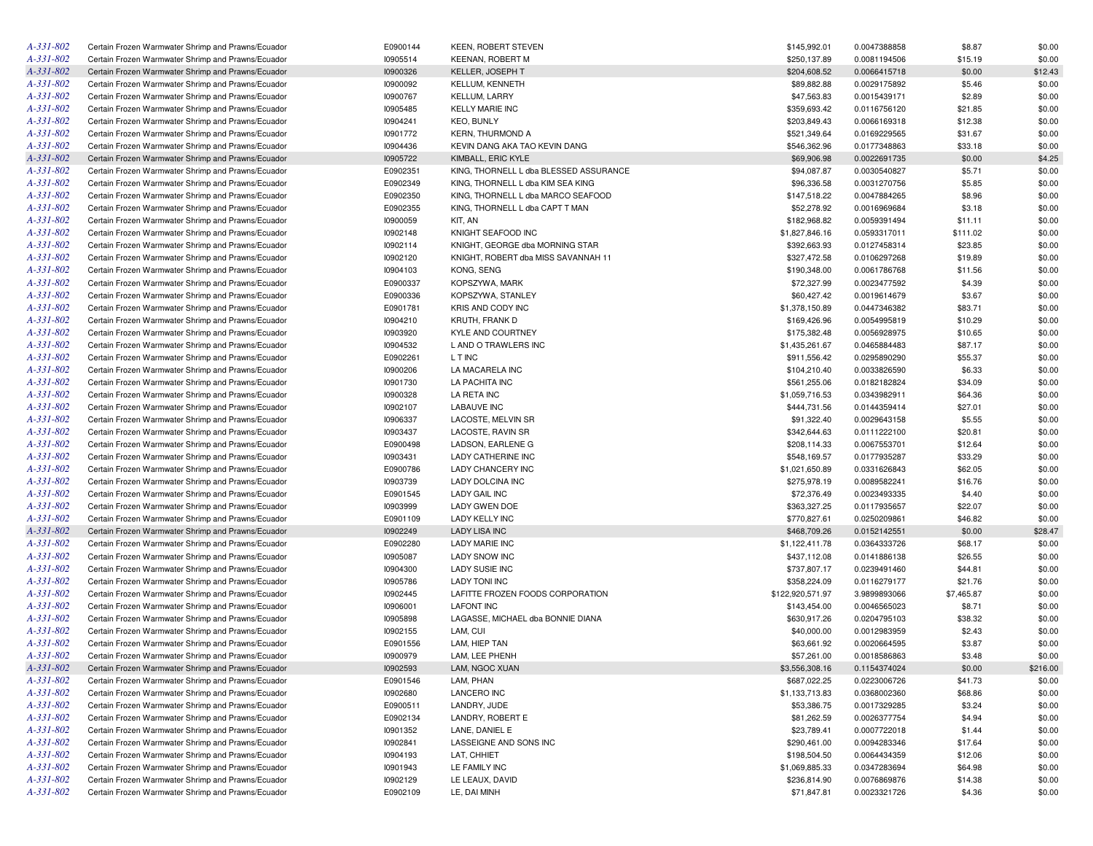| A-331-802 | Certain Frozen Warmwater Shrimp and Prawns/Ecuador | E0900144 | <b>KEEN, ROBERT STEVEN</b>             | \$145,992.01     | 0.0047388858 | \$8.87     | \$0.00   |
|-----------|----------------------------------------------------|----------|----------------------------------------|------------------|--------------|------------|----------|
| A-331-802 | Certain Frozen Warmwater Shrimp and Prawns/Ecuador | 10905514 | <b>KEENAN, ROBERT M</b>                | \$250,137.89     | 0.0081194506 | \$15.19    | \$0.00   |
| A-331-802 | Certain Frozen Warmwater Shrimp and Prawns/Ecuador | 10900326 | KELLER, JOSEPH T                       | \$204,608.52     | 0.0066415718 | \$0.00     | \$12.43  |
| A-331-802 | Certain Frozen Warmwater Shrimp and Prawns/Ecuador | 10900092 | KELLUM, KENNETH                        | \$89,882.88      | 0.0029175892 | \$5.46     | \$0.00   |
| A-331-802 | Certain Frozen Warmwater Shrimp and Prawns/Ecuador | 10900767 | KELLUM, LARRY                          | \$47,563.83      | 0.0015439171 | \$2.89     | \$0.00   |
| A-331-802 | Certain Frozen Warmwater Shrimp and Prawns/Ecuador | 10905485 | <b>KELLY MARIE INC</b>                 | \$359,693.42     | 0.0116756120 | \$21.85    | \$0.00   |
| A-331-802 | Certain Frozen Warmwater Shrimp and Prawns/Ecuador | 10904241 | <b>KEO, BUNLY</b>                      | \$203,849.43     | 0.0066169318 | \$12.38    | \$0.00   |
| A-331-802 | Certain Frozen Warmwater Shrimp and Prawns/Ecuador | 10901772 | <b>KERN. THURMOND A</b>                | \$521,349.64     | 0.0169229565 | \$31.67    | \$0.00   |
| A-331-802 | Certain Frozen Warmwater Shrimp and Prawns/Ecuador | 10904436 | KEVIN DANG AKA TAO KEVIN DANG          | \$546,362.96     | 0.0177348863 | \$33.18    | \$0.00   |
| A-331-802 | Certain Frozen Warmwater Shrimp and Prawns/Ecuador | 10905722 | KIMBALL, ERIC KYLE                     | \$69,906.98      | 0.0022691735 | \$0.00     | \$4.25   |
| A-331-802 | Certain Frozen Warmwater Shrimp and Prawns/Ecuador | E0902351 | KING, THORNELL L dba BLESSED ASSURANCE | \$94,087.87      | 0.0030540827 | \$5.71     | \$0.00   |
| A-331-802 | Certain Frozen Warmwater Shrimp and Prawns/Ecuador | E0902349 | KING, THORNELL L dba KIM SEA KING      | \$96,336.58      | 0.0031270756 | \$5.85     | \$0.00   |
| A-331-802 | Certain Frozen Warmwater Shrimp and Prawns/Ecuador | E0902350 | KING, THORNELL L dba MARCO SEAFOOD     | \$147,518.22     | 0.0047884265 | \$8.96     | \$0.00   |
| A-331-802 | Certain Frozen Warmwater Shrimp and Prawns/Ecuador | E0902355 | KING, THORNELL L dba CAPT T MAN        | \$52,278.92      | 0.0016969684 | \$3.18     | \$0.00   |
| A-331-802 | Certain Frozen Warmwater Shrimp and Prawns/Ecuador | 10900059 | KIT, AN                                | \$182,968.82     | 0.0059391494 | \$11.11    | \$0.00   |
| A-331-802 | Certain Frozen Warmwater Shrimp and Prawns/Ecuador | 10902148 | KNIGHT SEAFOOD INC                     | \$1,827,846.16   | 0.0593317011 | \$111.02   | \$0.00   |
| A-331-802 | Certain Frozen Warmwater Shrimp and Prawns/Ecuador | 10902114 | KNIGHT, GEORGE dba MORNING STAR        | \$392,663.93     | 0.0127458314 | \$23.85    | \$0.00   |
| A-331-802 | Certain Frozen Warmwater Shrimp and Prawns/Ecuador | 10902120 | KNIGHT, ROBERT dba MISS SAVANNAH 11    | \$327,472.58     | 0.0106297268 | \$19.89    | \$0.00   |
| A-331-802 |                                                    |          |                                        |                  |              |            | \$0.00   |
|           | Certain Frozen Warmwater Shrimp and Prawns/Ecuador | 10904103 | KONG, SENG                             | \$190,348.00     | 0.0061786768 | \$11.56    |          |
| A-331-802 | Certain Frozen Warmwater Shrimp and Prawns/Ecuador | E0900337 | KOPSZYWA, MARK                         | \$72,327.99      | 0.0023477592 | \$4.39     | \$0.00   |
| A-331-802 | Certain Frozen Warmwater Shrimp and Prawns/Ecuador | E0900336 | KOPSZYWA, STANLEY                      | \$60,427.42      | 0.0019614679 | \$3.67     | \$0.00   |
| A-331-802 | Certain Frozen Warmwater Shrimp and Prawns/Ecuador | E0901781 | KRIS AND CODY INC                      | \$1,378,150.89   | 0.0447346382 | \$83.71    | \$0.00   |
| A-331-802 | Certain Frozen Warmwater Shrimp and Prawns/Ecuador | 10904210 | KRUTH, FRANK D                         | \$169,426.96     | 0.0054995819 | \$10.29    | \$0.00   |
| A-331-802 | Certain Frozen Warmwater Shrimp and Prawns/Ecuador | 10903920 | KYLE AND COURTNEY                      | \$175,382.48     | 0.0056928975 | \$10.65    | \$0.00   |
| A-331-802 | Certain Frozen Warmwater Shrimp and Prawns/Ecuador | 10904532 | L AND O TRAWLERS INC                   | \$1,435,261.67   | 0.0465884483 | \$87.17    | \$0.00   |
| A-331-802 | Certain Frozen Warmwater Shrimp and Prawns/Ecuador | E0902261 | L T INC                                | \$911,556.42     | 0.0295890290 | \$55.37    | \$0.00   |
| A-331-802 | Certain Frozen Warmwater Shrimp and Prawns/Ecuador | 10900206 | LA MACARELA INC                        | \$104,210.40     | 0.0033826590 | \$6.33     | \$0.00   |
| A-331-802 | Certain Frozen Warmwater Shrimp and Prawns/Ecuador | 10901730 | LA PACHITA INC                         | \$561,255.06     | 0.0182182824 | \$34.09    | \$0.00   |
| A-331-802 | Certain Frozen Warmwater Shrimp and Prawns/Ecuador | 10900328 | LA RETA INC                            | \$1,059,716.53   | 0.0343982911 | \$64.36    | \$0.00   |
| A-331-802 | Certain Frozen Warmwater Shrimp and Prawns/Ecuador | 10902107 | <b>LABAUVE INC</b>                     | \$444,731.56     | 0.0144359414 | \$27.01    | \$0.00   |
| A-331-802 | Certain Frozen Warmwater Shrimp and Prawns/Ecuador | 10906337 | LACOSTE, MELVIN SR                     | \$91,322.40      | 0.0029643158 | \$5.55     | \$0.00   |
| A-331-802 | Certain Frozen Warmwater Shrimp and Prawns/Ecuador | 10903437 | LACOSTE, RAVIN SR                      | \$342,644.63     | 0.0111222100 | \$20.81    | \$0.00   |
| A-331-802 | Certain Frozen Warmwater Shrimp and Prawns/Ecuador | E0900498 | LADSON, EARLENE G                      | \$208,114.33     | 0.0067553701 | \$12.64    | \$0.00   |
| A-331-802 | Certain Frozen Warmwater Shrimp and Prawns/Ecuador | 10903431 | LADY CATHERINE INC                     | \$548,169.57     | 0.0177935287 | \$33.29    | \$0.00   |
| A-331-802 | Certain Frozen Warmwater Shrimp and Prawns/Ecuador | E0900786 | LADY CHANCERY INC                      | \$1,021,650.89   | 0.0331626843 | \$62.05    | \$0.00   |
| A-331-802 | Certain Frozen Warmwater Shrimp and Prawns/Ecuador | 10903739 | LADY DOLCINA INC                       | \$275,978.19     | 0.0089582241 | \$16.76    | \$0.00   |
| A-331-802 | Certain Frozen Warmwater Shrimp and Prawns/Ecuador | E0901545 | <b>LADY GAIL INC</b>                   | \$72,376.49      | 0.0023493335 | \$4.40     | \$0.00   |
| A-331-802 | Certain Frozen Warmwater Shrimp and Prawns/Ecuador | 10903999 | LADY GWEN DOE                          | \$363,327.25     | 0.0117935657 | \$22.07    | \$0.00   |
| A-331-802 | Certain Frozen Warmwater Shrimp and Prawns/Ecuador | E0901109 | <b>LADY KELLY INC</b>                  | \$770,827.61     | 0.0250209861 | \$46.82    | \$0.00   |
| A-331-802 | Certain Frozen Warmwater Shrimp and Prawns/Ecuador | 10902249 | <b>LADY LISA INC</b>                   | \$468,709.26     | 0.0152142551 | \$0.00     | \$28.47  |
| A-331-802 | Certain Frozen Warmwater Shrimp and Prawns/Ecuador | E0902280 | <b>LADY MARIE INC</b>                  | \$1,122,411.78   | 0.0364333726 | \$68.17    | \$0.00   |
| A-331-802 | Certain Frozen Warmwater Shrimp and Prawns/Ecuador | 10905087 | <b>LADY SNOW INC</b>                   | \$437,112.08     | 0.0141886138 | \$26.55    | \$0.00   |
| A-331-802 | Certain Frozen Warmwater Shrimp and Prawns/Ecuador | 10904300 | LADY SUSIE INC                         | \$737,807.17     | 0.0239491460 | \$44.81    | \$0.00   |
| A-331-802 | Certain Frozen Warmwater Shrimp and Prawns/Ecuador | 10905786 | <b>LADY TONI INC</b>                   | \$358,224.09     | 0.0116279177 | \$21.76    | \$0.00   |
| A-331-802 | Certain Frozen Warmwater Shrimp and Prawns/Ecuador | 10902445 | LAFITTE FROZEN FOODS CORPORATION       | \$122,920,571.97 | 3.9899893066 | \$7,465.87 | \$0.00   |
| A-331-802 | Certain Frozen Warmwater Shrimp and Prawns/Ecuador | 10906001 | <b>LAFONT INC</b>                      | \$143,454.00     | 0.0046565023 | \$8.71     | \$0.00   |
| A-331-802 | Certain Frozen Warmwater Shrimp and Prawns/Ecuador | 10905898 | LAGASSE, MICHAEL dba BONNIE DIANA      | \$630,917.26     | 0.0204795103 | \$38.32    | \$0.00   |
| A-331-802 | Certain Frozen Warmwater Shrimp and Prawns/Ecuador | 10902155 | LAM, CUI                               | \$40,000.00      | 0.0012983959 | \$2.43     | \$0.00   |
| A-331-802 | Certain Frozen Warmwater Shrimp and Prawns/Ecuador | E0901556 | LAM, HIEP TAN                          | \$63,661.92      | 0.0020664595 | \$3.87     | \$0.00   |
| A-331-802 | Certain Frozen Warmwater Shrimp and Prawns/Ecuador | 10900979 | LAM, LEE PHENH                         | \$57,261.00      | 0.0018586863 | \$3.48     | \$0.00   |
| A-331-802 | Certain Frozen Warmwater Shrimp and Prawns/Ecuador | 10902593 | LAM, NGOC XUAN                         | \$3,556,308.16   | 0.1154374024 | \$0.00     | \$216.00 |
| A-331-802 | Certain Frozen Warmwater Shrimp and Prawns/Ecuador | E0901546 | LAM, PHAN                              | \$687,022.25     | 0.0223006726 | \$41.73    | \$0.00   |
| A-331-802 | Certain Frozen Warmwater Shrimp and Prawns/Ecuador | 10902680 | LANCERO INC                            | \$1,133,713.83   | 0.0368002360 | \$68.86    | \$0.00   |
| A-331-802 | Certain Frozen Warmwater Shrimp and Prawns/Ecuador | E0900511 | LANDRY, JUDE                           | \$53,386.75      | 0.0017329285 | \$3.24     | \$0.00   |
| A-331-802 | Certain Frozen Warmwater Shrimp and Prawns/Ecuador | E0902134 | LANDRY, ROBERT E                       | \$81,262.59      | 0.0026377754 | \$4.94     | \$0.00   |
| A-331-802 |                                                    | 10901352 | LANE, DANIEL E                         |                  |              |            |          |
|           | Certain Frozen Warmwater Shrimp and Prawns/Ecuador |          |                                        | \$23,789.41      | 0.0007722018 | \$1.44     | \$0.00   |
| A-331-802 | Certain Frozen Warmwater Shrimp and Prawns/Ecuador | 10902841 | LASSEIGNE AND SONS INC                 | \$290,461.00     | 0.0094283346 | \$17.64    | \$0.00   |
| A-331-802 | Certain Frozen Warmwater Shrimp and Prawns/Ecuador | 10904193 | LAT, CHHIET                            | \$198,504.50     | 0.0064434359 | \$12.06    | \$0.00   |
| A-331-802 | Certain Frozen Warmwater Shrimp and Prawns/Ecuador | 10901943 | LE FAMILY INC                          | \$1,069,885.33   | 0.0347283694 | \$64.98    | \$0.00   |
| A-331-802 | Certain Frozen Warmwater Shrimp and Prawns/Ecuador | 10902129 | LE LEAUX, DAVID                        | \$236,814.90     | 0.0076869876 | \$14.38    | \$0.00   |
| A-331-802 | Certain Frozen Warmwater Shrimp and Prawns/Ecuador | E0902109 | LE, DAI MINH                           | \$71,847.81      | 0.0023321726 | \$4.36     | \$0.00   |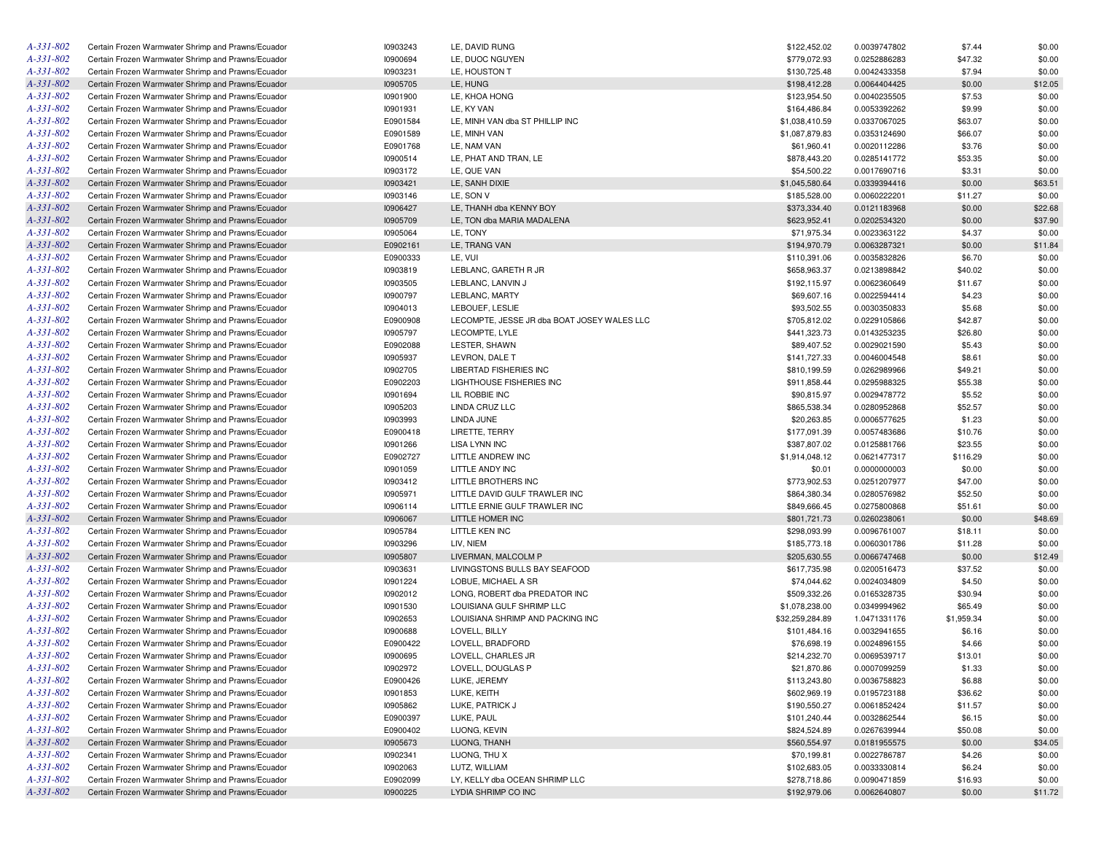| A-331-802       | Certain Frozen Warmwater Shrimp and Prawns/Ecuador | 10903243 | LE, DAVID RUNG                              | \$122,452.02    | 0.0039747802 | \$7.44     | \$0.00  |
|-----------------|----------------------------------------------------|----------|---------------------------------------------|-----------------|--------------|------------|---------|
| A-331-802       | Certain Frozen Warmwater Shrimp and Prawns/Ecuador | 10900694 | LE, DUOC NGUYEN                             | \$779,072.93    | 0.0252886283 | \$47.32    | \$0.00  |
| A-331-802       | Certain Frozen Warmwater Shrimp and Prawns/Ecuador | 10903231 | LE, HOUSTON T                               | \$130,725.48    | 0.0042433358 | \$7.94     | \$0.00  |
| A-331-802       | Certain Frozen Warmwater Shrimp and Prawns/Ecuador | 10905705 | LE, HUNG                                    | \$198,412.28    | 0.0064404425 | \$0.00     | \$12.05 |
| A-331-802       | Certain Frozen Warmwater Shrimp and Prawns/Ecuador | 10901900 | LE, KHOA HONG                               | \$123,954.50    | 0.0040235505 | \$7.53     | \$0.00  |
| A-331-802       | Certain Frozen Warmwater Shrimp and Prawns/Ecuador | 10901931 | LE, KY VAN                                  | \$164,486.84    | 0.0053392262 | \$9.99     | \$0.00  |
| A-331-802       | Certain Frozen Warmwater Shrimp and Prawns/Ecuador | E0901584 | LE, MINH VAN dba ST PHILLIP INC             | \$1,038,410.59  | 0.0337067025 | \$63.07    | \$0.00  |
| A-331-802       | Certain Frozen Warmwater Shrimp and Prawns/Ecuador | E0901589 | LE, MINH VAN                                | \$1,087,879.83  | 0.0353124690 | \$66.07    | \$0.00  |
| A-331-802       | Certain Frozen Warmwater Shrimp and Prawns/Ecuador | E0901768 | LE, NAM VAN                                 | \$61,960.41     | 0.0020112286 | \$3.76     | \$0.00  |
| A-331-802       | Certain Frozen Warmwater Shrimp and Prawns/Ecuador | 10900514 | LE, PHAT AND TRAN, LE                       | \$878,443.20    | 0.0285141772 | \$53.35    | \$0.00  |
| A-331-802       | Certain Frozen Warmwater Shrimp and Prawns/Ecuador | 10903172 | LE, QUE VAN                                 | \$54,500.22     | 0.0017690716 | \$3.31     | \$0.00  |
| A-331-802       | Certain Frozen Warmwater Shrimp and Prawns/Ecuador | 10903421 | LE, SANH DIXIE                              | \$1,045,580.64  | 0.0339394416 | \$0.00     | \$63.51 |
| A-331-802       | Certain Frozen Warmwater Shrimp and Prawns/Ecuador | 10903146 | LE, SON V                                   | \$185,528.00    | 0.0060222201 | \$11.27    | \$0.00  |
| A-331-802       | Certain Frozen Warmwater Shrimp and Prawns/Ecuador | 10906427 | LE, THANH dba KENNY BOY                     | \$373,334.40    | 0.0121183968 | \$0.00     | \$22.68 |
| $A - 331 - 802$ | Certain Frozen Warmwater Shrimp and Prawns/Ecuador | 10905709 | LE. TON dba MARIA MADALENA                  | \$623,952.41    | 0.0202534320 |            | \$37.90 |
| A-331-802       | Certain Frozen Warmwater Shrimp and Prawns/Ecuador |          | LE, TONY                                    |                 |              | \$0.00     |         |
|                 |                                                    | 10905064 |                                             | \$71,975.34     | 0.0023363122 | \$4.37     | \$0.00  |
| A-331-802       | Certain Frozen Warmwater Shrimp and Prawns/Ecuador | E0902161 | LE, TRANG VAN                               | \$194,970.79    | 0.0063287321 | \$0.00     | \$11.84 |
| A-331-802       | Certain Frozen Warmwater Shrimp and Prawns/Ecuador | E0900333 | LE, VUI                                     | \$110,391.06    | 0.0035832826 | \$6.70     | \$0.00  |
| A-331-802       | Certain Frozen Warmwater Shrimp and Prawns/Ecuador | 10903819 | LEBLANC, GARETH R JR                        | \$658,963.37    | 0.0213898842 | \$40.02    | \$0.00  |
| A-331-802       | Certain Frozen Warmwater Shrimp and Prawns/Ecuador | 10903505 | LEBLANC, LANVIN J                           | \$192,115.97    | 0.0062360649 | \$11.67    | \$0.00  |
| A-331-802       | Certain Frozen Warmwater Shrimp and Prawns/Ecuador | 10900797 | LEBLANC, MARTY                              | \$69,607.16     | 0.0022594414 | \$4.23     | \$0.00  |
| A-331-802       | Certain Frozen Warmwater Shrimp and Prawns/Ecuador | 10904013 | LEBOUEF, LESLIE                             | \$93,502.55     | 0.0030350833 | \$5.68     | \$0.00  |
| $A - 331 - 802$ | Certain Frozen Warmwater Shrimp and Prawns/Ecuador | E0900908 | LECOMPTE, JESSE JR dba BOAT JOSEY WALES LLC | \$705,812.02    | 0.0229105866 | \$42.87    | \$0.00  |
| A-331-802       | Certain Frozen Warmwater Shrimp and Prawns/Ecuador | 10905797 | LECOMPTE, LYLE                              | \$441,323.73    | 0.0143253235 | \$26.80    | \$0.00  |
| $A - 331 - 802$ | Certain Frozen Warmwater Shrimp and Prawns/Ecuador | E0902088 | LESTER, SHAWN                               | \$89,407.52     | 0.0029021590 | \$5.43     | \$0.00  |
| A-331-802       | Certain Frozen Warmwater Shrimp and Prawns/Ecuador | 10905937 | LEVRON, DALE T                              | \$141,727.33    | 0.0046004548 | \$8.61     | \$0.00  |
| $A - 331 - 802$ | Certain Frozen Warmwater Shrimp and Prawns/Ecuador | 10902705 | LIBERTAD FISHERIES INC                      | \$810,199.59    | 0.0262989966 | \$49.21    | \$0.00  |
| A-331-802       | Certain Frozen Warmwater Shrimp and Prawns/Ecuador | E0902203 | <b>LIGHTHOUSE FISHERIES INC</b>             | \$911,858.44    | 0.0295988325 | \$55.38    | \$0.00  |
| $A - 331 - 802$ | Certain Frozen Warmwater Shrimp and Prawns/Ecuador | 10901694 | LIL ROBBIE INC                              | \$90,815.97     | 0.0029478772 | \$5.52     | \$0.00  |
| A-331-802       | Certain Frozen Warmwater Shrimp and Prawns/Ecuador | 10905203 | LINDA CRUZ LLC                              | \$865,538.34    | 0.0280952868 | \$52.57    | \$0.00  |
| $A - 331 - 802$ | Certain Frozen Warmwater Shrimp and Prawns/Ecuador | 10903993 | LINDA JUNE                                  | \$20,263.85     | 0.0006577625 | \$1.23     | \$0.00  |
| A-331-802       | Certain Frozen Warmwater Shrimp and Prawns/Ecuador | E0900418 | LIRETTE, TERRY                              | \$177,091.39    | 0.0057483686 | \$10.76    | \$0.00  |
| A-331-802       | Certain Frozen Warmwater Shrimp and Prawns/Ecuador | 10901266 | <b>LISA LYNN INC</b>                        | \$387,807.02    | 0.0125881766 | \$23.55    | \$0.00  |
| A-331-802       | Certain Frozen Warmwater Shrimp and Prawns/Ecuador | E0902727 | LITTLE ANDREW INC                           | \$1,914,048.12  | 0.0621477317 | \$116.29   | \$0.00  |
| A-331-802       | Certain Frozen Warmwater Shrimp and Prawns/Ecuador | 10901059 | LITTLE ANDY INC                             | \$0.01          | 0.0000000003 | \$0.00     | \$0.00  |
| A-331-802       | Certain Frozen Warmwater Shrimp and Prawns/Ecuador | 10903412 | LITTLE BROTHERS INC                         | \$773,902.53    | 0.0251207977 | \$47.00    | \$0.00  |
| A-331-802       | Certain Frozen Warmwater Shrimp and Prawns/Ecuador | 10905971 | LITTLE DAVID GULF TRAWLER INC               | \$864,380.34    | 0.0280576982 | \$52.50    | \$0.00  |
| A-331-802       | Certain Frozen Warmwater Shrimp and Prawns/Ecuador | 10906114 | LITTLE ERNIE GULF TRAWLER INC               | \$849,666.45    | 0.0275800868 | \$51.61    | \$0.00  |
| A-331-802       | Certain Frozen Warmwater Shrimp and Prawns/Ecuador | 10906067 | LITTLE HOMER INC                            | \$801,721.73    | 0.0260238061 | \$0.00     | \$48.69 |
| A-331-802       | Certain Frozen Warmwater Shrimp and Prawns/Ecuador | 10905784 | LITTLE KEN INC                              | \$298,093.99    |              |            | \$0.00  |
| A-331-802       | Certain Frozen Warmwater Shrimp and Prawns/Ecuador | 10903296 | LIV, NIEM                                   |                 | 0.0096761007 | \$18.11    |         |
|                 |                                                    |          |                                             | \$185,773.18    | 0.0060301786 | \$11.28    | \$0.00  |
| A-331-802       | Certain Frozen Warmwater Shrimp and Prawns/Ecuador | 10905807 | LIVERMAN, MALCOLM P                         | \$205,630.55    | 0.0066747468 | \$0.00     | \$12.49 |
| A-331-802       | Certain Frozen Warmwater Shrimp and Prawns/Ecuador | 10903631 | LIVINGSTONS BULLS BAY SEAFOOD               | \$617,735.98    | 0.0200516473 | \$37.52    | \$0.00  |
| A-331-802       | Certain Frozen Warmwater Shrimp and Prawns/Ecuador | 10901224 | LOBUE, MICHAEL A SR                         | \$74,044.62     | 0.0024034809 | \$4.50     | \$0.00  |
| $A - 331 - 802$ | Certain Frozen Warmwater Shrimp and Prawns/Ecuador | 10902012 | LONG, ROBERT dba PREDATOR INC               | \$509,332.26    | 0.0165328735 | \$30.94    | \$0.00  |
| A-331-802       | Certain Frozen Warmwater Shrimp and Prawns/Ecuador | 10901530 | LOUISIANA GULF SHRIMP LLC                   | \$1,078,238.00  | 0.0349994962 | \$65.49    | \$0.00  |
| $A - 331 - 802$ | Certain Frozen Warmwater Shrimp and Prawns/Ecuador | 10902653 | LOUISIANA SHRIMP AND PACKING INC            | \$32,259,284.89 | 1.0471331176 | \$1,959.34 | \$0.00  |
| A-331-802       | Certain Frozen Warmwater Shrimp and Prawns/Ecuador | 10900688 | LOVELL, BILLY                               | \$101,484.16    | 0.0032941655 | \$6.16     | \$0.00  |
| $A - 331 - 802$ | Certain Frozen Warmwater Shrimp and Prawns/Ecuador | E0900422 | LOVELL, BRADFORD                            | \$76,698.19     | 0.0024896155 | \$4.66     | \$0.00  |
| A-331-802       | Certain Frozen Warmwater Shrimp and Prawns/Ecuador | 10900695 | LOVELL, CHARLES JR                          | \$214,232.70    | 0.0069539717 | \$13.01    | \$0.00  |
| A-331-802       | Certain Frozen Warmwater Shrimp and Prawns/Ecuador | 10902972 | LOVELL, DOUGLAS P                           | \$21,870.86     | 0.0007099259 | \$1.33     | \$0.00  |
| $A - 331 - 802$ | Certain Frozen Warmwater Shrimp and Prawns/Ecuador | E0900426 | LUKE, JEREMY                                | \$113,243.80    | 0.0036758823 | \$6.88     | \$0.00  |
| $A - 331 - 802$ | Certain Frozen Warmwater Shrimp and Prawns/Ecuador | 10901853 | LUKE, KEITH                                 | \$602,969.19    | 0.0195723188 | \$36.62    | \$0.00  |
| $A - 331 - 802$ | Certain Frozen Warmwater Shrimp and Prawns/Ecuador | 10905862 | LUKE, PATRICK J                             | \$190,550.27    | 0.0061852424 | \$11.57    | \$0.00  |
| $A - 331 - 802$ | Certain Frozen Warmwater Shrimp and Prawns/Ecuador | E0900397 | LUKE, PAUL                                  | \$101,240.44    | 0.0032862544 | \$6.15     | \$0.00  |
| $A - 331 - 802$ | Certain Frozen Warmwater Shrimp and Prawns/Ecuador | E0900402 | LUONG, KEVIN                                | \$824,524.89    | 0.0267639944 | \$50.08    | \$0.00  |
| A-331-802       | Certain Frozen Warmwater Shrimp and Prawns/Ecuador | 10905673 | LUONG, THANH                                | \$560,554.97    | 0.0181955575 | \$0.00     | \$34.05 |
| A-331-802       | Certain Frozen Warmwater Shrimp and Prawns/Ecuador | 10902341 | LUONG, THU X                                | \$70,199.81     | 0.0022786787 | \$4.26     | \$0.00  |
| $A - 331 - 802$ | Certain Frozen Warmwater Shrimp and Prawns/Ecuador | 10902063 | LUTZ, WILLIAM                               | \$102,683.05    | 0.0033330814 | \$6.24     | \$0.00  |
| A-331-802       | Certain Frozen Warmwater Shrimp and Prawns/Ecuador | E0902099 | LY, KELLY dba OCEAN SHRIMP LLC              | \$278,718.86    | 0.0090471859 | \$16.93    | \$0.00  |
| $A - 331 - 802$ | Certain Frozen Warmwater Shrimp and Prawns/Ecuador | 10900225 | LYDIA SHRIMP CO INC                         | \$192,979.06    | 0.0062640807 | \$0.00     | \$11.72 |
|                 |                                                    |          |                                             |                 |              |            |         |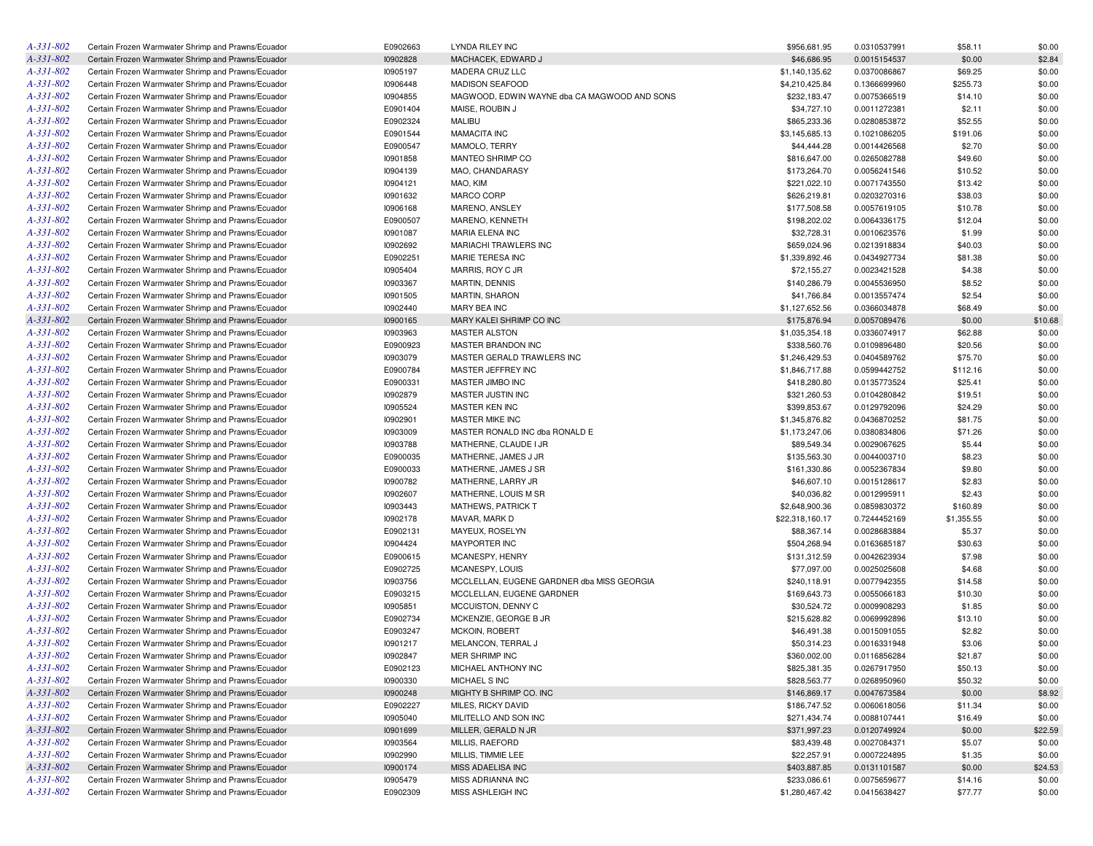| $A - 331 - 802$ | Certain Frozen Warmwater Shrimp and Prawns/Ecuador | E0902663 | LYNDA RILEY INC                              | \$956,681.95    | 0.0310537991 | \$58.11            | \$0.00  |
|-----------------|----------------------------------------------------|----------|----------------------------------------------|-----------------|--------------|--------------------|---------|
| $A - 331 - 802$ | Certain Frozen Warmwater Shrimp and Prawns/Ecuador | 10902828 | MACHACEK, EDWARD J                           | \$46,686.95     | 0.0015154537 | \$0.00             | \$2.84  |
| A-331-802       | Certain Frozen Warmwater Shrimp and Prawns/Ecuador | 10905197 | MADERA CRUZ LLC                              | \$1,140,135.62  | 0.0370086867 | \$69.25            | \$0.00  |
| A-331-802       | Certain Frozen Warmwater Shrimp and Prawns/Ecuador | 10906448 | <b>MADISON SEAFOOD</b>                       | \$4,210,425.84  | 0.1366699960 | \$255.73           | \$0.00  |
| A-331-802       | Certain Frozen Warmwater Shrimp and Prawns/Ecuador | 10904855 | MAGWOOD, EDWIN WAYNE dba CA MAGWOOD AND SONS | \$232,183.47    | 0.0075366519 | \$14.10            | \$0.00  |
| A-331-802       | Certain Frozen Warmwater Shrimp and Prawns/Ecuador | E0901404 | MAISE, ROUBIN J                              | \$34,727.10     | 0.0011272381 | \$2.11             | \$0.00  |
| A-331-802       | Certain Frozen Warmwater Shrimp and Prawns/Ecuador | E0902324 | <b>MALIBU</b>                                | \$865,233.36    | 0.0280853872 | \$52.55            | \$0.00  |
| A-331-802       | Certain Frozen Warmwater Shrimp and Prawns/Ecuador | E0901544 | <b>MAMACITA INC</b>                          | \$3,145,685.13  | 0.1021086205 | \$191.06           | \$0.00  |
| A-331-802       | Certain Frozen Warmwater Shrimp and Prawns/Ecuador | E0900547 | MAMOLO, TERRY                                | \$44,444.28     | 0.0014426568 | \$2.70             | \$0.00  |
| A-331-802       | Certain Frozen Warmwater Shrimp and Prawns/Ecuador | 10901858 | MANTEO SHRIMP CO                             | \$816,647.00    | 0.0265082788 | \$49.60            | \$0.00  |
| A-331-802       | Certain Frozen Warmwater Shrimp and Prawns/Ecuador | 10904139 | MAO, CHANDARASY                              | \$173,264.70    | 0.0056241546 | \$10.52            | \$0.00  |
| A-331-802       | Certain Frozen Warmwater Shrimp and Prawns/Ecuador | 10904121 | MAO, KIM                                     | \$221,022.10    | 0.0071743550 | \$13.42            | \$0.00  |
| A-331-802       | Certain Frozen Warmwater Shrimp and Prawns/Ecuador | 10901632 | MARCO CORP                                   | \$626,219.81    | 0.0203270316 | \$38.03            | \$0.00  |
| A-331-802       | Certain Frozen Warmwater Shrimp and Prawns/Ecuador | 10906168 | MARENO, ANSLEY                               | \$177,508.58    | 0.0057619105 | \$10.78            | \$0.00  |
| A-331-802       | Certain Frozen Warmwater Shrimp and Prawns/Ecuador | E0900507 | MARENO, KENNETH                              | \$198,202.02    | 0.0064336175 | \$12.04            | \$0.00  |
| A-331-802       | Certain Frozen Warmwater Shrimp and Prawns/Ecuador | 10901087 | MARIA ELENA INC                              | \$32,728.31     |              | \$1.99             | \$0.00  |
| A-331-802       |                                                    |          |                                              |                 | 0.0010623576 |                    |         |
|                 | Certain Frozen Warmwater Shrimp and Prawns/Ecuador | 10902692 | MARIACHI TRAWLERS INC                        | \$659,024.96    | 0.0213918834 | \$40.03            | \$0.00  |
| A-331-802       | Certain Frozen Warmwater Shrimp and Prawns/Ecuador | E0902251 | MARIE TERESA INC                             | \$1,339,892.46  | 0.0434927734 | \$81.38            | \$0.00  |
| A-331-802       | Certain Frozen Warmwater Shrimp and Prawns/Ecuador | 10905404 | MARRIS, ROY C JR                             | \$72,155.27     | 0.0023421528 | \$4.38             | \$0.00  |
| A-331-802       | Certain Frozen Warmwater Shrimp and Prawns/Ecuador | 10903367 | MARTIN, DENNIS                               | \$140,286.79    | 0.0045536950 | \$8.52             | \$0.00  |
| A-331-802       | Certain Frozen Warmwater Shrimp and Prawns/Ecuador | 10901505 | <b>MARTIN, SHARON</b>                        | \$41,766.84     | 0.0013557474 | \$2.54             | \$0.00  |
| A-331-802       | Certain Frozen Warmwater Shrimp and Prawns/Ecuador | 10902440 | MARY BEA INC                                 | \$1,127,652.56  | 0.0366034878 | \$68.49            | \$0.00  |
| A-331-802       | Certain Frozen Warmwater Shrimp and Prawns/Ecuador | 10900165 | MARY KALEI SHRIMP CO INC                     | \$175,876.94    | 0.0057089476 | \$0.00             | \$10.68 |
| A-331-802       | Certain Frozen Warmwater Shrimp and Prawns/Ecuador | 10903963 | <b>MASTER ALSTON</b>                         | \$1,035,354.18  | 0.0336074917 | \$62.88            | \$0.00  |
| A-331-802       | Certain Frozen Warmwater Shrimp and Prawns/Ecuador | E0900923 | MASTER BRANDON INC                           | \$338,560.76    | 0.0109896480 | \$20.56            | \$0.00  |
| A-331-802       | Certain Frozen Warmwater Shrimp and Prawns/Ecuador | 10903079 | MASTER GERALD TRAWLERS INC                   | \$1,246,429.53  | 0.0404589762 | \$75.70            | \$0.00  |
| A-331-802       | Certain Frozen Warmwater Shrimp and Prawns/Ecuador | E0900784 | MASTER JEFFREY INC                           | \$1,846,717.88  | 0.0599442752 | \$112.16           | \$0.00  |
| A-331-802       | Certain Frozen Warmwater Shrimp and Prawns/Ecuador | E0900331 | MASTER JIMBO INC                             | \$418,280.80    | 0.0135773524 | \$25.41            | \$0.00  |
| A-331-802       | Certain Frozen Warmwater Shrimp and Prawns/Ecuador | 10902879 | MASTER JUSTIN INC                            | \$321,260.53    | 0.0104280842 | \$19.51            | \$0.00  |
| A-331-802       | Certain Frozen Warmwater Shrimp and Prawns/Ecuador | 10905524 | MASTER KEN INC                               | \$399,853.67    | 0.0129792096 | \$24.29            | \$0.00  |
| A-331-802       | Certain Frozen Warmwater Shrimp and Prawns/Ecuador | 10902901 | MASTER MIKE INC                              | \$1,345,876.82  | 0.0436870252 | \$81.75            | \$0.00  |
| A-331-802       | Certain Frozen Warmwater Shrimp and Prawns/Ecuador | 10903009 | MASTER RONALD INC dba RONALD E               | \$1,173,247.06  | 0.0380834806 | \$71.26            | \$0.00  |
| A-331-802       | Certain Frozen Warmwater Shrimp and Prawns/Ecuador | 10903788 | MATHERNE, CLAUDE I JR                        | \$89,549.34     | 0.0029067625 | \$5.44             | \$0.00  |
| A-331-802       | Certain Frozen Warmwater Shrimp and Prawns/Ecuador | E0900035 | MATHERNE, JAMES J JR                         | \$135,563.30    | 0.0044003710 | \$8.23             | \$0.00  |
| A-331-802       | Certain Frozen Warmwater Shrimp and Prawns/Ecuador | E0900033 | MATHERNE, JAMES J SR                         | \$161,330.86    | 0.0052367834 | \$9.80             | \$0.00  |
| A-331-802       | Certain Frozen Warmwater Shrimp and Prawns/Ecuador | 10900782 | MATHERNE, LARRY JR                           | \$46,607.10     | 0.0015128617 | \$2.83             | \$0.00  |
| A-331-802       | Certain Frozen Warmwater Shrimp and Prawns/Ecuador | 10902607 | MATHERNE, LOUIS M SR                         | \$40,036.82     | 0.0012995911 | \$2.43             | \$0.00  |
| A-331-802       | Certain Frozen Warmwater Shrimp and Prawns/Ecuador | 10903443 | <b>MATHEWS, PATRICK T</b>                    | \$2,648,900.36  | 0.0859830372 | \$160.89           | \$0.00  |
| A-331-802       | Certain Frozen Warmwater Shrimp and Prawns/Ecuador | 10902178 | MAVAR, MARK D                                | \$22,318,160.17 | 0.7244452169 | \$1,355.55         | \$0.00  |
| A-331-802       | Certain Frozen Warmwater Shrimp and Prawns/Ecuador | E0902131 | MAYEUX, ROSELYN                              | \$88,367.14     | 0.0028683884 | \$5.37             | \$0.00  |
| A-331-802       | Certain Frozen Warmwater Shrimp and Prawns/Ecuador | 10904424 | MAYPORTER INC                                | \$504,268.94    | 0.0163685187 | \$30.63            | \$0.00  |
| A-331-802       | Certain Frozen Warmwater Shrimp and Prawns/Ecuador | E0900615 | MCANESPY, HENRY                              | \$131,312.59    | 0.0042623934 | \$7.98             | \$0.00  |
| A-331-802       | Certain Frozen Warmwater Shrimp and Prawns/Ecuador | E0902725 | MCANESPY, LOUIS                              | \$77,097.00     | 0.0025025608 | \$4.68             | \$0.00  |
| A-331-802       | Certain Frozen Warmwater Shrimp and Prawns/Ecuador | 10903756 | MCCLELLAN, EUGENE GARDNER dba MISS GEORGIA   | \$240,118.91    | 0.0077942355 |                    | \$0.00  |
| A-331-802       | Certain Frozen Warmwater Shrimp and Prawns/Ecuador | E0903215 | MCCLELLAN, EUGENE GARDNER                    | \$169,643.73    | 0.0055066183 | \$14.58<br>\$10.30 | \$0.00  |
|                 |                                                    |          |                                              |                 |              |                    |         |
| A-331-802       | Certain Frozen Warmwater Shrimp and Prawns/Ecuador | 10905851 | MCCUISTON, DENNY C                           | \$30,524.72     | 0.0009908293 | \$1.85             | \$0.00  |
| A-331-802       | Certain Frozen Warmwater Shrimp and Prawns/Ecuador | E0902734 | MCKENZIE, GEORGE B JR                        | \$215,628.82    | 0.0069992896 | \$13.10            | \$0.00  |
| A-331-802       | Certain Frozen Warmwater Shrimp and Prawns/Ecuador | E0903247 | MCKOIN, ROBERT                               | \$46,491.38     | 0.0015091055 | \$2.82             | \$0.00  |
| A-331-802       | Certain Frozen Warmwater Shrimp and Prawns/Ecuador | 10901217 | MELANCON, TERRAL J                           | \$50,314.23     | 0.0016331948 | \$3.06             | \$0.00  |
| A-331-802       | Certain Frozen Warmwater Shrimp and Prawns/Ecuador | 10902847 | MER SHRIMP INC                               | \$360,002.00    | 0.0116856284 | \$21.87            | \$0.00  |
| $A-331-802$     | Certain Frozen Warmwater Shrimp and Prawns/Ecuador | E0902123 | MICHAEL ANTHONY INC                          | \$825,381.35    | 0.0267917950 | \$50.13            | \$0.00  |
| $A-331-802$     | Certain Frozen Warmwater Shrimp and Prawns/Ecuador | 10900330 | MICHAEL S INC                                | \$828,563.77    | 0.0268950960 | \$50.32            | \$0.00  |
| A-331-802       | Certain Frozen Warmwater Shrimp and Prawns/Ecuador | 10900248 | MIGHTY B SHRIMP CO. INC                      | \$146,869.17    | 0.0047673584 | \$0.00             | \$8.92  |
| $A - 331 - 802$ | Certain Frozen Warmwater Shrimp and Prawns/Ecuador | E0902227 | MILES, RICKY DAVID                           | \$186,747.52    | 0.0060618056 | \$11.34            | \$0.00  |
| A-331-802       | Certain Frozen Warmwater Shrimp and Prawns/Ecuador | 10905040 | MILITELLO AND SON INC                        | \$271,434.74    | 0.0088107441 | \$16.49            | \$0.00  |
| $A - 331 - 802$ | Certain Frozen Warmwater Shrimp and Prawns/Ecuador | 10901699 | MILLER, GERALD N JR                          | \$371,997.23    | 0.0120749924 | \$0.00             | \$22.59 |
| A-331-802       | Certain Frozen Warmwater Shrimp and Prawns/Ecuador | 10903564 | MILLIS, RAEFORD                              | \$83,439.48     | 0.0027084371 | \$5.07             | \$0.00  |
| $A - 331 - 802$ | Certain Frozen Warmwater Shrimp and Prawns/Ecuador | 10902990 | MILLIS, TIMMIE LEE                           | \$22,257.91     | 0.0007224895 | \$1.35             | \$0.00  |
| $A - 331 - 802$ | Certain Frozen Warmwater Shrimp and Prawns/Ecuador | 10900174 | MISS ADAELISA INC                            | \$403,887.85    | 0.0131101587 | \$0.00             | \$24.53 |
| $A - 331 - 802$ | Certain Frozen Warmwater Shrimp and Prawns/Ecuador | 10905479 | MISS ADRIANNA INC                            | \$233,086.61    | 0.0075659677 | \$14.16            | \$0.00  |
| A-331-802       | Certain Frozen Warmwater Shrimp and Prawns/Ecuador | E0902309 | MISS ASHLEIGH INC                            | \$1,280,467.42  | 0.0415638427 | \$77.77            | \$0.00  |
|                 |                                                    |          |                                              |                 |              |                    |         |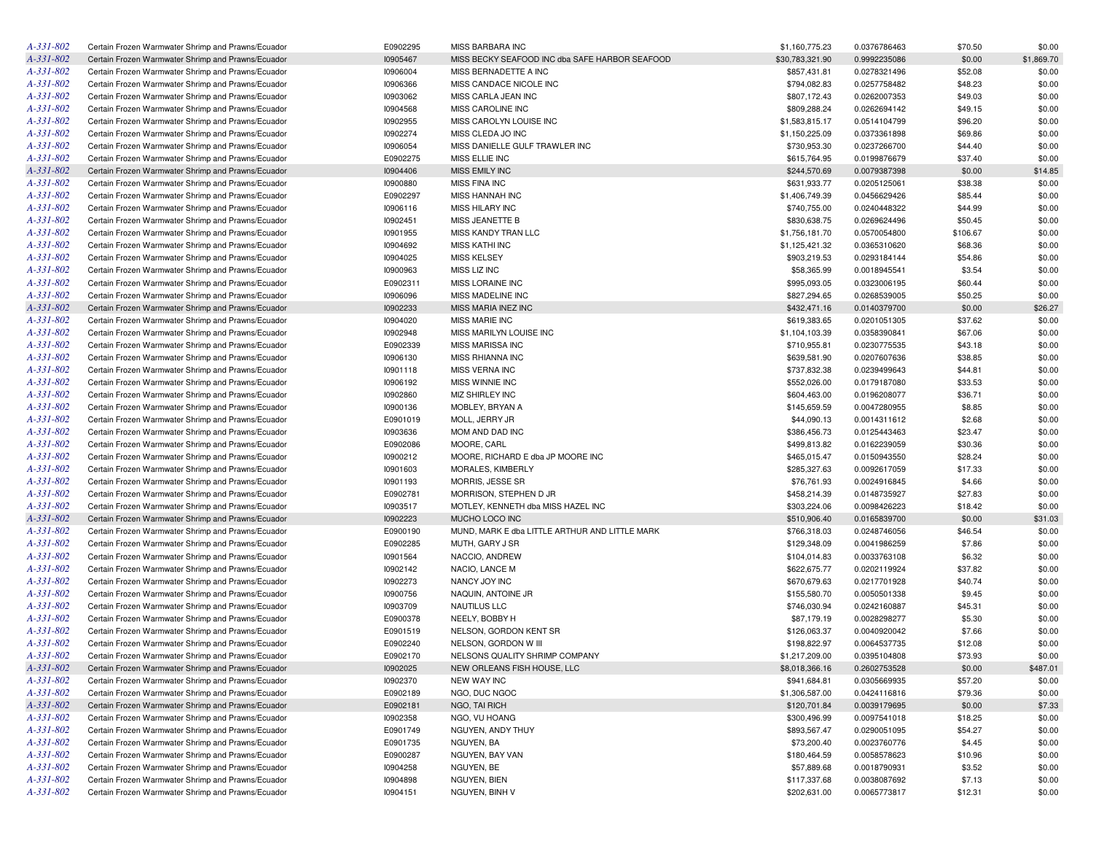| A-331-802       | Certain Frozen Warmwater Shrimp and Prawns/Ecuador | E0902295 | MISS BARBARA INC                               | \$1,160,775.23  | 0.0376786463 | \$70.50  | \$0.00     |
|-----------------|----------------------------------------------------|----------|------------------------------------------------|-----------------|--------------|----------|------------|
| A-331-802       | Certain Frozen Warmwater Shrimp and Prawns/Ecuador | 10905467 | MISS BECKY SEAFOOD INC dba SAFE HARBOR SEAFOOD | \$30,783,321.90 | 0.9992235086 | \$0.00   | \$1,869.70 |
| A-331-802       | Certain Frozen Warmwater Shrimp and Prawns/Ecuador | 10906004 | MISS BERNADETTE A INC                          | \$857,431.81    | 0.0278321496 | \$52.08  | \$0.00     |
| A-331-802       | Certain Frozen Warmwater Shrimp and Prawns/Ecuador | 10906366 | MISS CANDACE NICOLE INC                        | \$794,082.83    | 0.0257758482 | \$48.23  | \$0.00     |
| A-331-802       | Certain Frozen Warmwater Shrimp and Prawns/Ecuador | 10903062 | MISS CARLA JEAN INC                            | \$807,172.43    | 0.0262007353 | \$49.03  | \$0.00     |
| A-331-802       | Certain Frozen Warmwater Shrimp and Prawns/Ecuador | 10904568 | MISS CAROLINE INC                              | \$809,288.24    | 0.0262694142 | \$49.15  | \$0.00     |
| A-331-802       | Certain Frozen Warmwater Shrimp and Prawns/Ecuador | 10902955 | MISS CAROLYN LOUISE INC                        | \$1,583,815.17  | 0.0514104799 | \$96.20  | \$0.00     |
| A-331-802       | Certain Frozen Warmwater Shrimp and Prawns/Ecuador | 10902274 | MISS CLEDA JO INC                              | \$1,150,225.09  | 0.0373361898 | \$69.86  | \$0.00     |
| A-331-802       | Certain Frozen Warmwater Shrimp and Prawns/Ecuador | 10906054 | MISS DANIELLE GULF TRAWLER INC                 | \$730,953.30    | 0.0237266700 | \$44.40  | \$0.00     |
| A-331-802       | Certain Frozen Warmwater Shrimp and Prawns/Ecuador | E0902275 | MISS ELLIE INC                                 | \$615,764.95    | 0.0199876679 | \$37.40  | \$0.00     |
| A-331-802       | Certain Frozen Warmwater Shrimp and Prawns/Ecuador | 10904406 | <b>MISS EMILY INC</b>                          | \$244,570.69    | 0.0079387398 | \$0.00   | \$14.85    |
| A-331-802       | Certain Frozen Warmwater Shrimp and Prawns/Ecuador | 10900880 | <b>MISS FINA INC</b>                           | \$631,933.77    | 0.0205125061 | \$38.38  | \$0.00     |
| $A - 331 - 802$ |                                                    | E0902297 |                                                |                 |              |          |            |
|                 | Certain Frozen Warmwater Shrimp and Prawns/Ecuador |          | <b>MISS HANNAH INC</b>                         | \$1,406,749.39  | 0.0456629426 | \$85.44  | \$0.00     |
| A-331-802       | Certain Frozen Warmwater Shrimp and Prawns/Ecuador | 10906116 | <b>MISS HILARY INC</b>                         | \$740,755.00    | 0.0240448322 | \$44.99  | \$0.00     |
| $A - 331 - 802$ | Certain Frozen Warmwater Shrimp and Prawns/Ecuador | 10902451 | MISS JEANETTE B                                | \$830,638.75    | 0.0269624496 | \$50.45  | \$0.00     |
| A-331-802       | Certain Frozen Warmwater Shrimp and Prawns/Ecuador | 10901955 | MISS KANDY TRAN LLC                            | \$1,756,181.70  | 0.0570054800 | \$106.67 | \$0.00     |
| $A - 331 - 802$ | Certain Frozen Warmwater Shrimp and Prawns/Ecuador | 10904692 | <b>MISS KATHI INC</b>                          | \$1,125,421.32  | 0.0365310620 | \$68.36  | \$0.00     |
| A-331-802       | Certain Frozen Warmwater Shrimp and Prawns/Ecuador | 10904025 | <b>MISS KELSEY</b>                             | \$903,219.53    | 0.0293184144 | \$54.86  | \$0.00     |
| $A - 331 - 802$ | Certain Frozen Warmwater Shrimp and Prawns/Ecuador | 10900963 | MISS LIZ INC                                   | \$58,365.99     | 0.0018945541 | \$3.54   | \$0.00     |
| A-331-802       | Certain Frozen Warmwater Shrimp and Prawns/Ecuador | E0902311 | MISS LORAINE INC                               | \$995,093.05    | 0.0323006195 | \$60.44  | \$0.00     |
| A-331-802       | Certain Frozen Warmwater Shrimp and Prawns/Ecuador | 10906096 | MISS MADELINE INC                              | \$827,294.65    | 0.0268539005 | \$50.25  | \$0.00     |
| A-331-802       | Certain Frozen Warmwater Shrimp and Prawns/Ecuador | 10902233 | MISS MARIA INEZ INC                            | \$432,471.16    | 0.0140379700 | \$0.00   | \$26.27    |
| $A - 331 - 802$ | Certain Frozen Warmwater Shrimp and Prawns/Ecuador | 10904020 | <b>MISS MARIE INC</b>                          | \$619,383.65    | 0.0201051305 | \$37.62  | \$0.00     |
| A-331-802       | Certain Frozen Warmwater Shrimp and Prawns/Ecuador | 10902948 | MISS MARILYN LOUISE INC                        | \$1,104,103.39  | 0.0358390841 | \$67.06  | \$0.00     |
| $A - 331 - 802$ | Certain Frozen Warmwater Shrimp and Prawns/Ecuador | E0902339 | <b>MISS MARISSA INC</b>                        | \$710,955.81    | 0.0230775535 | \$43.18  | \$0.00     |
| A-331-802       | Certain Frozen Warmwater Shrimp and Prawns/Ecuador | 10906130 | MISS RHIANNA INC                               | \$639,581.90    | 0.0207607636 | \$38.85  | \$0.00     |
| A-331-802       | Certain Frozen Warmwater Shrimp and Prawns/Ecuador | 10901118 | MISS VERNA INC                                 | \$737,832.38    | 0.0239499643 | \$44.81  | \$0.00     |
| A-331-802       | Certain Frozen Warmwater Shrimp and Prawns/Ecuador | 10906192 | <b>MISS WINNIE INC</b>                         | \$552,026.00    | 0.0179187080 | \$33.53  | \$0.00     |
| $A - 331 - 802$ | Certain Frozen Warmwater Shrimp and Prawns/Ecuador | 10902860 | MIZ SHIRLEY INC                                | \$604,463.00    | 0.0196208077 | \$36.71  | \$0.00     |
| A-331-802       | Certain Frozen Warmwater Shrimp and Prawns/Ecuador | 10900136 | MOBLEY, BRYAN A                                | \$145,659.59    | 0.0047280955 | \$8.85   | \$0.00     |
| $A - 331 - 802$ | Certain Frozen Warmwater Shrimp and Prawns/Ecuador | E0901019 | MOLL, JERRY JR                                 | \$44,090.13     | 0.0014311612 | \$2.68   | \$0.00     |
| A-331-802       | Certain Frozen Warmwater Shrimp and Prawns/Ecuador | 10903636 | MOM AND DAD INC                                | \$386,456.73    | 0.0125443463 | \$23.47  | \$0.00     |
| A-331-802       | Certain Frozen Warmwater Shrimp and Prawns/Ecuador | E0902086 | MOORE, CARL                                    | \$499,813.82    | 0.0162239059 | \$30.36  | \$0.00     |
| A-331-802       |                                                    |          |                                                |                 |              |          |            |
|                 | Certain Frozen Warmwater Shrimp and Prawns/Ecuador | 10900212 | MOORE, RICHARD E dba JP MOORE INC              | \$465,015.47    | 0.0150943550 | \$28.24  | \$0.00     |
| A-331-802       | Certain Frozen Warmwater Shrimp and Prawns/Ecuador | 10901603 | MORALES, KIMBERLY                              | \$285,327.63    | 0.0092617059 | \$17.33  | \$0.00     |
| A-331-802       | Certain Frozen Warmwater Shrimp and Prawns/Ecuador | 10901193 | MORRIS, JESSE SR                               | \$76,761.93     | 0.0024916845 | \$4.66   | \$0.00     |
| A-331-802       | Certain Frozen Warmwater Shrimp and Prawns/Ecuador | E0902781 | MORRISON, STEPHEN D JR                         | \$458,214.39    | 0.0148735927 | \$27.83  | \$0.00     |
| A-331-802       | Certain Frozen Warmwater Shrimp and Prawns/Ecuador | 10903517 | MOTLEY, KENNETH dba MISS HAZEL INC             | \$303,224.06    | 0.0098426223 | \$18.42  | \$0.00     |
| A-331-802       | Certain Frozen Warmwater Shrimp and Prawns/Ecuador | 10902223 | MUCHO LOCO INC                                 | \$510,906.40    | 0.0165839700 | \$0.00   | \$31.03    |
| A-331-802       | Certain Frozen Warmwater Shrimp and Prawns/Ecuador | E0900190 | MUND, MARK E dba LITTLE ARTHUR AND LITTLE MARK | \$766,318.03    | 0.0248746056 | \$46.54  | \$0.00     |
| A-331-802       | Certain Frozen Warmwater Shrimp and Prawns/Ecuador | E0902285 | MUTH, GARY J SR                                | \$129,348.09    | 0.0041986259 | \$7.86   | \$0.00     |
| A-331-802       | Certain Frozen Warmwater Shrimp and Prawns/Ecuador | 10901564 | NACCIO, ANDREW                                 | \$104,014.83    | 0.0033763108 | \$6.32   | \$0.00     |
| A-331-802       | Certain Frozen Warmwater Shrimp and Prawns/Ecuador | 10902142 | NACIO, LANCE M                                 | \$622,675.77    | 0.0202119924 | \$37.82  | \$0.00     |
| A-331-802       | Certain Frozen Warmwater Shrimp and Prawns/Ecuador | 10902273 | NANCY JOY INC                                  | \$670,679.63    | 0.0217701928 | \$40.74  | \$0.00     |
| $A - 331 - 802$ | Certain Frozen Warmwater Shrimp and Prawns/Ecuador | 10900756 | NAQUIN, ANTOINE JR                             | \$155,580.70    | 0.0050501338 | \$9.45   | \$0.00     |
| A-331-802       | Certain Frozen Warmwater Shrimp and Prawns/Ecuador | 10903709 | <b>NAUTILUS LLC</b>                            | \$746,030.94    | 0.0242160887 | \$45.31  | \$0.00     |
| $A - 331 - 802$ | Certain Frozen Warmwater Shrimp and Prawns/Ecuador | E0900378 | NEELY, BOBBY H                                 | \$87,179.19     | 0.0028298277 | \$5.30   | \$0.00     |
| A-331-802       | Certain Frozen Warmwater Shrimp and Prawns/Ecuador | E0901519 | NELSON, GORDON KENT SR                         | \$126,063.37    | 0.0040920042 | \$7.66   | \$0.00     |
| $A - 331 - 802$ | Certain Frozen Warmwater Shrimp and Prawns/Ecuador | E0902240 | NELSON, GORDON W III                           | \$198,822.97    | 0.0064537735 | \$12.08  | \$0.00     |
| A-331-802       | Certain Frozen Warmwater Shrimp and Prawns/Ecuador | E0902170 | NELSONS QUALITY SHRIMP COMPANY                 | \$1,217,209.00  | 0.0395104808 | \$73.93  | \$0.00     |
| A-331-802       | Certain Frozen Warmwater Shrimp and Prawns/Ecuador | 10902025 | NEW ORLEANS FISH HOUSE, LLC                    | \$8,018,366.16  | 0.2602753528 | \$0.00   | \$487.01   |
| $A - 331 - 802$ | Certain Frozen Warmwater Shrimp and Prawns/Ecuador | 10902370 | <b>NEW WAY INC</b>                             | \$941,684.81    | 0.0305669935 | \$57.20  | \$0.00     |
| $A - 331 - 802$ | Certain Frozen Warmwater Shrimp and Prawns/Ecuador | E0902189 | NGO, DUC NGOC                                  | \$1,306,587.00  | 0.0424116816 | \$79.36  | \$0.00     |
| A-331-802       | Certain Frozen Warmwater Shrimp and Prawns/Ecuador | E0902181 | NGO, TAI RICH                                  | \$120,701.84    | 0.0039179695 | \$0.00   | \$7.33     |
| A-331-802       | Certain Frozen Warmwater Shrimp and Prawns/Ecuador |          | NGO, VU HOANG                                  | \$300,496.99    |              |          |            |
|                 |                                                    | 10902358 |                                                |                 | 0.0097541018 | \$18.25  | \$0.00     |
| A-331-802       | Certain Frozen Warmwater Shrimp and Prawns/Ecuador | E0901749 | NGUYEN, ANDY THUY                              | \$893,567.47    | 0.0290051095 | \$54.27  | \$0.00     |
| A-331-802       | Certain Frozen Warmwater Shrimp and Prawns/Ecuador | E0901735 | NGUYEN, BA                                     | \$73,200.40     | 0.0023760776 | \$4.45   | \$0.00     |
| A-331-802       | Certain Frozen Warmwater Shrimp and Prawns/Ecuador | E0900287 | NGUYEN, BAY VAN                                | \$180,464.59    | 0.0058578623 | \$10.96  | \$0.00     |
| A-331-802       | Certain Frozen Warmwater Shrimp and Prawns/Ecuador | 10904258 | NGUYEN, BE                                     | \$57,889.68     | 0.0018790931 | \$3.52   | \$0.00     |
| A-331-802       | Certain Frozen Warmwater Shrimp and Prawns/Ecuador | 10904898 | NGUYEN, BIEN                                   | \$117,337.68    | 0.0038087692 | \$7.13   | \$0.00     |
| A-331-802       | Certain Frozen Warmwater Shrimp and Prawns/Ecuador | 10904151 | NGUYEN, BINH V                                 | \$202,631.00    | 0.0065773817 | \$12.31  | \$0.00     |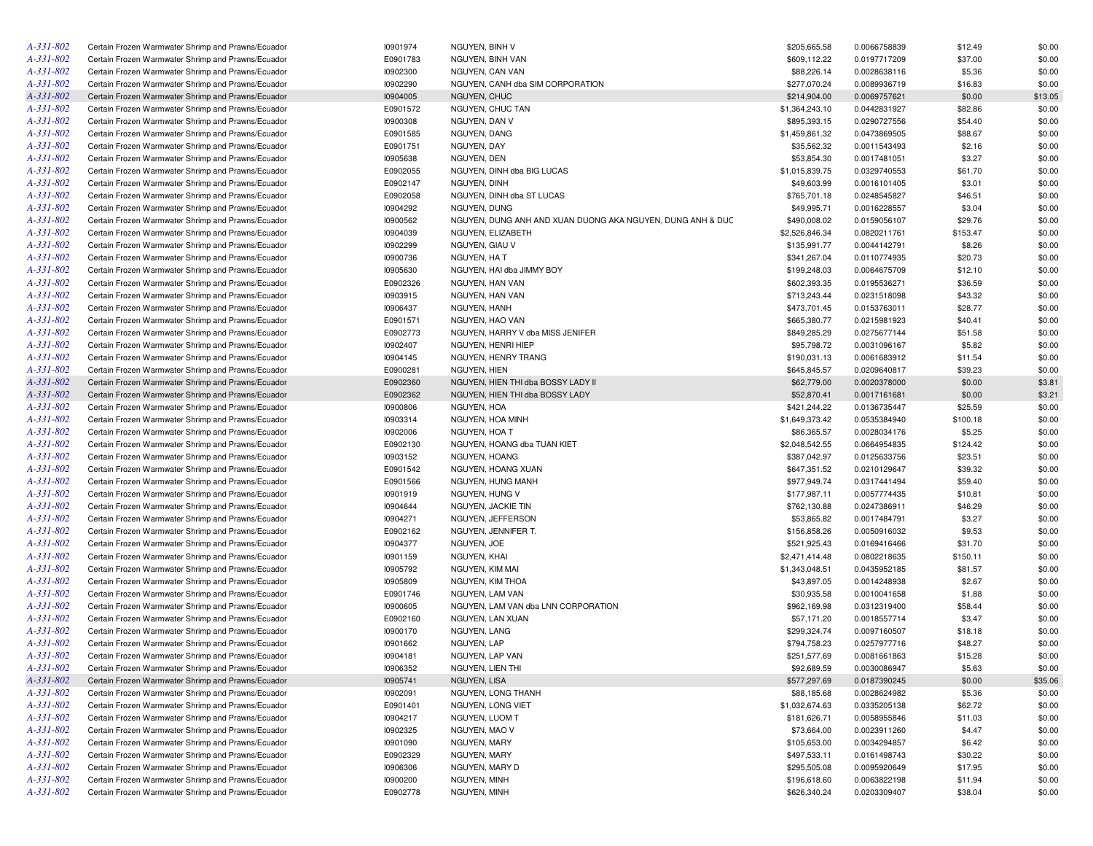| A-331-802       | Certain Frozen Warmwater Shrimp and Prawns/Ecuador | 10901974 | NGUYEN, BINH V                                             | \$205,665.58   | 0.0066758839 | \$12.49  | \$0.00  |
|-----------------|----------------------------------------------------|----------|------------------------------------------------------------|----------------|--------------|----------|---------|
| A-331-802       | Certain Frozen Warmwater Shrimp and Prawns/Ecuador | E0901783 | NGUYEN, BINH VAN                                           | \$609,112.22   | 0.0197717209 | \$37.00  | \$0.00  |
| A-331-802       | Certain Frozen Warmwater Shrimp and Prawns/Ecuador | 10902300 | NGUYEN, CAN VAN                                            | \$88,226.14    | 0.0028638116 | \$5.36   | \$0.00  |
| A-331-802       | Certain Frozen Warmwater Shrimp and Prawns/Ecuador | 10902290 | NGUYEN, CANH dba SIM CORPORATION                           | \$277,070.24   | 0.0089936719 | \$16.83  | \$0.00  |
| A-331-802       | Certain Frozen Warmwater Shrimp and Prawns/Ecuador | 10904005 | <b>NGUYEN, CHUC</b>                                        | \$214,904.00   | 0.0069757621 | \$0.00   | \$13.05 |
| A-331-802       | Certain Frozen Warmwater Shrimp and Prawns/Ecuador | E0901572 | NGUYEN, CHUC TAN                                           | \$1,364,243.10 | 0.0442831927 | \$82.86  | \$0.00  |
| A-331-802       | Certain Frozen Warmwater Shrimp and Prawns/Ecuador | 10900308 | NGUYEN, DAN V                                              | \$895,393.15   | 0.0290727556 | \$54.40  | \$0.00  |
| A-331-802       | Certain Frozen Warmwater Shrimp and Prawns/Ecuador | E0901585 | NGUYEN, DANG                                               | \$1,459,861.32 | 0.0473869505 | \$88.67  | \$0.00  |
| A-331-802       | Certain Frozen Warmwater Shrimp and Prawns/Ecuador | E0901751 | NGUYEN, DAY                                                | \$35,562.32    | 0.0011543493 | \$2.16   | \$0.00  |
| A-331-802       | Certain Frozen Warmwater Shrimp and Prawns/Ecuador | 10905638 | NGUYEN, DEN                                                | \$53,854.30    | 0.0017481051 | \$3.27   | \$0.00  |
| A-331-802       | Certain Frozen Warmwater Shrimp and Prawns/Ecuador | E0902055 | NGUYEN, DINH dba BIG LUCAS                                 | \$1,015,839.75 | 0.0329740553 | \$61.70  | \$0.00  |
| A-331-802       | Certain Frozen Warmwater Shrimp and Prawns/Ecuador | E0902147 | NGUYEN, DINH                                               | \$49,603.99    | 0.0016101405 | \$3.01   | \$0.00  |
| A-331-802       | Certain Frozen Warmwater Shrimp and Prawns/Ecuador | E0902058 | NGUYEN, DINH dba ST LUCAS                                  | \$765,701.18   | 0.0248545827 | \$46.51  | \$0.00  |
| A-331-802       | Certain Frozen Warmwater Shrimp and Prawns/Ecuador | 10904292 | NGUYEN, DUNG                                               | \$49,995.71    | 0.0016228557 | \$3.04   | \$0.00  |
| A-331-802       | Certain Frozen Warmwater Shrimp and Prawns/Ecuador | 10900562 | NGUYEN, DUNG ANH AND XUAN DUONG AKA NGUYEN, DUNG ANH & DUC | \$490,008.02   | 0.0159056107 | \$29.76  | \$0.00  |
| A-331-802       | Certain Frozen Warmwater Shrimp and Prawns/Ecuador | 10904039 | NGUYEN, ELIZABETH                                          | \$2,526,846.34 | 0.0820211761 | \$153.47 | \$0.00  |
| A-331-802       | Certain Frozen Warmwater Shrimp and Prawns/Ecuador | 10902299 | NGUYEN, GIAU V                                             | \$135,991.77   | 0.0044142791 | \$8.26   | \$0.00  |
| A-331-802       | Certain Frozen Warmwater Shrimp and Prawns/Ecuador | 10900736 | NGUYEN, HA T                                               | \$341,267.04   | 0.0110774935 | \$20.73  | \$0.00  |
| A-331-802       |                                                    |          |                                                            |                |              |          |         |
|                 | Certain Frozen Warmwater Shrimp and Prawns/Ecuador | 10905630 | NGUYEN, HAI dba JIMMY BOY                                  | \$199,248.03   | 0.0064675709 | \$12.10  | \$0.00  |
| A-331-802       | Certain Frozen Warmwater Shrimp and Prawns/Ecuador | E0902326 | NGUYEN, HAN VAN                                            | \$602,393.35   | 0.0195536271 | \$36.59  | \$0.00  |
| A-331-802       | Certain Frozen Warmwater Shrimp and Prawns/Ecuador | 10903915 | NGUYEN, HAN VAN                                            | \$713,243.44   | 0.0231518098 | \$43.32  | \$0.00  |
| A-331-802       | Certain Frozen Warmwater Shrimp and Prawns/Ecuador | 10906437 | NGUYEN, HANH                                               | \$473,701.45   | 0.0153763011 | \$28.77  | \$0.00  |
| A-331-802       | Certain Frozen Warmwater Shrimp and Prawns/Ecuador | E0901571 | NGUYEN, HAO VAN                                            | \$665,380.77   | 0.0215981923 | \$40.41  | \$0.00  |
| A-331-802       | Certain Frozen Warmwater Shrimp and Prawns/Ecuador | E0902773 | NGUYEN, HARRY V dba MISS JENIFER                           | \$849,285.29   | 0.0275677144 | \$51.58  | \$0.00  |
| A-331-802       | Certain Frozen Warmwater Shrimp and Prawns/Ecuador | 10902407 | NGUYEN, HENRI HIEP                                         | \$95,798.72    | 0.0031096167 | \$5.82   | \$0.00  |
| A-331-802       | Certain Frozen Warmwater Shrimp and Prawns/Ecuador | 10904145 | NGUYEN, HENRY TRANG                                        | \$190,031.13   | 0.0061683912 | \$11.54  | \$0.00  |
| A-331-802       | Certain Frozen Warmwater Shrimp and Prawns/Ecuador | E0900281 | <b>NGUYEN, HIEN</b>                                        | \$645,845.57   | 0.0209640817 | \$39.23  | \$0.00  |
| A-331-802       | Certain Frozen Warmwater Shrimp and Prawns/Ecuador | E0902360 | NGUYEN, HIEN THI dba BOSSY LADY II                         | \$62,779.00    | 0.0020378000 | \$0.00   | \$3.81  |
| A-331-802       | Certain Frozen Warmwater Shrimp and Prawns/Ecuador | E0902362 | NGUYEN, HIEN THI dba BOSSY LADY                            | \$52,870.41    | 0.0017161681 | \$0.00   | \$3.21  |
| $A - 331 - 802$ | Certain Frozen Warmwater Shrimp and Prawns/Ecuador | 10900806 | NGUYEN, HOA                                                | \$421,244.22   | 0.0136735447 | \$25.59  | \$0.00  |
| A-331-802       | Certain Frozen Warmwater Shrimp and Prawns/Ecuador | 10903314 | NGUYEN, HOA MINH                                           | \$1,649,373.42 | 0.0535384940 | \$100.18 | \$0.00  |
| A-331-802       | Certain Frozen Warmwater Shrimp and Prawns/Ecuador | 10902006 | NGUYEN, HOA T                                              | \$86,365.57    | 0.0028034176 | \$5.25   | \$0.00  |
| A-331-802       | Certain Frozen Warmwater Shrimp and Prawns/Ecuador | E0902130 | NGUYEN, HOANG dba TUAN KIET                                | \$2,048,542.55 | 0.0664954835 | \$124.42 | \$0.00  |
| A-331-802       | Certain Frozen Warmwater Shrimp and Prawns/Ecuador | 10903152 | NGUYEN, HOANG                                              | \$387,042.97   | 0.0125633756 | \$23.51  | \$0.00  |
| A-331-802       | Certain Frozen Warmwater Shrimp and Prawns/Ecuador | E0901542 | NGUYEN, HOANG XUAN                                         | \$647,351.52   | 0.0210129647 | \$39.32  | \$0.00  |
| A-331-802       | Certain Frozen Warmwater Shrimp and Prawns/Ecuador | E0901566 | NGUYEN, HUNG MANH                                          | \$977,949.74   | 0.0317441494 | \$59.40  | \$0.00  |
| A-331-802       | Certain Frozen Warmwater Shrimp and Prawns/Ecuador | 10901919 | NGUYEN, HUNG V                                             | \$177,987.11   | 0.0057774435 | \$10.81  | \$0.00  |
| A-331-802       | Certain Frozen Warmwater Shrimp and Prawns/Ecuador | 10904644 | NGUYEN, JACKIE TIN                                         | \$762,130.88   | 0.0247386911 | \$46.29  | \$0.00  |
| A-331-802       | Certain Frozen Warmwater Shrimp and Prawns/Ecuador | 10904271 | NGUYEN, JEFFERSON                                          | \$53,865.82    | 0.0017484791 | \$3.27   | \$0.00  |
| A-331-802       | Certain Frozen Warmwater Shrimp and Prawns/Ecuador | E0902162 | NGUYEN, JENNIFER T.                                        | \$156,858.26   | 0.0050916032 | \$9.53   | \$0.00  |
| A-331-802       | Certain Frozen Warmwater Shrimp and Prawns/Ecuador | 10904377 | NGUYEN, JOE                                                | \$521,925.43   | 0.0169416466 | \$31.70  | \$0.00  |
| A-331-802       | Certain Frozen Warmwater Shrimp and Prawns/Ecuador | 10901159 | NGUYEN, KHAI                                               | \$2,471,414.48 | 0.0802218635 | \$150.11 | \$0.00  |
| A-331-802       | Certain Frozen Warmwater Shrimp and Prawns/Ecuador | 10905792 | NGUYEN, KIM MAI                                            | \$1,343,048.51 | 0.0435952185 | \$81.57  | \$0.00  |
| A-331-802       | Certain Frozen Warmwater Shrimp and Prawns/Ecuador | 10905809 | NGUYEN, KIM THOA                                           | \$43,897.05    | 0.0014248938 | \$2.67   | \$0.00  |
| A-331-802       | Certain Frozen Warmwater Shrimp and Prawns/Ecuador | E0901746 | NGUYEN, LAM VAN                                            | \$30,935.58    | 0.0010041658 | \$1.88   | \$0.00  |
| A-331-802       | Certain Frozen Warmwater Shrimp and Prawns/Ecuador | 10900605 | NGUYEN, LAM VAN dba LNN CORPORATION                        | \$962,169.98   | 0.0312319400 | \$58.44  | \$0.00  |
| A-331-802       | Certain Frozen Warmwater Shrimp and Prawns/Ecuador | E0902160 | NGUYEN, LAN XUAN                                           | \$57,171.20    | 0.0018557714 | \$3.47   | \$0.00  |
| A-331-802       | Certain Frozen Warmwater Shrimp and Prawns/Ecuador | 10900170 | NGUYEN, LANG                                               | \$299,324.74   | 0.0097160507 | \$18.18  | \$0.00  |
| A-331-802       | Certain Frozen Warmwater Shrimp and Prawns/Ecuador | 10901662 | NGUYEN, LAP                                                | \$794,758.23   | 0.0257977716 | \$48.27  | \$0.00  |
| A-331-802       | Certain Frozen Warmwater Shrimp and Prawns/Ecuador | 10904181 | NGUYEN, LAP VAN                                            | \$251,577.69   | 0.0081661863 | \$15.28  | \$0.00  |
| A-331-802       | Certain Frozen Warmwater Shrimp and Prawns/Ecuador | 10906352 | NGUYEN, LIEN THI                                           | \$92,689.59    | 0.0030086947 | \$5.63   | \$0.00  |
| A-331-802       | Certain Frozen Warmwater Shrimp and Prawns/Ecuador | 10905741 | NGUYEN, LISA                                               | \$577,297.69   | 0.0187390245 | \$0.00   | \$35.06 |
| A-331-802       | Certain Frozen Warmwater Shrimp and Prawns/Ecuador | 10902091 | NGUYEN, LONG THANH                                         | \$88,185.68    | 0.0028624982 | \$5.36   | \$0.00  |
| A-331-802       | Certain Frozen Warmwater Shrimp and Prawns/Ecuador | E0901401 | NGUYEN, LONG VIET                                          | \$1,032,674.63 | 0.0335205138 | \$62.72  | \$0.00  |
| A-331-802       | Certain Frozen Warmwater Shrimp and Prawns/Ecuador | 10904217 | NGUYEN, LUOM T                                             | \$181,626.71   | 0.0058955846 | \$11.03  | \$0.00  |
| A-331-802       | Certain Frozen Warmwater Shrimp and Prawns/Ecuador | 10902325 | NGUYEN, MAO V                                              | \$73,664.00    | 0.0023911260 | \$4.47   | \$0.00  |
| A-331-802       | Certain Frozen Warmwater Shrimp and Prawns/Ecuador | 10901090 | NGUYEN, MARY                                               | \$105,653.00   | 0.0034294857 | \$6.42   |         |
| A-331-802       | Certain Frozen Warmwater Shrimp and Prawns/Ecuador | E0902329 | NGUYEN, MARY                                               | \$497,533.11   | 0.0161498743 | \$30.22  | \$0.00  |
| A-331-802       |                                                    |          |                                                            | \$295,505.08   |              |          | \$0.00  |
|                 | Certain Frozen Warmwater Shrimp and Prawns/Ecuador | 10906306 | NGUYEN, MARY D                                             |                | 0.0095920649 | \$17.95  | \$0.00  |
| A-331-802       | Certain Frozen Warmwater Shrimp and Prawns/Ecuador | 10900200 | NGUYEN, MINH                                               | \$196,618.60   | 0.0063822198 | \$11.94  | \$0.00  |
| A-331-802       | Certain Frozen Warmwater Shrimp and Prawns/Ecuador | E0902778 | NGUYEN, MINH                                               | \$626,340.24   | 0.0203309407 | \$38.04  | \$0.00  |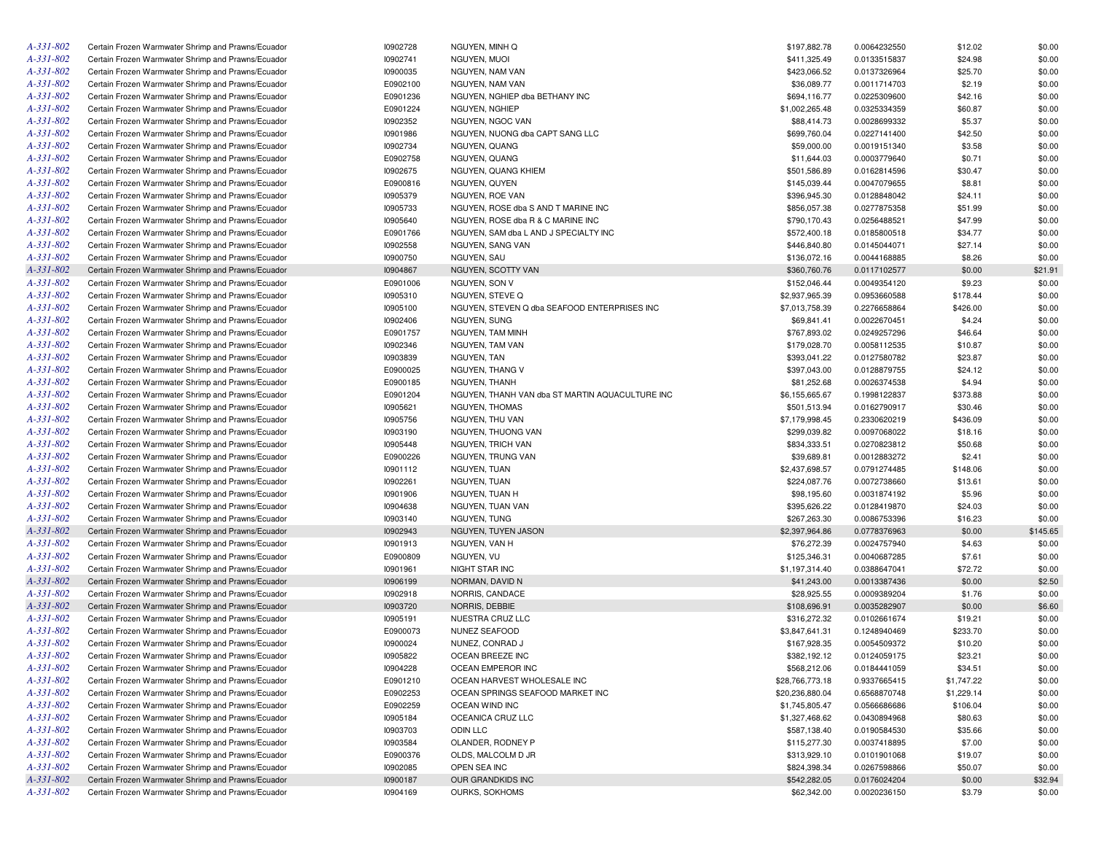| A-331-802       | Certain Frozen Warmwater Shrimp and Prawns/Ecuador | 10902728 | NGUYEN, MINH Q                                  | \$197,882.78    | 0.0064232550 | \$12.02    | \$0.00   |
|-----------------|----------------------------------------------------|----------|-------------------------------------------------|-----------------|--------------|------------|----------|
| A-331-802       | Certain Frozen Warmwater Shrimp and Prawns/Ecuador | 10902741 | NGUYEN, MUOI                                    | \$411,325.49    | 0.0133515837 | \$24.98    | \$0.00   |
| A-331-802       | Certain Frozen Warmwater Shrimp and Prawns/Ecuador | 10900035 | NGUYEN, NAM VAN                                 | \$423,066.52    | 0.0137326964 | \$25.70    | \$0.00   |
| A-331-802       | Certain Frozen Warmwater Shrimp and Prawns/Ecuador | E0902100 | NGUYEN, NAM VAN                                 | \$36,089.77     | 0.0011714703 | \$2.19     | \$0.00   |
| A-331-802       | Certain Frozen Warmwater Shrimp and Prawns/Ecuador | E0901236 | NGUYEN, NGHIEP dba BETHANY INC                  | \$694,116.77    | 0.0225309600 | \$42.16    | \$0.00   |
| A-331-802       | Certain Frozen Warmwater Shrimp and Prawns/Ecuador | E0901224 | NGUYEN, NGHIEP                                  | \$1,002,265.48  | 0.0325334359 | \$60.87    | \$0.00   |
| A-331-802       | Certain Frozen Warmwater Shrimp and Prawns/Ecuador | 10902352 | NGUYEN, NGOC VAN                                | \$88,414.73     | 0.0028699332 | \$5.37     | \$0.00   |
| A-331-802       | Certain Frozen Warmwater Shrimp and Prawns/Ecuador | 10901986 | NGUYEN, NUONG dba CAPT SANG LLC                 | \$699,760.04    | 0.0227141400 | \$42.50    | \$0.00   |
| A-331-802       | Certain Frozen Warmwater Shrimp and Prawns/Ecuador | 10902734 | NGUYEN, QUANG                                   | \$59,000.00     | 0.0019151340 | \$3.58     | \$0.00   |
| A-331-802       | Certain Frozen Warmwater Shrimp and Prawns/Ecuador | E0902758 | NGUYEN, QUANG                                   | \$11,644.03     | 0.0003779640 | \$0.71     | \$0.00   |
| A-331-802       | Certain Frozen Warmwater Shrimp and Prawns/Ecuador | 10902675 | NGUYEN, QUANG KHIEM                             | \$501,586.89    | 0.0162814596 | \$30.47    | \$0.00   |
| A-331-802       | Certain Frozen Warmwater Shrimp and Prawns/Ecuador | E0900816 | NGUYEN, QUYEN                                   | \$145,039.44    | 0.0047079655 | \$8.81     | \$0.00   |
| A-331-802       | Certain Frozen Warmwater Shrimp and Prawns/Ecuador | 10905379 | NGUYEN, ROE VAN                                 | \$396,945.30    | 0.0128848042 | \$24.11    | \$0.00   |
| A-331-802       | Certain Frozen Warmwater Shrimp and Prawns/Ecuador | 10905733 | NGUYEN, ROSE dba S AND T MARINE INC             | \$856,057.38    | 0.0277875358 | \$51.99    | \$0.00   |
| A-331-802       | Certain Frozen Warmwater Shrimp and Prawns/Ecuador | 10905640 | NGUYEN, ROSE dba R & C MARINE INC               | \$790,170.43    | 0.0256488521 | \$47.99    | \$0.00   |
| A-331-802       | Certain Frozen Warmwater Shrimp and Prawns/Ecuador |          | NGUYEN, SAM dba L AND J SPECIALTY INC           |                 |              |            |          |
|                 |                                                    | E0901766 |                                                 | \$572,400.18    | 0.0185800518 | \$34.77    | \$0.00   |
| A-331-802       | Certain Frozen Warmwater Shrimp and Prawns/Ecuador | 10902558 | NGUYEN, SANG VAN                                | \$446,840.80    | 0.0145044071 | \$27.14    | \$0.00   |
| A-331-802       | Certain Frozen Warmwater Shrimp and Prawns/Ecuador | 10900750 | NGUYEN, SAU                                     | \$136,072.16    | 0.0044168885 | \$8.26     | \$0.00   |
| A-331-802       | Certain Frozen Warmwater Shrimp and Prawns/Ecuador | 10904867 | NGUYEN, SCOTTY VAN                              | \$360,760.76    | 0.0117102577 | \$0.00     | \$21.91  |
| A-331-802       | Certain Frozen Warmwater Shrimp and Prawns/Ecuador | E0901006 | NGUYEN, SON V                                   | \$152,046.44    | 0.0049354120 | \$9.23     | \$0.00   |
| A-331-802       | Certain Frozen Warmwater Shrimp and Prawns/Ecuador | 10905310 | NGUYEN, STEVE Q                                 | \$2,937,965.39  | 0.0953660588 | \$178.44   | \$0.00   |
| A-331-802       | Certain Frozen Warmwater Shrimp and Prawns/Ecuador | 10905100 | NGUYEN, STEVEN Q dba SEAFOOD ENTERPRISES INC    | \$7,013,758.39  | 0.2276658864 | \$426.00   | \$0.00   |
| A-331-802       | Certain Frozen Warmwater Shrimp and Prawns/Ecuador | 10902406 | NGUYEN, SUNG                                    | \$69,841.41     | 0.0022670451 | \$4.24     | \$0.00   |
| A-331-802       | Certain Frozen Warmwater Shrimp and Prawns/Ecuador | E0901757 | <b>NGUYEN, TAM MINH</b>                         | \$767,893.02    | 0.0249257296 | \$46.64    | \$0.00   |
| A-331-802       | Certain Frozen Warmwater Shrimp and Prawns/Ecuador | 10902346 | NGUYEN, TAM VAN                                 | \$179,028.70    | 0.0058112535 | \$10.87    | \$0.00   |
| A-331-802       | Certain Frozen Warmwater Shrimp and Prawns/Ecuador | 10903839 | <b>NGUYEN, TAN</b>                              | \$393,041.22    | 0.0127580782 | \$23.87    | \$0.00   |
| A-331-802       | Certain Frozen Warmwater Shrimp and Prawns/Ecuador | E0900025 | NGUYEN, THANG V                                 | \$397,043.00    | 0.0128879755 | \$24.12    | \$0.00   |
| A-331-802       | Certain Frozen Warmwater Shrimp and Prawns/Ecuador | E0900185 | NGUYEN, THANH                                   | \$81,252.68     | 0.0026374538 | \$4.94     | \$0.00   |
| A-331-802       | Certain Frozen Warmwater Shrimp and Prawns/Ecuador | E0901204 | NGUYEN, THANH VAN dba ST MARTIN AQUACULTURE INC | \$6,155,665.67  | 0.1998122837 | \$373.88   | \$0.00   |
| A-331-802       | Certain Frozen Warmwater Shrimp and Prawns/Ecuador | 10905621 | NGUYEN, THOMAS                                  | \$501,513.94    | 0.0162790917 | \$30.46    | \$0.00   |
| A-331-802       | Certain Frozen Warmwater Shrimp and Prawns/Ecuador | 10905756 | NGUYEN, THU VAN                                 | \$7,179,998.45  | 0.2330620219 | \$436.09   | \$0.00   |
| $A - 331 - 802$ | Certain Frozen Warmwater Shrimp and Prawns/Ecuador | 10903190 | NGUYEN, THUONG VAN                              | \$299,039.82    | 0.0097068022 | \$18.16    | \$0.00   |
| A-331-802       | Certain Frozen Warmwater Shrimp and Prawns/Ecuador | 10905448 | NGUYEN, TRICH VAN                               | \$834,333.51    | 0.0270823812 | \$50.68    | \$0.00   |
| A-331-802       | Certain Frozen Warmwater Shrimp and Prawns/Ecuador | E0900226 | NGUYEN, TRUNG VAN                               | \$39,689.81     | 0.0012883272 | \$2.41     | \$0.00   |
| A-331-802       | Certain Frozen Warmwater Shrimp and Prawns/Ecuador | 10901112 | NGUYEN, TUAN                                    | \$2,437,698.57  | 0.0791274485 | \$148.06   | \$0.00   |
| A-331-802       | Certain Frozen Warmwater Shrimp and Prawns/Ecuador | 10902261 | NGUYEN, TUAN                                    | \$224,087.76    | 0.0072738660 | \$13.61    | \$0.00   |
| A-331-802       | Certain Frozen Warmwater Shrimp and Prawns/Ecuador | 10901906 | NGUYEN, TUAN H                                  | \$98,195.60     | 0.0031874192 | \$5.96     | \$0.00   |
| A-331-802       | Certain Frozen Warmwater Shrimp and Prawns/Ecuador | 10904638 | NGUYEN, TUAN VAN                                | \$395,626.22    | 0.0128419870 | \$24.03    | \$0.00   |
| A-331-802       | Certain Frozen Warmwater Shrimp and Prawns/Ecuador | 10903140 | NGUYEN, TUNG                                    | \$267,263.30    | 0.0086753396 | \$16.23    | \$0.00   |
| A-331-802       | Certain Frozen Warmwater Shrimp and Prawns/Ecuador | 10902943 | NGUYEN, TUYEN JASON                             | \$2,397,964.86  | 0.0778376963 | \$0.00     | \$145.65 |
| A-331-802       | Certain Frozen Warmwater Shrimp and Prawns/Ecuador | 10901913 | NGUYEN, VAN H                                   | \$76,272.39     | 0.0024757940 | \$4.63     | \$0.00   |
| A-331-802       | Certain Frozen Warmwater Shrimp and Prawns/Ecuador | E0900809 | NGUYEN, VU                                      | \$125,346.31    | 0.0040687285 | \$7.61     | \$0.00   |
| A-331-802       | Certain Frozen Warmwater Shrimp and Prawns/Ecuador | 10901961 | NIGHT STAR INC                                  | \$1,197,314.40  | 0.0388647041 | \$72.72    | \$0.00   |
| A-331-802       | Certain Frozen Warmwater Shrimp and Prawns/Ecuador | 10906199 | NORMAN, DAVID N                                 | \$41,243.00     | 0.0013387436 | \$0.00     | \$2.50   |
| A-331-802       | Certain Frozen Warmwater Shrimp and Prawns/Ecuador | 10902918 | NORRIS, CANDACE                                 | \$28,925.55     | 0.0009389204 | \$1.76     | \$0.00   |
| A-331-802       | Certain Frozen Warmwater Shrimp and Prawns/Ecuador | 10903720 | NORRIS, DEBBIE                                  | \$108,696.91    | 0.0035282907 | \$0.00     | \$6.60   |
| A-331-802       | Certain Frozen Warmwater Shrimp and Prawns/Ecuador | 10905191 | NUESTRA CRUZ LLC                                | \$316,272.32    | 0.0102661674 | \$19.21    | \$0.00   |
| A-331-802       | Certain Frozen Warmwater Shrimp and Prawns/Ecuador | E0900073 | NUNEZ SEAFOOD                                   | \$3,847,641.31  | 0.1248940469 | \$233.70   | \$0.00   |
| A-331-802       | Certain Frozen Warmwater Shrimp and Prawns/Ecuador | 10900024 | NUNEZ, CONRAD J                                 | \$167,928.35    | 0.0054509372 | \$10.20    | \$0.00   |
| $A - 331 - 802$ | Certain Frozen Warmwater Shrimp and Prawns/Ecuador | 10905822 | OCEAN BREEZE INC                                | \$382,192.12    | 0.0124059175 | \$23.21    | \$0.00   |
| A-331-802       | Certain Frozen Warmwater Shrimp and Prawns/Ecuador | 10904228 | OCEAN EMPEROR INC                               | \$568,212.06    | 0.0184441059 | \$34.51    | \$0.00   |
| A-331-802       | Certain Frozen Warmwater Shrimp and Prawns/Ecuador | E0901210 | OCEAN HARVEST WHOLESALE INC                     | \$28,766,773.18 | 0.9337665415 | \$1,747.22 | \$0.00   |
| A-331-802       | Certain Frozen Warmwater Shrimp and Prawns/Ecuador | E0902253 | OCEAN SPRINGS SEAFOOD MARKET INC                | \$20,236,880.04 | 0.6568870748 | \$1,229.14 | \$0.00   |
| A-331-802       | Certain Frozen Warmwater Shrimp and Prawns/Ecuador | E0902259 | OCEAN WIND INC                                  | \$1,745,805.47  | 0.0566686686 | \$106.04   | \$0.00   |
| A-331-802       | Certain Frozen Warmwater Shrimp and Prawns/Ecuador | 10905184 | OCEANICA CRUZ LLC                               | \$1,327,468.62  | 0.0430894968 | \$80.63    | \$0.00   |
| $A - 331 - 802$ | Certain Frozen Warmwater Shrimp and Prawns/Ecuador | 10903703 | ODIN LLC                                        | \$587,138.40    | 0.0190584530 |            |          |
| $A - 331 - 802$ | Certain Frozen Warmwater Shrimp and Prawns/Ecuador |          | OLANDER, RODNEY P                               |                 |              | \$35.66    | \$0.00   |
|                 |                                                    | 10903584 |                                                 | \$115,277.30    | 0.0037418895 | \$7.00     | \$0.00   |
| A-331-802       | Certain Frozen Warmwater Shrimp and Prawns/Ecuador | E0900376 | OLDS, MALCOLM D JR                              | \$313,929.10    | 0.0101901068 | \$19.07    | \$0.00   |
| A-331-802       | Certain Frozen Warmwater Shrimp and Prawns/Ecuador | 10902085 | OPEN SEA INC                                    | \$824,398.34    | 0.0267598866 | \$50.07    | \$0.00   |
| A-331-802       | Certain Frozen Warmwater Shrimp and Prawns/Ecuador | 10900187 | OUR GRANDKIDS INC                               | \$542,282.05    | 0.0176024204 | \$0.00     | \$32.94  |
| A-331-802       | Certain Frozen Warmwater Shrimp and Prawns/Ecuador | 10904169 | OURKS, SOKHOMS                                  | \$62,342.00     | 0.0020236150 | \$3.79     | \$0.00   |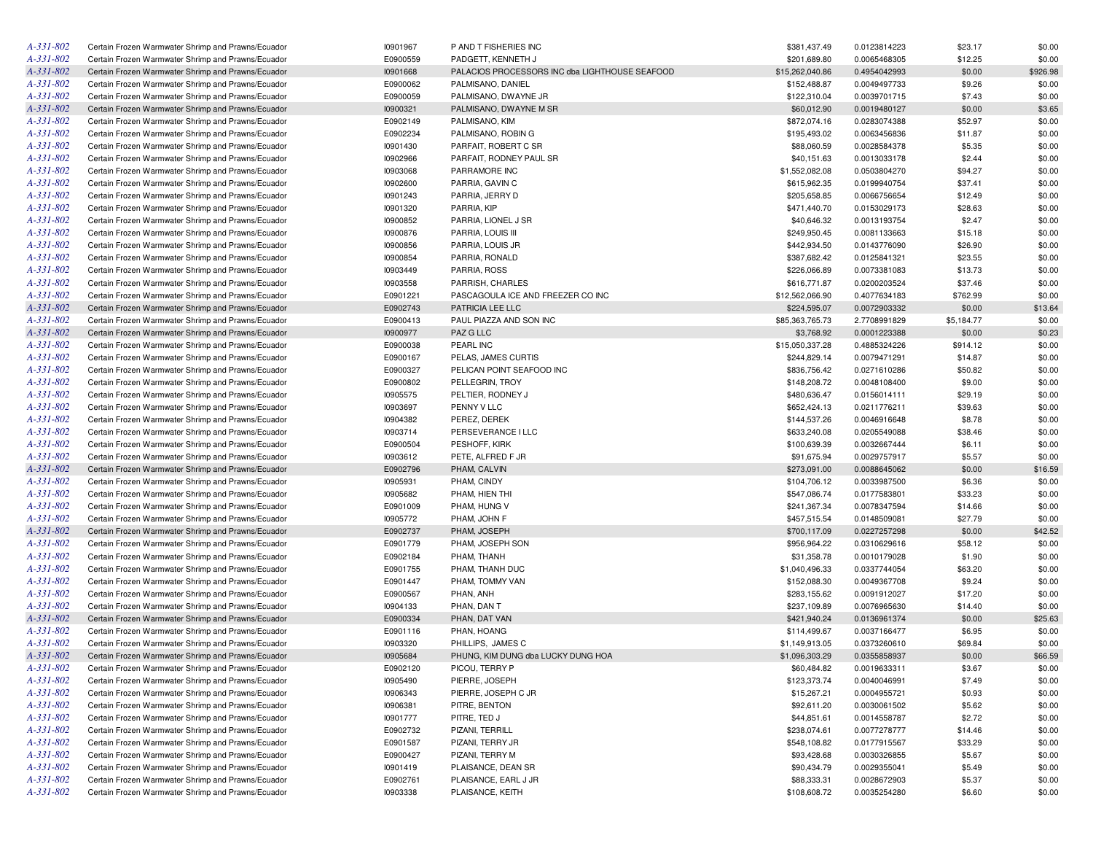| A-331-802       | Certain Frozen Warmwater Shrimp and Prawns/Ecuador | 10901967 | P AND T FISHERIES INC                          | \$381,437.49    | 0.0123814223 | \$23.17    | \$0.00   |
|-----------------|----------------------------------------------------|----------|------------------------------------------------|-----------------|--------------|------------|----------|
| A-331-802       | Certain Frozen Warmwater Shrimp and Prawns/Ecuador | E0900559 | PADGETT, KENNETH J                             | \$201,689.80    | 0.0065468305 | \$12.25    | \$0.00   |
| A-331-802       | Certain Frozen Warmwater Shrimp and Prawns/Ecuador | 10901668 | PALACIOS PROCESSORS INC dba LIGHTHOUSE SEAFOOD | \$15,262,040.86 | 0.4954042993 | \$0.00     | \$926.98 |
| A-331-802       | Certain Frozen Warmwater Shrimp and Prawns/Ecuador | E0900062 | PALMISANO, DANIEL                              | \$152,488.87    | 0.0049497733 | \$9.26     | \$0.00   |
| A-331-802       | Certain Frozen Warmwater Shrimp and Prawns/Ecuador | E0900059 | PALMISANO, DWAYNE JR                           | \$122,310.04    | 0.0039701715 | \$7.43     | \$0.00   |
| A-331-802       | Certain Frozen Warmwater Shrimp and Prawns/Ecuador | 10900321 | PALMISANO, DWAYNE M SR                         | \$60,012.90     | 0.0019480127 | \$0.00     | \$3.65   |
| A-331-802       | Certain Frozen Warmwater Shrimp and Prawns/Ecuador | E0902149 | PALMISANO, KIM                                 | \$872,074.16    | 0.0283074388 | \$52.97    | \$0.00   |
| A-331-802       | Certain Frozen Warmwater Shrimp and Prawns/Ecuador | E0902234 | PALMISANO, ROBIN G                             | \$195,493.02    | 0.0063456836 | \$11.87    | \$0.00   |
| A-331-802       | Certain Frozen Warmwater Shrimp and Prawns/Ecuador | 10901430 | PARFAIT, ROBERT C SR                           | \$88,060.59     | 0.0028584378 | \$5.35     | \$0.00   |
| A-331-802       | Certain Frozen Warmwater Shrimp and Prawns/Ecuador | 10902966 | PARFAIT, RODNEY PAUL SR                        | \$40,151.63     | 0.0013033178 | \$2.44     | \$0.00   |
| A-331-802       | Certain Frozen Warmwater Shrimp and Prawns/Ecuador | 10903068 | PARRAMORE INC                                  | \$1,552,082.08  | 0.0503804270 | \$94.27    | \$0.00   |
| A-331-802       | Certain Frozen Warmwater Shrimp and Prawns/Ecuador | 10902600 | PARRIA, GAVIN C                                | \$615,962.35    | 0.0199940754 | \$37.41    | \$0.00   |
| A-331-802       | Certain Frozen Warmwater Shrimp and Prawns/Ecuador | 10901243 | PARRIA, JERRY D                                | \$205,658.85    | 0.0066756654 | \$12.49    | \$0.00   |
| A-331-802       | Certain Frozen Warmwater Shrimp and Prawns/Ecuador | 10901320 | PARRIA, KIP                                    | \$471,440.70    | 0.0153029173 | \$28.63    | \$0.00   |
| A-331-802       | Certain Frozen Warmwater Shrimp and Prawns/Ecuador | 10900852 | PARRIA, LIONEL J SR                            | \$40,646.32     | 0.0013193754 | \$2.47     | \$0.00   |
| A-331-802       | Certain Frozen Warmwater Shrimp and Prawns/Ecuador | 10900876 | PARRIA, LOUIS III                              | \$249,950.45    | 0.0081133663 | \$15.18    | \$0.00   |
| A-331-802       | Certain Frozen Warmwater Shrimp and Prawns/Ecuador | 10900856 | PARRIA, LOUIS JR                               | \$442,934.50    | 0.0143776090 | \$26.90    | \$0.00   |
| A-331-802       | Certain Frozen Warmwater Shrimp and Prawns/Ecuador | 10900854 | PARRIA, RONALD                                 | \$387,682.42    | 0.0125841321 | \$23.55    | \$0.00   |
| A-331-802       | Certain Frozen Warmwater Shrimp and Prawns/Ecuador | 10903449 | PARRIA, ROSS                                   | \$226,066.89    | 0.0073381083 | \$13.73    | \$0.00   |
| A-331-802       | Certain Frozen Warmwater Shrimp and Prawns/Ecuador | 10903558 | PARRISH, CHARLES                               | \$616,771.87    | 0.0200203524 | \$37.46    | \$0.00   |
| A-331-802       | Certain Frozen Warmwater Shrimp and Prawns/Ecuador | E0901221 | PASCAGOULA ICE AND FREEZER CO INC              | \$12,562,066.90 | 0.4077634183 | \$762.99   | \$0.00   |
| A-331-802       | Certain Frozen Warmwater Shrimp and Prawns/Ecuador | E0902743 | PATRICIA LEE LLC                               | \$224,595.07    | 0.0072903332 | \$0.00     | \$13.64  |
| A-331-802       | Certain Frozen Warmwater Shrimp and Prawns/Ecuador | E0900413 | PAUL PIAZZA AND SON INC                        | \$85,363,765.73 | 2.7708991829 | \$5,184.77 | \$0.00   |
| A-331-802       | Certain Frozen Warmwater Shrimp and Prawns/Ecuador | 10900977 | PAZ G LLC                                      | \$3,768.92      | 0.0001223388 | \$0.00     | \$0.23   |
| A-331-802       | Certain Frozen Warmwater Shrimp and Prawns/Ecuador | E0900038 | PEARL INC                                      | \$15,050,337.28 | 0.4885324226 | \$914.12   | \$0.00   |
| A-331-802       | Certain Frozen Warmwater Shrimp and Prawns/Ecuador | E0900167 | PELAS, JAMES CURTIS                            | \$244,829.14    | 0.0079471291 | \$14.87    | \$0.00   |
| A-331-802       | Certain Frozen Warmwater Shrimp and Prawns/Ecuador | E0900327 | PELICAN POINT SEAFOOD INC                      | \$836,756.42    | 0.0271610286 | \$50.82    | \$0.00   |
| A-331-802       | Certain Frozen Warmwater Shrimp and Prawns/Ecuador | E0900802 | PELLEGRIN, TROY                                | \$148,208.72    | 0.0048108400 | \$9.00     | \$0.00   |
| A-331-802       | Certain Frozen Warmwater Shrimp and Prawns/Ecuador | 10905575 | PELTIER, RODNEY J                              | \$480,636.47    | 0.0156014111 | \$29.19    | \$0.00   |
| A-331-802       | Certain Frozen Warmwater Shrimp and Prawns/Ecuador | 10903697 | PENNY V LLC                                    | \$652,424.13    | 0.0211776211 | \$39.63    | \$0.00   |
| A-331-802       | Certain Frozen Warmwater Shrimp and Prawns/Ecuador | 10904382 | PEREZ, DEREK                                   | \$144,537.26    | 0.0046916648 | \$8.78     | \$0.00   |
| A-331-802       | Certain Frozen Warmwater Shrimp and Prawns/Ecuador | 10903714 | PERSEVERANCE I LLC                             | \$633,240.08    | 0.0205549088 | \$38.46    | \$0.00   |
| A-331-802       | Certain Frozen Warmwater Shrimp and Prawns/Ecuador | E0900504 | PESHOFF, KIRK                                  | \$100,639.39    | 0.0032667444 | \$6.11     | \$0.00   |
| A-331-802       | Certain Frozen Warmwater Shrimp and Prawns/Ecuador | 10903612 | PETE, ALFRED F JR                              | \$91,675.94     | 0.0029757917 | \$5.57     | \$0.00   |
| A-331-802       | Certain Frozen Warmwater Shrimp and Prawns/Ecuador | E0902796 | PHAM, CALVIN                                   | \$273,091.00    | 0.0088645062 | \$0.00     | \$16.59  |
| A-331-802       | Certain Frozen Warmwater Shrimp and Prawns/Ecuador | 10905931 | PHAM, CINDY                                    | \$104,706.12    | 0.0033987500 | \$6.36     | \$0.00   |
| A-331-802       | Certain Frozen Warmwater Shrimp and Prawns/Ecuador | 10905682 | PHAM, HIEN THI                                 | \$547,086.74    | 0.0177583801 | \$33.23    | \$0.00   |
| A-331-802       | Certain Frozen Warmwater Shrimp and Prawns/Ecuador | E0901009 | PHAM, HUNG V                                   | \$241,367.34    | 0.0078347594 | \$14.66    | \$0.00   |
| A-331-802       | Certain Frozen Warmwater Shrimp and Prawns/Ecuador | 10905772 | PHAM, JOHN F                                   | \$457,515.54    | 0.0148509081 | \$27.79    | \$0.00   |
| A-331-802       | Certain Frozen Warmwater Shrimp and Prawns/Ecuador | E0902737 | PHAM, JOSEPH                                   | \$700,117.09    | 0.0227257298 | \$0.00     | \$42.52  |
| A-331-802       | Certain Frozen Warmwater Shrimp and Prawns/Ecuador | E0901779 | PHAM, JOSEPH SON                               | \$956,964.22    | 0.0310629616 | \$58.12    | \$0.00   |
| A-331-802       | Certain Frozen Warmwater Shrimp and Prawns/Ecuador | E0902184 | PHAM, THANH                                    | \$31,358.78     | 0.0010179028 | \$1.90     | \$0.00   |
| A-331-802       | Certain Frozen Warmwater Shrimp and Prawns/Ecuador | E0901755 | PHAM, THANH DUC                                | \$1,040,496.33  | 0.0337744054 | \$63.20    | \$0.00   |
| A-331-802       | Certain Frozen Warmwater Shrimp and Prawns/Ecuador | E0901447 | PHAM, TOMMY VAN                                | \$152,088.30    | 0.0049367708 | \$9.24     | \$0.00   |
| A-331-802       | Certain Frozen Warmwater Shrimp and Prawns/Ecuador | E0900567 | PHAN, ANH                                      | \$283,155.62    | 0.0091912027 | \$17.20    | \$0.00   |
| A-331-802       | Certain Frozen Warmwater Shrimp and Prawns/Ecuador | 10904133 | PHAN, DAN T                                    | \$237,109.89    | 0.0076965630 | \$14.40    | \$0.00   |
| A-331-802       | Certain Frozen Warmwater Shrimp and Prawns/Ecuador | E0900334 | PHAN, DAT VAN                                  | \$421,940.24    | 0.0136961374 | \$0.00     | \$25.63  |
| A-331-802       | Certain Frozen Warmwater Shrimp and Prawns/Ecuador | E0901116 | PHAN, HOANG                                    | \$114,499.67    | 0.0037166477 | \$6.95     | \$0.00   |
| A-331-802       | Certain Frozen Warmwater Shrimp and Prawns/Ecuador | 10903320 | PHILLIPS, JAMES C                              | \$1,149,913.05  | 0.0373260610 | \$69.84    | \$0.00   |
| A-331-802       | Certain Frozen Warmwater Shrimp and Prawns/Ecuador | 10905684 | PHUNG, KIM DUNG dba LUCKY DUNG HOA             | \$1,096,303.29  | 0.0355858937 | \$0.00     | \$66.59  |
| A-331-802       | Certain Frozen Warmwater Shrimp and Prawns/Ecuador | E0902120 | PICOU, TERRY P                                 | \$60,484.82     | 0.0019633311 | \$3.67     | \$0.00   |
| A-331-802       | Certain Frozen Warmwater Shrimp and Prawns/Ecuador | 10905490 | PIERRE, JOSEPH                                 | \$123,373.74    | 0.0040046991 | \$7.49     | \$0.00   |
| A-331-802       | Certain Frozen Warmwater Shrimp and Prawns/Ecuador | 10906343 | PIERRE, JOSEPH C JR                            | \$15,267.21     | 0.0004955721 | \$0.93     | \$0.00   |
| A-331-802       | Certain Frozen Warmwater Shrimp and Prawns/Ecuador | 10906381 | PITRE, BENTON                                  | \$92,611.20     | 0.0030061502 | \$5.62     | \$0.00   |
| A-331-802       | Certain Frozen Warmwater Shrimp and Prawns/Ecuador | 10901777 | PITRE, TED J                                   | \$44,851.61     | 0.0014558787 | \$2.72     | \$0.00   |
| A-331-802       | Certain Frozen Warmwater Shrimp and Prawns/Ecuador | E0902732 | PIZANI, TERRILL                                | \$238,074.61    | 0.0077278777 | \$14.46    | \$0.00   |
| A-331-802       | Certain Frozen Warmwater Shrimp and Prawns/Ecuador | E0901587 | PIZANI, TERRY JR                               | \$548,108.82    | 0.0177915567 | \$33.29    | \$0.00   |
| A-331-802       | Certain Frozen Warmwater Shrimp and Prawns/Ecuador | E0900427 | PIZANI, TERRY M                                | \$93,428.68     | 0.0030326855 | \$5.67     | \$0.00   |
| $A - 331 - 802$ | Certain Frozen Warmwater Shrimp and Prawns/Ecuador | 10901419 | PLAISANCE, DEAN SR                             | \$90,434.79     | 0.0029355041 | \$5.49     | \$0.00   |
| A-331-802       | Certain Frozen Warmwater Shrimp and Prawns/Ecuador | E0902761 | PLAISANCE, EARL J JR                           | \$88,333.31     | 0.0028672903 | \$5.37     | \$0.00   |
| A-331-802       | Certain Frozen Warmwater Shrimp and Prawns/Ecuador | 10903338 | PLAISANCE, KEITH                               | \$108,608.72    | 0.0035254280 | \$6.60     | \$0.00   |
|                 |                                                    |          |                                                |                 |              |            |          |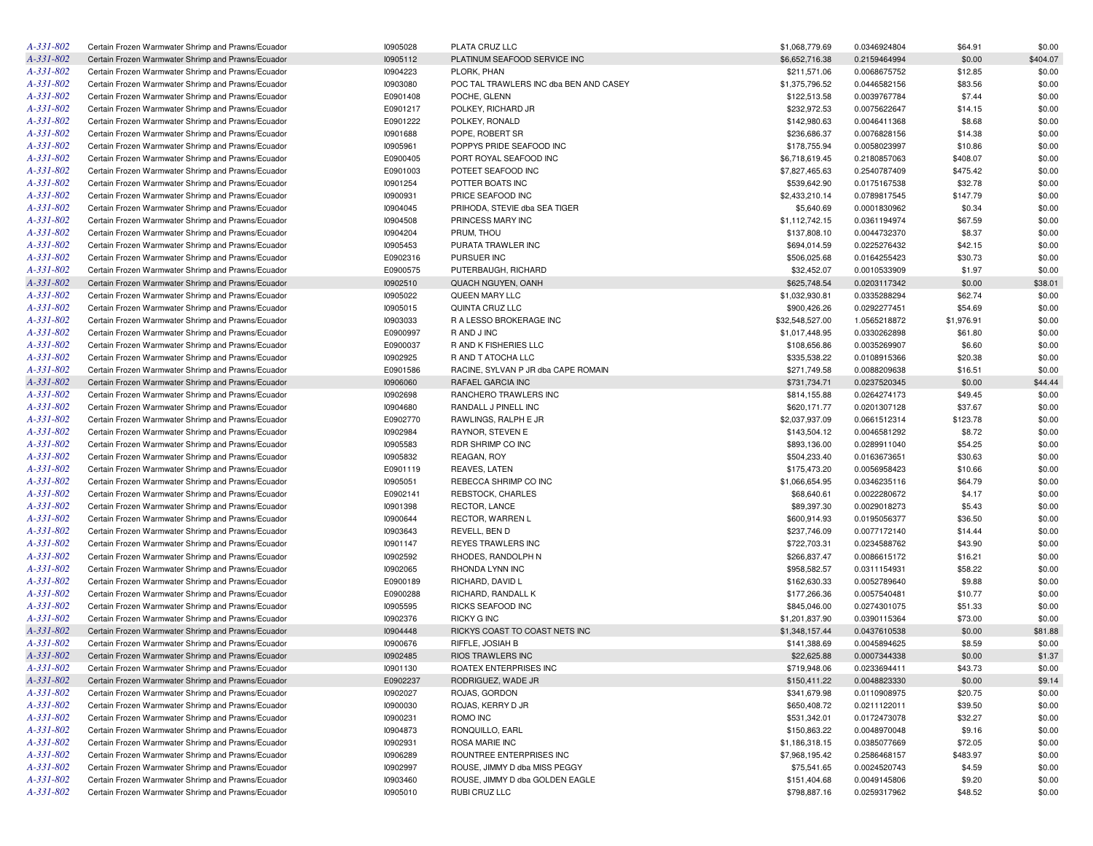| A-331-802       | Certain Frozen Warmwater Shrimp and Prawns/Ecuador | 10905028 | PLATA CRUZ LLC                                   | \$1,068,779.69  | 0.0346924804 | \$64.91    | \$0.00   |
|-----------------|----------------------------------------------------|----------|--------------------------------------------------|-----------------|--------------|------------|----------|
| A-331-802       | Certain Frozen Warmwater Shrimp and Prawns/Ecuador | 10905112 | PLATINUM SEAFOOD SERVICE INC                     | \$6,652,716.38  | 0.2159464994 | \$0.00     | \$404.07 |
| $A-331-802$     | Certain Frozen Warmwater Shrimp and Prawns/Ecuador | 10904223 | PLORK, PHAN                                      | \$211,571.06    | 0.0068675752 | \$12.85    | \$0.00   |
| A-331-802       | Certain Frozen Warmwater Shrimp and Prawns/Ecuador | 10903080 | POC TAL TRAWLERS INC dba BEN AND CASEY           | \$1,375,796.52  | 0.0446582156 | \$83.56    | \$0.00   |
| A-331-802       | Certain Frozen Warmwater Shrimp and Prawns/Ecuador | E0901408 | POCHE, GLENN                                     | \$122,513.58    | 0.0039767784 | \$7.44     | \$0.00   |
| A-331-802       | Certain Frozen Warmwater Shrimp and Prawns/Ecuador | E0901217 | POLKEY, RICHARD JR                               | \$232,972.53    | 0.0075622647 | \$14.15    | \$0.00   |
| A-331-802       | Certain Frozen Warmwater Shrimp and Prawns/Ecuador | E0901222 | POLKEY, RONALD                                   | \$142,980.63    | 0.0046411368 | \$8.68     | \$0.00   |
| A-331-802       | Certain Frozen Warmwater Shrimp and Prawns/Ecuador | 10901688 | POPE, ROBERT SR                                  | \$236,686.37    | 0.0076828156 | \$14.38    | \$0.00   |
| A-331-802       | Certain Frozen Warmwater Shrimp and Prawns/Ecuador | 10905961 | POPPYS PRIDE SEAFOOD INC                         | \$178,755.94    | 0.0058023997 | \$10.86    | \$0.00   |
| A-331-802       | Certain Frozen Warmwater Shrimp and Prawns/Ecuador | E0900405 | PORT ROYAL SEAFOOD INC                           | \$6,718,619.45  | 0.2180857063 | \$408.07   | \$0.00   |
| A-331-802       | Certain Frozen Warmwater Shrimp and Prawns/Ecuador | E0901003 | POTEET SEAFOOD INC                               | \$7,827,465.63  | 0.2540787409 | \$475.42   | \$0.00   |
| A-331-802       | Certain Frozen Warmwater Shrimp and Prawns/Ecuador | 10901254 | POTTER BOATS INC                                 | \$539,642.90    | 0.0175167538 | \$32.78    | \$0.00   |
| A-331-802       | Certain Frozen Warmwater Shrimp and Prawns/Ecuador | 10900931 | PRICE SEAFOOD INC                                | \$2,433,210.14  | 0.0789817545 | \$147.79   | \$0.00   |
| A-331-802       | Certain Frozen Warmwater Shrimp and Prawns/Ecuador | 10904045 | PRIHODA, STEVIE dba SEA TIGER                    | \$5,640.69      | 0.0001830962 | \$0.34     | \$0.00   |
| A-331-802       | Certain Frozen Warmwater Shrimp and Prawns/Ecuador | 10904508 | PRINCESS MARY INC                                | \$1,112,742.15  | 0.0361194974 | \$67.59    | \$0.00   |
| A-331-802       | Certain Frozen Warmwater Shrimp and Prawns/Ecuador | 10904204 | PRUM, THOU                                       | \$137,808.10    | 0.0044732370 |            | \$0.00   |
| A-331-802       |                                                    |          |                                                  |                 |              | \$8.37     |          |
|                 | Certain Frozen Warmwater Shrimp and Prawns/Ecuador | 10905453 | PURATA TRAWLER INC                               | \$694,014.59    | 0.0225276432 | \$42.15    | \$0.00   |
| A-331-802       | Certain Frozen Warmwater Shrimp and Prawns/Ecuador | E0902316 | PURSUER INC                                      | \$506,025.68    | 0.0164255423 | \$30.73    | \$0.00   |
| A-331-802       | Certain Frozen Warmwater Shrimp and Prawns/Ecuador | E0900575 | PUTERBAUGH, RICHARD                              | \$32,452.07     | 0.0010533909 | \$1.97     | \$0.00   |
| A-331-802       | Certain Frozen Warmwater Shrimp and Prawns/Ecuador | 10902510 | QUACH NGUYEN, OANH                               | \$625,748.54    | 0.0203117342 | \$0.00     | \$38.01  |
| $A-331-802$     | Certain Frozen Warmwater Shrimp and Prawns/Ecuador | 10905022 | QUEEN MARY LLC                                   | \$1,032,930.81  | 0.0335288294 | \$62.74    | \$0.00   |
| A-331-802       | Certain Frozen Warmwater Shrimp and Prawns/Ecuador | 10905015 | QUINTA CRUZ LLC                                  | \$900,426.26    | 0.0292277451 | \$54.69    | \$0.00   |
| A-331-802       | Certain Frozen Warmwater Shrimp and Prawns/Ecuador | 10903033 | <b>RALESSO BROKERAGE INC</b>                     | \$32,548,527.00 | 1.0565218872 | \$1,976.91 | \$0.00   |
| A-331-802       | Certain Frozen Warmwater Shrimp and Prawns/Ecuador | E0900997 | R AND J INC                                      | \$1,017,448.95  | 0.0330262898 | \$61.80    | \$0.00   |
| A-331-802       | Certain Frozen Warmwater Shrimp and Prawns/Ecuador | E0900037 | R AND K FISHERIES LLC                            | \$108,656.86    | 0.0035269907 | \$6.60     | \$0.00   |
| A-331-802       | Certain Frozen Warmwater Shrimp and Prawns/Ecuador | 10902925 | R AND T ATOCHA LLC                               | \$335,538.22    | 0.0108915366 | \$20.38    | \$0.00   |
| A-331-802       | Certain Frozen Warmwater Shrimp and Prawns/Ecuador | E0901586 | RACINE, SYLVAN P JR dba CAPE ROMAIN              | \$271,749.58    | 0.0088209638 | \$16.51    | \$0.00   |
| A-331-802       | Certain Frozen Warmwater Shrimp and Prawns/Ecuador | 10906060 | RAFAEL GARCIA INC                                | \$731,734.71    | 0.0237520345 | \$0.00     | \$44.44  |
| A-331-802       | Certain Frozen Warmwater Shrimp and Prawns/Ecuador | 10902698 | RANCHERO TRAWLERS INC                            | \$814,155.88    | 0.0264274173 | \$49.45    | \$0.00   |
| A-331-802       | Certain Frozen Warmwater Shrimp and Prawns/Ecuador | 10904680 | RANDALL J PINELL INC                             | \$620,171.77    | 0.0201307128 | \$37.67    | \$0.00   |
| A-331-802       | Certain Frozen Warmwater Shrimp and Prawns/Ecuador | E0902770 | RAWLINGS, RALPH E JR                             | \$2,037,937.09  | 0.0661512314 | \$123.78   | \$0.00   |
| A-331-802       | Certain Frozen Warmwater Shrimp and Prawns/Ecuador | 10902984 | RAYNOR, STEVEN E                                 | \$143,504.12    | 0.0046581292 | \$8.72     | \$0.00   |
| A-331-802       | Certain Frozen Warmwater Shrimp and Prawns/Ecuador | 10905583 | RDR SHRIMP CO INC                                | \$893,136.00    | 0.0289911040 | \$54.25    | \$0.00   |
| A-331-802       | Certain Frozen Warmwater Shrimp and Prawns/Ecuador | 10905832 | REAGAN, ROY                                      | \$504,233.40    | 0.0163673651 | \$30.63    | \$0.00   |
| A-331-802       | Certain Frozen Warmwater Shrimp and Prawns/Ecuador | E0901119 | REAVES, LATEN                                    | \$175,473.20    | 0.0056958423 | \$10.66    | \$0.00   |
| A-331-802       | Certain Frozen Warmwater Shrimp and Prawns/Ecuador | 10905051 | REBECCA SHRIMP CO INC                            | \$1,066,654.95  | 0.0346235116 | \$64.79    | \$0.00   |
| A-331-802       | Certain Frozen Warmwater Shrimp and Prawns/Ecuador | E0902141 | <b>REBSTOCK, CHARLES</b>                         | \$68,640.61     | 0.0022280672 | \$4.17     | \$0.00   |
| A-331-802       | Certain Frozen Warmwater Shrimp and Prawns/Ecuador | 10901398 | <b>RECTOR, LANCE</b>                             | \$89,397.30     | 0.0029018273 | \$5.43     | \$0.00   |
| A-331-802       | Certain Frozen Warmwater Shrimp and Prawns/Ecuador | 10900644 | RECTOR, WARREN L                                 | \$600,914.93    | 0.0195056377 | \$36.50    | \$0.00   |
| A-331-802       | Certain Frozen Warmwater Shrimp and Prawns/Ecuador | 10903643 | REVELL, BEN D                                    | \$237,746.09    | 0.0077172140 | \$14.44    | \$0.00   |
| A-331-802       | Certain Frozen Warmwater Shrimp and Prawns/Ecuador | 10901147 | REYES TRAWLERS INC                               | \$722,703.31    | 0.0234588762 | \$43.90    | \$0.00   |
| A-331-802       | Certain Frozen Warmwater Shrimp and Prawns/Ecuador | 10902592 | RHODES, RANDOLPH N                               | \$266,837.47    | 0.0086615172 | \$16.21    | \$0.00   |
| A-331-802       | Certain Frozen Warmwater Shrimp and Prawns/Ecuador | 10902065 | RHONDA LYNN INC                                  | \$958,582.57    | 0.0311154931 | \$58.22    | \$0.00   |
| A-331-802       | Certain Frozen Warmwater Shrimp and Prawns/Ecuador | E0900189 | RICHARD, DAVID L                                 | \$162,630.33    | 0.0052789640 | \$9.88     | \$0.00   |
| A-331-802       | Certain Frozen Warmwater Shrimp and Prawns/Ecuador | E0900288 | RICHARD, RANDALL K                               | \$177,266.36    | 0.0057540481 | \$10.77    | \$0.00   |
| A-331-802       | Certain Frozen Warmwater Shrimp and Prawns/Ecuador | 10905595 | RICKS SEAFOOD INC                                | \$845,046.00    | 0.0274301075 | \$51.33    | \$0.00   |
| A-331-802       | Certain Frozen Warmwater Shrimp and Prawns/Ecuador | 10902376 | <b>RICKY G INC</b>                               | \$1,201,837.90  | 0.0390115364 | \$73.00    | \$0.00   |
| A-331-802       | Certain Frozen Warmwater Shrimp and Prawns/Ecuador | 10904448 | RICKYS COAST TO COAST NETS INC                   | \$1,348,157.44  | 0.0437610538 | \$0.00     | \$81.88  |
| A-331-802       | Certain Frozen Warmwater Shrimp and Prawns/Ecuador | 10900676 | RIFFLE, JOSIAH B                                 | \$141,388.69    | 0.0045894625 | \$8.59     | \$0.00   |
| A-331-802       | Certain Frozen Warmwater Shrimp and Prawns/Ecuador | 10902485 | <b>RIOS TRAWLERS INC</b>                         | \$22,625.88     | 0.0007344338 | \$0.00     | \$1.37   |
| $A - 331 - 802$ | Certain Frozen Warmwater Shrimp and Prawns/Ecuador | 10901130 | ROATEX ENTERPRISES INC                           | \$719,948.06    | 0.0233694411 | \$43.73    | \$0.00   |
| $A - 331 - 802$ | Certain Frozen Warmwater Shrimp and Prawns/Ecuador | E0902237 | RODRIGUEZ, WADE JR                               | \$150,411.22    | 0.0048823330 | \$0.00     | \$9.14   |
| $A-331-802$     | Certain Frozen Warmwater Shrimp and Prawns/Ecuador | 10902027 | ROJAS, GORDON                                    | \$341,679.98    | 0.0110908975 | \$20.75    | \$0.00   |
| $A-331-802$     | Certain Frozen Warmwater Shrimp and Prawns/Ecuador | 10900030 | ROJAS, KERRY D JR                                | \$650,408.72    | 0.0211122011 | \$39.50    | \$0.00   |
| A-331-802       | Certain Frozen Warmwater Shrimp and Prawns/Ecuador | 10900231 | ROMO INC                                         | \$531,342.01    | 0.0172473078 | \$32.27    | \$0.00   |
| $A-331-802$     | Certain Frozen Warmwater Shrimp and Prawns/Ecuador | 10904873 | RONQUILLO, EARL                                  | \$150,863.22    | 0.0048970048 | \$9.16     | \$0.00   |
| A-331-802       | Certain Frozen Warmwater Shrimp and Prawns/Ecuador | 10902931 | ROSA MARIE INC                                   | \$1,186,318.15  | 0.0385077669 | \$72.05    | \$0.00   |
| A-331-802       | Certain Frozen Warmwater Shrimp and Prawns/Ecuador | 10906289 | ROUNTREE ENTERPRISES INC                         | \$7,968,195.42  | 0.2586468157 | \$483.97   |          |
| $A-331-802$     |                                                    |          |                                                  | \$75,541.65     |              |            | \$0.00   |
| A-331-802       | Certain Frozen Warmwater Shrimp and Prawns/Ecuador | 10902997 | ROUSE, JIMMY D dba MISS PEGGY                    |                 | 0.0024520743 | \$4.59     | \$0.00   |
|                 | Certain Frozen Warmwater Shrimp and Prawns/Ecuador | 10903460 | ROUSE, JIMMY D dba GOLDEN EAGLE<br>RUBI CRUZ LLC | \$151,404.68    | 0.0049145806 | \$9.20     | \$0.00   |
| A-331-802       | Certain Frozen Warmwater Shrimp and Prawns/Ecuador | 10905010 |                                                  | \$798,887.16    | 0.0259317962 | \$48.52    | \$0.00   |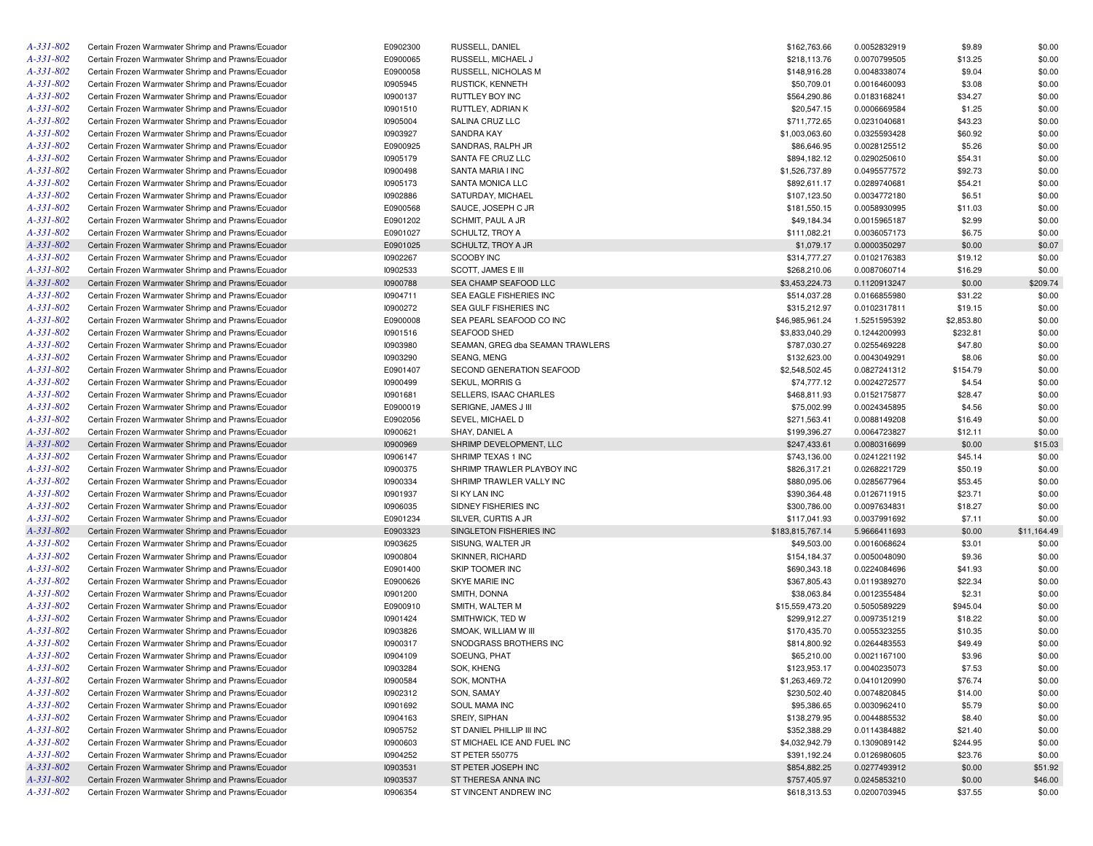| A-331-802       | Certain Frozen Warmwater Shrimp and Prawns/Ecuador | E0902300 | RUSSELL, DANIEL                  | \$162,763.66     | 0.0052832919 | \$9.89     | \$0.00      |
|-----------------|----------------------------------------------------|----------|----------------------------------|------------------|--------------|------------|-------------|
| A-331-802       | Certain Frozen Warmwater Shrimp and Prawns/Ecuador | E0900065 | RUSSELL, MICHAEL J               | \$218,113.76     | 0.0070799505 | \$13.25    | \$0.00      |
| A-331-802       | Certain Frozen Warmwater Shrimp and Prawns/Ecuador | E0900058 | RUSSELL, NICHOLAS M              | \$148,916.28     | 0.0048338074 | \$9.04     | \$0.00      |
| A-331-802       | Certain Frozen Warmwater Shrimp and Prawns/Ecuador | 10905945 | <b>RUSTICK, KENNETH</b>          | \$50,709.01      | 0.0016460093 | \$3.08     | \$0.00      |
| A-331-802       | Certain Frozen Warmwater Shrimp and Prawns/Ecuador | 10900137 | RUTTLEY BOY INC                  | \$564,290.86     | 0.0183168241 | \$34.27    | \$0.00      |
| A-331-802       | Certain Frozen Warmwater Shrimp and Prawns/Ecuador | 10901510 | RUTTLEY, ADRIAN K                | \$20,547.15      | 0.0006669584 | \$1.25     | \$0.00      |
| $A - 331 - 802$ | Certain Frozen Warmwater Shrimp and Prawns/Ecuador | 10905004 | SALINA CRUZ LLC                  | \$711,772.65     | 0.0231040681 | \$43.23    | \$0.00      |
| A-331-802       | Certain Frozen Warmwater Shrimp and Prawns/Ecuador | 10903927 | <b>SANDRA KAY</b>                | \$1,003,063.60   | 0.0325593428 | \$60.92    | \$0.00      |
| A-331-802       | Certain Frozen Warmwater Shrimp and Prawns/Ecuador | E0900925 | SANDRAS, RALPH JR                | \$86,646.95      | 0.0028125512 | \$5.26     | \$0.00      |
| A-331-802       | Certain Frozen Warmwater Shrimp and Prawns/Ecuador | 10905179 | SANTA FE CRUZ LLC                | \$894,182.12     | 0.0290250610 | \$54.31    | \$0.00      |
| A-331-802       | Certain Frozen Warmwater Shrimp and Prawns/Ecuador | 10900498 | SANTA MARIA I INC                | \$1,526,737.89   | 0.0495577572 | \$92.73    | \$0.00      |
| A-331-802       | Certain Frozen Warmwater Shrimp and Prawns/Ecuador | 10905173 | <b>SANTA MONICA LLC</b>          | \$892,611.17     | 0.0289740681 | \$54.21    | \$0.00      |
| $A - 331 - 802$ | Certain Frozen Warmwater Shrimp and Prawns/Ecuador | 10902886 | SATURDAY, MICHAEL                | \$107,123.50     | 0.0034772180 | \$6.51     | \$0.00      |
| A-331-802       | Certain Frozen Warmwater Shrimp and Prawns/Ecuador | E0900568 | SAUCE, JOSEPH C JR               | \$181,550.15     | 0.0058930995 | \$11.03    | \$0.00      |
| $A - 331 - 802$ | Certain Frozen Warmwater Shrimp and Prawns/Ecuador | E0901202 | SCHMIT, PAUL A JR                | \$49,184.34      |              | \$2.99     | \$0.00      |
| A-331-802       | Certain Frozen Warmwater Shrimp and Prawns/Ecuador |          |                                  |                  | 0.0015965187 |            |             |
|                 |                                                    | E0901027 | SCHULTZ, TROY A                  | \$111,082.21     | 0.0036057173 | \$6.75     | \$0.00      |
| A-331-802       | Certain Frozen Warmwater Shrimp and Prawns/Ecuador | E0901025 | SCHULTZ, TROY A JR               | \$1,079.17       | 0.0000350297 | \$0.00     | \$0.07      |
| $A - 331 - 802$ | Certain Frozen Warmwater Shrimp and Prawns/Ecuador | 10902267 | SCOOBY INC                       | \$314,777.27     | 0.0102176383 | \$19.12    | \$0.00      |
| A-331-802       | Certain Frozen Warmwater Shrimp and Prawns/Ecuador | 10902533 | SCOTT, JAMES E III               | \$268,210.06     | 0.0087060714 | \$16.29    | \$0.00      |
| A-331-802       | Certain Frozen Warmwater Shrimp and Prawns/Ecuador | 10900788 | SEA CHAMP SEAFOOD LLC            | \$3,453,224.73   | 0.1120913247 | \$0.00     | \$209.74    |
| A-331-802       | Certain Frozen Warmwater Shrimp and Prawns/Ecuador | 10904711 | SEA EAGLE FISHERIES INC          | \$514,037.28     | 0.0166855980 | \$31.22    | \$0.00      |
| A-331-802       | Certain Frozen Warmwater Shrimp and Prawns/Ecuador | 10900272 | SEA GULF FISHERIES INC           | \$315,212.97     | 0.0102317811 | \$19.15    | \$0.00      |
| A-331-802       | Certain Frozen Warmwater Shrimp and Prawns/Ecuador | E0900008 | SEA PEARL SEAFOOD CO INC         | \$46,985,961.24  | 1.5251595392 | \$2,853.80 | \$0.00      |
| A-331-802       | Certain Frozen Warmwater Shrimp and Prawns/Ecuador | 10901516 | <b>SEAFOOD SHED</b>              | \$3,833,040.29   | 0.1244200993 | \$232.81   | \$0.00      |
| $A - 331 - 802$ | Certain Frozen Warmwater Shrimp and Prawns/Ecuador | 10903980 | SEAMAN, GREG dba SEAMAN TRAWLERS | \$787,030.27     | 0.0255469228 | \$47.80    | \$0.00      |
| A-331-802       | Certain Frozen Warmwater Shrimp and Prawns/Ecuador | 10903290 | SEANG, MENG                      | \$132,623.00     | 0.0043049291 | \$8.06     | \$0.00      |
| A-331-802       | Certain Frozen Warmwater Shrimp and Prawns/Ecuador | E0901407 | SECOND GENERATION SEAFOOD        | \$2,548,502.45   | 0.0827241312 | \$154.79   | \$0.00      |
| A-331-802       | Certain Frozen Warmwater Shrimp and Prawns/Ecuador | 10900499 | SEKUL, MORRIS G                  | \$74,777.12      | 0.0024272577 | \$4.54     | \$0.00      |
| $A - 331 - 802$ | Certain Frozen Warmwater Shrimp and Prawns/Ecuador | 10901681 | SELLERS, ISAAC CHARLES           | \$468,811.93     | 0.0152175877 | \$28.47    | \$0.00      |
| A-331-802       | Certain Frozen Warmwater Shrimp and Prawns/Ecuador | E0900019 | SERIGNE, JAMES J III             | \$75,002.99      | 0.0024345895 | \$4.56     | \$0.00      |
| $A - 331 - 802$ | Certain Frozen Warmwater Shrimp and Prawns/Ecuador | E0902056 | SEVEL, MICHAEL D                 | \$271,563.41     | 0.0088149208 | \$16.49    | \$0.00      |
| A-331-802       | Certain Frozen Warmwater Shrimp and Prawns/Ecuador | 10900621 | SHAY, DANIEL A                   | \$199,396.27     | 0.0064723827 | \$12.11    | \$0.00      |
| A-331-802       | Certain Frozen Warmwater Shrimp and Prawns/Ecuador | 10900969 | SHRIMP DEVELOPMENT, LLC          | \$247,433.61     | 0.0080316699 | \$0.00     | \$15.03     |
| $A - 331 - 802$ | Certain Frozen Warmwater Shrimp and Prawns/Ecuador | 10906147 | SHRIMP TEXAS 1 INC               | \$743,136.00     | 0.0241221192 | \$45.14    | \$0.00      |
| A-331-802       | Certain Frozen Warmwater Shrimp and Prawns/Ecuador | 10900375 | SHRIMP TRAWLER PLAYBOY INC       | \$826,317.21     | 0.0268221729 | \$50.19    | \$0.00      |
| A-331-802       | Certain Frozen Warmwater Shrimp and Prawns/Ecuador | 10900334 | SHRIMP TRAWLER VALLY INC         | \$880,095.06     | 0.0285677964 | \$53.45    | \$0.00      |
| A-331-802       | Certain Frozen Warmwater Shrimp and Prawns/Ecuador | 10901937 | SI KY LAN INC                    | \$390,364.48     | 0.0126711915 | \$23.71    | \$0.00      |
| A-331-802       | Certain Frozen Warmwater Shrimp and Prawns/Ecuador | 10906035 | SIDNEY FISHERIES INC             | \$300,786.00     | 0.0097634831 | \$18.27    | \$0.00      |
| A-331-802       | Certain Frozen Warmwater Shrimp and Prawns/Ecuador | E0901234 | SILVER, CURTIS A JR              | \$117,041.93     | 0.0037991692 | \$7.11     | \$0.00      |
| A-331-802       | Certain Frozen Warmwater Shrimp and Prawns/Ecuador | E0903323 | SINGLETON FISHERIES INC          | \$183,815,767.14 | 5.9666411693 | \$0.00     | \$11,164.49 |
| A-331-802       | Certain Frozen Warmwater Shrimp and Prawns/Ecuador |          |                                  |                  |              |            |             |
|                 |                                                    | 10903625 | SISUNG, WALTER JR                | \$49,503.00      | 0.0016068624 | \$3.01     | \$0.00      |
| A-331-802       | Certain Frozen Warmwater Shrimp and Prawns/Ecuador | 10900804 | SKINNER, RICHARD                 | \$154,184.37     | 0.0050048090 | \$9.36     | \$0.00      |
| A-331-802       | Certain Frozen Warmwater Shrimp and Prawns/Ecuador | E0901400 | SKIP TOOMER INC                  | \$690,343.18     | 0.0224084696 | \$41.93    | \$0.00      |
| A-331-802       | Certain Frozen Warmwater Shrimp and Prawns/Ecuador | E0900626 | SKYE MARIE INC                   | \$367,805.43     | 0.0119389270 | \$22.34    | \$0.00      |
| $A - 331 - 802$ | Certain Frozen Warmwater Shrimp and Prawns/Ecuador | 10901200 | SMITH, DONNA                     | \$38,063.84      | 0.0012355484 | \$2.31     | \$0.00      |
| A-331-802       | Certain Frozen Warmwater Shrimp and Prawns/Ecuador | E0900910 | SMITH, WALTER M                  | \$15,559,473.20  | 0.5050589229 | \$945.04   | \$0.00      |
| A-331-802       | Certain Frozen Warmwater Shrimp and Prawns/Ecuador | 10901424 | SMITHWICK, TED W                 | \$299.912.27     | 0.0097351219 | \$18.22    | \$0.00      |
| A-331-802       | Certain Frozen Warmwater Shrimp and Prawns/Ecuador | 10903826 | SMOAK, WILLIAM W III             | \$170,435.70     | 0.0055323255 | \$10.35    | \$0.00      |
| $A - 331 - 802$ | Certain Frozen Warmwater Shrimp and Prawns/Ecuador | 10900317 | SNODGRASS BROTHERS INC           | \$814,800.92     | 0.0264483553 | \$49.49    | \$0.00      |
| $A - 331 - 802$ | Certain Frozen Warmwater Shrimp and Prawns/Ecuador | 10904109 | SOEUNG, PHAT                     | \$65,210.00      | 0.0021167100 | \$3.96     | \$0.00      |
| A-331-802       | Certain Frozen Warmwater Shrimp and Prawns/Ecuador | 10903284 | SOK, KHENG                       | \$123,953.17     | 0.0040235073 | \$7.53     | \$0.00      |
| $A - 331 - 802$ | Certain Frozen Warmwater Shrimp and Prawns/Ecuador | 10900584 | SOK, MONTHA                      | \$1,263,469.72   | 0.0410120990 | \$76.74    | \$0.00      |
| $A - 331 - 802$ | Certain Frozen Warmwater Shrimp and Prawns/Ecuador | 10902312 | SON, SAMAY                       | \$230,502.40     | 0.0074820845 | \$14.00    | \$0.00      |
| $A - 331 - 802$ | Certain Frozen Warmwater Shrimp and Prawns/Ecuador | 10901692 | SOUL MAMA INC                    | \$95,386.65      | 0.0030962410 | \$5.79     | \$0.00      |
| $A - 331 - 802$ | Certain Frozen Warmwater Shrimp and Prawns/Ecuador | 10904163 | SREIY, SIPHAN                    | \$138,279.95     | 0.0044885532 | \$8.40     | \$0.00      |
| A-331-802       | Certain Frozen Warmwater Shrimp and Prawns/Ecuador | 10905752 | ST DANIEL PHILLIP III INC        | \$352,388.29     | 0.0114384882 | \$21.40    | \$0.00      |
| A-331-802       | Certain Frozen Warmwater Shrimp and Prawns/Ecuador | 10900603 | ST MICHAEL ICE AND FUEL INC      | \$4,032,942.79   | 0.1309089142 | \$244.95   | \$0.00      |
| A-331-802       | Certain Frozen Warmwater Shrimp and Prawns/Ecuador | 10904252 | <b>ST PETER 550775</b>           | \$391,192.24     | 0.0126980605 | \$23.76    | \$0.00      |
| A-331-802       | Certain Frozen Warmwater Shrimp and Prawns/Ecuador | 10903531 | ST PETER JOSEPH INC              | \$854,882.25     | 0.0277493912 | \$0.00     | \$51.92     |
| A-331-802       | Certain Frozen Warmwater Shrimp and Prawns/Ecuador | 10903537 | ST THERESA ANNA INC              | \$757,405.97     | 0.0245853210 | \$0.00     | \$46.00     |
| $A - 331 - 802$ | Certain Frozen Warmwater Shrimp and Prawns/Ecuador | 10906354 | ST VINCENT ANDREW INC            | \$618,313.53     | 0.0200703945 | \$37.55    | \$0.00      |
|                 |                                                    |          |                                  |                  |              |            |             |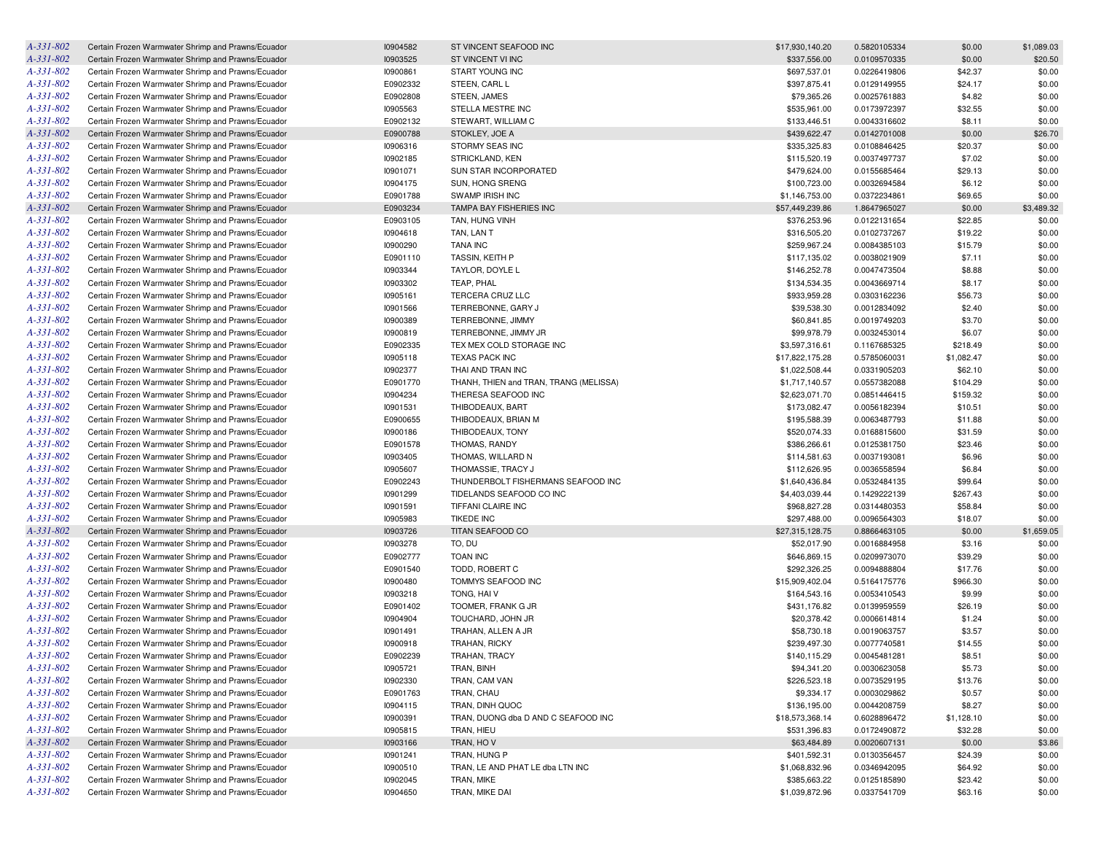| A-331-802       | Certain Frozen Warmwater Shrimp and Prawns/Ecuador | 10904582             | ST VINCENT SEAFOOD INC                 | \$17,930,140.20 | 0.5820105334 | \$0.00     | \$1,089.03 |
|-----------------|----------------------------------------------------|----------------------|----------------------------------------|-----------------|--------------|------------|------------|
| A-331-802       | Certain Frozen Warmwater Shrimp and Prawns/Ecuador | 10903525             | ST VINCENT VI INC                      | \$337,556.00    | 0.0109570335 | \$0.00     | \$20.50    |
| A-331-802       | Certain Frozen Warmwater Shrimp and Prawns/Ecuador | 10900861             | START YOUNG INC                        | \$697,537.01    | 0.0226419806 | \$42.37    | \$0.00     |
| A-331-802       | Certain Frozen Warmwater Shrimp and Prawns/Ecuador | E0902332             | STEEN, CARL L                          | \$397,875.41    | 0.0129149955 | \$24.17    | \$0.00     |
| A-331-802       | Certain Frozen Warmwater Shrimp and Prawns/Ecuador | E0902808             | STEEN, JAMES                           | \$79,365.26     | 0.0025761883 | \$4.82     | \$0.00     |
| A-331-802       | Certain Frozen Warmwater Shrimp and Prawns/Ecuador | 10905563             | STELLA MESTRE INC                      | \$535,961.00    | 0.0173972397 | \$32.55    | \$0.00     |
| A-331-802       | Certain Frozen Warmwater Shrimp and Prawns/Ecuador | E0902132             | STEWART, WILLIAM C                     | \$133,446.51    | 0.0043316602 | \$8.11     | \$0.00     |
| A-331-802       | Certain Frozen Warmwater Shrimp and Prawns/Ecuador | E0900788             | STOKLEY, JOE A                         | \$439,622.47    | 0.0142701008 | \$0.00     | \$26.70    |
| A-331-802       | Certain Frozen Warmwater Shrimp and Prawns/Ecuador | 10906316             | STORMY SEAS INC                        | \$335,325.83    | 0.0108846425 | \$20.37    | \$0.00     |
| A-331-802       | Certain Frozen Warmwater Shrimp and Prawns/Ecuador | 10902185             | STRICKLAND, KEN                        | \$115,520.19    | 0.0037497737 | \$7.02     | \$0.00     |
| A-331-802       | Certain Frozen Warmwater Shrimp and Prawns/Ecuador | 10901071             | SUN STAR INCORPORATED                  | \$479,624.00    | 0.0155685464 | \$29.13    | \$0.00     |
| A-331-802       | Certain Frozen Warmwater Shrimp and Prawns/Ecuador | 10904175             | SUN, HONG SRENG                        | \$100,723.00    | 0.0032694584 | \$6.12     | \$0.00     |
| A-331-802       | Certain Frozen Warmwater Shrimp and Prawns/Ecuador | E0901788             | SWAMP IRISH INC                        | \$1,146,753.00  | 0.0372234861 | \$69.65    | \$0.00     |
| A-331-802       | Certain Frozen Warmwater Shrimp and Prawns/Ecuador | E0903234             | TAMPA BAY FISHERIES INC                | \$57,449,239.86 | 1.8647965027 | \$0.00     | \$3,489.32 |
| A-331-802       | Certain Frozen Warmwater Shrimp and Prawns/Ecuador | E0903105             | TAN, HUNG VINH                         | \$376,253.96    | 0.0122131654 | \$22.85    | \$0.00     |
| A-331-802       | Certain Frozen Warmwater Shrimp and Prawns/Ecuador | 10904618             | TAN, LAN T                             | \$316,505.20    | 0.0102737267 | \$19.22    | \$0.00     |
| A-331-802       | Certain Frozen Warmwater Shrimp and Prawns/Ecuador | 10900290             | <b>TANA INC</b>                        | \$259,967.24    | 0.0084385103 | \$15.79    | \$0.00     |
| A-331-802       |                                                    | E0901110             | TASSIN, KEITH P                        |                 |              |            | \$0.00     |
|                 | Certain Frozen Warmwater Shrimp and Prawns/Ecuador |                      |                                        | \$117,135.02    | 0.0038021909 | \$7.11     |            |
| A-331-802       | Certain Frozen Warmwater Shrimp and Prawns/Ecuador | 10903344             | TAYLOR, DOYLE L                        | \$146,252.78    | 0.0047473504 | \$8.88     | \$0.00     |
| A-331-802       | Certain Frozen Warmwater Shrimp and Prawns/Ecuador | 10903302             | TEAP, PHAL                             | \$134,534.35    | 0.0043669714 | \$8.17     | \$0.00     |
| A-331-802       | Certain Frozen Warmwater Shrimp and Prawns/Ecuador | 10905161             | TERCERA CRUZ LLC                       | \$933,959.28    | 0.0303162236 | \$56.73    | \$0.00     |
| A-331-802       | Certain Frozen Warmwater Shrimp and Prawns/Ecuador | 10901566             | TERREBONNE, GARY J                     | \$39,538.30     | 0.0012834092 | \$2.40     | \$0.00     |
| A-331-802       | Certain Frozen Warmwater Shrimp and Prawns/Ecuador | 10900389             | TERREBONNE, JIMMY                      | \$60,841.85     | 0.0019749203 | \$3.70     | \$0.00     |
| A-331-802       | Certain Frozen Warmwater Shrimp and Prawns/Ecuador | 10900819             | TERREBONNE, JIMMY JR                   | \$99,978.79     | 0.0032453014 | \$6.07     | \$0.00     |
| A-331-802       | Certain Frozen Warmwater Shrimp and Prawns/Ecuador | E0902335             | TEX MEX COLD STORAGE INC               | \$3,597,316.61  | 0.1167685325 | \$218.49   | \$0.00     |
| A-331-802       | Certain Frozen Warmwater Shrimp and Prawns/Ecuador | 10905118             | <b>TEXAS PACK INC</b>                  | \$17,822,175.28 | 0.5785060031 | \$1,082.47 | \$0.00     |
| A-331-802       | Certain Frozen Warmwater Shrimp and Prawns/Ecuador | 10902377             | THAI AND TRAN INC                      | \$1,022,508.44  | 0.0331905203 | \$62.10    | \$0.00     |
| A-331-802       | Certain Frozen Warmwater Shrimp and Prawns/Ecuador | E0901770             | THANH, THIEN and TRAN, TRANG (MELISSA) | \$1,717,140.57  | 0.0557382088 | \$104.29   | \$0.00     |
| A-331-802       | Certain Frozen Warmwater Shrimp and Prawns/Ecuador | 10904234             | THERESA SEAFOOD INC                    | \$2,623,071.70  | 0.0851446415 | \$159.32   | \$0.00     |
| A-331-802       | Certain Frozen Warmwater Shrimp and Prawns/Ecuador | 10901531             | THIBODEAUX, BART                       | \$173,082.47    | 0.0056182394 | \$10.51    | \$0.00     |
| A-331-802       | Certain Frozen Warmwater Shrimp and Prawns/Ecuador | E0900655             | THIBODEAUX, BRIAN M                    | \$195,588.39    | 0.0063487793 | \$11.88    | \$0.00     |
| A-331-802       | Certain Frozen Warmwater Shrimp and Prawns/Ecuador | 10900186             | THIBODEAUX, TONY                       | \$520,074.33    | 0.0168815600 | \$31.59    | \$0.00     |
| A-331-802       | Certain Frozen Warmwater Shrimp and Prawns/Ecuador | E0901578             | THOMAS, RANDY                          | \$386,266.61    | 0.0125381750 | \$23.46    | \$0.00     |
| A-331-802       | Certain Frozen Warmwater Shrimp and Prawns/Ecuador | 10903405             | THOMAS, WILLARD N                      | \$114,581.63    | 0.0037193081 | \$6.96     | \$0.00     |
| A-331-802       | Certain Frozen Warmwater Shrimp and Prawns/Ecuador | 10905607             | THOMASSIE, TRACY J                     | \$112,626.95    | 0.0036558594 | \$6.84     | \$0.00     |
| A-331-802       | Certain Frozen Warmwater Shrimp and Prawns/Ecuador | E0902243             | THUNDERBOLT FISHERMANS SEAFOOD INC     | \$1,640,436.84  | 0.0532484135 | \$99.64    | \$0.00     |
| A-331-802       | Certain Frozen Warmwater Shrimp and Prawns/Ecuador | 10901299             | TIDELANDS SEAFOOD CO INC               | \$4,403,039.44  | 0.1429222139 | \$267.43   | \$0.00     |
| A-331-802       | Certain Frozen Warmwater Shrimp and Prawns/Ecuador | 10901591             | TIFFANI CLAIRE INC                     | \$968,827.28    | 0.0314480353 | \$58.84    | \$0.00     |
| A-331-802       | Certain Frozen Warmwater Shrimp and Prawns/Ecuador | 10905983             | <b>TIKEDE INC</b>                      | \$297,488.00    | 0.0096564303 | \$18.07    | \$0.00     |
| A-331-802       | Certain Frozen Warmwater Shrimp and Prawns/Ecuador | 10903726             | TITAN SEAFOOD CO                       | \$27,315,128.75 | 0.8866463105 | \$0.00     | \$1,659.05 |
| A-331-802       | Certain Frozen Warmwater Shrimp and Prawns/Ecuador | 10903278             | TO, DU                                 | \$52,017.90     | 0.0016884958 | \$3.16     | \$0.00     |
| A-331-802       | Certain Frozen Warmwater Shrimp and Prawns/Ecuador | E0902777             | TOAN INC                               | \$646,869.15    | 0.0209973070 | \$39.29    | \$0.00     |
| A-331-802       | Certain Frozen Warmwater Shrimp and Prawns/Ecuador | E0901540             | TODD, ROBERT C                         | \$292,326.25    | 0.0094888804 | \$17.76    | \$0.00     |
| A-331-802       | Certain Frozen Warmwater Shrimp and Prawns/Ecuador | 10900480             | TOMMYS SEAFOOD INC                     | \$15,909,402.04 | 0.5164175776 | \$966.30   | \$0.00     |
| A-331-802       | Certain Frozen Warmwater Shrimp and Prawns/Ecuador | 10903218             | TONG, HAI V                            | \$164,543.16    | 0.0053410543 | \$9.99     | \$0.00     |
| A-331-802       | Certain Frozen Warmwater Shrimp and Prawns/Ecuador | E0901402             | TOOMER, FRANK G JR                     | \$431,176.82    | 0.0139959559 | \$26.19    | \$0.00     |
| A-331-802       | Certain Frozen Warmwater Shrimp and Prawns/Ecuador | 10904904             | TOUCHARD, JOHN JR                      | \$20,378.42     | 0.0006614814 | \$1.24     | \$0.00     |
| A-331-802       | Certain Frozen Warmwater Shrimp and Prawns/Ecuador | 10901491             | TRAHAN, ALLEN A JR                     | \$58,730.18     | 0.0019063757 | \$3.57     | \$0.00     |
| A-331-802       | Certain Frozen Warmwater Shrimp and Prawns/Ecuador | 10900918             | TRAHAN, RICKY                          | \$239,497.30    | 0.0077740581 | \$14.55    | \$0.00     |
| A-331-802       | Certain Frozen Warmwater Shrimp and Prawns/Ecuador | E0902239             | <b>TRAHAN, TRACY</b>                   | \$140,115.29    | 0.0045481281 | \$8.51     | \$0.00     |
| A-331-802       | Certain Frozen Warmwater Shrimp and Prawns/Ecuador | 10905721             | TRAN, BINH                             | \$94,341.20     |              | \$5.73     | \$0.00     |
| A-331-802       |                                                    |                      |                                        | \$226,523.18    | 0.0030623058 |            |            |
| A-331-802       | Certain Frozen Warmwater Shrimp and Prawns/Ecuador | 10902330<br>E0901763 | TRAN, CAM VAN                          |                 | 0.0073529195 | \$13.76    | \$0.00     |
|                 | Certain Frozen Warmwater Shrimp and Prawns/Ecuador |                      | TRAN, CHAU                             | \$9,334.17      | 0.0003029862 | \$0.57     | \$0.00     |
| A-331-802       | Certain Frozen Warmwater Shrimp and Prawns/Ecuador | 10904115             | TRAN, DINH QUOC                        | \$136,195.00    | 0.0044208759 | \$8.27     | \$0.00     |
| A-331-802       | Certain Frozen Warmwater Shrimp and Prawns/Ecuador | 10900391             | TRAN, DUONG dba D AND C SEAFOOD INC    | \$18,573,368.14 | 0.6028896472 | \$1,128.10 | \$0.00     |
| A-331-802       | Certain Frozen Warmwater Shrimp and Prawns/Ecuador | 10905815             | TRAN, HIEU                             | \$531,396.83    | 0.0172490872 | \$32.28    | \$0.00     |
| $A - 331 - 802$ | Certain Frozen Warmwater Shrimp and Prawns/Ecuador | 10903166             | TRAN, HOV                              | \$63,484.89     | 0.0020607131 | \$0.00     | \$3.86     |
| A-331-802       | Certain Frozen Warmwater Shrimp and Prawns/Ecuador | 10901241             | TRAN, HUNG P                           | \$401,592.31    | 0.0130356457 | \$24.39    | \$0.00     |
| A-331-802       | Certain Frozen Warmwater Shrimp and Prawns/Ecuador | 10900510             | TRAN, LE AND PHAT LE dba LTN INC       | \$1,068,832.96  | 0.0346942095 | \$64.92    | \$0.00     |
| A-331-802       | Certain Frozen Warmwater Shrimp and Prawns/Ecuador | 10902045             | TRAN, MIKE                             | \$385,663.22    | 0.0125185890 | \$23.42    | \$0.00     |
| A-331-802       | Certain Frozen Warmwater Shrimp and Prawns/Ecuador | 10904650             | TRAN, MIKE DAI                         | \$1,039,872.96  | 0.0337541709 | \$63.16    | \$0.00     |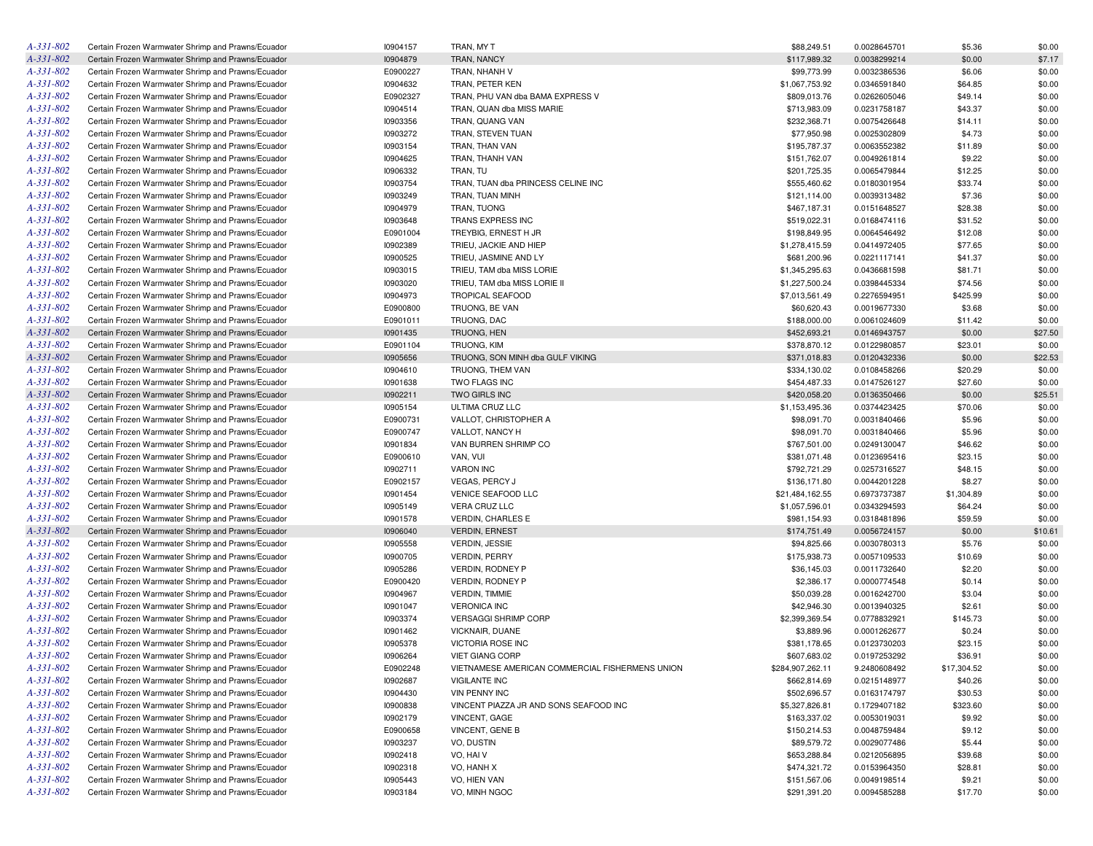| $A - 331 - 802$ | Certain Frozen Warmwater Shrimp and Prawns/Ecuador | I0904157 | TRAN, MY T                                      | \$88,249.51      | 0.0028645701 | \$5.36      | \$0.00  |
|-----------------|----------------------------------------------------|----------|-------------------------------------------------|------------------|--------------|-------------|---------|
| $A - 331 - 802$ | Certain Frozen Warmwater Shrimp and Prawns/Ecuador | 10904879 | TRAN, NANCY                                     | \$117,989.32     | 0.0038299214 | \$0.00      | \$7.17  |
| $A - 331 - 802$ | Certain Frozen Warmwater Shrimp and Prawns/Ecuador | E0900227 | TRAN, NHANH V                                   | \$99,773.99      | 0.0032386536 | \$6.06      | \$0.00  |
| A-331-802       | Certain Frozen Warmwater Shrimp and Prawns/Ecuador | 10904632 | TRAN, PETER KEN                                 | \$1,067,753.92   | 0.0346591840 | \$64.85     | \$0.00  |
| A-331-802       | Certain Frozen Warmwater Shrimp and Prawns/Ecuador | E0902327 | TRAN, PHU VAN dba BAMA EXPRESS V                | \$809,013.76     | 0.0262605046 | \$49.14     | \$0.00  |
| $A - 331 - 802$ | Certain Frozen Warmwater Shrimp and Prawns/Ecuador | 10904514 | TRAN, QUAN dba MISS MARIE                       | \$713,983.09     | 0.0231758187 | \$43.37     | \$0.00  |
| A-331-802       | Certain Frozen Warmwater Shrimp and Prawns/Ecuador | 10903356 | TRAN, QUANG VAN                                 | \$232,368.71     | 0.0075426648 | \$14.11     | \$0.00  |
| A-331-802       | Certain Frozen Warmwater Shrimp and Prawns/Ecuador | 10903272 | TRAN, STEVEN TUAN                               | \$77,950.98      | 0.0025302809 | \$4.73      | \$0.00  |
| A-331-802       | Certain Frozen Warmwater Shrimp and Prawns/Ecuador | 10903154 | TRAN, THAN VAN                                  | \$195,787.37     | 0.0063552382 | \$11.89     | \$0.00  |
| $A - 331 - 802$ | Certain Frozen Warmwater Shrimp and Prawns/Ecuador | 10904625 | TRAN, THANH VAN                                 | \$151,762.07     | 0.0049261814 | \$9.22      | \$0.00  |
| A-331-802       | Certain Frozen Warmwater Shrimp and Prawns/Ecuador | 10906332 | TRAN, TU                                        | \$201,725.35     | 0.0065479844 | \$12.25     | \$0.00  |
| A-331-802       | Certain Frozen Warmwater Shrimp and Prawns/Ecuador | 10903754 | TRAN, TUAN dba PRINCESS CELINE INC              | \$555,460.62     | 0.0180301954 | \$33.74     | \$0.00  |
| A-331-802       | Certain Frozen Warmwater Shrimp and Prawns/Ecuador | 10903249 | TRAN, TUAN MINH                                 | \$121,114.00     | 0.0039313482 | \$7.36      | \$0.00  |
| A-331-802       | Certain Frozen Warmwater Shrimp and Prawns/Ecuador | 10904979 | TRAN, TUONG                                     | \$467,187.31     | 0.0151648527 |             | \$0.00  |
| A-331-802       |                                                    |          |                                                 |                  |              | \$28.38     |         |
|                 | Certain Frozen Warmwater Shrimp and Prawns/Ecuador | 10903648 | TRANS EXPRESS INC                               | \$519,022.31     | 0.0168474116 | \$31.52     | \$0.00  |
| A-331-802       | Certain Frozen Warmwater Shrimp and Prawns/Ecuador | E0901004 | TREYBIG, ERNEST H JR                            | \$198,849.95     | 0.0064546492 | \$12.08     | \$0.00  |
| A-331-802       | Certain Frozen Warmwater Shrimp and Prawns/Ecuador | 10902389 | TRIEU, JACKIE AND HIEP                          | \$1,278,415.59   | 0.0414972405 | \$77.65     | \$0.00  |
| A-331-802       | Certain Frozen Warmwater Shrimp and Prawns/Ecuador | 10900525 | TRIEU, JASMINE AND LY                           | \$681,200.96     | 0.0221117141 | \$41.37     | \$0.00  |
| A-331-802       | Certain Frozen Warmwater Shrimp and Prawns/Ecuador | 10903015 | TRIEU, TAM dba MISS LORIE                       | \$1,345,295.63   | 0.0436681598 | \$81.71     | \$0.00  |
| A-331-802       | Certain Frozen Warmwater Shrimp and Prawns/Ecuador | 10903020 | TRIEU, TAM dba MISS LORIE II                    | \$1,227,500.24   | 0.0398445334 | \$74.56     | \$0.00  |
| A-331-802       | Certain Frozen Warmwater Shrimp and Prawns/Ecuador | 10904973 | <b>TROPICAL SEAFOOD</b>                         | \$7,013,561.49   | 0.2276594951 | \$425.99    | \$0.00  |
| $A - 331 - 802$ | Certain Frozen Warmwater Shrimp and Prawns/Ecuador | E0900800 | TRUONG, BE VAN                                  | \$60,620.43      | 0.0019677330 | \$3.68      | \$0.00  |
| A-331-802       | Certain Frozen Warmwater Shrimp and Prawns/Ecuador | E0901011 | TRUONG, DAC                                     | \$188,000.00     | 0.0061024609 | \$11.42     | \$0.00  |
| A-331-802       | Certain Frozen Warmwater Shrimp and Prawns/Ecuador | 10901435 | TRUONG, HEN                                     | \$452,693.21     | 0.0146943757 | \$0.00      | \$27.50 |
| $A - 331 - 802$ | Certain Frozen Warmwater Shrimp and Prawns/Ecuador | E0901104 | <b>TRUONG, KIM</b>                              | \$378,870.12     | 0.0122980857 | \$23.01     | \$0.00  |
| A-331-802       | Certain Frozen Warmwater Shrimp and Prawns/Ecuador | 10905656 | TRUONG, SON MINH dba GULF VIKING                | \$371,018.83     | 0.0120432336 | \$0.00      | \$22.53 |
| $A - 331 - 802$ | Certain Frozen Warmwater Shrimp and Prawns/Ecuador | 10904610 | TRUONG, THEM VAN                                | \$334,130.02     | 0.0108458266 | \$20.29     | \$0.00  |
| A-331-802       | Certain Frozen Warmwater Shrimp and Prawns/Ecuador | 10901638 | TWO FLAGS INC                                   | \$454,487.33     | 0.0147526127 | \$27.60     | \$0.00  |
| A-331-802       | Certain Frozen Warmwater Shrimp and Prawns/Ecuador | 10902211 | <b>TWO GIRLS INC</b>                            | \$420,058.20     | 0.0136350466 | \$0.00      | \$25.51 |
| $A - 331 - 802$ | Certain Frozen Warmwater Shrimp and Prawns/Ecuador | 10905154 | ULTIMA CRUZ LLC                                 | \$1,153,495.36   | 0.0374423425 | \$70.06     | \$0.00  |
| A-331-802       | Certain Frozen Warmwater Shrimp and Prawns/Ecuador | E0900731 | VALLOT, CHRISTOPHER A                           | \$98,091.70      | 0.0031840466 | \$5.96      | \$0.00  |
| A-331-802       | Certain Frozen Warmwater Shrimp and Prawns/Ecuador | E0900747 | VALLOT, NANCY H                                 | \$98,091.70      | 0.0031840466 | \$5.96      | \$0.00  |
| A-331-802       | Certain Frozen Warmwater Shrimp and Prawns/Ecuador | 10901834 | VAN BURREN SHRIMP CO                            | \$767,501.00     | 0.0249130047 | \$46.62     | \$0.00  |
| $A - 331 - 802$ | Certain Frozen Warmwater Shrimp and Prawns/Ecuador | E0900610 | VAN, VUI                                        | \$381,071.48     | 0.0123695416 | \$23.15     | \$0.00  |
| A-331-802       | Certain Frozen Warmwater Shrimp and Prawns/Ecuador | 10902711 | <b>VARON INC</b>                                | \$792,721.29     | 0.0257316527 | \$48.15     | \$0.00  |
| A-331-802       | Certain Frozen Warmwater Shrimp and Prawns/Ecuador | E0902157 | VEGAS, PERCY J                                  | \$136,171.80     | 0.0044201228 | \$8.27      | \$0.00  |
| A-331-802       |                                                    |          |                                                 |                  |              |             |         |
|                 | Certain Frozen Warmwater Shrimp and Prawns/Ecuador | 10901454 | VENICE SEAFOOD LLC                              | \$21,484,162.55  | 0.6973737387 | \$1,304.89  | \$0.00  |
| $A - 331 - 802$ | Certain Frozen Warmwater Shrimp and Prawns/Ecuador | 10905149 | VERA CRUZ LLC                                   | \$1,057,596.01   | 0.0343294593 | \$64.24     | \$0.00  |
| A-331-802       | Certain Frozen Warmwater Shrimp and Prawns/Ecuador | 10901578 | VERDIN, CHARLES E                               | \$981,154.93     | 0.0318481896 | \$59.59     | \$0.00  |
| A-331-802       | Certain Frozen Warmwater Shrimp and Prawns/Ecuador | 10906040 | <b>VERDIN, ERNEST</b>                           | \$174,751.49     | 0.0056724157 | \$0.00      | \$10.61 |
| $A - 331 - 802$ | Certain Frozen Warmwater Shrimp and Prawns/Ecuador | 10905558 | VERDIN, JESSIE                                  | \$94,825.66      | 0.0030780313 | \$5.76      | \$0.00  |
| A-331-802       | Certain Frozen Warmwater Shrimp and Prawns/Ecuador | 10900705 | <b>VERDIN, PERRY</b>                            | \$175,938.73     | 0.0057109533 | \$10.69     | \$0.00  |
| A-331-802       | Certain Frozen Warmwater Shrimp and Prawns/Ecuador | 10905286 | VERDIN, RODNEY P                                | \$36,145.03      | 0.0011732640 | \$2.20      | \$0.00  |
| A-331-802       | Certain Frozen Warmwater Shrimp and Prawns/Ecuador | E0900420 | VERDIN, RODNEY P                                | \$2,386.17       | 0.0000774548 | \$0.14      | \$0.00  |
| A-331-802       | Certain Frozen Warmwater Shrimp and Prawns/Ecuador | 10904967 | <b>VERDIN, TIMMIE</b>                           | \$50,039.28      | 0.0016242700 | \$3.04      | \$0.00  |
| $A - 331 - 802$ | Certain Frozen Warmwater Shrimp and Prawns/Ecuador | 10901047 | <b>VERONICA INC</b>                             | \$42,946.30      | 0.0013940325 | \$2.61      | \$0.00  |
| A-331-802       | Certain Frozen Warmwater Shrimp and Prawns/Ecuador | 10903374 | <b>VERSAGGI SHRIMP CORP</b>                     | \$2,399,369.54   | 0.0778832921 | \$145.73    | \$0.00  |
| A-331-802       | Certain Frozen Warmwater Shrimp and Prawns/Ecuador | 10901462 | VICKNAIR, DUANE                                 | \$3,889.96       | 0.0001262677 | \$0.24      | \$0.00  |
| A-331-802       | Certain Frozen Warmwater Shrimp and Prawns/Ecuador | 10905378 | VICTORIA ROSE INC                               | \$381,178.65     | 0.0123730203 | \$23.15     | \$0.00  |
| A-331-802       | Certain Frozen Warmwater Shrimp and Prawns/Ecuador | 10906264 | <b>VIET GIANG CORP</b>                          | \$607,683.02     | 0.0197253292 | \$36.91     | \$0.00  |
| $A - 331 - 802$ | Certain Frozen Warmwater Shrimp and Prawns/Ecuador | E0902248 | VIETNAMESE AMERICAN COMMERCIAL FISHERMENS UNION | \$284,907,262.11 | 9.2480608492 | \$17,304.52 | \$0.00  |
| $A-331-802$     | Certain Frozen Warmwater Shrimp and Prawns/Ecuador | 10902687 | <b>VIGILANTE INC</b>                            | \$662,814.69     | 0.0215148977 | \$40.26     | \$0.00  |
| $A - 331 - 802$ | Certain Frozen Warmwater Shrimp and Prawns/Ecuador | 10904430 | VIN PENNY INC                                   | \$502,696.57     | 0.0163174797 | \$30.53     | \$0.00  |
| $A - 331 - 802$ | Certain Frozen Warmwater Shrimp and Prawns/Ecuador | 10900838 | VINCENT PIAZZA JR AND SONS SEAFOOD INC          | \$5,327,826.81   | 0.1729407182 | \$323.60    | \$0.00  |
| A-331-802       | Certain Frozen Warmwater Shrimp and Prawns/Ecuador | 10902179 | VINCENT, GAGE                                   | \$163,337.02     | 0.0053019031 | \$9.92      | \$0.00  |
| $A - 331 - 802$ | Certain Frozen Warmwater Shrimp and Prawns/Ecuador | E0900658 | VINCENT, GENE B                                 | \$150,214.53     | 0.0048759484 |             |         |
|                 |                                                    |          |                                                 |                  |              | \$9.12      | \$0.00  |
| $A - 331 - 802$ | Certain Frozen Warmwater Shrimp and Prawns/Ecuador | 10903237 | VO, DUSTIN                                      | \$89,579.72      | 0.0029077486 | \$5.44      | \$0.00  |
| $A - 331 - 802$ | Certain Frozen Warmwater Shrimp and Prawns/Ecuador | 10902418 | VO, HAI V                                       | \$653,288.84     | 0.0212056895 | \$39.68     | \$0.00  |
| $A - 331 - 802$ | Certain Frozen Warmwater Shrimp and Prawns/Ecuador | 10902318 | VO, HANH X                                      | \$474,321.72     | 0.0153964350 | \$28.81     | \$0.00  |
| $A - 331 - 802$ | Certain Frozen Warmwater Shrimp and Prawns/Ecuador | 10905443 | VO, HIEN VAN                                    | \$151,567.06     | 0.0049198514 | \$9.21      | \$0.00  |
| A-331-802       | Certain Frozen Warmwater Shrimp and Prawns/Ecuador | 10903184 | VO, MINH NGOC                                   | \$291,391.20     | 0.0094585288 | \$17.70     | \$0.00  |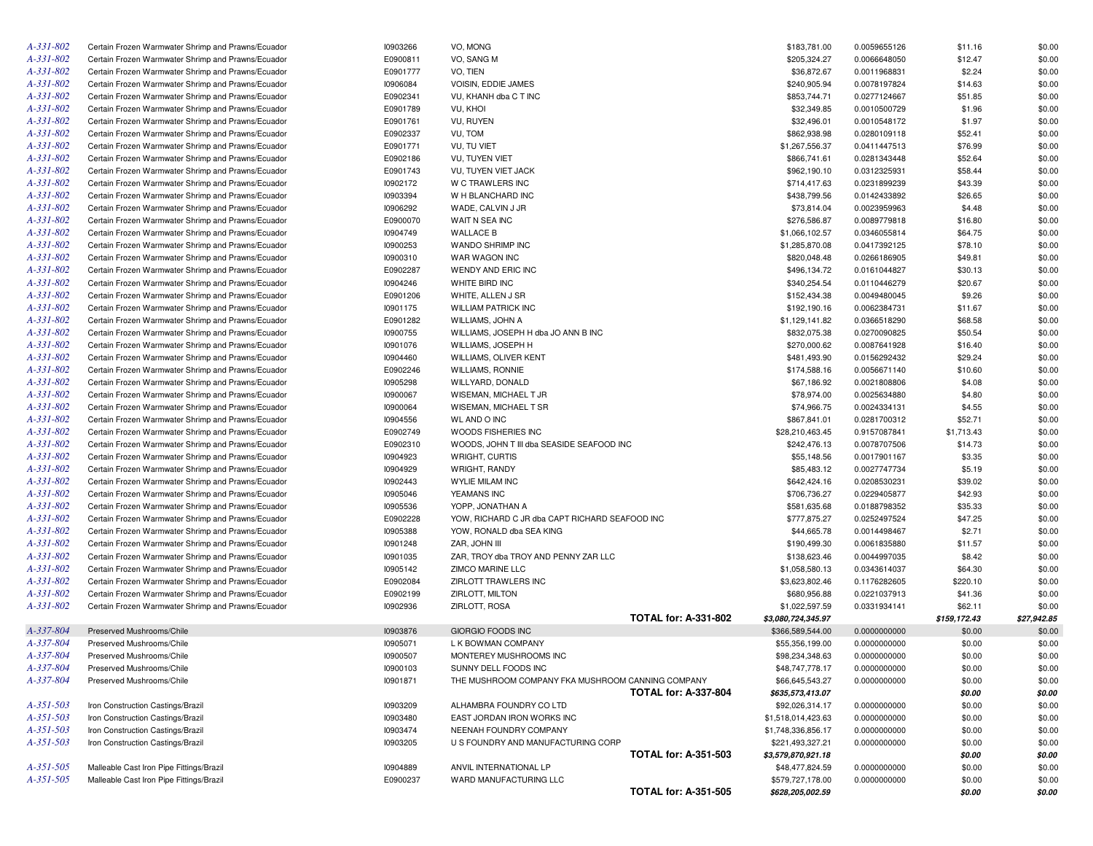| $A - 331 - 802$        | Certain Frozen Warmwater Shrimp and Prawns/Ecuador | 10903266 | VO, MONG                                          | \$183,781.00       | 0.0059655126 | \$11.16      | \$0.00      |
|------------------------|----------------------------------------------------|----------|---------------------------------------------------|--------------------|--------------|--------------|-------------|
| $A - 331 - 802$        | Certain Frozen Warmwater Shrimp and Prawns/Ecuador | E0900811 | VO, SANG M                                        | \$205,324.27       | 0.0066648050 | \$12.47      | \$0.00      |
| $A - 331 - 802$        | Certain Frozen Warmwater Shrimp and Prawns/Ecuador | E0901777 | VO, TIEN                                          | \$36,872.67        | 0.0011968831 | \$2.24       | \$0.00      |
| $A - 331 - 802$        | Certain Frozen Warmwater Shrimp and Prawns/Ecuador | 10906084 | <b>VOISIN. EDDIE JAMES</b>                        | \$240,905.94       | 0.0078197824 | \$14.63      | \$0.00      |
| $A - 331 - 802$        | Certain Frozen Warmwater Shrimp and Prawns/Ecuador | E0902341 | VU, KHANH dba C T INC                             | \$853,744.71       | 0.0277124667 | \$51.85      | \$0.00      |
| $A - 331 - 802$        | Certain Frozen Warmwater Shrimp and Prawns/Ecuador | E0901789 | VU, KHOI                                          | \$32,349.85        | 0.0010500729 | \$1.96       | \$0.00      |
| $A - 331 - 802$        | Certain Frozen Warmwater Shrimp and Prawns/Ecuador | E0901761 | VU, RUYEN                                         | \$32,496.01        | 0.0010548172 | \$1.97       | \$0.00      |
| $A - 331 - 802$        | Certain Frozen Warmwater Shrimp and Prawns/Ecuador | E0902337 | VU, TOM                                           | \$862,938.98       | 0.0280109118 | \$52.41      | \$0.00      |
| $A - 331 - 802$        | Certain Frozen Warmwater Shrimp and Prawns/Ecuador | E0901771 | VU, TU VIET                                       | \$1,267,556.37     | 0.0411447513 | \$76.99      | \$0.00      |
| $A - 331 - 802$        | Certain Frozen Warmwater Shrimp and Prawns/Ecuador | E0902186 | <b>VU, TUYEN VIET</b>                             | \$866,741.61       | 0.0281343448 | \$52.64      | \$0.00      |
| $A - 331 - 802$        | Certain Frozen Warmwater Shrimp and Prawns/Ecuador | E0901743 | VU, TUYEN VIET JACK                               | \$962,190.10       | 0.0312325931 | \$58.44      | \$0.00      |
| $A - 331 - 802$        | Certain Frozen Warmwater Shrimp and Prawns/Ecuador | 10902172 | W C TRAWLERS INC                                  | \$714,417.63       | 0.0231899239 | \$43.39      | \$0.00      |
| $A - 331 - 802$        | Certain Frozen Warmwater Shrimp and Prawns/Ecuador | 10903394 | W H BLANCHARD INC                                 | \$438,799.56       | 0.0142433892 | \$26.65      | \$0.00      |
| $A - 331 - 802$        | Certain Frozen Warmwater Shrimp and Prawns/Ecuador | 10906292 | WADE, CALVIN J JR                                 | \$73,814.04        | 0.0023959963 | \$4.48       | \$0.00      |
| $A - 331 - 802$        | Certain Frozen Warmwater Shrimp and Prawns/Ecuador | E0900070 | WAIT N SEA INC                                    | \$276,586.87       | 0.0089779818 | \$16.80      | \$0.00      |
| $A - 331 - 802$        | Certain Frozen Warmwater Shrimp and Prawns/Ecuador | 10904749 | <b>WALLACE B</b>                                  | \$1,066,102.57     | 0.0346055814 | \$64.75      | \$0.00      |
| $A - 331 - 802$        | Certain Frozen Warmwater Shrimp and Prawns/Ecuador | 10900253 | WANDO SHRIMP INC                                  | \$1,285,870.08     | 0.0417392125 | \$78.10      | \$0.00      |
| $A - 331 - 802$        | Certain Frozen Warmwater Shrimp and Prawns/Ecuador | 10900310 | WAR WAGON INC                                     | \$820,048.48       | 0.0266186905 | \$49.81      | \$0.00      |
| A-331-802              | Certain Frozen Warmwater Shrimp and Prawns/Ecuador | E0902287 | WENDY AND ERIC INC                                | \$496,134.72       | 0.0161044827 | \$30.13      | \$0.00      |
| $A - 331 - 802$        | Certain Frozen Warmwater Shrimp and Prawns/Ecuador | 10904246 | WHITE BIRD INC                                    | \$340,254.54       | 0.0110446279 | \$20.67      | \$0.00      |
| $A - 331 - 802$        | Certain Frozen Warmwater Shrimp and Prawns/Ecuador | E0901206 | WHITE, ALLEN J SR                                 | \$152,434.38       | 0.0049480045 | \$9.26       | \$0.00      |
| $A - 331 - 802$        | Certain Frozen Warmwater Shrimp and Prawns/Ecuador | 10901175 | <b>WILLIAM PATRICK INC</b>                        | \$192,190.16       | 0.0062384731 | \$11.67      | \$0.00      |
| $A - 331 - 802$        | Certain Frozen Warmwater Shrimp and Prawns/Ecuador | E0901282 | WILLIAMS, JOHN A                                  | \$1,129,141.82     | 0.0366518290 | \$68.58      | \$0.00      |
| $A - 331 - 802$        | Certain Frozen Warmwater Shrimp and Prawns/Ecuador |          | WILLIAMS, JOSEPH H dba JO ANN B INC               |                    |              |              |             |
| $A - 331 - 802$        |                                                    | I0900755 | WILLIAMS, JOSEPH H                                | \$832,075.38       | 0.0270090825 | \$50.54      | \$0.00      |
|                        | Certain Frozen Warmwater Shrimp and Prawns/Ecuador | 10901076 |                                                   | \$270,000.62       | 0.0087641928 | \$16.40      | \$0.00      |
| A-331-802<br>A-331-802 | Certain Frozen Warmwater Shrimp and Prawns/Ecuador | 10904460 | WILLIAMS, OLIVER KENT                             | \$481,493.90       | 0.0156292432 | \$29.24      | \$0.00      |
|                        | Certain Frozen Warmwater Shrimp and Prawns/Ecuador | E0902246 | <b>WILLIAMS, RONNIE</b>                           | \$174,588.16       | 0.0056671140 | \$10.60      | \$0.00      |
| A-331-802              | Certain Frozen Warmwater Shrimp and Prawns/Ecuador | 10905298 | WILLYARD, DONALD                                  | \$67,186.92        | 0.0021808806 | \$4.08       | \$0.00      |
| A-331-802              | Certain Frozen Warmwater Shrimp and Prawns/Ecuador | 10900067 | WISEMAN, MICHAEL T JR                             | \$78,974.00        | 0.0025634880 | \$4.80       | \$0.00      |
| $A - 331 - 802$        | Certain Frozen Warmwater Shrimp and Prawns/Ecuador | 10900064 | WISEMAN, MICHAEL T SR                             | \$74,966.75        | 0.0024334131 | \$4.55       | \$0.00      |
| A-331-802              | Certain Frozen Warmwater Shrimp and Prawns/Ecuador | 10904556 | <b>WL AND O INC</b>                               | \$867,841.01       | 0.0281700312 | \$52.71      | \$0.00      |
| A-331-802              | Certain Frozen Warmwater Shrimp and Prawns/Ecuador | E0902749 | WOODS FISHERIES INC                               | \$28,210,463.45    | 0.9157087841 | \$1,713.43   | \$0.00      |
| A-331-802              | Certain Frozen Warmwater Shrimp and Prawns/Ecuador | E0902310 | WOODS, JOHN T III dba SEASIDE SEAFOOD INC         | \$242,476.13       | 0.0078707506 | \$14.73      | \$0.00      |
| A-331-802              | Certain Frozen Warmwater Shrimp and Prawns/Ecuador | 10904923 | WRIGHT, CURTIS                                    | \$55,148.56        | 0.0017901167 | \$3.35       | \$0.00      |
| A-331-802              | Certain Frozen Warmwater Shrimp and Prawns/Ecuador | 10904929 | WRIGHT, RANDY                                     | \$85,483.12        | 0.0027747734 | \$5.19       | \$0.00      |
| A-331-802              | Certain Frozen Warmwater Shrimp and Prawns/Ecuador | 10902443 | <b>WYLIE MILAM INC</b>                            | \$642,424.16       | 0.0208530231 | \$39.02      | \$0.00      |
| A-331-802              | Certain Frozen Warmwater Shrimp and Prawns/Ecuador | 10905046 | YEAMANS INC                                       | \$706,736.27       | 0.0229405877 | \$42.93      | \$0.00      |
| A-331-802              | Certain Frozen Warmwater Shrimp and Prawns/Ecuador | 10905536 | YOPP, JONATHAN A                                  | \$581,635.68       | 0.0188798352 | \$35.33      | \$0.00      |
| A-331-802              | Certain Frozen Warmwater Shrimp and Prawns/Ecuador | E0902228 | YOW, RICHARD C JR dba CAPT RICHARD SEAFOOD INC    | \$777,875.27       | 0.0252497524 | \$47.25      | \$0.00      |
| A-331-802              | Certain Frozen Warmwater Shrimp and Prawns/Ecuador | 10905388 | YOW, RONALD dba SEA KING                          | \$44,665.78        | 0.0014498467 | \$2.71       | \$0.00      |
| $A - 331 - 802$        | Certain Frozen Warmwater Shrimp and Prawns/Ecuador | 10901248 | ZAR, JOHN III                                     | \$190,499.30       | 0.0061835880 | \$11.57      | \$0.00      |
| $A - 331 - 802$        | Certain Frozen Warmwater Shrimp and Prawns/Ecuador | 10901035 | ZAR, TROY dba TROY AND PENNY ZAR LLC              | \$138,623.46       | 0.0044997035 | \$8.42       | \$0.00      |
| A-331-802              | Certain Frozen Warmwater Shrimp and Prawns/Ecuador | 10905142 | <b>ZIMCO MARINE LLC</b>                           | \$1,058,580.13     | 0.0343614037 | \$64.30      | \$0.00      |
| $A - 331 - 802$        | Certain Frozen Warmwater Shrimp and Prawns/Ecuador | E0902084 | ZIRLOTT TRAWLERS INC                              | \$3,623,802.46     | 0.1176282605 | \$220.10     | \$0.00      |
| $A - 331 - 802$        | Certain Frozen Warmwater Shrimp and Prawns/Ecuador | E0902199 | ZIRLOTT, MILTON                                   | \$680,956.88       | 0.0221037913 | \$41.36      | \$0.00      |
| $A - 331 - 802$        | Certain Frozen Warmwater Shrimp and Prawns/Ecuador | 10902936 | ZIRLOTT, ROSA                                     | \$1,022,597.59     | 0.0331934141 | \$62.11      | \$0.00      |
|                        |                                                    |          | <b>TOTAL for: A-331-802</b>                       | \$3,080,724,345.97 |              | \$159,172.43 | \$27,942.85 |
| A-337-804              | Preserved Mushrooms/Chile                          | 10903876 | <b>GIORGIO FOODS INC</b>                          | \$366,589,544.00   | 0.0000000000 | \$0.00       | \$0.00      |
| A-337-804              | Preserved Mushrooms/Chile                          | 10905071 | L K BOWMAN COMPANY                                | \$55,356,199.00    | 0.0000000000 | \$0.00       | \$0.00      |
| A-337-804              | Preserved Mushrooms/Chile                          | 10900507 | MONTEREY MUSHROOMS INC                            | \$98,234,348.63    | 0.0000000000 | \$0.00       | \$0.00      |
| A-337-804              | Preserved Mushrooms/Chile                          | 10900103 | SUNNY DELL FOODS INC                              | \$48,747,778.17    | 0.0000000000 | \$0.00       | \$0.00      |
| A-337-804              | Preserved Mushrooms/Chile                          | 10901871 | THE MUSHROOM COMPANY FKA MUSHROOM CANNING COMPANY | \$66,645,543.27    | 0.0000000000 | \$0.00       | \$0.00      |
|                        |                                                    |          | <b>TOTAL for: A-337-804</b>                       | \$635,573,413.07   |              | \$0.00       | \$0.00      |
| $A - 351 - 503$        | Iron Construction Castings/Brazil                  | 10903209 | ALHAMBRA FOUNDRY CO LTD                           | \$92,026,314.17    | 0.0000000000 | \$0.00       | \$0.00      |
| $A-351-503$            | Iron Construction Castings/Brazil                  | 10903480 | EAST JORDAN IRON WORKS INC                        | \$1,518,014,423.63 | 0.0000000000 | \$0.00       | \$0.00      |
| $A - 351 - 503$        | Iron Construction Castings/Brazil                  | 10903474 | NEENAH FOUNDRY COMPANY                            | \$1,748,336,856.17 | 0.0000000000 | \$0.00       | \$0.00      |
| $A-351-503$            | Iron Construction Castings/Brazil                  | 10903205 | U S FOUNDRY AND MANUFACTURING CORP                | \$221,493,327.21   | 0.0000000000 | \$0.00       | \$0.00      |
|                        |                                                    |          | <b>TOTAL for: A-351-503</b>                       | \$3,579,870,921.18 |              | \$0.00       | \$0.00      |
| $A - 351 - 505$        | Malleable Cast Iron Pipe Fittings/Brazil           | 10904889 | ANVIL INTERNATIONAL LP                            | \$48,477,824.59    | 0.0000000000 | \$0.00       | \$0.00      |
| $A - 351 - 505$        | Malleable Cast Iron Pipe Fittings/Brazil           | E0900237 | WARD MANUFACTURING LLC                            | \$579,727,178.00   | 0.0000000000 | \$0.00       | \$0.00      |
|                        |                                                    |          | <b>TOTAL for: A-351-505</b>                       | \$628,205,002.59   |              | \$0.00       | \$0.00      |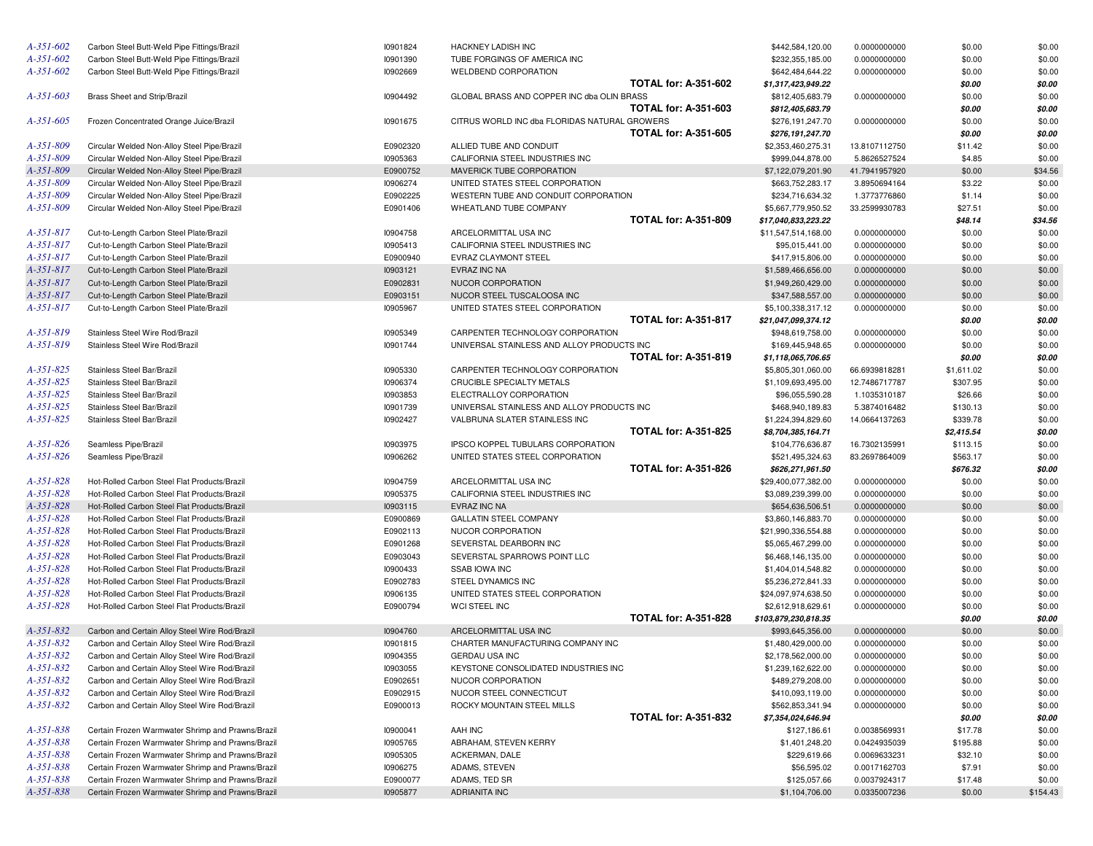| $A - 351 - 602$ | Carbon Steel Butt-Weld Pipe Fittings/Brazil       | 10901824 | HACKNEY LADISH INC                            |                             | \$442,584,120.00     | 0.0000000000  | \$0.00     | \$0.00   |
|-----------------|---------------------------------------------------|----------|-----------------------------------------------|-----------------------------|----------------------|---------------|------------|----------|
| $A - 35I - 602$ | Carbon Steel Butt-Weld Pipe Fittings/Brazil       | 10901390 | TUBE FORGINGS OF AMERICA INC                  |                             | \$232,355,185.00     | 0.0000000000  | \$0.00     | \$0.00   |
| $A - 35I - 602$ | Carbon Steel Butt-Weld Pipe Fittings/Brazil       | 10902669 | <b>WELDBEND CORPORATION</b>                   |                             | \$642,484,644.22     | 0.0000000000  | \$0.00     | \$0.00   |
|                 |                                                   |          |                                               | <b>TOTAL for: A-351-602</b> | \$1,317,423,949.22   |               | \$0.00     | \$0.00   |
| $A - 35I - 603$ | Brass Sheet and Strip/Brazil                      | 10904492 | GLOBAL BRASS AND COPPER INC dba OLIN BRASS    |                             | \$812,405,683.79     | 0.0000000000  | \$0.00     | \$0.00   |
|                 |                                                   |          |                                               | <b>TOTAL for: A-351-603</b> | \$812,405,683.79     |               | \$0.00     | \$0.00   |
| $A - 35I - 605$ | Frozen Concentrated Orange Juice/Brazil           | 10901675 | CITRUS WORLD INC dba FLORIDAS NATURAL GROWERS |                             | \$276,191,247.70     | 0.0000000000  | \$0.00     | \$0.00   |
|                 |                                                   |          |                                               | <b>TOTAL for: A-351-605</b> | \$276,191,247.70     |               | \$0.00     | \$0.00   |
| A-351-809       | Circular Welded Non-Alloy Steel Pipe/Brazil       | E0902320 | ALLIED TUBE AND CONDUIT                       |                             | \$2,353,460,275.31   | 13.8107112750 | \$11.42    | \$0.00   |
| A-351-809       | Circular Welded Non-Alloy Steel Pipe/Brazil       | 10905363 | CALIFORNIA STEEL INDUSTRIES INC               |                             | \$999,044,878.00     | 5.8626527524  | \$4.85     | \$0.00   |
| A-351-809       | Circular Welded Non-Alloy Steel Pipe/Brazil       | E0900752 | MAVERICK TUBE CORPORATION                     |                             | \$7,122,079,201.90   | 41.7941957920 | \$0.00     | \$34.56  |
| A-351-809       | Circular Welded Non-Alloy Steel Pipe/Brazil       | 10906274 | UNITED STATES STEEL CORPORATION               |                             | \$663,752,283.17     | 3.8950694164  | \$3.22     | \$0.00   |
| A-351-809       | Circular Welded Non-Alloy Steel Pipe/Brazil       | E0902225 | WESTERN TUBE AND CONDUIT CORPORATION          |                             | \$234,716,634.32     | 1.3773776860  | \$1.14     | \$0.00   |
| $A - 351 - 809$ | Circular Welded Non-Alloy Steel Pipe/Brazil       | E0901406 | WHEATLAND TUBE COMPANY                        |                             | \$5,667,779,950.52   | 33.2599930783 | \$27.51    | \$0.00   |
|                 |                                                   |          |                                               | <b>TOTAL for: A-351-809</b> | \$17,040,833,223.22  |               | \$48.14    | \$34.56  |
| $A - 35I - 817$ | Cut-to-Length Carbon Steel Plate/Brazil           | 10904758 | ARCELORMITTAL USA INC                         |                             | \$11,547,514,168.00  | 0.0000000000  | \$0.00     | \$0.00   |
| $A - 35I - 817$ | Cut-to-Length Carbon Steel Plate/Brazil           | 10905413 | CALIFORNIA STEEL INDUSTRIES INC               |                             | \$95,015,441.00      | 0.0000000000  | \$0.00     | \$0.00   |
| $A - 35I - 817$ | Cut-to-Length Carbon Steel Plate/Brazil           | E0900940 | EVRAZ CLAYMONT STEEL                          |                             | \$417,915,806.00     | 0.0000000000  | \$0.00     | \$0.00   |
| $A - 35I - 817$ | Cut-to-Length Carbon Steel Plate/Brazil           | 10903121 | EVRAZ INC NA                                  |                             | \$1,589,466,656.00   | 0.0000000000  | \$0.00     | \$0.00   |
| $A - 35I - 817$ | Cut-to-Length Carbon Steel Plate/Brazil           | E0902831 | NUCOR CORPORATION                             |                             | \$1,949,260,429.00   | 0.0000000000  | \$0.00     | \$0.00   |
| $A - 35I - 817$ | Cut-to-Length Carbon Steel Plate/Brazil           | E0903151 | NUCOR STEEL TUSCALOOSA INC                    |                             | \$347,588,557.00     | 0.0000000000  | \$0.00     | \$0.00   |
| A-351-817       | Cut-to-Length Carbon Steel Plate/Brazil           | 10905967 | UNITED STATES STEEL CORPORATION               |                             | \$5,100,338,317.12   | 0.0000000000  | \$0.00     | \$0.00   |
|                 |                                                   |          |                                               | <b>TOTAL for: A-351-817</b> | \$21,047,099,374.12  |               | \$0.00     | \$0.00   |
| $A - 35I - 819$ | Stainless Steel Wire Rod/Brazil                   | 10905349 | CARPENTER TECHNOLOGY CORPORATION              |                             | \$948,619,758.00     | 0.0000000000  | \$0.00     | \$0.00   |
| $A - 35I - 819$ | Stainless Steel Wire Rod/Brazil                   | 10901744 | UNIVERSAL STAINLESS AND ALLOY PRODUCTS INC    |                             | \$169,445,948.65     | 0.0000000000  | \$0.00     | \$0.00   |
|                 |                                                   |          |                                               | <b>TOTAL for: A-351-819</b> | \$1,118,065,706.65   |               | \$0.00     | \$0.00   |
| $A - 35I - 825$ | Stainless Steel Bar/Brazil                        | 10905330 | CARPENTER TECHNOLOGY CORPORATION              |                             | \$5,805,301,060.00   | 66.6939818281 | \$1,611.02 | \$0.00   |
| $A - 35I - 825$ | Stainless Steel Bar/Brazil                        | 10906374 | CRUCIBLE SPECIALTY METALS                     |                             | \$1,109,693,495.00   | 12.7486717787 | \$307.95   | \$0.00   |
| $A - 35I - 825$ | Stainless Steel Bar/Brazil                        | 10903853 | ELECTRALLOY CORPORATION                       |                             | \$96,055,590.28      | 1.1035310187  | \$26.66    | \$0.00   |
| $A - 35I - 825$ | Stainless Steel Bar/Brazil                        | 10901739 | UNIVERSAL STAINLESS AND ALLOY PRODUCTS INC    |                             | \$468,940,189.83     | 5.3874016482  | \$130.13   | \$0.00   |
| $A - 351 - 825$ | Stainless Steel Bar/Brazil                        | 10902427 | VALBRUNA SLATER STAINLESS INC                 |                             | \$1,224,394,829.60   | 14.0664137263 | \$339.78   | \$0.00   |
|                 |                                                   |          |                                               | <b>TOTAL for: A-351-825</b> | \$8,704,385,164.71   |               | \$2,415.54 | \$0.00   |
| $A - 35I - 826$ | Seamless Pipe/Brazil                              | 10903975 | IPSCO KOPPEL TUBULARS CORPORATION             |                             | \$104,776,636.87     | 16.7302135991 | \$113.15   | \$0.00   |
| $A - 351 - 826$ | Seamless Pipe/Brazil                              | 10906262 | UNITED STATES STEEL CORPORATION               |                             | \$521,495,324.63     | 83.2697864009 | \$563.17   | \$0.00   |
|                 |                                                   |          |                                               | <b>TOTAL for: A-351-826</b> | \$626,271,961.50     |               | \$676.32   | \$0.00   |
| $A - 35I - 828$ | Hot-Rolled Carbon Steel Flat Products/Brazil      | 10904759 | ARCELORMITTAL USA INC                         |                             | \$29,400,077,382.00  | 0.0000000000  | \$0.00     | \$0.00   |
| $A - 35I - 828$ | Hot-Rolled Carbon Steel Flat Products/Brazil      | 10905375 | CALIFORNIA STEEL INDUSTRIES INC               |                             | \$3,089,239,399.00   | 0.0000000000  | \$0.00     | \$0.00   |
| $A - 35I - 828$ | Hot-Rolled Carbon Steel Flat Products/Brazil      | 10903115 | EVRAZ INC NA                                  |                             | \$654,636,506.51     | 0.0000000000  | \$0.00     | \$0.00   |
| $A - 35I - 828$ | Hot-Rolled Carbon Steel Flat Products/Brazil      | E0900869 | <b>GALLATIN STEEL COMPANY</b>                 |                             | \$3,860,146,883.70   | 0.0000000000  | \$0.00     | \$0.00   |
| $A - 35I - 828$ | Hot-Rolled Carbon Steel Flat Products/Brazil      | E0902113 | NUCOR CORPORATION                             |                             | \$21,990,336,554.88  | 0.0000000000  | \$0.00     | \$0.00   |
| $A - 35I - 828$ | Hot-Rolled Carbon Steel Flat Products/Brazil      | E0901268 | SEVERSTAL DEARBORN INC                        |                             | \$5,065,467,299.00   | 0.0000000000  | \$0.00     | \$0.00   |
| $A - 35I - 828$ | Hot-Rolled Carbon Steel Flat Products/Brazil      | E0903043 | SEVERSTAL SPARROWS POINT LLC                  |                             | \$6,468,146,135.00   | 0.0000000000  | \$0.00     | \$0.00   |
| $A - 35I - 828$ | Hot-Rolled Carbon Steel Flat Products/Brazil      | 10900433 | <b>SSAB IOWA INC</b>                          |                             | \$1,404,014,548.82   | 0.0000000000  | \$0.00     | \$0.00   |
| $A - 35I - 828$ | Hot-Rolled Carbon Steel Flat Products/Brazil      | E0902783 | STEEL DYNAMICS INC                            |                             | \$5,236,272,841.33   | 0.0000000000  | \$0.00     | \$0.00   |
| $A - 35I - 828$ | Hot-Rolled Carbon Steel Flat Products/Brazil      | 10906135 | UNITED STATES STEEL CORPORATION               |                             | \$24,097,974,638.50  | 0.0000000000  | \$0.00     | \$0.00   |
| $A - 35I - 828$ | Hot-Rolled Carbon Steel Flat Products/Brazil      | E0900794 | WCI STEEL INC                                 |                             | \$2,612,918,629.61   | 0.0000000000  | \$0.00     | \$0.00   |
|                 |                                                   |          |                                               | <b>TOTAL for: A-351-828</b> | \$103,879,230,818.35 |               | \$0.00     | \$0.00   |
| $A - 35I - 832$ | Carbon and Certain Alloy Steel Wire Rod/Brazil    | 10904760 | ARCELORMITTAL USA INC                         |                             | \$993,645,356.00     | 0.0000000000  | \$0.00     | \$0.00   |
| $A - 35I - 832$ | Carbon and Certain Alloy Steel Wire Rod/Brazil    | 10901815 | CHARTER MANUFACTURING COMPANY INC             |                             | \$1,480,429,000.00   | 0.0000000000  | \$0.00     | \$0.00   |
| $A - 35I - 832$ | Carbon and Certain Alloy Steel Wire Rod/Brazil    | 10904355 | <b>GERDAU USA INC</b>                         |                             | \$2,178,562,000.00   | 0.0000000000  | \$0.00     | \$0.00   |
| A-351-832       | Carbon and Certain Alloy Steel Wire Rod/Brazil    | 10903055 | KEYSTONE CONSOLIDATED INDUSTRIES INC          |                             | \$1,239,162,622.00   | 0.0000000000  | \$0.00     | \$0.00   |
| A-351-832       | Carbon and Certain Alloy Steel Wire Rod/Brazil    | E0902651 | NUCOR CORPORATION                             |                             | \$489,279,208.00     | 0.0000000000  | \$0.00     | \$0.00   |
| $A - 35I - 832$ | Carbon and Certain Alloy Steel Wire Rod/Brazil    | E0902915 | NUCOR STEEL CONNECTICUT                       |                             | \$410,093,119.00     | 0.0000000000  | \$0.00     | \$0.00   |
| A-351-832       | Carbon and Certain Alloy Steel Wire Rod/Brazil    | E0900013 | ROCKY MOUNTAIN STEEL MILLS                    |                             | \$562,853,341.94     | 0.0000000000  | \$0.00     | \$0.00   |
|                 |                                                   |          |                                               | <b>TOTAL for: A-351-832</b> | \$7,354,024,646.94   |               | \$0.00     | \$0.00   |
| A-351-838       | Certain Frozen Warmwater Shrimp and Prawns/Brazil | 10900041 | AAH INC                                       |                             | \$127,186.61         | 0.0038569931  | \$17.78    | \$0.00   |
| A-351-838       | Certain Frozen Warmwater Shrimp and Prawns/Brazil | 10905765 | ABRAHAM, STEVEN KERRY                         |                             | \$1,401,248.20       | 0.0424935039  | \$195.88   | \$0.00   |
| A-351-838       | Certain Frozen Warmwater Shrimp and Prawns/Brazil | 10905305 | ACKERMAN, DALE                                |                             | \$229,619.66         | 0.0069633231  | \$32.10    | \$0.00   |
| A-351-838       | Certain Frozen Warmwater Shrimp and Prawns/Brazil | 10906275 | ADAMS, STEVEN                                 |                             | \$56,595.02          | 0.0017162703  | \$7.91     | \$0.00   |
| A-351-838       | Certain Frozen Warmwater Shrimp and Prawns/Brazil | E0900077 | ADAMS, TED SR                                 |                             | \$125,057.66         | 0.0037924317  | \$17.48    | \$0.00   |
| A-351-838       | Certain Frozen Warmwater Shrimp and Prawns/Brazil | 10905877 | <b>ADRIANITA INC</b>                          |                             | \$1,104,706.00       | 0.0335007236  | \$0.00     | \$154.43 |
|                 |                                                   |          |                                               |                             |                      |               |            |          |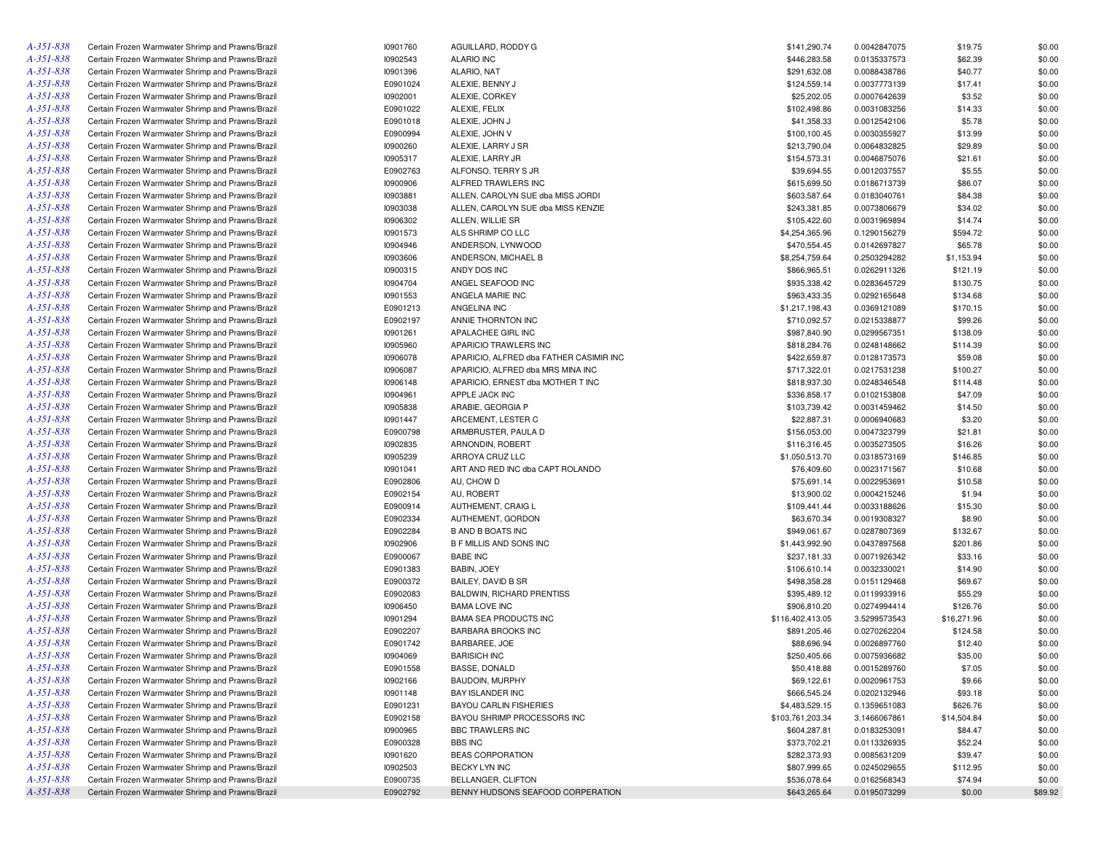| $A - 35I - 838$ | Certain Frozen Warmwater Shrimp and Prawns/Brazil | 10901760 | AGUILLARD, RODDY G                      | \$141,290.74     | 0.0042847075 | \$19.75     | \$0.00  |
|-----------------|---------------------------------------------------|----------|-----------------------------------------|------------------|--------------|-------------|---------|
| $A - 35I - 838$ | Certain Frozen Warmwater Shrimp and Prawns/Brazil | 10902543 | <b>ALARIO INC</b>                       | \$446,283.58     | 0.0135337573 | \$62.39     | \$0.00  |
| $A - 35I - 838$ | Certain Frozen Warmwater Shrimp and Prawns/Brazil | 10901396 | ALARIO, NAT                             | \$291,632.08     | 0.0088438786 | \$40.77     | \$0.00  |
| $A - 351 - 838$ | Certain Frozen Warmwater Shrimp and Prawns/Brazil | E0901024 | ALEXIE. BENNY J                         | \$124,559.14     | 0.0037773139 | \$17.41     | \$0.00  |
| $A - 35I - 838$ | Certain Frozen Warmwater Shrimp and Prawns/Brazil | 10902001 | ALEXIE, CORKEY                          | \$25,202.05      | 0.0007642639 | \$3.52      | \$0.00  |
| $A - 351 - 838$ | Certain Frozen Warmwater Shrimp and Prawns/Brazil | E0901022 | ALEXIE, FELIX                           | \$102,498.86     | 0.0031083256 | \$14.33     | \$0.00  |
| A-351-838       | Certain Frozen Warmwater Shrimp and Prawns/Brazil | E0901018 | ALEXIE, JOHN J                          | \$41,358.33      | 0.0012542106 | \$5.78      | \$0.00  |
| $A - 351 - 838$ | Certain Frozen Warmwater Shrimp and Prawns/Brazil | E0900994 | ALEXIE. JOHN V                          | \$100,100.45     | 0.0030355927 | \$13.99     | \$0.00  |
| A-351-838       | Certain Frozen Warmwater Shrimp and Prawns/Brazil | 10900260 | ALEXIE, LARRY J SR                      | \$213,790.04     | 0.0064832825 | \$29.89     | \$0.00  |
| $A - 351 - 838$ | Certain Frozen Warmwater Shrimp and Prawns/Brazil | 10905317 | ALEXIE, LARRY JR                        | \$154,573.31     | 0.0046875076 | \$21.61     | \$0.00  |
| A-351-838       | Certain Frozen Warmwater Shrimp and Prawns/Brazil | E0902763 | ALFONSO, TERRY S JR                     | \$39,694.55      | 0.0012037557 | \$5.55      | \$0.00  |
| $A - 351 - 838$ | Certain Frozen Warmwater Shrimp and Prawns/Brazil | 10900906 | ALFRED TRAWLERS INC                     | \$615,699.50     | 0.0186713739 | \$86.07     | \$0.00  |
| $A - 35I - 838$ | Certain Frozen Warmwater Shrimp and Prawns/Brazil | 10903881 | ALLEN, CAROLYN SUE dba MISS JORDI       | \$603,587.64     | 0.0183040761 | \$84.38     | \$0.00  |
| $A - 351 - 838$ | Certain Frozen Warmwater Shrimp and Prawns/Brazil | 10903038 | ALLEN, CAROLYN SUE dba MISS KENZIE      | \$243,381.85     | 0.0073806679 | \$34.02     | \$0.00  |
| A-351-838       | Certain Frozen Warmwater Shrimp and Prawns/Brazil | 10906302 | ALLEN. WILLIE SR                        | \$105,422.60     | 0.0031969894 | \$14.74     | \$0.00  |
| $A - 351 - 838$ | Certain Frozen Warmwater Shrimp and Prawns/Brazil | 10901573 | ALS SHRIMP CO LLC                       | \$4,254,365.96   | 0.1290156279 | \$594.72    | \$0.00  |
| A-351-838       | Certain Frozen Warmwater Shrimp and Prawns/Brazil | 10904946 | ANDERSON, LYNWOOD                       | \$470,554.45     | 0.0142697827 | \$65.78     | \$0.00  |
| $A - 351 - 838$ | Certain Frozen Warmwater Shrimp and Prawns/Brazil | 10903606 | ANDERSON, MICHAEL B                     | \$8,254,759.64   | 0.2503294282 |             | \$0.00  |
| A-351-838       |                                                   |          | ANDY DOS INC                            |                  |              | \$1,153.94  |         |
|                 | Certain Frozen Warmwater Shrimp and Prawns/Brazil | 10900315 |                                         | \$866,965.51     | 0.0262911326 | \$121.19    | \$0.00  |
| $A - 351 - 838$ | Certain Frozen Warmwater Shrimp and Prawns/Brazil | 10904704 | ANGEL SEAFOOD INC                       | \$935,338.42     | 0.0283645729 | \$130.75    | \$0.00  |
| $A - 35I - 838$ | Certain Frozen Warmwater Shrimp and Prawns/Brazil | 10901553 | ANGELA MARIE INC                        | \$963,433.35     | 0.0292165648 | \$134.68    | \$0.00  |
| $A - 351 - 838$ | Certain Frozen Warmwater Shrimp and Prawns/Brazil | E0901213 | ANGELINA INC                            | \$1,217,198.43   | 0.0369121089 | \$170.15    | \$0.00  |
| A-351-838       | Certain Frozen Warmwater Shrimp and Prawns/Brazil | E0902197 | ANNIE THORNTON INC                      | \$710,092.57     | 0.0215338877 | \$99.26     | \$0.00  |
| $A - 351 - 838$ | Certain Frozen Warmwater Shrimp and Prawns/Brazil | 10901261 | APALACHEE GIRL INC                      | \$987,840.90     | 0.0299567351 | \$138.09    | \$0.00  |
| A-351-838       | Certain Frozen Warmwater Shrimp and Prawns/Brazil | 10905960 | APARICIO TRAWLERS INC                   | \$818,284.76     | 0.0248148662 | \$114.39    | \$0.00  |
| $A - 351 - 838$ | Certain Frozen Warmwater Shrimp and Prawns/Brazil | 10906078 | APARICIO, ALFRED dba FATHER CASIMIR INC | \$422,659.87     | 0.0128173573 | \$59.08     | \$0.00  |
| A-351-838       | Certain Frozen Warmwater Shrimp and Prawns/Brazil | 10906087 | APARICIO, ALFRED dba MRS MINA INC       | \$717,322.01     | 0.0217531238 | \$100.27    | \$0.00  |
| $A - 351 - 838$ | Certain Frozen Warmwater Shrimp and Prawns/Brazil | 10906148 | APARICIO, ERNEST dba MOTHER T INC       | \$818,937.30     | 0.0248346548 | \$114.48    | \$0.00  |
| A-351-838       | Certain Frozen Warmwater Shrimp and Prawns/Brazil | 10904961 | APPLE JACK INC                          | \$336,858.17     | 0.0102153808 | \$47.09     | \$0.00  |
| $A - 351 - 838$ | Certain Frozen Warmwater Shrimp and Prawns/Brazil | 10905838 | ARABIE, GEORGIA P                       | \$103,739.42     | 0.0031459462 | \$14.50     | \$0.00  |
| A-351-838       | Certain Frozen Warmwater Shrimp and Prawns/Brazil | 10901447 | ARCEMENT, LESTER C                      | \$22,887.31      | 0.0006940683 | \$3.20      | \$0.00  |
| $A - 351 - 838$ | Certain Frozen Warmwater Shrimp and Prawns/Brazil | E0900798 | ARMBRUSTER, PAULA D                     | \$156,053.00     | 0.0047323799 | \$21.81     | \$0.00  |
| A-351-838       | Certain Frozen Warmwater Shrimp and Prawns/Brazil | 10902835 | ARNONDIN, ROBERT                        | \$116,316.45     | 0.0035273505 | \$16.26     | \$0.00  |
| $A - 351 - 838$ | Certain Frozen Warmwater Shrimp and Prawns/Brazil | 10905239 | ARROYA CRUZ LLC                         | \$1,050,513.70   | 0.0318573169 | \$146.85    | \$0.00  |
| A-351-838       | Certain Frozen Warmwater Shrimp and Prawns/Brazil | 10901041 | ART AND RED INC dba CAPT ROLANDO        | \$76,409.60      | 0.0023171567 | \$10.68     | \$0.00  |
| $A - 351 - 838$ | Certain Frozen Warmwater Shrimp and Prawns/Brazil | E0902806 | AU, CHOW D                              | \$75,691.14      | 0.0022953691 | \$10.58     | \$0.00  |
| A-351-838       | Certain Frozen Warmwater Shrimp and Prawns/Brazil | E0902154 | AU, ROBERT                              | \$13,900.02      | 0.0004215246 | \$1.94      | \$0.00  |
| $A - 351 - 838$ | Certain Frozen Warmwater Shrimp and Prawns/Brazil | E0900914 | AUTHEMENT, CRAIG L                      | \$109,441.44     | 0.0033188626 | \$15.30     | \$0.00  |
| A-351-838       | Certain Frozen Warmwater Shrimp and Prawns/Brazil | E0902334 | AUTHEMENT, GORDON                       | \$63,670.34      | 0.0019308327 | \$8.90      | \$0.00  |
| $A - 351 - 838$ | Certain Frozen Warmwater Shrimp and Prawns/Brazil | E0902284 | <b>B AND B BOATS INC</b>                | \$949,061.67     | 0.0287807369 | \$132.67    | \$0.00  |
| A-351-838       | Certain Frozen Warmwater Shrimp and Prawns/Brazil | 10902906 | <b>B F MILLIS AND SONS INC</b>          | \$1,443,992.90   | 0.0437897568 | \$201.86    | \$0.00  |
| $A - 351 - 838$ | Certain Frozen Warmwater Shrimp and Prawns/Brazil | E0900067 | <b>BABE INC</b>                         | \$237,181.33     | 0.0071926342 | \$33.16     | \$0.00  |
| A-351-838       | Certain Frozen Warmwater Shrimp and Prawns/Brazil | E0901383 | BABIN, JOEY                             | \$106,610.14     | 0.0032330021 | \$14.90     | \$0.00  |
| $A - 351 - 838$ | Certain Frozen Warmwater Shrimp and Prawns/Brazil | E0900372 | <b>BAILEY, DAVID B SR</b>               | \$498,358.28     | 0.0151129468 | \$69.67     | \$0.00  |
| A-351-838       | Certain Frozen Warmwater Shrimp and Prawns/Brazil | E0902083 | <b>BALDWIN, RICHARD PRENTISS</b>        | \$395,489.12     | 0.0119933916 | \$55.29     | \$0.00  |
| $A - 351 - 838$ | Certain Frozen Warmwater Shrimp and Prawns/Brazil | 10906450 | <b>BAMA LOVE INC</b>                    | \$906,810.20     | 0.0274994414 | \$126.76    | \$0.00  |
| A-351-838       | Certain Frozen Warmwater Shrimp and Prawns/Brazil | 10901294 | <b>BAMA SEA PRODUCTS INC</b>            | \$116,402,413.05 | 3.5299573543 | \$16,271.96 | \$0.00  |
| $A - 351 - 838$ | Certain Frozen Warmwater Shrimp and Prawns/Brazil | E0902207 | <b>BARBARA BROOKS INC</b>               | \$891,205.46     | 0.0270262204 | \$124.58    | \$0.00  |
| $A - 35I - 838$ | Certain Frozen Warmwater Shrimp and Prawns/Brazil | E0901742 | BARBAREE, JOE                           | \$88,696.94      | 0.0026897760 | \$12.40     | \$0.00  |
| $A - 35I - 838$ | Certain Frozen Warmwater Shrimp and Prawns/Brazil | 10904069 | <b>BARISICH INC</b>                     | \$250,405.66     | 0.0075936682 | \$35.00     | \$0.00  |
| $A - 35I - 838$ | Certain Frozen Warmwater Shrimp and Prawns/Brazil | E0901558 | BASSE, DONALD                           | \$50,418.88      | 0.0015289760 | \$7.05      | \$0.00  |
| $A - 351 - 838$ | Certain Frozen Warmwater Shrimp and Prawns/Brazil | 10902166 | <b>BAUDOIN, MURPHY</b>                  | \$69,122.61      | 0.0020961753 | \$9.66      | \$0.00  |
| $A - 351 - 838$ | Certain Frozen Warmwater Shrimp and Prawns/Brazil | 10901148 | BAY ISLANDER INC                        | \$666,545.24     | 0.0202132946 | \$93.18     | \$0.00  |
| $A - 351 - 838$ | Certain Frozen Warmwater Shrimp and Prawns/Brazil | E0901231 | <b>BAYOU CARLIN FISHERIES</b>           | \$4,483,529.15   | 0.1359651083 | \$626.76    | \$0.00  |
| A-351-838       | Certain Frozen Warmwater Shrimp and Prawns/Brazil | E0902158 | BAYOU SHRIMP PROCESSORS INC             | \$103,761,203.34 | 3.1466067861 | \$14,504.84 | \$0.00  |
| $A - 351 - 838$ | Certain Frozen Warmwater Shrimp and Prawns/Brazil | 10900965 | BBC TRAWLERS INC                        | \$604,287.81     | 0.0183253091 | \$84.47     | \$0.00  |
| $A - 351 - 838$ | Certain Frozen Warmwater Shrimp and Prawns/Brazil | E0900328 | <b>BBS INC</b>                          | \$373,702.21     | 0.0113326935 | \$52.24     | \$0.00  |
| $A - 351 - 838$ | Certain Frozen Warmwater Shrimp and Prawns/Brazil | 10901620 | <b>BEAS CORPORATION</b>                 | \$282,373.93     | 0.0085631209 | \$39.47     | \$0.00  |
| $A - 351 - 838$ | Certain Frozen Warmwater Shrimp and Prawns/Brazil | 10902503 | BECKY LYN INC                           | \$807,999.65     | 0.0245029655 | \$112.95    | \$0.00  |
| $A - 351 - 838$ | Certain Frozen Warmwater Shrimp and Prawns/Brazil | E0900735 | BELLANGER, CLIFTON                      | \$536,078.64     | 0.0162568343 | \$74.94     | \$0.00  |
| A-351-838       | Certain Frozen Warmwater Shrimp and Prawns/Brazil | E0902792 | BENNY HUDSONS SEAFOOD CORPERATION       | \$643,265.64     | 0.0195073299 | \$0.00      | \$89.92 |
|                 |                                                   |          |                                         |                  |              |             |         |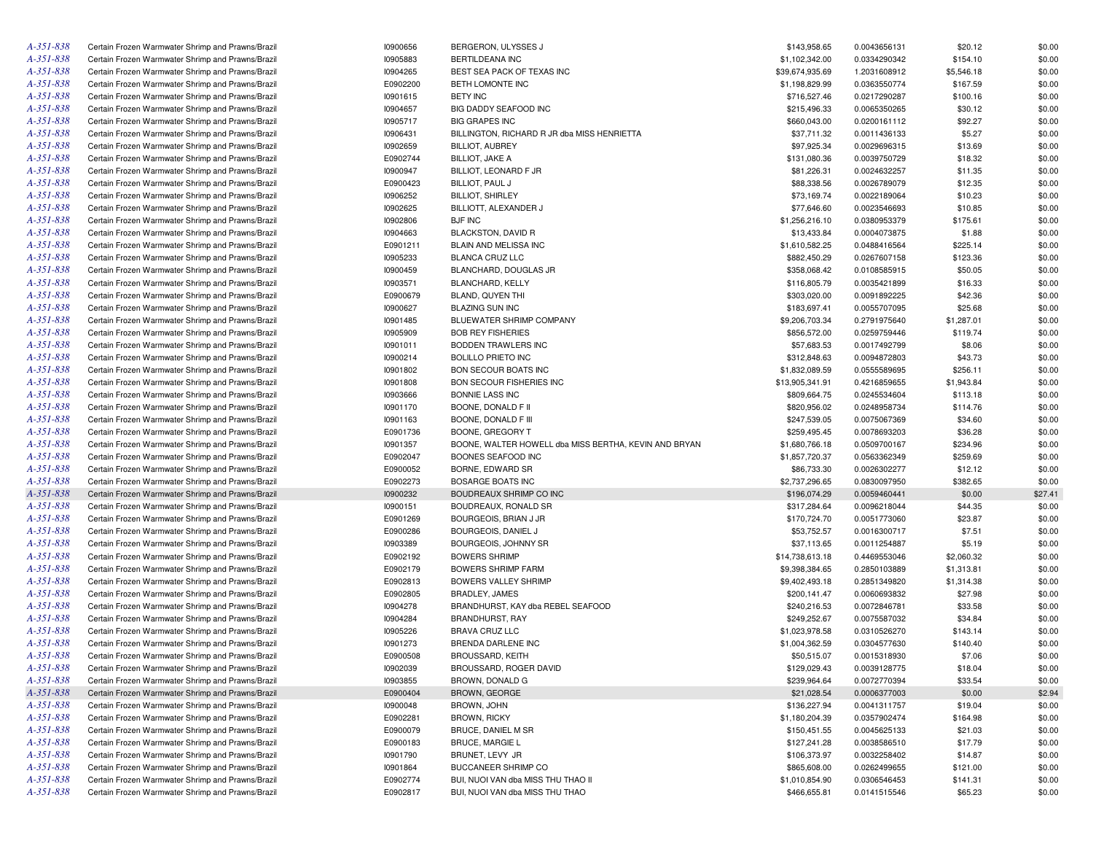| A-351-838       | Certain Frozen Warmwater Shrimp and Prawns/Brazil | 10900656 | BERGERON, ULYSSES J                                   | \$143,958.65    | 0.0043656131 | \$20.12    | \$0.00  |
|-----------------|---------------------------------------------------|----------|-------------------------------------------------------|-----------------|--------------|------------|---------|
| A-351-838       | Certain Frozen Warmwater Shrimp and Prawns/Brazil | 10905883 | BERTILDEANA INC                                       | \$1,102,342.00  | 0.0334290342 | \$154.10   | \$0.00  |
| A-351-838       | Certain Frozen Warmwater Shrimp and Prawns/Brazil | 10904265 | BEST SEA PACK OF TEXAS INC                            | \$39,674,935.69 | 1.2031608912 | \$5,546.18 | \$0.00  |
| A-351-838       | Certain Frozen Warmwater Shrimp and Prawns/Brazil | E0902200 | BETH LOMONTE INC                                      | \$1,198,829.99  | 0.0363550774 | \$167.59   | \$0.00  |
| A-351-838       | Certain Frozen Warmwater Shrimp and Prawns/Brazil | 10901615 | <b>BETY INC</b>                                       | \$716,527.46    | 0.0217290287 | \$100.16   | \$0.00  |
| A-351-838       | Certain Frozen Warmwater Shrimp and Prawns/Brazil | 10904657 | BIG DADDY SEAFOOD INC                                 | \$215,496.33    | 0.0065350265 | \$30.12    | \$0.00  |
| A-351-838       | Certain Frozen Warmwater Shrimp and Prawns/Brazil | 10905717 | <b>BIG GRAPES INC</b>                                 | \$660,043.00    | 0.0200161112 | \$92.27    | \$0.00  |
| A-351-838       | Certain Frozen Warmwater Shrimp and Prawns/Brazil | 10906431 | BILLINGTON, RICHARD R JR dba MISS HENRIETTA           | \$37,711.32     | 0.0011436133 | \$5.27     | \$0.00  |
| A-351-838       | Certain Frozen Warmwater Shrimp and Prawns/Brazil | 10902659 | <b>BILLIOT, AUBREY</b>                                | \$97,925.34     | 0.0029696315 | \$13.69    | \$0.00  |
| A-351-838       | Certain Frozen Warmwater Shrimp and Prawns/Brazil | E0902744 | <b>BILLIOT, JAKE A</b>                                | \$131,080.36    | 0.0039750729 | \$18.32    | \$0.00  |
| A-351-838       | Certain Frozen Warmwater Shrimp and Prawns/Brazil | 10900947 | BILLIOT, LEONARD F JR                                 | \$81,226.31     | 0.0024632257 | \$11.35    | \$0.00  |
| A-351-838       | Certain Frozen Warmwater Shrimp and Prawns/Brazil | E0900423 | BILLIOT, PAUL J                                       | \$88,338.56     | 0.0026789079 | \$12.35    | \$0.00  |
| A-351-838       | Certain Frozen Warmwater Shrimp and Prawns/Brazil | 10906252 | <b>BILLIOT, SHIRLEY</b>                               | \$73,169.74     | 0.0022189064 | \$10.23    | \$0.00  |
| A-351-838       | Certain Frozen Warmwater Shrimp and Prawns/Brazil | 10902625 | BILLIOTT, ALEXANDER J                                 | \$77,646.60     | 0.0023546693 | \$10.85    | \$0.00  |
| A-351-838       | Certain Frozen Warmwater Shrimp and Prawns/Brazil | 10902806 | <b>BJF INC</b>                                        | \$1,256,216.10  | 0.0380953379 | \$175.61   | \$0.00  |
| A-351-838       | Certain Frozen Warmwater Shrimp and Prawns/Brazil | 10904663 | <b>BLACKSTON, DAVID R</b>                             | \$13,433.84     | 0.0004073875 | \$1.88     | \$0.00  |
| A-351-838       | Certain Frozen Warmwater Shrimp and Prawns/Brazil | E0901211 | BLAIN AND MELISSA INC                                 | \$1,610,582.25  | 0.0488416564 | \$225.14   | \$0.00  |
| A-351-838       | Certain Frozen Warmwater Shrimp and Prawns/Brazil | 10905233 | <b>BLANCA CRUZ LLC</b>                                | \$882,450.29    | 0.0267607158 | \$123.36   | \$0.00  |
| A-351-838       | Certain Frozen Warmwater Shrimp and Prawns/Brazil | 10900459 | BLANCHARD, DOUGLAS JR                                 | \$358,068.42    | 0.0108585915 | \$50.05    | \$0.00  |
| A-351-838       | Certain Frozen Warmwater Shrimp and Prawns/Brazil | 10903571 | BLANCHARD, KELLY                                      | \$116,805.79    | 0.0035421899 | \$16.33    | \$0.00  |
| A-351-838       | Certain Frozen Warmwater Shrimp and Prawns/Brazil | E0900679 | BLAND, QUYEN THI                                      | \$303,020.00    | 0.0091892225 | \$42.36    | \$0.00  |
| A-351-838       | Certain Frozen Warmwater Shrimp and Prawns/Brazil | 10900627 | <b>BLAZING SUN INC</b>                                | \$183,697.41    | 0.0055707095 | \$25.68    | \$0.00  |
| A-351-838       | Certain Frozen Warmwater Shrimp and Prawns/Brazil | 10901485 | BLUEWATER SHRIMP COMPANY                              | \$9,206,703.34  | 0.2791975640 | \$1,287.01 | \$0.00  |
| A-351-838       | Certain Frozen Warmwater Shrimp and Prawns/Brazil | 10905909 | <b>BOB REY FISHERIES</b>                              | \$856,572.00    | 0.0259759446 | \$119.74   | \$0.00  |
| A-351-838       | Certain Frozen Warmwater Shrimp and Prawns/Brazil | 10901011 | <b>BODDEN TRAWLERS INC</b>                            | \$57,683.53     | 0.0017492799 | \$8.06     | \$0.00  |
| A-351-838       | Certain Frozen Warmwater Shrimp and Prawns/Brazil | 10900214 | <b>BOLILLO PRIETO INC</b>                             | \$312,848.63    | 0.0094872803 | \$43.73    | \$0.00  |
| A-351-838       | Certain Frozen Warmwater Shrimp and Prawns/Brazil | 10901802 | <b>BON SECOUR BOATS INC</b>                           | \$1,832,089.59  | 0.0555589695 | \$256.11   | \$0.00  |
| A-351-838       | Certain Frozen Warmwater Shrimp and Prawns/Brazil | 10901808 | BON SECOUR FISHERIES INC                              | \$13,905,341.91 | 0.4216859655 | \$1,943.84 | \$0.00  |
| A-351-838       | Certain Frozen Warmwater Shrimp and Prawns/Brazil | 10903666 | BONNIE LASS INC                                       | \$809,664.75    | 0.0245534604 | \$113.18   | \$0.00  |
| A-351-838       | Certain Frozen Warmwater Shrimp and Prawns/Brazil | 10901170 | BOONE, DONALD F II                                    | \$820,956.02    | 0.0248958734 | \$114.76   | \$0.00  |
| A-351-838       | Certain Frozen Warmwater Shrimp and Prawns/Brazil | 10901163 | BOONE, DONALD F III                                   | \$247,539.05    | 0.0075067369 | \$34.60    | \$0.00  |
| A-351-838       | Certain Frozen Warmwater Shrimp and Prawns/Brazil | E0901736 | BOONE, GREGORY T                                      | \$259,495.45    | 0.0078693203 | \$36.28    | \$0.00  |
| A-351-838       | Certain Frozen Warmwater Shrimp and Prawns/Brazil | 10901357 | BOONE, WALTER HOWELL dba MISS BERTHA, KEVIN AND BRYAN | \$1,680,766.18  | 0.0509700167 | \$234.96   | \$0.00  |
| A-351-838       | Certain Frozen Warmwater Shrimp and Prawns/Brazil | E0902047 | BOONES SEAFOOD INC                                    | \$1,857,720.37  | 0.0563362349 | \$259.69   | \$0.00  |
| A-351-838       | Certain Frozen Warmwater Shrimp and Prawns/Brazil | E0900052 | BORNE, EDWARD SR                                      | \$86,733.30     | 0.0026302277 | \$12.12    | \$0.00  |
| A-351-838       | Certain Frozen Warmwater Shrimp and Prawns/Brazil | E0902273 | BOSARGE BOATS INC                                     | \$2,737,296.65  | 0.0830097950 | \$382.65   | \$0.00  |
| A-351-838       | Certain Frozen Warmwater Shrimp and Prawns/Brazil | 10900232 | BOUDREAUX SHRIMP CO INC                               | \$196,074.29    | 0.0059460441 | \$0.00     | \$27.41 |
| A-351-838       | Certain Frozen Warmwater Shrimp and Prawns/Brazil | 10900151 | BOUDREAUX, RONALD SR                                  | \$317,284.64    | 0.0096218044 | \$44.35    | \$0.00  |
| A-351-838       | Certain Frozen Warmwater Shrimp and Prawns/Brazil | E0901269 | BOURGEOIS, BRIAN J JR                                 | \$170,724.70    | 0.0051773060 | \$23.87    | \$0.00  |
| A-351-838       | Certain Frozen Warmwater Shrimp and Prawns/Brazil | E0900286 | BOURGEOIS, DANIEL J                                   | \$53,752.57     | 0.0016300717 | \$7.51     | \$0.00  |
| A-351-838       | Certain Frozen Warmwater Shrimp and Prawns/Brazil | 10903389 | BOURGEOIS, JOHNNY SR                                  | \$37,113.65     | 0.0011254887 | \$5.19     | \$0.00  |
| A-351-838       | Certain Frozen Warmwater Shrimp and Prawns/Brazil | E0902192 | <b>BOWERS SHRIMP</b>                                  | \$14,738,613.18 | 0.4469553046 | \$2,060.32 | \$0.00  |
| A-351-838       | Certain Frozen Warmwater Shrimp and Prawns/Brazil | E0902179 | <b>BOWERS SHRIMP FARM</b>                             | \$9,398,384.65  | 0.2850103889 | \$1,313.81 | \$0.00  |
| A-351-838       | Certain Frozen Warmwater Shrimp and Prawns/Brazil | E0902813 | <b>BOWERS VALLEY SHRIMP</b>                           | \$9,402,493.18  | 0.2851349820 | \$1,314.38 | \$0.00  |
| A-351-838       | Certain Frozen Warmwater Shrimp and Prawns/Brazil | E0902805 | BRADLEY, JAMES                                        | \$200,141.47    | 0.0060693832 | \$27.98    | \$0.00  |
| A-351-838       | Certain Frozen Warmwater Shrimp and Prawns/Brazil | 10904278 | BRANDHURST, KAY dba REBEL SEAFOOD                     | \$240,216.53    | 0.0072846781 | \$33.58    | \$0.00  |
| A-351-838       | Certain Frozen Warmwater Shrimp and Prawns/Brazil | 10904284 | BRANDHURST, RAY                                       | \$249,252.67    | 0.0075587032 | \$34.84    | \$0.00  |
| A-351-838       | Certain Frozen Warmwater Shrimp and Prawns/Brazil | 10905226 | BRAVA CRUZ LLC                                        | \$1,023,978.58  | 0.0310526270 | \$143.14   | \$0.00  |
| A-351-838       | Certain Frozen Warmwater Shrimp and Prawns/Brazil | 10901273 | BRENDA DARLENE INC                                    | \$1,004,362.59  | 0.0304577630 | \$140.40   | \$0.00  |
| $A - 35I - 838$ | Certain Frozen Warmwater Shrimp and Prawns/Brazil | E0900508 | <b>BROUSSARD, KEITH</b>                               | \$50,515.07     | 0.0015318930 | \$7.06     | \$0.00  |
| A-351-838       | Certain Frozen Warmwater Shrimp and Prawns/Brazil | 10902039 | BROUSSARD, ROGER DAVID                                | \$129,029.43    | 0.0039128775 | \$18.04    | \$0.00  |
| A-351-838       | Certain Frozen Warmwater Shrimp and Prawns/Brazil | 10903855 | BROWN, DONALD G                                       | \$239,964.64    | 0.0072770394 | \$33.54    | \$0.00  |
| A-351-838       | Certain Frozen Warmwater Shrimp and Prawns/Brazil | E0900404 | BROWN, GEORGE                                         | \$21,028.54     | 0.0006377003 | \$0.00     | \$2.94  |
| A-351-838       | Certain Frozen Warmwater Shrimp and Prawns/Brazil | 10900048 | BROWN, JOHN                                           | \$136,227.94    | 0.0041311757 | \$19.04    | \$0.00  |
| A-351-838       | Certain Frozen Warmwater Shrimp and Prawns/Brazil | E0902281 | <b>BROWN, RICKY</b>                                   | \$1,180,204.39  | 0.0357902474 | \$164.98   | \$0.00  |
| A-351-838       | Certain Frozen Warmwater Shrimp and Prawns/Brazil | E0900079 | BRUCE, DANIEL M SR                                    | \$150,451.55    | 0.0045625133 | \$21.03    | \$0.00  |
| A-351-838       | Certain Frozen Warmwater Shrimp and Prawns/Brazil | E0900183 | <b>BRUCE, MARGIE L</b>                                | \$127,241.28    | 0.0038586510 | \$17.79    | \$0.00  |
| A-351-838       | Certain Frozen Warmwater Shrimp and Prawns/Brazil | 10901790 | BRUNET, LEVY JR                                       | \$106,373.97    | 0.0032258402 | \$14.87    | \$0.00  |
| A-351-838       | Certain Frozen Warmwater Shrimp and Prawns/Brazil | 10901864 | BUCCANEER SHRIMP CO                                   | \$865,608.00    | 0.0262499655 | \$121.00   | \$0.00  |
| A-351-838       | Certain Frozen Warmwater Shrimp and Prawns/Brazil | E0902774 | BUI, NUOI VAN dba MISS THU THAO II                    | \$1,010,854.90  | 0.0306546453 | \$141.31   | \$0.00  |
| A-351-838       | Certain Frozen Warmwater Shrimp and Prawns/Brazil | E0902817 | BUI, NUOI VAN dba MISS THU THAO                       | \$466,655.81    | 0.0141515546 | \$65.23    | \$0.00  |
|                 |                                                   |          |                                                       |                 |              |            |         |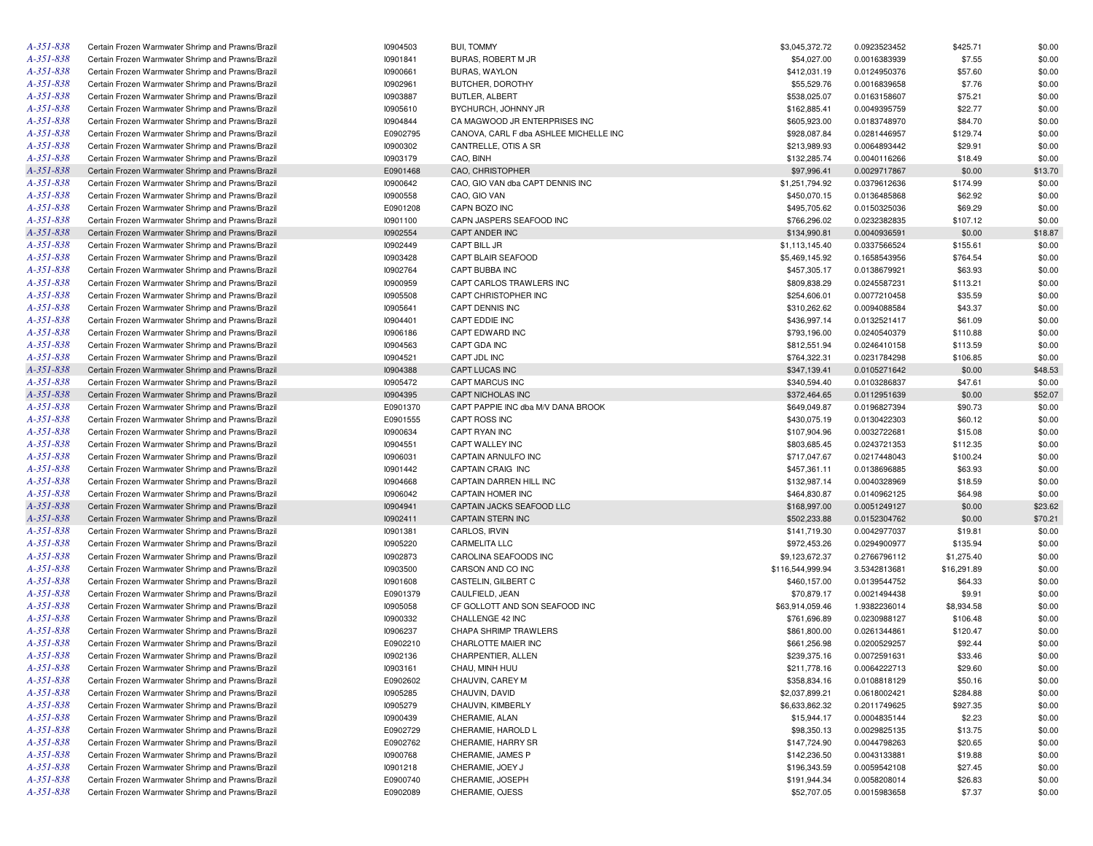| A-351-838       | Certain Frozen Warmwater Shrimp and Prawns/Brazil | 10904503 | <b>BUI, TOMMY</b>                      | \$3,045,372.72   | 0.0923523452 | \$425.71    | \$0.00  |
|-----------------|---------------------------------------------------|----------|----------------------------------------|------------------|--------------|-------------|---------|
| A-351-838       | Certain Frozen Warmwater Shrimp and Prawns/Brazil | 10901841 | BURAS, ROBERT M JR                     | \$54,027.00      | 0.0016383939 | \$7.55      | \$0.00  |
| A-351-838       | Certain Frozen Warmwater Shrimp and Prawns/Brazil | 10900661 | <b>BURAS, WAYLON</b>                   | \$412,031.19     | 0.0124950376 | \$57.60     | \$0.00  |
| A-351-838       | Certain Frozen Warmwater Shrimp and Prawns/Brazil | 10902961 | BUTCHER, DOROTHY                       | \$55,529.76      | 0.0016839658 | \$7.76      | \$0.00  |
| A-351-838       | Certain Frozen Warmwater Shrimp and Prawns/Brazil | 10903887 | BUTLER, ALBERT                         | \$538,025.07     | 0.0163158607 | \$75.21     | \$0.00  |
| A-351-838       | Certain Frozen Warmwater Shrimp and Prawns/Brazil | 10905610 | BYCHURCH, JOHNNY JR                    | \$162,885.41     | 0.0049395759 | \$22.77     | \$0.00  |
| A-351-838       | Certain Frozen Warmwater Shrimp and Prawns/Brazil | 10904844 | CA MAGWOOD JR ENTERPRISES INC          | \$605,923.00     | 0.0183748970 | \$84.70     | \$0.00  |
| A-351-838       | Certain Frozen Warmwater Shrimp and Prawns/Brazil | E0902795 | CANOVA, CARL F dba ASHLEE MICHELLE INC | \$928,087.84     | 0.0281446957 | \$129.74    | \$0.00  |
| A-351-838       | Certain Frozen Warmwater Shrimp and Prawns/Brazil | 10900302 | CANTRELLE, OTIS A SR                   | \$213,989.93     | 0.0064893442 | \$29.91     | \$0.00  |
| A-351-838       | Certain Frozen Warmwater Shrimp and Prawns/Brazil | 10903179 | CAO, BINH                              | \$132,285.74     | 0.0040116266 | \$18.49     | \$0.00  |
| A-351-838       | Certain Frozen Warmwater Shrimp and Prawns/Brazil | E0901468 | CAO, CHRISTOPHER                       | \$97,996.41      | 0.0029717867 | \$0.00      | \$13.70 |
| A-351-838       | Certain Frozen Warmwater Shrimp and Prawns/Brazil | 10900642 | CAO, GIO VAN dba CAPT DENNIS INC       | \$1,251,794.92   | 0.0379612636 | \$174.99    | \$0.00  |
| A-351-838       | Certain Frozen Warmwater Shrimp and Prawns/Brazil | 10900558 | CAO, GIO VAN                           | \$450,070.15     | 0.0136485868 | \$62.92     | \$0.00  |
| A-351-838       | Certain Frozen Warmwater Shrimp and Prawns/Brazil | E0901208 | CAPN BOZO INC                          | \$495,705.62     | 0.0150325036 | \$69.29     | \$0.00  |
| A-351-838       | Certain Frozen Warmwater Shrimp and Prawns/Brazil | 10901100 | CAPN JASPERS SEAFOOD INC               | \$766,296.02     | 0.0232382835 | \$107.12    | \$0.00  |
| A-351-838       | Certain Frozen Warmwater Shrimp and Prawns/Brazil | 10902554 | CAPT ANDER INC                         | \$134,990.81     | 0.0040936591 | \$0.00      | \$18.87 |
| A-351-838       | Certain Frozen Warmwater Shrimp and Prawns/Brazil | 10902449 | CAPT BILL JR                           | \$1,113,145.40   | 0.0337566524 | \$155.61    | \$0.00  |
| A-351-838       | Certain Frozen Warmwater Shrimp and Prawns/Brazil | 10903428 | CAPT BLAIR SEAFOOD                     | \$5,469,145.92   | 0.1658543956 | \$764.54    | \$0.00  |
| A-351-838       | Certain Frozen Warmwater Shrimp and Prawns/Brazil | 10902764 | CAPT BUBBA INC                         | \$457,305.17     | 0.0138679921 | \$63.93     | \$0.00  |
| A-351-838       |                                                   |          |                                        |                  |              |             |         |
|                 | Certain Frozen Warmwater Shrimp and Prawns/Brazil | 10900959 | CAPT CARLOS TRAWLERS INC               | \$809,838.29     | 0.0245587231 | \$113.21    | \$0.00  |
| A-351-838       | Certain Frozen Warmwater Shrimp and Prawns/Brazil | 10905508 | CAPT CHRISTOPHER INC                   | \$254,606.01     | 0.0077210458 | \$35.59     | \$0.00  |
| A-351-838       | Certain Frozen Warmwater Shrimp and Prawns/Brazil | 10905641 | CAPT DENNIS INC                        | \$310,262.62     | 0.0094088584 | \$43.37     | \$0.00  |
| A-351-838       | Certain Frozen Warmwater Shrimp and Prawns/Brazil | 10904401 | CAPT EDDIE INC                         | \$436,997.14     | 0.0132521417 | \$61.09     | \$0.00  |
| A-351-838       | Certain Frozen Warmwater Shrimp and Prawns/Brazil | 10906186 | CAPT EDWARD INC                        | \$793,196.00     | 0.0240540379 | \$110.88    | \$0.00  |
| A-351-838       | Certain Frozen Warmwater Shrimp and Prawns/Brazil | 10904563 | CAPT GDA INC                           | \$812,551.94     | 0.0246410158 | \$113.59    | \$0.00  |
| A-351-838       | Certain Frozen Warmwater Shrimp and Prawns/Brazil | 10904521 | CAPT JDL INC                           | \$764,322.31     | 0.0231784298 | \$106.85    | \$0.00  |
| A-351-838       | Certain Frozen Warmwater Shrimp and Prawns/Brazil | 10904388 | CAPT LUCAS INC                         | \$347,139.41     | 0.0105271642 | \$0.00      | \$48.53 |
| A-351-838       | Certain Frozen Warmwater Shrimp and Prawns/Brazil | 10905472 | CAPT MARCUS INC                        | \$340,594.40     | 0.0103286837 | \$47.61     | \$0.00  |
| A-351-838       | Certain Frozen Warmwater Shrimp and Prawns/Brazil | 10904395 | CAPT NICHOLAS INC                      | \$372,464.65     | 0.0112951639 | \$0.00      | \$52.07 |
| A-351-838       | Certain Frozen Warmwater Shrimp and Prawns/Brazil | E0901370 | CAPT PAPPIE INC dba M/V DANA BROOK     | \$649,049.87     | 0.0196827394 | \$90.73     | \$0.00  |
| A-351-838       | Certain Frozen Warmwater Shrimp and Prawns/Brazil | E0901555 | CAPT ROSS INC                          | \$430,075.19     | 0.0130422303 | \$60.12     | \$0.00  |
| A-351-838       | Certain Frozen Warmwater Shrimp and Prawns/Brazil | 10900634 | CAPT RYAN INC                          | \$107,904.96     | 0.0032722681 | \$15.08     | \$0.00  |
| A-351-838       | Certain Frozen Warmwater Shrimp and Prawns/Brazil | 10904551 | CAPT WALLEY INC                        | \$803,685.45     | 0.0243721353 | \$112.35    | \$0.00  |
| A-351-838       | Certain Frozen Warmwater Shrimp and Prawns/Brazil | 10906031 | CAPTAIN ARNULFO INC                    | \$717,047.67     | 0.0217448043 | \$100.24    | \$0.00  |
| A-351-838       | Certain Frozen Warmwater Shrimp and Prawns/Brazil | 10901442 | <b>CAPTAIN CRAIG INC</b>               | \$457,361.11     | 0.0138696885 | \$63.93     | \$0.00  |
| A-351-838       | Certain Frozen Warmwater Shrimp and Prawns/Brazil | 10904668 | CAPTAIN DARREN HILL INC                | \$132,987.14     | 0.0040328969 | \$18.59     | \$0.00  |
| A-351-838       | Certain Frozen Warmwater Shrimp and Prawns/Brazil | 10906042 | <b>CAPTAIN HOMER INC</b>               | \$464,830.87     | 0.0140962125 | \$64.98     | \$0.00  |
| A-351-838       | Certain Frozen Warmwater Shrimp and Prawns/Brazil | 10904941 | CAPTAIN JACKS SEAFOOD LLC              | \$168,997.00     | 0.0051249127 | \$0.00      | \$23.62 |
| A-351-838       | Certain Frozen Warmwater Shrimp and Prawns/Brazil | 10902411 | <b>CAPTAIN STERN INC</b>               | \$502,233.88     | 0.0152304762 | \$0.00      | \$70.21 |
| A-351-838       | Certain Frozen Warmwater Shrimp and Prawns/Brazil | 10901381 | CARLOS, IRVIN                          | \$141,719.30     | 0.0042977037 | \$19.81     | \$0.00  |
| A-351-838       | Certain Frozen Warmwater Shrimp and Prawns/Brazil | 10905220 | <b>CARMELITA LLC</b>                   | \$972,453.26     | 0.0294900977 | \$135.94    | \$0.00  |
| A-351-838       | Certain Frozen Warmwater Shrimp and Prawns/Brazil | 10902873 | CAROLINA SEAFOODS INC                  | \$9,123,672.37   | 0.2766796112 | \$1,275.40  | \$0.00  |
| A-351-838       | Certain Frozen Warmwater Shrimp and Prawns/Brazil | 10903500 | CARSON AND CO INC                      | \$116,544,999.94 | 3.5342813681 | \$16,291.89 | \$0.00  |
| A-351-838       | Certain Frozen Warmwater Shrimp and Prawns/Brazil | 10901608 | CASTELIN, GILBERT C                    | \$460,157.00     | 0.0139544752 | \$64.33     | \$0.00  |
| A-351-838       | Certain Frozen Warmwater Shrimp and Prawns/Brazil | E0901379 | CAULFIELD, JEAN                        | \$70,879.17      | 0.0021494438 | \$9.91      | \$0.00  |
| A-351-838       | Certain Frozen Warmwater Shrimp and Prawns/Brazil | 10905058 | CF GOLLOTT AND SON SEAFOOD INC         | \$63,914,059.46  | 1.9382236014 | \$8,934.58  | \$0.00  |
| A-351-838       | Certain Frozen Warmwater Shrimp and Prawns/Brazil | 10900332 | CHALLENGE 42 INC                       | \$761,696.89     | 0.0230988127 | \$106.48    | \$0.00  |
| A-351-838       | Certain Frozen Warmwater Shrimp and Prawns/Brazil | 10906237 | CHAPA SHRIMP TRAWLERS                  | \$861,800.00     | 0.0261344861 | \$120.47    | \$0.00  |
| A-351-838       | Certain Frozen Warmwater Shrimp and Prawns/Brazil | E0902210 | CHARLOTTE MAIER INC                    | \$661,256.98     | 0.0200529257 | \$92.44     | \$0.00  |
| A-351-838       | Certain Frozen Warmwater Shrimp and Prawns/Brazil | 10902136 | CHARPENTIER, ALLEN                     | \$239,375.16     | 0.0072591631 | \$33.46     | \$0.00  |
|                 |                                                   |          |                                        |                  |              |             |         |
| A-351-838       | Certain Frozen Warmwater Shrimp and Prawns/Brazil | 10903161 | CHAU, MINH HUU                         | \$211,778.16     | 0.0064222713 | \$29.60     | \$0.00  |
| A-351-838       | Certain Frozen Warmwater Shrimp and Prawns/Brazil | E0902602 | CHAUVIN, CAREY M                       | \$358,834.16     | 0.0108818129 | \$50.16     | \$0.00  |
| A-351-838       | Certain Frozen Warmwater Shrimp and Prawns/Brazil | 10905285 | CHAUVIN, DAVID                         | \$2,037,899.21   | 0.0618002421 | \$284.88    | \$0.00  |
| A-351-838       | Certain Frozen Warmwater Shrimp and Prawns/Brazil | 10905279 | CHAUVIN, KIMBERLY                      | \$6,633,862.32   | 0.2011749625 | \$927.35    | \$0.00  |
| A-351-838       | Certain Frozen Warmwater Shrimp and Prawns/Brazil | 10900439 | CHERAMIE, ALAN                         | \$15,944.17      | 0.0004835144 | \$2.23      | \$0.00  |
| A-351-838       | Certain Frozen Warmwater Shrimp and Prawns/Brazil | E0902729 | CHERAMIE, HAROLD L                     | \$98,350.13      | 0.0029825135 | \$13.75     | \$0.00  |
| A-351-838       | Certain Frozen Warmwater Shrimp and Prawns/Brazil | E0902762 | CHERAMIE, HARRY SR                     | \$147,724.90     | 0.0044798263 | \$20.65     | \$0.00  |
| A-351-838       | Certain Frozen Warmwater Shrimp and Prawns/Brazil | 10900768 | CHERAMIE, JAMES P                      | \$142,236.50     | 0.0043133881 | \$19.88     | \$0.00  |
| $A - 35I - 838$ | Certain Frozen Warmwater Shrimp and Prawns/Brazil | 10901218 | CHERAMIE, JOEY J                       | \$196,343.59     | 0.0059542108 | \$27.45     | \$0.00  |
| A-351-838       | Certain Frozen Warmwater Shrimp and Prawns/Brazil | E0900740 | CHERAMIE, JOSEPH                       | \$191,944.34     | 0.0058208014 | \$26.83     | \$0.00  |
| A-351-838       | Certain Frozen Warmwater Shrimp and Prawns/Brazil | E0902089 | CHERAMIE, OJESS                        | \$52,707.05      | 0.0015983658 | \$7.37      | \$0.00  |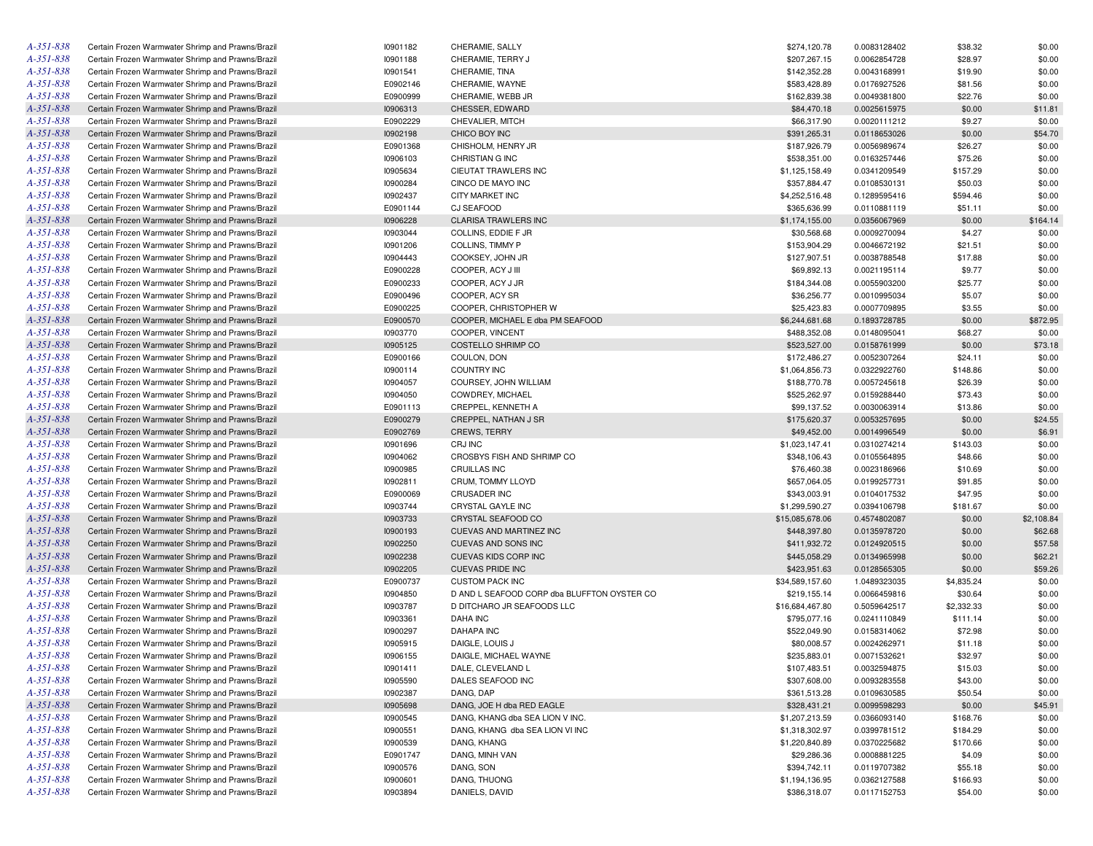| A-351-838       | Certain Frozen Warmwater Shrimp and Prawns/Brazil | 10901182        | CHERAMIE, SALLY                             | \$274,120.78                 | 0.0083128402                 | \$38.32           | \$0.00            |
|-----------------|---------------------------------------------------|-----------------|---------------------------------------------|------------------------------|------------------------------|-------------------|-------------------|
| A-351-838       | Certain Frozen Warmwater Shrimp and Prawns/Brazil | 10901188        | CHERAMIE, TERRY J                           | \$207,267.15                 | 0.0062854728                 | \$28.97           | \$0.00            |
| A-351-838       | Certain Frozen Warmwater Shrimp and Prawns/Brazil | 10901541        | CHERAMIE, TINA                              | \$142,352.28                 | 0.0043168991                 | \$19.90           | \$0.00            |
| A-351-838       | Certain Frozen Warmwater Shrimp and Prawns/Brazil | E0902146        | CHERAMIE, WAYNE                             | \$583,428.89                 | 0.0176927526                 | \$81.56           | \$0.00            |
| A-351-838       | Certain Frozen Warmwater Shrimp and Prawns/Brazil | E0900999        | CHERAMIE, WEBB JR                           | \$162,839.38                 | 0.0049381800                 | \$22.76           | \$0.00            |
| A-351-838       | Certain Frozen Warmwater Shrimp and Prawns/Brazil | 10906313        | CHESSER, EDWARD                             | \$84,470.18                  | 0.0025615975                 | \$0.00            | \$11.81           |
| A-351-838       | Certain Frozen Warmwater Shrimp and Prawns/Brazil | E0902229        | CHEVALIER, MITCH                            | \$66,317.90                  | 0.0020111212                 | \$9.27            | \$0.00            |
| A-351-838       | Certain Frozen Warmwater Shrimp and Prawns/Brazil | 10902198        | CHICO BOY INC                               | \$391,265.31                 | 0.0118653026                 | \$0.00            | \$54.70           |
| A-351-838       | Certain Frozen Warmwater Shrimp and Prawns/Brazil | E0901368        | CHISHOLM, HENRY JR                          | \$187,926.79                 | 0.0056989674                 | \$26.27           | \$0.00            |
| A-351-838       | Certain Frozen Warmwater Shrimp and Prawns/Brazil | 10906103        | CHRISTIAN G INC                             | \$538,351.00                 | 0.0163257446                 | \$75.26           | \$0.00            |
| A-351-838       | Certain Frozen Warmwater Shrimp and Prawns/Brazil | 10905634        | CIEUTAT TRAWLERS INC                        | \$1,125,158.49               | 0.0341209549                 | \$157.29          | \$0.00            |
| A-351-838       | Certain Frozen Warmwater Shrimp and Prawns/Brazil | 10900284        | CINCO DE MAYO INC                           | \$357,884.47                 | 0.0108530131                 | \$50.03           | \$0.00            |
| A-351-838       | Certain Frozen Warmwater Shrimp and Prawns/Brazil | 10902437        | <b>CITY MARKET INC</b>                      | \$4,252,516.48               | 0.1289595416                 | \$594.46          | \$0.00            |
| A-351-838       | Certain Frozen Warmwater Shrimp and Prawns/Brazil | E0901144        | CJ SEAFOOD                                  | \$365,636.99                 | 0.0110881119                 | \$51.11           | \$0.00            |
| A-351-838       | Certain Frozen Warmwater Shrimp and Prawns/Brazil | 10906228        | <b>CLARISA TRAWLERS INC</b>                 | \$1,174,155.00               | 0.0356067969                 | \$0.00            | \$164.14          |
| A-351-838       | Certain Frozen Warmwater Shrimp and Prawns/Brazil | 10903044        | COLLINS, EDDIE F JR                         | \$30,568.68                  | 0.0009270094                 | \$4.27            | \$0.00            |
| A-351-838       | Certain Frozen Warmwater Shrimp and Prawns/Brazil | 10901206        | COLLINS, TIMMY P                            | \$153,904.29                 | 0.0046672192                 | \$21.51           | \$0.00            |
| A-351-838       | Certain Frozen Warmwater Shrimp and Prawns/Brazil | 10904443        | COOKSEY, JOHN JR                            | \$127,907.51                 | 0.0038788548                 | \$17.88           | \$0.00            |
| A-351-838       | Certain Frozen Warmwater Shrimp and Prawns/Brazil | E0900228        | COOPER, ACY J III                           | \$69,892.13                  | 0.0021195114                 | \$9.77            | \$0.00            |
| A-351-838       | Certain Frozen Warmwater Shrimp and Prawns/Brazil | E0900233        | COOPER, ACY J JR                            | \$184,344.08                 | 0.0055903200                 | \$25.77           | \$0.00            |
| A-351-838       | Certain Frozen Warmwater Shrimp and Prawns/Brazil | E0900496        | COOPER, ACY SR                              | \$36,256.77                  | 0.0010995034                 | \$5.07            | \$0.00            |
| A-351-838       | Certain Frozen Warmwater Shrimp and Prawns/Brazil | E0900225        | COOPER, CHRISTOPHER W                       | \$25,423.83                  | 0.0007709895                 | \$3.55            | \$0.00            |
| A-351-838       | Certain Frozen Warmwater Shrimp and Prawns/Brazil | E0900570        | COOPER. MICHAEL E dba PM SEAFOOD            | \$6,244,681.68               | 0.1893728785                 | \$0.00            | \$872.95          |
| A-351-838       | Certain Frozen Warmwater Shrimp and Prawns/Brazil | 10903770        | COOPER. VINCENT                             | \$488,352.08                 | 0.0148095041                 | \$68.27           | \$0.00            |
| $A - 35I - 838$ | Certain Frozen Warmwater Shrimp and Prawns/Brazil | 10905125        | COSTELLO SHRIMP CO                          | \$523,527.00                 | 0.0158761999                 | \$0.00            | \$73.18           |
| A-351-838       | Certain Frozen Warmwater Shrimp and Prawns/Brazil | E0900166        | COULON, DON                                 | \$172,486.27                 | 0.0052307264                 | \$24.11           | \$0.00            |
| A-351-838       | Certain Frozen Warmwater Shrimp and Prawns/Brazil | 10900114        | <b>COUNTRY INC</b>                          | \$1,064,856.73               | 0.0322922760                 | \$148.86          | \$0.00            |
| A-351-838       | Certain Frozen Warmwater Shrimp and Prawns/Brazil | 10904057        | COURSEY, JOHN WILLIAM                       | \$188,770.78                 | 0.0057245618                 | \$26.39           | \$0.00            |
| A-351-838       | Certain Frozen Warmwater Shrimp and Prawns/Brazil | 10904050        | COWDREY, MICHAEL                            | \$525,262.97                 | 0.0159288440                 | \$73.43           | \$0.00            |
| A-351-838       | Certain Frozen Warmwater Shrimp and Prawns/Brazil | E0901113        | CREPPEL, KENNETH A                          | \$99,137.52                  | 0.0030063914                 | \$13.86           | \$0.00            |
| A-351-838       | Certain Frozen Warmwater Shrimp and Prawns/Brazil | E0900279        | CREPPEL, NATHAN J SR                        | \$175,620.37                 | 0.0053257695                 | \$0.00            | \$24.55           |
| A-351-838       | Certain Frozen Warmwater Shrimp and Prawns/Brazil | E0902769        | <b>CREWS, TERRY</b>                         | \$49,452.00                  | 0.0014996549                 | \$0.00            | \$6.91            |
| A-351-838       | Certain Frozen Warmwater Shrimp and Prawns/Brazil | 10901696        | CRJ INC                                     | \$1,023,147.41               | 0.0310274214                 | \$143.03          | \$0.00            |
| A-351-838       | Certain Frozen Warmwater Shrimp and Prawns/Brazil | 10904062        | CROSBYS FISH AND SHRIMP CO                  | \$348,106.43                 | 0.0105564895                 | \$48.66           | \$0.00            |
| A-351-838       | Certain Frozen Warmwater Shrimp and Prawns/Brazil | 10900985        | <b>CRUILLAS INC</b>                         | \$76,460.38                  | 0.0023186966                 | \$10.69           | \$0.00            |
| A-351-838       | Certain Frozen Warmwater Shrimp and Prawns/Brazil | 10902811        | CRUM, TOMMY LLOYD                           | \$657,064.05                 | 0.0199257731                 | \$91.85           | \$0.00            |
| A-351-838       | Certain Frozen Warmwater Shrimp and Prawns/Brazil | E0900069        | <b>CRUSADER INC</b>                         | \$343,003.91                 | 0.0104017532                 | \$47.95           | \$0.00            |
| A-351-838       | Certain Frozen Warmwater Shrimp and Prawns/Brazil | 10903744        | CRYSTAL GAYLE INC                           | \$1,299,590.27               | 0.0394106798                 | \$181.67          | \$0.00            |
| A-351-838       | Certain Frozen Warmwater Shrimp and Prawns/Brazil | 10903733        | CRYSTAL SEAFOOD CO                          | \$15,085,678.06              | 0.4574802087                 | \$0.00            | \$2,108.84        |
| A-351-838       | Certain Frozen Warmwater Shrimp and Prawns/Brazil | 10900193        | CUEVAS AND MARTINEZ INC                     | \$448,397.80                 | 0.0135978720                 | \$0.00            | \$62.68           |
| A-351-838       | Certain Frozen Warmwater Shrimp and Prawns/Brazil | 10902250        | CUEVAS AND SONS INC                         | \$411,932.72                 | 0.0124920515                 | \$0.00            | \$57.58           |
| A-351-838       | Certain Frozen Warmwater Shrimp and Prawns/Brazil | 10902238        | CUEVAS KIDS CORP INC                        | \$445,058.29                 | 0.0134965998                 | \$0.00            | \$62.21           |
| A-351-838       | Certain Frozen Warmwater Shrimp and Prawns/Brazil | 10902205        | <b>CUEVAS PRIDE INC</b>                     | \$423,951.63                 | 0.0128565305                 | \$0.00            | \$59.26           |
| A-351-838       | Certain Frozen Warmwater Shrimp and Prawns/Brazil | E0900737        | <b>CUSTOM PACK INC</b>                      | \$34,589,157.60              | 1.0489323035                 | \$4,835.24        | \$0.00            |
| A-351-838       | Certain Frozen Warmwater Shrimp and Prawns/Brazil | 10904850        | D AND L SEAFOOD CORP dba BLUFFTON OYSTER CO | \$219,155.14                 | 0.0066459816                 | \$30.64           | \$0.00            |
| A-351-838       | Certain Frozen Warmwater Shrimp and Prawns/Brazil | 10903787        | D DITCHARO JR SEAFOODS LLC                  | \$16,684,467.80              | 0.5059642517                 | \$2,332.33        | \$0.00            |
| $A - 35I - 838$ | Certain Frozen Warmwater Shrimp and Prawns/Brazil | 10903361        | DAHA INC                                    | \$795,077.16                 | 0.0241110849                 | \$111.14          | \$0.00            |
| A-351-838       | Certain Frozen Warmwater Shrimp and Prawns/Brazil | 10900297        | <b>DAHAPA INC</b>                           | \$522,049.90                 | 0.0158314062                 | \$72.98           | \$0.00            |
| $A - 35I - 838$ | Certain Frozen Warmwater Shrimp and Prawns/Brazil | 10905915        | DAIGLE, LOUIS J                             | \$80,008.57                  | 0.0024262971                 | \$11.18           | \$0.00            |
| $A - 35I - 838$ | Certain Frozen Warmwater Shrimp and Prawns/Brazil | 10906155        | DAIGLE, MICHAEL WAYNE                       | \$235,883.01                 | 0.0071532621                 | \$32.97           | \$0.00            |
| A-351-838       | Certain Frozen Warmwater Shrimp and Prawns/Brazil | 10901411        | DALE, CLEVELAND L                           | \$107,483.51                 | 0.0032594875                 | \$15.03           | \$0.00            |
| $A - 35I - 838$ | Certain Frozen Warmwater Shrimp and Prawns/Brazil | 10905590        | DALES SEAFOOD INC                           | \$307,608.00                 | 0.0093283558                 | \$43.00           | \$0.00            |
| $A - 35I - 838$ | Certain Frozen Warmwater Shrimp and Prawns/Brazil | 10902387        | DANG, DAP                                   |                              |                              |                   |                   |
| $A - 35I - 838$ | Certain Frozen Warmwater Shrimp and Prawns/Brazil | 10905698        | DANG, JOE H dba RED EAGLE                   | \$361,513.28<br>\$328,431.21 | 0.0109630585<br>0.0099598293 | \$50.54<br>\$0.00 | \$0.00<br>\$45.91 |
| A-351-838       | Certain Frozen Warmwater Shrimp and Prawns/Brazil | <b>I0900545</b> | DANG, KHANG dba SEA LION V INC.             | \$1,207,213.59               | 0.0366093140                 |                   |                   |
| A-351-838       | Certain Frozen Warmwater Shrimp and Prawns/Brazil | 10900551        | DANG, KHANG dba SEA LION VI INC             |                              |                              | \$168.76          | \$0.00            |
| $A - 35I - 838$ |                                                   |                 | DANG, KHANG                                 | \$1,318,302.97               | 0.0399781512                 | \$184.29          | \$0.00            |
| A-351-838       | Certain Frozen Warmwater Shrimp and Prawns/Brazil | 10900539        |                                             | \$1,220,840.89               | 0.0370225682                 | \$170.66          | \$0.00            |
| A-351-838       | Certain Frozen Warmwater Shrimp and Prawns/Brazil | E0901747        | DANG, MINH VAN                              | \$29,286.36                  | 0.0008881225                 | \$4.09            | \$0.00            |
| A-351-838       | Certain Frozen Warmwater Shrimp and Prawns/Brazil | 10900576        | DANG, SON<br>DANG, THUONG                   | \$394,742.11                 | 0.0119707382                 | \$55.18           | \$0.00            |
| $A - 35I - 838$ | Certain Frozen Warmwater Shrimp and Prawns/Brazil | 10900601        |                                             | \$1,194,136.95               | 0.0362127588                 | \$166.93          | \$0.00            |
|                 | Certain Frozen Warmwater Shrimp and Prawns/Brazil | 10903894        | DANIELS, DAVID                              | \$386,318.07                 | 0.0117152753                 | \$54.00           | \$0.00            |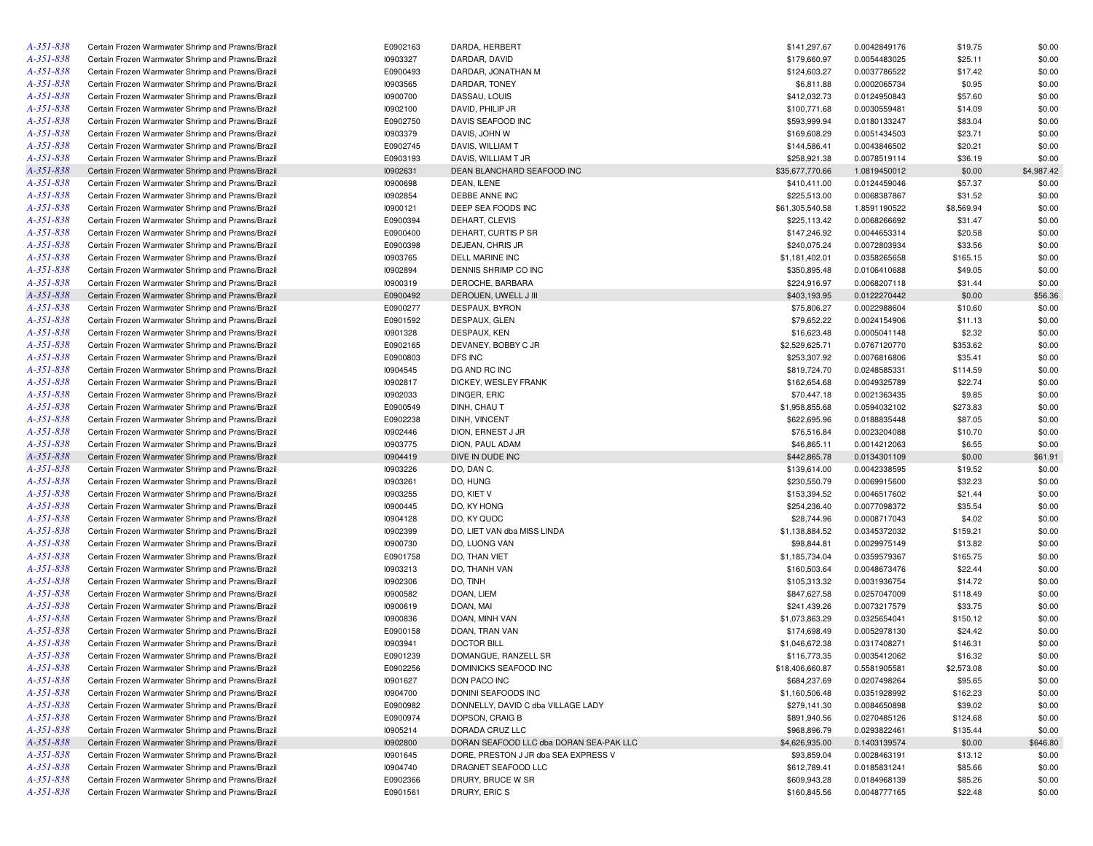| A-351-838       | Certain Frozen Warmwater Shrimp and Prawns/Brazil | E0902163 | DARDA, HERBERT                          | \$141,297.67    | 0.0042849176 | \$19.75    | \$0.00     |
|-----------------|---------------------------------------------------|----------|-----------------------------------------|-----------------|--------------|------------|------------|
| A-351-838       | Certain Frozen Warmwater Shrimp and Prawns/Brazil | 10903327 | DARDAR, DAVID                           | \$179,660.97    | 0.0054483025 | \$25.11    | \$0.00     |
| A-351-838       | Certain Frozen Warmwater Shrimp and Prawns/Brazil | E0900493 | DARDAR, JONATHAN M                      | \$124,603.27    | 0.0037786522 | \$17.42    | \$0.00     |
| A-351-838       | Certain Frozen Warmwater Shrimp and Prawns/Brazil | 10903565 | DARDAR, TONEY                           | \$6,811.88      | 0.0002065734 | \$0.95     | \$0.00     |
| A-351-838       | Certain Frozen Warmwater Shrimp and Prawns/Brazil | 10900700 | DASSAU, LOUIS                           | \$412,032.73    | 0.0124950843 | \$57.60    | \$0.00     |
| A-351-838       | Certain Frozen Warmwater Shrimp and Prawns/Brazil | 10902100 | DAVID, PHILIP JR                        | \$100,771.68    | 0.0030559481 | \$14.09    | \$0.00     |
| A-351-838       | Certain Frozen Warmwater Shrimp and Prawns/Brazil | E0902750 | DAVIS SEAFOOD INC                       | \$593,999.94    | 0.0180133247 | \$83.04    | \$0.00     |
| A-351-838       | Certain Frozen Warmwater Shrimp and Prawns/Brazil | 10903379 | DAVIS, JOHN W                           | \$169,608.29    | 0.0051434503 | \$23.71    | \$0.00     |
| A-351-838       | Certain Frozen Warmwater Shrimp and Prawns/Brazil | E0902745 | DAVIS, WILLIAM T                        | \$144,586.41    | 0.0043846502 | \$20.21    | \$0.00     |
| A-351-838       | Certain Frozen Warmwater Shrimp and Prawns/Brazil | E0903193 | DAVIS, WILLIAM T JR                     | \$258,921.38    | 0.0078519114 | \$36.19    | \$0.00     |
| A-351-838       | Certain Frozen Warmwater Shrimp and Prawns/Brazil | 10902631 | DEAN BLANCHARD SEAFOOD INC              | \$35,677,770.66 | 1.0819450012 | \$0.00     | \$4,987.42 |
| A-351-838       | Certain Frozen Warmwater Shrimp and Prawns/Brazil | 10900698 | DEAN, ILENE                             | \$410,411.00    | 0.0124459046 | \$57.37    | \$0.00     |
| A-351-838       | Certain Frozen Warmwater Shrimp and Prawns/Brazil | 10902854 | DEBBE ANNE INC                          | \$225,513.00    | 0.0068387867 | \$31.52    | \$0.00     |
| A-351-838       | Certain Frozen Warmwater Shrimp and Prawns/Brazil | 10900121 | DEEP SEA FOODS INC                      | \$61,305,540.58 | 1.8591190522 | \$8,569.94 | \$0.00     |
| A-351-838       | Certain Frozen Warmwater Shrimp and Prawns/Brazil | E0900394 | DEHART, CLEVIS                          | \$225,113.42    | 0.0068266692 | \$31.47    | \$0.00     |
| A-351-838       | Certain Frozen Warmwater Shrimp and Prawns/Brazil | E0900400 | DEHART, CURTIS P SR                     | \$147,246.92    | 0.0044653314 | \$20.58    | \$0.00     |
| A-351-838       | Certain Frozen Warmwater Shrimp and Prawns/Brazil | E0900398 | DEJEAN, CHRIS JR                        | \$240,075.24    | 0.0072803934 | \$33.56    | \$0.00     |
| A-351-838       |                                                   | 10903765 |                                         |                 |              |            | \$0.00     |
|                 | Certain Frozen Warmwater Shrimp and Prawns/Brazil |          | DELL MARINE INC                         | \$1,181,402.01  | 0.0358265658 | \$165.15   |            |
| A-351-838       | Certain Frozen Warmwater Shrimp and Prawns/Brazil | 10902894 | DENNIS SHRIMP CO INC                    | \$350,895.48    | 0.0106410688 | \$49.05    | \$0.00     |
| A-351-838       | Certain Frozen Warmwater Shrimp and Prawns/Brazil | 10900319 | DEROCHE, BARBARA                        | \$224,916.97    | 0.0068207118 | \$31.44    | \$0.00     |
| A-351-838       | Certain Frozen Warmwater Shrimp and Prawns/Brazil | E0900492 | DEROUEN, UWELL J III                    | \$403,193.95    | 0.0122270442 | \$0.00     | \$56.36    |
| A-351-838       | Certain Frozen Warmwater Shrimp and Prawns/Brazil | E0900277 | DESPAUX, BYRON                          | \$75,806.27     | 0.0022988604 | \$10.60    | \$0.00     |
| A-351-838       | Certain Frozen Warmwater Shrimp and Prawns/Brazil | E0901592 | DESPAUX, GLEN                           | \$79,652.22     | 0.0024154906 | \$11.13    | \$0.00     |
| A-351-838       | Certain Frozen Warmwater Shrimp and Prawns/Brazil | 10901328 | DESPAUX, KEN                            | \$16,623.48     | 0.0005041148 | \$2.32     | \$0.00     |
| A-351-838       | Certain Frozen Warmwater Shrimp and Prawns/Brazil | E0902165 | DEVANEY, BOBBY C JR                     | \$2,529,625.71  | 0.0767120770 | \$353.62   | \$0.00     |
| A-351-838       | Certain Frozen Warmwater Shrimp and Prawns/Brazil | E0900803 | DFS INC                                 | \$253,307.92    | 0.0076816806 | \$35.41    | \$0.00     |
| A-351-838       | Certain Frozen Warmwater Shrimp and Prawns/Brazil | 10904545 | DG AND RC INC                           | \$819,724.70    | 0.0248585331 | \$114.59   | \$0.00     |
| A-351-838       | Certain Frozen Warmwater Shrimp and Prawns/Brazil | 10902817 | DICKEY, WESLEY FRANK                    | \$162,654.68    | 0.0049325789 | \$22.74    | \$0.00     |
| A-351-838       | Certain Frozen Warmwater Shrimp and Prawns/Brazil | 10902033 | DINGER, ERIC                            | \$70,447.18     | 0.0021363435 | \$9.85     | \$0.00     |
| A-351-838       | Certain Frozen Warmwater Shrimp and Prawns/Brazil | E0900549 | DINH, CHAU T                            | \$1,958,855.68  | 0.0594032102 | \$273.83   | \$0.00     |
| A-351-838       | Certain Frozen Warmwater Shrimp and Prawns/Brazil | E0902238 | DINH, VINCENT                           | \$622,695.96    | 0.0188835448 | \$87.05    | \$0.00     |
| A-351-838       | Certain Frozen Warmwater Shrimp and Prawns/Brazil | 10902446 | DION, ERNEST J JR                       | \$76,516.84     | 0.0023204088 | \$10.70    | \$0.00     |
| A-351-838       | Certain Frozen Warmwater Shrimp and Prawns/Brazil | 10903775 | DION, PAUL ADAM                         | \$46,865.11     | 0.0014212063 | \$6.55     | \$0.00     |
| $A - 35I - 838$ | Certain Frozen Warmwater Shrimp and Prawns/Brazil | 10904419 | DIVE IN DUDE INC                        | \$442,865.78    | 0.0134301109 | \$0.00     | \$61.91    |
| A-351-838       | Certain Frozen Warmwater Shrimp and Prawns/Brazil | 10903226 | DO, DAN C.                              | \$139,614.00    | 0.0042338595 | \$19.52    | \$0.00     |
| A-351-838       | Certain Frozen Warmwater Shrimp and Prawns/Brazil | 10903261 | DO, HUNG                                | \$230,550.79    | 0.0069915600 | \$32.23    | \$0.00     |
| A-351-838       | Certain Frozen Warmwater Shrimp and Prawns/Brazil | 10903255 | DO, KIET V                              | \$153,394.52    | 0.0046517602 | \$21.44    | \$0.00     |
| A-351-838       | Certain Frozen Warmwater Shrimp and Prawns/Brazil | 10900445 | DO, KY HONG                             | \$254,236.40    | 0.0077098372 | \$35.54    | \$0.00     |
| A-351-838       | Certain Frozen Warmwater Shrimp and Prawns/Brazil | 10904128 | DO, KY QUOC                             | \$28,744.96     | 0.0008717043 | \$4.02     | \$0.00     |
| A-351-838       | Certain Frozen Warmwater Shrimp and Prawns/Brazil | 10902399 | DO, LIET VAN dba MISS LINDA             | \$1,138,884.52  | 0.0345372032 | \$159.21   | \$0.00     |
| A-351-838       | Certain Frozen Warmwater Shrimp and Prawns/Brazil | 10900730 | DO, LUONG VAN                           | \$98,844.81     | 0.0029975149 | \$13.82    | \$0.00     |
| A-351-838       | Certain Frozen Warmwater Shrimp and Prawns/Brazil | E0901758 | DO, THAN VIET                           | \$1,185,734.04  | 0.0359579367 | \$165.75   | \$0.00     |
| A-351-838       | Certain Frozen Warmwater Shrimp and Prawns/Brazil | 10903213 | DO, THANH VAN                           | \$160,503.64    | 0.0048673476 | \$22.44    | \$0.00     |
| A-351-838       | Certain Frozen Warmwater Shrimp and Prawns/Brazil | 10902306 | DO, TINH                                | \$105,313.32    | 0.0031936754 | \$14.72    | \$0.00     |
| A-351-838       | Certain Frozen Warmwater Shrimp and Prawns/Brazil | 10900582 | DOAN, LIEM                              | \$847,627.58    | 0.0257047009 | \$118.49   | \$0.00     |
| A-351-838       | Certain Frozen Warmwater Shrimp and Prawns/Brazil | 10900619 | DOAN, MAI                               | \$241,439.26    | 0.0073217579 | \$33.75    | \$0.00     |
| A-351-838       | Certain Frozen Warmwater Shrimp and Prawns/Brazil | 10900836 | DOAN, MINH VAN                          | \$1,073,863.29  | 0.0325654041 | \$150.12   | \$0.00     |
| A-351-838       | Certain Frozen Warmwater Shrimp and Prawns/Brazil | E0900158 | DOAN, TRAN VAN                          | \$174,698.49    | 0.0052978130 | \$24.42    | \$0.00     |
| A-351-838       | Certain Frozen Warmwater Shrimp and Prawns/Brazil | 10903941 | <b>DOCTOR BILL</b>                      | \$1,046,672.38  | 0.0317408271 | \$146.31   | \$0.00     |
| A-351-838       | Certain Frozen Warmwater Shrimp and Prawns/Brazil | E0901239 | DOMANGUE. RANZELL SR                    | \$116,773.35    | 0.0035412062 | \$16.32    | \$0.00     |
|                 |                                                   |          |                                         |                 |              |            |            |
| A-351-838       | Certain Frozen Warmwater Shrimp and Prawns/Brazil | E0902256 | DOMINICKS SEAFOOD INC                   | \$18,406,660.87 | 0.5581905581 | \$2,573.08 | \$0.00     |
| A-351-838       | Certain Frozen Warmwater Shrimp and Prawns/Brazil | 10901627 | DON PACO INC                            | \$684,237.69    | 0.0207498264 | \$95.65    | \$0.00     |
| A-351-838       | Certain Frozen Warmwater Shrimp and Prawns/Brazil | 10904700 | DONINI SEAFOODS INC                     | \$1,160,506.48  | 0.0351928992 | \$162.23   | \$0.00     |
| A-351-838       | Certain Frozen Warmwater Shrimp and Prawns/Brazil | E0900982 | DONNELLY, DAVID C dba VILLAGE LADY      | \$279,141.30    | 0.0084650898 | \$39.02    | \$0.00     |
| A-351-838       | Certain Frozen Warmwater Shrimp and Prawns/Brazil | E0900974 | DOPSON, CRAIG B                         | \$891,940.56    | 0.0270485126 | \$124.68   | \$0.00     |
| A-351-838       | Certain Frozen Warmwater Shrimp and Prawns/Brazil | 10905214 | DORADA CRUZ LLC                         | \$968,896.79    | 0.0293822461 | \$135.44   | \$0.00     |
| $A - 35I - 838$ | Certain Frozen Warmwater Shrimp and Prawns/Brazil | 10902800 | DORAN SEAFOOD LLC dba DORAN SEA-PAK LLC | \$4,626,935.00  | 0.1403139574 | \$0.00     | \$646.80   |
| A-351-838       | Certain Frozen Warmwater Shrimp and Prawns/Brazil | 10901645 | DORE, PRESTON J JR dba SEA EXPRESS V    | \$93,859.04     | 0.0028463191 | \$13.12    | \$0.00     |
| A-351-838       | Certain Frozen Warmwater Shrimp and Prawns/Brazil | 10904740 | DRAGNET SEAFOOD LLC                     | \$612,789.41    | 0.0185831241 | \$85.66    | \$0.00     |
| A-351-838       | Certain Frozen Warmwater Shrimp and Prawns/Brazil | E0902366 | DRURY, BRUCE W SR                       | \$609,943.28    | 0.0184968139 | \$85.26    | \$0.00     |
| A-351-838       | Certain Frozen Warmwater Shrimp and Prawns/Brazil | E0901561 | DRURY, ERIC S                           | \$160,845.56    | 0.0048777165 | \$22.48    | \$0.00     |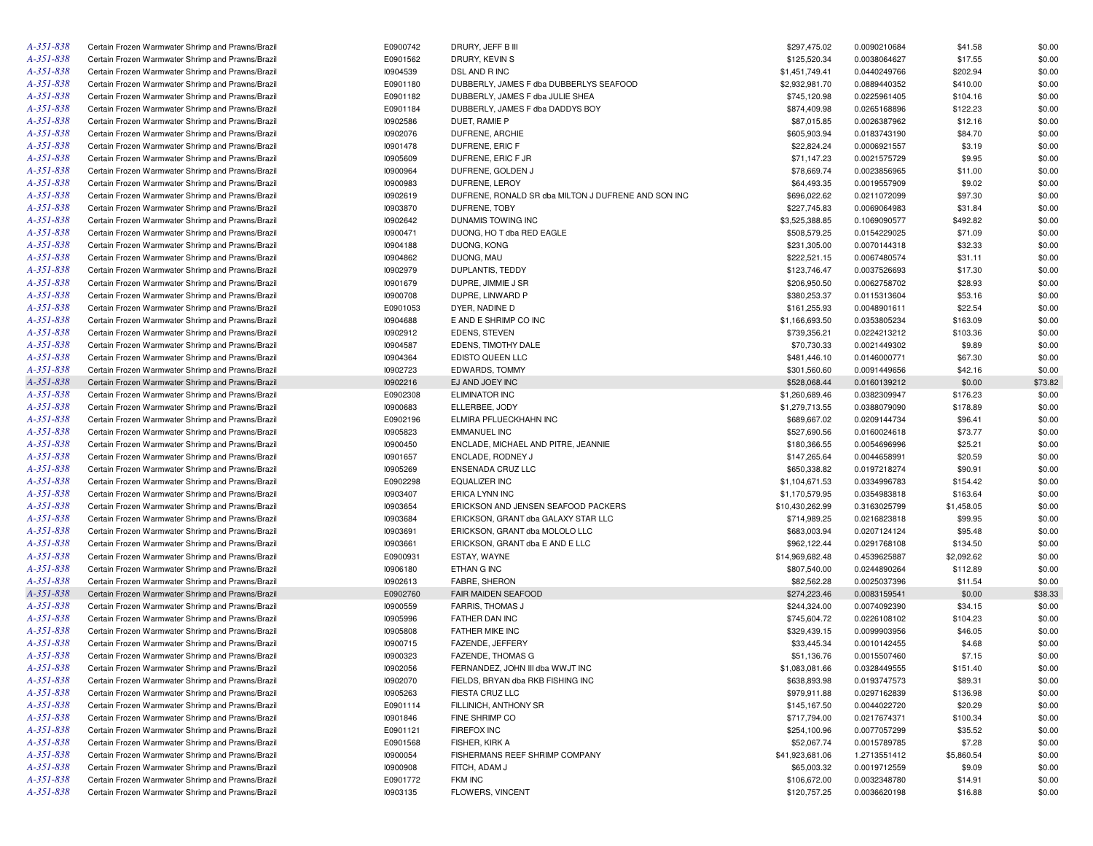| A-351-838       | Certain Frozen Warmwater Shrimp and Prawns/Brazil | E0900742 | DRURY, JEFF B III                                   | \$297,475.02    | 0.0090210684 | \$41.58    | \$0.00  |
|-----------------|---------------------------------------------------|----------|-----------------------------------------------------|-----------------|--------------|------------|---------|
| A-351-838       | Certain Frozen Warmwater Shrimp and Prawns/Brazil | E0901562 | DRURY, KEVIN S                                      | \$125,520.34    | 0.0038064627 | \$17.55    | \$0.00  |
| A-351-838       | Certain Frozen Warmwater Shrimp and Prawns/Brazil | 10904539 | DSL AND R INC                                       | \$1,451,749.41  | 0.0440249766 | \$202.94   | \$0.00  |
| A-351-838       | Certain Frozen Warmwater Shrimp and Prawns/Brazil | E0901180 | DUBBERLY, JAMES F dba DUBBERLYS SEAFOOD             | \$2,932,981.70  | 0.0889440352 | \$410.00   | \$0.00  |
| A-351-838       | Certain Frozen Warmwater Shrimp and Prawns/Brazil | E0901182 | DUBBERLY, JAMES F dba JULIE SHEA                    | \$745,120.98    | 0.0225961405 | \$104.16   | \$0.00  |
| A-351-838       | Certain Frozen Warmwater Shrimp and Prawns/Brazil | E0901184 | DUBBERLY, JAMES F dba DADDYS BOY                    | \$874,409.98    | 0.0265168896 | \$122.23   | \$0.00  |
| A-351-838       | Certain Frozen Warmwater Shrimp and Prawns/Brazil | 10902586 | DUET, RAMIE P                                       | \$87,015.85     | 0.0026387962 | \$12.16    | \$0.00  |
| A-351-838       | Certain Frozen Warmwater Shrimp and Prawns/Brazil | 10902076 | DUFRENE, ARCHIE                                     | \$605,903.94    | 0.0183743190 | \$84.70    | \$0.00  |
| A-351-838       | Certain Frozen Warmwater Shrimp and Prawns/Brazil | 10901478 | DUFRENE, ERIC F                                     | \$22,824.24     | 0.0006921557 | \$3.19     | \$0.00  |
| A-351-838       | Certain Frozen Warmwater Shrimp and Prawns/Brazil | 10905609 | DUFRENE, ERIC F JR                                  | \$71,147.23     | 0.0021575729 | \$9.95     | \$0.00  |
| A-351-838       | Certain Frozen Warmwater Shrimp and Prawns/Brazil | 10900964 | DUFRENE, GOLDEN J                                   | \$78,669.74     | 0.0023856965 | \$11.00    | \$0.00  |
| A-351-838       | Certain Frozen Warmwater Shrimp and Prawns/Brazil | 10900983 | DUFRENE, LEROY                                      | \$64,493.35     | 0.0019557909 | \$9.02     | \$0.00  |
| A-351-838       | Certain Frozen Warmwater Shrimp and Prawns/Brazil | 10902619 | DUFRENE, RONALD SR dba MILTON J DUFRENE AND SON INC | \$696,022.62    | 0.0211072099 | \$97.30    | \$0.00  |
| A-351-838       | Certain Frozen Warmwater Shrimp and Prawns/Brazil | 10903870 | DUFRENE, TOBY                                       | \$227,745.83    | 0.0069064983 | \$31.84    | \$0.00  |
| A-351-838       | Certain Frozen Warmwater Shrimp and Prawns/Brazil | 10902642 | DUNAMIS TOWING INC                                  | \$3,525,388.85  | 0.1069090577 | \$492.82   | \$0.00  |
| A-351-838       | Certain Frozen Warmwater Shrimp and Prawns/Brazil | 10900471 | DUONG, HO T dba RED EAGLE                           | \$508,579.25    | 0.0154229025 | \$71.09    | \$0.00  |
| A-351-838       | Certain Frozen Warmwater Shrimp and Prawns/Brazil | 10904188 | DUONG, KONG                                         | \$231,305.00    | 0.0070144318 | \$32.33    | \$0.00  |
| A-351-838       |                                                   |          |                                                     |                 |              |            |         |
|                 | Certain Frozen Warmwater Shrimp and Prawns/Brazil | 10904862 | DUONG, MAU                                          | \$222,521.15    | 0.0067480574 | \$31.11    | \$0.00  |
| A-351-838       | Certain Frozen Warmwater Shrimp and Prawns/Brazil | 10902979 | DUPLANTIS, TEDDY                                    | \$123,746.47    | 0.0037526693 | \$17.30    | \$0.00  |
| A-351-838       | Certain Frozen Warmwater Shrimp and Prawns/Brazil | 10901679 | DUPRE, JIMMIE J SR                                  | \$206,950.50    | 0.0062758702 | \$28.93    | \$0.00  |
| A-351-838       | Certain Frozen Warmwater Shrimp and Prawns/Brazil | 10900708 | DUPRE, LINWARD P                                    | \$380,253.37    | 0.0115313604 | \$53.16    | \$0.00  |
| A-351-838       | Certain Frozen Warmwater Shrimp and Prawns/Brazil | E0901053 | DYER, NADINE D                                      | \$161,255.93    | 0.0048901611 | \$22.54    | \$0.00  |
| A-351-838       | Certain Frozen Warmwater Shrimp and Prawns/Brazil | 10904688 | E AND E SHRIMP CO INC                               | \$1,166,693.50  | 0.0353805234 | \$163.09   | \$0.00  |
| A-351-838       | Certain Frozen Warmwater Shrimp and Prawns/Brazil | 10902912 | EDENS, STEVEN                                       | \$739,356.21    | 0.0224213212 | \$103.36   | \$0.00  |
| A-351-838       | Certain Frozen Warmwater Shrimp and Prawns/Brazil | 10904587 | EDENS, TIMOTHY DALE                                 | \$70,730.33     | 0.0021449302 | \$9.89     | \$0.00  |
| A-351-838       | Certain Frozen Warmwater Shrimp and Prawns/Brazil | 10904364 | EDISTO QUEEN LLC                                    | \$481,446.10    | 0.0146000771 | \$67.30    | \$0.00  |
| A-351-838       | Certain Frozen Warmwater Shrimp and Prawns/Brazil | 10902723 | EDWARDS, TOMMY                                      | \$301,560.60    | 0.0091449656 | \$42.16    | \$0.00  |
| A-351-838       | Certain Frozen Warmwater Shrimp and Prawns/Brazil | 10902216 | EJ AND JOEY INC                                     | \$528,068.44    | 0.0160139212 | \$0.00     | \$73.82 |
| A-351-838       | Certain Frozen Warmwater Shrimp and Prawns/Brazil | E0902308 | <b>ELIMINATOR INC</b>                               | \$1,260,689.46  | 0.0382309947 | \$176.23   | \$0.00  |
| A-351-838       | Certain Frozen Warmwater Shrimp and Prawns/Brazil | 10900683 | ELLERBEE, JODY                                      | \$1,279,713.55  | 0.0388079090 | \$178.89   | \$0.00  |
| A-351-838       | Certain Frozen Warmwater Shrimp and Prawns/Brazil | E0902196 | ELMIRA PFLUECKHAHN INC                              | \$689,667.02    | 0.0209144734 | \$96.41    | \$0.00  |
| A-351-838       | Certain Frozen Warmwater Shrimp and Prawns/Brazil | 10905823 | <b>EMMANUEL INC</b>                                 | \$527,690.56    | 0.0160024618 | \$73.77    | \$0.00  |
| A-351-838       | Certain Frozen Warmwater Shrimp and Prawns/Brazil | 10900450 | ENCLADE, MICHAEL AND PITRE, JEANNIE                 | \$180,366.55    | 0.0054696996 | \$25.21    | \$0.00  |
| A-351-838       | Certain Frozen Warmwater Shrimp and Prawns/Brazil | 10901657 | ENCLADE, RODNEY J                                   | \$147,265.64    | 0.0044658991 | \$20.59    | \$0.00  |
| A-351-838       | Certain Frozen Warmwater Shrimp and Prawns/Brazil | 10905269 | ENSENADA CRUZ LLC                                   | \$650,338.82    | 0.0197218274 | \$90.91    | \$0.00  |
| A-351-838       | Certain Frozen Warmwater Shrimp and Prawns/Brazil | E0902298 | <b>EQUALIZER INC</b>                                | \$1,104,671.53  | 0.0334996783 | \$154.42   | \$0.00  |
| A-351-838       | Certain Frozen Warmwater Shrimp and Prawns/Brazil | 10903407 | ERICA LYNN INC                                      | \$1,170,579.95  | 0.0354983818 | \$163.64   | \$0.00  |
| A-351-838       | Certain Frozen Warmwater Shrimp and Prawns/Brazil | 10903654 | ERICKSON AND JENSEN SEAFOOD PACKERS                 | \$10,430,262.99 | 0.3163025799 | \$1,458.05 | \$0.00  |
| A-351-838       | Certain Frozen Warmwater Shrimp and Prawns/Brazil | 10903684 | ERICKSON, GRANT dba GALAXY STAR LLC                 | \$714,989.25    | 0.0216823818 | \$99.95    | \$0.00  |
| A-351-838       | Certain Frozen Warmwater Shrimp and Prawns/Brazil | 10903691 | ERICKSON, GRANT dba MOLOLO LLC                      | \$683,003.94    | 0.0207124124 | \$95.48    | \$0.00  |
| A-351-838       | Certain Frozen Warmwater Shrimp and Prawns/Brazil | 10903661 | ERICKSON, GRANT dba E AND E LLC                     | \$962,122.44    | 0.0291768108 | \$134.50   | \$0.00  |
| A-351-838       | Certain Frozen Warmwater Shrimp and Prawns/Brazil | E0900931 | ESTAY, WAYNE                                        | \$14,969,682.48 | 0.4539625887 | \$2,092.62 | \$0.00  |
| A-351-838       | Certain Frozen Warmwater Shrimp and Prawns/Brazil | 10906180 | ETHAN G INC                                         | \$807,540.00    | 0.0244890264 | \$112.89   | \$0.00  |
| A-351-838       | Certain Frozen Warmwater Shrimp and Prawns/Brazil | 10902613 | FABRE, SHERON                                       | \$82,562.28     | 0.0025037396 | \$11.54    | \$0.00  |
| A-351-838       | Certain Frozen Warmwater Shrimp and Prawns/Brazil | E0902760 | FAIR MAIDEN SEAFOOD                                 | \$274,223.46    | 0.0083159541 | \$0.00     | \$38.33 |
| A-351-838       | Certain Frozen Warmwater Shrimp and Prawns/Brazil | 10900559 | <b>FARRIS, THOMAS J</b>                             | \$244,324.00    | 0.0074092390 | \$34.15    | \$0.00  |
| A-351-838       | Certain Frozen Warmwater Shrimp and Prawns/Brazil | 10905996 | FATHER DAN INC                                      | \$745,604.72    | 0.0226108102 | \$104.23   | \$0.00  |
| A-351-838       | Certain Frozen Warmwater Shrimp and Prawns/Brazil | 10905808 | FATHER MIKE INC                                     | \$329,439.15    | 0.0099903956 | \$46.05    | \$0.00  |
| A-351-838       | Certain Frozen Warmwater Shrimp and Prawns/Brazil | 10900715 | FAZENDE, JEFFERY                                    | \$33,445.34     | 0.0010142455 | \$4.68     | \$0.00  |
| A-351-838       | Certain Frozen Warmwater Shrimp and Prawns/Brazil | 10900323 | FAZENDE, THOMAS G                                   | \$51,136.76     | 0.0015507460 | \$7.15     | \$0.00  |
| $A - 35I - 838$ |                                                   |          |                                                     |                 |              |            |         |
|                 | Certain Frozen Warmwater Shrimp and Prawns/Brazil | 10902056 | FERNANDEZ, JOHN III dba WWJT INC                    | \$1,083,081.66  | 0.0328449555 | \$151.40   | \$0.00  |
| A-351-838       | Certain Frozen Warmwater Shrimp and Prawns/Brazil | 10902070 | FIELDS, BRYAN dba RKB FISHING INC                   | \$638,893.98    | 0.0193747573 | \$89.31    | \$0.00  |
| A-351-838       | Certain Frozen Warmwater Shrimp and Prawns/Brazil | 10905263 | FIESTA CRUZ LLC                                     | \$979,911.88    | 0.0297162839 | \$136.98   | \$0.00  |
| A-351-838       | Certain Frozen Warmwater Shrimp and Prawns/Brazil | E0901114 | FILLINICH, ANTHONY SR                               | \$145,167.50    | 0.0044022720 | \$20.29    | \$0.00  |
| A-351-838       | Certain Frozen Warmwater Shrimp and Prawns/Brazil | 10901846 | FINE SHRIMP CO                                      | \$717,794.00    | 0.0217674371 | \$100.34   | \$0.00  |
| A-351-838       | Certain Frozen Warmwater Shrimp and Prawns/Brazil | E0901121 | <b>FIREFOX INC</b>                                  | \$254,100.96    | 0.0077057299 | \$35.52    | \$0.00  |
| A-351-838       | Certain Frozen Warmwater Shrimp and Prawns/Brazil | E0901568 | FISHER, KIRK A                                      | \$52,067.74     | 0.0015789785 | \$7.28     | \$0.00  |
| A-351-838       | Certain Frozen Warmwater Shrimp and Prawns/Brazil | 10900054 | FISHERMANS REEF SHRIMP COMPANY                      | \$41,923,681.06 | 1.2713551412 | \$5,860.54 | \$0.00  |
| A-351-838       | Certain Frozen Warmwater Shrimp and Prawns/Brazil | 10900908 | FITCH, ADAM J                                       | \$65,003.32     | 0.0019712559 | \$9.09     | \$0.00  |
| A-351-838       | Certain Frozen Warmwater Shrimp and Prawns/Brazil | E0901772 | FKM INC                                             | \$106,672.00    | 0.0032348780 | \$14.91    | \$0.00  |
| A-351-838       | Certain Frozen Warmwater Shrimp and Prawns/Brazil | 10903135 | FLOWERS, VINCENT                                    | \$120,757.25    | 0.0036620198 | \$16.88    | \$0.00  |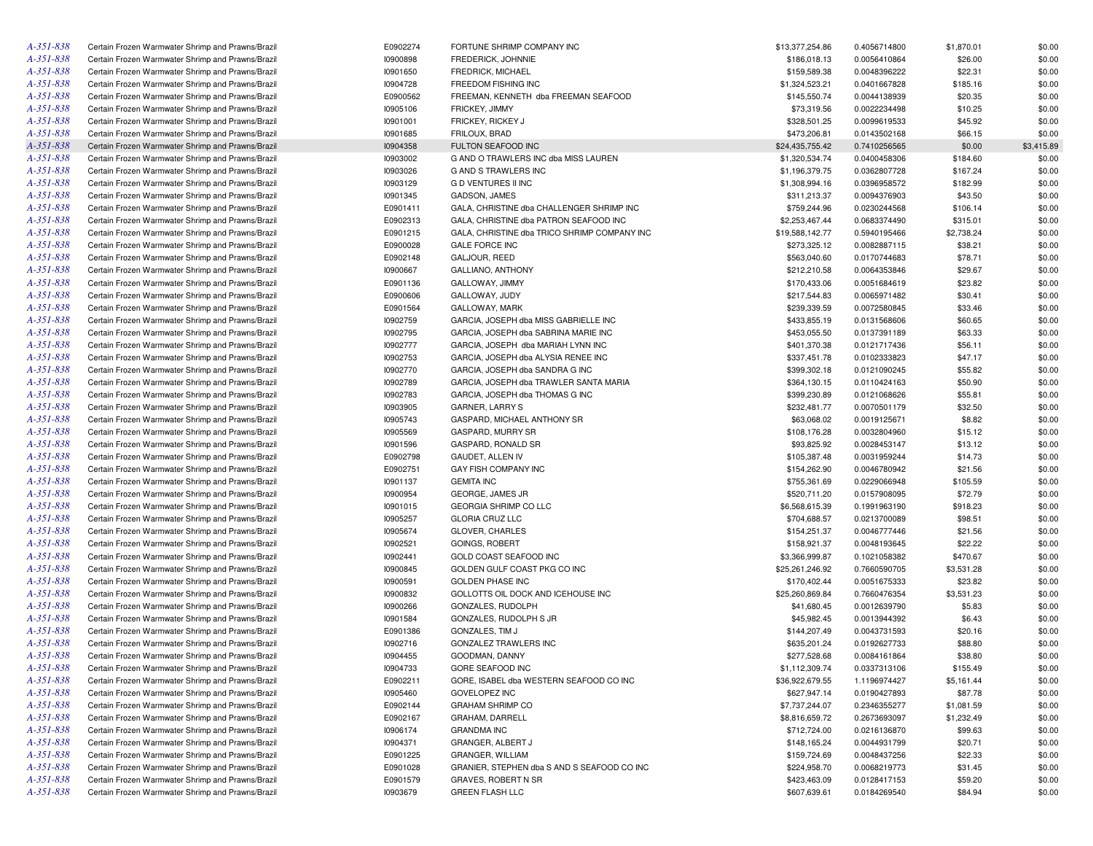| A-351-838                    | Certain Frozen Warmwater Shrimp and Prawns/Brazil | E0902274 | FORTUNE SHRIMP COMPANY INC                   | \$13,377,254.86 | 0.4056714800 | \$1,870.01 | \$0.00     |
|------------------------------|---------------------------------------------------|----------|----------------------------------------------|-----------------|--------------|------------|------------|
| A-351-838                    | Certain Frozen Warmwater Shrimp and Prawns/Brazil | 10900898 | FREDERICK, JOHNNIE                           | \$186,018.13    | 0.0056410864 | \$26.00    | \$0.00     |
| A-351-838                    | Certain Frozen Warmwater Shrimp and Prawns/Brazil | 10901650 | FREDRICK, MICHAEL                            | \$159,589.38    | 0.0048396222 | \$22.31    | \$0.00     |
| A-351-838                    | Certain Frozen Warmwater Shrimp and Prawns/Brazil | 10904728 | FREEDOM FISHING INC                          | \$1,324,523.21  | 0.0401667828 | \$185.16   | \$0.00     |
| A-351-838                    | Certain Frozen Warmwater Shrimp and Prawns/Brazil | E0900562 | FREEMAN, KENNETH dba FREEMAN SEAFOOD         | \$145,550.74    | 0.0044138939 | \$20.35    | \$0.00     |
| A-351-838                    | Certain Frozen Warmwater Shrimp and Prawns/Brazil | 10905106 | FRICKEY, JIMMY                               | \$73,319.56     | 0.0022234498 | \$10.25    | \$0.00     |
| A-351-838                    | Certain Frozen Warmwater Shrimp and Prawns/Brazil | 10901001 | FRICKEY, RICKEY J                            | \$328,501.25    | 0.0099619533 | \$45.92    | \$0.00     |
| A-351-838                    | Certain Frozen Warmwater Shrimp and Prawns/Brazil | 10901685 | FRILOUX, BRAD                                | \$473,206.81    | 0.0143502168 | \$66.15    | \$0.00     |
| A-351-838                    | Certain Frozen Warmwater Shrimp and Prawns/Brazil | 10904358 | FULTON SEAFOOD INC                           | \$24,435,755.42 | 0.7410256565 | \$0.00     | \$3,415.89 |
| A-351-838                    | Certain Frozen Warmwater Shrimp and Prawns/Brazil | 10903002 | G AND O TRAWLERS INC dba MISS LAUREN         | \$1,320,534.74  | 0.0400458306 | \$184.60   | \$0.00     |
| A-351-838                    | Certain Frozen Warmwater Shrimp and Prawns/Brazil | 10903026 | G AND S TRAWLERS INC                         | \$1,196,379.75  | 0.0362807728 | \$167.24   | \$0.00     |
| A-351-838                    | Certain Frozen Warmwater Shrimp and Prawns/Brazil | 10903129 | <b>GD VENTURES II INC</b>                    | \$1,308,994.16  | 0.0396958572 | \$182.99   | \$0.00     |
| A-351-838                    | Certain Frozen Warmwater Shrimp and Prawns/Brazil | 10901345 | GADSON, JAMES                                | \$311,213.37    | 0.0094376903 | \$43.50    | \$0.00     |
| A-351-838                    | Certain Frozen Warmwater Shrimp and Prawns/Brazil | E0901411 | GALA, CHRISTINE dba CHALLENGER SHRIMP INC    | \$759,244.96    | 0.0230244568 | \$106.14   | \$0.00     |
| A-351-838                    | Certain Frozen Warmwater Shrimp and Prawns/Brazil | E0902313 | GALA, CHRISTINE dba PATRON SEAFOOD INC       | \$2,253,467.44  | 0.0683374490 | \$315.01   | \$0.00     |
| A-351-838                    | Certain Frozen Warmwater Shrimp and Prawns/Brazil | E0901215 | GALA, CHRISTINE dba TRICO SHRIMP COMPANY INC | \$19,588,142.77 | 0.5940195466 | \$2,738.24 | \$0.00     |
| A-351-838                    | Certain Frozen Warmwater Shrimp and Prawns/Brazil | E0900028 | <b>GALE FORCE INC</b>                        | \$273,325.12    | 0.0082887115 | \$38.21    | \$0.00     |
| A-351-838                    |                                                   | E0902148 | GALJOUR, REED                                |                 |              |            | \$0.00     |
| A-351-838                    | Certain Frozen Warmwater Shrimp and Prawns/Brazil |          |                                              | \$563,040.60    | 0.0170744683 | \$78.71    |            |
|                              | Certain Frozen Warmwater Shrimp and Prawns/Brazil | 10900667 | GALLIANO, ANTHONY                            | \$212,210.58    | 0.0064353846 | \$29.67    | \$0.00     |
| A-351-838                    | Certain Frozen Warmwater Shrimp and Prawns/Brazil | E0901136 | GALLOWAY, JIMMY                              | \$170,433.06    | 0.0051684619 | \$23.82    | \$0.00     |
| A-351-838                    | Certain Frozen Warmwater Shrimp and Prawns/Brazil | E0900606 | GALLOWAY, JUDY                               | \$217,544.83    | 0.0065971482 | \$30.41    | \$0.00     |
| A-351-838                    | Certain Frozen Warmwater Shrimp and Prawns/Brazil | E0901564 | GALLOWAY, MARK                               | \$239,339.59    | 0.0072580845 | \$33.46    | \$0.00     |
| A-351-838                    | Certain Frozen Warmwater Shrimp and Prawns/Brazil | 10902759 | GARCIA, JOSEPH dba MISS GABRIELLE INC        | \$433,855.19    | 0.0131568606 | \$60.65    | \$0.00     |
| A-351-838                    | Certain Frozen Warmwater Shrimp and Prawns/Brazil | 10902795 | GARCIA, JOSEPH dba SABRINA MARIE INC         | \$453,055.50    | 0.0137391189 | \$63.33    | \$0.00     |
| A-351-838                    | Certain Frozen Warmwater Shrimp and Prawns/Brazil | 10902777 | GARCIA, JOSEPH dba MARIAH LYNN INC           | \$401,370.38    | 0.0121717436 | \$56.11    | \$0.00     |
| A-351-838                    | Certain Frozen Warmwater Shrimp and Prawns/Brazil | 10902753 | GARCIA, JOSEPH dba ALYSIA RENEE INC          | \$337,451.78    | 0.0102333823 | \$47.17    | \$0.00     |
| A-351-838                    | Certain Frozen Warmwater Shrimp and Prawns/Brazil | 10902770 | GARCIA, JOSEPH dba SANDRA G INC              | \$399,302.18    | 0.0121090245 | \$55.82    | \$0.00     |
| A-351-838                    | Certain Frozen Warmwater Shrimp and Prawns/Brazil | 10902789 | GARCIA, JOSEPH dba TRAWLER SANTA MARIA       | \$364,130.15    | 0.0110424163 | \$50.90    | \$0.00     |
| A-351-838                    | Certain Frozen Warmwater Shrimp and Prawns/Brazil | 10902783 | GARCIA, JOSEPH dba THOMAS G INC              | \$399,230.89    | 0.0121068626 | \$55.81    | \$0.00     |
| A-351-838                    | Certain Frozen Warmwater Shrimp and Prawns/Brazil | 10903905 | <b>GARNER, LARRY S</b>                       | \$232,481.77    | 0.0070501179 | \$32.50    | \$0.00     |
| A-351-838                    | Certain Frozen Warmwater Shrimp and Prawns/Brazil | 10905743 | GASPARD, MICHAEL ANTHONY SR                  | \$63,068.02     | 0.0019125671 | \$8.82     | \$0.00     |
| A-351-838                    | Certain Frozen Warmwater Shrimp and Prawns/Brazil | 10905569 | GASPARD, MURRY SR                            | \$108,176.28    | 0.0032804960 | \$15.12    | \$0.00     |
| A-351-838                    | Certain Frozen Warmwater Shrimp and Prawns/Brazil | 10901596 | GASPARD, RONALD SR                           | \$93,825.92     | 0.0028453147 | \$13.12    | \$0.00     |
| A-351-838                    | Certain Frozen Warmwater Shrimp and Prawns/Brazil | E0902798 | GAUDET, ALLEN IV                             | \$105,387.48    | 0.0031959244 | \$14.73    | \$0.00     |
| A-351-838                    | Certain Frozen Warmwater Shrimp and Prawns/Brazil | E0902751 | GAY FISH COMPANY INC                         | \$154,262.90    | 0.0046780942 | \$21.56    | \$0.00     |
| A-351-838                    | Certain Frozen Warmwater Shrimp and Prawns/Brazil | 10901137 | <b>GEMITA INC</b>                            | \$755,361.69    | 0.0229066948 | \$105.59   | \$0.00     |
| A-351-838                    | Certain Frozen Warmwater Shrimp and Prawns/Brazil | 10900954 | GEORGE, JAMES JR                             | \$520,711.20    | 0.0157908095 | \$72.79    | \$0.00     |
| A-351-838                    | Certain Frozen Warmwater Shrimp and Prawns/Brazil | 10901015 | GEORGIA SHRIMP CO LLC                        | \$6,568,615.39  | 0.1991963190 | \$918.23   | \$0.00     |
| A-351-838                    | Certain Frozen Warmwater Shrimp and Prawns/Brazil | 10905257 | <b>GLORIA CRUZ LLC</b>                       | \$704,688.57    | 0.0213700089 | \$98.51    | \$0.00     |
| A-351-838                    | Certain Frozen Warmwater Shrimp and Prawns/Brazil | 10905674 | GLOVER, CHARLES                              | \$154,251.37    | 0.0046777446 | \$21.56    | \$0.00     |
| A-351-838                    | Certain Frozen Warmwater Shrimp and Prawns/Brazil | 10902521 | <b>GOINGS, ROBERT</b>                        | \$158,921.37    | 0.0048193645 | \$22.22    | \$0.00     |
| A-351-838                    | Certain Frozen Warmwater Shrimp and Prawns/Brazil | 10902441 | GOLD COAST SEAFOOD INC                       | \$3,366,999.87  | 0.1021058382 | \$470.67   | \$0.00     |
| A-351-838                    | Certain Frozen Warmwater Shrimp and Prawns/Brazil | 10900845 | GOLDEN GULF COAST PKG CO INC                 | \$25,261,246.92 | 0.7660590705 | \$3,531.28 | \$0.00     |
| A-351-838                    | Certain Frozen Warmwater Shrimp and Prawns/Brazil | 10900591 | <b>GOLDEN PHASE INC</b>                      | \$170,402.44    | 0.0051675333 | \$23.82    | \$0.00     |
| A-351-838                    | Certain Frozen Warmwater Shrimp and Prawns/Brazil | 10900832 | GOLLOTTS OIL DOCK AND ICEHOUSE INC           | \$25,260,869.84 | 0.7660476354 | \$3,531.23 | \$0.00     |
| A-351-838                    | Certain Frozen Warmwater Shrimp and Prawns/Brazil | 10900266 | GONZALES, RUDOLPH                            | \$41,680.45     | 0.0012639790 | \$5.83     | \$0.00     |
| A-351-838                    | Certain Frozen Warmwater Shrimp and Prawns/Brazil | 10901584 | GONZALES, RUDOLPH S JR                       | \$45,982.45     | 0.0013944392 | \$6.43     | \$0.00     |
| A-351-838                    | Certain Frozen Warmwater Shrimp and Prawns/Brazil | E0901386 | GONZALES, TIM J                              | \$144,207.49    | 0.0043731593 | \$20.16    | \$0.00     |
| A-351-838                    | Certain Frozen Warmwater Shrimp and Prawns/Brazil | 10902716 | <b>GONZALEZ TRAWLERS INC</b>                 | \$635,201.24    | 0.0192627733 | \$88.80    | \$0.00     |
| $A - 35I - 838$              | Certain Frozen Warmwater Shrimp and Prawns/Brazil | 10904455 | GOODMAN, DANNY                               | \$277,528.68    | 0.0084161864 | \$38.80    | \$0.00     |
| A-351-838                    | Certain Frozen Warmwater Shrimp and Prawns/Brazil | 10904733 | GORE SEAFOOD INC                             | \$1,112,309.74  | 0.0337313106 | \$155.49   | \$0.00     |
| A-351-838                    | Certain Frozen Warmwater Shrimp and Prawns/Brazil | E0902211 | GORE, ISABEL dba WESTERN SEAFOOD CO INC      | \$36,922,679.55 | 1.1196974427 | \$5,161.44 | \$0.00     |
| A-351-838                    | Certain Frozen Warmwater Shrimp and Prawns/Brazil | 10905460 | <b>GOVELOPEZ INC</b>                         | \$627,947.14    | 0.0190427893 | \$87.78    | \$0.00     |
| A-351-838                    | Certain Frozen Warmwater Shrimp and Prawns/Brazil | E0902144 | <b>GRAHAM SHRIMP CO</b>                      | \$7,737,244.07  | 0.2346355277 | \$1,081.59 | \$0.00     |
| A-351-838                    | Certain Frozen Warmwater Shrimp and Prawns/Brazil | E0902167 | GRAHAM, DARRELL                              | \$8,816,659.72  | 0.2673693097 | \$1,232.49 | \$0.00     |
| A-351-838                    | Certain Frozen Warmwater Shrimp and Prawns/Brazil | 10906174 | <b>GRANDMA INC</b>                           | \$712,724.00    | 0.0216136870 | \$99.63    | \$0.00     |
| A-351-838                    | Certain Frozen Warmwater Shrimp and Prawns/Brazil | 10904371 | GRANGER, ALBERT J                            | \$148,165.24    | 0.0044931799 | \$20.71    | \$0.00     |
| A-351-838                    | Certain Frozen Warmwater Shrimp and Prawns/Brazil | E0901225 | GRANGER, WILLIAM                             | \$159,724.69    | 0.0048437256 |            |            |
|                              |                                                   |          |                                              |                 |              | \$22.33    | \$0.00     |
| A-351-838                    | Certain Frozen Warmwater Shrimp and Prawns/Brazil | E0901028 | GRANIER, STEPHEN dba S AND S SEAFOOD CO INC  | \$224,958.70    | 0.0068219773 | \$31.45    | \$0.00     |
| A-351-838<br>$A - 35I - 838$ | Certain Frozen Warmwater Shrimp and Prawns/Brazil | E0901579 | GRAVES, ROBERT N SR                          | \$423,463.09    | 0.0128417153 | \$59.20    | \$0.00     |
|                              | Certain Frozen Warmwater Shrimp and Prawns/Brazil | 10903679 | <b>GREEN FLASH LLC</b>                       | \$607,639.61    | 0.0184269540 | \$84.94    | \$0.00     |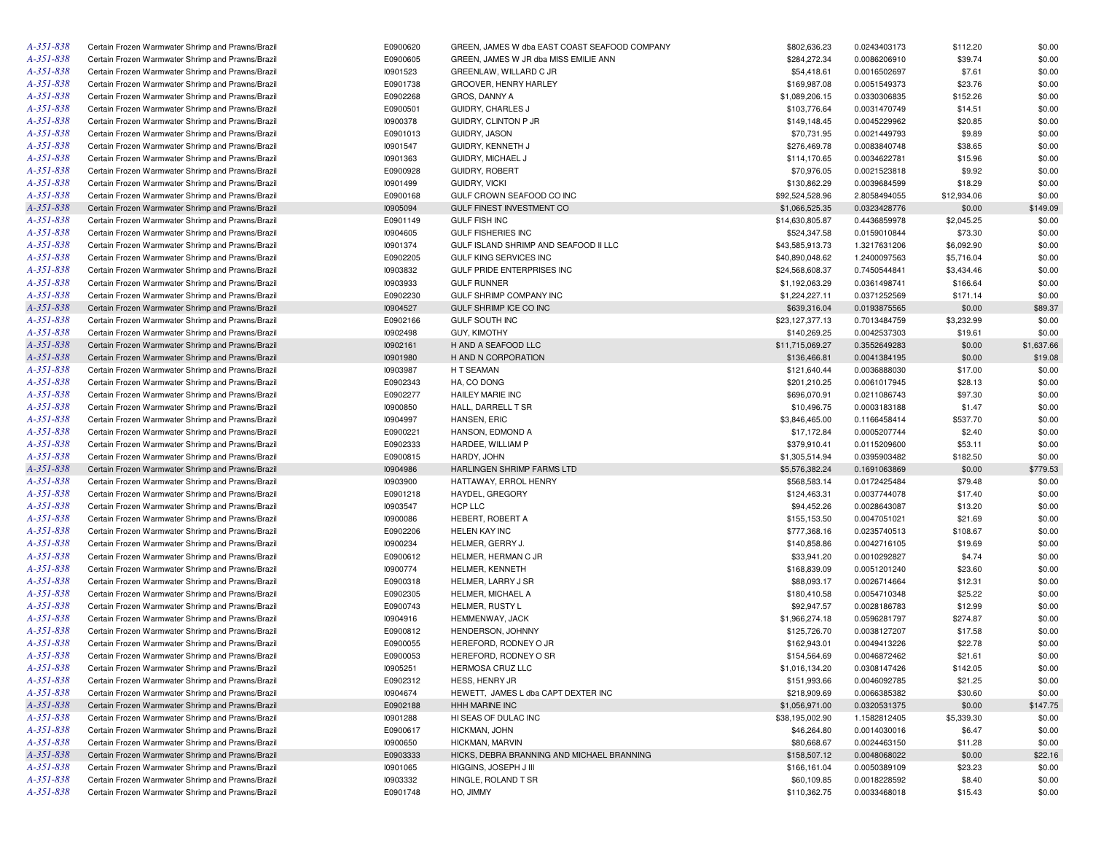| A-351-838       | Certain Frozen Warmwater Shrimp and Prawns/Brazil | E0900620 | GREEN, JAMES W dba EAST COAST SEAFOOD COMPANY | \$802,636.23    | 0.0243403173 | \$112.20    | \$0.00     |
|-----------------|---------------------------------------------------|----------|-----------------------------------------------|-----------------|--------------|-------------|------------|
| A-351-838       | Certain Frozen Warmwater Shrimp and Prawns/Brazil | E0900605 | GREEN, JAMES W JR dba MISS EMILIE ANN         | \$284,272.34    | 0.0086206910 | \$39.74     | \$0.00     |
| A-351-838       | Certain Frozen Warmwater Shrimp and Prawns/Brazil | 10901523 | GREENLAW, WILLARD C JR                        | \$54,418.61     | 0.0016502697 | \$7.61      | \$0.00     |
| A-351-838       | Certain Frozen Warmwater Shrimp and Prawns/Brazil | E0901738 | GROOVER, HENRY HARLEY                         | \$169,987.08    | 0.0051549373 | \$23.76     | \$0.00     |
| A-351-838       | Certain Frozen Warmwater Shrimp and Prawns/Brazil | E0902268 | GROS, DANNY A                                 | \$1,089,206.15  | 0.0330306835 | \$152.26    | \$0.00     |
| A-351-838       | Certain Frozen Warmwater Shrimp and Prawns/Brazil | E0900501 | <b>GUIDRY, CHARLES J</b>                      | \$103,776.64    | 0.0031470749 | \$14.51     | \$0.00     |
| A-351-838       | Certain Frozen Warmwater Shrimp and Prawns/Brazil | 10900378 | <b>GUIDRY, CLINTON P JR</b>                   | \$149,148.45    | 0.0045229962 | \$20.85     | \$0.00     |
| A-351-838       | Certain Frozen Warmwater Shrimp and Prawns/Brazil | E0901013 | GUIDRY, JASON                                 | \$70,731.95     | 0.0021449793 | \$9.89      | \$0.00     |
| A-351-838       | Certain Frozen Warmwater Shrimp and Prawns/Brazil | 10901547 | GUIDRY, KENNETH J                             | \$276,469.78    | 0.0083840748 | \$38.65     | \$0.00     |
| A-351-838       | Certain Frozen Warmwater Shrimp and Prawns/Brazil | 10901363 | GUIDRY, MICHAEL J                             | \$114,170.65    | 0.0034622781 | \$15.96     | \$0.00     |
| A-351-838       | Certain Frozen Warmwater Shrimp and Prawns/Brazil | E0900928 | GUIDRY, ROBERT                                | \$70,976.05     | 0.0021523818 | \$9.92      | \$0.00     |
| A-351-838       | Certain Frozen Warmwater Shrimp and Prawns/Brazil | 10901499 | GUIDRY, VICKI                                 | \$130,862.29    | 0.0039684599 | \$18.29     | \$0.00     |
| A-351-838       | Certain Frozen Warmwater Shrimp and Prawns/Brazil | E0900168 | GULF CROWN SEAFOOD CO INC                     | \$92,524,528.96 | 2.8058494055 | \$12,934.06 | \$0.00     |
| A-351-838       | Certain Frozen Warmwater Shrimp and Prawns/Brazil | 10905094 | GULF FINEST INVESTMENT CO                     | \$1,066,525.35  | 0.0323428776 | \$0.00      | \$149.09   |
| A-351-838       | Certain Frozen Warmwater Shrimp and Prawns/Brazil | E0901149 | <b>GULF FISH INC</b>                          | \$14,630,805.87 | 0.4436859978 | \$2,045.25  | \$0.00     |
| A-351-838       | Certain Frozen Warmwater Shrimp and Prawns/Brazil | 10904605 | <b>GULF FISHERIES INC</b>                     | \$524,347.58    | 0.0159010844 | \$73.30     | \$0.00     |
| A-351-838       | Certain Frozen Warmwater Shrimp and Prawns/Brazil | 10901374 | GULF ISLAND SHRIMP AND SEAFOOD II LLC         | \$43,585,913.73 | 1.3217631206 | \$6,092.90  | \$0.00     |
| A-351-838       | Certain Frozen Warmwater Shrimp and Prawns/Brazil | E0902205 | GULF KING SERVICES INC                        |                 |              |             |            |
|                 |                                                   |          |                                               | \$40,890,048.62 | 1.2400097563 | \$5,716.04  | \$0.00     |
| A-351-838       | Certain Frozen Warmwater Shrimp and Prawns/Brazil | 10903832 | GULF PRIDE ENTERPRISES INC                    | \$24,568,608.37 | 0.7450544841 | \$3,434.46  | \$0.00     |
| A-351-838       | Certain Frozen Warmwater Shrimp and Prawns/Brazil | 10903933 | <b>GULF RUNNER</b>                            | \$1,192,063.29  | 0.0361498741 | \$166.64    | \$0.00     |
| A-351-838       | Certain Frozen Warmwater Shrimp and Prawns/Brazil | E0902230 | GULF SHRIMP COMPANY INC                       | \$1,224,227.11  | 0.0371252569 | \$171.14    | \$0.00     |
| A-351-838       | Certain Frozen Warmwater Shrimp and Prawns/Brazil | 10904527 | GULF SHRIMP ICE CO INC                        | \$639,316.04    | 0.0193875565 | \$0.00      | \$89.37    |
| A-351-838       | Certain Frozen Warmwater Shrimp and Prawns/Brazil | E0902166 | GULF SOUTH INC                                | \$23,127,377.13 | 0.7013484759 | \$3,232.99  | \$0.00     |
| A-351-838       | Certain Frozen Warmwater Shrimp and Prawns/Brazil | 10902498 | GUY, KIMOTHY                                  | \$140,269.25    | 0.0042537303 | \$19.61     | \$0.00     |
| A-351-838       | Certain Frozen Warmwater Shrimp and Prawns/Brazil | 10902161 | H AND A SEAFOOD LLC                           | \$11,715,069.27 | 0.3552649283 | \$0.00      | \$1,637.66 |
| A-351-838       | Certain Frozen Warmwater Shrimp and Prawns/Brazil | 10901980 | H AND N CORPORATION                           | \$136,466.81    | 0.0041384195 | \$0.00      | \$19.08    |
| A-351-838       | Certain Frozen Warmwater Shrimp and Prawns/Brazil | 10903987 | H T SEAMAN                                    | \$121,640.44    | 0.0036888030 | \$17.00     | \$0.00     |
| A-351-838       | Certain Frozen Warmwater Shrimp and Prawns/Brazil | E0902343 | HA, CO DONG                                   | \$201,210.25    | 0.0061017945 | \$28.13     | \$0.00     |
| A-351-838       | Certain Frozen Warmwater Shrimp and Prawns/Brazil | E0902277 | <b>HAILEY MARIE INC</b>                       | \$696,070.91    | 0.0211086743 | \$97.30     | \$0.00     |
| A-351-838       | Certain Frozen Warmwater Shrimp and Prawns/Brazil | 10900850 | HALL, DARRELL T SR                            | \$10,496.75     | 0.0003183188 | \$1.47      | \$0.00     |
| A-351-838       | Certain Frozen Warmwater Shrimp and Prawns/Brazil | 10904997 | HANSEN, ERIC                                  | \$3,846,465.00  | 0.1166458414 | \$537.70    | \$0.00     |
| A-351-838       | Certain Frozen Warmwater Shrimp and Prawns/Brazil | E0900221 | HANSON, EDMOND A                              | \$17,172.84     | 0.0005207744 | \$2.40      | \$0.00     |
| A-351-838       | Certain Frozen Warmwater Shrimp and Prawns/Brazil | E0902333 | HARDEE, WILLIAM P                             | \$379,910.41    | 0.0115209600 | \$53.11     | \$0.00     |
| A-351-838       | Certain Frozen Warmwater Shrimp and Prawns/Brazil | E0900815 | HARDY, JOHN                                   | \$1,305,514.94  | 0.0395903482 | \$182.50    | \$0.00     |
| A-351-838       | Certain Frozen Warmwater Shrimp and Prawns/Brazil | 10904986 | HARLINGEN SHRIMP FARMS LTD                    | \$5,576,382.24  | 0.1691063869 | \$0.00      | \$779.53   |
| A-351-838       | Certain Frozen Warmwater Shrimp and Prawns/Brazil | 10903900 | HATTAWAY, ERROL HENRY                         | \$568,583.14    | 0.0172425484 | \$79.48     | \$0.00     |
| A-351-838       | Certain Frozen Warmwater Shrimp and Prawns/Brazil | E0901218 | HAYDEL, GREGORY                               | \$124,463.31    | 0.0037744078 | \$17.40     | \$0.00     |
| A-351-838       | Certain Frozen Warmwater Shrimp and Prawns/Brazil | 10903547 | HCP LLC                                       | \$94,452.26     | 0.0028643087 | \$13.20     | \$0.00     |
| A-351-838       | Certain Frozen Warmwater Shrimp and Prawns/Brazil | 10900086 | HEBERT, ROBERT A                              | \$155,153.50    | 0.0047051021 | \$21.69     | \$0.00     |
| A-351-838       | Certain Frozen Warmwater Shrimp and Prawns/Brazil | E0902206 | HELEN KAY INC                                 | \$777,368.16    | 0.0235740513 | \$108.67    | \$0.00     |
| A-351-838       | Certain Frozen Warmwater Shrimp and Prawns/Brazil | 10900234 | HELMER, GERRY J.                              | \$140,858.86    | 0.0042716105 | \$19.69     | \$0.00     |
| A-351-838       | Certain Frozen Warmwater Shrimp and Prawns/Brazil | E0900612 | HELMER, HERMAN C JR                           | \$33,941.20     | 0.0010292827 | \$4.74      | \$0.00     |
| A-351-838       | Certain Frozen Warmwater Shrimp and Prawns/Brazil | 10900774 | HELMER, KENNETH                               | \$168,839.09    | 0.0051201240 | \$23.60     | \$0.00     |
| A-351-838       | Certain Frozen Warmwater Shrimp and Prawns/Brazil | E0900318 | HELMER, LARRY J SR                            | \$88,093.17     | 0.0026714664 | \$12.31     | \$0.00     |
| A-351-838       | Certain Frozen Warmwater Shrimp and Prawns/Brazil | E0902305 | HELMER, MICHAEL A                             | \$180,410.58    | 0.0054710348 | \$25.22     | \$0.00     |
| A-351-838       | Certain Frozen Warmwater Shrimp and Prawns/Brazil | E0900743 | HELMER, RUSTY L                               | \$92,947.57     | 0.0028186783 | \$12.99     | \$0.00     |
| A-351-838       | Certain Frozen Warmwater Shrimp and Prawns/Brazil | 10904916 | HEMMENWAY, JACK                               | \$1,966,274.18  | 0.0596281797 | \$274.87    | \$0.00     |
| A-351-838       |                                                   |          |                                               | \$125,726.70    | 0.0038127207 |             |            |
|                 | Certain Frozen Warmwater Shrimp and Prawns/Brazil | E0900812 | HENDERSON, JOHNNY                             |                 |              | \$17.58     | \$0.00     |
| A-351-838       | Certain Frozen Warmwater Shrimp and Prawns/Brazil | E0900055 | HEREFORD, RODNEY O JR                         | \$162,943.01    | 0.0049413226 | \$22.78     | \$0.00     |
| A-351-838       | Certain Frozen Warmwater Shrimp and Prawns/Brazil | E0900053 | HEREFORD, RODNEY O SR                         | \$154,564.69    | 0.0046872462 | \$21.61     | \$0.00     |
| A-351-838       | Certain Frozen Warmwater Shrimp and Prawns/Brazil | 10905251 | HERMOSA CRUZ LLC                              | \$1,016,134.20  | 0.0308147426 | \$142.05    | \$0.00     |
| $A - 35I - 838$ | Certain Frozen Warmwater Shrimp and Prawns/Brazil | E0902312 | HESS, HENRY JR                                | \$151,993.66    | 0.0046092785 | \$21.25     | \$0.00     |
| A-351-838       | Certain Frozen Warmwater Shrimp and Prawns/Brazil | 10904674 | HEWETT, JAMES L dba CAPT DEXTER INC           | \$218,909.69    | 0.0066385382 | \$30.60     | \$0.00     |
| $A - 35I - 838$ | Certain Frozen Warmwater Shrimp and Prawns/Brazil | E0902188 | HHH MARINE INC                                | \$1,056,971.00  | 0.0320531375 | \$0.00      | \$147.75   |
| A-351-838       | Certain Frozen Warmwater Shrimp and Prawns/Brazil | 10901288 | HI SEAS OF DULAC INC                          | \$38,195,002.90 | 1.1582812405 | \$5,339.30  | \$0.00     |
| A-351-838       | Certain Frozen Warmwater Shrimp and Prawns/Brazil | E0900617 | HICKMAN, JOHN                                 | \$46,264.80     | 0.0014030016 | \$6.47      | \$0.00     |
| A-351-838       | Certain Frozen Warmwater Shrimp and Prawns/Brazil | 10900650 | HICKMAN, MARVIN                               | \$80,668.67     | 0.0024463150 | \$11.28     | \$0.00     |
| $A - 35I - 838$ | Certain Frozen Warmwater Shrimp and Prawns/Brazil | E0903333 | HICKS, DEBRA BRANNING AND MICHAEL BRANNING    | \$158,507.12    | 0.0048068022 | \$0.00      | \$22.16    |
| A-351-838       | Certain Frozen Warmwater Shrimp and Prawns/Brazil | 10901065 | HIGGINS, JOSEPH J III                         | \$166,161.04    | 0.0050389109 | \$23.23     | \$0.00     |
| A-351-838       | Certain Frozen Warmwater Shrimp and Prawns/Brazil | 10903332 | HINGLE, ROLAND T SR                           | \$60,109.85     | 0.0018228592 | \$8.40      | \$0.00     |
| $A - 351 - 838$ | Certain Frozen Warmwater Shrimp and Prawns/Brazil | E0901748 | HO, JIMMY                                     | \$110,362.75    | 0.0033468018 | \$15.43     | \$0.00     |
|                 |                                                   |          |                                               |                 |              |             |            |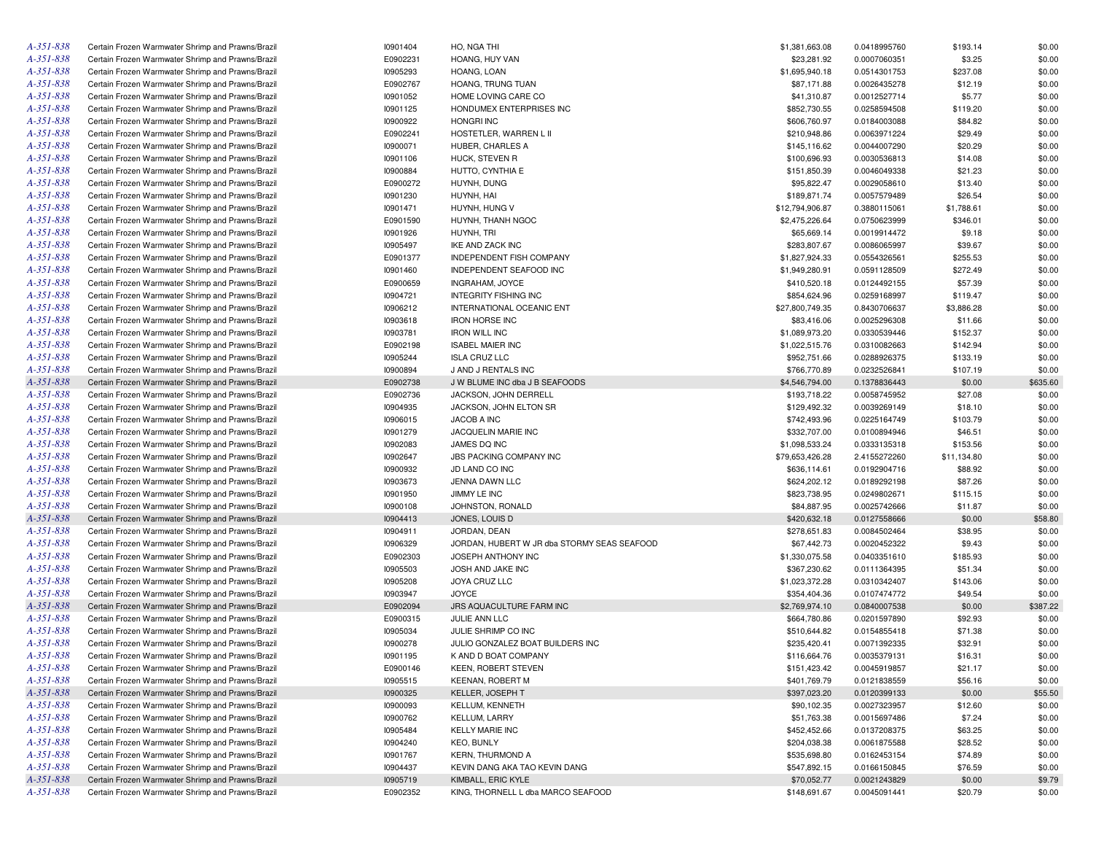| A-351-838       | Certain Frozen Warmwater Shrimp and Prawns/Brazil | 10901404 | HO, NGA THI                                 | \$1,381,663.08  | 0.0418995760 | \$193.14    | \$0.00   |
|-----------------|---------------------------------------------------|----------|---------------------------------------------|-----------------|--------------|-------------|----------|
| A-351-838       | Certain Frozen Warmwater Shrimp and Prawns/Brazil | E0902231 | HOANG, HUY VAN                              | \$23,281.92     | 0.0007060351 | \$3.25      | \$0.00   |
| A-351-838       | Certain Frozen Warmwater Shrimp and Prawns/Brazil | 10905293 | HOANG, LOAN                                 | \$1,695,940.18  | 0.0514301753 | \$237.08    | \$0.00   |
| A-351-838       | Certain Frozen Warmwater Shrimp and Prawns/Brazil | E0902767 | HOANG, TRUNG TUAN                           | \$87,171.88     | 0.0026435278 | \$12.19     | \$0.00   |
| A-351-838       | Certain Frozen Warmwater Shrimp and Prawns/Brazil | 10901052 | HOME LOVING CARE CO                         | \$41,310.87     | 0.0012527714 | \$5.77      | \$0.00   |
| A-351-838       | Certain Frozen Warmwater Shrimp and Prawns/Brazil | 10901125 | HONDUMEX ENTERPRISES INC                    | \$852,730.55    | 0.0258594508 | \$119.20    | \$0.00   |
| A-351-838       | Certain Frozen Warmwater Shrimp and Prawns/Brazil | 10900922 | <b>HONGRI INC</b>                           | \$606,760.97    | 0.0184003088 | \$84.82     | \$0.00   |
| A-351-838       | Certain Frozen Warmwater Shrimp and Prawns/Brazil | E0902241 | HOSTETLER, WARREN L II                      | \$210,948.86    | 0.0063971224 | \$29.49     | \$0.00   |
| A-351-838       | Certain Frozen Warmwater Shrimp and Prawns/Brazil | 10900071 | HUBER, CHARLES A                            | \$145,116.62    | 0.0044007290 | \$20.29     | \$0.00   |
| A-351-838       | Certain Frozen Warmwater Shrimp and Prawns/Brazil | 10901106 | HUCK, STEVEN R                              | \$100,696.93    | 0.0030536813 | \$14.08     | \$0.00   |
| A-351-838       | Certain Frozen Warmwater Shrimp and Prawns/Brazil | 10900884 | HUTTO, CYNTHIA E                            | \$151,850.39    | 0.0046049338 | \$21.23     | \$0.00   |
| A-351-838       | Certain Frozen Warmwater Shrimp and Prawns/Brazil | E0900272 | HUYNH, DUNG                                 | \$95,822.47     | 0.0029058610 | \$13.40     | \$0.00   |
| A-351-838       | Certain Frozen Warmwater Shrimp and Prawns/Brazil | 10901230 | HUYNH, HAI                                  | \$189,871.74    | 0.0057579489 | \$26.54     | \$0.00   |
| A-351-838       | Certain Frozen Warmwater Shrimp and Prawns/Brazil | 10901471 | HUYNH, HUNG V                               | \$12,794,906.87 | 0.3880115061 | \$1,788.61  | \$0.00   |
| A-351-838       | Certain Frozen Warmwater Shrimp and Prawns/Brazil | E0901590 | HUYNH, THANH NGOC                           | \$2,475,226.64  | 0.0750623999 | \$346.01    | \$0.00   |
| A-351-838       | Certain Frozen Warmwater Shrimp and Prawns/Brazil | 10901926 | HUYNH, TRI                                  | \$65,669.14     | 0.0019914472 | \$9.18      | \$0.00   |
| A-351-838       | Certain Frozen Warmwater Shrimp and Prawns/Brazil | 10905497 | <b>IKE AND ZACK INC</b>                     | \$283,807.67    | 0.0086065997 | \$39.67     | \$0.00   |
| A-351-838       | Certain Frozen Warmwater Shrimp and Prawns/Brazil | E0901377 | <b>INDEPENDENT FISH COMPANY</b>             | \$1,827,924.33  | 0.0554326561 | \$255.53    | \$0.00   |
| A-351-838       | Certain Frozen Warmwater Shrimp and Prawns/Brazil | 10901460 | INDEPENDENT SEAFOOD INC                     | \$1,949,280.91  | 0.0591128509 | \$272.49    | \$0.00   |
| A-351-838       | Certain Frozen Warmwater Shrimp and Prawns/Brazil | E0900659 | INGRAHAM, JOYCE                             | \$410,520.18    | 0.0124492155 | \$57.39     | \$0.00   |
| A-351-838       |                                                   |          |                                             |                 |              |             |          |
|                 | Certain Frozen Warmwater Shrimp and Prawns/Brazil | 10904721 | <b>INTEGRITY FISHING INC</b>                | \$854,624.96    | 0.0259168997 | \$119.47    | \$0.00   |
| A-351-838       | Certain Frozen Warmwater Shrimp and Prawns/Brazil | 10906212 | INTERNATIONAL OCEANIC ENT                   | \$27,800,749.35 | 0.8430706637 | \$3,886.28  | \$0.00   |
| A-351-838       | Certain Frozen Warmwater Shrimp and Prawns/Brazil | 10903618 | <b>IRON HORSE INC</b>                       | \$83,416.06     | 0.0025296308 | \$11.66     | \$0.00   |
| A-351-838       | Certain Frozen Warmwater Shrimp and Prawns/Brazil | 10903781 | <b>IRON WILL INC</b>                        | \$1,089,973.20  | 0.0330539446 | \$152.37    | \$0.00   |
| A-351-838       | Certain Frozen Warmwater Shrimp and Prawns/Brazil | E0902198 | <b>ISABEL MAIER INC</b>                     | \$1,022,515.76  | 0.0310082663 | \$142.94    | \$0.00   |
| A-351-838       | Certain Frozen Warmwater Shrimp and Prawns/Brazil | 10905244 | <b>ISLA CRUZ LLC</b>                        | \$952,751.66    | 0.0288926375 | \$133.19    | \$0.00   |
| A-351-838       | Certain Frozen Warmwater Shrimp and Prawns/Brazil | 10900894 | J AND J RENTALS INC                         | \$766,770.89    | 0.0232526841 | \$107.19    | \$0.00   |
| A-351-838       | Certain Frozen Warmwater Shrimp and Prawns/Brazil | E0902738 | J W BLUME INC dba J B SEAFOODS              | \$4,546,794.00  | 0.1378836443 | \$0.00      | \$635.60 |
| A-351-838       | Certain Frozen Warmwater Shrimp and Prawns/Brazil | E0902736 | JACKSON, JOHN DERRELL                       | \$193,718.22    | 0.0058745952 | \$27.08     | \$0.00   |
| A-351-838       | Certain Frozen Warmwater Shrimp and Prawns/Brazil | 10904935 | JACKSON, JOHN ELTON SR                      | \$129,492.32    | 0.0039269149 | \$18.10     | \$0.00   |
| A-351-838       | Certain Frozen Warmwater Shrimp and Prawns/Brazil | 10906015 | JACOB A INC                                 | \$742,493.96    | 0.0225164749 | \$103.79    | \$0.00   |
| A-351-838       | Certain Frozen Warmwater Shrimp and Prawns/Brazil | 10901279 | JACQUELIN MARIE INC                         | \$332,707.00    | 0.0100894946 | \$46.51     | \$0.00   |
| A-351-838       | Certain Frozen Warmwater Shrimp and Prawns/Brazil | 10902083 | JAMES DQ INC                                | \$1,098,533.24  | 0.0333135318 | \$153.56    | \$0.00   |
| A-351-838       | Certain Frozen Warmwater Shrimp and Prawns/Brazil | 10902647 | JBS PACKING COMPANY INC                     | \$79,653,426.28 | 2.4155272260 | \$11,134.80 | \$0.00   |
| A-351-838       | Certain Frozen Warmwater Shrimp and Prawns/Brazil | 10900932 | JD LAND CO INC                              | \$636,114.61    | 0.0192904716 | \$88.92     | \$0.00   |
| A-351-838       | Certain Frozen Warmwater Shrimp and Prawns/Brazil | 10903673 | JENNA DAWN LLC                              | \$624,202.12    | 0.0189292198 | \$87.26     | \$0.00   |
| A-351-838       | Certain Frozen Warmwater Shrimp and Prawns/Brazil | 10901950 | JIMMY LE INC                                | \$823,738.95    | 0.0249802671 | \$115.15    | \$0.00   |
| A-351-838       | Certain Frozen Warmwater Shrimp and Prawns/Brazil | 10900108 | JOHNSTON, RONALD                            | \$84,887.95     | 0.0025742666 | \$11.87     | \$0.00   |
| A-351-838       | Certain Frozen Warmwater Shrimp and Prawns/Brazil | 10904413 | JONES, LOUIS D                              | \$420,632.18    | 0.0127558666 | \$0.00      | \$58.80  |
| A-351-838       | Certain Frozen Warmwater Shrimp and Prawns/Brazil | 10904911 | JORDAN, DEAN                                | \$278,651.83    | 0.0084502464 | \$38.95     | \$0.00   |
| A-351-838       | Certain Frozen Warmwater Shrimp and Prawns/Brazil | 10906329 | JORDAN, HUBERT W JR dba STORMY SEAS SEAFOOD | \$67,442.73     | 0.0020452322 | \$9.43      | \$0.00   |
| A-351-838       | Certain Frozen Warmwater Shrimp and Prawns/Brazil | E0902303 | <b>JOSEPH ANTHONY INC</b>                   | \$1,330,075.58  | 0.0403351610 | \$185.93    | \$0.00   |
| A-351-838       | Certain Frozen Warmwater Shrimp and Prawns/Brazil | 10905503 | JOSH AND JAKE INC                           | \$367,230.62    | 0.0111364395 | \$51.34     | \$0.00   |
| A-351-838       | Certain Frozen Warmwater Shrimp and Prawns/Brazil | 10905208 | JOYA CRUZ LLC                               | \$1,023,372.28  | 0.0310342407 | \$143.06    | \$0.00   |
| A-351-838       | Certain Frozen Warmwater Shrimp and Prawns/Brazil | 10903947 | <b>JOYCE</b>                                | \$354,404.36    | 0.0107474772 | \$49.54     | \$0.00   |
| A-351-838       | Certain Frozen Warmwater Shrimp and Prawns/Brazil | E0902094 | JRS AQUACULTURE FARM INC                    | \$2,769,974.10  | 0.0840007538 | \$0.00      | \$387.22 |
| A-351-838       | Certain Frozen Warmwater Shrimp and Prawns/Brazil | E0900315 | JULIE ANN LLC                               | \$664,780.86    | 0.0201597890 | \$92.93     | \$0.00   |
| A-351-838       | Certain Frozen Warmwater Shrimp and Prawns/Brazil | 10905034 | JULIE SHRIMP CO INC                         | \$510,644.82    | 0.0154855418 | \$71.38     | \$0.00   |
| A-351-838       | Certain Frozen Warmwater Shrimp and Prawns/Brazil | 10900278 | JULIO GONZALEZ BOAT BUILDERS INC            | \$235,420.41    | 0.0071392335 | \$32.91     | \$0.00   |
| $A - 351 - 838$ | Certain Frozen Warmwater Shrimp and Prawns/Brazil | 10901195 | K AND D BOAT COMPANY                        | \$116,664.76    | 0.0035379131 | \$16.31     | \$0.00   |
| A-351-838       | Certain Frozen Warmwater Shrimp and Prawns/Brazil | E0900146 | KEEN, ROBERT STEVEN                         | \$151,423.42    | 0.0045919857 | \$21.17     | \$0.00   |
| A-351-838       | Certain Frozen Warmwater Shrimp and Prawns/Brazil | 10905515 | <b>KEENAN, ROBERT M</b>                     | \$401,769.79    | 0.0121838559 | \$56.16     | \$0.00   |
| $A - 35I - 838$ | Certain Frozen Warmwater Shrimp and Prawns/Brazil | 10900325 | KELLER, JOSEPH T                            | \$397,023.20    | 0.0120399133 | \$0.00      | \$55.50  |
| A-351-838       | Certain Frozen Warmwater Shrimp and Prawns/Brazil | 10900093 | KELLUM, KENNETH                             | \$90,102.35     | 0.0027323957 | \$12.60     | \$0.00   |
| A-351-838       | Certain Frozen Warmwater Shrimp and Prawns/Brazil | 10900762 | KELLUM, LARRY                               | \$51,763.38     | 0.0015697486 | \$7.24      | \$0.00   |
| A-351-838       | Certain Frozen Warmwater Shrimp and Prawns/Brazil | 10905484 | <b>KELLY MARIE INC</b>                      | \$452,452.66    | 0.0137208375 | \$63.25     | \$0.00   |
| A-351-838       | Certain Frozen Warmwater Shrimp and Prawns/Brazil | 10904240 | <b>KEO, BUNLY</b>                           |                 |              | \$28.52     |          |
|                 |                                                   |          | <b>KERN, THURMOND A</b>                     | \$204,038.38    | 0.0061875588 |             | \$0.00   |
| A-351-838       | Certain Frozen Warmwater Shrimp and Prawns/Brazil | 10901767 |                                             | \$535,698.80    | 0.0162453154 | \$74.89     | \$0.00   |
| A-351-838       | Certain Frozen Warmwater Shrimp and Prawns/Brazil | 10904437 | KEVIN DANG AKA TAO KEVIN DANG               | \$547,892.15    | 0.0166150845 | \$76.59     | \$0.00   |
| $A - 35I - 838$ | Certain Frozen Warmwater Shrimp and Prawns/Brazil | 10905719 | KIMBALL, ERIC KYLE                          | \$70,052.77     | 0.0021243829 | \$0.00      | \$9.79   |
| A-351-838       | Certain Frozen Warmwater Shrimp and Prawns/Brazil | E0902352 | KING, THORNELL L dba MARCO SEAFOOD          | \$148,691.67    | 0.0045091441 | \$20.79     | \$0.00   |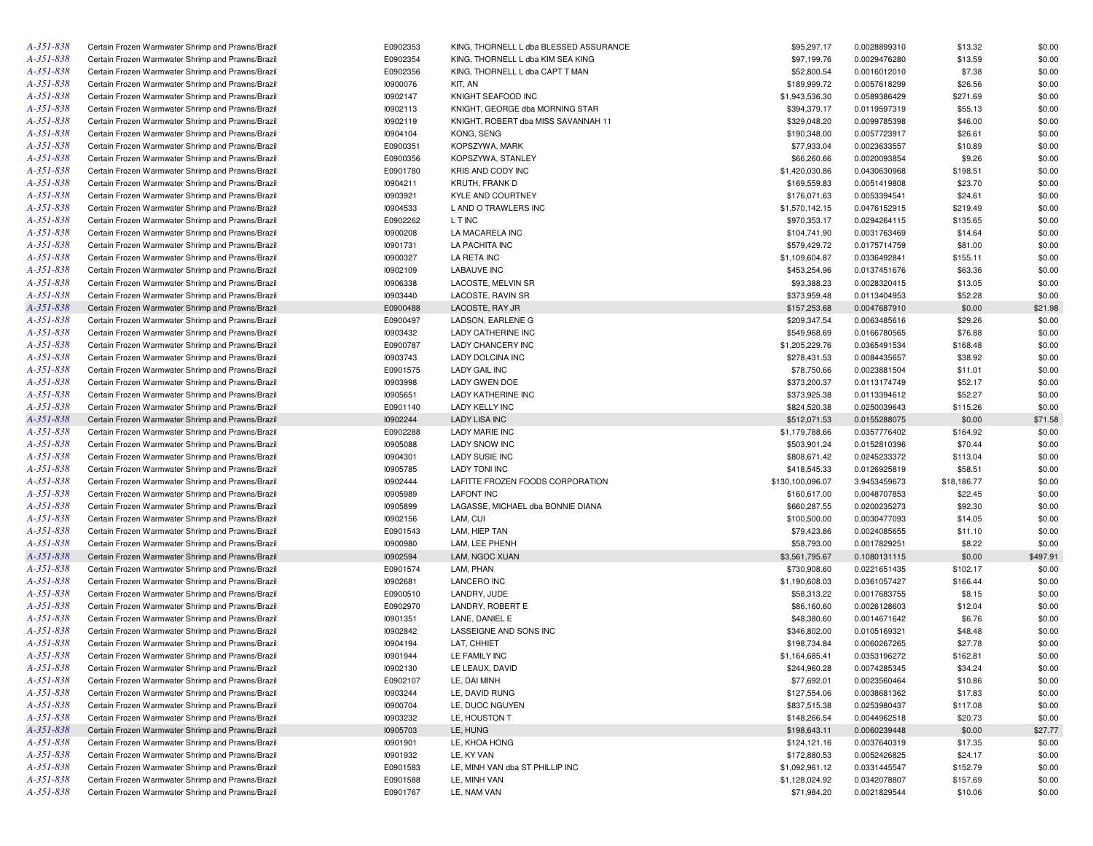| A-351-838       | Certain Frozen Warmwater Shrimp and Prawns/Brazil | E0902353 | KING, THORNELL L dba BLESSED ASSURANCE | \$95,297.17      | 0.0028899310 | \$13.32     | \$0.00   |
|-----------------|---------------------------------------------------|----------|----------------------------------------|------------------|--------------|-------------|----------|
| A-351-838       | Certain Frozen Warmwater Shrimp and Prawns/Brazil | E0902354 | KING, THORNELL L dba KIM SEA KING      | \$97,199.76      | 0.0029476280 | \$13.59     | \$0.00   |
| A-351-838       | Certain Frozen Warmwater Shrimp and Prawns/Brazil | E0902356 | KING, THORNELL L dba CAPT T MAN        | \$52,800.54      | 0.0016012010 | \$7.38      | \$0.00   |
| A-351-838       | Certain Frozen Warmwater Shrimp and Prawns/Brazil | 10900076 | KIT, AN                                | \$189,999.72     | 0.0057618299 | \$26.56     | \$0.00   |
| A-351-838       | Certain Frozen Warmwater Shrimp and Prawns/Brazil | 10902147 | KNIGHT SEAFOOD INC                     | \$1,943,536.30   | 0.0589386429 | \$271.69    | \$0.00   |
| A-351-838       | Certain Frozen Warmwater Shrimp and Prawns/Brazil | 10902113 | KNIGHT, GEORGE dba MORNING STAR        | \$394,379.17     | 0.0119597319 | \$55.13     | \$0.00   |
| A-351-838       | Certain Frozen Warmwater Shrimp and Prawns/Brazil | 10902119 | KNIGHT, ROBERT dba MISS SAVANNAH 11    | \$329,048.20     | 0.0099785398 | \$46.00     | \$0.00   |
| A-351-838       | Certain Frozen Warmwater Shrimp and Prawns/Brazil | 10904104 | KONG, SENG                             | \$190,348.00     | 0.0057723917 | \$26.61     | \$0.00   |
| A-351-838       | Certain Frozen Warmwater Shrimp and Prawns/Brazil | E0900351 | KOPSZYWA, MARK                         | \$77,933.04      | 0.0023633557 | \$10.89     | \$0.00   |
| A-351-838       | Certain Frozen Warmwater Shrimp and Prawns/Brazil | E0900356 | KOPSZYWA, STANLEY                      | \$66,260.66      | 0.0020093854 | \$9.26      | \$0.00   |
| A-351-838       | Certain Frozen Warmwater Shrimp and Prawns/Brazil | E0901780 | KRIS AND CODY INC                      | \$1,420,030.86   | 0.0430630968 | \$198.51    | \$0.00   |
| A-351-838       | Certain Frozen Warmwater Shrimp and Prawns/Brazil | 10904211 | KRUTH, FRANK D                         | \$169,559.83     | 0.0051419808 | \$23.70     | \$0.00   |
| A-351-838       | Certain Frozen Warmwater Shrimp and Prawns/Brazil | 10903921 | KYLE AND COURTNEY                      | \$176,071.63     | 0.0053394541 | \$24.61     | \$0.00   |
| A-351-838       | Certain Frozen Warmwater Shrimp and Prawns/Brazil | 10904533 | L AND O TRAWLERS INC                   | \$1,570,142.15   | 0.0476152915 | \$219.49    | \$0.00   |
| A-351-838       | Certain Frozen Warmwater Shrimp and Prawns/Brazil | E0902262 | L T INC                                | \$970,353.17     | 0.0294264115 | \$135.65    | \$0.00   |
| A-351-838       | Certain Frozen Warmwater Shrimp and Prawns/Brazil | 10900208 | LA MACARELA INC                        | \$104,741.90     | 0.0031763469 | \$14.64     | \$0.00   |
| A-351-838       | Certain Frozen Warmwater Shrimp and Prawns/Brazil | 10901731 | LA PACHITA INC                         | \$579,429.72     | 0.0175714759 | \$81.00     | \$0.00   |
| A-351-838       | Certain Frozen Warmwater Shrimp and Prawns/Brazil | 10900327 | LA RETA INC                            | \$1,109,604.87   | 0.0336492841 | \$155.11    | \$0.00   |
| A-351-838       | Certain Frozen Warmwater Shrimp and Prawns/Brazil | 10902109 | <b>LABAUVE INC</b>                     | \$453,254.96     | 0.0137451676 | \$63.36     | \$0.00   |
| A-351-838       | Certain Frozen Warmwater Shrimp and Prawns/Brazil | 10906338 | LACOSTE, MELVIN SR                     | \$93,388.23      | 0.0028320415 | \$13.05     | \$0.00   |
| A-351-838       | Certain Frozen Warmwater Shrimp and Prawns/Brazil | 10903440 | LACOSTE, RAVIN SR                      | \$373,959.48     | 0.0113404953 | \$52.28     | \$0.00   |
| A-351-838       | Certain Frozen Warmwater Shrimp and Prawns/Brazil | E0900488 | LACOSTE, RAY JR                        | \$157,253.68     | 0.0047687910 | \$0.00      | \$21.98  |
| $A - 351 - 838$ | Certain Frozen Warmwater Shrimp and Prawns/Brazil | E0900497 | LADSON, EARLENE G                      | \$209,347.54     | 0.0063485616 | \$29.26     | \$0.00   |
| A-351-838       | Certain Frozen Warmwater Shrimp and Prawns/Brazil | 10903432 | <b>LADY CATHERINE INC</b>              | \$549,968.69     | 0.0166780565 | \$76.88     | \$0.00   |
| A-351-838       | Certain Frozen Warmwater Shrimp and Prawns/Brazil | E0900787 | LADY CHANCERY INC                      | \$1,205,229.76   | 0.0365491534 | \$168.48    | \$0.00   |
| A-351-838       | Certain Frozen Warmwater Shrimp and Prawns/Brazil | 10903743 | LADY DOLCINA INC                       | \$278,431.53     | 0.0084435657 | \$38.92     | \$0.00   |
| A-351-838       | Certain Frozen Warmwater Shrimp and Prawns/Brazil | E0901575 | <b>LADY GAIL INC</b>                   | \$78,750.66      | 0.0023881504 | \$11.01     | \$0.00   |
| A-351-838       | Certain Frozen Warmwater Shrimp and Prawns/Brazil | 10903998 | LADY GWEN DOE                          | \$373,200.37     | 0.0113174749 | \$52.17     | \$0.00   |
| A-351-838       | Certain Frozen Warmwater Shrimp and Prawns/Brazil | 10905651 | LADY KATHERINE INC                     | \$373,925.38     | 0.0113394612 | \$52.27     | \$0.00   |
| A-351-838       | Certain Frozen Warmwater Shrimp and Prawns/Brazil | E0901140 | LADY KELLY INC                         | \$824,520.38     | 0.0250039643 | \$115.26    | \$0.00   |
| A-351-838       | Certain Frozen Warmwater Shrimp and Prawns/Brazil | 10902244 | <b>LADY LISA INC</b>                   | \$512,071.53     | 0.0155288075 | \$0.00      | \$71.58  |
| A-351-838       | Certain Frozen Warmwater Shrimp and Prawns/Brazil | E0902288 | <b>LADY MARIE INC</b>                  | \$1,179,788.66   | 0.0357776402 | \$164.92    | \$0.00   |
| A-351-838       | Certain Frozen Warmwater Shrimp and Prawns/Brazil | 10905088 | <b>LADY SNOW INC</b>                   | \$503,901.24     | 0.0152810396 | \$70.44     | \$0.00   |
| A-351-838       | Certain Frozen Warmwater Shrimp and Prawns/Brazil | 10904301 | <b>LADY SUSIE INC</b>                  | \$808,671.42     | 0.0245233372 | \$113.04    | \$0.00   |
| A-351-838       | Certain Frozen Warmwater Shrimp and Prawns/Brazil | 10905785 | <b>LADY TONI INC</b>                   | \$418,545.33     | 0.0126925819 | \$58.51     | \$0.00   |
| A-351-838       | Certain Frozen Warmwater Shrimp and Prawns/Brazil | 10902444 | LAFITTE FROZEN FOODS CORPORATION       | \$130,100,096.07 | 3.9453459673 | \$18,186.77 | \$0.00   |
| A-351-838       | Certain Frozen Warmwater Shrimp and Prawns/Brazil | 10905989 | <b>LAFONT INC</b>                      | \$160,617.00     | 0.0048707853 | \$22.45     | \$0.00   |
| A-351-838       | Certain Frozen Warmwater Shrimp and Prawns/Brazil | 10905899 | LAGASSE, MICHAEL dba BONNIE DIANA      | \$660,287.55     | 0.0200235273 | \$92.30     | \$0.00   |
| A-351-838       | Certain Frozen Warmwater Shrimp and Prawns/Brazil | 10902156 | LAM, CUI                               | \$100,500.00     | 0.0030477093 | \$14.05     | \$0.00   |
| A-351-838       | Certain Frozen Warmwater Shrimp and Prawns/Brazil | E0901543 | LAM, HIEP TAN                          | \$79,423.86      | 0.0024085655 | \$11.10     | \$0.00   |
| A-351-838       | Certain Frozen Warmwater Shrimp and Prawns/Brazil | 10900980 | LAM, LEE PHENH                         | \$58,793.00      | 0.0017829251 | \$8.22      | \$0.00   |
| A-351-838       | Certain Frozen Warmwater Shrimp and Prawns/Brazil | 10902594 | LAM, NGOC XUAN                         | \$3,561,795.67   | 0.1080131115 | \$0.00      | \$497.91 |
| $A - 351 - 838$ | Certain Frozen Warmwater Shrimp and Prawns/Brazil | E0901574 | LAM, PHAN                              | \$730,908.60     | 0.0221651435 | \$102.17    | \$0.00   |
| A-351-838       | Certain Frozen Warmwater Shrimp and Prawns/Brazil | 10902681 | <b>LANCERO INC</b>                     | \$1,190,608.03   | 0.0361057427 | \$166.44    | \$0.00   |
| A-351-838       | Certain Frozen Warmwater Shrimp and Prawns/Brazil | E0900510 | LANDRY, JUDE                           | \$58,313.22      | 0.0017683755 | \$8.15      | \$0.00   |
| A-351-838       | Certain Frozen Warmwater Shrimp and Prawns/Brazil | E0902970 | LANDRY, ROBERT E                       | \$86,160.60      | 0.0026128603 | \$12.04     | \$0.00   |
| A-351-838       | Certain Frozen Warmwater Shrimp and Prawns/Brazil | 10901351 | LANE, DANIEL E                         | \$48,380.60      | 0.0014671642 | \$6.76      | \$0.00   |
| A-351-838       | Certain Frozen Warmwater Shrimp and Prawns/Brazil | 10902842 | LASSEIGNE AND SONS INC                 | \$346,802.00     | 0.0105169321 | \$48.48     | \$0.00   |
| A-351-838       | Certain Frozen Warmwater Shrimp and Prawns/Brazil | 10904194 | LAT. CHHIET                            | \$198,734.84     | 0.0060267265 | \$27.78     | \$0.00   |
| $A - 35I - 838$ | Certain Frozen Warmwater Shrimp and Prawns/Brazil | 10901944 | LE FAMILY INC                          | \$1,164,685.41   | 0.0353196272 | \$162.81    | \$0.00   |
| A-351-838       | Certain Frozen Warmwater Shrimp and Prawns/Brazil | 10902130 | LE LEAUX, DAVID                        | \$244,960.28     | 0.0074285345 | \$34.24     | \$0.00   |
| $A - 351 - 838$ | Certain Frozen Warmwater Shrimp and Prawns/Brazil | E0902107 | LE, DAI MINH                           | \$77,692.01      | 0.0023560464 | \$10.86     | \$0.00   |
| A-351-838       | Certain Frozen Warmwater Shrimp and Prawns/Brazil | 10903244 | LE, DAVID RUNG                         | \$127,554.06     | 0.0038681362 | \$17.83     | \$0.00   |
| A-351-838       | Certain Frozen Warmwater Shrimp and Prawns/Brazil | 10900704 | LE, DUOC NGUYEN                        | \$837,515.38     | 0.0253980437 | \$117.08    | \$0.00   |
| $A - 351 - 838$ | Certain Frozen Warmwater Shrimp and Prawns/Brazil | 10903232 | LE, HOUSTON T                          | \$148,266.54     | 0.0044962518 | \$20.73     | \$0.00   |
| $A - 351 - 838$ | Certain Frozen Warmwater Shrimp and Prawns/Brazil | 10905703 | LE, HUNG                               | \$198,643.11     | 0.0060239448 | \$0.00      | \$27.77  |
| $A - 351 - 838$ | Certain Frozen Warmwater Shrimp and Prawns/Brazil | 10901901 | LE, KHOA HONG                          | \$124,121.16     | 0.0037640319 | \$17.35     | \$0.00   |
| $A - 351 - 838$ | Certain Frozen Warmwater Shrimp and Prawns/Brazil | 10901932 | LE, KY VAN                             | \$172,880.53     | 0.0052426825 | \$24.17     | \$0.00   |
| $A - 351 - 838$ | Certain Frozen Warmwater Shrimp and Prawns/Brazil | E0901583 | LE, MINH VAN dba ST PHILLIP INC        | \$1,092,961.12   | 0.0331445547 | \$152.79    | \$0.00   |
| A-351-838       | Certain Frozen Warmwater Shrimp and Prawns/Brazil | E0901588 | LE, MINH VAN                           | \$1,128,024.92   | 0.0342078807 | \$157.69    | \$0.00   |
| A-351-838       | Certain Frozen Warmwater Shrimp and Prawns/Brazil | E0901767 | LE, NAM VAN                            | \$71,984.20      | 0.0021829544 | \$10.06     | \$0.00   |
|                 |                                                   |          |                                        |                  |              |             |          |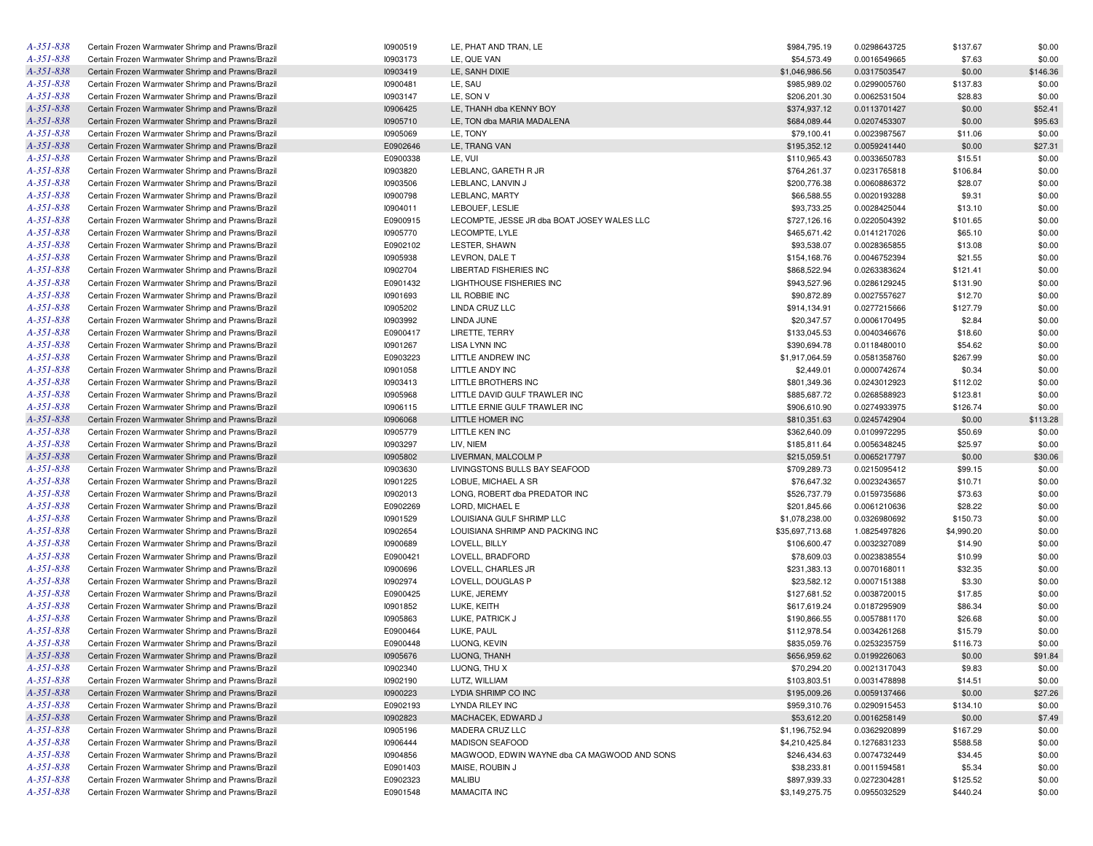| $A - 351 - 838$ | Certain Frozen Warmwater Shrimp and Prawns/Brazil | 10900519 | LE, PHAT AND TRAN, LE                        | \$984,795.19    | 0.0298643725 | \$137.67   | \$0.00   |
|-----------------|---------------------------------------------------|----------|----------------------------------------------|-----------------|--------------|------------|----------|
| $A - 351 - 838$ | Certain Frozen Warmwater Shrimp and Prawns/Brazil | 10903173 | LE, QUE VAN                                  | \$54,573.49     | 0.0016549665 | \$7.63     | \$0.00   |
| A-351-838       | Certain Frozen Warmwater Shrimp and Prawns/Brazil | 10903419 | LE, SANH DIXIE                               | \$1,046,986.56  | 0.0317503547 | \$0.00     | \$146.36 |
| A-351-838       | Certain Frozen Warmwater Shrimp and Prawns/Brazil | 10900481 | LE, SAU                                      | \$985,989.02    | 0.0299005760 | \$137.83   | \$0.00   |
| A-351-838       | Certain Frozen Warmwater Shrimp and Prawns/Brazil | 10903147 | LE, SON V                                    | \$206,201.30    | 0.0062531504 | \$28.83    | \$0.00   |
| $A - 351 - 838$ | Certain Frozen Warmwater Shrimp and Prawns/Brazil | 10906425 | LE, THANH dba KENNY BOY                      | \$374,937.12    | 0.0113701427 | \$0.00     | \$52.41  |
| A-351-838       | Certain Frozen Warmwater Shrimp and Prawns/Brazil | 10905710 | LE, TON dba MARIA MADALENA                   | \$684,089.44    | 0.0207453307 | \$0.00     | \$95.63  |
| A-351-838       | Certain Frozen Warmwater Shrimp and Prawns/Brazil | 10905069 | LE, TONY                                     | \$79,100.41     | 0.0023987567 | \$11.06    | \$0.00   |
| A-351-838       | Certain Frozen Warmwater Shrimp and Prawns/Brazil | E0902646 | LE, TRANG VAN                                | \$195,352.12    | 0.0059241440 | \$0.00     | \$27.31  |
| A-351-838       | Certain Frozen Warmwater Shrimp and Prawns/Brazil | E0900338 | LE, VUI                                      | \$110,965.43    | 0.0033650783 | \$15.51    | \$0.00   |
| A-351-838       | Certain Frozen Warmwater Shrimp and Prawns/Brazil | 10903820 | LEBLANC, GARETH R JR                         | \$764,261.37    | 0.0231765818 | \$106.84   | \$0.00   |
| A-351-838       | Certain Frozen Warmwater Shrimp and Prawns/Brazil | 10903506 | LEBLANC, LANVIN J                            | \$200,776.38    | 0.0060886372 | \$28.07    | \$0.00   |
| A-351-838       | Certain Frozen Warmwater Shrimp and Prawns/Brazil | 10900798 | LEBLANC, MARTY                               | \$66,588.55     | 0.0020193288 | \$9.31     | \$0.00   |
| A-351-838       | Certain Frozen Warmwater Shrimp and Prawns/Brazil | 10904011 | LEBOUEF, LESLIE                              | \$93,733.25     | 0.0028425044 | \$13.10    | \$0.00   |
| A-351-838       | Certain Frozen Warmwater Shrimp and Prawns/Brazil | E0900915 | LECOMPTE, JESSE JR dba BOAT JOSEY WALES LLC  | \$727,126.16    | 0.0220504392 | \$101.65   | \$0.00   |
| A-351-838       |                                                   | 10905770 | LECOMPTE. LYLE                               |                 | 0.0141217026 |            | \$0.00   |
| A-351-838       | Certain Frozen Warmwater Shrimp and Prawns/Brazil |          |                                              | \$465,671.42    |              | \$65.10    |          |
|                 | Certain Frozen Warmwater Shrimp and Prawns/Brazil | E0902102 | LESTER, SHAWN                                | \$93,538.07     | 0.0028365855 | \$13.08    | \$0.00   |
| A-351-838       | Certain Frozen Warmwater Shrimp and Prawns/Brazil | 10905938 | LEVRON, DALE T                               | \$154,168.76    | 0.0046752394 | \$21.55    | \$0.00   |
| A-351-838       | Certain Frozen Warmwater Shrimp and Prawns/Brazil | 10902704 | LIBERTAD FISHERIES INC                       | \$868,522.94    | 0.0263383624 | \$121.41   | \$0.00   |
| A-351-838       | Certain Frozen Warmwater Shrimp and Prawns/Brazil | E0901432 | LIGHTHOUSE FISHERIES INC                     | \$943,527.96    | 0.0286129245 | \$131.90   | \$0.00   |
| A-351-838       | Certain Frozen Warmwater Shrimp and Prawns/Brazil | 10901693 | LIL ROBBIE INC                               | \$90,872.89     | 0.0027557627 | \$12.70    | \$0.00   |
| A-351-838       | Certain Frozen Warmwater Shrimp and Prawns/Brazil | 10905202 | LINDA CRUZ LLC                               | \$914,134.91    | 0.0277215666 | \$127.79   | \$0.00   |
| A-351-838       | Certain Frozen Warmwater Shrimp and Prawns/Brazil | 10903992 | LINDA JUNE                                   | \$20,347.57     | 0.0006170495 | \$2.84     | \$0.00   |
| A-351-838       | Certain Frozen Warmwater Shrimp and Prawns/Brazil | E0900417 | LIRETTE, TERRY                               | \$133,045.53    | 0.0040346676 | \$18.60    | \$0.00   |
| A-351-838       | Certain Frozen Warmwater Shrimp and Prawns/Brazil | 10901267 | <b>LISA LYNN INC</b>                         | \$390,694.78    | 0.0118480010 | \$54.62    | \$0.00   |
| A-351-838       | Certain Frozen Warmwater Shrimp and Prawns/Brazil | E0903223 | LITTLE ANDREW INC                            | \$1,917,064.59  | 0.0581358760 | \$267.99   | \$0.00   |
| A-351-838       | Certain Frozen Warmwater Shrimp and Prawns/Brazil | 10901058 | LITTLE ANDY INC                              | \$2,449.01      | 0.0000742674 | \$0.34     | \$0.00   |
| A-351-838       | Certain Frozen Warmwater Shrimp and Prawns/Brazil | 10903413 | LITTLE BROTHERS INC                          | \$801,349.36    | 0.0243012923 | \$112.02   | \$0.00   |
| A-351-838       | Certain Frozen Warmwater Shrimp and Prawns/Brazil | 10905968 | LITTLE DAVID GULF TRAWLER INC                | \$885,687.72    | 0.0268588923 | \$123.81   | \$0.00   |
| A-351-838       | Certain Frozen Warmwater Shrimp and Prawns/Brazil | 10906115 | LITTLE ERNIE GULF TRAWLER INC                | \$906,610.90    | 0.0274933975 | \$126.74   | \$0.00   |
| A-351-838       | Certain Frozen Warmwater Shrimp and Prawns/Brazil | 10906068 | LITTLE HOMER INC                             | \$810,351.63    | 0.0245742904 | \$0.00     | \$113.28 |
| A-351-838       | Certain Frozen Warmwater Shrimp and Prawns/Brazil | 10905779 | LITTLE KEN INC                               | \$362,640.09    | 0.0109972295 | \$50.69    | \$0.00   |
| A-351-838       | Certain Frozen Warmwater Shrimp and Prawns/Brazil | 10903297 | LIV, NIEM                                    | \$185,811.64    | 0.0056348245 | \$25.97    | \$0.00   |
| $A - 351 - 838$ | Certain Frozen Warmwater Shrimp and Prawns/Brazil | 10905802 | LIVERMAN, MALCOLM P                          | \$215,059.51    | 0.0065217797 | \$0.00     | \$30.06  |
| A-351-838       | Certain Frozen Warmwater Shrimp and Prawns/Brazil | 10903630 | LIVINGSTONS BULLS BAY SEAFOOD                | \$709,289.73    | 0.0215095412 | \$99.15    | \$0.00   |
| A-351-838       | Certain Frozen Warmwater Shrimp and Prawns/Brazil | 10901225 | LOBUE, MICHAEL A SR                          | \$76,647.32     | 0.0023243657 | \$10.71    | \$0.00   |
| A-351-838       | Certain Frozen Warmwater Shrimp and Prawns/Brazil | 10902013 | LONG, ROBERT dba PREDATOR INC                | \$526,737.79    | 0.0159735686 | \$73.63    | \$0.00   |
| A-351-838       | Certain Frozen Warmwater Shrimp and Prawns/Brazil | E0902269 | LORD, MICHAEL E                              | \$201,845.66    | 0.0061210636 | \$28.22    | \$0.00   |
| A-351-838       | Certain Frozen Warmwater Shrimp and Prawns/Brazil | 10901529 | LOUISIANA GULF SHRIMP LLC                    | \$1,078,238.00  | 0.0326980692 | \$150.73   | \$0.00   |
| A-351-838       | Certain Frozen Warmwater Shrimp and Prawns/Brazil | 10902654 | LOUISIANA SHRIMP AND PACKING INC             | \$35,697,713.68 | 1.0825497826 | \$4,990.20 | \$0.00   |
| A-351-838       | Certain Frozen Warmwater Shrimp and Prawns/Brazil | 10900689 | LOVELL, BILLY                                | \$106,600.47    | 0.0032327089 | \$14.90    | \$0.00   |
| A-351-838       | Certain Frozen Warmwater Shrimp and Prawns/Brazil | E0900421 | LOVELL, BRADFORD                             | \$78,609.03     | 0.0023838554 | \$10.99    | \$0.00   |
| A-351-838       |                                                   |          |                                              |                 |              |            |          |
|                 | Certain Frozen Warmwater Shrimp and Prawns/Brazil | 10900696 | LOVELL, CHARLES JR<br>LOVELL, DOUGLAS P      | \$231,383.13    | 0.0070168011 | \$32.35    | \$0.00   |
| A-351-838       | Certain Frozen Warmwater Shrimp and Prawns/Brazil | 10902974 |                                              | \$23,582.12     | 0.0007151388 | \$3.30     | \$0.00   |
| A-351-838       | Certain Frozen Warmwater Shrimp and Prawns/Brazil | E0900425 | LUKE, JEREMY                                 | \$127,681.52    | 0.0038720015 | \$17.85    | \$0.00   |
| A-351-838       | Certain Frozen Warmwater Shrimp and Prawns/Brazil | 10901852 | LUKE, KEITH                                  | \$617,619.24    | 0.0187295909 | \$86.34    | \$0.00   |
| A-351-838       | Certain Frozen Warmwater Shrimp and Prawns/Brazil | 10905863 | LUKE, PATRICK J                              | \$190,866.55    | 0.0057881170 | \$26.68    | \$0.00   |
| A-351-838       | Certain Frozen Warmwater Shrimp and Prawns/Brazil | E0900464 | LUKE, PAUL                                   | \$112,978.54    | 0.0034261268 | \$15.79    | \$0.00   |
| A-351-838       | Certain Frozen Warmwater Shrimp and Prawns/Brazil | E0900448 | LUONG, KEVIN                                 | \$835,059.76    | 0.0253235759 | \$116.73   | \$0.00   |
| A-351-838       | Certain Frozen Warmwater Shrimp and Prawns/Brazil | 10905676 | LUONG. THANH                                 | \$656,959.62    | 0.0199226063 | \$0.00     | \$91.84  |
| $A - 351 - 838$ | Certain Frozen Warmwater Shrimp and Prawns/Brazil | 10902340 | LUONG, THU X                                 | \$70,294.20     | 0.0021317043 | \$9.83     | \$0.00   |
| $A - 351 - 838$ | Certain Frozen Warmwater Shrimp and Prawns/Brazil | 10902190 | LUTZ, WILLIAM                                | \$103,803.51    | 0.0031478898 | \$14.51    | \$0.00   |
| A-351-838       | Certain Frozen Warmwater Shrimp and Prawns/Brazil | 10900223 | LYDIA SHRIMP CO INC                          | \$195,009.26    | 0.0059137466 | \$0.00     | \$27.26  |
| $A - 351 - 838$ | Certain Frozen Warmwater Shrimp and Prawns/Brazil | E0902193 | LYNDA RILEY INC                              | \$959,310.76    | 0.0290915453 | \$134.10   | \$0.00   |
| A-351-838       | Certain Frozen Warmwater Shrimp and Prawns/Brazil | 10902823 | MACHACEK, EDWARD J                           | \$53,612.20     | 0.0016258149 | \$0.00     | \$7.49   |
| $A - 351 - 838$ | Certain Frozen Warmwater Shrimp and Prawns/Brazil | 10905196 | MADERA CRUZ LLC                              | \$1,196,752.94  | 0.0362920899 | \$167.29   | \$0.00   |
| A-351-838       | Certain Frozen Warmwater Shrimp and Prawns/Brazil | 10906444 | <b>MADISON SEAFOOD</b>                       | \$4,210,425.84  | 0.1276831233 | \$588.58   | \$0.00   |
| $A - 351 - 838$ | Certain Frozen Warmwater Shrimp and Prawns/Brazil | 10904856 | MAGWOOD, EDWIN WAYNE dba CA MAGWOOD AND SONS | \$246,434.63    | 0.0074732449 | \$34.45    | \$0.00   |
| A-351-838       | Certain Frozen Warmwater Shrimp and Prawns/Brazil | E0901403 | MAISE, ROUBIN J                              | \$38,233.81     | 0.0011594581 | \$5.34     | \$0.00   |
| $A - 351 - 838$ | Certain Frozen Warmwater Shrimp and Prawns/Brazil | E0902323 | MALIBU                                       | \$897,939.33    | 0.0272304281 | \$125.52   | \$0.00   |
| $A - 351 - 838$ | Certain Frozen Warmwater Shrimp and Prawns/Brazil | E0901548 | <b>MAMACITA INC</b>                          | \$3,149,275.75  | 0.0955032529 | \$440.24   | \$0.00   |
|                 |                                                   |          |                                              |                 |              |            |          |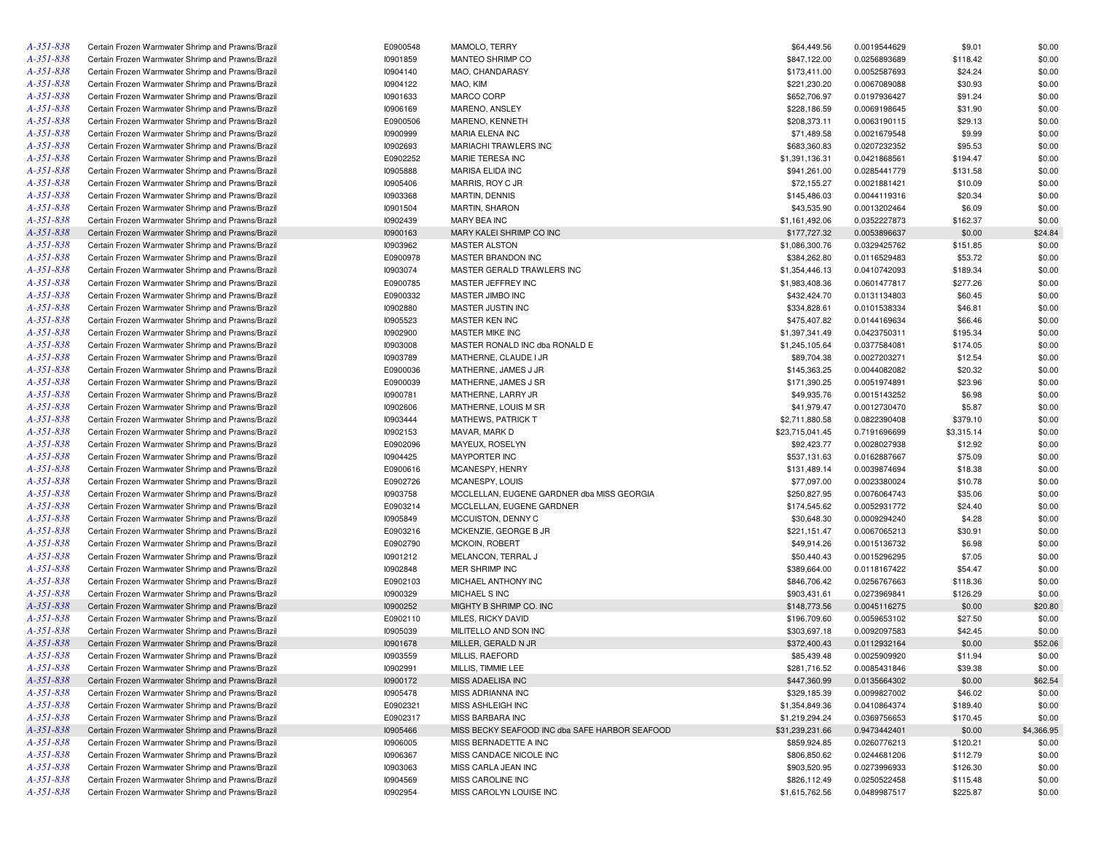| A-351-838       | Certain Frozen Warmwater Shrimp and Prawns/Brazil | E0900548 | MAMOLO, TERRY                                  | \$64,449.56     | 0.0019544629                 | \$9.01     | \$0.00     |
|-----------------|---------------------------------------------------|----------|------------------------------------------------|-----------------|------------------------------|------------|------------|
| A-351-838       | Certain Frozen Warmwater Shrimp and Prawns/Brazil | 10901859 | MANTEO SHRIMP CO                               | \$847,122.00    | 0.0256893689                 | \$118.42   | \$0.00     |
| A-351-838       | Certain Frozen Warmwater Shrimp and Prawns/Brazil | 10904140 | MAO, CHANDARASY                                | \$173,411.00    | 0.0052587693                 | \$24.24    | \$0.00     |
| A-351-838       | Certain Frozen Warmwater Shrimp and Prawns/Brazil | 10904122 | MAO, KIM                                       | \$221,230.20    | 0.0067089088                 | \$30.93    | \$0.00     |
| A-351-838       | Certain Frozen Warmwater Shrimp and Prawns/Brazil | 10901633 | MARCO CORP                                     | \$652,706.97    | 0.0197936427                 | \$91.24    | \$0.00     |
| A-351-838       | Certain Frozen Warmwater Shrimp and Prawns/Brazil | 10906169 | MARENO, ANSLEY                                 | \$228,186.59    | 0.0069198645                 | \$31.90    | \$0.00     |
| A-351-838       | Certain Frozen Warmwater Shrimp and Prawns/Brazil | E0900506 | MARENO, KENNETH                                | \$208,373.11    | 0.0063190115                 | \$29.13    | \$0.00     |
| A-351-838       | Certain Frozen Warmwater Shrimp and Prawns/Brazil | 10900999 | MARIA ELENA INC                                | \$71,489.58     | 0.0021679548                 | \$9.99     | \$0.00     |
| A-351-838       | Certain Frozen Warmwater Shrimp and Prawns/Brazil | 10902693 | MARIACHI TRAWLERS INC                          | \$683,360.83    | 0.0207232352                 | \$95.53    | \$0.00     |
| A-351-838       | Certain Frozen Warmwater Shrimp and Prawns/Brazil | E0902252 | MARIE TERESA INC                               | \$1,391,136.31  | 0.0421868561                 | \$194.47   | \$0.00     |
| A-351-838       | Certain Frozen Warmwater Shrimp and Prawns/Brazil | 10905888 | <b>MARISA ELIDA INC</b>                        | \$941,261.00    | 0.0285441779                 | \$131.58   | \$0.00     |
| A-351-838       | Certain Frozen Warmwater Shrimp and Prawns/Brazil | 10905406 | MARRIS, ROY C JR                               | \$72,155.27     | 0.0021881421                 | \$10.09    | \$0.00     |
| A-351-838       | Certain Frozen Warmwater Shrimp and Prawns/Brazil | 10903368 | <b>MARTIN, DENNIS</b>                          | \$145,486.03    | 0.0044119316                 | \$20.34    | \$0.00     |
| A-351-838       | Certain Frozen Warmwater Shrimp and Prawns/Brazil | 10901504 | <b>MARTIN, SHARON</b>                          | \$43,535.90     | 0.0013202464                 | \$6.09     | \$0.00     |
| A-351-838       | Certain Frozen Warmwater Shrimp and Prawns/Brazil | 10902439 | MARY BEA INC                                   | \$1,161,492.06  | 0.0352227873                 | \$162.37   | \$0.00     |
| A-351-838       | Certain Frozen Warmwater Shrimp and Prawns/Brazil | 10900163 | MARY KALEI SHRIMP CO INC                       | \$177,727.32    | 0.0053896637                 | \$0.00     | \$24.84    |
| A-351-838       | Certain Frozen Warmwater Shrimp and Prawns/Brazil | 10903962 | <b>MASTER ALSTON</b>                           | \$1,086,300.76  | 0.0329425762                 | \$151.85   | \$0.00     |
| A-351-838       | Certain Frozen Warmwater Shrimp and Prawns/Brazil | E0900978 | MASTER BRANDON INC                             | \$384,262.80    | 0.0116529483                 | \$53.72    | \$0.00     |
| A-351-838       | Certain Frozen Warmwater Shrimp and Prawns/Brazil | 10903074 | MASTER GERALD TRAWLERS INC                     | \$1,354,446.13  | 0.0410742093                 | \$189.34   | \$0.00     |
| A-351-838       | Certain Frozen Warmwater Shrimp and Prawns/Brazil | E0900785 | MASTER JEFFREY INC                             | \$1,983,408.36  | 0.0601477817                 | \$277.26   | \$0.00     |
| A-351-838       | Certain Frozen Warmwater Shrimp and Prawns/Brazil | E0900332 | MASTER JIMBO INC                               | \$432,424.70    | 0.0131134803                 | \$60.45    | \$0.00     |
| A-351-838       | Certain Frozen Warmwater Shrimp and Prawns/Brazil | 10902880 | MASTER JUSTIN INC                              | \$334,828.61    | 0.0101538334                 | \$46.81    | \$0.00     |
| A-351-838       | Certain Frozen Warmwater Shrimp and Prawns/Brazil | 10905523 | MASTER KEN INC                                 | \$475,407.82    | 0.0144169634                 | \$66.46    | \$0.00     |
| A-351-838       | Certain Frozen Warmwater Shrimp and Prawns/Brazil | 10902900 | MASTER MIKE INC                                | \$1,397,341.49  | 0.0423750311                 | \$195.34   | \$0.00     |
| A-351-838       | Certain Frozen Warmwater Shrimp and Prawns/Brazil | 10903008 | MASTER RONALD INC dba RONALD E                 | \$1,245,105.64  | 0.0377584081                 | \$174.05   | \$0.00     |
| A-351-838       | Certain Frozen Warmwater Shrimp and Prawns/Brazil | 10903789 | MATHERNE, CLAUDE I JR                          |                 | 0.0027203271                 | \$12.54    | \$0.00     |
| A-351-838       | Certain Frozen Warmwater Shrimp and Prawns/Brazil | E0900036 |                                                | \$89,704.38     |                              |            |            |
| A-351-838       | Certain Frozen Warmwater Shrimp and Prawns/Brazil |          | MATHERNE, JAMES J JR                           | \$145,363.25    | 0.0044082082<br>0.0051974891 | \$20.32    | \$0.00     |
| A-351-838       |                                                   | E0900039 | MATHERNE, JAMES J SR                           | \$171,390.25    |                              | \$23.96    | \$0.00     |
| A-351-838       | Certain Frozen Warmwater Shrimp and Prawns/Brazil | 10900781 | MATHERNE, LARRY JR                             | \$49,935.76     | 0.0015143252                 | \$6.98     | \$0.00     |
|                 | Certain Frozen Warmwater Shrimp and Prawns/Brazil | 10902606 | MATHERNE, LOUIS M SR                           | \$41,979.47     | 0.0012730470                 | \$5.87     | \$0.00     |
| A-351-838       | Certain Frozen Warmwater Shrimp and Prawns/Brazil | 10903444 | <b>MATHEWS, PATRICK T</b>                      | \$2,711,880.58  | 0.0822390408                 | \$379.10   | \$0.00     |
| A-351-838       | Certain Frozen Warmwater Shrimp and Prawns/Brazil | 10902153 | MAVAR, MARK D                                  | \$23,715,041.45 | 0.7191696699                 | \$3,315.14 | \$0.00     |
| A-351-838       | Certain Frozen Warmwater Shrimp and Prawns/Brazil | E0902096 | MAYEUX, ROSELYN                                | \$92,423.77     | 0.0028027938                 | \$12.92    | \$0.00     |
| A-351-838       | Certain Frozen Warmwater Shrimp and Prawns/Brazil | 10904425 | <b>MAYPORTER INC</b>                           | \$537,131.63    | 0.0162887667                 | \$75.09    | \$0.00     |
| A-351-838       | Certain Frozen Warmwater Shrimp and Prawns/Brazil | E0900616 | MCANESPY, HENRY                                | \$131,489.14    | 0.0039874694                 | \$18.38    | \$0.00     |
| A-351-838       | Certain Frozen Warmwater Shrimp and Prawns/Brazil | E0902726 | MCANESPY, LOUIS                                | \$77,097.00     | 0.0023380024                 | \$10.78    | \$0.00     |
| A-351-838       | Certain Frozen Warmwater Shrimp and Prawns/Brazil | 10903758 | MCCLELLAN, EUGENE GARDNER dba MISS GEORGIA     | \$250,827.95    | 0.0076064743                 | \$35.06    | \$0.00     |
| A-351-838       | Certain Frozen Warmwater Shrimp and Prawns/Brazil | E0903214 | MCCLELLAN, EUGENE GARDNER                      | \$174,545.62    | 0.0052931772                 | \$24.40    | \$0.00     |
| A-351-838       | Certain Frozen Warmwater Shrimp and Prawns/Brazil | 10905849 | MCCUISTON, DENNY C                             | \$30,648.30     | 0.0009294240                 | \$4.28     | \$0.00     |
| A-351-838       | Certain Frozen Warmwater Shrimp and Prawns/Brazil | E0903216 | MCKENZIE, GEORGE B JR                          | \$221,151.47    | 0.0067065213                 | \$30.91    | \$0.00     |
| A-351-838       | Certain Frozen Warmwater Shrimp and Prawns/Brazil | E0902790 | <b>MCKOIN, ROBERT</b>                          | \$49,914.26     | 0.0015136732                 | \$6.98     | \$0.00     |
| A-351-838       | Certain Frozen Warmwater Shrimp and Prawns/Brazil | 10901212 | MELANCON, TERRAL J                             | \$50,440.43     | 0.0015296295                 | \$7.05     | \$0.00     |
| A-351-838       | Certain Frozen Warmwater Shrimp and Prawns/Brazil | 10902848 | MER SHRIMP INC                                 | \$389,664.00    | 0.0118167422                 | \$54.47    | \$0.00     |
| A-351-838       | Certain Frozen Warmwater Shrimp and Prawns/Brazil | E0902103 | MICHAEL ANTHONY INC                            | \$846,706.42    | 0.0256767663                 | \$118.36   | \$0.00     |
| A-351-838       | Certain Frozen Warmwater Shrimp and Prawns/Brazil | 10900329 | MICHAEL S INC                                  | \$903,431.61    | 0.0273969841                 | \$126.29   | \$0.00     |
| A-351-838       | Certain Frozen Warmwater Shrimp and Prawns/Brazil | 10900252 | MIGHTY B SHRIMP CO. INC                        | \$148,773.56    | 0.0045116275                 | \$0.00     | \$20.80    |
| $A - 35I - 838$ | Certain Frozen Warmwater Shrimp and Prawns/Brazil | E0902110 | MILES, RICKY DAVID                             | \$196,709.60    | 0.0059653102                 | \$27.50    | \$0.00     |
| A-351-838       | Certain Frozen Warmwater Shrimp and Prawns/Brazil | 10905039 | MILITELLO AND SON INC                          | \$303,697.18    | 0.0092097583                 | \$42.45    | \$0.00     |
| $A - 35I - 838$ | Certain Frozen Warmwater Shrimp and Prawns/Brazil | 10901678 | MILLER, GERALD N JR                            | \$372,400.43    | 0.0112932164                 | \$0.00     | \$52.06    |
| $A - 35I - 838$ | Certain Frozen Warmwater Shrimp and Prawns/Brazil | 10903559 | MILLIS, RAEFORD                                | \$85,439.48     | 0.0025909920                 | \$11.94    | \$0.00     |
| A-351-838       | Certain Frozen Warmwater Shrimp and Prawns/Brazil | 10902991 | MILLIS, TIMMIE LEE                             | \$281,716.52    | 0.0085431846                 | \$39.38    | \$0.00     |
| $A - 35I - 838$ | Certain Frozen Warmwater Shrimp and Prawns/Brazil | 10900172 | MISS ADAELISA INC                              | \$447,360.99    | 0.0135664302                 | \$0.00     | \$62.54    |
| $A - 35I - 838$ | Certain Frozen Warmwater Shrimp and Prawns/Brazil | 10905478 | MISS ADRIANNA INC                              | \$329,185.39    | 0.0099827002                 | \$46.02    | \$0.00     |
| $A - 35I - 838$ | Certain Frozen Warmwater Shrimp and Prawns/Brazil | E0902321 | MISS ASHLEIGH INC                              | \$1,354,849.36  | 0.0410864374                 | \$189.40   | \$0.00     |
| A-351-838       | Certain Frozen Warmwater Shrimp and Prawns/Brazil | E0902317 | MISS BARBARA INC                               | \$1,219,294.24  | 0.0369756653                 | \$170.45   | \$0.00     |
| $A - 35I - 838$ | Certain Frozen Warmwater Shrimp and Prawns/Brazil | 10905466 | MISS BECKY SEAFOOD INC dba SAFE HARBOR SEAFOOD | \$31,239,231.66 | 0.9473442401                 | \$0.00     | \$4,366.95 |
| A-351-838       | Certain Frozen Warmwater Shrimp and Prawns/Brazil | 10906005 | MISS BERNADETTE A INC                          | \$859,924.85    | 0.0260776213                 | \$120.21   | \$0.00     |
| A-351-838       | Certain Frozen Warmwater Shrimp and Prawns/Brazil | 10906367 | MISS CANDACE NICOLE INC                        | \$806,850.62    | 0.0244681206                 | \$112.79   | \$0.00     |
| A-351-838       | Certain Frozen Warmwater Shrimp and Prawns/Brazil | 10903063 | MISS CARLA JEAN INC                            | \$903,520.95    | 0.0273996933                 | \$126.30   | \$0.00     |
| A-351-838       | Certain Frozen Warmwater Shrimp and Prawns/Brazil | 10904569 | MISS CAROLINE INC                              | \$826,112.49    | 0.0250522458                 | \$115.48   | \$0.00     |
| $A - 35I - 838$ | Certain Frozen Warmwater Shrimp and Prawns/Brazil | 10902954 | MISS CAROLYN LOUISE INC                        | \$1,615,762.56  | 0.0489987517                 | \$225.87   | \$0.00     |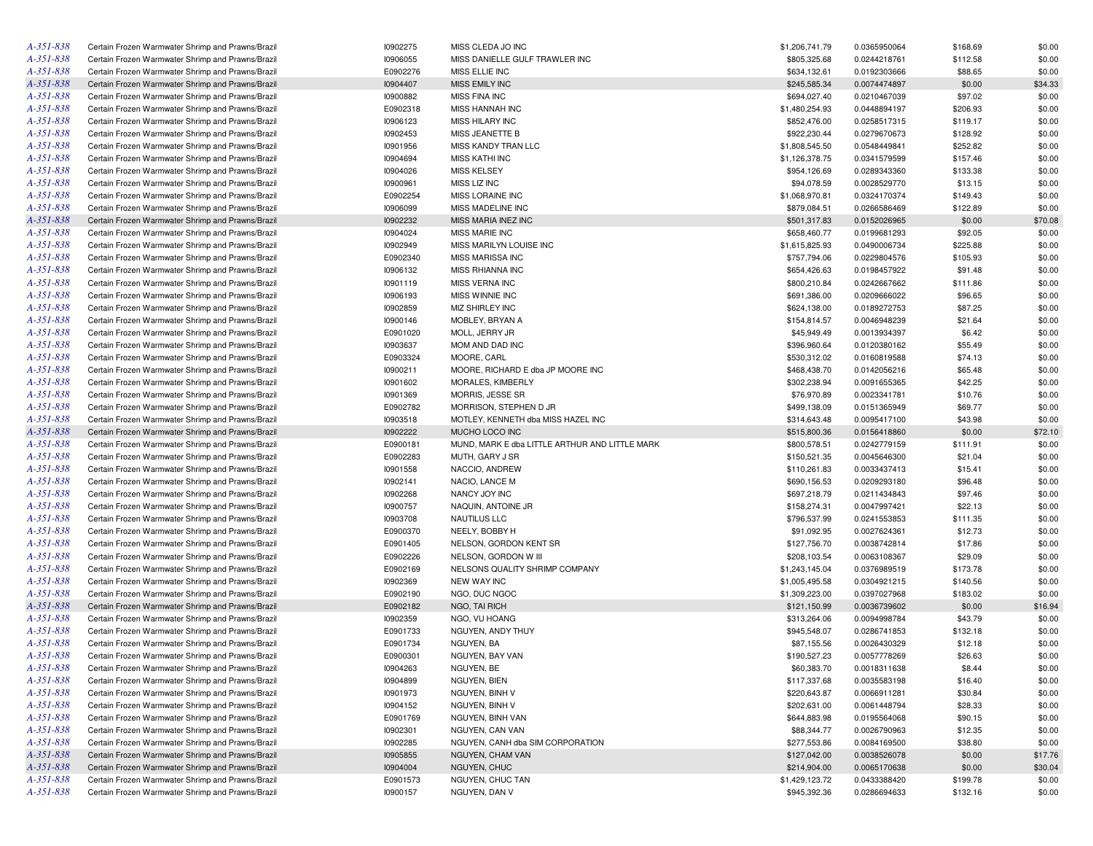| A-351-838       | Certain Frozen Warmwater Shrimp and Prawns/Brazil | I0902275        | MISS CLEDA JO INC                              | \$1,206,741.79 | 0.0365950064 | \$168.69 | \$0.00  |
|-----------------|---------------------------------------------------|-----------------|------------------------------------------------|----------------|--------------|----------|---------|
| $A - 35I - 838$ | Certain Frozen Warmwater Shrimp and Prawns/Brazil | <b>I0906055</b> | MISS DANIELLE GULF TRAWLER INC                 | \$805,325.68   | 0.0244218761 | \$112.58 | \$0.00  |
| A-351-838       | Certain Frozen Warmwater Shrimp and Prawns/Brazil | E0902276        | MISS ELLIE INC                                 | \$634,132.61   | 0.0192303666 | \$88.65  | \$0.00  |
| A-351-838       | Certain Frozen Warmwater Shrimp and Prawns/Brazil | 10904407        | <b>MISS EMILY INC</b>                          | \$245,585.34   | 0.0074474897 | \$0.00   | \$34.33 |
| A-351-838       | Certain Frozen Warmwater Shrimp and Prawns/Brazil | 10900882        | MISS FINA INC                                  | \$694,027.40   | 0.0210467039 | \$97.02  | \$0.00  |
| A-351-838       | Certain Frozen Warmwater Shrimp and Prawns/Brazil | E0902318        | <b>MISS HANNAH INC</b>                         | \$1,480,254.93 | 0.0448894197 | \$206.93 | \$0.00  |
| $A - 35I - 838$ | Certain Frozen Warmwater Shrimp and Prawns/Brazil | 10906123        | <b>MISS HILARY INC</b>                         | \$852,476.00   | 0.0258517315 | \$119.17 | \$0.00  |
| A-351-838       | Certain Frozen Warmwater Shrimp and Prawns/Brazil | 10902453        | MISS JEANETTE B                                | \$922,230.44   | 0.0279670673 | \$128.92 | \$0.00  |
| $A - 35I - 838$ | Certain Frozen Warmwater Shrimp and Prawns/Brazil | 10901956        | MISS KANDY TRAN LLC                            | \$1,808,545.50 | 0.0548449841 | \$252.82 | \$0.00  |
| A-351-838       | Certain Frozen Warmwater Shrimp and Prawns/Brazil | 10904694        | <b>MISS KATHI INC</b>                          | \$1,126,378.75 | 0.0341579599 | \$157.46 | \$0.00  |
| A-351-838       | Certain Frozen Warmwater Shrimp and Prawns/Brazil | 10904026        | <b>MISS KELSEY</b>                             | \$954,126.69   | 0.0289343360 | \$133.38 | \$0.00  |
| A-351-838       | Certain Frozen Warmwater Shrimp and Prawns/Brazil | 10900961        | MISS LIZ INC                                   | \$94,078.59    | 0.0028529770 | \$13.15  | \$0.00  |
| A-351-838       | Certain Frozen Warmwater Shrimp and Prawns/Brazil | E0902254        | MISS LORAINE INC                               | \$1,068,970.81 | 0.0324170374 | \$149.43 | \$0.00  |
| A-351-838       | Certain Frozen Warmwater Shrimp and Prawns/Brazil | 10906099        | MISS MADELINE INC                              | \$879,084.51   | 0.0266586469 | \$122.89 | \$0.00  |
| A-351-838       | Certain Frozen Warmwater Shrimp and Prawns/Brazil | 10902232        | MISS MARIA INEZ INC                            | \$501,317.83   | 0.0152026965 | \$0.00   | \$70.08 |
| A-351-838       | Certain Frozen Warmwater Shrimp and Prawns/Brazil | 10904024        | <b>MISS MARIE INC</b>                          | \$658,460.77   | 0.0199681293 | \$92.05  | \$0.00  |
| A-351-838       | Certain Frozen Warmwater Shrimp and Prawns/Brazil | 10902949        | MISS MARILYN LOUISE INC                        | \$1,615,825.93 | 0.0490006734 | \$225.88 | \$0.00  |
| A-351-838       | Certain Frozen Warmwater Shrimp and Prawns/Brazil | E0902340        | <b>MISS MARISSA INC</b>                        |                |              |          |         |
|                 |                                                   |                 |                                                | \$757,794.06   | 0.0229804576 | \$105.93 | \$0.00  |
| A-351-838       | Certain Frozen Warmwater Shrimp and Prawns/Brazil | 10906132        | <b>MISS RHIANNA INC</b>                        | \$654,426.63   | 0.0198457922 | \$91.48  | \$0.00  |
| A-351-838       | Certain Frozen Warmwater Shrimp and Prawns/Brazil | 10901119        | MISS VERNA INC                                 | \$800,210.84   | 0.0242667662 | \$111.86 | \$0.00  |
| $A - 35I - 838$ | Certain Frozen Warmwater Shrimp and Prawns/Brazil | 10906193        | MISS WINNIE INC                                | \$691,386.00   | 0.0209666022 | \$96.65  | \$0.00  |
| A-351-838       | Certain Frozen Warmwater Shrimp and Prawns/Brazil | 10902859        | MIZ SHIRLEY INC                                | \$624,138.00   | 0.0189272753 | \$87.25  | \$0.00  |
| A-351-838       | Certain Frozen Warmwater Shrimp and Prawns/Brazil | 10900146        | MOBLEY, BRYAN A                                | \$154,814.57   | 0.0046948239 | \$21.64  | \$0.00  |
| A-351-838       | Certain Frozen Warmwater Shrimp and Prawns/Brazil | E0901020        | MOLL, JERRY JR                                 | \$45,949.49    | 0.0013934397 | \$6.42   | \$0.00  |
| A-351-838       | Certain Frozen Warmwater Shrimp and Prawns/Brazil | 10903637        | MOM AND DAD INC                                | \$396,960.64   | 0.0120380162 | \$55.49  | \$0.00  |
| A-351-838       | Certain Frozen Warmwater Shrimp and Prawns/Brazil | E0903324        | MOORE, CARL                                    | \$530,312.02   | 0.0160819588 | \$74.13  | \$0.00  |
| A-351-838       | Certain Frozen Warmwater Shrimp and Prawns/Brazil | 10900211        | MOORE, RICHARD E dba JP MOORE INC              | \$468,438.70   | 0.0142056216 | \$65.48  | \$0.00  |
| A-351-838       | Certain Frozen Warmwater Shrimp and Prawns/Brazil | 10901602        | MORALES, KIMBERLY                              | \$302,238.94   | 0.0091655365 | \$42.25  | \$0.00  |
| A-351-838       | Certain Frozen Warmwater Shrimp and Prawns/Brazil | 10901369        | MORRIS, JESSE SR                               | \$76,970.89    | 0.0023341781 | \$10.76  | \$0.00  |
| A-351-838       | Certain Frozen Warmwater Shrimp and Prawns/Brazil | E0902782        | MORRISON, STEPHEN D JR                         | \$499,138.09   | 0.0151365949 | \$69.77  | \$0.00  |
| A-351-838       | Certain Frozen Warmwater Shrimp and Prawns/Brazil | 10903518        | MOTLEY, KENNETH dba MISS HAZEL INC             | \$314,643.48   | 0.0095417100 | \$43.98  | \$0.00  |
| A-351-838       | Certain Frozen Warmwater Shrimp and Prawns/Brazil | 10902222        | MUCHO LOCO INC                                 | \$515,800.36   | 0.0156418860 | \$0.00   | \$72.10 |
| A-351-838       | Certain Frozen Warmwater Shrimp and Prawns/Brazil | E0900181        | MUND, MARK E dba LITTLE ARTHUR AND LITTLE MARK | \$800,578.51   | 0.0242779159 | \$111.91 | \$0.00  |
| A-351-838       | Certain Frozen Warmwater Shrimp and Prawns/Brazil | E0902283        | MUTH, GARY J SR                                | \$150,521.35   | 0.0045646300 | \$21.04  | \$0.00  |
| A-351-838       | Certain Frozen Warmwater Shrimp and Prawns/Brazil | 10901558        | NACCIO, ANDREW                                 | \$110,261.83   | 0.0033437413 | \$15.41  | \$0.00  |
| A-351-838       | Certain Frozen Warmwater Shrimp and Prawns/Brazil | 10902141        | NACIO, LANCE M                                 | \$690,156.53   | 0.0209293180 | \$96.48  | \$0.00  |
| A-351-838       | Certain Frozen Warmwater Shrimp and Prawns/Brazil | 10902268        | NANCY JOY INC                                  | \$697,218.79   | 0.0211434843 | \$97.46  | \$0.00  |
| A-351-838       | Certain Frozen Warmwater Shrimp and Prawns/Brazil | 10900757        | NAQUIN, ANTOINE JR                             | \$158,274.31   | 0.0047997421 | \$22.13  | \$0.00  |
| A-351-838       | Certain Frozen Warmwater Shrimp and Prawns/Brazil | 10903708        | NAUTILUS LLC                                   | \$796,537.99   | 0.0241553853 | \$111.35 | \$0.00  |
| A-351-838       | Certain Frozen Warmwater Shrimp and Prawns/Brazil | E0900370        | NEELY, BOBBY H                                 | \$91,092.95    | 0.0027624361 | \$12.73  | \$0.00  |
| A-351-838       | Certain Frozen Warmwater Shrimp and Prawns/Brazil | E0901405        | NELSON, GORDON KENT SR                         | \$127,756.70   | 0.0038742814 | \$17.86  | \$0.00  |
| A-351-838       | Certain Frozen Warmwater Shrimp and Prawns/Brazil | E0902226        | NELSON, GORDON W III                           | \$208,103.54   | 0.0063108367 | \$29.09  | \$0.00  |
| A-351-838       | Certain Frozen Warmwater Shrimp and Prawns/Brazil | E0902169        | NELSONS QUALITY SHRIMP COMPANY                 | \$1,243,145.04 | 0.0376989519 | \$173.78 | \$0.00  |
| A-351-838       | Certain Frozen Warmwater Shrimp and Prawns/Brazil | 10902369        | <b>NEW WAY INC</b>                             | \$1,005,495.58 | 0.0304921215 | \$140.56 | \$0.00  |
| A-351-838       | Certain Frozen Warmwater Shrimp and Prawns/Brazil | E0902190        | NGO, DUC NGOC                                  | \$1,309,223.00 | 0.0397027968 | \$183.02 | \$0.00  |
| $A - 351 - 838$ | Certain Frozen Warmwater Shrimp and Prawns/Brazil | E0902182        | NGO, TAI RICH                                  | \$121,150.99   | 0.0036739602 | \$0.00   | \$16.94 |
| A-351-838       | Certain Frozen Warmwater Shrimp and Prawns/Brazil | 10902359        | NGO, VU HOANG                                  | \$313,264.06   | 0.0094998784 | \$43.79  | \$0.00  |
| A-351-838       | Certain Frozen Warmwater Shrimp and Prawns/Brazil | E0901733        | NGUYEN, ANDY THUY                              | \$945,548.07   | 0.0286741853 | \$132.18 | \$0.00  |
| $A - 35I - 838$ | Certain Frozen Warmwater Shrimp and Prawns/Brazil | E0901734        | NGUYEN, BA                                     | \$87,155.56    | 0.0026430329 | \$12.18  | \$0.00  |
| $A - 35I - 838$ | Certain Frozen Warmwater Shrimp and Prawns/Brazil | E0900301        | NGUYEN, BAY VAN                                | \$190.527.23   | 0.0057778269 | \$26.63  | \$0.00  |
| A-351-838       | Certain Frozen Warmwater Shrimp and Prawns/Brazil | 10904263        | NGUYEN, BE                                     | \$60,383.70    | 0.0018311638 | \$8.44   | \$0.00  |
| $A - 35I - 838$ | Certain Frozen Warmwater Shrimp and Prawns/Brazil | 10904899        | NGUYEN, BIEN                                   | \$117,337.68   | 0.0035583198 | \$16.40  | \$0.00  |
| $A - 35I - 838$ | Certain Frozen Warmwater Shrimp and Prawns/Brazil | 10901973        | NGUYEN, BINH V                                 | \$220,643.87   | 0.0066911281 | \$30.84  | \$0.00  |
| A-351-838       | Certain Frozen Warmwater Shrimp and Prawns/Brazil | 10904152        | NGUYEN, BINH V                                 | \$202,631.00   | 0.0061448794 | \$28.33  | \$0.00  |
| A-351-838       |                                                   |                 |                                                |                |              |          |         |
|                 | Certain Frozen Warmwater Shrimp and Prawns/Brazil | E0901769        | NGUYEN, BINH VAN                               | \$644,883.98   | 0.0195564068 | \$90.15  | \$0.00  |
| $A - 351 - 838$ | Certain Frozen Warmwater Shrimp and Prawns/Brazil | 10902301        | NGUYEN, CAN VAN                                | \$88,344.77    | 0.0026790963 | \$12.35  | \$0.00  |
| A-351-838       | Certain Frozen Warmwater Shrimp and Prawns/Brazil | 10902285        | NGUYEN, CANH dba SIM CORPORATION               | \$277,553.86   | 0.0084169500 | \$38.80  | \$0.00  |
| $A - 351 - 838$ | Certain Frozen Warmwater Shrimp and Prawns/Brazil | 10905855        | NGUYEN, CHAM VAN                               | \$127,042.00   | 0.0038526078 | \$0.00   | \$17.76 |
| A-351-838       | Certain Frozen Warmwater Shrimp and Prawns/Brazil | 10904004        | NGUYEN, CHUC                                   | \$214,904.00   | 0.0065170638 | \$0.00   | \$30.04 |
| $A - 351 - 838$ | Certain Frozen Warmwater Shrimp and Prawns/Brazil | E0901573        | NGUYEN, CHUC TAN                               | \$1,429,123.72 | 0.0433388420 | \$199.78 | \$0.00  |
| $A - 35I - 838$ | Certain Frozen Warmwater Shrimp and Prawns/Brazil | 10900157        | NGUYEN, DAN V                                  | \$945,392.36   | 0.0286694633 | \$132.16 | \$0.00  |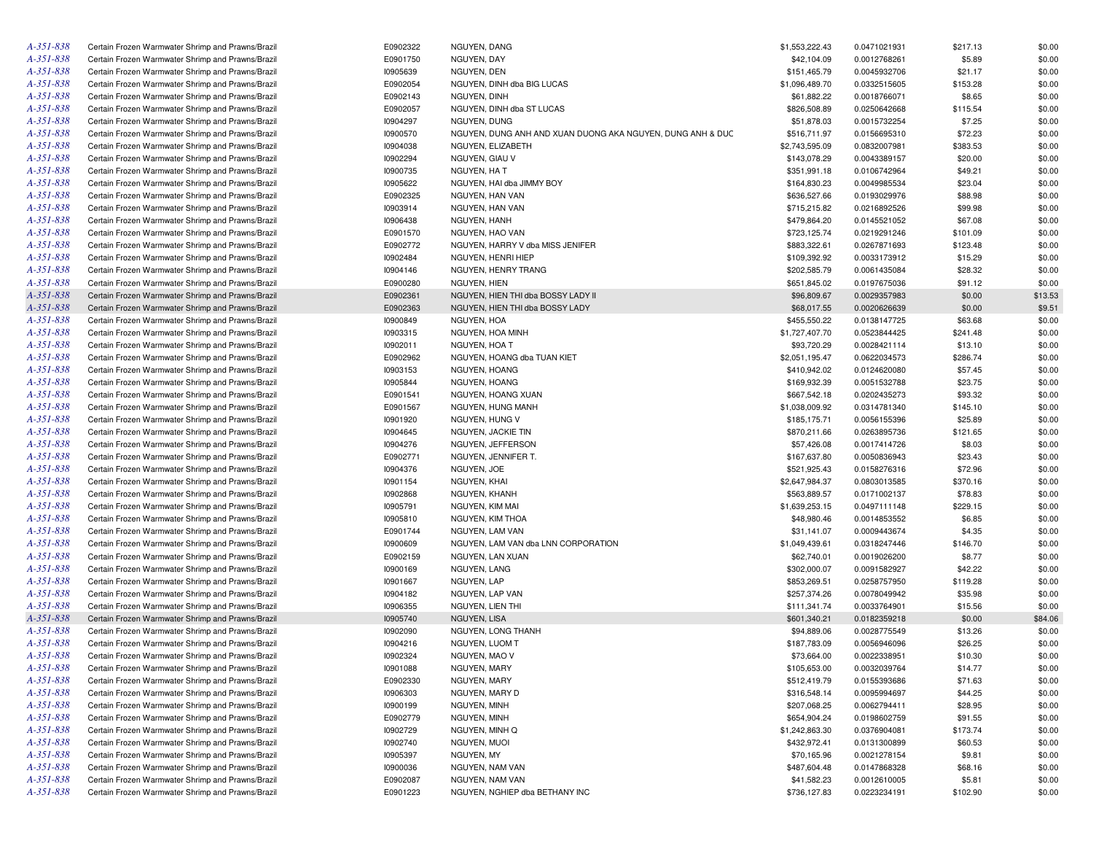| A-351-838       | Certain Frozen Warmwater Shrimp and Prawns/Brazil | E0902322 | NGUYEN, DANG                                               | \$1,553,222.43 | 0.0471021931 | \$217.13 | \$0.00  |
|-----------------|---------------------------------------------------|----------|------------------------------------------------------------|----------------|--------------|----------|---------|
| A-351-838       | Certain Frozen Warmwater Shrimp and Prawns/Brazil | E0901750 | NGUYEN, DAY                                                | \$42,104.09    | 0.0012768261 | \$5.89   | \$0.00  |
| A-351-838       | Certain Frozen Warmwater Shrimp and Prawns/Brazil | 10905639 | NGUYEN, DEN                                                | \$151,465.79   | 0.0045932706 | \$21.17  | \$0.00  |
| A-351-838       | Certain Frozen Warmwater Shrimp and Prawns/Brazil | E0902054 | NGUYEN, DINH dba BIG LUCAS                                 | \$1,096,489.70 | 0.0332515605 | \$153.28 | \$0.00  |
| A-351-838       | Certain Frozen Warmwater Shrimp and Prawns/Brazil | E0902143 | NGUYEN, DINH                                               | \$61,882.22    | 0.0018766071 | \$8.65   | \$0.00  |
| A-351-838       | Certain Frozen Warmwater Shrimp and Prawns/Brazil | E0902057 | NGUYEN, DINH dba ST LUCAS                                  | \$826,508.89   | 0.0250642668 | \$115.54 | \$0.00  |
| A-351-838       | Certain Frozen Warmwater Shrimp and Prawns/Brazil | 10904297 | NGUYEN, DUNG                                               | \$51,878.03    | 0.0015732254 | \$7.25   | \$0.00  |
| A-351-838       | Certain Frozen Warmwater Shrimp and Prawns/Brazil | 10900570 | NGUYEN, DUNG ANH AND XUAN DUONG AKA NGUYEN, DUNG ANH & DUC | \$516,711.97   | 0.0156695310 | \$72.23  | \$0.00  |
| A-351-838       | Certain Frozen Warmwater Shrimp and Prawns/Brazil | 10904038 | NGUYEN, ELIZABETH                                          | \$2,743,595.09 | 0.0832007981 | \$383.53 | \$0.00  |
| A-351-838       | Certain Frozen Warmwater Shrimp and Prawns/Brazil | 10902294 | NGUYEN, GIAU V                                             | \$143,078.29   | 0.0043389157 | \$20.00  | \$0.00  |
| A-351-838       | Certain Frozen Warmwater Shrimp and Prawns/Brazil | 10900735 | NGUYEN, HA T                                               | \$351,991.18   | 0.0106742964 | \$49.21  | \$0.00  |
| A-351-838       | Certain Frozen Warmwater Shrimp and Prawns/Brazil | 10905622 | NGUYEN, HAI dba JIMMY BOY                                  | \$164,830.23   | 0.0049985534 | \$23.04  | \$0.00  |
| A-351-838       | Certain Frozen Warmwater Shrimp and Prawns/Brazil | E0902325 | NGUYEN, HAN VAN                                            | \$636,527.66   | 0.0193029976 | \$88.98  | \$0.00  |
| A-351-838       | Certain Frozen Warmwater Shrimp and Prawns/Brazil | 10903914 | NGUYEN, HAN VAN                                            | \$715,215.82   | 0.0216892526 | \$99.98  | \$0.00  |
| A-351-838       | Certain Frozen Warmwater Shrimp and Prawns/Brazil | 10906438 | NGUYEN, HANH                                               | \$479,864.20   | 0.0145521052 | \$67.08  | \$0.00  |
| A-351-838       | Certain Frozen Warmwater Shrimp and Prawns/Brazil | E0901570 | NGUYEN, HAO VAN                                            | \$723,125.74   | 0.0219291246 | \$101.09 | \$0.00  |
| A-351-838       |                                                   |          |                                                            |                |              |          |         |
|                 | Certain Frozen Warmwater Shrimp and Prawns/Brazil | E0902772 | NGUYEN, HARRY V dba MISS JENIFER                           | \$883,322.61   | 0.0267871693 | \$123.48 | \$0.00  |
| A-351-838       | Certain Frozen Warmwater Shrimp and Prawns/Brazil | 10902484 | NGUYEN, HENRI HIEP                                         | \$109,392.92   | 0.0033173912 | \$15.29  | \$0.00  |
| A-351-838       | Certain Frozen Warmwater Shrimp and Prawns/Brazil | 10904146 | NGUYEN, HENRY TRANG                                        | \$202,585.79   | 0.0061435084 | \$28.32  | \$0.00  |
| A-351-838       | Certain Frozen Warmwater Shrimp and Prawns/Brazil | E0900280 | NGUYEN, HIEN                                               | \$651,845.02   | 0.0197675036 | \$91.12  | \$0.00  |
| A-351-838       | Certain Frozen Warmwater Shrimp and Prawns/Brazil | E0902361 | NGUYEN, HIEN THI dba BOSSY LADY II                         | \$96,809.67    | 0.0029357983 | \$0.00   | \$13.53 |
| A-351-838       | Certain Frozen Warmwater Shrimp and Prawns/Brazil | E0902363 | NGUYEN, HIEN THI dba BOSSY LADY                            | \$68,017.55    | 0.0020626639 | \$0.00   | \$9.51  |
| A-351-838       | Certain Frozen Warmwater Shrimp and Prawns/Brazil | 10900849 | NGUYEN, HOA                                                | \$455,550.22   | 0.0138147725 | \$63.68  | \$0.00  |
| A-351-838       | Certain Frozen Warmwater Shrimp and Prawns/Brazil | 10903315 | NGUYEN, HOA MINH                                           | \$1,727,407.70 | 0.0523844425 | \$241.48 | \$0.00  |
| A-351-838       | Certain Frozen Warmwater Shrimp and Prawns/Brazil | 10902011 | NGUYEN, HOA T                                              | \$93,720.29    | 0.0028421114 | \$13.10  | \$0.00  |
| A-351-838       | Certain Frozen Warmwater Shrimp and Prawns/Brazil | E0902962 | NGUYEN, HOANG dba TUAN KIET                                | \$2,051,195.47 | 0.0622034573 | \$286.74 | \$0.00  |
| A-351-838       | Certain Frozen Warmwater Shrimp and Prawns/Brazil | 10903153 | NGUYEN, HOANG                                              | \$410,942.02   | 0.0124620080 | \$57.45  | \$0.00  |
| A-351-838       | Certain Frozen Warmwater Shrimp and Prawns/Brazil | 10905844 | NGUYEN, HOANG                                              | \$169,932.39   | 0.0051532788 | \$23.75  | \$0.00  |
| A-351-838       | Certain Frozen Warmwater Shrimp and Prawns/Brazil | E0901541 | NGUYEN, HOANG XUAN                                         | \$667,542.18   | 0.0202435273 | \$93.32  | \$0.00  |
| A-351-838       | Certain Frozen Warmwater Shrimp and Prawns/Brazil | E0901567 | NGUYEN, HUNG MANH                                          | \$1,038,009.92 | 0.0314781340 | \$145.10 | \$0.00  |
| A-351-838       | Certain Frozen Warmwater Shrimp and Prawns/Brazil | 10901920 | NGUYEN, HUNG V                                             | \$185,175.71   | 0.0056155396 | \$25.89  | \$0.00  |
| A-351-838       | Certain Frozen Warmwater Shrimp and Prawns/Brazil | 10904645 | NGUYEN, JACKIE TIN                                         | \$870,211.66   | 0.0263895736 | \$121.65 | \$0.00  |
| A-351-838       | Certain Frozen Warmwater Shrimp and Prawns/Brazil | 10904276 | NGUYEN, JEFFERSON                                          | \$57,426.08    | 0.0017414726 | \$8.03   | \$0.00  |
| A-351-838       | Certain Frozen Warmwater Shrimp and Prawns/Brazil | E0902771 | NGUYEN, JENNIFER T.                                        | \$167,637.80   | 0.0050836943 | \$23.43  | \$0.00  |
| A-351-838       | Certain Frozen Warmwater Shrimp and Prawns/Brazil | 10904376 | NGUYEN, JOE                                                | \$521,925.43   | 0.0158276316 | \$72.96  | \$0.00  |
| A-351-838       | Certain Frozen Warmwater Shrimp and Prawns/Brazil | 10901154 | NGUYEN, KHAI                                               | \$2,647,984.37 | 0.0803013585 | \$370.16 | \$0.00  |
| A-351-838       | Certain Frozen Warmwater Shrimp and Prawns/Brazil | 10902868 | NGUYEN, KHANH                                              | \$563,889.57   | 0.0171002137 | \$78.83  | \$0.00  |
| A-351-838       | Certain Frozen Warmwater Shrimp and Prawns/Brazil | 10905791 | NGUYEN, KIM MAI                                            | \$1,639,253.15 | 0.0497111148 | \$229.15 | \$0.00  |
| A-351-838       | Certain Frozen Warmwater Shrimp and Prawns/Brazil | 10905810 | NGUYEN, KIM THOA                                           | \$48,980.46    | 0.0014853552 | \$6.85   | \$0.00  |
| A-351-838       | Certain Frozen Warmwater Shrimp and Prawns/Brazil | E0901744 | NGUYEN, LAM VAN                                            | \$31,141.07    | 0.0009443674 | \$4.35   | \$0.00  |
| A-351-838       | Certain Frozen Warmwater Shrimp and Prawns/Brazil | 10900609 | NGUYEN, LAM VAN dba LNN CORPORATION                        | \$1,049,439.61 | 0.0318247446 | \$146.70 | \$0.00  |
| A-351-838       | Certain Frozen Warmwater Shrimp and Prawns/Brazil | E0902159 | NGUYEN, LAN XUAN                                           | \$62,740.01    | 0.0019026200 | \$8.77   | \$0.00  |
| A-351-838       | Certain Frozen Warmwater Shrimp and Prawns/Brazil | 10900169 | NGUYEN, LANG                                               | \$302,000.07   | 0.0091582927 | \$42.22  | \$0.00  |
| A-351-838       | Certain Frozen Warmwater Shrimp and Prawns/Brazil | 10901667 | <b>NGUYEN, LAP</b>                                         | \$853,269.51   | 0.0258757950 | \$119.28 | \$0.00  |
| A-351-838       | Certain Frozen Warmwater Shrimp and Prawns/Brazil | 10904182 | NGUYEN, LAP VAN                                            | \$257,374.26   | 0.0078049942 | \$35.98  | \$0.00  |
| A-351-838       | Certain Frozen Warmwater Shrimp and Prawns/Brazil | 10906355 | NGUYEN, LIEN THI                                           | \$111,341.74   | 0.0033764901 | \$15.56  | \$0.00  |
| A-351-838       | Certain Frozen Warmwater Shrimp and Prawns/Brazil | 10905740 | NGUYEN, LISA                                               | \$601,340.21   | 0.0182359218 | \$0.00   | \$84.06 |
| A-351-838       | Certain Frozen Warmwater Shrimp and Prawns/Brazil | 10902090 | NGUYEN, LONG THANH                                         | \$94,889.06    | 0.0028775549 | \$13.26  | \$0.00  |
| A-351-838       | Certain Frozen Warmwater Shrimp and Prawns/Brazil | 10904216 | NGUYEN, LUOM T                                             | \$187,783.09   | 0.0056946096 | \$26.25  | \$0.00  |
| $A - 35I - 838$ | Certain Frozen Warmwater Shrimp and Prawns/Brazil | 10902324 | NGUYEN, MAO V                                              | \$73,664.00    | 0.0022338951 | \$10.30  | \$0.00  |
| A-351-838       | Certain Frozen Warmwater Shrimp and Prawns/Brazil | 10901088 | NGUYEN, MARY                                               | \$105,653.00   | 0.0032039764 | \$14.77  | \$0.00  |
| A-351-838       | Certain Frozen Warmwater Shrimp and Prawns/Brazil | E0902330 | NGUYEN, MARY                                               | \$512,419.79   | 0.0155393686 | \$71.63  | \$0.00  |
| A-351-838       | Certain Frozen Warmwater Shrimp and Prawns/Brazil | 10906303 | NGUYEN, MARY D                                             | \$316,548.14   | 0.0095994697 | \$44.25  | \$0.00  |
| A-351-838       | Certain Frozen Warmwater Shrimp and Prawns/Brazil | 10900199 | NGUYEN, MINH                                               | \$207,068.25   | 0.0062794411 | \$28.95  | \$0.00  |
| A-351-838       | Certain Frozen Warmwater Shrimp and Prawns/Brazil |          | NGUYEN, MINH                                               | \$654,904.24   | 0.0198602759 |          | \$0.00  |
| A-351-838       |                                                   | E0902779 |                                                            |                |              | \$91.55  |         |
| $A - 35I - 838$ | Certain Frozen Warmwater Shrimp and Prawns/Brazil | 10902729 | NGUYEN, MINH Q                                             | \$1,242,863.30 | 0.0376904081 | \$173.74 | \$0.00  |
| $A - 35I - 838$ | Certain Frozen Warmwater Shrimp and Prawns/Brazil | 10902740 | NGUYEN, MUOI                                               | \$432,972.41   | 0.0131300899 | \$60.53  | \$0.00  |
|                 | Certain Frozen Warmwater Shrimp and Prawns/Brazil | 10905397 | NGUYEN, MY                                                 | \$70,165.96    | 0.0021278154 | \$9.81   | \$0.00  |
| A-351-838       | Certain Frozen Warmwater Shrimp and Prawns/Brazil | 10900036 | NGUYEN, NAM VAN                                            | \$487,604.48   | 0.0147868328 | \$68.16  | \$0.00  |
| A-351-838       | Certain Frozen Warmwater Shrimp and Prawns/Brazil | E0902087 | NGUYEN, NAM VAN                                            | \$41,582.23    | 0.0012610005 | \$5.81   | \$0.00  |
| A-351-838       | Certain Frozen Warmwater Shrimp and Prawns/Brazil | E0901223 | NGUYEN, NGHIEP dba BETHANY INC                             | \$736,127.83   | 0.0223234191 | \$102.90 | \$0.00  |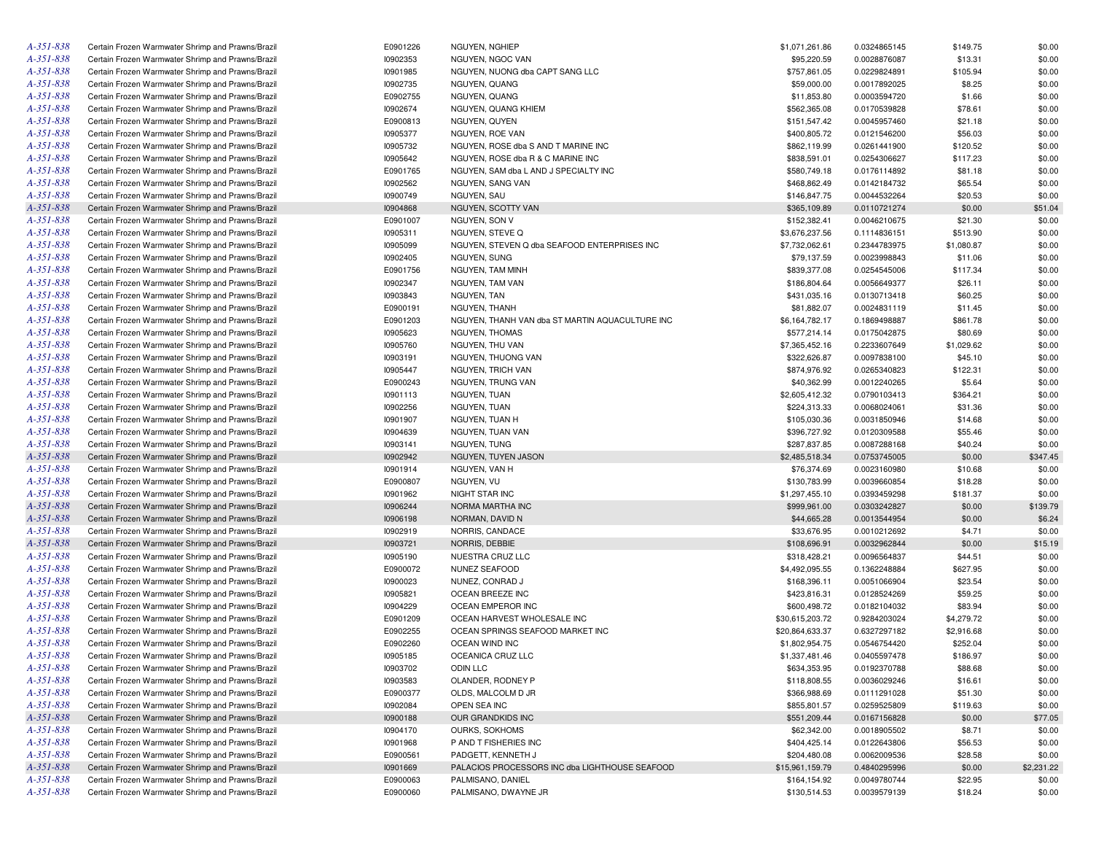| A-351-838       | Certain Frozen Warmwater Shrimp and Prawns/Brazil | E0901226 | NGUYEN, NGHIEP                                  | \$1,071,261.86  | 0.0324865145 | \$149.75   | \$0.00     |
|-----------------|---------------------------------------------------|----------|-------------------------------------------------|-----------------|--------------|------------|------------|
| A-351-838       | Certain Frozen Warmwater Shrimp and Prawns/Brazil | 10902353 | NGUYEN, NGOC VAN                                | \$95,220.59     | 0.0028876087 | \$13.31    | \$0.00     |
| A-351-838       | Certain Frozen Warmwater Shrimp and Prawns/Brazil | 10901985 | NGUYEN, NUONG dba CAPT SANG LLC                 | \$757,861.05    | 0.0229824891 | \$105.94   | \$0.00     |
| A-351-838       | Certain Frozen Warmwater Shrimp and Prawns/Brazil | 10902735 | NGUYEN, QUANG                                   | \$59,000.00     | 0.0017892025 | \$8.25     | \$0.00     |
| A-351-838       | Certain Frozen Warmwater Shrimp and Prawns/Brazil | E0902755 | NGUYEN, QUANG                                   | \$11,853.80     | 0.0003594720 | \$1.66     | \$0.00     |
| A-351-838       | Certain Frozen Warmwater Shrimp and Prawns/Brazil | 10902674 | NGUYEN, QUANG KHIEM                             | \$562,365.08    | 0.0170539828 | \$78.61    | \$0.00     |
| A-351-838       | Certain Frozen Warmwater Shrimp and Prawns/Brazil | E0900813 | NGUYEN, QUYEN                                   | \$151,547.42    | 0.0045957460 | \$21.18    | \$0.00     |
| A-351-838       | Certain Frozen Warmwater Shrimp and Prawns/Brazil | 10905377 | NGUYEN, ROE VAN                                 | \$400,805.72    | 0.0121546200 | \$56.03    | \$0.00     |
| A-351-838       | Certain Frozen Warmwater Shrimp and Prawns/Brazil | 10905732 | NGUYEN, ROSE dba S AND T MARINE INC             | \$862,119.99    | 0.0261441900 | \$120.52   | \$0.00     |
| A-351-838       | Certain Frozen Warmwater Shrimp and Prawns/Brazil | 10905642 | NGUYEN, ROSE dba R & C MARINE INC               | \$838,591.01    | 0.0254306627 | \$117.23   | \$0.00     |
| A-351-838       | Certain Frozen Warmwater Shrimp and Prawns/Brazil | E0901765 | NGUYEN, SAM dba L AND J SPECIALTY INC           | \$580,749.18    | 0.0176114892 | \$81.18    | \$0.00     |
| A-351-838       | Certain Frozen Warmwater Shrimp and Prawns/Brazil | 10902562 | NGUYEN, SANG VAN                                | \$468,862.49    | 0.0142184732 | \$65.54    | \$0.00     |
| A-351-838       | Certain Frozen Warmwater Shrimp and Prawns/Brazil | 10900749 | NGUYEN, SAU                                     | \$146,847.75    | 0.0044532264 | \$20.53    | \$0.00     |
| A-351-838       | Certain Frozen Warmwater Shrimp and Prawns/Brazil | 10904868 | NGUYEN, SCOTTY VAN                              | \$365,109.89    | 0.0110721274 | \$0.00     | \$51.04    |
| A-351-838       | Certain Frozen Warmwater Shrimp and Prawns/Brazil | E0901007 | NGUYEN, SON V                                   | \$152,382.41    | 0.0046210675 | \$21.30    | \$0.00     |
| A-351-838       | Certain Frozen Warmwater Shrimp and Prawns/Brazil | 10905311 | NGUYEN, STEVE Q                                 | \$3,676,237.56  | 0.1114836151 | \$513.90   | \$0.00     |
| A-351-838       | Certain Frozen Warmwater Shrimp and Prawns/Brazil | 10905099 |                                                 |                 |              |            |            |
|                 |                                                   |          | NGUYEN, STEVEN Q dba SEAFOOD ENTERPRISES INC    | \$7,732,062.61  | 0.2344783975 | \$1,080.87 | \$0.00     |
| A-351-838       | Certain Frozen Warmwater Shrimp and Prawns/Brazil | 10902405 | NGUYEN, SUNG                                    | \$79,137.59     | 0.0023998843 | \$11.06    | \$0.00     |
| A-351-838       | Certain Frozen Warmwater Shrimp and Prawns/Brazil | E0901756 | NGUYEN, TAM MINH                                | \$839,377.08    | 0.0254545006 | \$117.34   | \$0.00     |
| A-351-838       | Certain Frozen Warmwater Shrimp and Prawns/Brazil | 10902347 | NGUYEN, TAM VAN                                 | \$186,804.64    | 0.0056649377 | \$26.11    | \$0.00     |
| A-351-838       | Certain Frozen Warmwater Shrimp and Prawns/Brazil | 10903843 | NGUYEN, TAN                                     | \$431,035.16    | 0.0130713418 | \$60.25    | \$0.00     |
| A-351-838       | Certain Frozen Warmwater Shrimp and Prawns/Brazil | E0900191 | NGUYEN, THANH                                   | \$81,882.07     | 0.0024831119 | \$11.45    | \$0.00     |
| A-351-838       | Certain Frozen Warmwater Shrimp and Prawns/Brazil | E0901203 | NGUYEN, THANH VAN dba ST MARTIN AQUACULTURE INC | \$6,164,782.17  | 0.1869498887 | \$861.78   | \$0.00     |
| A-351-838       | Certain Frozen Warmwater Shrimp and Prawns/Brazil | 10905623 | NGUYEN, THOMAS                                  | \$577,214.14    | 0.0175042875 | \$80.69    | \$0.00     |
| A-351-838       | Certain Frozen Warmwater Shrimp and Prawns/Brazil | 10905760 | NGUYEN, THU VAN                                 | \$7,365,452.16  | 0.2233607649 | \$1,029.62 | \$0.00     |
| A-351-838       | Certain Frozen Warmwater Shrimp and Prawns/Brazil | 10903191 | NGUYEN, THUONG VAN                              | \$322,626.87    | 0.0097838100 | \$45.10    | \$0.00     |
| A-351-838       | Certain Frozen Warmwater Shrimp and Prawns/Brazil | 10905447 | NGUYEN, TRICH VAN                               | \$874,976.92    | 0.0265340823 | \$122.31   | \$0.00     |
| A-351-838       | Certain Frozen Warmwater Shrimp and Prawns/Brazil | E0900243 | NGUYEN, TRUNG VAN                               | \$40,362.99     | 0.0012240265 | \$5.64     | \$0.00     |
| A-351-838       | Certain Frozen Warmwater Shrimp and Prawns/Brazil | 10901113 | NGUYEN, TUAN                                    | \$2,605,412.32  | 0.0790103413 | \$364.21   | \$0.00     |
| A-351-838       | Certain Frozen Warmwater Shrimp and Prawns/Brazil | 10902256 | NGUYEN, TUAN                                    | \$224,313.33    | 0.0068024061 | \$31.36    | \$0.00     |
| A-351-838       | Certain Frozen Warmwater Shrimp and Prawns/Brazil | 10901907 | NGUYEN, TUAN H                                  | \$105,030.36    | 0.0031850946 | \$14.68    | \$0.00     |
| A-351-838       | Certain Frozen Warmwater Shrimp and Prawns/Brazil | 10904639 | NGUYEN, TUAN VAN                                | \$396,727.92    | 0.0120309588 | \$55.46    | \$0.00     |
| A-351-838       | Certain Frozen Warmwater Shrimp and Prawns/Brazil | 10903141 | NGUYEN, TUNG                                    | \$287,837.85    | 0.0087288168 | \$40.24    | \$0.00     |
| A-351-838       | Certain Frozen Warmwater Shrimp and Prawns/Brazil | 10902942 | NGUYEN, TUYEN JASON                             | \$2,485,518.34  | 0.0753745005 | \$0.00     | \$347.45   |
| A-351-838       | Certain Frozen Warmwater Shrimp and Prawns/Brazil | 10901914 | NGUYEN, VAN H                                   | \$76,374.69     | 0.0023160980 | \$10.68    | \$0.00     |
| A-351-838       | Certain Frozen Warmwater Shrimp and Prawns/Brazil | E0900807 | NGUYEN, VU                                      | \$130,783.99    | 0.0039660854 | \$18.28    | \$0.00     |
| A-351-838       | Certain Frozen Warmwater Shrimp and Prawns/Brazil | 10901962 | NIGHT STAR INC                                  | \$1,297,455.10  | 0.0393459298 | \$181.37   | \$0.00     |
| A-351-838       | Certain Frozen Warmwater Shrimp and Prawns/Brazil | 10906244 | NORMA MARTHA INC                                | \$999,961.00    | 0.0303242827 | \$0.00     | \$139.79   |
| A-351-838       | Certain Frozen Warmwater Shrimp and Prawns/Brazil | 10906198 | NORMAN, DAVID N                                 | \$44,665.28     | 0.0013544954 | \$0.00     | \$6.24     |
| A-351-838       | Certain Frozen Warmwater Shrimp and Prawns/Brazil | 10902919 | NORRIS, CANDACE                                 | \$33,676.95     | 0.0010212692 | \$4.71     | \$0.00     |
| A-351-838       | Certain Frozen Warmwater Shrimp and Prawns/Brazil | 10903721 | NORRIS, DEBBIE                                  | \$108,696.91    | 0.0032962844 | \$0.00     | \$15.19    |
| A-351-838       | Certain Frozen Warmwater Shrimp and Prawns/Brazil | 10905190 | NUESTRA CRUZ LLC                                | \$318,428.21    | 0.0096564837 | \$44.51    | \$0.00     |
| A-351-838       |                                                   |          |                                                 |                 |              |            |            |
|                 | Certain Frozen Warmwater Shrimp and Prawns/Brazil | E0900072 | NUNEZ SEAFOOD                                   | \$4,492,095.55  | 0.1362248884 | \$627.95   | \$0.00     |
| A-351-838       | Certain Frozen Warmwater Shrimp and Prawns/Brazil | 10900023 | NUNEZ, CONRAD J                                 | \$168,396.11    | 0.0051066904 | \$23.54    | \$0.00     |
| A-351-838       | Certain Frozen Warmwater Shrimp and Prawns/Brazil | 10905821 | OCEAN BREEZE INC                                | \$423,816.31    | 0.0128524269 | \$59.25    | \$0.00     |
| A-351-838       | Certain Frozen Warmwater Shrimp and Prawns/Brazil | 10904229 | OCEAN EMPEROR INC                               | \$600,498.72    | 0.0182104032 | \$83.94    | \$0.00     |
| A-351-838       | Certain Frozen Warmwater Shrimp and Prawns/Brazil | E0901209 | OCEAN HARVEST WHOLESALE INC                     | \$30,615,203.72 | 0.9284203024 | \$4,279.72 | \$0.00     |
| A-351-838       | Certain Frozen Warmwater Shrimp and Prawns/Brazil | E0902255 | OCEAN SPRINGS SEAFOOD MARKET INC                | \$20,864,633.37 | 0.6327297182 | \$2,916.68 | \$0.00     |
| A-351-838       | Certain Frozen Warmwater Shrimp and Prawns/Brazil | E0902260 | OCEAN WIND INC                                  | \$1,802,954.75  | 0.0546754420 | \$252.04   | \$0.00     |
| A-351-838       | Certain Frozen Warmwater Shrimp and Prawns/Brazil | 10905185 | OCEANICA CRUZ LLC                               | \$1,337,481.46  | 0.0405597478 | \$186.97   | \$0.00     |
| $A - 35I - 838$ | Certain Frozen Warmwater Shrimp and Prawns/Brazil | 10903702 | ODIN LLC                                        | \$634,353.95    | 0.0192370788 | \$88.68    | \$0.00     |
| $A - 35I - 838$ | Certain Frozen Warmwater Shrimp and Prawns/Brazil | 10903583 | OLANDER, RODNEY P                               | \$118,808.55    | 0.0036029246 | \$16.61    | \$0.00     |
| A-351-838       | Certain Frozen Warmwater Shrimp and Prawns/Brazil | E0900377 | OLDS, MALCOLM D JR                              | \$366,988.69    | 0.0111291028 | \$51.30    | \$0.00     |
| $A - 35I - 838$ | Certain Frozen Warmwater Shrimp and Prawns/Brazil | 10902084 | OPEN SEA INC                                    | \$855,801.57    | 0.0259525809 | \$119.63   | \$0.00     |
| A-351-838       | Certain Frozen Warmwater Shrimp and Prawns/Brazil | 10900188 | OUR GRANDKIDS INC                               | \$551,209.44    | 0.0167156828 | \$0.00     | \$77.05    |
| A-351-838       | Certain Frozen Warmwater Shrimp and Prawns/Brazil | 10904170 | OURKS, SOKHOMS                                  | \$62,342.00     | 0.0018905502 | \$8.71     | \$0.00     |
| A-351-838       | Certain Frozen Warmwater Shrimp and Prawns/Brazil | 10901968 | P AND T FISHERIES INC                           | \$404,425.14    | 0.0122643806 | \$56.53    | \$0.00     |
| A-351-838       | Certain Frozen Warmwater Shrimp and Prawns/Brazil | E0900561 | PADGETT, KENNETH J                              | \$204,480.08    | 0.0062009536 | \$28.58    | \$0.00     |
| $A - 35I - 838$ | Certain Frozen Warmwater Shrimp and Prawns/Brazil | 10901669 | PALACIOS PROCESSORS INC dba LIGHTHOUSE SEAFOOD  | \$15,961,159.79 | 0.4840295996 | \$0.00     | \$2,231.22 |
| A-351-838       | Certain Frozen Warmwater Shrimp and Prawns/Brazil | E0900063 | PALMISANO, DANIEL                               | \$164,154.92    | 0.0049780744 | \$22.95    | \$0.00     |
| A-351-838       | Certain Frozen Warmwater Shrimp and Prawns/Brazil | E0900060 | PALMISANO, DWAYNE JR                            | \$130,514.53    | 0.0039579139 | \$18.24    | \$0.00     |
|                 |                                                   |          |                                                 |                 |              |            |            |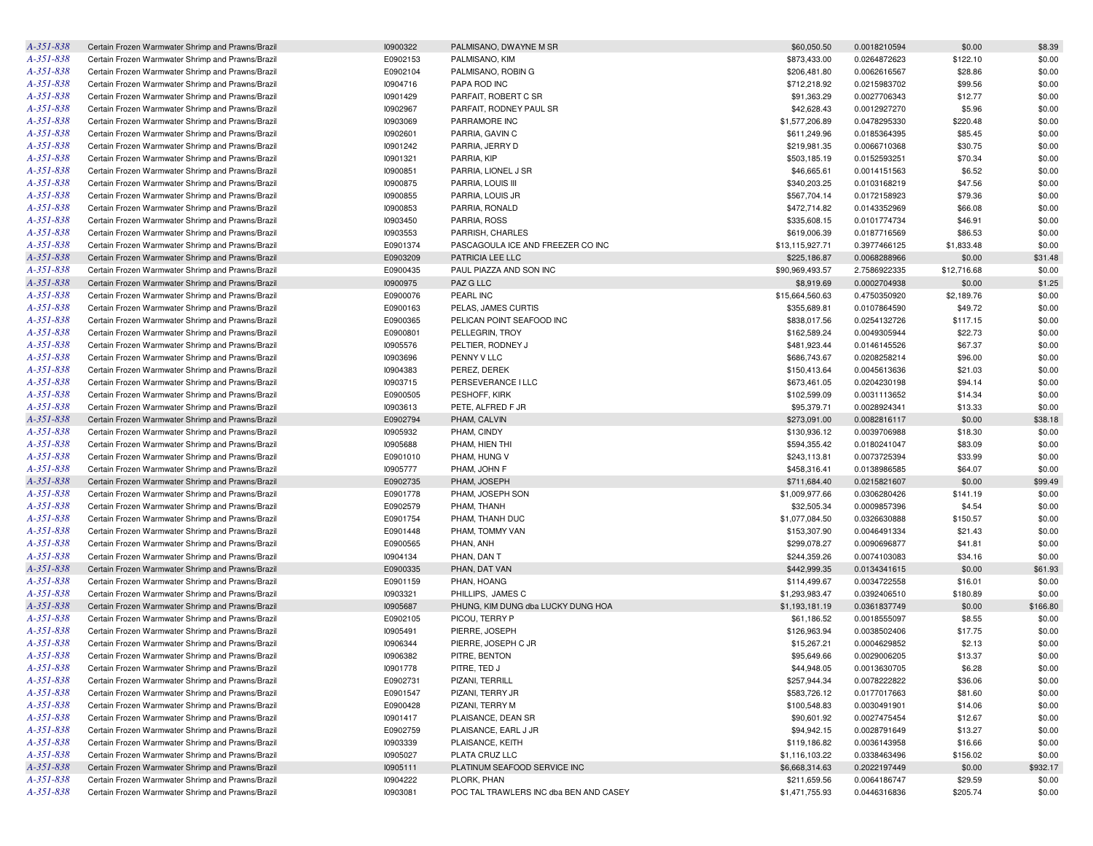| $A - 351 - 838$ | Certain Frozen Warmwater Shrimp and Prawns/Brazil | 10900322 | PALMISANO, DWAYNE M SR                 | \$60,050.50     | 0.0018210594 | \$0.00      | \$8.39   |
|-----------------|---------------------------------------------------|----------|----------------------------------------|-----------------|--------------|-------------|----------|
| $A - 35I - 838$ | Certain Frozen Warmwater Shrimp and Prawns/Brazil | E0902153 | PALMISANO, KIM                         | \$873,433.00    | 0.0264872623 | \$122.10    | \$0.00   |
| $A - 35I - 838$ | Certain Frozen Warmwater Shrimp and Prawns/Brazil | E0902104 | PALMISANO, ROBIN G                     | \$206,481.80    | 0.0062616567 | \$28.86     | \$0.00   |
| $A - 351 - 838$ | Certain Frozen Warmwater Shrimp and Prawns/Brazil | 10904716 | PAPA ROD INC                           | \$712,218.92    | 0.0215983702 | \$99.56     | \$0.00   |
| $A - 35I - 838$ | Certain Frozen Warmwater Shrimp and Prawns/Brazil | 10901429 | PARFAIT, ROBERT C SR                   | \$91,363.29     | 0.0027706343 | \$12.77     | \$0.00   |
| $A - 351 - 838$ | Certain Frozen Warmwater Shrimp and Prawns/Brazil | 10902967 | PARFAIT, RODNEY PAUL SR                | \$42,628.43     | 0.0012927270 | \$5.96      | \$0.00   |
| A-351-838       | Certain Frozen Warmwater Shrimp and Prawns/Brazil | 10903069 | PARRAMORE INC                          | \$1,577,206.89  | 0.0478295330 | \$220.48    | \$0.00   |
| $A - 351 - 838$ | Certain Frozen Warmwater Shrimp and Prawns/Brazil | 10902601 | PARRIA, GAVIN C                        | \$611,249.96    | 0.0185364395 | \$85.45     | \$0.00   |
| A-351-838       | Certain Frozen Warmwater Shrimp and Prawns/Brazil | 10901242 | PARRIA, JERRY D                        | \$219,981.35    | 0.0066710368 | \$30.75     | \$0.00   |
| $A - 351 - 838$ | Certain Frozen Warmwater Shrimp and Prawns/Brazil | 10901321 | PARRIA, KIP                            | \$503,185.19    | 0.0152593251 | \$70.34     | \$0.00   |
| A-351-838       | Certain Frozen Warmwater Shrimp and Prawns/Brazil | 10900851 | PARRIA, LIONEL J SR                    | \$46,665.61     | 0.0014151563 | \$6.52      | \$0.00   |
| $A - 351 - 838$ | Certain Frozen Warmwater Shrimp and Prawns/Brazil | 10900875 | PARRIA, LOUIS III                      | \$340,203.25    | 0.0103168219 | \$47.56     | \$0.00   |
| A-351-838       | Certain Frozen Warmwater Shrimp and Prawns/Brazil | 10900855 | PARRIA, LOUIS JR                       | \$567,704.14    | 0.0172158923 | \$79.36     | \$0.00   |
| $A - 351 - 838$ | Certain Frozen Warmwater Shrimp and Prawns/Brazil | 10900853 | PARRIA, RONALD                         | \$472,714.82    | 0.0143352969 | \$66.08     | \$0.00   |
| A-351-838       | Certain Frozen Warmwater Shrimp and Prawns/Brazil | 10903450 | PARRIA, ROSS                           | \$335,608.15    | 0.0101774734 | \$46.91     | \$0.00   |
| $A - 351 - 838$ | Certain Frozen Warmwater Shrimp and Prawns/Brazil | 10903553 | PARRISH, CHARLES                       | \$619,006.39    | 0.0187716569 | \$86.53     | \$0.00   |
| $A - 35I - 838$ | Certain Frozen Warmwater Shrimp and Prawns/Brazil | E0901374 | PASCAGOULA ICE AND FREEZER CO INC      | \$13,115,927.71 | 0.3977466125 | \$1,833.48  | \$0.00   |
|                 |                                                   |          |                                        |                 |              |             |          |
| $A - 351 - 838$ | Certain Frozen Warmwater Shrimp and Prawns/Brazil | E0903209 | PATRICIA LEE LLC                       | \$225,186.87    | 0.0068288966 | \$0.00      | \$31.48  |
| A-351-838       | Certain Frozen Warmwater Shrimp and Prawns/Brazil | E0900435 | PAUL PIAZZA AND SON INC                | \$90,969,493.57 | 2.7586922335 | \$12,716.68 | \$0.00   |
| $A - 351 - 838$ | Certain Frozen Warmwater Shrimp and Prawns/Brazil | 10900975 | PAZ G LLC                              | \$8,919.69      | 0.0002704938 | \$0.00      | \$1.25   |
| A-351-838       | Certain Frozen Warmwater Shrimp and Prawns/Brazil | E0900076 | PEARL INC                              | \$15,664,560.63 | 0.4750350920 | \$2,189.76  | \$0.00   |
| $A - 351 - 838$ | Certain Frozen Warmwater Shrimp and Prawns/Brazil | E0900163 | PELAS, JAMES CURTIS                    | \$355,689.81    | 0.0107864590 | \$49.72     | \$0.00   |
| A-351-838       | Certain Frozen Warmwater Shrimp and Prawns/Brazil | E0900365 | PELICAN POINT SEAFOOD INC              | \$838,017.56    | 0.0254132726 | \$117.15    | \$0.00   |
| $A - 351 - 838$ | Certain Frozen Warmwater Shrimp and Prawns/Brazil | E0900801 | PELLEGRIN, TROY                        | \$162,589.24    | 0.0049305944 | \$22.73     | \$0.00   |
| A-351-838       | Certain Frozen Warmwater Shrimp and Prawns/Brazil | 10905576 | PELTIER, RODNEY J                      | \$481,923.44    | 0.0146145526 | \$67.37     | \$0.00   |
| $A - 351 - 838$ | Certain Frozen Warmwater Shrimp and Prawns/Brazil | 10903696 | PENNY V LLC                            | \$686,743.67    | 0.0208258214 | \$96.00     | \$0.00   |
| A-351-838       | Certain Frozen Warmwater Shrimp and Prawns/Brazil | 10904383 | PEREZ, DEREK                           | \$150,413.64    | 0.0045613636 | \$21.03     | \$0.00   |
| $A - 351 - 838$ | Certain Frozen Warmwater Shrimp and Prawns/Brazil | 10903715 | PERSEVERANCE I LLC                     | \$673,461.05    | 0.0204230198 | \$94.14     | \$0.00   |
| A-351-838       | Certain Frozen Warmwater Shrimp and Prawns/Brazil | E0900505 | PESHOFF, KIRK                          | \$102,599.09    | 0.0031113652 | \$14.34     | \$0.00   |
| $A - 351 - 838$ | Certain Frozen Warmwater Shrimp and Prawns/Brazil | 10903613 | PETE. ALFRED F JR                      | \$95,379.71     | 0.0028924341 | \$13.33     | \$0.00   |
| A-351-838       | Certain Frozen Warmwater Shrimp and Prawns/Brazil | E0902794 | PHAM, CALVIN                           | \$273,091.00    | 0.0082816117 | \$0.00      | \$38.18  |
| $A - 351 - 838$ | Certain Frozen Warmwater Shrimp and Prawns/Brazil | 10905932 | PHAM, CINDY                            | \$130,936.12    | 0.0039706988 | \$18.30     | \$0.00   |
| $A - 35I - 838$ | Certain Frozen Warmwater Shrimp and Prawns/Brazil | 10905688 | PHAM, HIEN THI                         | \$594,355.42    | 0.0180241047 | \$83.09     | \$0.00   |
| $A - 351 - 838$ | Certain Frozen Warmwater Shrimp and Prawns/Brazil | E0901010 | PHAM, HUNG V                           | \$243,113.81    | 0.0073725394 | \$33.99     | \$0.00   |
| A-351-838       | Certain Frozen Warmwater Shrimp and Prawns/Brazil | 10905777 | PHAM, JOHN F                           | \$458,316.41    | 0.0138986585 | \$64.07     | \$0.00   |
| $A - 351 - 838$ | Certain Frozen Warmwater Shrimp and Prawns/Brazil | E0902735 | PHAM, JOSEPH                           | \$711,684.40    | 0.0215821607 | \$0.00      | \$99.49  |
| A-351-838       | Certain Frozen Warmwater Shrimp and Prawns/Brazil | E0901778 | PHAM, JOSEPH SON                       | \$1,009,977.66  | 0.0306280426 | \$141.19    | \$0.00   |
| $A - 351 - 838$ | Certain Frozen Warmwater Shrimp and Prawns/Brazil | E0902579 | PHAM, THANH                            | \$32,505.34     | 0.0009857396 | \$4.54      | \$0.00   |
| A-351-838       | Certain Frozen Warmwater Shrimp and Prawns/Brazil | E0901754 | PHAM, THANH DUC                        | \$1,077,084.50  | 0.0326630888 | \$150.57    | \$0.00   |
| $A - 351 - 838$ | Certain Frozen Warmwater Shrimp and Prawns/Brazil | E0901448 | PHAM, TOMMY VAN                        | \$153,307.90    | 0.0046491334 | \$21.43     | \$0.00   |
| A-351-838       | Certain Frozen Warmwater Shrimp and Prawns/Brazil | E0900565 | PHAN, ANH                              | \$299,078.27    | 0.0090696877 | \$41.81     | \$0.00   |
| $A - 351 - 838$ | Certain Frozen Warmwater Shrimp and Prawns/Brazil | 10904134 | PHAN, DAN T                            | \$244,359.26    | 0.0074103083 | \$34.16     | \$0.00   |
| A-351-838       | Certain Frozen Warmwater Shrimp and Prawns/Brazil | E0900335 | PHAN, DAT VAN                          | \$442,999.35    | 0.0134341615 | \$0.00      | \$61.93  |
| $A - 351 - 838$ | Certain Frozen Warmwater Shrimp and Prawns/Brazil | E0901159 | PHAN, HOANG                            | \$114,499.67    | 0.0034722558 | \$16.01     | \$0.00   |
| A-351-838       | Certain Frozen Warmwater Shrimp and Prawns/Brazil | 10903321 | PHILLIPS. JAMES C                      | \$1,293,983.47  | 0.0392406510 | \$180.89    | \$0.00   |
| $A - 351 - 838$ | Certain Frozen Warmwater Shrimp and Prawns/Brazil | 10905687 | PHUNG, KIM DUNG dba LUCKY DUNG HOA     | \$1,193,181.19  | 0.0361837749 | \$0.00      | \$166.80 |
| A-351-838       | Certain Frozen Warmwater Shrimp and Prawns/Brazil | E0902105 | PICOU, TERRY P                         | \$61,186.52     | 0.0018555097 | \$8.55      | \$0.00   |
| $A - 351 - 838$ | Certain Frozen Warmwater Shrimp and Prawns/Brazil | 10905491 | PIERRE, JOSEPH                         | \$126,963.94    | 0.0038502406 | \$17.75     | \$0.00   |
| $A - 35I - 838$ | Certain Frozen Warmwater Shrimp and Prawns/Brazil | 10906344 | PIERRE, JOSEPH C JR                    | \$15,267.21     | 0.0004629852 | \$2.13      | \$0.00   |
| A-351-838       | Certain Frozen Warmwater Shrimp and Prawns/Brazil | 10906382 | PITRE, BENTON                          | \$95,649.66     | 0.0029006205 | \$13.37     | \$0.00   |
| $A - 351 - 838$ | Certain Frozen Warmwater Shrimp and Prawns/Brazil | 10901778 | PITRE, TED J                           | \$44,948.05     | 0.0013630705 | \$6.28      | \$0.00   |
| $A - 35I - 838$ | Certain Frozen Warmwater Shrimp and Prawns/Brazil |          |                                        |                 | 0.0078222822 |             |          |
|                 |                                                   | E0902731 | PIZANI, TERRILL                        | \$257,944.34    |              | \$36.06     | \$0.00   |
| A-351-838       | Certain Frozen Warmwater Shrimp and Prawns/Brazil | E0901547 | PIZANI, TERRY JR                       | \$583,726.12    | 0.0177017663 | \$81.60     | \$0.00   |
| $A - 351 - 838$ | Certain Frozen Warmwater Shrimp and Prawns/Brazil | E0900428 | PIZANI, TERRY M                        | \$100,548.83    | 0.0030491901 | \$14.06     | \$0.00   |
| $A - 35I - 838$ | Certain Frozen Warmwater Shrimp and Prawns/Brazil | 10901417 | PLAISANCE, DEAN SR                     | \$90,601.92     | 0.0027475454 | \$12.67     | \$0.00   |
| $A - 351 - 838$ | Certain Frozen Warmwater Shrimp and Prawns/Brazil | E0902759 | PLAISANCE, EARL J JR                   | \$94,942.15     | 0.0028791649 | \$13.27     | \$0.00   |
| $A - 351 - 838$ | Certain Frozen Warmwater Shrimp and Prawns/Brazil | 10903339 | PLAISANCE, KEITH                       | \$119,186.82    | 0.0036143958 | \$16.66     | \$0.00   |
| $A - 351 - 838$ | Certain Frozen Warmwater Shrimp and Prawns/Brazil | 10905027 | PLATA CRUZ LLC                         | \$1,116,103.22  | 0.0338463496 | \$156.02    | \$0.00   |
| A-351-838       | Certain Frozen Warmwater Shrimp and Prawns/Brazil | 10905111 | PLATINUM SEAFOOD SERVICE INC           | \$6,668,314.63  | 0.2022197449 | \$0.00      | \$932.17 |
| $A - 35I - 838$ | Certain Frozen Warmwater Shrimp and Prawns/Brazil | 10904222 | PLORK, PHAN                            | \$211,659.56    | 0.0064186747 | \$29.59     | \$0.00   |
| $A - 35I - 838$ | Certain Frozen Warmwater Shrimp and Prawns/Brazil | 10903081 | POC TAL TRAWLERS INC dba BEN AND CASEY | \$1,471,755.93  | 0.0446316836 | \$205.74    | \$0.00   |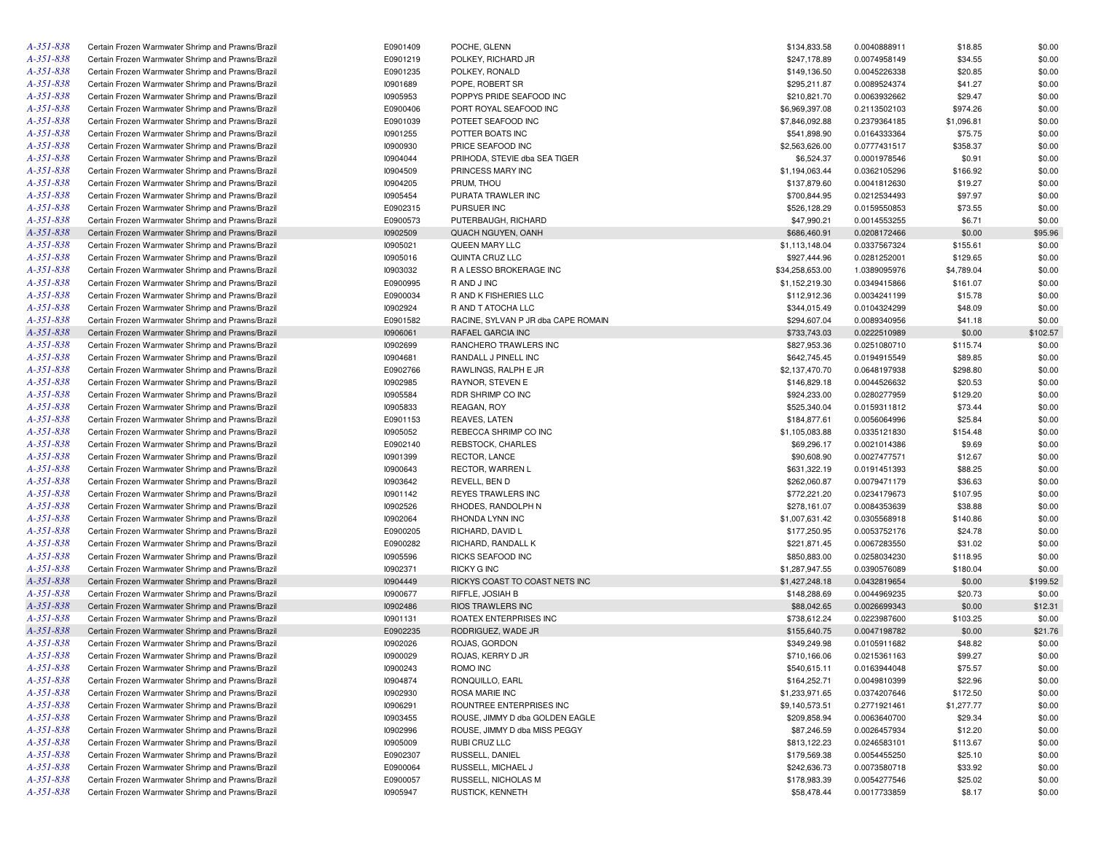| A-351-838 | Certain Frozen Warmwater Shrimp and Prawns/Brazil | E0901409 | POCHE, GLENN                                             | \$134,833.58    | 0.0040888911 | \$18.85           | \$0.00   |
|-----------|---------------------------------------------------|----------|----------------------------------------------------------|-----------------|--------------|-------------------|----------|
| A-351-838 | Certain Frozen Warmwater Shrimp and Prawns/Brazil | E0901219 | POLKEY, RICHARD JR                                       | \$247,178.89    | 0.0074958149 | \$34.55           | \$0.00   |
| A-351-838 | Certain Frozen Warmwater Shrimp and Prawns/Brazil | E0901235 | POLKEY, RONALD                                           | \$149,136.50    | 0.0045226338 | \$20.85           | \$0.00   |
| A-351-838 | Certain Frozen Warmwater Shrimp and Prawns/Brazil | 10901689 | POPE, ROBERT SR                                          | \$295,211.87    | 0.0089524374 | \$41.27           | \$0.00   |
| A-351-838 | Certain Frozen Warmwater Shrimp and Prawns/Brazil | 10905953 | POPPYS PRIDE SEAFOOD INC                                 | \$210,821.70    | 0.0063932662 | \$29.47           | \$0.00   |
| A-351-838 | Certain Frozen Warmwater Shrimp and Prawns/Brazil | E0900406 | PORT ROYAL SEAFOOD INC                                   | \$6,969,397.08  | 0.2113502103 | \$974.26          | \$0.00   |
| A-351-838 | Certain Frozen Warmwater Shrimp and Prawns/Brazil | E0901039 | POTEET SEAFOOD INC                                       | \$7,846,092.88  | 0.2379364185 | \$1,096.81        | \$0.00   |
| A-351-838 | Certain Frozen Warmwater Shrimp and Prawns/Brazil | 10901255 | POTTER BOATS INC                                         | \$541,898.90    | 0.0164333364 | \$75.75           | \$0.00   |
| A-351-838 | Certain Frozen Warmwater Shrimp and Prawns/Brazil | 10900930 | PRICE SEAFOOD INC                                        | \$2,563,626.00  | 0.0777431517 | \$358.37          | \$0.00   |
| A-351-838 | Certain Frozen Warmwater Shrimp and Prawns/Brazil | 10904044 | PRIHODA, STEVIE dba SEA TIGER                            | \$6,524.37      | 0.0001978546 | \$0.91            | \$0.00   |
| A-351-838 | Certain Frozen Warmwater Shrimp and Prawns/Brazil | 10904509 | PRINCESS MARY INC                                        | \$1,194,063.44  | 0.0362105296 | \$166.92          | \$0.00   |
| A-351-838 | Certain Frozen Warmwater Shrimp and Prawns/Brazil | 10904205 | PRUM, THOU                                               | \$137,879.60    | 0.0041812630 | \$19.27           | \$0.00   |
| A-351-838 | Certain Frozen Warmwater Shrimp and Prawns/Brazil | 10905454 | PURATA TRAWLER INC                                       | \$700,844.95    | 0.0212534493 | \$97.97           | \$0.00   |
| A-351-838 | Certain Frozen Warmwater Shrimp and Prawns/Brazil | E0902315 | PURSUER INC                                              | \$526,128.29    | 0.0159550853 | \$73.55           | \$0.00   |
| A-351-838 | Certain Frozen Warmwater Shrimp and Prawns/Brazil | E0900573 | PUTERBAUGH, RICHARD                                      | \$47,990.21     | 0.0014553255 | \$6.71            | \$0.00   |
| A-351-838 | Certain Frozen Warmwater Shrimp and Prawns/Brazil | 10902509 | QUACH NGUYEN, OANH                                       | \$686,460.91    | 0.0208172466 | \$0.00            | \$95.96  |
| A-351-838 | Certain Frozen Warmwater Shrimp and Prawns/Brazil | 10905021 | QUEEN MARY LLC                                           | \$1,113,148.04  | 0.0337567324 | \$155.61          | \$0.00   |
| A-351-838 | Certain Frozen Warmwater Shrimp and Prawns/Brazil | 10905016 | QUINTA CRUZ LLC                                          | \$927,444.96    | 0.0281252001 | \$129.65          | \$0.00   |
| A-351-838 | Certain Frozen Warmwater Shrimp and Prawns/Brazil | 10903032 | R A LESSO BROKERAGE INC                                  | \$34,258,653.00 | 1.0389095976 | \$4,789.04        | \$0.00   |
| A-351-838 | Certain Frozen Warmwater Shrimp and Prawns/Brazil | E0900995 | R AND J INC                                              | \$1,152,219.30  | 0.0349415866 | \$161.07          | \$0.00   |
| A-351-838 | Certain Frozen Warmwater Shrimp and Prawns/Brazil | E0900034 | R AND K FISHERIES LLC                                    | \$112,912.36    | 0.0034241199 | \$15.78           | \$0.00   |
| A-351-838 | Certain Frozen Warmwater Shrimp and Prawns/Brazil | 10902924 | R AND T ATOCHA LLC                                       | \$344,015.49    | 0.0104324299 | \$48.09           | \$0.00   |
| A-351-838 |                                                   | E0901582 |                                                          | \$294,607.04    |              |                   | \$0.00   |
| A-351-838 | Certain Frozen Warmwater Shrimp and Prawns/Brazil | 10906061 | RACINE, SYLVAN P JR dba CAPE ROMAIN<br>RAFAEL GARCIA INC | \$733,743.03    | 0.0089340956 | \$41.18<br>\$0.00 | \$102.57 |
|           | Certain Frozen Warmwater Shrimp and Prawns/Brazil |          |                                                          |                 | 0.0222510989 |                   |          |
| A-351-838 | Certain Frozen Warmwater Shrimp and Prawns/Brazil | 10902699 | RANCHERO TRAWLERS INC                                    | \$827,953.36    | 0.0251080710 | \$115.74          | \$0.00   |
| A-351-838 | Certain Frozen Warmwater Shrimp and Prawns/Brazil | 10904681 | RANDALL J PINELL INC                                     | \$642,745.45    | 0.0194915549 | \$89.85           | \$0.00   |
| A-351-838 | Certain Frozen Warmwater Shrimp and Prawns/Brazil | E0902766 | RAWLINGS, RALPH E JR                                     | \$2,137,470.70  | 0.0648197938 | \$298.80          | \$0.00   |
| A-351-838 | Certain Frozen Warmwater Shrimp and Prawns/Brazil | 10902985 | RAYNOR, STEVEN E                                         | \$146,829.18    | 0.0044526632 | \$20.53           | \$0.00   |
| A-351-838 | Certain Frozen Warmwater Shrimp and Prawns/Brazil | 10905584 | RDR SHRIMP CO INC                                        | \$924,233.00    | 0.0280277959 | \$129.20          | \$0.00   |
| A-351-838 | Certain Frozen Warmwater Shrimp and Prawns/Brazil | 10905833 | REAGAN, ROY                                              | \$525,340.04    | 0.0159311812 | \$73.44           | \$0.00   |
| A-351-838 | Certain Frozen Warmwater Shrimp and Prawns/Brazil | E0901153 | REAVES, LATEN                                            | \$184,877.61    | 0.0056064996 | \$25.84           | \$0.00   |
| A-351-838 | Certain Frozen Warmwater Shrimp and Prawns/Brazil | 10905052 | REBECCA SHRIMP CO INC                                    | \$1,105,083.88  | 0.0335121830 | \$154.48          | \$0.00   |
| A-351-838 | Certain Frozen Warmwater Shrimp and Prawns/Brazil | E0902140 | REBSTOCK, CHARLES                                        | \$69,296.17     | 0.0021014386 | \$9.69            | \$0.00   |
| A-351-838 | Certain Frozen Warmwater Shrimp and Prawns/Brazil | 10901399 | RECTOR, LANCE                                            | \$90,608.90     | 0.0027477571 | \$12.67           | \$0.00   |
| A-351-838 | Certain Frozen Warmwater Shrimp and Prawns/Brazil | 10900643 | RECTOR, WARREN L                                         | \$631,322.19    | 0.0191451393 | \$88.25           | \$0.00   |
| A-351-838 | Certain Frozen Warmwater Shrimp and Prawns/Brazil | 10903642 | REVELL, BEN D                                            | \$262,060.87    | 0.0079471179 | \$36.63           | \$0.00   |
| A-351-838 | Certain Frozen Warmwater Shrimp and Prawns/Brazil | 10901142 | REYES TRAWLERS INC                                       | \$772,221.20    | 0.0234179673 | \$107.95          | \$0.00   |
| A-351-838 | Certain Frozen Warmwater Shrimp and Prawns/Brazil | 10902526 | RHODES, RANDOLPH N                                       | \$278,161.07    | 0.0084353639 | \$38.88           | \$0.00   |
| A-351-838 | Certain Frozen Warmwater Shrimp and Prawns/Brazil | 10902064 | RHONDA LYNN INC                                          | \$1,007,631.42  | 0.0305568918 | \$140.86          | \$0.00   |
| A-351-838 | Certain Frozen Warmwater Shrimp and Prawns/Brazil | E0900205 | RICHARD, DAVID L                                         | \$177,250.95    | 0.0053752176 | \$24.78           | \$0.00   |
| A-351-838 | Certain Frozen Warmwater Shrimp and Prawns/Brazil | E0900282 | RICHARD, RANDALL K                                       | \$221,871.45    | 0.0067283550 | \$31.02           | \$0.00   |
| A-351-838 | Certain Frozen Warmwater Shrimp and Prawns/Brazil | 10905596 | RICKS SEAFOOD INC                                        | \$850,883.00    | 0.0258034230 | \$118.95          | \$0.00   |
| A-351-838 | Certain Frozen Warmwater Shrimp and Prawns/Brazil | 10902371 | <b>RICKY G INC</b>                                       | \$1,287,947.55  | 0.0390576089 | \$180.04          | \$0.00   |
| A-351-838 | Certain Frozen Warmwater Shrimp and Prawns/Brazil | 10904449 | RICKYS COAST TO COAST NETS INC                           | \$1,427,248.18  | 0.0432819654 | \$0.00            | \$199.52 |
| A-351-838 | Certain Frozen Warmwater Shrimp and Prawns/Brazil | 10900677 | RIFFLE, JOSIAH B                                         | \$148,288.69    | 0.0044969235 | \$20.73           | \$0.00   |
| A-351-838 | Certain Frozen Warmwater Shrimp and Prawns/Brazil | 10902486 | <b>RIOS TRAWLERS INC</b>                                 | \$88,042.65     | 0.0026699343 | \$0.00            | \$12.31  |
| A-351-838 | Certain Frozen Warmwater Shrimp and Prawns/Brazil | 10901131 | ROATEX ENTERPRISES INC                                   | \$738,612.24    | 0.0223987600 | \$103.25          | \$0.00   |
| A-351-838 | Certain Frozen Warmwater Shrimp and Prawns/Brazil | E0902235 | RODRIGUEZ, WADE JR                                       | \$155,640.75    | 0.0047198782 | \$0.00            | \$21.76  |
| A-351-838 | Certain Frozen Warmwater Shrimp and Prawns/Brazil | 10902026 | ROJAS, GORDON                                            | \$349,249.98    | 0.0105911682 | \$48.82           | \$0.00   |
| A-351-838 | Certain Frozen Warmwater Shrimp and Prawns/Brazil | 10900029 | ROJAS, KERRY D JR                                        | \$710,166.06    | 0.0215361163 | \$99.27           | \$0.00   |
| A-351-838 | Certain Frozen Warmwater Shrimp and Prawns/Brazil | 10900243 | ROMO INC                                                 | \$540,615.11    | 0.0163944048 | \$75.57           | \$0.00   |
| A-351-838 | Certain Frozen Warmwater Shrimp and Prawns/Brazil | 10904874 | RONQUILLO, EARL                                          | \$164,252.71    | 0.0049810399 | \$22.96           | \$0.00   |
| A-351-838 | Certain Frozen Warmwater Shrimp and Prawns/Brazil | 10902930 | ROSA MARIE INC                                           | \$1,233,971.65  | 0.0374207646 | \$172.50          | \$0.00   |
| A-351-838 | Certain Frozen Warmwater Shrimp and Prawns/Brazil | 10906291 | ROUNTREE ENTERPRISES INC                                 | \$9,140,573.51  | 0.2771921461 | \$1,277.77        | \$0.00   |
| A-351-838 | Certain Frozen Warmwater Shrimp and Prawns/Brazil | 10903455 | ROUSE, JIMMY D dba GOLDEN EAGLE                          | \$209,858.94    | 0.0063640700 | \$29.34           | \$0.00   |
| A-351-838 | Certain Frozen Warmwater Shrimp and Prawns/Brazil | 10902996 | ROUSE, JIMMY D dba MISS PEGGY                            | \$87,246.59     | 0.0026457934 | \$12.20           | \$0.00   |
| A-351-838 | Certain Frozen Warmwater Shrimp and Prawns/Brazil | 10905009 | RUBI CRUZ LLC                                            | \$813,122.23    | 0.0246583101 | \$113.67          | \$0.00   |
| A-351-838 | Certain Frozen Warmwater Shrimp and Prawns/Brazil | E0902307 | RUSSELL, DANIEL                                          | \$179,569.38    | 0.0054455250 | \$25.10           | \$0.00   |
| A-351-838 | Certain Frozen Warmwater Shrimp and Prawns/Brazil | E0900064 | RUSSELL, MICHAEL J                                       | \$242,636.73    | 0.0073580718 | \$33.92           | \$0.00   |
| A-351-838 | Certain Frozen Warmwater Shrimp and Prawns/Brazil | E0900057 | RUSSELL, NICHOLAS M                                      | \$178,983.39    | 0.0054277546 | \$25.02           | \$0.00   |
| A-351-838 | Certain Frozen Warmwater Shrimp and Prawns/Brazil | 10905947 | RUSTICK, KENNETH                                         | \$58,478.44     | 0.0017733859 | \$8.17            | \$0.00   |
|           |                                                   |          |                                                          |                 |              |                   |          |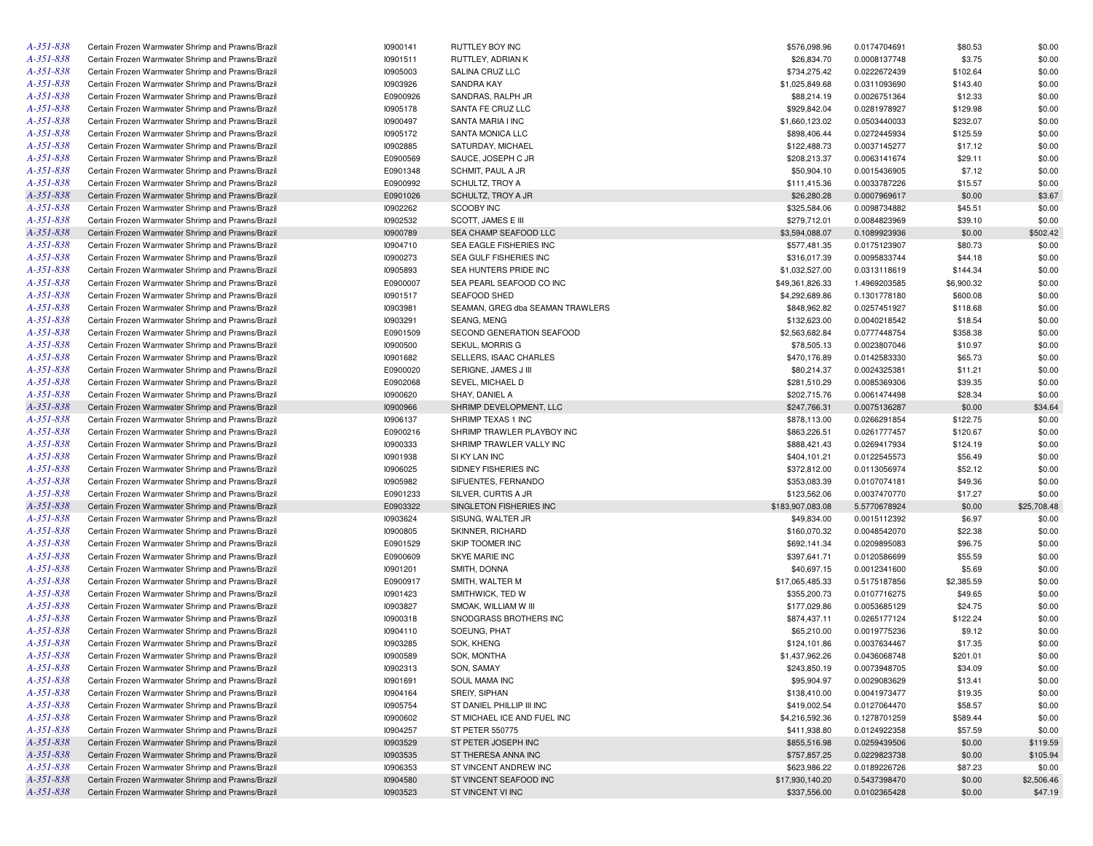| $A - 351 - 838$ | Certain Frozen Warmwater Shrimp and Prawns/Brazil | 10900141 | RUTTLEY BOY INC                     | \$576,098.96     | 0.0174704691 | \$80.53    | \$0.00      |
|-----------------|---------------------------------------------------|----------|-------------------------------------|------------------|--------------|------------|-------------|
| A-351-838       | Certain Frozen Warmwater Shrimp and Prawns/Brazil | 10901511 | RUTTLEY, ADRIAN K                   | \$26,834.70      | 0.0008137748 | \$3.75     | \$0.00      |
| A-351-838       | Certain Frozen Warmwater Shrimp and Prawns/Brazil | 10905003 | SALINA CRUZ LLC                     | \$734,275.42     | 0.0222672439 | \$102.64   | \$0.00      |
| A-351-838       | Certain Frozen Warmwater Shrimp and Prawns/Brazil | 10903926 | <b>SANDRA KAY</b>                   | \$1,025,849.68   | 0.0311093690 | \$143.40   | \$0.00      |
| A-351-838       | Certain Frozen Warmwater Shrimp and Prawns/Brazil | E0900926 | SANDRAS, RALPH JR                   | \$88,214.19      | 0.0026751364 | \$12.33    | \$0.00      |
| A-351-838       | Certain Frozen Warmwater Shrimp and Prawns/Brazil | 10905178 | SANTA FE CRUZ LLC                   | \$929,842.04     | 0.0281978927 | \$129.98   | \$0.00      |
| A-351-838       | Certain Frozen Warmwater Shrimp and Prawns/Brazil | 10900497 | SANTA MARIA I INC                   | \$1,660,123.02   | 0.0503440033 | \$232.07   | \$0.00      |
| A-351-838       | Certain Frozen Warmwater Shrimp and Prawns/Brazil | 10905172 | SANTA MONICA LLC                    | \$898,406.44     | 0.0272445934 | \$125.59   | \$0.00      |
| A-351-838       | Certain Frozen Warmwater Shrimp and Prawns/Brazil | 10902885 | SATURDAY, MICHAEL                   | \$122,488.73     | 0.0037145277 | \$17.12    | \$0.00      |
| A-351-838       | Certain Frozen Warmwater Shrimp and Prawns/Brazil | E0900569 | SAUCE, JOSEPH C JR                  | \$208,213.37     | 0.0063141674 | \$29.11    | \$0.00      |
| A-351-838       | Certain Frozen Warmwater Shrimp and Prawns/Brazil | E0901348 | SCHMIT, PAUL A JR                   | \$50,904.10      | 0.0015436905 | \$7.12     | \$0.00      |
| A-351-838       | Certain Frozen Warmwater Shrimp and Prawns/Brazil | E0900992 | SCHULTZ, TROY A                     | \$111,415.36     | 0.0033787226 | \$15.57    | \$0.00      |
| A-351-838       | Certain Frozen Warmwater Shrimp and Prawns/Brazil | E0901026 | SCHULTZ, TROY A JR                  | \$26,280.28      | 0.0007969617 | \$0.00     | \$3.67      |
| $A - 351 - 838$ | Certain Frozen Warmwater Shrimp and Prawns/Brazil | 10902262 | <b>SCOOBY INC</b>                   | \$325,584.06     | 0.0098734882 | \$45.51    | \$0.00      |
| A-351-838       | Certain Frozen Warmwater Shrimp and Prawns/Brazil | 10902532 | SCOTT, JAMES E III                  | \$279,712.01     | 0.0084823969 | \$39.10    | \$0.00      |
| A-351-838       | Certain Frozen Warmwater Shrimp and Prawns/Brazil | 10900789 | SEA CHAMP SEAFOOD LLC               | \$3,594,088.07   | 0.1089923936 | \$0.00     | \$502.42    |
| A-351-838       |                                                   |          |                                     |                  |              |            |             |
|                 | Certain Frozen Warmwater Shrimp and Prawns/Brazil | 10904710 | SEA EAGLE FISHERIES INC             | \$577,481.35     | 0.0175123907 | \$80.73    | \$0.00      |
| A-351-838       | Certain Frozen Warmwater Shrimp and Prawns/Brazil | 10900273 | SEA GULF FISHERIES INC              | \$316,017.39     | 0.0095833744 | \$44.18    | \$0.00      |
| A-351-838       | Certain Frozen Warmwater Shrimp and Prawns/Brazil | 10905893 | SEA HUNTERS PRIDE INC               | \$1,032,527.00   | 0.0313118619 | \$144.34   | \$0.00      |
| A-351-838       | Certain Frozen Warmwater Shrimp and Prawns/Brazil | E0900007 | SEA PEARL SEAFOOD CO INC            | \$49,361,826.33  | 1.4969203585 | \$6,900.32 | \$0.00      |
| A-351-838       | Certain Frozen Warmwater Shrimp and Prawns/Brazil | 10901517 | SEAFOOD SHED                        | \$4,292,689.86   | 0.1301778180 | \$600.08   | \$0.00      |
| A-351-838       | Certain Frozen Warmwater Shrimp and Prawns/Brazil | 10903981 | SEAMAN, GREG dba SEAMAN TRAWLERS    | \$848,962.82     | 0.0257451927 | \$118.68   | \$0.00      |
| A-351-838       | Certain Frozen Warmwater Shrimp and Prawns/Brazil | 10903291 | SEANG, MENG                         | \$132,623.00     | 0.0040218542 | \$18.54    | \$0.00      |
| A-351-838       | Certain Frozen Warmwater Shrimp and Prawns/Brazil | E0901509 | SECOND GENERATION SEAFOOD           | \$2,563,682.84   | 0.0777448754 | \$358.38   | \$0.00      |
| A-351-838       | Certain Frozen Warmwater Shrimp and Prawns/Brazil | 10900500 | SEKUL, MORRIS G                     | \$78,505.13      | 0.0023807046 | \$10.97    | \$0.00      |
| A-351-838       | Certain Frozen Warmwater Shrimp and Prawns/Brazil | 10901682 | SELLERS, ISAAC CHARLES              | \$470,176.89     | 0.0142583330 | \$65.73    | \$0.00      |
| A-351-838       | Certain Frozen Warmwater Shrimp and Prawns/Brazil | E0900020 | SERIGNE, JAMES J III                | \$80,214.37      | 0.0024325381 | \$11.21    | \$0.00      |
| A-351-838       | Certain Frozen Warmwater Shrimp and Prawns/Brazil | E0902068 | SEVEL, MICHAEL D                    | \$281,510.29     | 0.0085369306 | \$39.35    | \$0.00      |
| A-351-838       | Certain Frozen Warmwater Shrimp and Prawns/Brazil | 10900620 | SHAY, DANIEL A                      | \$202,715.76     | 0.0061474498 | \$28.34    | \$0.00      |
| $A - 351 - 838$ | Certain Frozen Warmwater Shrimp and Prawns/Brazil | 10900966 | SHRIMP DEVELOPMENT, LLC             | \$247,766.31     | 0.0075136287 | \$0.00     | \$34.64     |
| A-351-838       | Certain Frozen Warmwater Shrimp and Prawns/Brazil | 10906137 | SHRIMP TEXAS 1 INC                  | \$878,113.00     | 0.0266291854 | \$122.75   | \$0.00      |
| A-351-838       | Certain Frozen Warmwater Shrimp and Prawns/Brazil | E0900216 | SHRIMP TRAWLER PLAYBOY INC          | \$863,226.51     | 0.0261777457 | \$120.67   | \$0.00      |
| A-351-838       | Certain Frozen Warmwater Shrimp and Prawns/Brazil | 10900333 | SHRIMP TRAWLER VALLY INC            | \$888,421.43     | 0.0269417934 | \$124.19   | \$0.00      |
| A-351-838       | Certain Frozen Warmwater Shrimp and Prawns/Brazil | 10901938 | SI KY LAN INC                       | \$404,101.21     | 0.0122545573 | \$56.49    | \$0.00      |
| A-351-838       | Certain Frozen Warmwater Shrimp and Prawns/Brazil | 10906025 | SIDNEY FISHERIES INC                | \$372,812.00     | 0.0113056974 | \$52.12    | \$0.00      |
| A-351-838       | Certain Frozen Warmwater Shrimp and Prawns/Brazil | 10905982 | SIFUENTES, FERNANDO                 | \$353,083.39     | 0.0107074181 | \$49.36    | \$0.00      |
| A-351-838       | Certain Frozen Warmwater Shrimp and Prawns/Brazil | E0901233 | SILVER, CURTIS A JR                 | \$123,562.06     | 0.0037470770 | \$17.27    | \$0.00      |
| $A - 351 - 838$ | Certain Frozen Warmwater Shrimp and Prawns/Brazil | E0903322 | SINGLETON FISHERIES INC             | \$183,907,083.08 | 5.5770678924 | \$0.00     | \$25,708.48 |
| A-351-838       | Certain Frozen Warmwater Shrimp and Prawns/Brazil | 10903624 | SISUNG, WALTER JR                   | \$49,834.00      | 0.0015112392 | \$6.97     | \$0.00      |
| A-351-838       | Certain Frozen Warmwater Shrimp and Prawns/Brazil | 10900805 | SKINNER, RICHARD                    | \$160,070.32     | 0.0048542070 | \$22.38    | \$0.00      |
| A-351-838       | Certain Frozen Warmwater Shrimp and Prawns/Brazil | E0901529 | SKIP TOOMER INC                     | \$692,141.34     | 0.0209895083 | \$96.75    | \$0.00      |
| $A - 351 - 838$ | Certain Frozen Warmwater Shrimp and Prawns/Brazil | E0900609 | SKYE MARIE INC                      | \$397,641.71     | 0.0120586699 | \$55.59    | \$0.00      |
| A-351-838       |                                                   | 10901201 |                                     |                  |              |            | \$0.00      |
|                 | Certain Frozen Warmwater Shrimp and Prawns/Brazil |          | SMITH, DONNA                        | \$40,697.15      | 0.0012341600 | \$5.69     |             |
| A-351-838       | Certain Frozen Warmwater Shrimp and Prawns/Brazil | E0900917 | SMITH, WALTER M<br>SMITHWICK, TED W | \$17,065,485.33  | 0.5175187856 | \$2,385.59 | \$0.00      |
| A-351-838       | Certain Frozen Warmwater Shrimp and Prawns/Brazil | 10901423 |                                     | \$355,200.73     | 0.0107716275 | \$49.65    | \$0.00      |
| A-351-838       | Certain Frozen Warmwater Shrimp and Prawns/Brazil | 10903827 | SMOAK, WILLIAM W III                | \$177,029.86     | 0.0053685129 | \$24.75    | \$0.00      |
| A-351-838       | Certain Frozen Warmwater Shrimp and Prawns/Brazil | 10900318 | SNODGRASS BROTHERS INC              | \$874,437.11     | 0.0265177124 | \$122.24   | \$0.00      |
| A-351-838       | Certain Frozen Warmwater Shrimp and Prawns/Brazil | 10904110 | SOEUNG, PHAT                        | \$65,210.00      | 0.0019775236 | \$9.12     | \$0.00      |
| A-351-838       | Certain Frozen Warmwater Shrimp and Prawns/Brazil | 10903285 | SOK, KHENG                          | \$124,101.86     | 0.0037634467 | \$17.35    | \$0.00      |
| A-351-838       | Certain Frozen Warmwater Shrimp and Prawns/Brazil | 10900589 | SOK, MONTHA                         | \$1,437,962.26   | 0.0436068748 | \$201.01   | \$0.00      |
| $A - 35I - 838$ | Certain Frozen Warmwater Shrimp and Prawns/Brazil | 10902313 | SON, SAMAY                          | \$243,850.19     | 0.0073948705 | \$34.09    | \$0.00      |
| $A - 35I - 838$ | Certain Frozen Warmwater Shrimp and Prawns/Brazil | 10901691 | SOUL MAMA INC                       | \$95,904.97      | 0.0029083629 | \$13.41    | \$0.00      |
| A-351-838       | Certain Frozen Warmwater Shrimp and Prawns/Brazil | 10904164 | SREIY, SIPHAN                       | \$138,410.00     | 0.0041973477 | \$19.35    | \$0.00      |
| $A - 351 - 838$ | Certain Frozen Warmwater Shrimp and Prawns/Brazil | 10905754 | ST DANIEL PHILLIP III INC           | \$419,002.54     | 0.0127064470 | \$58.57    | \$0.00      |
| A-351-838       | Certain Frozen Warmwater Shrimp and Prawns/Brazil | 10900602 | ST MICHAEL ICE AND FUEL INC         | \$4,216,592.36   | 0.1278701259 | \$589.44   | \$0.00      |
| A-351-838       | Certain Frozen Warmwater Shrimp and Prawns/Brazil | 10904257 | ST PETER 550775                     | \$411,938.80     | 0.0124922358 | \$57.59    | \$0.00      |
| A-351-838       | Certain Frozen Warmwater Shrimp and Prawns/Brazil | 10903529 | ST PETER JOSEPH INC                 | \$855,516.98     | 0.0259439506 | \$0.00     | \$119.59    |
| A-351-838       | Certain Frozen Warmwater Shrimp and Prawns/Brazil | 10903535 | ST THERESA ANNA INC                 | \$757,857.25     | 0.0229823738 | \$0.00     | \$105.94    |
| A-351-838       | Certain Frozen Warmwater Shrimp and Prawns/Brazil | 10906353 | ST VINCENT ANDREW INC               | \$623,986.22     | 0.0189226726 | \$87.23    | \$0.00      |
| A-351-838       | Certain Frozen Warmwater Shrimp and Prawns/Brazil | 10904580 | ST VINCENT SEAFOOD INC              | \$17,930,140.20  | 0.5437398470 | \$0.00     | \$2,506.46  |
| A-351-838       | Certain Frozen Warmwater Shrimp and Prawns/Brazil | 10903523 | ST VINCENT VI INC                   | \$337,556.00     | 0.0102365428 | \$0.00     | \$47.19     |
|                 |                                                   |          |                                     |                  |              |            |             |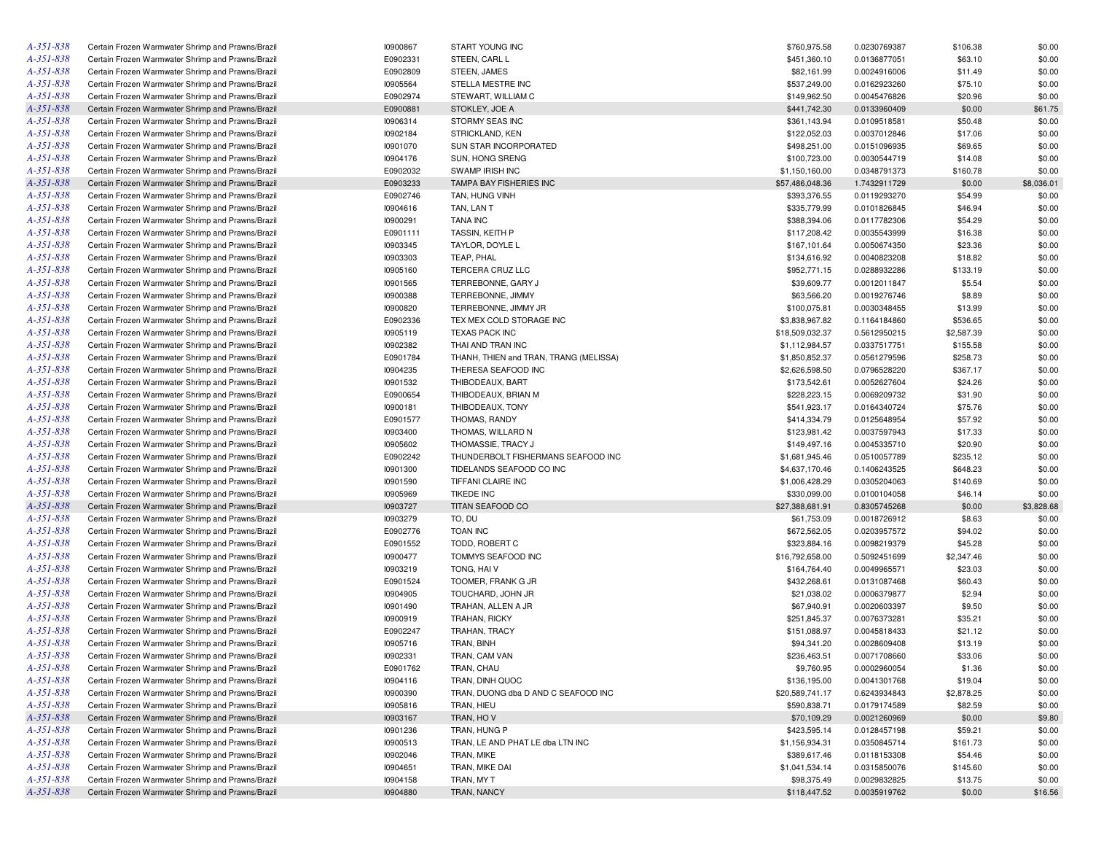| A-351-838       | Certain Frozen Warmwater Shrimp and Prawns/Brazil | 10900867 | START YOUNG INC                        | \$760,975.58    | 0.0230769387 | \$106.38   | \$0.00     |
|-----------------|---------------------------------------------------|----------|----------------------------------------|-----------------|--------------|------------|------------|
| A-351-838       | Certain Frozen Warmwater Shrimp and Prawns/Brazil | E0902331 | STEEN, CARL L                          | \$451,360.10    | 0.0136877051 | \$63.10    | \$0.00     |
| A-351-838       | Certain Frozen Warmwater Shrimp and Prawns/Brazil | E0902809 | STEEN, JAMES                           | \$82,161.99     | 0.0024916006 | \$11.49    | \$0.00     |
| A-351-838       | Certain Frozen Warmwater Shrimp and Prawns/Brazil | 10905564 | STELLA MESTRE INC                      | \$537,249.00    | 0.0162923260 | \$75.10    | \$0.00     |
| A-351-838       | Certain Frozen Warmwater Shrimp and Prawns/Brazil | E0902974 | STEWART, WILLIAM C                     | \$149,962.50    | 0.0045476826 | \$20.96    | \$0.00     |
| A-351-838       | Certain Frozen Warmwater Shrimp and Prawns/Brazil | E0900881 | STOKLEY, JOE A                         | \$441,742.30    | 0.0133960409 | \$0.00     | \$61.75    |
| A-351-838       | Certain Frozen Warmwater Shrimp and Prawns/Brazil | 10906314 | STORMY SEAS INC                        | \$361,143.94    | 0.0109518581 | \$50.48    | \$0.00     |
| A-351-838       | Certain Frozen Warmwater Shrimp and Prawns/Brazil | 10902184 | STRICKLAND, KEN                        | \$122,052.03    | 0.0037012846 | \$17.06    | \$0.00     |
| A-351-838       | Certain Frozen Warmwater Shrimp and Prawns/Brazil | 10901070 | SUN STAR INCORPORATED                  | \$498,251.00    | 0.0151096935 | \$69.65    | \$0.00     |
| A-351-838       | Certain Frozen Warmwater Shrimp and Prawns/Brazil | 10904176 | SUN, HONG SRENG                        | \$100,723.00    | 0.0030544719 | \$14.08    | \$0.00     |
| A-351-838       | Certain Frozen Warmwater Shrimp and Prawns/Brazil | E0902032 | SWAMP IRISH INC                        | \$1,150,160.00  | 0.0348791373 | \$160.78   | \$0.00     |
| A-351-838       | Certain Frozen Warmwater Shrimp and Prawns/Brazil | E0903233 | TAMPA BAY FISHERIES INC                | \$57,486,048.36 | 1.7432911729 | \$0.00     | \$8,036.01 |
| A-351-838       | Certain Frozen Warmwater Shrimp and Prawns/Brazil | E0902746 | TAN, HUNG VINH                         | \$393,376.55    | 0.0119293270 | \$54.99    | \$0.00     |
| A-351-838       | Certain Frozen Warmwater Shrimp and Prawns/Brazil | 10904616 | TAN, LAN T                             | \$335,779.99    | 0.0101826845 | \$46.94    | \$0.00     |
| A-351-838       | Certain Frozen Warmwater Shrimp and Prawns/Brazil | 10900291 | <b>TANA INC</b>                        | \$388,394.06    | 0.0117782306 | \$54.29    | \$0.00     |
| A-351-838       | Certain Frozen Warmwater Shrimp and Prawns/Brazil | E0901111 | TASSIN, KEITH P                        | \$117,208.42    | 0.0035543999 | \$16.38    | \$0.00     |
| A-351-838       | Certain Frozen Warmwater Shrimp and Prawns/Brazil | 10903345 | TAYLOR, DOYLE L                        | \$167,101.64    | 0.0050674350 | \$23.36    | \$0.00     |
| A-351-838       | Certain Frozen Warmwater Shrimp and Prawns/Brazil | 10903303 | TEAP, PHAL                             | \$134,616.92    | 0.0040823208 | \$18.82    | \$0.00     |
| A-351-838       | Certain Frozen Warmwater Shrimp and Prawns/Brazil | 10905160 | TERCERA CRUZ LLC                       | \$952,771.15    | 0.0288932286 | \$133.19   | \$0.00     |
| A-351-838       | Certain Frozen Warmwater Shrimp and Prawns/Brazil | 10901565 | TERREBONNE, GARY J                     | \$39,609.77     | 0.0012011847 | \$5.54     | \$0.00     |
| A-351-838       | Certain Frozen Warmwater Shrimp and Prawns/Brazil | 10900388 | TERREBONNE, JIMMY                      | \$63,566.20     | 0.0019276746 | \$8.89     | \$0.00     |
| A-351-838       |                                                   | 10900820 | TERREBONNE, JIMMY JR                   |                 |              | \$13.99    | \$0.00     |
|                 | Certain Frozen Warmwater Shrimp and Prawns/Brazil |          |                                        | \$100,075.81    | 0.0030348455 |            |            |
| A-351-838       | Certain Frozen Warmwater Shrimp and Prawns/Brazil | E0902336 | TEX MEX COLD STORAGE INC               | \$3,838,967.82  | 0.1164184860 | \$536.65   | \$0.00     |
| A-351-838       | Certain Frozen Warmwater Shrimp and Prawns/Brazil | 10905119 | <b>TEXAS PACK INC</b>                  | \$18,509,032.37 | 0.5612950215 | \$2,587.39 | \$0.00     |
| A-351-838       | Certain Frozen Warmwater Shrimp and Prawns/Brazil | 10902382 | THAI AND TRAN INC                      | \$1,112,984.57  | 0.0337517751 | \$155.58   | \$0.00     |
| A-351-838       | Certain Frozen Warmwater Shrimp and Prawns/Brazil | E0901784 | THANH, THIEN and TRAN, TRANG (MELISSA) | \$1,850,852.37  | 0.0561279596 | \$258.73   | \$0.00     |
| A-351-838       | Certain Frozen Warmwater Shrimp and Prawns/Brazil | 10904235 | THERESA SEAFOOD INC                    | \$2,626,598.50  | 0.0796528220 | \$367.17   | \$0.00     |
| A-351-838       | Certain Frozen Warmwater Shrimp and Prawns/Brazil | 10901532 | THIBODEAUX, BART                       | \$173,542.61    | 0.0052627604 | \$24.26    | \$0.00     |
| A-351-838       | Certain Frozen Warmwater Shrimp and Prawns/Brazil | E0900654 | THIBODEAUX, BRIAN M                    | \$228,223.15    | 0.0069209732 | \$31.90    | \$0.00     |
| A-351-838       | Certain Frozen Warmwater Shrimp and Prawns/Brazil | 10900181 | THIBODEAUX, TONY                       | \$541,923.17    | 0.0164340724 | \$75.76    | \$0.00     |
| A-351-838       | Certain Frozen Warmwater Shrimp and Prawns/Brazil | E0901577 | THOMAS, RANDY                          | \$414,334.79    | 0.0125648954 | \$57.92    | \$0.00     |
| A-351-838       | Certain Frozen Warmwater Shrimp and Prawns/Brazil | 10903400 | THOMAS, WILLARD N                      | \$123,981.42    | 0.0037597943 | \$17.33    | \$0.00     |
| A-351-838       | Certain Frozen Warmwater Shrimp and Prawns/Brazil | 10905602 | THOMASSIE, TRACY J                     | \$149,497.16    | 0.0045335710 | \$20.90    | \$0.00     |
| A-351-838       | Certain Frozen Warmwater Shrimp and Prawns/Brazil | E0902242 | THUNDERBOLT FISHERMANS SEAFOOD INC     | \$1,681,945.46  | 0.0510057789 | \$235.12   | \$0.00     |
| A-351-838       | Certain Frozen Warmwater Shrimp and Prawns/Brazil | 10901300 | TIDELANDS SEAFOOD CO INC               | \$4,637,170.46  | 0.1406243525 | \$648.23   | \$0.00     |
| A-351-838       | Certain Frozen Warmwater Shrimp and Prawns/Brazil | 10901590 | TIFFANI CLAIRE INC                     | \$1,006,428.29  | 0.0305204063 | \$140.69   | \$0.00     |
| A-351-838       | Certain Frozen Warmwater Shrimp and Prawns/Brazil | 10905969 | <b>TIKEDE INC</b>                      | \$330,099.00    | 0.0100104058 | \$46.14    | \$0.00     |
| A-351-838       | Certain Frozen Warmwater Shrimp and Prawns/Brazil | 10903727 | TITAN SEAFOOD CO                       | \$27,388,681.91 | 0.8305745268 | \$0.00     | \$3,828.68 |
| A-351-838       | Certain Frozen Warmwater Shrimp and Prawns/Brazil | 10903279 | TO, DU                                 | \$61,753.09     | 0.0018726912 | \$8.63     | \$0.00     |
| A-351-838       | Certain Frozen Warmwater Shrimp and Prawns/Brazil | E0902776 | <b>TOAN INC</b>                        | \$672,562.05    | 0.0203957572 | \$94.02    | \$0.00     |
| A-351-838       | Certain Frozen Warmwater Shrimp and Prawns/Brazil | E0901552 | TODD, ROBERT C                         | \$323,884.16    | 0.0098219379 | \$45.28    | \$0.00     |
| A-351-838       | Certain Frozen Warmwater Shrimp and Prawns/Brazil | 10900477 | TOMMYS SEAFOOD INC                     | \$16,792,658.00 | 0.5092451699 | \$2,347.46 | \$0.00     |
| A-351-838       | Certain Frozen Warmwater Shrimp and Prawns/Brazil | 10903219 | TONG, HAI V                            | \$164,764.40    | 0.0049965571 | \$23.03    | \$0.00     |
| A-351-838       | Certain Frozen Warmwater Shrimp and Prawns/Brazil | E0901524 | TOOMER, FRANK G JR                     | \$432,268.61    | 0.0131087468 | \$60.43    | \$0.00     |
| A-351-838       | Certain Frozen Warmwater Shrimp and Prawns/Brazil | 10904905 | TOUCHARD, JOHN JR                      | \$21,038.02     | 0.0006379877 | \$2.94     | \$0.00     |
| A-351-838       | Certain Frozen Warmwater Shrimp and Prawns/Brazil | 10901490 | TRAHAN, ALLEN A JR                     | \$67,940.91     | 0.0020603397 | \$9.50     | \$0.00     |
| A-351-838       | Certain Frozen Warmwater Shrimp and Prawns/Brazil | 10900919 | <b>TRAHAN, RICKY</b>                   | \$251,845.37    | 0.0076373281 | \$35.21    | \$0.00     |
| A-351-838       | Certain Frozen Warmwater Shrimp and Prawns/Brazil | E0902247 | TRAHAN, TRACY                          | \$151,088.97    | 0.0045818433 | \$21.12    | \$0.00     |
| A-351-838       | Certain Frozen Warmwater Shrimp and Prawns/Brazil | 10905716 | <b>TRAN, BINH</b>                      | \$94,341.20     | 0.0028609408 | \$13.19    | \$0.00     |
| A-351-838       | Certain Frozen Warmwater Shrimp and Prawns/Brazil | 10902331 | TRAN, CAM VAN                          | \$236,463.51    | 0.0071708660 | \$33.06    | \$0.00     |
| A-351-838       | Certain Frozen Warmwater Shrimp and Prawns/Brazil | E0901762 | TRAN, CHAU                             | \$9,760.95      | 0.0002960054 | \$1.36     | \$0.00     |
| A-351-838       | Certain Frozen Warmwater Shrimp and Prawns/Brazil | 10904116 | TRAN, DINH QUOC                        | \$136,195.00    | 0.0041301768 | \$19.04    | \$0.00     |
| A-351-838       | Certain Frozen Warmwater Shrimp and Prawns/Brazil | 10900390 | TRAN, DUONG dba D AND C SEAFOOD INC    | \$20,589,741.17 | 0.6243934843 | \$2,878.25 | \$0.00     |
| A-351-838       | Certain Frozen Warmwater Shrimp and Prawns/Brazil | 10905816 | TRAN, HIEU                             | \$590,838.71    | 0.0179174589 | \$82.59    | \$0.00     |
| A-351-838       | Certain Frozen Warmwater Shrimp and Prawns/Brazil | 10903167 | TRAN, HOV                              | \$70,109.29     | 0.0021260969 | \$0.00     | \$9.80     |
| A-351-838       | Certain Frozen Warmwater Shrimp and Prawns/Brazil | 10901236 | TRAN, HUNG P                           | \$423,595.14    | 0.0128457198 | \$59.21    | \$0.00     |
| A-351-838       | Certain Frozen Warmwater Shrimp and Prawns/Brazil | 10900513 | TRAN, LE AND PHAT LE dba LTN INC       | \$1,156,934.31  | 0.0350845714 | \$161.73   | \$0.00     |
| A-351-838       | Certain Frozen Warmwater Shrimp and Prawns/Brazil | 10902046 | TRAN, MIKE                             | \$389,617.46    | 0.0118153308 | \$54.46    | \$0.00     |
| A-351-838       | Certain Frozen Warmwater Shrimp and Prawns/Brazil | 10904651 | TRAN, MIKE DAI                         | \$1,041,534.14  | 0.0315850076 | \$145.60   | \$0.00     |
| A-351-838       | Certain Frozen Warmwater Shrimp and Prawns/Brazil | 10904158 | TRAN, MY T                             | \$98,375.49     | 0.0029832825 | \$13.75    | \$0.00     |
| $A - 35I - 838$ | Certain Frozen Warmwater Shrimp and Prawns/Brazil | 10904880 | TRAN, NANCY                            | \$118,447.52    | 0.0035919762 | \$0.00     | \$16.56    |
|                 |                                                   |          |                                        |                 |              |            |            |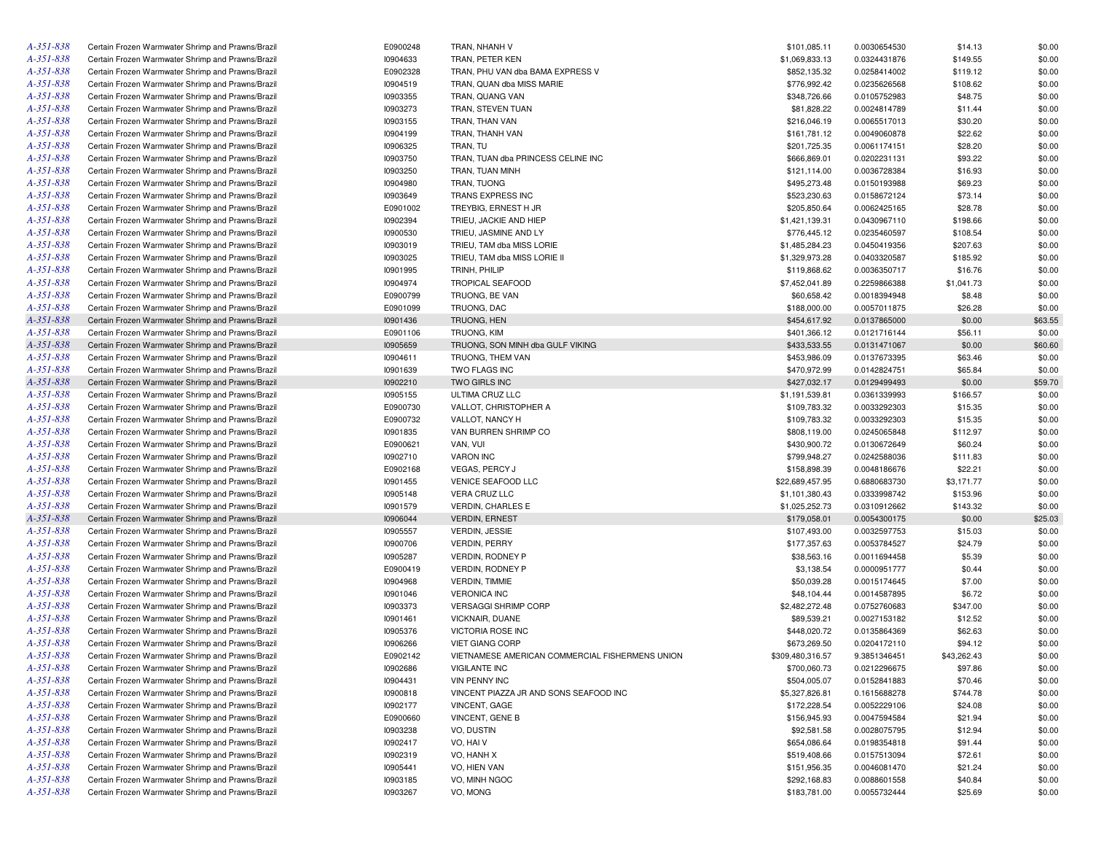| A-351-838       | Certain Frozen Warmwater Shrimp and Prawns/Brazil | E0900248 | TRAN, NHANH V                                   | \$101,085.11     | 0.0030654530 | \$14.13     | \$0.00  |
|-----------------|---------------------------------------------------|----------|-------------------------------------------------|------------------|--------------|-------------|---------|
| A-351-838       | Certain Frozen Warmwater Shrimp and Prawns/Brazil | 10904633 | TRAN, PETER KEN                                 | \$1,069,833.13   | 0.0324431876 | \$149.55    | \$0.00  |
| A-351-838       | Certain Frozen Warmwater Shrimp and Prawns/Brazil | E0902328 | TRAN, PHU VAN dba BAMA EXPRESS V                | \$852,135.32     | 0.0258414002 | \$119.12    | \$0.00  |
| A-351-838       | Certain Frozen Warmwater Shrimp and Prawns/Brazil | 10904519 | TRAN, QUAN dba MISS MARIE                       | \$776,992.42     | 0.0235626568 | \$108.62    | \$0.00  |
| A-351-838       | Certain Frozen Warmwater Shrimp and Prawns/Brazil | 10903355 | TRAN, QUANG VAN                                 | \$348,726.66     | 0.0105752983 | \$48.75     | \$0.00  |
| A-351-838       | Certain Frozen Warmwater Shrimp and Prawns/Brazil | 10903273 | TRAN, STEVEN TUAN                               | \$81,828.22      | 0.0024814789 | \$11.44     | \$0.00  |
| A-351-838       | Certain Frozen Warmwater Shrimp and Prawns/Brazil | 10903155 | TRAN, THAN VAN                                  | \$216,046.19     | 0.0065517013 | \$30.20     | \$0.00  |
| A-351-838       | Certain Frozen Warmwater Shrimp and Prawns/Brazil | 10904199 | TRAN, THANH VAN                                 | \$161,781.12     | 0.0049060878 | \$22.62     | \$0.00  |
| A-351-838       |                                                   |          |                                                 |                  |              |             |         |
|                 | Certain Frozen Warmwater Shrimp and Prawns/Brazil | 10906325 | TRAN, TU                                        | \$201,725.35     | 0.0061174151 | \$28.20     | \$0.00  |
| A-351-838       | Certain Frozen Warmwater Shrimp and Prawns/Brazil | 10903750 | TRAN, TUAN dba PRINCESS CELINE INC              | \$666,869.01     | 0.0202231131 | \$93.22     | \$0.00  |
| A-351-838       | Certain Frozen Warmwater Shrimp and Prawns/Brazil | 10903250 | TRAN, TUAN MINH                                 | \$121,114.00     | 0.0036728384 | \$16.93     | \$0.00  |
| A-351-838       | Certain Frozen Warmwater Shrimp and Prawns/Brazil | 10904980 | TRAN, TUONG                                     | \$495,273.48     | 0.0150193988 | \$69.23     | \$0.00  |
| A-351-838       | Certain Frozen Warmwater Shrimp and Prawns/Brazil | 10903649 | TRANS EXPRESS INC                               | \$523,230.63     | 0.0158672124 | \$73.14     | \$0.00  |
| A-351-838       | Certain Frozen Warmwater Shrimp and Prawns/Brazil | E0901002 | TREYBIG, ERNEST H JR                            | \$205,850.64     | 0.0062425165 | \$28.78     | \$0.00  |
| A-351-838       | Certain Frozen Warmwater Shrimp and Prawns/Brazil | 10902394 | TRIEU, JACKIE AND HIEP                          | \$1,421,139.31   | 0.0430967110 | \$198.66    | \$0.00  |
| A-351-838       | Certain Frozen Warmwater Shrimp and Prawns/Brazil | 10900530 | TRIEU, JASMINE AND LY                           | \$776,445.12     | 0.0235460597 | \$108.54    | \$0.00  |
| A-351-838       | Certain Frozen Warmwater Shrimp and Prawns/Brazil | 10903019 | TRIEU, TAM dba MISS LORIE                       | \$1,485,284.23   | 0.0450419356 | \$207.63    | \$0.00  |
| A-351-838       | Certain Frozen Warmwater Shrimp and Prawns/Brazil | 10903025 | TRIEU, TAM dba MISS LORIE II                    | \$1,329,973.28   | 0.0403320587 | \$185.92    | \$0.00  |
| A-351-838       | Certain Frozen Warmwater Shrimp and Prawns/Brazil | 10901995 | TRINH, PHILIP                                   | \$119,868.62     | 0.0036350717 | \$16.76     | \$0.00  |
| A-351-838       | Certain Frozen Warmwater Shrimp and Prawns/Brazil | 10904974 | <b>TROPICAL SEAFOOD</b>                         | \$7,452,041.89   | 0.2259866388 | \$1,041.73  | \$0.00  |
| A-351-838       | Certain Frozen Warmwater Shrimp and Prawns/Brazil | E0900799 | TRUONG, BE VAN                                  | \$60,658.42      | 0.0018394948 | \$8.48      | \$0.00  |
| A-351-838       | Certain Frozen Warmwater Shrimp and Prawns/Brazil | E0901099 | TRUONG, DAC                                     | \$188,000.00     | 0.0057011875 | \$26.28     | \$0.00  |
| A-351-838       |                                                   |          |                                                 |                  |              |             |         |
|                 | Certain Frozen Warmwater Shrimp and Prawns/Brazil | 10901436 | TRUONG, HEN                                     | \$454,617.92     | 0.0137865000 | \$0.00      | \$63.55 |
| A-351-838       | Certain Frozen Warmwater Shrimp and Prawns/Brazil | E0901106 | TRUONG, KIM                                     | \$401,366.12     | 0.0121716144 | \$56.11     | \$0.00  |
| A-351-838       | Certain Frozen Warmwater Shrimp and Prawns/Brazil | 10905659 | TRUONG, SON MINH dba GULF VIKING                | \$433,533.55     | 0.0131471067 | \$0.00      | \$60.60 |
| A-351-838       | Certain Frozen Warmwater Shrimp and Prawns/Brazil | 10904611 | TRUONG, THEM VAN                                | \$453,986.09     | 0.0137673395 | \$63.46     | \$0.00  |
| A-351-838       | Certain Frozen Warmwater Shrimp and Prawns/Brazil | 10901639 | TWO FLAGS INC                                   | \$470,972.99     | 0.0142824751 | \$65.84     | \$0.00  |
| A-351-838       | Certain Frozen Warmwater Shrimp and Prawns/Brazil | 10902210 | TWO GIRLS INC                                   | \$427,032.17     | 0.0129499493 | \$0.00      | \$59.70 |
| A-351-838       | Certain Frozen Warmwater Shrimp and Prawns/Brazil | 10905155 | ULTIMA CRUZ LLC                                 | \$1,191,539.81   | 0.0361339993 | \$166.57    | \$0.00  |
| A-351-838       | Certain Frozen Warmwater Shrimp and Prawns/Brazil | E0900730 | VALLOT, CHRISTOPHER A                           | \$109,783.32     | 0.0033292303 | \$15.35     | \$0.00  |
| A-351-838       | Certain Frozen Warmwater Shrimp and Prawns/Brazil | E0900732 | VALLOT, NANCY H                                 | \$109,783.32     | 0.0033292303 | \$15.35     | \$0.00  |
| A-351-838       | Certain Frozen Warmwater Shrimp and Prawns/Brazil | 10901835 | VAN BURREN SHRIMP CO                            | \$808,119.00     | 0.0245065848 | \$112.97    | \$0.00  |
| A-351-838       | Certain Frozen Warmwater Shrimp and Prawns/Brazil | E0900621 | VAN, VUI                                        | \$430,900.72     | 0.0130672649 | \$60.24     | \$0.00  |
| A-351-838       | Certain Frozen Warmwater Shrimp and Prawns/Brazil | 10902710 | <b>VARON INC</b>                                | \$799,948.27     | 0.0242588036 | \$111.83    | \$0.00  |
| A-351-838       | Certain Frozen Warmwater Shrimp and Prawns/Brazil | E0902168 | VEGAS, PERCY J                                  | \$158,898.39     | 0.0048186676 | \$22.21     | \$0.00  |
| A-351-838       | Certain Frozen Warmwater Shrimp and Prawns/Brazil | 10901455 | VENICE SEAFOOD LLC                              | \$22,689,457.95  | 0.6880683730 | \$3,171.77  | \$0.00  |
| A-351-838       | Certain Frozen Warmwater Shrimp and Prawns/Brazil | 10905148 | VERA CRUZ LLC                                   | \$1,101,380.43   | 0.0333998742 | \$153.96    | \$0.00  |
| A-351-838       | Certain Frozen Warmwater Shrimp and Prawns/Brazil | 10901579 | VERDIN, CHARLES E                               | \$1,025,252.73   | 0.0310912662 | \$143.32    | \$0.00  |
| A-351-838       | Certain Frozen Warmwater Shrimp and Prawns/Brazil | 10906044 | <b>VERDIN, ERNEST</b>                           | \$179,058.01     | 0.0054300175 | \$0.00      | \$25.03 |
| A-351-838       | Certain Frozen Warmwater Shrimp and Prawns/Brazil | 10905557 | <b>VERDIN, JESSIE</b>                           | \$107,493.00     | 0.0032597753 | \$15.03     | \$0.00  |
| A-351-838       |                                                   |          | <b>VERDIN, PERRY</b>                            |                  |              |             |         |
|                 | Certain Frozen Warmwater Shrimp and Prawns/Brazil | 10900706 |                                                 | \$177,357.63     | 0.0053784527 | \$24.79     | \$0.00  |
| A-351-838       | Certain Frozen Warmwater Shrimp and Prawns/Brazil | 10905287 | VERDIN, RODNEY P                                | \$38,563.16      | 0.0011694458 | \$5.39      | \$0.00  |
| A-351-838       | Certain Frozen Warmwater Shrimp and Prawns/Brazil | E0900419 | VERDIN, RODNEY P                                | \$3,138.54       | 0.0000951777 | \$0.44      | \$0.00  |
| A-351-838       | Certain Frozen Warmwater Shrimp and Prawns/Brazil | 10904968 | <b>VERDIN, TIMMIE</b>                           | \$50,039.28      | 0.0015174645 | \$7.00      | \$0.00  |
| A-351-838       | Certain Frozen Warmwater Shrimp and Prawns/Brazil | 10901046 | <b>VERONICA INC</b>                             | \$48,104.44      | 0.0014587895 | \$6.72      | \$0.00  |
| A-351-838       | Certain Frozen Warmwater Shrimp and Prawns/Brazil | 10903373 | <b>VERSAGGI SHRIMP CORP</b>                     | \$2,482,272.48   | 0.0752760683 | \$347.00    | \$0.00  |
| A-351-838       | Certain Frozen Warmwater Shrimp and Prawns/Brazil | 10901461 | VICKNAIR, DUANE                                 | \$89,539.21      | 0.0027153182 | \$12.52     | \$0.00  |
| A-351-838       | Certain Frozen Warmwater Shrimp and Prawns/Brazil | 10905376 | VICTORIA ROSE INC                               | \$448,020.72     | 0.0135864369 | \$62.63     | \$0.00  |
| A-351-838       | Certain Frozen Warmwater Shrimp and Prawns/Brazil | 10906266 | <b>VIET GIANG CORP</b>                          | \$673,269.50     | 0.0204172110 | \$94.12     | \$0.00  |
| A-351-838       | Certain Frozen Warmwater Shrimp and Prawns/Brazil | E0902142 | VIETNAMESE AMERICAN COMMERCIAL FISHERMENS UNION | \$309,480,316.57 | 9.3851346451 | \$43,262.43 | \$0.00  |
| A-351-838       | Certain Frozen Warmwater Shrimp and Prawns/Brazil | 10902686 | <b>VIGILANTE INC</b>                            | \$700,060.73     | 0.0212296675 | \$97.86     | \$0.00  |
| A-351-838       | Certain Frozen Warmwater Shrimp and Prawns/Brazil | 10904431 | VIN PENNY INC                                   | \$504,005.07     | 0.0152841883 | \$70.46     | \$0.00  |
| A-351-838       | Certain Frozen Warmwater Shrimp and Prawns/Brazil | 10900818 | VINCENT PIAZZA JR AND SONS SEAFOOD INC          | \$5,327,826.81   | 0.1615688278 | \$744.78    | \$0.00  |
| A-351-838       | Certain Frozen Warmwater Shrimp and Prawns/Brazil | 10902177 | VINCENT, GAGE                                   | \$172,228.54     | 0.0052229106 | \$24.08     | \$0.00  |
| A-351-838       | Certain Frozen Warmwater Shrimp and Prawns/Brazil | E0900660 | VINCENT, GENE B                                 | \$156,945.93     | 0.0047594584 | \$21.94     | \$0.00  |
| $A - 351 - 838$ | Certain Frozen Warmwater Shrimp and Prawns/Brazil | 10903238 | VO, DUSTIN                                      | \$92,581.58      | 0.0028075795 | \$12.94     | \$0.00  |
| $A - 351 - 838$ | Certain Frozen Warmwater Shrimp and Prawns/Brazil | 10902417 | VO, HAI V                                       | \$654,086.64     | 0.0198354818 | \$91.44     | \$0.00  |
|                 |                                                   |          |                                                 |                  |              |             |         |
| A-351-838       | Certain Frozen Warmwater Shrimp and Prawns/Brazil | 10902319 | VO, HANH X                                      | \$519,408.66     | 0.0157513094 | \$72.61     | \$0.00  |
| $A - 351 - 838$ | Certain Frozen Warmwater Shrimp and Prawns/Brazil | 10905441 | VO, HIEN VAN                                    | \$151,956.35     | 0.0046081470 | \$21.24     | \$0.00  |
| A-351-838       | Certain Frozen Warmwater Shrimp and Prawns/Brazil | 10903185 | VO, MINH NGOC                                   | \$292,168.83     | 0.0088601558 | \$40.84     | \$0.00  |
| A-351-838       | Certain Frozen Warmwater Shrimp and Prawns/Brazil | 10903267 | VO, MONG                                        | \$183,781.00     | 0.0055732444 | \$25.69     | \$0.00  |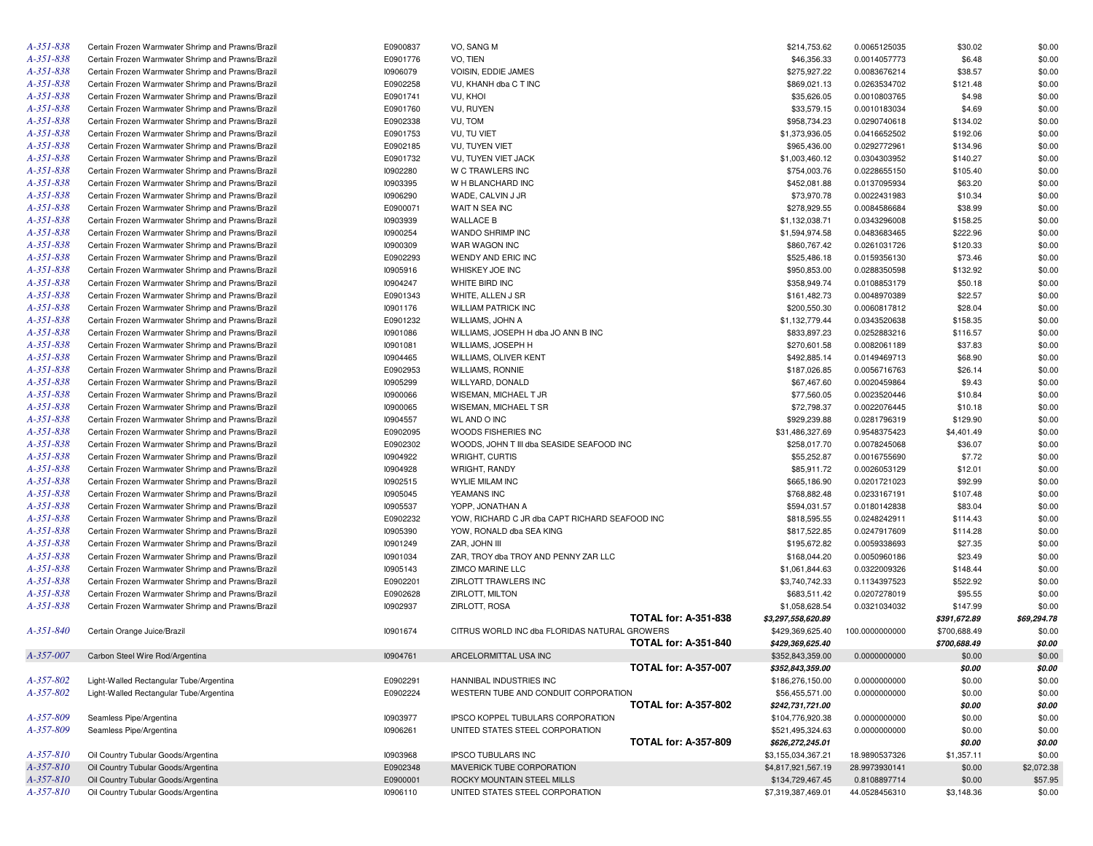| A-351-838       | Certain Frozen Warmwater Shrimp and Prawns/Brazil | E0900837 | VO, SANG M                                                          | \$214,753.62                        | 0.0065125035   | \$30.02      | \$0.00           |
|-----------------|---------------------------------------------------|----------|---------------------------------------------------------------------|-------------------------------------|----------------|--------------|------------------|
| $A - 351 - 838$ | Certain Frozen Warmwater Shrimp and Prawns/Brazil | E0901776 | VO, TIEN                                                            | \$46,356.33                         | 0.0014057773   | \$6.48       | \$0.00           |
| A-351-838       | Certain Frozen Warmwater Shrimp and Prawns/Brazil | 10906079 | VOISIN, EDDIE JAMES                                                 | \$275,927.22                        | 0.0083676214   | \$38.57      | \$0.00           |
| A-351-838       | Certain Frozen Warmwater Shrimp and Prawns/Brazil | E0902258 | VU, KHANH dba C T INC                                               | \$869,021.13                        | 0.0263534702   | \$121.48     | \$0.00           |
| A-351-838       | Certain Frozen Warmwater Shrimp and Prawns/Brazil | E0901741 | VU, KHOI                                                            | \$35,626.05                         | 0.0010803765   | \$4.98       | \$0.00           |
| $A - 351 - 838$ | Certain Frozen Warmwater Shrimp and Prawns/Brazil | E0901760 | VU, RUYEN                                                           | \$33,579.15                         | 0.0010183034   | \$4.69       | \$0.00           |
| A-351-838       | Certain Frozen Warmwater Shrimp and Prawns/Brazil | E0902338 | VU, TOM                                                             | \$958,734.23                        | 0.0290740618   | \$134.02     | \$0.00           |
| A-351-838       | Certain Frozen Warmwater Shrimp and Prawns/Brazil | E0901753 | VU, TU VIET                                                         | \$1,373,936.05                      | 0.0416652502   | \$192.06     | \$0.00           |
| A-351-838       | Certain Frozen Warmwater Shrimp and Prawns/Brazil | E0902185 | VU, TUYEN VIET                                                      | \$965,436.00                        | 0.0292772961   | \$134.96     | \$0.00           |
| A-351-838       | Certain Frozen Warmwater Shrimp and Prawns/Brazil | E0901732 | VU, TUYEN VIET JACK                                                 | \$1,003,460.12                      | 0.0304303952   | \$140.27     | \$0.00           |
| A-351-838       | Certain Frozen Warmwater Shrimp and Prawns/Brazil | 10902280 | W C TRAWLERS INC                                                    | \$754,003.76                        | 0.0228655150   | \$105.40     | \$0.00           |
| $A - 351 - 838$ | Certain Frozen Warmwater Shrimp and Prawns/Brazil | 10903395 | W H BLANCHARD INC                                                   | \$452,081.88                        | 0.0137095934   | \$63.20      | \$0.00           |
| A-351-838       | Certain Frozen Warmwater Shrimp and Prawns/Brazil | 10906290 | WADE, CALVIN J JR                                                   | \$73,970.78                         | 0.0022431983   | \$10.34      | \$0.00           |
| $A - 351 - 838$ | Certain Frozen Warmwater Shrimp and Prawns/Brazil | E0900071 | WAIT N SEA INC                                                      | \$278,929.55                        | 0.0084586684   | \$38.99      | \$0.00           |
| A-351-838       | Certain Frozen Warmwater Shrimp and Prawns/Brazil | 10903939 | <b>WALLACE B</b>                                                    | \$1,132,038.71                      | 0.0343296008   | \$158.25     | \$0.00           |
| A-351-838       |                                                   | 10900254 | WANDO SHRIMP INC                                                    |                                     |                | \$222.96     | \$0.00           |
|                 | Certain Frozen Warmwater Shrimp and Prawns/Brazil |          |                                                                     | \$1,594,974.58                      | 0.0483683465   |              |                  |
| A-351-838       | Certain Frozen Warmwater Shrimp and Prawns/Brazil | 10900309 | WAR WAGON INC                                                       | \$860,767.42                        | 0.0261031726   | \$120.33     | \$0.00           |
| $A - 351 - 838$ | Certain Frozen Warmwater Shrimp and Prawns/Brazil | E0902293 | WENDY AND ERIC INC                                                  | \$525,486.18                        | 0.0159356130   | \$73.46      | \$0.00           |
| A-351-838       | Certain Frozen Warmwater Shrimp and Prawns/Brazil | 10905916 | WHISKEY JOE INC                                                     | \$950,853.00                        | 0.0288350598   | \$132.92     | \$0.00           |
| A-351-838       | Certain Frozen Warmwater Shrimp and Prawns/Brazil | 10904247 | WHITE BIRD INC                                                      | \$358,949.74                        | 0.0108853179   | \$50.18      | \$0.00           |
| A-351-838       | Certain Frozen Warmwater Shrimp and Prawns/Brazil | E0901343 | WHITE, ALLEN J SR                                                   | \$161,482.73                        | 0.0048970389   | \$22.57      | \$0.00           |
| A-351-838       | Certain Frozen Warmwater Shrimp and Prawns/Brazil | 10901176 | <b>WILLIAM PATRICK INC</b>                                          | \$200,550.30                        | 0.0060817812   | \$28.04      | \$0.00           |
| A-351-838       | Certain Frozen Warmwater Shrimp and Prawns/Brazil | E0901232 | WILLIAMS, JOHN A                                                    | \$1,132,779.44                      | 0.0343520638   | \$158.35     | \$0.00           |
| $A - 351 - 838$ | Certain Frozen Warmwater Shrimp and Prawns/Brazil | 10901086 | WILLIAMS, JOSEPH H dba JO ANN B INC                                 | \$833,897.23                        | 0.0252883216   | \$116.57     | \$0.00           |
| A-351-838       | Certain Frozen Warmwater Shrimp and Prawns/Brazil | 10901081 | WILLIAMS, JOSEPH H                                                  | \$270,601.58                        | 0.0082061189   | \$37.83      | \$0.00           |
| $A - 351 - 838$ | Certain Frozen Warmwater Shrimp and Prawns/Brazil | 10904465 | WILLIAMS, OLIVER KENT                                               | \$492,885.14                        | 0.0149469713   | \$68.90      | \$0.00           |
| A-351-838       | Certain Frozen Warmwater Shrimp and Prawns/Brazil | E0902953 | <b>WILLIAMS, RONNIE</b>                                             | \$187,026.85                        | 0.0056716763   | \$26.14      | \$0.00           |
| A-351-838       | Certain Frozen Warmwater Shrimp and Prawns/Brazil | 10905299 | WILLYARD, DONALD                                                    | \$67,467.60                         | 0.0020459864   | \$9.43       | \$0.00           |
| A-351-838       | Certain Frozen Warmwater Shrimp and Prawns/Brazil | 10900066 | WISEMAN, MICHAEL T JR                                               | \$77,560.05                         | 0.0023520446   | \$10.84      | \$0.00           |
| $A - 351 - 838$ | Certain Frozen Warmwater Shrimp and Prawns/Brazil | 10900065 | WISEMAN, MICHAEL T SR                                               | \$72,798.37                         | 0.0022076445   | \$10.18      | \$0.00           |
| A-351-838       | Certain Frozen Warmwater Shrimp and Prawns/Brazil | 10904557 | <b>WL AND O INC</b>                                                 | \$929,239.88                        | 0.0281796319   | \$129.90     | \$0.00           |
| $A - 351 - 838$ | Certain Frozen Warmwater Shrimp and Prawns/Brazil | E0902095 | WOODS FISHERIES INC                                                 | \$31,486,327.69                     | 0.9548375423   | \$4,401.49   | \$0.00           |
| A-351-838       | Certain Frozen Warmwater Shrimp and Prawns/Brazil | E0902302 | WOODS, JOHN T III dba SEASIDE SEAFOOD INC                           | \$258,017.70                        | 0.0078245068   | \$36.07      | \$0.00           |
| A-351-838       | Certain Frozen Warmwater Shrimp and Prawns/Brazil | 10904922 | WRIGHT, CURTIS                                                      | \$55,252.87                         | 0.0016755690   | \$7.72       | \$0.00           |
| A-351-838       | Certain Frozen Warmwater Shrimp and Prawns/Brazil | 10904928 | WRIGHT, RANDY                                                       | \$85,911.72                         | 0.0026053129   | \$12.01      | \$0.00           |
| $A - 351 - 838$ | Certain Frozen Warmwater Shrimp and Prawns/Brazil | 10902515 | <b>WYLIE MILAM INC</b>                                              | \$665,186.90                        | 0.0201721023   | \$92.99      | \$0.00           |
| A-351-838       | Certain Frozen Warmwater Shrimp and Prawns/Brazil | 10905045 | YEAMANS INC                                                         | \$768,882.48                        | 0.0233167191   | \$107.48     | \$0.00           |
| $A - 351 - 838$ | Certain Frozen Warmwater Shrimp and Prawns/Brazil | 10905537 | YOPP, JONATHAN A                                                    | \$594,031.57                        | 0.0180142838   | \$83.04      | \$0.00           |
| A-351-838       | Certain Frozen Warmwater Shrimp and Prawns/Brazil | E0902232 | YOW, RICHARD C JR dba CAPT RICHARD SEAFOOD INC                      | \$818,595.55                        | 0.0248242911   | \$114.43     | \$0.00           |
| A-351-838       | Certain Frozen Warmwater Shrimp and Prawns/Brazil | 10905390 | YOW, RONALD dba SEA KING                                            | \$817,522.85                        | 0.0247917609   | \$114.28     | \$0.00           |
| A-351-838       | Certain Frozen Warmwater Shrimp and Prawns/Brazil | 10901249 | ZAR, JOHN III                                                       | \$195,672.82                        | 0.0059338693   | \$27.35      | \$0.00           |
| $A - 351 - 838$ | Certain Frozen Warmwater Shrimp and Prawns/Brazil | 10901034 | ZAR, TROY dba TROY AND PENNY ZAR LLC                                | \$168,044.20                        | 0.0050960186   | \$23.49      | \$0.00           |
| A-351-838       | Certain Frozen Warmwater Shrimp and Prawns/Brazil | 10905143 | <b>ZIMCO MARINE LLC</b>                                             | \$1,061,844.63                      | 0.0322009326   | \$148.44     | \$0.00           |
| $A - 35I - 838$ | Certain Frozen Warmwater Shrimp and Prawns/Brazil | E0902201 | <b>ZIRLOTT TRAWLERS INC</b>                                         | \$3,740,742.33                      | 0.1134397523   | \$522.92     | \$0.00           |
| A-351-838       | Certain Frozen Warmwater Shrimp and Prawns/Brazil | E0902628 | ZIRLOTT, MILTON                                                     | \$683,511.42                        | 0.0207278019   | \$95.55      | \$0.00           |
| A-351-838       | Certain Frozen Warmwater Shrimp and Prawns/Brazil | 10902937 | ZIRLOTT, ROSA                                                       | \$1,058,628.54                      | 0.0321034032   | \$147.99     | \$0.00           |
|                 |                                                   |          | <b>TOTAL for: A-351-838</b>                                         | \$3,297,558,620.89                  |                | \$391,672.89 | \$69,294.78      |
| $A - 35I - 840$ | Certain Orange Juice/Brazil                       | 10901674 | CITRUS WORLD INC dba FLORIDAS NATURAL GROWERS                       | \$429,369,625.40                    | 100.0000000000 | \$700,688.49 | \$0.00           |
|                 |                                                   |          | <b>TOTAL for: A-351-840</b>                                         | \$429,369,625.40                    |                | \$700,688.49 | \$0.00           |
| A-357-007       | Carbon Steel Wire Rod/Argentina                   | 10904761 | ARCELORMITTAL USA INC                                               | \$352,843,359.00                    | 0.0000000000   | \$0.00       | \$0.00           |
|                 |                                                   |          | <b>TOTAL for: A-357-007</b>                                         | \$352,843,359.00                    |                | \$0.00       | \$0.00           |
| A-357-802       | Light-Walled Rectangular Tube/Argentina           | E0902291 | HANNIBAL INDUSTRIES INC                                             | \$186,276,150.00                    | 0.0000000000   | \$0.00       | \$0.00           |
| A-357-802       | Light-Walled Rectangular Tube/Argentina           | E0902224 |                                                                     |                                     |                |              |                  |
|                 |                                                   |          | WESTERN TUBE AND CONDUIT CORPORATION<br><b>TOTAL for: A-357-802</b> | \$56,455,571.00<br>\$242,731,721.00 | 0.0000000000   | \$0.00       | \$0.00<br>\$0.00 |
|                 |                                                   |          |                                                                     |                                     |                | \$0.00       |                  |
| A-357-809       | Seamless Pipe/Argentina                           | 10903977 | IPSCO KOPPEL TUBULARS CORPORATION                                   | \$104,776,920.38                    | 0.0000000000   | \$0.00       | \$0.00           |
| A-357-809       | Seamless Pipe/Argentina                           | 10906261 | UNITED STATES STEEL CORPORATION                                     | \$521,495,324.63                    | 0.0000000000   | \$0.00       | \$0.00           |
|                 |                                                   |          | <b>TOTAL for: A-357-809</b>                                         | \$626,272,245.01                    |                | \$0.00       | \$0.00           |
| $A - 357 - 810$ | Oil Country Tubular Goods/Argentina               | 10903968 | <b>IPSCO TUBULARS INC</b>                                           | \$3,155,034,367.21                  | 18.9890537326  | \$1,357.11   | \$0.00           |
| $A - 357 - 810$ | Oil Country Tubular Goods/Argentina               | E0902348 | MAVERICK TUBE CORPORATION                                           | \$4,817,921,567.19                  | 28.9973930141  | \$0.00       | \$2,072.38       |
| $A - 357 - 810$ | Oil Country Tubular Goods/Argentina               | E0900001 | ROCKY MOUNTAIN STEEL MILLS                                          | \$134,729,467.45                    | 0.8108897714   | \$0.00       | \$57.95          |
| A-357-810       | Oil Country Tubular Goods/Argentina               | 10906110 | UNITED STATES STEEL CORPORATION                                     | \$7,319,387,469.01                  | 44.0528456310  | \$3,148.36   | \$0.00           |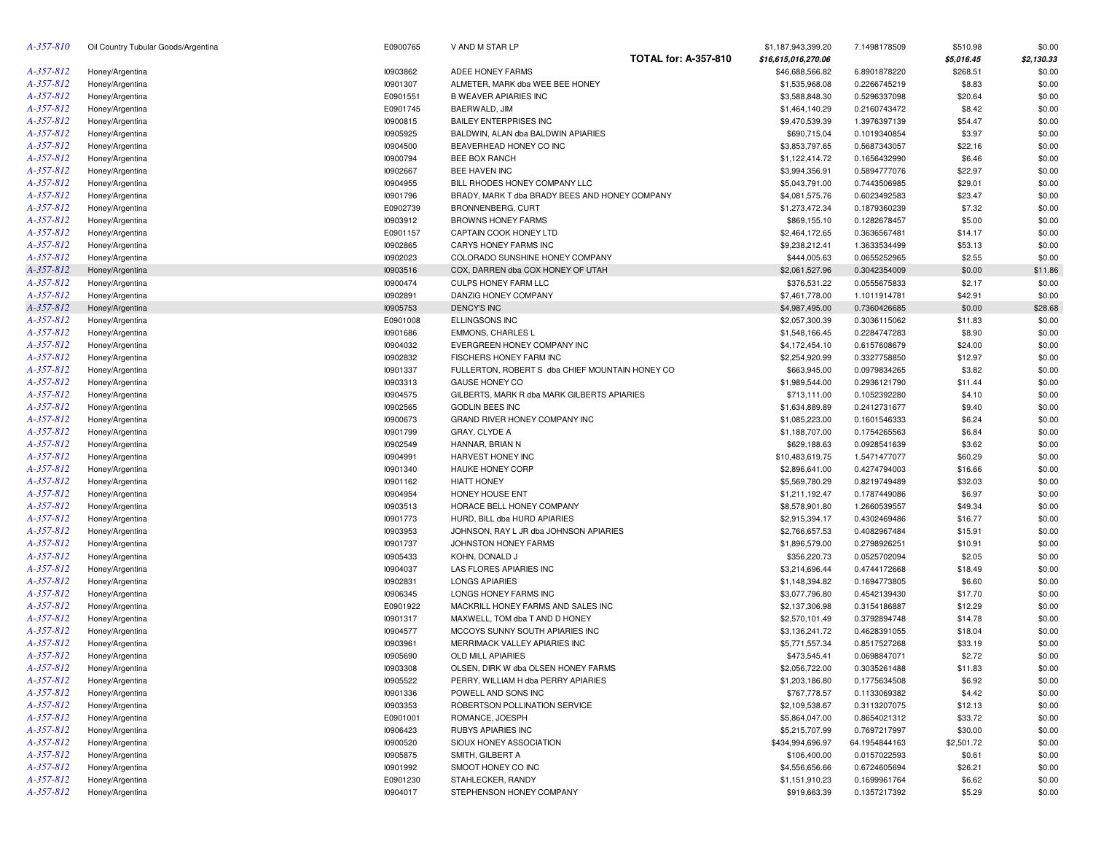| A-357-810       | Oil Country Tubular Goods/Argentina | E0900765 | V AND M STAR LP                                 |                             | \$1,187,943,399.20  | 7.1498178509  | \$510.98   | \$0.00     |
|-----------------|-------------------------------------|----------|-------------------------------------------------|-----------------------------|---------------------|---------------|------------|------------|
|                 |                                     |          |                                                 | <b>TOTAL for: A-357-810</b> | \$16,615,016,270.06 |               | \$5,016.45 | \$2,130.33 |
| A-357-812       | Honey/Argentina                     | 10903862 | ADEE HONEY FARMS                                |                             | \$46,688,566.82     | 6.8901878220  | \$268.51   | \$0.00     |
| A-357-812       | Honey/Argentina                     | 10901307 | ALMETER, MARK dba WEE BEE HONEY                 |                             | \$1,535,968.08      | 0.2266745219  | \$8.83     | \$0.00     |
| A-357-812       | Honey/Argentina                     | E0901551 | <b>B WEAVER APIARIES INC</b>                    |                             | \$3,588,848.30      | 0.5296337098  | \$20.64    | \$0.00     |
| A-357-812       | Honey/Argentina                     | E0901745 | BAERWALD, JIM                                   |                             | \$1,464,140.29      | 0.2160743472  | \$8.42     | \$0.00     |
| $A - 357 - 812$ | Honey/Argentina                     | 10900815 | <b>BAILEY ENTERPRISES INC</b>                   |                             | \$9,470,539.39      | 1.3976397139  | \$54.47    | \$0.00     |
| A-357-812       | Honey/Argentina                     | 10905925 | BALDWIN, ALAN dba BALDWIN APIARIES              |                             | \$690,715.04        | 0.1019340854  | \$3.97     | \$0.00     |
| A-357-812       | Honey/Argentina                     | 10904500 | BEAVERHEAD HONEY CO INC                         |                             | \$3,853,797.65      | 0.5687343057  | \$22.16    | \$0.00     |
| A-357-812       | Honey/Argentina                     | 10900794 | BEE BOX RANCH                                   |                             | \$1,122,414.72      | 0.1656432990  | \$6.46     | \$0.00     |
| $A - 357 - 812$ | Honey/Argentina                     | 10902667 | BEE HAVEN INC                                   |                             | \$3,994,356.91      | 0.5894777076  | \$22.97    | \$0.00     |
| A-357-812       | Honey/Argentina                     | 10904955 | BILL RHODES HONEY COMPANY LLC                   |                             | \$5,043,791.00      | 0.7443506985  | \$29.01    | \$0.00     |
| A-357-812       | Honey/Argentina                     | 10901796 | BRADY, MARK T dba BRADY BEES AND HONEY COMPANY  |                             | \$4,081,575.76      | 0.6023492583  | \$23.47    | \$0.00     |
| A-357-812       |                                     |          |                                                 |                             |                     |               |            |            |
|                 | Honey/Argentina                     | E0902739 | BRONNENBERG, CURT                               |                             | \$1,273,472.34      | 0.1879360239  | \$7.32     | \$0.00     |
| A-357-812       | Honey/Argentina                     | 10903912 | <b>BROWNS HONEY FARMS</b>                       |                             | \$869,155.10        | 0.1282678457  | \$5.00     | \$0.00     |
| A-357-812       | Honey/Argentina                     | E0901157 | CAPTAIN COOK HONEY LTD                          |                             | \$2,464,172.65      | 0.3636567481  | \$14.17    | \$0.00     |
| A-357-812       | Honey/Argentina                     | 10902865 | CARYS HONEY FARMS INC                           |                             | \$9,238,212.41      | 1.3633534499  | \$53.13    | \$0.00     |
| A-357-812       | Honey/Argentina                     | 10902023 | COLORADO SUNSHINE HONEY COMPANY                 |                             | \$444,005.63        | 0.0655252965  | \$2.55     | \$0.00     |
| $A - 357 - 812$ | Honey/Argentina                     | 10903516 | COX, DARREN dba COX HONEY OF UTAH               |                             | \$2,061,527.96      | 0.3042354009  | \$0.00     | \$11.86    |
| A-357-812       | Honey/Argentina                     | 10900474 | CULPS HONEY FARM LLC                            |                             | \$376,531.22        | 0.0555675833  | \$2.17     | \$0.00     |
| A-357-812       | Honey/Argentina                     | 10902891 | DANZIG HONEY COMPANY                            |                             | \$7,461,778.00      | 1.1011914781  | \$42.91    | \$0.00     |
| A-357-812       | Honey/Argentina                     | 10905753 | <b>DENCY'S INC</b>                              |                             | \$4,987,495.00      | 0.7360426685  | \$0.00     | \$28.68    |
| $A - 357 - 812$ | Honey/Argentina                     | E0901008 | <b>ELLINGSONS INC</b>                           |                             | \$2,057,300.39      | 0.3036115062  | \$11.83    | \$0.00     |
| A-357-812       | Honey/Argentina                     | 10901686 | <b>EMMONS, CHARLES L</b>                        |                             | \$1,548,166.45      | 0.2284747283  | \$8.90     | \$0.00     |
| A-357-812       | Honey/Argentina                     | 10904032 | EVERGREEN HONEY COMPANY INC                     |                             | \$4,172,454.10      | 0.6157608679  | \$24.00    | \$0.00     |
| A-357-812       | Honey/Argentina                     | 10902832 | FISCHERS HONEY FARM INC                         |                             | \$2,254,920.99      | 0.3327758850  | \$12.97    | \$0.00     |
| A-357-812       | Honey/Argentina                     | 10901337 | FULLERTON, ROBERT S dba CHIEF MOUNTAIN HONEY CO |                             | \$663,945.00        | 0.0979834265  | \$3.82     | \$0.00     |
| A-357-812       | Honey/Argentina                     | 10903313 | GAUSE HONEY CO                                  |                             | \$1,989,544.00      | 0.2936121790  | \$11.44    | \$0.00     |
| A-357-812       | Honey/Argentina                     | 10904575 | GILBERTS, MARK R dba MARK GILBERTS APIARIES     |                             | \$713,111.00        | 0.1052392280  | \$4.10     | \$0.00     |
| A-357-812       | Honey/Argentina                     | 10902565 | <b>GODLIN BEES INC</b>                          |                             | \$1,634,889.89      | 0.2412731677  | \$9.40     | \$0.00     |
| $A - 357 - 812$ | Honey/Argentina                     | 10900673 | GRAND RIVER HONEY COMPANY INC                   |                             | \$1,085,223.00      | 0.1601546333  | \$6.24     | \$0.00     |
| A-357-812       | Honey/Argentina                     | 10901799 | GRAY, CLYDE A                                   |                             | \$1,188,707.00      | 0.1754265563  | \$6.84     | \$0.00     |
| A-357-812       | Honey/Argentina                     | 10902549 | HANNAR, BRIAN N                                 |                             | \$629,188.63        | 0.0928541639  | \$3.62     | \$0.00     |
| A-357-812       |                                     | 10904991 | HARVEST HONEY INC                               |                             |                     |               | \$60.29    | \$0.00     |
|                 | Honey/Argentina                     |          |                                                 |                             | \$10,483,619.75     | 1.5471477077  |            |            |
| $A - 357 - 812$ | Honey/Argentina                     | 10901340 | <b>HAUKE HONEY CORP</b>                         |                             | \$2,896,641.00      | 0.4274794003  | \$16.66    | \$0.00     |
| A-357-812       | Honey/Argentina                     | 10901162 | <b>HIATT HONEY</b>                              |                             | \$5,569,780.29      | 0.8219749489  | \$32.03    | \$0.00     |
| A-357-812       | Honey/Argentina                     | 10904954 | HONEY HOUSE ENT                                 |                             | \$1,211,192.47      | 0.1787449086  | \$6.97     | \$0.00     |
| A-357-812       | Honey/Argentina                     | 10903513 | HORACE BELL HONEY COMPANY                       |                             | \$8,578,901.80      | 1.2660539557  | \$49.34    | \$0.00     |
| A-357-812       | Honey/Argentina                     | 10901773 | HURD, BILL dba HURD APIARIES                    |                             | \$2,915,394.17      | 0.4302469486  | \$16.77    | \$0.00     |
| A-357-812       | Honey/Argentina                     | 10903953 | JOHNSON, RAY L JR dba JOHNSON APIARIES          |                             | \$2,766,657.53      | 0.4082967484  | \$15.91    | \$0.00     |
| A-357-812       | Honey/Argentina                     | 10901737 | JOHNSTON HONEY FARMS                            |                             | \$1,896,579.00      | 0.2798926251  | \$10.91    | \$0.00     |
| A-357-812       | Honey/Argentina                     | 10905433 | KOHN, DONALD J                                  |                             | \$356,220.73        | 0.0525702094  | \$2.05     | \$0.00     |
| $A - 357 - 812$ | Honey/Argentina                     | 10904037 | LAS FLORES APIARIES INC                         |                             | \$3,214,696.44      | 0.4744172668  | \$18.49    | \$0.00     |
| A-357-812       | Honey/Argentina                     | 10902831 | LONGS APIARIES                                  |                             | \$1,148,394.82      | 0.1694773805  | \$6.60     | \$0.00     |
| A-357-812       | Honey/Argentina                     | 10906345 | LONGS HONEY FARMS INC                           |                             | \$3,077,796.80      | 0.4542139430  | \$17.70    | \$0.00     |
| A-357-812       | Honey/Argentina                     | E0901922 | MACKRILL HONEY FARMS AND SALES INC              |                             | \$2,137,306.98      | 0.3154186887  | \$12.29    | \$0.00     |
| A-357-812       | Honey/Argentina                     | 10901317 | MAXWELL, TOM dba T AND D HONEY                  |                             | \$2,570,101.49      | 0.3792894748  | \$14.78    | \$0.00     |
| A-357-812       | Honey/Argentina                     | 10904577 | MCCOYS SUNNY SOUTH APIARIES INC                 |                             | \$3,136,241.72      | 0.4628391055  | \$18.04    | \$0.00     |
| A-357-812       | Honey/Argentina                     | 10903961 | MERRIMACK VALLEY APIARIES INC                   |                             | \$5,771,557.34      | 0.8517527268  | \$33.19    | \$0.00     |
| A-357-812       | Honey/Argentina                     | 10905690 | OLD MILL APIARIES                               |                             | \$473,545.41        | 0.0698847071  | \$2.72     | \$0.00     |
| A-357-812       | Honey/Argentina                     | 10903308 | OLSEN, DIRK W dba OLSEN HONEY FARMS             |                             | \$2,056,722.00      | 0.3035261488  | \$11.83    | \$0.00     |
| A-357-812       | Honey/Argentina                     | 10905522 | PERRY, WILLIAM H dba PERRY APIARIES             |                             | \$1,203,186.80      | 0.1775634508  | \$6.92     | \$0.00     |
| A-357-812       | Honey/Argentina                     | 10901336 | POWELL AND SONS INC                             |                             | \$767,778.57        | 0.1133069382  | \$4.42     | \$0.00     |
| A-357-812       | Honey/Argentina                     | 10903353 | ROBERTSON POLLINATION SERVICE                   |                             | \$2,109,538.67      |               |            |            |
| A-357-812       | Honey/Argentina                     |          | ROMANCE, JOESPH                                 |                             |                     | 0.3113207075  | \$12.13    | \$0.00     |
|                 |                                     | E0901001 |                                                 |                             | \$5,864,047.00      | 0.8654021312  | \$33.72    | \$0.00     |
| A-357-812       | Honey/Argentina                     | 10906423 | RUBYS APIARIES INC                              |                             | \$5,215,707.99      | 0.7697217997  | \$30.00    | \$0.00     |
| A-357-812       | Honey/Argentina                     | 10900520 | SIOUX HONEY ASSOCIATION                         |                             | \$434,994,696.97    | 64.1954844163 | \$2,501.72 | \$0.00     |
| A-357-812       | Honey/Argentina                     | 10905875 | SMITH, GILBERT A                                |                             | \$106,400.00        | 0.0157022593  | \$0.61     | \$0.00     |
| A-357-812       | Honey/Argentina                     | 10901992 | SMOOT HONEY CO INC                              |                             | \$4,556,656.66      | 0.6724605694  | \$26.21    | \$0.00     |
| A-357-812       | Honey/Argentina                     | E0901230 | STAHLECKER, RANDY                               |                             | \$1,151,910.23      | 0.1699961764  | \$6.62     | \$0.00     |
| A-357-812       | Honey/Argentina                     | 10904017 | STEPHENSON HONEY COMPANY                        |                             | \$919,663.39        | 0.1357217392  | \$5.29     | \$0.00     |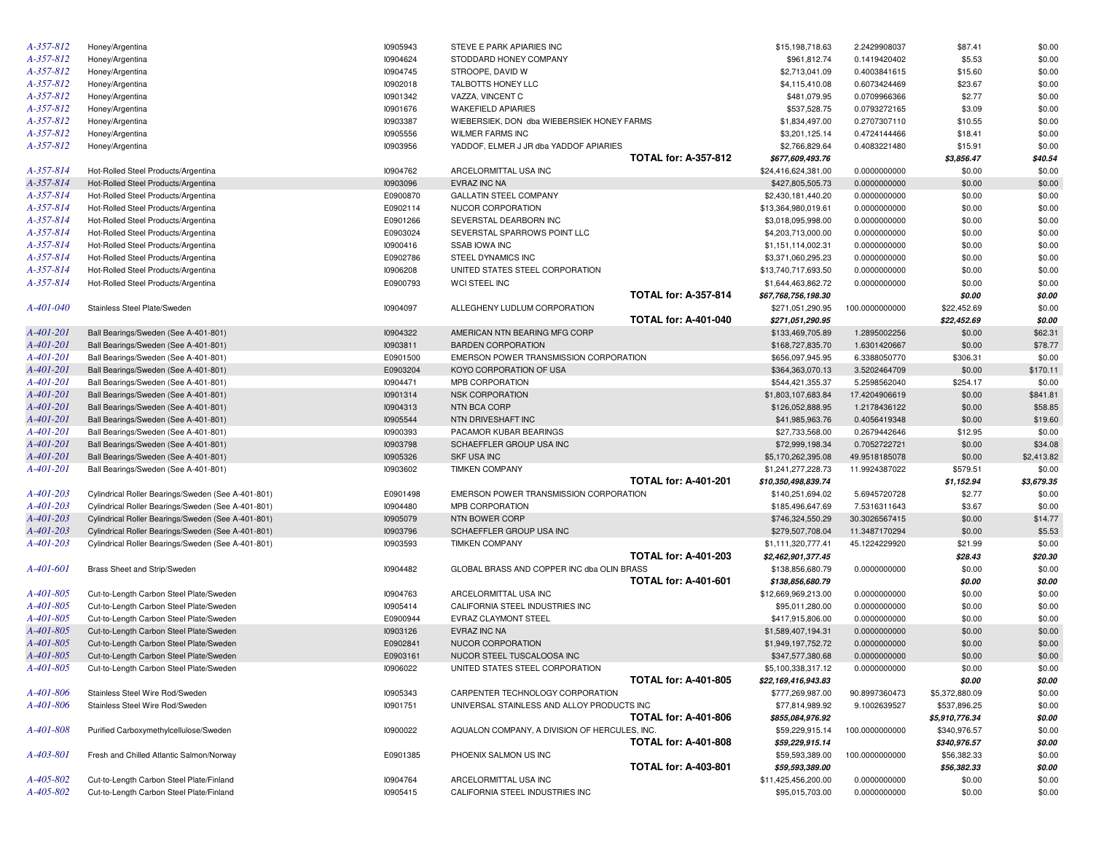| A-357-812       | Honey/Argentina                                    | 10905943 | STEVE E PARK APIARIES INC                     |                             | \$15,198,718.63                     | 2.2429908037                  | \$87.41                        | \$0.00           |
|-----------------|----------------------------------------------------|----------|-----------------------------------------------|-----------------------------|-------------------------------------|-------------------------------|--------------------------------|------------------|
| A-357-812       | Honey/Argentina                                    | 10904624 | STODDARD HONEY COMPANY                        |                             | \$961,812.74                        | 0.1419420402                  | \$5.53                         | \$0.00           |
| A-357-812       | Honey/Argentina                                    | 10904745 | STROOPE, DAVID W                              |                             | \$2,713,041.09                      | 0.4003841615                  | \$15.60                        | \$0.00           |
| A-357-812       | Honey/Argentina                                    | 10902018 | TALBOTTS HONEY LLC                            |                             | \$4,115,410.08                      | 0.6073424469                  | \$23.67                        | \$0.00           |
| A-357-812       | Honey/Argentina                                    | 10901342 | VAZZA, VINCENT C                              |                             | \$481,079.95                        | 0.0709966366                  | \$2.77                         | \$0.00           |
| A-357-812       | Honey/Argentina                                    | 10901676 | <b>WAKEFIELD APIARIES</b>                     |                             | \$537,528.75                        | 0.0793272165                  | \$3.09                         | \$0.00           |
| A-357-812       | Honey/Argentina                                    | 10903387 | WIEBERSIEK, DON dba WIEBERSIEK HONEY FARMS    |                             | \$1,834,497.00                      | 0.2707307110                  | \$10.55                        | \$0.00           |
| A-357-812       | Honey/Argentina                                    | 10905556 | <b>WILMER FARMS INC</b>                       |                             | \$3,201,125.14                      | 0.4724144466                  | \$18.41                        | \$0.00           |
| A-357-812       | Honey/Argentina                                    | 10903956 | YADDOF, ELMER J JR dba YADDOF APIARIES        |                             | \$2,766,829.64                      | 0.4083221480                  | \$15.91                        | \$0.00           |
|                 |                                                    |          |                                               | <b>TOTAL for: A-357-812</b> | \$677,609,493.76                    |                               | \$3,856.47                     | \$40.54          |
| A-357-814       | Hot-Rolled Steel Products/Argentina                | 10904762 | ARCELORMITTAL USA INC                         |                             | \$24,416,624,381.00                 | 0.0000000000                  | \$0.00                         | \$0.00           |
| A-357-814       | Hot-Rolled Steel Products/Argentina                | 10903096 | EVRAZ INC NA                                  |                             | \$427,805,505.73                    | 0.0000000000                  | \$0.00                         | \$0.00           |
| A-357-814       | Hot-Rolled Steel Products/Argentina                | E0900870 | <b>GALLATIN STEEL COMPANY</b>                 |                             | \$2,430,181,440.20                  | 0.0000000000                  | \$0.00                         | \$0.00           |
| A-357-814       | Hot-Rolled Steel Products/Argentina                | E0902114 | NUCOR CORPORATION                             |                             | \$13,364,980,019.61                 | 0.0000000000                  | \$0.00                         | \$0.00           |
| A-357-814       | Hot-Rolled Steel Products/Argentina                | E0901266 | SEVERSTAL DEARBORN INC                        |                             | \$3,018,095,998.00                  | 0.0000000000                  | \$0.00                         | \$0.00           |
| A-357-814       | Hot-Rolled Steel Products/Argentina                | E0903024 | SEVERSTAL SPARROWS POINT LLC                  |                             | \$4,203,713,000.00                  | 0.0000000000                  | \$0.00                         | \$0.00           |
| A-357-814       | Hot-Rolled Steel Products/Argentina                | 10900416 | SSAB IOWA INC                                 |                             | \$1,151,114,002.31                  | 0.0000000000                  | \$0.00                         | \$0.00           |
| A-357-814       | Hot-Rolled Steel Products/Argentina                | E0902786 | STEEL DYNAMICS INC                            |                             | \$3,371,060,295.23                  | 0.0000000000                  | \$0.00                         | \$0.00           |
| A-357-814       | Hot-Rolled Steel Products/Argentina                | 10906208 | UNITED STATES STEEL CORPORATION               |                             | \$13,740,717,693.50                 | 0.0000000000                  | \$0.00                         | \$0.00           |
| A-357-814       |                                                    | E0900793 |                                               |                             |                                     |                               |                                | \$0.00           |
|                 | Hot-Rolled Steel Products/Argentina                |          | WCI STEEL INC                                 | <b>TOTAL for: A-357-814</b> | \$1,644,463,862.72                  | 0.0000000000                  | \$0.00                         |                  |
|                 |                                                    |          |                                               |                             | \$67,768,756,198.30                 |                               | \$0.00                         | \$0.00           |
| A-401-040       | Stainless Steel Plate/Sweden                       | 10904097 | ALLEGHENY LUDLUM CORPORATION                  |                             | \$271,051,290.95                    | 100.0000000000                | \$22,452.69                    | \$0.00           |
|                 |                                                    |          |                                               | <b>TOTAL for: A-401-040</b> | \$271,051,290.95                    |                               | \$22,452.69                    | \$0.00           |
| A-401-201       | Ball Bearings/Sweden (See A-401-801)               | 10904322 | AMERICAN NTN BEARING MFG CORP                 |                             | \$133,469,705.89                    | 1.2895002256                  | \$0.00                         | \$62.31          |
| A-401-201       | Ball Bearings/Sweden (See A-401-801)               | 10903811 | <b>BARDEN CORPORATION</b>                     |                             | \$168,727,835.70                    | 1.6301420667                  | \$0.00                         | \$78.77          |
| A-401-201       | Ball Bearings/Sweden (See A-401-801)               | E0901500 | EMERSON POWER TRANSMISSION CORPORATION        |                             | \$656,097,945.95                    | 6.3388050770                  | \$306.31                       | \$0.00           |
| A-401-201       | Ball Bearings/Sweden (See A-401-801)               | E0903204 | KOYO CORPORATION OF USA                       |                             | \$364,363,070.13                    | 3.5202464709                  | \$0.00                         | \$170.11         |
| A-401-201       | Ball Bearings/Sweden (See A-401-801)               | 10904471 | MPB CORPORATION                               |                             | \$544,421,355.37                    | 5.2598562040                  | \$254.17                       | \$0.00           |
| A-401-201       | Ball Bearings/Sweden (See A-401-801)               | 10901314 | <b>NSK CORPORATION</b>                        |                             | \$1,803,107,683.84                  | 17.4204906619                 | \$0.00                         | \$841.81         |
| A-401-201       | Ball Bearings/Sweden (See A-401-801)               | 10904313 | NTN BCA CORP                                  |                             | \$126,052,888.95                    | 1.2178436122                  | \$0.00                         | \$58.85          |
| A-401-201       | Ball Bearings/Sweden (See A-401-801)               | 10905544 | NTN DRIVESHAFT INC                            |                             | \$41,985,963.76                     | 0.4056419348                  | \$0.00                         | \$19.60          |
| A-401-201       | Ball Bearings/Sweden (See A-401-801)               | 10900393 | PACAMOR KUBAR BEARINGS                        |                             | \$27,733,568.00                     | 0.2679442646                  | \$12.95                        | \$0.00           |
| A-401-201       | Ball Bearings/Sweden (See A-401-801)               | 10903798 | SCHAEFFLER GROUP USA INC                      |                             | \$72,999,198.34                     | 0.7052722721                  | \$0.00                         | \$34.08          |
| A-401-201       | Ball Bearings/Sweden (See A-401-801)               | 10905326 | <b>SKF USA INC</b>                            |                             | \$5,170,262,395.08                  | 49.9518185078                 | \$0.00                         | \$2,413.82       |
| A-401-201       | Ball Bearings/Sweden (See A-401-801)               | 10903602 | <b>TIMKEN COMPANY</b>                         |                             | \$1,241,277,228.73                  | 11.9924387022                 | \$579.51                       | \$0.00           |
|                 |                                                    |          |                                               | <b>TOTAL for: A-401-201</b> | \$10,350,498,839.74                 |                               | \$1,152.94                     | \$3,679.35       |
| $A - 401 - 203$ | Cylindrical Roller Bearings/Sweden (See A-401-801) | E0901498 | EMERSON POWER TRANSMISSION CORPORATION        |                             | \$140,251,694.02                    | 5.6945720728                  | \$2.77                         | \$0.00           |
| $A - 401 - 203$ | Cylindrical Roller Bearings/Sweden (See A-401-801) | 10904480 | MPB CORPORATION                               |                             | \$185,496,647.69                    | 7.5316311643                  | \$3.67                         | \$0.00           |
| $A - 401 - 203$ | Cylindrical Roller Bearings/Sweden (See A-401-801) | 10905079 | NTN BOWER CORP                                |                             | \$746,324,550.29                    | 30.3026567415                 | \$0.00                         | \$14.77          |
| $A - 401 - 203$ | Cylindrical Roller Bearings/Sweden (See A-401-801) | 10903796 | SCHAEFFLER GROUP USA INC                      |                             | \$279,507,708.04                    | 11.3487170294                 | \$0.00                         | \$5.53           |
| $A - 401 - 203$ | Cylindrical Roller Bearings/Sweden (See A-401-801) | 10903593 | <b>TIMKEN COMPANY</b>                         |                             | \$1,111,320,777.41                  | 45.1224229920                 | \$21.99                        | \$0.00           |
|                 |                                                    |          |                                               | <b>TOTAL for: A-401-203</b> | \$2,462,901,377.45                  |                               | \$28.43                        | \$20.30          |
| A-401-601       | Brass Sheet and Strip/Sweden                       | 10904482 | GLOBAL BRASS AND COPPER INC dba OLIN BRASS    |                             | \$138,856,680.79                    | 0.0000000000                  | \$0.00                         | \$0.00           |
|                 |                                                    |          |                                               | <b>TOTAL for: A-401-601</b> | \$138,856,680.79                    |                               | \$0.00                         | \$0.00           |
| A-401-805       | Cut-to-Length Carbon Steel Plate/Sweden            | 10904763 | ARCELORMITTAL USA INC                         |                             | \$12,669,969,213.00                 | 0.0000000000                  | \$0.00                         | \$0.00           |
| A-401-805       | Cut-to-Length Carbon Steel Plate/Sweden            | 10905414 | CALIFORNIA STEEL INDUSTRIES INC               |                             | \$95,011,280.00                     | 0.0000000000                  | \$0.00                         | \$0.00           |
| A-401-805       | Cut-to-Length Carbon Steel Plate/Sweden            | E0900944 | EVRAZ CLAYMONT STEEL                          |                             | \$417,915,806.00                    | 0.0000000000                  | \$0.00                         | \$0.00           |
| A-401-805       | Cut-to-Length Carbon Steel Plate/Sweden            | 10903126 | EVRAZ INC NA                                  |                             | \$1,589,407,194.31                  | 0.0000000000                  | \$0.00                         | \$0.00           |
| A-401-805       | Cut-to-Length Carbon Steel Plate/Sweden            | E0902841 | NUCOR CORPORATION                             |                             | \$1,949,197,752.72                  | 0.0000000000                  | \$0.00                         | \$0.00           |
| A-401-805       | Cut-to-Length Carbon Steel Plate/Sweden            | E0903161 | NUCOR STEEL TUSCALOOSA INC                    |                             | \$347,577,380.68                    | 0.0000000000                  | \$0.00                         | \$0.00           |
| A-401-805       | Cut-to-Length Carbon Steel Plate/Sweden            | 10906022 | UNITED STATES STEEL CORPORATION               |                             | \$5,100,338,317.12                  | 0.0000000000                  | \$0.00                         | \$0.00           |
|                 |                                                    |          |                                               | <b>TOTAL for: A-401-805</b> | \$22,169,416,943.83                 |                               | \$0.00                         | \$0.00           |
| A-401-806       | Stainless Steel Wire Rod/Sweden                    | 10905343 | CARPENTER TECHNOLOGY CORPORATION              |                             |                                     |                               |                                |                  |
| A-401-806       | Stainless Steel Wire Rod/Sweden                    | 10901751 | UNIVERSAL STAINLESS AND ALLOY PRODUCTS INC    |                             | \$777,269,987.00<br>\$77,814,989.92 | 90.8997360473<br>9.1002639527 | \$5,372,880.09<br>\$537,896.25 | \$0.00<br>\$0.00 |
|                 |                                                    |          |                                               | <b>TOTAL for: A-401-806</b> |                                     |                               |                                |                  |
|                 |                                                    |          |                                               |                             | \$855,084,976.92                    |                               | \$5,910,776.34                 | \$0.00           |
| A-401-808       | Purified Carboxymethylcellulose/Sweden             | 10900022 | AQUALON COMPANY, A DIVISION OF HERCULES, INC. |                             | \$59,229,915.14                     | 100.0000000000                | \$340,976.57                   | \$0.00           |
|                 |                                                    |          |                                               | <b>TOTAL for: A-401-808</b> | \$59,229,915.14                     |                               | \$340,976.57                   | \$0.00           |
| A-403-801       | Fresh and Chilled Atlantic Salmon/Norway           | E0901385 | PHOENIX SALMON US INC                         |                             | \$59,593,389.00                     | 100.0000000000                | \$56,382.33                    | \$0.00           |
|                 |                                                    |          |                                               | <b>TOTAL for: A-403-801</b> | \$59,593,389.00                     |                               | \$56,382.33                    | \$0.00           |
| A-405-802       | Cut-to-Length Carbon Steel Plate/Finland           | 10904764 | ARCELORMITTAL USA INC                         |                             | \$11,425,456,200.00                 | 0.0000000000                  | \$0.00                         | \$0.00           |
| A-405-802       | Cut-to-Length Carbon Steel Plate/Finland           | 10905415 | CALIFORNIA STEEL INDUSTRIES INC               |                             | \$95,015,703.00                     | 0.0000000000                  | \$0.00                         | \$0.00           |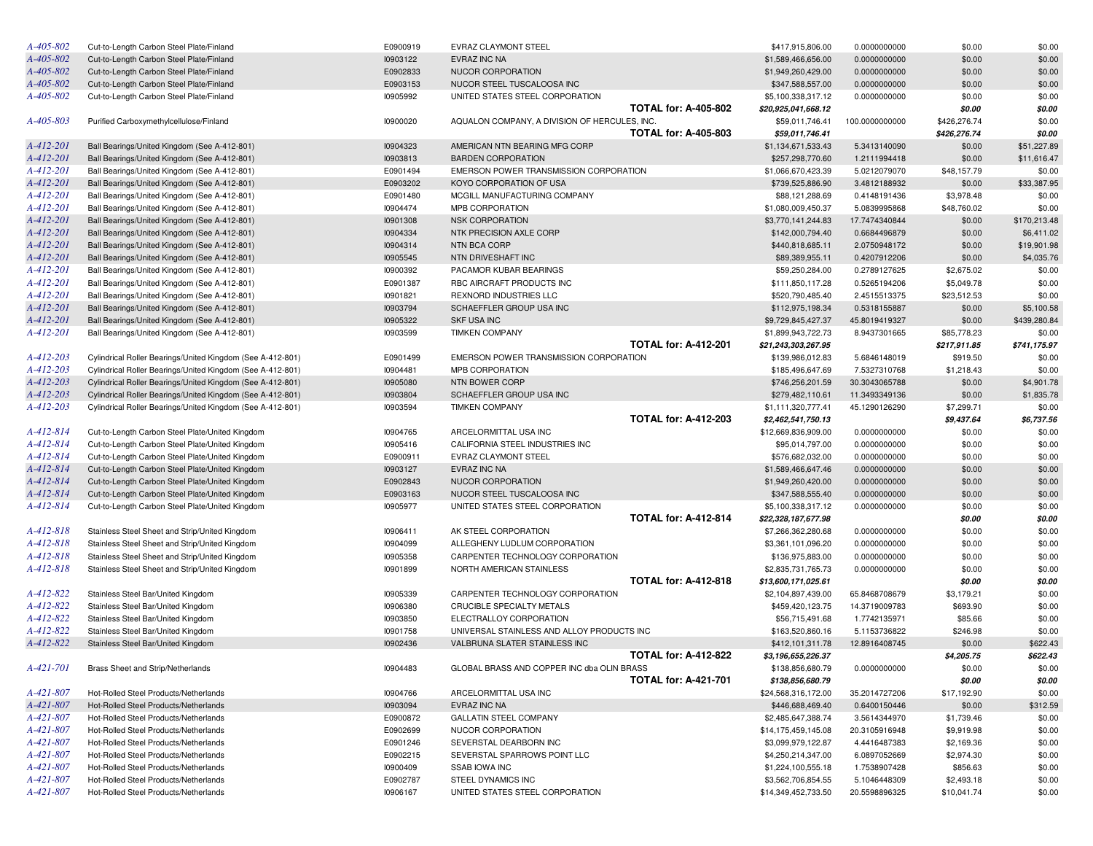| A-405-802       | Cut-to-Length Carbon Steel Plate/Finland                   | E0900919 | EVRAZ CLAYMONT STEEL                          |                             | \$417,915,806.00    | 0.0000000000   | \$0.00       | \$0.00       |
|-----------------|------------------------------------------------------------|----------|-----------------------------------------------|-----------------------------|---------------------|----------------|--------------|--------------|
| A-405-802       | Cut-to-Length Carbon Steel Plate/Finland                   | 10903122 | EVRAZ INC NA                                  |                             | \$1,589,466,656.00  | 0.0000000000   | \$0.00       | \$0.00       |
| A-405-802       | Cut-to-Length Carbon Steel Plate/Finland                   | E0902833 | NUCOR CORPORATION                             |                             | \$1,949,260,429.00  | 0.0000000000   | \$0.00       | \$0.00       |
| A-405-802       | Cut-to-Length Carbon Steel Plate/Finland                   | E0903153 | NUCOR STEEL TUSCALOOSA INC                    |                             | \$347,588,557.00    | 0.0000000000   | \$0.00       | \$0.00       |
| A-405-802       | Cut-to-Length Carbon Steel Plate/Finland                   | 10905992 | UNITED STATES STEEL CORPORATION               |                             | \$5,100,338,317.12  | 0.0000000000   | \$0.00       | \$0.00       |
|                 |                                                            |          |                                               | <b>TOTAL for: A-405-802</b> | \$20,925,041,668.12 |                | \$0.00       | \$0.00       |
| A-405-803       | Purified Carboxymethylcellulose/Finland                    | 10900020 | AQUALON COMPANY, A DIVISION OF HERCULES, INC. |                             | \$59,011,746.41     | 100.0000000000 | \$426,276.74 | \$0.00       |
|                 |                                                            |          |                                               | <b>TOTAL for: A-405-803</b> | \$59,011,746.41     |                | \$426.276.74 | \$0.00       |
| A-412-201       | Ball Bearings/United Kingdom (See A-412-801)               | 10904323 | AMERICAN NTN BEARING MFG CORP                 |                             | \$1,134,671,533.43  | 5.3413140090   | \$0.00       | \$51,227.89  |
| A-412-201       | Ball Bearings/United Kingdom (See A-412-801)               | 10903813 | <b>BARDEN CORPORATION</b>                     |                             | \$257,298,770.60    | 1.2111994418   | \$0.00       | \$11,616.47  |
| A-412-201       | Ball Bearings/United Kingdom (See A-412-801)               | E0901494 | EMERSON POWER TRANSMISSION CORPORATION        |                             | \$1,066,670,423.39  | 5.0212079070   | \$48,157.79  | \$0.00       |
| A-412-201       | Ball Bearings/United Kingdom (See A-412-801)               | E0903202 | KOYO CORPORATION OF USA                       |                             | \$739,525,886.90    | 3.4812188932   | \$0.00       | \$33,387.95  |
| A-412-201       | Ball Bearings/United Kingdom (See A-412-801)               | E0901480 | MCGILL MANUFACTURING COMPANY                  |                             | \$88,121,288.69     | 0.4148191436   | \$3,978.48   | \$0.00       |
| A-412-201       | Ball Bearings/United Kingdom (See A-412-801)               | 10904474 | MPB CORPORATION                               |                             | \$1,080,009,450.37  | 5.0839995868   | \$48,760.02  | \$0.00       |
| A-412-201       | Ball Bearings/United Kingdom (See A-412-801)               | 10901308 | <b>NSK CORPORATION</b>                        |                             | \$3,770,141,244.83  | 17.7474340844  | \$0.00       | \$170,213.48 |
| A-412-201       | Ball Bearings/United Kingdom (See A-412-801)               | 10904334 | NTK PRECISION AXLE CORP                       |                             | \$142,000,794.40    | 0.6684496879   | \$0.00       | \$6,411.02   |
| A-412-201       | Ball Bearings/United Kingdom (See A-412-801)               | 10904314 | NTN BCA CORP                                  |                             | \$440,818,685.11    | 2.0750948172   | \$0.00       | \$19,901.98  |
| A-412-201       | Ball Bearings/United Kingdom (See A-412-801)               | 10905545 | NTN DRIVESHAFT INC                            |                             | \$89,389,955.11     | 0.4207912206   | \$0.00       | \$4,035.76   |
| A-412-201       | Ball Bearings/United Kingdom (See A-412-801)               | 10900392 | PACAMOR KUBAR BEARINGS                        |                             | \$59,250,284.00     | 0.2789127625   | \$2,675.02   | \$0.00       |
| A-412-201       | Ball Bearings/United Kingdom (See A-412-801)               | E0901387 | RBC AIRCRAFT PRODUCTS INC                     |                             | \$111,850,117.28    | 0.5265194206   | \$5,049.78   | \$0.00       |
| A-412-201       | Ball Bearings/United Kingdom (See A-412-801)               | 10901821 | REXNORD INDUSTRIES LLC                        |                             | \$520,790,485.40    | 2.4515513375   | \$23,512.53  | \$0.00       |
| A-412-201       | Ball Bearings/United Kingdom (See A-412-801)               | 10903794 | SCHAEFFLER GROUP USA INC                      |                             | \$112,975,198.34    | 0.5318155887   | \$0.00       | \$5,100.58   |
| A-412-201       | Ball Bearings/United Kingdom (See A-412-801)               | 10905322 | <b>SKF USA INC</b>                            |                             | \$9,729,845,427.37  | 45.8019419327  | \$0.00       | \$439,280.84 |
| A-412-201       | Ball Bearings/United Kingdom (See A-412-801)               | 10903599 | <b>TIMKEN COMPANY</b>                         |                             | \$1,899,943,722.73  | 8.9437301665   | \$85,778.23  | \$0.00       |
|                 |                                                            |          |                                               | <b>TOTAL for: A-412-201</b> | \$21,243,303,267.95 |                | \$217,911.85 | \$741,175.97 |
| A-412-203       | Cylindrical Roller Bearings/United Kingdom (See A-412-801) | E0901499 | EMERSON POWER TRANSMISSION CORPORATION        |                             | \$139,986,012.83    | 5.6846148019   | \$919.50     | \$0.00       |
| A-412-203       | Cylindrical Roller Bearings/United Kingdom (See A-412-801) | 10904481 | MPB CORPORATION                               |                             | \$185,496,647.69    | 7.5327310768   | \$1,218.43   | \$0.00       |
| A-412-203       | Cylindrical Roller Bearings/United Kingdom (See A-412-801) | 10905080 | NTN BOWER CORP                                |                             | \$746,256,201.59    | 30.3043065788  | \$0.00       | \$4,901.78   |
| A-412-203       | Cylindrical Roller Bearings/United Kingdom (See A-412-801) | 10903804 | SCHAEFFLER GROUP USA INC                      |                             | \$279,482,110.61    | 11.3493349136  | \$0.00       | \$1,835.78   |
| A-412-203       | Cylindrical Roller Bearings/United Kingdom (See A-412-801) | 10903594 | <b>TIMKEN COMPANY</b>                         |                             | \$1,111,320,777.41  | 45.1290126290  | \$7,299.71   | \$0.00       |
|                 |                                                            |          |                                               | <b>TOTAL for: A-412-203</b> | \$2,462,541,750.13  |                | \$9,437.64   | \$6,737.56   |
| A-412-814       | Cut-to-Length Carbon Steel Plate/United Kingdom            | 10904765 | ARCELORMITTAL USA INC                         |                             | \$12,669,836,909.00 | 0.0000000000   | \$0.00       | \$0.00       |
| A-412-814       | Cut-to-Length Carbon Steel Plate/United Kingdom            | 10905416 | CALIFORNIA STEEL INDUSTRIES INC               |                             | \$95,014,797.00     | 0.0000000000   | \$0.00       | \$0.00       |
| A-412-814       | Cut-to-Length Carbon Steel Plate/United Kingdom            | E0900911 | EVRAZ CLAYMONT STEEL                          |                             | \$576,682,032.00    | 0.0000000000   | \$0.00       | \$0.00       |
| $A - 412 - 814$ | Cut-to-Length Carbon Steel Plate/United Kingdom            | 10903127 | EVRAZ INC NA                                  |                             | \$1,589,466,647.46  | 0.0000000000   | \$0.00       | \$0.00       |
| A-412-814       | Cut-to-Length Carbon Steel Plate/United Kingdom            | E0902843 | NUCOR CORPORATION                             |                             | \$1,949,260,420.00  | 0.0000000000   | \$0.00       | \$0.00       |
| $A - 412 - 814$ | Cut-to-Length Carbon Steel Plate/United Kingdom            | E0903163 | NUCOR STEEL TUSCALOOSA INC                    |                             | \$347,588,555.40    | 0.0000000000   | \$0.00       | \$0.00       |
| A-412-814       | Cut-to-Length Carbon Steel Plate/United Kingdom            | 10905977 | UNITED STATES STEEL CORPORATION               |                             | \$5,100,338,317.12  | 0.0000000000   | \$0.00       | \$0.00       |
|                 |                                                            |          |                                               | <b>TOTAL for: A-412-814</b> | \$22,328,187,677.98 |                | \$0.00       | \$0.00       |
| A-412-818       | Stainless Steel Sheet and Strip/United Kingdom             | 10906411 | AK STEEL CORPORATION                          |                             | \$7,266,362,280.68  | 0.0000000000   | \$0.00       | \$0.00       |
| A-412-818       | Stainless Steel Sheet and Strip/United Kingdom             | 10904099 | ALLEGHENY LUDLUM CORPORATION                  |                             | \$3,361,101,096.20  | 0.0000000000   | \$0.00       | \$0.00       |
| A-412-818       | Stainless Steel Sheet and Strip/United Kingdom             | 10905358 | CARPENTER TECHNOLOGY CORPORATION              |                             | \$136,975,883.00    | 0.0000000000   | \$0.00       | \$0.00       |
| A-412-818       | Stainless Steel Sheet and Strip/United Kingdom             | 10901899 | NORTH AMERICAN STAINLESS                      |                             | \$2,835,731,765.73  | 0.0000000000   | \$0.00       | \$0.00       |
|                 |                                                            |          |                                               | <b>TOTAL for: A-412-818</b> | \$13,600,171,025.61 |                | \$0.00       | \$0.00       |
| A-412-822       | Stainless Steel Bar/United Kingdom                         | 10905339 | CARPENTER TECHNOLOGY CORPORATION              |                             | \$2,104,897,439.00  | 65.8468708679  | \$3,179.21   | \$0.00       |
| A-412-822       | Stainless Steel Bar/United Kingdom                         | 10906380 | CRUCIBLE SPECIALTY METALS                     |                             | \$459,420,123.75    | 14.3719009783  | \$693.90     | \$0.00       |
| A-412-822       | Stainless Steel Bar/United Kingdom                         | 10903850 | ELECTRALLOY CORPORATION                       |                             | \$56,715,491.68     | 1.7742135971   | \$85.66      | \$0.00       |
| A-412-822       | Stainless Steel Bar/United Kingdom                         | 10901758 | UNIVERSAL STAINLESS AND ALLOY PRODUCTS INC    |                             | \$163,520,860.16    | 5.1153736822   | \$246.98     | \$0.00       |
| A-412-822       | Stainless Steel Bar/United Kingdom                         | 10902436 | VALBRUNA SLATER STAINLESS INC                 |                             | \$412,101,311.78    | 12.8916408745  | \$0.00       | \$622.43     |
|                 |                                                            |          |                                               | <b>TOTAL for: A-412-822</b> | \$3,196,655,226.37  |                | \$4,205.75   | \$622.43     |
| A-421-701       | Brass Sheet and Strip/Netherlands                          | 10904483 | GLOBAL BRASS AND COPPER INC dba OLIN BRASS    |                             | \$138,856,680.79    | 0.0000000000   | \$0.00       | \$0.00       |
|                 |                                                            |          |                                               | <b>TOTAL for: A-421-701</b> | \$138,856,680.79    |                | \$0.00       | \$0.00       |
| A-421-807       | Hot-Rolled Steel Products/Netherlands                      | 10904766 | ARCELORMITTAL USA INC                         |                             | \$24,568,316,172.00 | 35.2014727206  | \$17,192.90  | \$0.00       |
| A-421-807       | Hot-Rolled Steel Products/Netherlands                      | 10903094 | <b>EVRAZ INC NA</b>                           |                             | \$446,688,469.40    | 0.6400150446   | \$0.00       | \$312.59     |
| $A-421-807$     | Hot-Rolled Steel Products/Netherlands                      | E0900872 | <b>GALLATIN STEEL COMPANY</b>                 |                             | \$2,485,647,388.74  | 3.5614344970   | \$1,739.46   | \$0.00       |
| A-421-807       | Hot-Rolled Steel Products/Netherlands                      | E0902699 | NUCOR CORPORATION                             |                             | \$14,175,459,145.08 | 20.3105916948  | \$9,919.98   | \$0.00       |
| A-421-807       | Hot-Rolled Steel Products/Netherlands                      | E0901246 | SEVERSTAL DEARBORN INC                        |                             | \$3,099,979,122.87  | 4.4416487383   | \$2,169.36   | \$0.00       |
| $A-421-807$     | Hot-Rolled Steel Products/Netherlands                      | E0902215 | SEVERSTAL SPARROWS POINT LLC                  |                             | \$4,250,214,347.00  | 6.0897052669   | \$2,974.30   | \$0.00       |
| $A-421-807$     | Hot-Rolled Steel Products/Netherlands                      | 10900409 | <b>SSAB IOWA INC</b>                          |                             | \$1,224,100,555.18  | 1.7538907428   | \$856.63     | \$0.00       |
| A-421-807       | Hot-Rolled Steel Products/Netherlands                      | E0902787 | STEEL DYNAMICS INC                            |                             | \$3,562,706,854.55  | 5.1046448309   | \$2,493.18   | \$0.00       |
| A-421-807       | Hot-Rolled Steel Products/Netherlands                      | 10906167 | UNITED STATES STEEL CORPORATION               |                             | \$14,349,452,733.50 | 20.5598896325  | \$10,041.74  | \$0.00       |
|                 |                                                            |          |                                               |                             |                     |                |              |              |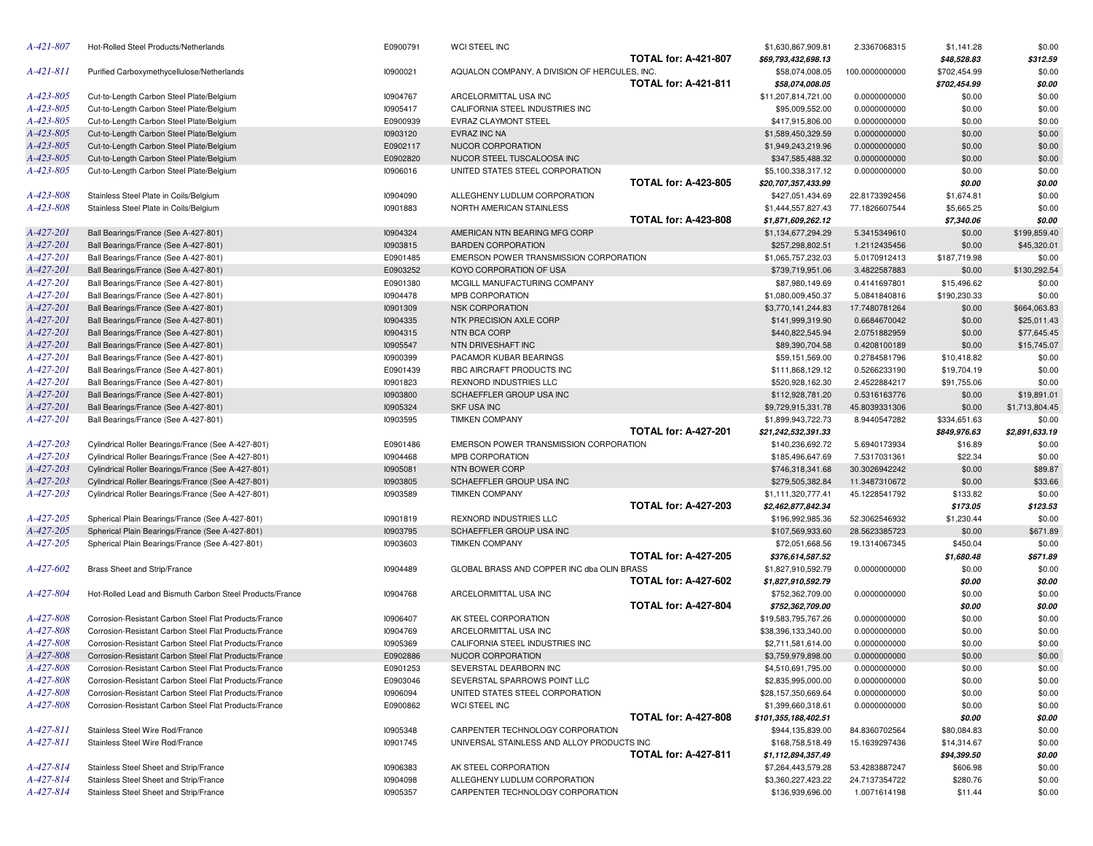| A-421-807                    | Hot-Rolled Steel Products/Netherlands                                            | E0900791             | WCI STEEL INC                                                    |                             | \$1,630,867,909.81                     | 2.3367068315                  | \$1,141.28          | \$0.00           |
|------------------------------|----------------------------------------------------------------------------------|----------------------|------------------------------------------------------------------|-----------------------------|----------------------------------------|-------------------------------|---------------------|------------------|
|                              |                                                                                  |                      |                                                                  | <b>TOTAL for: A-421-807</b> | \$69,793,432,698.13                    |                               | \$48,528.83         | \$312.59         |
| A-421-811                    | Purified Carboxymethycellulose/Netherlands                                       | 10900021             | AQUALON COMPANY, A DIVISION OF HERCULES, INC.                    |                             | \$58,074,008.05                        | 100.0000000000                | \$702,454.99        | \$0.00           |
|                              |                                                                                  |                      |                                                                  | <b>TOTAL for: A-421-811</b> | \$58,074,008.05                        |                               | \$702,454.99        | \$0.00           |
| A-423-805                    | Cut-to-Length Carbon Steel Plate/Belgium                                         | 10904767             | ARCELORMITTAL USA INC                                            |                             | \$11,207,814,721.00                    | 0.0000000000                  | \$0.00              | \$0.00           |
| A-423-805                    | Cut-to-Length Carbon Steel Plate/Belgium                                         | 10905417             | CALIFORNIA STEEL INDUSTRIES INC                                  |                             | \$95,009,552.00                        | 0.0000000000                  | \$0.00              | \$0.00           |
| A-423-805                    | Cut-to-Length Carbon Steel Plate/Belgium                                         | E0900939             | <b>EVRAZ CLAYMONT STEEL</b>                                      |                             | \$417,915,806.00                       | 0.0000000000                  | \$0.00              | \$0.00           |
| A-423-805                    | Cut-to-Length Carbon Steel Plate/Belgium                                         | 10903120             | EVRAZ INC NA                                                     |                             | \$1,589,450,329.59                     | 0.0000000000                  | \$0.00              | \$0.00           |
| A-423-805                    | Cut-to-Length Carbon Steel Plate/Belgium                                         | E0902117             | NUCOR CORPORATION                                                |                             | \$1,949,243,219.96                     | 0.0000000000                  | \$0.00              | \$0.00           |
| A-423-805                    | Cut-to-Length Carbon Steel Plate/Belgium                                         | E0902820             | NUCOR STEEL TUSCALOOSA INC                                       |                             | \$347,585,488.32                       | 0.0000000000                  | \$0.00              | \$0.00           |
| A-423-805                    | Cut-to-Length Carbon Steel Plate/Belgium                                         | 10906016             | UNITED STATES STEEL CORPORATION                                  |                             | \$5,100,338,317.12                     | 0.0000000000                  | \$0.00              | \$0.00           |
|                              |                                                                                  |                      |                                                                  | <b>TOTAL for: A-423-805</b> | \$20,707,357,433.99                    |                               | \$0.00              | \$0.00           |
| A-423-808                    | Stainless Steel Plate in Coils/Belgium                                           | 10904090             | ALLEGHENY LUDLUM CORPORATION                                     |                             | \$427,051,434.69                       | 22.8173392456                 | \$1,674.81          | \$0.00           |
| A-423-808                    | Stainless Steel Plate in Coils/Belgium                                           | 10901883             | NORTH AMERICAN STAINLESS                                         |                             | \$1,444,557,827.43                     | 77.1826607544                 | \$5,665.25          | \$0.00           |
|                              |                                                                                  |                      |                                                                  | <b>TOTAL for: A-423-808</b> | \$1,871,609,262.12                     |                               | \$7,340.06          | \$0.00           |
| A-427-201                    | Ball Bearings/France (See A-427-801)                                             | 10904324             | AMERICAN NTN BEARING MFG CORP                                    |                             | \$1,134,677,294.29                     | 5.3415349610                  | \$0.00              | \$199,859.40     |
| A-427-201                    | Ball Bearings/France (See A-427-801)                                             | 10903815             | <b>BARDEN CORPORATION</b>                                        |                             | \$257,298,802.51                       | 1.2112435456                  | \$0.00              | \$45,320.01      |
| A-427-201                    | Ball Bearings/France (See A-427-801)                                             | E0901485             | EMERSON POWER TRANSMISSION CORPORATION                           |                             | \$1,065,757,232.03                     | 5.0170912413                  | \$187,719.98        | \$0.00           |
| A-427-201                    | Ball Bearings/France (See A-427-801)                                             | E0903252             | KOYO CORPORATION OF USA                                          |                             | \$739,719,951.06                       | 3.4822587883                  | \$0.00              | \$130,292.54     |
| A-427-201                    | Ball Bearings/France (See A-427-801)                                             | E0901380             | MCGILL MANUFACTURING COMPANY                                     |                             | \$87,980,149.69                        | 0.4141697801                  | \$15,496.62         | \$0.00           |
| A-427-201                    | Ball Bearings/France (See A-427-801)                                             | 10904478             | MPB CORPORATION                                                  |                             | \$1,080,009,450.37                     | 5.0841840816                  | \$190,230.33        | \$0.00           |
| A-427-201                    | Ball Bearings/France (See A-427-801)                                             | 10901309             | <b>NSK CORPORATION</b>                                           |                             | \$3,770,141,244.83                     | 17.7480781264                 | \$0.00              | \$664,063.83     |
| A-427-201                    | Ball Bearings/France (See A-427-801)                                             | 10904335             | NTK PRECISION AXLE CORP                                          |                             | \$141,999,319.90                       | 0.6684670042                  | \$0.00              | \$25,011.43      |
| A-427-201                    | Ball Bearings/France (See A-427-801)                                             | 10904315             | NTN BCA CORP                                                     |                             | \$440,822,545.94                       | 2.0751882959                  | \$0.00              | \$77,645.45      |
| A-427-201                    | Ball Bearings/France (See A-427-801)                                             | 10905547             | NTN DRIVESHAFT INC                                               |                             | \$89,390,704.58                        | 0.4208100189                  | \$0.00              | \$15,745.07      |
| A-427-201                    | Ball Bearings/France (See A-427-801)                                             | 10900399             | PACAMOR KUBAR BEARINGS                                           |                             | \$59,151,569.00                        | 0.2784581796                  | \$10,418.82         | \$0.00           |
| A-427-201                    | Ball Bearings/France (See A-427-801)                                             | E0901439             | RBC AIRCRAFT PRODUCTS INC                                        |                             | \$111,868,129.12                       | 0.5266233190                  | \$19,704.19         | \$0.00           |
| A-427-201                    | Ball Bearings/France (See A-427-801)                                             | 10901823             | REXNORD INDUSTRIES LLC                                           |                             | \$520,928,162.30                       | 2.4522884217                  | \$91,755.06         | \$0.00           |
| A-427-201                    | Ball Bearings/France (See A-427-801)                                             | 10903800             | SCHAEFFLER GROUP USA INC                                         |                             | \$112,928,781.20                       | 0.5316163776                  | \$0.00              | \$19,891.01      |
| A-427-201                    | Ball Bearings/France (See A-427-801)                                             | 10905324             | SKF USA INC                                                      |                             | \$9,729,915,331.78                     | 45.8039331306                 | \$0.00              | \$1,713,804.45   |
| A-427-201                    | Ball Bearings/France (See A-427-801)                                             | 10903595             | <b>TIMKEN COMPANY</b>                                            |                             | \$1,899,943,722.73                     | 8.9440547282                  | \$334,651.63        | \$0.00           |
|                              |                                                                                  |                      |                                                                  | <b>TOTAL for: A-427-201</b> | \$21,242,532,391.33                    |                               | \$849,976.63        | \$2,891,633.19   |
|                              |                                                                                  |                      |                                                                  |                             |                                        |                               |                     |                  |
| A-427-203                    | Cylindrical Roller Bearings/France (See A-427-801)                               | E0901486             | EMERSON POWER TRANSMISSION CORPORATION                           |                             | \$140,236,692.72                       | 5.6940173934                  | \$16.89             | \$0.00           |
| A-427-203                    | Cylindrical Roller Bearings/France (See A-427-801)                               | 10904468             | MPB CORPORATION                                                  |                             | \$185,496,647.69                       | 7.5317031361                  | \$22.34             | \$0.00           |
| A-427-203                    | Cylindrical Roller Bearings/France (See A-427-801)                               | 10905081             | NTN BOWER CORP                                                   |                             | \$746,318,341.68                       | 30.3026942242                 | \$0.00              | \$89.87          |
| A-427-203                    | Cylindrical Roller Bearings/France (See A-427-801)                               | 10903805             | SCHAEFFLER GROUP USA INC                                         |                             | \$279,505,382.84                       | 11.3487310672                 | \$0.00              | \$33.66          |
| A-427-203                    | Cylindrical Roller Bearings/France (See A-427-801)                               | 10903589             | <b>TIMKEN COMPANY</b>                                            |                             | \$1,111,320,777.41                     | 45.1228541792                 | \$133.82            | \$0.00           |
|                              |                                                                                  |                      |                                                                  | <b>TOTAL for: A-427-203</b> | \$2,462,877,842.34                     |                               | \$173.05            | \$123.53         |
| A-427-205                    | Spherical Plain Bearings/France (See A-427-801)                                  | 10901819             | REXNORD INDUSTRIES LLC                                           |                             | \$196,992,985.36                       | 52.3062546932                 | \$1,230.44          | \$0.00           |
| A-427-205                    | Spherical Plain Bearings/France (See A-427-801)                                  | 10903795             | SCHAEFFLER GROUP USA INC                                         |                             | \$107,569,933.60                       | 28.5623385723                 | \$0.00              | \$671.89         |
| A-427-205                    | Spherical Plain Bearings/France (See A-427-801)                                  | 10903603             | <b>TIMKEN COMPANY</b>                                            |                             | \$72,051,668.56                        | 19.1314067345                 | \$450.04            | \$0.00           |
|                              |                                                                                  |                      |                                                                  | <b>TOTAL for: A-427-205</b> | \$376,614,587.52                       |                               | \$1,680.48          | \$671.89         |
| A-427-602                    | Brass Sheet and Strip/France                                                     | 10904489             | GLOBAL BRASS AND COPPER INC dba OLIN BRASS                       |                             | \$1,827,910,592.79                     | 0.0000000000                  | \$0.00              | \$0.00           |
|                              |                                                                                  |                      |                                                                  | <b>TOTAL for: A-427-602</b> | \$1,827,910,592.79                     |                               | \$0.00              | \$0.00           |
| A-427-804                    | Hot-Rolled Lead and Bismuth Carbon Steel Products/France                         | 10904768             | ARCELORMITTAL USA INC                                            |                             | \$752,362,709.00                       | 0.0000000000                  | \$0.00              | \$0.00           |
|                              |                                                                                  |                      |                                                                  | <b>TOTAL for: A-427-804</b> | \$752,362,709.00                       |                               | \$0.00              | \$0.00           |
| A-427-808                    | Corrosion-Resistant Carbon Steel Flat Products/France                            | 10906407             | AK STEEL CORPORATION                                             |                             | \$19,583,795,767.26                    | 0.0000000000                  | \$0.00              | \$0.00           |
| A-427-808                    | Corrosion-Resistant Carbon Steel Flat Products/France                            | 10904769             | ARCELORMITTAL USA INC                                            |                             | \$38,396,133,340.00                    | 0.0000000000                  | \$0.00              | \$0.00           |
| A-427-808                    | Corrosion-Resistant Carbon Steel Flat Products/France                            | 10905369             | CALIFORNIA STEEL INDUSTRIES INC                                  |                             | \$2,711,581,614.00                     | 0.0000000000                  | \$0.00              | \$0.00           |
| A-427-808                    | Corrosion-Resistant Carbon Steel Flat Products/France                            | E0902886             | NUCOR CORPORATION                                                |                             | \$3,759,979,898.00                     | 0.0000000000                  | \$0.00              | \$0.00           |
| A-427-808                    | Corrosion-Resistant Carbon Steel Flat Products/France                            | E0901253             | SEVERSTAL DEARBORN INC                                           |                             | \$4,510,691,795.00                     | 0.0000000000                  | \$0.00              | \$0.00           |
| A-427-808                    | Corrosion-Resistant Carbon Steel Flat Products/France                            | E0903046             | SEVERSTAL SPARROWS POINT LLC                                     |                             | \$2,835,995,000.00                     | 0.0000000000                  | \$0.00              | \$0.00           |
| A-427-808                    | Corrosion-Resistant Carbon Steel Flat Products/France                            | 10906094             | UNITED STATES STEEL CORPORATION                                  |                             | \$28,157,350,669.64                    | 0.0000000000                  | \$0.00              | \$0.00           |
| A-427-808                    | Corrosion-Resistant Carbon Steel Flat Products/France                            | E0900862             | WCI STEEL INC                                                    |                             | \$1,399,660,318.61                     | 0.0000000000                  | \$0.00              | \$0.00           |
|                              |                                                                                  |                      |                                                                  | <b>TOTAL for: A-427-808</b> | \$101,355,188,402.51                   |                               | \$0.00              | \$0.00           |
| A-427-811                    | Stainless Steel Wire Rod/France                                                  | 10905348             | CARPENTER TECHNOLOGY CORPORATION                                 |                             | \$944,135,839.00                       | 84.8360702564                 | \$80,084.83         | \$0.00           |
| $A - 427 - 811$              | Stainless Steel Wire Rod/France                                                  | 10901745             | UNIVERSAL STAINLESS AND ALLOY PRODUCTS INC                       |                             | \$168,758,518.49                       | 15.1639297436                 | \$14,314.67         | \$0.00           |
|                              |                                                                                  |                      |                                                                  | <b>TOTAL for: A-427-811</b> | \$1,112,894,357.49                     |                               | \$94,399.50         | \$0.00           |
| A-427-814                    | Stainless Steel Sheet and Strip/France                                           | 10906383             | AK STEEL CORPORATION                                             |                             | \$7,264,443,579.28                     | 53.4283887247                 | \$606.98            | \$0.00           |
| $A - 427 - 814$<br>A-427-814 | Stainless Steel Sheet and Strip/France<br>Stainless Steel Sheet and Strip/France | 10904098<br>10905357 | ALLEGHENY LUDLUM CORPORATION<br>CARPENTER TECHNOLOGY CORPORATION |                             | \$3,360,227,423.22<br>\$136,939,696.00 | 24.7137354722<br>1.0071614198 | \$280.76<br>\$11.44 | \$0.00<br>\$0.00 |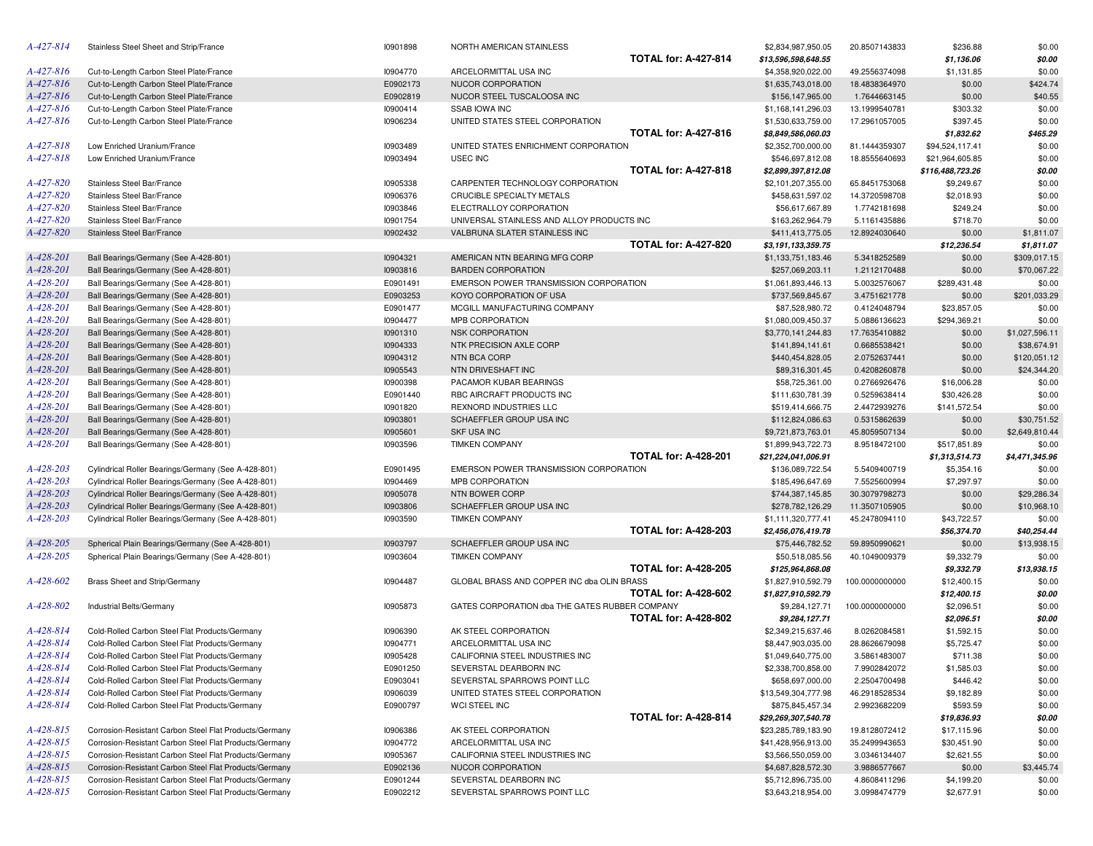| A-427-814       | Stainless Steel Sheet and Strip/France                 | 10901898 | NORTH AMERICAN STAINLESS                       |                             | \$2,834,987,950.05                     | 20.8507143833  | \$236.88         | \$0.00         |
|-----------------|--------------------------------------------------------|----------|------------------------------------------------|-----------------------------|----------------------------------------|----------------|------------------|----------------|
|                 |                                                        |          |                                                | <b>TOTAL for: A-427-814</b> | \$13,596,598,648.55                    |                | \$1,136.06       | \$0.00         |
| A-427-816       | Cut-to-Length Carbon Steel Plate/France                | 10904770 | ARCELORMITTAL USA INC                          |                             | \$4,358,920,022.00                     | 49.2556374098  | \$1,131.85       | \$0.00         |
| A-427-816       | Cut-to-Length Carbon Steel Plate/France                | E0902173 | NUCOR CORPORATION                              |                             | \$1,635,743,018.00                     | 18.4838364970  | \$0.00           | \$424.74       |
| A-427-816       | Cut-to-Length Carbon Steel Plate/France                | E0902819 | NUCOR STEEL TUSCALOOSA INC                     |                             | \$156,147,965.00                       | 1.7644663145   | \$0.00           | \$40.55        |
| A-427-816       | Cut-to-Length Carbon Steel Plate/France                | 10900414 | <b>SSAB IOWA INC</b>                           |                             | \$1,168,141,296.03                     | 13.1999540781  | \$303.32         | \$0.00         |
| $A - 427 - 816$ | Cut-to-Length Carbon Steel Plate/France                | 10906234 | UNITED STATES STEEL CORPORATION                |                             | \$1,530,633,759.00                     | 17.2961057005  | \$397.45         | \$0.00         |
|                 |                                                        |          |                                                | <b>TOTAL for: A-427-816</b> | \$8,849,586,060.03                     |                | \$1,832.62       | \$465.29       |
| A-427-818       | Low Enriched Uranium/France                            | 10903489 | UNITED STATES ENRICHMENT CORPORATION           |                             | \$2,352,700,000.00                     | 81.1444359307  | \$94,524,117.41  | \$0.00         |
| A-427-818       | Low Enriched Uranium/France                            | 10903494 | USEC INC                                       |                             | \$546,697,812.08                       | 18.8555640693  | \$21,964,605.85  | \$0.00         |
|                 |                                                        |          |                                                | <b>TOTAL for: A-427-818</b> | \$2,899,397,812.08                     |                | \$116,488,723.26 | \$0.00         |
| A-427-820       | Stainless Steel Bar/France                             | 10905338 | CARPENTER TECHNOLOGY CORPORATION               |                             | \$2,101,207,355.00                     | 65.8451753068  | \$9,249.67       | \$0.00         |
| A-427-820       | Stainless Steel Bar/France                             | 10906376 | CRUCIBLE SPECIALTY METALS                      |                             | \$458,631,597.02                       | 14.3720598708  | \$2,018.93       | \$0.00         |
| A-427-820       | Stainless Steel Bar/France                             | 10903846 | ELECTRALLOY CORPORATION                        |                             | \$56,617,667.89                        | 1.7742181698   | \$249.24         | \$0.00         |
| A-427-820       | Stainless Steel Bar/France                             | 10901754 | UNIVERSAL STAINLESS AND ALLOY PRODUCTS INC     |                             |                                        |                |                  | \$0.00         |
| A-427-820       |                                                        |          |                                                |                             | \$163,262,964.79                       | 5.1161435886   | \$718.70         |                |
|                 | Stainless Steel Bar/France                             | 10902432 | VALBRUNA SLATER STAINLESS INC                  | <b>TOTAL for: A-427-820</b> | \$411,413,775.05                       | 12.8924030640  | \$0.00           | \$1,811.07     |
|                 |                                                        |          |                                                |                             | \$3,191,133,359.75                     |                | \$12,236.54      | \$1,811.07     |
| A-428-201       | Ball Bearings/Germany (See A-428-801)                  | 10904321 | AMERICAN NTN BEARING MFG CORP                  |                             | \$1,133,751,183.46                     | 5.3418252589   | \$0.00           | \$309,017.15   |
| A-428-201       | Ball Bearings/Germany (See A-428-801)                  | 10903816 | <b>BARDEN CORPORATION</b>                      |                             | \$257,069,203.11                       | 1.2112170488   | \$0.00           | \$70,067.22    |
| A-428-201       | Ball Bearings/Germany (See A-428-801)                  | E0901491 | EMERSON POWER TRANSMISSION CORPORATION         |                             | \$1,061,893,446.13                     | 5.0032576067   | \$289,431.48     | \$0.00         |
| A-428-201       | Ball Bearings/Germany (See A-428-801)                  | E0903253 | KOYO CORPORATION OF USA                        |                             | \$737,569,845.67                       | 3.4751621778   | \$0.00           | \$201,033.29   |
| A-428-201       | Ball Bearings/Germany (See A-428-801)                  | E0901477 | MCGILL MANUFACTURING COMPANY                   |                             | \$87,528,980.72                        | 0.4124048794   | \$23,857.05      | \$0.00         |
| A-428-201       | Ball Bearings/Germany (See A-428-801)                  | 10904477 | MPB CORPORATION                                |                             | \$1,080,009,450.37                     | 5.0886136623   | \$294,369.21     | \$0.00         |
| A-428-201       | Ball Bearings/Germany (See A-428-801)                  | 10901310 | <b>NSK CORPORATION</b>                         |                             | \$3,770,141,244.83                     | 17.7635410882  | \$0.00           | \$1,027,596.11 |
| A-428-201       | Ball Bearings/Germany (See A-428-801)                  | 10904333 | NTK PRECISION AXLE CORP                        |                             | \$141,894,141.61                       | 0.6685538421   | \$0.00           | \$38,674.91    |
| A-428-201       | Ball Bearings/Germany (See A-428-801)                  | 10904312 | <b>NTN BCA CORP</b>                            |                             | \$440,454,828.05                       | 2.0752637441   | \$0.00           | \$120,051.12   |
| A-428-201       | Ball Bearings/Germany (See A-428-801)                  | 10905543 | NTN DRIVESHAFT INC                             |                             | \$89,316,301.45                        | 0.4208260878   | \$0.00           | \$24,344.20    |
| A-428-201       | Ball Bearings/Germany (See A-428-801)                  | 10900398 | PACAMOR KUBAR BEARINGS                         |                             | \$58,725,361.00                        | 0.2766926476   | \$16,006.28      | \$0.00         |
| A-428-201       | Ball Bearings/Germany (See A-428-801)                  | E0901440 | RBC AIRCRAFT PRODUCTS INC                      |                             | \$111,630,781.39                       | 0.5259638414   | \$30,426.28      | \$0.00         |
| A-428-201       | Ball Bearings/Germany (See A-428-801)                  | 10901820 | REXNORD INDUSTRIES LLC                         |                             | \$519,414,666.75                       | 2.4472939276   | \$141,572.54     | \$0.00         |
| A-428-201       | Ball Bearings/Germany (See A-428-801)                  | 10903801 | SCHAEFFLER GROUP USA INC                       |                             | \$112,824,086.63                       | 0.5315862639   | \$0.00           | \$30,751.52    |
| A-428-201       | Ball Bearings/Germany (See A-428-801)                  | 10905601 | <b>SKF USA INC</b>                             |                             | \$9,721,873,763.01                     | 45.8059507134  | \$0.00           | \$2,649,810.44 |
| A-428-201       | Ball Bearings/Germany (See A-428-801)                  | 10903596 | <b>TIMKEN COMPANY</b>                          |                             | \$1,899,943,722.73                     | 8.9518472100   | \$517,851.89     | \$0.00         |
|                 |                                                        |          |                                                | <b>TOTAL for: A-428-201</b> | \$21,224,041,006.91                    |                | \$1,313,514.73   | \$4,471,345.96 |
| A-428-203       | Cylindrical Roller Bearings/Germany (See A-428-801)    | E0901495 | EMERSON POWER TRANSMISSION CORPORATION         |                             | \$136,089,722.54                       | 5.5409400719   | \$5,354.16       | \$0.00         |
| A-428-203       | Cylindrical Roller Bearings/Germany (See A-428-801)    | 10904469 | MPB CORPORATION                                |                             | \$185,496,647.69                       | 7.5525600994   | \$7,297.97       | \$0.00         |
| A-428-203       | Cylindrical Roller Bearings/Germany (See A-428-801)    | 10905078 | NTN BOWER CORP                                 |                             | \$744,387,145.85                       | 30.3079798273  | \$0.00           | \$29,286.34    |
| A-428-203       | Cylindrical Roller Bearings/Germany (See A-428-801)    | 10903806 | SCHAEFFLER GROUP USA INC                       |                             | \$278,782,126.29                       | 11.3507105905  | \$0.00           | \$10,968.10    |
| A-428-203       | Cylindrical Roller Bearings/Germany (See A-428-801)    | 10903590 | <b>TIMKEN COMPANY</b>                          |                             | \$1,111,320,777.41                     | 45.2478094110  | \$43,722.57      | \$0.00         |
|                 |                                                        |          |                                                | <b>TOTAL for: A-428-203</b> | \$2,456,076,419.78                     |                | \$56,374.70      | \$40,254.44    |
| A-428-205       | Spherical Plain Bearings/Germany (See A-428-801)       | 10903797 | SCHAEFFLER GROUP USA INC                       |                             | \$75,446,782.52                        | 59.8950990621  | \$0.00           | \$13,938.15    |
| A-428-205       | Spherical Plain Bearings/Germany (See A-428-801)       | 10903604 | <b>TIMKEN COMPANY</b>                          |                             | \$50,518,085.56                        | 40.1049009379  | \$9,332.79       | \$0.00         |
|                 |                                                        |          |                                                | <b>TOTAL for: A-428-205</b> |                                        |                |                  |                |
| A-428-602       |                                                        | 10904487 | GLOBAL BRASS AND COPPER INC dba OLIN BRASS     |                             | \$125,964,868.08<br>\$1,827,910,592.79 |                | \$9,332.79       | \$13,938.15    |
|                 | Brass Sheet and Strip/Germany                          |          |                                                |                             |                                        | 100.0000000000 | \$12,400.15      | \$0.00         |
| A-428-802       |                                                        |          |                                                | <b>TOTAL for: A-428-602</b> | \$1,827,910,592.79                     |                | \$12,400.15      | \$0.00         |
|                 | Industrial Belts/Germany                               | 10905873 | GATES CORPORATION dba THE GATES RUBBER COMPANY |                             | \$9,284,127.71                         | 100.0000000000 | \$2,096.51       | \$0.00         |
|                 |                                                        |          |                                                | <b>TOTAL for: A-428-802</b> | \$9,284,127.71                         |                | \$2,096.51       | \$0.00         |
| A-428-814       | Cold-Rolled Carbon Steel Flat Products/Germany         | 10906390 | AK STEEL CORPORATION                           |                             | \$2,349,215,637.46                     | 8.0262084581   | \$1,592.15       | \$0.00         |
| A-428-814       | Cold-Rolled Carbon Steel Flat Products/Germany         | 10904771 | ARCELORMITTAL USA INC                          |                             | \$8,447,903,035.00                     | 28.8626679098  | \$5,725.47       | \$0.00         |
| A-428-814       | Cold-Rolled Carbon Steel Flat Products/Germany         | 10905428 | CALIFORNIA STEEL INDUSTRIES INC                |                             | \$1,049,640,775.00                     | 3.5861483007   | \$711.38         | \$0.00         |
| A-428-814       | Cold-Rolled Carbon Steel Flat Products/Germany         | E0901250 | SEVERSTAL DEARBORN INC                         |                             | \$2,338,700,858.00                     | 7.9902842072   | \$1,585.03       | \$0.00         |
| A-428-814       | Cold-Rolled Carbon Steel Flat Products/Germany         | E0903041 | SEVERSTAL SPARROWS POINT LLC                   |                             | \$658,697,000.00                       | 2.2504700498   | \$446.42         | \$0.00         |
| A-428-814       | Cold-Rolled Carbon Steel Flat Products/Germany         | 10906039 | UNITED STATES STEEL CORPORATION                |                             | \$13,549,304,777.98                    | 46.2918528534  | \$9,182.89       | \$0.00         |
| A-428-814       | Cold-Rolled Carbon Steel Flat Products/Germany         | E0900797 | WCI STEEL INC                                  |                             | \$875,845,457.34                       | 2.9923682209   | \$593.59         | \$0.00         |
|                 |                                                        |          |                                                | <b>TOTAL for: A-428-814</b> | \$29,269,307,540.78                    |                | \$19,836.93      | \$0.00         |
| A-428-815       | Corrosion-Resistant Carbon Steel Flat Products/Germany | 10906386 | AK STEEL CORPORATION                           |                             | \$23,285,789,183.90                    | 19.8128072412  | \$17,115.96      | \$0.00         |
| A-428-815       | Corrosion-Resistant Carbon Steel Flat Products/Germany | 10904772 | ARCELORMITTAL USA INC                          |                             | \$41,428,956,913.00                    | 35.2499943653  | \$30,451.90      | \$0.00         |
| A-428-815       | Corrosion-Resistant Carbon Steel Flat Products/Germany | 10905367 | CALIFORNIA STEEL INDUSTRIES INC                |                             | \$3,566,550,059.00                     | 3.0346134407   | \$2,621.55       | \$0.00         |
| A-428-815       | Corrosion-Resistant Carbon Steel Flat Products/Germany | E0902136 | NUCOR CORPORATION                              |                             | \$4,687,828,572.30                     | 3.9886577667   | \$0.00           | \$3,445.74     |
| A-428-815       | Corrosion-Resistant Carbon Steel Flat Products/Germany | E0901244 | SEVERSTAL DEARBORN INC                         |                             | \$5,712,896,735.00                     | 4.8608411296   | \$4,199.20       | \$0.00         |
| A-428-815       | Corrosion-Resistant Carbon Steel Flat Products/Germany | E0902212 | SEVERSTAL SPARROWS POINT LLC                   |                             | \$3,643,218,954.00                     | 3.0998474779   | \$2,677.91       | \$0.00         |
|                 |                                                        |          |                                                |                             |                                        |                |                  |                |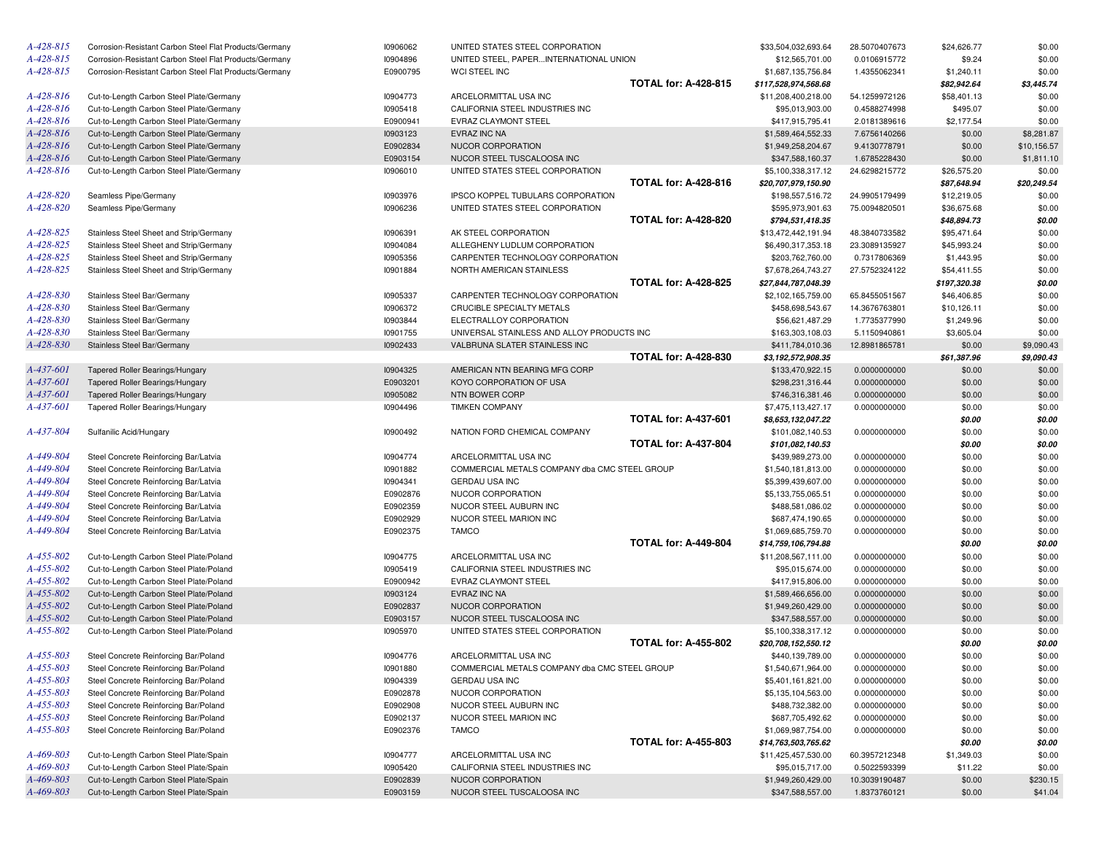| A-428-815 | Corrosion-Resistant Carbon Steel Flat Products/Germany | 10906062 | UNITED STATES STEEL CORPORATION               |                             | \$33,504,032,693.64  | 28.5070407673 | \$24,626.77  | \$0.00      |
|-----------|--------------------------------------------------------|----------|-----------------------------------------------|-----------------------------|----------------------|---------------|--------------|-------------|
| A-428-815 | Corrosion-Resistant Carbon Steel Flat Products/Germany | 10904896 | UNITED STEEL, PAPERINTERNATIONAL UNION        |                             | \$12,565,701.00      | 0.0106915772  | \$9.24       | \$0.00      |
| A-428-815 | Corrosion-Resistant Carbon Steel Flat Products/Germany | E0900795 | WCI STEEL INC                                 |                             | \$1,687,135,756.84   | 1.4355062341  | \$1,240.11   | \$0.00      |
|           |                                                        |          |                                               | <b>TOTAL for: A-428-815</b> | \$117,528,974,568.68 |               | \$82,942.64  | \$3,445.74  |
| A-428-816 | Cut-to-Length Carbon Steel Plate/Germany               | 10904773 | ARCELORMITTAL USA INC                         |                             | \$11,208,400,218.00  | 54.1259972126 | \$58,401.13  | \$0.00      |
| A-428-816 | Cut-to-Length Carbon Steel Plate/Germany               | 10905418 | CALIFORNIA STEEL INDUSTRIES INC               |                             | \$95,013,903.00      | 0.4588274998  | \$495.07     | \$0.00      |
| A-428-816 | Cut-to-Length Carbon Steel Plate/Germany               | E0900941 | EVRAZ CLAYMONT STEEL                          |                             | \$417,915,795.41     | 2.0181389616  | \$2,177.54   | \$0.00      |
| A-428-816 | Cut-to-Length Carbon Steel Plate/Germany               | 10903123 | <b>EVRAZ INC NA</b>                           |                             | \$1,589,464,552.33   | 7.6756140266  | \$0.00       | \$8,281.87  |
| A-428-816 | Cut-to-Length Carbon Steel Plate/Germany               | E0902834 | NUCOR CORPORATION                             |                             | \$1,949,258,204.67   | 9.4130778791  | \$0.00       | \$10,156.57 |
| A-428-816 | Cut-to-Length Carbon Steel Plate/Germany               | E0903154 | NUCOR STEEL TUSCALOOSA INC                    |                             | \$347,588,160.37     | 1.6785228430  | \$0.00       | \$1,811.10  |
| A-428-816 | Cut-to-Length Carbon Steel Plate/Germany               | 10906010 | UNITED STATES STEEL CORPORATION               |                             | \$5,100,338,317.12   | 24.6298215772 | \$26,575.20  | \$0.00      |
|           |                                                        |          |                                               | <b>TOTAL for: A-428-816</b> | \$20,707,979,150.90  |               | \$87,648.94  | \$20,249.54 |
| A-428-820 | Seamless Pipe/Germany                                  | 10903976 | IPSCO KOPPEL TUBULARS CORPORATION             |                             | \$198,557,516.72     | 24.9905179499 | \$12,219.05  | \$0.00      |
| A-428-820 | Seamless Pipe/Germany                                  | 10906236 | UNITED STATES STEEL CORPORATION               |                             | \$595,973,901.63     | 75.0094820501 | \$36,675.68  | \$0.00      |
|           |                                                        |          |                                               | <b>TOTAL for: A-428-820</b> | \$794,531,418.35     |               | \$48,894.73  | \$0.00      |
| A-428-825 | Stainless Steel Sheet and Strip/Germany                | 10906391 | AK STEEL CORPORATION                          |                             | \$13,472,442,191.94  | 48.3840733582 | \$95,471.64  | \$0.00      |
| A-428-825 | Stainless Steel Sheet and Strip/Germany                | 10904084 | ALLEGHENY LUDLUM CORPORATION                  |                             | \$6,490,317,353.18   | 23.3089135927 | \$45,993.24  | \$0.00      |
| A-428-825 | Stainless Steel Sheet and Strip/Germany                | 10905356 | CARPENTER TECHNOLOGY CORPORATION              |                             | \$203,762,760.00     | 0.7317806369  | \$1,443.95   | \$0.00      |
| A-428-825 | Stainless Steel Sheet and Strip/Germany                | 10901884 | NORTH AMERICAN STAINLESS                      |                             | \$7,678,264,743.27   | 27.5752324122 | \$54,411.55  | \$0.00      |
|           |                                                        |          |                                               | <b>TOTAL for: A-428-825</b> | \$27,844,787,048.39  |               | \$197,320.38 | \$0.00      |
| A-428-830 | Stainless Steel Bar/Germany                            | 10905337 | CARPENTER TECHNOLOGY CORPORATION              |                             | \$2,102,165,759.00   | 65.8455051567 | \$46,406.85  | \$0.00      |
| A-428-830 | Stainless Steel Bar/Germany                            | 10906372 | CRUCIBLE SPECIALTY METALS                     |                             | \$458,698,543.67     | 14.3676763801 | \$10,126.11  | \$0.00      |
| A-428-830 | Stainless Steel Bar/Germany                            | 10903844 | ELECTRALLOY CORPORATION                       |                             | \$56,621,487.29      | 1.7735377990  | \$1,249.96   | \$0.00      |
| A-428-830 | Stainless Steel Bar/Germany                            | 10901755 | UNIVERSAL STAINLESS AND ALLOY PRODUCTS INC    |                             | \$163,303,108.03     | 5.1150940861  | \$3,605.04   | \$0.00      |
| A-428-830 |                                                        | 10902433 | VALBRUNA SLATER STAINLESS INC                 |                             |                      | 12.8981865781 |              |             |
|           | Stainless Steel Bar/Germany                            |          |                                               | <b>TOTAL for: A-428-830</b> | \$411,784,010.36     |               | \$0.00       | \$9,090.43  |
| A-437-601 |                                                        |          | AMERICAN NTN BEARING MFG CORP                 |                             | \$3,192,572,908.35   |               | \$61,387.96  | \$9,090.43  |
|           | Tapered Roller Bearings/Hungary                        | 10904325 |                                               |                             | \$133,470,922.15     | 0.0000000000  | \$0.00       | \$0.00      |
| A-437-601 | Tapered Roller Bearings/Hungary                        | E0903201 | KOYO CORPORATION OF USA                       |                             | \$298,231,316.44     | 0.0000000000  | \$0.00       | \$0.00      |
| A-437-601 | Tapered Roller Bearings/Hungary                        | 10905082 | NTN BOWER CORP                                |                             | \$746,316,381.46     | 0.0000000000  | \$0.00       | \$0.00      |
| A-437-601 | Tapered Roller Bearings/Hungary                        | 10904496 | <b>TIMKEN COMPANY</b>                         |                             | \$7,475,113,427.17   | 0.0000000000  | \$0.00       | \$0.00      |
|           |                                                        |          |                                               | <b>TOTAL for: A-437-601</b> | \$8,653,132,047.22   |               | \$0.00       | \$0.00      |
| A-437-804 | Sulfanilic Acid/Hungary                                | 10900492 | NATION FORD CHEMICAL COMPANY                  |                             | \$101,082,140.53     | 0.0000000000  | \$0.00       | \$0.00      |
|           |                                                        |          |                                               | <b>TOTAL for: A-437-804</b> | \$101,082,140.53     |               | \$0.00       | \$0.00      |
| A-449-804 | Steel Concrete Reinforcing Bar/Latvia                  | 10904774 | ARCELORMITTAL USA INC                         |                             | \$439,989,273.00     | 0.0000000000  | \$0.00       | \$0.00      |
| A-449-804 | Steel Concrete Reinforcing Bar/Latvia                  | 10901882 | COMMERCIAL METALS COMPANY dba CMC STEEL GROUP |                             | \$1,540,181,813.00   | 0.0000000000  | \$0.00       | \$0.00      |
| A-449-804 | Steel Concrete Reinforcing Bar/Latvia                  | 10904341 | <b>GERDAU USA INC</b>                         |                             | \$5,399,439,607.00   | 0.0000000000  | \$0.00       | \$0.00      |
| A-449-804 | Steel Concrete Reinforcing Bar/Latvia                  | E0902876 | NUCOR CORPORATION                             |                             | \$5,133,755,065.51   | 0.0000000000  | \$0.00       | \$0.00      |
| A-449-804 | Steel Concrete Reinforcing Bar/Latvia                  | E0902359 | NUCOR STEEL AUBURN INC                        |                             | \$488,581,086.02     | 0.0000000000  | \$0.00       | \$0.00      |
| A-449-804 | Steel Concrete Reinforcing Bar/Latvia                  | E0902929 | NUCOR STEEL MARION INC                        |                             | \$687,474,190.65     | 0.0000000000  | \$0.00       | \$0.00      |
| A-449-804 | Steel Concrete Reinforcing Bar/Latvia                  | E0902375 | <b>TAMCO</b>                                  |                             | \$1,069,685,759.70   | 0.0000000000  | \$0.00       | \$0.00      |
|           |                                                        |          |                                               | <b>TOTAL for: A-449-804</b> | \$14,759,106,794.88  |               | \$0.00       | \$0.00      |
| A-455-802 | Cut-to-Length Carbon Steel Plate/Poland                | 10904775 | ARCELORMITTAL USA INC                         |                             | \$11,208,567,111.00  | 0.0000000000  | \$0.00       | \$0.00      |
| A-455-802 | Cut-to-Length Carbon Steel Plate/Poland                | 10905419 | CALIFORNIA STEEL INDUSTRIES INC               |                             | \$95,015,674.00      | 0.0000000000  | \$0.00       | \$0.00      |
| A-455-802 | Cut-to-Length Carbon Steel Plate/Poland                | E0900942 | EVRAZ CLAYMONT STEEL                          |                             | \$417,915,806.00     | 0.0000000000  | \$0.00       | \$0.00      |
| A-455-802 | Cut-to-Length Carbon Steel Plate/Poland                | 10903124 | EVRAZ INC NA                                  |                             | \$1,589,466,656.00   | 0.0000000000  | \$0.00       | \$0.00      |
| A-455-802 | Cut-to-Length Carbon Steel Plate/Poland                | E0902837 | NUCOR CORPORATION                             |                             | \$1,949,260,429.00   | 0.0000000000  | \$0.00       | \$0.00      |
| A-455-802 | Cut-to-Length Carbon Steel Plate/Poland                | E0903157 | NUCOR STEEL TUSCALOOSA INC                    |                             | \$347,588,557.00     | 0.0000000000  | \$0.00       | \$0.00      |
| A-455-802 | Cut-to-Length Carbon Steel Plate/Poland                | 10905970 | UNITED STATES STEEL CORPORATION               |                             | \$5,100,338,317.12   | 0.0000000000  | \$0.00       | \$0.00      |
|           |                                                        |          |                                               | <b>TOTAL for: A-455-802</b> | \$20,708,152,550.12  |               | \$0.00       | \$0.00      |
| A-455-803 | Steel Concrete Reinforcing Bar/Poland                  | 10904776 | ARCELORMITTAL USA INC                         |                             | \$440,139,789.00     | 0.0000000000  | \$0.00       | \$0.00      |
| A-455-803 | Steel Concrete Reinforcing Bar/Poland                  | 10901880 | COMMERCIAL METALS COMPANY dba CMC STEEL GROUP |                             | \$1,540,671,964.00   | 0.0000000000  | \$0.00       | \$0.00      |
| A-455-803 | Steel Concrete Reinforcing Bar/Poland                  | 10904339 | <b>GERDAU USA INC</b>                         |                             | \$5,401,161,821.00   | 0.0000000000  | \$0.00       | \$0.00      |
| A-455-803 | Steel Concrete Reinforcing Bar/Poland                  | E0902878 | NUCOR CORPORATION                             |                             | \$5,135,104,563.00   | 0.0000000000  | \$0.00       | \$0.00      |
| A-455-803 | Steel Concrete Reinforcing Bar/Poland                  | E0902908 | NUCOR STEEL AUBURN INC                        |                             | \$488,732,382.00     | 0.0000000000  | \$0.00       | \$0.00      |
| A-455-803 | Steel Concrete Reinforcing Bar/Poland                  | E0902137 | NUCOR STEEL MARION INC                        |                             | \$687,705,492.62     | 0.0000000000  | \$0.00       | \$0.00      |
| A-455-803 | Steel Concrete Reinforcing Bar/Poland                  | E0902376 | <b>TAMCO</b>                                  |                             | \$1,069,987,754.00   | 0.0000000000  | \$0.00       | \$0.00      |
|           |                                                        |          |                                               | <b>TOTAL for: A-455-803</b> | \$14,763,503,765.62  |               | \$0.00       | \$0.00      |
| A-469-803 | Cut-to-Length Carbon Steel Plate/Spain                 | 10904777 | ARCELORMITTAL USA INC                         |                             | \$11,425,457,530.00  | 60.3957212348 | \$1,349.03   | \$0.00      |
| A-469-803 | Cut-to-Length Carbon Steel Plate/Spain                 | 10905420 | CALIFORNIA STEEL INDUSTRIES INC               |                             | \$95,015,717.00      | 0.5022593399  | \$11.22      | \$0.00      |
| A-469-803 | Cut-to-Length Carbon Steel Plate/Spain                 | E0902839 | NUCOR CORPORATION                             |                             | \$1,949,260,429.00   | 10.3039190487 | \$0.00       | \$230.15    |
| A-469-803 | Cut-to-Length Carbon Steel Plate/Spain                 | E0903159 | NUCOR STEEL TUSCALOOSA INC                    |                             | \$347,588,557.00     | 1.8373760121  | \$0.00       | \$41.04     |
|           |                                                        |          |                                               |                             |                      |               |              |             |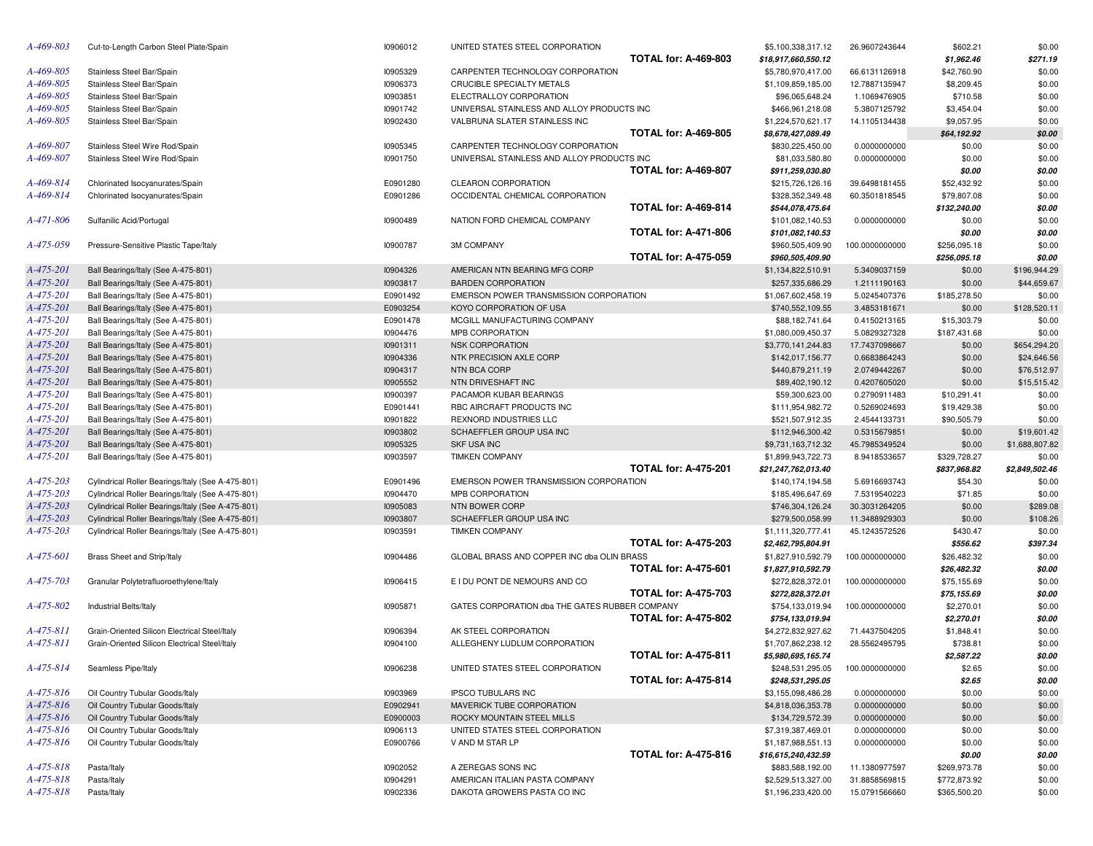| A-469-803       | Cut-to-Length Carbon Steel Plate/Spain            | 10906012 | UNITED STATES STEEL CORPORATION                |                             | \$5,100,338,317.12  | 26.9607243644  | \$602.21     | \$0.00         |
|-----------------|---------------------------------------------------|----------|------------------------------------------------|-----------------------------|---------------------|----------------|--------------|----------------|
|                 |                                                   |          |                                                | <b>TOTAL for: A-469-803</b> | \$18,917,660,550.12 |                | \$1,962.46   | \$271.19       |
| A-469-805       | Stainless Steel Bar/Spain                         | 10905329 | CARPENTER TECHNOLOGY CORPORATION               |                             | \$5,780,970,417.00  | 66.6131126918  | \$42,760.90  | \$0.00         |
| A-469-805       | Stainless Steel Bar/Spain                         | 10906373 | CRUCIBLE SPECIALTY METALS                      |                             | \$1,109,859,185.00  | 12.7887135947  | \$8,209.45   | \$0.00         |
| A-469-805       | Stainless Steel Bar/Spain                         | 10903851 | ELECTRALLOY CORPORATION                        |                             | \$96,065,648.24     | 1.1069476905   | \$710.58     | \$0.00         |
| A-469-805       | Stainless Steel Bar/Spain                         | 10901742 | UNIVERSAL STAINLESS AND ALLOY PRODUCTS INC     |                             | \$466,961,218.08    | 5.3807125792   | \$3,454.04   | \$0.00         |
| A-469-805       | Stainless Steel Bar/Spain                         | 10902430 | VALBRUNA SLATER STAINLESS INC                  |                             | \$1,224,570,621.17  | 14.1105134438  | \$9,057.95   | \$0.00         |
|                 |                                                   |          |                                                | <b>TOTAL for: A-469-805</b> | \$8,678,427,089.49  |                | \$64,192.92  | \$0.00         |
| A-469-807       | Stainless Steel Wire Rod/Spain                    | 10905345 | CARPENTER TECHNOLOGY CORPORATION               |                             | \$830,225,450.00    | 0.0000000000   | \$0.00       | \$0.00         |
| A-469-807       | Stainless Steel Wire Rod/Spain                    | 10901750 | UNIVERSAL STAINLESS AND ALLOY PRODUCTS INC     |                             | \$81,033,580.80     | 0.0000000000   | \$0.00       | \$0.00         |
|                 |                                                   |          |                                                | <b>TOTAL for: A-469-807</b> | \$911,259,030.80    |                | \$0.00       | \$0.00         |
| A-469-814       | Chlorinated Isocyanurates/Spain                   | E0901280 | CLEARON CORPORATION                            |                             | \$215,726,126.16    | 39.6498181455  | \$52,432.92  | \$0.00         |
| A-469-814       | Chlorinated Isocyanurates/Spain                   | E0901286 | OCCIDENTAL CHEMICAL CORPORATION                |                             | \$328,352,349.48    | 60.3501818545  | \$79,807.08  | \$0.00         |
|                 |                                                   |          |                                                | <b>TOTAL for: A-469-814</b> |                     |                | \$132,240.00 | \$0.00         |
|                 |                                                   |          |                                                |                             | \$544,078,475.64    |                |              |                |
| A-471-806       | Sulfanilic Acid/Portugal                          | 10900489 | NATION FORD CHEMICAL COMPANY                   |                             | \$101,082,140.53    | 0.0000000000   | \$0.00       | \$0.00         |
|                 |                                                   |          |                                                | <b>TOTAL for: A-471-806</b> | \$101,082,140.53    |                | \$0.00       | \$0.00         |
| A-475-059       | Pressure-Sensitive Plastic Tape/Italy             | 10900787 | 3M COMPANY                                     |                             | \$960,505,409.90    | 100.0000000000 | \$256,095.18 | \$0.00         |
|                 |                                                   |          |                                                | <b>TOTAL for: A-475-059</b> | \$960,505,409.90    |                | \$256,095.18 | \$0.00         |
| A-475-201       | Ball Bearings/Italy (See A-475-801)               | 10904326 | AMERICAN NTN BEARING MFG CORP                  |                             | \$1,134,822,510.91  | 5.3409037159   | \$0.00       | \$196,944.29   |
| A-475-201       | Ball Bearings/Italy (See A-475-801)               | 10903817 | <b>BARDEN CORPORATION</b>                      |                             | \$257,335,686.29    | 1.2111190163   | \$0.00       | \$44,659.67    |
| A-475-201       | Ball Bearings/Italy (See A-475-801)               | E0901492 | EMERSON POWER TRANSMISSION CORPORATION         |                             | \$1,067,602,458.19  | 5.0245407376   | \$185,278.50 | \$0.00         |
| A-475-201       | Ball Bearings/Italy (See A-475-801)               | E0903254 | KOYO CORPORATION OF USA                        |                             | \$740,552,109.55    | 3.4853181671   | \$0.00       | \$128,520.11   |
| A-475-201       | Ball Bearings/Italy (See A-475-801)               | E0901478 | MCGILL MANUFACTURING COMPANY                   |                             | \$88,182,741.64     | 0.4150213165   | \$15,303.79  | \$0.00         |
| A-475-201       | Ball Bearings/Italy (See A-475-801)               | 10904476 | MPB CORPORATION                                |                             | \$1,080,009,450.37  | 5.0829327328   | \$187,431.68 | \$0.00         |
| A-475-201       | Ball Bearings/Italy (See A-475-801)               | 10901311 | <b>NSK CORPORATION</b>                         |                             | \$3,770,141,244.83  | 17.7437098667  | \$0.00       | \$654,294.20   |
| A-475-201       | Ball Bearings/Italy (See A-475-801)               | 10904336 | NTK PRECISION AXLE CORP                        |                             | \$142,017,156.77    | 0.6683864243   | \$0.00       | \$24,646.56    |
| A-475-201       | Ball Bearings/Italy (See A-475-801)               | 10904317 | NTN BCA CORP                                   |                             | \$440,879,211.19    | 2.0749442267   | \$0.00       | \$76,512.97    |
| A-475-201       | Ball Bearings/Italy (See A-475-801)               | 10905552 | NTN DRIVESHAFT INC                             |                             | \$89,402,190.12     | 0.4207605020   | \$0.00       | \$15,515.42    |
| A-475-201       | Ball Bearings/Italy (See A-475-801)               | 10900397 | PACAMOR KUBAR BEARINGS                         |                             | \$59,300,623.00     | 0.2790911483   | \$10,291.41  | \$0.00         |
| A-475-201       | Ball Bearings/Italy (See A-475-801)               | E0901441 | RBC AIRCRAFT PRODUCTS INC                      |                             | \$111,954,982.72    | 0.5269024693   | \$19,429.38  | \$0.00         |
| A-475-201       | Ball Bearings/Italy (See A-475-801)               | 10901822 | REXNORD INDUSTRIES LLC                         |                             | \$521,507,912.35    | 2.4544133731   | \$90,505.79  | \$0.00         |
| A-475-201       | Ball Bearings/Italy (See A-475-801)               | 10903802 | SCHAEFFLER GROUP USA INC                       |                             | \$112,946,300.42    | 0.5315679851   | \$0.00       | \$19,601.42    |
| A-475-201       | Ball Bearings/Italy (See A-475-801)               | 10905325 | <b>SKF USA INC</b>                             |                             | \$9,731,163,712.32  | 45.7985349524  | \$0.00       | \$1,688,807.82 |
| A-475-201       | Ball Bearings/Italy (See A-475-801)               | 10903597 | <b>TIMKEN COMPANY</b>                          |                             | \$1,899,943,722.73  | 8.9418533657   | \$329,728.27 | \$0.00         |
|                 |                                                   |          |                                                | <b>TOTAL for: A-475-201</b> | \$21,247,762,013.40 |                | \$837,968.82 | \$2,849,502.46 |
| $A - 475 - 203$ | Cylindrical Roller Bearings/Italy (See A-475-801) | E0901496 | EMERSON POWER TRANSMISSION CORPORATION         |                             | \$140,174,194.58    | 5.6916693743   | \$54.30      | \$0.00         |
| A-475-203       |                                                   | 10904470 |                                                |                             |                     |                | \$71.85      | \$0.00         |
|                 | Cylindrical Roller Bearings/Italy (See A-475-801) |          | MPB CORPORATION                                |                             | \$185,496,647.69    | 7.5319540223   |              |                |
| A-475-203       | Cylindrical Roller Bearings/Italy (See A-475-801) | 10905083 | NTN BOWER CORP                                 |                             | \$746,304,126.24    | 30.3031264205  | \$0.00       | \$289.08       |
| A-475-203       | Cylindrical Roller Bearings/Italy (See A-475-801) | 10903807 | SCHAEFFLER GROUP USA INC                       |                             | \$279,500,058.99    | 11.3488929303  | \$0.00       | \$108.26       |
| $A - 475 - 203$ | Cylindrical Roller Bearings/Italy (See A-475-801) | 10903591 | <b>TIMKEN COMPANY</b>                          |                             | \$1,111,320,777.41  | 45.1243572526  | \$430.47     | \$0.00         |
|                 |                                                   |          |                                                | <b>TOTAL for: A-475-203</b> | \$2,462,795,804.91  |                | \$556.62     | \$397.34       |
| A-475-601       | Brass Sheet and Strip/Italy                       | 10904486 | GLOBAL BRASS AND COPPER INC dba OLIN BRASS     |                             | \$1,827,910,592.79  | 100.0000000000 | \$26,482.32  | \$0.00         |
|                 |                                                   |          |                                                | <b>TOTAL for: A-475-601</b> | \$1,827,910,592.79  |                | \$26,482.32  | \$0.00         |
| A-475-703       | Granular Polytetrafluoroethylene/Italy            | 10906415 | E I DU PONT DE NEMOURS AND CO                  |                             | \$272,828,372.01    | 100.0000000000 | \$75,155.69  | \$0.00         |
|                 |                                                   |          |                                                | <b>TOTAL for: A-475-703</b> | \$272,828,372.01    |                | \$75,155.69  | \$0.00         |
| A-475-802       | Industrial Belts/Italy                            | 10905871 | GATES CORPORATION dba THE GATES RUBBER COMPANY |                             | \$754,133,019.94    | 100.0000000000 | \$2,270.01   | \$0.00         |
|                 |                                                   |          |                                                | <b>TOTAL for: A-475-802</b> | \$754,133,019.94    |                | \$2,270.01   | \$0.00         |
| A-475-811       | Grain-Oriented Silicon Electrical Steel/Italy     | 10906394 | AK STEEL CORPORATION                           |                             | \$4,272,832,927.62  | 71.4437504205  | \$1,848.41   | \$0.00         |
| $A - 475 - 811$ | Grain-Oriented Silicon Electrical Steel/Italy     | 10904100 | ALLEGHENY LUDLUM CORPORATION                   |                             | \$1,707,862,238.12  | 28.5562495795  | \$738.81     | \$0.00         |
|                 |                                                   |          |                                                | <b>TOTAL for: A-475-811</b> | \$5,980,695,165.74  |                | \$2,587.22   | \$0.00         |
| A-475-814       | Seamless Pipe/Italy                               | 10906238 | UNITED STATES STEEL CORPORATION                |                             | \$248,531,295.05    | 100.0000000000 | \$2.65       | \$0.00         |
|                 |                                                   |          |                                                | <b>TOTAL for: A-475-814</b> | \$248,531,295.05    |                | \$2.65       | \$0.00         |
| $A - 475 - 816$ | Oil Country Tubular Goods/Italy                   | 10903969 | IPSCO TUBULARS INC                             |                             | \$3,155,098,486.28  | 0.0000000000   | \$0.00       | \$0.00         |
| A-475-816       | Oil Country Tubular Goods/Italy                   | E0902941 | MAVERICK TUBE CORPORATION                      |                             | \$4,818,036,353.78  | 0.0000000000   | \$0.00       | \$0.00         |
| $A - 475 - 816$ | Oil Country Tubular Goods/Italy                   | E0900003 | ROCKY MOUNTAIN STEEL MILLS                     |                             | \$134,729,572.39    | 0.0000000000   | \$0.00       | \$0.00         |
| A-475-816       | Oil Country Tubular Goods/Italy                   | 10906113 | UNITED STATES STEEL CORPORATION                |                             | \$7,319,387,469.01  | 0.0000000000   | \$0.00       | \$0.00         |
| $A - 475 - 816$ | Oil Country Tubular Goods/Italy                   | E0900766 | V AND M STAR LP                                |                             | \$1,187,988,551.13  | 0.0000000000   | \$0.00       | \$0.00         |
|                 |                                                   |          |                                                | <b>TOTAL for: A-475-816</b> | \$16,615,240,432.59 |                | \$0.00       | \$0.00         |
| A-475-818       | Pasta/Italy                                       | 10902052 | A ZEREGAS SONS INC                             |                             | \$883,588,192.00    | 11.1380977597  | \$269,973.78 | \$0.00         |
| A-475-818       | Pasta/Italy                                       | 10904291 | AMERICAN ITALIAN PASTA COMPANY                 |                             | \$2,529,513,327.00  | 31.8858569815  | \$772,873.92 | \$0.00         |
|                 |                                                   |          |                                                |                             |                     |                |              |                |
| A-475-818       | Pasta/Italy                                       | 10902336 | DAKOTA GROWERS PASTA CO INC                    |                             | \$1,196,233,420.00  | 15.0791566660  | \$365,500.20 | \$0.00         |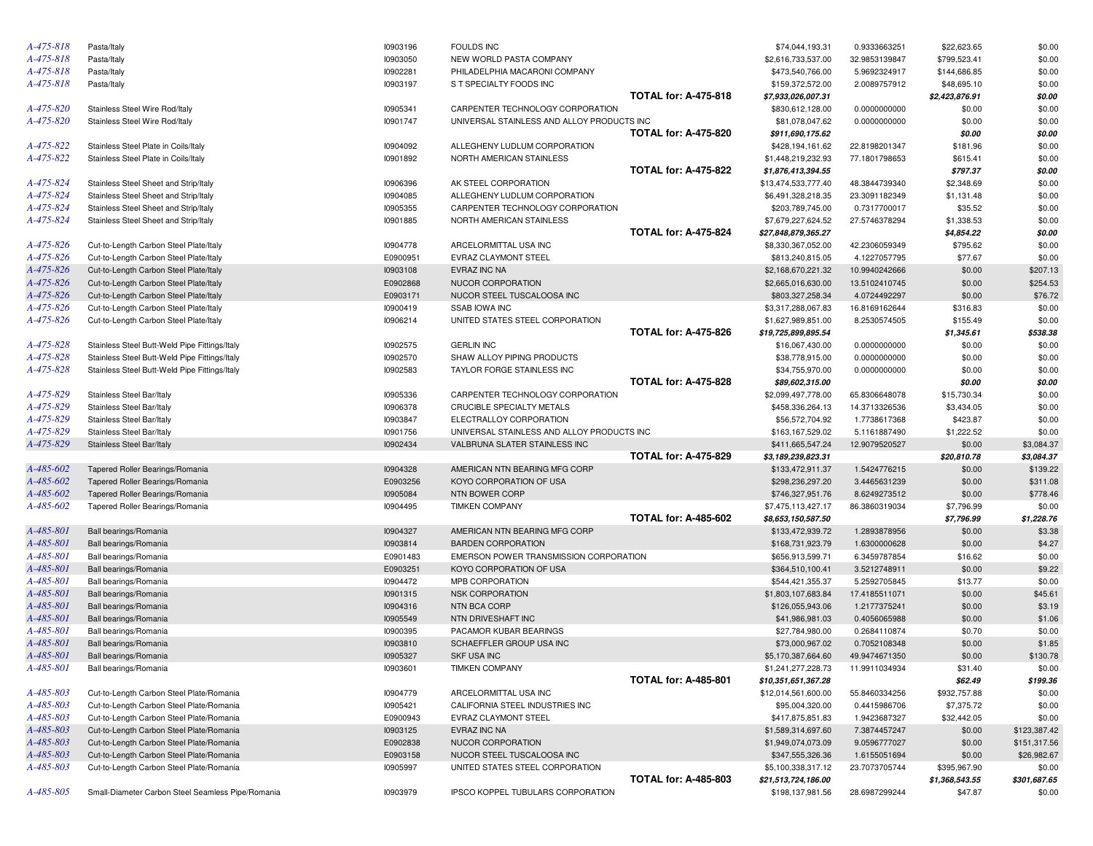| A-475-818 | Pasta/Italy                                       | 10903196 | <b>FOULDS INC</b>                          |                             | \$74,044,193.31                       | 0.9333663251  | \$22,623.65    | \$0.00       |
|-----------|---------------------------------------------------|----------|--------------------------------------------|-----------------------------|---------------------------------------|---------------|----------------|--------------|
| A-475-818 | Pasta/Italy                                       | 10903050 | NEW WORLD PASTA COMPANY                    |                             | \$2,616,733,537.00                    | 32.9853139847 | \$799,523.41   | \$0.00       |
| A-475-818 | Pasta/Italy                                       | 10902281 | PHILADELPHIA MACARONI COMPANY              |                             | \$473,540,766.00                      | 5.9692324917  | \$144,686.85   | \$0.00       |
| A-475-818 | Pasta/Italy                                       | 10903197 | S T SPECIALTY FOODS INC                    |                             | \$159,372,572.00                      | 2.0089757912  | \$48,695.10    | \$0.00       |
|           |                                                   |          |                                            | <b>TOTAL for: A-475-818</b> | \$7,933,026,007.31                    |               | \$2,423,876.91 | \$0.00       |
| A-475-820 | Stainless Steel Wire Rod/Italy                    | 10905341 | CARPENTER TECHNOLOGY CORPORATION           |                             | \$830,612,128.00                      | 0.0000000000  | \$0.00         | \$0.00       |
| A-475-820 | Stainless Steel Wire Rod/Italy                    | 10901747 | UNIVERSAL STAINLESS AND ALLOY PRODUCTS INC |                             | \$81,078,047.62                       | 0.0000000000  | \$0.00         | \$0.00       |
|           |                                                   |          |                                            | <b>TOTAL for: A-475-820</b> | \$911,690,175.62                      |               | \$0.00         | \$0.00       |
| A-475-822 | Stainless Steel Plate in Coils/Italy              | 10904092 | ALLEGHENY LUDLUM CORPORATION               |                             | \$428,194,161.62                      | 22.8198201347 | \$181.96       | \$0.00       |
| A-475-822 | Stainless Steel Plate in Coils/Italy              | 10901892 | NORTH AMERICAN STAINLESS                   |                             | \$1,448,219,232.93                    | 77.1801798653 | \$615.41       | \$0.00       |
|           |                                                   |          |                                            | <b>TOTAL for: A-475-822</b> | \$1,876,413,394.55                    |               | \$797.37       | \$0.00       |
| A-475-824 | Stainless Steel Sheet and Strip/Italy             | 10906396 | AK STEEL CORPORATION                       |                             | \$13,474,533,777.40                   | 48.3844739340 | \$2,348.69     | \$0.00       |
| A-475-824 | Stainless Steel Sheet and Strip/Italy             | 10904085 | ALLEGHENY LUDLUM CORPORATION               |                             | \$6,491,328,218.35                    | 23.3091182349 | \$1,131.48     | \$0.00       |
| A-475-824 | Stainless Steel Sheet and Strip/Italy             | 10905355 | CARPENTER TECHNOLOGY CORPORATION           |                             | \$203,789,745.00                      | 0.7317700017  | \$35.52        | \$0.00       |
| A-475-824 | Stainless Steel Sheet and Strip/Italy             | 10901885 | NORTH AMERICAN STAINLESS                   |                             | \$7,679,227,624.52                    | 27.5746378294 | \$1,338.53     | \$0.00       |
|           |                                                   |          |                                            | <b>TOTAL for: A-475-824</b> | \$27,848,879,365.27                   |               | \$4,854.22     | \$0.00       |
| A-475-826 |                                                   | 10904778 |                                            |                             |                                       |               |                |              |
|           | Cut-to-Length Carbon Steel Plate/Italy            |          | ARCELORMITTAL USA INC                      |                             | \$8,330,367,052.00                    | 42.2306059349 | \$795.62       | \$0.00       |
| A-475-826 | Cut-to-Length Carbon Steel Plate/Italy            | E0900951 | EVRAZ CLAYMONT STEEL                       |                             | \$813,240,815.05                      | 4.1227057795  | \$77.67        | \$0.00       |
| A-475-826 | Cut-to-Length Carbon Steel Plate/Italy            | 10903108 | EVRAZ INC NA                               |                             | \$2,168,670,221.32                    | 10.9940242666 | \$0.00         | \$207.13     |
| A-475-826 | Cut-to-Length Carbon Steel Plate/Italy            | E0902868 | NUCOR CORPORATION                          |                             | \$2,665,016,630.00                    | 13.5102410745 | \$0.00         | \$254.53     |
| A-475-826 | Cut-to-Length Carbon Steel Plate/Italy            | E0903171 | NUCOR STEEL TUSCALOOSA INC                 |                             | \$803,327,258.34                      | 4.0724492297  | \$0.00         | \$76.72      |
| A-475-826 | Cut-to-Length Carbon Steel Plate/Italy            | 10900419 | <b>SSAB IOWA INC</b>                       |                             | \$3,317,288,067.83                    | 16.8169162644 | \$316.83       | \$0.00       |
| A-475-826 | Cut-to-Length Carbon Steel Plate/Italy            | 10906214 | UNITED STATES STEEL CORPORATION            |                             | \$1,627,989,851.00                    | 8.2530574505  | \$155.49       | \$0.00       |
|           |                                                   |          |                                            | <b>TOTAL for: A-475-826</b> | \$19,725,899,895.54                   |               | \$1,345.61     | \$538.38     |
| A-475-828 | Stainless Steel Butt-Weld Pipe Fittings/Italy     | 10902575 | <b>GERLIN INC</b>                          |                             | \$16,067,430.00                       | 0.0000000000  | \$0.00         | \$0.00       |
| A-475-828 | Stainless Steel Butt-Weld Pipe Fittings/Italy     | 10902570 | SHAW ALLOY PIPING PRODUCTS                 |                             | \$38,778,915.00                       | 0.0000000000  | \$0.00         | \$0.00       |
| A-475-828 | Stainless Steel Butt-Weld Pipe Fittings/Italy     | 10902583 | TAYLOR FORGE STAINLESS INC                 |                             | \$34,755,970.00                       | 0.0000000000  | \$0.00         | \$0.00       |
|           |                                                   |          |                                            | <b>TOTAL for: A-475-828</b> | \$89,602,315.00                       |               | \$0.00         | \$0.00       |
| A-475-829 | Stainless Steel Bar/Italy                         | 10905336 | CARPENTER TECHNOLOGY CORPORATION           |                             | \$2,099,497,778.00                    | 65.8306648078 | \$15,730.34    | \$0.00       |
| A-475-829 | Stainless Steel Bar/Italy                         | 10906378 | CRUCIBLE SPECIALTY METALS                  |                             | \$458,336,264.13                      | 14.3713326536 | \$3,434.05     | \$0.00       |
| A-475-829 | Stainless Steel Bar/Italy                         | 10903847 | ELECTRALLOY CORPORATION                    |                             | \$56,572,704.92                       | 1.7738617368  | \$423.87       | \$0.00       |
| A-475-829 | Stainless Steel Bar/Italy                         | 10901756 | UNIVERSAL STAINLESS AND ALLOY PRODUCTS INC |                             | \$163,167,529.02                      | 5.1161887490  | \$1,222.52     | \$0.00       |
| A-475-829 | Stainless Steel Bar/Italy                         | 10902434 | VALBRUNA SLATER STAINLESS INC              |                             | \$411,665,547.24                      | 12.9079520527 | \$0.00         | \$3,084.37   |
|           |                                                   |          |                                            | <b>TOTAL for: A-475-829</b> | \$3,189,239,823.31                    |               | \$20,810.78    | \$3,084.37   |
| A-485-602 | Tapered Roller Bearings/Romania                   | 10904328 | AMERICAN NTN BEARING MFG CORP              |                             | \$133,472,911.37                      | 1.5424776215  | \$0.00         | \$139.22     |
| A-485-602 | Tapered Roller Bearings/Romania                   | E0903256 | KOYO CORPORATION OF USA                    |                             | \$298,236,297.20                      | 3.4465631239  | \$0.00         | \$311.08     |
| A-485-602 | Tapered Roller Bearings/Romania                   | 10905084 | NTN BOWER CORP                             |                             | \$746,327,951.76                      | 8.6249273512  | \$0.00         | \$778.46     |
| A-485-602 | Tapered Roller Bearings/Romania                   | 10904495 | <b>TIMKEN COMPANY</b>                      |                             | \$7,475,113,427.17                    | 86.3860319034 | \$7,796.99     | \$0.00       |
|           |                                                   |          |                                            | <b>TOTAL for: A-485-602</b> | \$8,653,150,587.50                    |               | \$7,796.99     | \$1,228.76   |
| A-485-801 | Ball bearings/Romania                             | 10904327 | AMERICAN NTN BEARING MFG CORP              |                             | \$133,472,939.72                      | 1.2893878956  | \$0.00         | \$3.38       |
| A-485-801 | Ball bearings/Romania                             | 10903814 | <b>BARDEN CORPORATION</b>                  |                             | \$168,731,923.79                      | 1.6300000628  | \$0.00         | \$4.27       |
| A-485-801 | Ball bearings/Romania                             | E0901483 | EMERSON POWER TRANSMISSION CORPORATION     |                             | \$656,913,599.71                      | 6.3459787854  | \$16.62        | \$0.00       |
| A-485-801 | Ball bearings/Romania                             | E0903251 | KOYO CORPORATION OF USA                    |                             | \$364,510,100.41                      | 3.5212748911  | \$0.00         | \$9.22       |
| A-485-801 | Ball bearings/Romania                             | 10904472 | MPB CORPORATION                            |                             | \$544,421,355.37                      | 5.2592705845  | \$13.77        | \$0.00       |
| A-485-801 | Ball bearings/Romania                             | 10901315 | <b>NSK CORPORATION</b>                     |                             | \$1,803,107,683.84                    | 17.4185511071 | \$0.00         | \$45.61      |
| A-485-801 | Ball bearings/Romania                             | 10904316 | NTN BCA CORP                               |                             | \$126,055,943.06                      | 1.2177375241  | \$0.00         | \$3.19       |
| A-485-801 | Ball bearings/Romania                             | 10905549 | NTN DRIVESHAFT INC                         |                             | \$41,986,981.03                       | 0.4056065988  | \$0.00         | \$1.06       |
| A-485-801 | Ball bearings/Romania                             | 10900395 | PACAMOR KUBAR BEARINGS                     |                             | \$27,784,980.00                       | 0.2684110874  | \$0.70         | \$0.00       |
| A-485-801 |                                                   | 10903810 | SCHAEFFLER GROUP USA INC                   |                             |                                       | 0.7052108348  | \$0.00         |              |
| A-485-801 | Ball bearings/Romania                             |          |                                            |                             | \$73,000,967.02<br>\$5,170,387,664,60 |               |                | \$1.85       |
|           | Ball bearings/Romania                             | 10905327 | <b>SKF USA INC</b>                         |                             |                                       | 49.9474671350 | \$0.00         | \$130.78     |
| A-485-801 | Ball bearings/Romania                             | 10903601 | <b>TIMKEN COMPANY</b>                      |                             | \$1,241,277,228.73                    | 11.9911034934 | \$31.40        | \$0.00       |
|           |                                                   |          |                                            | <b>TOTAL for: A-485-801</b> | \$10,351,651,367.28                   |               | \$62.49        | \$199.36     |
| A-485-803 | Cut-to-Length Carbon Steel Plate/Romania          | 10904779 | ARCELORMITTAL USA INC                      |                             | \$12,014,561,600.00                   | 55.8460334256 | \$932,757.88   | \$0.00       |
| A-485-803 | Cut-to-Length Carbon Steel Plate/Romania          | 10905421 | CALIFORNIA STEEL INDUSTRIES INC            |                             | \$95,004,320.00                       | 0.4415986706  | \$7,375.72     | \$0.00       |
| A-485-803 | Cut-to-Length Carbon Steel Plate/Romania          | E0900943 | EVRAZ CLAYMONT STEEL                       |                             | \$417,875,851.83                      | 1.9423687327  | \$32,442.05    | \$0.00       |
| A-485-803 | Cut-to-Length Carbon Steel Plate/Romania          | 10903125 | EVRAZ INC NA                               |                             | \$1,589,314,697.60                    | 7.3874457247  | \$0.00         | \$123,387.42 |
| A-485-803 | Cut-to-Length Carbon Steel Plate/Romania          | E0902838 | NUCOR CORPORATION                          |                             | \$1,949,074,073.09                    | 9.0596777027  | \$0.00         | \$151,317.56 |
| A-485-803 | Cut-to-Length Carbon Steel Plate/Romania          | E0903158 | NUCOR STEEL TUSCALOOSA INC                 |                             | \$347,555,326.36                      | 1.6155051694  | \$0.00         | \$26,982.67  |
| A-485-803 | Cut-to-Length Carbon Steel Plate/Romania          | 10905997 | UNITED STATES STEEL CORPORATION            |                             | \$5,100,338,317.12                    | 23.7073705744 | \$395,967.90   | \$0.00       |
|           |                                                   |          |                                            | <b>TOTAL for: A-485-803</b> | \$21,513,724,186.00                   |               | \$1,368,543.55 | \$301,687.65 |
| A-485-805 | Small-Diameter Carbon Steel Seamless Pipe/Romania | 10903979 | IPSCO KOPPEL TUBULARS CORPORATION          |                             | \$198,137,981.56                      | 28.6987299244 | \$47.87        | \$0.00       |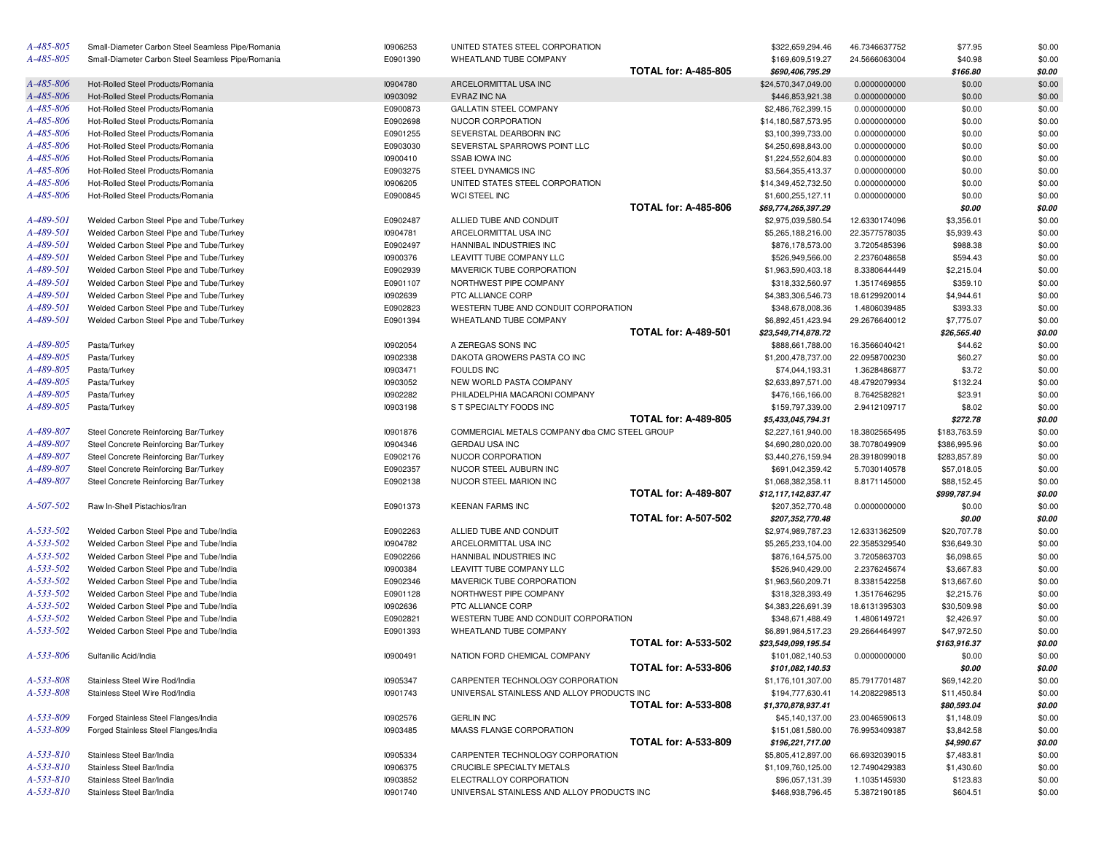| A-485-805       | Small-Diameter Carbon Steel Seamless Pipe/Romania                            | 10906253             | UNITED STATES STEEL CORPORATION                               |                             | \$322,659,294.46                       | 46.7346637752 | \$77.95                    | \$0.00 |
|-----------------|------------------------------------------------------------------------------|----------------------|---------------------------------------------------------------|-----------------------------|----------------------------------------|---------------|----------------------------|--------|
| A-485-805       | Small-Diameter Carbon Steel Seamless Pipe/Romania                            | E0901390             | WHEATLAND TUBE COMPANY                                        |                             | \$169,609,519.27                       | 24.5666063004 | \$40.98                    | \$0.00 |
|                 |                                                                              |                      |                                                               | <b>TOTAL for: A-485-805</b> | \$690,406,795.29                       |               | \$166.80                   | \$0.00 |
| A-485-806       | Hot-Rolled Steel Products/Romania                                            | 10904780             | ARCELORMITTAL USA INC                                         |                             | \$24,570,347,049.00                    | 0.0000000000  | \$0.00                     | \$0.00 |
| A-485-806       | Hot-Rolled Steel Products/Romania                                            | 10903092             | EVRAZ INC NA                                                  |                             | \$446,853,921.38                       | 0.0000000000  | \$0.00                     | \$0.00 |
| A-485-806       | Hot-Rolled Steel Products/Romania                                            | E0900873             | GALLATIN STEEL COMPANY                                        |                             | \$2,486,762,399.15                     | 0.0000000000  | \$0.00                     | \$0.00 |
| A-485-806       | Hot-Rolled Steel Products/Romania                                            | E0902698             | NUCOR CORPORATION                                             |                             | \$14,180,587,573.95                    | 0.0000000000  | \$0.00                     | \$0.00 |
| A-485-806       | Hot-Rolled Steel Products/Romania                                            | E0901255             | SEVERSTAL DEARBORN INC                                        |                             | \$3,100,399,733.00                     | 0.0000000000  | \$0.00                     | \$0.00 |
| A-485-806       | Hot-Rolled Steel Products/Romania                                            | E0903030             | SEVERSTAL SPARROWS POINT LLC                                  |                             | \$4,250,698,843.00                     | 0.0000000000  | \$0.00                     | \$0.00 |
| A-485-806       | Hot-Rolled Steel Products/Romania                                            | 10900410             | SSAB IOWA INC                                                 |                             | \$1,224,552,604.83                     | 0.0000000000  | \$0.00                     | \$0.00 |
| A-485-806       | Hot-Rolled Steel Products/Romania                                            | E0903275             | STEEL DYNAMICS INC                                            |                             | \$3,564,355,413.37                     | 0.0000000000  | \$0.00                     | \$0.00 |
| A-485-806       | Hot-Rolled Steel Products/Romania                                            | 10906205             | UNITED STATES STEEL CORPORATION                               |                             | \$14,349,452,732.50                    | 0.0000000000  | \$0.00                     | \$0.00 |
| A-485-806       | Hot-Rolled Steel Products/Romania                                            | E0900845             | WCI STEEL INC                                                 |                             | \$1,600,255,127.11                     | 0.0000000000  | \$0.00                     | \$0.00 |
|                 |                                                                              |                      |                                                               | <b>TOTAL for: A-485-806</b> | \$69,774,265,397.29                    |               | \$0.00                     | \$0.00 |
| A-489-501       | Welded Carbon Steel Pipe and Tube/Turkey                                     | E0902487             | ALLIED TUBE AND CONDUIT                                       |                             | \$2,975,039,580.54                     | 12.6330174096 | \$3,356.01                 | \$0.00 |
| A-489-501       | Welded Carbon Steel Pipe and Tube/Turkey                                     | 10904781             | ARCELORMITTAL USA INC                                         |                             | \$5,265,188,216.00                     | 22.3577578035 | \$5,939.43                 | \$0.00 |
| A-489-501       | Welded Carbon Steel Pipe and Tube/Turkey                                     | E0902497             | HANNIBAL INDUSTRIES INC                                       |                             | \$876,178,573.00                       | 3.7205485396  | \$988.38                   | \$0.00 |
| A-489-501       | Welded Carbon Steel Pipe and Tube/Turkey                                     | 10900376             | LEAVITT TUBE COMPANY LLC                                      |                             | \$526,949,566.00                       | 2.2376048658  | \$594.43                   | \$0.00 |
| A-489-501       | Welded Carbon Steel Pipe and Tube/Turkey                                     | E0902939             | MAVERICK TUBE CORPORATION                                     |                             | \$1,963,590,403.18                     | 8.3380644449  | \$2,215.04                 | \$0.00 |
| A-489-501       | Welded Carbon Steel Pipe and Tube/Turkey                                     | E0901107             | NORTHWEST PIPE COMPANY                                        |                             | \$318,332,560.97                       | 1.3517469855  | \$359.10                   | \$0.00 |
| A-489-501       | Welded Carbon Steel Pipe and Tube/Turkey                                     | 10902639             | PTC ALLIANCE CORP                                             |                             | \$4,383,306,546.73                     | 18.6129920014 | \$4,944.61                 | \$0.00 |
| A-489-501       | Welded Carbon Steel Pipe and Tube/Turkey                                     | E0902823             | WESTERN TUBE AND CONDUIT CORPORATION                          |                             | \$348,678,008.36                       | 1.4806039485  | \$393.33                   | \$0.00 |
| A-489-501       | Welded Carbon Steel Pipe and Tube/Turkey                                     | E0901394             | WHEATLAND TUBE COMPANY                                        |                             | \$6,892,451,423.94                     | 29.2676640012 | \$7,775.07                 | \$0.00 |
|                 |                                                                              |                      |                                                               | <b>TOTAL for: A-489-501</b> | \$23,549,714,878.72                    |               | \$26,565.40                | \$0.00 |
| A-489-805       | Pasta/Turkey                                                                 | 10902054             | A ZEREGAS SONS INC                                            |                             | \$888,661,788.00                       | 16.3566040421 | \$44.62                    | \$0.00 |
| A-489-805       | Pasta/Turkey                                                                 | 10902338             | DAKOTA GROWERS PASTA CO INC                                   |                             | \$1,200,478,737.00                     | 22.0958700230 | \$60.27                    | \$0.00 |
| A-489-805       | Pasta/Turkey                                                                 | 10903471             | <b>FOULDS INC</b>                                             |                             | \$74,044,193.31                        | 1.3628486877  | \$3.72                     | \$0.00 |
| A-489-805       | Pasta/Turkey                                                                 | 10903052             | NEW WORLD PASTA COMPANY                                       |                             | \$2,633,897,571.00                     | 48.4792079934 | \$132.24                   | \$0.00 |
| A-489-805       | Pasta/Turkey                                                                 | 10902282             | PHILADELPHIA MACARONI COMPANY                                 |                             | \$476,166,166.00                       | 8.7642582821  | \$23.91                    | \$0.00 |
| A-489-805       | Pasta/Turkey                                                                 | 10903198             | S T SPECIALTY FOODS INC                                       |                             | \$159,797,339.00                       | 2.9412109717  | \$8.02                     | \$0.00 |
|                 |                                                                              |                      |                                                               | <b>TOTAL for: A-489-805</b> | \$5,433,045,794.31                     |               | \$272.78                   | \$0.00 |
| A-489-807       | Steel Concrete Reinforcing Bar/Turkey                                        | 10901876             | COMMERCIAL METALS COMPANY dba CMC STEEL GROUP                 |                             | \$2,227,161,940.00                     | 18.3802565495 | \$183,763.59               | \$0.00 |
| A-489-807       | Steel Concrete Reinforcing Bar/Turkey                                        | 10904346             | GERDAU USA INC                                                |                             | \$4,690,280,020.00                     | 38.7078049909 | \$386,995.96               | \$0.00 |
| A-489-807       | Steel Concrete Reinforcing Bar/Turkey                                        | E0902176             | NUCOR CORPORATION                                             |                             | \$3,440,276,159.94                     | 28.3918099018 | \$283,857.89               | \$0.00 |
| A-489-807       | Steel Concrete Reinforcing Bar/Turkey                                        | E0902357             | NUCOR STEEL AUBURN INC                                        |                             | \$691,042,359.42                       | 5.7030140578  | \$57,018.05                | \$0.00 |
| A-489-807       | Steel Concrete Reinforcing Bar/Turkey                                        | E0902138             | NUCOR STEEL MARION INC                                        |                             | \$1,068,382,358.11                     | 8.8171145000  | \$88,152.45                | \$0.00 |
|                 |                                                                              |                      |                                                               | <b>TOTAL for: A-489-807</b> | \$12,117,142,837.47                    |               | \$999,787.94               | \$0.00 |
| A-507-502       | Raw In-Shell Pistachios/Iran                                                 | E0901373             | <b>KEENAN FARMS INC</b>                                       |                             | \$207,352,770.48                       | 0.0000000000  | \$0.00                     | \$0.00 |
|                 |                                                                              |                      |                                                               | <b>TOTAL for: A-507-502</b> | \$207,352,770.48                       |               | \$0.00                     | \$0.00 |
| A-533-502       | Welded Carbon Steel Pipe and Tube/India                                      | E0902263             | ALLIED TUBE AND CONDUIT                                       |                             | \$2,974,989,787.23                     | 12.6331362509 | \$20,707.78                | \$0.00 |
| A-533-502       | Welded Carbon Steel Pipe and Tube/India                                      | 10904782             | ARCELORMITTAL USA INC                                         |                             | \$5,265,233,104.00                     | 22.3585329540 | \$36,649.30                | \$0.00 |
| A-533-502       | Welded Carbon Steel Pipe and Tube/India                                      | E0902266             | HANNIBAL INDUSTRIES INC                                       |                             | \$876,164,575.00                       | 3.7205863703  | \$6,098.65                 | \$0.00 |
| A-533-502       | Welded Carbon Steel Pipe and Tube/India                                      | 10900384             | LEAVITT TUBE COMPANY LLC                                      |                             | \$526,940,429.00                       | 2.2376245674  | \$3,667.83                 | \$0.00 |
| A-533-502       | Welded Carbon Steel Pipe and Tube/India                                      | E0902346             | MAVERICK TUBE CORPORATION                                     |                             | \$1,963,560,209.71                     | 8.3381542258  | \$13,667.60                | \$0.00 |
| A-533-502       | Welded Carbon Steel Pipe and Tube/India                                      | E0901128             | NORTHWEST PIPE COMPANY                                        |                             | \$318,328,393.49                       | 1.3517646295  | \$2,215.76                 | \$0.00 |
| A-533-502       | Welded Carbon Steel Pipe and Tube/India                                      | 10902636             | PTC ALLIANCE CORP                                             |                             | \$4,383,226,691.39                     | 18.6131395303 | \$30,509.98                | \$0.00 |
| A-533-502       | Welded Carbon Steel Pipe and Tube/India                                      | E0902821             | WESTERN TUBE AND CONDUIT CORPORATION                          |                             | \$348,671,488.49                       | 1.4806149721  | \$2,426.97                 | \$0.00 |
| A-533-502       | Welded Carbon Steel Pipe and Tube/India                                      | E0901393             | WHEATLAND TUBE COMPANY                                        |                             | \$6,891,984,517.23                     | 29.2664464997 | \$47,972.50                | \$0.00 |
|                 |                                                                              |                      |                                                               | <b>TOTAL for: A-533-502</b> | \$23,549,099,195.54                    |               | \$163,916.37               | \$0.00 |
| A-533-806       | Sulfanilic Acid/India                                                        | 10900491             | NATION FORD CHEMICAL COMPANY                                  |                             | \$101,082,140.53                       | 0.0000000000  | \$0.00                     | \$0.00 |
|                 |                                                                              |                      |                                                               | <b>TOTAL for: A-533-806</b> | \$101,082,140.53                       |               | \$0.00                     | \$0.00 |
| A-533-808       | Stainless Steel Wire Rod/India                                               | 10905347             | CARPENTER TECHNOLOGY CORPORATION                              |                             | \$1,176,101,307.00                     | 85.7917701487 | \$69,142.20                | \$0.00 |
| A-533-808       |                                                                              |                      | UNIVERSAL STAINLESS AND ALLOY PRODUCTS INC                    |                             |                                        |               |                            |        |
|                 | Stainless Steel Wire Rod/India                                               | 10901743             |                                                               | <b>TOTAL for: A-533-808</b> | \$194,777,630.41<br>\$1,370,878,937.41 | 14.2082298513 | \$11,450.84<br>\$80,593.04 | \$0.00 |
| A-533-809       |                                                                              |                      | <b>GERLIN INC</b>                                             |                             | \$45,140,137.00                        |               |                            | \$0.00 |
| A-533-809       | Forged Stainless Steel Flanges/India<br>Forged Stainless Steel Flanges/India | 10902576<br>10903485 | MAASS FLANGE CORPORATION                                      |                             |                                        | 23.0046590613 | \$1,148.09                 | \$0.00 |
|                 |                                                                              |                      |                                                               | <b>TOTAL for: A-533-809</b> | \$151,081,580.00<br>\$196,221,717.00   | 76.9953409387 | \$3,842.58                 | \$0.00 |
| A-533-810       |                                                                              |                      |                                                               |                             |                                        | 66.6932039015 | \$4,990.67                 | \$0.00 |
| $A - 533 - 810$ | Stainless Steel Bar/India<br>Stainless Steel Bar/India                       | 10905334             | CARPENTER TECHNOLOGY CORPORATION<br>CRUCIBLE SPECIALTY METALS |                             | \$5,805,412,897.00                     |               | \$7,483.81                 | \$0.00 |
| A-533-810       |                                                                              | 10906375             | ELECTRALLOY CORPORATION                                       |                             | \$1,109,760,125.00                     | 12.7490429383 | \$1,430.60                 | \$0.00 |
|                 | Stainless Steel Bar/India                                                    | 10903852             |                                                               |                             | \$96,057,131.39<br>\$468,938,796.45    | 1.1035145930  | \$123.83                   | \$0.00 |
| A-533-810       | Stainless Steel Bar/India                                                    | 10901740             | UNIVERSAL STAINLESS AND ALLOY PRODUCTS INC                    |                             |                                        | 5.3872190185  | \$604.51                   | \$0.00 |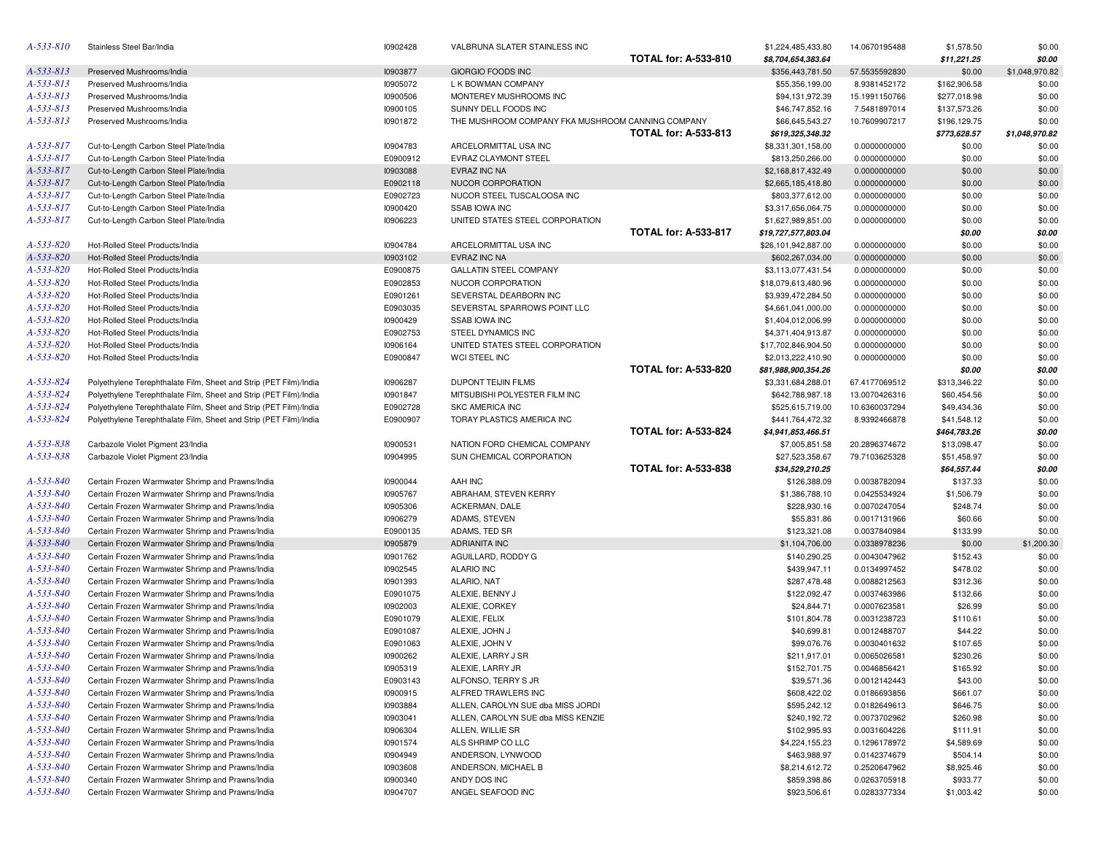| A-533-810 | Stainless Steel Bar/India                                         | 10902428 | VALBRUNA SLATER STAINLESS INC                     |                             | \$1,224,485,433.80  | 14.0670195488 | \$1,578.50   | \$0.00         |
|-----------|-------------------------------------------------------------------|----------|---------------------------------------------------|-----------------------------|---------------------|---------------|--------------|----------------|
|           |                                                                   |          |                                                   | <b>TOTAL for: A-533-810</b> | \$8,704,654,383.64  |               | \$11,221.25  | \$0.00         |
| A-533-813 | Preserved Mushrooms/India                                         | 10903877 | GIORGIO FOODS INC                                 |                             | \$356,443,781.50    | 57.5535592830 | \$0.00       | \$1,048,970.82 |
| A-533-813 | Preserved Mushrooms/India                                         | 10905072 | L K BOWMAN COMPANY                                |                             | \$55,356,199.00     | 8.9381452172  | \$162,906.58 | \$0.00         |
| A-533-813 | Preserved Mushrooms/India                                         | 10900506 | MONTEREY MUSHROOMS INC                            |                             | \$94,131,972.39     | 15.1991150766 | \$277,018.98 | \$0.00         |
| A-533-813 | Preserved Mushrooms/India                                         | 10900105 | SUNNY DELL FOODS INC                              |                             | \$46,747,852.16     | 7.5481897014  | \$137,573.26 | \$0.00         |
| A-533-813 | Preserved Mushrooms/India                                         | 10901872 | THE MUSHROOM COMPANY FKA MUSHROOM CANNING COMPANY |                             | \$66,645,543.27     | 10.7609907217 | \$196,129.75 | \$0.00         |
|           |                                                                   |          |                                                   | <b>TOTAL for: A-533-813</b> | \$619,325,348.32    |               | \$773,628.57 | \$1,048,970.82 |
| A-533-817 | Cut-to-Length Carbon Steel Plate/India                            | 10904783 | ARCELORMITTAL USA INC                             |                             | \$8,331,301,158.00  | 0.0000000000  | \$0.00       | \$0.00         |
| A-533-817 | Cut-to-Length Carbon Steel Plate/India                            | E0900912 | EVRAZ CLAYMONT STEEL                              |                             | \$813,250,266.00    | 0.0000000000  | \$0.00       | \$0.00         |
| A-533-817 | Cut-to-Length Carbon Steel Plate/India                            | 10903088 | EVRAZ INC NA                                      |                             | \$2,168,817,432.49  | 0.0000000000  | \$0.00       | \$0.00         |
| A-533-817 | Cut-to-Length Carbon Steel Plate/India                            | E0902118 | NUCOR CORPORATION                                 |                             | \$2,665,185,418.80  | 0.0000000000  | \$0.00       | \$0.00         |
| A-533-817 | Cut-to-Length Carbon Steel Plate/India                            | E0902723 | NUCOR STEEL TUSCALOOSA INC                        |                             | \$803,377,612.00    | 0.0000000000  | \$0.00       | \$0.00         |
| A-533-817 | Cut-to-Length Carbon Steel Plate/India                            | 10900420 | <b>SSAB IOWA INC</b>                              |                             | \$3,317,656,064.75  | 0.0000000000  | \$0.00       | \$0.00         |
| A-533-817 | Cut-to-Length Carbon Steel Plate/India                            | 10906223 | UNITED STATES STEEL CORPORATION                   |                             | \$1,627,989,851.00  | 0.0000000000  | \$0.00       | \$0.00         |
|           |                                                                   |          |                                                   | <b>TOTAL for: A-533-817</b> | \$19,727,577,803.04 |               | \$0.00       | \$0.00         |
| A-533-820 | Hot-Rolled Steel Products/India                                   | 10904784 | ARCELORMITTAL USA INC                             |                             | \$26,101,942,887.00 | 0.0000000000  | \$0.00       | \$0.00         |
| A-533-820 | Hot-Rolled Steel Products/India                                   | 10903102 | EVRAZ INC NA                                      |                             | \$602,267,034.00    | 0.0000000000  | \$0.00       | \$0.00         |
| A-533-820 | Hot-Rolled Steel Products/India                                   | E0900875 | <b>GALLATIN STEEL COMPANY</b>                     |                             |                     |               |              | \$0.00         |
|           |                                                                   |          |                                                   |                             | \$3,113,077,431.54  | 0.0000000000  | \$0.00       |                |
| A-533-820 | Hot-Rolled Steel Products/India                                   | E0902853 | NUCOR CORPORATION                                 |                             | \$18,079,613,480.96 | 0.0000000000  | \$0.00       | \$0.00         |
| A-533-820 | Hot-Rolled Steel Products/India                                   | E0901261 | SEVERSTAL DEARBORN INC                            |                             | \$3,939,472,284.50  | 0.0000000000  | \$0.00       | \$0.00         |
| A-533-820 | Hot-Rolled Steel Products/India                                   | E0903035 | SEVERSTAL SPARROWS POINT LLC                      |                             | \$4,661,041,000.00  | 0.0000000000  | \$0.00       | \$0.00         |
| A-533-820 | Hot-Rolled Steel Products/India                                   | 10900429 | <b>SSAB IOWA INC</b>                              |                             | \$1,404,012,006.99  | 0.0000000000  | \$0.00       | \$0.00         |
| A-533-820 | Hot-Rolled Steel Products/India                                   | E0902753 | STEEL DYNAMICS INC                                |                             | \$4,371,404,913.87  | 0.0000000000  | \$0.00       | \$0.00         |
| A-533-820 | Hot-Rolled Steel Products/India                                   | 10906164 | UNITED STATES STEEL CORPORATION                   |                             | \$17,702,846,904.50 | 0.0000000000  | \$0.00       | \$0.00         |
| A-533-820 | Hot-Rolled Steel Products/India                                   | E0900847 | WCI STEEL INC                                     |                             | \$2,013,222,410.90  | 0.0000000000  | \$0.00       | \$0.00         |
|           |                                                                   |          |                                                   | <b>TOTAL for: A-533-820</b> | \$81,988,900,354.26 |               | \$0.00       | \$0.00         |
| A-533-824 | Polyethylene Terephthalate Film, Sheet and Strip (PET Film)/India | 10906287 | <b>DUPONT TEIJIN FILMS</b>                        |                             | \$3,331,684,288.01  | 67.4177069512 | \$313,346.22 | \$0.00         |
| A-533-824 | Polyethylene Terephthalate Film, Sheet and Strip (PET Film)/India | 10901847 | MITSUBISHI POLYESTER FILM INC                     |                             | \$642,788,987.18    | 13.0070426316 | \$60,454.56  | \$0.00         |
| A-533-824 | Polyethylene Terephthalate Film, Sheet and Strip (PET Film)/India | E0902728 | <b>SKC AMERICA INC</b>                            |                             | \$525,615,719.00    | 10.6360037294 | \$49,434.36  | \$0.00         |
| A-533-824 | Polyethylene Terephthalate Film, Sheet and Strip (PET Film)/India | E0900907 | TORAY PLASTICS AMERICA INC                        |                             | \$441,764,472.32    | 8.9392466878  | \$41,548.12  | \$0.00         |
|           |                                                                   |          |                                                   | <b>TOTAL for: A-533-824</b> | \$4,941,853,466.51  |               | \$464,783.26 | \$0.00         |
| A-533-838 | Carbazole Violet Pigment 23/India                                 | 10900531 | NATION FORD CHEMICAL COMPANY                      |                             | \$7,005,851.58      | 20.2896374672 | \$13,098.47  | \$0.00         |
| A-533-838 | Carbazole Violet Pigment 23/India                                 | 10904995 | SUN CHEMICAL CORPORATION                          |                             | \$27,523,358.67     | 79.7103625328 | \$51,458.97  | \$0.00         |
|           |                                                                   |          |                                                   | <b>TOTAL for: A-533-838</b> | \$34,529,210.25     |               | \$64,557.44  | \$0.00         |
| A-533-840 | Certain Frozen Warmwater Shrimp and Prawns/India                  | 10900044 | AAH INC                                           |                             | \$126,388.09        | 0.0038782094  | \$137.33     | \$0.00         |
| A-533-840 | Certain Frozen Warmwater Shrimp and Prawns/India                  | 10905767 | ABRAHAM, STEVEN KERRY                             |                             | \$1,386,788.10      | 0.0425534924  | \$1,506.79   | \$0.00         |
| A-533-840 | Certain Frozen Warmwater Shrimp and Prawns/India                  | 10905306 | ACKERMAN, DALE                                    |                             | \$228,930.16        | 0.0070247054  | \$248.74     | \$0.00         |
| A-533-840 | Certain Frozen Warmwater Shrimp and Prawns/India                  | 10906279 | ADAMS, STEVEN                                     |                             | \$55,831.86         | 0.0017131966  | \$60.66      | \$0.00         |
| A-533-840 | Certain Frozen Warmwater Shrimp and Prawns/India                  | E0900135 | ADAMS, TED SR                                     |                             | \$123,321.08        | 0.0037840984  | \$133.99     | \$0.00         |
| A-533-840 | Certain Frozen Warmwater Shrimp and Prawns/India                  | 10905879 | <b>ADRIANITA INC</b>                              |                             | \$1,104,706.00      | 0.0338978236  | \$0.00       | \$1,200.30     |
| A-533-840 | Certain Frozen Warmwater Shrimp and Prawns/India                  | 10901762 | AGUILLARD, RODDY G                                |                             | \$140,290.25        | 0.0043047962  | \$152.43     | \$0.00         |
| A-533-840 | Certain Frozen Warmwater Shrimp and Prawns/India                  | 10902545 | <b>ALARIO INC</b>                                 |                             | \$439,947.11        | 0.0134997452  | \$478.02     | \$0.00         |
| A-533-840 | Certain Frozen Warmwater Shrimp and Prawns/India                  | 10901393 | ALARIO, NAT                                       |                             | \$287,478.48        | 0.0088212563  | \$312.36     | \$0.00         |
| A-533-840 | Certain Frozen Warmwater Shrimp and Prawns/India                  | E0901075 | ALEXIE, BENNY J                                   |                             | \$122,092.47        | 0.0037463986  | \$132.66     | \$0.00         |
| A-533-840 | Certain Frozen Warmwater Shrimp and Prawns/India                  | 10902003 | ALEXIE. CORKEY                                    |                             | \$24,844.71         | 0.0007623581  | \$26.99      | \$0.00         |
| A-533-840 | Certain Frozen Warmwater Shrimp and Prawns/India                  | E0901079 | ALEXIE, FELIX                                     |                             | \$101,804.78        | 0.0031238723  | \$110.61     | \$0.00         |
| A-533-840 | Certain Frozen Warmwater Shrimp and Prawns/India                  | E0901087 | ALEXIE, JOHN J                                    |                             | \$40,699.81         | 0.0012488707  | \$44.22      | \$0.00         |
| A-533-840 | Certain Frozen Warmwater Shrimp and Prawns/India                  | E0901063 | ALEXIE, JOHN V                                    |                             | \$99,076.76         | 0.0030401632  | \$107.65     | \$0.00         |
| A-533-840 | Certain Frozen Warmwater Shrimp and Prawns/India                  | 10900262 | ALEXIE, LARRY J SR                                |                             | \$211,917.01        | 0.0065026581  | \$230.26     | \$0.00         |
| A-533-840 | Certain Frozen Warmwater Shrimp and Prawns/India                  | 10905319 | ALEXIE, LARRY JR                                  |                             | \$152,701.75        | 0.0046856421  | \$165.92     | \$0.00         |
| A-533-840 | Certain Frozen Warmwater Shrimp and Prawns/India                  | E0903143 | ALFONSO, TERRY S JR                               |                             | \$39,571.36         | 0.0012142443  | \$43.00      | \$0.00         |
| A-533-840 | Certain Frozen Warmwater Shrimp and Prawns/India                  | 10900915 | ALFRED TRAWLERS INC                               |                             | \$608,422.02        | 0.0186693856  | \$661.07     | \$0.00         |
| A-533-840 | Certain Frozen Warmwater Shrimp and Prawns/India                  | 10903884 | ALLEN, CAROLYN SUE dba MISS JORDI                 |                             | \$595,242.12        | 0.0182649613  | \$646.75     | \$0.00         |
| A-533-840 | Certain Frozen Warmwater Shrimp and Prawns/India                  | 10903041 | ALLEN, CAROLYN SUE dba MISS KENZIE                |                             | \$240,192.72        | 0.0073702962  | \$260.98     | \$0.00         |
| A-533-840 | Certain Frozen Warmwater Shrimp and Prawns/India                  | 10906304 | ALLEN, WILLIE SR                                  |                             | \$102,995.93        | 0.0031604226  | \$111.91     | \$0.00         |
| A-533-840 | Certain Frozen Warmwater Shrimp and Prawns/India                  | 10901574 | ALS SHRIMP CO LLC                                 |                             | \$4,224,155.23      | 0.1296178972  | \$4,589.69   | \$0.00         |
| A-533-840 | Certain Frozen Warmwater Shrimp and Prawns/India                  | 10904949 | ANDERSON, LYNWOOD                                 |                             | \$463,988.97        | 0.0142374679  | \$504.14     | \$0.00         |
| A-533-840 | Certain Frozen Warmwater Shrimp and Prawns/India                  | 10903608 | ANDERSON, MICHAEL B                               |                             | \$8,214,612.72      | 0.2520647962  | \$8,925.46   | \$0.00         |
| A-533-840 | Certain Frozen Warmwater Shrimp and Prawns/India                  | 10900340 | ANDY DOS INC                                      |                             | \$859,398.86        | 0.0263705918  | \$933.77     | \$0.00         |
| A-533-840 | Certain Frozen Warmwater Shrimp and Prawns/India                  | 10904707 | ANGEL SEAFOOD INC                                 |                             | \$923,506.61        | 0.0283377334  | \$1,003.42   | \$0.00         |
|           |                                                                   |          |                                                   |                             |                     |               |              |                |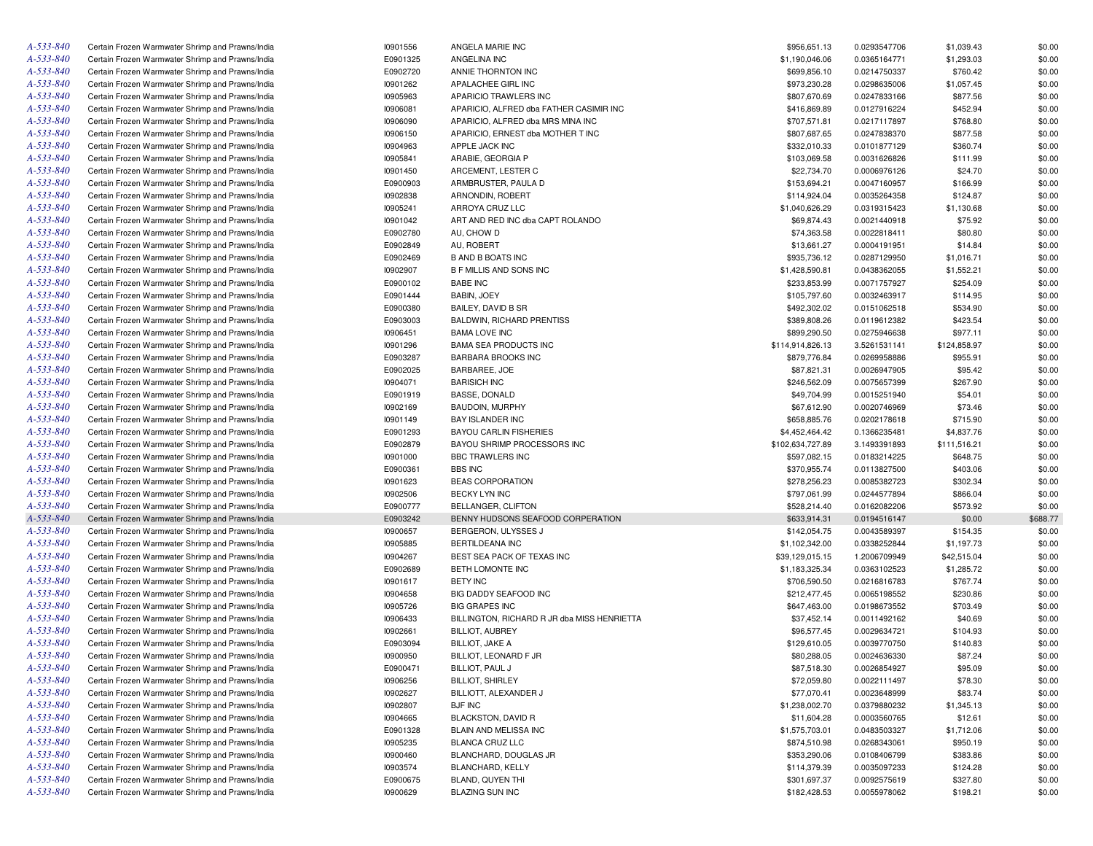| A-533-840 | Certain Frozen Warmwater Shrimp and Prawns/India | 10901556 | ANGELA MARIE INC                            | \$956,651.13     | 0.0293547706 | \$1,039.43   | \$0.00   |
|-----------|--------------------------------------------------|----------|---------------------------------------------|------------------|--------------|--------------|----------|
| A-533-840 | Certain Frozen Warmwater Shrimp and Prawns/India | E0901325 | ANGELINA INC                                | \$1,190,046.06   | 0.0365164771 | \$1,293.03   | \$0.00   |
| A-533-840 | Certain Frozen Warmwater Shrimp and Prawns/India | E0902720 | ANNIE THORNTON INC                          | \$699,856.10     | 0.0214750337 | \$760.42     | \$0.00   |
| A-533-840 | Certain Frozen Warmwater Shrimp and Prawns/India | 10901262 | APALACHEE GIRL INC                          | \$973,230.28     | 0.0298635006 | \$1,057.45   | \$0.00   |
| A-533-840 | Certain Frozen Warmwater Shrimp and Prawns/India | 10905963 | APARICIO TRAWLERS INC                       | \$807,670.69     | 0.0247833166 | \$877.56     | \$0.00   |
| A-533-840 | Certain Frozen Warmwater Shrimp and Prawns/India | 10906081 | APARICIO, ALFRED dba FATHER CASIMIR INC     | \$416,869.89     | 0.0127916224 | \$452.94     | \$0.00   |
| A-533-840 | Certain Frozen Warmwater Shrimp and Prawns/India | 10906090 | APARICIO, ALFRED dba MRS MINA INC           | \$707,571.81     | 0.0217117897 | \$768.80     | \$0.00   |
| A-533-840 | Certain Frozen Warmwater Shrimp and Prawns/India | 10906150 | APARICIO, ERNEST dba MOTHER T INC           | \$807,687.65     | 0.0247838370 | \$877.58     | \$0.00   |
| A-533-840 | Certain Frozen Warmwater Shrimp and Prawns/India | 10904963 | APPLE JACK INC                              | \$332,010.33     | 0.0101877129 | \$360.74     | \$0.00   |
| A-533-840 | Certain Frozen Warmwater Shrimp and Prawns/India | 10905841 | ARABIE, GEORGIA P                           | \$103,069.58     | 0.0031626826 | \$111.99     | \$0.00   |
| A-533-840 | Certain Frozen Warmwater Shrimp and Prawns/India | 10901450 | ARCEMENT, LESTER C                          | \$22,734.70      | 0.0006976126 | \$24.70      | \$0.00   |
| A-533-840 | Certain Frozen Warmwater Shrimp and Prawns/India | E0900903 | ARMBRUSTER, PAULA D                         | \$153,694.21     | 0.0047160957 | \$166.99     | \$0.00   |
| A-533-840 | Certain Frozen Warmwater Shrimp and Prawns/India | 10902838 | ARNONDIN, ROBERT                            | \$114,924.04     | 0.0035264358 | \$124.87     | \$0.00   |
| A-533-840 | Certain Frozen Warmwater Shrimp and Prawns/India | 10905241 | ARROYA CRUZ LLC                             | \$1,040,626.29   | 0.0319315423 | \$1,130.68   | \$0.00   |
| A-533-840 |                                                  |          |                                             |                  |              |              |          |
|           | Certain Frozen Warmwater Shrimp and Prawns/India | 10901042 | ART AND RED INC dba CAPT ROLANDO            | \$69,874.43      | 0.0021440918 | \$75.92      | \$0.00   |
| A-533-840 | Certain Frozen Warmwater Shrimp and Prawns/India | E0902780 | AU, CHOW D                                  | \$74,363.58      | 0.0022818411 | \$80.80      | \$0.00   |
| A-533-840 | Certain Frozen Warmwater Shrimp and Prawns/India | E0902849 | AU, ROBERT                                  | \$13,661.27      | 0.0004191951 | \$14.84      | \$0.00   |
| A-533-840 | Certain Frozen Warmwater Shrimp and Prawns/India | E0902469 | <b>B AND B BOATS INC</b>                    | \$935,736.12     | 0.0287129950 | \$1,016.71   | \$0.00   |
| A-533-840 | Certain Frozen Warmwater Shrimp and Prawns/India | 10902907 | <b>B F MILLIS AND SONS INC</b>              | \$1,428,590.81   | 0.0438362055 | \$1,552.21   | \$0.00   |
| A-533-840 | Certain Frozen Warmwater Shrimp and Prawns/India | E0900102 | <b>BABE INC</b>                             | \$233,853.99     | 0.0071757927 | \$254.09     | \$0.00   |
| A-533-840 | Certain Frozen Warmwater Shrimp and Prawns/India | E0901444 | BABIN, JOEY                                 | \$105,797.60     | 0.0032463917 | \$114.95     | \$0.00   |
| A-533-840 | Certain Frozen Warmwater Shrimp and Prawns/India | E0900380 | BAILEY, DAVID B SR                          | \$492,302.02     | 0.0151062518 | \$534.90     | \$0.00   |
| A-533-840 | Certain Frozen Warmwater Shrimp and Prawns/India | E0903003 | <b>BALDWIN, RICHARD PRENTISS</b>            | \$389,808.26     | 0.0119612382 | \$423.54     | \$0.00   |
| A-533-840 | Certain Frozen Warmwater Shrimp and Prawns/India | 10906451 | <b>BAMA LOVE INC</b>                        | \$899,290.50     | 0.0275946638 | \$977.11     | \$0.00   |
| A-533-840 | Certain Frozen Warmwater Shrimp and Prawns/India | 10901296 | <b>BAMA SEA PRODUCTS INC</b>                | \$114,914,826.13 | 3.5261531141 | \$124,858.97 | \$0.00   |
| A-533-840 | Certain Frozen Warmwater Shrimp and Prawns/India | E0903287 | <b>BARBARA BROOKS INC</b>                   | \$879,776.84     | 0.0269958886 | \$955.91     | \$0.00   |
| A-533-840 | Certain Frozen Warmwater Shrimp and Prawns/India | E0902025 | BARBAREE, JOE                               | \$87,821.31      | 0.0026947905 | \$95.42      | \$0.00   |
| A-533-840 | Certain Frozen Warmwater Shrimp and Prawns/India | 10904071 | <b>BARISICH INC</b>                         | \$246,562.09     | 0.0075657399 | \$267.90     | \$0.00   |
| A-533-840 | Certain Frozen Warmwater Shrimp and Prawns/India | E0901919 | <b>BASSE, DONALD</b>                        | \$49,704.99      | 0.0015251940 | \$54.01      | \$0.00   |
| A-533-840 | Certain Frozen Warmwater Shrimp and Prawns/India | 10902169 | BAUDOIN, MURPHY                             | \$67,612.90      | 0.0020746969 | \$73.46      | \$0.00   |
| A-533-840 | Certain Frozen Warmwater Shrimp and Prawns/India | 10901149 | BAY ISLANDER INC                            | \$658,885.76     | 0.0202178618 | \$715.90     | \$0.00   |
| A-533-840 | Certain Frozen Warmwater Shrimp and Prawns/India | E0901293 | <b>BAYOU CARLIN FISHERIES</b>               | \$4,452,464.42   | 0.1366235481 | \$4,837.76   | \$0.00   |
| A-533-840 | Certain Frozen Warmwater Shrimp and Prawns/India | E0902879 | BAYOU SHRIMP PROCESSORS INC                 | \$102,634,727.89 | 3.1493391893 | \$111,516.21 | \$0.00   |
| A-533-840 | Certain Frozen Warmwater Shrimp and Prawns/India | 10901000 | BBC TRAWLERS INC                            | \$597,082.15     | 0.0183214225 | \$648.75     | \$0.00   |
| A-533-840 |                                                  | E0900361 | <b>BBS INC</b>                              | \$370,955.74     |              |              | \$0.00   |
|           | Certain Frozen Warmwater Shrimp and Prawns/India |          |                                             |                  | 0.0113827500 | \$403.06     |          |
| A-533-840 | Certain Frozen Warmwater Shrimp and Prawns/India | 10901623 | BEAS CORPORATION                            | \$278,256.23     | 0.0085382723 | \$302.34     | \$0.00   |
| A-533-840 | Certain Frozen Warmwater Shrimp and Prawns/India | 10902506 | BECKY LYN INC                               | \$797,061.99     | 0.0244577894 | \$866.04     | \$0.00   |
| A-533-840 | Certain Frozen Warmwater Shrimp and Prawns/India | E0900777 | BELLANGER, CLIFTON                          | \$528,214.40     | 0.0162082206 | \$573.92     | \$0.00   |
| A-533-840 | Certain Frozen Warmwater Shrimp and Prawns/India | E0903242 | BENNY HUDSONS SEAFOOD CORPERATION           | \$633,914.31     | 0.0194516147 | \$0.00       | \$688.77 |
| A-533-840 | Certain Frozen Warmwater Shrimp and Prawns/India | 10900657 | BERGERON, ULYSSES J                         | \$142,054.75     | 0.0043589397 | \$154.35     | \$0.00   |
| A-533-840 | Certain Frozen Warmwater Shrimp and Prawns/India | 10905885 | BERTILDEANA INC                             | \$1,102,342.00   | 0.0338252844 | \$1,197.73   | \$0.00   |
| A-533-840 | Certain Frozen Warmwater Shrimp and Prawns/India | 10904267 | BEST SEA PACK OF TEXAS INC                  | \$39,129,015.15  | 1.2006709949 | \$42,515.04  | \$0.00   |
| A-533-840 | Certain Frozen Warmwater Shrimp and Prawns/India | E0902689 | BETH LOMONTE INC                            | \$1,183,325.34   | 0.0363102523 | \$1,285.72   | \$0.00   |
| A-533-840 | Certain Frozen Warmwater Shrimp and Prawns/India | 10901617 | <b>BETY INC</b>                             | \$706,590.50     | 0.0216816783 | \$767.74     | \$0.00   |
| A-533-840 | Certain Frozen Warmwater Shrimp and Prawns/India | 10904658 | BIG DADDY SEAFOOD INC                       | \$212,477.45     | 0.0065198552 | \$230.86     | \$0.00   |
| A-533-840 | Certain Frozen Warmwater Shrimp and Prawns/India | 10905726 | <b>BIG GRAPES INC</b>                       | \$647,463.00     | 0.0198673552 | \$703.49     | \$0.00   |
| A-533-840 | Certain Frozen Warmwater Shrimp and Prawns/India | 10906433 | BILLINGTON, RICHARD R JR dba MISS HENRIETTA | \$37,452.14      | 0.0011492162 | \$40.69      | \$0.00   |
| A-533-840 | Certain Frozen Warmwater Shrimp and Prawns/India | 10902661 | <b>BILLIOT, AUBREY</b>                      | \$96,577.45      | 0.0029634721 | \$104.93     | \$0.00   |
| A-533-840 | Certain Frozen Warmwater Shrimp and Prawns/India | E0903094 | <b>BILLIOT, JAKE A</b>                      | \$129,610.05     | 0.0039770750 | \$140.83     | \$0.00   |
| A-533-840 | Certain Frozen Warmwater Shrimp and Prawns/India | 10900950 | BILLIOT, LEONARD F JR                       | \$80,288.05      | 0.0024636330 | \$87.24      | \$0.00   |
| A-533-840 | Certain Frozen Warmwater Shrimp and Prawns/India | E0900471 | BILLIOT, PAUL J                             | \$87,518.30      | 0.0026854927 | \$95.09      | \$0.00   |
| A-533-840 | Certain Frozen Warmwater Shrimp and Prawns/India | 10906256 | <b>BILLIOT, SHIRLEY</b>                     | \$72,059.80      | 0.0022111497 | \$78.30      | \$0.00   |
| A-533-840 | Certain Frozen Warmwater Shrimp and Prawns/India | 10902627 | BILLIOTT, ALEXANDER J                       | \$77,070.41      | 0.0023648999 | \$83.74      | \$0.00   |
| A-533-840 | Certain Frozen Warmwater Shrimp and Prawns/India | 10902807 | <b>BJF INC</b>                              | \$1,238,002.70   | 0.0379880232 | \$1,345.13   | \$0.00   |
| A-533-840 | Certain Frozen Warmwater Shrimp and Prawns/India |          | <b>BLACKSTON, DAVID R</b>                   |                  |              |              | \$0.00   |
|           |                                                  | 10904665 |                                             | \$11,604.28      | 0.0003560765 | \$12.61      |          |
| A-533-840 | Certain Frozen Warmwater Shrimp and Prawns/India | E0901328 | BLAIN AND MELISSA INC                       | \$1,575,703.01   | 0.0483503327 | \$1,712.06   | \$0.00   |
| A-533-840 | Certain Frozen Warmwater Shrimp and Prawns/India | 10905235 | BLANCA CRUZ LLC                             | \$874,510.98     | 0.0268343061 | \$950.19     | \$0.00   |
| A-533-840 | Certain Frozen Warmwater Shrimp and Prawns/India | 10900460 | BLANCHARD, DOUGLAS JR                       | \$353,290.06     | 0.0108406799 | \$383.86     | \$0.00   |
| A-533-840 | Certain Frozen Warmwater Shrimp and Prawns/India | 10903574 | BLANCHARD, KELLY                            | \$114,379.39     | 0.0035097233 | \$124.28     | \$0.00   |
| A-533-840 | Certain Frozen Warmwater Shrimp and Prawns/India | E0900675 | BLAND, QUYEN THI                            | \$301,697.37     | 0.0092575619 | \$327.80     | \$0.00   |
| A-533-840 | Certain Frozen Warmwater Shrimp and Prawns/India | 10900629 | <b>BLAZING SUN INC</b>                      | \$182,428.53     | 0.0055978062 | \$198.21     | \$0.00   |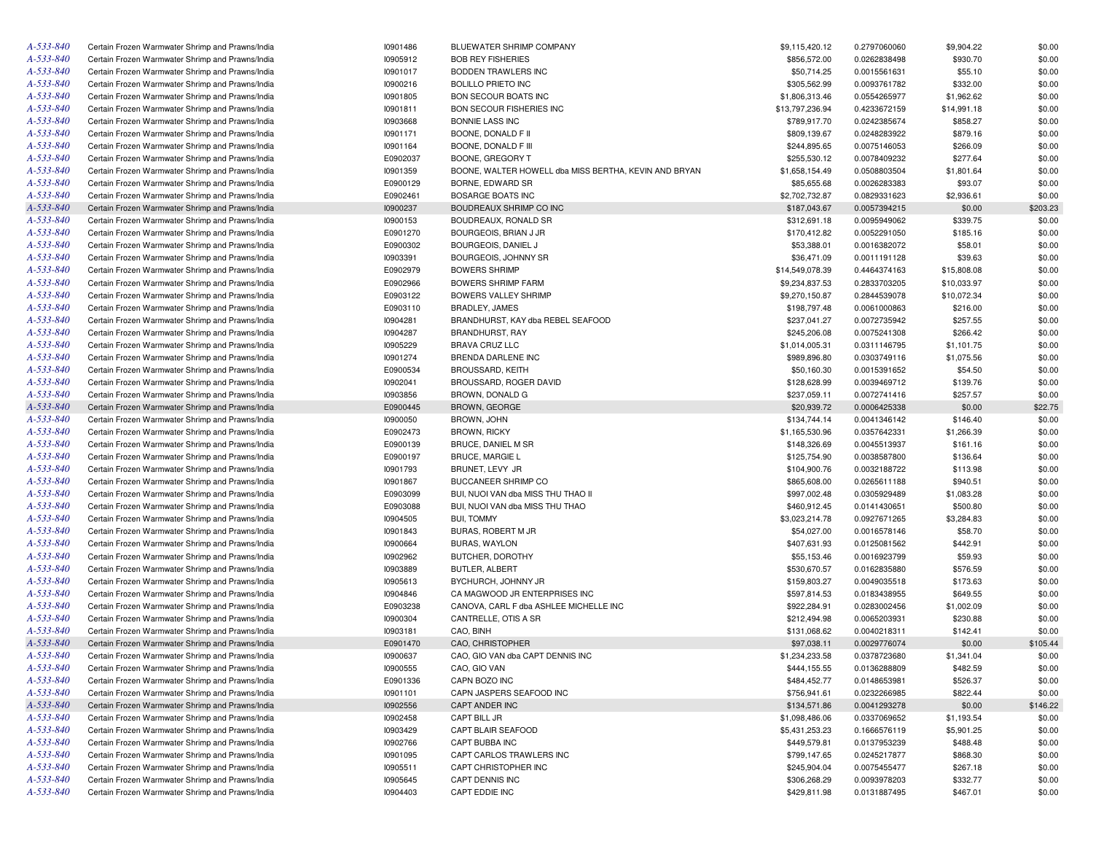| A-533-840       | Certain Frozen Warmwater Shrimp and Prawns/India | 10901486        | BLUEWATER SHRIMP COMPANY                              | \$9,115,420.12  | 0.2797060060 | \$9,904.22  | \$0.00   |
|-----------------|--------------------------------------------------|-----------------|-------------------------------------------------------|-----------------|--------------|-------------|----------|
| A-533-840       | Certain Frozen Warmwater Shrimp and Prawns/India | 10905912        | <b>BOB REY FISHERIES</b>                              | \$856,572.00    | 0.0262838498 | \$930.70    | \$0.00   |
| A-533-840       | Certain Frozen Warmwater Shrimp and Prawns/India | 10901017        | BODDEN TRAWLERS INC                                   | \$50,714.25     | 0.0015561631 | \$55.10     | \$0.00   |
| A-533-840       | Certain Frozen Warmwater Shrimp and Prawns/India | 10900216        | <b>BOLILLO PRIETO INC</b>                             | \$305,562.99    | 0.0093761782 | \$332.00    | \$0.00   |
| A-533-840       | Certain Frozen Warmwater Shrimp and Prawns/India | 10901805        | <b>BON SECOUR BOATS INC</b>                           | \$1,806,313.46  | 0.0554265977 | \$1,962.62  | \$0.00   |
| A-533-840       | Certain Frozen Warmwater Shrimp and Prawns/India | 10901811        | BON SECOUR FISHERIES INC                              | \$13,797,236.94 | 0.4233672159 | \$14,991.18 | \$0.00   |
| A-533-840       | Certain Frozen Warmwater Shrimp and Prawns/India | 10903668        | <b>BONNIE LASS INC</b>                                | \$789,917.70    | 0.0242385674 | \$858.27    | \$0.00   |
| A-533-840       | Certain Frozen Warmwater Shrimp and Prawns/India | 10901171        | BOONE, DONALD F II                                    | \$809,139.67    | 0.0248283922 | \$879.16    | \$0.00   |
| A-533-840       | Certain Frozen Warmwater Shrimp and Prawns/India | 10901164        | BOONE, DONALD F III                                   | \$244,895.65    | 0.0075146053 | \$266.09    | \$0.00   |
| A-533-840       | Certain Frozen Warmwater Shrimp and Prawns/India | E0902037        | BOONE, GREGORY T                                      | \$255,530.12    | 0.0078409232 | \$277.64    | \$0.00   |
| A-533-840       | Certain Frozen Warmwater Shrimp and Prawns/India | 10901359        | BOONE, WALTER HOWELL dba MISS BERTHA, KEVIN AND BRYAN | \$1,658,154.49  | 0.0508803504 | \$1,801.64  | \$0.00   |
| A-533-840       | Certain Frozen Warmwater Shrimp and Prawns/India | E0900129        | BORNE, EDWARD SR                                      | \$85,655.68     | 0.0026283383 | \$93.07     | \$0.00   |
| A-533-840       | Certain Frozen Warmwater Shrimp and Prawns/India | E0902461        | BOSARGE BOATS INC                                     | \$2,702,732.87  | 0.0829331623 | \$2,936.61  | \$0.00   |
| A-533-840       | Certain Frozen Warmwater Shrimp and Prawns/India | 10900237        | BOUDREAUX SHRIMP CO INC                               | \$187,043.67    | 0.0057394215 | \$0.00      | \$203.23 |
| A-533-840       | Certain Frozen Warmwater Shrimp and Prawns/India | 10900153        | BOUDREAUX, RONALD SR                                  | \$312,691.18    | 0.0095949062 | \$339.75    | \$0.00   |
| A-533-840       | Certain Frozen Warmwater Shrimp and Prawns/India | E0901270        | BOURGEOIS, BRIAN J JR                                 | \$170,412.82    | 0.0052291050 | \$185.16    | \$0.00   |
| A-533-840       | Certain Frozen Warmwater Shrimp and Prawns/India | E0900302        | BOURGEOIS, DANIEL J                                   | \$53,388.01     | 0.0016382072 | \$58.01     | \$0.00   |
| A-533-840       | Certain Frozen Warmwater Shrimp and Prawns/India | 10903391        | BOURGEOIS, JOHNNY SR                                  | \$36,471.09     | 0.0011191128 | \$39.63     | \$0.00   |
| A-533-840       | Certain Frozen Warmwater Shrimp and Prawns/India | E0902979        | <b>BOWERS SHRIMP</b>                                  | \$14,549,078.39 | 0.4464374163 | \$15,808.08 | \$0.00   |
| A-533-840       |                                                  | E0902966        |                                                       |                 |              |             | \$0.00   |
| A-533-840       | Certain Frozen Warmwater Shrimp and Prawns/India |                 | <b>BOWERS SHRIMP FARM</b>                             | \$9,234,837.53  | 0.2833703205 | \$10,033.97 |          |
|                 | Certain Frozen Warmwater Shrimp and Prawns/India | E0903122        | BOWERS VALLEY SHRIMP                                  | \$9,270,150.87  | 0.2844539078 | \$10,072.34 | \$0.00   |
| A-533-840       | Certain Frozen Warmwater Shrimp and Prawns/India | E0903110        | BRADLEY, JAMES                                        | \$198,797.48    | 0.0061000863 | \$216.00    | \$0.00   |
| A-533-840       | Certain Frozen Warmwater Shrimp and Prawns/India | 10904281        | BRANDHURST, KAY dba REBEL SEAFOOD                     | \$237,041.27    | 0.0072735942 | \$257.55    | \$0.00   |
| A-533-840       | Certain Frozen Warmwater Shrimp and Prawns/India | 10904287        | BRANDHURST, RAY                                       | \$245,206.08    | 0.0075241308 | \$266.42    | \$0.00   |
| A-533-840       | Certain Frozen Warmwater Shrimp and Prawns/India | 10905229        | <b>BRAVA CRUZ LLC</b>                                 | \$1,014,005.31  | 0.0311146795 | \$1,101.75  | \$0.00   |
| A-533-840       | Certain Frozen Warmwater Shrimp and Prawns/India | 10901274        | BRENDA DARLENE INC                                    | \$989,896.80    | 0.0303749116 | \$1,075.56  | \$0.00   |
| A-533-840       | Certain Frozen Warmwater Shrimp and Prawns/India | E0900534        | <b>BROUSSARD, KEITH</b>                               | \$50,160.30     | 0.0015391652 | \$54.50     | \$0.00   |
| A-533-840       | Certain Frozen Warmwater Shrimp and Prawns/India | 10902041        | BROUSSARD, ROGER DAVID                                | \$128,628.99    | 0.0039469712 | \$139.76    | \$0.00   |
| A-533-840       | Certain Frozen Warmwater Shrimp and Prawns/India | 10903856        | BROWN, DONALD G                                       | \$237,059.11    | 0.0072741416 | \$257.57    | \$0.00   |
| A-533-840       | Certain Frozen Warmwater Shrimp and Prawns/India | E0900445        | BROWN, GEORGE                                         | \$20,939.72     | 0.0006425338 | \$0.00      | \$22.75  |
| A-533-840       | Certain Frozen Warmwater Shrimp and Prawns/India | 10900050        | BROWN, JOHN                                           | \$134,744.14    | 0.0041346142 | \$146.40    | \$0.00   |
| A-533-840       | Certain Frozen Warmwater Shrimp and Prawns/India | E0902473        | <b>BROWN, RICKY</b>                                   | \$1,165,530.96  | 0.0357642331 | \$1,266.39  | \$0.00   |
| A-533-840       | Certain Frozen Warmwater Shrimp and Prawns/India | E0900139        | BRUCE, DANIEL M SR                                    | \$148,326.69    | 0.0045513937 | \$161.16    | \$0.00   |
| A-533-840       | Certain Frozen Warmwater Shrimp and Prawns/India | E0900197        | <b>BRUCE, MARGIE L</b>                                | \$125,754.90    | 0.0038587800 | \$136.64    | \$0.00   |
| A-533-840       | Certain Frozen Warmwater Shrimp and Prawns/India | 10901793        | BRUNET, LEVY JR                                       | \$104,900.76    | 0.0032188722 | \$113.98    | \$0.00   |
| A-533-840       | Certain Frozen Warmwater Shrimp and Prawns/India | 10901867        | <b>BUCCANEER SHRIMP CO</b>                            | \$865,608.00    | 0.0265611188 | \$940.51    | \$0.00   |
| A-533-840       | Certain Frozen Warmwater Shrimp and Prawns/India | E0903099        | BUI, NUOI VAN dba MISS THU THAO II                    | \$997,002.48    | 0.0305929489 | \$1,083.28  | \$0.00   |
| A-533-840       | Certain Frozen Warmwater Shrimp and Prawns/India | E0903088        | BUI, NUOI VAN dba MISS THU THAO                       | \$460,912.45    | 0.0141430651 | \$500.80    | \$0.00   |
| A-533-840       | Certain Frozen Warmwater Shrimp and Prawns/India | 10904505        | <b>BUI, TOMMY</b>                                     | \$3,023,214.78  | 0.0927671265 | \$3,284.83  | \$0.00   |
| A-533-840       | Certain Frozen Warmwater Shrimp and Prawns/India | 10901843        | BURAS, ROBERT M JR                                    | \$54,027.00     | 0.0016578146 | \$58.70     | \$0.00   |
| A-533-840       | Certain Frozen Warmwater Shrimp and Prawns/India | 10900664        | BURAS, WAYLON                                         | \$407,631.93    | 0.0125081562 | \$442.91    | \$0.00   |
| A-533-840       | Certain Frozen Warmwater Shrimp and Prawns/India | 10902962        | BUTCHER, DOROTHY                                      | \$55,153.46     | 0.0016923799 | \$59.93     | \$0.00   |
| A-533-840       | Certain Frozen Warmwater Shrimp and Prawns/India | 10903889        | BUTLER, ALBERT                                        | \$530,670.57    | 0.0162835880 | \$576.59    | \$0.00   |
| A-533-840       | Certain Frozen Warmwater Shrimp and Prawns/India | 10905613        | BYCHURCH, JOHNNY JR                                   | \$159,803.27    | 0.0049035518 | \$173.63    | \$0.00   |
| A-533-840       | Certain Frozen Warmwater Shrimp and Prawns/India | 10904846        | CA MAGWOOD JR ENTERPRISES INC                         | \$597,814.53    | 0.0183438955 | \$649.55    | \$0.00   |
| A-533-840       | Certain Frozen Warmwater Shrimp and Prawns/India | E0903238        | CANOVA, CARL F dba ASHLEE MICHELLE INC                | \$922,284.91    | 0.0283002456 | \$1,002.09  | \$0.00   |
| A-533-840       | Certain Frozen Warmwater Shrimp and Prawns/India | 10900304        | CANTRELLE, OTIS A SR                                  | \$212,494.98    | 0.0065203931 | \$230.88    | \$0.00   |
| A-533-840       | Certain Frozen Warmwater Shrimp and Prawns/India | 10903181        | CAO, BINH                                             | \$131,068.62    | 0.0040218311 | \$142.41    | \$0.00   |
| A-533-840       | Certain Frozen Warmwater Shrimp and Prawns/India | E0901470        | CAO, CHRISTOPHER                                      | \$97,038.11     | 0.0029776074 | \$0.00      | \$105.44 |
| $A - 533 - 840$ | Certain Frozen Warmwater Shrimp and Prawns/India | 10900637        | CAO, GIO VAN dba CAPT DENNIS INC                      | \$1,234,233.58  | 0.0378723680 | \$1,341.04  | \$0.00   |
| A-533-840       | Certain Frozen Warmwater Shrimp and Prawns/India | <b>I0900555</b> | CAO, GIO VAN                                          | \$444,155.55    | 0.0136288809 | \$482.59    | \$0.00   |
| A-533-840       | Certain Frozen Warmwater Shrimp and Prawns/India | E0901336        | CAPN BOZO INC                                         | \$484,452.77    | 0.0148653981 | \$526.37    | \$0.00   |
| A-533-840       | Certain Frozen Warmwater Shrimp and Prawns/India | 10901101        | CAPN JASPERS SEAFOOD INC                              | \$756,941.61    | 0.0232266985 | \$822.44    | \$0.00   |
| A-533-840       | Certain Frozen Warmwater Shrimp and Prawns/India | 10902556        | CAPT ANDER INC                                        | \$134,571.86    | 0.0041293278 | \$0.00      |          |
| A-533-840       |                                                  |                 |                                                       |                 |              |             | \$146.22 |
|                 | Certain Frozen Warmwater Shrimp and Prawns/India | 10902458        | CAPT BILL JR                                          | \$1,098,486.06  | 0.0337069652 | \$1,193.54  | \$0.00   |
| A-533-840       | Certain Frozen Warmwater Shrimp and Prawns/India | 10903429        | CAPT BLAIR SEAFOOD                                    | \$5,431,253.23  | 0.1666576119 | \$5,901.25  | \$0.00   |
| A-533-840       | Certain Frozen Warmwater Shrimp and Prawns/India | 10902766        | CAPT BUBBA INC                                        | \$449,579.81    | 0.0137953239 | \$488.48    | \$0.00   |
| A-533-840       | Certain Frozen Warmwater Shrimp and Prawns/India | 10901095        | CAPT CARLOS TRAWLERS INC                              | \$799,147.65    | 0.0245217877 | \$868.30    | \$0.00   |
| A-533-840       | Certain Frozen Warmwater Shrimp and Prawns/India | 10905511        | CAPT CHRISTOPHER INC                                  | \$245,904.04    | 0.0075455477 | \$267.18    | \$0.00   |
| A-533-840       | Certain Frozen Warmwater Shrimp and Prawns/India | 10905645        | CAPT DENNIS INC                                       | \$306,268.29    | 0.0093978203 | \$332.77    | \$0.00   |
| A-533-840       | Certain Frozen Warmwater Shrimp and Prawns/India | 10904403        | CAPT EDDIE INC                                        | \$429,811.98    | 0.0131887495 | \$467.01    | \$0.00   |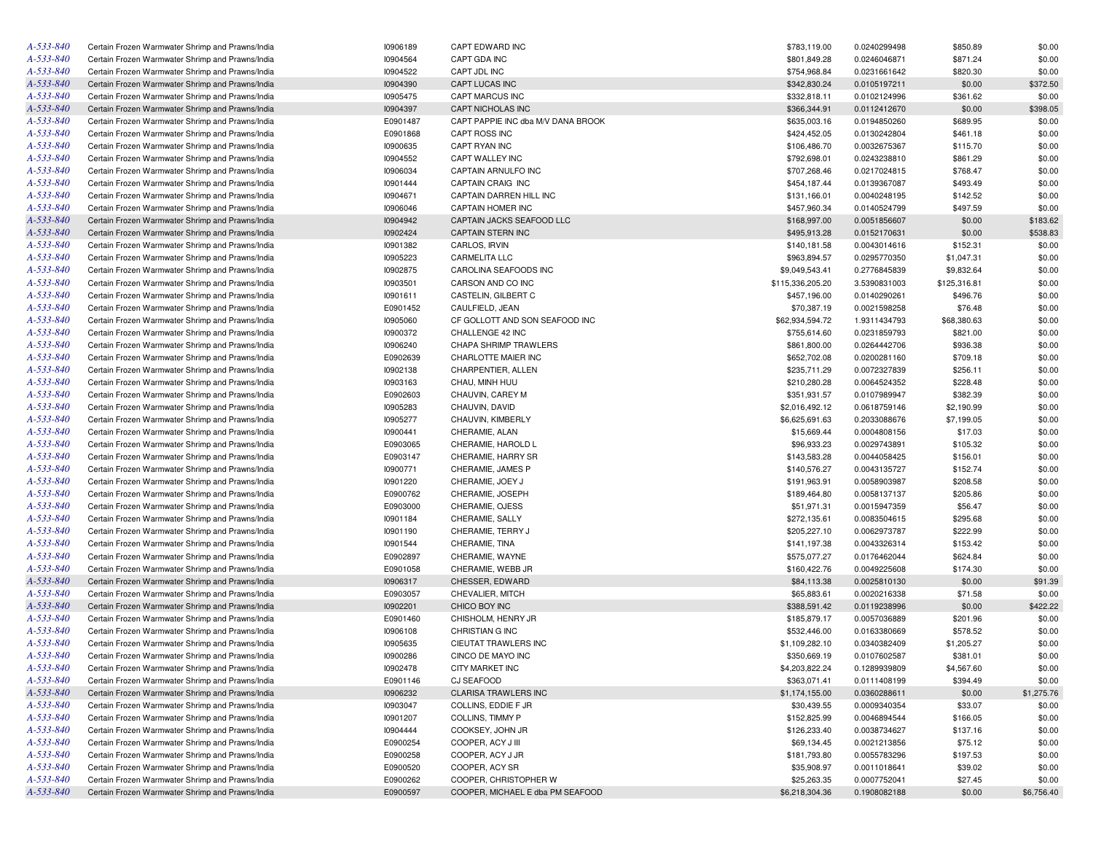| A-533-840       | Certain Frozen Warmwater Shrimp and Prawns/India | 10906189 | CAPT EDWARD INC                    | \$783,119.00     | 0.0240299498 | \$850.89     | \$0.00     |
|-----------------|--------------------------------------------------|----------|------------------------------------|------------------|--------------|--------------|------------|
| A-533-840       | Certain Frozen Warmwater Shrimp and Prawns/India | 10904564 | CAPT GDA INC                       | \$801,849.28     | 0.0246046871 | \$871.24     | \$0.00     |
| A-533-840       | Certain Frozen Warmwater Shrimp and Prawns/India | 10904522 | CAPT JDL INC                       | \$754,968.84     | 0.0231661642 | \$820.30     | \$0.00     |
| A-533-840       | Certain Frozen Warmwater Shrimp and Prawns/India | 10904390 | <b>CAPT LUCAS INC</b>              | \$342,830.24     | 0.0105197211 | \$0.00       | \$372.50   |
| A-533-840       | Certain Frozen Warmwater Shrimp and Prawns/India | 10905475 | CAPT MARCUS INC                    | \$332,818.11     | 0.0102124996 | \$361.62     | \$0.00     |
| A-533-840       | Certain Frozen Warmwater Shrimp and Prawns/India | 10904397 | CAPT NICHOLAS INC                  | \$366,344.91     | 0.0112412670 | \$0.00       | \$398.05   |
| A-533-840       | Certain Frozen Warmwater Shrimp and Prawns/India | E0901487 | CAPT PAPPIE INC dba M/V DANA BROOK | \$635,003.16     | 0.0194850260 | \$689.95     | \$0.00     |
| A-533-840       | Certain Frozen Warmwater Shrimp and Prawns/India | E0901868 | CAPT ROSS INC                      | \$424,452.05     | 0.0130242804 | \$461.18     | \$0.00     |
| A-533-840       | Certain Frozen Warmwater Shrimp and Prawns/India | 10900635 | CAPT RYAN INC                      | \$106,486.70     | 0.0032675367 | \$115.70     | \$0.00     |
| A-533-840       | Certain Frozen Warmwater Shrimp and Prawns/India | 10904552 | CAPT WALLEY INC                    | \$792,698.01     | 0.0243238810 | \$861.29     | \$0.00     |
| A-533-840       | Certain Frozen Warmwater Shrimp and Prawns/India | 10906034 | CAPTAIN ARNULFO INC                | \$707,268.46     | 0.0217024815 | \$768.47     | \$0.00     |
| A-533-840       | Certain Frozen Warmwater Shrimp and Prawns/India | 10901444 | CAPTAIN CRAIG INC                  | \$454,187.44     | 0.0139367087 | \$493.49     | \$0.00     |
| A-533-840       | Certain Frozen Warmwater Shrimp and Prawns/India | 10904671 | <b>CAPTAIN DARREN HILL INC</b>     | \$131,166.01     | 0.0040248195 | \$142.52     | \$0.00     |
| A-533-840       | Certain Frozen Warmwater Shrimp and Prawns/India | 10906046 | <b>CAPTAIN HOMER INC</b>           | \$457,960.34     | 0.0140524799 | \$497.59     | \$0.00     |
| A-533-840       | Certain Frozen Warmwater Shrimp and Prawns/India | 10904942 | CAPTAIN JACKS SEAFOOD LLC          | \$168,997.00     | 0.0051856607 | \$0.00       | \$183.62   |
| A-533-840       | Certain Frozen Warmwater Shrimp and Prawns/India | 10902424 | <b>CAPTAIN STERN INC</b>           | \$495,913.28     | 0.0152170631 | \$0.00       | \$538.83   |
| A-533-840       | Certain Frozen Warmwater Shrimp and Prawns/India | 10901382 |                                    |                  |              |              |            |
| A-533-840       |                                                  |          | CARLOS, IRVIN                      | \$140,181.58     | 0.0043014616 | \$152.31     | \$0.00     |
|                 | Certain Frozen Warmwater Shrimp and Prawns/India | 10905223 | <b>CARMELITA LLC</b>               | \$963,894.57     | 0.0295770350 | \$1,047.31   | \$0.00     |
| A-533-840       | Certain Frozen Warmwater Shrimp and Prawns/India | 10902875 | CAROLINA SEAFOODS INC              | \$9,049,543.41   | 0.2776845839 | \$9,832.64   | \$0.00     |
| A-533-840       | Certain Frozen Warmwater Shrimp and Prawns/India | 10903501 | CARSON AND CO INC                  | \$115,336,205.20 | 3.5390831003 | \$125,316.81 | \$0.00     |
| A-533-840       | Certain Frozen Warmwater Shrimp and Prawns/India | 10901611 | CASTELIN, GILBERT C                | \$457,196.00     | 0.0140290261 | \$496.76     | \$0.00     |
| A-533-840       | Certain Frozen Warmwater Shrimp and Prawns/India | E0901452 | CAULFIELD, JEAN                    | \$70,387.19      | 0.0021598258 | \$76.48      | \$0.00     |
| A-533-840       | Certain Frozen Warmwater Shrimp and Prawns/India | 10905060 | CF GOLLOTT AND SON SEAFOOD INC     | \$62,934,594.72  | 1.9311434793 | \$68,380.63  | \$0.00     |
| A-533-840       | Certain Frozen Warmwater Shrimp and Prawns/India | 10900372 | CHALLENGE 42 INC                   | \$755,614.60     | 0.0231859793 | \$821.00     | \$0.00     |
| A-533-840       | Certain Frozen Warmwater Shrimp and Prawns/India | 10906240 | <b>CHAPA SHRIMP TRAWLERS</b>       | \$861,800.00     | 0.0264442706 | \$936.38     | \$0.00     |
| A-533-840       | Certain Frozen Warmwater Shrimp and Prawns/India | E0902639 | CHARLOTTE MAIER INC                | \$652,702.08     | 0.0200281160 | \$709.18     | \$0.00     |
| A-533-840       | Certain Frozen Warmwater Shrimp and Prawns/India | 10902138 | CHARPENTIER, ALLEN                 | \$235,711.29     | 0.0072327839 | \$256.11     | \$0.00     |
| A-533-840       | Certain Frozen Warmwater Shrimp and Prawns/India | 10903163 | CHAU, MINH HUU                     | \$210,280.28     | 0.0064524352 | \$228.48     | \$0.00     |
| A-533-840       | Certain Frozen Warmwater Shrimp and Prawns/India | E0902603 | CHAUVIN, CAREY M                   | \$351,931.57     | 0.0107989947 | \$382.39     | \$0.00     |
| A-533-840       | Certain Frozen Warmwater Shrimp and Prawns/India | 10905283 | CHAUVIN, DAVID                     | \$2,016,492.12   | 0.0618759146 | \$2,190.99   | \$0.00     |
| A-533-840       | Certain Frozen Warmwater Shrimp and Prawns/India | 10905277 | CHAUVIN, KIMBERLY                  | \$6,625,691.63   | 0.2033088676 | \$7,199.05   | \$0.00     |
| A-533-840       | Certain Frozen Warmwater Shrimp and Prawns/India | 10900441 | CHERAMIE, ALAN                     | \$15,669.44      | 0.0004808156 | \$17.03      | \$0.00     |
| A-533-840       | Certain Frozen Warmwater Shrimp and Prawns/India | E0903065 | CHERAMIE, HAROLD L                 | \$96,933.23      | 0.0029743891 | \$105.32     | \$0.00     |
| A-533-840       | Certain Frozen Warmwater Shrimp and Prawns/India | E0903147 | CHERAMIE, HARRY SR                 | \$143,583.28     | 0.0044058425 | \$156.01     | \$0.00     |
| A-533-840       | Certain Frozen Warmwater Shrimp and Prawns/India | 10900771 | CHERAMIE, JAMES P                  | \$140,576.27     | 0.0043135727 | \$152.74     | \$0.00     |
| A-533-840       | Certain Frozen Warmwater Shrimp and Prawns/India | 10901220 | CHERAMIE, JOEY J                   | \$191,963.91     | 0.0058903987 | \$208.58     | \$0.00     |
| A-533-840       | Certain Frozen Warmwater Shrimp and Prawns/India | E0900762 | CHERAMIE, JOSEPH                   | \$189,464.80     | 0.0058137137 | \$205.86     | \$0.00     |
| A-533-840       | Certain Frozen Warmwater Shrimp and Prawns/India | E0903000 | CHERAMIE, OJESS                    | \$51,971.31      | 0.0015947359 | \$56.47      | \$0.00     |
| A-533-840       | Certain Frozen Warmwater Shrimp and Prawns/India | 10901184 | CHERAMIE, SALLY                    | \$272,135.61     | 0.0083504615 | \$295.68     | \$0.00     |
| A-533-840       | Certain Frozen Warmwater Shrimp and Prawns/India | 10901190 | CHERAMIE, TERRY J                  | \$205,227.10     | 0.0062973787 | \$222.99     | \$0.00     |
| A-533-840       | Certain Frozen Warmwater Shrimp and Prawns/India | 10901544 | CHERAMIE, TINA                     | \$141,197.38     | 0.0043326314 | \$153.42     | \$0.00     |
| A-533-840       | Certain Frozen Warmwater Shrimp and Prawns/India | E0902897 | CHERAMIE, WAYNE                    | \$575,077.27     | 0.0176462044 | \$624.84     | \$0.00     |
| A-533-840       | Certain Frozen Warmwater Shrimp and Prawns/India | E0901058 | CHERAMIE, WEBB JR                  | \$160,422.76     | 0.0049225608 | \$174.30     | \$0.00     |
| A-533-840       | Certain Frozen Warmwater Shrimp and Prawns/India | 10906317 | CHESSER, EDWARD                    | \$84,113.38      | 0.0025810130 | \$0.00       | \$91.39    |
| A-533-840       | Certain Frozen Warmwater Shrimp and Prawns/India | E0903057 | CHEVALIER, MITCH                   | \$65,883.61      | 0.0020216338 | \$71.58      | \$0.00     |
| A-533-840       | Certain Frozen Warmwater Shrimp and Prawns/India | 10902201 | CHICO BOY INC                      | \$388,591.42     | 0.0119238996 | \$0.00       | \$422.22   |
| A-533-840       | Certain Frozen Warmwater Shrimp and Prawns/India | E0901460 | CHISHOLM, HENRY JR                 | \$185,879.17     | 0.0057036889 | \$201.96     | \$0.00     |
| A-533-840       | Certain Frozen Warmwater Shrimp and Prawns/India | 10906108 | <b>CHRISTIAN G INC</b>             | \$532,446.00     | 0.0163380669 | \$578.52     | \$0.00     |
| A-533-840       | Certain Frozen Warmwater Shrimp and Prawns/India | 10905635 | CIEUTAT TRAWLERS INC               | \$1,109,282.10   | 0.0340382409 | \$1,205.27   | \$0.00     |
| A-533-840       | Certain Frozen Warmwater Shrimp and Prawns/India | 10900286 | CINCO DE MAYO INC                  | \$350,669.19     | 0.0107602587 | \$381.01     | \$0.00     |
| A-533-840       | Certain Frozen Warmwater Shrimp and Prawns/India | 10902478 | CITY MARKET INC                    | \$4,203,822.24   | 0.1289939809 | \$4,567.60   | \$0.00     |
| A-533-840       | Certain Frozen Warmwater Shrimp and Prawns/India | E0901146 | <b>CJ SEAFOOD</b>                  | \$363,071.41     |              | \$394.49     | \$0.00     |
| A-533-840       | Certain Frozen Warmwater Shrimp and Prawns/India | 10906232 |                                    |                  | 0.0111408199 |              |            |
| A-533-840       | Certain Frozen Warmwater Shrimp and Prawns/India |          | <b>CLARISA TRAWLERS INC</b>        | \$1,174,155.00   | 0.0360288611 | \$0.00       | \$1,275.76 |
| A-533-840       |                                                  | 10903047 | COLLINS, EDDIE F JR                | \$30,439.55      | 0.0009340354 | \$33.07      | \$0.00     |
|                 | Certain Frozen Warmwater Shrimp and Prawns/India | 10901207 | COLLINS, TIMMY P                   | \$152,825.99     | 0.0046894544 | \$166.05     | \$0.00     |
| A-533-840       | Certain Frozen Warmwater Shrimp and Prawns/India | 10904444 | COOKSEY, JOHN JR                   | \$126,233.40     | 0.0038734627 | \$137.16     | \$0.00     |
| A-533-840       | Certain Frozen Warmwater Shrimp and Prawns/India | E0900254 | COOPER, ACY J III                  | \$69,134.45      | 0.0021213856 | \$75.12      | \$0.00     |
| A-533-840       | Certain Frozen Warmwater Shrimp and Prawns/India | E0900258 | COOPER, ACY J JR                   | \$181,793.80     | 0.0055783296 | \$197.53     | \$0.00     |
| A-533-840       | Certain Frozen Warmwater Shrimp and Prawns/India | E0900520 | COOPER, ACY SR                     | \$35,908.97      | 0.0011018641 | \$39.02      | \$0.00     |
| A-533-840       | Certain Frozen Warmwater Shrimp and Prawns/India | E0900262 | COOPER, CHRISTOPHER W              | \$25,263.35      | 0.0007752041 | \$27.45      | \$0.00     |
| $A - 533 - 840$ | Certain Frozen Warmwater Shrimp and Prawns/India | E0900597 | COOPER, MICHAEL E dba PM SEAFOOD   | \$6,218,304.36   | 0.1908082188 | \$0.00       | \$6,756.40 |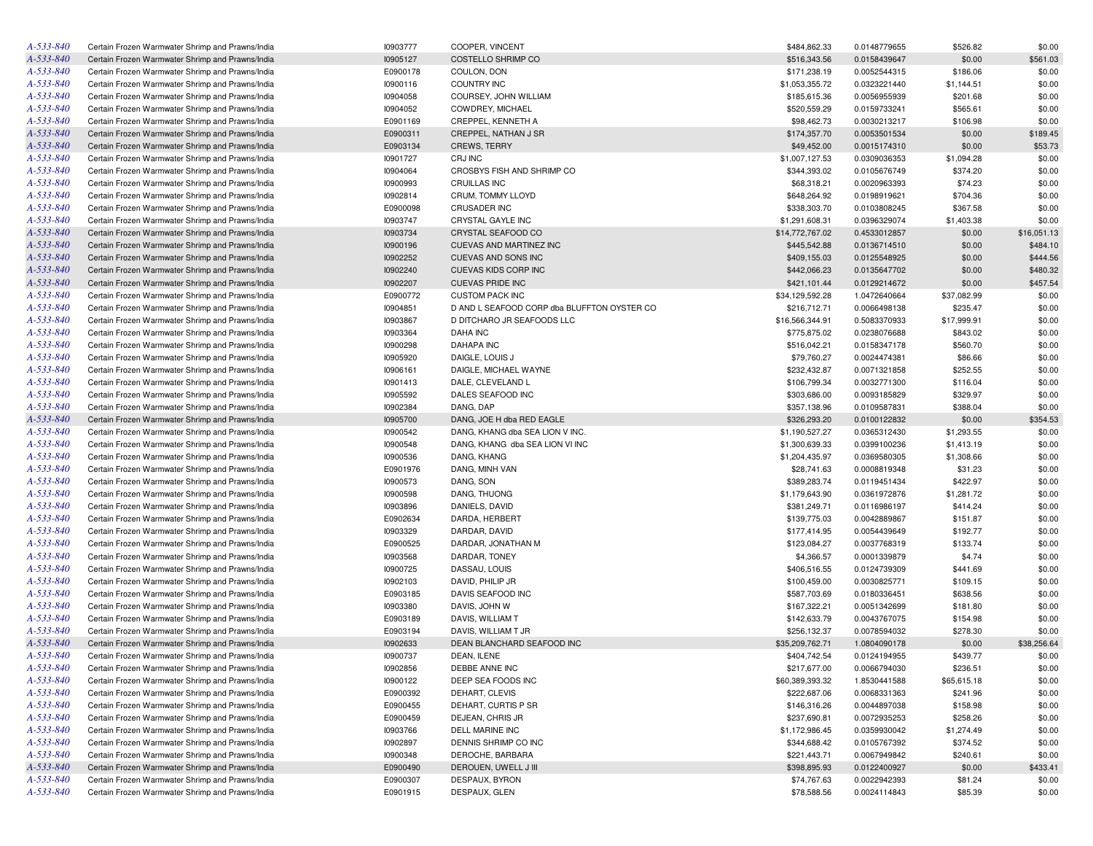| A-533-840 | Certain Frozen Warmwater Shrimp and Prawns/India | 10903777 | COOPER, VINCENT                             | \$484,862.33    | 0.0148779655 | \$526.82    | \$0.00      |
|-----------|--------------------------------------------------|----------|---------------------------------------------|-----------------|--------------|-------------|-------------|
| A-533-840 | Certain Frozen Warmwater Shrimp and Prawns/India | 10905127 | COSTELLO SHRIMP CO                          | \$516,343.56    | 0.0158439647 | \$0.00      | \$561.03    |
| A-533-840 | Certain Frozen Warmwater Shrimp and Prawns/India | E0900178 | COULON, DON                                 | \$171,238.19    | 0.0052544315 | \$186.06    | \$0.00      |
| A-533-840 | Certain Frozen Warmwater Shrimp and Prawns/India | 10900116 | <b>COUNTRY INC</b>                          | \$1,053,355.72  | 0.0323221440 | \$1,144.51  | \$0.00      |
| A-533-840 | Certain Frozen Warmwater Shrimp and Prawns/India | 10904058 | COURSEY, JOHN WILLIAM                       | \$185,615.36    | 0.0056955939 | \$201.68    | \$0.00      |
| A-533-840 | Certain Frozen Warmwater Shrimp and Prawns/India | 10904052 | COWDREY, MICHAEL                            | \$520,559.29    | 0.0159733241 | \$565.61    | \$0.00      |
| A-533-840 | Certain Frozen Warmwater Shrimp and Prawns/India | E0901169 | CREPPEL, KENNETH A                          | \$98,462.73     | 0.0030213217 | \$106.98    | \$0.00      |
| A-533-840 | Certain Frozen Warmwater Shrimp and Prawns/India | E0900311 | CREPPEL, NATHAN J SR                        | \$174,357.70    | 0.0053501534 | \$0.00      | \$189.45    |
| A-533-840 | Certain Frozen Warmwater Shrimp and Prawns/India | E0903134 | <b>CREWS, TERRY</b>                         | \$49,452.00     | 0.0015174310 | \$0.00      | \$53.73     |
| A-533-840 | Certain Frozen Warmwater Shrimp and Prawns/India | 10901727 | CRJ INC                                     | \$1,007,127.53  | 0.0309036353 | \$1,094.28  | \$0.00      |
| A-533-840 | Certain Frozen Warmwater Shrimp and Prawns/India | 10904064 | CROSBYS FISH AND SHRIMP CO                  | \$344,393.02    | 0.0105676749 | \$374.20    | \$0.00      |
| A-533-840 | Certain Frozen Warmwater Shrimp and Prawns/India | 10900993 | <b>CRUILLAS INC</b>                         | \$68,318.21     | 0.0020963393 | \$74.23     | \$0.00      |
| A-533-840 | Certain Frozen Warmwater Shrimp and Prawns/India | 10902814 | CRUM, TOMMY LLOYD                           | \$648,264.92    | 0.0198919621 | \$704.36    | \$0.00      |
| A-533-840 | Certain Frozen Warmwater Shrimp and Prawns/India | E0900098 | <b>CRUSADER INC</b>                         | \$338,303.70    | 0.0103808245 | \$367.58    | \$0.00      |
| A-533-840 | Certain Frozen Warmwater Shrimp and Prawns/India | 10903747 | CRYSTAL GAYLE INC                           | \$1,291,608.31  | 0.0396329074 | \$1,403.38  | \$0.00      |
| A-533-840 | Certain Frozen Warmwater Shrimp and Prawns/India | 10903734 | CRYSTAL SEAFOOD CO                          | \$14,772,767.02 | 0.4533012857 | \$0.00      | \$16,051.13 |
| A-533-840 |                                                  |          |                                             |                 |              |             |             |
|           | Certain Frozen Warmwater Shrimp and Prawns/India | 10900196 | CUEVAS AND MARTINEZ INC                     | \$445,542.88    | 0.0136714510 | \$0.00      | \$484.10    |
| A-533-840 | Certain Frozen Warmwater Shrimp and Prawns/India | 10902252 | CUEVAS AND SONS INC                         | \$409,155.03    | 0.0125548925 | \$0.00      | \$444.56    |
| A-533-840 | Certain Frozen Warmwater Shrimp and Prawns/India | 10902240 | CUEVAS KIDS CORP INC                        | \$442,066.23    | 0.0135647702 | \$0.00      | \$480.32    |
| A-533-840 | Certain Frozen Warmwater Shrimp and Prawns/India | 10902207 | <b>CUEVAS PRIDE INC</b>                     | \$421,101.44    | 0.0129214672 | \$0.00      | \$457.54    |
| A-533-840 | Certain Frozen Warmwater Shrimp and Prawns/India | E0900772 | <b>CUSTOM PACK INC</b>                      | \$34,129,592.28 | 1.0472640664 | \$37,082.99 | \$0.00      |
| A-533-840 | Certain Frozen Warmwater Shrimp and Prawns/India | 10904851 | D AND L SEAFOOD CORP dba BLUFFTON OYSTER CO | \$216,712.71    | 0.0066498138 | \$235.47    | \$0.00      |
| A-533-840 | Certain Frozen Warmwater Shrimp and Prawns/India | 10903867 | D DITCHARO JR SEAFOODS LLC                  | \$16,566,344.91 | 0.5083370933 | \$17,999.91 | \$0.00      |
| A-533-840 | Certain Frozen Warmwater Shrimp and Prawns/India | 10903364 | <b>DAHA INC</b>                             | \$775,875.02    | 0.0238076688 | \$843.02    | \$0.00      |
| A-533-840 | Certain Frozen Warmwater Shrimp and Prawns/India | 10900298 | <b>DAHAPA INC</b>                           | \$516,042.21    | 0.0158347178 | \$560.70    | \$0.00      |
| A-533-840 | Certain Frozen Warmwater Shrimp and Prawns/India | 10905920 | DAIGLE, LOUIS J                             | \$79,760.27     | 0.0024474381 | \$86.66     | \$0.00      |
| A-533-840 | Certain Frozen Warmwater Shrimp and Prawns/India | 10906161 | DAIGLE, MICHAEL WAYNE                       | \$232,432.87    | 0.0071321858 | \$252.55    | \$0.00      |
| A-533-840 | Certain Frozen Warmwater Shrimp and Prawns/India | 10901413 | DALE, CLEVELAND L                           | \$106,799.34    | 0.0032771300 | \$116.04    | \$0.00      |
| A-533-840 | Certain Frozen Warmwater Shrimp and Prawns/India | 10905592 | DALES SEAFOOD INC                           | \$303,686.00    | 0.0093185829 | \$329.97    | \$0.00      |
| A-533-840 | Certain Frozen Warmwater Shrimp and Prawns/India | 10902384 | DANG, DAP                                   | \$357,138.96    | 0.0109587831 | \$388.04    | \$0.00      |
| A-533-840 | Certain Frozen Warmwater Shrimp and Prawns/India | 10905700 | DANG, JOE H dba RED EAGLE                   | \$326,293.20    | 0.0100122832 | \$0.00      | \$354.53    |
| A-533-840 | Certain Frozen Warmwater Shrimp and Prawns/India | 10900542 | DANG, KHANG dba SEA LION V INC.             | \$1,190,527.27  | 0.0365312430 | \$1,293.55  | \$0.00      |
| A-533-840 | Certain Frozen Warmwater Shrimp and Prawns/India | 10900548 | DANG, KHANG dba SEA LION VI INC             | \$1,300,639.33  | 0.0399100236 | \$1,413.19  | \$0.00      |
| A-533-840 | Certain Frozen Warmwater Shrimp and Prawns/India | 10900536 | DANG, KHANG                                 | \$1,204,435.97  | 0.0369580305 | \$1,308.66  | \$0.00      |
| A-533-840 | Certain Frozen Warmwater Shrimp and Prawns/India | E0901976 | DANG, MINH VAN                              | \$28,741.63     | 0.0008819348 | \$31.23     | \$0.00      |
| A-533-840 | Certain Frozen Warmwater Shrimp and Prawns/India | 10900573 | DANG, SON                                   | \$389,283.74    | 0.0119451434 | \$422.97    | \$0.00      |
| A-533-840 | Certain Frozen Warmwater Shrimp and Prawns/India | 10900598 | DANG, THUONG                                | \$1,179,643.90  | 0.0361972876 | \$1,281.72  | \$0.00      |
| A-533-840 | Certain Frozen Warmwater Shrimp and Prawns/India | 10903896 | DANIELS, DAVID                              | \$381,249.71    | 0.0116986197 | \$414.24    | \$0.00      |
| A-533-840 | Certain Frozen Warmwater Shrimp and Prawns/India | E0902634 | DARDA, HERBERT                              | \$139,775.03    | 0.0042889867 | \$151.87    | \$0.00      |
| A-533-840 | Certain Frozen Warmwater Shrimp and Prawns/India | 10903329 | DARDAR, DAVID                               | \$177,414.95    | 0.0054439649 | \$192.77    | \$0.00      |
| A-533-840 | Certain Frozen Warmwater Shrimp and Prawns/India | E0900525 | DARDAR, JONATHAN M                          | \$123,084.27    | 0.0037768319 | \$133.74    | \$0.00      |
| A-533-840 | Certain Frozen Warmwater Shrimp and Prawns/India | 10903568 | DARDAR, TONEY                               | \$4,366.57      | 0.0001339879 | \$4.74      | \$0.00      |
| A-533-840 | Certain Frozen Warmwater Shrimp and Prawns/India | 10900725 | DASSAU, LOUIS                               | \$406,516.55    | 0.0124739309 | \$441.69    | \$0.00      |
| A-533-840 | Certain Frozen Warmwater Shrimp and Prawns/India | 10902103 | DAVID, PHILIP JR                            | \$100,459.00    | 0.0030825771 | \$109.15    | \$0.00      |
| A-533-840 | Certain Frozen Warmwater Shrimp and Prawns/India | E0903185 | DAVIS SEAFOOD INC                           | \$587,703.69    | 0.0180336451 | \$638.56    | \$0.00      |
| A-533-840 | Certain Frozen Warmwater Shrimp and Prawns/India | 10903380 | DAVIS, JOHN W                               | \$167,322.21    | 0.0051342699 | \$181.80    | \$0.00      |
| A-533-840 | Certain Frozen Warmwater Shrimp and Prawns/India | E0903189 | DAVIS, WILLIAM T                            | \$142,633.79    | 0.0043767075 | \$154.98    | \$0.00      |
| A-533-840 | Certain Frozen Warmwater Shrimp and Prawns/India | E0903194 | DAVIS, WILLIAM T JR                         | \$256,132.37    | 0.0078594032 | \$278.30    | \$0.00      |
| A-533-840 | Certain Frozen Warmwater Shrimp and Prawns/India | 10902633 | DEAN BLANCHARD SEAFOOD INC                  | \$35,209,762.71 | 1.0804090178 | \$0.00      | \$38,256.64 |
| A-533-840 | Certain Frozen Warmwater Shrimp and Prawns/India | 10900737 | DEAN, ILENE                                 | \$404,742.54    | 0.0124194955 | \$439.77    | \$0.00      |
| A-533-840 | Certain Frozen Warmwater Shrimp and Prawns/India | 10902856 | DEBBE ANNE INC                              | \$217,677.00    | 0.0066794030 | \$236.51    | \$0.00      |
| A-533-840 | Certain Frozen Warmwater Shrimp and Prawns/India | 10900122 | DEEP SEA FOODS INC                          | \$60,389,393.32 | 1.8530441588 | \$65,615.18 | \$0.00      |
| A-533-840 | Certain Frozen Warmwater Shrimp and Prawns/India | E0900392 | DEHART, CLEVIS                              | \$222,687.06    | 0.0068331363 | \$241.96    | \$0.00      |
| A-533-840 | Certain Frozen Warmwater Shrimp and Prawns/India | E0900455 | DEHART, CURTIS P SR                         | \$146,316.26    | 0.0044897038 |             |             |
| A-533-840 |                                                  |          | DEJEAN, CHRIS JR                            |                 |              | \$158.98    | \$0.00      |
|           | Certain Frozen Warmwater Shrimp and Prawns/India | E0900459 |                                             | \$237,690.81    | 0.0072935253 | \$258.26    | \$0.00      |
| A-533-840 | Certain Frozen Warmwater Shrimp and Prawns/India | 10903766 | DELL MARINE INC                             | \$1,172,986.45  | 0.0359930042 | \$1,274.49  | \$0.00      |
| A-533-840 | Certain Frozen Warmwater Shrimp and Prawns/India | 10902897 | DENNIS SHRIMP CO INC                        | \$344,688.42    | 0.0105767392 | \$374.52    | \$0.00      |
| A-533-840 | Certain Frozen Warmwater Shrimp and Prawns/India | 10900348 | DEROCHE, BARBARA                            | \$221,443.71    | 0.0067949842 | \$240.61    | \$0.00      |
| A-533-840 | Certain Frozen Warmwater Shrimp and Prawns/India | E0900490 | DEROUEN, UWELL J III                        | \$398,895.93    | 0.0122400927 | \$0.00      | \$433.41    |
| A-533-840 | Certain Frozen Warmwater Shrimp and Prawns/India | E0900307 | DESPAUX, BYRON                              | \$74,767.63     | 0.0022942393 | \$81.24     | \$0.00      |
| A-533-840 | Certain Frozen Warmwater Shrimp and Prawns/India | E0901915 | DESPAUX, GLEN                               | \$78,588.56     | 0.0024114843 | \$85.39     | \$0.00      |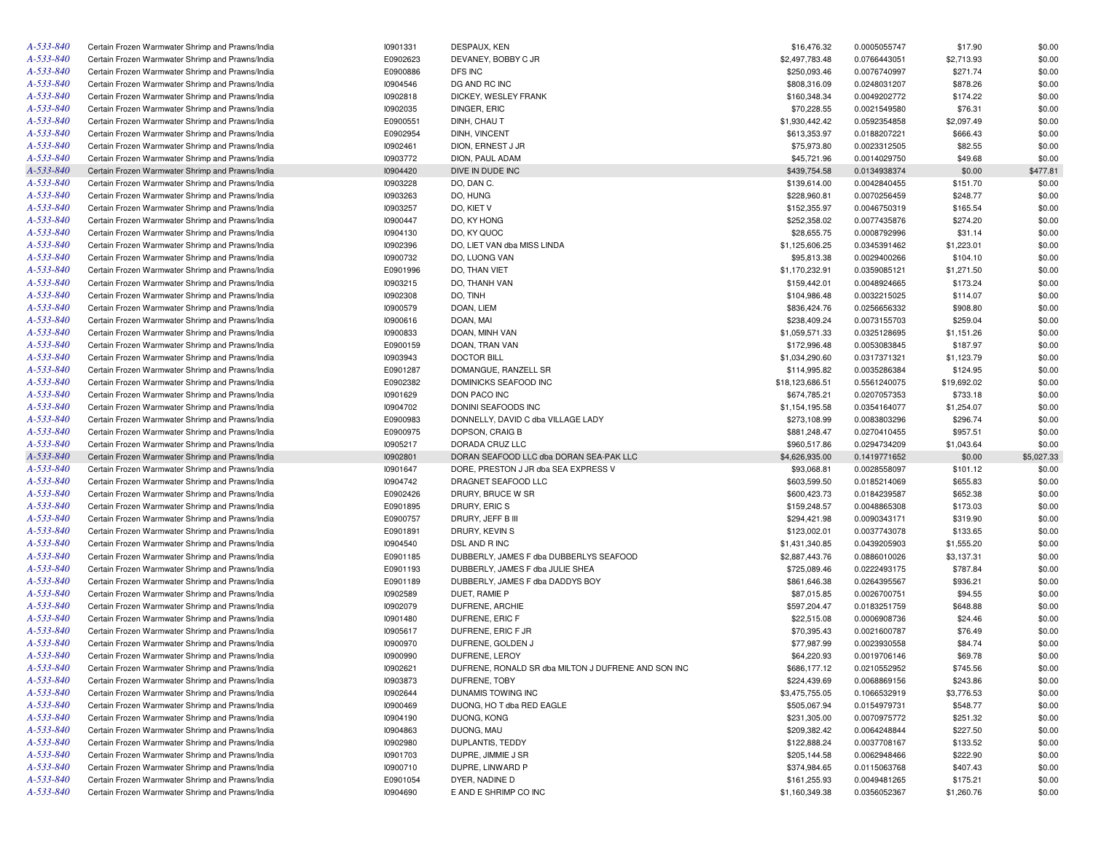| A-533-840       | Certain Frozen Warmwater Shrimp and Prawns/India | 10901331 | DESPAUX, KEN                                        | \$16,476.32     | 0.0005055747 | \$17.90     | \$0.00     |
|-----------------|--------------------------------------------------|----------|-----------------------------------------------------|-----------------|--------------|-------------|------------|
| A-533-840       | Certain Frozen Warmwater Shrimp and Prawns/India | E0902623 | DEVANEY, BOBBY C JR                                 | \$2,497,783.48  | 0.0766443051 | \$2,713.93  | \$0.00     |
| A-533-840       | Certain Frozen Warmwater Shrimp and Prawns/India | E0900886 | DFS INC                                             | \$250,093.46    | 0.0076740997 | \$271.74    | \$0.00     |
| A-533-840       | Certain Frozen Warmwater Shrimp and Prawns/India | 10904546 | DG AND RC INC                                       | \$808,316.09    | 0.0248031207 | \$878.26    | \$0.00     |
| A-533-840       | Certain Frozen Warmwater Shrimp and Prawns/India | 10902818 | DICKEY, WESLEY FRANK                                | \$160,348.34    | 0.0049202772 | \$174.22    | \$0.00     |
| A-533-840       | Certain Frozen Warmwater Shrimp and Prawns/India | 10902035 | DINGER, ERIC                                        | \$70,228.55     | 0.0021549580 | \$76.31     | \$0.00     |
| A-533-840       | Certain Frozen Warmwater Shrimp and Prawns/India | E0900551 | DINH, CHAU T                                        | \$1,930,442.42  | 0.0592354858 | \$2,097.49  | \$0.00     |
| A-533-840       | Certain Frozen Warmwater Shrimp and Prawns/India | E0902954 | DINH, VINCENT                                       | \$613,353.97    | 0.0188207221 | \$666.43    | \$0.00     |
| A-533-840       | Certain Frozen Warmwater Shrimp and Prawns/India | 10902461 | DION, ERNEST J JR                                   | \$75,973.80     | 0.0023312505 | \$82.55     | \$0.00     |
| A-533-840       | Certain Frozen Warmwater Shrimp and Prawns/India | 10903772 | DION, PAUL ADAM                                     | \$45,721.96     | 0.0014029750 | \$49.68     | \$0.00     |
| A-533-840       | Certain Frozen Warmwater Shrimp and Prawns/India | 10904420 | DIVE IN DUDE INC                                    | \$439,754.58    | 0.0134938374 | \$0.00      | \$477.81   |
| A-533-840       | Certain Frozen Warmwater Shrimp and Prawns/India | 10903228 | DO, DAN C.                                          | \$139,614.00    | 0.0042840455 | \$151.70    | \$0.00     |
| A-533-840       | Certain Frozen Warmwater Shrimp and Prawns/India | 10903263 | DO, HUNG                                            | \$228,960.81    | 0.0070256459 | \$248.77    | \$0.00     |
| A-533-840       | Certain Frozen Warmwater Shrimp and Prawns/India | 10903257 | DO, KIET V                                          | \$152,355.97    | 0.0046750319 | \$165.54    | \$0.00     |
| A-533-840       | Certain Frozen Warmwater Shrimp and Prawns/India | 10900447 | DO, KY HONG                                         | \$252,358.02    | 0.0077435876 | \$274.20    | \$0.00     |
| A-533-840       | Certain Frozen Warmwater Shrimp and Prawns/India | 10904130 | DO. KY QUOC                                         | \$28,655.75     | 0.0008792996 | \$31.14     | \$0.00     |
| A-533-840       | Certain Frozen Warmwater Shrimp and Prawns/India | 10902396 | DO, LIET VAN dba MISS LINDA                         | \$1,125,606.25  | 0.0345391462 | \$1,223.01  | \$0.00     |
| A-533-840       |                                                  |          |                                                     |                 |              |             |            |
|                 | Certain Frozen Warmwater Shrimp and Prawns/India | 10900732 | DO, LUONG VAN                                       | \$95,813.38     | 0.0029400266 | \$104.10    | \$0.00     |
| A-533-840       | Certain Frozen Warmwater Shrimp and Prawns/India | E0901996 | DO, THAN VIET                                       | \$1,170,232.91  | 0.0359085121 | \$1,271.50  | \$0.00     |
| A-533-840       | Certain Frozen Warmwater Shrimp and Prawns/India | 10903215 | DO, THANH VAN                                       | \$159,442.01    | 0.0048924665 | \$173.24    | \$0.00     |
| A-533-840       | Certain Frozen Warmwater Shrimp and Prawns/India | 10902308 | DO, TINH                                            | \$104,986.48    | 0.0032215025 | \$114.07    | \$0.00     |
| A-533-840       | Certain Frozen Warmwater Shrimp and Prawns/India | 10900579 | DOAN, LIEM                                          | \$836,424.76    | 0.0256656332 | \$908.80    | \$0.00     |
| A-533-840       | Certain Frozen Warmwater Shrimp and Prawns/India | 10900616 | DOAN, MAI                                           | \$238,409.24    | 0.0073155703 | \$259.04    | \$0.00     |
| A-533-840       | Certain Frozen Warmwater Shrimp and Prawns/India | 10900833 | DOAN, MINH VAN                                      | \$1,059,571.33  | 0.0325128695 | \$1,151.26  | \$0.00     |
| A-533-840       | Certain Frozen Warmwater Shrimp and Prawns/India | E0900159 | DOAN, TRAN VAN                                      | \$172,996.48    | 0.0053083845 | \$187.97    | \$0.00     |
| A-533-840       | Certain Frozen Warmwater Shrimp and Prawns/India | 10903943 | <b>DOCTOR BILL</b>                                  | \$1,034,290.60  | 0.0317371321 | \$1,123.79  | \$0.00     |
| A-533-840       | Certain Frozen Warmwater Shrimp and Prawns/India | E0901287 | DOMANGUE, RANZELL SR                                | \$114,995.82    | 0.0035286384 | \$124.95    | \$0.00     |
| A-533-840       | Certain Frozen Warmwater Shrimp and Prawns/India | E0902382 | DOMINICKS SEAFOOD INC                               | \$18,123,686.51 | 0.5561240075 | \$19,692.02 | \$0.00     |
| A-533-840       | Certain Frozen Warmwater Shrimp and Prawns/India | 10901629 | DON PACO INC                                        | \$674,785.21    | 0.0207057353 | \$733.18    | \$0.00     |
| A-533-840       | Certain Frozen Warmwater Shrimp and Prawns/India | 10904702 | DONINI SEAFOODS INC                                 | \$1,154,195.58  | 0.0354164077 | \$1,254.07  | \$0.00     |
| A-533-840       | Certain Frozen Warmwater Shrimp and Prawns/India | E0900983 | DONNELLY, DAVID C dba VILLAGE LADY                  | \$273,108.99    | 0.0083803296 | \$296.74    | \$0.00     |
| A-533-840       | Certain Frozen Warmwater Shrimp and Prawns/India | E0900975 | DOPSON, CRAIG B                                     | \$881,248.47    | 0.0270410455 | \$957.51    | \$0.00     |
| A-533-840       | Certain Frozen Warmwater Shrimp and Prawns/India | 10905217 | DORADA CRUZ LLC                                     | \$960,517.86    | 0.0294734209 | \$1,043.64  | \$0.00     |
| A-533-840       | Certain Frozen Warmwater Shrimp and Prawns/India | 10902801 | DORAN SEAFOOD LLC dba DORAN SEA-PAK LLC             | \$4,626,935.00  | 0.1419771652 | \$0.00      | \$5,027.33 |
| A-533-840       | Certain Frozen Warmwater Shrimp and Prawns/India | 10901647 | DORE, PRESTON J JR dba SEA EXPRESS V                | \$93,068.81     | 0.0028558097 | \$101.12    | \$0.00     |
| A-533-840       | Certain Frozen Warmwater Shrimp and Prawns/India | 10904742 | DRAGNET SEAFOOD LLC                                 | \$603,599.50    | 0.0185214069 | \$655.83    | \$0.00     |
| A-533-840       | Certain Frozen Warmwater Shrimp and Prawns/India | E0902426 | DRURY, BRUCE W SR                                   | \$600,423.73    | 0.0184239587 | \$652.38    | \$0.00     |
| A-533-840       | Certain Frozen Warmwater Shrimp and Prawns/India | E0901895 | DRURY, ERIC S                                       | \$159,248.57    | 0.0048865308 | \$173.03    | \$0.00     |
| A-533-840       | Certain Frozen Warmwater Shrimp and Prawns/India | E0900757 | DRURY, JEFF B III                                   | \$294,421.98    | 0.0090343171 | \$319.90    | \$0.00     |
| A-533-840       | Certain Frozen Warmwater Shrimp and Prawns/India | E0901891 | DRURY, KEVIN S                                      | \$123,002.01    | 0.0037743078 | \$133.65    | \$0.00     |
| A-533-840       | Certain Frozen Warmwater Shrimp and Prawns/India | 10904540 | DSL AND R INC                                       | \$1,431,340.85  | 0.0439205903 | \$1,555.20  | \$0.00     |
| A-533-840       | Certain Frozen Warmwater Shrimp and Prawns/India | E0901185 | DUBBERLY, JAMES F dba DUBBERLYS SEAFOOD             | \$2,887,443.76  |              | \$3,137.31  | \$0.00     |
| A-533-840       |                                                  |          | DUBBERLY, JAMES F dba JULIE SHEA                    |                 | 0.0886010026 |             |            |
|                 | Certain Frozen Warmwater Shrimp and Prawns/India | E0901193 |                                                     | \$725,089.46    | 0.0222493175 | \$787.84    | \$0.00     |
| A-533-840       | Certain Frozen Warmwater Shrimp and Prawns/India | E0901189 | DUBBERLY, JAMES F dba DADDYS BOY                    | \$861,646.38    | 0.0264395567 | \$936.21    | \$0.00     |
| A-533-840       | Certain Frozen Warmwater Shrimp and Prawns/India | 10902589 | DUET, RAMIE P                                       | \$87,015.85     | 0.0026700751 | \$94.55     | \$0.00     |
| A-533-840       | Certain Frozen Warmwater Shrimp and Prawns/India | 10902079 | DUFRENE, ARCHIE                                     | \$597,204.47    | 0.0183251759 | \$648.88    | \$0.00     |
| A-533-840       | Certain Frozen Warmwater Shrimp and Prawns/India | 10901480 | DUFRENE, ERIC F                                     | \$22,515.08     | 0.0006908736 | \$24.46     | \$0.00     |
| A-533-840       | Certain Frozen Warmwater Shrimp and Prawns/India | 10905617 | DUFRENE, ERIC F JR                                  | \$70,395.43     | 0.0021600787 | \$76.49     | \$0.00     |
| A-533-840       | Certain Frozen Warmwater Shrimp and Prawns/India | 10900970 | DUFRENE, GOLDEN J                                   | \$77,987.99     | 0.0023930558 | \$84.74     | \$0.00     |
| $A - 533 - 840$ | Certain Frozen Warmwater Shrimp and Prawns/India | 10900990 | DUFRENE, LEROY                                      | \$64,220.93     | 0.0019706146 | \$69.78     | \$0.00     |
| A-533-840       | Certain Frozen Warmwater Shrimp and Prawns/India | 10902621 | DUFRENE, RONALD SR dba MILTON J DUFRENE AND SON INC | \$686,177.12    | 0.0210552952 | \$745.56    | \$0.00     |
| A-533-840       | Certain Frozen Warmwater Shrimp and Prawns/India | 10903873 | DUFRENE, TOBY                                       | \$224,439.69    | 0.0068869156 | \$243.86    | \$0.00     |
| A-533-840       | Certain Frozen Warmwater Shrimp and Prawns/India | 10902644 | DUNAMIS TOWING INC                                  | \$3,475,755.05  | 0.1066532919 | \$3,776.53  | \$0.00     |
| A-533-840       | Certain Frozen Warmwater Shrimp and Prawns/India | 10900469 | DUONG, HO T dba RED EAGLE                           | \$505,067.94    | 0.0154979731 | \$548.77    | \$0.00     |
| A-533-840       | Certain Frozen Warmwater Shrimp and Prawns/India | 10904190 | DUONG, KONG                                         | \$231,305.00    | 0.0070975772 | \$251.32    | \$0.00     |
| A-533-840       | Certain Frozen Warmwater Shrimp and Prawns/India | 10904863 | DUONG, MAU                                          | \$209,382.42    | 0.0064248844 | \$227.50    | \$0.00     |
| A-533-840       | Certain Frozen Warmwater Shrimp and Prawns/India | 10902980 | DUPLANTIS, TEDDY                                    | \$122,888.24    | 0.0037708167 | \$133.52    | \$0.00     |
| A-533-840       | Certain Frozen Warmwater Shrimp and Prawns/India | 10901703 | DUPRE, JIMMIE J SR                                  | \$205,144.58    | 0.0062948466 | \$222.90    | \$0.00     |
| A-533-840       | Certain Frozen Warmwater Shrimp and Prawns/India | 10900710 | DUPRE, LINWARD P                                    | \$374,984.65    | 0.0115063768 | \$407.43    | \$0.00     |
| A-533-840       | Certain Frozen Warmwater Shrimp and Prawns/India | E0901054 | DYER, NADINE D                                      | \$161,255.93    | 0.0049481265 | \$175.21    | \$0.00     |
| A-533-840       | Certain Frozen Warmwater Shrimp and Prawns/India | 10904690 | E AND E SHRIMP CO INC                               | \$1,160,349.38  | 0.0356052367 | \$1,260.76  | \$0.00     |
|                 |                                                  |          |                                                     |                 |              |             |            |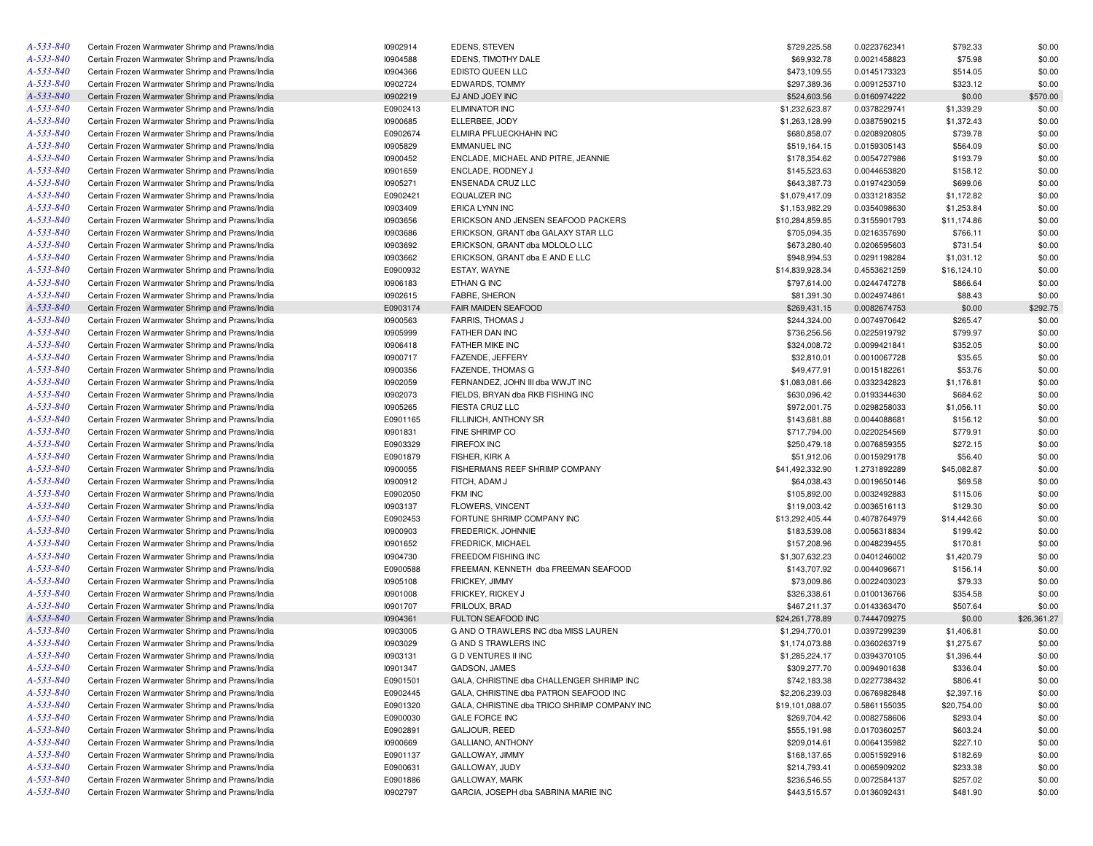| A-533-840              | Certain Frozen Warmwater Shrimp and Prawns/India | 10902914             | EDENS, STEVEN                                          | \$729,225.58    | 0.0223762341 | \$792.33    | \$0.00           |
|------------------------|--------------------------------------------------|----------------------|--------------------------------------------------------|-----------------|--------------|-------------|------------------|
| A-533-840              | Certain Frozen Warmwater Shrimp and Prawns/India | 10904588             | EDENS, TIMOTHY DALE                                    | \$69,932.78     | 0.0021458823 | \$75.98     | \$0.00           |
| A-533-840              | Certain Frozen Warmwater Shrimp and Prawns/India | 10904366             | EDISTO QUEEN LLC                                       | \$473,109.55    | 0.0145173323 | \$514.05    | \$0.00           |
| A-533-840              | Certain Frozen Warmwater Shrimp and Prawns/India | 10902724             | EDWARDS, TOMMY                                         | \$297,389.36    | 0.0091253710 | \$323.12    | \$0.00           |
| A-533-840              | Certain Frozen Warmwater Shrimp and Prawns/India | 10902219             | EJ AND JOEY INC                                        | \$524,603.56    | 0.0160974222 | \$0.00      | \$570.00         |
| A-533-840              | Certain Frozen Warmwater Shrimp and Prawns/India | E0902413             | <b>ELIMINATOR INC</b>                                  | \$1,232,623.87  | 0.0378229741 | \$1,339.29  | \$0.00           |
| A-533-840              | Certain Frozen Warmwater Shrimp and Prawns/India | 10900685             | ELLERBEE, JODY                                         | \$1,263,128.99  | 0.0387590215 | \$1,372.43  | \$0.00           |
| A-533-840              | Certain Frozen Warmwater Shrimp and Prawns/India | E0902674             | ELMIRA PFLUECKHAHN INC                                 | \$680,858.07    | 0.0208920805 | \$739.78    | \$0.00           |
| A-533-840              | Certain Frozen Warmwater Shrimp and Prawns/India | 10905829             | <b>EMMANUEL INC</b>                                    | \$519,164.15    | 0.0159305143 | \$564.09    | \$0.00           |
| A-533-840              | Certain Frozen Warmwater Shrimp and Prawns/India | 10900452             | ENCLADE, MICHAEL AND PITRE, JEANNIE                    | \$178,354.62    | 0.0054727986 | \$193.79    | \$0.00           |
| A-533-840              | Certain Frozen Warmwater Shrimp and Prawns/India | 10901659             | ENCLADE, RODNEY J                                      | \$145,523.63    | 0.0044653820 | \$158.12    | \$0.00           |
| A-533-840              | Certain Frozen Warmwater Shrimp and Prawns/India | 10905271             | ENSENADA CRUZ LLC                                      | \$643,387.73    | 0.0197423059 | \$699.06    | \$0.00           |
| A-533-840              | Certain Frozen Warmwater Shrimp and Prawns/India | E0902421             | <b>EQUALIZER INC</b>                                   | \$1,079,417.09  | 0.0331218352 | \$1,172.82  | \$0.00           |
| A-533-840              | Certain Frozen Warmwater Shrimp and Prawns/India | 10903409             | ERICA LYNN INC                                         | \$1,153,982.29  | 0.0354098630 | \$1,253.84  | \$0.00           |
| A-533-840              | Certain Frozen Warmwater Shrimp and Prawns/India | 10903656             | ERICKSON AND JENSEN SEAFOOD PACKERS                    | \$10,284,859.85 | 0.3155901793 | \$11,174.86 | \$0.00           |
| A-533-840              | Certain Frozen Warmwater Shrimp and Prawns/India | 10903686             | ERICKSON, GRANT dba GALAXY STAR LLC                    | \$705,094.35    | 0.0216357690 | \$766.11    | \$0.00           |
| A-533-840              |                                                  |                      |                                                        |                 |              |             |                  |
|                        | Certain Frozen Warmwater Shrimp and Prawns/India | 10903692             | ERICKSON, GRANT dba MOLOLO LLC                         | \$673,280.40    | 0.0206595603 | \$731.54    | \$0.00           |
| A-533-840              | Certain Frozen Warmwater Shrimp and Prawns/India | 10903662             | ERICKSON, GRANT dba E AND E LLC                        | \$948,994.53    | 0.0291198284 | \$1,031.12  | \$0.00           |
| A-533-840              | Certain Frozen Warmwater Shrimp and Prawns/India | E0900932             | ESTAY, WAYNE                                           | \$14,839,928.34 | 0.4553621259 | \$16,124.10 | \$0.00           |
| A-533-840              | Certain Frozen Warmwater Shrimp and Prawns/India | 10906183             | ETHAN G INC                                            | \$797,614.00    | 0.0244747278 | \$866.64    | \$0.00           |
| A-533-840              | Certain Frozen Warmwater Shrimp and Prawns/India | 10902615             | FABRE, SHERON                                          | \$81,391.30     | 0.0024974861 | \$88.43     | \$0.00           |
| A-533-840              | Certain Frozen Warmwater Shrimp and Prawns/India | E0903174             | FAIR MAIDEN SEAFOOD                                    | \$269,431.15    | 0.0082674753 | \$0.00      | \$292.75         |
| A-533-840              | Certain Frozen Warmwater Shrimp and Prawns/India | 10900563             | <b>FARRIS, THOMAS J</b>                                | \$244,324.00    | 0.0074970642 | \$265.47    | \$0.00           |
| A-533-840              | Certain Frozen Warmwater Shrimp and Prawns/India | 10905999             | FATHER DAN INC                                         | \$736,256.56    | 0.0225919792 | \$799.97    | \$0.00           |
| A-533-840              | Certain Frozen Warmwater Shrimp and Prawns/India | 10906418             | FATHER MIKE INC                                        | \$324,008.72    | 0.0099421841 | \$352.05    | \$0.00           |
| A-533-840              | Certain Frozen Warmwater Shrimp and Prawns/India | 10900717             | FAZENDE, JEFFERY                                       | \$32,810.01     | 0.0010067728 | \$35.65     | \$0.00           |
| A-533-840              | Certain Frozen Warmwater Shrimp and Prawns/India | 10900356             | FAZENDE, THOMAS G                                      | \$49,477.91     | 0.0015182261 | \$53.76     | \$0.00           |
| A-533-840              | Certain Frozen Warmwater Shrimp and Prawns/India | 10902059             | FERNANDEZ, JOHN III dba WWJT INC                       | \$1,083,081.66  | 0.0332342823 | \$1,176.81  | \$0.00           |
| A-533-840              | Certain Frozen Warmwater Shrimp and Prawns/India | 10902073             | FIELDS, BRYAN dba RKB FISHING INC                      | \$630,096.42    | 0.0193344630 | \$684.62    | \$0.00           |
| A-533-840              | Certain Frozen Warmwater Shrimp and Prawns/India | 10905265             | FIESTA CRUZ LLC                                        | \$972,001.75    | 0.0298258033 | \$1,056.11  | \$0.00           |
| A-533-840              | Certain Frozen Warmwater Shrimp and Prawns/India | E0901165             | FILLINICH, ANTHONY SR                                  | \$143,681.88    | 0.0044088681 | \$156.12    | \$0.00           |
| A-533-840              | Certain Frozen Warmwater Shrimp and Prawns/India | 10901831             | FINE SHRIMP CO                                         | \$717,794.00    | 0.0220254569 | \$779.91    | \$0.00           |
| A-533-840              | Certain Frozen Warmwater Shrimp and Prawns/India | E0903329             | FIREFOX INC                                            | \$250,479.18    | 0.0076859355 | \$272.15    | \$0.00           |
| A-533-840              | Certain Frozen Warmwater Shrimp and Prawns/India | E0901879             | FISHER, KIRK A                                         | \$51,912.06     | 0.0015929178 | \$56.40     | \$0.00           |
| A-533-840              | Certain Frozen Warmwater Shrimp and Prawns/India | 10900055             | FISHERMANS REEF SHRIMP COMPANY                         | \$41,492,332.90 | 1.2731892289 | \$45,082.87 | \$0.00           |
| A-533-840              | Certain Frozen Warmwater Shrimp and Prawns/India | 10900912             | FITCH, ADAM J                                          | \$64,038.43     | 0.0019650146 | \$69.58     | \$0.00           |
| A-533-840              | Certain Frozen Warmwater Shrimp and Prawns/India | E0902050             | <b>FKM INC</b>                                         | \$105,892.00    | 0.0032492883 | \$115.06    | \$0.00           |
| A-533-840              | Certain Frozen Warmwater Shrimp and Prawns/India | 10903137             | FLOWERS, VINCENT                                       | \$119,003.42    | 0.0036516113 | \$129.30    | \$0.00           |
| A-533-840              | Certain Frozen Warmwater Shrimp and Prawns/India | E0902453             | FORTUNE SHRIMP COMPANY INC                             | \$13,292,405.44 | 0.4078764979 | \$14,442.66 | \$0.00           |
| A-533-840              | Certain Frozen Warmwater Shrimp and Prawns/India | 10900903             | FREDERICK, JOHNNIE                                     | \$183,539.08    | 0.0056318834 | \$199.42    | \$0.00           |
| A-533-840              | Certain Frozen Warmwater Shrimp and Prawns/India | 10901652             | <b>FREDRICK, MICHAEL</b>                               | \$157,208.96    | 0.0048239455 | \$170.81    | \$0.00           |
| A-533-840              | Certain Frozen Warmwater Shrimp and Prawns/India | 10904730             | FREEDOM FISHING INC                                    | \$1,307,632.23  | 0.0401246002 | \$1,420.79  | \$0.00           |
|                        |                                                  |                      |                                                        |                 |              |             |                  |
| A-533-840<br>A-533-840 | Certain Frozen Warmwater Shrimp and Prawns/India | E0900588<br>10905108 | FREEMAN, KENNETH dba FREEMAN SEAFOOD<br>FRICKEY, JIMMY | \$143,707.92    | 0.0044096671 | \$156.14    | \$0.00<br>\$0.00 |
|                        | Certain Frozen Warmwater Shrimp and Prawns/India |                      |                                                        | \$73,009.86     | 0.0022403023 | \$79.33     |                  |
| A-533-840              | Certain Frozen Warmwater Shrimp and Prawns/India | 10901008             | FRICKEY, RICKEY J                                      | \$326,338.61    | 0.0100136766 | \$354.58    | \$0.00           |
| A-533-840              | Certain Frozen Warmwater Shrimp and Prawns/India | 10901707             | FRILOUX, BRAD                                          | \$467,211.37    | 0.0143363470 | \$507.64    | \$0.00           |
| A-533-840              | Certain Frozen Warmwater Shrimp and Prawns/India | 10904361             | FULTON SEAFOOD INC                                     | \$24,261,778.89 | 0.7444709275 | \$0.00      | \$26,361.27      |
| A-533-840              | Certain Frozen Warmwater Shrimp and Prawns/India | 10903005             | G AND O TRAWLERS INC dba MISS LAUREN                   | \$1,294,770.01  | 0.0397299239 | \$1,406.81  | \$0.00           |
| A-533-840              | Certain Frozen Warmwater Shrimp and Prawns/India | 10903029             | G AND S TRAWLERS INC                                   | \$1,174,073.88  | 0.0360263719 | \$1,275.67  | \$0.00           |
| A-533-840              | Certain Frozen Warmwater Shrimp and Prawns/India | 10903131             | <b>GD VENTURES II INC</b>                              | \$1,285,224.17  | 0.0394370105 | \$1,396.44  | \$0.00           |
| A-533-840              | Certain Frozen Warmwater Shrimp and Prawns/India | 10901347             | GADSON, JAMES                                          | \$309,277.70    | 0.0094901638 | \$336.04    | \$0.00           |
| A-533-840              | Certain Frozen Warmwater Shrimp and Prawns/India | E0901501             | GALA, CHRISTINE dba CHALLENGER SHRIMP INC              | \$742,183.38    | 0.0227738432 | \$806.41    | \$0.00           |
| A-533-840              | Certain Frozen Warmwater Shrimp and Prawns/India | E0902445             | GALA, CHRISTINE dba PATRON SEAFOOD INC                 | \$2,206,239.03  | 0.0676982848 | \$2,397.16  | \$0.00           |
| A-533-840              | Certain Frozen Warmwater Shrimp and Prawns/India | E0901320             | GALA, CHRISTINE dba TRICO SHRIMP COMPANY INC           | \$19,101,088.07 | 0.5861155035 | \$20,754.00 | \$0.00           |
| A-533-840              | Certain Frozen Warmwater Shrimp and Prawns/India | E0900030             | <b>GALE FORCE INC</b>                                  | \$269,704.42    | 0.0082758606 | \$293.04    | \$0.00           |
| A-533-840              | Certain Frozen Warmwater Shrimp and Prawns/India | E0902891             | GALJOUR, REED                                          | \$555,191.98    | 0.0170360257 | \$603.24    | \$0.00           |
| A-533-840              | Certain Frozen Warmwater Shrimp and Prawns/India | 10900669             | GALLIANO, ANTHONY                                      | \$209,014.61    | 0.0064135982 | \$227.10    | \$0.00           |
| A-533-840              | Certain Frozen Warmwater Shrimp and Prawns/India | E0901137             | GALLOWAY, JIMMY                                        | \$168,137.65    | 0.0051592916 | \$182.69    | \$0.00           |
| A-533-840              | Certain Frozen Warmwater Shrimp and Prawns/India | E0900631             | GALLOWAY, JUDY                                         | \$214,793.41    | 0.0065909202 | \$233.38    | \$0.00           |
| A-533-840              | Certain Frozen Warmwater Shrimp and Prawns/India | E0901886             | GALLOWAY, MARK                                         | \$236,546.55    | 0.0072584137 | \$257.02    | \$0.00           |
| A-533-840              | Certain Frozen Warmwater Shrimp and Prawns/India | 10902797             | GARCIA, JOSEPH dba SABRINA MARIE INC                   | \$443,515.57    | 0.0136092431 | \$481.90    | \$0.00           |
|                        |                                                  |                      |                                                        |                 |              |             |                  |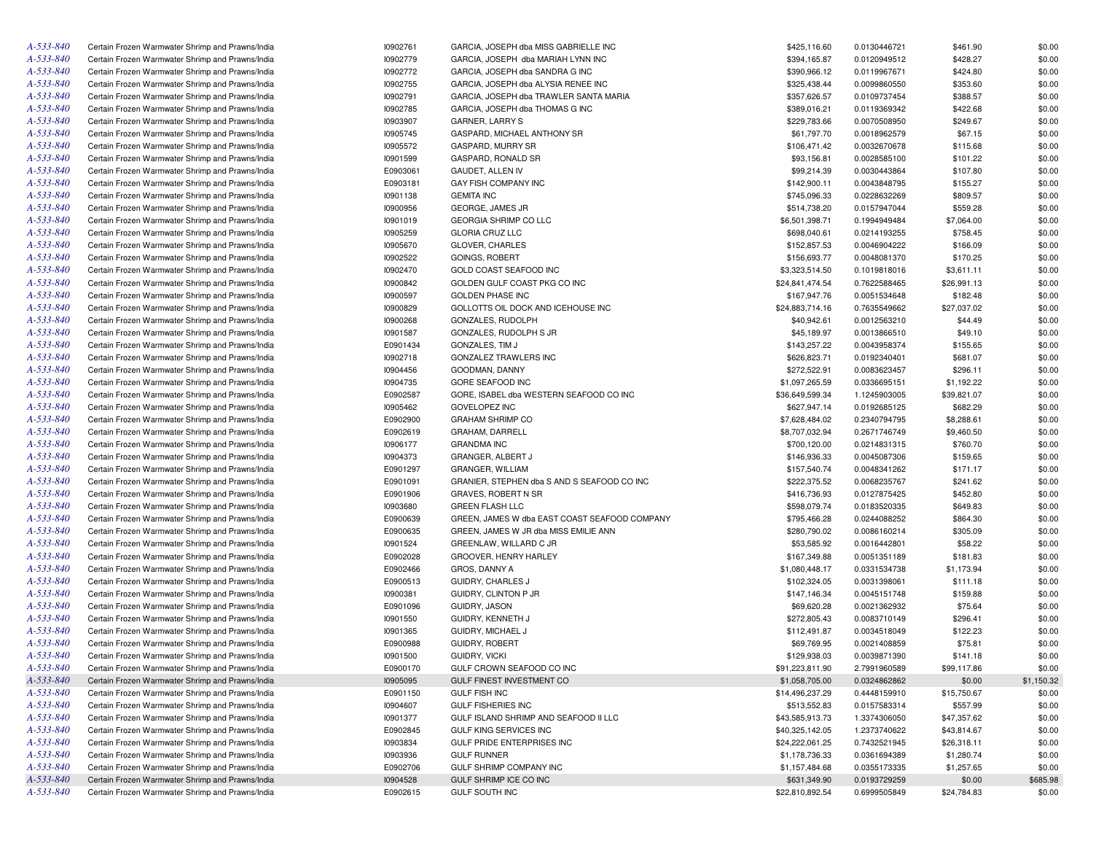| A-533-840 | Certain Frozen Warmwater Shrimp and Prawns/India | 10902761        | GARCIA, JOSEPH dba MISS GABRIELLE INC         | \$425,116.60    | 0.0130446721 | \$461.90    | \$0.00     |
|-----------|--------------------------------------------------|-----------------|-----------------------------------------------|-----------------|--------------|-------------|------------|
| A-533-840 | Certain Frozen Warmwater Shrimp and Prawns/India | 10902779        | GARCIA, JOSEPH dba MARIAH LYNN INC            | \$394,165.87    | 0.0120949512 | \$428.27    | \$0.00     |
| A-533-840 | Certain Frozen Warmwater Shrimp and Prawns/India | 10902772        | GARCIA, JOSEPH dba SANDRA G INC               | \$390,966.12    | 0.0119967671 | \$424.80    | \$0.00     |
| A-533-840 | Certain Frozen Warmwater Shrimp and Prawns/India | 10902755        | GARCIA, JOSEPH dba ALYSIA RENEE INC           | \$325,438.44    | 0.0099860550 | \$353.60    | \$0.00     |
| A-533-840 | Certain Frozen Warmwater Shrimp and Prawns/India | 10902791        | GARCIA, JOSEPH dba TRAWLER SANTA MARIA        | \$357,626.57    | 0.0109737454 | \$388.57    | \$0.00     |
| A-533-840 | Certain Frozen Warmwater Shrimp and Prawns/India | 10902785        | GARCIA, JOSEPH dba THOMAS G INC               | \$389,016.21    | 0.0119369342 | \$422.68    | \$0.00     |
| A-533-840 | Certain Frozen Warmwater Shrimp and Prawns/India | 10903907        | GARNER, LARRY S                               | \$229,783.66    | 0.0070508950 | \$249.67    | \$0.00     |
| A-533-840 | Certain Frozen Warmwater Shrimp and Prawns/India | 10905745        | GASPARD, MICHAEL ANTHONY SR                   | \$61,797.70     | 0.0018962579 | \$67.15     | \$0.00     |
| A-533-840 | Certain Frozen Warmwater Shrimp and Prawns/India | 10905572        | GASPARD, MURRY SR                             | \$106,471.42    | 0.0032670678 | \$115.68    | \$0.00     |
| A-533-840 | Certain Frozen Warmwater Shrimp and Prawns/India | 10901599        | GASPARD, RONALD SR                            | \$93,156.81     | 0.0028585100 | \$101.22    | \$0.00     |
| A-533-840 | Certain Frozen Warmwater Shrimp and Prawns/India | E0903061        | GAUDET, ALLEN IV                              | \$99,214.39     | 0.0030443864 | \$107.80    | \$0.00     |
| A-533-840 | Certain Frozen Warmwater Shrimp and Prawns/India | E0903181        | GAY FISH COMPANY INC                          | \$142,900.11    | 0.0043848795 | \$155.27    | \$0.00     |
| A-533-840 | Certain Frozen Warmwater Shrimp and Prawns/India | 10901138        | <b>GEMITA INC</b>                             | \$745,096.33    | 0.0228632269 | \$809.57    | \$0.00     |
| A-533-840 | Certain Frozen Warmwater Shrimp and Prawns/India | 10900956        | GEORGE, JAMES JR                              | \$514,738.20    | 0.0157947044 | \$559.28    | \$0.00     |
| A-533-840 | Certain Frozen Warmwater Shrimp and Prawns/India | 10901019        | <b>GEORGIA SHRIMP CO LLC</b>                  | \$6,501,398.71  | 0.1994949484 | \$7,064.00  | \$0.00     |
| A-533-840 | Certain Frozen Warmwater Shrimp and Prawns/India | 10905259        | <b>GLORIA CRUZ LLC</b>                        | \$698,040.61    | 0.0214193255 | \$758.45    | \$0.00     |
| A-533-840 | Certain Frozen Warmwater Shrimp and Prawns/India | 10905670        | GLOVER, CHARLES                               | \$152,857.53    | 0.0046904222 | \$166.09    | \$0.00     |
| A-533-840 | Certain Frozen Warmwater Shrimp and Prawns/India | 10902522        | GOINGS, ROBERT                                | \$156,693.77    | 0.0048081370 | \$170.25    | \$0.00     |
| A-533-840 | Certain Frozen Warmwater Shrimp and Prawns/India | 10902470        | GOLD COAST SEAFOOD INC                        | \$3,323,514.50  | 0.1019818016 | \$3,611.11  | \$0.00     |
| A-533-840 | Certain Frozen Warmwater Shrimp and Prawns/India | 10900842        | GOLDEN GULF COAST PKG CO INC                  | \$24,841,474.54 | 0.7622588465 | \$26,991.13 | \$0.00     |
| A-533-840 | Certain Frozen Warmwater Shrimp and Prawns/India | 10900597        | <b>GOLDEN PHASE INC</b>                       | \$167,947.76    | 0.0051534648 | \$182.48    | \$0.00     |
| A-533-840 | Certain Frozen Warmwater Shrimp and Prawns/India | 10900829        | GOLLOTTS OIL DOCK AND ICEHOUSE INC            | \$24,883,714.16 | 0.7635549662 | \$27,037.02 | \$0.00     |
| A-533-840 | Certain Frozen Warmwater Shrimp and Prawns/India | 10900268        | GONZALES, RUDOLPH                             | \$40,942.61     | 0.0012563210 | \$44.49     | \$0.00     |
| A-533-840 | Certain Frozen Warmwater Shrimp and Prawns/India | 10901587        | GONZALES, RUDOLPH S JR                        | \$45,189.97     | 0.0013866510 | \$49.10     | \$0.00     |
| A-533-840 | Certain Frozen Warmwater Shrimp and Prawns/India | E0901434        | GONZALES, TIM J                               | \$143,257.22    | 0.0043958374 | \$155.65    | \$0.00     |
| A-533-840 | Certain Frozen Warmwater Shrimp and Prawns/India | 10902718        | GONZALEZ TRAWLERS INC                         | \$626,823.71    | 0.0192340401 | \$681.07    | \$0.00     |
| A-533-840 | Certain Frozen Warmwater Shrimp and Prawns/India | 10904456        | GOODMAN, DANNY                                | \$272,522.91    | 0.0083623457 | \$296.11    | \$0.00     |
| A-533-840 | Certain Frozen Warmwater Shrimp and Prawns/India | 10904735        | <b>GORE SEAFOOD INC</b>                       | \$1,097,265.59  | 0.0336695151 | \$1,192.22  | \$0.00     |
| A-533-840 | Certain Frozen Warmwater Shrimp and Prawns/India | E0902587        | GORE, ISABEL dba WESTERN SEAFOOD CO INC       | \$36,649,599.34 | 1.1245903005 | \$39,821.07 | \$0.00     |
| A-533-840 | Certain Frozen Warmwater Shrimp and Prawns/India | 10905462        | <b>GOVELOPEZ INC</b>                          | \$627,947.14    | 0.0192685125 | \$682.29    | \$0.00     |
| A-533-840 | Certain Frozen Warmwater Shrimp and Prawns/India | E0902900        | <b>GRAHAM SHRIMP CO</b>                       | \$7,628,484.02  | 0.2340794795 | \$8,288.61  | \$0.00     |
| A-533-840 | Certain Frozen Warmwater Shrimp and Prawns/India | E0902619        | GRAHAM, DARRELL                               | \$8,707,032.94  | 0.2671746749 | \$9,460.50  | \$0.00     |
| A-533-840 | Certain Frozen Warmwater Shrimp and Prawns/India | 10906177        | <b>GRANDMA INC</b>                            | \$700,120.00    | 0.0214831315 | \$760.70    | \$0.00     |
| A-533-840 | Certain Frozen Warmwater Shrimp and Prawns/India | 10904373        | GRANGER, ALBERT J                             | \$146,936.33    | 0.0045087306 | \$159.65    | \$0.00     |
| A-533-840 | Certain Frozen Warmwater Shrimp and Prawns/India | E0901297        | GRANGER, WILLIAM                              | \$157,540.74    | 0.0048341262 | \$171.17    | \$0.00     |
| A-533-840 | Certain Frozen Warmwater Shrimp and Prawns/India | E0901091        | GRANIER, STEPHEN dba S AND S SEAFOOD CO INC   | \$222,375.52    | 0.0068235767 | \$241.62    | \$0.00     |
| A-533-840 | Certain Frozen Warmwater Shrimp and Prawns/India | E0901906        | <b>GRAVES, ROBERT N SR</b>                    | \$416,736.93    | 0.0127875425 | \$452.80    | \$0.00     |
| A-533-840 | Certain Frozen Warmwater Shrimp and Prawns/India | 10903680        | <b>GREEN FLASH LLC</b>                        | \$598,079.74    | 0.0183520335 | \$649.83    | \$0.00     |
| A-533-840 | Certain Frozen Warmwater Shrimp and Prawns/India | E0900639        | GREEN, JAMES W dba EAST COAST SEAFOOD COMPANY | \$795,466.28    | 0.0244088252 | \$864.30    | \$0.00     |
| A-533-840 | Certain Frozen Warmwater Shrimp and Prawns/India | E0900635        | GREEN, JAMES W JR dba MISS EMILIE ANN         | \$280,790.02    | 0.0086160214 | \$305.09    | \$0.00     |
| A-533-840 | Certain Frozen Warmwater Shrimp and Prawns/India | 10901524        | GREENLAW, WILLARD C JR                        | \$53,585.92     | 0.0016442801 | \$58.22     | \$0.00     |
| A-533-840 | Certain Frozen Warmwater Shrimp and Prawns/India | E0902028        | GROOVER, HENRY HARLEY                         | \$167,349.88    | 0.0051351189 | \$181.83    | \$0.00     |
| A-533-840 | Certain Frozen Warmwater Shrimp and Prawns/India | E0902466        | GROS, DANNY A                                 | \$1,080,448.17  | 0.0331534738 | \$1,173.94  | \$0.00     |
| A-533-840 | Certain Frozen Warmwater Shrimp and Prawns/India | E0900513        | GUIDRY, CHARLES J                             | \$102,324.05    | 0.0031398061 | \$111.18    | \$0.00     |
| A-533-840 | Certain Frozen Warmwater Shrimp and Prawns/India | 10900381        | GUIDRY, CLINTON P JR                          | \$147,146.34    | 0.0045151748 | \$159.88    | \$0.00     |
| A-533-840 | Certain Frozen Warmwater Shrimp and Prawns/India | E0901096        | GUIDRY, JASON                                 | \$69,620.28     | 0.0021362932 | \$75.64     | \$0.00     |
| A-533-840 | Certain Frozen Warmwater Shrimp and Prawns/India | <b>I0901550</b> | GUIDRY, KENNETH J                             | \$272,805.43    | 0.0083710149 | \$296.41    | \$0.00     |
| A-533-840 | Certain Frozen Warmwater Shrimp and Prawns/India | 10901365        | GUIDRY, MICHAEL J                             | \$112,491.87    | 0.0034518049 | \$122.23    | \$0.00     |
| A-533-840 | Certain Frozen Warmwater Shrimp and Prawns/India | E0900988        | <b>GUIDRY, ROBERT</b>                         | \$69,769.95     | 0.0021408859 | \$75.81     | \$0.00     |
| A-533-840 | Certain Frozen Warmwater Shrimp and Prawns/India | 10901500        | <b>GUIDRY, VICKI</b>                          | \$129,938.03    | 0.0039871390 | \$141.18    | \$0.00     |
| A-533-840 | Certain Frozen Warmwater Shrimp and Prawns/India | E0900170        | GULF CROWN SEAFOOD CO INC                     | \$91,223,811.90 | 2.7991960589 | \$99,117.86 | \$0.00     |
| A-533-840 | Certain Frozen Warmwater Shrimp and Prawns/India | 10905095        | GULF FINEST INVESTMENT CO                     | \$1,058,705.00  | 0.0324862862 | \$0.00      | \$1,150.32 |
| A-533-840 | Certain Frozen Warmwater Shrimp and Prawns/India | E0901150        | <b>GULF FISH INC</b>                          | \$14,496,237.29 | 0.4448159910 | \$15,750.67 | \$0.00     |
| A-533-840 | Certain Frozen Warmwater Shrimp and Prawns/India | 10904607        | <b>GULF FISHERIES INC</b>                     | \$513,552.83    | 0.0157583314 | \$557.99    | \$0.00     |
| A-533-840 | Certain Frozen Warmwater Shrimp and Prawns/India | 10901377        | GULF ISLAND SHRIMP AND SEAFOOD II LLC         | \$43,585,913.73 | 1.3374306050 | \$47,357.62 | \$0.00     |
| A-533-840 | Certain Frozen Warmwater Shrimp and Prawns/India | E0902845        | GULF KING SERVICES INC                        | \$40,325,142.05 | 1.2373740622 | \$43,814.67 | \$0.00     |
| A-533-840 | Certain Frozen Warmwater Shrimp and Prawns/India | 10903834        | GULF PRIDE ENTERPRISES INC                    | \$24,222,061.25 | 0.7432521945 | \$26,318.11 | \$0.00     |
| A-533-840 | Certain Frozen Warmwater Shrimp and Prawns/India | 10903936        | <b>GULF RUNNER</b>                            | \$1,178,736.33  | 0.0361694389 | \$1,280.74  | \$0.00     |
| A-533-840 | Certain Frozen Warmwater Shrimp and Prawns/India | E0902706        | GULF SHRIMP COMPANY INC                       | \$1,157,484.68  | 0.0355173335 | \$1,257.65  | \$0.00     |
| A-533-840 | Certain Frozen Warmwater Shrimp and Prawns/India | 10904528        | GULF SHRIMP ICE CO INC                        | \$631,349.90    | 0.0193729259 | \$0.00      | \$685.98   |
| A-533-840 | Certain Frozen Warmwater Shrimp and Prawns/India | E0902615        | GULF SOUTH INC                                | \$22,810,892.54 | 0.6999505849 | \$24,784.83 | \$0.00     |
|           |                                                  |                 |                                               |                 |              |             |            |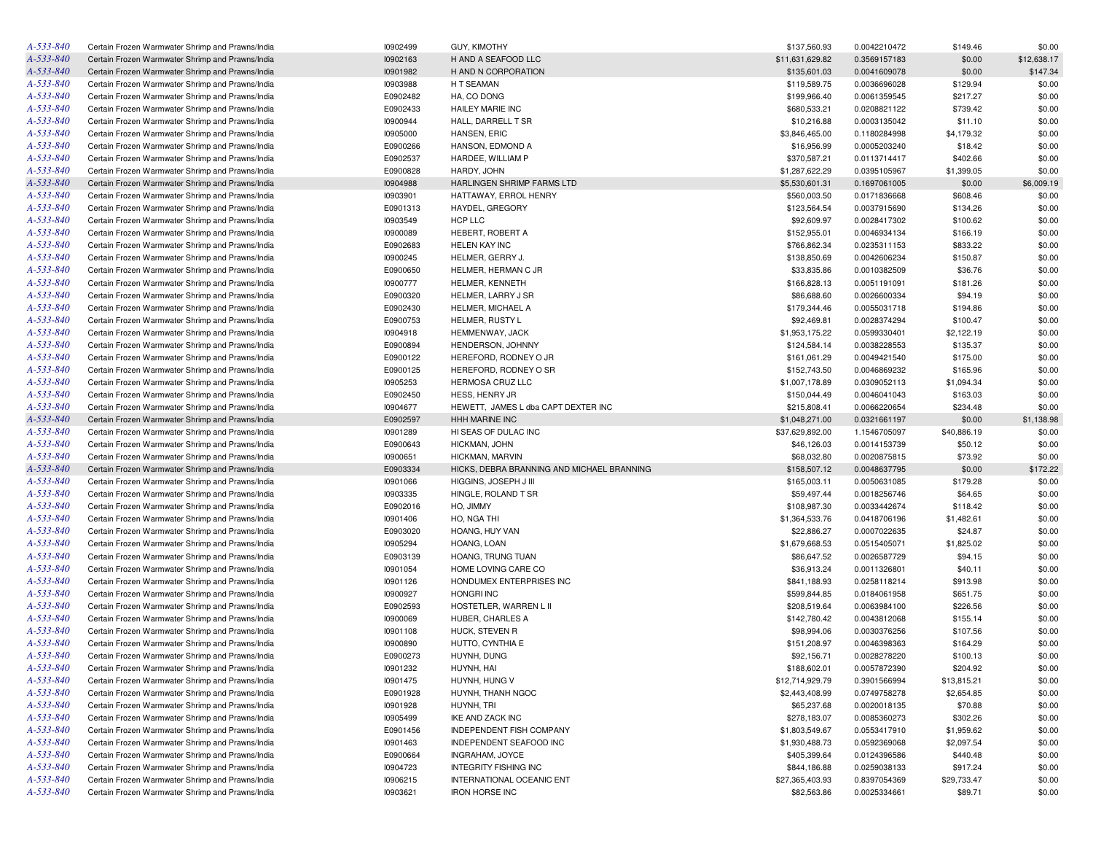| A-533-840              | Certain Frozen Warmwater Shrimp and Prawns/India                                                     | 10902499             | <b>GUY, KIMOTHY</b>                                          | \$137,560.93                      | 0.0042210472 | \$149.46    | \$0.00      |
|------------------------|------------------------------------------------------------------------------------------------------|----------------------|--------------------------------------------------------------|-----------------------------------|--------------|-------------|-------------|
| A-533-840              | Certain Frozen Warmwater Shrimp and Prawns/India                                                     | 10902163             | H AND A SEAFOOD LLC                                          | \$11,631,629.82                   | 0.3569157183 | \$0.00      | \$12,638.17 |
| A-533-840              | Certain Frozen Warmwater Shrimp and Prawns/India                                                     | 10901982             | H AND N CORPORATION                                          | \$135,601.03                      | 0.0041609078 | \$0.00      | \$147.34    |
| A-533-840              | Certain Frozen Warmwater Shrimp and Prawns/India                                                     | 10903988             | H T SEAMAN                                                   | \$119,589.75                      | 0.0036696028 | \$129.94    | \$0.00      |
| A-533-840              | Certain Frozen Warmwater Shrimp and Prawns/India                                                     | E0902482             | HA, CO DONG                                                  | \$199,966.40                      | 0.0061359545 | \$217.27    | \$0.00      |
| A-533-840              | Certain Frozen Warmwater Shrimp and Prawns/India                                                     | E0902433             | HAILEY MARIE INC                                             | \$680,533.21                      | 0.0208821122 | \$739.42    | \$0.00      |
| A-533-840              | Certain Frozen Warmwater Shrimp and Prawns/India                                                     | 10900944             | HALL, DARRELL T SR                                           | \$10,216.88                       | 0.0003135042 | \$11.10     | \$0.00      |
| A-533-840              | Certain Frozen Warmwater Shrimp and Prawns/India                                                     | 10905000             | HANSEN, ERIC                                                 | \$3,846,465.00                    | 0.1180284998 | \$4,179.32  | \$0.00      |
| A-533-840              | Certain Frozen Warmwater Shrimp and Prawns/India                                                     | E0900266             | HANSON, EDMOND A                                             | \$16,956.99                       | 0.0005203240 | \$18.42     | \$0.00      |
| A-533-840              | Certain Frozen Warmwater Shrimp and Prawns/India                                                     | E0902537             | HARDEE, WILLIAM P                                            | \$370,587.21                      | 0.0113714417 | \$402.66    | \$0.00      |
| A-533-840              | Certain Frozen Warmwater Shrimp and Prawns/India                                                     | E0900828             | HARDY, JOHN                                                  | \$1,287,622.29                    | 0.0395105967 | \$1,399.05  | \$0.00      |
| A-533-840              | Certain Frozen Warmwater Shrimp and Prawns/India                                                     | 10904988             | HARLINGEN SHRIMP FARMS LTD                                   | \$5,530,601.31                    | 0.1697061005 | \$0.00      | \$6,009.19  |
| A-533-840              | Certain Frozen Warmwater Shrimp and Prawns/India                                                     | 10903901             | HATTAWAY, ERROL HENRY                                        | \$560,003.50                      | 0.0171836668 | \$608.46    | \$0.00      |
| A-533-840              | Certain Frozen Warmwater Shrimp and Prawns/India                                                     | E0901313             | HAYDEL, GREGORY                                              | \$123,564.54                      | 0.0037915690 | \$134.26    | \$0.00      |
| A-533-840              | Certain Frozen Warmwater Shrimp and Prawns/India                                                     | 10903549             | HCP LLC                                                      | \$92,609.97                       | 0.0028417302 | \$100.62    | \$0.00      |
| A-533-840              | Certain Frozen Warmwater Shrimp and Prawns/India                                                     | 10900089             | HEBERT, ROBERT A                                             | \$152,955.01                      | 0.0046934134 | \$166.19    | \$0.00      |
| A-533-840              | Certain Frozen Warmwater Shrimp and Prawns/India                                                     | E0902683             | HELEN KAY INC                                                | \$766,862.34                      | 0.0235311153 | \$833.22    | \$0.00      |
| A-533-840              | Certain Frozen Warmwater Shrimp and Prawns/India                                                     | 10900245             | HELMER, GERRY J                                              | \$138,850.69                      | 0.0042606234 | \$150.87    | \$0.00      |
| A-533-840              | Certain Frozen Warmwater Shrimp and Prawns/India                                                     | E0900650             | HELMER, HERMAN C JR                                          | \$33,835.86                       | 0.0010382509 | \$36.76     | \$0.00      |
| A-533-840              | Certain Frozen Warmwater Shrimp and Prawns/India                                                     | 10900777             | <b>HELMER, KENNETH</b>                                       | \$166,828.13                      | 0.0051191091 | \$181.26    | \$0.00      |
| A-533-840              | Certain Frozen Warmwater Shrimp and Prawns/India                                                     | E0900320             | HELMER, LARRY J SR                                           | \$86,688.60                       | 0.0026600334 | \$94.19     | \$0.00      |
| A-533-840              | Certain Frozen Warmwater Shrimp and Prawns/India                                                     | E0902430             | HELMER, MICHAEL A                                            | \$179,344.46                      | 0.0055031718 | \$194.86    | \$0.00      |
| A-533-840              | Certain Frozen Warmwater Shrimp and Prawns/India                                                     | E0900753             | HELMER, RUSTY L                                              | \$92,469.81                       | 0.0028374294 | \$100.47    | \$0.00      |
| A-533-840              | Certain Frozen Warmwater Shrimp and Prawns/India                                                     | 10904918             | HEMMENWAY, JACK                                              | \$1,953,175.22                    | 0.0599330401 | \$2,122.19  | \$0.00      |
| A-533-840              | Certain Frozen Warmwater Shrimp and Prawns/India                                                     | E0900894             | HENDERSON, JOHNNY                                            | \$124,584.14                      | 0.0038228553 | \$135.37    | \$0.00      |
| A-533-840              | Certain Frozen Warmwater Shrimp and Prawns/India                                                     | E0900122             | HEREFORD, RODNEY O JR                                        | \$161,061.29                      | 0.0049421540 | \$175.00    | \$0.00      |
| A-533-840              | Certain Frozen Warmwater Shrimp and Prawns/India                                                     | E0900125             | HEREFORD, RODNEY O SR                                        | \$152,743.50                      | 0.0046869232 | \$165.96    | \$0.00      |
| A-533-840              | Certain Frozen Warmwater Shrimp and Prawns/India                                                     | 10905253             | <b>HERMOSA CRUZ LLC</b>                                      | \$1,007,178.89                    | 0.0309052113 | \$1,094.34  | \$0.00      |
| A-533-840              |                                                                                                      | E0902450             |                                                              | \$150,044.49                      |              |             | \$0.00      |
| A-533-840              | Certain Frozen Warmwater Shrimp and Prawns/India                                                     | 10904677             | HESS, HENRY JR                                               |                                   | 0.0046041043 | \$163.03    | \$0.00      |
| A-533-840              | Certain Frozen Warmwater Shrimp and Prawns/India                                                     | E0902597             | HEWETT, JAMES L dba CAPT DEXTER INC<br><b>HHH MARINE INC</b> | \$215,808.41                      | 0.0066220654 | \$234.48    | \$1,138.98  |
| A-533-840              | Certain Frozen Warmwater Shrimp and Prawns/India                                                     | 10901289             | HI SEAS OF DULAC INC                                         | \$1,048,271.00<br>\$37,629,892.00 | 0.0321661197 | \$0.00      | \$0.00      |
| A-533-840              | Certain Frozen Warmwater Shrimp and Prawns/India                                                     | E0900643             |                                                              |                                   | 1.1546705097 | \$40,886.19 | \$0.00      |
| A-533-840              | Certain Frozen Warmwater Shrimp and Prawns/India                                                     |                      | HICKMAN, JOHN                                                | \$46,126.03                       | 0.0014153739 | \$50.12     |             |
| A-533-840              | Certain Frozen Warmwater Shrimp and Prawns/India                                                     | 10900651             | HICKMAN, MARVIN                                              | \$68,032.80                       | 0.0020875815 | \$73.92     | \$0.00      |
| A-533-840              | Certain Frozen Warmwater Shrimp and Prawns/India                                                     | E0903334             | HICKS, DEBRA BRANNING AND MICHAEL BRANNING                   | \$158,507.12                      | 0.0048637795 | \$0.00      | \$172.22    |
|                        | Certain Frozen Warmwater Shrimp and Prawns/India                                                     | 10901066             | HIGGINS, JOSEPH J III                                        | \$165,003.11                      | 0.0050631085 | \$179.28    | \$0.00      |
| A-533-840              | Certain Frozen Warmwater Shrimp and Prawns/India                                                     | 10903335             | HINGLE, ROLAND T SR                                          | \$59,497.44                       | 0.0018256746 | \$64.65     | \$0.00      |
| A-533-840              | Certain Frozen Warmwater Shrimp and Prawns/India                                                     | E0902016             | HO, JIMMY                                                    | \$108,987.30                      | 0.0033442674 | \$118.42    | \$0.00      |
| A-533-840              | Certain Frozen Warmwater Shrimp and Prawns/India                                                     | 10901406             | HO, NGA THI                                                  | \$1,364,533.76                    | 0.0418706196 | \$1,482.61  | \$0.00      |
| A-533-840              | Certain Frozen Warmwater Shrimp and Prawns/India                                                     | E0903020             | HOANG, HUY VAN                                               | \$22,886.27                       | 0.0007022635 | \$24.87     | \$0.00      |
| A-533-840              | Certain Frozen Warmwater Shrimp and Prawns/India                                                     | 10905294             | HOANG, LOAN                                                  | \$1,679,668.53                    | 0.0515405071 | \$1,825.02  | \$0.00      |
| A-533-840              | Certain Frozen Warmwater Shrimp and Prawns/India                                                     | E0903139             | HOANG, TRUNG TUAN                                            | \$86,647.52                       | 0.0026587729 | \$94.15     | \$0.00      |
| A-533-840              | Certain Frozen Warmwater Shrimp and Prawns/India                                                     | 10901054             | HOME LOVING CARE CO                                          | \$36,913.24                       | 0.0011326801 | \$40.11     | \$0.00      |
| A-533-840              | Certain Frozen Warmwater Shrimp and Prawns/India                                                     | 10901126             | HONDUMEX ENTERPRISES INC                                     | \$841,188.93                      | 0.0258118214 | \$913.98    | \$0.00      |
| A-533-840              | Certain Frozen Warmwater Shrimp and Prawns/India                                                     | 10900927             | <b>HONGRI INC</b>                                            | \$599,844.85                      | 0.0184061958 | \$651.75    | \$0.00      |
| A-533-840              | Certain Frozen Warmwater Shrimp and Prawns/India                                                     | E0902593             | HOSTETLER, WARREN L II                                       | \$208,519.64                      | 0.0063984100 | \$226.56    | \$0.00      |
| A-533-840              | Certain Frozen Warmwater Shrimp and Prawns/India                                                     | 10900069             | HUBER, CHARLES A                                             | \$142,780.42                      | 0.0043812068 | \$155.14    | \$0.00      |
| A-533-840              | Certain Frozen Warmwater Shrimp and Prawns/India                                                     | 10901108             | HUCK, STEVEN R                                               | \$98,994.06                       | 0.0030376256 | \$107.56    | \$0.00      |
| A-533-840              | Certain Frozen Warmwater Shrimp and Prawns/India                                                     | 10900890             | HUTTO, CYNTHIA E                                             | \$151,208.97                      | 0.0046398363 | \$164.29    | \$0.00      |
| A-533-840              | Certain Frozen Warmwater Shrimp and Prawns/India                                                     | E0900273             | HUYNH, DUNG                                                  | \$92,156.71                       | 0.0028278220 | \$100.13    | \$0.00      |
| A-533-840              | Certain Frozen Warmwater Shrimp and Prawns/India                                                     | 10901232             | HUYNH, HAI                                                   | \$188,602.01                      | 0.0057872390 | \$204.92    | \$0.00      |
| A-533-840              | Certain Frozen Warmwater Shrimp and Prawns/India                                                     | 10901475             | HUYNH, HUNG V                                                | \$12,714,929.79                   | 0.3901566994 | \$13,815.21 | \$0.00      |
| A-533-840              | Certain Frozen Warmwater Shrimp and Prawns/India                                                     | E0901928             | HUYNH, THANH NGOC                                            | \$2,443,408.99                    | 0.0749758278 | \$2,654.85  | \$0.00      |
| A-533-840              | Certain Frozen Warmwater Shrimp and Prawns/India                                                     | 10901928             | HUYNH, TRI                                                   | \$65,237.68                       | 0.0020018135 | \$70.88     | \$0.00      |
| A-533-840              | Certain Frozen Warmwater Shrimp and Prawns/India                                                     | 10905499             | IKE AND ZACK INC                                             | \$278,183.07                      | 0.0085360273 | \$302.26    | \$0.00      |
| A-533-840              | Certain Frozen Warmwater Shrimp and Prawns/India                                                     | E0901456             | INDEPENDENT FISH COMPANY                                     | \$1,803,549.67                    | 0.0553417910 | \$1,959.62  | \$0.00      |
| A-533-840              | Certain Frozen Warmwater Shrimp and Prawns/India                                                     | 10901463             | INDEPENDENT SEAFOOD INC                                      | \$1,930,488.73                    | 0.0592369068 | \$2,097.54  | \$0.00      |
| A-533-840              | Certain Frozen Warmwater Shrimp and Prawns/India                                                     | E0900664             | INGRAHAM, JOYCE                                              | \$405,399.64                      | 0.0124396586 | \$440.48    | \$0.00      |
|                        |                                                                                                      |                      |                                                              |                                   |              |             |             |
| A-533-840              | Certain Frozen Warmwater Shrimp and Prawns/India                                                     | 10904723             | <b>INTEGRITY FISHING INC</b>                                 | \$844,186.88                      | 0.0259038133 | \$917.24    | \$0.00      |
| A-533-840<br>A-533-840 | Certain Frozen Warmwater Shrimp and Prawns/India<br>Certain Frozen Warmwater Shrimp and Prawns/India | 10906215<br>10903621 | INTERNATIONAL OCEANIC ENT<br><b>IRON HORSE INC</b>           | \$27,365,403.93                   | 0.8397054369 | \$29,733.47 | \$0.00      |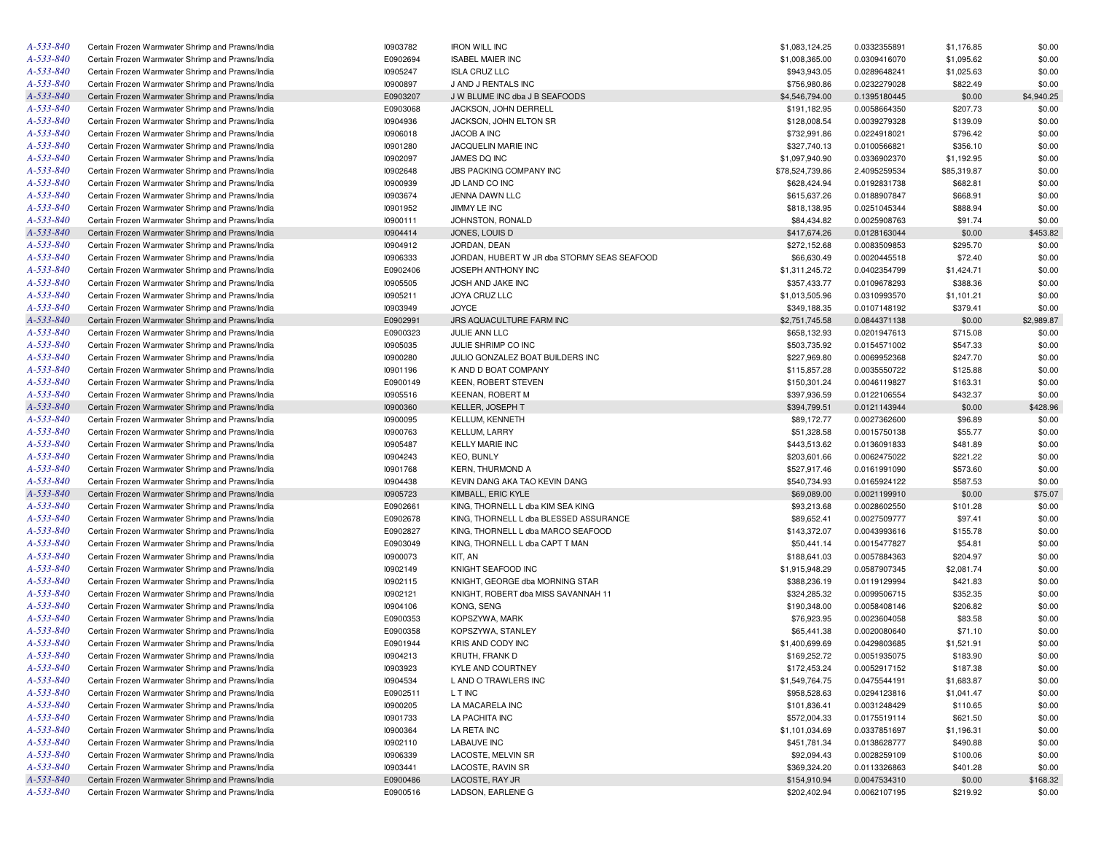| A-533-840 | Certain Frozen Warmwater Shrimp and Prawns/India | 10903782 | <b>IRON WILL INC</b>                        | \$1,083,124.25  | 0.0332355891 | \$1,176.85  | \$0.00     |
|-----------|--------------------------------------------------|----------|---------------------------------------------|-----------------|--------------|-------------|------------|
| A-533-840 | Certain Frozen Warmwater Shrimp and Prawns/India | E0902694 | <b>ISABEL MAIER INC</b>                     | \$1,008,365.00  | 0.0309416070 | \$1,095.62  | \$0.00     |
| A-533-840 | Certain Frozen Warmwater Shrimp and Prawns/India | 10905247 | <b>ISLA CRUZ LLC</b>                        | \$943,943.05    | 0.0289648241 | \$1,025.63  | \$0.00     |
| A-533-840 | Certain Frozen Warmwater Shrimp and Prawns/India | 10900897 | J AND J RENTALS INC                         | \$756,980.86    | 0.0232279028 | \$822.49    | \$0.00     |
| A-533-840 | Certain Frozen Warmwater Shrimp and Prawns/India | E0903207 | J W BLUME INC dba J B SEAFOODS              | \$4,546,794.00  | 0.1395180445 | \$0.00      | \$4,940.25 |
| A-533-840 | Certain Frozen Warmwater Shrimp and Prawns/India | E0903068 | JACKSON, JOHN DERRELL                       | \$191,182.95    | 0.0058664350 | \$207.73    | \$0.00     |
| A-533-840 | Certain Frozen Warmwater Shrimp and Prawns/India | 10904936 | JACKSON, JOHN ELTON SR                      | \$128,008.54    | 0.0039279328 | \$139.09    | \$0.00     |
| A-533-840 | Certain Frozen Warmwater Shrimp and Prawns/India | 10906018 | JACOB A INC                                 | \$732,991.86    | 0.0224918021 | \$796.42    | \$0.00     |
| A-533-840 | Certain Frozen Warmwater Shrimp and Prawns/India | 10901280 | JACQUELIN MARIE INC                         | \$327,740.13    | 0.0100566821 | \$356.10    | \$0.00     |
| A-533-840 | Certain Frozen Warmwater Shrimp and Prawns/India | 10902097 | JAMES DQ INC                                | \$1,097,940.90  | 0.0336902370 | \$1,192.95  | \$0.00     |
| A-533-840 | Certain Frozen Warmwater Shrimp and Prawns/India | 10902648 | JBS PACKING COMPANY INC                     | \$78,524,739.86 | 2.4095259534 | \$85,319.87 | \$0.00     |
| A-533-840 | Certain Frozen Warmwater Shrimp and Prawns/India | 10900939 | JD LAND CO INC                              | \$628,424.94    | 0.0192831738 | \$682.81    | \$0.00     |
| A-533-840 | Certain Frozen Warmwater Shrimp and Prawns/India | 10903674 | JENNA DAWN LLC                              | \$615,637.26    | 0.0188907847 | \$668.91    | \$0.00     |
| A-533-840 | Certain Frozen Warmwater Shrimp and Prawns/India | 10901952 | JIMMY LE INC                                | \$818,138.95    | 0.0251045344 | \$888.94    | \$0.00     |
| A-533-840 | Certain Frozen Warmwater Shrimp and Prawns/India | 10900111 | JOHNSTON, RONALD                            | \$84,434.82     | 0.0025908763 | \$91.74     | \$0.00     |
| A-533-840 |                                                  | 10904414 |                                             | \$417,674.26    |              | \$0.00      | \$453.82   |
| A-533-840 | Certain Frozen Warmwater Shrimp and Prawns/India |          | JONES, LOUIS D                              |                 | 0.0128163044 |             |            |
|           | Certain Frozen Warmwater Shrimp and Prawns/India | 10904912 | JORDAN, DEAN                                | \$272,152.68    | 0.0083509853 | \$295.70    | \$0.00     |
| A-533-840 | Certain Frozen Warmwater Shrimp and Prawns/India | 10906333 | JORDAN, HUBERT W JR dba STORMY SEAS SEAFOOD | \$66,630.49     | 0.0020445518 | \$72.40     | \$0.00     |
| A-533-840 | Certain Frozen Warmwater Shrimp and Prawns/India | E0902406 | JOSEPH ANTHONY INC                          | \$1,311,245.72  | 0.0402354799 | \$1,424.71  | \$0.00     |
| A-533-840 | Certain Frozen Warmwater Shrimp and Prawns/India | 10905505 | JOSH AND JAKE INC                           | \$357,433.77    | 0.0109678293 | \$388.36    | \$0.00     |
| A-533-840 | Certain Frozen Warmwater Shrimp and Prawns/India | 10905211 | JOYA CRUZ LLC                               | \$1,013,505.96  | 0.0310993570 | \$1,101.21  | \$0.00     |
| A-533-840 | Certain Frozen Warmwater Shrimp and Prawns/India | 10903949 | <b>JOYCE</b>                                | \$349,188.35    | 0.0107148192 | \$379.41    | \$0.00     |
| A-533-840 | Certain Frozen Warmwater Shrimp and Prawns/India | E0902991 | JRS AQUACULTURE FARM INC                    | \$2,751,745.58  | 0.0844371138 | \$0.00      | \$2,989.87 |
| A-533-840 | Certain Frozen Warmwater Shrimp and Prawns/India | E0900323 | JULIE ANN LLC                               | \$658,132.93    | 0.0201947613 | \$715.08    | \$0.00     |
| A-533-840 | Certain Frozen Warmwater Shrimp and Prawns/India | 10905035 | JULIE SHRIMP CO INC                         | \$503,735.92    | 0.0154571002 | \$547.33    | \$0.00     |
| A-533-840 | Certain Frozen Warmwater Shrimp and Prawns/India | 10900280 | JULIO GONZALEZ BOAT BUILDERS INC            | \$227,969.80    | 0.0069952368 | \$247.70    | \$0.00     |
| A-533-840 | Certain Frozen Warmwater Shrimp and Prawns/India | 10901196 | K AND D BOAT COMPANY                        | \$115,857.28    | 0.0035550722 | \$125.88    | \$0.00     |
| A-533-840 | Certain Frozen Warmwater Shrimp and Prawns/India | E0900149 | <b>KEEN, ROBERT STEVEN</b>                  | \$150,301.24    | 0.0046119827 | \$163.31    | \$0.00     |
| A-533-840 | Certain Frozen Warmwater Shrimp and Prawns/India | 10905516 | <b>KEENAN, ROBERT M</b>                     | \$397,936.59    | 0.0122106554 | \$432.37    | \$0.00     |
| A-533-840 | Certain Frozen Warmwater Shrimp and Prawns/India | 10900360 | KELLER, JOSEPH T                            | \$394,799.51    | 0.0121143944 | \$0.00      | \$428.96   |
| A-533-840 | Certain Frozen Warmwater Shrimp and Prawns/India | 10900095 | KELLUM, KENNETH                             | \$89,172.77     | 0.0027362600 | \$96.89     | \$0.00     |
| A-533-840 | Certain Frozen Warmwater Shrimp and Prawns/India | 10900763 | KELLUM, LARRY                               | \$51,328.58     | 0.0015750138 | \$55.77     | \$0.00     |
| A-533-840 | Certain Frozen Warmwater Shrimp and Prawns/India | 10905487 | KELLY MARIE INC                             | \$443,513.62    | 0.0136091833 | \$481.89    | \$0.00     |
| A-533-840 | Certain Frozen Warmwater Shrimp and Prawns/India | 10904243 | <b>KEO, BUNLY</b>                           | \$203,601.66    | 0.0062475022 | \$221.22    | \$0.00     |
| A-533-840 | Certain Frozen Warmwater Shrimp and Prawns/India | 10901768 | <b>KERN, THURMOND A</b>                     | \$527,917.46    | 0.0161991090 | \$573.60    | \$0.00     |
| A-533-840 | Certain Frozen Warmwater Shrimp and Prawns/India | 10904438 | KEVIN DANG AKA TAO KEVIN DANG               | \$540,734.93    | 0.0165924122 | \$587.53    | \$0.00     |
| A-533-840 | Certain Frozen Warmwater Shrimp and Prawns/India | 10905723 | KIMBALL, ERIC KYLE                          | \$69,089.00     | 0.0021199910 | \$0.00      | \$75.07    |
| A-533-840 | Certain Frozen Warmwater Shrimp and Prawns/India | E0902661 | KING, THORNELL L dba KIM SEA KING           | \$93,213.68     | 0.0028602550 | \$101.28    | \$0.00     |
| A-533-840 | Certain Frozen Warmwater Shrimp and Prawns/India | E0902678 | KING, THORNELL L dba BLESSED ASSURANCE      | \$89,652.41     | 0.0027509777 | \$97.41     | \$0.00     |
| A-533-840 | Certain Frozen Warmwater Shrimp and Prawns/India | E0902827 | KING, THORNELL L dba MARCO SEAFOOD          | \$143,372.07    | 0.0043993616 | \$155.78    | \$0.00     |
| A-533-840 | Certain Frozen Warmwater Shrimp and Prawns/India | E0903049 | KING, THORNELL L dba CAPT T MAN             | \$50,441.14     | 0.0015477827 | \$54.81     | \$0.00     |
| A-533-840 |                                                  | 10900073 | KIT, AN                                     |                 |              | \$204.97    | \$0.00     |
|           | Certain Frozen Warmwater Shrimp and Prawns/India |          |                                             | \$188,641.03    | 0.0057884363 |             |            |
| A-533-840 | Certain Frozen Warmwater Shrimp and Prawns/India | 10902149 | KNIGHT SEAFOOD INC                          | \$1,915,948.29  | 0.0587907345 | \$2,081.74  | \$0.00     |
| A-533-840 | Certain Frozen Warmwater Shrimp and Prawns/India | 10902115 | KNIGHT, GEORGE dba MORNING STAR             | \$388,236.19    | 0.0119129994 | \$421.83    | \$0.00     |
| A-533-840 | Certain Frozen Warmwater Shrimp and Prawns/India | 10902121 | KNIGHT, ROBERT dba MISS SAVANNAH 11         | \$324,285.32    | 0.0099506715 | \$352.35    | \$0.00     |
| A-533-840 | Certain Frozen Warmwater Shrimp and Prawns/India | 10904106 | KONG, SENG                                  | \$190,348.00    | 0.0058408146 | \$206.82    | \$0.00     |
| A-533-840 | Certain Frozen Warmwater Shrimp and Prawns/India | E0900353 | KOPSZYWA, MARK                              | \$76,923.95     | 0.0023604058 | \$83.58     | \$0.00     |
| A-533-840 | Certain Frozen Warmwater Shrimp and Prawns/India | E0900358 | KOPSZYWA, STANLEY                           | \$65,441.38     | 0.0020080640 | \$71.10     | \$0.00     |
| A-533-840 | Certain Frozen Warmwater Shrimp and Prawns/India | E0901944 | KRIS AND CODY INC                           | \$1,400,699.69  | 0.0429803685 | \$1,521.91  | \$0.00     |
| A-533-840 | Certain Frozen Warmwater Shrimp and Prawns/India | 10904213 | KRUTH, FRANK D                              | \$169,252.72    | 0.0051935075 | \$183.90    | \$0.00     |
| A-533-840 | Certain Frozen Warmwater Shrimp and Prawns/India | 10903923 | KYLE AND COURTNEY                           | \$172,453.24    | 0.0052917152 | \$187.38    | \$0.00     |
| A-533-840 | Certain Frozen Warmwater Shrimp and Prawns/India | 10904534 | L AND O TRAWLERS INC                        | \$1,549,764.75  | 0.0475544191 | \$1,683.87  | \$0.00     |
| A-533-840 | Certain Frozen Warmwater Shrimp and Prawns/India | E0902511 | L T INC                                     | \$958,528.63    | 0.0294123816 | \$1,041.47  | \$0.00     |
| A-533-840 | Certain Frozen Warmwater Shrimp and Prawns/India | 10900205 | LA MACARELA INC                             | \$101,836.41    | 0.0031248429 | \$110.65    | \$0.00     |
| A-533-840 | Certain Frozen Warmwater Shrimp and Prawns/India | 10901733 | LA PACHITA INC                              | \$572,004.33    | 0.0175519114 | \$621.50    | \$0.00     |
| A-533-840 | Certain Frozen Warmwater Shrimp and Prawns/India | 10900364 | LA RETA INC                                 | \$1,101,034.69  | 0.0337851697 | \$1,196.31  | \$0.00     |
| A-533-840 | Certain Frozen Warmwater Shrimp and Prawns/India | 10902110 | LABAUVE INC                                 | \$451,781.34    | 0.0138628777 | \$490.88    | \$0.00     |
| A-533-840 | Certain Frozen Warmwater Shrimp and Prawns/India | 10906339 | LACOSTE, MELVIN SR                          | \$92,094.43     | 0.0028259109 | \$100.06    | \$0.00     |
| A-533-840 | Certain Frozen Warmwater Shrimp and Prawns/India | 10903441 | LACOSTE, RAVIN SR                           | \$369,324.20    | 0.0113326863 | \$401.28    | \$0.00     |
| A-533-840 | Certain Frozen Warmwater Shrimp and Prawns/India | E0900486 | LACOSTE, RAY JR                             | \$154,910.94    | 0.0047534310 | \$0.00      | \$168.32   |
| A-533-840 | Certain Frozen Warmwater Shrimp and Prawns/India | E0900516 | LADSON, EARLENE G                           | \$202,402.94    | 0.0062107195 | \$219.92    | \$0.00     |
|           |                                                  |          |                                             |                 |              |             |            |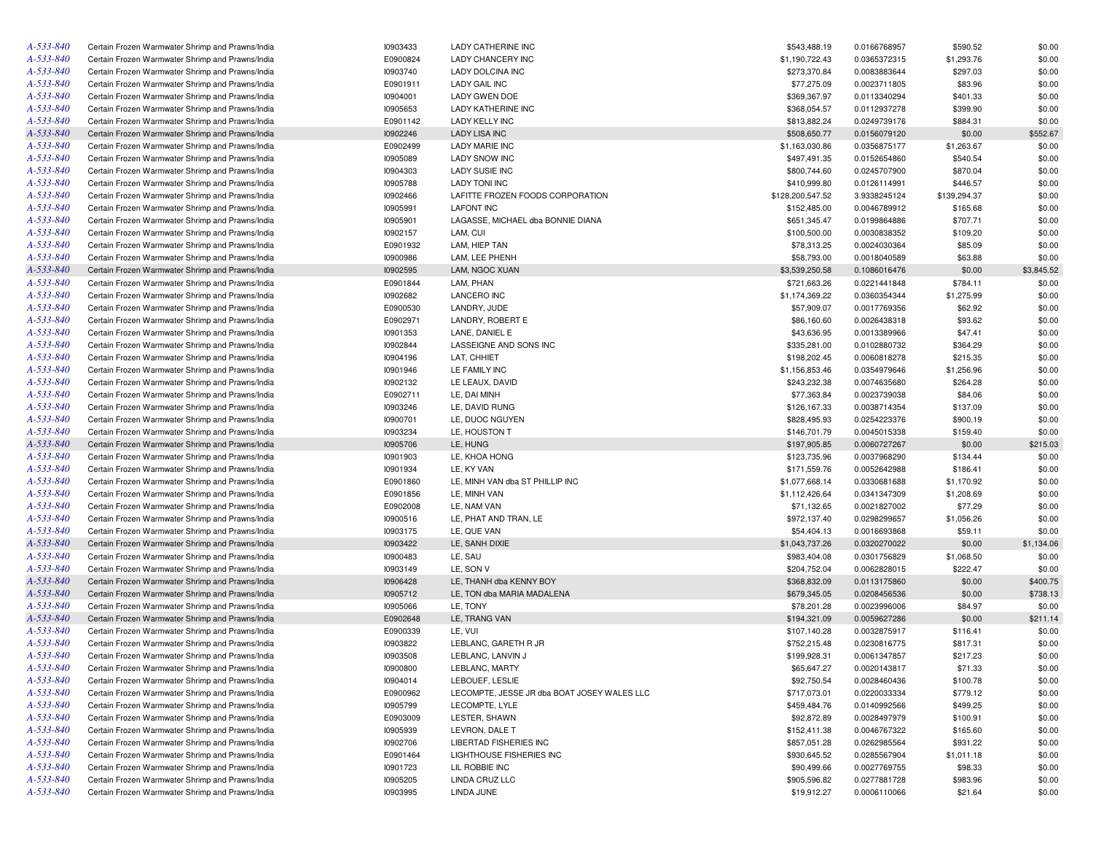| A-533-840       | Certain Frozen Warmwater Shrimp and Prawns/India | 10903433 | LADY CATHERINE INC                          | \$543,488.19     | 0.0166768957 | \$590.52     | \$0.00     |
|-----------------|--------------------------------------------------|----------|---------------------------------------------|------------------|--------------|--------------|------------|
| A-533-840       | Certain Frozen Warmwater Shrimp and Prawns/India | E0900824 | LADY CHANCERY INC                           | \$1,190,722.43   | 0.0365372315 | \$1,293.76   | \$0.00     |
| A-533-840       | Certain Frozen Warmwater Shrimp and Prawns/India | 10903740 | <b>LADY DOLCINA INC</b>                     | \$273,370.84     | 0.0083883644 | \$297.03     | \$0.00     |
| A-533-840       | Certain Frozen Warmwater Shrimp and Prawns/India | E0901911 | <b>LADY GAIL INC</b>                        | \$77,275.09      | 0.0023711805 | \$83.96      | \$0.00     |
| A-533-840       | Certain Frozen Warmwater Shrimp and Prawns/India | 10904001 | LADY GWEN DOE                               | \$369,367.97     | 0.0113340294 | \$401.33     | \$0.00     |
| A-533-840       | Certain Frozen Warmwater Shrimp and Prawns/India | 10905653 | LADY KATHERINE INC                          | \$368,054.57     | 0.0112937278 | \$399.90     | \$0.00     |
| A-533-840       | Certain Frozen Warmwater Shrimp and Prawns/India | E0901142 | LADY KELLY INC                              | \$813,882.24     | 0.0249739176 | \$884.31     | \$0.00     |
| A-533-840       | Certain Frozen Warmwater Shrimp and Prawns/India | 10902246 | <b>LADY LISA INC</b>                        | \$508,650.77     | 0.0156079120 | \$0.00       | \$552.67   |
| A-533-840       | Certain Frozen Warmwater Shrimp and Prawns/India | E0902499 | <b>LADY MARIE INC</b>                       | \$1,163,030.86   | 0.0356875177 | \$1,263.67   | \$0.00     |
| A-533-840       | Certain Frozen Warmwater Shrimp and Prawns/India | 10905089 | <b>LADY SNOW INC</b>                        | \$497,491.35     | 0.0152654860 | \$540.54     | \$0.00     |
| A-533-840       | Certain Frozen Warmwater Shrimp and Prawns/India | 10904303 | LADY SUSIE INC                              | \$800,744.60     | 0.0245707900 | \$870.04     | \$0.00     |
| A-533-840       | Certain Frozen Warmwater Shrimp and Prawns/India | 10905788 | <b>LADY TONI INC</b>                        | \$410,999.80     | 0.0126114991 | \$446.57     | \$0.00     |
| A-533-840       | Certain Frozen Warmwater Shrimp and Prawns/India | 10902466 | LAFITTE FROZEN FOODS CORPORATION            | \$128,200,547.52 | 3.9338245124 | \$139,294.37 | \$0.00     |
| A-533-840       | Certain Frozen Warmwater Shrimp and Prawns/India | 10905991 | <b>LAFONT INC</b>                           | \$152,485.00     | 0.0046789912 | \$165.68     | \$0.00     |
| A-533-840       |                                                  | 10905901 |                                             |                  |              |              | \$0.00     |
|                 | Certain Frozen Warmwater Shrimp and Prawns/India |          | LAGASSE, MICHAEL dba BONNIE DIANA           | \$651,345.47     | 0.0199864886 | \$707.71     |            |
| A-533-840       | Certain Frozen Warmwater Shrimp and Prawns/India | 10902157 | LAM, CUI                                    | \$100,500.00     | 0.0030838352 | \$109.20     | \$0.00     |
| A-533-840       | Certain Frozen Warmwater Shrimp and Prawns/India | E0901932 | LAM, HIEP TAN                               | \$78,313.25      | 0.0024030364 | \$85.09      | \$0.00     |
| A-533-840       | Certain Frozen Warmwater Shrimp and Prawns/India | 10900986 | LAM, LEE PHENH                              | \$58,793.00      | 0.0018040589 | \$63.88      | \$0.00     |
| A-533-840       | Certain Frozen Warmwater Shrimp and Prawns/India | 10902595 | LAM, NGOC XUAN                              | \$3,539,250.58   | 0.1086016476 | \$0.00       | \$3,845.52 |
| A-533-840       | Certain Frozen Warmwater Shrimp and Prawns/India | E0901844 | LAM, PHAN                                   | \$721,663.26     | 0.0221441848 | \$784.11     | \$0.00     |
| A-533-840       | Certain Frozen Warmwater Shrimp and Prawns/India | 10902682 | <b>LANCERO INC</b>                          | \$1,174,369.22   | 0.0360354344 | \$1,275.99   | \$0.00     |
| A-533-840       | Certain Frozen Warmwater Shrimp and Prawns/India | E0900530 | LANDRY, JUDE                                | \$57,909.07      | 0.0017769356 | \$62.92      | \$0.00     |
| A-533-840       | Certain Frozen Warmwater Shrimp and Prawns/India | E0902971 | LANDRY, ROBERT E                            | \$86,160.60      | 0.0026438318 | \$93.62      | \$0.00     |
| A-533-840       | Certain Frozen Warmwater Shrimp and Prawns/India | 10901353 | LANE, DANIEL E                              | \$43,636.95      | 0.0013389966 | \$47.41      | \$0.00     |
| A-533-840       | Certain Frozen Warmwater Shrimp and Prawns/India | 10902844 | LASSEIGNE AND SONS INC                      | \$335,281.00     | 0.0102880732 | \$364.29     | \$0.00     |
| A-533-840       | Certain Frozen Warmwater Shrimp and Prawns/India | 10904196 | LAT, CHHIET                                 | \$198,202.45     | 0.0060818278 | \$215.35     | \$0.00     |
| A-533-840       | Certain Frozen Warmwater Shrimp and Prawns/India | 10901946 | LE FAMILY INC                               | \$1,156,853.46   | 0.0354979646 | \$1,256.96   | \$0.00     |
| A-533-840       | Certain Frozen Warmwater Shrimp and Prawns/India | 10902132 | LE LEAUX. DAVID                             | \$243,232.38     | 0.0074635680 | \$264.28     | \$0.00     |
| A-533-840       | Certain Frozen Warmwater Shrimp and Prawns/India | E0902711 | LE, DAI MINH                                | \$77,363.84      | 0.0023739038 | \$84.06      | \$0.00     |
| A-533-840       | Certain Frozen Warmwater Shrimp and Prawns/India | 10903246 | LE, DAVID RUNG                              | \$126,167.33     | 0.0038714354 | \$137.09     | \$0.00     |
| A-533-840       | Certain Frozen Warmwater Shrimp and Prawns/India | 10900701 | LE, DUOC NGUYEN                             | \$828,495.93     | 0.0254223376 | \$900.19     | \$0.00     |
| A-533-840       | Certain Frozen Warmwater Shrimp and Prawns/India | 10903234 | LE, HOUSTON T                               | \$146,701.79     | 0.0045015338 | \$159.40     | \$0.00     |
| A-533-840       | Certain Frozen Warmwater Shrimp and Prawns/India | 10905706 | LE, HUNG                                    | \$197,905.85     | 0.0060727267 | \$0.00       | \$215.03   |
| A-533-840       | Certain Frozen Warmwater Shrimp and Prawns/India | 10901903 | LE, KHOA HONG                               | \$123,735.96     | 0.0037968290 | \$134.44     | \$0.00     |
| A-533-840       |                                                  | 10901934 | LE, KY VAN                                  | \$171,559.76     |              |              | \$0.00     |
|                 | Certain Frozen Warmwater Shrimp and Prawns/India |          |                                             |                  | 0.0052642988 | \$186.41     |            |
| A-533-840       | Certain Frozen Warmwater Shrimp and Prawns/India | E0901860 | LE, MINH VAN dba ST PHILLIP INC             | \$1,077,668.14   | 0.0330681688 | \$1,170.92   | \$0.00     |
| A-533-840       | Certain Frozen Warmwater Shrimp and Prawns/India | E0901856 | LE, MINH VAN                                | \$1,112,426.64   | 0.0341347309 | \$1,208.69   | \$0.00     |
| A-533-840       | Certain Frozen Warmwater Shrimp and Prawns/India | E0902008 | LE, NAM VAN                                 | \$71,132.65      | 0.0021827002 | \$77.29      | \$0.00     |
| A-533-840       | Certain Frozen Warmwater Shrimp and Prawns/India | 10900516 | LE, PHAT AND TRAN, LE                       | \$972,137.40     | 0.0298299657 | \$1,056.26   | \$0.00     |
| A-533-840       | Certain Frozen Warmwater Shrimp and Prawns/India | 10903175 | LE, QUE VAN                                 | \$54,404.13      | 0.0016693868 | \$59.11      | \$0.00     |
| A-533-840       | Certain Frozen Warmwater Shrimp and Prawns/India | 10903422 | LE, SANH DIXIE                              | \$1,043,737.26   | 0.0320270022 | \$0.00       | \$1,134.06 |
| A-533-840       | Certain Frozen Warmwater Shrimp and Prawns/India | 10900483 | LE, SAU                                     | \$983,404.08     | 0.0301756829 | \$1,068.50   | \$0.00     |
| A-533-840       | Certain Frozen Warmwater Shrimp and Prawns/India | 10903149 | LE, SON V                                   | \$204,752.04     | 0.0062828015 | \$222.47     | \$0.00     |
| A-533-840       | Certain Frozen Warmwater Shrimp and Prawns/India | 10906428 | LE. THANH dba KENNY BOY                     | \$368,832.09     | 0.0113175860 | \$0.00       | \$400.75   |
| A-533-840       | Certain Frozen Warmwater Shrimp and Prawns/India | 10905712 | LE. TON dba MARIA MADALENA                  | \$679,345.05     | 0.0208456536 | \$0.00       | \$738.13   |
| A-533-840       | Certain Frozen Warmwater Shrimp and Prawns/India | 10905066 | LE, TONY                                    | \$78,201.28      | 0.0023996006 | \$84.97      | \$0.00     |
| A-533-840       | Certain Frozen Warmwater Shrimp and Prawns/India | E0902648 | LE, TRANG VAN                               | \$194,321.09     | 0.0059627286 | \$0.00       | \$211.14   |
| A-533-840       | Certain Frozen Warmwater Shrimp and Prawns/India | E0900339 | LE, VUI                                     | \$107,140.28     | 0.0032875917 | \$116.41     | \$0.00     |
| A-533-840       | Certain Frozen Warmwater Shrimp and Prawns/India | 10903822 | LEBLANC, GARETH R JR                        | \$752,215.48     | 0.0230816775 | \$817.31     | \$0.00     |
| A-533-840       | Certain Frozen Warmwater Shrimp and Prawns/India | 10903508 | LEBLANC, LANVIN J                           | \$199,928.31     | 0.0061347857 | \$217.23     | \$0.00     |
| A-533-840       | Certain Frozen Warmwater Shrimp and Prawns/India | 10900800 | LEBLANC, MARTY                              | \$65,647.27      | 0.0020143817 | \$71.33      | \$0.00     |
| A-533-840       | Certain Frozen Warmwater Shrimp and Prawns/India | 10904014 | LEBOUEF, LESLIE                             | \$92,750.54      | 0.0028460436 | \$100.78     | \$0.00     |
| $A - 533 - 840$ | Certain Frozen Warmwater Shrimp and Prawns/India | E0900962 | LECOMPTE, JESSE JR dba BOAT JOSEY WALES LLC | \$717,073.01     | 0.0220033334 | \$779.12     | \$0.00     |
| A-533-840       | Certain Frozen Warmwater Shrimp and Prawns/India |          | LECOMPTE, LYLE                              | \$459,484.76     | 0.0140992566 |              |            |
|                 |                                                  | 10905799 |                                             |                  |              | \$499.25     | \$0.00     |
| A-533-840       | Certain Frozen Warmwater Shrimp and Prawns/India | E0903009 | LESTER, SHAWN                               | \$92,872.89      | 0.0028497979 | \$100.91     | \$0.00     |
| A-533-840       | Certain Frozen Warmwater Shrimp and Prawns/India | 10905939 | LEVRON, DALE T                              | \$152,411.38     | 0.0046767322 | \$165.60     | \$0.00     |
| A-533-840       | Certain Frozen Warmwater Shrimp and Prawns/India | 10902706 | LIBERTAD FISHERIES INC                      | \$857,051.28     | 0.0262985564 | \$931.22     | \$0.00     |
| A-533-840       | Certain Frozen Warmwater Shrimp and Prawns/India | E0901464 | LIGHTHOUSE FISHERIES INC                    | \$930,645.52     | 0.0285567904 | \$1,011.18   | \$0.00     |
| A-533-840       | Certain Frozen Warmwater Shrimp and Prawns/India | 10901723 | LIL ROBBIE INC                              | \$90,499.66      | 0.0027769755 | \$98.33      | \$0.00     |
| A-533-840       | Certain Frozen Warmwater Shrimp and Prawns/India | 10905205 | LINDA CRUZ LLC                              | \$905,596.82     | 0.0277881728 | \$983.96     | \$0.00     |
| A-533-840       | Certain Frozen Warmwater Shrimp and Prawns/India | 10903995 | LINDA JUNE                                  | \$19,912.27      | 0.0006110066 | \$21.64      | \$0.00     |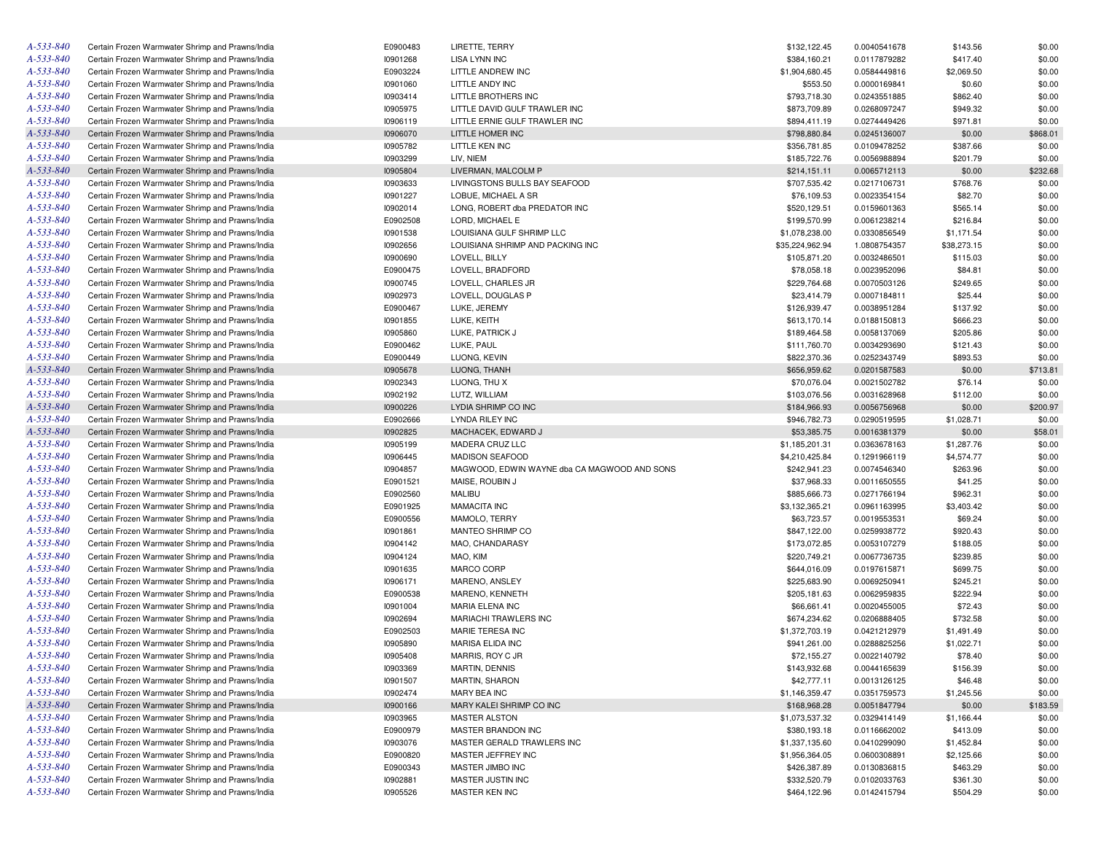| A-533-840       | Certain Frozen Warmwater Shrimp and Prawns/India | E0900483 | LIRETTE, TERRY                               | \$132,122.45    | 0.0040541678 | \$143.56    | \$0.00   |
|-----------------|--------------------------------------------------|----------|----------------------------------------------|-----------------|--------------|-------------|----------|
| A-533-840       | Certain Frozen Warmwater Shrimp and Prawns/India | 10901268 | LISA LYNN INC                                | \$384,160.21    | 0.0117879282 | \$417.40    | \$0.00   |
| A-533-840       | Certain Frozen Warmwater Shrimp and Prawns/India | E0903224 | LITTLE ANDREW INC                            | \$1,904,680.45  | 0.0584449816 | \$2,069.50  | \$0.00   |
| A-533-840       | Certain Frozen Warmwater Shrimp and Prawns/India | 10901060 | LITTLE ANDY INC                              | \$553.50        | 0.0000169841 | \$0.60      | \$0.00   |
| A-533-840       | Certain Frozen Warmwater Shrimp and Prawns/India | 10903414 | LITTLE BROTHERS INC                          | \$793,718.30    | 0.0243551885 | \$862.40    | \$0.00   |
| A-533-840       | Certain Frozen Warmwater Shrimp and Prawns/India | 10905975 | LITTLE DAVID GULF TRAWLER INC                | \$873,709.89    | 0.0268097247 | \$949.32    | \$0.00   |
| A-533-840       | Certain Frozen Warmwater Shrimp and Prawns/India | 10906119 | LITTLE ERNIE GULF TRAWLER INC                | \$894.411.19    | 0.0274449426 | \$971.81    | \$0.00   |
| A-533-840       | Certain Frozen Warmwater Shrimp and Prawns/India | 10906070 | LITTLE HOMER INC                             | \$798,880.84    | 0.0245136007 | \$0.00      | \$868.01 |
| A-533-840       | Certain Frozen Warmwater Shrimp and Prawns/India | 10905782 | LITTLE KEN INC                               | \$356,781.85    | 0.0109478252 | \$387.66    | \$0.00   |
| A-533-840       | Certain Frozen Warmwater Shrimp and Prawns/India | 10903299 | LIV, NIEM                                    | \$185,722.76    | 0.0056988894 | \$201.79    | \$0.00   |
| A-533-840       | Certain Frozen Warmwater Shrimp and Prawns/India | 10905804 | LIVERMAN, MALCOLM P                          | \$214,151.11    | 0.0065712113 | \$0.00      | \$232.68 |
| A-533-840       | Certain Frozen Warmwater Shrimp and Prawns/India | 10903633 | LIVINGSTONS BULLS BAY SEAFOOD                | \$707,535.42    | 0.0217106731 | \$768.76    | \$0.00   |
| A-533-840       | Certain Frozen Warmwater Shrimp and Prawns/India | 10901227 | LOBUE, MICHAEL A SR                          | \$76,109.53     | 0.0023354154 | \$82.70     | \$0.00   |
| A-533-840       | Certain Frozen Warmwater Shrimp and Prawns/India | 10902014 | LONG, ROBERT dba PREDATOR INC                | \$520,129.51    | 0.0159601363 | \$565.14    | \$0.00   |
| A-533-840       | Certain Frozen Warmwater Shrimp and Prawns/India | E0902508 | LORD, MICHAEL E                              | \$199,570.99    | 0.0061238214 | \$216.84    | \$0.00   |
| A-533-840       | Certain Frozen Warmwater Shrimp and Prawns/India | 10901538 | LOUISIANA GULF SHRIMP LLC                    | \$1,078,238.00  | 0.0330856549 | \$1,171.54  | \$0.00   |
| A-533-840       | Certain Frozen Warmwater Shrimp and Prawns/India | 10902656 | LOUISIANA SHRIMP AND PACKING INC             | \$35,224,962.94 | 1.0808754357 | \$38,273.15 | \$0.00   |
| A-533-840       | Certain Frozen Warmwater Shrimp and Prawns/India | 10900690 | LOVELL, BILLY                                | \$105,871.20    | 0.0032486501 | \$115.03    | \$0.00   |
| A-533-840       | Certain Frozen Warmwater Shrimp and Prawns/India | E0900475 | LOVELL, BRADFORD                             | \$78,058.18     | 0.0023952096 | \$84.81     | \$0.00   |
| A-533-840       | Certain Frozen Warmwater Shrimp and Prawns/India | 10900745 | LOVELL, CHARLES JR                           | \$229,764.68    | 0.0070503126 | \$249.65    | \$0.00   |
| A-533-840       | Certain Frozen Warmwater Shrimp and Prawns/India | 10902973 | LOVELL, DOUGLAS P                            | \$23,414.79     | 0.0007184811 | \$25.44     | \$0.00   |
| A-533-840       | Certain Frozen Warmwater Shrimp and Prawns/India | E0900467 | LUKE, JEREMY                                 | \$126,939.47    | 0.0038951284 | \$137.92    | \$0.00   |
| A-533-840       | Certain Frozen Warmwater Shrimp and Prawns/India | 10901855 | LUKE, KEITH                                  | \$613,170.14    | 0.0188150813 | \$666.23    | \$0.00   |
| A-533-840       | Certain Frozen Warmwater Shrimp and Prawns/India | 10905860 | LUKE, PATRICK J                              | \$189,464.58    | 0.0058137069 | \$205.86    | \$0.00   |
| A-533-840       | Certain Frozen Warmwater Shrimp and Prawns/India | E0900462 | LUKE, PAUL                                   | \$111,760.70    | 0.0034293690 | \$121.43    | \$0.00   |
| A-533-840       | Certain Frozen Warmwater Shrimp and Prawns/India | E0900449 | LUONG, KEVIN                                 | \$822,370.36    | 0.0252343749 | \$893.53    | \$0.00   |
| A-533-840       | Certain Frozen Warmwater Shrimp and Prawns/India | 10905678 | LUONG, THANH                                 | \$656,959.62    | 0.0201587583 | \$0.00      | \$713.81 |
| A-533-840       | Certain Frozen Warmwater Shrimp and Prawns/India | 10902343 | LUONG, THU X                                 | \$70,076.04     | 0.0021502782 | \$76.14     | \$0.00   |
| A-533-840       | Certain Frozen Warmwater Shrimp and Prawns/India | 10902192 | LUTZ, WILLIAM                                | \$103,076.56    | 0.0031628968 | \$112.00    | \$0.00   |
| A-533-840       | Certain Frozen Warmwater Shrimp and Prawns/India | 10900226 | LYDIA SHRIMP CO INC                          | \$184,966.93    | 0.0056756968 | \$0.00      | \$200.97 |
| A-533-840       | Certain Frozen Warmwater Shrimp and Prawns/India | E0902666 | LYNDA RILEY INC                              | \$946,782.73    | 0.0290519595 | \$1,028.71  | \$0.00   |
| A-533-840       | Certain Frozen Warmwater Shrimp and Prawns/India | 10902825 | MACHACEK, EDWARD J                           | \$53,385.75     | 0.0016381379 | \$0.00      | \$58.01  |
| A-533-840       | Certain Frozen Warmwater Shrimp and Prawns/India |          | MADERA CRUZ LLC                              |                 |              |             |          |
| A-533-840       | Certain Frozen Warmwater Shrimp and Prawns/India | 10905199 | <b>MADISON SEAFOOD</b>                       | \$1,185,201.31  | 0.0363678163 | \$1,287.76  | \$0.00   |
| A-533-840       |                                                  | 10906445 |                                              | \$4,210,425.84  | 0.1291966119 | \$4,574.77  | \$0.00   |
| A-533-840       | Certain Frozen Warmwater Shrimp and Prawns/India | 10904857 | MAGWOOD, EDWIN WAYNE dba CA MAGWOOD AND SONS | \$242,941.23    | 0.0074546340 | \$263.96    | \$0.00   |
| A-533-840       | Certain Frozen Warmwater Shrimp and Prawns/India | E0901521 | MAISE, ROUBIN J                              | \$37,968.33     | 0.0011650555 | \$41.25     | \$0.00   |
|                 | Certain Frozen Warmwater Shrimp and Prawns/India | E0902560 | <b>MALIBU</b>                                | \$885,666.73    | 0.0271766194 | \$962.31    | \$0.00   |
| A-533-840       | Certain Frozen Warmwater Shrimp and Prawns/India | E0901925 | <b>MAMACITA INC</b>                          | \$3,132,365.21  | 0.0961163995 | \$3,403.42  | \$0.00   |
| A-533-840       | Certain Frozen Warmwater Shrimp and Prawns/India | E0900556 | MAMOLO, TERRY                                | \$63,723.57     | 0.0019553531 | \$69.24     | \$0.00   |
| A-533-840       | Certain Frozen Warmwater Shrimp and Prawns/India | 10901861 | MANTEO SHRIMP CO                             | \$847,122.00    | 0.0259938772 | \$920.43    | \$0.00   |
| A-533-840       | Certain Frozen Warmwater Shrimp and Prawns/India | 10904142 | MAO, CHANDARASY                              | \$173,072.85    | 0.0053107279 | \$188.05    | \$0.00   |
| A-533-840       | Certain Frozen Warmwater Shrimp and Prawns/India | 10904124 | MAO, KIM                                     | \$220,749.21    | 0.0067736735 | \$239.85    | \$0.00   |
| A-533-840       | Certain Frozen Warmwater Shrimp and Prawns/India | 10901635 | MARCO CORP                                   | \$644,016.09    | 0.0197615871 | \$699.75    | \$0.00   |
| A-533-840       | Certain Frozen Warmwater Shrimp and Prawns/India | 10906171 | MARENO, ANSLEY                               | \$225,683.90    | 0.0069250941 | \$245.21    | \$0.00   |
| A-533-840       | Certain Frozen Warmwater Shrimp and Prawns/India | E0900538 | MARENO, KENNETH                              | \$205,181.63    | 0.0062959835 | \$222.94    | \$0.00   |
| A-533-840       | Certain Frozen Warmwater Shrimp and Prawns/India | 10901004 | MARIA ELENA INC                              | \$66,661.41     | 0.0020455005 | \$72.43     | \$0.00   |
| A-533-840       | Certain Frozen Warmwater Shrimp and Prawns/India | 10902694 | MARIACHI TRAWLERS INC                        | \$674,234.62    | 0.0206888405 | \$732.58    | \$0.00   |
| A-533-840       | Certain Frozen Warmwater Shrimp and Prawns/India | E0902503 | MARIE TERESA INC                             | \$1,372,703.19  | 0.0421212979 | \$1,491.49  | \$0.00   |
| A-533-840       | Certain Frozen Warmwater Shrimp and Prawns/India | 10905890 | <b>MARISA ELIDA INC</b>                      | \$941,261.00    | 0.0288825256 | \$1,022.71  | \$0.00   |
| A-533-840       | Certain Frozen Warmwater Shrimp and Prawns/India | 10905408 | MARRIS, ROY C JR                             | \$72.155.27     | 0.0022140792 | \$78.40     | \$0.00   |
| A-533-840       | Certain Frozen Warmwater Shrimp and Prawns/India | 10903369 | MARTIN, DENNIS                               | \$143,932.68    | 0.0044165639 | \$156.39    | \$0.00   |
| $A - 533 - 840$ | Certain Frozen Warmwater Shrimp and Prawns/India | 10901507 | MARTIN, SHARON                               | \$42,777.11     | 0.0013126125 | \$46.48     | \$0.00   |
| A-533-840       | Certain Frozen Warmwater Shrimp and Prawns/India | 10902474 | MARY BEA INC                                 | \$1,146,359.47  | 0.0351759573 | \$1,245.56  | \$0.00   |
| $A - 533 - 840$ | Certain Frozen Warmwater Shrimp and Prawns/India | 10900166 | MARY KALEI SHRIMP CO INC                     | \$168,968.28    | 0.0051847794 | \$0.00      | \$183.59 |
| A-533-840       | Certain Frozen Warmwater Shrimp and Prawns/India | 10903965 | <b>MASTER ALSTON</b>                         | \$1,073,537.32  | 0.0329414149 | \$1,166.44  | \$0.00   |
| A-533-840       | Certain Frozen Warmwater Shrimp and Prawns/India | E0900979 | MASTER BRANDON INC                           | \$380,193.18    | 0.0116662002 | \$413.09    | \$0.00   |
| A-533-840       | Certain Frozen Warmwater Shrimp and Prawns/India | 10903076 | MASTER GERALD TRAWLERS INC                   | \$1,337,135.60  | 0.0410299090 | \$1,452.84  | \$0.00   |
| A-533-840       | Certain Frozen Warmwater Shrimp and Prawns/India | E0900820 | MASTER JEFFREY INC                           | \$1,956,364.05  | 0.0600308891 | \$2,125.66  | \$0.00   |
| A-533-840       | Certain Frozen Warmwater Shrimp and Prawns/India | E0900343 | MASTER JIMBO INC                             | \$426,387.89    | 0.0130836815 | \$463.29    | \$0.00   |
| A-533-840       | Certain Frozen Warmwater Shrimp and Prawns/India | 10902881 | MASTER JUSTIN INC                            | \$332,520.79    | 0.0102033763 | \$361.30    | \$0.00   |
| A-533-840       | Certain Frozen Warmwater Shrimp and Prawns/India | 10905526 | MASTER KEN INC                               | \$464,122.96    | 0.0142415794 | \$504.29    | \$0.00   |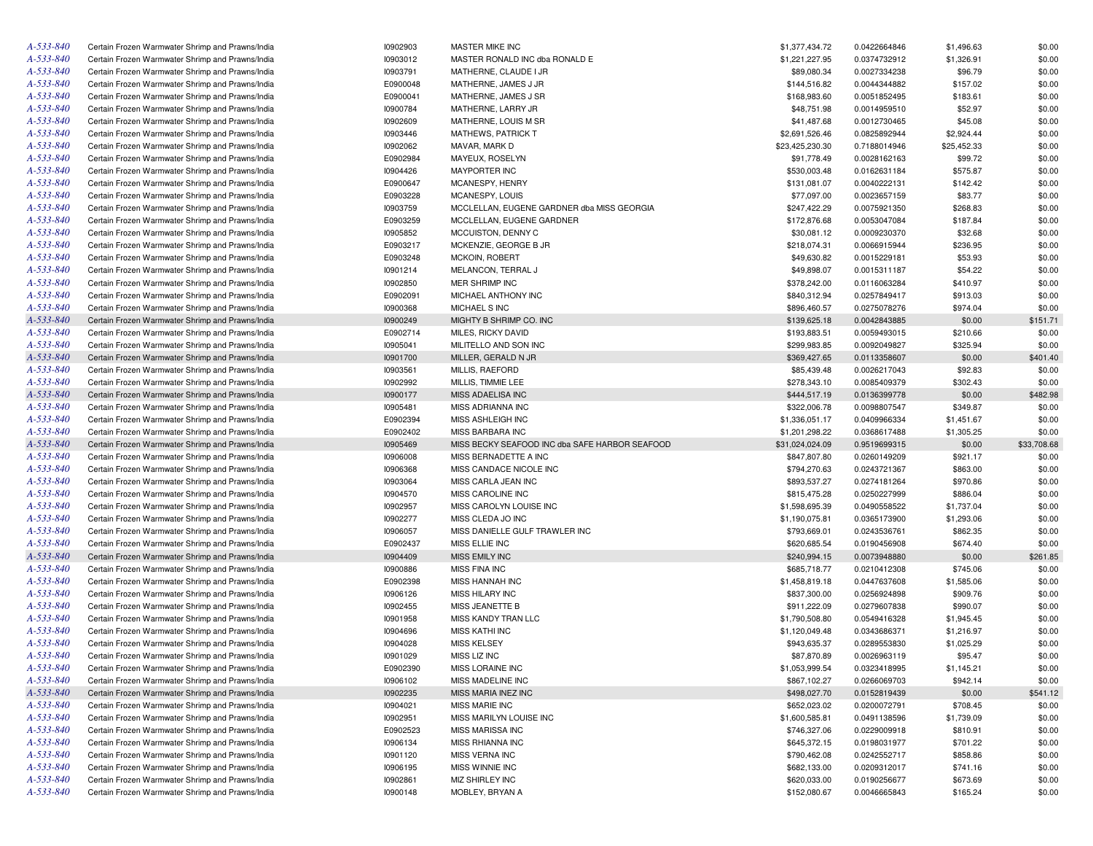| A-533-840       | Certain Frozen Warmwater Shrimp and Prawns/India | 10902903 | MASTER MIKE INC                                | \$1,377,434.72  | 0.0422664846 | \$1,496.63  | \$0.00      |
|-----------------|--------------------------------------------------|----------|------------------------------------------------|-----------------|--------------|-------------|-------------|
| A-533-840       | Certain Frozen Warmwater Shrimp and Prawns/India | 10903012 | MASTER RONALD INC dba RONALD E                 | \$1,221,227.95  | 0.0374732912 | \$1,326.91  | \$0.00      |
| A-533-840       | Certain Frozen Warmwater Shrimp and Prawns/India | 10903791 | MATHERNE, CLAUDE I JR                          | \$89,080.34     | 0.0027334238 | \$96.79     | \$0.00      |
| A-533-840       | Certain Frozen Warmwater Shrimp and Prawns/India | E0900048 | MATHERNE, JAMES J JR                           | \$144,516.82    | 0.0044344882 | \$157.02    | \$0.00      |
| A-533-840       | Certain Frozen Warmwater Shrimp and Prawns/India | E0900041 | MATHERNE, JAMES J SR                           | \$168,983.60    | 0.0051852495 | \$183.61    | \$0.00      |
| A-533-840       | Certain Frozen Warmwater Shrimp and Prawns/India | 10900784 | MATHERNE, LARRY JR                             | \$48,751.98     | 0.0014959510 | \$52.97     | \$0.00      |
| A-533-840       | Certain Frozen Warmwater Shrimp and Prawns/India | 10902609 | MATHERNE, LOUIS M SR                           | \$41,487.68     | 0.0012730465 | \$45.08     | \$0.00      |
| A-533-840       | Certain Frozen Warmwater Shrimp and Prawns/India | 10903446 | <b>MATHEWS, PATRICK T</b>                      | \$2,691,526.46  | 0.0825892944 | \$2,924.44  | \$0.00      |
| A-533-840       | Certain Frozen Warmwater Shrimp and Prawns/India | 10902062 | MAVAR, MARK D                                  | \$23,425,230.30 | 0.7188014946 | \$25,452.33 | \$0.00      |
| A-533-840       | Certain Frozen Warmwater Shrimp and Prawns/India | E0902984 | MAYEUX, ROSELYN                                | \$91,778.49     | 0.0028162163 | \$99.72     | \$0.00      |
| A-533-840       | Certain Frozen Warmwater Shrimp and Prawns/India | 10904426 | <b>MAYPORTER INC</b>                           | \$530,003.48    | 0.0162631184 | \$575.87    | \$0.00      |
| A-533-840       | Certain Frozen Warmwater Shrimp and Prawns/India | E0900647 | MCANESPY, HENRY                                | \$131,081.07    | 0.0040222131 | \$142.42    | \$0.00      |
| A-533-840       | Certain Frozen Warmwater Shrimp and Prawns/India | E0903228 | MCANESPY, LOUIS                                | \$77,097.00     | 0.0023657159 | \$83.77     | \$0.00      |
| A-533-840       | Certain Frozen Warmwater Shrimp and Prawns/India | 10903759 | MCCLELLAN, EUGENE GARDNER dba MISS GEORGIA     | \$247,422.29    | 0.0075921350 | \$268.83    | \$0.00      |
| A-533-840       | Certain Frozen Warmwater Shrimp and Prawns/India | E0903259 | MCCLELLAN, EUGENE GARDNER                      | \$172,876.68    | 0.0053047084 | \$187.84    | \$0.00      |
| A-533-840       | Certain Frozen Warmwater Shrimp and Prawns/India | 10905852 | MCCUISTON, DENNY C                             | \$30,081.12     | 0.0009230370 | \$32.68     | \$0.00      |
| A-533-840       | Certain Frozen Warmwater Shrimp and Prawns/India | E0903217 | MCKENZIE, GEORGE B JR                          | \$218,074.31    | 0.0066915944 | \$236.95    | \$0.00      |
| A-533-840       |                                                  |          |                                                |                 |              |             |             |
|                 | Certain Frozen Warmwater Shrimp and Prawns/India | E0903248 | MCKOIN, ROBERT                                 | \$49,630.82     | 0.0015229181 | \$53.93     | \$0.00      |
| A-533-840       | Certain Frozen Warmwater Shrimp and Prawns/India | 10901214 | MELANCON, TERRAL J                             | \$49,898.07     | 0.0015311187 | \$54.22     | \$0.00      |
| A-533-840       | Certain Frozen Warmwater Shrimp and Prawns/India | 10902850 | MER SHRIMP INC                                 | \$378,242.00    | 0.0116063284 | \$410.97    | \$0.00      |
| A-533-840       | Certain Frozen Warmwater Shrimp and Prawns/India | E0902091 | MICHAEL ANTHONY INC                            | \$840,312.94    | 0.0257849417 | \$913.03    | \$0.00      |
| A-533-840       | Certain Frozen Warmwater Shrimp and Prawns/India | 10900368 | MICHAEL S INC                                  | \$896,460.57    | 0.0275078276 | \$974.04    | \$0.00      |
| A-533-840       | Certain Frozen Warmwater Shrimp and Prawns/India | 10900249 | MIGHTY B SHRIMP CO. INC                        | \$139,625.18    | 0.0042843885 | \$0.00      | \$151.71    |
| A-533-840       | Certain Frozen Warmwater Shrimp and Prawns/India | E0902714 | MILES, RICKY DAVID                             | \$193,883.51    | 0.0059493015 | \$210.66    | \$0.00      |
| A-533-840       | Certain Frozen Warmwater Shrimp and Prawns/India | 10905041 | MILITELLO AND SON INC                          | \$299,983.85    | 0.0092049827 | \$325.94    | \$0.00      |
| A-533-840       | Certain Frozen Warmwater Shrimp and Prawns/India | 10901700 | MILLER, GERALD N JR                            | \$369,427.65    | 0.0113358607 | \$0.00      | \$401.40    |
| A-533-840       | Certain Frozen Warmwater Shrimp and Prawns/India | 10903561 | MILLIS, RAEFORD                                | \$85,439.48     | 0.0026217043 | \$92.83     | \$0.00      |
| A-533-840       | Certain Frozen Warmwater Shrimp and Prawns/India | 10902992 | MILLIS, TIMMIE LEE                             | \$278,343.10    | 0.0085409379 | \$302.43    | \$0.00      |
| A-533-840       | Certain Frozen Warmwater Shrimp and Prawns/India | 10900177 | MISS ADAELISA INC                              | \$444,517.19    | 0.0136399778 | \$0.00      | \$482.98    |
| A-533-840       | Certain Frozen Warmwater Shrimp and Prawns/India | 10905481 | MISS ADRIANNA INC                              | \$322,006.78    | 0.0098807547 | \$349.87    | \$0.00      |
| A-533-840       | Certain Frozen Warmwater Shrimp and Prawns/India | E0902394 | MISS ASHLEIGH INC                              | \$1,336,051.17  | 0.0409966334 | \$1,451.67  | \$0.00      |
| A-533-840       | Certain Frozen Warmwater Shrimp and Prawns/India | E0902402 | MISS BARBARA INC                               | \$1,201,298.22  | 0.0368617488 | \$1,305.25  | \$0.00      |
| A-533-840       | Certain Frozen Warmwater Shrimp and Prawns/India | 10905469 | MISS BECKY SEAFOOD INC dba SAFE HARBOR SEAFOOD | \$31,024,024.09 | 0.9519699315 | \$0.00      | \$33,708.68 |
| A-533-840       | Certain Frozen Warmwater Shrimp and Prawns/India | 10906008 | MISS BERNADETTE A INC                          | \$847,807.80    | 0.0260149209 | \$921.17    | \$0.00      |
| A-533-840       | Certain Frozen Warmwater Shrimp and Prawns/India | 10906368 | MISS CANDACE NICOLE INC                        | \$794,270.63    | 0.0243721367 | \$863.00    | \$0.00      |
| A-533-840       | Certain Frozen Warmwater Shrimp and Prawns/India | 10903064 | MISS CARLA JEAN INC                            | \$893,537.27    | 0.0274181264 | \$970.86    | \$0.00      |
| A-533-840       | Certain Frozen Warmwater Shrimp and Prawns/India | 10904570 | MISS CAROLINE INC                              | \$815,475.28    | 0.0250227999 | \$886.04    | \$0.00      |
| A-533-840       | Certain Frozen Warmwater Shrimp and Prawns/India | 10902957 | MISS CAROLYN LOUISE INC                        | \$1,598,695.39  | 0.0490558522 | \$1,737.04  | \$0.00      |
| A-533-840       | Certain Frozen Warmwater Shrimp and Prawns/India | 10902277 | MISS CLEDA JO INC                              | \$1,190,075.81  | 0.0365173900 | \$1,293.06  | \$0.00      |
| A-533-840       | Certain Frozen Warmwater Shrimp and Prawns/India | 10906057 | MISS DANIELLE GULF TRAWLER INC                 | \$793,669.01    | 0.0243536761 | \$862.35    | \$0.00      |
| A-533-840       | Certain Frozen Warmwater Shrimp and Prawns/India | E0902437 | MISS ELLIE INC                                 | \$620,685.54    | 0.0190456908 | \$674.40    | \$0.00      |
| A-533-840       | Certain Frozen Warmwater Shrimp and Prawns/India | 10904409 | MISS EMILY INC                                 | \$240,994.15    | 0.0073948880 | \$0.00      | \$261.85    |
| A-533-840       |                                                  | 10900886 | MISS FINA INC                                  |                 |              |             |             |
| A-533-840       | Certain Frozen Warmwater Shrimp and Prawns/India |          |                                                | \$685,718.77    | 0.0210412308 | \$745.06    | \$0.00      |
|                 | Certain Frozen Warmwater Shrimp and Prawns/India | E0902398 | MISS HANNAH INC                                | \$1,458,819.18  | 0.0447637608 | \$1,585.06  | \$0.00      |
| A-533-840       | Certain Frozen Warmwater Shrimp and Prawns/India | 10906126 | MISS HILARY INC                                | \$837,300.00    | 0.0256924898 | \$909.76    | \$0.00      |
| A-533-840       | Certain Frozen Warmwater Shrimp and Prawns/India | 10902455 | MISS JEANETTE B                                | \$911,222.09    | 0.0279607838 | \$990.07    | \$0.00      |
| A-533-840       | Certain Frozen Warmwater Shrimp and Prawns/India | 10901958 | MISS KANDY TRAN LLC                            | \$1,790,508.80  | 0.0549416328 | \$1,945.45  | \$0.00      |
| A-533-840       | Certain Frozen Warmwater Shrimp and Prawns/India | 10904696 | MISS KATHI INC                                 | \$1,120,049.48  | 0.0343686371 | \$1,216.97  | \$0.00      |
| A-533-840       | Certain Frozen Warmwater Shrimp and Prawns/India | 10904028 | <b>MISS KELSEY</b>                             | \$943,635.37    | 0.0289553830 | \$1,025.29  | \$0.00      |
| A-533-840       | Certain Frozen Warmwater Shrimp and Prawns/India | 10901029 | MISS LIZ INC                                   | \$87,870.89     | 0.0026963119 | \$95.47     | \$0.00      |
| A-533-840       | Certain Frozen Warmwater Shrimp and Prawns/India | E0902390 | MISS LORAINE INC                               | \$1,053,999.54  | 0.0323418995 | \$1,145.21  | \$0.00      |
| $A - 533 - 840$ | Certain Frozen Warmwater Shrimp and Prawns/India | 10906102 | MISS MADELINE INC                              | \$867,102.27    | 0.0266069703 | \$942.14    | \$0.00      |
| A-533-840       | Certain Frozen Warmwater Shrimp and Prawns/India | 10902235 | MISS MARIA INEZ INC                            | \$498,027.70    | 0.0152819439 | \$0.00      | \$541.12    |
| A-533-840       | Certain Frozen Warmwater Shrimp and Prawns/India | 10904021 | <b>MISS MARIE INC</b>                          | \$652,023.02    | 0.0200072791 | \$708.45    | \$0.00      |
| A-533-840       | Certain Frozen Warmwater Shrimp and Prawns/India | 10902951 | MISS MARILYN LOUISE INC                        | \$1,600,585.81  | 0.0491138596 | \$1,739.09  | \$0.00      |
| A-533-840       | Certain Frozen Warmwater Shrimp and Prawns/India | E0902523 | MISS MARISSA INC                               | \$746,327.06    | 0.0229009918 | \$810.91    | \$0.00      |
| A-533-840       | Certain Frozen Warmwater Shrimp and Prawns/India | 10906134 | MISS RHIANNA INC                               | \$645,372.15    | 0.0198031977 | \$701.22    | \$0.00      |
| A-533-840       | Certain Frozen Warmwater Shrimp and Prawns/India | 10901120 | MISS VERNA INC                                 | \$790,462.08    | 0.0242552717 | \$858.86    | \$0.00      |
| A-533-840       | Certain Frozen Warmwater Shrimp and Prawns/India | 10906195 | MISS WINNIE INC                                | \$682,133.00    | 0.0209312017 | \$741.16    | \$0.00      |
| A-533-840       | Certain Frozen Warmwater Shrimp and Prawns/India | 10902861 | MIZ SHIRLEY INC                                | \$620,033.00    | 0.0190256677 | \$673.69    | \$0.00      |
| A-533-840       | Certain Frozen Warmwater Shrimp and Prawns/India | 10900148 | MOBLEY, BRYAN A                                | \$152,080.67    | 0.0046665843 | \$165.24    | \$0.00      |
|                 |                                                  |          |                                                |                 |              |             |             |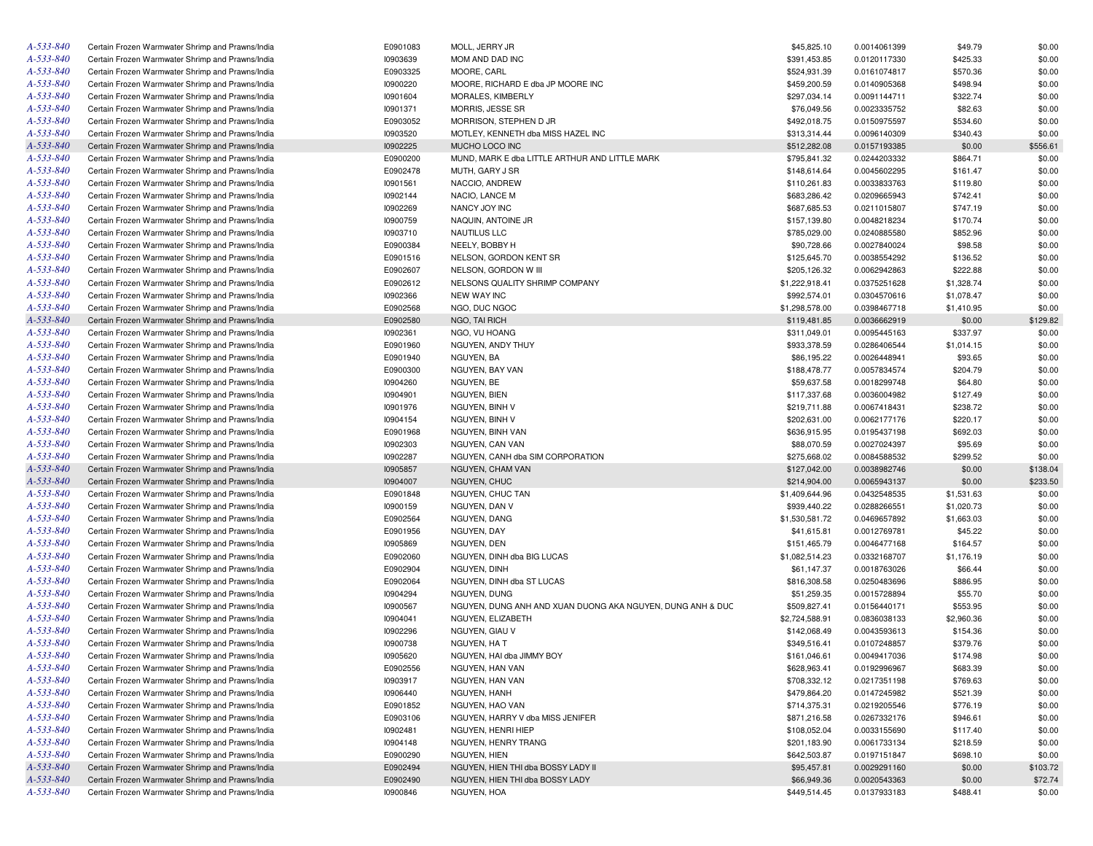| A-533-840 | Certain Frozen Warmwater Shrimp and Prawns/India | E0901083 | MOLL, JERRY JR                                             | \$45,825.10                 | 0.0014061399                 | \$49.79             | \$0.00           |
|-----------|--------------------------------------------------|----------|------------------------------------------------------------|-----------------------------|------------------------------|---------------------|------------------|
| A-533-840 | Certain Frozen Warmwater Shrimp and Prawns/India | 10903639 | MOM AND DAD INC                                            | \$391,453.85                | 0.0120117330                 | \$425.33            | \$0.00           |
| A-533-840 | Certain Frozen Warmwater Shrimp and Prawns/India | E0903325 | MOORE, CARL                                                | \$524,931.39                | 0.0161074817                 | \$570.36            | \$0.00           |
| A-533-840 | Certain Frozen Warmwater Shrimp and Prawns/India | 10900220 | MOORE, RICHARD E dba JP MOORE INC                          | \$459,200.59                | 0.0140905368                 | \$498.94            | \$0.00           |
| A-533-840 | Certain Frozen Warmwater Shrimp and Prawns/India | 10901604 | MORALES, KIMBERLY                                          | \$297,034.14                | 0.0091144711                 | \$322.74            | \$0.00           |
| A-533-840 | Certain Frozen Warmwater Shrimp and Prawns/India | 10901371 | MORRIS, JESSE SR                                           | \$76,049.56                 | 0.0023335752                 | \$82.63             | \$0.00           |
| A-533-840 | Certain Frozen Warmwater Shrimp and Prawns/India | E0903052 | MORRISON, STEPHEN D JR                                     | \$492,018.75                | 0.0150975597                 | \$534.60            | \$0.00           |
| A-533-840 | Certain Frozen Warmwater Shrimp and Prawns/India | 10903520 | MOTLEY, KENNETH dba MISS HAZEL INC                         | \$313,314.44                | 0.0096140309                 | \$340.43            | \$0.00           |
| A-533-840 | Certain Frozen Warmwater Shrimp and Prawns/India | 10902225 | MUCHO LOCO INC                                             | \$512,282.08                | 0.0157193385                 | \$0.00              | \$556.61         |
| A-533-840 | Certain Frozen Warmwater Shrimp and Prawns/India | E0900200 | MUND, MARK E dba LITTLE ARTHUR AND LITTLE MARK             | \$795,841.32                | 0.0244203332                 | \$864.71            | \$0.00           |
| A-533-840 | Certain Frozen Warmwater Shrimp and Prawns/India | E0902478 | MUTH, GARY J SR                                            | \$148,614.64                | 0.0045602295                 | \$161.47            | \$0.00           |
| A-533-840 | Certain Frozen Warmwater Shrimp and Prawns/India | 10901561 | NACCIO, ANDREW                                             | \$110,261.83                | 0.0033833763                 | \$119.80            | \$0.00           |
| A-533-840 | Certain Frozen Warmwater Shrimp and Prawns/India | 10902144 | NACIO, LANCE M                                             | \$683,286.42                | 0.0209665943                 | \$742.41            | \$0.00           |
| A-533-840 | Certain Frozen Warmwater Shrimp and Prawns/India | 10902269 | NANCY JOY INC                                              | \$687,685.53                | 0.0211015807                 | \$747.19            | \$0.00           |
| A-533-840 | Certain Frozen Warmwater Shrimp and Prawns/India | 10900759 | NAQUIN, ANTOINE JR                                         | \$157,139.80                | 0.0048218234                 | \$170.74            | \$0.00           |
| A-533-840 | Certain Frozen Warmwater Shrimp and Prawns/India | 10903710 | NAUTILUS LLC                                               | \$785,029.00                | 0.0240885580                 | \$852.96            | \$0.00           |
| A-533-840 | Certain Frozen Warmwater Shrimp and Prawns/India | E0900384 | NEELY, BOBBY H                                             | \$90,728.66                 | 0.0027840024                 | \$98.58             | \$0.00           |
| A-533-840 |                                                  |          |                                                            |                             |                              |                     |                  |
|           | Certain Frozen Warmwater Shrimp and Prawns/India | E0901516 | NELSON, GORDON KENT SR                                     | \$125,645.70                | 0.0038554292                 | \$136.52            | \$0.00           |
| A-533-840 | Certain Frozen Warmwater Shrimp and Prawns/India | E0902607 | NELSON, GORDON W III                                       | \$205,126.32                | 0.0062942863                 | \$222.88            | \$0.00           |
| A-533-840 | Certain Frozen Warmwater Shrimp and Prawns/India | E0902612 | NELSONS QUALITY SHRIMP COMPANY                             | \$1,222,918.41              | 0.0375251628                 | \$1,328.74          | \$0.00           |
| A-533-840 | Certain Frozen Warmwater Shrimp and Prawns/India | 10902366 | <b>NEW WAY INC</b>                                         | \$992,574.01                | 0.0304570616                 | \$1,078.47          | \$0.00           |
| A-533-840 | Certain Frozen Warmwater Shrimp and Prawns/India | E0902568 | NGO, DUC NGOC                                              | \$1,298,578.00              | 0.0398467718                 | \$1,410.95          | \$0.00           |
| A-533-840 | Certain Frozen Warmwater Shrimp and Prawns/India | E0902580 | NGO, TAI RICH                                              | \$119,481.85                | 0.0036662919                 | \$0.00              | \$129.82         |
| A-533-840 | Certain Frozen Warmwater Shrimp and Prawns/India | 10902361 | NGO, VU HOANG                                              | \$311,049.01                | 0.0095445163                 | \$337.97            | \$0.00           |
| A-533-840 | Certain Frozen Warmwater Shrimp and Prawns/India | E0901960 | NGUYEN, ANDY THUY                                          | \$933,378.59                | 0.0286406544                 | \$1,014.15          | \$0.00           |
| A-533-840 | Certain Frozen Warmwater Shrimp and Prawns/India | E0901940 | NGUYEN, BA                                                 | \$86,195.22                 | 0.0026448941                 | \$93.65             | \$0.00           |
| A-533-840 | Certain Frozen Warmwater Shrimp and Prawns/India | E0900300 | NGUYEN, BAY VAN                                            | \$188,478.77                | 0.0057834574                 | \$204.79            | \$0.00           |
| A-533-840 | Certain Frozen Warmwater Shrimp and Prawns/India | 10904260 | NGUYEN, BE                                                 | \$59,637.58                 | 0.0018299748                 | \$64.80             | \$0.00           |
| A-533-840 | Certain Frozen Warmwater Shrimp and Prawns/India | 10904901 | NGUYEN, BIEN                                               | \$117,337.68                | 0.0036004982                 | \$127.49            | \$0.00           |
| A-533-840 | Certain Frozen Warmwater Shrimp and Prawns/India | 10901976 | NGUYEN, BINH V                                             | \$219,711.88                | 0.0067418431                 | \$238.72            | \$0.00           |
| A-533-840 | Certain Frozen Warmwater Shrimp and Prawns/India | 10904154 | NGUYEN, BINH V                                             | \$202,631.00                | 0.0062177176                 | \$220.17            | \$0.00           |
| A-533-840 | Certain Frozen Warmwater Shrimp and Prawns/India | E0901968 | NGUYEN, BINH VAN                                           | \$636,915.95                | 0.0195437198                 | \$692.03            | \$0.00           |
| A-533-840 | Certain Frozen Warmwater Shrimp and Prawns/India | 10902303 | NGUYEN, CAN VAN                                            | \$88,070.59                 | 0.0027024397                 | \$95.69             | \$0.00           |
| A-533-840 | Certain Frozen Warmwater Shrimp and Prawns/India | 10902287 | NGUYEN, CANH dba SIM CORPORATION                           | \$275,668.02                | 0.0084588532                 | \$299.52            | \$0.00           |
| A-533-840 | Certain Frozen Warmwater Shrimp and Prawns/India | 10905857 | NGUYEN, CHAM VAN                                           | \$127,042.00                | 0.0038982746                 | \$0.00              | \$138.04         |
| A-533-840 | Certain Frozen Warmwater Shrimp and Prawns/India | 10904007 | NGUYEN, CHUC                                               | \$214,904.00                | 0.0065943137                 | \$0.00              | \$233.50         |
| A-533-840 | Certain Frozen Warmwater Shrimp and Prawns/India | E0901848 | NGUYEN, CHUC TAN                                           | \$1,409,644.96              | 0.0432548535                 | \$1,531.63          | \$0.00           |
| A-533-840 | Certain Frozen Warmwater Shrimp and Prawns/India | 10900159 | NGUYEN, DAN V                                              | \$939,440.22                | 0.0288266551                 | \$1,020.73          | \$0.00           |
| A-533-840 | Certain Frozen Warmwater Shrimp and Prawns/India | E0902564 | NGUYEN, DANG                                               | \$1,530,581.72              | 0.0469657892                 | \$1,663.03          | \$0.00           |
| A-533-840 | Certain Frozen Warmwater Shrimp and Prawns/India | E0901956 | NGUYEN, DAY                                                | \$41,615.81                 | 0.0012769781                 | \$45.22             | \$0.00           |
| A-533-840 | Certain Frozen Warmwater Shrimp and Prawns/India | 10905869 | NGUYEN, DEN                                                | \$151,465.79                | 0.0046477168                 | \$164.57            | \$0.00           |
| A-533-840 | Certain Frozen Warmwater Shrimp and Prawns/India | E0902060 | NGUYEN, DINH dba BIG LUCAS                                 | \$1,082,514.23              | 0.0332168707                 | \$1,176.19          | \$0.00           |
| A-533-840 | Certain Frozen Warmwater Shrimp and Prawns/India | E0902904 | NGUYEN, DINH                                               | \$61,147.37                 | 0.0018763026                 | \$66.44             | \$0.00           |
| A-533-840 | Certain Frozen Warmwater Shrimp and Prawns/India | E0902064 | NGUYEN, DINH dba ST LUCAS                                  | \$816,308.58                | 0.0250483696                 | \$886.95            | \$0.00           |
| A-533-840 | Certain Frozen Warmwater Shrimp and Prawns/India | 10904294 | NGUYEN, DUNG                                               |                             |                              |                     |                  |
| A-533-840 | Certain Frozen Warmwater Shrimp and Prawns/India | 10900567 | NGUYEN, DUNG ANH AND XUAN DUONG AKA NGUYEN, DUNG ANH & DUC | \$51,259.35<br>\$509,827.41 | 0.0015728894<br>0.0156440171 | \$55.70<br>\$553.95 | \$0.00<br>\$0.00 |
|           |                                                  |          |                                                            |                             |                              |                     |                  |
| A-533-840 | Certain Frozen Warmwater Shrimp and Prawns/India | 10904041 | NGUYEN, ELIZABETH                                          | \$2,724,588.91              | 0.0836038133                 | \$2,960.36          | \$0.00           |
| A-533-840 | Certain Frozen Warmwater Shrimp and Prawns/India | 10902296 | NGUYEN, GIAU V                                             | \$142,068.49                | 0.0043593613                 | \$154.36            | \$0.00           |
| A-533-840 | Certain Frozen Warmwater Shrimp and Prawns/India | 10900738 | NGUYEN, HA T                                               | \$349,516.41                | 0.0107248857                 | \$379.76            | \$0.00           |
| A-533-840 | Certain Frozen Warmwater Shrimp and Prawns/India | 10905620 | NGUYEN, HAI dba JIMMY BOY                                  | \$161,046.61                | 0.0049417036                 | \$174.98            | \$0.00           |
| A-533-840 | Certain Frozen Warmwater Shrimp and Prawns/India | E0902556 | NGUYEN, HAN VAN                                            | \$628,963.41                | 0.0192996967                 | \$683.39            | \$0.00           |
| A-533-840 | Certain Frozen Warmwater Shrimp and Prawns/India | 10903917 | NGUYEN, HAN VAN                                            | \$708,332.12                | 0.0217351198                 | \$769.63            | \$0.00           |
| A-533-840 | Certain Frozen Warmwater Shrimp and Prawns/India | 10906440 | NGUYEN, HANH                                               | \$479,864.20                | 0.0147245982                 | \$521.39            | \$0.00           |
| A-533-840 | Certain Frozen Warmwater Shrimp and Prawns/India | E0901852 | NGUYEN, HAO VAN                                            | \$714,375.31                | 0.0219205546                 | \$776.19            | \$0.00           |
| A-533-840 | Certain Frozen Warmwater Shrimp and Prawns/India | E0903106 | NGUYEN, HARRY V dba MISS JENIFER                           | \$871,216.58                | 0.0267332176                 | \$946.61            | \$0.00           |
| A-533-840 | Certain Frozen Warmwater Shrimp and Prawns/India | 10902481 | NGUYEN, HENRI HIEP                                         | \$108,052.04                | 0.0033155690                 | \$117.40            | \$0.00           |
| A-533-840 | Certain Frozen Warmwater Shrimp and Prawns/India | 10904148 | NGUYEN, HENRY TRANG                                        | \$201,183.90                | 0.0061733134                 | \$218.59            | \$0.00           |
| A-533-840 | Certain Frozen Warmwater Shrimp and Prawns/India | E0900290 | NGUYEN, HIEN                                               | \$642,503.87                | 0.0197151847                 | \$698.10            | \$0.00           |
| A-533-840 | Certain Frozen Warmwater Shrimp and Prawns/India | E0902494 | NGUYEN, HIEN THI dba BOSSY LADY II                         | \$95,457.81                 | 0.0029291160                 | \$0.00              | \$103.72         |
| A-533-840 | Certain Frozen Warmwater Shrimp and Prawns/India | E0902490 | NGUYEN, HIEN THI dba BOSSY LADY                            | \$66,949.36                 | 0.0020543363                 | \$0.00              | \$72.74          |
| A-533-840 | Certain Frozen Warmwater Shrimp and Prawns/India | 10900846 | NGUYEN, HOA                                                | \$449,514.45                | 0.0137933183                 | \$488.41            | \$0.00           |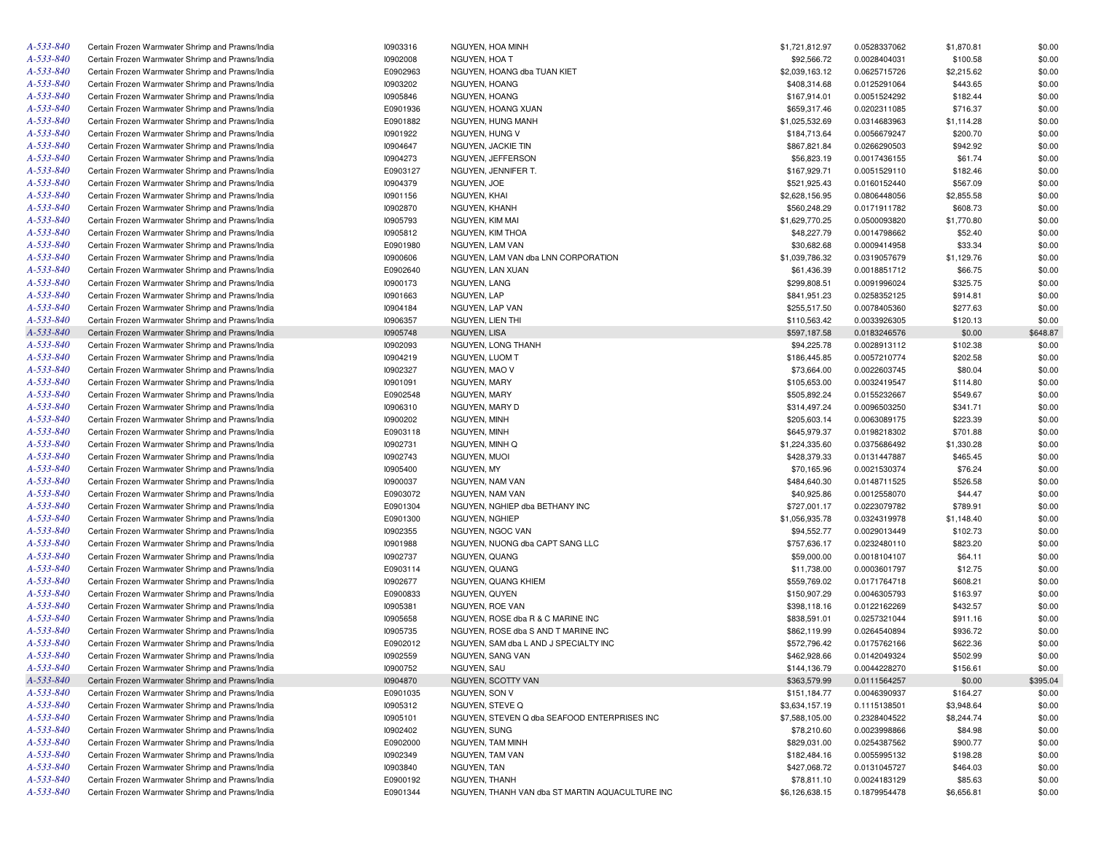| A-533-840 | Certain Frozen Warmwater Shrimp and Prawns/India | 10903316             | NGUYEN, HOA MINH                                | \$1,721,812.97 | 0.0528337062 | \$1,870.81 | \$0.00   |
|-----------|--------------------------------------------------|----------------------|-------------------------------------------------|----------------|--------------|------------|----------|
| A-533-840 | Certain Frozen Warmwater Shrimp and Prawns/India | 10902008             | NGUYEN, HOA T                                   | \$92,566.72    | 0.0028404031 | \$100.58   | \$0.00   |
| A-533-840 | Certain Frozen Warmwater Shrimp and Prawns/India | E0902963             | NGUYEN, HOANG dba TUAN KIET                     | \$2,039,163.12 | 0.0625715726 | \$2,215.62 | \$0.00   |
| A-533-840 | Certain Frozen Warmwater Shrimp and Prawns/India | 10903202             | NGUYEN, HOANG                                   | \$408,314.68   | 0.0125291064 | \$443.65   | \$0.00   |
| A-533-840 | Certain Frozen Warmwater Shrimp and Prawns/India | 10905846             | NGUYEN, HOANG                                   | \$167,914.01   | 0.0051524292 | \$182.44   | \$0.00   |
| A-533-840 | Certain Frozen Warmwater Shrimp and Prawns/India | E0901936             | NGUYEN, HOANG XUAN                              | \$659,317.46   | 0.0202311085 | \$716.37   | \$0.00   |
| A-533-840 | Certain Frozen Warmwater Shrimp and Prawns/India | E0901882             | NGUYEN, HUNG MANH                               | \$1,025,532.69 | 0.0314683963 | \$1,114.28 | \$0.00   |
| A-533-840 | Certain Frozen Warmwater Shrimp and Prawns/India | 10901922             | NGUYEN, HUNG V                                  | \$184,713.64   | 0.0056679247 | \$200.70   | \$0.00   |
| A-533-840 | Certain Frozen Warmwater Shrimp and Prawns/India | 10904647             | NGUYEN, JACKIE TIN                              | \$867,821.84   | 0.0266290503 | \$942.92   | \$0.00   |
| A-533-840 | Certain Frozen Warmwater Shrimp and Prawns/India | 10904273             | NGUYEN, JEFFERSON                               | \$56,823.19    | 0.0017436155 | \$61.74    | \$0.00   |
| A-533-840 | Certain Frozen Warmwater Shrimp and Prawns/India | E0903127             | NGUYEN, JENNIFER T.                             | \$167,929.71   | 0.0051529110 | \$182.46   | \$0.00   |
| A-533-840 | Certain Frozen Warmwater Shrimp and Prawns/India | 10904379             | NGUYEN, JOE                                     | \$521,925.43   | 0.0160152440 | \$567.09   | \$0.00   |
| A-533-840 | Certain Frozen Warmwater Shrimp and Prawns/India | 10901156             | NGUYEN, KHAI                                    | \$2,628,156.95 | 0.0806448056 | \$2,855.58 | \$0.00   |
| A-533-840 | Certain Frozen Warmwater Shrimp and Prawns/India | 10902870             | NGUYEN, KHANH                                   | \$560,248.29   | 0.0171911782 | \$608.73   | \$0.00   |
| A-533-840 | Certain Frozen Warmwater Shrimp and Prawns/India | 10905793             | NGUYEN, KIM MAI                                 | \$1,629,770.25 | 0.0500093820 | \$1,770.80 | \$0.00   |
| A-533-840 | Certain Frozen Warmwater Shrimp and Prawns/India | 10905812             | NGUYEN, KIM THOA                                | \$48,227.79    | 0.0014798662 | \$52.40    | \$0.00   |
| A-533-840 | Certain Frozen Warmwater Shrimp and Prawns/India | E0901980             | NGUYEN, LAM VAN                                 | \$30,682.68    | 0.0009414958 | \$33.34    | \$0.00   |
| A-533-840 | Certain Frozen Warmwater Shrimp and Prawns/India | 10900606             | NGUYEN, LAM VAN dba LNN CORPORATION             | \$1,039,786.32 | 0.0319057679 | \$1,129.76 | \$0.00   |
| A-533-840 | Certain Frozen Warmwater Shrimp and Prawns/India | E0902640             | NGUYEN, LAN XUAN                                | \$61,436.39    | 0.0018851712 | \$66.75    | \$0.00   |
| A-533-840 | Certain Frozen Warmwater Shrimp and Prawns/India | 10900173             | NGUYEN, LANG                                    | \$299,808.51   | 0.0091996024 | \$325.75   | \$0.00   |
| A-533-840 | Certain Frozen Warmwater Shrimp and Prawns/India | 10901663             | NGUYEN, LAP                                     | \$841,951.23   | 0.0258352125 | \$914.81   | \$0.00   |
| A-533-840 | Certain Frozen Warmwater Shrimp and Prawns/India | 10904184             | NGUYEN, LAP VAN                                 | \$255,517.50   | 0.0078405360 | \$277.63   | \$0.00   |
| A-533-840 | Certain Frozen Warmwater Shrimp and Prawns/India | 10906357             | NGUYEN, LIEN THI                                | \$110,563.42   | 0.0033926305 | \$120.13   | \$0.00   |
| A-533-840 | Certain Frozen Warmwater Shrimp and Prawns/India | 10905748             | <b>NGUYEN, LISA</b>                             | \$597,187.58   | 0.0183246576 | \$0.00     | \$648.87 |
| A-533-840 | Certain Frozen Warmwater Shrimp and Prawns/India | 10902093             | NGUYEN, LONG THANH                              | \$94,225.78    | 0.0028913112 | \$102.38   | \$0.00   |
| A-533-840 | Certain Frozen Warmwater Shrimp and Prawns/India | 10904219             | NGUYEN, LUOM T                                  | \$186,445.85   | 0.0057210774 | \$202.58   | \$0.00   |
| A-533-840 | Certain Frozen Warmwater Shrimp and Prawns/India | 10902327             | NGUYEN, MAO V                                   | \$73,664.00    | 0.0022603745 | \$80.04    | \$0.00   |
| A-533-840 | Certain Frozen Warmwater Shrimp and Prawns/India | 10901091             | NGUYEN, MARY                                    | \$105,653.00   | 0.0032419547 | \$114.80   | \$0.00   |
| A-533-840 | Certain Frozen Warmwater Shrimp and Prawns/India | E0902548             | NGUYEN, MARY                                    | \$505,892.24   | 0.0155232667 | \$549.67   | \$0.00   |
| A-533-840 |                                                  | 10906310             | NGUYEN, MARY D                                  |                |              |            | \$0.00   |
| A-533-840 | Certain Frozen Warmwater Shrimp and Prawns/India |                      |                                                 | \$314,497.24   | 0.0096503250 | \$341.71   | \$0.00   |
| A-533-840 | Certain Frozen Warmwater Shrimp and Prawns/India | 10900202<br>E0903118 | NGUYEN, MINH<br>NGUYEN, MINH                    | \$205,603.14   | 0.0063089175 | \$223.39   | \$0.00   |
| A-533-840 | Certain Frozen Warmwater Shrimp and Prawns/India |                      |                                                 | \$645,979.37   | 0.0198218302 | \$701.88   |          |
| A-533-840 | Certain Frozen Warmwater Shrimp and Prawns/India | 10902731             | NGUYEN, MINH Q                                  | \$1,224,335.60 | 0.0375686492 | \$1,330.28 | \$0.00   |
| A-533-840 | Certain Frozen Warmwater Shrimp and Prawns/India | 10902743             | NGUYEN, MUOI                                    | \$428,379.33   | 0.0131447887 | \$465.45   | \$0.00   |
|           | Certain Frozen Warmwater Shrimp and Prawns/India | 10905400             | NGUYEN, MY                                      | \$70,165.96    | 0.0021530374 | \$76.24    | \$0.00   |
| A-533-840 | Certain Frozen Warmwater Shrimp and Prawns/India | 10900037             | NGUYEN, NAM VAN                                 | \$484,640.30   | 0.0148711525 | \$526.58   | \$0.00   |
| A-533-840 | Certain Frozen Warmwater Shrimp and Prawns/India | E0903072             | NGUYEN, NAM VAN                                 | \$40,925.86    | 0.0012558070 | \$44.47    | \$0.00   |
| A-533-840 | Certain Frozen Warmwater Shrimp and Prawns/India | E0901304             | NGUYEN, NGHIEP dba BETHANY INC                  | \$727,001.17   | 0.0223079782 | \$789.91   | \$0.00   |
| A-533-840 | Certain Frozen Warmwater Shrimp and Prawns/India | E0901300             | NGUYEN, NGHIEP                                  | \$1,056,935.78 | 0.0324319978 | \$1,148.40 | \$0.00   |
| A-533-840 | Certain Frozen Warmwater Shrimp and Prawns/India | 10902355             | NGUYEN, NGOC VAN                                | \$94,552.77    | 0.0029013449 | \$102.73   | \$0.00   |
| A-533-840 | Certain Frozen Warmwater Shrimp and Prawns/India | 10901988             | NGUYEN, NUONG dba CAPT SANG LLC                 | \$757,636.17   | 0.0232480110 | \$823.20   | \$0.00   |
| A-533-840 | Certain Frozen Warmwater Shrimp and Prawns/India | 10902737             | NGUYEN, QUANG                                   | \$59,000.00    | 0.0018104107 | \$64.11    | \$0.00   |
| A-533-840 | Certain Frozen Warmwater Shrimp and Prawns/India | E0903114             | NGUYEN, QUANG                                   | \$11,738.00    | 0.0003601797 | \$12.75    | \$0.00   |
| A-533-840 | Certain Frozen Warmwater Shrimp and Prawns/India | 10902677             | NGUYEN, QUANG KHIEM                             | \$559,769.02   | 0.0171764718 | \$608.21   | \$0.00   |
| A-533-840 | Certain Frozen Warmwater Shrimp and Prawns/India | E0900833             | NGUYEN, QUYEN                                   | \$150,907.29   | 0.0046305793 | \$163.97   | \$0.00   |
| A-533-840 | Certain Frozen Warmwater Shrimp and Prawns/India | 10905381             | NGUYEN, ROE VAN                                 | \$398,118.16   | 0.0122162269 | \$432.57   | \$0.00   |
| A-533-840 | Certain Frozen Warmwater Shrimp and Prawns/India | 10905658             | NGUYEN, ROSE dba R & C MARINE INC               | \$838,591.01   | 0.0257321044 | \$911.16   | \$0.00   |
| A-533-840 | Certain Frozen Warmwater Shrimp and Prawns/India | 10905735             | NGUYEN, ROSE dba S AND T MARINE INC             | \$862,119.99   | 0.0264540894 | \$936.72   | \$0.00   |
| A-533-840 | Certain Frozen Warmwater Shrimp and Prawns/India | E0902012             | NGUYEN, SAM dba L AND J SPECIALTY INC           | \$572,796.42   | 0.0175762166 | \$622.36   | \$0.00   |
| A-533-840 | Certain Frozen Warmwater Shrimp and Prawns/India | 10902559             | <b>NGUYEN, SANG VAN</b>                         | \$462,928.66   | 0.0142049324 | \$502.99   | \$0.00   |
| A-533-840 | Certain Frozen Warmwater Shrimp and Prawns/India | 10900752             | NGUYEN, SAU                                     | \$144,136.79   | 0.0044228270 | \$156.61   | \$0.00   |
| A-533-840 | Certain Frozen Warmwater Shrimp and Prawns/India | 10904870             | NGUYEN, SCOTTY VAN                              | \$363,579.99   | 0.0111564257 | \$0.00     | \$395.04 |
| A-533-840 | Certain Frozen Warmwater Shrimp and Prawns/India | E0901035             | NGUYEN, SON V                                   | \$151,184.77   | 0.0046390937 | \$164.27   | \$0.00   |
| A-533-840 | Certain Frozen Warmwater Shrimp and Prawns/India | 10905312             | NGUYEN, STEVE Q                                 | \$3,634,157.19 | 0.1115138501 | \$3,948.64 | \$0.00   |
| A-533-840 | Certain Frozen Warmwater Shrimp and Prawns/India | 10905101             | NGUYEN, STEVEN Q dba SEAFOOD ENTERPRISES INC    | \$7,588,105.00 | 0.2328404522 | \$8,244.74 | \$0.00   |
| A-533-840 | Certain Frozen Warmwater Shrimp and Prawns/India | 10902402             | <b>NGUYEN, SUNG</b>                             | \$78,210.60    | 0.0023998866 | \$84.98    | \$0.00   |
| A-533-840 | Certain Frozen Warmwater Shrimp and Prawns/India | E0902000             | NGUYEN, TAM MINH                                | \$829,031.00   | 0.0254387562 | \$900.77   | \$0.00   |
| A-533-840 | Certain Frozen Warmwater Shrimp and Prawns/India | 10902349             | NGUYEN, TAM VAN                                 | \$182,484.16   | 0.0055995132 | \$198.28   | \$0.00   |
| A-533-840 | Certain Frozen Warmwater Shrimp and Prawns/India | 10903840             | NGUYEN, TAN                                     | \$427,068.72   | 0.0131045727 | \$464.03   | \$0.00   |
| A-533-840 | Certain Frozen Warmwater Shrimp and Prawns/India | E0900192             | NGUYEN, THANH                                   | \$78,811.10    | 0.0024183129 | \$85.63    | \$0.00   |
| A-533-840 | Certain Frozen Warmwater Shrimp and Prawns/India | E0901344             | NGUYEN, THANH VAN dba ST MARTIN AQUACULTURE INC | \$6,126,638.15 | 0.1879954478 | \$6,656.81 | \$0.00   |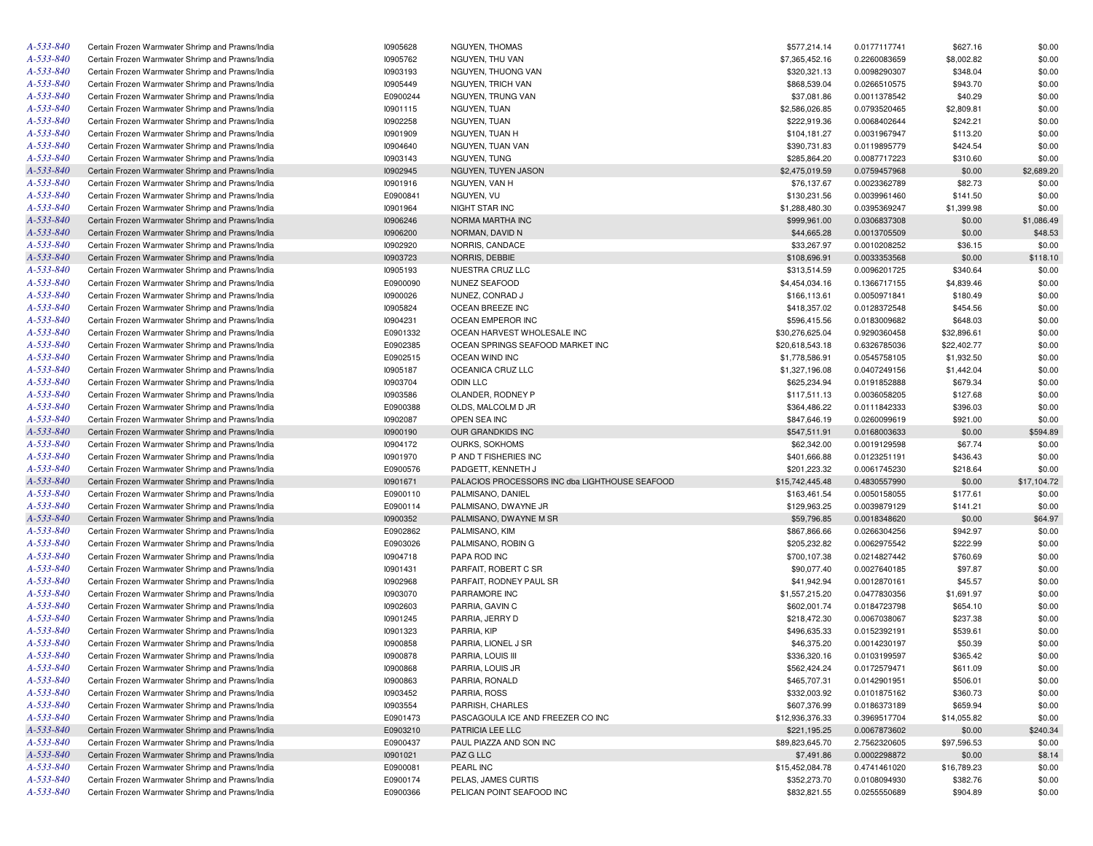| A-533-840       | Certain Frozen Warmwater Shrimp and Prawns/India | 10905628 | NGUYEN, THOMAS                                 | \$577,214.14    | 0.0177117741 | \$627.16    | \$0.00      |
|-----------------|--------------------------------------------------|----------|------------------------------------------------|-----------------|--------------|-------------|-------------|
| A-533-840       | Certain Frozen Warmwater Shrimp and Prawns/India | 10905762 | NGUYEN, THU VAN                                | \$7,365,452.16  | 0.2260083659 | \$8,002.82  | \$0.00      |
| A-533-840       | Certain Frozen Warmwater Shrimp and Prawns/India | 10903193 | NGUYEN, THUONG VAN                             | \$320,321.13    | 0.0098290307 | \$348.04    | \$0.00      |
| A-533-840       | Certain Frozen Warmwater Shrimp and Prawns/India | 10905449 | NGUYEN, TRICH VAN                              | \$868,539.04    | 0.0266510575 | \$943.70    | \$0.00      |
| A-533-840       | Certain Frozen Warmwater Shrimp and Prawns/India | E0900244 | NGUYEN, TRUNG VAN                              | \$37,081.86     | 0.0011378542 | \$40.29     | \$0.00      |
| A-533-840       | Certain Frozen Warmwater Shrimp and Prawns/India | 10901115 | NGUYEN, TUAN                                   | \$2,586,026.85  | 0.0793520465 | \$2,809.81  | \$0.00      |
| A-533-840       | Certain Frozen Warmwater Shrimp and Prawns/India | 10902258 | NGUYEN, TUAN                                   | \$222,919.36    | 0.0068402644 | \$242.21    | \$0.00      |
| A-533-840       | Certain Frozen Warmwater Shrimp and Prawns/India | 10901909 | NGUYEN, TUAN H                                 | \$104,181.27    | 0.0031967947 | \$113.20    | \$0.00      |
| A-533-840       | Certain Frozen Warmwater Shrimp and Prawns/India | 10904640 | NGUYEN, TUAN VAN                               | \$390,731.83    | 0.0119895779 | \$424.54    | \$0.00      |
| A-533-840       | Certain Frozen Warmwater Shrimp and Prawns/India | 10903143 | NGUYEN, TUNG                                   | \$285,864.20    | 0.0087717223 | \$310.60    | \$0.00      |
| A-533-840       | Certain Frozen Warmwater Shrimp and Prawns/India | 10902945 | NGUYEN, TUYEN JASON                            | \$2,475,019.59  | 0.0759457968 | \$0.00      | \$2,689.20  |
| A-533-840       | Certain Frozen Warmwater Shrimp and Prawns/India | 10901916 | NGUYEN, VAN H                                  | \$76,137.67     | 0.0023362789 | \$82.73     | \$0.00      |
| A-533-840       | Certain Frozen Warmwater Shrimp and Prawns/India | E0900841 | NGUYEN, VU                                     | \$130,231.56    | 0.0039961460 | \$141.50    | \$0.00      |
| A-533-840       | Certain Frozen Warmwater Shrimp and Prawns/India | 10901964 | NIGHT STAR INC                                 | \$1,288,480.30  | 0.0395369247 | \$1,399.98  | \$0.00      |
| A-533-840       | Certain Frozen Warmwater Shrimp and Prawns/India | 10906246 | NORMA MARTHA INC                               | \$999,961.00    | 0.0306837308 | \$0.00      | \$1,086.49  |
| A-533-840       | Certain Frozen Warmwater Shrimp and Prawns/India | 10906200 | NORMAN, DAVID N                                | \$44,665.28     | 0.0013705509 | \$0.00      | \$48.53     |
| A-533-840       | Certain Frozen Warmwater Shrimp and Prawns/India | 10902920 | NORRIS, CANDACE                                | \$33,267.97     | 0.0010208252 | \$36.15     | \$0.00      |
| A-533-840       | Certain Frozen Warmwater Shrimp and Prawns/India | 10903723 | NORRIS, DEBBIE                                 | \$108,696.91    | 0.0033353568 | \$0.00      | \$118.10    |
| A-533-840       | Certain Frozen Warmwater Shrimp and Prawns/India | 10905193 | NUESTRA CRUZ LLC                               | \$313,514.59    |              | \$340.64    | \$0.00      |
| A-533-840       | Certain Frozen Warmwater Shrimp and Prawns/India | E0900090 | <b>NUNEZ SEAFOOD</b>                           |                 | 0.0096201725 |             |             |
| A-533-840       |                                                  |          |                                                | \$4,454,034.16  | 0.1366717155 | \$4,839.46  | \$0.00      |
| A-533-840       | Certain Frozen Warmwater Shrimp and Prawns/India | 10900026 | NUNEZ, CONRAD J                                | \$166,113.61    | 0.0050971841 | \$180.49    | \$0.00      |
|                 | Certain Frozen Warmwater Shrimp and Prawns/India | 10905824 | OCEAN BREEZE INC                               | \$418,357.02    | 0.0128372548 | \$454.56    | \$0.00      |
| A-533-840       | Certain Frozen Warmwater Shrimp and Prawns/India | 10904231 | OCEAN EMPEROR INC                              | \$596,415.56    | 0.0183009682 | \$648.03    | \$0.00      |
| A-533-840       | Certain Frozen Warmwater Shrimp and Prawns/India | E0901332 | OCEAN HARVEST WHOLESALE INC                    | \$30,276,625.04 | 0.9290360458 | \$32,896.61 | \$0.00      |
| A-533-840       | Certain Frozen Warmwater Shrimp and Prawns/India | E0902385 | OCEAN SPRINGS SEAFOOD MARKET INC               | \$20,618,543.18 | 0.6326785036 | \$22,402.77 | \$0.00      |
| A-533-840       | Certain Frozen Warmwater Shrimp and Prawns/India | E0902515 | OCEAN WIND INC                                 | \$1,778,586.91  | 0.0545758105 | \$1,932.50  | \$0.00      |
| A-533-840       | Certain Frozen Warmwater Shrimp and Prawns/India | 10905187 | OCEANICA CRUZ LLC                              | \$1,327,196.08  | 0.0407249156 | \$1,442.04  | \$0.00      |
| A-533-840       | Certain Frozen Warmwater Shrimp and Prawns/India | 10903704 | <b>ODIN LLC</b>                                | \$625,234.94    | 0.0191852888 | \$679.34    | \$0.00      |
| A-533-840       | Certain Frozen Warmwater Shrimp and Prawns/India | 10903586 | OLANDER, RODNEY P                              | \$117,511.13    | 0.0036058205 | \$127.68    | \$0.00      |
| A-533-840       | Certain Frozen Warmwater Shrimp and Prawns/India | E0900388 | OLDS, MALCOLM D JR                             | \$364,486.22    | 0.0111842333 | \$396.03    | \$0.00      |
| A-533-840       | Certain Frozen Warmwater Shrimp and Prawns/India | 10902087 | OPEN SEA INC                                   | \$847,646.19    | 0.0260099619 | \$921.00    | \$0.00      |
| A-533-840       | Certain Frozen Warmwater Shrimp and Prawns/India | 10900190 | OUR GRANDKIDS INC                              | \$547,511.91    | 0.0168003633 | \$0.00      | \$594.89    |
| A-533-840       | Certain Frozen Warmwater Shrimp and Prawns/India | 10904172 | <b>OURKS, SOKHOMS</b>                          | \$62,342.00     | 0.0019129598 | \$67.74     | \$0.00      |
| A-533-840       | Certain Frozen Warmwater Shrimp and Prawns/India | 10901970 | P AND T FISHERIES INC                          | \$401,666.88    | 0.0123251191 | \$436.43    | \$0.00      |
| A-533-840       | Certain Frozen Warmwater Shrimp and Prawns/India | E0900576 | PADGETT, KENNETH J                             | \$201,223.32    | 0.0061745230 | \$218.64    | \$0.00      |
| A-533-840       | Certain Frozen Warmwater Shrimp and Prawns/India | 10901671 | PALACIOS PROCESSORS INC dba LIGHTHOUSE SEAFOOD | \$15,742,445.48 | 0.4830557990 | \$0.00      | \$17,104.72 |
| A-533-840       | Certain Frozen Warmwater Shrimp and Prawns/India | E0900110 | PALMISANO, DANIEL                              | \$163,461.54    | 0.0050158055 | \$177.61    | \$0.00      |
| A-533-840       | Certain Frozen Warmwater Shrimp and Prawns/India | E0900114 | PALMISANO, DWAYNE JR                           | \$129,963.25    | 0.0039879129 | \$141.21    | \$0.00      |
| A-533-840       | Certain Frozen Warmwater Shrimp and Prawns/India | 10900352 | PALMISANO, DWAYNE M SR                         | \$59,796.85     | 0.0018348620 | \$0.00      | \$64.97     |
| A-533-840       | Certain Frozen Warmwater Shrimp and Prawns/India | E0902862 | PALMISANO, KIM                                 | \$867,866.66    | 0.0266304256 | \$942.97    | \$0.00      |
| A-533-840       | Certain Frozen Warmwater Shrimp and Prawns/India | E0903026 | PALMISANO, ROBIN G                             | \$205,232.82    | 0.0062975542 | \$222.99    | \$0.00      |
| A-533-840       | Certain Frozen Warmwater Shrimp and Prawns/India | 10904718 | PAPA ROD INC                                   | \$700,107.38    | 0.0214827442 | \$760.69    | \$0.00      |
| A-533-840       | Certain Frozen Warmwater Shrimp and Prawns/India | 10901431 | PARFAIT, ROBERT C SR                           | \$90,077.40     | 0.0027640185 | \$97.87     | \$0.00      |
| A-533-840       | Certain Frozen Warmwater Shrimp and Prawns/India | 10902968 | PARFAIT, RODNEY PAUL SR                        | \$41,942.94     | 0.0012870161 | \$45.57     | \$0.00      |
| A-533-840       | Certain Frozen Warmwater Shrimp and Prawns/India | 10903070 | PARRAMORE INC                                  | \$1,557,215.20  | 0.0477830356 | \$1,691.97  | \$0.00      |
| A-533-840       | Certain Frozen Warmwater Shrimp and Prawns/India | 10902603 | PARRIA, GAVIN C                                | \$602,001.74    | 0.0184723798 | \$654.10    | \$0.00      |
| A-533-840       | Certain Frozen Warmwater Shrimp and Prawns/India | 10901245 | PARRIA, JERRY D                                | \$218,472.30    | 0.0067038067 | \$237.38    | \$0.00      |
| A-533-840       | Certain Frozen Warmwater Shrimp and Prawns/India | 10901323 | PARRIA, KIP                                    | \$496,635.33    | 0.0152392191 | \$539.61    | \$0.00      |
| A-533-840       | Certain Frozen Warmwater Shrimp and Prawns/India | 10900858 | PARRIA, LIONEL J SR                            | \$46,375.20     | 0.0014230197 | \$50.39     | \$0.00      |
| A-533-840       | Certain Frozen Warmwater Shrimp and Prawns/India | 10900878 | PARRIA, LOUIS III                              | \$336,320.16    | 0.0103199597 | \$365.42    | \$0.00      |
| A-533-840       | Certain Frozen Warmwater Shrimp and Prawns/India | 10900868 | PARRIA, LOUIS JR                               | \$562,424.24    | 0.0172579471 | \$611.09    | \$0.00      |
| A-533-840       | Certain Frozen Warmwater Shrimp and Prawns/India | 10900863 | PARRIA, RONALD                                 | \$465,707.31    | 0.0142901951 | \$506.01    | \$0.00      |
| A-533-840       | Certain Frozen Warmwater Shrimp and Prawns/India | 10903452 | PARRIA, ROSS                                   | \$332,003.92    | 0.0101875162 | \$360.73    | \$0.00      |
| A-533-840       | Certain Frozen Warmwater Shrimp and Prawns/India | 10903554 | PARRISH, CHARLES                               | \$607,376.99    | 0.0186373189 | \$659.94    | \$0.00      |
| A-533-840       | Certain Frozen Warmwater Shrimp and Prawns/India | E0901473 | PASCAGOULA ICE AND FREEZER CO INC              | \$12,936,376.33 | 0.3969517704 | \$14,055.82 | \$0.00      |
| A-533-840       | Certain Frozen Warmwater Shrimp and Prawns/India | E0903210 | PATRICIA LEE LLC                               | \$221,195.25    | 0.0067873602 | \$0.00      | \$240.34    |
| A-533-840       | Certain Frozen Warmwater Shrimp and Prawns/India | E0900437 | PAUL PIAZZA AND SON INC                        | \$89,823,645.70 | 2.7562320605 | \$97,596.53 | \$0.00      |
| A-533-840       | Certain Frozen Warmwater Shrimp and Prawns/India | 10901021 | PAZ G LLC                                      | \$7,491.86      | 0.0002298872 | \$0.00      | \$8.14      |
| A-533-840       |                                                  |          | PEARL INC                                      |                 |              |             |             |
| A-533-840       | Certain Frozen Warmwater Shrimp and Prawns/India | E0900081 |                                                | \$15,452,084.78 | 0.4741461020 | \$16,789.23 | \$0.00      |
|                 | Certain Frozen Warmwater Shrimp and Prawns/India | E0900174 | PELAS, JAMES CURTIS                            | \$352,273.70    | 0.0108094930 | \$382.76    | \$0.00      |
| $A - 533 - 840$ | Certain Frozen Warmwater Shrimp and Prawns/India | E0900366 | PELICAN POINT SEAFOOD INC                      | \$832,821.55    | 0.0255550689 | \$904.89    | \$0.00      |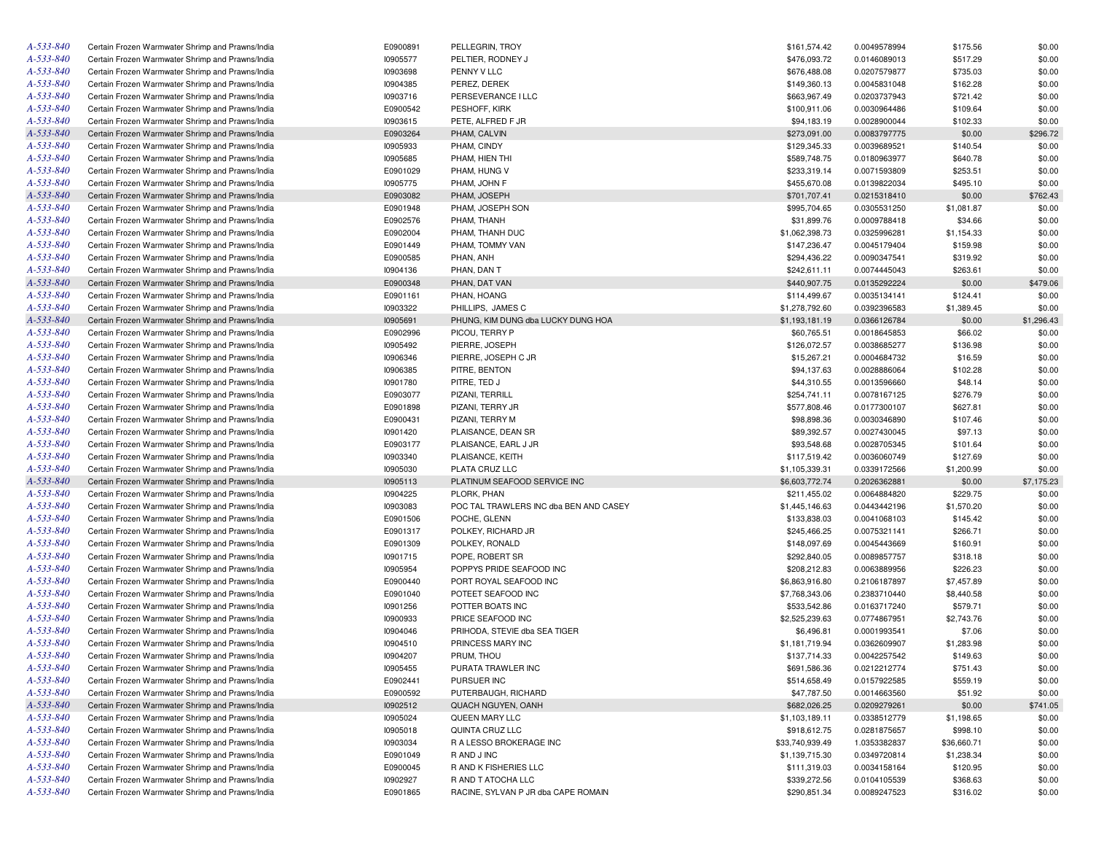| A-533-840 | Certain Frozen Warmwater Shrimp and Prawns/India | E0900891 | PELLEGRIN, TROY                        | \$161,574.42    | 0.0049578994                 | \$175.56    | \$0.00     |
|-----------|--------------------------------------------------|----------|----------------------------------------|-----------------|------------------------------|-------------|------------|
| A-533-840 | Certain Frozen Warmwater Shrimp and Prawns/India | 10905577 | PELTIER, RODNEY J                      | \$476,093.72    | 0.0146089013                 | \$517.29    | \$0.00     |
| A-533-840 | Certain Frozen Warmwater Shrimp and Prawns/India | 10903698 | PENNY V LLC                            | \$676,488.08    | 0.0207579877                 | \$735.03    | \$0.00     |
| A-533-840 | Certain Frozen Warmwater Shrimp and Prawns/India | 10904385 | PEREZ, DEREK                           | \$149,360.13    | 0.0045831048                 | \$162.28    | \$0.00     |
| A-533-840 | Certain Frozen Warmwater Shrimp and Prawns/India | 10903716 | PERSEVERANCE I LLC                     | \$663,967.49    | 0.0203737943                 | \$721.42    | \$0.00     |
| A-533-840 | Certain Frozen Warmwater Shrimp and Prawns/India | E0900542 | PESHOFF, KIRK                          | \$100,911.06    | 0.0030964486                 | \$109.64    | \$0.00     |
| A-533-840 | Certain Frozen Warmwater Shrimp and Prawns/India | 10903615 | PETE, ALFRED F JR                      | \$94,183.19     | 0.0028900044                 | \$102.33    | \$0.00     |
| A-533-840 | Certain Frozen Warmwater Shrimp and Prawns/India | E0903264 | PHAM, CALVIN                           | \$273,091.00    | 0.0083797775                 | \$0.00      | \$296.72   |
| A-533-840 | Certain Frozen Warmwater Shrimp and Prawns/India | 10905933 | PHAM, CINDY                            | \$129,345.33    | 0.0039689521                 | \$140.54    | \$0.00     |
| A-533-840 | Certain Frozen Warmwater Shrimp and Prawns/India | 10905685 | PHAM, HIEN THI                         | \$589,748.75    | 0.0180963977                 | \$640.78    | \$0.00     |
| A-533-840 | Certain Frozen Warmwater Shrimp and Prawns/India | E0901029 | PHAM, HUNG V                           | \$233,319.14    | 0.0071593809                 | \$253.51    | \$0.00     |
| A-533-840 | Certain Frozen Warmwater Shrimp and Prawns/India | 10905775 | PHAM. JOHN F                           | \$455,670.08    | 0.0139822034                 | \$495.10    | \$0.00     |
| A-533-840 | Certain Frozen Warmwater Shrimp and Prawns/India | E0903082 | PHAM, JOSEPH                           | \$701,707.41    | 0.0215318410                 | \$0.00      | \$762.43   |
| A-533-840 | Certain Frozen Warmwater Shrimp and Prawns/India | E0901948 | PHAM, JOSEPH SON                       | \$995,704.65    | 0.0305531250                 | \$1,081.87  | \$0.00     |
| A-533-840 | Certain Frozen Warmwater Shrimp and Prawns/India | E0902576 | PHAM, THANH                            | \$31,899.76     | 0.0009788418                 | \$34.66     | \$0.00     |
| A-533-840 | Certain Frozen Warmwater Shrimp and Prawns/India | E0902004 | PHAM, THANH DUC                        | \$1,062,398.73  | 0.0325996281                 | \$1,154.33  | \$0.00     |
| A-533-840 | Certain Frozen Warmwater Shrimp and Prawns/India | E0901449 | PHAM, TOMMY VAN                        | \$147,236.47    | 0.0045179404                 | \$159.98    | \$0.00     |
| A-533-840 | Certain Frozen Warmwater Shrimp and Prawns/India | E0900585 | PHAN, ANH                              | \$294,436.22    | 0.0090347541                 | \$319.92    | \$0.00     |
| A-533-840 |                                                  | 10904136 | PHAN, DAN T                            |                 |                              |             | \$0.00     |
|           | Certain Frozen Warmwater Shrimp and Prawns/India |          |                                        | \$242,611.11    | 0.0074445043                 | \$263.61    |            |
| A-533-840 | Certain Frozen Warmwater Shrimp and Prawns/India | E0900348 | PHAN, DAT VAN                          | \$440,907.75    | 0.0135292224                 | \$0.00      | \$479.06   |
| A-533-840 | Certain Frozen Warmwater Shrimp and Prawns/India | E0901161 | PHAN, HOANG                            | \$114,499.67    | 0.0035134141                 | \$124.41    | \$0.00     |
| A-533-840 | Certain Frozen Warmwater Shrimp and Prawns/India | 10903322 | PHILLIPS, JAMES C                      | \$1,278,792.60  | 0.0392396583                 | \$1,389.45  | \$0.00     |
| A-533-840 | Certain Frozen Warmwater Shrimp and Prawns/India | 10905691 | PHUNG, KIM DUNG dba LUCKY DUNG HOA     | \$1,193,181.19  | 0.0366126784                 | \$0.00      | \$1,296.43 |
| A-533-840 | Certain Frozen Warmwater Shrimp and Prawns/India | E0902996 | PICOU, TERRY P                         | \$60,765.51     | 0.0018645853                 | \$66.02     | \$0.00     |
| A-533-840 | Certain Frozen Warmwater Shrimp and Prawns/India | 10905492 | PIERRE, JOSEPH                         | \$126,072.57    | 0.0038685277                 | \$136.98    | \$0.00     |
| A-533-840 | Certain Frozen Warmwater Shrimp and Prawns/India | 10906346 | PIERRE, JOSEPH C JR                    | \$15,267.21     | 0.0004684732                 | \$16.59     | \$0.00     |
| A-533-840 | Certain Frozen Warmwater Shrimp and Prawns/India | 10906385 | PITRE, BENTON                          | \$94,137.63     | 0.0028886064                 | \$102.28    | \$0.00     |
| A-533-840 | Certain Frozen Warmwater Shrimp and Prawns/India | 10901780 | PITRE, TED J                           | \$44,310.55     | 0.0013596660                 | \$48.14     | \$0.00     |
| A-533-840 | Certain Frozen Warmwater Shrimp and Prawns/India | E0903077 | PIZANI, TERRILL                        | \$254,741.11    | 0.0078167125                 | \$276.79    | \$0.00     |
| A-533-840 | Certain Frozen Warmwater Shrimp and Prawns/India | E0901898 | PIZANI, TERRY JR                       | \$577,808.46    | 0.0177300107                 | \$627.81    | \$0.00     |
| A-533-840 | Certain Frozen Warmwater Shrimp and Prawns/India | E0900431 | PIZANI, TERRY M                        | \$98,898.36     | 0.0030346890                 | \$107.46    | \$0.00     |
| A-533-840 | Certain Frozen Warmwater Shrimp and Prawns/India | 10901420 | PLAISANCE, DEAN SR                     | \$89,392.57     | 0.0027430045                 | \$97.13     | \$0.00     |
| A-533-840 | Certain Frozen Warmwater Shrimp and Prawns/India | E0903177 | PLAISANCE, EARL J JR                   | \$93,548.68     | 0.0028705345                 | \$101.64    | \$0.00     |
| A-533-840 | Certain Frozen Warmwater Shrimp and Prawns/India | 10903340 | PLAISANCE, KEITH                       | \$117,519.42    | 0.0036060749                 | \$127.69    | \$0.00     |
| A-533-840 | Certain Frozen Warmwater Shrimp and Prawns/India | 10905030 | PLATA CRUZ LLC                         | \$1,105,339.31  | 0.0339172566                 | \$1,200.99  | \$0.00     |
| A-533-840 | Certain Frozen Warmwater Shrimp and Prawns/India | 10905113 | PLATINUM SEAFOOD SERVICE INC           | \$6,603,772.74  | 0.2026362881                 | \$0.00      | \$7,175.23 |
| A-533-840 | Certain Frozen Warmwater Shrimp and Prawns/India | 10904225 | PLORK, PHAN                            | \$211,455.02    | 0.0064884820                 | \$229.75    | \$0.00     |
| A-533-840 | Certain Frozen Warmwater Shrimp and Prawns/India | 10903083 | POC TAL TRAWLERS INC dba BEN AND CASEY | \$1,445,146.63  | 0.0443442196                 | \$1,570.20  | \$0.00     |
| A-533-840 | Certain Frozen Warmwater Shrimp and Prawns/India | E0901506 | POCHE, GLENN                           | \$133,838.03    | 0.0041068103                 | \$145.42    | \$0.00     |
| A-533-840 | Certain Frozen Warmwater Shrimp and Prawns/India | E0901317 | POLKEY, RICHARD JR                     | \$245,466.25    | 0.0075321141                 | \$266.71    | \$0.00     |
| A-533-840 | Certain Frozen Warmwater Shrimp and Prawns/India | E0901309 | POLKEY, RONALD                         | \$148,097.69    | 0.0045443669                 | \$160.91    | \$0.00     |
| A-533-840 | Certain Frozen Warmwater Shrimp and Prawns/India | 10901715 | POPE, ROBERT SR                        | \$292,840.05    | 0.0089857757                 | \$318.18    | \$0.00     |
| A-533-840 | Certain Frozen Warmwater Shrimp and Prawns/India | 10905954 | POPPYS PRIDE SEAFOOD INC               | \$208,212.83    | 0.0063889956                 | \$226.23    | \$0.00     |
| A-533-840 | Certain Frozen Warmwater Shrimp and Prawns/India | E0900440 | PORT ROYAL SEAFOOD INC                 | \$6,863,916.80  | 0.2106187897                 | \$7,457.89  | \$0.00     |
| A-533-840 | Certain Frozen Warmwater Shrimp and Prawns/India | E0901040 | POTEET SEAFOOD INC                     | \$7,768,343.06  | 0.2383710440                 | \$8,440.58  | \$0.00     |
| A-533-840 | Certain Frozen Warmwater Shrimp and Prawns/India | 10901256 | POTTER BOATS INC                       | \$533,542.86    | 0.0163717240                 | \$579.71    | \$0.00     |
| A-533-840 | Certain Frozen Warmwater Shrimp and Prawns/India | 10900933 | PRICE SEAFOOD INC                      | \$2,525,239.63  | 0.0774867951                 | \$2,743.76  | \$0.00     |
| A-533-840 | Certain Frozen Warmwater Shrimp and Prawns/India | 10904046 | PRIHODA, STEVIE dba SEA TIGER          | \$6,496.81      | 0.0001993541                 | \$7.06      | \$0.00     |
| A-533-840 | Certain Frozen Warmwater Shrimp and Prawns/India | 10904510 | PRINCESS MARY INC                      | \$1,181,719.94  | 0.0362609907                 | \$1,283.98  | \$0.00     |
| A-533-840 | Certain Frozen Warmwater Shrimp and Prawns/India | 10904207 | PRUM, THOU                             | \$137,714.33    | 0.0042257542                 | \$149.63    | \$0.00     |
| A-533-840 | Certain Frozen Warmwater Shrimp and Prawns/India | I0905455 | PURATA TRAWLER INC                     | \$691,586.36    | 0.0212212774                 | \$751.43    | \$0.00     |
| A-533-840 | Certain Frozen Warmwater Shrimp and Prawns/India | E0902441 | PURSUER INC                            | \$514,658.49    | 0.0157922585                 | \$559.19    | \$0.00     |
| A-533-840 | Certain Frozen Warmwater Shrimp and Prawns/India | E0900592 | PUTERBAUGH, RICHARD                    | \$47,787.50     | 0.0014663560                 | \$51.92     | \$0.00     |
| A-533-840 | Certain Frozen Warmwater Shrimp and Prawns/India | 10902512 | QUACH NGUYEN, OANH                     | \$682,026.25    | 0.0209279261                 | \$0.00      | \$741.05   |
| A-533-840 | Certain Frozen Warmwater Shrimp and Prawns/India | 10905024 | QUEEN MARY LLC                         | \$1,103,189.11  | 0.0338512779                 | \$1,198.65  | \$0.00     |
| A-533-840 | Certain Frozen Warmwater Shrimp and Prawns/India | 10905018 | QUINTA CRUZ LLC                        | \$918,612.75    | 0.0281875657                 | \$998.10    | \$0.00     |
| A-533-840 | Certain Frozen Warmwater Shrimp and Prawns/India | 10903034 | R A LESSO BROKERAGE INC                | \$33,740,939.49 |                              | \$36,660.71 |            |
| A-533-840 |                                                  |          |                                        | \$1,139,715.30  | 1.0353382837<br>0.0349720814 |             | \$0.00     |
|           | Certain Frozen Warmwater Shrimp and Prawns/India | E0901049 | R AND J INC                            |                 |                              | \$1,238.34  | \$0.00     |
| A-533-840 | Certain Frozen Warmwater Shrimp and Prawns/India | E0900045 | R AND K FISHERIES LLC                  | \$111,319.03    | 0.0034158164                 | \$120.95    | \$0.00     |
| A-533-840 | Certain Frozen Warmwater Shrimp and Prawns/India | 10902927 | R AND T ATOCHA LLC                     | \$339,272.56    | 0.0104105539                 | \$368.63    | \$0.00     |
| A-533-840 | Certain Frozen Warmwater Shrimp and Prawns/India | E0901865 | RACINE, SYLVAN P JR dba CAPE ROMAIN    | \$290,851.34    | 0.0089247523                 | \$316.02    | \$0.00     |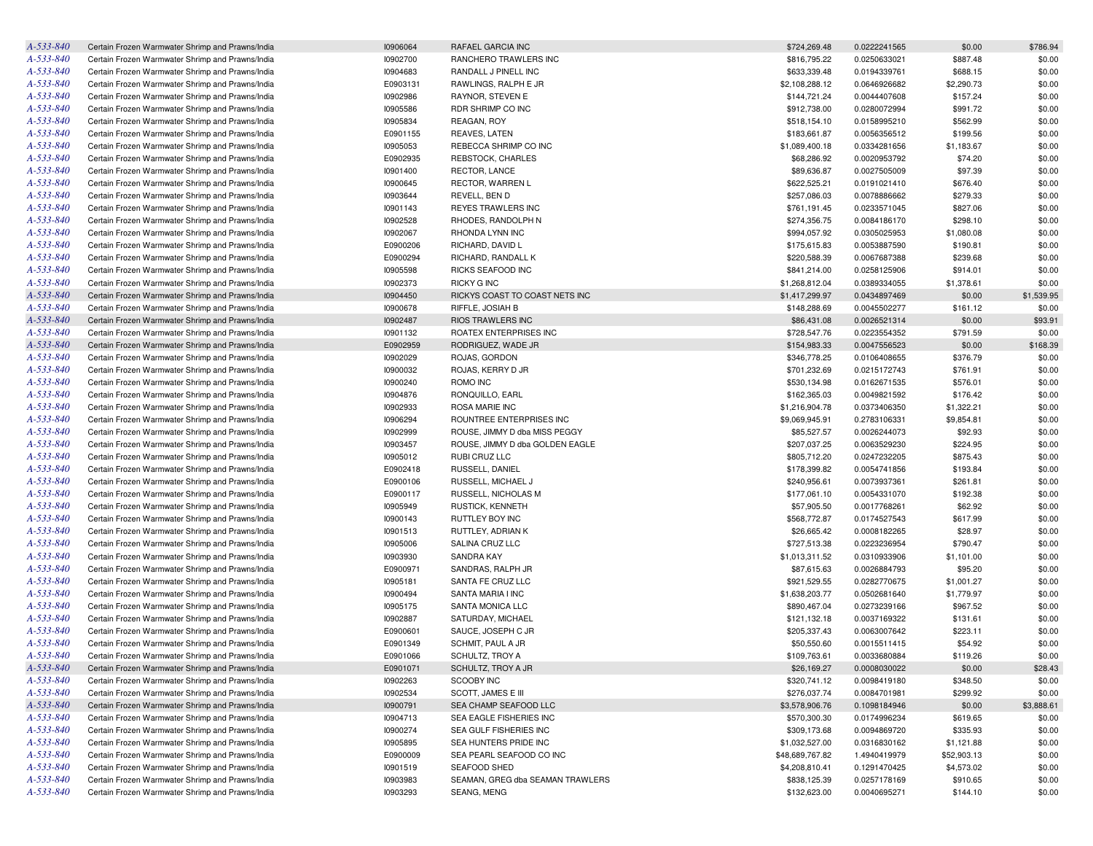| A-533-840       | Certain Frozen Warmwater Shrimp and Prawns/India | 10906064 | RAFAEL GARCIA INC                | \$724,269.48    | 0.0222241565 | \$0.00      | \$786.94   |
|-----------------|--------------------------------------------------|----------|----------------------------------|-----------------|--------------|-------------|------------|
| A-533-840       | Certain Frozen Warmwater Shrimp and Prawns/India | 10902700 | RANCHERO TRAWLERS INC            | \$816,795.22    | 0.0250633021 | \$887.48    | \$0.00     |
| A-533-840       | Certain Frozen Warmwater Shrimp and Prawns/India | 10904683 | RANDALL J PINELL INC             | \$633,339.48    | 0.0194339761 | \$688.15    | \$0.00     |
| A-533-840       | Certain Frozen Warmwater Shrimp and Prawns/India | E0903131 | RAWLINGS, RALPH E JR             | \$2,108,288.12  | 0.0646926682 | \$2,290.73  | \$0.00     |
| A-533-840       | Certain Frozen Warmwater Shrimp and Prawns/India | 10902986 | RAYNOR, STEVEN E                 | \$144,721.24    | 0.0044407608 | \$157.24    | \$0.00     |
| A-533-840       | Certain Frozen Warmwater Shrimp and Prawns/India | 10905586 | RDR SHRIMP CO INC                | \$912,738.00    | 0.0280072994 | \$991.72    | \$0.00     |
| A-533-840       | Certain Frozen Warmwater Shrimp and Prawns/India | 10905834 | REAGAN, ROY                      | \$518,154.10    | 0.0158995210 | \$562.99    | \$0.00     |
| A-533-840       | Certain Frozen Warmwater Shrimp and Prawns/India | E0901155 | <b>REAVES, LATEN</b>             | \$183,661.87    | 0.0056356512 | \$199.56    | \$0.00     |
| A-533-840       | Certain Frozen Warmwater Shrimp and Prawns/India | 10905053 | REBECCA SHRIMP CO INC            | \$1,089,400.18  | 0.0334281656 | \$1,183.67  | \$0.00     |
| A-533-840       | Certain Frozen Warmwater Shrimp and Prawns/India | E0902935 | REBSTOCK, CHARLES                | \$68,286.92     | 0.0020953792 | \$74.20     | \$0.00     |
| A-533-840       | Certain Frozen Warmwater Shrimp and Prawns/India | 10901400 | <b>RECTOR, LANCE</b>             | \$89,636.87     | 0.0027505009 | \$97.39     | \$0.00     |
| A-533-840       | Certain Frozen Warmwater Shrimp and Prawns/India | 10900645 | RECTOR, WARREN L                 | \$622,525.21    | 0.0191021410 | \$676.40    | \$0.00     |
| A-533-840       | Certain Frozen Warmwater Shrimp and Prawns/India | 10903644 | REVELL, BEN D                    | \$257,086.03    | 0.0078886662 | \$279.33    | \$0.00     |
| A-533-840       | Certain Frozen Warmwater Shrimp and Prawns/India | 10901143 | <b>REYES TRAWLERS INC</b>        | \$761,191.45    | 0.0233571045 | \$827.06    | \$0.00     |
| A-533-840       | Certain Frozen Warmwater Shrimp and Prawns/India | 10902528 | RHODES, RANDOLPH N               | \$274,356.75    | 0.0084186170 | \$298.10    | \$0.00     |
| A-533-840       | Certain Frozen Warmwater Shrimp and Prawns/India |          | RHONDA LYNN INC                  |                 |              |             |            |
| A-533-840       |                                                  | 10902067 |                                  | \$994,057.92    | 0.0305025953 | \$1,080.08  | \$0.00     |
|                 | Certain Frozen Warmwater Shrimp and Prawns/India | E0900206 | RICHARD, DAVID L                 | \$175,615.83    | 0.0053887590 | \$190.81    | \$0.00     |
| A-533-840       | Certain Frozen Warmwater Shrimp and Prawns/India | E0900294 | RICHARD, RANDALL K               | \$220,588.39    | 0.0067687388 | \$239.68    | \$0.00     |
| A-533-840       | Certain Frozen Warmwater Shrimp and Prawns/India | 10905598 | RICKS SEAFOOD INC                | \$841,214.00    | 0.0258125906 | \$914.01    | \$0.00     |
| A-533-840       | Certain Frozen Warmwater Shrimp and Prawns/India | 10902373 | <b>RICKY G INC</b>               | \$1,268,812.04  | 0.0389334055 | \$1,378.61  | \$0.00     |
| A-533-840       | Certain Frozen Warmwater Shrimp and Prawns/India | 10904450 | RICKYS COAST TO COAST NETS INC   | \$1,417,299.97  | 0.0434897469 | \$0.00      | \$1,539.95 |
| A-533-840       | Certain Frozen Warmwater Shrimp and Prawns/India | 10900678 | RIFFLE, JOSIAH B                 | \$148,288.69    | 0.0045502277 | \$161.12    | \$0.00     |
| A-533-840       | Certain Frozen Warmwater Shrimp and Prawns/India | 10902487 | <b>RIOS TRAWLERS INC</b>         | \$86,431.08     | 0.0026521314 | \$0.00      | \$93.91    |
| A-533-840       | Certain Frozen Warmwater Shrimp and Prawns/India | 10901132 | ROATEX ENTERPRISES INC           | \$728,547.76    | 0.0223554352 | \$791.59    | \$0.00     |
| A-533-840       | Certain Frozen Warmwater Shrimp and Prawns/India | E0902959 | RODRIGUEZ, WADE JR               | \$154,983.33    | 0.0047556523 | \$0.00      | \$168.39   |
| A-533-840       | Certain Frozen Warmwater Shrimp and Prawns/India | 10902029 | ROJAS, GORDON                    | \$346,778.25    | 0.0106408655 | \$376.79    | \$0.00     |
| A-533-840       | Certain Frozen Warmwater Shrimp and Prawns/India | 10900032 | ROJAS, KERRY D JR                | \$701,232.69    | 0.0215172743 | \$761.91    | \$0.00     |
| A-533-840       | Certain Frozen Warmwater Shrimp and Prawns/India | 10900240 | ROMO INC                         | \$530,134.98    | 0.0162671535 | \$576.01    | \$0.00     |
| A-533-840       | Certain Frozen Warmwater Shrimp and Prawns/India | 10904876 | RONQUILLO, EARL                  | \$162,365.03    | 0.0049821592 | \$176.42    | \$0.00     |
| A-533-840       | Certain Frozen Warmwater Shrimp and Prawns/India | 10902933 | ROSA MARIE INC                   | \$1,216,904.78  | 0.0373406350 | \$1,322.21  | \$0.00     |
| A-533-840       | Certain Frozen Warmwater Shrimp and Prawns/India | 10906294 | ROUNTREE ENTERPRISES INC         | \$9,069,945.91  | 0.2783106331 | \$9,854.81  | \$0.00     |
| A-533-840       | Certain Frozen Warmwater Shrimp and Prawns/India | 10902999 | ROUSE, JIMMY D dba MISS PEGGY    | \$85,527.57     | 0.0026244073 | \$92.93     | \$0.00     |
| A-533-840       | Certain Frozen Warmwater Shrimp and Prawns/India | 10903457 | ROUSE, JIMMY D dba GOLDEN EAGLE  | \$207,037.25    | 0.0063529230 | \$224.95    | \$0.00     |
| A-533-840       | Certain Frozen Warmwater Shrimp and Prawns/India | 10905012 | RUBI CRUZ LLC                    | \$805,712.20    | 0.0247232205 | \$875.43    | \$0.00     |
| A-533-840       | Certain Frozen Warmwater Shrimp and Prawns/India | E0902418 | RUSSELL, DANIEL                  | \$178,399.82    | 0.0054741856 | \$193.84    | \$0.00     |
| A-533-840       | Certain Frozen Warmwater Shrimp and Prawns/India | E0900106 | RUSSELL, MICHAEL J               | \$240,956.61    | 0.0073937361 | \$261.81    | \$0.00     |
| A-533-840       | Certain Frozen Warmwater Shrimp and Prawns/India | E0900117 | RUSSELL, NICHOLAS M              | \$177,061.10    | 0.0054331070 | \$192.38    | \$0.00     |
| A-533-840       | Certain Frozen Warmwater Shrimp and Prawns/India | 10905949 | <b>RUSTICK, KENNETH</b>          | \$57,905.50     | 0.0017768261 | \$62.92     | \$0.00     |
| A-533-840       | Certain Frozen Warmwater Shrimp and Prawns/India | 10900143 | RUTTLEY BOY INC                  | \$568,772.87    | 0.0174527543 | \$617.99    | \$0.00     |
| A-533-840       | Certain Frozen Warmwater Shrimp and Prawns/India | 10901513 | RUTTLEY, ADRIAN K                | \$26,665.42     | 0.0008182265 | \$28.97     | \$0.00     |
| A-533-840       | Certain Frozen Warmwater Shrimp and Prawns/India | 10905006 | SALINA CRUZ LLC                  | \$727,513.38    | 0.0223236954 | \$790.47    | \$0.00     |
| A-533-840       |                                                  |          |                                  |                 |              |             |            |
|                 | Certain Frozen Warmwater Shrimp and Prawns/India | 10903930 | SANDRA KAY                       | \$1,013,311.52  | 0.0310933906 | \$1,101.00  | \$0.00     |
| A-533-840       | Certain Frozen Warmwater Shrimp and Prawns/India | E0900971 | SANDRAS, RALPH JR                | \$87,615.63     | 0.0026884793 | \$95.20     | \$0.00     |
| A-533-840       | Certain Frozen Warmwater Shrimp and Prawns/India | 10905181 | SANTA FE CRUZ LLC                | \$921,529.55    | 0.0282770675 | \$1,001.27  | \$0.00     |
| A-533-840       | Certain Frozen Warmwater Shrimp and Prawns/India | 10900494 | SANTA MARIA I INC                | \$1,638,203.77  | 0.0502681640 | \$1,779.97  | \$0.00     |
| A-533-840       | Certain Frozen Warmwater Shrimp and Prawns/India | I0905175 | SANTA MONICA LLC                 | \$890,467.04    | 0.0273239166 | \$967.52    | \$0.00     |
| A-533-840       | Certain Frozen Warmwater Shrimp and Prawns/India | 10902887 | SATURDAY, MICHAEL                | \$121,132.18    | 0.0037169322 | \$131.61    | \$0.00     |
| A-533-840       | Certain Frozen Warmwater Shrimp and Prawns/India | E0900601 | SAUCE, JOSEPH C JR               | \$205,337.43    | 0.0063007642 | \$223.11    | \$0.00     |
| A-533-840       | Certain Frozen Warmwater Shrimp and Prawns/India | E0901349 | SCHMIT, PAUL A JR                | \$50,550.60     | 0.0015511415 | \$54.92     | \$0.00     |
| A-533-840       | Certain Frozen Warmwater Shrimp and Prawns/India | E0901066 | SCHULTZ, TROY A                  | \$109,763.61    | 0.0033680884 | \$119.26    | \$0.00     |
| A-533-840       | Certain Frozen Warmwater Shrimp and Prawns/India | E0901071 | SCHULTZ, TROY A JR               | \$26,169.27     | 0.0008030022 | \$0.00      | \$28.43    |
| A-533-840       | Certain Frozen Warmwater Shrimp and Prawns/India | 10902263 | <b>SCOOBY INC</b>                | \$320,741.12    | 0.0098419180 | \$348.50    | \$0.00     |
| A-533-840       | Certain Frozen Warmwater Shrimp and Prawns/India | 10902534 | SCOTT, JAMES E III               | \$276,037.74    | 0.0084701981 | \$299.92    | \$0.00     |
| A-533-840       | Certain Frozen Warmwater Shrimp and Prawns/India | 10900791 | SEA CHAMP SEAFOOD LLC            | \$3,578,906.76  | 0.1098184946 | \$0.00      | \$3,888.61 |
| A-533-840       | Certain Frozen Warmwater Shrimp and Prawns/India | 10904713 | SEA EAGLE FISHERIES INC          | \$570,300.30    | 0.0174996234 | \$619.65    | \$0.00     |
| A-533-840       | Certain Frozen Warmwater Shrimp and Prawns/India | 10900274 | SEA GULF FISHERIES INC           | \$309,173.68    | 0.0094869720 | \$335.93    | \$0.00     |
| A-533-840       | Certain Frozen Warmwater Shrimp and Prawns/India | 10905895 | SEA HUNTERS PRIDE INC            | \$1,032,527.00  | 0.0316830162 | \$1,121.88  | \$0.00     |
| A-533-840       | Certain Frozen Warmwater Shrimp and Prawns/India | E0900009 | SEA PEARL SEAFOOD CO INC         | \$48,689,767.82 | 1.4940419979 | \$52,903.13 | \$0.00     |
| A-533-840       | Certain Frozen Warmwater Shrimp and Prawns/India | 10901519 | <b>SEAFOOD SHED</b>              | \$4,208,810.41  | 0.1291470425 | \$4,573.02  | \$0.00     |
| A-533-840       | Certain Frozen Warmwater Shrimp and Prawns/India | 10903983 | SEAMAN, GREG dba SEAMAN TRAWLERS | \$838,125.39    | 0.0257178169 | \$910.65    | \$0.00     |
| $A - 533 - 840$ | Certain Frozen Warmwater Shrimp and Prawns/India | 10903293 | SEANG, MENG                      | \$132,623.00    | 0.0040695271 | \$144.10    | \$0.00     |
|                 |                                                  |          |                                  |                 |              |             |            |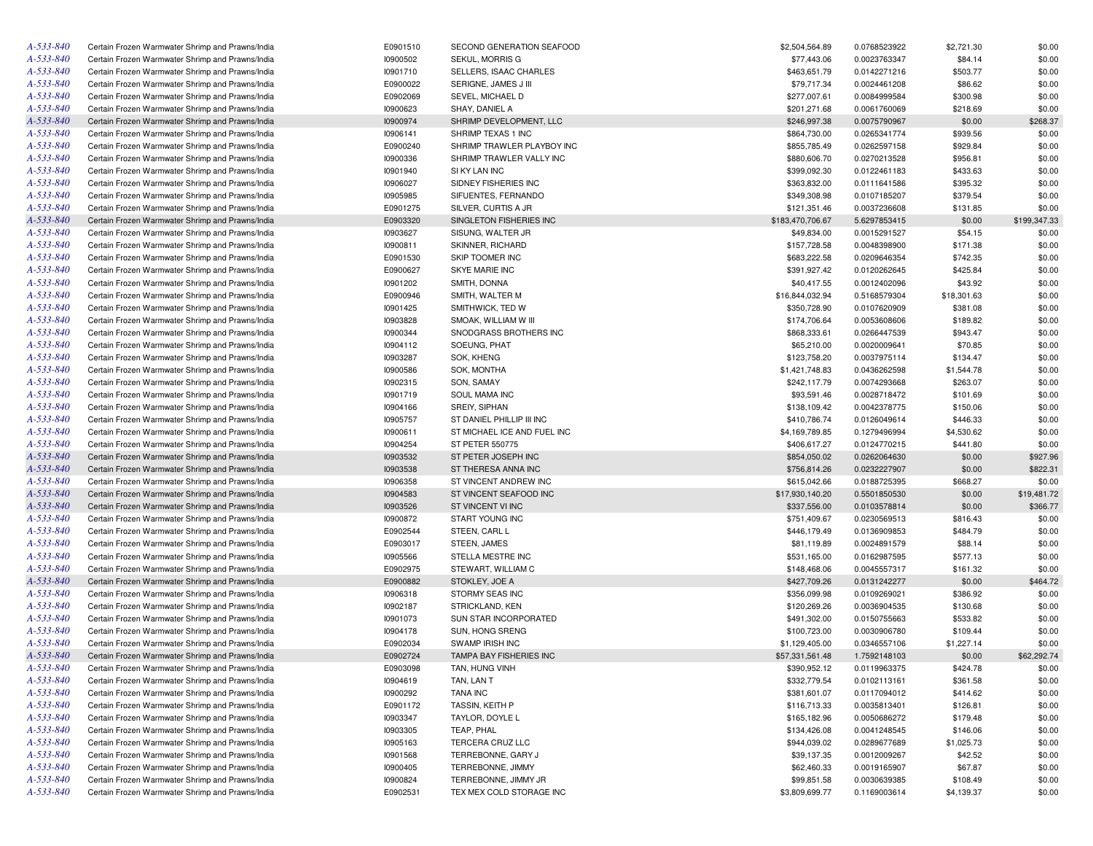| A-533-840       | Certain Frozen Warmwater Shrimp and Prawns/India | E0901510 | SECOND GENERATION SEAFOOD   | \$2,504,564.89   | 0.0768523922 | \$2,721.30  | \$0.00       |
|-----------------|--------------------------------------------------|----------|-----------------------------|------------------|--------------|-------------|--------------|
| A-533-840       | Certain Frozen Warmwater Shrimp and Prawns/India | 10900502 | SEKUL, MORRIS G             | \$77,443.06      | 0.0023763347 | \$84.14     | \$0.00       |
| A-533-840       | Certain Frozen Warmwater Shrimp and Prawns/India | 10901710 | SELLERS, ISAAC CHARLES      | \$463,651.79     | 0.0142271216 | \$503.77    | \$0.00       |
| A-533-840       | Certain Frozen Warmwater Shrimp and Prawns/India | E0900022 | SERIGNE, JAMES J III        | \$79,717.34      | 0.0024461208 | \$86.62     | \$0.00       |
| A-533-840       | Certain Frozen Warmwater Shrimp and Prawns/India | E0902069 | SEVEL, MICHAEL D            | \$277,007.61     | 0.0084999584 | \$300.98    | \$0.00       |
| A-533-840       | Certain Frozen Warmwater Shrimp and Prawns/India | 10900623 | SHAY, DANIEL A              | \$201,271.68     | 0.0061760069 | \$218.69    | \$0.00       |
| A-533-840       | Certain Frozen Warmwater Shrimp and Prawns/India | 10900974 | SHRIMP DEVELOPMENT, LLC     | \$246,997.38     | 0.0075790967 | \$0.00      | \$268.37     |
| A-533-840       | Certain Frozen Warmwater Shrimp and Prawns/India | 10906141 | SHRIMP TEXAS 1 INC          | \$864,730.00     | 0.0265341774 | \$939.56    | \$0.00       |
| A-533-840       | Certain Frozen Warmwater Shrimp and Prawns/India | E0900240 | SHRIMP TRAWLER PLAYBOY INC  | \$855,785.49     | 0.0262597158 | \$929.84    | \$0.00       |
| A-533-840       | Certain Frozen Warmwater Shrimp and Prawns/India | 10900336 | SHRIMP TRAWLER VALLY INC    | \$880,606.70     | 0.0270213528 | \$956.81    | \$0.00       |
| A-533-840       | Certain Frozen Warmwater Shrimp and Prawns/India | 10901940 | SI KY LAN INC               | \$399,092.30     | 0.0122461183 | \$433.63    | \$0.00       |
| A-533-840       | Certain Frozen Warmwater Shrimp and Prawns/India | 10906027 | SIDNEY FISHERIES INC        | \$363,832.00     | 0.0111641586 | \$395.32    | \$0.00       |
| A-533-840       | Certain Frozen Warmwater Shrimp and Prawns/India | 10905985 | SIFUENTES, FERNANDO         | \$349,308.98     | 0.0107185207 | \$379.54    | \$0.00       |
| A-533-840       | Certain Frozen Warmwater Shrimp and Prawns/India | E0901275 | SILVER, CURTIS A JR         | \$121,351.46     | 0.0037236608 | \$131.85    | \$0.00       |
| A-533-840       | Certain Frozen Warmwater Shrimp and Prawns/India | E0903320 | SINGLETON FISHERIES INC     | \$183,470,706.67 | 5.6297853415 | \$0.00      | \$199,347.33 |
| A-533-840       | Certain Frozen Warmwater Shrimp and Prawns/India | 10903627 | SISUNG, WALTER JR           | \$49,834.00      | 0.0015291527 | \$54.15     | \$0.00       |
| A-533-840       | Certain Frozen Warmwater Shrimp and Prawns/India | 10900811 | SKINNER, RICHARD            | \$157,728.58     | 0.0048398900 | \$171.38    | \$0.00       |
| A-533-840       |                                                  |          |                             |                  |              |             |              |
|                 | Certain Frozen Warmwater Shrimp and Prawns/India | E0901530 | SKIP TOOMER INC             | \$683,222.58     | 0.0209646354 | \$742.35    | \$0.00       |
| A-533-840       | Certain Frozen Warmwater Shrimp and Prawns/India | E0900627 | SKYE MARIE INC              | \$391,927.42     | 0.0120262645 | \$425.84    | \$0.00       |
| A-533-840       | Certain Frozen Warmwater Shrimp and Prawns/India | 10901202 | SMITH, DONNA                | \$40,417.55      | 0.0012402096 | \$43.92     | \$0.00       |
| A-533-840       | Certain Frozen Warmwater Shrimp and Prawns/India | E0900946 | SMITH, WALTER M             | \$16,844,032.94  | 0.5168579304 | \$18,301.63 | \$0.00       |
| A-533-840       | Certain Frozen Warmwater Shrimp and Prawns/India | 10901425 | SMITHWICK, TED W            | \$350,728.90     | 0.0107620909 | \$381.08    | \$0.00       |
| A-533-840       | Certain Frozen Warmwater Shrimp and Prawns/India | 10903828 | SMOAK, WILLIAM W III        | \$174,706.64     | 0.0053608606 | \$189.82    | \$0.00       |
| A-533-840       | Certain Frozen Warmwater Shrimp and Prawns/India | 10900344 | SNODGRASS BROTHERS INC      | \$868,333.61     | 0.0266447539 | \$943.47    | \$0.00       |
| A-533-840       | Certain Frozen Warmwater Shrimp and Prawns/India | 10904112 | SOEUNG, PHAT                | \$65,210.00      | 0.0020009641 | \$70.85     | \$0.00       |
| A-533-840       | Certain Frozen Warmwater Shrimp and Prawns/India | 10903287 | SOK, KHENG                  | \$123,758.20     | 0.0037975114 | \$134.47    | \$0.00       |
| A-533-840       | Certain Frozen Warmwater Shrimp and Prawns/India | 10900586 | SOK, MONTHA                 | \$1,421,748.83   | 0.0436262598 | \$1,544.78  | \$0.00       |
| A-533-840       | Certain Frozen Warmwater Shrimp and Prawns/India | 10902315 | SON, SAMAY                  | \$242,117.79     | 0.0074293668 | \$263.07    | \$0.00       |
| A-533-840       | Certain Frozen Warmwater Shrimp and Prawns/India | 10901719 | SOUL MAMA INC               | \$93,591.46      | 0.0028718472 | \$101.69    | \$0.00       |
| A-533-840       | Certain Frozen Warmwater Shrimp and Prawns/India | 10904166 | SREIY, SIPHAN               | \$138,109.42     | 0.0042378775 | \$150.06    | \$0.00       |
| A-533-840       | Certain Frozen Warmwater Shrimp and Prawns/India | 10905757 | ST DANIEL PHILLIP III INC   | \$410,786.74     | 0.0126049614 | \$446.33    | \$0.00       |
| A-533-840       | Certain Frozen Warmwater Shrimp and Prawns/India | 10900611 | ST MICHAEL ICE AND FUEL INC | \$4,169,789.85   | 0.1279496994 | \$4,530.62  | \$0.00       |
| A-533-840       | Certain Frozen Warmwater Shrimp and Prawns/India | 10904254 | <b>ST PETER 550775</b>      | \$406,617.27     | 0.0124770215 | \$441.80    | \$0.00       |
| A-533-840       | Certain Frozen Warmwater Shrimp and Prawns/India | 10903532 | ST PETER JOSEPH INC         | \$854,050.02     | 0.0262064630 | \$0.00      | \$927.96     |
| A-533-840       | Certain Frozen Warmwater Shrimp and Prawns/India | 10903538 | ST THERESA ANNA INC         | \$756,814.26     | 0.0232227907 | \$0.00      | \$822.31     |
| A-533-840       | Certain Frozen Warmwater Shrimp and Prawns/India | 10906358 | ST VINCENT ANDREW INC       | \$615,042.66     | 0.0188725395 | \$668.27    | \$0.00       |
| A-533-840       | Certain Frozen Warmwater Shrimp and Prawns/India | 10904583 | ST VINCENT SEAFOOD INC      | \$17,930,140.20  | 0.5501850530 | \$0.00      | \$19,481.72  |
| A-533-840       | Certain Frozen Warmwater Shrimp and Prawns/India | 10903526 | ST VINCENT VI INC           | \$337,556.00     | 0.0103578814 | \$0.00      | \$366.77     |
| A-533-840       | Certain Frozen Warmwater Shrimp and Prawns/India | 10900872 | START YOUNG INC             | \$751,409.67     | 0.0230569513 | \$816.43    | \$0.00       |
| A-533-840       | Certain Frozen Warmwater Shrimp and Prawns/India | E0902544 | STEEN, CARL L               | \$446,179.49     | 0.0136909853 | \$484.79    | \$0.00       |
| A-533-840       | Certain Frozen Warmwater Shrimp and Prawns/India | E0903017 | STEEN, JAMES                | \$81,119.89      | 0.0024891579 | \$88.14     | \$0.00       |
| A-533-840       | Certain Frozen Warmwater Shrimp and Prawns/India | 10905566 | STELLA MESTRE INC           | \$531,165.00     | 0.0162987595 | \$577.13    | \$0.00       |
| A-533-840       | Certain Frozen Warmwater Shrimp and Prawns/India | E0902975 | STEWART, WILLIAM C          | \$148,468.06     | 0.0045557317 | \$161.32    | \$0.00       |
| A-533-840       | Certain Frozen Warmwater Shrimp and Prawns/India | E0900882 | STOKLEY, JOE A              | \$427,709.26     | 0.0131242277 | \$0.00      | \$464.72     |
| A-533-840       | Certain Frozen Warmwater Shrimp and Prawns/India | 10906318 | STORMY SEAS INC             | \$356,099.98     | 0.0109269021 | \$386.92    | \$0.00       |
| A-533-840       | Certain Frozen Warmwater Shrimp and Prawns/India | 10902187 | STRICKLAND, KEN             | \$120,269.26     | 0.0036904535 | \$130.68    | \$0.00       |
| A-533-840       |                                                  |          |                             |                  |              |             |              |
|                 | Certain Frozen Warmwater Shrimp and Prawns/India | 10901073 | SUN STAR INCORPORATED       | \$491,302.00     | 0.0150755663 | \$533.82    | \$0.00       |
| A-533-840       | Certain Frozen Warmwater Shrimp and Prawns/India | 10904178 | SUN, HONG SRENG             | \$100,723.00     | 0.0030906780 | \$109.44    | \$0.00       |
| A-533-840       | Certain Frozen Warmwater Shrimp and Prawns/India | E0902034 | SWAMP IRISH INC             | \$1,129,405.00   | 0.0346557106 | \$1,227.14  | \$0.00       |
| $A - 533 - 840$ | Certain Frozen Warmwater Shrimp and Prawns/India | E0902724 | TAMPA BAY FISHERIES INC     | \$57,331,561.48  | 1.7592148103 | \$0.00      | \$62,292.74  |
| A-533-840       | Certain Frozen Warmwater Shrimp and Prawns/India | E0903098 | TAN, HUNG VINH              | \$390,952.12     | 0.0119963375 | \$424.78    | \$0.00       |
| A-533-840       | Certain Frozen Warmwater Shrimp and Prawns/India | 10904619 | TAN, LAN T                  | \$332,779.54     | 0.0102113161 | \$361.58    | \$0.00       |
| A-533-840       | Certain Frozen Warmwater Shrimp and Prawns/India | 10900292 | <b>TANA INC</b>             | \$381,601.07     | 0.0117094012 | \$414.62    | \$0.00       |
| A-533-840       | Certain Frozen Warmwater Shrimp and Prawns/India | E0901172 | TASSIN, KEITH P             | \$116,713.33     | 0.0035813401 | \$126.81    | \$0.00       |
| A-533-840       | Certain Frozen Warmwater Shrimp and Prawns/India | 10903347 | TAYLOR, DOYLE L             | \$165,182.96     | 0.0050686272 | \$179.48    | \$0.00       |
| A-533-840       | Certain Frozen Warmwater Shrimp and Prawns/India | 10903305 | TEAP, PHAL                  | \$134,426.08     | 0.0041248545 | \$146.06    | \$0.00       |
| A-533-840       | Certain Frozen Warmwater Shrimp and Prawns/India | 10905163 | TERCERA CRUZ LLC            | \$944,039.02     | 0.0289677689 | \$1,025.73  | \$0.00       |
| A-533-840       | Certain Frozen Warmwater Shrimp and Prawns/India | 10901568 | TERREBONNE, GARY J          | \$39,137.35      | 0.0012009267 | \$42.52     | \$0.00       |
| A-533-840       | Certain Frozen Warmwater Shrimp and Prawns/India | 10900405 | TERREBONNE, JIMMY           | \$62,460.33      | 0.0019165907 | \$67.87     | \$0.00       |
| A-533-840       | Certain Frozen Warmwater Shrimp and Prawns/India | 10900824 | TERREBONNE, JIMMY JR        | \$99,851.58      | 0.0030639385 | \$108.49    | \$0.00       |
| A-533-840       | Certain Frozen Warmwater Shrimp and Prawns/India | E0902531 | TEX MEX COLD STORAGE INC    | \$3,809,699.77   | 0.1169003614 | \$4,139.37  | \$0.00       |
|                 |                                                  |          |                             |                  |              |             |              |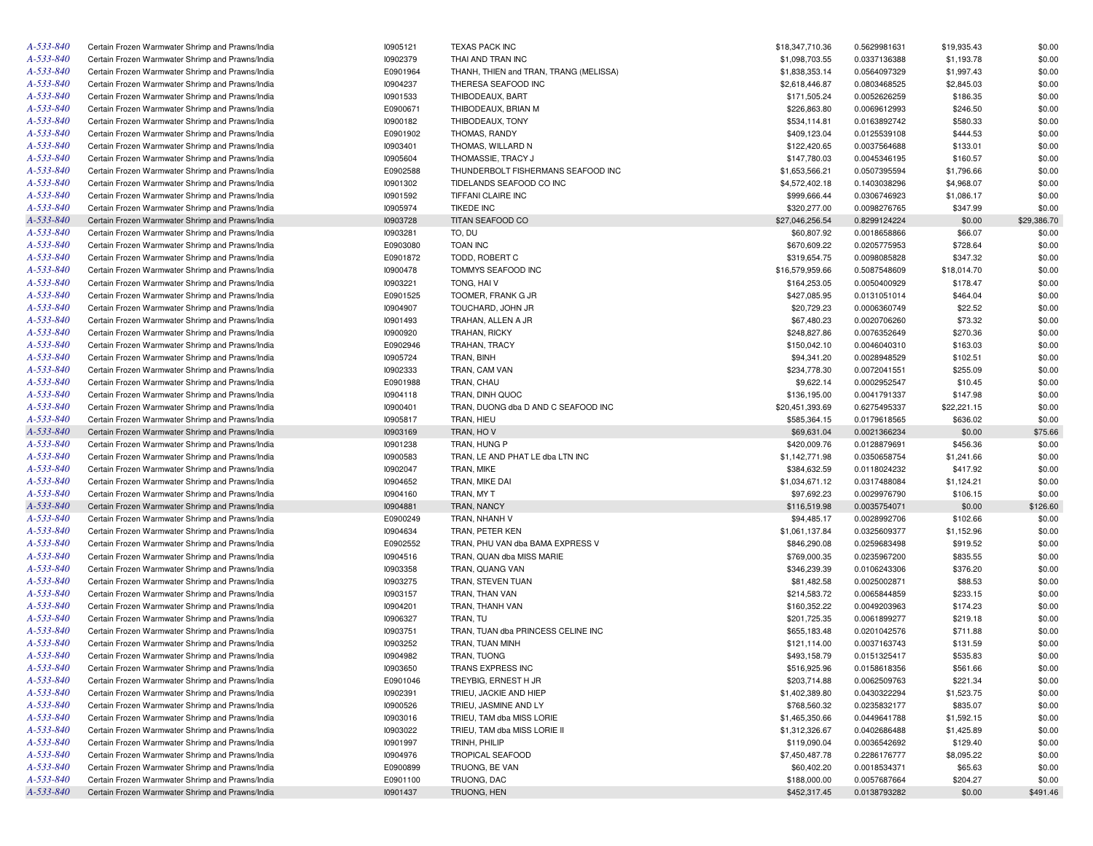| A-533-840       | Certain Frozen Warmwater Shrimp and Prawns/India | 10905121 | <b>TEXAS PACK INC</b>                  | \$18,347,710.36 | 0.5629981631 | \$19,935.43 | \$0.00      |
|-----------------|--------------------------------------------------|----------|----------------------------------------|-----------------|--------------|-------------|-------------|
| A-533-840       | Certain Frozen Warmwater Shrimp and Prawns/India | 10902379 | THAI AND TRAN INC                      | \$1,098,703.55  | 0.0337136388 | \$1,193.78  | \$0.00      |
| A-533-840       | Certain Frozen Warmwater Shrimp and Prawns/India | E0901964 | THANH, THIEN and TRAN, TRANG (MELISSA) | \$1,838,353.14  | 0.0564097329 | \$1,997.43  | \$0.00      |
| A-533-840       | Certain Frozen Warmwater Shrimp and Prawns/India | 10904237 | THERESA SEAFOOD INC                    | \$2,618,446.87  | 0.0803468525 | \$2,845.03  | \$0.00      |
| A-533-840       | Certain Frozen Warmwater Shrimp and Prawns/India | 10901533 | THIBODEAUX, BART                       | \$171,505.24    | 0.0052626259 | \$186.35    | \$0.00      |
| A-533-840       | Certain Frozen Warmwater Shrimp and Prawns/India | E0900671 | THIBODEAUX, BRIAN M                    | \$226,863.80    | 0.0069612993 | \$246.50    | \$0.00      |
| A-533-840       | Certain Frozen Warmwater Shrimp and Prawns/India | 10900182 | THIBODEAUX, TONY                       | \$534,114.81    | 0.0163892742 | \$580.33    | \$0.00      |
| A-533-840       | Certain Frozen Warmwater Shrimp and Prawns/India | E0901902 | THOMAS, RANDY                          | \$409,123.04    | 0.0125539108 | \$444.53    | \$0.00      |
| A-533-840       | Certain Frozen Warmwater Shrimp and Prawns/India | 10903401 | THOMAS, WILLARD N                      | \$122,420.65    | 0.0037564688 | \$133.01    | \$0.00      |
| A-533-840       | Certain Frozen Warmwater Shrimp and Prawns/India | 10905604 | THOMASSIE, TRACY J                     | \$147,780.03    | 0.0045346195 | \$160.57    | \$0.00      |
| A-533-840       | Certain Frozen Warmwater Shrimp and Prawns/India | E0902588 | THUNDERBOLT FISHERMANS SEAFOOD INC     | \$1,653,566.21  | 0.0507395594 | \$1,796.66  | \$0.00      |
| A-533-840       | Certain Frozen Warmwater Shrimp and Prawns/India | 10901302 | TIDELANDS SEAFOOD CO INC               | \$4,572,402.18  | 0.1403038296 | \$4,968.07  | \$0.00      |
| A-533-840       | Certain Frozen Warmwater Shrimp and Prawns/India | 10901592 | TIFFANI CLAIRE INC                     | \$999,666.44    | 0.0306746923 | \$1,086.17  | \$0.00      |
| A-533-840       | Certain Frozen Warmwater Shrimp and Prawns/India | 10905974 | <b>TIKEDE INC</b>                      | \$320,277.00    | 0.0098276765 | \$347.99    | \$0.00      |
| A-533-840       | Certain Frozen Warmwater Shrimp and Prawns/India | 10903728 | TITAN SEAFOOD CO                       | \$27,046,256.54 | 0.8299124224 | \$0.00      | \$29,386.70 |
| A-533-840       |                                                  | 10903281 |                                        |                 | 0.0018658866 |             |             |
| A-533-840       | Certain Frozen Warmwater Shrimp and Prawns/India |          | TO, DU                                 | \$60,807.92     |              | \$66.07     | \$0.00      |
|                 | Certain Frozen Warmwater Shrimp and Prawns/India | E0903080 | <b>TOAN INC</b>                        | \$670,609.22    | 0.0205775953 | \$728.64    | \$0.00      |
| A-533-840       | Certain Frozen Warmwater Shrimp and Prawns/India | E0901872 | TODD, ROBERT C                         | \$319,654.75    | 0.0098085828 | \$347.32    | \$0.00      |
| A-533-840       | Certain Frozen Warmwater Shrimp and Prawns/India | 10900478 | TOMMYS SEAFOOD INC                     | \$16,579,959.66 | 0.5087548609 | \$18,014.70 | \$0.00      |
| A-533-840       | Certain Frozen Warmwater Shrimp and Prawns/India | 10903221 | TONG, HAI V                            | \$164,253.05    | 0.0050400929 | \$178.47    | \$0.00      |
| A-533-840       | Certain Frozen Warmwater Shrimp and Prawns/India | E0901525 | TOOMER, FRANK G JR                     | \$427,085.95    | 0.0131051014 | \$464.04    | \$0.00      |
| A-533-840       | Certain Frozen Warmwater Shrimp and Prawns/India | 10904907 | TOUCHARD, JOHN JR                      | \$20,729.23     | 0.0006360749 | \$22.52     | \$0.00      |
| A-533-840       | Certain Frozen Warmwater Shrimp and Prawns/India | 10901493 | TRAHAN, ALLEN A JR                     | \$67,480.23     | 0.0020706260 | \$73.32     | \$0.00      |
| A-533-840       | Certain Frozen Warmwater Shrimp and Prawns/India | 10900920 | TRAHAN, RICKY                          | \$248,827.86    | 0.0076352649 | \$270.36    | \$0.00      |
| A-533-840       | Certain Frozen Warmwater Shrimp and Prawns/India | E0902946 | TRAHAN, TRACY                          | \$150,042.10    | 0.0046040310 | \$163.03    | \$0.00      |
| A-533-840       | Certain Frozen Warmwater Shrimp and Prawns/India | 10905724 | TRAN, BINH                             | \$94,341.20     | 0.0028948529 | \$102.51    | \$0.00      |
| A-533-840       | Certain Frozen Warmwater Shrimp and Prawns/India | 10902333 | TRAN, CAM VAN                          | \$234,778.30    | 0.0072041551 | \$255.09    | \$0.00      |
| A-533-840       | Certain Frozen Warmwater Shrimp and Prawns/India | E0901988 | TRAN, CHAU                             | \$9,622.14      | 0.0002952547 | \$10.45     | \$0.00      |
| A-533-840       | Certain Frozen Warmwater Shrimp and Prawns/India | 10904118 | TRAN, DINH QUOC                        | \$136,195.00    | 0.0041791337 | \$147.98    | \$0.00      |
| A-533-840       | Certain Frozen Warmwater Shrimp and Prawns/India | 10900401 | TRAN, DUONG dba D AND C SEAFOOD INC    | \$20,451,393.69 | 0.6275495337 | \$22,221.15 | \$0.00      |
| A-533-840       | Certain Frozen Warmwater Shrimp and Prawns/India | 10905817 | TRAN, HIEU                             | \$585,364.15    | 0.0179618565 | \$636.02    | \$0.00      |
| A-533-840       | Certain Frozen Warmwater Shrimp and Prawns/India | 10903169 | TRAN, HOV                              | \$69,631.04     | 0.0021366234 | \$0.00      | \$75.66     |
| A-533-840       | Certain Frozen Warmwater Shrimp and Prawns/India | 10901238 | TRAN, HUNG P                           | \$420,009.76    | 0.0128879691 | \$456.36    | \$0.00      |
| A-533-840       | Certain Frozen Warmwater Shrimp and Prawns/India | 10900583 | TRAN, LE AND PHAT LE dba LTN INC       | \$1,142,771.98  | 0.0350658754 | \$1,241.66  | \$0.00      |
| A-533-840       | Certain Frozen Warmwater Shrimp and Prawns/India | 10902047 | TRAN, MIKE                             | \$384,632.59    | 0.0118024232 | \$417.92    | \$0.00      |
| A-533-840       | Certain Frozen Warmwater Shrimp and Prawns/India | 10904652 | TRAN, MIKE DAI                         | \$1,034,671.12  | 0.0317488084 | \$1,124.21  | \$0.00      |
| A-533-840       | Certain Frozen Warmwater Shrimp and Prawns/India | 10904160 | TRAN, MY T                             | \$97,692.23     | 0.0029976790 | \$106.15    | \$0.00      |
| A-533-840       | Certain Frozen Warmwater Shrimp and Prawns/India | 10904881 | TRAN, NANCY                            | \$116,519.98    | 0.0035754071 | \$0.00      | \$126.60    |
| A-533-840       | Certain Frozen Warmwater Shrimp and Prawns/India | E0900249 | TRAN, NHANH V                          | \$94,485.17     | 0.0028992706 | \$102.66    | \$0.00      |
| A-533-840       | Certain Frozen Warmwater Shrimp and Prawns/India | 10904634 | TRAN, PETER KEN                        | \$1,061,137.84  | 0.0325609377 | \$1,152.96  | \$0.00      |
| A-533-840       | Certain Frozen Warmwater Shrimp and Prawns/India | E0902552 | TRAN, PHU VAN dba BAMA EXPRESS V       | \$846,290.08    | 0.0259683498 | \$919.52    | \$0.00      |
| A-533-840       | Certain Frozen Warmwater Shrimp and Prawns/India | 10904516 | TRAN, QUAN dba MISS MARIE              | \$769,000.35    | 0.0235967200 | \$835.55    | \$0.00      |
| A-533-840       |                                                  |          |                                        |                 |              |             |             |
|                 | Certain Frozen Warmwater Shrimp and Prawns/India | 10903358 | TRAN, QUANG VAN                        | \$346,239.39    | 0.0106243306 | \$376.20    | \$0.00      |
| A-533-840       | Certain Frozen Warmwater Shrimp and Prawns/India | 10903275 | TRAN, STEVEN TUAN                      | \$81,482.58     | 0.0025002871 | \$88.53     | \$0.00      |
| A-533-840       | Certain Frozen Warmwater Shrimp and Prawns/India | 10903157 | TRAN, THAN VAN                         | \$214,583.72    | 0.0065844859 | \$233.15    | \$0.00      |
| A-533-840       | Certain Frozen Warmwater Shrimp and Prawns/India | 10904201 | TRAN, THANH VAN                        | \$160,352.22    | 0.0049203963 | \$174.23    | \$0.00      |
| A-533-840       | Certain Frozen Warmwater Shrimp and Prawns/India | 10906327 | TRAN, TU                               | \$201,725.35    | 0.0061899277 | \$219.18    | \$0.00      |
| A-533-840       | Certain Frozen Warmwater Shrimp and Prawns/India | 10903751 | TRAN, TUAN dba PRINCESS CELINE INC     | \$655,183.48    | 0.0201042576 | \$711.88    | \$0.00      |
| A-533-840       | Certain Frozen Warmwater Shrimp and Prawns/India | 10903252 | TRAN, TUAN MINH                        | \$121,114.00    | 0.0037163743 | \$131.59    | \$0.00      |
| $A - 533 - 840$ | Certain Frozen Warmwater Shrimp and Prawns/India | 10904982 | TRAN, TUONG                            | \$493,158.79    | 0.0151325417 | \$535.83    | \$0.00      |
| A-533-840       | Certain Frozen Warmwater Shrimp and Prawns/India | 10903650 | TRANS EXPRESS INC                      | \$516,925.96    | 0.0158618356 | \$561.66    | \$0.00      |
| A-533-840       | Certain Frozen Warmwater Shrimp and Prawns/India | E0901046 | TREYBIG, ERNEST H JR                   | \$203,714.88    | 0.0062509763 | \$221.34    | \$0.00      |
| A-533-840       | Certain Frozen Warmwater Shrimp and Prawns/India | 10902391 | TRIEU, JACKIE AND HIEP                 | \$1,402,389.80  | 0.0430322294 | \$1,523.75  | \$0.00      |
| A-533-840       | Certain Frozen Warmwater Shrimp and Prawns/India | 10900526 | TRIEU, JASMINE AND LY                  | \$768,560.32    | 0.0235832177 | \$835.07    | \$0.00      |
| A-533-840       | Certain Frozen Warmwater Shrimp and Prawns/India | 10903016 | TRIEU, TAM dba MISS LORIE              | \$1,465,350.66  | 0.0449641788 | \$1,592.15  | \$0.00      |
| A-533-840       | Certain Frozen Warmwater Shrimp and Prawns/India | 10903022 | TRIEU, TAM dba MISS LORIE II           | \$1,312,326.67  | 0.0402686488 | \$1,425.89  | \$0.00      |
| A-533-840       | Certain Frozen Warmwater Shrimp and Prawns/India | 10901997 | TRINH, PHILIP                          | \$119,090.04    | 0.0036542692 | \$129.40    | \$0.00      |
| A-533-840       | Certain Frozen Warmwater Shrimp and Prawns/India | 10904976 | <b>TROPICAL SEAFOOD</b>                | \$7,450,487.78  | 0.2286176777 | \$8,095.22  | \$0.00      |
| A-533-840       | Certain Frozen Warmwater Shrimp and Prawns/India | E0900899 | TRUONG, BE VAN                         | \$60,402.20     | 0.0018534371 | \$65.63     | \$0.00      |
| A-533-840       | Certain Frozen Warmwater Shrimp and Prawns/India | E0901100 | TRUONG, DAC                            | \$188,000.00    | 0.0057687664 | \$204.27    | \$0.00      |
| A-533-840       | Certain Frozen Warmwater Shrimp and Prawns/India | 10901437 | TRUONG, HEN                            | \$452,317.45    | 0.0138793282 | \$0.00      | \$491.46    |
|                 |                                                  |          |                                        |                 |              |             |             |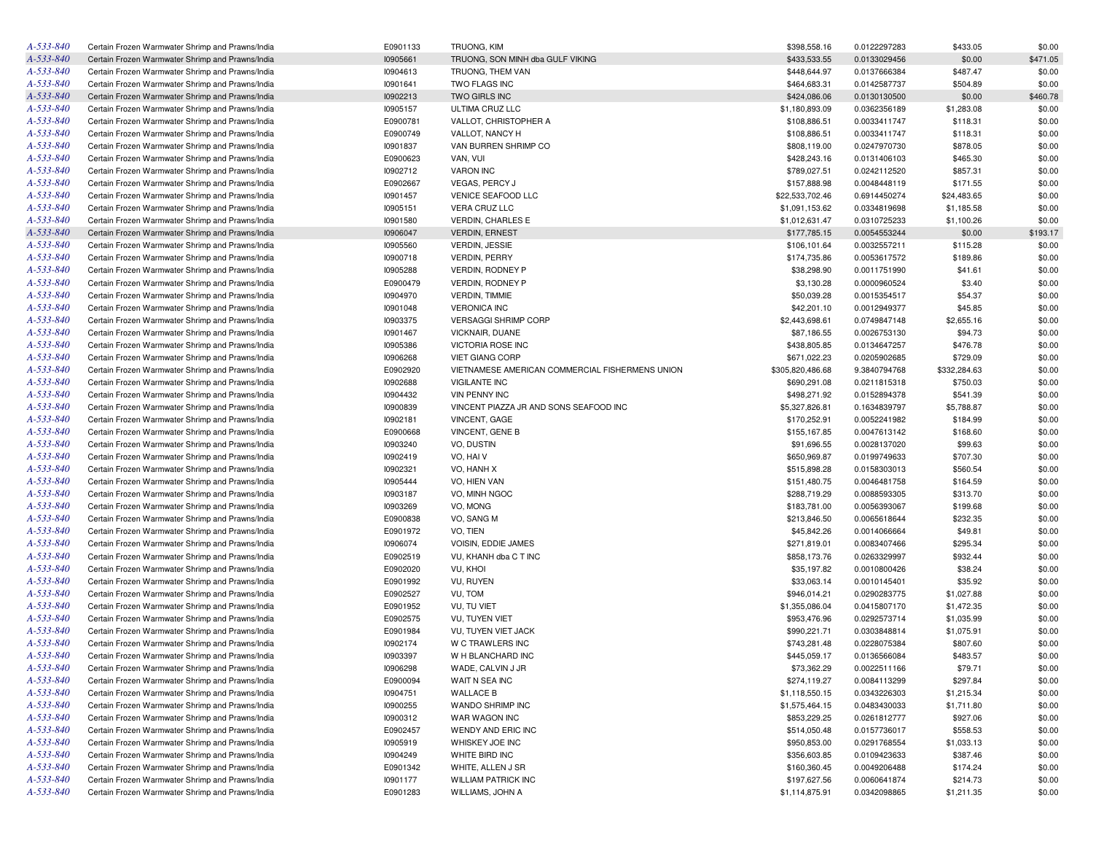| A-533-840 | Certain Frozen Warmwater Shrimp and Prawns/India                                                     | E0901133 | TRUONG, KIM                                     | \$398,558.16                   | 0.0122297283                 | \$433.05     | \$0.00   |
|-----------|------------------------------------------------------------------------------------------------------|----------|-------------------------------------------------|--------------------------------|------------------------------|--------------|----------|
| A-533-840 | Certain Frozen Warmwater Shrimp and Prawns/India                                                     | 10905661 | TRUONG, SON MINH dba GULF VIKING                | \$433,533.55                   | 0.0133029456                 | \$0.00       | \$471.05 |
| A-533-840 | Certain Frozen Warmwater Shrimp and Prawns/India                                                     | 10904613 | TRUONG, THEM VAN                                | \$448,644.97                   | 0.0137666384                 | \$487.47     | \$0.00   |
| A-533-840 | Certain Frozen Warmwater Shrimp and Prawns/India                                                     | 10901641 | TWO FLAGS INC                                   | \$464,683.31                   | 0.0142587737                 | \$504.89     | \$0.00   |
| A-533-840 | Certain Frozen Warmwater Shrimp and Prawns/India                                                     | 10902213 | TWO GIRLS INC                                   | \$424,086.06                   | 0.0130130500                 | \$0.00       | \$460.78 |
| A-533-840 | Certain Frozen Warmwater Shrimp and Prawns/India                                                     | 10905157 | ULTIMA CRUZ LLC                                 | \$1,180,893.09                 | 0.0362356189                 | \$1,283.08   | \$0.00   |
| A-533-840 | Certain Frozen Warmwater Shrimp and Prawns/India                                                     | E0900781 | VALLOT, CHRISTOPHER A                           | \$108,886.51                   | 0.0033411747                 | \$118.31     | \$0.00   |
| A-533-840 | Certain Frozen Warmwater Shrimp and Prawns/India                                                     | E0900749 | VALLOT, NANCY H                                 | \$108,886.51                   | 0.0033411747                 | \$118.31     | \$0.00   |
| A-533-840 | Certain Frozen Warmwater Shrimp and Prawns/India                                                     | 10901837 | VAN BURREN SHRIMP CO                            | \$808,119.00                   | 0.0247970730                 | \$878.05     | \$0.00   |
| A-533-840 | Certain Frozen Warmwater Shrimp and Prawns/India                                                     | E0900623 | VAN, VUI                                        | \$428,243.16                   | 0.0131406103                 | \$465.30     | \$0.00   |
| A-533-840 | Certain Frozen Warmwater Shrimp and Prawns/India                                                     | 10902712 | <b>VARON INC</b>                                | \$789,027.51                   | 0.0242112520                 | \$857.31     | \$0.00   |
| A-533-840 | Certain Frozen Warmwater Shrimp and Prawns/India                                                     | E0902667 | VEGAS, PERCY J                                  | \$157,888.98                   | 0.0048448119                 | \$171.55     | \$0.00   |
| A-533-840 | Certain Frozen Warmwater Shrimp and Prawns/India                                                     | 10901457 | VENICE SEAFOOD LLC                              | \$22,533,702.46                | 0.6914450274                 | \$24,483.65  | \$0.00   |
| A-533-840 | Certain Frozen Warmwater Shrimp and Prawns/India                                                     | 10905151 | VERA CRUZ LLC                                   | \$1,091,153.62                 | 0.0334819698                 | \$1,185.58   | \$0.00   |
| A-533-840 | Certain Frozen Warmwater Shrimp and Prawns/India                                                     | 10901580 | VERDIN, CHARLES E                               | \$1,012,631.47                 | 0.0310725233                 | \$1,100.26   | \$0.00   |
| A-533-840 | Certain Frozen Warmwater Shrimp and Prawns/India                                                     | 10906047 | <b>VERDIN, ERNEST</b>                           | \$177,785.15                   | 0.0054553244                 | \$0.00       | \$193.17 |
| A-533-840 | Certain Frozen Warmwater Shrimp and Prawns/India                                                     | 10905560 | <b>VERDIN, JESSIE</b>                           | \$106,101.64                   | 0.0032557211                 | \$115.28     | \$0.00   |
| A-533-840 | Certain Frozen Warmwater Shrimp and Prawns/India                                                     | 10900718 | <b>VERDIN, PERRY</b>                            | \$174,735.86                   | 0.0053617572                 | \$189.86     | \$0.00   |
| A-533-840 |                                                                                                      | 10905288 | <b>VERDIN, RODNEY P</b>                         |                                |                              |              |          |
|           | Certain Frozen Warmwater Shrimp and Prawns/India                                                     |          |                                                 | \$38,298.90                    | 0.0011751990                 | \$41.61      | \$0.00   |
| A-533-840 | Certain Frozen Warmwater Shrimp and Prawns/India                                                     | E0900479 | VERDIN, RODNEY P                                | \$3,130.28                     | 0.0000960524                 | \$3.40       | \$0.00   |
| A-533-840 | Certain Frozen Warmwater Shrimp and Prawns/India                                                     | 10904970 | <b>VERDIN, TIMMIE</b>                           | \$50,039.28                    | 0.0015354517                 | \$54.37      | \$0.00   |
| A-533-840 | Certain Frozen Warmwater Shrimp and Prawns/India                                                     | 10901048 | <b>VERONICA INC</b>                             | \$42,201.10                    | 0.0012949377                 | \$45.85      | \$0.00   |
| A-533-840 | Certain Frozen Warmwater Shrimp and Prawns/India                                                     | 10903375 | <b>VERSAGGI SHRIMP CORP</b>                     | \$2,443,698.61                 | 0.0749847148                 | \$2,655.16   | \$0.00   |
| A-533-840 | Certain Frozen Warmwater Shrimp and Prawns/India                                                     | 10901467 | VICKNAIR, DUANE                                 | \$87,186.55                    | 0.0026753130                 | \$94.73      | \$0.00   |
| A-533-840 | Certain Frozen Warmwater Shrimp and Prawns/India                                                     | 10905386 | <b>VICTORIA ROSE INC</b>                        | \$438,805.85                   | 0.0134647257                 | \$476.78     | \$0.00   |
| A-533-840 | Certain Frozen Warmwater Shrimp and Prawns/India                                                     | 10906268 | <b>VIET GIANG CORP</b>                          | \$671,022.23                   | 0.0205902685                 | \$729.09     | \$0.00   |
| A-533-840 | Certain Frozen Warmwater Shrimp and Prawns/India                                                     | E0902920 | VIETNAMESE AMERICAN COMMERCIAL FISHERMENS UNION | \$305,820,486.68               | 9.3840794768                 | \$332,284.63 | \$0.00   |
| A-533-840 | Certain Frozen Warmwater Shrimp and Prawns/India                                                     | 10902688 | <b>VIGILANTE INC</b>                            | \$690,291.08                   | 0.0211815318                 | \$750.03     | \$0.00   |
| A-533-840 | Certain Frozen Warmwater Shrimp and Prawns/India                                                     | 10904432 | <b>VIN PENNY INC</b>                            | \$498,271.92                   | 0.0152894378                 | \$541.39     | \$0.00   |
| A-533-840 | Certain Frozen Warmwater Shrimp and Prawns/India                                                     | 10900839 | VINCENT PIAZZA JR AND SONS SEAFOOD INC          | \$5,327,826.81                 | 0.1634839797                 | \$5,788.87   | \$0.00   |
| A-533-840 | Certain Frozen Warmwater Shrimp and Prawns/India                                                     | 10902181 | VINCENT, GAGE                                   | \$170,252.91                   | 0.0052241982                 | \$184.99     | \$0.00   |
| A-533-840 | Certain Frozen Warmwater Shrimp and Prawns/India                                                     | E0900668 | VINCENT, GENE B                                 | \$155,167.85                   | 0.0047613142                 | \$168.60     | \$0.00   |
| A-533-840 | Certain Frozen Warmwater Shrimp and Prawns/India                                                     | 10903240 | VO, DUSTIN                                      | \$91,696.55                    | 0.0028137020                 | \$99.63      | \$0.00   |
| A-533-840 | Certain Frozen Warmwater Shrimp and Prawns/India                                                     | 10902419 | VO, HAI V                                       | \$650,969.87                   | 0.0199749633                 | \$707.30     | \$0.00   |
| A-533-840 | Certain Frozen Warmwater Shrimp and Prawns/India                                                     | 10902321 | VO, HANH X                                      | \$515,898.28                   | 0.0158303013                 | \$560.54     | \$0.00   |
| A-533-840 | Certain Frozen Warmwater Shrimp and Prawns/India                                                     | 10905444 | VO, HIEN VAN                                    | \$151,480.75                   | 0.0046481758                 | \$164.59     | \$0.00   |
| A-533-840 | Certain Frozen Warmwater Shrimp and Prawns/India                                                     | 10903187 | VO, MINH NGOC                                   | \$288,719.29                   | 0.0088593305                 | \$313.70     | \$0.00   |
| A-533-840 | Certain Frozen Warmwater Shrimp and Prawns/India                                                     | 10903269 | VO, MONG                                        | \$183,781.00                   | 0.0056393067                 | \$199.68     | \$0.00   |
| A-533-840 | Certain Frozen Warmwater Shrimp and Prawns/India                                                     | E0900838 | VO, SANG M                                      | \$213,846.50                   | 0.0065618644                 | \$232.35     | \$0.00   |
| A-533-840 | Certain Frozen Warmwater Shrimp and Prawns/India                                                     | E0901972 | VO, TIEN                                        | \$45,842.26                    | 0.0014066664                 | \$49.81      | \$0.00   |
| A-533-840 | Certain Frozen Warmwater Shrimp and Prawns/India                                                     | 10906074 | VOISIN, EDDIE JAMES                             | \$271,819.01                   | 0.0083407466                 | \$295.34     | \$0.00   |
| A-533-840 | Certain Frozen Warmwater Shrimp and Prawns/India                                                     | E0902519 | VU, KHANH dba C T INC                           | \$858,173.76                   | 0.0263329997                 | \$932.44     | \$0.00   |
| A-533-840 | Certain Frozen Warmwater Shrimp and Prawns/India                                                     | E0902020 | VU, KHOI                                        | \$35,197.82                    | 0.0010800426                 | \$38.24      | \$0.00   |
| A-533-840 | Certain Frozen Warmwater Shrimp and Prawns/India                                                     | E0901992 | VU, RUYEN                                       | \$33,063.14                    | 0.0010145401                 | \$35.92      | \$0.00   |
| A-533-840 | Certain Frozen Warmwater Shrimp and Prawns/India                                                     | E0902527 | VU, TOM                                         | \$946,014.21                   | 0.0290283775                 | \$1,027.88   | \$0.00   |
| A-533-840 | Certain Frozen Warmwater Shrimp and Prawns/India                                                     | E0901952 | <b>VU. TU VIET</b>                              | \$1,355,086.04                 | 0.0415807170                 | \$1,472.35   | \$0.00   |
| A-533-840 | Certain Frozen Warmwater Shrimp and Prawns/India                                                     | E0902575 | VU, TUYEN VIET                                  | \$953,476.96                   | 0.0292573714                 | \$1,035.99   | \$0.00   |
| A-533-840 | Certain Frozen Warmwater Shrimp and Prawns/India                                                     | E0901984 | VU, TUYEN VIET JACK                             | \$990,221.71                   | 0.0303848814                 | \$1,075.91   | \$0.00   |
| A-533-840 | Certain Frozen Warmwater Shrimp and Prawns/India                                                     | 10902174 | W C TRAWLERS INC                                | \$743,281.48                   | 0.0228075384                 | \$807.60     | \$0.00   |
| A-533-840 | Certain Frozen Warmwater Shrimp and Prawns/India                                                     | 10903397 | W H BLANCHARD INC                               | \$445,059.17                   | 0.0136566084                 | \$483.57     | \$0.00   |
| A-533-840 | Certain Frozen Warmwater Shrimp and Prawns/India                                                     | 10906298 | WADE, CALVIN J JR                               | \$73,362.29                    | 0.0022511166                 | \$79.71      | \$0.00   |
| A-533-840 |                                                                                                      | E0900094 |                                                 |                                |                              | \$297.84     |          |
| A-533-840 | Certain Frozen Warmwater Shrimp and Prawns/India<br>Certain Frozen Warmwater Shrimp and Prawns/India | 10904751 | WAIT N SEA INC<br><b>WALLACE B</b>              | \$274,119.27<br>\$1,118,550.15 | 0.0084113299<br>0.0343226303 | \$1,215.34   | \$0.00   |
| A-533-840 |                                                                                                      | 10900255 | WANDO SHRIMP INC                                |                                |                              |              | \$0.00   |
|           | Certain Frozen Warmwater Shrimp and Prawns/India                                                     |          |                                                 | \$1,575,464.15                 | 0.0483430033                 | \$1,711.80   | \$0.00   |
| A-533-840 | Certain Frozen Warmwater Shrimp and Prawns/India                                                     | 10900312 | WAR WAGON INC                                   | \$853,229.25                   | 0.0261812777                 | \$927.06     | \$0.00   |
| A-533-840 | Certain Frozen Warmwater Shrimp and Prawns/India                                                     | E0902457 | WENDY AND ERIC INC                              | \$514,050.48                   | 0.0157736017                 | \$558.53     | \$0.00   |
| A-533-840 | Certain Frozen Warmwater Shrimp and Prawns/India                                                     | 10905919 | WHISKEY JOE INC                                 | \$950,853.00                   | 0.0291768554                 | \$1,033.13   | \$0.00   |
| A-533-840 | Certain Frozen Warmwater Shrimp and Prawns/India                                                     | 10904249 | WHITE BIRD INC                                  | \$356,603.85                   | 0.0109423633                 | \$387.46     | \$0.00   |
| A-533-840 | Certain Frozen Warmwater Shrimp and Prawns/India                                                     | E0901342 | WHITE, ALLEN J SR                               | \$160,360.45                   | 0.0049206488                 | \$174.24     | \$0.00   |
| A-533-840 | Certain Frozen Warmwater Shrimp and Prawns/India                                                     | 10901177 | <b>WILLIAM PATRICK INC</b>                      | \$197,627.56                   | 0.0060641874                 | \$214.73     | \$0.00   |
| A-533-840 | Certain Frozen Warmwater Shrimp and Prawns/India                                                     | E0901283 | WILLIAMS, JOHN A                                | \$1,114,875.91                 | 0.0342098865                 | \$1,211.35   | \$0.00   |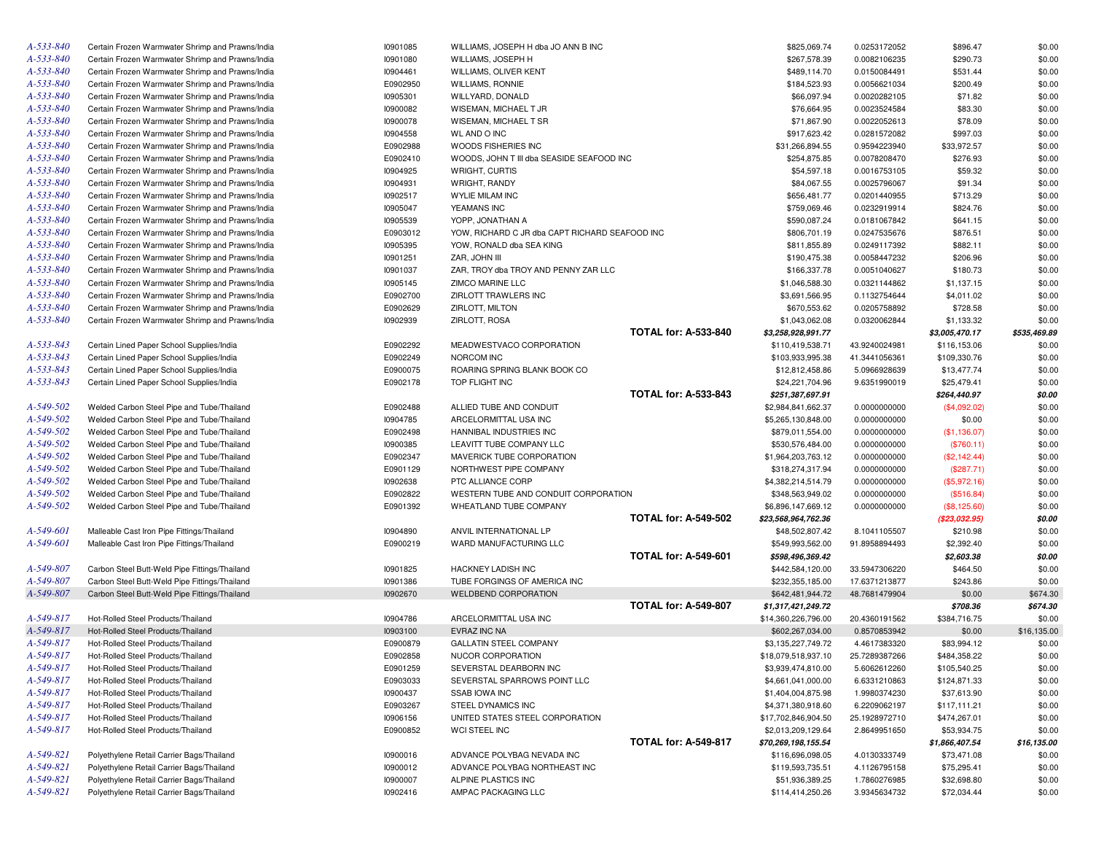| A-533-840       | Certain Frozen Warmwater Shrimp and Prawns/India | 10901085 | WILLIAMS, JOSEPH H dba JO ANN B INC            |                             | \$825,069.74        | 0.0253172052                 | \$896.47       | \$0.00       |
|-----------------|--------------------------------------------------|----------|------------------------------------------------|-----------------------------|---------------------|------------------------------|----------------|--------------|
| A-533-840       | Certain Frozen Warmwater Shrimp and Prawns/India | 10901080 | WILLIAMS, JOSEPH H                             |                             | \$267,578.39        | 0.0082106235                 | \$290.73       | \$0.00       |
| A-533-840       | Certain Frozen Warmwater Shrimp and Prawns/India | 10904461 | WILLIAMS, OLIVER KENT                          |                             | \$489,114.70        | 0.0150084491                 | \$531.44       | \$0.00       |
| A-533-840       | Certain Frozen Warmwater Shrimp and Prawns/India | E0902950 | <b>WILLIAMS, RONNIE</b>                        |                             | \$184,523.93        | 0.0056621034                 | \$200.49       | \$0.00       |
| A-533-840       | Certain Frozen Warmwater Shrimp and Prawns/India | 10905301 | WILLYARD, DONALD                               |                             | \$66,097.94         | 0.0020282105                 | \$71.82        | \$0.00       |
| A-533-840       | Certain Frozen Warmwater Shrimp and Prawns/India | 10900082 | WISEMAN, MICHAEL T JR                          |                             | \$76,664.95         | 0.0023524584                 | \$83.30        | \$0.00       |
| A-533-840       | Certain Frozen Warmwater Shrimp and Prawns/India | 10900078 | WISEMAN, MICHAEL T SR                          |                             | \$71,867.90         | 0.0022052613                 | \$78.09        | \$0.00       |
| A-533-840       | Certain Frozen Warmwater Shrimp and Prawns/India | 10904558 | WL AND O INC                                   |                             | \$917,623.42        | 0.0281572082                 | \$997.03       | \$0.00       |
| A-533-840       | Certain Frozen Warmwater Shrimp and Prawns/India | E0902988 | WOODS FISHERIES INC                            |                             | \$31,266,894.55     | 0.9594223940                 | \$33,972.57    | \$0.00       |
| A-533-840       | Certain Frozen Warmwater Shrimp and Prawns/India | E0902410 | WOODS, JOHN T III dba SEASIDE SEAFOOD INC      |                             | \$254,875.85        | 0.0078208470                 | \$276.93       | \$0.00       |
| A-533-840       | Certain Frozen Warmwater Shrimp and Prawns/India | 10904925 | WRIGHT, CURTIS                                 |                             | \$54,597.18         | 0.0016753105                 | \$59.32        | \$0.00       |
| A-533-840       | Certain Frozen Warmwater Shrimp and Prawns/India | 10904931 | WRIGHT, RANDY                                  |                             | \$84,067.55         | 0.0025796067                 | \$91.34        | \$0.00       |
| A-533-840       | Certain Frozen Warmwater Shrimp and Prawns/India | 10902517 | WYLIE MILAM INC                                |                             | \$656,481.77        | 0.0201440955                 | \$713.29       | \$0.00       |
| A-533-840       | Certain Frozen Warmwater Shrimp and Prawns/India | 10905047 | YEAMANS INC                                    |                             | \$759,069.46        | 0.0232919914                 | \$824.76       | \$0.00       |
| A-533-840       | Certain Frozen Warmwater Shrimp and Prawns/India | 10905539 | YOPP. JONATHAN A                               |                             | \$590,087.24        | 0.0181067842                 | \$641.15       | \$0.00       |
| A-533-840       | Certain Frozen Warmwater Shrimp and Prawns/India | E0903012 | YOW, RICHARD C JR dba CAPT RICHARD SEAFOOD INC |                             | \$806,701.19        | 0.0247535676                 | \$876.51       | \$0.00       |
| A-533-840       | Certain Frozen Warmwater Shrimp and Prawns/India | 10905395 | YOW, RONALD dba SEA KING                       |                             | \$811,855.89        | 0.0249117392                 | \$882.11       | \$0.00       |
| A-533-840       | Certain Frozen Warmwater Shrimp and Prawns/India | 10901251 | ZAR, JOHN III                                  |                             | \$190,475.38        | 0.0058447232                 | \$206.96       | \$0.00       |
| A-533-840       | Certain Frozen Warmwater Shrimp and Prawns/India | 10901037 | ZAR, TROY dba TROY AND PENNY ZAR LLC           |                             | \$166,337.78        | 0.0051040627                 | \$180.73       | \$0.00       |
| A-533-840       | Certain Frozen Warmwater Shrimp and Prawns/India | 10905145 | ZIMCO MARINE LLC                               |                             | \$1,046,588.30      | 0.0321144862                 | \$1,137.15     | \$0.00       |
| A-533-840       | Certain Frozen Warmwater Shrimp and Prawns/India | E0902700 | ZIRLOTT TRAWLERS INC                           |                             | \$3,691,566.95      | 0.1132754644                 | \$4,011.02     | \$0.00       |
| A-533-840       | Certain Frozen Warmwater Shrimp and Prawns/India | E0902629 | ZIRLOTT, MILTON                                |                             | \$670,553.62        | 0.0205758892                 | \$728.58       | \$0.00       |
| A-533-840       | Certain Frozen Warmwater Shrimp and Prawns/India | 10902939 | ZIRLOTT, ROSA                                  |                             | \$1,043,062.08      | 0.0320062844                 | \$1,133.32     | \$0.00       |
|                 |                                                  |          |                                                | <b>TOTAL for: A-533-840</b> | \$3,258,928,991.77  |                              | \$3,005,470.17 | \$535,469.89 |
| A-533-843       | Certain Lined Paper School Supplies/India        | E0902292 | MEADWESTVACO CORPORATION                       |                             | \$110,419,538.71    | 43.9240024981                | \$116,153.06   | \$0.00       |
| A-533-843       | Certain Lined Paper School Supplies/India        | E0902249 | NORCOM INC                                     |                             | \$103,933,995.38    | 41.3441056361                | \$109,330.76   | \$0.00       |
| A-533-843       | Certain Lined Paper School Supplies/India        | E0900075 | ROARING SPRING BLANK BOOK CO                   |                             | \$12,812,458.86     | 5.0966928639                 | \$13,477.74    | \$0.00       |
| A-533-843       | Certain Lined Paper School Supplies/India        | E0902178 | TOP FLIGHT INC                                 |                             | \$24,221,704.96     | 9.6351990019                 | \$25,479.41    | \$0.00       |
|                 |                                                  |          |                                                | <b>TOTAL for: A-533-843</b> | \$251,387,697.91    |                              | \$264,440.97   | \$0.00       |
| A-549-502       | Welded Carbon Steel Pipe and Tube/Thailand       | E0902488 | ALLIED TUBE AND CONDUIT                        |                             | \$2,984,841,662.37  | 0.0000000000                 | (\$4,092.02)   | \$0.00       |
| A-549-502       | Welded Carbon Steel Pipe and Tube/Thailand       | 10904785 | ARCELORMITTAL USA INC                          |                             | \$5,265,130,848.00  | 0.0000000000                 | \$0.00         | \$0.00       |
| A-549-502       | Welded Carbon Steel Pipe and Tube/Thailand       | E0902498 | HANNIBAL INDUSTRIES INC                        |                             | \$879,011,554.00    | 0.0000000000                 | (\$1,136.07)   | \$0.00       |
| A-549-502       | Welded Carbon Steel Pipe and Tube/Thailand       | 10900385 | LEAVITT TUBE COMPANY LLC                       |                             | \$530,576,484.00    | 0.0000000000                 | (\$760.11)     | \$0.00       |
| A-549-502       | Welded Carbon Steel Pipe and Tube/Thailand       | E0902347 | MAVERICK TUBE CORPORATION                      |                             | \$1,964,203,763.12  | 0.0000000000                 | (\$2,142.44)   | \$0.00       |
| A-549-502       | Welded Carbon Steel Pipe and Tube/Thailand       | E0901129 | NORTHWEST PIPE COMPANY                         |                             | \$318,274,317.94    | 0.0000000000                 | (\$287.71)     | \$0.00       |
| A-549-502       | Welded Carbon Steel Pipe and Tube/Thailand       | 10902638 | PTC ALLIANCE CORP                              |                             | \$4,382,214,514.79  | 0.0000000000                 | (\$5,972.16)   | \$0.00       |
| A-549-502       | Welded Carbon Steel Pipe and Tube/Thailand       | E0902822 | WESTERN TUBE AND CONDUIT CORPORATION           |                             | \$348,563,949.02    | 0.0000000000                 | (\$516.84)     | \$0.00       |
| A-549-502       | Welded Carbon Steel Pipe and Tube/Thailand       | E0901392 | WHEATLAND TUBE COMPANY                         |                             | \$6,896,147,669.12  | 0.0000000000                 | (\$8,125.60)   | \$0.00       |
|                 |                                                  |          |                                                | <b>TOTAL for: A-549-502</b> | \$23,568,964,762.36 |                              | (\$23,032.95)  | \$0.00       |
| $A-549-601$     | Malleable Cast Iron Pipe Fittings/Thailand       | 10904890 | ANVIL INTERNATIONAL LP                         |                             | \$48,502,807.42     | 8.1041105507                 | \$210.98       | \$0.00       |
| $A-549-601$     | Malleable Cast Iron Pipe Fittings/Thailand       | E0900219 | WARD MANUFACTURING LLC                         |                             | \$549,993,562.00    | 91.8958894493                | \$2,392.40     | \$0.00       |
|                 |                                                  |          |                                                | <b>TOTAL for: A-549-601</b> | \$598,496,369.42    |                              | \$2,603.38     | \$0.00       |
| A-549-807       | Carbon Steel Butt-Weld Pipe Fittings/Thailand    | 10901825 | HACKNEY LADISH INC                             |                             | \$442,584,120.00    | 33.5947306220                | \$464.50       | \$0.00       |
| A-549-807       | Carbon Steel Butt-Weld Pipe Fittings/Thailand    | 10901386 | TUBE FORGINGS OF AMERICA INC                   |                             | \$232,355,185.00    | 17.6371213877                | \$243.86       | \$0.00       |
| A-549-807       | Carbon Steel Butt-Weld Pipe Fittings/Thailand    | 10902670 | <b>WELDBEND CORPORATION</b>                    |                             | \$642,481,944.72    | 48.7681479904                | \$0.00         | \$674.30     |
|                 |                                                  |          |                                                | <b>TOTAL for: A-549-807</b> | \$1,317,421,249.72  |                              | \$708.36       | \$674.30     |
| A-549-817       | Hot-Rolled Steel Products/Thailand               | 10904786 | ARCELORMITTAL USA INC                          |                             | \$14,360,226,796.00 | 20.4360191562                | \$384,716.75   | \$0.00       |
| A-549-817       | Hot-Rolled Steel Products/Thailand               | 10903100 | <b>EVRAZ INC NA</b>                            |                             | \$602,267,034.00    | 0.8570853942                 | \$0.00         | \$16,135.00  |
| A-549-817       | Hot-Rolled Steel Products/Thailand               | E0900879 | GALLATIN STEEL COMPANY                         |                             | \$3,135,227,749.72  | 4.4617383320                 | \$83,994.12    | \$0.00       |
| A-549-817       | Hot-Rolled Steel Products/Thailand               | E0902858 | NUCOR CORPORATION                              |                             | \$18,079,518,937.10 | 25.7289387266                | \$484,358.22   | \$0.00       |
| A-549-817       | Hot-Rolled Steel Products/Thailand               | E0901259 | SEVERSTAL DEARBORN INC                         |                             | \$3,939,474,810.00  | 5.6062612260                 | \$105,540.25   | \$0.00       |
| A-549-817       | Hot-Rolled Steel Products/Thailand               | E0903033 | SEVERSTAL SPARROWS POINT LLC                   |                             | \$4,661,041,000.00  | 6.6331210863                 | \$124,871.33   | \$0.00       |
| A-549-817       | Hot-Rolled Steel Products/Thailand               | 10900437 | SSAB IOWA INC                                  |                             | \$1,404,004,875.98  | 1.9980374230                 | \$37,613.90    | \$0.00       |
| A-549-817       | Hot-Rolled Steel Products/Thailand               | E0903267 | STEEL DYNAMICS INC                             |                             | \$4,371,380,918.60  | 6.2209062197                 | \$117,111.21   | \$0.00       |
| A-549-817       | Hot-Rolled Steel Products/Thailand               | 10906156 | UNITED STATES STEEL CORPORATION                |                             | \$17,702,846,904.50 | 25.1928972710                | \$474,267.01   | \$0.00       |
| A-549-817       | Hot-Rolled Steel Products/Thailand               | E0900852 | WCI STEEL INC                                  |                             | \$2,013,209,129.64  | 2.8649951650                 | \$53,934.75    | \$0.00       |
|                 |                                                  |          |                                                | <b>TOTAL for: A-549-817</b> | \$70,269,198,155.54 |                              | \$1,866,407.54 | \$16,135.00  |
| $A-549-821$     | Polyethylene Retail Carrier Bags/Thailand        | 10900016 | ADVANCE POLYBAG NEVADA INC                     |                             | \$116,696,098.05    | 4.0130333749                 | \$73,471.08    | \$0.00       |
| $A-549-821$     | Polyethylene Retail Carrier Bags/Thailand        | 10900012 | ADVANCE POLYBAG NORTHEAST INC                  |                             | \$119,593,735.51    |                              | \$75,295.41    | \$0.00       |
| $A-549-821$     | Polyethylene Retail Carrier Bags/Thailand        | 10900007 | ALPINE PLASTICS INC                            |                             | \$51,936,389.25     | 4.1126795158<br>1.7860276985 | \$32,698.80    | \$0.00       |
| $A - 549 - 821$ | Polyethylene Retail Carrier Bags/Thailand        | 10902416 | AMPAC PACKAGING LLC                            |                             | \$114,414,250.26    | 3.9345634732                 | \$72,034.44    | \$0.00       |
|                 |                                                  |          |                                                |                             |                     |                              |                |              |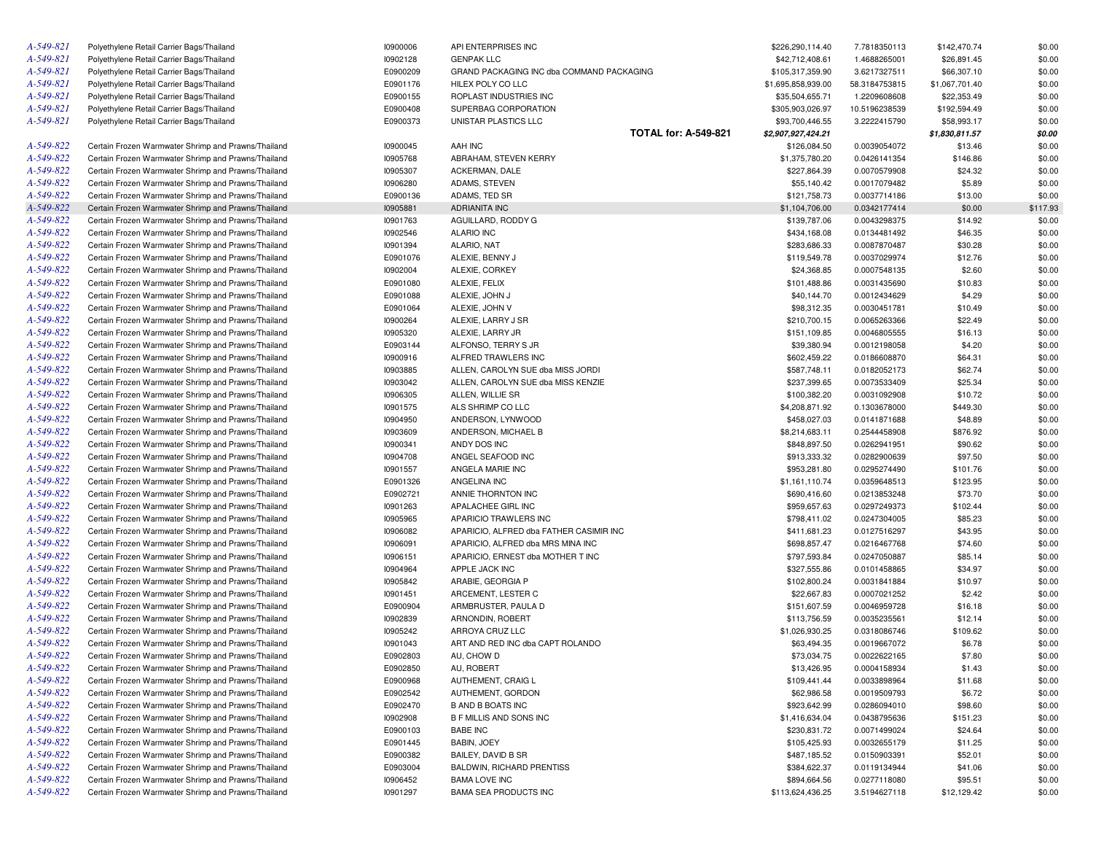| A-549-821 | Polyethylene Retail Carrier Bags/Thailand           | 10900006 | API ENTERPRISES INC                       | \$226,290,114.40   | 7.7818350113  | \$142,470.74   | \$0.00   |
|-----------|-----------------------------------------------------|----------|-------------------------------------------|--------------------|---------------|----------------|----------|
| A-549-821 | Polyethylene Retail Carrier Bags/Thailand           | 10902128 | <b>GENPAK LLC</b>                         | \$42,712,408.61    | 1.4688265001  | \$26,891.45    | \$0.00   |
| A-549-821 | Polyethylene Retail Carrier Bags/Thailand           | E0900209 | GRAND PACKAGING INC dba COMMAND PACKAGING | \$105,317,359.90   | 3.6217327511  | \$66,307.10    | \$0.00   |
| A-549-821 | Polyethylene Retail Carrier Bags/Thailand           | E0901176 | HILEX POLY CO LLC                         | \$1,695,858,939.00 | 58.3184753815 | \$1,067,701.40 | \$0.00   |
| A-549-821 | Polyethylene Retail Carrier Bags/Thailand           | E0900155 | ROPLAST INDUSTRIES INC                    | \$35,504,655.71    | 1.2209608608  | \$22,353.49    | \$0.00   |
| A-549-821 | Polyethylene Retail Carrier Bags/Thailand           | E0900408 | SUPERBAG CORPORATION                      | \$305,903,026.97   | 10.5196238539 | \$192,594.49   | \$0.00   |
| A-549-821 | Polyethylene Retail Carrier Bags/Thailand           | E0900373 | UNISTAR PLASTICS LLC                      | \$93,700,446.55    | 3.2222415790  | \$58,993.17    | \$0.00   |
|           |                                                     |          | <b>TOTAL for: A-549-821</b>               | \$2,907,927,424.21 |               | \$1,830,811.57 | \$0.00   |
| A-549-822 | Certain Frozen Warmwater Shrimp and Prawns/Thailand | 10900045 | AAH INC                                   | \$126,084.50       | 0.0039054072  | \$13.46        | \$0.00   |
| A-549-822 | Certain Frozen Warmwater Shrimp and Prawns/Thailand | 10905768 | ABRAHAM, STEVEN KERRY                     | \$1,375,780.20     | 0.0426141354  | \$146.86       | \$0.00   |
| A-549-822 | Certain Frozen Warmwater Shrimp and Prawns/Thailand | 10905307 | ACKERMAN, DALE                            | \$227,864.39       | 0.0070579908  | \$24.32        | \$0.00   |
| A-549-822 | Certain Frozen Warmwater Shrimp and Prawns/Thailand | 10906280 | ADAMS, STEVEN                             | \$55,140.42        | 0.0017079482  | \$5.89         | \$0.00   |
| A-549-822 | Certain Frozen Warmwater Shrimp and Prawns/Thailand | E0900136 | ADAMS, TED SR                             | \$121,758.73       | 0.0037714186  | \$13.00        | \$0.00   |
| A-549-822 | Certain Frozen Warmwater Shrimp and Prawns/Thailand | 10905881 | <b>ADRIANITA INC</b>                      | \$1,104,706.00     | 0.0342177414  | \$0.00         | \$117.93 |
| A-549-822 | Certain Frozen Warmwater Shrimp and Prawns/Thailand | 10901763 | AGUILLARD, RODDY G                        | \$139,787.06       | 0.0043298375  | \$14.92        | \$0.00   |
| A-549-822 | Certain Frozen Warmwater Shrimp and Prawns/Thailand | 10902546 | <b>ALARIO INC</b>                         | \$434,168.08       | 0.0134481492  | \$46.35        | \$0.00   |
| A-549-822 | Certain Frozen Warmwater Shrimp and Prawns/Thailand | 10901394 | ALARIO, NAT                               | \$283,686.33       | 0.0087870487  | \$30.28        | \$0.00   |
| A-549-822 | Certain Frozen Warmwater Shrimp and Prawns/Thailand | E0901076 | ALEXIE, BENNY J                           | \$119,549.78       | 0.0037029974  | \$12.76        | \$0.00   |
| A-549-822 | Certain Frozen Warmwater Shrimp and Prawns/Thailand | 10902004 | ALEXIE, CORKEY                            | \$24,368.85        | 0.0007548135  | \$2.60         | \$0.00   |
| A-549-822 | Certain Frozen Warmwater Shrimp and Prawns/Thailand | E0901080 | ALEXIE, FELIX                             | \$101,488.86       | 0.0031435690  |                | \$0.00   |
| A-549-822 |                                                     | E0901088 |                                           |                    |               | \$10.83        | \$0.00   |
| A-549-822 | Certain Frozen Warmwater Shrimp and Prawns/Thailand |          | ALEXIE, JOHN J                            | \$40,144.70        | 0.0012434629  | \$4.29         |          |
|           | Certain Frozen Warmwater Shrimp and Prawns/Thailand | E0901064 | ALEXIE, JOHN V                            | \$98,312.35        | 0.0030451781  | \$10.49        | \$0.00   |
| A-549-822 | Certain Frozen Warmwater Shrimp and Prawns/Thailand | 10900264 | ALEXIE, LARRY J SR                        | \$210,700.15       | 0.0065263366  | \$22.49        | \$0.00   |
| A-549-822 | Certain Frozen Warmwater Shrimp and Prawns/Thailand | 10905320 | ALEXIE. LARRY JR                          | \$151,109.85       | 0.0046805555  | \$16.13        | \$0.00   |
| A-549-822 | Certain Frozen Warmwater Shrimp and Prawns/Thailand | E0903144 | ALFONSO, TERRY S JR                       | \$39,380.94        | 0.0012198058  | \$4.20         | \$0.00   |
| A-549-822 | Certain Frozen Warmwater Shrimp and Prawns/Thailand | 10900916 | ALFRED TRAWLERS INC                       | \$602,459.22       | 0.0186608870  | \$64.31        | \$0.00   |
| A-549-822 | Certain Frozen Warmwater Shrimp and Prawns/Thailand | 10903885 | ALLEN, CAROLYN SUE dba MISS JORDI         | \$587,748.11       | 0.0182052173  | \$62.74        | \$0.00   |
| A-549-822 | Certain Frozen Warmwater Shrimp and Prawns/Thailand | 10903042 | ALLEN, CAROLYN SUE dba MISS KENZIE        | \$237,399.65       | 0.0073533409  | \$25.34        | \$0.00   |
| A-549-822 | Certain Frozen Warmwater Shrimp and Prawns/Thailand | 10906305 | ALLEN, WILLIE SR                          | \$100,382.20       | 0.0031092908  | \$10.72        | \$0.00   |
| A-549-822 | Certain Frozen Warmwater Shrimp and Prawns/Thailand | 10901575 | ALS SHRIMP CO LLC                         | \$4,208,871.92     | 0.1303678000  | \$449.30       | \$0.00   |
| A-549-822 | Certain Frozen Warmwater Shrimp and Prawns/Thailand | 10904950 | ANDERSON, LYNWOOD                         | \$458,027.03       | 0.0141871688  | \$48.89        | \$0.00   |
| A-549-822 | Certain Frozen Warmwater Shrimp and Prawns/Thailand | 10903609 | ANDERSON, MICHAEL B                       | \$8,214,683.11     | 0.2544458908  | \$876.92       | \$0.00   |
| A-549-822 | Certain Frozen Warmwater Shrimp and Prawns/Thailand | 10900341 | ANDY DOS INC                              | \$848,897.50       | 0.0262941951  | \$90.62        | \$0.00   |
| A-549-822 | Certain Frozen Warmwater Shrimp and Prawns/Thailand | 10904708 | ANGEL SEAFOOD INC                         | \$913,333.32       | 0.0282900639  | \$97.50        | \$0.00   |
| A-549-822 | Certain Frozen Warmwater Shrimp and Prawns/Thailand | 10901557 | ANGELA MARIE INC                          | \$953,281.80       | 0.0295274490  | \$101.76       | \$0.00   |
| A-549-822 | Certain Frozen Warmwater Shrimp and Prawns/Thailand | E0901326 | ANGELINA INC                              | \$1,161,110.74     | 0.0359648513  | \$123.95       | \$0.00   |
| A-549-822 | Certain Frozen Warmwater Shrimp and Prawns/Thailand | E0902721 | ANNIE THORNTON INC                        | \$690,416.60       | 0.0213853248  | \$73.70        | \$0.00   |
| A-549-822 | Certain Frozen Warmwater Shrimp and Prawns/Thailand | 10901263 | APALACHEE GIRL INC                        | \$959,657.63       | 0.0297249373  | \$102.44       | \$0.00   |
| A-549-822 | Certain Frozen Warmwater Shrimp and Prawns/Thailand | 10905965 | APARICIO TRAWLERS INC                     | \$798,411.02       | 0.0247304005  | \$85.23        | \$0.00   |
| A-549-822 | Certain Frozen Warmwater Shrimp and Prawns/Thailand | 10906082 | APARICIO, ALFRED dba FATHER CASIMIR INC   | \$411,681.23       | 0.0127516297  | \$43.95        | \$0.00   |
| A-549-822 | Certain Frozen Warmwater Shrimp and Prawns/Thailand | 10906091 | APARICIO, ALFRED dba MRS MINA INC         | \$698,857.47       | 0.0216467768  | \$74.60        | \$0.00   |
| A-549-822 | Certain Frozen Warmwater Shrimp and Prawns/Thailand | 10906151 | APARICIO, ERNEST dba MOTHER T INC         | \$797,593.84       | 0.0247050887  | \$85.14        | \$0.00   |
| A-549-822 | Certain Frozen Warmwater Shrimp and Prawns/Thailand | 10904964 | APPLE JACK INC                            | \$327,555.86       | 0.0101458865  | \$34.97        | \$0.00   |
| A-549-822 | Certain Frozen Warmwater Shrimp and Prawns/Thailand | 10905842 | ARABIE, GEORGIA P                         | \$102,800.24       | 0.0031841884  | \$10.97        | \$0.00   |
| A-549-822 | Certain Frozen Warmwater Shrimp and Prawns/Thailand | 10901451 | ARCEMENT, LESTER C                        | \$22,667.83        | 0.0007021252  | \$2.42         | \$0.00   |
| A-549-822 | Certain Frozen Warmwater Shrimp and Prawns/Thailand | E0900904 | ARMBRUSTER, PAULA D                       | \$151,607.59       | 0.0046959728  | \$16.18        | \$0.00   |
| A-549-822 | Certain Frozen Warmwater Shrimp and Prawns/Thailand | 10902839 | ARNONDIN, ROBERT                          | \$113,756.59       | 0.0035235561  | \$12.14        | \$0.00   |
| A-549-822 | Certain Frozen Warmwater Shrimp and Prawns/Thailand | 10905242 | ARROYA CRUZ LLC                           | \$1,026,930.25     | 0.0318086746  | \$109.62       | \$0.00   |
| A-549-822 | Certain Frozen Warmwater Shrimp and Prawns/Thailand | 10901043 | ART AND RED INC dba CAPT ROLANDO          | \$63,494.35        | 0.0019667072  | \$6.78         | \$0.00   |
| A-549-822 | Certain Frozen Warmwater Shrimp and Prawns/Thailand | E0902803 | AU, CHOW D                                | \$73,034.75        | 0.0022622165  | \$7.80         | \$0.00   |
| A-549-822 | Certain Frozen Warmwater Shrimp and Prawns/Thailand | E0902850 | AU, ROBERT                                | \$13,426.95        | 0.0004158934  | \$1.43         | \$0.00   |
| A-549-822 | Certain Frozen Warmwater Shrimp and Prawns/Thailand | E0900968 | AUTHEMENT, CRAIG L                        | \$109,441.44       | 0.0033898964  | \$11.68        | \$0.00   |
| A-549-822 | Certain Frozen Warmwater Shrimp and Prawns/Thailand | E0902542 | AUTHEMENT, GORDON                         | \$62,986.58        | 0.0019509793  | \$6.72         | \$0.00   |
| A-549-822 | Certain Frozen Warmwater Shrimp and Prawns/Thailand | E0902470 | <b>B AND B BOATS INC</b>                  | \$923,642.99       | 0.0286094010  | \$98.60        | \$0.00   |
| A-549-822 | Certain Frozen Warmwater Shrimp and Prawns/Thailand | 10902908 | <b>B F MILLIS AND SONS INC</b>            | \$1,416,634.04     | 0.0438795636  | \$151.23       | \$0.00   |
| A-549-822 | Certain Frozen Warmwater Shrimp and Prawns/Thailand | E0900103 | <b>BABE INC</b>                           | \$230,831.72       | 0.0071499024  | \$24.64        | \$0.00   |
| A-549-822 | Certain Frozen Warmwater Shrimp and Prawns/Thailand | E0901445 | BABIN, JOEY                               | \$105,425.93       | 0.0032655179  | \$11.25        | \$0.00   |
| A-549-822 | Certain Frozen Warmwater Shrimp and Prawns/Thailand | E0900382 | BAILEY, DAVID B SR                        | \$487,185.52       | 0.0150903391  | \$52.01        | \$0.00   |
| A-549-822 | Certain Frozen Warmwater Shrimp and Prawns/Thailand | E0903004 | <b>BALDWIN, RICHARD PRENTISS</b>          | \$384,622.37       | 0.0119134944  | \$41.06        | \$0.00   |
| A-549-822 | Certain Frozen Warmwater Shrimp and Prawns/Thailand | 10906452 | <b>BAMA LOVE INC</b>                      | \$894,664.56       | 0.0277118080  | \$95.51        | \$0.00   |
| A-549-822 | Certain Frozen Warmwater Shrimp and Prawns/Thailand | 10901297 | <b>BAMA SEA PRODUCTS INC</b>              | \$113,624,436.25   | 3.5194627118  | \$12,129.42    | \$0.00   |
|           |                                                     |          |                                           |                    |               |                |          |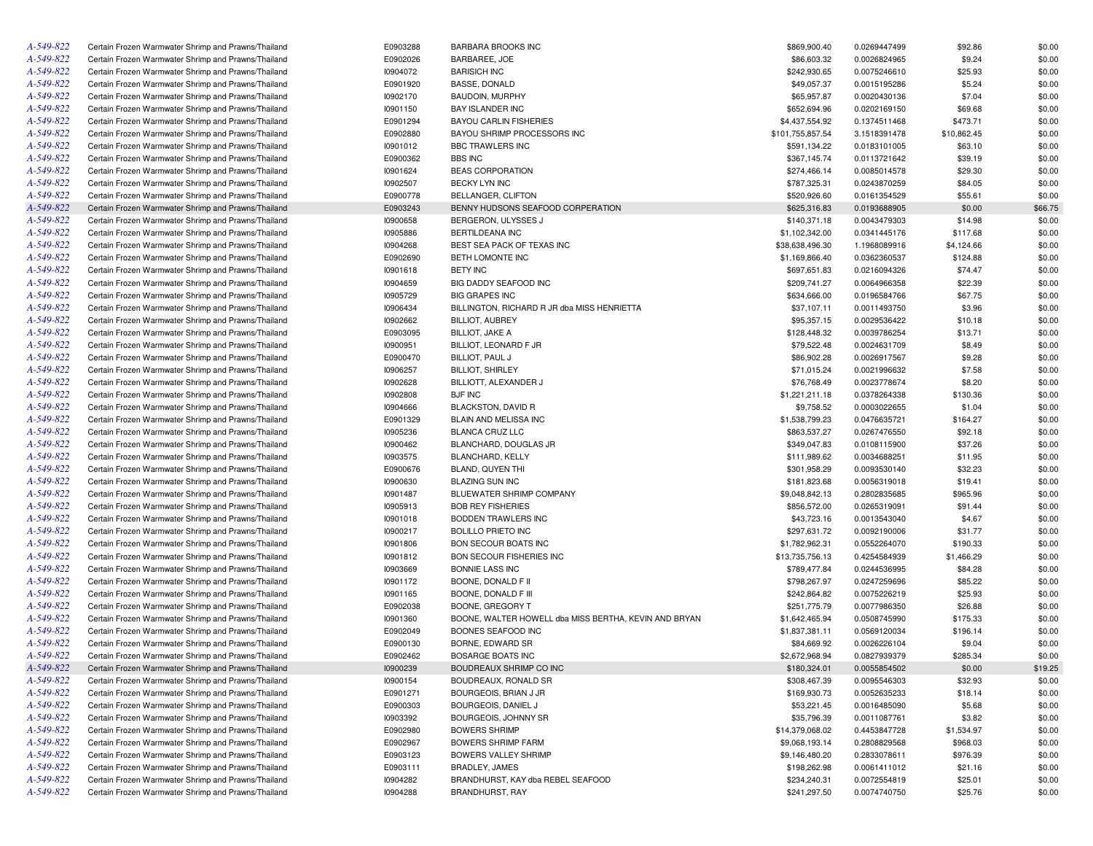| A-549-822 | Certain Frozen Warmwater Shrimp and Prawns/Thailand | E0903288 | <b>BARBARA BROOKS INC</b>                             | \$869,900.40     | 0.0269447499 | \$92.86     | \$0.00  |
|-----------|-----------------------------------------------------|----------|-------------------------------------------------------|------------------|--------------|-------------|---------|
| A-549-822 | Certain Frozen Warmwater Shrimp and Prawns/Thailand | E0902026 | BARBAREE, JOE                                         | \$86,603.32      | 0.0026824965 | \$9.24      | \$0.00  |
| A-549-822 | Certain Frozen Warmwater Shrimp and Prawns/Thailand | 10904072 | <b>BARISICH INC</b>                                   | \$242,930.65     | 0.0075246610 | \$25.93     | \$0.00  |
| A-549-822 | Certain Frozen Warmwater Shrimp and Prawns/Thailand | E0901920 | <b>BASSE, DONALD</b>                                  | \$49,057.37      | 0.0015195286 | \$5.24      | \$0.00  |
| A-549-822 | Certain Frozen Warmwater Shrimp and Prawns/Thailand | 10902170 | <b>BAUDOIN, MURPHY</b>                                | \$65,957.87      | 0.0020430136 | \$7.04      | \$0.00  |
| A-549-822 | Certain Frozen Warmwater Shrimp and Prawns/Thailand | 10901150 | <b>BAY ISLANDER INC</b>                               | \$652,694.96     | 0.0202169150 | \$69.68     | \$0.00  |
| A-549-822 | Certain Frozen Warmwater Shrimp and Prawns/Thailand | E0901294 | <b>BAYOU CARLIN FISHERIES</b>                         | \$4,437,554.92   | 0.1374511468 | \$473.71    | \$0.00  |
| A-549-822 | Certain Frozen Warmwater Shrimp and Prawns/Thailand | E0902880 | BAYOU SHRIMP PROCESSORS INC                           | \$101,755,857.54 | 3.1518391478 | \$10,862.45 | \$0.00  |
| A-549-822 | Certain Frozen Warmwater Shrimp and Prawns/Thailand | 10901012 | <b>BBC TRAWLERS INC</b>                               | \$591,134.22     | 0.0183101005 | \$63.10     | \$0.00  |
| A-549-822 | Certain Frozen Warmwater Shrimp and Prawns/Thailand | E0900362 | <b>BBS INC</b>                                        | \$367,145.74     | 0.0113721642 | \$39.19     | \$0.00  |
| A-549-822 | Certain Frozen Warmwater Shrimp and Prawns/Thailand | 10901624 | <b>BEAS CORPORATION</b>                               | \$274,466.14     | 0.0085014578 | \$29.30     | \$0.00  |
| A-549-822 | Certain Frozen Warmwater Shrimp and Prawns/Thailand | 10902507 | BECKY LYN INC                                         | \$787,325.31     | 0.0243870259 | \$84.05     | \$0.00  |
| A-549-822 | Certain Frozen Warmwater Shrimp and Prawns/Thailand | E0900778 | <b>BELLANGER, CLIFTON</b>                             | \$520,926.60     | 0.0161354529 | \$55.61     | \$0.00  |
| A-549-822 | Certain Frozen Warmwater Shrimp and Prawns/Thailand | E0903243 | BENNY HUDSONS SEAFOOD CORPERATION                     | \$625,316.83     | 0.0193688905 | \$0.00      | \$66.75 |
| A-549-822 | Certain Frozen Warmwater Shrimp and Prawns/Thailand | 10900658 | BERGERON, ULYSSES J                                   | \$140,371.18     | 0.0043479303 | \$14.98     | \$0.00  |
| A-549-822 | Certain Frozen Warmwater Shrimp and Prawns/Thailand | 10905886 | BERTILDEANA INC                                       | \$1,102,342.00   | 0.0341445176 | \$117.68    | \$0.00  |
| A-549-822 | Certain Frozen Warmwater Shrimp and Prawns/Thailand | 10904268 | BEST SEA PACK OF TEXAS INC                            |                  |              |             |         |
|           |                                                     |          |                                                       | \$38,638,496.30  | 1.1968089916 | \$4,124.66  | \$0.00  |
| A-549-822 | Certain Frozen Warmwater Shrimp and Prawns/Thailand | E0902690 | BETH LOMONTE INC                                      | \$1,169,866.40   | 0.0362360537 | \$124.88    | \$0.00  |
| A-549-822 | Certain Frozen Warmwater Shrimp and Prawns/Thailand | 10901618 | <b>BETY INC</b>                                       | \$697,651.83     | 0.0216094326 | \$74.47     | \$0.00  |
| A-549-822 | Certain Frozen Warmwater Shrimp and Prawns/Thailand | 10904659 | BIG DADDY SEAFOOD INC                                 | \$209,741.27     | 0.0064966358 | \$22.39     | \$0.00  |
| A-549-822 | Certain Frozen Warmwater Shrimp and Prawns/Thailand | 10905729 | <b>BIG GRAPES INC</b>                                 | \$634,666.00     | 0.0196584766 | \$67.75     | \$0.00  |
| A-549-822 | Certain Frozen Warmwater Shrimp and Prawns/Thailand | 10906434 | BILLINGTON, RICHARD R JR dba MISS HENRIETTA           | \$37,107.11      | 0.0011493750 | \$3.96      | \$0.00  |
| A-549-822 | Certain Frozen Warmwater Shrimp and Prawns/Thailand | 10902662 | <b>BILLIOT, AUBREY</b>                                | \$95,357.15      | 0.0029536422 | \$10.18     | \$0.00  |
| A-549-822 | Certain Frozen Warmwater Shrimp and Prawns/Thailand | E0903095 | <b>BILLIOT, JAKE A</b>                                | \$128,448.32     | 0.0039786254 | \$13.71     | \$0.00  |
| A-549-822 | Certain Frozen Warmwater Shrimp and Prawns/Thailand | 10900951 | BILLIOT, LEONARD F JR                                 | \$79,522.48      | 0.0024631709 | \$8.49      | \$0.00  |
| A-549-822 | Certain Frozen Warmwater Shrimp and Prawns/Thailand | E0900470 | BILLIOT, PAUL J                                       | \$86,902.28      | 0.0026917567 | \$9.28      | \$0.00  |
| A-549-822 | Certain Frozen Warmwater Shrimp and Prawns/Thailand | 10906257 | <b>BILLIOT, SHIRLEY</b>                               | \$71,015.24      | 0.0021996632 | \$7.58      | \$0.00  |
| A-549-822 | Certain Frozen Warmwater Shrimp and Prawns/Thailand | 10902628 | BILLIOTT, ALEXANDER J                                 | \$76,768.49      | 0.0023778674 | \$8.20      | \$0.00  |
| A-549-822 | Certain Frozen Warmwater Shrimp and Prawns/Thailand | 10902808 | <b>BJF INC</b>                                        | \$1,221,211.18   | 0.0378264338 | \$130.36    | \$0.00  |
| A-549-822 | Certain Frozen Warmwater Shrimp and Prawns/Thailand | 10904666 | <b>BLACKSTON, DAVID R</b>                             | \$9,758.52       | 0.0003022655 | \$1.04      | \$0.00  |
| A-549-822 | Certain Frozen Warmwater Shrimp and Prawns/Thailand | E0901329 | BLAIN AND MELISSA INC                                 | \$1,538,799.23   | 0.0476635721 | \$164.27    | \$0.00  |
| A-549-822 | Certain Frozen Warmwater Shrimp and Prawns/Thailand | 10905236 | BLANCA CRUZ LLC                                       | \$863,537.27     | 0.0267476550 | \$92.18     | \$0.00  |
| A-549-822 | Certain Frozen Warmwater Shrimp and Prawns/Thailand | 10900462 | BLANCHARD, DOUGLAS JR                                 | \$349,047.83     | 0.0108115900 | \$37.26     | \$0.00  |
| A-549-822 | Certain Frozen Warmwater Shrimp and Prawns/Thailand | 10903575 | BLANCHARD, KELLY                                      | \$111,989.62     | 0.0034688251 | \$11.95     | \$0.00  |
| A-549-822 | Certain Frozen Warmwater Shrimp and Prawns/Thailand | E0900676 | BLAND, QUYEN THI                                      | \$301,958.29     | 0.0093530140 | \$32.23     | \$0.00  |
| A-549-822 | Certain Frozen Warmwater Shrimp and Prawns/Thailand | 10900630 | <b>BLAZING SUN INC</b>                                | \$181,823.68     | 0.0056319018 | \$19.41     | \$0.00  |
| A-549-822 | Certain Frozen Warmwater Shrimp and Prawns/Thailand | 10901487 | BLUEWATER SHRIMP COMPANY                              | \$9,048,842.13   | 0.2802835685 | \$965.96    | \$0.00  |
| A-549-822 | Certain Frozen Warmwater Shrimp and Prawns/Thailand | 10905913 | <b>BOB REY FISHERIES</b>                              | \$856,572.00     | 0.0265319091 | \$91.44     | \$0.00  |
| A-549-822 | Certain Frozen Warmwater Shrimp and Prawns/Thailand | 10901018 | BODDEN TRAWLERS INC                                   | \$43,723.16      | 0.0013543040 | \$4.67      | \$0.00  |
| A-549-822 | Certain Frozen Warmwater Shrimp and Prawns/Thailand | 10900217 | <b>BOLILLO PRIETO INC</b>                             | \$297,631.72     | 0.0092190006 | \$31.77     | \$0.00  |
| A-549-822 | Certain Frozen Warmwater Shrimp and Prawns/Thailand | 10901806 | <b>BON SECOUR BOATS INC</b>                           | \$1,782,962.31   | 0.0552264070 | \$190.33    | \$0.00  |
| A-549-822 |                                                     |          |                                                       |                  |              |             |         |
|           | Certain Frozen Warmwater Shrimp and Prawns/Thailand | 10901812 | <b>BON SECOUR FISHERIES INC</b>                       | \$13,735,756.13  | 0.4254584939 | \$1,466.29  | \$0.00  |
| A-549-822 | Certain Frozen Warmwater Shrimp and Prawns/Thailand | 10903669 | BONNIE LASS INC                                       | \$789,477.84     | 0.0244536995 | \$84.28     | \$0.00  |
| A-549-822 | Certain Frozen Warmwater Shrimp and Prawns/Thailand | 10901172 | BOONE, DONALD F II                                    | \$798,267.97     | 0.0247259696 | \$85.22     | \$0.00  |
| A-549-822 | Certain Frozen Warmwater Shrimp and Prawns/Thailand | 10901165 | BOONE, DONALD F III                                   | \$242,864.82     | 0.0075226219 | \$25.93     | \$0.00  |
| A-549-822 | Certain Frozen Warmwater Shrimp and Prawns/Thailand | E0902038 | BOONE, GREGORY T                                      | \$251,775.79     | 0.0077986350 | \$26.88     | \$0.00  |
| A-549-822 | Certain Frozen Warmwater Shrimp and Prawns/Thailand | 10901360 | BOONE, WALTER HOWELL dba MISS BERTHA, KEVIN AND BRYAN | \$1,642,465.94   | 0.0508745990 | \$175.33    | \$0.00  |
| A-549-822 | Certain Frozen Warmwater Shrimp and Prawns/Thailand | E0902049 | BOONES SEAFOOD INC                                    | \$1,837,381.11   | 0.0569120034 | \$196.14    | \$0.00  |
| A-549-822 | Certain Frozen Warmwater Shrimp and Prawns/Thailand | E0900130 | BORNE, EDWARD SR                                      | \$84,669.92      | 0.0026226104 | \$9.04      | \$0.00  |
| A-549-822 | Certain Frozen Warmwater Shrimp and Prawns/Thailand | E0902462 | BOSARGE BOATS INC                                     | \$2,672,968.94   | 0.0827939379 | \$285.34    | \$0.00  |
| A-549-822 | Certain Frozen Warmwater Shrimp and Prawns/Thailand | 10900239 | BOUDREAUX SHRIMP CO INC                               | \$180,324.01     | 0.0055854502 | \$0.00      | \$19.25 |
| A-549-822 | Certain Frozen Warmwater Shrimp and Prawns/Thailand | 10900154 | BOUDREAUX, RONALD SR                                  | \$308,467.39     | 0.0095546303 | \$32.93     | \$0.00  |
| A-549-822 | Certain Frozen Warmwater Shrimp and Prawns/Thailand | E0901271 | BOURGEOIS, BRIAN J JR                                 | \$169,930.73     | 0.0052635233 | \$18.14     | \$0.00  |
| A-549-822 | Certain Frozen Warmwater Shrimp and Prawns/Thailand | E0900303 | BOURGEOIS, DANIEL J                                   | \$53,221.45      | 0.0016485090 | \$5.68      | \$0.00  |
| A-549-822 | Certain Frozen Warmwater Shrimp and Prawns/Thailand | 10903392 | BOURGEOIS, JOHNNY SR                                  | \$35,796.39      | 0.0011087761 | \$3.82      | \$0.00  |
| A-549-822 | Certain Frozen Warmwater Shrimp and Prawns/Thailand | E0902980 | <b>BOWERS SHRIMP</b>                                  | \$14,379,068.02  | 0.4453847728 | \$1,534.97  | \$0.00  |
| A-549-822 | Certain Frozen Warmwater Shrimp and Prawns/Thailand | E0902967 | <b>BOWERS SHRIMP FARM</b>                             | \$9,068,193.14   | 0.2808829568 | \$968.03    | \$0.00  |
| A-549-822 | Certain Frozen Warmwater Shrimp and Prawns/Thailand | E0903123 | BOWERS VALLEY SHRIMP                                  | \$9,146,480.20   | 0.2833078611 | \$976.39    | \$0.00  |
| A-549-822 | Certain Frozen Warmwater Shrimp and Prawns/Thailand | E0903111 | BRADLEY, JAMES                                        | \$198,262.98     | 0.0061411012 | \$21.16     | \$0.00  |
| A-549-822 | Certain Frozen Warmwater Shrimp and Prawns/Thailand | 10904282 | BRANDHURST, KAY dba REBEL SEAFOOD                     | \$234,240.31     | 0.0072554819 | \$25.01     | \$0.00  |
| A-549-822 | Certain Frozen Warmwater Shrimp and Prawns/Thailand | 10904288 | <b>BRANDHURST, RAY</b>                                | \$241,297.50     | 0.0074740750 | \$25.76     | \$0.00  |
|           |                                                     |          |                                                       |                  |              |             |         |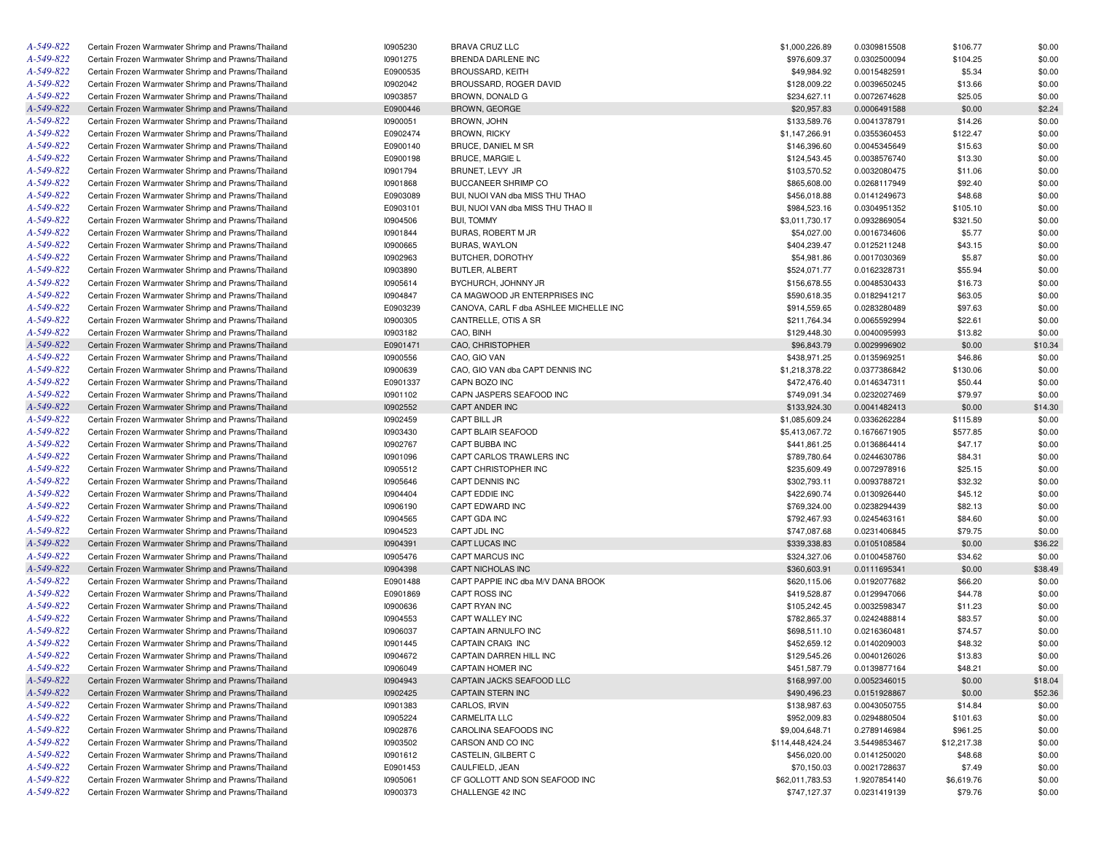| Certain Frozen Warmwater Shrimp and Prawns/Thailand | 10905230                                                                                                                                                                                                                                                                                                                                                                                                                                                                                                                                                                                                                                                                                                                                                                                                                                                                                                                                                                                                                                                                                                                                                                                                                                                                                                                                                                                                                                                                                                                                                                                                                                                                                                                                                                                                                                                                                                                                                                                                                                                                                                        | <b>BRAVA CRUZ LLC</b>                                                                                                                                                                                                                                                                                                                                                                                                                                                | \$1,000,226.89                                                                                                                                                                                                                                                                                                                                                                                                                                                                                                                                                                                                                                                                                                                                                                                                                                                      | 0.0309815508                                                                                                                                                                                                                                                                                                                                                                                                                                                                                                                                                                                                  | \$106.77                                                                                                                                                                                                                                                                                                                                                                                                                                                                                                                                                                                     | \$0.00                                                                                                                                                                                                                                                                                                                                                                                               |
|-----------------------------------------------------|-----------------------------------------------------------------------------------------------------------------------------------------------------------------------------------------------------------------------------------------------------------------------------------------------------------------------------------------------------------------------------------------------------------------------------------------------------------------------------------------------------------------------------------------------------------------------------------------------------------------------------------------------------------------------------------------------------------------------------------------------------------------------------------------------------------------------------------------------------------------------------------------------------------------------------------------------------------------------------------------------------------------------------------------------------------------------------------------------------------------------------------------------------------------------------------------------------------------------------------------------------------------------------------------------------------------------------------------------------------------------------------------------------------------------------------------------------------------------------------------------------------------------------------------------------------------------------------------------------------------------------------------------------------------------------------------------------------------------------------------------------------------------------------------------------------------------------------------------------------------------------------------------------------------------------------------------------------------------------------------------------------------------------------------------------------------------------------------------------------------|----------------------------------------------------------------------------------------------------------------------------------------------------------------------------------------------------------------------------------------------------------------------------------------------------------------------------------------------------------------------------------------------------------------------------------------------------------------------|---------------------------------------------------------------------------------------------------------------------------------------------------------------------------------------------------------------------------------------------------------------------------------------------------------------------------------------------------------------------------------------------------------------------------------------------------------------------------------------------------------------------------------------------------------------------------------------------------------------------------------------------------------------------------------------------------------------------------------------------------------------------------------------------------------------------------------------------------------------------|---------------------------------------------------------------------------------------------------------------------------------------------------------------------------------------------------------------------------------------------------------------------------------------------------------------------------------------------------------------------------------------------------------------------------------------------------------------------------------------------------------------------------------------------------------------------------------------------------------------|----------------------------------------------------------------------------------------------------------------------------------------------------------------------------------------------------------------------------------------------------------------------------------------------------------------------------------------------------------------------------------------------------------------------------------------------------------------------------------------------------------------------------------------------------------------------------------------------|------------------------------------------------------------------------------------------------------------------------------------------------------------------------------------------------------------------------------------------------------------------------------------------------------------------------------------------------------------------------------------------------------|
| Certain Frozen Warmwater Shrimp and Prawns/Thailand | 10901275                                                                                                                                                                                                                                                                                                                                                                                                                                                                                                                                                                                                                                                                                                                                                                                                                                                                                                                                                                                                                                                                                                                                                                                                                                                                                                                                                                                                                                                                                                                                                                                                                                                                                                                                                                                                                                                                                                                                                                                                                                                                                                        | BRENDA DARLENE INC                                                                                                                                                                                                                                                                                                                                                                                                                                                   | \$976,609.37                                                                                                                                                                                                                                                                                                                                                                                                                                                                                                                                                                                                                                                                                                                                                                                                                                                        | 0.0302500094                                                                                                                                                                                                                                                                                                                                                                                                                                                                                                                                                                                                  | \$104.25                                                                                                                                                                                                                                                                                                                                                                                                                                                                                                                                                                                     | \$0.00                                                                                                                                                                                                                                                                                                                                                                                               |
| Certain Frozen Warmwater Shrimp and Prawns/Thailand | E0900535                                                                                                                                                                                                                                                                                                                                                                                                                                                                                                                                                                                                                                                                                                                                                                                                                                                                                                                                                                                                                                                                                                                                                                                                                                                                                                                                                                                                                                                                                                                                                                                                                                                                                                                                                                                                                                                                                                                                                                                                                                                                                                        | BROUSSARD, KEITH                                                                                                                                                                                                                                                                                                                                                                                                                                                     | \$49,984.92                                                                                                                                                                                                                                                                                                                                                                                                                                                                                                                                                                                                                                                                                                                                                                                                                                                         | 0.0015482591                                                                                                                                                                                                                                                                                                                                                                                                                                                                                                                                                                                                  | \$5.34                                                                                                                                                                                                                                                                                                                                                                                                                                                                                                                                                                                       | \$0.00                                                                                                                                                                                                                                                                                                                                                                                               |
| Certain Frozen Warmwater Shrimp and Prawns/Thailand | 10902042                                                                                                                                                                                                                                                                                                                                                                                                                                                                                                                                                                                                                                                                                                                                                                                                                                                                                                                                                                                                                                                                                                                                                                                                                                                                                                                                                                                                                                                                                                                                                                                                                                                                                                                                                                                                                                                                                                                                                                                                                                                                                                        | BROUSSARD, ROGER DAVID                                                                                                                                                                                                                                                                                                                                                                                                                                               | \$128,009.22                                                                                                                                                                                                                                                                                                                                                                                                                                                                                                                                                                                                                                                                                                                                                                                                                                                        | 0.0039650245                                                                                                                                                                                                                                                                                                                                                                                                                                                                                                                                                                                                  | \$13.66                                                                                                                                                                                                                                                                                                                                                                                                                                                                                                                                                                                      | \$0.00                                                                                                                                                                                                                                                                                                                                                                                               |
| Certain Frozen Warmwater Shrimp and Prawns/Thailand | 10903857                                                                                                                                                                                                                                                                                                                                                                                                                                                                                                                                                                                                                                                                                                                                                                                                                                                                                                                                                                                                                                                                                                                                                                                                                                                                                                                                                                                                                                                                                                                                                                                                                                                                                                                                                                                                                                                                                                                                                                                                                                                                                                        | BROWN, DONALD G                                                                                                                                                                                                                                                                                                                                                                                                                                                      | \$234,627.11                                                                                                                                                                                                                                                                                                                                                                                                                                                                                                                                                                                                                                                                                                                                                                                                                                                        | 0.0072674628                                                                                                                                                                                                                                                                                                                                                                                                                                                                                                                                                                                                  | \$25.05                                                                                                                                                                                                                                                                                                                                                                                                                                                                                                                                                                                      | \$0.00                                                                                                                                                                                                                                                                                                                                                                                               |
| Certain Frozen Warmwater Shrimp and Prawns/Thailand | E0900446                                                                                                                                                                                                                                                                                                                                                                                                                                                                                                                                                                                                                                                                                                                                                                                                                                                                                                                                                                                                                                                                                                                                                                                                                                                                                                                                                                                                                                                                                                                                                                                                                                                                                                                                                                                                                                                                                                                                                                                                                                                                                                        | BROWN, GEORGE                                                                                                                                                                                                                                                                                                                                                                                                                                                        | \$20,957.83                                                                                                                                                                                                                                                                                                                                                                                                                                                                                                                                                                                                                                                                                                                                                                                                                                                         | 0.0006491588                                                                                                                                                                                                                                                                                                                                                                                                                                                                                                                                                                                                  | \$0.00                                                                                                                                                                                                                                                                                                                                                                                                                                                                                                                                                                                       | \$2.24                                                                                                                                                                                                                                                                                                                                                                                               |
| Certain Frozen Warmwater Shrimp and Prawns/Thailand | 10900051                                                                                                                                                                                                                                                                                                                                                                                                                                                                                                                                                                                                                                                                                                                                                                                                                                                                                                                                                                                                                                                                                                                                                                                                                                                                                                                                                                                                                                                                                                                                                                                                                                                                                                                                                                                                                                                                                                                                                                                                                                                                                                        | BROWN, JOHN                                                                                                                                                                                                                                                                                                                                                                                                                                                          | \$133,589.76                                                                                                                                                                                                                                                                                                                                                                                                                                                                                                                                                                                                                                                                                                                                                                                                                                                        | 0.0041378791                                                                                                                                                                                                                                                                                                                                                                                                                                                                                                                                                                                                  | \$14.26                                                                                                                                                                                                                                                                                                                                                                                                                                                                                                                                                                                      | \$0.00                                                                                                                                                                                                                                                                                                                                                                                               |
| Certain Frozen Warmwater Shrimp and Prawns/Thailand | E0902474                                                                                                                                                                                                                                                                                                                                                                                                                                                                                                                                                                                                                                                                                                                                                                                                                                                                                                                                                                                                                                                                                                                                                                                                                                                                                                                                                                                                                                                                                                                                                                                                                                                                                                                                                                                                                                                                                                                                                                                                                                                                                                        | <b>BROWN, RICKY</b>                                                                                                                                                                                                                                                                                                                                                                                                                                                  | \$1,147,266.91                                                                                                                                                                                                                                                                                                                                                                                                                                                                                                                                                                                                                                                                                                                                                                                                                                                      | 0.0355360453                                                                                                                                                                                                                                                                                                                                                                                                                                                                                                                                                                                                  | \$122.47                                                                                                                                                                                                                                                                                                                                                                                                                                                                                                                                                                                     | \$0.00                                                                                                                                                                                                                                                                                                                                                                                               |
|                                                     |                                                                                                                                                                                                                                                                                                                                                                                                                                                                                                                                                                                                                                                                                                                                                                                                                                                                                                                                                                                                                                                                                                                                                                                                                                                                                                                                                                                                                                                                                                                                                                                                                                                                                                                                                                                                                                                                                                                                                                                                                                                                                                                 |                                                                                                                                                                                                                                                                                                                                                                                                                                                                      |                                                                                                                                                                                                                                                                                                                                                                                                                                                                                                                                                                                                                                                                                                                                                                                                                                                                     |                                                                                                                                                                                                                                                                                                                                                                                                                                                                                                                                                                                                               |                                                                                                                                                                                                                                                                                                                                                                                                                                                                                                                                                                                              | \$0.00                                                                                                                                                                                                                                                                                                                                                                                               |
|                                                     |                                                                                                                                                                                                                                                                                                                                                                                                                                                                                                                                                                                                                                                                                                                                                                                                                                                                                                                                                                                                                                                                                                                                                                                                                                                                                                                                                                                                                                                                                                                                                                                                                                                                                                                                                                                                                                                                                                                                                                                                                                                                                                                 |                                                                                                                                                                                                                                                                                                                                                                                                                                                                      |                                                                                                                                                                                                                                                                                                                                                                                                                                                                                                                                                                                                                                                                                                                                                                                                                                                                     |                                                                                                                                                                                                                                                                                                                                                                                                                                                                                                                                                                                                               |                                                                                                                                                                                                                                                                                                                                                                                                                                                                                                                                                                                              | \$0.00                                                                                                                                                                                                                                                                                                                                                                                               |
|                                                     |                                                                                                                                                                                                                                                                                                                                                                                                                                                                                                                                                                                                                                                                                                                                                                                                                                                                                                                                                                                                                                                                                                                                                                                                                                                                                                                                                                                                                                                                                                                                                                                                                                                                                                                                                                                                                                                                                                                                                                                                                                                                                                                 |                                                                                                                                                                                                                                                                                                                                                                                                                                                                      |                                                                                                                                                                                                                                                                                                                                                                                                                                                                                                                                                                                                                                                                                                                                                                                                                                                                     |                                                                                                                                                                                                                                                                                                                                                                                                                                                                                                                                                                                                               |                                                                                                                                                                                                                                                                                                                                                                                                                                                                                                                                                                                              | \$0.00                                                                                                                                                                                                                                                                                                                                                                                               |
|                                                     |                                                                                                                                                                                                                                                                                                                                                                                                                                                                                                                                                                                                                                                                                                                                                                                                                                                                                                                                                                                                                                                                                                                                                                                                                                                                                                                                                                                                                                                                                                                                                                                                                                                                                                                                                                                                                                                                                                                                                                                                                                                                                                                 |                                                                                                                                                                                                                                                                                                                                                                                                                                                                      |                                                                                                                                                                                                                                                                                                                                                                                                                                                                                                                                                                                                                                                                                                                                                                                                                                                                     |                                                                                                                                                                                                                                                                                                                                                                                                                                                                                                                                                                                                               |                                                                                                                                                                                                                                                                                                                                                                                                                                                                                                                                                                                              | \$0.00                                                                                                                                                                                                                                                                                                                                                                                               |
|                                                     |                                                                                                                                                                                                                                                                                                                                                                                                                                                                                                                                                                                                                                                                                                                                                                                                                                                                                                                                                                                                                                                                                                                                                                                                                                                                                                                                                                                                                                                                                                                                                                                                                                                                                                                                                                                                                                                                                                                                                                                                                                                                                                                 |                                                                                                                                                                                                                                                                                                                                                                                                                                                                      |                                                                                                                                                                                                                                                                                                                                                                                                                                                                                                                                                                                                                                                                                                                                                                                                                                                                     |                                                                                                                                                                                                                                                                                                                                                                                                                                                                                                                                                                                                               |                                                                                                                                                                                                                                                                                                                                                                                                                                                                                                                                                                                              | \$0.00                                                                                                                                                                                                                                                                                                                                                                                               |
|                                                     |                                                                                                                                                                                                                                                                                                                                                                                                                                                                                                                                                                                                                                                                                                                                                                                                                                                                                                                                                                                                                                                                                                                                                                                                                                                                                                                                                                                                                                                                                                                                                                                                                                                                                                                                                                                                                                                                                                                                                                                                                                                                                                                 |                                                                                                                                                                                                                                                                                                                                                                                                                                                                      |                                                                                                                                                                                                                                                                                                                                                                                                                                                                                                                                                                                                                                                                                                                                                                                                                                                                     |                                                                                                                                                                                                                                                                                                                                                                                                                                                                                                                                                                                                               |                                                                                                                                                                                                                                                                                                                                                                                                                                                                                                                                                                                              | \$0.00                                                                                                                                                                                                                                                                                                                                                                                               |
|                                                     |                                                                                                                                                                                                                                                                                                                                                                                                                                                                                                                                                                                                                                                                                                                                                                                                                                                                                                                                                                                                                                                                                                                                                                                                                                                                                                                                                                                                                                                                                                                                                                                                                                                                                                                                                                                                                                                                                                                                                                                                                                                                                                                 |                                                                                                                                                                                                                                                                                                                                                                                                                                                                      |                                                                                                                                                                                                                                                                                                                                                                                                                                                                                                                                                                                                                                                                                                                                                                                                                                                                     |                                                                                                                                                                                                                                                                                                                                                                                                                                                                                                                                                                                                               |                                                                                                                                                                                                                                                                                                                                                                                                                                                                                                                                                                                              | \$0.00                                                                                                                                                                                                                                                                                                                                                                                               |
|                                                     |                                                                                                                                                                                                                                                                                                                                                                                                                                                                                                                                                                                                                                                                                                                                                                                                                                                                                                                                                                                                                                                                                                                                                                                                                                                                                                                                                                                                                                                                                                                                                                                                                                                                                                                                                                                                                                                                                                                                                                                                                                                                                                                 |                                                                                                                                                                                                                                                                                                                                                                                                                                                                      |                                                                                                                                                                                                                                                                                                                                                                                                                                                                                                                                                                                                                                                                                                                                                                                                                                                                     |                                                                                                                                                                                                                                                                                                                                                                                                                                                                                                                                                                                                               |                                                                                                                                                                                                                                                                                                                                                                                                                                                                                                                                                                                              | \$0.00                                                                                                                                                                                                                                                                                                                                                                                               |
|                                                     |                                                                                                                                                                                                                                                                                                                                                                                                                                                                                                                                                                                                                                                                                                                                                                                                                                                                                                                                                                                                                                                                                                                                                                                                                                                                                                                                                                                                                                                                                                                                                                                                                                                                                                                                                                                                                                                                                                                                                                                                                                                                                                                 |                                                                                                                                                                                                                                                                                                                                                                                                                                                                      |                                                                                                                                                                                                                                                                                                                                                                                                                                                                                                                                                                                                                                                                                                                                                                                                                                                                     |                                                                                                                                                                                                                                                                                                                                                                                                                                                                                                                                                                                                               |                                                                                                                                                                                                                                                                                                                                                                                                                                                                                                                                                                                              | \$0.00                                                                                                                                                                                                                                                                                                                                                                                               |
|                                                     |                                                                                                                                                                                                                                                                                                                                                                                                                                                                                                                                                                                                                                                                                                                                                                                                                                                                                                                                                                                                                                                                                                                                                                                                                                                                                                                                                                                                                                                                                                                                                                                                                                                                                                                                                                                                                                                                                                                                                                                                                                                                                                                 |                                                                                                                                                                                                                                                                                                                                                                                                                                                                      |                                                                                                                                                                                                                                                                                                                                                                                                                                                                                                                                                                                                                                                                                                                                                                                                                                                                     |                                                                                                                                                                                                                                                                                                                                                                                                                                                                                                                                                                                                               |                                                                                                                                                                                                                                                                                                                                                                                                                                                                                                                                                                                              | \$0.00                                                                                                                                                                                                                                                                                                                                                                                               |
|                                                     |                                                                                                                                                                                                                                                                                                                                                                                                                                                                                                                                                                                                                                                                                                                                                                                                                                                                                                                                                                                                                                                                                                                                                                                                                                                                                                                                                                                                                                                                                                                                                                                                                                                                                                                                                                                                                                                                                                                                                                                                                                                                                                                 |                                                                                                                                                                                                                                                                                                                                                                                                                                                                      |                                                                                                                                                                                                                                                                                                                                                                                                                                                                                                                                                                                                                                                                                                                                                                                                                                                                     |                                                                                                                                                                                                                                                                                                                                                                                                                                                                                                                                                                                                               |                                                                                                                                                                                                                                                                                                                                                                                                                                                                                                                                                                                              |                                                                                                                                                                                                                                                                                                                                                                                                      |
|                                                     |                                                                                                                                                                                                                                                                                                                                                                                                                                                                                                                                                                                                                                                                                                                                                                                                                                                                                                                                                                                                                                                                                                                                                                                                                                                                                                                                                                                                                                                                                                                                                                                                                                                                                                                                                                                                                                                                                                                                                                                                                                                                                                                 |                                                                                                                                                                                                                                                                                                                                                                                                                                                                      |                                                                                                                                                                                                                                                                                                                                                                                                                                                                                                                                                                                                                                                                                                                                                                                                                                                                     |                                                                                                                                                                                                                                                                                                                                                                                                                                                                                                                                                                                                               |                                                                                                                                                                                                                                                                                                                                                                                                                                                                                                                                                                                              | \$0.00                                                                                                                                                                                                                                                                                                                                                                                               |
|                                                     |                                                                                                                                                                                                                                                                                                                                                                                                                                                                                                                                                                                                                                                                                                                                                                                                                                                                                                                                                                                                                                                                                                                                                                                                                                                                                                                                                                                                                                                                                                                                                                                                                                                                                                                                                                                                                                                                                                                                                                                                                                                                                                                 |                                                                                                                                                                                                                                                                                                                                                                                                                                                                      |                                                                                                                                                                                                                                                                                                                                                                                                                                                                                                                                                                                                                                                                                                                                                                                                                                                                     |                                                                                                                                                                                                                                                                                                                                                                                                                                                                                                                                                                                                               |                                                                                                                                                                                                                                                                                                                                                                                                                                                                                                                                                                                              | \$0.00                                                                                                                                                                                                                                                                                                                                                                                               |
|                                                     |                                                                                                                                                                                                                                                                                                                                                                                                                                                                                                                                                                                                                                                                                                                                                                                                                                                                                                                                                                                                                                                                                                                                                                                                                                                                                                                                                                                                                                                                                                                                                                                                                                                                                                                                                                                                                                                                                                                                                                                                                                                                                                                 |                                                                                                                                                                                                                                                                                                                                                                                                                                                                      |                                                                                                                                                                                                                                                                                                                                                                                                                                                                                                                                                                                                                                                                                                                                                                                                                                                                     |                                                                                                                                                                                                                                                                                                                                                                                                                                                                                                                                                                                                               |                                                                                                                                                                                                                                                                                                                                                                                                                                                                                                                                                                                              | \$0.00                                                                                                                                                                                                                                                                                                                                                                                               |
|                                                     |                                                                                                                                                                                                                                                                                                                                                                                                                                                                                                                                                                                                                                                                                                                                                                                                                                                                                                                                                                                                                                                                                                                                                                                                                                                                                                                                                                                                                                                                                                                                                                                                                                                                                                                                                                                                                                                                                                                                                                                                                                                                                                                 |                                                                                                                                                                                                                                                                                                                                                                                                                                                                      |                                                                                                                                                                                                                                                                                                                                                                                                                                                                                                                                                                                                                                                                                                                                                                                                                                                                     |                                                                                                                                                                                                                                                                                                                                                                                                                                                                                                                                                                                                               |                                                                                                                                                                                                                                                                                                                                                                                                                                                                                                                                                                                              | \$0.00                                                                                                                                                                                                                                                                                                                                                                                               |
|                                                     |                                                                                                                                                                                                                                                                                                                                                                                                                                                                                                                                                                                                                                                                                                                                                                                                                                                                                                                                                                                                                                                                                                                                                                                                                                                                                                                                                                                                                                                                                                                                                                                                                                                                                                                                                                                                                                                                                                                                                                                                                                                                                                                 |                                                                                                                                                                                                                                                                                                                                                                                                                                                                      |                                                                                                                                                                                                                                                                                                                                                                                                                                                                                                                                                                                                                                                                                                                                                                                                                                                                     |                                                                                                                                                                                                                                                                                                                                                                                                                                                                                                                                                                                                               |                                                                                                                                                                                                                                                                                                                                                                                                                                                                                                                                                                                              | \$0.00                                                                                                                                                                                                                                                                                                                                                                                               |
|                                                     |                                                                                                                                                                                                                                                                                                                                                                                                                                                                                                                                                                                                                                                                                                                                                                                                                                                                                                                                                                                                                                                                                                                                                                                                                                                                                                                                                                                                                                                                                                                                                                                                                                                                                                                                                                                                                                                                                                                                                                                                                                                                                                                 |                                                                                                                                                                                                                                                                                                                                                                                                                                                                      |                                                                                                                                                                                                                                                                                                                                                                                                                                                                                                                                                                                                                                                                                                                                                                                                                                                                     |                                                                                                                                                                                                                                                                                                                                                                                                                                                                                                                                                                                                               |                                                                                                                                                                                                                                                                                                                                                                                                                                                                                                                                                                                              | \$0.00                                                                                                                                                                                                                                                                                                                                                                                               |
|                                                     |                                                                                                                                                                                                                                                                                                                                                                                                                                                                                                                                                                                                                                                                                                                                                                                                                                                                                                                                                                                                                                                                                                                                                                                                                                                                                                                                                                                                                                                                                                                                                                                                                                                                                                                                                                                                                                                                                                                                                                                                                                                                                                                 |                                                                                                                                                                                                                                                                                                                                                                                                                                                                      |                                                                                                                                                                                                                                                                                                                                                                                                                                                                                                                                                                                                                                                                                                                                                                                                                                                                     |                                                                                                                                                                                                                                                                                                                                                                                                                                                                                                                                                                                                               |                                                                                                                                                                                                                                                                                                                                                                                                                                                                                                                                                                                              | \$10.34                                                                                                                                                                                                                                                                                                                                                                                              |
|                                                     |                                                                                                                                                                                                                                                                                                                                                                                                                                                                                                                                                                                                                                                                                                                                                                                                                                                                                                                                                                                                                                                                                                                                                                                                                                                                                                                                                                                                                                                                                                                                                                                                                                                                                                                                                                                                                                                                                                                                                                                                                                                                                                                 |                                                                                                                                                                                                                                                                                                                                                                                                                                                                      |                                                                                                                                                                                                                                                                                                                                                                                                                                                                                                                                                                                                                                                                                                                                                                                                                                                                     |                                                                                                                                                                                                                                                                                                                                                                                                                                                                                                                                                                                                               |                                                                                                                                                                                                                                                                                                                                                                                                                                                                                                                                                                                              | \$0.00                                                                                                                                                                                                                                                                                                                                                                                               |
|                                                     |                                                                                                                                                                                                                                                                                                                                                                                                                                                                                                                                                                                                                                                                                                                                                                                                                                                                                                                                                                                                                                                                                                                                                                                                                                                                                                                                                                                                                                                                                                                                                                                                                                                                                                                                                                                                                                                                                                                                                                                                                                                                                                                 |                                                                                                                                                                                                                                                                                                                                                                                                                                                                      |                                                                                                                                                                                                                                                                                                                                                                                                                                                                                                                                                                                                                                                                                                                                                                                                                                                                     |                                                                                                                                                                                                                                                                                                                                                                                                                                                                                                                                                                                                               |                                                                                                                                                                                                                                                                                                                                                                                                                                                                                                                                                                                              | \$0.00                                                                                                                                                                                                                                                                                                                                                                                               |
|                                                     |                                                                                                                                                                                                                                                                                                                                                                                                                                                                                                                                                                                                                                                                                                                                                                                                                                                                                                                                                                                                                                                                                                                                                                                                                                                                                                                                                                                                                                                                                                                                                                                                                                                                                                                                                                                                                                                                                                                                                                                                                                                                                                                 |                                                                                                                                                                                                                                                                                                                                                                                                                                                                      | \$472,476.40                                                                                                                                                                                                                                                                                                                                                                                                                                                                                                                                                                                                                                                                                                                                                                                                                                                        | 0.0146347311                                                                                                                                                                                                                                                                                                                                                                                                                                                                                                                                                                                                  | \$50.44                                                                                                                                                                                                                                                                                                                                                                                                                                                                                                                                                                                      | \$0.00                                                                                                                                                                                                                                                                                                                                                                                               |
| Certain Frozen Warmwater Shrimp and Prawns/Thailand | 10901102                                                                                                                                                                                                                                                                                                                                                                                                                                                                                                                                                                                                                                                                                                                                                                                                                                                                                                                                                                                                                                                                                                                                                                                                                                                                                                                                                                                                                                                                                                                                                                                                                                                                                                                                                                                                                                                                                                                                                                                                                                                                                                        | CAPN JASPERS SEAFOOD INC                                                                                                                                                                                                                                                                                                                                                                                                                                             | \$749,091.34                                                                                                                                                                                                                                                                                                                                                                                                                                                                                                                                                                                                                                                                                                                                                                                                                                                        | 0.0232027469                                                                                                                                                                                                                                                                                                                                                                                                                                                                                                                                                                                                  | \$79.97                                                                                                                                                                                                                                                                                                                                                                                                                                                                                                                                                                                      | \$0.00                                                                                                                                                                                                                                                                                                                                                                                               |
| Certain Frozen Warmwater Shrimp and Prawns/Thailand | 10902552                                                                                                                                                                                                                                                                                                                                                                                                                                                                                                                                                                                                                                                                                                                                                                                                                                                                                                                                                                                                                                                                                                                                                                                                                                                                                                                                                                                                                                                                                                                                                                                                                                                                                                                                                                                                                                                                                                                                                                                                                                                                                                        | <b>CAPT ANDER INC</b>                                                                                                                                                                                                                                                                                                                                                                                                                                                | \$133,924.30                                                                                                                                                                                                                                                                                                                                                                                                                                                                                                                                                                                                                                                                                                                                                                                                                                                        | 0.0041482413                                                                                                                                                                                                                                                                                                                                                                                                                                                                                                                                                                                                  | \$0.00                                                                                                                                                                                                                                                                                                                                                                                                                                                                                                                                                                                       | \$14.30                                                                                                                                                                                                                                                                                                                                                                                              |
| Certain Frozen Warmwater Shrimp and Prawns/Thailand | 10902459                                                                                                                                                                                                                                                                                                                                                                                                                                                                                                                                                                                                                                                                                                                                                                                                                                                                                                                                                                                                                                                                                                                                                                                                                                                                                                                                                                                                                                                                                                                                                                                                                                                                                                                                                                                                                                                                                                                                                                                                                                                                                                        | CAPT BILL JR                                                                                                                                                                                                                                                                                                                                                                                                                                                         | \$1,085,609.24                                                                                                                                                                                                                                                                                                                                                                                                                                                                                                                                                                                                                                                                                                                                                                                                                                                      | 0.0336262284                                                                                                                                                                                                                                                                                                                                                                                                                                                                                                                                                                                                  | \$115.89                                                                                                                                                                                                                                                                                                                                                                                                                                                                                                                                                                                     | \$0.00                                                                                                                                                                                                                                                                                                                                                                                               |
| Certain Frozen Warmwater Shrimp and Prawns/Thailand | 10903430                                                                                                                                                                                                                                                                                                                                                                                                                                                                                                                                                                                                                                                                                                                                                                                                                                                                                                                                                                                                                                                                                                                                                                                                                                                                                                                                                                                                                                                                                                                                                                                                                                                                                                                                                                                                                                                                                                                                                                                                                                                                                                        | CAPT BLAIR SEAFOOD                                                                                                                                                                                                                                                                                                                                                                                                                                                   | \$5,413,067.72                                                                                                                                                                                                                                                                                                                                                                                                                                                                                                                                                                                                                                                                                                                                                                                                                                                      | 0.1676671905                                                                                                                                                                                                                                                                                                                                                                                                                                                                                                                                                                                                  | \$577.85                                                                                                                                                                                                                                                                                                                                                                                                                                                                                                                                                                                     | \$0.00                                                                                                                                                                                                                                                                                                                                                                                               |
| Certain Frozen Warmwater Shrimp and Prawns/Thailand | 10902767                                                                                                                                                                                                                                                                                                                                                                                                                                                                                                                                                                                                                                                                                                                                                                                                                                                                                                                                                                                                                                                                                                                                                                                                                                                                                                                                                                                                                                                                                                                                                                                                                                                                                                                                                                                                                                                                                                                                                                                                                                                                                                        | CAPT BUBBA INC                                                                                                                                                                                                                                                                                                                                                                                                                                                       | \$441,861.25                                                                                                                                                                                                                                                                                                                                                                                                                                                                                                                                                                                                                                                                                                                                                                                                                                                        | 0.0136864414                                                                                                                                                                                                                                                                                                                                                                                                                                                                                                                                                                                                  | \$47.17                                                                                                                                                                                                                                                                                                                                                                                                                                                                                                                                                                                      | \$0.00                                                                                                                                                                                                                                                                                                                                                                                               |
| Certain Frozen Warmwater Shrimp and Prawns/Thailand | 10901096                                                                                                                                                                                                                                                                                                                                                                                                                                                                                                                                                                                                                                                                                                                                                                                                                                                                                                                                                                                                                                                                                                                                                                                                                                                                                                                                                                                                                                                                                                                                                                                                                                                                                                                                                                                                                                                                                                                                                                                                                                                                                                        | CAPT CARLOS TRAWLERS INC                                                                                                                                                                                                                                                                                                                                                                                                                                             | \$789,780.64                                                                                                                                                                                                                                                                                                                                                                                                                                                                                                                                                                                                                                                                                                                                                                                                                                                        | 0.0244630786                                                                                                                                                                                                                                                                                                                                                                                                                                                                                                                                                                                                  | \$84.31                                                                                                                                                                                                                                                                                                                                                                                                                                                                                                                                                                                      | \$0.00                                                                                                                                                                                                                                                                                                                                                                                               |
| Certain Frozen Warmwater Shrimp and Prawns/Thailand | 10905512                                                                                                                                                                                                                                                                                                                                                                                                                                                                                                                                                                                                                                                                                                                                                                                                                                                                                                                                                                                                                                                                                                                                                                                                                                                                                                                                                                                                                                                                                                                                                                                                                                                                                                                                                                                                                                                                                                                                                                                                                                                                                                        | CAPT CHRISTOPHER INC                                                                                                                                                                                                                                                                                                                                                                                                                                                 | \$235,609.49                                                                                                                                                                                                                                                                                                                                                                                                                                                                                                                                                                                                                                                                                                                                                                                                                                                        | 0.0072978916                                                                                                                                                                                                                                                                                                                                                                                                                                                                                                                                                                                                  | \$25.15                                                                                                                                                                                                                                                                                                                                                                                                                                                                                                                                                                                      | \$0.00                                                                                                                                                                                                                                                                                                                                                                                               |
| Certain Frozen Warmwater Shrimp and Prawns/Thailand | 10905646                                                                                                                                                                                                                                                                                                                                                                                                                                                                                                                                                                                                                                                                                                                                                                                                                                                                                                                                                                                                                                                                                                                                                                                                                                                                                                                                                                                                                                                                                                                                                                                                                                                                                                                                                                                                                                                                                                                                                                                                                                                                                                        | CAPT DENNIS INC                                                                                                                                                                                                                                                                                                                                                                                                                                                      | \$302,793.11                                                                                                                                                                                                                                                                                                                                                                                                                                                                                                                                                                                                                                                                                                                                                                                                                                                        | 0.0093788721                                                                                                                                                                                                                                                                                                                                                                                                                                                                                                                                                                                                  | \$32.32                                                                                                                                                                                                                                                                                                                                                                                                                                                                                                                                                                                      | \$0.00                                                                                                                                                                                                                                                                                                                                                                                               |
| Certain Frozen Warmwater Shrimp and Prawns/Thailand | 10904404                                                                                                                                                                                                                                                                                                                                                                                                                                                                                                                                                                                                                                                                                                                                                                                                                                                                                                                                                                                                                                                                                                                                                                                                                                                                                                                                                                                                                                                                                                                                                                                                                                                                                                                                                                                                                                                                                                                                                                                                                                                                                                        | CAPT EDDIE INC                                                                                                                                                                                                                                                                                                                                                                                                                                                       | \$422,690.74                                                                                                                                                                                                                                                                                                                                                                                                                                                                                                                                                                                                                                                                                                                                                                                                                                                        | 0.0130926440                                                                                                                                                                                                                                                                                                                                                                                                                                                                                                                                                                                                  | \$45.12                                                                                                                                                                                                                                                                                                                                                                                                                                                                                                                                                                                      | \$0.00                                                                                                                                                                                                                                                                                                                                                                                               |
|                                                     |                                                                                                                                                                                                                                                                                                                                                                                                                                                                                                                                                                                                                                                                                                                                                                                                                                                                                                                                                                                                                                                                                                                                                                                                                                                                                                                                                                                                                                                                                                                                                                                                                                                                                                                                                                                                                                                                                                                                                                                                                                                                                                                 | CAPT EDWARD INC                                                                                                                                                                                                                                                                                                                                                                                                                                                      |                                                                                                                                                                                                                                                                                                                                                                                                                                                                                                                                                                                                                                                                                                                                                                                                                                                                     |                                                                                                                                                                                                                                                                                                                                                                                                                                                                                                                                                                                                               |                                                                                                                                                                                                                                                                                                                                                                                                                                                                                                                                                                                              | \$0.00                                                                                                                                                                                                                                                                                                                                                                                               |
|                                                     |                                                                                                                                                                                                                                                                                                                                                                                                                                                                                                                                                                                                                                                                                                                                                                                                                                                                                                                                                                                                                                                                                                                                                                                                                                                                                                                                                                                                                                                                                                                                                                                                                                                                                                                                                                                                                                                                                                                                                                                                                                                                                                                 |                                                                                                                                                                                                                                                                                                                                                                                                                                                                      |                                                                                                                                                                                                                                                                                                                                                                                                                                                                                                                                                                                                                                                                                                                                                                                                                                                                     |                                                                                                                                                                                                                                                                                                                                                                                                                                                                                                                                                                                                               |                                                                                                                                                                                                                                                                                                                                                                                                                                                                                                                                                                                              | \$0.00                                                                                                                                                                                                                                                                                                                                                                                               |
|                                                     |                                                                                                                                                                                                                                                                                                                                                                                                                                                                                                                                                                                                                                                                                                                                                                                                                                                                                                                                                                                                                                                                                                                                                                                                                                                                                                                                                                                                                                                                                                                                                                                                                                                                                                                                                                                                                                                                                                                                                                                                                                                                                                                 |                                                                                                                                                                                                                                                                                                                                                                                                                                                                      |                                                                                                                                                                                                                                                                                                                                                                                                                                                                                                                                                                                                                                                                                                                                                                                                                                                                     |                                                                                                                                                                                                                                                                                                                                                                                                                                                                                                                                                                                                               |                                                                                                                                                                                                                                                                                                                                                                                                                                                                                                                                                                                              | \$0.00                                                                                                                                                                                                                                                                                                                                                                                               |
|                                                     |                                                                                                                                                                                                                                                                                                                                                                                                                                                                                                                                                                                                                                                                                                                                                                                                                                                                                                                                                                                                                                                                                                                                                                                                                                                                                                                                                                                                                                                                                                                                                                                                                                                                                                                                                                                                                                                                                                                                                                                                                                                                                                                 |                                                                                                                                                                                                                                                                                                                                                                                                                                                                      |                                                                                                                                                                                                                                                                                                                                                                                                                                                                                                                                                                                                                                                                                                                                                                                                                                                                     |                                                                                                                                                                                                                                                                                                                                                                                                                                                                                                                                                                                                               |                                                                                                                                                                                                                                                                                                                                                                                                                                                                                                                                                                                              | \$36.22                                                                                                                                                                                                                                                                                                                                                                                              |
|                                                     |                                                                                                                                                                                                                                                                                                                                                                                                                                                                                                                                                                                                                                                                                                                                                                                                                                                                                                                                                                                                                                                                                                                                                                                                                                                                                                                                                                                                                                                                                                                                                                                                                                                                                                                                                                                                                                                                                                                                                                                                                                                                                                                 |                                                                                                                                                                                                                                                                                                                                                                                                                                                                      |                                                                                                                                                                                                                                                                                                                                                                                                                                                                                                                                                                                                                                                                                                                                                                                                                                                                     |                                                                                                                                                                                                                                                                                                                                                                                                                                                                                                                                                                                                               |                                                                                                                                                                                                                                                                                                                                                                                                                                                                                                                                                                                              | \$0.00                                                                                                                                                                                                                                                                                                                                                                                               |
|                                                     |                                                                                                                                                                                                                                                                                                                                                                                                                                                                                                                                                                                                                                                                                                                                                                                                                                                                                                                                                                                                                                                                                                                                                                                                                                                                                                                                                                                                                                                                                                                                                                                                                                                                                                                                                                                                                                                                                                                                                                                                                                                                                                                 |                                                                                                                                                                                                                                                                                                                                                                                                                                                                      |                                                                                                                                                                                                                                                                                                                                                                                                                                                                                                                                                                                                                                                                                                                                                                                                                                                                     |                                                                                                                                                                                                                                                                                                                                                                                                                                                                                                                                                                                                               |                                                                                                                                                                                                                                                                                                                                                                                                                                                                                                                                                                                              | \$38.49                                                                                                                                                                                                                                                                                                                                                                                              |
|                                                     |                                                                                                                                                                                                                                                                                                                                                                                                                                                                                                                                                                                                                                                                                                                                                                                                                                                                                                                                                                                                                                                                                                                                                                                                                                                                                                                                                                                                                                                                                                                                                                                                                                                                                                                                                                                                                                                                                                                                                                                                                                                                                                                 |                                                                                                                                                                                                                                                                                                                                                                                                                                                                      |                                                                                                                                                                                                                                                                                                                                                                                                                                                                                                                                                                                                                                                                                                                                                                                                                                                                     |                                                                                                                                                                                                                                                                                                                                                                                                                                                                                                                                                                                                               |                                                                                                                                                                                                                                                                                                                                                                                                                                                                                                                                                                                              | \$0.00                                                                                                                                                                                                                                                                                                                                                                                               |
|                                                     |                                                                                                                                                                                                                                                                                                                                                                                                                                                                                                                                                                                                                                                                                                                                                                                                                                                                                                                                                                                                                                                                                                                                                                                                                                                                                                                                                                                                                                                                                                                                                                                                                                                                                                                                                                                                                                                                                                                                                                                                                                                                                                                 |                                                                                                                                                                                                                                                                                                                                                                                                                                                                      |                                                                                                                                                                                                                                                                                                                                                                                                                                                                                                                                                                                                                                                                                                                                                                                                                                                                     |                                                                                                                                                                                                                                                                                                                                                                                                                                                                                                                                                                                                               |                                                                                                                                                                                                                                                                                                                                                                                                                                                                                                                                                                                              | \$0.00                                                                                                                                                                                                                                                                                                                                                                                               |
|                                                     |                                                                                                                                                                                                                                                                                                                                                                                                                                                                                                                                                                                                                                                                                                                                                                                                                                                                                                                                                                                                                                                                                                                                                                                                                                                                                                                                                                                                                                                                                                                                                                                                                                                                                                                                                                                                                                                                                                                                                                                                                                                                                                                 |                                                                                                                                                                                                                                                                                                                                                                                                                                                                      |                                                                                                                                                                                                                                                                                                                                                                                                                                                                                                                                                                                                                                                                                                                                                                                                                                                                     |                                                                                                                                                                                                                                                                                                                                                                                                                                                                                                                                                                                                               |                                                                                                                                                                                                                                                                                                                                                                                                                                                                                                                                                                                              | \$0.00                                                                                                                                                                                                                                                                                                                                                                                               |
|                                                     |                                                                                                                                                                                                                                                                                                                                                                                                                                                                                                                                                                                                                                                                                                                                                                                                                                                                                                                                                                                                                                                                                                                                                                                                                                                                                                                                                                                                                                                                                                                                                                                                                                                                                                                                                                                                                                                                                                                                                                                                                                                                                                                 |                                                                                                                                                                                                                                                                                                                                                                                                                                                                      |                                                                                                                                                                                                                                                                                                                                                                                                                                                                                                                                                                                                                                                                                                                                                                                                                                                                     |                                                                                                                                                                                                                                                                                                                                                                                                                                                                                                                                                                                                               |                                                                                                                                                                                                                                                                                                                                                                                                                                                                                                                                                                                              | \$0.00                                                                                                                                                                                                                                                                                                                                                                                               |
|                                                     |                                                                                                                                                                                                                                                                                                                                                                                                                                                                                                                                                                                                                                                                                                                                                                                                                                                                                                                                                                                                                                                                                                                                                                                                                                                                                                                                                                                                                                                                                                                                                                                                                                                                                                                                                                                                                                                                                                                                                                                                                                                                                                                 |                                                                                                                                                                                                                                                                                                                                                                                                                                                                      |                                                                                                                                                                                                                                                                                                                                                                                                                                                                                                                                                                                                                                                                                                                                                                                                                                                                     |                                                                                                                                                                                                                                                                                                                                                                                                                                                                                                                                                                                                               |                                                                                                                                                                                                                                                                                                                                                                                                                                                                                                                                                                                              | \$0.00                                                                                                                                                                                                                                                                                                                                                                                               |
|                                                     |                                                                                                                                                                                                                                                                                                                                                                                                                                                                                                                                                                                                                                                                                                                                                                                                                                                                                                                                                                                                                                                                                                                                                                                                                                                                                                                                                                                                                                                                                                                                                                                                                                                                                                                                                                                                                                                                                                                                                                                                                                                                                                                 |                                                                                                                                                                                                                                                                                                                                                                                                                                                                      |                                                                                                                                                                                                                                                                                                                                                                                                                                                                                                                                                                                                                                                                                                                                                                                                                                                                     |                                                                                                                                                                                                                                                                                                                                                                                                                                                                                                                                                                                                               |                                                                                                                                                                                                                                                                                                                                                                                                                                                                                                                                                                                              | \$0.00                                                                                                                                                                                                                                                                                                                                                                                               |
|                                                     |                                                                                                                                                                                                                                                                                                                                                                                                                                                                                                                                                                                                                                                                                                                                                                                                                                                                                                                                                                                                                                                                                                                                                                                                                                                                                                                                                                                                                                                                                                                                                                                                                                                                                                                                                                                                                                                                                                                                                                                                                                                                                                                 |                                                                                                                                                                                                                                                                                                                                                                                                                                                                      |                                                                                                                                                                                                                                                                                                                                                                                                                                                                                                                                                                                                                                                                                                                                                                                                                                                                     |                                                                                                                                                                                                                                                                                                                                                                                                                                                                                                                                                                                                               |                                                                                                                                                                                                                                                                                                                                                                                                                                                                                                                                                                                              |                                                                                                                                                                                                                                                                                                                                                                                                      |
|                                                     |                                                                                                                                                                                                                                                                                                                                                                                                                                                                                                                                                                                                                                                                                                                                                                                                                                                                                                                                                                                                                                                                                                                                                                                                                                                                                                                                                                                                                                                                                                                                                                                                                                                                                                                                                                                                                                                                                                                                                                                                                                                                                                                 |                                                                                                                                                                                                                                                                                                                                                                                                                                                                      |                                                                                                                                                                                                                                                                                                                                                                                                                                                                                                                                                                                                                                                                                                                                                                                                                                                                     |                                                                                                                                                                                                                                                                                                                                                                                                                                                                                                                                                                                                               |                                                                                                                                                                                                                                                                                                                                                                                                                                                                                                                                                                                              | \$0.00                                                                                                                                                                                                                                                                                                                                                                                               |
|                                                     |                                                                                                                                                                                                                                                                                                                                                                                                                                                                                                                                                                                                                                                                                                                                                                                                                                                                                                                                                                                                                                                                                                                                                                                                                                                                                                                                                                                                                                                                                                                                                                                                                                                                                                                                                                                                                                                                                                                                                                                                                                                                                                                 |                                                                                                                                                                                                                                                                                                                                                                                                                                                                      |                                                                                                                                                                                                                                                                                                                                                                                                                                                                                                                                                                                                                                                                                                                                                                                                                                                                     |                                                                                                                                                                                                                                                                                                                                                                                                                                                                                                                                                                                                               |                                                                                                                                                                                                                                                                                                                                                                                                                                                                                                                                                                                              | \$0.00                                                                                                                                                                                                                                                                                                                                                                                               |
|                                                     |                                                                                                                                                                                                                                                                                                                                                                                                                                                                                                                                                                                                                                                                                                                                                                                                                                                                                                                                                                                                                                                                                                                                                                                                                                                                                                                                                                                                                                                                                                                                                                                                                                                                                                                                                                                                                                                                                                                                                                                                                                                                                                                 |                                                                                                                                                                                                                                                                                                                                                                                                                                                                      |                                                                                                                                                                                                                                                                                                                                                                                                                                                                                                                                                                                                                                                                                                                                                                                                                                                                     |                                                                                                                                                                                                                                                                                                                                                                                                                                                                                                                                                                                                               |                                                                                                                                                                                                                                                                                                                                                                                                                                                                                                                                                                                              | \$18.04                                                                                                                                                                                                                                                                                                                                                                                              |
|                                                     |                                                                                                                                                                                                                                                                                                                                                                                                                                                                                                                                                                                                                                                                                                                                                                                                                                                                                                                                                                                                                                                                                                                                                                                                                                                                                                                                                                                                                                                                                                                                                                                                                                                                                                                                                                                                                                                                                                                                                                                                                                                                                                                 |                                                                                                                                                                                                                                                                                                                                                                                                                                                                      |                                                                                                                                                                                                                                                                                                                                                                                                                                                                                                                                                                                                                                                                                                                                                                                                                                                                     |                                                                                                                                                                                                                                                                                                                                                                                                                                                                                                                                                                                                               |                                                                                                                                                                                                                                                                                                                                                                                                                                                                                                                                                                                              | \$52.36                                                                                                                                                                                                                                                                                                                                                                                              |
|                                                     |                                                                                                                                                                                                                                                                                                                                                                                                                                                                                                                                                                                                                                                                                                                                                                                                                                                                                                                                                                                                                                                                                                                                                                                                                                                                                                                                                                                                                                                                                                                                                                                                                                                                                                                                                                                                                                                                                                                                                                                                                                                                                                                 |                                                                                                                                                                                                                                                                                                                                                                                                                                                                      |                                                                                                                                                                                                                                                                                                                                                                                                                                                                                                                                                                                                                                                                                                                                                                                                                                                                     |                                                                                                                                                                                                                                                                                                                                                                                                                                                                                                                                                                                                               |                                                                                                                                                                                                                                                                                                                                                                                                                                                                                                                                                                                              | \$0.00                                                                                                                                                                                                                                                                                                                                                                                               |
| Certain Frozen Warmwater Shrimp and Prawns/Thailand |                                                                                                                                                                                                                                                                                                                                                                                                                                                                                                                                                                                                                                                                                                                                                                                                                                                                                                                                                                                                                                                                                                                                                                                                                                                                                                                                                                                                                                                                                                                                                                                                                                                                                                                                                                                                                                                                                                                                                                                                                                                                                                                 | <b>CARMELITA LLC</b>                                                                                                                                                                                                                                                                                                                                                                                                                                                 |                                                                                                                                                                                                                                                                                                                                                                                                                                                                                                                                                                                                                                                                                                                                                                                                                                                                     | 0.0294880504                                                                                                                                                                                                                                                                                                                                                                                                                                                                                                                                                                                                  | \$101.63                                                                                                                                                                                                                                                                                                                                                                                                                                                                                                                                                                                     | \$0.00                                                                                                                                                                                                                                                                                                                                                                                               |
| Certain Frozen Warmwater Shrimp and Prawns/Thailand | 10902876                                                                                                                                                                                                                                                                                                                                                                                                                                                                                                                                                                                                                                                                                                                                                                                                                                                                                                                                                                                                                                                                                                                                                                                                                                                                                                                                                                                                                                                                                                                                                                                                                                                                                                                                                                                                                                                                                                                                                                                                                                                                                                        | CAROLINA SEAFOODS INC                                                                                                                                                                                                                                                                                                                                                                                                                                                | \$9,004,648.71                                                                                                                                                                                                                                                                                                                                                                                                                                                                                                                                                                                                                                                                                                                                                                                                                                                      | 0.2789146984                                                                                                                                                                                                                                                                                                                                                                                                                                                                                                                                                                                                  | \$961.25                                                                                                                                                                                                                                                                                                                                                                                                                                                                                                                                                                                     | \$0.00                                                                                                                                                                                                                                                                                                                                                                                               |
| Certain Frozen Warmwater Shrimp and Prawns/Thailand | 10903502                                                                                                                                                                                                                                                                                                                                                                                                                                                                                                                                                                                                                                                                                                                                                                                                                                                                                                                                                                                                                                                                                                                                                                                                                                                                                                                                                                                                                                                                                                                                                                                                                                                                                                                                                                                                                                                                                                                                                                                                                                                                                                        | CARSON AND CO INC                                                                                                                                                                                                                                                                                                                                                                                                                                                    | \$114,448,424.24                                                                                                                                                                                                                                                                                                                                                                                                                                                                                                                                                                                                                                                                                                                                                                                                                                                    | 3.5449853467                                                                                                                                                                                                                                                                                                                                                                                                                                                                                                                                                                                                  | \$12,217.38                                                                                                                                                                                                                                                                                                                                                                                                                                                                                                                                                                                  | \$0.00                                                                                                                                                                                                                                                                                                                                                                                               |
| Certain Frozen Warmwater Shrimp and Prawns/Thailand | 10901612                                                                                                                                                                                                                                                                                                                                                                                                                                                                                                                                                                                                                                                                                                                                                                                                                                                                                                                                                                                                                                                                                                                                                                                                                                                                                                                                                                                                                                                                                                                                                                                                                                                                                                                                                                                                                                                                                                                                                                                                                                                                                                        | CASTELIN, GILBERT C                                                                                                                                                                                                                                                                                                                                                                                                                                                  | \$456,020.00                                                                                                                                                                                                                                                                                                                                                                                                                                                                                                                                                                                                                                                                                                                                                                                                                                                        | 0.0141250020                                                                                                                                                                                                                                                                                                                                                                                                                                                                                                                                                                                                  | \$48.68                                                                                                                                                                                                                                                                                                                                                                                                                                                                                                                                                                                      | \$0.00                                                                                                                                                                                                                                                                                                                                                                                               |
| Certain Frozen Warmwater Shrimp and Prawns/Thailand | E0901453                                                                                                                                                                                                                                                                                                                                                                                                                                                                                                                                                                                                                                                                                                                                                                                                                                                                                                                                                                                                                                                                                                                                                                                                                                                                                                                                                                                                                                                                                                                                                                                                                                                                                                                                                                                                                                                                                                                                                                                                                                                                                                        | CAULFIELD, JEAN                                                                                                                                                                                                                                                                                                                                                                                                                                                      | \$70,150.03                                                                                                                                                                                                                                                                                                                                                                                                                                                                                                                                                                                                                                                                                                                                                                                                                                                         | 0.0021728637                                                                                                                                                                                                                                                                                                                                                                                                                                                                                                                                                                                                  | \$7.49                                                                                                                                                                                                                                                                                                                                                                                                                                                                                                                                                                                       | \$0.00                                                                                                                                                                                                                                                                                                                                                                                               |
| Certain Frozen Warmwater Shrimp and Prawns/Thailand | 10905061                                                                                                                                                                                                                                                                                                                                                                                                                                                                                                                                                                                                                                                                                                                                                                                                                                                                                                                                                                                                                                                                                                                                                                                                                                                                                                                                                                                                                                                                                                                                                                                                                                                                                                                                                                                                                                                                                                                                                                                                                                                                                                        | CF GOLLOTT AND SON SEAFOOD INC                                                                                                                                                                                                                                                                                                                                                                                                                                       | \$62,011,783.53                                                                                                                                                                                                                                                                                                                                                                                                                                                                                                                                                                                                                                                                                                                                                                                                                                                     | 1.9207854140                                                                                                                                                                                                                                                                                                                                                                                                                                                                                                                                                                                                  | \$6,619.76                                                                                                                                                                                                                                                                                                                                                                                                                                                                                                                                                                                   | \$0.00                                                                                                                                                                                                                                                                                                                                                                                               |
| Certain Frozen Warmwater Shrimp and Prawns/Thailand | 10900373                                                                                                                                                                                                                                                                                                                                                                                                                                                                                                                                                                                                                                                                                                                                                                                                                                                                                                                                                                                                                                                                                                                                                                                                                                                                                                                                                                                                                                                                                                                                                                                                                                                                                                                                                                                                                                                                                                                                                                                                                                                                                                        | CHALLENGE 42 INC                                                                                                                                                                                                                                                                                                                                                                                                                                                     | \$747,127.37                                                                                                                                                                                                                                                                                                                                                                                                                                                                                                                                                                                                                                                                                                                                                                                                                                                        | 0.0231419139                                                                                                                                                                                                                                                                                                                                                                                                                                                                                                                                                                                                  | \$79.76                                                                                                                                                                                                                                                                                                                                                                                                                                                                                                                                                                                      | \$0.00                                                                                                                                                                                                                                                                                                                                                                                               |
|                                                     | Certain Frozen Warmwater Shrimp and Prawns/Thailand<br>Certain Frozen Warmwater Shrimp and Prawns/Thailand<br>Certain Frozen Warmwater Shrimp and Prawns/Thailand<br>Certain Frozen Warmwater Shrimp and Prawns/Thailand<br>Certain Frozen Warmwater Shrimp and Prawns/Thailand<br>Certain Frozen Warmwater Shrimp and Prawns/Thailand<br>Certain Frozen Warmwater Shrimp and Prawns/Thailand<br>Certain Frozen Warmwater Shrimp and Prawns/Thailand<br>Certain Frozen Warmwater Shrimp and Prawns/Thailand<br>Certain Frozen Warmwater Shrimp and Prawns/Thailand<br>Certain Frozen Warmwater Shrimp and Prawns/Thailand<br>Certain Frozen Warmwater Shrimp and Prawns/Thailand<br>Certain Frozen Warmwater Shrimp and Prawns/Thailand<br>Certain Frozen Warmwater Shrimp and Prawns/Thailand<br>Certain Frozen Warmwater Shrimp and Prawns/Thailand<br>Certain Frozen Warmwater Shrimp and Prawns/Thailand<br>Certain Frozen Warmwater Shrimp and Prawns/Thailand<br>Certain Frozen Warmwater Shrimp and Prawns/Thailand<br>Certain Frozen Warmwater Shrimp and Prawns/Thailand<br>Certain Frozen Warmwater Shrimp and Prawns/Thailand<br>Certain Frozen Warmwater Shrimp and Prawns/Thailand<br>Certain Frozen Warmwater Shrimp and Prawns/Thailand<br>Certain Frozen Warmwater Shrimp and Prawns/Thailand<br>Certain Frozen Warmwater Shrimp and Prawns/Thailand<br>Certain Frozen Warmwater Shrimp and Prawns/Thailand<br>Certain Frozen Warmwater Shrimp and Prawns/Thailand<br>Certain Frozen Warmwater Shrimp and Prawns/Thailand<br>Certain Frozen Warmwater Shrimp and Prawns/Thailand<br>Certain Frozen Warmwater Shrimp and Prawns/Thailand<br>Certain Frozen Warmwater Shrimp and Prawns/Thailand<br>Certain Frozen Warmwater Shrimp and Prawns/Thailand<br>Certain Frozen Warmwater Shrimp and Prawns/Thailand<br>Certain Frozen Warmwater Shrimp and Prawns/Thailand<br>Certain Frozen Warmwater Shrimp and Prawns/Thailand<br>Certain Frozen Warmwater Shrimp and Prawns/Thailand<br>Certain Frozen Warmwater Shrimp and Prawns/Thailand<br>Certain Frozen Warmwater Shrimp and Prawns/Thailand | E0900140<br>E0900198<br>10901794<br>10901868<br>E0903089<br>E0903101<br>10904506<br>10901844<br>10900665<br>10902963<br>10903890<br>10905614<br>10904847<br>E0903239<br>10900305<br>10903182<br>E0901471<br>10900556<br>10900639<br>E0901337<br>10906190<br>10904565<br>10904523<br>10904391<br>10905476<br>10904398<br>E0901488<br>E0901869<br>10900636<br>10904553<br>10906037<br>10901445<br>10904672<br>10906049<br>10904943<br>10902425<br>10901383<br>10905224 | BRUCE, DANIEL M SR<br><b>BRUCE, MARGIE L</b><br>BRUNET, LEVY JR<br>BUCCANEER SHRIMP CO<br>BUI, NUOI VAN dba MISS THU THAO<br>BUI, NUOI VAN dba MISS THU THAO II<br><b>BUI, TOMMY</b><br>BURAS, ROBERT M JR<br><b>BURAS, WAYLON</b><br>BUTCHER, DOROTHY<br>BUTLER, ALBERT<br>BYCHURCH, JOHNNY JR<br>CA MAGWOOD JR ENTERPRISES INC<br>CANOVA, CARL F dba ASHLEE MICHELLE INC<br>CANTRELLE, OTIS A SR<br>CAO, BINH<br>CAO, CHRISTOPHER<br>CAO, GIO VAN<br>CAO, GIO VAN dba CAPT DENNIS INC<br>CAPN BOZO INC<br>CAPT GDA INC<br>CAPT JDL INC<br>CAPT LUCAS INC<br>CAPT MARCUS INC<br>CAPT NICHOLAS INC<br>CAPT PAPPIE INC dba M/V DANA BROOK<br>CAPT ROSS INC<br>CAPT RYAN INC<br>CAPT WALLEY INC<br>CAPTAIN ARNULFO INC<br><b>CAPTAIN CRAIG INC</b><br>CAPTAIN DARREN HILL INC<br>CAPTAIN HOMER INC<br>CAPTAIN JACKS SEAFOOD LLC<br>CAPTAIN STERN INC<br>CARLOS, IRVIN | \$146,396.60<br>\$124,543.45<br>\$103,570.52<br>\$865,608.00<br>\$456,018.88<br>\$984,523.16<br>\$3,011,730.17<br>\$54,027.00<br>\$404,239.47<br>\$54,981.86<br>\$524,071.77<br>\$156,678.55<br>\$590,618.35<br>\$914,559.65<br>\$211,764.34<br>\$129,448.30<br>\$96,843.79<br>\$438,971.25<br>\$1,218,378.22<br>\$769,324.00<br>\$792,467.93<br>\$747,087.68<br>\$339,338.83<br>\$324,327.06<br>\$360,603.91<br>\$620,115.06<br>\$419,528.87<br>\$105,242.45<br>\$782,865.37<br>\$698,511.10<br>\$452,659.12<br>\$129,545.26<br>\$451,587.79<br>\$168,997.00<br>\$490,496.23<br>\$138,987.63<br>\$952,009.83 | 0.0045345649<br>0.0038576740<br>0.0032080475<br>0.0268117949<br>0.0141249673<br>0.0304951352<br>0.0932869054<br>0.0016734606<br>0.0125211248<br>0.0017030369<br>0.0162328731<br>0.0048530433<br>0.0182941217<br>0.0283280489<br>0.0065592994<br>0.0040095993<br>0.0029996902<br>0.0135969251<br>0.0377386842<br>0.0238294439<br>0.0245463161<br>0.0231406845<br>0.0105108584<br>0.0100458760<br>0.0111695341<br>0.0192077682<br>0.0129947066<br>0.0032598347<br>0.0242488814<br>0.0216360481<br>0.0140209003<br>0.0040126026<br>0.0139877164<br>0.0052346015<br>0.0151928867<br>0.0043050755 | \$15.63<br>\$13.30<br>\$11.06<br>\$92.40<br>\$48.68<br>\$105.10<br>\$321.50<br>\$5.77<br>\$43.15<br>\$5.87<br>\$55.94<br>\$16.73<br>\$63.05<br>\$97.63<br>\$22.61<br>\$13.82<br>\$0.00<br>\$46.86<br>\$130.06<br>\$82.13<br>\$84.60<br>\$79.75<br>\$0.00<br>\$34.62<br>\$0.00<br>\$66.20<br>\$44.78<br>\$11.23<br>\$83.57<br>\$74.57<br>\$48.32<br>\$13.83<br>\$48.21<br>\$0.00<br>\$0.00<br>\$14.84 |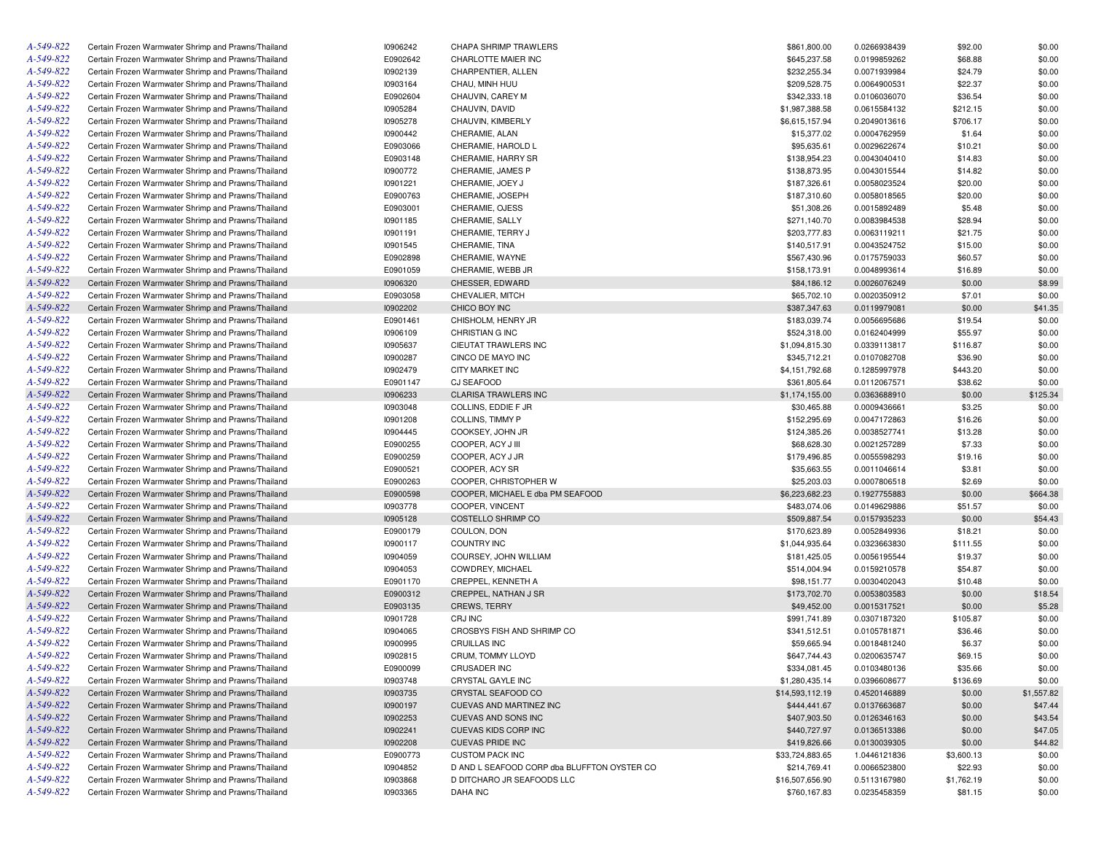| A-549-822 | Certain Frozen Warmwater Shrimp and Prawns/Thailand | 10906242 | CHAPA SHRIMP TRAWLERS                       | \$861,800.00    | 0.0266938439 | \$92.00    | \$0.00     |
|-----------|-----------------------------------------------------|----------|---------------------------------------------|-----------------|--------------|------------|------------|
| A-549-822 | Certain Frozen Warmwater Shrimp and Prawns/Thailand | E0902642 | CHARLOTTE MAIER INC                         | \$645,237.58    | 0.0199859262 | \$68.88    | \$0.00     |
| A-549-822 | Certain Frozen Warmwater Shrimp and Prawns/Thailand | 10902139 | CHARPENTIER, ALLEN                          | \$232,255.34    | 0.0071939984 | \$24.79    | \$0.00     |
| A-549-822 | Certain Frozen Warmwater Shrimp and Prawns/Thailand | 10903164 | CHAU, MINH HUU                              | \$209,528.75    | 0.0064900531 | \$22.37    | \$0.00     |
| A-549-822 | Certain Frozen Warmwater Shrimp and Prawns/Thailand | E0902604 | CHAUVIN, CAREY M                            | \$342,333.18    | 0.0106036070 | \$36.54    | \$0.00     |
| A-549-822 | Certain Frozen Warmwater Shrimp and Prawns/Thailand | 10905284 | CHAUVIN, DAVID                              | \$1,987,388.58  | 0.0615584132 | \$212.15   | \$0.00     |
| A-549-822 | Certain Frozen Warmwater Shrimp and Prawns/Thailand | 10905278 | CHAUVIN, KIMBERLY                           | \$6,615,157.94  | 0.2049013616 | \$706.17   | \$0.00     |
| A-549-822 | Certain Frozen Warmwater Shrimp and Prawns/Thailand | 10900442 | CHERAMIE, ALAN                              | \$15,377.02     | 0.0004762959 | \$1.64     | \$0.00     |
| A-549-822 | Certain Frozen Warmwater Shrimp and Prawns/Thailand | E0903066 | CHERAMIE, HAROLD L                          | \$95,635.61     | 0.0029622674 | \$10.21    | \$0.00     |
| A-549-822 | Certain Frozen Warmwater Shrimp and Prawns/Thailand | E0903148 | CHERAMIE, HARRY SR                          | \$138,954.23    | 0.0043040410 | \$14.83    | \$0.00     |
| A-549-822 | Certain Frozen Warmwater Shrimp and Prawns/Thailand | 10900772 | CHERAMIE, JAMES P                           | \$138,873.95    | 0.0043015544 | \$14.82    | \$0.00     |
| A-549-822 | Certain Frozen Warmwater Shrimp and Prawns/Thailand | 10901221 | CHERAMIE, JOEY J                            | \$187,326.61    | 0.0058023524 | \$20.00    | \$0.00     |
| A-549-822 | Certain Frozen Warmwater Shrimp and Prawns/Thailand | E0900763 | CHERAMIE, JOSEPH                            | \$187,310.60    | 0.0058018565 | \$20.00    | \$0.00     |
| A-549-822 | Certain Frozen Warmwater Shrimp and Prawns/Thailand | E0903001 | CHERAMIE, OJESS                             | \$51,308.26     | 0.0015892489 | \$5.48     | \$0.00     |
| A-549-822 | Certain Frozen Warmwater Shrimp and Prawns/Thailand | 10901185 | CHERAMIE, SALLY                             | \$271,140.70    | 0.0083984538 | \$28.94    | \$0.00     |
| A-549-822 | Certain Frozen Warmwater Shrimp and Prawns/Thailand | 10901191 | CHERAMIE, TERRY J                           | \$203,777.83    | 0.0063119211 | \$21.75    | \$0.00     |
| A-549-822 |                                                     |          |                                             |                 |              |            | \$0.00     |
|           | Certain Frozen Warmwater Shrimp and Prawns/Thailand | 10901545 | CHERAMIE, TINA                              | \$140,517.91    | 0.0043524752 | \$15.00    |            |
| A-549-822 | Certain Frozen Warmwater Shrimp and Prawns/Thailand | E0902898 | CHERAMIE, WAYNE                             | \$567,430.96    | 0.0175759033 | \$60.57    | \$0.00     |
| A-549-822 | Certain Frozen Warmwater Shrimp and Prawns/Thailand | E0901059 | CHERAMIE, WEBB JR                           | \$158,173.91    | 0.0048993614 | \$16.89    | \$0.00     |
| A-549-822 | Certain Frozen Warmwater Shrimp and Prawns/Thailand | 10906320 | CHESSER, EDWARD                             | \$84,186.12     | 0.0026076249 | \$0.00     | \$8.99     |
| A-549-822 | Certain Frozen Warmwater Shrimp and Prawns/Thailand | E0903058 | CHEVALIER, MITCH                            | \$65,702.10     | 0.0020350912 | \$7.01     | \$0.00     |
| A-549-822 | Certain Frozen Warmwater Shrimp and Prawns/Thailand | 10902202 | CHICO BOY INC                               | \$387,347.63    | 0.0119979081 | \$0.00     | \$41.35    |
| A-549-822 | Certain Frozen Warmwater Shrimp and Prawns/Thailand | E0901461 | CHISHOLM, HENRY JR                          | \$183,039.74    | 0.0056695686 | \$19.54    | \$0.00     |
| A-549-822 | Certain Frozen Warmwater Shrimp and Prawns/Thailand | 10906109 | CHRISTIAN G INC                             | \$524,318.00    | 0.0162404999 | \$55.97    | \$0.00     |
| A-549-822 | Certain Frozen Warmwater Shrimp and Prawns/Thailand | 10905637 | CIEUTAT TRAWLERS INC                        | \$1,094,815.30  | 0.0339113817 | \$116.87   | \$0.00     |
| A-549-822 | Certain Frozen Warmwater Shrimp and Prawns/Thailand | 10900287 | CINCO DE MAYO INC                           | \$345,712.21    | 0.0107082708 | \$36.90    | \$0.00     |
| A-549-822 | Certain Frozen Warmwater Shrimp and Prawns/Thailand | 10902479 | CITY MARKET INC                             | \$4,151,792.68  | 0.1285997978 | \$443.20   | \$0.00     |
| A-549-822 | Certain Frozen Warmwater Shrimp and Prawns/Thailand | E0901147 | CJ SEAFOOD                                  | \$361,805.64    | 0.0112067571 | \$38.62    | \$0.00     |
| A-549-822 | Certain Frozen Warmwater Shrimp and Prawns/Thailand | 10906233 | <b>CLARISA TRAWLERS INC</b>                 | \$1,174,155.00  | 0.0363688910 | \$0.00     | \$125.34   |
| A-549-822 | Certain Frozen Warmwater Shrimp and Prawns/Thailand | 10903048 | COLLINS, EDDIE F JR                         | \$30,465.88     | 0.0009436661 | \$3.25     | \$0.00     |
| A-549-822 | Certain Frozen Warmwater Shrimp and Prawns/Thailand | 10901208 | COLLINS, TIMMY P                            | \$152,295.69    | 0.0047172863 | \$16.26    | \$0.00     |
| A-549-822 | Certain Frozen Warmwater Shrimp and Prawns/Thailand | 10904445 | COOKSEY, JOHN JR                            | \$124,385.26    | 0.0038527741 | \$13.28    | \$0.00     |
| A-549-822 | Certain Frozen Warmwater Shrimp and Prawns/Thailand | E0900255 | COOPER, ACY J III                           | \$68,628.30     | 0.0021257289 | \$7.33     | \$0.00     |
| A-549-822 | Certain Frozen Warmwater Shrimp and Prawns/Thailand | E0900259 | COOPER, ACY J JR                            | \$179,496.85    | 0.0055598293 | \$19.16    | \$0.00     |
| A-549-822 | Certain Frozen Warmwater Shrimp and Prawns/Thailand | E0900521 | COOPER, ACY SR                              | \$35,663.55     | 0.0011046614 | \$3.81     | \$0.00     |
| A-549-822 | Certain Frozen Warmwater Shrimp and Prawns/Thailand | E0900263 | COOPER, CHRISTOPHER W                       | \$25,203.03     | 0.0007806518 | \$2.69     | \$0.00     |
| A-549-822 | Certain Frozen Warmwater Shrimp and Prawns/Thailand | E0900598 | COOPER, MICHAEL E dba PM SEAFOOD            | \$6,223,682.23  | 0.1927755883 | \$0.00     | \$664.38   |
| A-549-822 | Certain Frozen Warmwater Shrimp and Prawns/Thailand | 10903778 | COOPER, VINCENT                             | \$483,074.06    | 0.0149629886 | \$51.57    | \$0.00     |
| A-549-822 | Certain Frozen Warmwater Shrimp and Prawns/Thailand | 10905128 | COSTELLO SHRIMP CO                          | \$509,887.54    | 0.0157935233 | \$0.00     | \$54.43    |
| A-549-822 | Certain Frozen Warmwater Shrimp and Prawns/Thailand | E0900179 | COULON, DON                                 | \$170,623.89    | 0.0052849936 | \$18.21    | \$0.00     |
| A-549-822 | Certain Frozen Warmwater Shrimp and Prawns/Thailand | 10900117 | <b>COUNTRY INC</b>                          | \$1,044,935.64  | 0.0323663830 | \$111.55   | \$0.00     |
| A-549-822 | Certain Frozen Warmwater Shrimp and Prawns/Thailand | 10904059 | COURSEY, JOHN WILLIAM                       | \$181,425.05    | 0.0056195544 | \$19.37    | \$0.00     |
| A-549-822 |                                                     | 10904053 |                                             |                 |              |            | \$0.00     |
|           | Certain Frozen Warmwater Shrimp and Prawns/Thailand |          | COWDREY, MICHAEL                            | \$514,004.94    | 0.0159210578 | \$54.87    |            |
| A-549-822 | Certain Frozen Warmwater Shrimp and Prawns/Thailand | E0901170 | CREPPEL, KENNETH A                          | \$98,151.77     | 0.0030402043 | \$10.48    | \$0.00     |
| A-549-822 | Certain Frozen Warmwater Shrimp and Prawns/Thailand | E0900312 | CREPPEL, NATHAN J SR                        | \$173,702.70    | 0.0053803583 | \$0.00     | \$18.54    |
| A-549-822 | Certain Frozen Warmwater Shrimp and Prawns/Thailand | E0903135 | <b>CREWS, TERRY</b>                         | \$49,452.00     | 0.0015317521 | \$0.00     | \$5.28     |
| A-549-822 | Certain Frozen Warmwater Shrimp and Prawns/Thailand | 10901728 | CRJ INC                                     | \$991,741.89    | 0.0307187320 | \$105.87   | \$0.00     |
| A-549-822 | Certain Frozen Warmwater Shrimp and Prawns/Thailand | 10904065 | CROSBYS FISH AND SHRIMP CO                  | \$341,512.51    | 0.0105781871 | \$36.46    | \$0.00     |
| A-549-822 | Certain Frozen Warmwater Shrimp and Prawns/Thailand | 10900995 | <b>CRUILLAS INC</b>                         | \$59,665.94     | 0.0018481240 | \$6.37     | \$0.00     |
| A-549-822 | Certain Frozen Warmwater Shrimp and Prawns/Thailand | 10902815 | CRUM, TOMMY LLOYD                           | \$647,744.43    | 0.0200635747 | \$69.15    | \$0.00     |
| A-549-822 | Certain Frozen Warmwater Shrimp and Prawns/Thailand | E0900099 | <b>CRUSADER INC</b>                         | \$334,081.45    | 0.0103480136 | \$35.66    | \$0.00     |
| A-549-822 | Certain Frozen Warmwater Shrimp and Prawns/Thailand | 10903748 | CRYSTAL GAYLE INC                           | \$1,280,435.14  | 0.0396608677 | \$136.69   | \$0.00     |
| A-549-822 | Certain Frozen Warmwater Shrimp and Prawns/Thailand | 10903735 | CRYSTAL SEAFOOD CO                          | \$14,593,112.19 | 0.4520146889 | \$0.00     | \$1,557.82 |
| A-549-822 | Certain Frozen Warmwater Shrimp and Prawns/Thailand | 10900197 | CUEVAS AND MARTINEZ INC                     | \$444,441.67    | 0.0137663687 | \$0.00     | \$47.44    |
| A-549-822 | Certain Frozen Warmwater Shrimp and Prawns/Thailand | 10902253 | CUEVAS AND SONS INC                         | \$407,903.50    | 0.0126346163 | \$0.00     | \$43.54    |
| A-549-822 | Certain Frozen Warmwater Shrimp and Prawns/Thailand | 10902241 | CUEVAS KIDS CORP INC                        | \$440,727.97    | 0.0136513386 | \$0.00     | \$47.05    |
| A-549-822 | Certain Frozen Warmwater Shrimp and Prawns/Thailand | 10902208 | <b>CUEVAS PRIDE INC</b>                     | \$419,826.66    | 0.0130039305 | \$0.00     | \$44.82    |
| A-549-822 | Certain Frozen Warmwater Shrimp and Prawns/Thailand | E0900773 | <b>CUSTOM PACK INC</b>                      | \$33,724,883.65 | 1.0446121836 | \$3,600.13 | \$0.00     |
| A-549-822 | Certain Frozen Warmwater Shrimp and Prawns/Thailand | 10904852 | D AND L SEAFOOD CORP dba BLUFFTON OYSTER CO | \$214,769.41    | 0.0066523800 | \$22.93    | \$0.00     |
| A-549-822 | Certain Frozen Warmwater Shrimp and Prawns/Thailand | 10903868 | D DITCHARO JR SEAFOODS LLC                  | \$16,507,656.90 | 0.5113167980 | \$1,762.19 | \$0.00     |
| A-549-822 | Certain Frozen Warmwater Shrimp and Prawns/Thailand | 10903365 | DAHA INC                                    | \$760,167.83    | 0.0235458359 | \$81.15    | \$0.00     |
|           |                                                     |          |                                             |                 |              |            |            |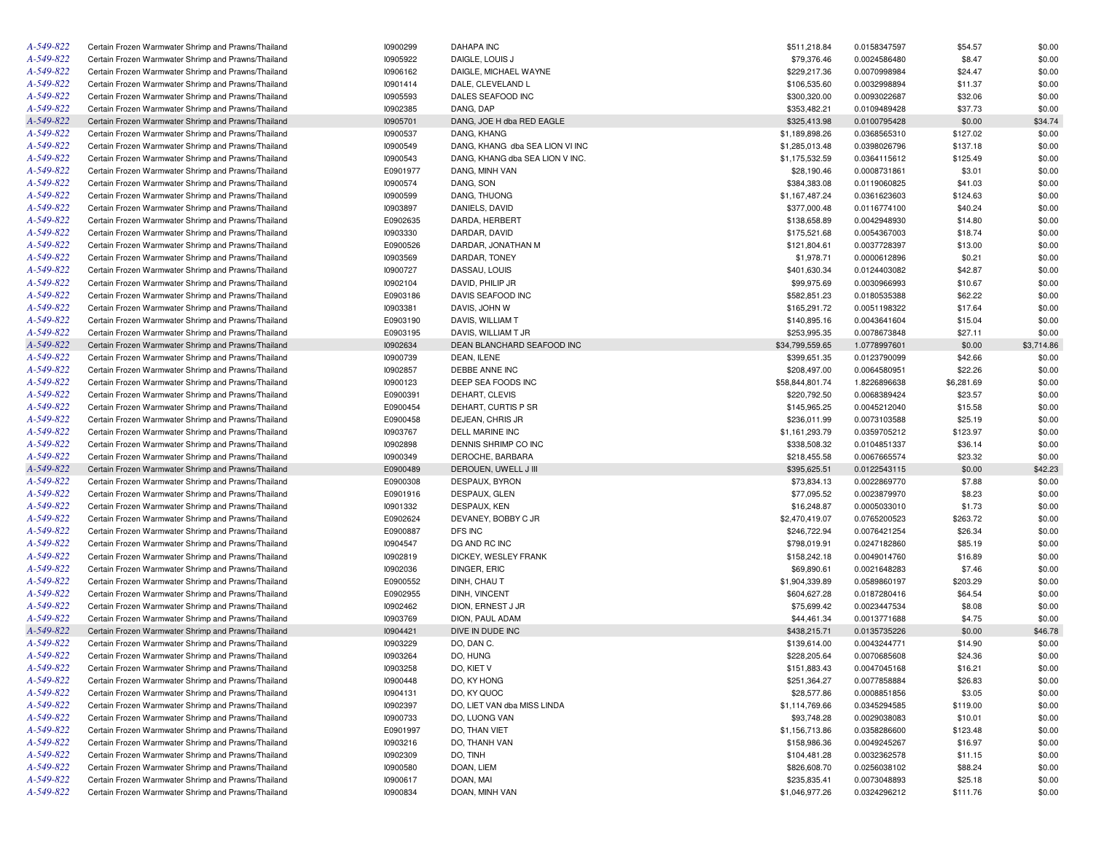| A-549-822       | Certain Frozen Warmwater Shrimp and Prawns/Thailand | 10900299 | <b>DAHAPA INC</b>               | \$511,218.84    | 0.0158347597 | \$54.57    | \$0.00     |
|-----------------|-----------------------------------------------------|----------|---------------------------------|-----------------|--------------|------------|------------|
| A-549-822       | Certain Frozen Warmwater Shrimp and Prawns/Thailand | 10905922 | DAIGLE, LOUIS J                 | \$79,376.46     | 0.0024586480 | \$8.47     | \$0.00     |
| A-549-822       | Certain Frozen Warmwater Shrimp and Prawns/Thailand | 10906162 | DAIGLE, MICHAEL WAYNE           | \$229,217.36    | 0.0070998984 | \$24.47    | \$0.00     |
| A-549-822       | Certain Frozen Warmwater Shrimp and Prawns/Thailand | 10901414 | DALE, CLEVELAND L               | \$106,535.60    | 0.0032998894 | \$11.37    | \$0.00     |
| A-549-822       | Certain Frozen Warmwater Shrimp and Prawns/Thailand | 10905593 | DALES SEAFOOD INC               | \$300,320.00    | 0.0093022687 | \$32.06    | \$0.00     |
| A-549-822       | Certain Frozen Warmwater Shrimp and Prawns/Thailand | 10902385 | DANG, DAP                       | \$353,482.21    | 0.0109489428 | \$37.73    | \$0.00     |
| A-549-822       | Certain Frozen Warmwater Shrimp and Prawns/Thailand | 10905701 | DANG, JOE H dba RED EAGLE       | \$325,413.98    | 0.0100795428 | \$0.00     | \$34.74    |
| A-549-822       | Certain Frozen Warmwater Shrimp and Prawns/Thailand | 10900537 | DANG, KHANG                     | \$1,189,898.26  | 0.0368565310 | \$127.02   | \$0.00     |
| A-549-822       | Certain Frozen Warmwater Shrimp and Prawns/Thailand | 10900549 | DANG, KHANG dba SEA LION VI INC | \$1,285,013.48  | 0.0398026796 | \$137.18   | \$0.00     |
| A-549-822       | Certain Frozen Warmwater Shrimp and Prawns/Thailand | 10900543 | DANG, KHANG dba SEA LION V INC. | \$1,175,532.59  | 0.0364115612 | \$125.49   | \$0.00     |
| A-549-822       | Certain Frozen Warmwater Shrimp and Prawns/Thailand | E0901977 | DANG, MINH VAN                  | \$28,190.46     | 0.0008731861 | \$3.01     | \$0.00     |
| A-549-822       | Certain Frozen Warmwater Shrimp and Prawns/Thailand | 10900574 | DANG, SON                       | \$384,383.08    | 0.0119060825 | \$41.03    | \$0.00     |
| A-549-822       | Certain Frozen Warmwater Shrimp and Prawns/Thailand | 10900599 | DANG, THUONG                    | \$1,167,487.24  | 0.0361623603 | \$124.63   | \$0.00     |
| A-549-822       | Certain Frozen Warmwater Shrimp and Prawns/Thailand | 10903897 | DANIELS, DAVID                  | \$377,000.48    | 0.0116774100 | \$40.24    | \$0.00     |
| A-549-822       | Certain Frozen Warmwater Shrimp and Prawns/Thailand | E0902635 | DARDA, HERBERT                  | \$138,658.89    | 0.0042948930 | \$14.80    | \$0.00     |
| A-549-822       | Certain Frozen Warmwater Shrimp and Prawns/Thailand | 10903330 | DARDAR, DAVID                   | \$175,521.68    | 0.0054367003 | \$18.74    | \$0.00     |
| A-549-822       | Certain Frozen Warmwater Shrimp and Prawns/Thailand | E0900526 | DARDAR, JONATHAN M              | \$121,804.61    | 0.0037728397 | \$13.00    | \$0.00     |
| A-549-822       | Certain Frozen Warmwater Shrimp and Prawns/Thailand | 10903569 | DARDAR, TONEY                   | \$1,978.71      | 0.0000612896 | \$0.21     | \$0.00     |
| A-549-822       | Certain Frozen Warmwater Shrimp and Prawns/Thailand | 10900727 | DASSAU, LOUIS                   | \$401,630.34    | 0.0124403082 | \$42.87    | \$0.00     |
| A-549-822       | Certain Frozen Warmwater Shrimp and Prawns/Thailand | 10902104 | DAVID, PHILIP JR                | \$99,975.69     | 0.0030966993 | \$10.67    | \$0.00     |
| A-549-822       | Certain Frozen Warmwater Shrimp and Prawns/Thailand | E0903186 | DAVIS SEAFOOD INC               | \$582,851.23    | 0.0180535388 | \$62.22    | \$0.00     |
| A-549-822       | Certain Frozen Warmwater Shrimp and Prawns/Thailand | 10903381 | DAVIS, JOHN W                   | \$165,291.72    | 0.0051198322 | \$17.64    | \$0.00     |
| A-549-822       | Certain Frozen Warmwater Shrimp and Prawns/Thailand | E0903190 | DAVIS, WILLIAM T                |                 | 0.0043641604 |            |            |
|                 |                                                     |          |                                 | \$140,895.16    |              | \$15.04    | \$0.00     |
| A-549-822       | Certain Frozen Warmwater Shrimp and Prawns/Thailand | E0903195 | DAVIS, WILLIAM T JR             | \$253,995.35    | 0.0078673848 | \$27.11    | \$0.00     |
| A-549-822       | Certain Frozen Warmwater Shrimp and Prawns/Thailand | 10902634 | DEAN BLANCHARD SEAFOOD INC      | \$34,799,559.65 | 1.0778997601 | \$0.00     | \$3,714.86 |
| A-549-822       | Certain Frozen Warmwater Shrimp and Prawns/Thailand | 10900739 | DEAN, ILENE                     | \$399,651.35    | 0.0123790099 | \$42.66    | \$0.00     |
| A-549-822       | Certain Frozen Warmwater Shrimp and Prawns/Thailand | 10902857 | DEBBE ANNE INC                  | \$208,497.00    | 0.0064580951 | \$22.26    | \$0.00     |
| A-549-822       | Certain Frozen Warmwater Shrimp and Prawns/Thailand | 10900123 | DEEP SEA FOODS INC              | \$58,844,801.74 | 1.8226896638 | \$6,281.69 | \$0.00     |
| A-549-822       | Certain Frozen Warmwater Shrimp and Prawns/Thailand | E0900391 | DEHART, CLEVIS                  | \$220,792.50    | 0.0068389424 | \$23.57    | \$0.00     |
| A-549-822       | Certain Frozen Warmwater Shrimp and Prawns/Thailand | E0900454 | DEHART, CURTIS P SR             | \$145,965.25    | 0.0045212040 | \$15.58    | \$0.00     |
| A-549-822       | Certain Frozen Warmwater Shrimp and Prawns/Thailand | E0900458 | DEJEAN, CHRIS JR                | \$236,011.99    | 0.0073103588 | \$25.19    | \$0.00     |
| A-549-822       | Certain Frozen Warmwater Shrimp and Prawns/Thailand | 10903767 | <b>DELL MARINE INC</b>          | \$1,161,293.79  | 0.0359705212 | \$123.97   | \$0.00     |
| A-549-822       | Certain Frozen Warmwater Shrimp and Prawns/Thailand | 10902898 | DENNIS SHRIMP CO INC            | \$338,508.32    | 0.0104851337 | \$36.14    | \$0.00     |
| A-549-822       | Certain Frozen Warmwater Shrimp and Prawns/Thailand | 10900349 | DEROCHE, BARBARA                | \$218,455.58    | 0.0067665574 | \$23.32    | \$0.00     |
| A-549-822       | Certain Frozen Warmwater Shrimp and Prawns/Thailand | E0900489 | DEROUEN, UWELL J III            | \$395,625.51    | 0.0122543115 | \$0.00     | \$42.23    |
| A-549-822       | Certain Frozen Warmwater Shrimp and Prawns/Thailand | E0900308 | DESPAUX, BYRON                  | \$73,834.13     | 0.0022869770 | \$7.88     | \$0.00     |
| A-549-822       | Certain Frozen Warmwater Shrimp and Prawns/Thailand | E0901916 | DESPAUX, GLEN                   | \$77,095.52     | 0.0023879970 | \$8.23     | \$0.00     |
| A-549-822       | Certain Frozen Warmwater Shrimp and Prawns/Thailand | 10901332 | DESPAUX, KEN                    | \$16,248.87     | 0.0005033010 | \$1.73     | \$0.00     |
| A-549-822       | Certain Frozen Warmwater Shrimp and Prawns/Thailand | E0902624 | DEVANEY, BOBBY C JR             | \$2,470,419.07  | 0.0765200523 | \$263.72   | \$0.00     |
| A-549-822       | Certain Frozen Warmwater Shrimp and Prawns/Thailand | E0900887 | DFS INC                         | \$246,722.94    | 0.0076421254 | \$26.34    | \$0.00     |
| A-549-822       | Certain Frozen Warmwater Shrimp and Prawns/Thailand | 10904547 | DG AND RC INC                   | \$798,019.91    | 0.0247182860 | \$85.19    | \$0.00     |
| A-549-822       | Certain Frozen Warmwater Shrimp and Prawns/Thailand | 10902819 | DICKEY, WESLEY FRANK            | \$158,242.18    | 0.0049014760 | \$16.89    | \$0.00     |
| A-549-822       | Certain Frozen Warmwater Shrimp and Prawns/Thailand | 10902036 | DINGER, ERIC                    | \$69,890.61     | 0.0021648283 | \$7.46     | \$0.00     |
| A-549-822       | Certain Frozen Warmwater Shrimp and Prawns/Thailand | E0900552 | DINH, CHAU T                    | \$1,904,339.89  | 0.0589860197 | \$203.29   | \$0.00     |
| A-549-822       | Certain Frozen Warmwater Shrimp and Prawns/Thailand | E0902955 | DINH, VINCENT                   | \$604,627.28    | 0.0187280416 | \$64.54    | \$0.00     |
| A-549-822       | Certain Frozen Warmwater Shrimp and Prawns/Thailand | 10902462 | DION, ERNEST J JR               | \$75,699.42     | 0.0023447534 | \$8.08     | \$0.00     |
| A-549-822       | Certain Frozen Warmwater Shrimp and Prawns/Thailand | 10903769 | DION, PAUL ADAM                 | \$44,461.34     | 0.0013771688 | \$4.75     | \$0.00     |
| A-549-822       | Certain Frozen Warmwater Shrimp and Prawns/Thailand | 10904421 | DIVE IN DUDE INC                | \$438,215.71    | 0.0135735226 | \$0.00     | \$46.78    |
| A-549-822       | Certain Frozen Warmwater Shrimp and Prawns/Thailand | 10903229 | DO, DAN C.                      | \$139,614.00    | 0.0043244771 | \$14.90    | \$0.00     |
| $A - 549 - 822$ | Certain Frozen Warmwater Shrimp and Prawns/Thailand | 10903264 | DO, HUNG                        | \$228,205.64    | 0.0070685608 | \$24.36    | \$0.00     |
| A-549-822       | Certain Frozen Warmwater Shrimp and Prawns/Thailand | 10903258 | DO, KIET V                      | \$151,883.43    | 0.0047045168 | \$16.21    | \$0.00     |
| A-549-822       | Certain Frozen Warmwater Shrimp and Prawns/Thailand | 10900448 | DO, KY HONG                     | \$251,364.27    | 0.0077858884 | \$26.83    | \$0.00     |
| A-549-822       | Certain Frozen Warmwater Shrimp and Prawns/Thailand | 10904131 | DO, KY QUOC                     | \$28,577.86     | 0.0008851856 | \$3.05     | \$0.00     |
| A-549-822       | Certain Frozen Warmwater Shrimp and Prawns/Thailand | 10902397 | DO, LIET VAN dba MISS LINDA     | \$1,114,769.66  | 0.0345294585 | \$119.00   | \$0.00     |
| A-549-822       | Certain Frozen Warmwater Shrimp and Prawns/Thailand | 10900733 | DO, LUONG VAN                   | \$93,748.28     | 0.0029038083 | \$10.01    | \$0.00     |
| A-549-822       | Certain Frozen Warmwater Shrimp and Prawns/Thailand | E0901997 | DO, THAN VIET                   | \$1,156,713.86  | 0.0358286600 | \$123.48   | \$0.00     |
| A-549-822       | Certain Frozen Warmwater Shrimp and Prawns/Thailand | 10903216 | DO, THANH VAN                   | \$158,986.36    | 0.0049245267 | \$16.97    | \$0.00     |
| A-549-822       | Certain Frozen Warmwater Shrimp and Prawns/Thailand | 10902309 | DO, TINH                        | \$104,481.28    | 0.0032362578 | \$11.15    | \$0.00     |
| A-549-822       | Certain Frozen Warmwater Shrimp and Prawns/Thailand | 10900580 | DOAN, LIEM                      | \$826,608.70    | 0.0256038102 | \$88.24    | \$0.00     |
| A-549-822       | Certain Frozen Warmwater Shrimp and Prawns/Thailand | 10900617 | DOAN, MAI                       | \$235,835.41    | 0.0073048893 | \$25.18    | \$0.00     |
| A-549-822       | Certain Frozen Warmwater Shrimp and Prawns/Thailand | 10900834 | DOAN, MINH VAN                  | \$1,046,977.26  | 0.0324296212 | \$111.76   | \$0.00     |
|                 |                                                     |          |                                 |                 |              |            |            |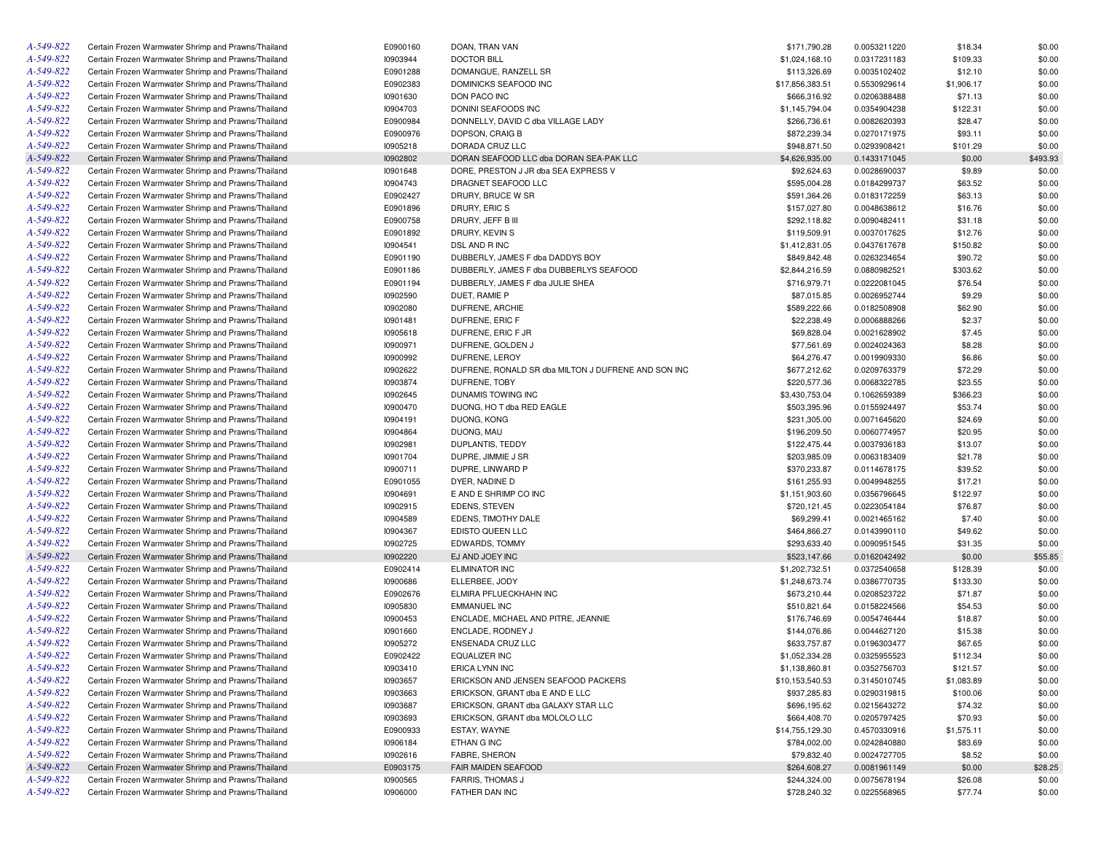| A-549-822 | Certain Frozen Warmwater Shrimp and Prawns/Thailand | E0900160             | DOAN, TRAN VAN                                      | \$171,790.28                 | 0.0053211220                 | \$18.34            | \$0.00           |
|-----------|-----------------------------------------------------|----------------------|-----------------------------------------------------|------------------------------|------------------------------|--------------------|------------------|
| A-549-822 | Certain Frozen Warmwater Shrimp and Prawns/Thailand | 10903944             | <b>DOCTOR BILL</b>                                  | \$1,024,168.10               | 0.0317231183                 | \$109.33           | \$0.00           |
| A-549-822 | Certain Frozen Warmwater Shrimp and Prawns/Thailand | E0901288             | DOMANGUE, RANZELL SR                                | \$113,326.69                 | 0.0035102402                 | \$12.10            | \$0.00           |
| A-549-822 | Certain Frozen Warmwater Shrimp and Prawns/Thailand | E0902383             | DOMINICKS SEAFOOD INC                               | \$17,856,383.51              | 0.5530929614                 | \$1,906.17         | \$0.00           |
| A-549-822 | Certain Frozen Warmwater Shrimp and Prawns/Thailand | 10901630             | DON PACO INC                                        | \$666,316.92                 | 0.0206388488                 | \$71.13            | \$0.00           |
| A-549-822 | Certain Frozen Warmwater Shrimp and Prawns/Thailand | 10904703             | DONINI SEAFOODS INC                                 | \$1,145,794.04               | 0.0354904238                 | \$122.31           | \$0.00           |
| A-549-822 | Certain Frozen Warmwater Shrimp and Prawns/Thailand | E0900984             | DONNELLY, DAVID C dba VILLAGE LADY                  | \$266,736.61                 | 0.0082620393                 | \$28.47            | \$0.00           |
| A-549-822 | Certain Frozen Warmwater Shrimp and Prawns/Thailand | E0900976             | DOPSON, CRAIG B                                     | \$872,239.34                 | 0.0270171975                 | \$93.11            | \$0.00           |
| A-549-822 | Certain Frozen Warmwater Shrimp and Prawns/Thailand | 10905218             | DORADA CRUZ LLC                                     | \$948,871.50                 | 0.0293908421                 | \$101.29           | \$0.00           |
| A-549-822 | Certain Frozen Warmwater Shrimp and Prawns/Thailand | 10902802             | DORAN SEAFOOD LLC dba DORAN SEA-PAK LLC             | \$4,626,935.00               | 0.1433171045                 | \$0.00             | \$493.93         |
| A-549-822 | Certain Frozen Warmwater Shrimp and Prawns/Thailand | 10901648             | DORE, PRESTON J JR dba SEA EXPRESS V                | \$92,624.63                  | 0.0028690037                 | \$9.89             | \$0.00           |
| A-549-822 | Certain Frozen Warmwater Shrimp and Prawns/Thailand | 10904743             | DRAGNET SEAFOOD LLC                                 | \$595,004.28                 | 0.0184299737                 | \$63.52            | \$0.00           |
| A-549-822 | Certain Frozen Warmwater Shrimp and Prawns/Thailand | E0902427             | DRURY, BRUCE W SR                                   | \$591,364.26                 | 0.0183172259                 | \$63.13            | \$0.00           |
| A-549-822 | Certain Frozen Warmwater Shrimp and Prawns/Thailand | E0901896             | DRURY, ERIC S                                       | \$157,027.80                 | 0.0048638612                 | \$16.76            | \$0.00           |
| A-549-822 | Certain Frozen Warmwater Shrimp and Prawns/Thailand | E0900758             | DRURY, JEFF B III                                   | \$292,118.82                 | 0.0090482411                 | \$31.18            | \$0.00           |
| A-549-822 | Certain Frozen Warmwater Shrimp and Prawns/Thailand | E0901892             | DRURY, KEVIN S                                      | \$119,509.91                 | 0.0037017625                 | \$12.76            | \$0.00           |
| A-549-822 | Certain Frozen Warmwater Shrimp and Prawns/Thailand | 10904541             | DSL AND R INC                                       | \$1,412,831.05               | 0.0437617678                 | \$150.82           | \$0.00           |
| A-549-822 | Certain Frozen Warmwater Shrimp and Prawns/Thailand | E0901190             | DUBBERLY, JAMES F dba DADDYS BOY                    | \$849,842.48                 | 0.0263234654                 | \$90.72            | \$0.00           |
| A-549-822 | Certain Frozen Warmwater Shrimp and Prawns/Thailand | E0901186             | DUBBERLY, JAMES F dba DUBBERLYS SEAFOOD             | \$2,844,216.59               | 0.0880982521                 | \$303.62           | \$0.00           |
| A-549-822 | Certain Frozen Warmwater Shrimp and Prawns/Thailand | E0901194             | DUBBERLY, JAMES F dba JULIE SHEA                    | \$716,979.71                 | 0.0222081045                 | \$76.54            | \$0.00           |
| A-549-822 | Certain Frozen Warmwater Shrimp and Prawns/Thailand | 10902590             | DUET, RAMIE P                                       | \$87,015.85                  | 0.0026952744                 | \$9.29             | \$0.00           |
| A-549-822 | Certain Frozen Warmwater Shrimp and Prawns/Thailand | 10902080             | DUFRENE, ARCHIE                                     | \$589,222.66                 | 0.0182508908                 | \$62.90            | \$0.00           |
| A-549-822 | Certain Frozen Warmwater Shrimp and Prawns/Thailand | 10901481             | DUFRENE, ERIC F                                     | \$22,238.49                  | 0.0006888266                 | \$2.37             | \$0.00           |
| A-549-822 | Certain Frozen Warmwater Shrimp and Prawns/Thailand | 10905618             | DUFRENE, ERIC F JR                                  | \$69,828.04                  | 0.0021628902                 | \$7.45             | \$0.00           |
| A-549-822 | Certain Frozen Warmwater Shrimp and Prawns/Thailand | 10900971             | DUFRENE, GOLDEN J                                   | \$77,561.69                  | 0.0024024363                 | \$8.28             | \$0.00           |
| A-549-822 | Certain Frozen Warmwater Shrimp and Prawns/Thailand | 10900992             | DUFRENE, LEROY                                      | \$64,276.47                  | 0.0019909330                 | \$6.86             | \$0.00           |
| A-549-822 | Certain Frozen Warmwater Shrimp and Prawns/Thailand | 10902622             | DUFRENE, RONALD SR dba MILTON J DUFRENE AND SON INC | \$677,212.62                 | 0.0209763379                 | \$72.29            | \$0.00           |
| A-549-822 | Certain Frozen Warmwater Shrimp and Prawns/Thailand | 10903874             | DUFRENE, TOBY                                       | \$220,577.36                 | 0.0068322785                 | \$23.55            | \$0.00           |
| A-549-822 | Certain Frozen Warmwater Shrimp and Prawns/Thailand | 10902645             | DUNAMIS TOWING INC                                  | \$3,430,753.04               | 0.1062659389                 | \$366.23           | \$0.00           |
| A-549-822 | Certain Frozen Warmwater Shrimp and Prawns/Thailand | 10900470             | DUONG, HO T dba RED EAGLE                           | \$503,395.96                 | 0.0155924497                 | \$53.74            | \$0.00           |
| A-549-822 | Certain Frozen Warmwater Shrimp and Prawns/Thailand | 10904191             | DUONG, KONG                                         | \$231,305.00                 | 0.0071645620                 | \$24.69            | \$0.00           |
| A-549-822 | Certain Frozen Warmwater Shrimp and Prawns/Thailand | 10904864             | DUONG, MAU                                          | \$196,209.50                 | 0.0060774957                 | \$20.95            | \$0.00           |
| A-549-822 | Certain Frozen Warmwater Shrimp and Prawns/Thailand | 10902981             | DUPLANTIS, TEDDY                                    | \$122,475.44                 | 0.0037936183                 | \$13.07            | \$0.00           |
| A-549-822 | Certain Frozen Warmwater Shrimp and Prawns/Thailand | 10901704             | DUPRE, JIMMIE J SR                                  | \$203,985.09                 | 0.0063183409                 | \$21.78            | \$0.00           |
| A-549-822 | Certain Frozen Warmwater Shrimp and Prawns/Thailand | 10900711             | DUPRE, LINWARD P                                    | \$370,233.87                 | 0.0114678175                 | \$39.52            | \$0.00           |
| A-549-822 | Certain Frozen Warmwater Shrimp and Prawns/Thailand | E0901055             | DYER, NADINE D                                      | \$161,255.93                 | 0.0049948255                 | \$17.21            | \$0.00           |
| A-549-822 | Certain Frozen Warmwater Shrimp and Prawns/Thailand | 10904691             | E AND E SHRIMP CO INC                               | \$1,151,903.60               | 0.0356796645                 | \$122.97           | \$0.00           |
| A-549-822 | Certain Frozen Warmwater Shrimp and Prawns/Thailand | 10902915             | EDENS, STEVEN                                       | \$720,121.45                 | 0.0223054184                 | \$76.87            | \$0.00           |
| A-549-822 | Certain Frozen Warmwater Shrimp and Prawns/Thailand | 10904589             | EDENS, TIMOTHY DALE                                 | \$69,299.41                  | 0.0021465162                 | \$7.40             | \$0.00           |
| A-549-822 | Certain Frozen Warmwater Shrimp and Prawns/Thailand | 10904367             | EDISTO QUEEN LLC                                    | \$464,866.27                 | 0.0143990110                 | \$49.62            | \$0.00           |
| A-549-822 | Certain Frozen Warmwater Shrimp and Prawns/Thailand | 10902725             | EDWARDS, TOMMY                                      | \$293,633.40                 | 0.0090951545                 | \$31.35            | \$0.00           |
| A-549-822 | Certain Frozen Warmwater Shrimp and Prawns/Thailand | 10902220             | EJ AND JOEY INC                                     | \$523,147.66                 | 0.0162042492                 | \$0.00             | \$55.85          |
| A-549-822 | Certain Frozen Warmwater Shrimp and Prawns/Thailand | E0902414             | ELIMINATOR INC                                      | \$1,202,732.51               | 0.0372540658                 | \$128.39           | \$0.00           |
| A-549-822 | Certain Frozen Warmwater Shrimp and Prawns/Thailand | 10900686             | ELLERBEE, JODY                                      | \$1,248,673.74               | 0.0386770735                 | \$133.30           | \$0.00           |
| A-549-822 | Certain Frozen Warmwater Shrimp and Prawns/Thailand | E0902676             | ELMIRA PFLUECKHAHN INC                              | \$673,210.44                 | 0.0208523722                 | \$71.87            | \$0.00           |
| A-549-822 | Certain Frozen Warmwater Shrimp and Prawns/Thailand | 10905830             | <b>EMMANUEL INC</b>                                 | \$510,821.64                 | 0.0158224566                 | \$54.53            | \$0.00           |
| A-549-822 | Certain Frozen Warmwater Shrimp and Prawns/Thailand | 10900453             | ENCLADE, MICHAEL AND PITRE, JEANNIE                 | \$176,746.69                 | 0.0054746444                 | \$18.87            | \$0.00           |
| A-549-822 | Certain Frozen Warmwater Shrimp and Prawns/Thailand | 10901660             | ENCLADE, RODNEY J                                   | \$144,076.86                 | 0.0044627120                 | \$15.38            | \$0.00           |
| A-549-822 | Certain Frozen Warmwater Shrimp and Prawns/Thailand | 10905272             | ENSENADA CRUZ LLC                                   | \$633,757.87                 | 0.0196303477                 | \$67.65            | \$0.00           |
| A-549-822 | Certain Frozen Warmwater Shrimp and Prawns/Thailand | E0902422             | EQUALIZER INC                                       | \$1,052,334.28               | 0.0325955523                 | \$112.34           | \$0.00           |
| A-549-822 | Certain Frozen Warmwater Shrimp and Prawns/Thailand | 10903410             | ERICA LYNN INC                                      | \$1,138,860.81               | 0.0352756703                 | \$121.57           | \$0.00           |
| A-549-822 | Certain Frozen Warmwater Shrimp and Prawns/Thailand | 10903657             | ERICKSON AND JENSEN SEAFOOD PACKERS                 | \$10,153,540.53              | 0.3145010745                 | \$1,083.89         | \$0.00           |
| A-549-822 | Certain Frozen Warmwater Shrimp and Prawns/Thailand | 10903663             | ERICKSON, GRANT dba E AND E LLC                     | \$937,285.83                 | 0.0290319815                 | \$100.06           | \$0.00           |
| A-549-822 | Certain Frozen Warmwater Shrimp and Prawns/Thailand | 10903687             | ERICKSON, GRANT dba GALAXY STAR LLC                 | \$696,195.62                 | 0.0215643272                 | \$74.32            | \$0.00           |
| A-549-822 | Certain Frozen Warmwater Shrimp and Prawns/Thailand | 10903693             | ERICKSON, GRANT dba MOLOLO LLC                      | \$664,408.70                 | 0.0205797425                 | \$70.93            | \$0.00           |
| A-549-822 | Certain Frozen Warmwater Shrimp and Prawns/Thailand | E0900933             | ESTAY, WAYNE                                        | \$14,755,129.30              | 0.4570330916                 | \$1,575.11         | \$0.00           |
| A-549-822 | Certain Frozen Warmwater Shrimp and Prawns/Thailand | 10906184             | ETHAN G INC                                         |                              |                              | \$83.69            |                  |
| A-549-822 | Certain Frozen Warmwater Shrimp and Prawns/Thailand | 10902616             | FABRE, SHERON                                       | \$784,002.00<br>\$79,832.40  | 0.0242840880                 | \$8.52             | \$0.00<br>\$0.00 |
| A-549-822 | Certain Frozen Warmwater Shrimp and Prawns/Thailand | E0903175             | FAIR MAIDEN SEAFOOD                                 |                              | 0.0024727705                 | \$0.00             | \$28.25          |
| A-549-822 | Certain Frozen Warmwater Shrimp and Prawns/Thailand |                      | <b>FARRIS, THOMAS J</b>                             | \$264,608.27<br>\$244,324.00 | 0.0081961149                 |                    |                  |
| A-549-822 | Certain Frozen Warmwater Shrimp and Prawns/Thailand | 10900565<br>10906000 | FATHER DAN INC                                      |                              | 0.0075678194<br>0.0225568965 | \$26.08<br>\$77.74 | \$0.00<br>\$0.00 |
|           |                                                     |                      |                                                     | \$728,240.32                 |                              |                    |                  |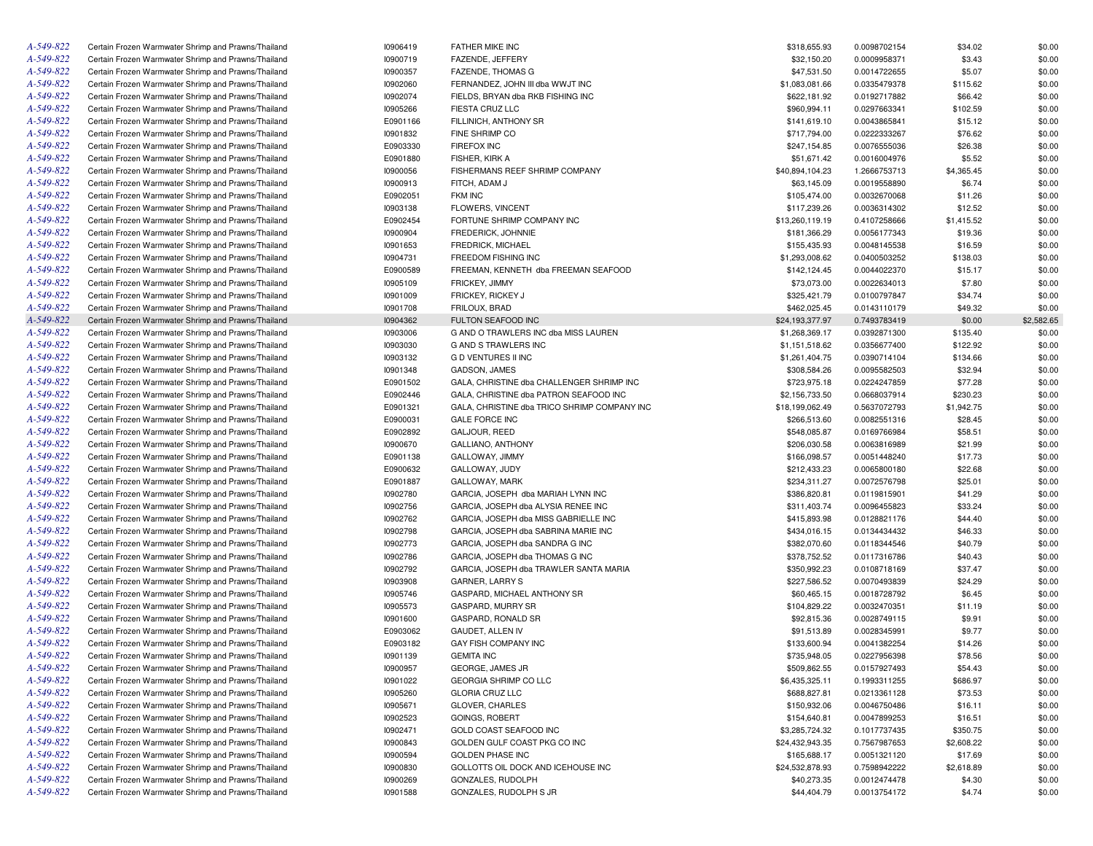| A-549-822 | Certain Frozen Warmwater Shrimp and Prawns/Thailand | 10906419 | <b>FATHER MIKE INC</b>                       | \$318,655.93    | 0.0098702154 | \$34.02    | \$0.00     |
|-----------|-----------------------------------------------------|----------|----------------------------------------------|-----------------|--------------|------------|------------|
| A-549-822 | Certain Frozen Warmwater Shrimp and Prawns/Thailand | 10900719 | FAZENDE, JEFFERY                             | \$32,150.20     | 0.0009958371 | \$3.43     | \$0.00     |
| A-549-822 | Certain Frozen Warmwater Shrimp and Prawns/Thailand | 10900357 | FAZENDE, THOMAS G                            | \$47,531.50     | 0.0014722655 | \$5.07     | \$0.00     |
| A-549-822 | Certain Frozen Warmwater Shrimp and Prawns/Thailand | 10902060 | FERNANDEZ, JOHN III dba WWJT INC             | \$1,083,081.66  | 0.0335479378 | \$115.62   | \$0.00     |
| A-549-822 | Certain Frozen Warmwater Shrimp and Prawns/Thailand | 10902074 | FIELDS, BRYAN dba RKB FISHING INC            | \$622,181.92    | 0.0192717882 | \$66.42    | \$0.00     |
| A-549-822 | Certain Frozen Warmwater Shrimp and Prawns/Thailand | 10905266 | FIESTA CRUZ LLC                              | \$960,994.11    | 0.0297663341 | \$102.59   | \$0.00     |
| A-549-822 | Certain Frozen Warmwater Shrimp and Prawns/Thailand | E0901166 | FILLINICH, ANTHONY SR                        | \$141,619.10    | 0.0043865841 | \$15.12    | \$0.00     |
| A-549-822 | Certain Frozen Warmwater Shrimp and Prawns/Thailand | 10901832 | FINE SHRIMP CO                               | \$717,794.00    | 0.0222333267 | \$76.62    | \$0.00     |
| A-549-822 | Certain Frozen Warmwater Shrimp and Prawns/Thailand | E0903330 | FIREFOX INC                                  | \$247,154.85    | 0.0076555036 | \$26.38    | \$0.00     |
| A-549-822 | Certain Frozen Warmwater Shrimp and Prawns/Thailand | E0901880 | FISHER, KIRK A                               | \$51,671.42     | 0.0016004976 | \$5.52     | \$0.00     |
| A-549-822 | Certain Frozen Warmwater Shrimp and Prawns/Thailand | 10900056 | FISHERMANS REEF SHRIMP COMPANY               | \$40,894,104.23 | 1.2666753713 | \$4,365.45 | \$0.00     |
| A-549-822 | Certain Frozen Warmwater Shrimp and Prawns/Thailand | 10900913 | FITCH, ADAM J                                | \$63,145.09     | 0.0019558890 | \$6.74     | \$0.00     |
| A-549-822 | Certain Frozen Warmwater Shrimp and Prawns/Thailand | E0902051 | <b>FKM INC</b>                               | \$105,474.00    | 0.0032670068 | \$11.26    | \$0.00     |
| A-549-822 | Certain Frozen Warmwater Shrimp and Prawns/Thailand | 10903138 | FLOWERS, VINCENT                             | \$117,239.26    | 0.0036314302 | \$12.52    | \$0.00     |
| A-549-822 | Certain Frozen Warmwater Shrimp and Prawns/Thailand | E0902454 | FORTUNE SHRIMP COMPANY INC                   | \$13,260,119.19 | 0.4107258666 | \$1,415.52 | \$0.00     |
| A-549-822 | Certain Frozen Warmwater Shrimp and Prawns/Thailand | 10900904 | FREDERICK, JOHNNIE                           |                 |              |            | \$0.00     |
|           |                                                     |          |                                              | \$181,366.29    | 0.0056177343 | \$19.36    |            |
| A-549-822 | Certain Frozen Warmwater Shrimp and Prawns/Thailand | 10901653 | <b>FREDRICK, MICHAEL</b>                     | \$155,435.93    | 0.0048145538 | \$16.59    | \$0.00     |
| A-549-822 | Certain Frozen Warmwater Shrimp and Prawns/Thailand | 10904731 | FREEDOM FISHING INC                          | \$1,293,008.62  | 0.0400503252 | \$138.03   | \$0.00     |
| A-549-822 | Certain Frozen Warmwater Shrimp and Prawns/Thailand | E0900589 | FREEMAN, KENNETH dba FREEMAN SEAFOOD         | \$142,124.45    | 0.0044022370 | \$15.17    | \$0.00     |
| A-549-822 | Certain Frozen Warmwater Shrimp and Prawns/Thailand | 10905109 | FRICKEY, JIMMY                               | \$73,073.00     | 0.0022634013 | \$7.80     | \$0.00     |
| A-549-822 | Certain Frozen Warmwater Shrimp and Prawns/Thailand | 10901009 | FRICKEY, RICKEY J                            | \$325,421.79    | 0.0100797847 | \$34.74    | \$0.00     |
| A-549-822 | Certain Frozen Warmwater Shrimp and Prawns/Thailand | 10901708 | FRILOUX, BRAD                                | \$462,025.45    | 0.0143110179 | \$49.32    | \$0.00     |
| A-549-822 | Certain Frozen Warmwater Shrimp and Prawns/Thailand | 10904362 | <b>FULTON SEAFOOD INC</b>                    | \$24,193,377.97 | 0.7493783419 | \$0.00     | \$2,582.65 |
| A-549-822 | Certain Frozen Warmwater Shrimp and Prawns/Thailand | 10903006 | G AND O TRAWLERS INC dba MISS LAUREN         | \$1,268,369.17  | 0.0392871300 | \$135.40   | \$0.00     |
| A-549-822 | Certain Frozen Warmwater Shrimp and Prawns/Thailand | 10903030 | <b>G AND S TRAWLERS INC</b>                  | \$1,151,518.62  | 0.0356677400 | \$122.92   | \$0.00     |
| A-549-822 | Certain Frozen Warmwater Shrimp and Prawns/Thailand | 10903132 | <b>G D VENTURES II INC</b>                   | \$1,261,404.75  | 0.0390714104 | \$134.66   | \$0.00     |
| A-549-822 | Certain Frozen Warmwater Shrimp and Prawns/Thailand | 10901348 | <b>GADSON, JAMES</b>                         | \$308,584.26    | 0.0095582503 | \$32.94    | \$0.00     |
| A-549-822 | Certain Frozen Warmwater Shrimp and Prawns/Thailand | E0901502 | GALA, CHRISTINE dba CHALLENGER SHRIMP INC    | \$723,975.18    | 0.0224247859 | \$77.28    | \$0.00     |
| A-549-822 | Certain Frozen Warmwater Shrimp and Prawns/Thailand | E0902446 | GALA, CHRISTINE dba PATRON SEAFOOD INC       | \$2,156,733.50  | 0.0668037914 | \$230.23   | \$0.00     |
| A-549-822 | Certain Frozen Warmwater Shrimp and Prawns/Thailand | E0901321 | GALA, CHRISTINE dba TRICO SHRIMP COMPANY INC | \$18,199,062.49 | 0.5637072793 | \$1,942.75 | \$0.00     |
| A-549-822 | Certain Frozen Warmwater Shrimp and Prawns/Thailand | E0900031 | <b>GALE FORCE INC</b>                        | \$266,513.60    | 0.0082551316 | \$28.45    | \$0.00     |
| A-549-822 | Certain Frozen Warmwater Shrimp and Prawns/Thailand | E0902892 | GALJOUR, REED                                | \$548,085.87    | 0.0169766984 | \$58.51    | \$0.00     |
| A-549-822 | Certain Frozen Warmwater Shrimp and Prawns/Thailand | 10900670 | GALLIANO, ANTHONY                            | \$206,030.58    | 0.0063816989 | \$21.99    | \$0.00     |
| A-549-822 | Certain Frozen Warmwater Shrimp and Prawns/Thailand | E0901138 | GALLOWAY, JIMMY                              | \$166,098.57    | 0.0051448240 | \$17.73    | \$0.00     |
| A-549-822 | Certain Frozen Warmwater Shrimp and Prawns/Thailand | E0900632 | GALLOWAY, JUDY                               | \$212,433.23    | 0.0065800180 | \$22.68    | \$0.00     |
| A-549-822 | Certain Frozen Warmwater Shrimp and Prawns/Thailand | E0901887 | GALLOWAY, MARK                               | \$234,311.27    | 0.0072576798 | \$25.01    | \$0.00     |
| A-549-822 | Certain Frozen Warmwater Shrimp and Prawns/Thailand | 10902780 | GARCIA, JOSEPH dba MARIAH LYNN INC           | \$386,820.81    | 0.0119815901 | \$41.29    | \$0.00     |
| A-549-822 | Certain Frozen Warmwater Shrimp and Prawns/Thailand | 10902756 | GARCIA, JOSEPH dba ALYSIA RENEE INC          | \$311,403.74    | 0.0096455823 | \$33.24    | \$0.00     |
| A-549-822 | Certain Frozen Warmwater Shrimp and Prawns/Thailand | 10902762 | GARCIA, JOSEPH dba MISS GABRIELLE INC        | \$415,893.98    | 0.0128821176 | \$44.40    | \$0.00     |
| A-549-822 | Certain Frozen Warmwater Shrimp and Prawns/Thailand | 10902798 | GARCIA, JOSEPH dba SABRINA MARIE INC         | \$434,016.15    | 0.0134434432 | \$46.33    | \$0.00     |
| A-549-822 | Certain Frozen Warmwater Shrimp and Prawns/Thailand | 10902773 | GARCIA, JOSEPH dba SANDRA G INC              | \$382,070.60    | 0.0118344546 | \$40.79    | \$0.00     |
|           |                                                     |          |                                              |                 |              |            |            |
| A-549-822 | Certain Frozen Warmwater Shrimp and Prawns/Thailand | 10902786 | GARCIA, JOSEPH dba THOMAS G INC              | \$378,752.52    | 0.0117316786 | \$40.43    | \$0.00     |
| A-549-822 | Certain Frozen Warmwater Shrimp and Prawns/Thailand | 10902792 | GARCIA, JOSEPH dba TRAWLER SANTA MARIA       | \$350,992.23    | 0.0108718169 | \$37.47    | \$0.00     |
| A-549-822 | Certain Frozen Warmwater Shrimp and Prawns/Thailand | 10903908 | GARNER, LARRY S                              | \$227,586.52    | 0.0070493839 | \$24.29    | \$0.00     |
| A-549-822 | Certain Frozen Warmwater Shrimp and Prawns/Thailand | 10905746 | GASPARD, MICHAEL ANTHONY SR                  | \$60,465.15     | 0.0018728792 | \$6.45     | \$0.00     |
| A-549-822 | Certain Frozen Warmwater Shrimp and Prawns/Thailand | 10905573 | GASPARD, MURRY SR                            | \$104,829.22    | 0.0032470351 | \$11.19    | \$0.00     |
| A-549-822 | Certain Frozen Warmwater Shrimp and Prawns/Thailand | 10901600 | GASPARD, RONALD SR                           | \$92,815.36     | 0.0028749115 | \$9.91     | \$0.00     |
| A-549-822 | Certain Frozen Warmwater Shrimp and Prawns/Thailand | E0903062 | GAUDET, ALLEN IV                             | \$91,513.89     | 0.0028345991 | \$9.77     | \$0.00     |
| A-549-822 | Certain Frozen Warmwater Shrimp and Prawns/Thailand | E0903182 | GAY FISH COMPANY INC                         | \$133,600.94    | 0.0041382254 | \$14.26    | \$0.00     |
| A-549-822 | Certain Frozen Warmwater Shrimp and Prawns/Thailand | 10901139 | <b>GEMITA INC</b>                            | \$735,948.05    | 0.0227956398 | \$78.56    | \$0.00     |
| A-549-822 | Certain Frozen Warmwater Shrimp and Prawns/Thailand | 10900957 | GEORGE, JAMES JR                             | \$509,862.55    | 0.0157927493 | \$54.43    | \$0.00     |
| A-549-822 | Certain Frozen Warmwater Shrimp and Prawns/Thailand | 10901022 | GEORGIA SHRIMP CO LLC                        | \$6,435,325.11  | 0.1993311255 | \$686.97   | \$0.00     |
| A-549-822 | Certain Frozen Warmwater Shrimp and Prawns/Thailand | 10905260 | <b>GLORIA CRUZ LLC</b>                       | \$688,827.81    | 0.0213361128 | \$73.53    | \$0.00     |
| A-549-822 | Certain Frozen Warmwater Shrimp and Prawns/Thailand | 10905671 | GLOVER, CHARLES                              | \$150,932.06    | 0.0046750486 | \$16.11    | \$0.00     |
| A-549-822 | Certain Frozen Warmwater Shrimp and Prawns/Thailand | 10902523 | <b>GOINGS, ROBERT</b>                        | \$154,640.81    | 0.0047899253 | \$16.51    | \$0.00     |
| A-549-822 | Certain Frozen Warmwater Shrimp and Prawns/Thailand | 10902471 | GOLD COAST SEAFOOD INC                       | \$3,285,724.32  | 0.1017737435 | \$350.75   | \$0.00     |
| A-549-822 | Certain Frozen Warmwater Shrimp and Prawns/Thailand | 10900843 | GOLDEN GULF COAST PKG CO INC                 | \$24,432,943.35 | 0.7567987653 | \$2,608.22 | \$0.00     |
| A-549-822 | Certain Frozen Warmwater Shrimp and Prawns/Thailand | 10900594 | <b>GOLDEN PHASE INC</b>                      | \$165,688.17    | 0.0051321120 | \$17.69    | \$0.00     |
| A-549-822 | Certain Frozen Warmwater Shrimp and Prawns/Thailand | 10900830 | GOLLOTTS OIL DOCK AND ICEHOUSE INC           | \$24,532,878.93 | 0.7598942222 | \$2,618.89 | \$0.00     |
| A-549-822 | Certain Frozen Warmwater Shrimp and Prawns/Thailand | 10900269 | GONZALES, RUDOLPH                            | \$40,273.35     | 0.0012474478 | \$4.30     | \$0.00     |
| A-549-822 | Certain Frozen Warmwater Shrimp and Prawns/Thailand | 10901588 | GONZALES, RUDOLPH S JR                       | \$44,404.79     | 0.0013754172 | \$4.74     | \$0.00     |
|           |                                                     |          |                                              |                 |              |            |            |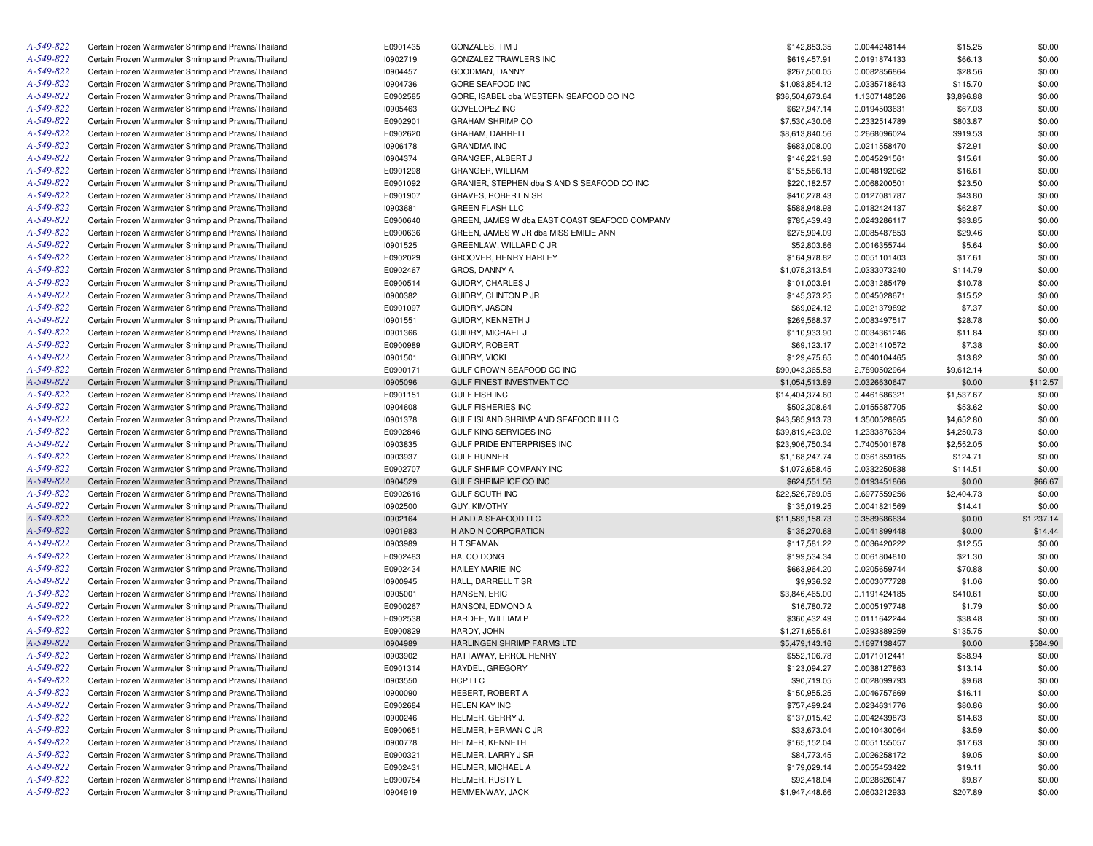| A-549-822 | Certain Frozen Warmwater Shrimp and Prawns/Thailand | E0901435 | GONZALES, TIM J                               | \$142,853.35    | 0.0044248144 | \$15.25    | \$0.00     |
|-----------|-----------------------------------------------------|----------|-----------------------------------------------|-----------------|--------------|------------|------------|
| A-549-822 | Certain Frozen Warmwater Shrimp and Prawns/Thailand | 10902719 | GONZALEZ TRAWLERS INC                         | \$619,457.91    | 0.0191874133 | \$66.13    | \$0.00     |
| A-549-822 | Certain Frozen Warmwater Shrimp and Prawns/Thailand | 10904457 | GOODMAN, DANNY                                | \$267,500.05    | 0.0082856864 | \$28.56    | \$0.00     |
| A-549-822 | Certain Frozen Warmwater Shrimp and Prawns/Thailand | 10904736 | GORE SEAFOOD INC                              | \$1,083,854.12  | 0.0335718643 | \$115.70   | \$0.00     |
| A-549-822 | Certain Frozen Warmwater Shrimp and Prawns/Thailand | E0902585 | GORE, ISABEL dba WESTERN SEAFOOD CO INC       | \$36,504,673.64 | 1.1307148526 | \$3,896.88 | \$0.00     |
| A-549-822 | Certain Frozen Warmwater Shrimp and Prawns/Thailand | 10905463 | <b>GOVELOPEZ INC</b>                          | \$627,947.14    | 0.0194503631 | \$67.03    | \$0.00     |
| A-549-822 | Certain Frozen Warmwater Shrimp and Prawns/Thailand | E0902901 | <b>GRAHAM SHRIMP CO</b>                       | \$7,530,430.06  | 0.2332514789 | \$803.87   | \$0.00     |
| A-549-822 | Certain Frozen Warmwater Shrimp and Prawns/Thailand | E0902620 | GRAHAM, DARRELL                               | \$8,613,840.56  | 0.2668096024 | \$919.53   | \$0.00     |
| A-549-822 | Certain Frozen Warmwater Shrimp and Prawns/Thailand | 10906178 | <b>GRANDMA INC</b>                            | \$683,008.00    | 0.0211558470 | \$72.91    | \$0.00     |
| A-549-822 | Certain Frozen Warmwater Shrimp and Prawns/Thailand | 10904374 | GRANGER, ALBERT J                             | \$146,221.98    | 0.0045291561 | \$15.61    | \$0.00     |
| A-549-822 | Certain Frozen Warmwater Shrimp and Prawns/Thailand | E0901298 | GRANGER, WILLIAM                              | \$155,586.13    | 0.0048192062 | \$16.61    | \$0.00     |
| A-549-822 | Certain Frozen Warmwater Shrimp and Prawns/Thailand | E0901092 | GRANIER, STEPHEN dba S AND S SEAFOOD CO INC   | \$220,182.57    | 0.0068200501 | \$23.50    | \$0.00     |
| A-549-822 | Certain Frozen Warmwater Shrimp and Prawns/Thailand | E0901907 | GRAVES, ROBERT N SR                           | \$410,278.43    | 0.0127081787 | \$43.80    | \$0.00     |
| A-549-822 | Certain Frozen Warmwater Shrimp and Prawns/Thailand | 10903681 | <b>GREEN FLASH LLC</b>                        | \$588,948.98    | 0.0182424137 | \$62.87    | \$0.00     |
| A-549-822 | Certain Frozen Warmwater Shrimp and Prawns/Thailand | E0900640 | GREEN, JAMES W dba EAST COAST SEAFOOD COMPANY | \$785,439.43    | 0.0243286117 | \$83.85    | \$0.00     |
| A-549-822 | Certain Frozen Warmwater Shrimp and Prawns/Thailand | E0900636 | GREEN, JAMES W JR dba MISS EMILIE ANN         | \$275,994.09    | 0.0085487853 | \$29.46    | \$0.00     |
| A-549-822 | Certain Frozen Warmwater Shrimp and Prawns/Thailand | 10901525 | GREENLAW, WILLARD C JR                        | \$52,803.86     | 0.0016355744 | \$5.64     | \$0.00     |
| A-549-822 | Certain Frozen Warmwater Shrimp and Prawns/Thailand | E0902029 | GROOVER, HENRY HARLEY                         | \$164,978.82    | 0.0051101403 | \$17.61    | \$0.00     |
| A-549-822 | Certain Frozen Warmwater Shrimp and Prawns/Thailand | E0902467 | GROS, DANNY A                                 | \$1,075,313.54  | 0.0333073240 | \$114.79   | \$0.00     |
| A-549-822 | Certain Frozen Warmwater Shrimp and Prawns/Thailand | E0900514 | GUIDRY, CHARLES J                             | \$101,003.91    | 0.0031285479 | \$10.78    | \$0.00     |
| A-549-822 | Certain Frozen Warmwater Shrimp and Prawns/Thailand | 10900382 | GUIDRY, CLINTON P JR                          | \$145,373.25    | 0.0045028671 | \$15.52    | \$0.00     |
| A-549-822 | Certain Frozen Warmwater Shrimp and Prawns/Thailand | E0901097 |                                               |                 |              | \$7.37     | \$0.00     |
|           |                                                     |          | GUIDRY, JASON                                 | \$69,024.12     | 0.0021379892 |            |            |
| A-549-822 | Certain Frozen Warmwater Shrimp and Prawns/Thailand | 10901551 | GUIDRY, KENNETH J                             | \$269,568.37    | 0.0083497517 | \$28.78    | \$0.00     |
| A-549-822 | Certain Frozen Warmwater Shrimp and Prawns/Thailand | 10901366 | GUIDRY, MICHAEL J                             | \$110,933.90    | 0.0034361246 | \$11.84    | \$0.00     |
| A-549-822 | Certain Frozen Warmwater Shrimp and Prawns/Thailand | E0900989 | <b>GUIDRY, ROBERT</b>                         | \$69,123.17     | 0.0021410572 | \$7.38     | \$0.00     |
| A-549-822 | Certain Frozen Warmwater Shrimp and Prawns/Thailand | 10901501 | GUIDRY, VICKI                                 | \$129,475.65    | 0.0040104465 | \$13.82    | \$0.00     |
| A-549-822 | Certain Frozen Warmwater Shrimp and Prawns/Thailand | E0900171 | GULF CROWN SEAFOOD CO INC                     | \$90,043,365.58 | 2.7890502964 | \$9,612.14 | \$0.00     |
| A-549-822 | Certain Frozen Warmwater Shrimp and Prawns/Thailand | 10905096 | <b>GULF FINEST INVESTMENT CO</b>              | \$1,054,513.89  | 0.0326630647 | \$0.00     | \$112.57   |
| A-549-822 | Certain Frozen Warmwater Shrimp and Prawns/Thailand | E0901151 | <b>GULF FISH INC</b>                          | \$14,404,374.60 | 0.4461686321 | \$1,537.67 | \$0.00     |
| A-549-822 | Certain Frozen Warmwater Shrimp and Prawns/Thailand | 10904608 | <b>GULF FISHERIES INC</b>                     | \$502,308.64    | 0.0155587705 | \$53.62    | \$0.00     |
| A-549-822 | Certain Frozen Warmwater Shrimp and Prawns/Thailand | 10901378 | GULF ISLAND SHRIMP AND SEAFOOD II LLC         | \$43,585,913.73 | 1.3500528865 | \$4,652.80 | \$0.00     |
| A-549-822 | Certain Frozen Warmwater Shrimp and Prawns/Thailand | E0902846 | <b>GULF KING SERVICES INC</b>                 | \$39,819,423.02 | 1.2333876334 | \$4,250.73 | \$0.00     |
| A-549-822 | Certain Frozen Warmwater Shrimp and Prawns/Thailand | 10903835 | GULF PRIDE ENTERPRISES INC                    | \$23,906,750.34 | 0.7405001878 | \$2,552.05 | \$0.00     |
| A-549-822 | Certain Frozen Warmwater Shrimp and Prawns/Thailand | 10903937 | <b>GULF RUNNER</b>                            | \$1,168,247.74  | 0.0361859165 | \$124.71   | \$0.00     |
| A-549-822 | Certain Frozen Warmwater Shrimp and Prawns/Thailand | E0902707 | GULF SHRIMP COMPANY INC                       | \$1,072,658.45  | 0.0332250838 | \$114.51   | \$0.00     |
| A-549-822 | Certain Frozen Warmwater Shrimp and Prawns/Thailand | 10904529 | GULF SHRIMP ICE CO INC                        | \$624,551.56    | 0.0193451866 | \$0.00     | \$66.67    |
| A-549-822 | Certain Frozen Warmwater Shrimp and Prawns/Thailand | E0902616 | <b>GULF SOUTH INC</b>                         | \$22,526,769.05 | 0.6977559256 | \$2,404.73 | \$0.00     |
| A-549-822 | Certain Frozen Warmwater Shrimp and Prawns/Thailand | 10902500 | <b>GUY, KIMOTHY</b>                           | \$135,019.25    | 0.0041821569 | \$14.41    | \$0.00     |
| A-549-822 | Certain Frozen Warmwater Shrimp and Prawns/Thailand | 10902164 | H AND A SEAFOOD LLC                           | \$11,589,158.73 | 0.3589686634 | \$0.00     | \$1,237.14 |
| A-549-822 | Certain Frozen Warmwater Shrimp and Prawns/Thailand | 10901983 | H AND N CORPORATION                           | \$135,270.68    | 0.0041899448 | \$0.00     | \$14.44    |
| A-549-822 | Certain Frozen Warmwater Shrimp and Prawns/Thailand | 10903989 | H T SEAMAN                                    | \$117,581.22    | 0.0036420222 | \$12.55    | \$0.00     |
| A-549-822 | Certain Frozen Warmwater Shrimp and Prawns/Thailand | E0902483 | HA, CO DONG                                   | \$199,534.34    | 0.0061804810 | \$21.30    | \$0.00     |
| A-549-822 | Certain Frozen Warmwater Shrimp and Prawns/Thailand | E0902434 | <b>HAILEY MARIE INC</b>                       | \$663,964.20    | 0.0205659744 | \$70.88    | \$0.00     |
| A-549-822 | Certain Frozen Warmwater Shrimp and Prawns/Thailand | 10900945 | HALL, DARRELL T SR                            | \$9,936.32      | 0.0003077728 | \$1.06     | \$0.00     |
| A-549-822 | Certain Frozen Warmwater Shrimp and Prawns/Thailand | 10905001 | HANSEN, ERIC                                  | \$3,846,465.00  | 0.1191424185 | \$410.61   | \$0.00     |
| A-549-822 | Certain Frozen Warmwater Shrimp and Prawns/Thailand | E0900267 | HANSON, EDMOND A                              | \$16,780.72     | 0.0005197748 | \$1.79     | \$0.00     |
| A-549-822 | Certain Frozen Warmwater Shrimp and Prawns/Thailand | E0902538 | HARDEE, WILLIAM P                             | \$360,432.49    | 0.0111642244 | \$38.48    | \$0.00     |
| A-549-822 | Certain Frozen Warmwater Shrimp and Prawns/Thailand | E0900829 | HARDY, JOHN                                   | \$1,271,655.61  | 0.0393889259 | \$135.75   | \$0.00     |
| A-549-822 | Certain Frozen Warmwater Shrimp and Prawns/Thailand | 10904989 | HARLINGEN SHRIMP FARMS LTD                    | \$5,479,143.16  | 0.1697138457 | \$0.00     | \$584.90   |
| A-549-822 | Certain Frozen Warmwater Shrimp and Prawns/Thailand | 10903902 | HATTAWAY, ERROL HENRY                         | \$552,106.78    | 0.0171012441 | \$58.94    | \$0.00     |
| A-549-822 | Certain Frozen Warmwater Shrimp and Prawns/Thailand | E0901314 | HAYDEL, GREGORY                               | \$123,094.27    | 0.0038127863 | \$13.14    | \$0.00     |
| A-549-822 | Certain Frozen Warmwater Shrimp and Prawns/Thailand | 10903550 | HCP LLC                                       | \$90,719.05     | 0.0028099793 | \$9.68     | \$0.00     |
| A-549-822 | Certain Frozen Warmwater Shrimp and Prawns/Thailand | 10900090 | HEBERT, ROBERT A                              | \$150,955.25    | 0.0046757669 | \$16.11    | \$0.00     |
| A-549-822 | Certain Frozen Warmwater Shrimp and Prawns/Thailand | E0902684 | <b>HELEN KAY INC</b>                          | \$757,499.24    | 0.0234631776 | \$80.86    | \$0.00     |
| A-549-822 | Certain Frozen Warmwater Shrimp and Prawns/Thailand | 10900246 | HELMER, GERRY J.                              | \$137,015.42    | 0.0042439873 | \$14.63    | \$0.00     |
| A-549-822 | Certain Frozen Warmwater Shrimp and Prawns/Thailand | E0900651 | HELMER, HERMAN C JR                           | \$33,673.04     | 0.0010430064 | \$3.59     | \$0.00     |
| A-549-822 | Certain Frozen Warmwater Shrimp and Prawns/Thailand | 10900778 | HELMER, KENNETH                               | \$165,152.04    | 0.0051155057 | \$17.63    | \$0.00     |
| A-549-822 | Certain Frozen Warmwater Shrimp and Prawns/Thailand | E0900321 | HELMER, LARRY J SR                            | \$84,773.45     | 0.0026258172 | \$9.05     | \$0.00     |
| A-549-822 | Certain Frozen Warmwater Shrimp and Prawns/Thailand | E0902431 | HELMER, MICHAEL A                             | \$179,029.14    | 0.0055453422 | \$19.11    | \$0.00     |
| A-549-822 | Certain Frozen Warmwater Shrimp and Prawns/Thailand | E0900754 | HELMER, RUSTY L                               | \$92,418.04     | 0.0028626047 | \$9.87     | \$0.00     |
| A-549-822 | Certain Frozen Warmwater Shrimp and Prawns/Thailand | 10904919 | HEMMENWAY, JACK                               | \$1,947,448.66  | 0.0603212933 | \$207.89   | \$0.00     |
|           |                                                     |          |                                               |                 |              |            |            |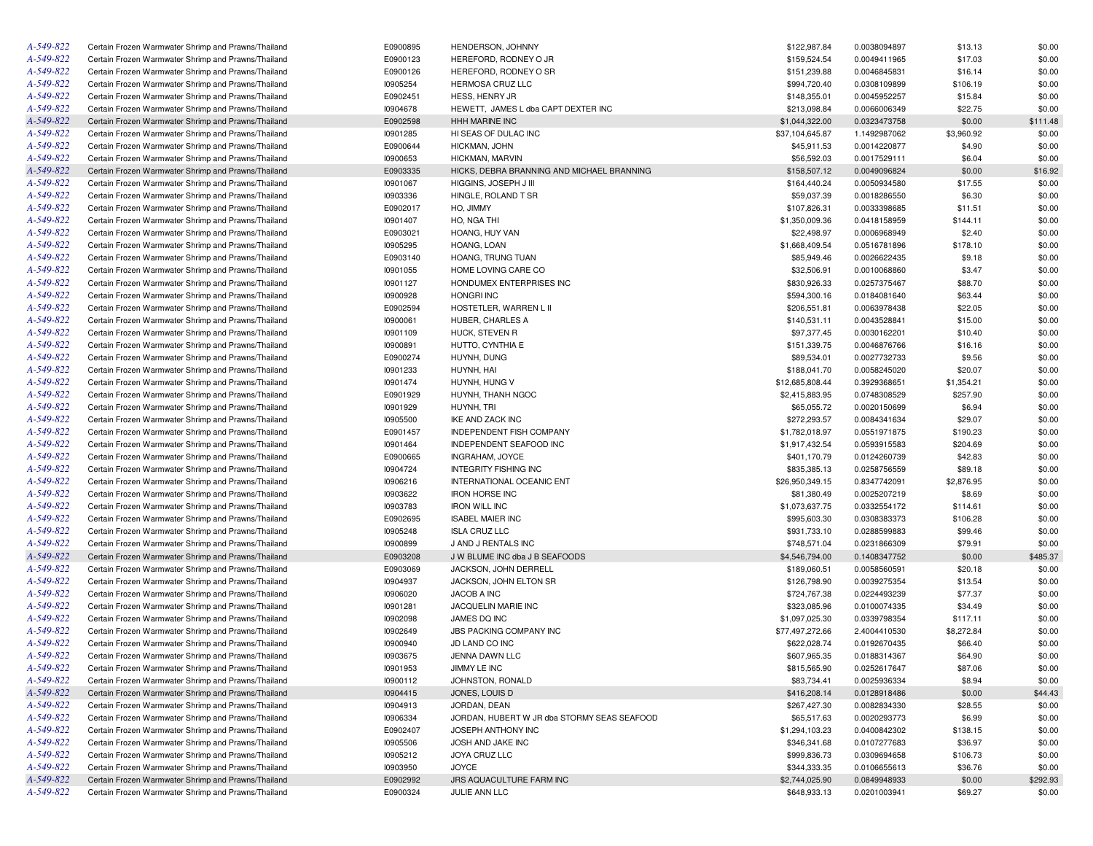| A-549-822 | Certain Frozen Warmwater Shrimp and Prawns/Thailand                                                        | E0900895             | HENDERSON, JOHNNY                           | \$122,987.84                   | 0.0038094897 | \$13.13    | \$0.00   |
|-----------|------------------------------------------------------------------------------------------------------------|----------------------|---------------------------------------------|--------------------------------|--------------|------------|----------|
| A-549-822 | Certain Frozen Warmwater Shrimp and Prawns/Thailand                                                        | E0900123             | HEREFORD, RODNEY O JR                       | \$159,524.54                   | 0.0049411965 | \$17.03    | \$0.00   |
| A-549-822 | Certain Frozen Warmwater Shrimp and Prawns/Thailand                                                        | E0900126             | HEREFORD, RODNEY O SR                       | \$151,239.88                   | 0.0046845831 | \$16.14    | \$0.00   |
| A-549-822 | Certain Frozen Warmwater Shrimp and Prawns/Thailand                                                        | 10905254             | HERMOSA CRUZ LLC                            | \$994,720.40                   | 0.0308109899 | \$106.19   | \$0.00   |
| A-549-822 | Certain Frozen Warmwater Shrimp and Prawns/Thailand                                                        | E0902451             | HESS, HENRY JR                              | \$148,355.01                   | 0.0045952257 | \$15.84    | \$0.00   |
| A-549-822 | Certain Frozen Warmwater Shrimp and Prawns/Thailand                                                        | 10904678             | HEWETT, JAMES L dba CAPT DEXTER INC         | \$213,098.84                   | 0.0066006349 | \$22.75    | \$0.00   |
| A-549-822 | Certain Frozen Warmwater Shrimp and Prawns/Thailand                                                        | E0902598             | <b>HHH MARINE INC</b>                       | \$1,044,322.00                 | 0.0323473758 | \$0.00     | \$111.48 |
| A-549-822 | Certain Frozen Warmwater Shrimp and Prawns/Thailand                                                        | 10901285             | HI SEAS OF DULAC INC                        | \$37,104,645.87                | 1.1492987062 | \$3,960.92 | \$0.00   |
| A-549-822 | Certain Frozen Warmwater Shrimp and Prawns/Thailand                                                        | E0900644             | HICKMAN, JOHN                               | \$45,911.53                    | 0.0014220877 | \$4.90     | \$0.00   |
| A-549-822 | Certain Frozen Warmwater Shrimp and Prawns/Thailand                                                        | 10900653             | HICKMAN, MARVIN                             | \$56,592.03                    | 0.0017529111 | \$6.04     | \$0.00   |
| A-549-822 | Certain Frozen Warmwater Shrimp and Prawns/Thailand                                                        | E0903335             | HICKS, DEBRA BRANNING AND MICHAEL BRANNING  | \$158,507.12                   | 0.0049096824 | \$0.00     | \$16.92  |
| A-549-822 | Certain Frozen Warmwater Shrimp and Prawns/Thailand                                                        | 10901067             | HIGGINS, JOSEPH J III                       | \$164,440.24                   | 0.0050934580 | \$17.55    | \$0.00   |
| A-549-822 | Certain Frozen Warmwater Shrimp and Prawns/Thailand                                                        | 10903336             | HINGLE, ROLAND T SR                         | \$59,037.39                    | 0.0018286550 | \$6.30     | \$0.00   |
| A-549-822 | Certain Frozen Warmwater Shrimp and Prawns/Thailand                                                        | E0902017             | HO, JIMMY                                   | \$107,826.31                   | 0.0033398685 | \$11.51    | \$0.00   |
| A-549-822 | Certain Frozen Warmwater Shrimp and Prawns/Thailand                                                        | 10901407             | HO, NGA THI                                 | \$1,350,009.36                 | 0.0418158959 | \$144.11   | \$0.00   |
| A-549-822 | Certain Frozen Warmwater Shrimp and Prawns/Thailand                                                        | E0903021             | HOANG, HUY VAN                              | \$22,498.97                    | 0.0006968949 | \$2.40     | \$0.00   |
| A-549-822 | Certain Frozen Warmwater Shrimp and Prawns/Thailand                                                        | 10905295             | HOANG, LOAN                                 | \$1,668,409.54                 | 0.0516781896 | \$178.10   | \$0.00   |
| A-549-822 | Certain Frozen Warmwater Shrimp and Prawns/Thailand                                                        | E0903140             | HOANG, TRUNG TUAN                           | \$85,949.46                    | 0.0026622435 | \$9.18     | \$0.00   |
| A-549-822 | Certain Frozen Warmwater Shrimp and Prawns/Thailand                                                        | 10901055             | HOME LOVING CARE CO                         | \$32,506.91                    | 0.0010068860 | \$3.47     | \$0.00   |
| A-549-822 | Certain Frozen Warmwater Shrimp and Prawns/Thailand                                                        | 10901127             | HONDUMEX ENTERPRISES INC                    | \$830,926.33                   | 0.0257375467 | \$88.70    | \$0.00   |
| A-549-822 | Certain Frozen Warmwater Shrimp and Prawns/Thailand                                                        | 10900928             | <b>HONGRI INC</b>                           | \$594,300.16                   | 0.0184081640 | \$63.44    | \$0.00   |
| A-549-822 | Certain Frozen Warmwater Shrimp and Prawns/Thailand                                                        | E0902594             | HOSTETLER, WARREN L II                      | \$206,551.81                   | 0.0063978438 | \$22.05    | \$0.00   |
| A-549-822 | Certain Frozen Warmwater Shrimp and Prawns/Thailand                                                        | 10900061             | HUBER, CHARLES A                            | \$140,531.11                   | 0.0043528841 | \$15.00    | \$0.00   |
| A-549-822 | Certain Frozen Warmwater Shrimp and Prawns/Thailand                                                        | 10901109             | HUCK, STEVEN R                              | \$97,377.45                    | 0.0030162201 | \$10.40    | \$0.00   |
| A-549-822 | Certain Frozen Warmwater Shrimp and Prawns/Thailand                                                        | 10900891             | HUTTO, CYNTHIA E                            | \$151,339.75                   | 0.0046876766 | \$16.16    | \$0.00   |
| A-549-822 | Certain Frozen Warmwater Shrimp and Prawns/Thailand                                                        | E0900274             | HUYNH, DUNG                                 | \$89,534.01                    | 0.0027732733 | \$9.56     | \$0.00   |
| A-549-822 | Certain Frozen Warmwater Shrimp and Prawns/Thailand                                                        | 10901233             | HUYNH, HAI                                  | \$188,041.70                   | 0.0058245020 | \$20.07    | \$0.00   |
| A-549-822 | Certain Frozen Warmwater Shrimp and Prawns/Thailand                                                        | 10901474             | HUYNH, HUNG V                               | \$12,685,808.44                | 0.3929368651 | \$1,354.21 | \$0.00   |
| A-549-822 | Certain Frozen Warmwater Shrimp and Prawns/Thailand                                                        | E0901929             | HUYNH, THANH NGOC                           | \$2,415,883.95                 | 0.0748308529 | \$257.90   | \$0.00   |
| A-549-822 | Certain Frozen Warmwater Shrimp and Prawns/Thailand                                                        | 10901929             | HUYNH, TRI                                  | \$65,055.72                    | 0.0020150699 | \$6.94     | \$0.00   |
| A-549-822 | Certain Frozen Warmwater Shrimp and Prawns/Thailand                                                        | 10905500             | IKE AND ZACK INC                            | \$272,293.57                   | 0.0084341634 | \$29.07    | \$0.00   |
| A-549-822 | Certain Frozen Warmwater Shrimp and Prawns/Thailand                                                        | E0901457             | <b>INDEPENDENT FISH COMPANY</b>             | \$1,782,018.97                 | 0.0551971875 | \$190.23   | \$0.00   |
| A-549-822 | Certain Frozen Warmwater Shrimp and Prawns/Thailand                                                        | 10901464             | INDEPENDENT SEAFOOD INC                     | \$1,917,432.54                 | 0.0593915583 | \$204.69   | \$0.00   |
| A-549-822 | Certain Frozen Warmwater Shrimp and Prawns/Thailand                                                        | E0900665             | INGRAHAM, JOYCE                             | \$401,170.79                   | 0.0124260739 | \$42.83    | \$0.00   |
| A-549-822 | Certain Frozen Warmwater Shrimp and Prawns/Thailand                                                        | 10904724             | <b>INTEGRITY FISHING INC</b>                | \$835,385.13                   | 0.0258756559 | \$89.18    | \$0.00   |
| A-549-822 | Certain Frozen Warmwater Shrimp and Prawns/Thailand                                                        | 10906216             | INTERNATIONAL OCEANIC ENT                   | \$26,950,349.15                | 0.8347742091 | \$2,876.95 | \$0.00   |
| A-549-822 | Certain Frozen Warmwater Shrimp and Prawns/Thailand                                                        | 10903622             | <b>IRON HORSE INC</b>                       | \$81,380.49                    | 0.0025207219 | \$8.69     | \$0.00   |
| A-549-822 | Certain Frozen Warmwater Shrimp and Prawns/Thailand                                                        | 10903783             | <b>IRON WILL INC</b>                        | \$1,073,637.75                 | 0.0332554172 | \$114.61   | \$0.00   |
| A-549-822 | Certain Frozen Warmwater Shrimp and Prawns/Thailand                                                        | E0902695             | <b>ISABEL MAIER INC</b>                     | \$995,603.30                   | 0.0308383373 | \$106.28   | \$0.00   |
| A-549-822 | Certain Frozen Warmwater Shrimp and Prawns/Thailand                                                        | 10905248             | <b>ISLA CRUZ LLC</b>                        | \$931,733.10                   | 0.0288599883 | \$99.46    | \$0.00   |
| A-549-822 | Certain Frozen Warmwater Shrimp and Prawns/Thailand                                                        | 10900899             | J AND J RENTALS INC                         | \$748,571.04                   | 0.0231866309 | \$79.91    | \$0.00   |
| A-549-822 | Certain Frozen Warmwater Shrimp and Prawns/Thailand                                                        | E0903208             | J W BLUME INC dba J B SEAFOODS              | \$4,546,794.00                 | 0.1408347752 | \$0.00     | \$485.37 |
| A-549-822 | Certain Frozen Warmwater Shrimp and Prawns/Thailand                                                        | E0903069             | JACKSON, JOHN DERRELL                       | \$189,060.51                   | 0.0058560591 | \$20.18    | \$0.00   |
| A-549-822 | Certain Frozen Warmwater Shrimp and Prawns/Thailand                                                        | 10904937             | JACKSON, JOHN ELTON SR                      | \$126,798.90                   | 0.0039275354 | \$13.54    | \$0.00   |
| A-549-822 | Certain Frozen Warmwater Shrimp and Prawns/Thailand                                                        | 10906020             | JACOB A INC                                 | \$724,767.38                   | 0.0224493239 | \$77.37    | \$0.00   |
| A-549-822 | Certain Frozen Warmwater Shrimp and Prawns/Thailand                                                        | 10901281             | JACQUELIN MARIE INC                         | \$323,085.96                   | 0.0100074335 | \$34.49    | \$0.00   |
| A-549-822 | Certain Frozen Warmwater Shrimp and Prawns/Thailand                                                        | 10902098             | JAMES DQ INC                                | \$1,097,025.30                 | 0.0339798354 | \$117.11   | \$0.00   |
| A-549-822 | Certain Frozen Warmwater Shrimp and Prawns/Thailand                                                        | 10902649             | JBS PACKING COMPANY INC                     | \$77,497,272.66                | 2.4004410530 | \$8,272.84 | \$0.00   |
| A-549-822 | Certain Frozen Warmwater Shrimp and Prawns/Thailand                                                        | 10900940             | JD LAND CO INC                              | \$622,028.74                   | 0.0192670435 | \$66.40    | \$0.00   |
| A-549-822 | Certain Frozen Warmwater Shrimp and Prawns/Thailand                                                        | 10903675             | JENNA DAWN LLC                              | \$607,965.35                   | 0.0188314367 | \$64.90    | \$0.00   |
| A-549-822 | Certain Frozen Warmwater Shrimp and Prawns/Thailand                                                        | 10901953             | JIMMY LE INC                                | \$815,565.90                   | 0.0252617647 | \$87.06    | \$0.00   |
| A-549-822 | Certain Frozen Warmwater Shrimp and Prawns/Thailand                                                        | 10900112             | JOHNSTON, RONALD                            | \$83,734.41                    | 0.0025936334 | \$8.94     | \$0.00   |
| A-549-822 | Certain Frozen Warmwater Shrimp and Prawns/Thailand                                                        | 10904415             | JONES, LOUIS D                              | \$416,208.14                   | 0.0128918486 | \$0.00     | \$44.43  |
| A-549-822 | Certain Frozen Warmwater Shrimp and Prawns/Thailand                                                        | 10904913             | JORDAN, DEAN                                | \$267,427.30                   | 0.0082834330 | \$28.55    | \$0.00   |
| A-549-822 | Certain Frozen Warmwater Shrimp and Prawns/Thailand                                                        | 10906334             | JORDAN, HUBERT W JR dba STORMY SEAS SEAFOOD | \$65,517.63                    | 0.0020293773 | \$6.99     | \$0.00   |
| A-549-822 | Certain Frozen Warmwater Shrimp and Prawns/Thailand                                                        | E0902407             | JOSEPH ANTHONY INC                          | \$1,294,103.23                 | 0.0400842302 | \$138.15   | \$0.00   |
| A-549-822 | Certain Frozen Warmwater Shrimp and Prawns/Thailand                                                        |                      | JOSH AND JAKE INC                           | \$346,341.68                   |              | \$36.97    |          |
| A-549-822 | Certain Frozen Warmwater Shrimp and Prawns/Thailand                                                        | 10905506             | JOYA CRUZ LLC                               | \$999,836.73                   | 0.0107277683 |            | \$0.00   |
| A-549-822 |                                                                                                            | 10905212             | <b>JOYCE</b>                                |                                | 0.0309694658 | \$106.73   | \$0.00   |
| A-549-822 | Certain Frozen Warmwater Shrimp and Prawns/Thailand                                                        | 10903950<br>E0902992 |                                             | \$344,333.35<br>\$2,744,025.90 | 0.0106655613 | \$36.76    | \$0.00   |
| A-549-822 | Certain Frozen Warmwater Shrimp and Prawns/Thailand<br>Certain Frozen Warmwater Shrimp and Prawns/Thailand | E0900324             | JRS AQUACULTURE FARM INC<br>JULIE ANN LLC   | \$648,933.13                   | 0.0849948933 | \$0.00     | \$292.93 |
|           |                                                                                                            |                      |                                             |                                | 0.0201003941 | \$69.27    | \$0.00   |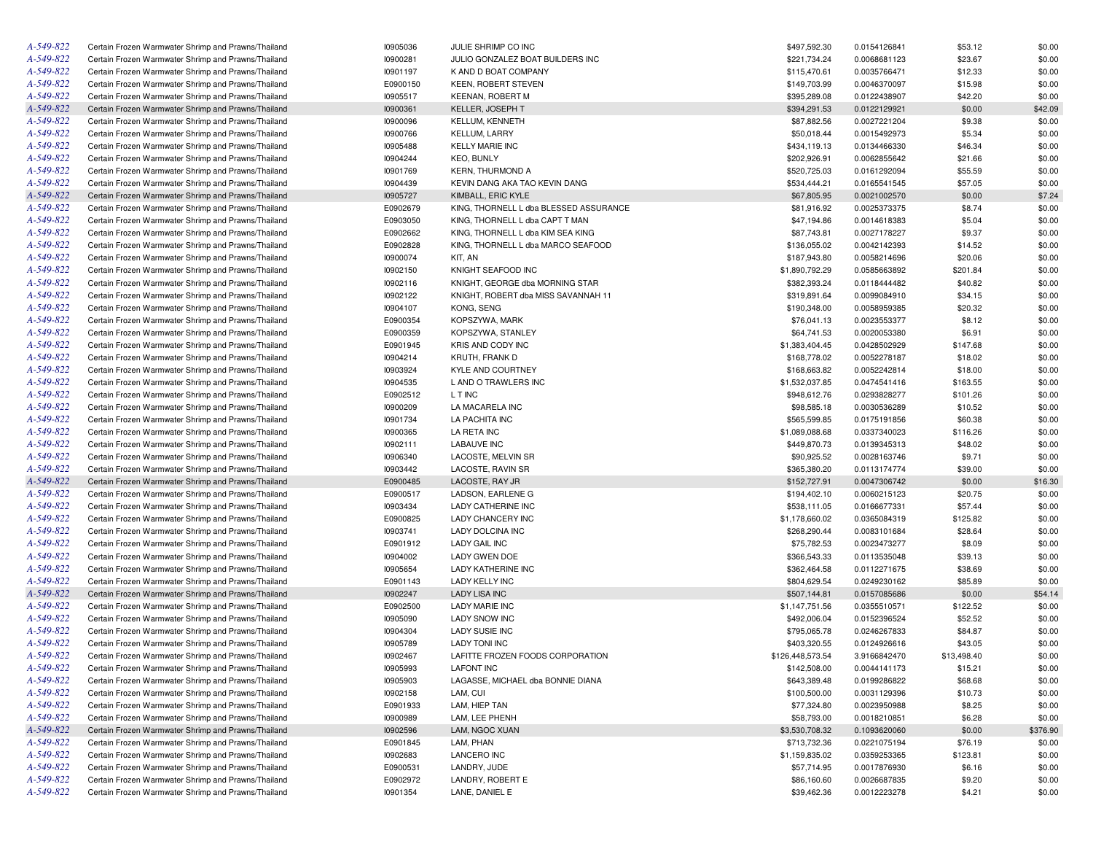| A-549-822 | Certain Frozen Warmwater Shrimp and Prawns/Thailand | 10905036 | JULIE SHRIMP CO INC                    | \$497,592.30     | 0.0154126841 | \$53.12     | \$0.00   |
|-----------|-----------------------------------------------------|----------|----------------------------------------|------------------|--------------|-------------|----------|
| A-549-822 | Certain Frozen Warmwater Shrimp and Prawns/Thailand | 10900281 | JULIO GONZALEZ BOAT BUILDERS INC       | \$221,734.24     | 0.0068681123 | \$23.67     | \$0.00   |
| A-549-822 | Certain Frozen Warmwater Shrimp and Prawns/Thailand | 10901197 | K AND D BOAT COMPANY                   | \$115,470.61     | 0.0035766471 | \$12.33     | \$0.00   |
| A-549-822 | Certain Frozen Warmwater Shrimp and Prawns/Thailand | E0900150 | <b>KEEN, ROBERT STEVEN</b>             | \$149,703.99     | 0.0046370097 | \$15.98     | \$0.00   |
| A-549-822 | Certain Frozen Warmwater Shrimp and Prawns/Thailand | 10905517 | <b>KEENAN, ROBERT M</b>                | \$395,289.08     | 0.0122438907 | \$42.20     | \$0.00   |
| A-549-822 | Certain Frozen Warmwater Shrimp and Prawns/Thailand | 10900361 | <b>KELLER, JOSEPH T</b>                | \$394,291.53     | 0.0122129921 | \$0.00      | \$42.09  |
| A-549-822 | Certain Frozen Warmwater Shrimp and Prawns/Thailand | 10900096 | <b>KELLUM, KENNETH</b>                 | \$87,882.56      | 0.0027221204 | \$9.38      | \$0.00   |
| A-549-822 | Certain Frozen Warmwater Shrimp and Prawns/Thailand | 10900766 | <b>KELLUM, LARRY</b>                   | \$50,018.44      | 0.0015492973 | \$5.34      | \$0.00   |
| A-549-822 | Certain Frozen Warmwater Shrimp and Prawns/Thailand | 10905488 | <b>KELLY MARIE INC</b>                 | \$434,119.13     | 0.0134466330 | \$46.34     | \$0.00   |
| A-549-822 | Certain Frozen Warmwater Shrimp and Prawns/Thailand | 10904244 | <b>KEO, BUNLY</b>                      | \$202,926.91     | 0.0062855642 | \$21.66     | \$0.00   |
| A-549-822 | Certain Frozen Warmwater Shrimp and Prawns/Thailand | 10901769 | <b>KERN, THURMOND A</b>                | \$520,725.03     | 0.0161292094 | \$55.59     | \$0.00   |
| A-549-822 | Certain Frozen Warmwater Shrimp and Prawns/Thailand | 10904439 | KEVIN DANG AKA TAO KEVIN DANG          | \$534,444.21     | 0.0165541545 | \$57.05     | \$0.00   |
| A-549-822 | Certain Frozen Warmwater Shrimp and Prawns/Thailand | 10905727 | KIMBALL, ERIC KYLE                     | \$67,805.95      | 0.0021002570 | \$0.00      | \$7.24   |
| A-549-822 | Certain Frozen Warmwater Shrimp and Prawns/Thailand | E0902679 | KING, THORNELL L dba BLESSED ASSURANCE | \$81,916.92      | 0.0025373375 | \$8.74      | \$0.00   |
| A-549-822 | Certain Frozen Warmwater Shrimp and Prawns/Thailand | E0903050 | KING, THORNELL L dba CAPT T MAN        | \$47,194.86      |              | \$5.04      | \$0.00   |
| A-549-822 |                                                     |          | KING. THORNELL L dba KIM SEA KING      |                  | 0.0014618383 |             |          |
|           | Certain Frozen Warmwater Shrimp and Prawns/Thailand | E0902662 |                                        | \$87,743.81      | 0.0027178227 | \$9.37      | \$0.00   |
| A-549-822 | Certain Frozen Warmwater Shrimp and Prawns/Thailand | E0902828 | KING, THORNELL L dba MARCO SEAFOOD     | \$136,055.02     | 0.0042142393 | \$14.52     | \$0.00   |
| A-549-822 | Certain Frozen Warmwater Shrimp and Prawns/Thailand | 10900074 | KIT, AN                                | \$187,943.80     | 0.0058214696 | \$20.06     | \$0.00   |
| A-549-822 | Certain Frozen Warmwater Shrimp and Prawns/Thailand | 10902150 | KNIGHT SEAFOOD INC                     | \$1,890,792.29   | 0.0585663892 | \$201.84    | \$0.00   |
| A-549-822 | Certain Frozen Warmwater Shrimp and Prawns/Thailand | 10902116 | KNIGHT, GEORGE dba MORNING STAR        | \$382,393.24     | 0.0118444482 | \$40.82     | \$0.00   |
| A-549-822 | Certain Frozen Warmwater Shrimp and Prawns/Thailand | 10902122 | KNIGHT, ROBERT dba MISS SAVANNAH 11    | \$319,891.64     | 0.0099084910 | \$34.15     | \$0.00   |
| A-549-822 | Certain Frozen Warmwater Shrimp and Prawns/Thailand | I0904107 | KONG, SENG                             | \$190,348.00     | 0.0058959385 | \$20.32     | \$0.00   |
| A-549-822 | Certain Frozen Warmwater Shrimp and Prawns/Thailand | E0900354 | KOPSZYWA, MARK                         | \$76,041.13      | 0.0023553377 | \$8.12      | \$0.00   |
| A-549-822 | Certain Frozen Warmwater Shrimp and Prawns/Thailand | E0900359 | KOPSZYWA, STANLEY                      | \$64,741.53      | 0.0020053380 | \$6.91      | \$0.00   |
| A-549-822 | Certain Frozen Warmwater Shrimp and Prawns/Thailand | E0901945 | KRIS AND CODY INC                      | \$1,383,404.45   | 0.0428502929 | \$147.68    | \$0.00   |
| A-549-822 | Certain Frozen Warmwater Shrimp and Prawns/Thailand | 10904214 | KRUTH, FRANK D                         | \$168,778.02     | 0.0052278187 | \$18.02     | \$0.00   |
| A-549-822 | Certain Frozen Warmwater Shrimp and Prawns/Thailand | 10903924 | <b>KYLE AND COURTNEY</b>               | \$168,663.82     | 0.0052242814 | \$18.00     | \$0.00   |
| A-549-822 | Certain Frozen Warmwater Shrimp and Prawns/Thailand | I0904535 | L AND O TRAWLERS INC                   | \$1,532,037.85   | 0.0474541416 | \$163.55    | \$0.00   |
| A-549-822 | Certain Frozen Warmwater Shrimp and Prawns/Thailand | E0902512 | L T INC                                | \$948,612.76     | 0.0293828277 | \$101.26    | \$0.00   |
| A-549-822 | Certain Frozen Warmwater Shrimp and Prawns/Thailand | 10900209 | LA MACARELA INC                        | \$98,585.18      | 0.0030536289 | \$10.52     | \$0.00   |
| A-549-822 | Certain Frozen Warmwater Shrimp and Prawns/Thailand | 10901734 | LA PACHITA INC                         | \$565,599.85     | 0.0175191856 | \$60.38     | \$0.00   |
| A-549-822 | Certain Frozen Warmwater Shrimp and Prawns/Thailand | 10900365 | LA RETA INC                            | \$1,089,088.68   | 0.0337340023 | \$116.26    | \$0.00   |
| A-549-822 | Certain Frozen Warmwater Shrimp and Prawns/Thailand | 10902111 | <b>LABAUVE INC</b>                     | \$449,870.73     | 0.0139345313 | \$48.02     | \$0.00   |
| A-549-822 | Certain Frozen Warmwater Shrimp and Prawns/Thailand | 10906340 | LACOSTE, MELVIN SR                     | \$90,925.52      | 0.0028163746 | \$9.71      | \$0.00   |
| A-549-822 | Certain Frozen Warmwater Shrimp and Prawns/Thailand | 10903442 | LACOSTE, RAVIN SR                      | \$365,380.20     | 0.0113174774 | \$39.00     | \$0.00   |
| A-549-822 | Certain Frozen Warmwater Shrimp and Prawns/Thailand | E0900485 | LACOSTE, RAY JR                        | \$152,727.91     | 0.0047306742 | \$0.00      | \$16.30  |
| A-549-822 | Certain Frozen Warmwater Shrimp and Prawns/Thailand | E0900517 | LADSON, EARLENE G                      | \$194,402.10     | 0.0060215123 | \$20.75     | \$0.00   |
| A-549-822 | Certain Frozen Warmwater Shrimp and Prawns/Thailand | 10903434 | LADY CATHERINE INC                     | \$538,111.05     | 0.0166677331 | \$57.44     | \$0.00   |
| A-549-822 | Certain Frozen Warmwater Shrimp and Prawns/Thailand | E0900825 | LADY CHANCERY INC                      | \$1,178,660.02   | 0.0365084319 | \$125.82    | \$0.00   |
| A-549-822 | Certain Frozen Warmwater Shrimp and Prawns/Thailand | 10903741 | <b>LADY DOLCINA INC</b>                | \$268,290.44     | 0.0083101684 | \$28.64     | \$0.00   |
| A-549-822 | Certain Frozen Warmwater Shrimp and Prawns/Thailand |          | LADY GAIL INC                          |                  |              |             |          |
|           |                                                     | E0901912 |                                        | \$75,782.53      | 0.0023473277 | \$8.09      | \$0.00   |
| A-549-822 | Certain Frozen Warmwater Shrimp and Prawns/Thailand | 10904002 | LADY GWEN DOE                          | \$366,543.33     | 0.0113535048 | \$39.13     | \$0.00   |
| A-549-822 | Certain Frozen Warmwater Shrimp and Prawns/Thailand | 10905654 | LADY KATHERINE INC                     | \$362,464.58     | 0.0112271675 | \$38.69     | \$0.00   |
| A-549-822 | Certain Frozen Warmwater Shrimp and Prawns/Thailand | E0901143 | LADY KELLY INC                         | \$804,629.54     | 0.0249230162 | \$85.89     | \$0.00   |
| A-549-822 | Certain Frozen Warmwater Shrimp and Prawns/Thailand | 10902247 | <b>LADY LISA INC</b>                   | \$507,144.81     | 0.0157085686 | \$0.00      | \$54.14  |
| A-549-822 | Certain Frozen Warmwater Shrimp and Prawns/Thailand | E0902500 | <b>LADY MARIE INC</b>                  | \$1,147,751.56   | 0.0355510571 | \$122.52    | \$0.00   |
| A-549-822 | Certain Frozen Warmwater Shrimp and Prawns/Thailand | 10905090 | <b>LADY SNOW INC</b>                   | \$492,006.04     | 0.0152396524 | \$52.52     | \$0.00   |
| A-549-822 | Certain Frozen Warmwater Shrimp and Prawns/Thailand | 10904304 | <b>LADY SUSIE INC</b>                  | \$795,065.78     | 0.0246267833 | \$84.87     | \$0.00   |
| A-549-822 | Certain Frozen Warmwater Shrimp and Prawns/Thailand | 10905789 | <b>LADY TONI INC</b>                   | \$403,320.55     | 0.0124926616 | \$43.05     | \$0.00   |
| A-549-822 | Certain Frozen Warmwater Shrimp and Prawns/Thailand | 10902467 | LAFITTE FROZEN FOODS CORPORATION       | \$126,448,573.54 | 3.9166842470 | \$13,498.40 | \$0.00   |
| A-549-822 | Certain Frozen Warmwater Shrimp and Prawns/Thailand | 10905993 | <b>LAFONT INC</b>                      | \$142,508.00     | 0.0044141173 | \$15.21     | \$0.00   |
| A-549-822 | Certain Frozen Warmwater Shrimp and Prawns/Thailand | 10905903 | LAGASSE, MICHAEL dba BONNIE DIANA      | \$643,389.48     | 0.0199286822 | \$68.68     | \$0.00   |
| A-549-822 | Certain Frozen Warmwater Shrimp and Prawns/Thailand | 10902158 | LAM, CUI                               | \$100,500.00     | 0.0031129396 | \$10.73     | \$0.00   |
| A-549-822 | Certain Frozen Warmwater Shrimp and Prawns/Thailand | E0901933 | LAM. HIEP TAN                          | \$77,324.80      | 0.0023950988 | \$8.25      | \$0.00   |
| A-549-822 | Certain Frozen Warmwater Shrimp and Prawns/Thailand | 10900989 | LAM, LEE PHENH                         | \$58,793.00      | 0.0018210851 | \$6.28      | \$0.00   |
| A-549-822 | Certain Frozen Warmwater Shrimp and Prawns/Thailand | 10902596 | LAM, NGOC XUAN                         | \$3,530,708.32   | 0.1093620060 | \$0.00      | \$376.90 |
| A-549-822 | Certain Frozen Warmwater Shrimp and Prawns/Thailand | E0901845 | LAM, PHAN                              | \$713,732.36     | 0.0221075194 | \$76.19     | \$0.00   |
| A-549-822 | Certain Frozen Warmwater Shrimp and Prawns/Thailand | 10902683 | LANCERO INC                            | \$1,159,835.02   | 0.0359253365 | \$123.81    | \$0.00   |
| A-549-822 | Certain Frozen Warmwater Shrimp and Prawns/Thailand | E0900531 | LANDRY, JUDE                           | \$57,714.95      | 0.0017876930 | \$6.16      | \$0.00   |
| A-549-822 | Certain Frozen Warmwater Shrimp and Prawns/Thailand | E0902972 | LANDRY, ROBERT E                       | \$86,160.60      | 0.0026687835 | \$9.20      | \$0.00   |
| A-549-822 | Certain Frozen Warmwater Shrimp and Prawns/Thailand | 10901354 | LANE, DANIEL E                         | \$39,462.36      | 0.0012223278 | \$4.21      | \$0.00   |
|           |                                                     |          |                                        |                  |              |             |          |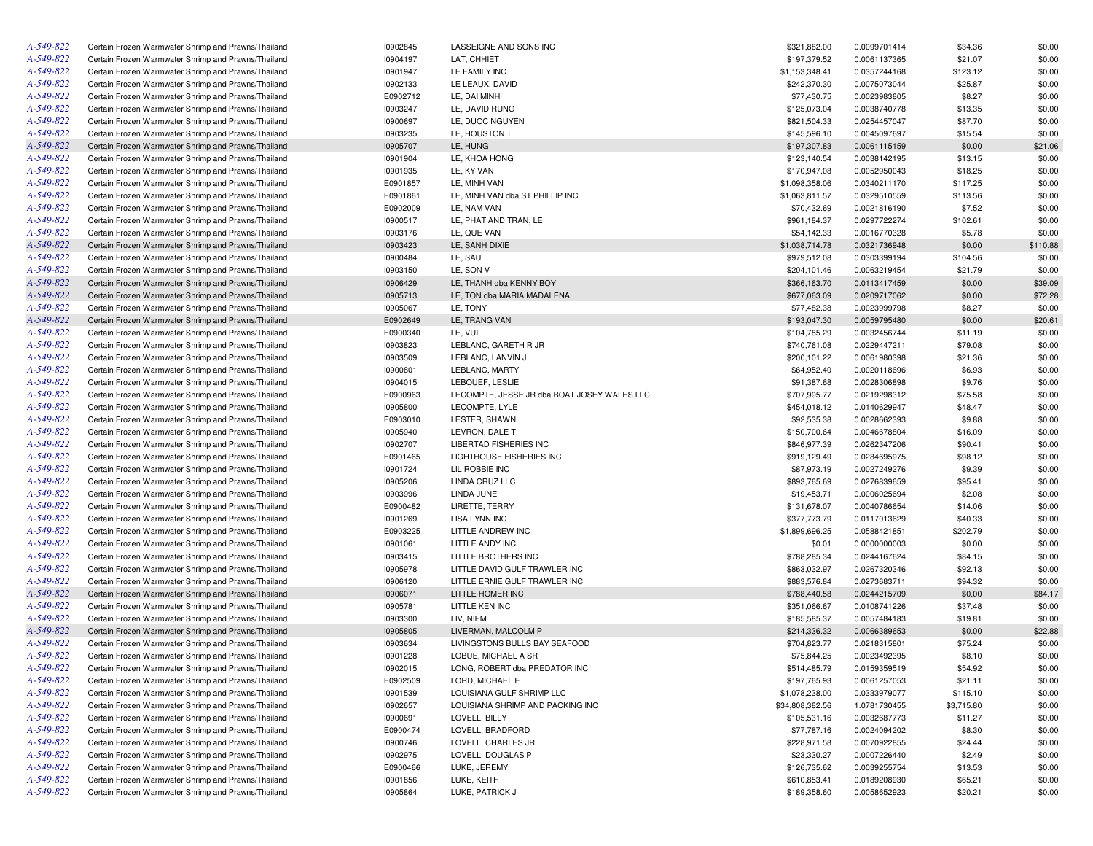| A-549-822 | Certain Frozen Warmwater Shrimp and Prawns/Thailand | 10902845 | LASSEIGNE AND SONS INC                      | \$321,882.00    | 0.0099701414 | \$34.36    | \$0.00   |
|-----------|-----------------------------------------------------|----------|---------------------------------------------|-----------------|--------------|------------|----------|
| A-549-822 | Certain Frozen Warmwater Shrimp and Prawns/Thailand | 10904197 | LAT, CHHIET                                 | \$197,379.52    | 0.0061137365 | \$21.07    | \$0.00   |
| A-549-822 | Certain Frozen Warmwater Shrimp and Prawns/Thailand | 10901947 | LE FAMILY INC                               | \$1,153,348.41  | 0.0357244168 | \$123.12   | \$0.00   |
| A-549-822 | Certain Frozen Warmwater Shrimp and Prawns/Thailand | 10902133 | LE LEAUX, DAVID                             | \$242,370.30    | 0.0075073044 | \$25.87    | \$0.00   |
| A-549-822 | Certain Frozen Warmwater Shrimp and Prawns/Thailand | E0902712 | LE, DAI MINH                                | \$77,430.75     | 0.0023983805 | \$8.27     | \$0.00   |
| A-549-822 | Certain Frozen Warmwater Shrimp and Prawns/Thailand | 10903247 | LE, DAVID RUNG                              | \$125,073.04    | 0.0038740778 | \$13.35    | \$0.00   |
| A-549-822 | Certain Frozen Warmwater Shrimp and Prawns/Thailand | 10900697 | LE, DUOC NGUYEN                             | \$821,504.33    | 0.0254457047 | \$87.70    | \$0.00   |
| A-549-822 | Certain Frozen Warmwater Shrimp and Prawns/Thailand | 10903235 | LE, HOUSTON T                               | \$145,596.10    | 0.0045097697 | \$15.54    | \$0.00   |
| A-549-822 | Certain Frozen Warmwater Shrimp and Prawns/Thailand | 10905707 | LE, HUNG                                    | \$197,307.83    | 0.0061115159 | \$0.00     | \$21.06  |
| A-549-822 | Certain Frozen Warmwater Shrimp and Prawns/Thailand | 10901904 | LE, KHOA HONG                               | \$123,140.54    | 0.0038142195 | \$13.15    | \$0.00   |
| A-549-822 | Certain Frozen Warmwater Shrimp and Prawns/Thailand | 10901935 | LE, KY VAN                                  | \$170,947.08    | 0.0052950043 | \$18.25    | \$0.00   |
| A-549-822 | Certain Frozen Warmwater Shrimp and Prawns/Thailand | E0901857 | LE. MINH VAN                                | \$1,098,358.06  | 0.0340211170 | \$117.25   | \$0.00   |
| A-549-822 | Certain Frozen Warmwater Shrimp and Prawns/Thailand | E0901861 | LE, MINH VAN dba ST PHILLIP INC             | \$1,063,811.57  | 0.0329510559 | \$113.56   | \$0.00   |
| A-549-822 | Certain Frozen Warmwater Shrimp and Prawns/Thailand | E0902009 | LE, NAM VAN                                 | \$70,432.69     | 0.0021816190 | \$7.52     | \$0.00   |
| A-549-822 | Certain Frozen Warmwater Shrimp and Prawns/Thailand | 10900517 | LE, PHAT AND TRAN, LE                       | \$961,184.37    | 0.0297722274 | \$102.61   | \$0.00   |
| A-549-822 | Certain Frozen Warmwater Shrimp and Prawns/Thailand | 10903176 | LE, QUE VAN                                 | \$54,142.33     | 0.0016770328 | \$5.78     | \$0.00   |
| A-549-822 | Certain Frozen Warmwater Shrimp and Prawns/Thailand | 10903423 | LE, SANH DIXIE                              | \$1,038,714.78  | 0.0321736948 | \$0.00     | \$110.88 |
| A-549-822 | Certain Frozen Warmwater Shrimp and Prawns/Thailand | 10900484 | LE, SAU                                     | \$979,512.08    | 0.0303399194 | \$104.56   | \$0.00   |
| A-549-822 | Certain Frozen Warmwater Shrimp and Prawns/Thailand | 10903150 | LE, SON V                                   | \$204,101.46    | 0.0063219454 | \$21.79    | \$0.00   |
| A-549-822 | Certain Frozen Warmwater Shrimp and Prawns/Thailand | 10906429 | LE, THANH dba KENNY BOY                     | \$366,163.70    | 0.0113417459 | \$0.00     | \$39.09  |
| A-549-822 |                                                     |          |                                             |                 |              |            |          |
|           | Certain Frozen Warmwater Shrimp and Prawns/Thailand | 10905713 | LE, TON dba MARIA MADALENA                  | \$677,063.09    | 0.0209717062 | \$0.00     | \$72.28  |
| A-549-822 | Certain Frozen Warmwater Shrimp and Prawns/Thailand | 10905067 | LE, TONY                                    | \$77,482.38     | 0.0023999798 | \$8.27     | \$0.00   |
| A-549-822 | Certain Frozen Warmwater Shrimp and Prawns/Thailand | E0902649 | LE, TRANG VAN                               | \$193,047.30    | 0.0059795480 | \$0.00     | \$20.61  |
| A-549-822 | Certain Frozen Warmwater Shrimp and Prawns/Thailand | E0900340 | LE, VUI                                     | \$104,785.29    | 0.0032456744 | \$11.19    | \$0.00   |
| A-549-822 | Certain Frozen Warmwater Shrimp and Prawns/Thailand | 10903823 | LEBLANC, GARETH R JR                        | \$740,761.08    | 0.0229447211 | \$79.08    | \$0.00   |
| A-549-822 | Certain Frozen Warmwater Shrimp and Prawns/Thailand | 10903509 | LEBLANC, LANVIN J                           | \$200,101.22    | 0.0061980398 | \$21.36    | \$0.00   |
| A-549-822 | Certain Frozen Warmwater Shrimp and Prawns/Thailand | 10900801 | LEBLANC, MARTY                              | \$64,952.40     | 0.0020118696 | \$6.93     | \$0.00   |
| A-549-822 | Certain Frozen Warmwater Shrimp and Prawns/Thailand | 10904015 | LEBOUEF, LESLIE                             | \$91,387.68     | 0.0028306898 | \$9.76     | \$0.00   |
| A-549-822 | Certain Frozen Warmwater Shrimp and Prawns/Thailand | E0900963 | LECOMPTE, JESSE JR dba BOAT JOSEY WALES LLC | \$707,995.77    | 0.0219298312 | \$75.58    | \$0.00   |
| A-549-822 | Certain Frozen Warmwater Shrimp and Prawns/Thailand | 10905800 | LECOMPTE, LYLE                              | \$454,018.12    | 0.0140629947 | \$48.47    | \$0.00   |
| A-549-822 | Certain Frozen Warmwater Shrimp and Prawns/Thailand | E0903010 | LESTER, SHAWN                               | \$92,535.38     | 0.0028662393 | \$9.88     | \$0.00   |
| A-549-822 | Certain Frozen Warmwater Shrimp and Prawns/Thailand | 10905940 | LEVRON, DALE T                              | \$150,700.64    | 0.0046678804 | \$16.09    | \$0.00   |
| A-549-822 | Certain Frozen Warmwater Shrimp and Prawns/Thailand | 10902707 | <b>LIBERTAD FISHERIES INC</b>               | \$846,977.39    | 0.0262347206 | \$90.41    | \$0.00   |
| A-549-822 | Certain Frozen Warmwater Shrimp and Prawns/Thailand | E0901465 | LIGHTHOUSE FISHERIES INC                    | \$919,129.49    | 0.0284695975 | \$98.12    | \$0.00   |
| A-549-822 | Certain Frozen Warmwater Shrimp and Prawns/Thailand | 10901724 | LIL ROBBIE INC                              | \$87,973.19     | 0.0027249276 | \$9.39     | \$0.00   |
| A-549-822 | Certain Frozen Warmwater Shrimp and Prawns/Thailand | 10905206 | LINDA CRUZ LLC                              | \$893,765.69    | 0.0276839659 | \$95.41    | \$0.00   |
| A-549-822 | Certain Frozen Warmwater Shrimp and Prawns/Thailand | 10903996 | LINDA JUNE                                  | \$19,453.71     | 0.0006025694 | \$2.08     | \$0.00   |
| A-549-822 | Certain Frozen Warmwater Shrimp and Prawns/Thailand | E0900482 | LIRETTE, TERRY                              | \$131,678.07    | 0.0040786654 | \$14.06    | \$0.00   |
| A-549-822 | Certain Frozen Warmwater Shrimp and Prawns/Thailand | 10901269 | <b>LISA LYNN INC</b>                        | \$377,773.79    | 0.0117013629 | \$40.33    | \$0.00   |
| A-549-822 | Certain Frozen Warmwater Shrimp and Prawns/Thailand | E0903225 | LITTLE ANDREW INC                           | \$1,899,696.25  | 0.0588421851 | \$202.79   | \$0.00   |
| A-549-822 | Certain Frozen Warmwater Shrimp and Prawns/Thailand | 10901061 | LITTLE ANDY INC                             | \$0.01          | 0.0000000003 | \$0.00     | \$0.00   |
| A-549-822 | Certain Frozen Warmwater Shrimp and Prawns/Thailand | 10903415 | LITTLE BROTHERS INC                         | \$788,285.34    | 0.0244167624 | \$84.15    | \$0.00   |
| A-549-822 | Certain Frozen Warmwater Shrimp and Prawns/Thailand | 10905978 | LITTLE DAVID GULF TRAWLER INC               | \$863,032.97    | 0.0267320346 | \$92.13    | \$0.00   |
| A-549-822 | Certain Frozen Warmwater Shrimp and Prawns/Thailand | 10906120 | LITTLE ERNIE GULF TRAWLER INC               | \$883,576.84    | 0.0273683711 | \$94.32    | \$0.00   |
| A-549-822 | Certain Frozen Warmwater Shrimp and Prawns/Thailand | 10906071 | LITTLE HOMER INC                            | \$788,440.58    | 0.0244215709 | \$0.00     | \$84.17  |
| A-549-822 | Certain Frozen Warmwater Shrimp and Prawns/Thailand | 10905781 | LITTLE KEN INC                              | \$351,066.67    | 0.0108741226 | \$37.48    | \$0.00   |
| A-549-822 | Certain Frozen Warmwater Shrimp and Prawns/Thailand | 10903300 | LIV, NIEM                                   | \$185,585.37    | 0.0057484183 | \$19.81    | \$0.00   |
| A-549-822 | Certain Frozen Warmwater Shrimp and Prawns/Thailand | 10905805 | LIVERMAN, MALCOLM P                         | \$214,336.32    | 0.0066389653 | \$0.00     | \$22.88  |
| A-549-822 | Certain Frozen Warmwater Shrimp and Prawns/Thailand | 10903634 | LIVINGSTONS BULLS BAY SEAFOOD               | \$704,823.77    | 0.0218315801 | \$75.24    | \$0.00   |
| A-549-822 | Certain Frozen Warmwater Shrimp and Prawns/Thailand | 10901228 | LOBUE, MICHAEL A SR                         | \$75,844.25     | 0.0023492395 | \$8.10     | \$0.00   |
| A-549-822 | Certain Frozen Warmwater Shrimp and Prawns/Thailand | 10902015 | LONG, ROBERT dba PREDATOR INC               | \$514,485.79    | 0.0159359519 | \$54.92    | \$0.00   |
| A-549-822 | Certain Frozen Warmwater Shrimp and Prawns/Thailand | E0902509 | LORD, MICHAEL E                             | \$197,765.93    | 0.0061257053 | \$21.11    | \$0.00   |
| A-549-822 | Certain Frozen Warmwater Shrimp and Prawns/Thailand | 10901539 | LOUISIANA GULF SHRIMP LLC                   | \$1,078,238.00  | 0.0333979077 | \$115.10   | \$0.00   |
| A-549-822 | Certain Frozen Warmwater Shrimp and Prawns/Thailand | 10902657 | LOUISIANA SHRIMP AND PACKING INC            | \$34,808,382.56 | 1.0781730455 | \$3,715.80 | \$0.00   |
| A-549-822 | Certain Frozen Warmwater Shrimp and Prawns/Thailand | 10900691 | LOVELL, BILLY                               | \$105,531.16    | 0.0032687773 | \$11.27    | \$0.00   |
| A-549-822 | Certain Frozen Warmwater Shrimp and Prawns/Thailand | E0900474 | LOVELL, BRADFORD                            | \$77,787.16     | 0.0024094202 | \$8.30     | \$0.00   |
| A-549-822 | Certain Frozen Warmwater Shrimp and Prawns/Thailand | 10900746 | LOVELL, CHARLES JR                          | \$228,971.58    | 0.0070922855 | \$24.44    | \$0.00   |
| A-549-822 | Certain Frozen Warmwater Shrimp and Prawns/Thailand | 10902975 | LOVELL, DOUGLAS P                           | \$23,330.27     | 0.0007226440 | \$2.49     | \$0.00   |
| A-549-822 | Certain Frozen Warmwater Shrimp and Prawns/Thailand | E0900466 | LUKE, JEREMY                                | \$126,735.62    |              | \$13.53    |          |
| A-549-822 | Certain Frozen Warmwater Shrimp and Prawns/Thailand |          |                                             |                 | 0.0039255754 |            | \$0.00   |
| A-549-822 |                                                     | 10901856 | LUKE, KEITH                                 | \$610,853.41    | 0.0189208930 | \$65.21    | \$0.00   |
|           | Certain Frozen Warmwater Shrimp and Prawns/Thailand | 10905864 | LUKE, PATRICK J                             | \$189,358.60    | 0.0058652923 | \$20.21    | \$0.00   |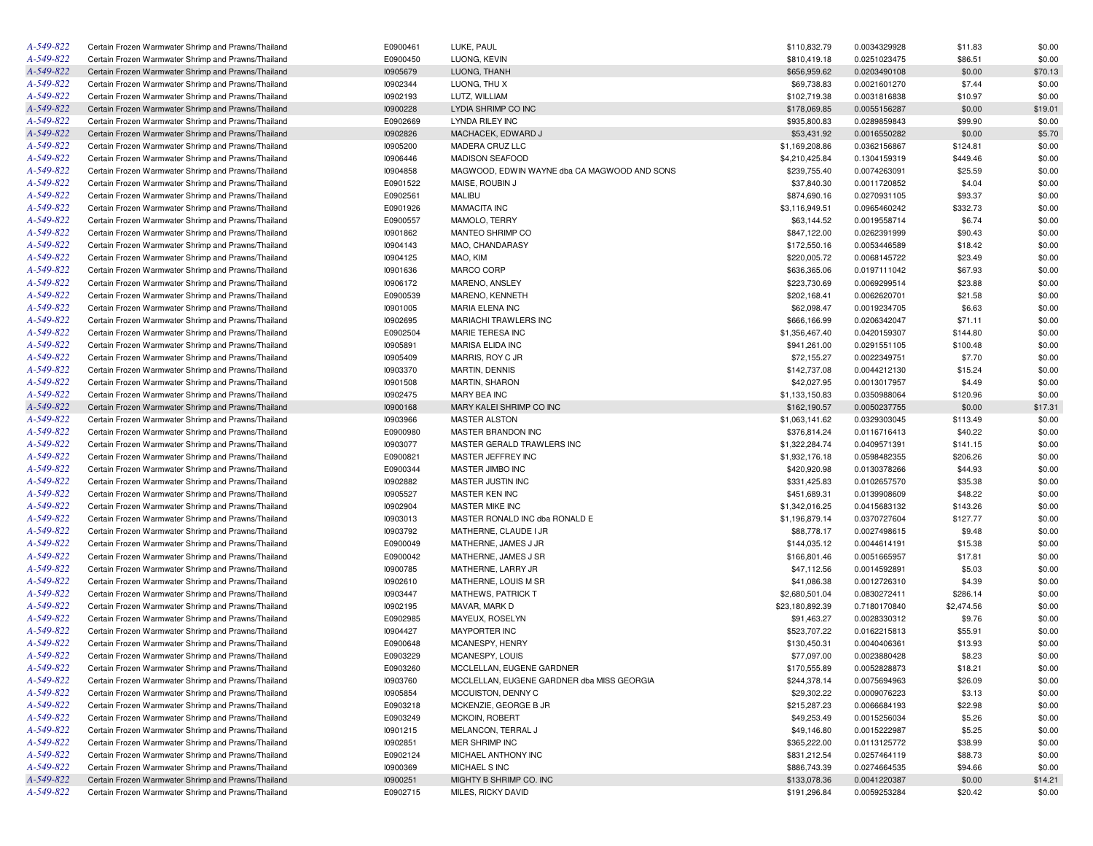| A-549-822 | Certain Frozen Warmwater Shrimp and Prawns/Thailand | E0900461 | LUKE, PAUL                                   | \$110,832.79    | 0.0034329928                 | \$11.83    | \$0.00  |
|-----------|-----------------------------------------------------|----------|----------------------------------------------|-----------------|------------------------------|------------|---------|
| A-549-822 | Certain Frozen Warmwater Shrimp and Prawns/Thailand | E0900450 | LUONG, KEVIN                                 | \$810,419.18    | 0.0251023475                 | \$86.51    | \$0.00  |
| A-549-822 | Certain Frozen Warmwater Shrimp and Prawns/Thailand | 10905679 | LUONG, THANH                                 | \$656,959.62    | 0.0203490108                 | \$0.00     | \$70.13 |
| A-549-822 | Certain Frozen Warmwater Shrimp and Prawns/Thailand | 10902344 | LUONG, THU X                                 | \$69,738.83     | 0.0021601270                 | \$7.44     | \$0.00  |
| A-549-822 | Certain Frozen Warmwater Shrimp and Prawns/Thailand | 10902193 | LUTZ, WILLIAM                                | \$102,719.38    | 0.0031816838                 | \$10.97    | \$0.00  |
| A-549-822 | Certain Frozen Warmwater Shrimp and Prawns/Thailand | 10900228 | LYDIA SHRIMP CO INC                          | \$178,069.85    | 0.0055156287                 | \$0.00     | \$19.01 |
| A-549-822 | Certain Frozen Warmwater Shrimp and Prawns/Thailand | E0902669 | <b>LYNDA RILEY INC</b>                       | \$935,800.83    | 0.0289859843                 | \$99.90    | \$0.00  |
| A-549-822 | Certain Frozen Warmwater Shrimp and Prawns/Thailand | 10902826 | MACHACEK, EDWARD J                           | \$53,431.92     | 0.0016550282                 | \$0.00     | \$5.70  |
| A-549-822 | Certain Frozen Warmwater Shrimp and Prawns/Thailand | 10905200 | MADERA CRUZ LLC                              | \$1,169,208.86  | 0.0362156867                 | \$124.81   | \$0.00  |
| A-549-822 | Certain Frozen Warmwater Shrimp and Prawns/Thailand | 10906446 | <b>MADISON SEAFOOD</b>                       | \$4,210,425.84  | 0.1304159319                 | \$449.46   | \$0.00  |
| A-549-822 | Certain Frozen Warmwater Shrimp and Prawns/Thailand | 10904858 | MAGWOOD, EDWIN WAYNE dba CA MAGWOOD AND SONS | \$239,755.40    | 0.0074263091                 | \$25.59    | \$0.00  |
| A-549-822 | Certain Frozen Warmwater Shrimp and Prawns/Thailand | E0901522 | MAISE, ROUBIN J                              | \$37,840.30     | 0.0011720852                 | \$4.04     | \$0.00  |
| A-549-822 | Certain Frozen Warmwater Shrimp and Prawns/Thailand | E0902561 | MALIBU                                       | \$874,690.16    | 0.0270931105                 | \$93.37    | \$0.00  |
| A-549-822 | Certain Frozen Warmwater Shrimp and Prawns/Thailand | E0901926 | <b>MAMACITA INC</b>                          | \$3,116,949.51  | 0.0965460242                 | \$332.73   | \$0.00  |
| A-549-822 | Certain Frozen Warmwater Shrimp and Prawns/Thailand | E0900557 | MAMOLO, TERRY                                | \$63,144.52     | 0.0019558714                 | \$6.74     | \$0.00  |
| A-549-822 | Certain Frozen Warmwater Shrimp and Prawns/Thailand | 10901862 | MANTEO SHRIMP CO                             | \$847,122.00    | 0.0262391999                 | \$90.43    | \$0.00  |
| A-549-822 | Certain Frozen Warmwater Shrimp and Prawns/Thailand | 10904143 | MAO, CHANDARASY                              | \$172,550.16    | 0.0053446589                 | \$18.42    | \$0.00  |
| A-549-822 | Certain Frozen Warmwater Shrimp and Prawns/Thailand | 10904125 | MAO, KIM                                     | \$220,005.72    | 0.0068145722                 | \$23.49    | \$0.00  |
| A-549-822 | Certain Frozen Warmwater Shrimp and Prawns/Thailand | 10901636 | MARCO CORP                                   | \$636,365.06    | 0.0197111042                 | \$67.93    | \$0.00  |
| A-549-822 | Certain Frozen Warmwater Shrimp and Prawns/Thailand | 10906172 | MARENO, ANSLEY                               | \$223,730.69    | 0.0069299514                 | \$23.88    | \$0.00  |
| A-549-822 | Certain Frozen Warmwater Shrimp and Prawns/Thailand | E0900539 | MARENO, KENNETH                              | \$202,168.41    | 0.0062620701                 | \$21.58    | \$0.00  |
| A-549-822 | Certain Frozen Warmwater Shrimp and Prawns/Thailand | 10901005 | MARIA ELENA INC                              | \$62,098.47     | 0.0019234705                 | \$6.63     | \$0.00  |
| A-549-822 | Certain Frozen Warmwater Shrimp and Prawns/Thailand | 10902695 | MARIACHI TRAWLERS INC                        | \$666,166.99    | 0.0206342047                 | \$71.11    | \$0.00  |
| A-549-822 | Certain Frozen Warmwater Shrimp and Prawns/Thailand | E0902504 | MARIE TERESA INC                             | \$1,356,467.40  | 0.0420159307                 | \$144.80   | \$0.00  |
| A-549-822 | Certain Frozen Warmwater Shrimp and Prawns/Thailand | 10905891 | <b>MARISA ELIDA INC</b>                      | \$941,261.00    | 0.0291551105                 | \$100.48   | \$0.00  |
| A-549-822 | Certain Frozen Warmwater Shrimp and Prawns/Thailand | 10905409 | MARRIS, ROY C JR                             | \$72,155.27     | 0.0022349751                 | \$7.70     | \$0.00  |
| A-549-822 | Certain Frozen Warmwater Shrimp and Prawns/Thailand | 10903370 | <b>MARTIN, DENNIS</b>                        | \$142,737.08    | 0.0044212130                 | \$15.24    | \$0.00  |
| A-549-822 | Certain Frozen Warmwater Shrimp and Prawns/Thailand | 10901508 | <b>MARTIN, SHARON</b>                        | \$42,027.95     | 0.0013017957                 | \$4.49     | \$0.00  |
| A-549-822 | Certain Frozen Warmwater Shrimp and Prawns/Thailand | 10902475 | MARY BEA INC                                 | \$1,133,150.83  | 0.0350988064                 | \$120.96   | \$0.00  |
| A-549-822 | Certain Frozen Warmwater Shrimp and Prawns/Thailand | 10900168 | MARY KALEI SHRIMP CO INC                     | \$162,190.57    | 0.0050237755                 | \$0.00     | \$17.31 |
| A-549-822 | Certain Frozen Warmwater Shrimp and Prawns/Thailand | 10903966 | <b>MASTER ALSTON</b>                         | \$1,063,141.62  | 0.0329303045                 | \$113.49   | \$0.00  |
| A-549-822 | Certain Frozen Warmwater Shrimp and Prawns/Thailand | E0900980 | MASTER BRANDON INC                           | \$376.814.24    | 0.0116716413                 | \$40.22    | \$0.00  |
| A-549-822 | Certain Frozen Warmwater Shrimp and Prawns/Thailand | 10903077 | MASTER GERALD TRAWLERS INC                   | \$1,322,284.74  | 0.0409571391                 | \$141.15   | \$0.00  |
| A-549-822 | Certain Frozen Warmwater Shrimp and Prawns/Thailand | E0900821 | MASTER JEFFREY INC                           | \$1,932,176.18  | 0.0598482355                 | \$206.26   | \$0.00  |
| A-549-822 | Certain Frozen Warmwater Shrimp and Prawns/Thailand | E0900344 | MASTER JIMBO INC                             | \$420,920.98    | 0.0130378266                 | \$44.93    | \$0.00  |
| A-549-822 | Certain Frozen Warmwater Shrimp and Prawns/Thailand | 10902882 | MASTER JUSTIN INC                            | \$331,425.83    | 0.0102657570                 | \$35.38    | \$0.00  |
| A-549-822 | Certain Frozen Warmwater Shrimp and Prawns/Thailand | 10905527 | MASTER KEN INC                               | \$451,689.31    |                              | \$48.22    | \$0.00  |
| A-549-822 | Certain Frozen Warmwater Shrimp and Prawns/Thailand | 10902904 | MASTER MIKE INC                              | \$1,342,016.25  | 0.0139908609<br>0.0415683132 |            |         |
| A-549-822 |                                                     | 10903013 |                                              |                 |                              | \$143.26   | \$0.00  |
| A-549-822 | Certain Frozen Warmwater Shrimp and Prawns/Thailand |          | MASTER RONALD INC dba RONALD E               | \$1,196,879.14  | 0.0370727604                 | \$127.77   | \$0.00  |
| A-549-822 | Certain Frozen Warmwater Shrimp and Prawns/Thailand | 10903792 | MATHERNE, CLAUDE I JR                        | \$88,778.17     | 0.0027498615                 | \$9.48     | \$0.00  |
|           | Certain Frozen Warmwater Shrimp and Prawns/Thailand | E0900049 | MATHERNE, JAMES J JR                         | \$144,035.12    | 0.0044614191                 | \$15.38    | \$0.00  |
| A-549-822 | Certain Frozen Warmwater Shrimp and Prawns/Thailand | E0900042 | MATHERNE, JAMES J SR                         | \$166,801.46    | 0.0051665957                 | \$17.81    | \$0.00  |
| A-549-822 | Certain Frozen Warmwater Shrimp and Prawns/Thailand | 10900785 | MATHERNE, LARRY JR                           | \$47,112.56     | 0.0014592891                 | \$5.03     | \$0.00  |
| A-549-822 | Certain Frozen Warmwater Shrimp and Prawns/Thailand | 10902610 | MATHERNE, LOUIS M SR                         | \$41,086.38     | 0.0012726310                 | \$4.39     | \$0.00  |
| A-549-822 | Certain Frozen Warmwater Shrimp and Prawns/Thailand | 10903447 | <b>MATHEWS, PATRICK T</b>                    | \$2,680,501.04  | 0.0830272411                 | \$286.14   | \$0.00  |
| A-549-822 | Certain Frozen Warmwater Shrimp and Prawns/Thailand | 10902195 | MAVAR, MARK D                                | \$23,180,892.39 | 0.7180170840                 | \$2,474.56 | \$0.00  |
| A-549-822 | Certain Frozen Warmwater Shrimp and Prawns/Thailand | E0902985 | MAYEUX, ROSELYN                              | \$91,463.27     | 0.0028330312                 | \$9.76     | \$0.00  |
| A-549-822 | Certain Frozen Warmwater Shrimp and Prawns/Thailand | 10904427 | <b>MAYPORTER INC</b>                         | \$523,707.22    | 0.0162215813                 | \$55.91    | \$0.00  |
| A-549-822 | Certain Frozen Warmwater Shrimp and Prawns/Thailand | E0900648 | MCANESPY, HENRY                              | \$130,450.31    | 0.0040406361                 | \$13.93    | \$0.00  |
| A-549-822 | Certain Frozen Warmwater Shrimp and Prawns/Thailand | E0903229 | MCANESPY, LOUIS                              | \$77,097.00     | 0.0023880428                 | \$8.23     | \$0.00  |
| A-549-822 | Certain Frozen Warmwater Shrimp and Prawns/Thailand | E0903260 | MCCLELLAN, EUGENE GARDNER                    | \$170,555.89    | 0.0052828873                 | \$18.21    | \$0.00  |
| A-549-822 | Certain Frozen Warmwater Shrimp and Prawns/Thailand | 10903760 | MCCLELLAN, EUGENE GARDNER dba MISS GEORGIA   | \$244,378.14    | 0.0075694963                 | \$26.09    | \$0.00  |
| A-549-822 | Certain Frozen Warmwater Shrimp and Prawns/Thailand | 10905854 | MCCUISTON, DENNY C                           | \$29,302.22     | 0.0009076223                 | \$3.13     | \$0.00  |
| A-549-822 | Certain Frozen Warmwater Shrimp and Prawns/Thailand | E0903218 | MCKENZIE, GEORGE B JR                        | \$215,287.23    | 0.0066684193                 | \$22.98    | \$0.00  |
| A-549-822 | Certain Frozen Warmwater Shrimp and Prawns/Thailand | E0903249 | <b>MCKOIN, ROBERT</b>                        | \$49,253.49     | 0.0015256034                 | \$5.26     | \$0.00  |
| A-549-822 | Certain Frozen Warmwater Shrimp and Prawns/Thailand | 10901215 | MELANCON, TERRAL J                           | \$49,146.80     | 0.0015222987                 | \$5.25     | \$0.00  |
| A-549-822 | Certain Frozen Warmwater Shrimp and Prawns/Thailand | 10902851 | MER SHRIMP INC                               | \$365,222.00    | 0.0113125772                 | \$38.99    | \$0.00  |
| A-549-822 | Certain Frozen Warmwater Shrimp and Prawns/Thailand | E0902124 | MICHAEL ANTHONY INC                          | \$831,212.54    | 0.0257464119                 | \$88.73    | \$0.00  |
| A-549-822 | Certain Frozen Warmwater Shrimp and Prawns/Thailand | 10900369 | MICHAEL S INC                                | \$886,743.39    | 0.0274664535                 | \$94.66    | \$0.00  |
| A-549-822 | Certain Frozen Warmwater Shrimp and Prawns/Thailand | 10900251 | MIGHTY B SHRIMP CO. INC                      | \$133,078.36    | 0.0041220387                 | \$0.00     | \$14.21 |
| A-549-822 | Certain Frozen Warmwater Shrimp and Prawns/Thailand | E0902715 | MILES, RICKY DAVID                           | \$191,296.84    | 0.0059253284                 | \$20.42    | \$0.00  |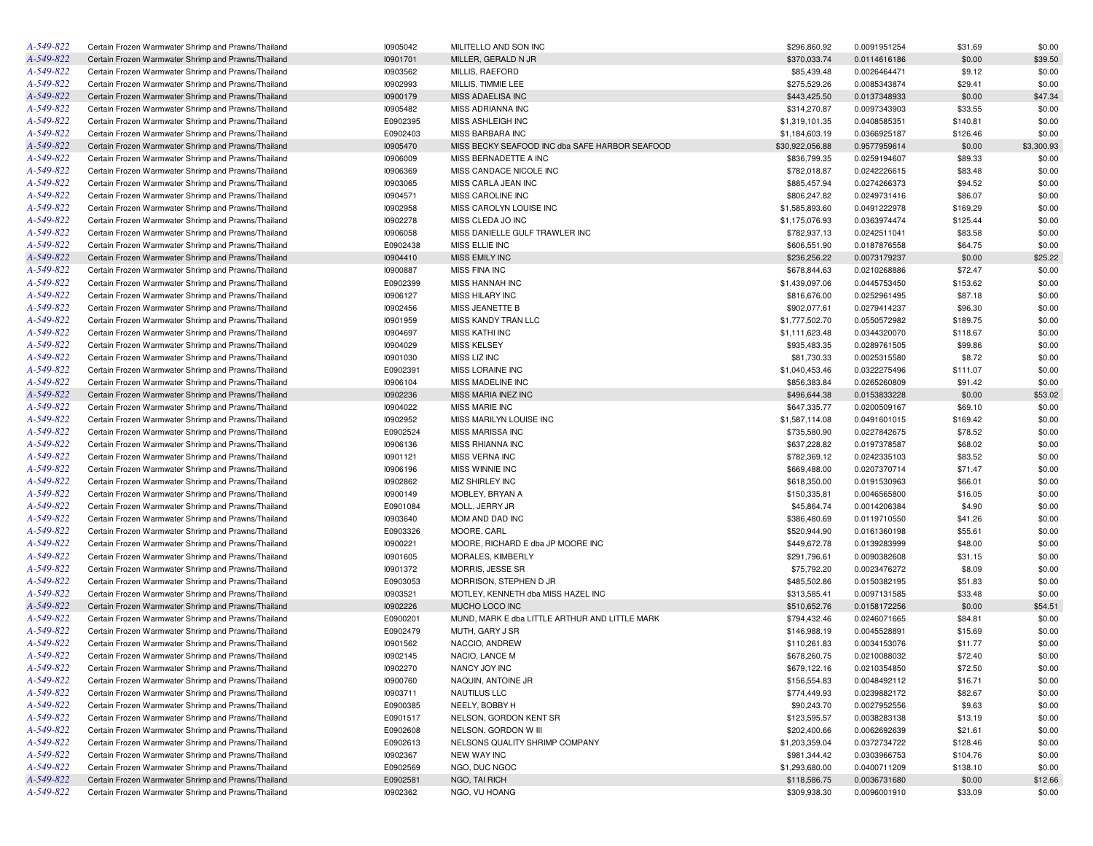| A-549-822 | Certain Frozen Warmwater Shrimp and Prawns/Thailand | 10905042 | MILITELLO AND SON INC                          | \$296,860.92    | 0.0091951254 | \$31.69  | \$0.00     |
|-----------|-----------------------------------------------------|----------|------------------------------------------------|-----------------|--------------|----------|------------|
| A-549-822 | Certain Frozen Warmwater Shrimp and Prawns/Thailand | 10901701 | MILLER, GERALD N JR                            | \$370,033.74    | 0.0114616186 | \$0.00   | \$39.50    |
| A-549-822 | Certain Frozen Warmwater Shrimp and Prawns/Thailand | 10903562 | MILLIS, RAEFORD                                | \$85,439.48     | 0.0026464471 | \$9.12   | \$0.00     |
| A-549-822 | Certain Frozen Warmwater Shrimp and Prawns/Thailand | 10902993 | MILLIS, TIMMIE LEE                             | \$275,529.26    | 0.0085343874 | \$29.41  | \$0.00     |
| A-549-822 | Certain Frozen Warmwater Shrimp and Prawns/Thailand | 10900179 | MISS ADAELISA INC                              | \$443,425.50    | 0.0137348933 | \$0.00   | \$47.34    |
| A-549-822 | Certain Frozen Warmwater Shrimp and Prawns/Thailand | 10905482 | MISS ADRIANNA INC                              | \$314,270.87    | 0.0097343903 | \$33.55  | \$0.00     |
| A-549-822 | Certain Frozen Warmwater Shrimp and Prawns/Thailand | E0902395 | MISS ASHLEIGH INC                              | \$1,319,101.35  | 0.0408585351 | \$140.81 | \$0.00     |
| A-549-822 | Certain Frozen Warmwater Shrimp and Prawns/Thailand | E0902403 | MISS BARBARA INC                               | \$1,184,603.19  | 0.0366925187 | \$126.46 | \$0.00     |
| A-549-822 | Certain Frozen Warmwater Shrimp and Prawns/Thailand | 10905470 | MISS BECKY SEAFOOD INC dba SAFE HARBOR SEAFOOD | \$30,922,056.88 | 0.9577959614 | \$0.00   | \$3,300.93 |
| A-549-822 | Certain Frozen Warmwater Shrimp and Prawns/Thailand | 10906009 | MISS BERNADETTE A INC                          | \$836,799.35    | 0.0259194607 | \$89.33  | \$0.00     |
| A-549-822 | Certain Frozen Warmwater Shrimp and Prawns/Thailand | 10906369 | MISS CANDACE NICOLE INC                        | \$782,018.87    | 0.0242226615 | \$83.48  | \$0.00     |
| A-549-822 | Certain Frozen Warmwater Shrimp and Prawns/Thailand | 10903065 | MISS CARLA JEAN INC                            | \$885,457.94    | 0.0274266373 | \$94.52  | \$0.00     |
| A-549-822 | Certain Frozen Warmwater Shrimp and Prawns/Thailand | 10904571 | MISS CAROLINE INC                              | \$806,247.82    | 0.0249731416 | \$86.07  | \$0.00     |
| A-549-822 | Certain Frozen Warmwater Shrimp and Prawns/Thailand | 10902958 | MISS CAROLYN LOUISE INC                        | \$1,585,893.60  | 0.0491222978 | \$169.29 | \$0.00     |
| A-549-822 | Certain Frozen Warmwater Shrimp and Prawns/Thailand | 10902278 | MISS CLEDA JO INC                              | \$1,175,076.93  | 0.0363974474 | \$125.44 | \$0.00     |
| A-549-822 |                                                     | 10906058 | MISS DANIELLE GULF TRAWLER INC                 |                 |              | \$83.58  | \$0.00     |
| A-549-822 | Certain Frozen Warmwater Shrimp and Prawns/Thailand |          | MISS ELLIE INC                                 | \$782,937.13    | 0.0242511041 |          |            |
|           | Certain Frozen Warmwater Shrimp and Prawns/Thailand | E0902438 |                                                | \$606,551.90    | 0.0187876558 | \$64.75  | \$0.00     |
| A-549-822 | Certain Frozen Warmwater Shrimp and Prawns/Thailand | 10904410 | MISS EMILY INC                                 | \$236,256.22    | 0.0073179237 | \$0.00   | \$25.22    |
| A-549-822 | Certain Frozen Warmwater Shrimp and Prawns/Thailand | 10900887 | MISS FINA INC                                  | \$678,844.63    | 0.0210268886 | \$72.47  | \$0.00     |
| A-549-822 | Certain Frozen Warmwater Shrimp and Prawns/Thailand | E0902399 | <b>MISS HANNAH INC</b>                         | \$1,439,097.06  | 0.0445753450 | \$153.62 | \$0.00     |
| A-549-822 | Certain Frozen Warmwater Shrimp and Prawns/Thailand | 10906127 | <b>MISS HILARY INC</b>                         | \$816,676.00    | 0.0252961495 | \$87.18  | \$0.00     |
| A-549-822 | Certain Frozen Warmwater Shrimp and Prawns/Thailand | 10902456 | MISS JEANETTE B                                | \$902,077.61    | 0.0279414237 | \$96.30  | \$0.00     |
| A-549-822 | Certain Frozen Warmwater Shrimp and Prawns/Thailand | 10901959 | MISS KANDY TRAN LLC                            | \$1,777,502.70  | 0.0550572982 | \$189.75 | \$0.00     |
| A-549-822 | Certain Frozen Warmwater Shrimp and Prawns/Thailand | 10904697 | <b>MISS KATHI INC</b>                          | \$1,111,623.48  | 0.0344320070 | \$118.67 | \$0.00     |
| A-549-822 | Certain Frozen Warmwater Shrimp and Prawns/Thailand | 10904029 | <b>MISS KELSEY</b>                             | \$935,483.35    | 0.0289761505 | \$99.86  | \$0.00     |
| A-549-822 | Certain Frozen Warmwater Shrimp and Prawns/Thailand | 10901030 | MISS LIZ INC                                   | \$81,730.33     | 0.0025315580 | \$8.72   | \$0.00     |
| A-549-822 | Certain Frozen Warmwater Shrimp and Prawns/Thailand | E0902391 | <b>MISS LORAINE INC</b>                        | \$1,040,453.46  | 0.0322275496 | \$111.07 | \$0.00     |
| A-549-822 | Certain Frozen Warmwater Shrimp and Prawns/Thailand | 10906104 | MISS MADELINE INC                              | \$856,383.84    | 0.0265260809 | \$91.42  | \$0.00     |
| A-549-822 | Certain Frozen Warmwater Shrimp and Prawns/Thailand | 10902236 | MISS MARIA INEZ INC                            | \$496,644.38    | 0.0153833228 | \$0.00   | \$53.02    |
| A-549-822 | Certain Frozen Warmwater Shrimp and Prawns/Thailand | 10904022 | <b>MISS MARIE INC</b>                          | \$647,335.77    | 0.0200509167 | \$69.10  | \$0.00     |
| A-549-822 | Certain Frozen Warmwater Shrimp and Prawns/Thailand | 10902952 | MISS MARILYN LOUISE INC                        | \$1,587,114.08  | 0.0491601015 | \$169.42 | \$0.00     |
| A-549-822 | Certain Frozen Warmwater Shrimp and Prawns/Thailand | E0902524 | MISS MARISSA INC                               | \$735,580.90    | 0.0227842675 | \$78.52  | \$0.00     |
| A-549-822 | Certain Frozen Warmwater Shrimp and Prawns/Thailand | 10906136 | MISS RHIANNA INC                               | \$637,228.82    | 0.0197378587 | \$68.02  | \$0.00     |
| A-549-822 | Certain Frozen Warmwater Shrimp and Prawns/Thailand | 10901121 | MISS VERNA INC                                 | \$782,369.12    | 0.0242335103 | \$83.52  | \$0.00     |
| A-549-822 | Certain Frozen Warmwater Shrimp and Prawns/Thailand | 10906196 | MISS WINNIE INC                                | \$669,488.00    | 0.0207370714 | \$71.47  | \$0.00     |
| A-549-822 | Certain Frozen Warmwater Shrimp and Prawns/Thailand | 10902862 | MIZ SHIRLEY INC                                | \$618,350.00    | 0.0191530963 | \$66.01  | \$0.00     |
| A-549-822 | Certain Frozen Warmwater Shrimp and Prawns/Thailand | 10900149 | MOBLEY, BRYAN A                                | \$150,335.81    | 0.0046565800 | \$16.05  | \$0.00     |
| A-549-822 | Certain Frozen Warmwater Shrimp and Prawns/Thailand | E0901084 | MOLL, JERRY JR                                 | \$45,864.74     | 0.0014206384 | \$4.90   | \$0.00     |
| A-549-822 | Certain Frozen Warmwater Shrimp and Prawns/Thailand | 10903640 | MOM AND DAD INC                                | \$386,480.69    | 0.0119710550 | \$41.26  | \$0.00     |
| A-549-822 | Certain Frozen Warmwater Shrimp and Prawns/Thailand | E0903326 | MOORE, CARL                                    | \$520,944.90    | 0.0161360198 | \$55.61  | \$0.00     |
| A-549-822 | Certain Frozen Warmwater Shrimp and Prawns/Thailand | 10900221 | MOORE, RICHARD E dba JP MOORE INC              | \$449,672.78    | 0.0139283999 | \$48.00  | \$0.00     |
| A-549-822 | Certain Frozen Warmwater Shrimp and Prawns/Thailand | 10901605 | MORALES, KIMBERLY                              | \$291,796.61    | 0.0090382608 | \$31.15  | \$0.00     |
| A-549-822 | Certain Frozen Warmwater Shrimp and Prawns/Thailand | 10901372 | MORRIS, JESSE SR                               | \$75,792.20     | 0.0023476272 | \$8.09   | \$0.00     |
| A-549-822 | Certain Frozen Warmwater Shrimp and Prawns/Thailand | E0903053 | MORRISON, STEPHEN D JR                         | \$485,502.86    | 0.0150382195 | \$51.83  | \$0.00     |
| A-549-822 | Certain Frozen Warmwater Shrimp and Prawns/Thailand |          |                                                |                 |              |          |            |
|           |                                                     | 10903521 | MOTLEY, KENNETH dba MISS HAZEL INC             | \$313,585.41    | 0.0097131585 | \$33.48  | \$0.00     |
| A-549-822 | Certain Frozen Warmwater Shrimp and Prawns/Thailand | 10902226 | MUCHO LOCO INC                                 | \$510,652.76    | 0.0158172256 | \$0.00   | \$54.51    |
| A-549-822 | Certain Frozen Warmwater Shrimp and Prawns/Thailand | E0900201 | MUND, MARK E dba LITTLE ARTHUR AND LITTLE MARK | \$794,432.46    | 0.0246071665 | \$84.81  | \$0.00     |
| A-549-822 | Certain Frozen Warmwater Shrimp and Prawns/Thailand | E0902479 | MUTH, GARY J SR                                | \$146,988.19    | 0.0045528891 | \$15.69  | \$0.00     |
| A-549-822 | Certain Frozen Warmwater Shrimp and Prawns/Thailand | 10901562 | NACCIO, ANDREW                                 | \$110,261.83    | 0.0034153076 | \$11.77  | \$0.00     |
| A-549-822 | Certain Frozen Warmwater Shrimp and Prawns/Thailand | 10902145 | NACIO, LANCE M                                 | \$678,260.75    | 0.0210088032 | \$72.40  | \$0.00     |
| A-549-822 | Certain Frozen Warmwater Shrimp and Prawns/Thailand | 10902270 | NANCY JOY INC                                  | \$679,122.16    | 0.0210354850 | \$72.50  | \$0.00     |
| A-549-822 | Certain Frozen Warmwater Shrimp and Prawns/Thailand | 10900760 | NAQUIN, ANTOINE JR                             | \$156,554.83    | 0.0048492112 | \$16.71  | \$0.00     |
| A-549-822 | Certain Frozen Warmwater Shrimp and Prawns/Thailand | 10903711 | NAUTILUS LLC                                   | \$774,449.93    | 0.0239882172 | \$82.67  | \$0.00     |
| A-549-822 | Certain Frozen Warmwater Shrimp and Prawns/Thailand | E0900385 | NEELY, BOBBY H                                 | \$90,243.70     | 0.0027952556 | \$9.63   | \$0.00     |
| A-549-822 | Certain Frozen Warmwater Shrimp and Prawns/Thailand | E0901517 | NELSON, GORDON KENT SR                         | \$123,595.57    | 0.0038283138 | \$13.19  | \$0.00     |
| A-549-822 | Certain Frozen Warmwater Shrimp and Prawns/Thailand | E0902608 | NELSON, GORDON W III                           | \$202,400.66    | 0.0062692639 | \$21.61  | \$0.00     |
| A-549-822 | Certain Frozen Warmwater Shrimp and Prawns/Thailand | E0902613 | NELSONS QUALITY SHRIMP COMPANY                 | \$1,203,359.04  | 0.0372734722 | \$128.46 | \$0.00     |
| A-549-822 | Certain Frozen Warmwater Shrimp and Prawns/Thailand | 10902367 | NEW WAY INC                                    | \$981,344.42    | 0.0303966753 | \$104.76 | \$0.00     |
| A-549-822 | Certain Frozen Warmwater Shrimp and Prawns/Thailand | E0902569 | NGO, DUC NGOC                                  | \$1,293,680.00  | 0.0400711209 | \$138.10 | \$0.00     |
| A-549-822 | Certain Frozen Warmwater Shrimp and Prawns/Thailand | E0902581 | NGO, TAI RICH                                  | \$118,586.75    | 0.0036731680 | \$0.00   | \$12.66    |
| A-549-822 | Certain Frozen Warmwater Shrimp and Prawns/Thailand | 10902362 | NGO, VU HOANG                                  | \$309,938.30    | 0.0096001910 | \$33.09  | \$0.00     |
|           |                                                     |          |                                                |                 |              |          |            |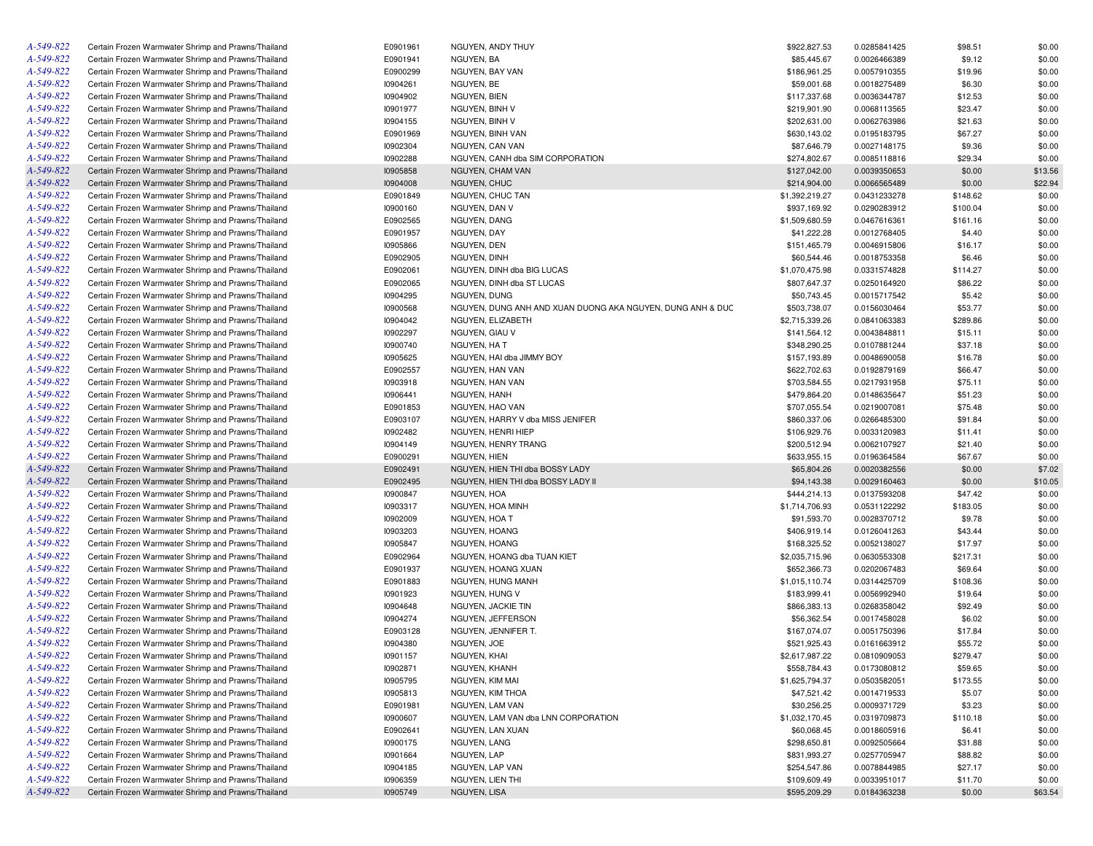| A-549-822 | Certain Frozen Warmwater Shrimp and Prawns/Thailand | E0901961 | NGUYEN, ANDY THUY                                          | \$922,827.53   | 0.0285841425                 | \$98.51  | \$0.00  |
|-----------|-----------------------------------------------------|----------|------------------------------------------------------------|----------------|------------------------------|----------|---------|
| A-549-822 | Certain Frozen Warmwater Shrimp and Prawns/Thailand | E0901941 | NGUYEN, BA                                                 | \$85,445.67    | 0.0026466389                 | \$9.12   | \$0.00  |
| A-549-822 | Certain Frozen Warmwater Shrimp and Prawns/Thailand | E0900299 | NGUYEN, BAY VAN                                            | \$186,961.25   | 0.0057910355                 | \$19.96  | \$0.00  |
| A-549-822 | Certain Frozen Warmwater Shrimp and Prawns/Thailand | 10904261 | NGUYEN, BE                                                 | \$59,001.68    | 0.0018275489                 | \$6.30   | \$0.00  |
| A-549-822 | Certain Frozen Warmwater Shrimp and Prawns/Thailand | 10904902 | NGUYEN, BIEN                                               | \$117,337.68   | 0.0036344787                 | \$12.53  | \$0.00  |
| A-549-822 | Certain Frozen Warmwater Shrimp and Prawns/Thailand | 10901977 | NGUYEN, BINH V                                             | \$219,901.90   | 0.0068113565                 | \$23.47  | \$0.00  |
| A-549-822 | Certain Frozen Warmwater Shrimp and Prawns/Thailand | 10904155 | NGUYEN, BINH V                                             | \$202,631.00   | 0.0062763986                 | \$21.63  | \$0.00  |
| A-549-822 | Certain Frozen Warmwater Shrimp and Prawns/Thailand | E0901969 | NGUYEN, BINH VAN                                           | \$630,143.02   | 0.0195183795                 | \$67.27  | \$0.00  |
| A-549-822 | Certain Frozen Warmwater Shrimp and Prawns/Thailand | 10902304 | NGUYEN, CAN VAN                                            | \$87,646.79    | 0.0027148175                 | \$9.36   | \$0.00  |
| A-549-822 | Certain Frozen Warmwater Shrimp and Prawns/Thailand | 10902288 | NGUYEN, CANH dba SIM CORPORATION                           | \$274,802.67   | 0.0085118816                 | \$29.34  | \$0.00  |
| A-549-822 | Certain Frozen Warmwater Shrimp and Prawns/Thailand | 10905858 | NGUYEN, CHAM VAN                                           | \$127,042.00   | 0.0039350653                 | \$0.00   | \$13.56 |
| A-549-822 | Certain Frozen Warmwater Shrimp and Prawns/Thailand | 10904008 | NGUYEN, CHUC                                               | \$214,904.00   | 0.0066565489                 | \$0.00   | \$22.94 |
| A-549-822 | Certain Frozen Warmwater Shrimp and Prawns/Thailand | E0901849 | NGUYEN, CHUC TAN                                           | \$1,392,219.27 | 0.0431233278                 | \$148.62 | \$0.00  |
| A-549-822 | Certain Frozen Warmwater Shrimp and Prawns/Thailand | 10900160 | NGUYEN, DAN V                                              | \$937,169.92   | 0.0290283912                 | \$100.04 | \$0.00  |
| A-549-822 | Certain Frozen Warmwater Shrimp and Prawns/Thailand | E0902565 | NGUYEN, DANG                                               | \$1,509,680.59 | 0.0467616361                 | \$161.16 | \$0.00  |
| A-549-822 | Certain Frozen Warmwater Shrimp and Prawns/Thailand | E0901957 | NGUYEN, DAY                                                | \$41,222.28    | 0.0012768405                 | \$4.40   | \$0.00  |
| A-549-822 | Certain Frozen Warmwater Shrimp and Prawns/Thailand | 10905866 | NGUYEN, DEN                                                | \$151,465.79   | 0.0046915806                 | \$16.17  | \$0.00  |
| A-549-822 | Certain Frozen Warmwater Shrimp and Prawns/Thailand | E0902905 | NGUYEN, DINH                                               | \$60,544.46    | 0.0018753358                 | \$6.46   | \$0.00  |
| A-549-822 | Certain Frozen Warmwater Shrimp and Prawns/Thailand | E0902061 | NGUYEN, DINH dba BIG LUCAS                                 | \$1,070,475.98 | 0.0331574828                 | \$114.27 | \$0.00  |
| A-549-822 | Certain Frozen Warmwater Shrimp and Prawns/Thailand | E0902065 | NGUYEN, DINH dba ST LUCAS                                  | \$807,647.37   | 0.0250164920                 | \$86.22  | \$0.00  |
| A-549-822 |                                                     |          |                                                            |                |                              |          |         |
|           | Certain Frozen Warmwater Shrimp and Prawns/Thailand | 10904295 | NGUYEN, DUNG                                               | \$50,743.45    | 0.0015717542                 | \$5.42   | \$0.00  |
| A-549-822 | Certain Frozen Warmwater Shrimp and Prawns/Thailand | 10900568 | NGUYEN, DUNG ANH AND XUAN DUONG AKA NGUYEN, DUNG ANH & DUC | \$503,738.07   | 0.0156030464                 | \$53.77  | \$0.00  |
| A-549-822 | Certain Frozen Warmwater Shrimp and Prawns/Thailand | 10904042 | NGUYEN, ELIZABETH                                          | \$2,715,339.26 | 0.0841063383                 | \$289.86 | \$0.00  |
| A-549-822 | Certain Frozen Warmwater Shrimp and Prawns/Thailand | 10902297 | NGUYEN, GIAU V                                             | \$141,564.12   | 0.0043848811                 | \$15.11  | \$0.00  |
| A-549-822 | Certain Frozen Warmwater Shrimp and Prawns/Thailand | 10900740 | NGUYEN, HA T                                               | \$348,290.25   | 0.0107881244                 | \$37.18  | \$0.00  |
| A-549-822 | Certain Frozen Warmwater Shrimp and Prawns/Thailand | 10905625 | NGUYEN, HAI dba JIMMY BOY                                  | \$157,193.89   | 0.0048690058                 | \$16.78  | \$0.00  |
| A-549-822 | Certain Frozen Warmwater Shrimp and Prawns/Thailand | E0902557 | NGUYEN, HAN VAN                                            | \$622,702.63   | 0.0192879169                 | \$66.47  | \$0.00  |
| A-549-822 | Certain Frozen Warmwater Shrimp and Prawns/Thailand | 10903918 | NGUYEN, HAN VAN                                            | \$703,584.55   | 0.0217931958                 | \$75.11  | \$0.00  |
| A-549-822 | Certain Frozen Warmwater Shrimp and Prawns/Thailand | 10906441 | NGUYEN, HANH                                               | \$479,864.20   | 0.0148635647                 | \$51.23  | \$0.00  |
| A-549-822 | Certain Frozen Warmwater Shrimp and Prawns/Thailand | E0901853 | NGUYEN, HAO VAN                                            | \$707,055.54   | 0.0219007081                 | \$75.48  | \$0.00  |
| A-549-822 | Certain Frozen Warmwater Shrimp and Prawns/Thailand | E0903107 | NGUYEN, HARRY V dba MISS JENIFER                           | \$860,337.06   | 0.0266485300                 | \$91.84  | \$0.00  |
| A-549-822 | Certain Frozen Warmwater Shrimp and Prawns/Thailand | 10902482 | NGUYEN, HENRI HIEP                                         | \$106,929.76   | 0.0033120983                 | \$11.41  | \$0.00  |
| A-549-822 | Certain Frozen Warmwater Shrimp and Prawns/Thailand | 10904149 | NGUYEN, HENRY TRANG                                        | \$200,512.94   | 0.0062107927                 | \$21.40  | \$0.00  |
| A-549-822 | Certain Frozen Warmwater Shrimp and Prawns/Thailand | E0900291 | NGUYEN, HIEN                                               | \$633,955.15   | 0.0196364584                 | \$67.67  | \$0.00  |
| A-549-822 | Certain Frozen Warmwater Shrimp and Prawns/Thailand | E0902491 | NGUYEN, HIEN THI dba BOSSY LADY                            | \$65,804.26    | 0.0020382556                 | \$0.00   | \$7.02  |
| A-549-822 | Certain Frozen Warmwater Shrimp and Prawns/Thailand | E0902495 | NGUYEN, HIEN THI dba BOSSY LADY II                         | \$94,143.38    | 0.0029160463                 | \$0.00   | \$10.05 |
| A-549-822 | Certain Frozen Warmwater Shrimp and Prawns/Thailand | 10900847 | NGUYEN, HOA                                                | \$444,214.13   | 0.0137593208                 | \$47.42  | \$0.00  |
| A-549-822 | Certain Frozen Warmwater Shrimp and Prawns/Thailand | 10903317 | NGUYEN, HOA MINH                                           | \$1,714,706.93 | 0.0531122292                 | \$183.05 | \$0.00  |
| A-549-822 | Certain Frozen Warmwater Shrimp and Prawns/Thailand | 10902009 | NGUYEN, HOA T                                              | \$91,593.70    | 0.0028370712                 | \$9.78   | \$0.00  |
| A-549-822 | Certain Frozen Warmwater Shrimp and Prawns/Thailand | 10903203 | NGUYEN, HOANG                                              | \$406,919.14   | 0.0126041263                 | \$43.44  | \$0.00  |
| A-549-822 | Certain Frozen Warmwater Shrimp and Prawns/Thailand | 10905847 | NGUYEN, HOANG                                              | \$168,325.52   | 0.0052138027                 | \$17.97  | \$0.00  |
| A-549-822 | Certain Frozen Warmwater Shrimp and Prawns/Thailand | E0902964 | NGUYEN, HOANG dba TUAN KIET                                | \$2,035,715.96 | 0.0630553308                 | \$217.31 | \$0.00  |
| A-549-822 | Certain Frozen Warmwater Shrimp and Prawns/Thailand | E0901937 | NGUYEN, HOANG XUAN                                         | \$652,366.73   | 0.0202067483                 | \$69.64  | \$0.00  |
| A-549-822 | Certain Frozen Warmwater Shrimp and Prawns/Thailand | E0901883 | NGUYEN, HUNG MANH                                          | \$1,015,110.74 | 0.0314425709                 | \$108.36 | \$0.00  |
| A-549-822 | Certain Frozen Warmwater Shrimp and Prawns/Thailand | 10901923 | NGUYEN, HUNG V                                             | \$183,999.41   | 0.0056992940                 | \$19.64  | \$0.00  |
| A-549-822 | Certain Frozen Warmwater Shrimp and Prawns/Thailand | 10904648 | NGUYEN, JACKIE TIN                                         | \$866,383.13   | 0.0268358042                 | \$92.49  | \$0.00  |
| A-549-822 | Certain Frozen Warmwater Shrimp and Prawns/Thailand | 10904274 | NGUYEN, JEFFERSON                                          | \$56,362.54    | 0.0017458028                 | \$6.02   | \$0.00  |
| A-549-822 | Certain Frozen Warmwater Shrimp and Prawns/Thailand | E0903128 | NGUYEN, JENNIFER T.                                        | \$167,074.07   | 0.0051750396                 | \$17.84  | \$0.00  |
| A-549-822 | Certain Frozen Warmwater Shrimp and Prawns/Thailand | 10904380 | NGUYEN, JOE                                                | \$521,925.43   | 0.0161663912                 | \$55.72  | \$0.00  |
| A-549-822 | Certain Frozen Warmwater Shrimp and Prawns/Thailand | 10901157 | NGUYEN, KHAI                                               | \$2,617,987,22 | 0.0810909053                 | \$279.47 | \$0.00  |
| A-549-822 | Certain Frozen Warmwater Shrimp and Prawns/Thailand | 10902871 | NGUYEN, KHANH                                              | \$558,784.43   | 0.0173080812                 | \$59.65  | \$0.00  |
| A-549-822 | Certain Frozen Warmwater Shrimp and Prawns/Thailand | 10905795 | NGUYEN, KIM MAI                                            | \$1,625,794.37 | 0.0503582051                 | \$173.55 | \$0.00  |
| A-549-822 | Certain Frozen Warmwater Shrimp and Prawns/Thailand | 10905813 | NGUYEN, KIM THOA                                           | \$47,521.42    | 0.0014719533                 | \$5.07   | \$0.00  |
| A-549-822 | Certain Frozen Warmwater Shrimp and Prawns/Thailand | E0901981 | NGUYEN, LAM VAN                                            | \$30,256.25    | 0.0009371729                 | \$3.23   | \$0.00  |
| A-549-822 | Certain Frozen Warmwater Shrimp and Prawns/Thailand | 10900607 | NGUYEN, LAM VAN dba LNN CORPORATION                        | \$1,032,170.45 | 0.0319709873                 | \$110.18 | \$0.00  |
| A-549-822 | Certain Frozen Warmwater Shrimp and Prawns/Thailand | E0902641 | NGUYEN, LAN XUAN                                           | \$60,068.45    | 0.0018605916                 | \$6.41   | \$0.00  |
| A-549-822 | Certain Frozen Warmwater Shrimp and Prawns/Thailand | 10900175 | NGUYEN, LANG                                               | \$298,650.81   | 0.0092505664                 | \$31.88  | \$0.00  |
| A-549-822 | Certain Frozen Warmwater Shrimp and Prawns/Thailand | 10901664 | NGUYEN, LAP                                                | \$831,993.27   | 0.0257705947                 | \$88.82  | \$0.00  |
| A-549-822 | Certain Frozen Warmwater Shrimp and Prawns/Thailand | 10904185 | NGUYEN, LAP VAN                                            | \$254,547.86   |                              | \$27.17  |         |
| A-549-822 |                                                     |          |                                                            |                | 0.0078844985                 |          | \$0.00  |
| A-549-822 | Certain Frozen Warmwater Shrimp and Prawns/Thailand | 10906359 | NGUYEN, LIEN THI                                           | \$109,609.49   | 0.0033951017<br>0.0184363238 | \$11.70  | \$0.00  |
|           | Certain Frozen Warmwater Shrimp and Prawns/Thailand | 10905749 | NGUYEN, LISA                                               | \$595,209.29   |                              | \$0.00   | \$63.54 |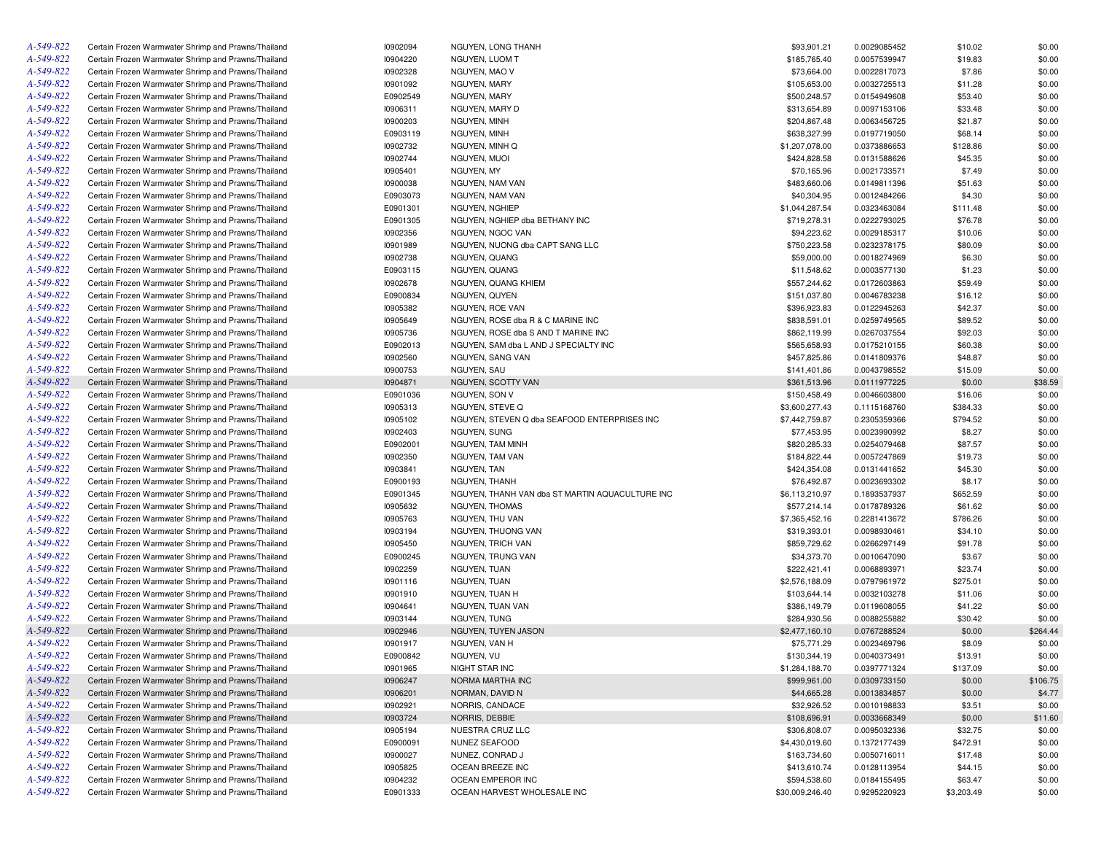| A-549-822       | Certain Frozen Warmwater Shrimp and Prawns/Thailand | 10902094 | NGUYEN, LONG THANH                              | \$93,901.21                    | 0.0029085452 | \$10.02    | \$0.00   |
|-----------------|-----------------------------------------------------|----------|-------------------------------------------------|--------------------------------|--------------|------------|----------|
| A-549-822       | Certain Frozen Warmwater Shrimp and Prawns/Thailand | 10904220 | NGUYEN, LUOM T                                  | \$185,765.40                   | 0.0057539947 | \$19.83    | \$0.00   |
| A-549-822       | Certain Frozen Warmwater Shrimp and Prawns/Thailand | 10902328 | NGUYEN, MAO V                                   | \$73,664.00                    | 0.0022817073 | \$7.86     | \$0.00   |
| A-549-822       | Certain Frozen Warmwater Shrimp and Prawns/Thailand | 10901092 | NGUYEN, MARY                                    | \$105,653.00                   | 0.0032725513 | \$11.28    | \$0.00   |
| A-549-822       | Certain Frozen Warmwater Shrimp and Prawns/Thailand | E0902549 | NGUYEN, MARY                                    | \$500,248.57                   | 0.0154949608 | \$53.40    | \$0.00   |
| A-549-822       | Certain Frozen Warmwater Shrimp and Prawns/Thailand | 10906311 | NGUYEN, MARY D                                  | \$313,654.89                   | 0.0097153106 | \$33.48    | \$0.00   |
| A-549-822       | Certain Frozen Warmwater Shrimp and Prawns/Thailand | 10900203 | NGUYEN, MINH                                    | \$204,867.48                   | 0.0063456725 | \$21.87    | \$0.00   |
| A-549-822       | Certain Frozen Warmwater Shrimp and Prawns/Thailand | E0903119 | NGUYEN, MINH                                    | \$638,327.99                   | 0.0197719050 | \$68.14    | \$0.00   |
| A-549-822       | Certain Frozen Warmwater Shrimp and Prawns/Thailand | 10902732 | NGUYEN, MINH Q                                  | \$1,207,078.00                 | 0.0373886653 | \$128.86   | \$0.00   |
| A-549-822       | Certain Frozen Warmwater Shrimp and Prawns/Thailand | 10902744 | NGUYEN, MUOI                                    | \$424,828.58                   | 0.0131588626 | \$45.35    | \$0.00   |
| A-549-822       | Certain Frozen Warmwater Shrimp and Prawns/Thailand | 10905401 | NGUYEN, MY                                      | \$70,165.96                    | 0.0021733571 | \$7.49     | \$0.00   |
| A-549-822       | Certain Frozen Warmwater Shrimp and Prawns/Thailand | 10900038 | NGUYEN, NAM VAN                                 | \$483,660.06                   | 0.0149811396 | \$51.63    | \$0.00   |
| A-549-822       | Certain Frozen Warmwater Shrimp and Prawns/Thailand | E0903073 | NGUYEN, NAM VAN                                 | \$40,304.95                    | 0.0012484266 | \$4.30     | \$0.00   |
| A-549-822       | Certain Frozen Warmwater Shrimp and Prawns/Thailand | E0901301 | NGUYEN, NGHIEP                                  | \$1,044,287.54                 | 0.0323463084 | \$111.48   | \$0.00   |
| A-549-822       | Certain Frozen Warmwater Shrimp and Prawns/Thailand | E0901305 | NGUYEN, NGHIEP dba BETHANY INC                  | \$719,278.31                   | 0.0222793025 | \$76.78    | \$0.00   |
| A-549-822       |                                                     |          |                                                 |                                |              |            |          |
| A-549-822       | Certain Frozen Warmwater Shrimp and Prawns/Thailand | 10902356 | NGUYEN, NGOC VAN                                | \$94,223.62                    | 0.0029185317 | \$10.06    | \$0.00   |
|                 | Certain Frozen Warmwater Shrimp and Prawns/Thailand | 10901989 | NGUYEN, NUONG dba CAPT SANG LLC                 | \$750,223.58                   | 0.0232378175 | \$80.09    | \$0.00   |
| A-549-822       | Certain Frozen Warmwater Shrimp and Prawns/Thailand | 10902738 | NGUYEN, QUANG                                   | \$59,000.00                    | 0.0018274969 | \$6.30     | \$0.00   |
| A-549-822       | Certain Frozen Warmwater Shrimp and Prawns/Thailand | E0903115 | NGUYEN, QUANG                                   | \$11,548.62                    | 0.0003577130 | \$1.23     | \$0.00   |
| A-549-822       | Certain Frozen Warmwater Shrimp and Prawns/Thailand | 10902678 | NGUYEN, QUANG KHIEM                             | \$557,244.62                   | 0.0172603863 | \$59.49    | \$0.00   |
| A-549-822       | Certain Frozen Warmwater Shrimp and Prawns/Thailand | E0900834 | NGUYEN, QUYEN                                   | \$151,037.80                   | 0.0046783238 | \$16.12    | \$0.00   |
| A-549-822       | Certain Frozen Warmwater Shrimp and Prawns/Thailand | 10905382 | NGUYEN, ROE VAN                                 | \$396,923.83                   | 0.0122945263 | \$42.37    | \$0.00   |
| A-549-822       | Certain Frozen Warmwater Shrimp and Prawns/Thailand | 10905649 | NGUYEN, ROSE dba R & C MARINE INC               | \$838,591.01                   | 0.0259749565 | \$89.52    | \$0.00   |
| A-549-822       | Certain Frozen Warmwater Shrimp and Prawns/Thailand | 10905736 | NGUYEN, ROSE dba S AND T MARINE INC             | \$862,119.99                   | 0.0267037554 | \$92.03    | \$0.00   |
| A-549-822       | Certain Frozen Warmwater Shrimp and Prawns/Thailand | E0902013 | NGUYEN, SAM dba L AND J SPECIALTY INC           | \$565,658.93                   | 0.0175210155 | \$60.38    | \$0.00   |
| A-549-822       | Certain Frozen Warmwater Shrimp and Prawns/Thailand | 10902560 | NGUYEN, SANG VAN                                | \$457,825.86                   | 0.0141809376 | \$48.87    | \$0.00   |
| A-549-822       | Certain Frozen Warmwater Shrimp and Prawns/Thailand | 10900753 | NGUYEN, SAU                                     | \$141,401.86                   | 0.0043798552 | \$15.09    | \$0.00   |
| A-549-822       | Certain Frozen Warmwater Shrimp and Prawns/Thailand | 10904871 | NGUYEN, SCOTTY VAN                              | \$361,513.96                   | 0.0111977225 | \$0.00     | \$38.59  |
| A-549-822       | Certain Frozen Warmwater Shrimp and Prawns/Thailand | E0901036 | NGUYEN, SON V                                   | \$150,458.49                   | 0.0046603800 | \$16.06    | \$0.00   |
| A-549-822       | Certain Frozen Warmwater Shrimp and Prawns/Thailand | 10905313 | NGUYEN, STEVE Q                                 | \$3,600,277.43                 | 0.1115168760 | \$384.33   | \$0.00   |
| A-549-822       | Certain Frozen Warmwater Shrimp and Prawns/Thailand | 10905102 | NGUYEN, STEVEN Q dba SEAFOOD ENTERPRISES INC    | \$7,442,759.87                 | 0.2305359366 | \$794.52   | \$0.00   |
| A-549-822       | Certain Frozen Warmwater Shrimp and Prawns/Thailand | 10902403 | NGUYEN, SUNG                                    | \$77,453.95                    | 0.0023990992 | \$8.27     | \$0.00   |
| A-549-822       | Certain Frozen Warmwater Shrimp and Prawns/Thailand | E0902001 | <b>NGUYEN, TAM MINH</b>                         | \$820,285.33                   | 0.0254079468 | \$87.57    | \$0.00   |
| A-549-822       | Certain Frozen Warmwater Shrimp and Prawns/Thailand | 10902350 | NGUYEN, TAM VAN                                 | \$184,822.44                   | 0.0057247869 | \$19.73    | \$0.00   |
| A-549-822       | Certain Frozen Warmwater Shrimp and Prawns/Thailand | 10903841 | NGUYEN, TAN                                     | \$424,354.08                   | 0.0131441652 | \$45.30    | \$0.00   |
| A-549-822       | Certain Frozen Warmwater Shrimp and Prawns/Thailand | E0900193 | NGUYEN, THANH                                   | \$76,492.87                    | 0.0023693302 | \$8.17     | \$0.00   |
| A-549-822       | Certain Frozen Warmwater Shrimp and Prawns/Thailand | E0901345 | NGUYEN, THANH VAN dba ST MARTIN AQUACULTURE INC | \$6,113,210.97                 | 0.1893537937 | \$652.59   | \$0.00   |
| A-549-822       | Certain Frozen Warmwater Shrimp and Prawns/Thailand | 10905632 | NGUYEN, THOMAS                                  | \$577,214.14                   | 0.0178789326 | \$61.62    | \$0.00   |
| A-549-822       | Certain Frozen Warmwater Shrimp and Prawns/Thailand | 10905763 | NGUYEN, THU VAN                                 | \$7,365,452.16                 | 0.2281413672 | \$786.26   | \$0.00   |
| A-549-822       | Certain Frozen Warmwater Shrimp and Prawns/Thailand | 10903194 | NGUYEN, THUONG VAN                              | \$319,393.01                   | 0.0098930461 | \$34.10    | \$0.00   |
| A-549-822       | Certain Frozen Warmwater Shrimp and Prawns/Thailand | 10905450 | NGUYEN, TRICH VAN                               | \$859,729.62                   | 0.0266297149 | \$91.78    | \$0.00   |
| A-549-822       | Certain Frozen Warmwater Shrimp and Prawns/Thailand | E0900245 | NGUYEN, TRUNG VAN                               | \$34,373.70                    |              | \$3.67     | \$0.00   |
| A-549-822       |                                                     |          |                                                 |                                | 0.0010647090 |            |          |
| A-549-822       | Certain Frozen Warmwater Shrimp and Prawns/Thailand | 10902259 | NGUYEN, TUAN                                    | \$222,421.41<br>\$2,576,188.09 | 0.0068893971 | \$23.74    | \$0.00   |
|                 | Certain Frozen Warmwater Shrimp and Prawns/Thailand | 10901116 | NGUYEN, TUAN                                    |                                | 0.0797961972 | \$275.01   | \$0.00   |
| A-549-822       | Certain Frozen Warmwater Shrimp and Prawns/Thailand | 10901910 | NGUYEN, TUAN H                                  | \$103,644.14                   | 0.0032103278 | \$11.06    | \$0.00   |
| A-549-822       | Certain Frozen Warmwater Shrimp and Prawns/Thailand | 10904641 | NGUYEN, TUAN VAN                                | \$386,149.79                   | 0.0119608055 | \$41.22    | \$0.00   |
| A-549-822       | Certain Frozen Warmwater Shrimp and Prawns/Thailand | 10903144 | NGUYEN, TUNG                                    | \$284.930.56                   | 0.0088255882 | \$30.42    | \$0.00   |
| A-549-822       | Certain Frozen Warmwater Shrimp and Prawns/Thailand | 10902946 | NGUYEN, TUYEN JASON                             | \$2,477,160.10                 | 0.0767288524 | \$0.00     | \$264.44 |
| A-549-822       | Certain Frozen Warmwater Shrimp and Prawns/Thailand | 10901917 | NGUYEN, VAN H                                   | \$75,771.29                    | 0.0023469796 | \$8.09     | \$0.00   |
| A-549-822       | Certain Frozen Warmwater Shrimp and Prawns/Thailand | E0900842 | NGUYEN. VU                                      | \$130,344.19                   | 0.0040373491 | \$13.91    | \$0.00   |
| A-549-822       | Certain Frozen Warmwater Shrimp and Prawns/Thailand | 10901965 | NIGHT STAR INC                                  | \$1,284,188.70                 | 0.0397771324 | \$137.09   | \$0.00   |
| $A - 549 - 822$ | Certain Frozen Warmwater Shrimp and Prawns/Thailand | 10906247 | NORMA MARTHA INC                                | \$999,961.00                   | 0.0309733150 | \$0.00     | \$106.75 |
| A-549-822       | Certain Frozen Warmwater Shrimp and Prawns/Thailand | 10906201 | NORMAN, DAVID N                                 | \$44,665.28                    | 0.0013834857 | \$0.00     | \$4.77   |
| A-549-822       | Certain Frozen Warmwater Shrimp and Prawns/Thailand | 10902921 | NORRIS, CANDACE                                 | \$32,926.52                    | 0.0010198833 | \$3.51     | \$0.00   |
| A-549-822       | Certain Frozen Warmwater Shrimp and Prawns/Thailand | 10903724 | NORRIS, DEBBIE                                  | \$108,696.91                   | 0.0033668349 | \$0.00     | \$11.60  |
| A-549-822       | Certain Frozen Warmwater Shrimp and Prawns/Thailand | 10905194 | NUESTRA CRUZ LLC                                | \$306,808.07                   | 0.0095032336 | \$32.75    | \$0.00   |
| A-549-822       | Certain Frozen Warmwater Shrimp and Prawns/Thailand | E0900091 | <b>NUNEZ SEAFOOD</b>                            | \$4,430,019.60                 | 0.1372177439 | \$472.91   | \$0.00   |
| A-549-822       | Certain Frozen Warmwater Shrimp and Prawns/Thailand | 10900027 | NUNEZ, CONRAD J                                 | \$163,734.60                   | 0.0050716011 | \$17.48    | \$0.00   |
| A-549-822       | Certain Frozen Warmwater Shrimp and Prawns/Thailand | 10905825 | OCEAN BREEZE INC                                | \$413,610.74                   | 0.0128113954 | \$44.15    | \$0.00   |
| A-549-822       | Certain Frozen Warmwater Shrimp and Prawns/Thailand | 10904232 | OCEAN EMPEROR INC                               | \$594,538.60                   | 0.0184155495 | \$63.47    | \$0.00   |
| A-549-822       | Certain Frozen Warmwater Shrimp and Prawns/Thailand | E0901333 | OCEAN HARVEST WHOLESALE INC                     | \$30,009,246.40                | 0.9295220923 | \$3,203.49 | \$0.00   |
|                 |                                                     |          |                                                 |                                |              |            |          |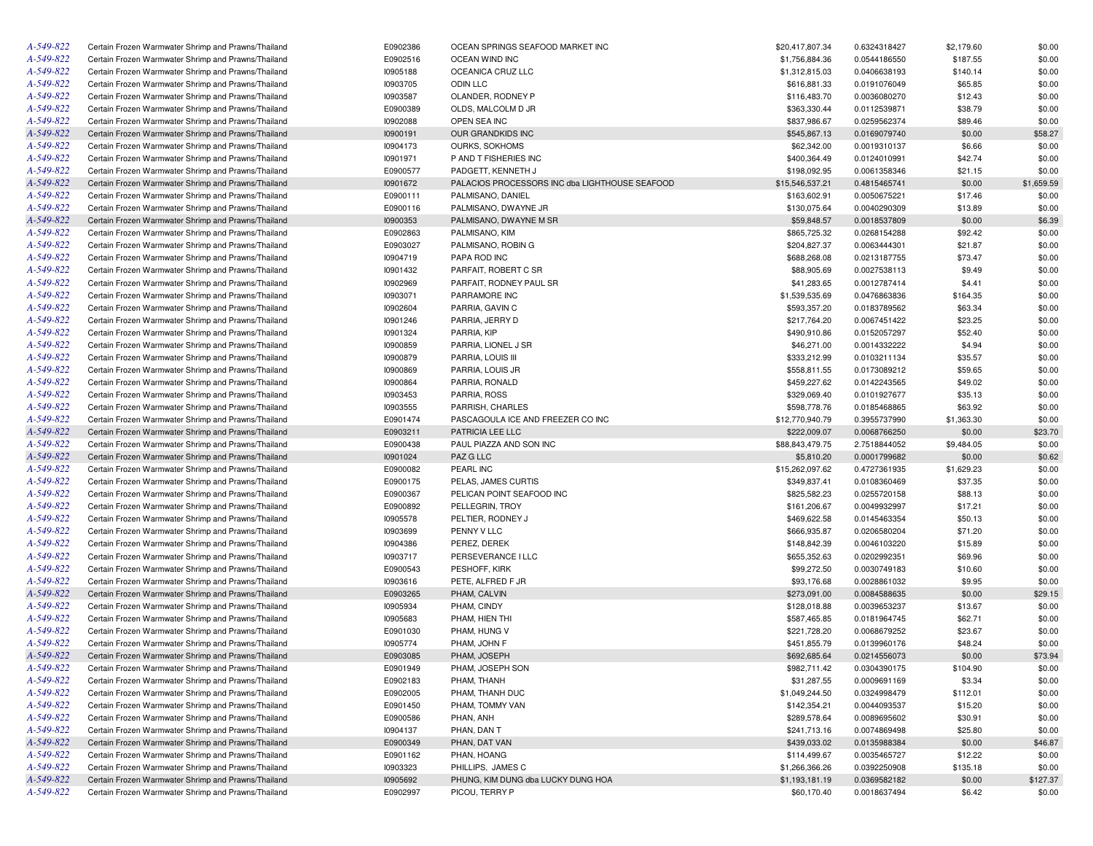| A-549-822 | Certain Frozen Warmwater Shrimp and Prawns/Thailand | E0902386 | OCEAN SPRINGS SEAFOOD MARKET INC               | \$20,417,807.34 | 0.6324318427 | \$2,179.60 | \$0.00     |
|-----------|-----------------------------------------------------|----------|------------------------------------------------|-----------------|--------------|------------|------------|
| A-549-822 | Certain Frozen Warmwater Shrimp and Prawns/Thailand | E0902516 | OCEAN WIND INC                                 | \$1,756,884.36  | 0.0544186550 | \$187.55   | \$0.00     |
| A-549-822 | Certain Frozen Warmwater Shrimp and Prawns/Thailand | 10905188 | OCEANICA CRUZ LLC                              | \$1,312,815.03  | 0.0406638193 | \$140.14   | \$0.00     |
| A-549-822 | Certain Frozen Warmwater Shrimp and Prawns/Thailand | 10903705 | <b>ODIN LLC</b>                                | \$616,881.33    | 0.0191076049 | \$65.85    | \$0.00     |
| A-549-822 | Certain Frozen Warmwater Shrimp and Prawns/Thailand | 10903587 | OLANDER, RODNEY P                              | \$116,483.70    | 0.0036080270 | \$12.43    | \$0.00     |
| A-549-822 | Certain Frozen Warmwater Shrimp and Prawns/Thailand | E0900389 | OLDS, MALCOLM D JR                             | \$363,330.44    | 0.0112539871 | \$38.79    | \$0.00     |
| A-549-822 | Certain Frozen Warmwater Shrimp and Prawns/Thailand | 10902088 | OPEN SEA INC                                   | \$837,986.67    | 0.0259562374 | \$89.46    | \$0.00     |
| A-549-822 | Certain Frozen Warmwater Shrimp and Prawns/Thailand | 10900191 | OUR GRANDKIDS INC                              | \$545,867.13    | 0.0169079740 | \$0.00     | \$58.27    |
| A-549-822 | Certain Frozen Warmwater Shrimp and Prawns/Thailand | 10904173 | OURKS, SOKHOMS                                 | \$62,342.00     | 0.0019310137 | \$6.66     | \$0.00     |
| A-549-822 | Certain Frozen Warmwater Shrimp and Prawns/Thailand | 10901971 | P AND T FISHERIES INC                          | \$400,364.49    | 0.0124010991 | \$42.74    | \$0.00     |
| A-549-822 | Certain Frozen Warmwater Shrimp and Prawns/Thailand | E0900577 | PADGETT, KENNETH J                             | \$198,092.95    | 0.0061358346 | \$21.15    | \$0.00     |
| A-549-822 | Certain Frozen Warmwater Shrimp and Prawns/Thailand | 10901672 | PALACIOS PROCESSORS INC dba LIGHTHOUSE SEAFOOD | \$15,546,537.21 | 0.4815465741 | \$0.00     | \$1,659.59 |
| A-549-822 | Certain Frozen Warmwater Shrimp and Prawns/Thailand | E0900111 | PALMISANO, DANIEL                              | \$163,602.91    | 0.0050675221 | \$17.46    | \$0.00     |
| A-549-822 | Certain Frozen Warmwater Shrimp and Prawns/Thailand | E0900116 | PALMISANO, DWAYNE JR                           | \$130,075.64    | 0.0040290309 | \$13.89    | \$0.00     |
| A-549-822 | Certain Frozen Warmwater Shrimp and Prawns/Thailand | 10900353 | PALMISANO, DWAYNE M SR                         | \$59,848.57     | 0.0018537809 | \$0.00     | \$6.39     |
| A-549-822 | Certain Frozen Warmwater Shrimp and Prawns/Thailand | E0902863 | PALMISANO, KIM                                 | \$865,725.32    | 0.0268154288 | \$92.42    | \$0.00     |
| A-549-822 | Certain Frozen Warmwater Shrimp and Prawns/Thailand | E0903027 | PALMISANO, ROBIN G                             | \$204,827.37    | 0.0063444301 | \$21.87    | \$0.00     |
| A-549-822 | Certain Frozen Warmwater Shrimp and Prawns/Thailand | 10904719 | PAPA ROD INC                                   | \$688,268.08    | 0.0213187755 | \$73.47    | \$0.00     |
| A-549-822 |                                                     |          |                                                |                 |              |            |            |
|           | Certain Frozen Warmwater Shrimp and Prawns/Thailand | 10901432 | PARFAIT, ROBERT C SR                           | \$88,905.69     | 0.0027538113 | \$9.49     | \$0.00     |
| A-549-822 | Certain Frozen Warmwater Shrimp and Prawns/Thailand | 10902969 | PARFAIT, RODNEY PAUL SR                        | \$41,283.65     | 0.0012787414 | \$4.41     | \$0.00     |
| A-549-822 | Certain Frozen Warmwater Shrimp and Prawns/Thailand | 10903071 | PARRAMORE INC                                  | \$1,539,535.69  | 0.0476863836 | \$164.35   | \$0.00     |
| A-549-822 | Certain Frozen Warmwater Shrimp and Prawns/Thailand | 10902604 | PARRIA, GAVIN C                                | \$593,357.20    | 0.0183789562 | \$63.34    | \$0.00     |
| A-549-822 | Certain Frozen Warmwater Shrimp and Prawns/Thailand | 10901246 | PARRIA, JERRY D                                | \$217,764.20    | 0.0067451422 | \$23.25    | \$0.00     |
| A-549-822 | Certain Frozen Warmwater Shrimp and Prawns/Thailand | 10901324 | PARRIA, KIP                                    | \$490,910.86    | 0.0152057297 | \$52.40    | \$0.00     |
| A-549-822 | Certain Frozen Warmwater Shrimp and Prawns/Thailand | 10900859 | PARRIA, LIONEL J SR                            | \$46,271.00     | 0.0014332222 | \$4.94     | \$0.00     |
| A-549-822 | Certain Frozen Warmwater Shrimp and Prawns/Thailand | 10900879 | PARRIA, LOUIS III                              | \$333,212.99    | 0.0103211134 | \$35.57    | \$0.00     |
| A-549-822 | Certain Frozen Warmwater Shrimp and Prawns/Thailand | 10900869 | PARRIA, LOUIS JR                               | \$558,811.55    | 0.0173089212 | \$59.65    | \$0.00     |
| A-549-822 | Certain Frozen Warmwater Shrimp and Prawns/Thailand | 10900864 | PARRIA, RONALD                                 | \$459,227.62    | 0.0142243565 | \$49.02    | \$0.00     |
| A-549-822 | Certain Frozen Warmwater Shrimp and Prawns/Thailand | 10903453 | PARRIA, ROSS                                   | \$329,069.40    | 0.0101927677 | \$35.13    | \$0.00     |
| A-549-822 | Certain Frozen Warmwater Shrimp and Prawns/Thailand | 10903555 | PARRISH, CHARLES                               | \$598,778.76    | 0.0185468865 | \$63.92    | \$0.00     |
| A-549-822 | Certain Frozen Warmwater Shrimp and Prawns/Thailand | E0901474 | PASCAGOULA ICE AND FREEZER CO INC              | \$12,770,940.79 | 0.3955737990 | \$1,363.30 | \$0.00     |
| A-549-822 | Certain Frozen Warmwater Shrimp and Prawns/Thailand | E0903211 | PATRICIA LEE LLC                               | \$222,009.07    | 0.0068766250 | \$0.00     | \$23.70    |
| A-549-822 | Certain Frozen Warmwater Shrimp and Prawns/Thailand | E0900438 | PAUL PIAZZA AND SON INC                        | \$88,843,479.75 | 2.7518844052 | \$9,484.05 | \$0.00     |
| A-549-822 | Certain Frozen Warmwater Shrimp and Prawns/Thailand | 10901024 | PAZ G LLC                                      | \$5,810.20      | 0.0001799682 | \$0.00     | \$0.62     |
| A-549-822 | Certain Frozen Warmwater Shrimp and Prawns/Thailand | E0900082 | PEARL INC                                      | \$15,262,097.62 | 0.4727361935 | \$1,629.23 | \$0.00     |
| A-549-822 | Certain Frozen Warmwater Shrimp and Prawns/Thailand | E0900175 | PELAS, JAMES CURTIS                            | \$349,837.41    | 0.0108360469 | \$37.35    | \$0.00     |
| A-549-822 | Certain Frozen Warmwater Shrimp and Prawns/Thailand | E0900367 | PELICAN POINT SEAFOOD INC                      | \$825,582.23    | 0.0255720158 | \$88.13    | \$0.00     |
| A-549-822 | Certain Frozen Warmwater Shrimp and Prawns/Thailand | E0900892 | PELLEGRIN, TROY                                | \$161,206.67    | 0.0049932997 | \$17.21    | \$0.00     |
| A-549-822 | Certain Frozen Warmwater Shrimp and Prawns/Thailand | 10905578 | PELTIER, RODNEY J                              | \$469,622.58    | 0.0145463354 | \$50.13    | \$0.00     |
| A-549-822 | Certain Frozen Warmwater Shrimp and Prawns/Thailand | 10903699 | PENNY V LLC                                    | \$666,935.87    | 0.0206580204 | \$71.20    | \$0.00     |
| A-549-822 | Certain Frozen Warmwater Shrimp and Prawns/Thailand | 10904386 | PEREZ, DEREK                                   | \$148,842.39    | 0.0046103220 | \$15.89    | \$0.00     |
| A-549-822 | Certain Frozen Warmwater Shrimp and Prawns/Thailand | 10903717 | PERSEVERANCE I LLC                             | \$655,352.63    | 0.0202992351 | \$69.96    | \$0.00     |
| A-549-822 | Certain Frozen Warmwater Shrimp and Prawns/Thailand | E0900543 | PESHOFF, KIRK                                  | \$99,272.50     | 0.0030749183 | \$10.60    | \$0.00     |
| A-549-822 | Certain Frozen Warmwater Shrimp and Prawns/Thailand | 10903616 | PETE, ALFRED F JR                              | \$93,176.68     | 0.0028861032 | \$9.95     | \$0.00     |
| A-549-822 | Certain Frozen Warmwater Shrimp and Prawns/Thailand | E0903265 | PHAM, CALVIN                                   | \$273,091.00    | 0.0084588635 | \$0.00     | \$29.15    |
| A-549-822 | Certain Frozen Warmwater Shrimp and Prawns/Thailand | 10905934 | PHAM, CINDY                                    | \$128,018.88    | 0.0039653237 | \$13.67    | \$0.00     |
| A-549-822 | Certain Frozen Warmwater Shrimp and Prawns/Thailand | 10905683 | PHAM, HIEN THI                                 | \$587,465.85    | 0.0181964745 | \$62.71    | \$0.00     |
|           |                                                     |          |                                                |                 |              |            |            |
| A-549-822 | Certain Frozen Warmwater Shrimp and Prawns/Thailand | E0901030 | PHAM, HUNG V                                   | \$221,728.20    | 0.0068679252 | \$23.67    | \$0.00     |
| A-549-822 | Certain Frozen Warmwater Shrimp and Prawns/Thailand | 10905774 | PHAM, JOHN F                                   | \$451,855.79    | 0.0139960176 | \$48.24    | \$0.00     |
| A-549-822 | Certain Frozen Warmwater Shrimp and Prawns/Thailand | E0903085 | PHAM, JOSEPH                                   | \$692,685.64    | 0.0214556073 | \$0.00     | \$73.94    |
| A-549-822 | Certain Frozen Warmwater Shrimp and Prawns/Thailand | E0901949 | PHAM, JOSEPH SON                               | \$982,711.42    | 0.0304390175 | \$104.90   | \$0.00     |
| A-549-822 | Certain Frozen Warmwater Shrimp and Prawns/Thailand | E0902183 | PHAM, THANH                                    | \$31,287.55     | 0.0009691169 | \$3.34     | \$0.00     |
| A-549-822 | Certain Frozen Warmwater Shrimp and Prawns/Thailand | E0902005 | PHAM, THANH DUC                                | \$1,049,244.50  | 0.0324998479 | \$112.01   | \$0.00     |
| A-549-822 | Certain Frozen Warmwater Shrimp and Prawns/Thailand | E0901450 | PHAM, TOMMY VAN                                | \$142,354.21    | 0.0044093537 | \$15.20    | \$0.00     |
| A-549-822 | Certain Frozen Warmwater Shrimp and Prawns/Thailand | E0900586 | PHAN, ANH                                      | \$289,578.64    | 0.0089695602 | \$30.91    | \$0.00     |
| A-549-822 | Certain Frozen Warmwater Shrimp and Prawns/Thailand | 10904137 | PHAN, DAN T                                    | \$241,713.16    | 0.0074869498 | \$25.80    | \$0.00     |
| A-549-822 | Certain Frozen Warmwater Shrimp and Prawns/Thailand | E0900349 | PHAN, DAT VAN                                  | \$439,033.02    | 0.0135988384 | \$0.00     | \$46.87    |
| A-549-822 | Certain Frozen Warmwater Shrimp and Prawns/Thailand | E0901162 | PHAN, HOANG                                    | \$114,499.67    | 0.0035465727 | \$12.22    | \$0.00     |
| A-549-822 | Certain Frozen Warmwater Shrimp and Prawns/Thailand | 10903323 | PHILLIPS, JAMES C                              | \$1,266,366.26  | 0.0392250908 | \$135.18   | \$0.00     |
| A-549-822 | Certain Frozen Warmwater Shrimp and Prawns/Thailand | 10905692 | PHUNG, KIM DUNG dba LUCKY DUNG HOA             | \$1,193,181.19  | 0.0369582182 | \$0.00     | \$127.37   |
| A-549-822 | Certain Frozen Warmwater Shrimp and Prawns/Thailand | E0902997 | PICOU, TERRY P                                 | \$60,170.40     | 0.0018637494 | \$6.42     | \$0.00     |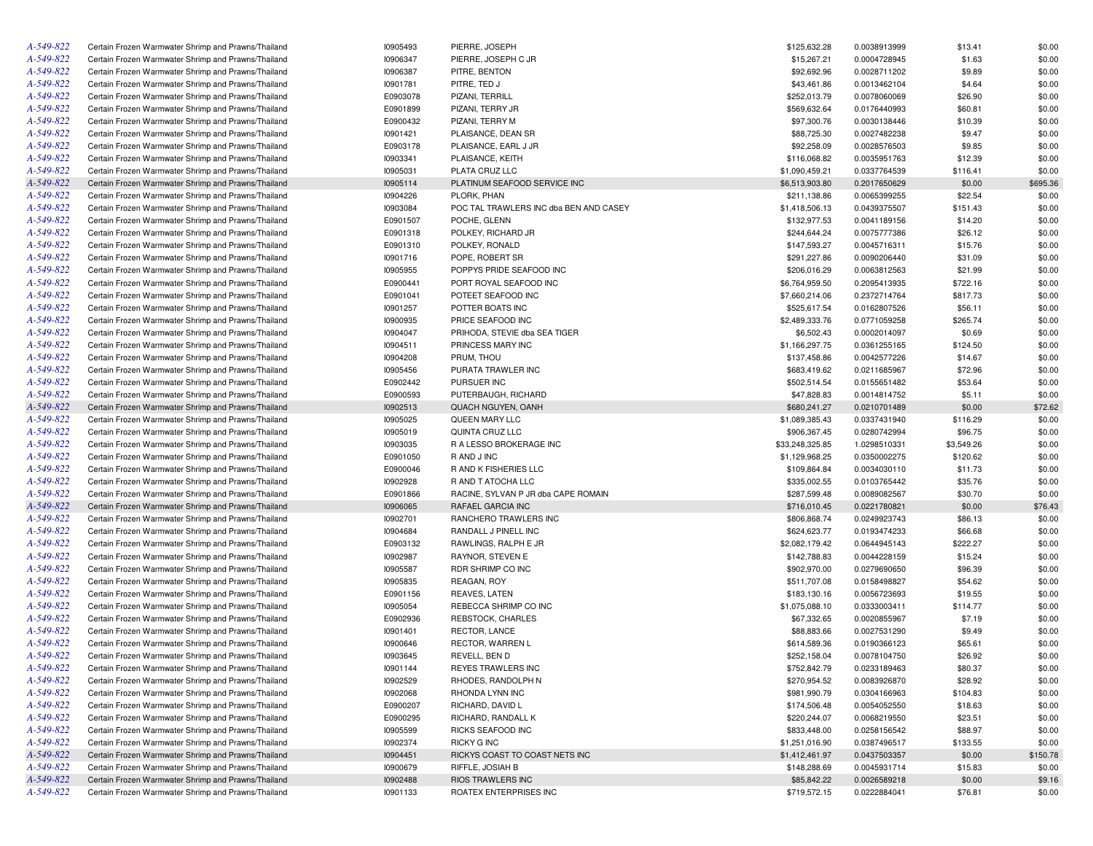| A-549-822 | Certain Frozen Warmwater Shrimp and Prawns/Thailand | 10905493 | PIERRE, JOSEPH                         | \$125,632.28    | 0.0038913999 | \$13.41    | \$0.00   |
|-----------|-----------------------------------------------------|----------|----------------------------------------|-----------------|--------------|------------|----------|
| A-549-822 | Certain Frozen Warmwater Shrimp and Prawns/Thailand | 10906347 | PIERRE, JOSEPH C JR                    | \$15,267.21     | 0.0004728945 | \$1.63     | \$0.00   |
| A-549-822 | Certain Frozen Warmwater Shrimp and Prawns/Thailand | 10906387 | PITRE, BENTON                          | \$92,692.96     | 0.0028711202 | \$9.89     | \$0.00   |
| A-549-822 | Certain Frozen Warmwater Shrimp and Prawns/Thailand | 10901781 | PITRE, TED J                           | \$43,461.86     | 0.0013462104 | \$4.64     | \$0.00   |
| A-549-822 | Certain Frozen Warmwater Shrimp and Prawns/Thailand | E0903078 | PIZANI, TERRILL                        | \$252,013.79    | 0.0078060069 | \$26.90    | \$0.00   |
| A-549-822 | Certain Frozen Warmwater Shrimp and Prawns/Thailand | E0901899 | PIZANI, TERRY JR                       | \$569,632.64    | 0.0176440993 | \$60.81    | \$0.00   |
| A-549-822 | Certain Frozen Warmwater Shrimp and Prawns/Thailand | E0900432 | PIZANI, TERRY M                        | \$97,300.76     | 0.0030138446 | \$10.39    | \$0.00   |
| A-549-822 | Certain Frozen Warmwater Shrimp and Prawns/Thailand | 10901421 | PLAISANCE, DEAN SR                     | \$88,725.30     | 0.0027482238 | \$9.47     | \$0.00   |
| A-549-822 | Certain Frozen Warmwater Shrimp and Prawns/Thailand | E0903178 | PLAISANCE, EARL J JR                   | \$92,258.09     | 0.0028576503 | \$9.85     | \$0.00   |
| A-549-822 | Certain Frozen Warmwater Shrimp and Prawns/Thailand | 10903341 | PLAISANCE, KEITH                       | \$116,068.82    | 0.0035951763 | \$12.39    | \$0.00   |
| A-549-822 | Certain Frozen Warmwater Shrimp and Prawns/Thailand | 10905031 | PLATA CRUZ LLC                         | \$1,090,459.21  | 0.0337764539 | \$116.41   | \$0.00   |
| A-549-822 | Certain Frozen Warmwater Shrimp and Prawns/Thailand | 10905114 | PLATINUM SEAFOOD SERVICE INC           | \$6,513,903.80  | 0.2017650629 | \$0.00     | \$695.36 |
| A-549-822 | Certain Frozen Warmwater Shrimp and Prawns/Thailand | 10904226 | PLORK, PHAN                            | \$211,138.86    | 0.0065399255 | \$22.54    | \$0.00   |
| A-549-822 | Certain Frozen Warmwater Shrimp and Prawns/Thailand | 10903084 | POC TAL TRAWLERS INC dba BEN AND CASEY | \$1,418,506.13  | 0.0439375507 | \$151.43   | \$0.00   |
| A-549-822 | Certain Frozen Warmwater Shrimp and Prawns/Thailand | E0901507 | POCHE, GLENN                           | \$132,977.53    | 0.0041189156 | \$14.20    | \$0.00   |
| A-549-822 | Certain Frozen Warmwater Shrimp and Prawns/Thailand | E0901318 | POLKEY, RICHARD JR                     | \$244,644.24    | 0.0075777386 | \$26.12    | \$0.00   |
| A-549-822 |                                                     |          |                                        |                 |              |            |          |
|           | Certain Frozen Warmwater Shrimp and Prawns/Thailand | E0901310 | POLKEY, RONALD                         | \$147,593.27    | 0.0045716311 | \$15.76    | \$0.00   |
| A-549-822 | Certain Frozen Warmwater Shrimp and Prawns/Thailand | 10901716 | POPE, ROBERT SR                        | \$291,227.86    | 0.0090206440 | \$31.09    | \$0.00   |
| A-549-822 | Certain Frozen Warmwater Shrimp and Prawns/Thailand | 10905955 | POPPYS PRIDE SEAFOOD INC               | \$206,016.29    | 0.0063812563 | \$21.99    | \$0.00   |
| A-549-822 | Certain Frozen Warmwater Shrimp and Prawns/Thailand | E0900441 | PORT ROYAL SEAFOOD INC                 | \$6,764,959.50  | 0.2095413935 | \$722.16   | \$0.00   |
| A-549-822 | Certain Frozen Warmwater Shrimp and Prawns/Thailand | E0901041 | POTEET SEAFOOD INC                     | \$7,660,214.06  | 0.2372714764 | \$817.73   | \$0.00   |
| A-549-822 | Certain Frozen Warmwater Shrimp and Prawns/Thailand | 10901257 | POTTER BOATS INC                       | \$525,617.54    | 0.0162807526 | \$56.11    | \$0.00   |
| A-549-822 | Certain Frozen Warmwater Shrimp and Prawns/Thailand | 10900935 | PRICE SEAFOOD INC                      | \$2,489,333.76  | 0.0771059258 | \$265.74   | \$0.00   |
| A-549-822 | Certain Frozen Warmwater Shrimp and Prawns/Thailand | 10904047 | PRIHODA, STEVIE dba SEA TIGER          | \$6,502.43      | 0.0002014097 | \$0.69     | \$0.00   |
| A-549-822 | Certain Frozen Warmwater Shrimp and Prawns/Thailand | 10904511 | PRINCESS MARY INC                      | \$1,166,297.75  | 0.0361255165 | \$124.50   | \$0.00   |
| A-549-822 | Certain Frozen Warmwater Shrimp and Prawns/Thailand | 10904208 | PRUM, THOU                             | \$137,458.86    | 0.0042577226 | \$14.67    | \$0.00   |
| A-549-822 | Certain Frozen Warmwater Shrimp and Prawns/Thailand | 10905456 | PURATA TRAWLER INC                     | \$683,419.62    | 0.0211685967 | \$72.96    | \$0.00   |
| A-549-822 | Certain Frozen Warmwater Shrimp and Prawns/Thailand | E0902442 | PURSUER INC                            | \$502,514.54    | 0.0155651482 | \$53.64    | \$0.00   |
| A-549-822 | Certain Frozen Warmwater Shrimp and Prawns/Thailand | E0900593 | PUTERBAUGH, RICHARD                    | \$47,828.83     | 0.0014814752 | \$5.11     | \$0.00   |
| A-549-822 | Certain Frozen Warmwater Shrimp and Prawns/Thailand | 10902513 | QUACH NGUYEN, OANH                     | \$680,241.27    | 0.0210701489 | \$0.00     | \$72.62  |
| A-549-822 | Certain Frozen Warmwater Shrimp and Prawns/Thailand | 10905025 | QUEEN MARY LLC                         | \$1,089,385.43  | 0.0337431940 | \$116.29   | \$0.00   |
| A-549-822 | Certain Frozen Warmwater Shrimp and Prawns/Thailand | 10905019 | QUINTA CRUZ LLC                        | \$906,367.45    | 0.0280742994 | \$96.75    | \$0.00   |
| A-549-822 | Certain Frozen Warmwater Shrimp and Prawns/Thailand | 10903035 | R A LESSO BROKERAGE INC                | \$33,248,325.85 | 1.0298510331 | \$3,549.26 | \$0.00   |
| A-549-822 | Certain Frozen Warmwater Shrimp and Prawns/Thailand | E0901050 | R AND J INC                            | \$1,129,968.25  | 0.0350002275 | \$120.62   | \$0.00   |
| A-549-822 | Certain Frozen Warmwater Shrimp and Prawns/Thailand | E0900046 | R AND K FISHERIES LLC                  | \$109,864.84    | 0.0034030110 | \$11.73    | \$0.00   |
| A-549-822 | Certain Frozen Warmwater Shrimp and Prawns/Thailand | 10902928 | R AND T ATOCHA LLC                     | \$335,002.55    | 0.0103765442 | \$35.76    | \$0.00   |
| A-549-822 | Certain Frozen Warmwater Shrimp and Prawns/Thailand | E0901866 | RACINE, SYLVAN P JR dba CAPE ROMAIN    | \$287,599.48    | 0.0089082567 | \$30.70    | \$0.00   |
| A-549-822 | Certain Frozen Warmwater Shrimp and Prawns/Thailand | 10906065 | RAFAEL GARCIA INC                      | \$716,010.45    | 0.0221780821 | \$0.00     | \$76.43  |
| A-549-822 |                                                     |          |                                        |                 |              |            |          |
|           | Certain Frozen Warmwater Shrimp and Prawns/Thailand | 10902701 | RANCHERO TRAWLERS INC                  | \$806,868.74    | 0.0249923743 | \$86.13    | \$0.00   |
| A-549-822 | Certain Frozen Warmwater Shrimp and Prawns/Thailand | 10904684 | RANDALL J PINELL INC                   | \$624,623.77    | 0.0193474233 | \$66.68    | \$0.00   |
| A-549-822 | Certain Frozen Warmwater Shrimp and Prawns/Thailand | E0903132 | RAWLINGS, RALPH E JR                   | \$2,082,179.42  | 0.0644945143 | \$222.27   | \$0.00   |
| A-549-822 | Certain Frozen Warmwater Shrimp and Prawns/Thailand | 10902987 | RAYNOR, STEVEN E                       | \$142,788.83    | 0.0044228159 | \$15.24    | \$0.00   |
| A-549-822 | Certain Frozen Warmwater Shrimp and Prawns/Thailand | 10905587 | RDR SHRIMP CO INC                      | \$902,970.00    | 0.0279690650 | \$96.39    | \$0.00   |
| A-549-822 | Certain Frozen Warmwater Shrimp and Prawns/Thailand | 10905835 | REAGAN, ROY                            | \$511,707.08    | 0.0158498827 | \$54.62    | \$0.00   |
| A-549-822 | Certain Frozen Warmwater Shrimp and Prawns/Thailand | E0901156 | REAVES, LATEN                          | \$183,130.16    | 0.0056723693 | \$19.55    | \$0.00   |
| A-549-822 | Certain Frozen Warmwater Shrimp and Prawns/Thailand | 10905054 | REBECCA SHRIMP CO INC                  | \$1,075,088.10  | 0.0333003411 | \$114.77   | \$0.00   |
| A-549-822 | Certain Frozen Warmwater Shrimp and Prawns/Thailand | E0902936 | REBSTOCK, CHARLES                      | \$67,332.65     | 0.0020855967 | \$7.19     | \$0.00   |
| A-549-822 | Certain Frozen Warmwater Shrimp and Prawns/Thailand | 10901401 | RECTOR, LANCE                          | \$88,883.66     | 0.0027531290 | \$9.49     | \$0.00   |
| A-549-822 | Certain Frozen Warmwater Shrimp and Prawns/Thailand | 10900646 | RECTOR, WARREN L                       | \$614,589.36    | 0.0190366123 | \$65.61    | \$0.00   |
| A-549-822 | Certain Frozen Warmwater Shrimp and Prawns/Thailand | 10903645 | REVELL, BEN D                          | \$252.158.04    | 0.0078104750 | \$26.92    | \$0.00   |
| A-549-822 | Certain Frozen Warmwater Shrimp and Prawns/Thailand | 10901144 | REYES TRAWLERS INC                     | \$752,842.79    | 0.0233189463 | \$80.37    | \$0.00   |
| A-549-822 | Certain Frozen Warmwater Shrimp and Prawns/Thailand | 10902529 | RHODES, RANDOLPH N                     | \$270,954.52    | 0.0083926870 | \$28.92    | \$0.00   |
| A-549-822 | Certain Frozen Warmwater Shrimp and Prawns/Thailand | 10902068 | RHONDA LYNN INC                        | \$981,990.79    | 0.0304166963 | \$104.83   | \$0.00   |
| A-549-822 | Certain Frozen Warmwater Shrimp and Prawns/Thailand | E0900207 | RICHARD, DAVID L                       | \$174,506.48    | 0.0054052550 | \$18.63    | \$0.00   |
| A-549-822 | Certain Frozen Warmwater Shrimp and Prawns/Thailand | E0900295 | RICHARD, RANDALL K                     | \$220,244.07    | 0.0068219550 | \$23.51    | \$0.00   |
| A-549-822 | Certain Frozen Warmwater Shrimp and Prawns/Thailand | 10905599 | RICKS SEAFOOD INC                      | \$833,448.00    | 0.0258156542 | \$88.97    | \$0.00   |
| A-549-822 | Certain Frozen Warmwater Shrimp and Prawns/Thailand | 10902374 | RICKY G INC                            | \$1,251,016.90  | 0.0387496517 | \$133.55   | \$0.00   |
| A-549-822 | Certain Frozen Warmwater Shrimp and Prawns/Thailand | 10904451 | RICKYS COAST TO COAST NETS INC         | \$1,412,461.97  | 0.0437503357 | \$0.00     | \$150.78 |
| A-549-822 | Certain Frozen Warmwater Shrimp and Prawns/Thailand | 10900679 | RIFFLE, JOSIAH B                       | \$148,288.69    | 0.0045931714 | \$15.83    | \$0.00   |
| A-549-822 | Certain Frozen Warmwater Shrimp and Prawns/Thailand | 10902488 |                                        | \$85,842.22     |              |            |          |
|           |                                                     |          | RIOS TRAWLERS INC                      |                 | 0.0026589218 | \$0.00     | \$9.16   |
| A-549-822 | Certain Frozen Warmwater Shrimp and Prawns/Thailand | 10901133 | ROATEX ENTERPRISES INC                 | \$719,572.15    | 0.0222884041 | \$76.81    | \$0.00   |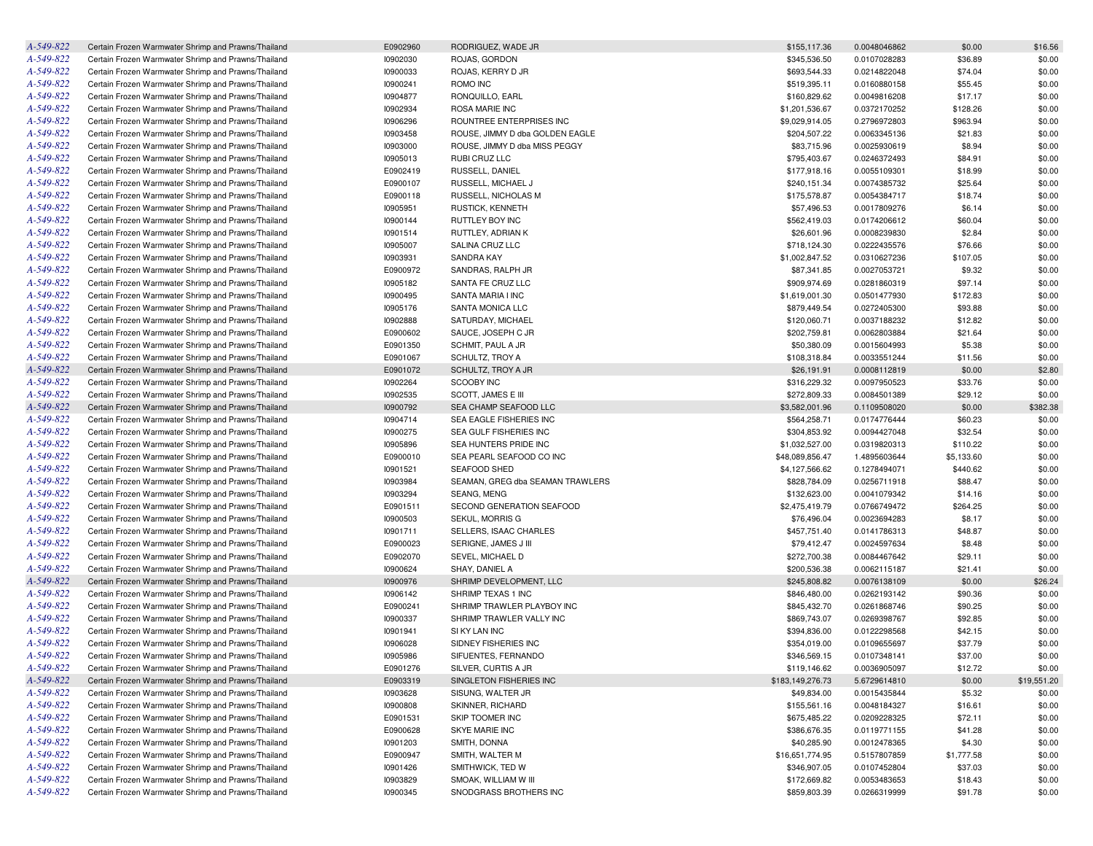| A-549-822 | Certain Frozen Warmwater Shrimp and Prawns/Thailand | E0902960 | RODRIGUEZ, WADE JR               | \$155,117.36     | 0.0048046862 | \$0.00     | \$16.56     |
|-----------|-----------------------------------------------------|----------|----------------------------------|------------------|--------------|------------|-------------|
| A-549-822 | Certain Frozen Warmwater Shrimp and Prawns/Thailand | 10902030 | ROJAS, GORDON                    | \$345,536.50     | 0.0107028283 | \$36.89    | \$0.00      |
| A-549-822 | Certain Frozen Warmwater Shrimp and Prawns/Thailand | 10900033 | ROJAS, KERRY D JR                | \$693,544.33     | 0.0214822048 | \$74.04    | \$0.00      |
| A-549-822 | Certain Frozen Warmwater Shrimp and Prawns/Thailand | 10900241 | ROMO INC                         | \$519,395.11     | 0.0160880158 | \$55.45    | \$0.00      |
| A-549-822 | Certain Frozen Warmwater Shrimp and Prawns/Thailand | 10904877 | RONQUILLO, EARL                  | \$160,829.62     | 0.0049816208 | \$17.17    | \$0.00      |
| A-549-822 | Certain Frozen Warmwater Shrimp and Prawns/Thailand | 10902934 | ROSA MARIE INC                   | \$1,201,536.67   | 0.0372170252 | \$128.26   | \$0.00      |
| A-549-822 | Certain Frozen Warmwater Shrimp and Prawns/Thailand | 10906296 | ROUNTREE ENTERPRISES INC         | \$9,029,914.05   | 0.2796972803 | \$963.94   | \$0.00      |
| A-549-822 | Certain Frozen Warmwater Shrimp and Prawns/Thailand | 10903458 | ROUSE, JIMMY D dba GOLDEN EAGLE  | \$204,507.22     | 0.0063345136 | \$21.83    | \$0.00      |
| A-549-822 | Certain Frozen Warmwater Shrimp and Prawns/Thailand | 10903000 | ROUSE, JIMMY D dba MISS PEGGY    | \$83,715.96      | 0.0025930619 | \$8.94     | \$0.00      |
| A-549-822 | Certain Frozen Warmwater Shrimp and Prawns/Thailand | 10905013 | RUBI CRUZ LLC                    | \$795,403.67     | 0.0246372493 | \$84.91    | \$0.00      |
| A-549-822 | Certain Frozen Warmwater Shrimp and Prawns/Thailand | E0902419 | RUSSELL, DANIEL                  | \$177,918.16     | 0.0055109301 | \$18.99    | \$0.00      |
| A-549-822 | Certain Frozen Warmwater Shrimp and Prawns/Thailand | E0900107 | RUSSELL, MICHAEL J               | \$240,151.34     | 0.0074385732 | \$25.64    | \$0.00      |
| A-549-822 | Certain Frozen Warmwater Shrimp and Prawns/Thailand | E0900118 | RUSSELL, NICHOLAS M              | \$175,578.87     | 0.0054384717 | \$18.74    | \$0.00      |
| A-549-822 | Certain Frozen Warmwater Shrimp and Prawns/Thailand | 10905951 | <b>RUSTICK, KENNETH</b>          | \$57,496.53      | 0.0017809276 | \$6.14     | \$0.00      |
| A-549-822 | Certain Frozen Warmwater Shrimp and Prawns/Thailand | 10900144 | RUTTLEY BOY INC                  | \$562,419.03     | 0.0174206612 | \$60.04    | \$0.00      |
| A-549-822 | Certain Frozen Warmwater Shrimp and Prawns/Thailand | 10901514 | RUTTLEY, ADRIAN K                | \$26,601.96      | 0.0008239830 | \$2.84     | \$0.00      |
| A-549-822 | Certain Frozen Warmwater Shrimp and Prawns/Thailand | 10905007 | SALINA CRUZ LLC                  | \$718,124.30     | 0.0222435576 | \$76.66    | \$0.00      |
| A-549-822 |                                                     |          | <b>SANDRA KAY</b>                |                  |              |            |             |
|           | Certain Frozen Warmwater Shrimp and Prawns/Thailand | 10903931 |                                  | \$1,002,847.52   | 0.0310627236 | \$107.05   | \$0.00      |
| A-549-822 | Certain Frozen Warmwater Shrimp and Prawns/Thailand | E0900972 | SANDRAS, RALPH JR                | \$87,341.85      | 0.0027053721 | \$9.32     | \$0.00      |
| A-549-822 | Certain Frozen Warmwater Shrimp and Prawns/Thailand | 10905182 | SANTA FE CRUZ LLC                | \$909,974.69     | 0.0281860319 | \$97.14    | \$0.00      |
| A-549-822 | Certain Frozen Warmwater Shrimp and Prawns/Thailand | 10900495 | SANTA MARIA I INC                | \$1,619,001.30   | 0.0501477930 | \$172.83   | \$0.00      |
| A-549-822 | Certain Frozen Warmwater Shrimp and Prawns/Thailand | 10905176 | SANTA MONICA LLC                 | \$879,449.54     | 0.0272405300 | \$93.88    | \$0.00      |
| A-549-822 | Certain Frozen Warmwater Shrimp and Prawns/Thailand | 10902888 | SATURDAY, MICHAEL                | \$120,060.71     | 0.0037188232 | \$12.82    | \$0.00      |
| A-549-822 | Certain Frozen Warmwater Shrimp and Prawns/Thailand | E0900602 | SAUCE, JOSEPH C JR               | \$202,759.81     | 0.0062803884 | \$21.64    | \$0.00      |
| A-549-822 | Certain Frozen Warmwater Shrimp and Prawns/Thailand | E0901350 | SCHMIT, PAUL A JR                | \$50,380.09      | 0.0015604993 | \$5.38     | \$0.00      |
| A-549-822 | Certain Frozen Warmwater Shrimp and Prawns/Thailand | E0901067 | <b>SCHULTZ, TROY A</b>           | \$108,318.84     | 0.0033551244 | \$11.56    | \$0.00      |
| A-549-822 | Certain Frozen Warmwater Shrimp and Prawns/Thailand | E0901072 | SCHULTZ, TROY A JR               | \$26,191.91      | 0.0008112819 | \$0.00     | \$2.80      |
| A-549-822 | Certain Frozen Warmwater Shrimp and Prawns/Thailand | 10902264 | <b>SCOOBY INC</b>                | \$316,229.32     | 0.0097950523 | \$33.76    | \$0.00      |
| A-549-822 | Certain Frozen Warmwater Shrimp and Prawns/Thailand | 10902535 | SCOTT, JAMES E III               | \$272,809.33     | 0.0084501389 | \$29.12    | \$0.00      |
| A-549-822 | Certain Frozen Warmwater Shrimp and Prawns/Thailand | 10900792 | SEA CHAMP SEAFOOD LLC            | \$3,582,001.96   | 0.1109508020 | \$0.00     | \$382.38    |
| A-549-822 | Certain Frozen Warmwater Shrimp and Prawns/Thailand | 10904714 | SEA EAGLE FISHERIES INC          | \$564,258.71     | 0.0174776444 | \$60.23    | \$0.00      |
| A-549-822 | Certain Frozen Warmwater Shrimp and Prawns/Thailand | I0900275 | SEA GULF FISHERIES INC           | \$304,853.92     | 0.0094427048 | \$32.54    | \$0.00      |
| A-549-822 | Certain Frozen Warmwater Shrimp and Prawns/Thailand | 10905896 | SEA HUNTERS PRIDE INC            | \$1,032,527.00   | 0.0319820313 | \$110.22   | \$0.00      |
| A-549-822 | Certain Frozen Warmwater Shrimp and Prawns/Thailand | E0900010 | SEA PEARL SEAFOOD CO INC         | \$48,089,856.47  | 1.4895603644 | \$5,133.60 | \$0.00      |
| A-549-822 | Certain Frozen Warmwater Shrimp and Prawns/Thailand | 10901521 | SEAFOOD SHED                     | \$4,127,566.62   | 0.1278494071 | \$440.62   | \$0.00      |
| A-549-822 | Certain Frozen Warmwater Shrimp and Prawns/Thailand | 10903984 | SEAMAN, GREG dba SEAMAN TRAWLERS | \$828,784.09     | 0.0256711918 | \$88.47    | \$0.00      |
| A-549-822 | Certain Frozen Warmwater Shrimp and Prawns/Thailand | 10903294 | SEANG, MENG                      | \$132,623.00     | 0.0041079342 | \$14.16    | \$0.00      |
| A-549-822 | Certain Frozen Warmwater Shrimp and Prawns/Thailand | E0901511 | SECOND GENERATION SEAFOOD        | \$2,475,419.79   | 0.0766749472 | \$264.25   | \$0.00      |
| A-549-822 | Certain Frozen Warmwater Shrimp and Prawns/Thailand | 10900503 | SEKUL, MORRIS G                  | \$76,496.04      | 0.0023694283 | \$8.17     | \$0.00      |
| A-549-822 | Certain Frozen Warmwater Shrimp and Prawns/Thailand | 10901711 | SELLERS, ISAAC CHARLES           | \$457,751.40     | 0.0141786313 | \$48.87    | \$0.00      |
| A-549-822 | Certain Frozen Warmwater Shrimp and Prawns/Thailand | E0900023 | SERIGNE, JAMES J III             | \$79,412.47      | 0.0024597634 | \$8.48     | \$0.00      |
| A-549-822 | Certain Frozen Warmwater Shrimp and Prawns/Thailand | E0902070 | SEVEL, MICHAEL D                 | \$272,700.38     | 0.0084467642 | \$29.11    | \$0.00      |
| A-549-822 | Certain Frozen Warmwater Shrimp and Prawns/Thailand | 10900624 | SHAY, DANIEL A                   | \$200,536.38     | 0.0062115187 | \$21.41    | \$0.00      |
| A-549-822 | Certain Frozen Warmwater Shrimp and Prawns/Thailand | 10900976 | SHRIMP DEVELOPMENT, LLC          | \$245,808.82     | 0.0076138109 | \$0.00     | \$26.24     |
| A-549-822 | Certain Frozen Warmwater Shrimp and Prawns/Thailand | 10906142 | SHRIMP TEXAS 1 INC               | \$846,480.00     | 0.0262193142 | \$90.36    | \$0.00      |
| A-549-822 | Certain Frozen Warmwater Shrimp and Prawns/Thailand | E0900241 | SHRIMP TRAWLER PLAYBOY INC       | \$845,432.70     | 0.0261868746 | \$90.25    | \$0.00      |
| A-549-822 | Certain Frozen Warmwater Shrimp and Prawns/Thailand | 10900337 | SHRIMP TRAWLER VALLY INC         | \$869,743.07     | 0.0269398767 | \$92.85    | \$0.00      |
| A-549-822 | Certain Frozen Warmwater Shrimp and Prawns/Thailand | 10901941 | SI KY LAN INC                    | \$394,836.00     | 0.0122298568 | \$42.15    | \$0.00      |
| A-549-822 | Certain Frozen Warmwater Shrimp and Prawns/Thailand |          | SIDNEY FISHERIES INC             |                  | 0.0109655697 |            |             |
| A-549-822 |                                                     | 10906028 |                                  | \$354,019.00     |              | \$37.79    | \$0.00      |
|           | Certain Frozen Warmwater Shrimp and Prawns/Thailand | 10905986 | SIFUENTES, FERNANDO              | \$346,569.15     | 0.0107348141 | \$37.00    | \$0.00      |
| A-549-822 | Certain Frozen Warmwater Shrimp and Prawns/Thailand | E0901276 | SILVER, CURTIS A JR              | \$119,146.62     | 0.0036905097 | \$12.72    | \$0.00      |
| A-549-822 | Certain Frozen Warmwater Shrimp and Prawns/Thailand | E0903319 | SINGLETON FISHERIES INC          | \$183,149,276.73 | 5.6729614810 | \$0.00     | \$19,551.20 |
| A-549-822 | Certain Frozen Warmwater Shrimp and Prawns/Thailand | 10903628 | SISUNG, WALTER JR                | \$49,834.00      | 0.0015435844 | \$5.32     | \$0.00      |
| A-549-822 | Certain Frozen Warmwater Shrimp and Prawns/Thailand | 10900808 | SKINNER, RICHARD                 | \$155,561.16     | 0.0048184327 | \$16.61    | \$0.00      |
| A-549-822 | Certain Frozen Warmwater Shrimp and Prawns/Thailand | E0901531 | SKIP TOOMER INC                  | \$675,485.22     | 0.0209228325 | \$72.11    | \$0.00      |
| A-549-822 | Certain Frozen Warmwater Shrimp and Prawns/Thailand | E0900628 | SKYE MARIE INC                   | \$386,676.35     | 0.0119771155 | \$41.28    | \$0.00      |
| A-549-822 | Certain Frozen Warmwater Shrimp and Prawns/Thailand | 10901203 | SMITH, DONNA                     | \$40,285.90      | 0.0012478365 | \$4.30     | \$0.00      |
| A-549-822 | Certain Frozen Warmwater Shrimp and Prawns/Thailand | E0900947 | SMITH, WALTER M                  | \$16,651,774.95  | 0.5157807859 | \$1,777.58 | \$0.00      |
| A-549-822 | Certain Frozen Warmwater Shrimp and Prawns/Thailand | 10901426 | SMITHWICK, TED W                 | \$346,907.05     | 0.0107452804 | \$37.03    | \$0.00      |
| A-549-822 | Certain Frozen Warmwater Shrimp and Prawns/Thailand | 10903829 | SMOAK, WILLIAM W III             | \$172,669.82     | 0.0053483653 | \$18.43    | \$0.00      |
| A-549-822 | Certain Frozen Warmwater Shrimp and Prawns/Thailand | 10900345 | SNODGRASS BROTHERS INC           | \$859,803.39     | 0.0266319999 | \$91.78    | \$0.00      |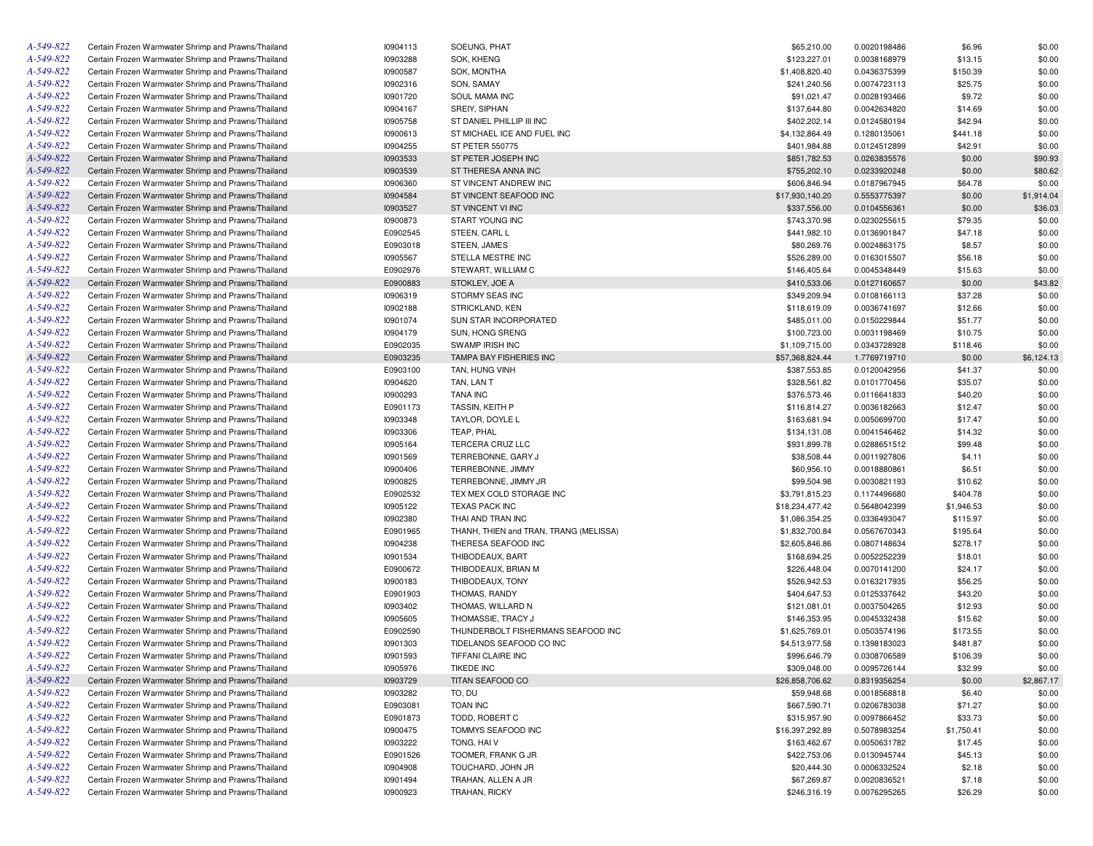| A-549-822 | Certain Frozen Warmwater Shrimp and Prawns/Thailand | 10904113        | SOEUNG, PHAT                           | \$65,210.00     | 0.0020198486 | \$6.96     | \$0.00     |
|-----------|-----------------------------------------------------|-----------------|----------------------------------------|-----------------|--------------|------------|------------|
| A-549-822 | Certain Frozen Warmwater Shrimp and Prawns/Thailand | 10903288        | SOK, KHENG                             | \$123,227.01    | 0.0038168979 | \$13.15    | \$0.00     |
| A-549-822 | Certain Frozen Warmwater Shrimp and Prawns/Thailand | 10900587        | SOK, MONTHA                            | \$1,408,820.40  | 0.0436375399 | \$150.39   | \$0.00     |
| A-549-822 | Certain Frozen Warmwater Shrimp and Prawns/Thailand | 10902316        | SON, SAMAY                             | \$241,240.56    | 0.0074723113 | \$25.75    | \$0.00     |
| A-549-822 | Certain Frozen Warmwater Shrimp and Prawns/Thailand | 10901720        | SOUL MAMA INC                          | \$91,021.47     | 0.0028193466 | \$9.72     | \$0.00     |
| A-549-822 | Certain Frozen Warmwater Shrimp and Prawns/Thailand | 10904167        | SREIY, SIPHAN                          | \$137,644.80    | 0.0042634820 | \$14.69    | \$0.00     |
| A-549-822 | Certain Frozen Warmwater Shrimp and Prawns/Thailand | 10905758        | ST DANIEL PHILLIP III INC              | \$402,202.14    | 0.0124580194 | \$42.94    | \$0.00     |
| A-549-822 | Certain Frozen Warmwater Shrimp and Prawns/Thailand | 10900613        | ST MICHAEL ICE AND FUEL INC            | \$4,132,864.49  | 0.1280135061 | \$441.18   | \$0.00     |
| A-549-822 | Certain Frozen Warmwater Shrimp and Prawns/Thailand | I0904255        | <b>ST PETER 550775</b>                 | \$401,984.88    | 0.0124512899 | \$42.91    | \$0.00     |
| A-549-822 | Certain Frozen Warmwater Shrimp and Prawns/Thailand | 10903533        | ST PETER JOSEPH INC                    | \$851,782.53    | 0.0263835576 | \$0.00     | \$90.93    |
| A-549-822 | Certain Frozen Warmwater Shrimp and Prawns/Thailand | 10903539        | ST THERESA ANNA INC                    | \$755,202.10    | 0.0233920248 | \$0.00     | \$80.62    |
| A-549-822 | Certain Frozen Warmwater Shrimp and Prawns/Thailand | 10906360        | ST VINCENT ANDREW INC                  | \$606,846.94    | 0.0187967945 | \$64.78    | \$0.00     |
| A-549-822 | Certain Frozen Warmwater Shrimp and Prawns/Thailand | 10904584        | ST VINCENT SEAFOOD INC                 | \$17,930,140.20 | 0.5553775397 | \$0.00     | \$1,914.04 |
| A-549-822 | Certain Frozen Warmwater Shrimp and Prawns/Thailand | 10903527        | ST VINCENT VI INC                      | \$337,556.00    | 0.0104556361 | \$0.00     | \$36.03    |
| A-549-822 | Certain Frozen Warmwater Shrimp and Prawns/Thailand |                 |                                        |                 |              |            |            |
|           |                                                     | 10900873        | <b>START YOUNG INC</b>                 | \$743,370.98    | 0.0230255615 | \$79.35    | \$0.00     |
| A-549-822 | Certain Frozen Warmwater Shrimp and Prawns/Thailand | E0902545        | STEEN, CARL L                          | \$441,982.10    | 0.0136901847 | \$47.18    | \$0.00     |
| A-549-822 | Certain Frozen Warmwater Shrimp and Prawns/Thailand | E0903018        | STEEN, JAMES                           | \$80,269.76     | 0.0024863175 | \$8.57     | \$0.00     |
| A-549-822 | Certain Frozen Warmwater Shrimp and Prawns/Thailand | 10905567        | STELLA MESTRE INC                      | \$526,289.00    | 0.0163015507 | \$56.18    | \$0.00     |
| A-549-822 | Certain Frozen Warmwater Shrimp and Prawns/Thailand | E0902976        | STEWART, WILLIAM C                     | \$146,405.64    | 0.0045348449 | \$15.63    | \$0.00     |
| A-549-822 | Certain Frozen Warmwater Shrimp and Prawns/Thailand | E0900883        | STOKLEY, JOE A                         | \$410,533.06    | 0.0127160657 | \$0.00     | \$43.82    |
| A-549-822 | Certain Frozen Warmwater Shrimp and Prawns/Thailand | 10906319        | STORMY SEAS INC                        | \$349,209.94    | 0.0108166113 | \$37.28    | \$0.00     |
| A-549-822 | Certain Frozen Warmwater Shrimp and Prawns/Thailand | 10902188        | STRICKLAND, KEN                        | \$118,619.09    | 0.0036741697 | \$12.66    | \$0.00     |
| A-549-822 | Certain Frozen Warmwater Shrimp and Prawns/Thailand | 10901074        | <b>SUN STAR INCORPORATED</b>           | \$485.011.00    | 0.0150229844 | \$51.77    | \$0.00     |
| A-549-822 | Certain Frozen Warmwater Shrimp and Prawns/Thailand | 10904179        | <b>SUN. HONG SRENG</b>                 | \$100,723.00    | 0.0031198469 | \$10.75    | \$0.00     |
| A-549-822 | Certain Frozen Warmwater Shrimp and Prawns/Thailand | E0902035        | SWAMP IRISH INC                        | \$1,109,715.00  | 0.0343728928 | \$118.46   | \$0.00     |
| A-549-822 | Certain Frozen Warmwater Shrimp and Prawns/Thailand | E0903235        | TAMPA BAY FISHERIES INC                | \$57,368,824.44 | 1.7769719710 | \$0.00     | \$6,124.13 |
| A-549-822 | Certain Frozen Warmwater Shrimp and Prawns/Thailand | E0903100        | TAN, HUNG VINH                         | \$387,553.85    | 0.0120042956 | \$41.37    | \$0.00     |
| A-549-822 | Certain Frozen Warmwater Shrimp and Prawns/Thailand | 10904620        | TAN, LAN T                             | \$328,561.82    | 0.0101770456 | \$35.07    | \$0.00     |
| A-549-822 | Certain Frozen Warmwater Shrimp and Prawns/Thailand | 10900293        | <b>TANA INC</b>                        | \$376,573.46    | 0.0116641833 | \$40.20    | \$0.00     |
| A-549-822 | Certain Frozen Warmwater Shrimp and Prawns/Thailand | E0901173        | TASSIN, KEITH P                        | \$116,814.27    | 0.0036182663 | \$12.47    | \$0.00     |
| A-549-822 | Certain Frozen Warmwater Shrimp and Prawns/Thailand | 10903348        | TAYLOR, DOYLE L                        | \$163,681.94    | 0.0050699700 | \$17.47    | \$0.00     |
| A-549-822 | Certain Frozen Warmwater Shrimp and Prawns/Thailand | 10903306        | TEAP, PHAL                             | \$134,131.08    | 0.0041546462 | \$14.32    | \$0.00     |
| A-549-822 | Certain Frozen Warmwater Shrimp and Prawns/Thailand | 10905164        | TERCERA CRUZ LLC                       | \$931,899.78    | 0.0288651512 | \$99.48    | \$0.00     |
| A-549-822 | Certain Frozen Warmwater Shrimp and Prawns/Thailand | 10901569        | TERREBONNE, GARY J                     | \$38,508.44     | 0.0011927806 | \$4.11     | \$0.00     |
| A-549-822 | Certain Frozen Warmwater Shrimp and Prawns/Thailand | 10900406        | TERREBONNE, JIMMY                      | \$60,956.10     | 0.0018880861 | \$6.51     | \$0.00     |
| A-549-822 | Certain Frozen Warmwater Shrimp and Prawns/Thailand | 10900825        | TERREBONNE, JIMMY JR                   | \$99,504.98     | 0.0030821193 | \$10.62    | \$0.00     |
| A-549-822 | Certain Frozen Warmwater Shrimp and Prawns/Thailand | E0902532        | TEX MEX COLD STORAGE INC               | \$3,791,815.23  | 0.1174496680 | \$404.78   | \$0.00     |
| A-549-822 | Certain Frozen Warmwater Shrimp and Prawns/Thailand | 10905122        | <b>TEXAS PACK INC</b>                  | \$18,234,477.42 | 0.5648042399 | \$1,946.53 | \$0.00     |
| A-549-822 | Certain Frozen Warmwater Shrimp and Prawns/Thailand |                 | THAI AND TRAN INC                      |                 |              |            |            |
| A-549-822 |                                                     | 10902380        |                                        | \$1,086,354.25  | 0.0336493047 | \$115.97   | \$0.00     |
|           | Certain Frozen Warmwater Shrimp and Prawns/Thailand | E0901965        | THANH, THIEN and TRAN, TRANG (MELISSA) | \$1,832,700.84  | 0.0567670343 | \$195.64   | \$0.00     |
| A-549-822 | Certain Frozen Warmwater Shrimp and Prawns/Thailand | 10904238        | THERESA SEAFOOD INC                    | \$2,605,846.86  | 0.0807148634 | \$278.17   | \$0.00     |
| A-549-822 | Certain Frozen Warmwater Shrimp and Prawns/Thailand | 10901534        | THIBODEAUX, BART                       | \$168,694.25    | 0.0052252239 | \$18.01    | \$0.00     |
| A-549-822 | Certain Frozen Warmwater Shrimp and Prawns/Thailand | E0900672        | THIBODEAUX, BRIAN M                    | \$226,448.04    | 0.0070141200 | \$24.17    | \$0.00     |
| A-549-822 | Certain Frozen Warmwater Shrimp and Prawns/Thailand | 10900183        | THIBODEAUX, TONY                       | \$526,942.53    | 0.0163217935 | \$56.25    | \$0.00     |
| A-549-822 | Certain Frozen Warmwater Shrimp and Prawns/Thailand | E0901903        | THOMAS, RANDY                          | \$404,647.53    | 0.0125337642 | \$43.20    | \$0.00     |
| A-549-822 | Certain Frozen Warmwater Shrimp and Prawns/Thailand | 10903402        | THOMAS, WILLARD N                      | \$121,081.01    | 0.0037504265 | \$12.93    | \$0.00     |
| A-549-822 | Certain Frozen Warmwater Shrimp and Prawns/Thailand | 10905605        | THOMASSIE, TRACY J                     | \$146,353.95    | 0.0045332438 | \$15.62    | \$0.00     |
| A-549-822 | Certain Frozen Warmwater Shrimp and Prawns/Thailand | E0902590        | THUNDERBOLT FISHERMANS SEAFOOD INC     | \$1,625,769.01  | 0.0503574196 | \$173.55   | \$0.00     |
| A-549-822 | Certain Frozen Warmwater Shrimp and Prawns/Thailand | 10901303        | TIDELANDS SEAFOOD CO INC               | \$4,513,977.58  | 0.1398183023 | \$481.87   | \$0.00     |
| A-549-822 | Certain Frozen Warmwater Shrimp and Prawns/Thailand | 10901593        | TIFFANI CLAIRE INC                     | \$996,646.79    | 0.0308706589 | \$106.39   | \$0.00     |
| A-549-822 | Certain Frozen Warmwater Shrimp and Prawns/Thailand | 10905976        | <b>TIKEDE INC</b>                      | \$309,048.00    | 0.0095726144 | \$32.99    | \$0.00     |
| A-549-822 | Certain Frozen Warmwater Shrimp and Prawns/Thailand | 10903729        | TITAN SEAFOOD CO                       | \$26,858,706.62 | 0.8319356254 | \$0.00     | \$2,867.17 |
| A-549-822 | Certain Frozen Warmwater Shrimp and Prawns/Thailand | 10903282        | TO, DU                                 | \$59,948.68     | 0.0018568818 | \$6.40     | \$0.00     |
| A-549-822 | Certain Frozen Warmwater Shrimp and Prawns/Thailand | E0903081        | <b>TOAN INC</b>                        | \$667,590.71    | 0.0206783038 | \$71.27    | \$0.00     |
| A-549-822 | Certain Frozen Warmwater Shrimp and Prawns/Thailand | E0901873        | TODD, ROBERT C                         | \$315,957.90    | 0.0097866452 | \$33.73    | \$0.00     |
| A-549-822 | Certain Frozen Warmwater Shrimp and Prawns/Thailand | <b>I0900475</b> | TOMMYS SEAFOOD INC                     | \$16,397,292.89 | 0.5078983254 | \$1,750.41 | \$0.00     |
| A-549-822 | Certain Frozen Warmwater Shrimp and Prawns/Thailand | 10903222        | TONG, HAI V                            | \$163,462.67    | 0.0050631782 | \$17.45    | \$0.00     |
| A-549-822 | Certain Frozen Warmwater Shrimp and Prawns/Thailand | E0901526        | TOOMER, FRANK G JR                     | \$422,753.06    | 0.0130945744 | \$45.13    | \$0.00     |
| A-549-822 | Certain Frozen Warmwater Shrimp and Prawns/Thailand | 10904908        | TOUCHARD, JOHN JR                      | \$20,444.30     | 0.0006332524 | \$2.18     | \$0.00     |
| A-549-822 | Certain Frozen Warmwater Shrimp and Prawns/Thailand | 10901494        | TRAHAN, ALLEN A JR                     | \$67,269.87     | 0.0020836521 | \$7.18     | \$0.00     |
| A-549-822 | Certain Frozen Warmwater Shrimp and Prawns/Thailand | 10900923        | <b>TRAHAN, RICKY</b>                   | \$246,316.19    | 0.0076295265 | \$26.29    | \$0.00     |
|           |                                                     |                 |                                        |                 |              |            |            |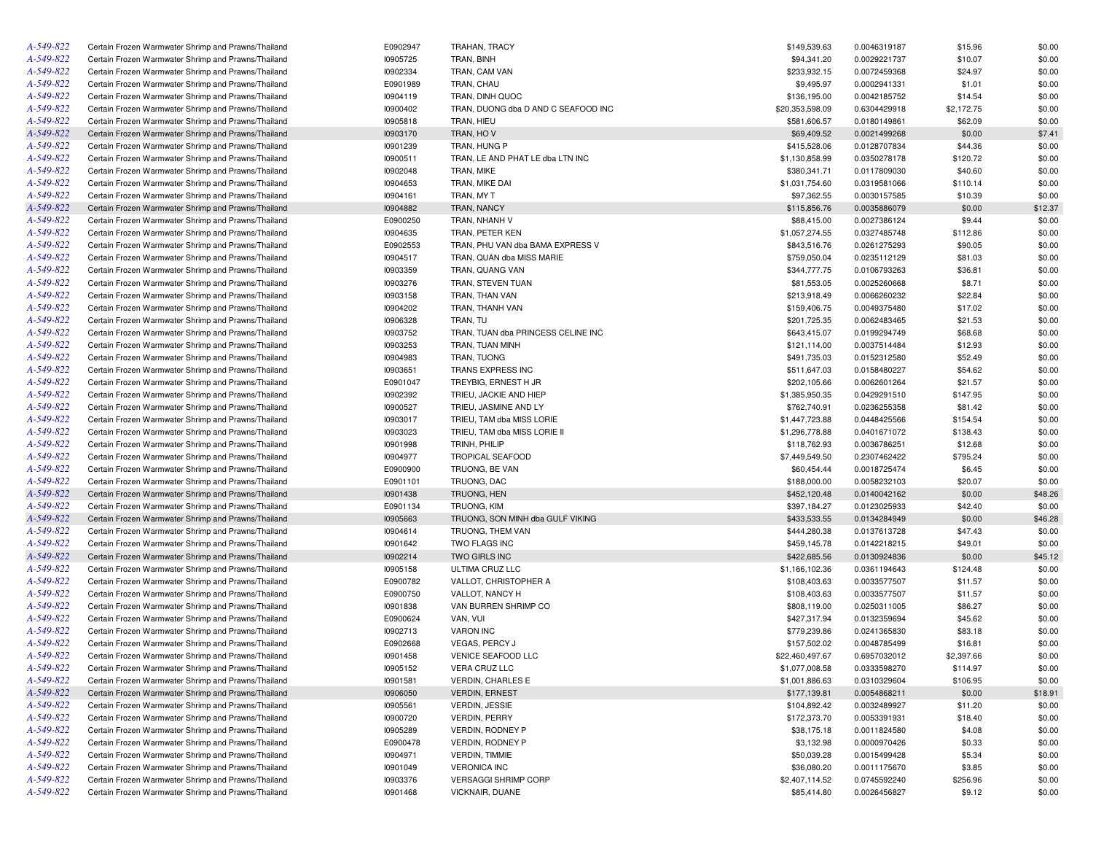| A-549-822 | Certain Frozen Warmwater Shrimp and Prawns/Thailand | E0902947 | TRAHAN, TRACY                       | \$149,539.63    | 0.0046319187 | \$15.96    | \$0.00  |
|-----------|-----------------------------------------------------|----------|-------------------------------------|-----------------|--------------|------------|---------|
| A-549-822 | Certain Frozen Warmwater Shrimp and Prawns/Thailand | 10905725 | TRAN, BINH                          | \$94,341.20     | 0.0029221737 | \$10.07    | \$0.00  |
| A-549-822 | Certain Frozen Warmwater Shrimp and Prawns/Thailand | 10902334 | TRAN, CAM VAN                       | \$233,932.15    | 0.0072459368 | \$24.97    | \$0.00  |
| A-549-822 | Certain Frozen Warmwater Shrimp and Prawns/Thailand | E0901989 | TRAN, CHAU                          | \$9,495.97      | 0.0002941331 | \$1.01     | \$0.00  |
| A-549-822 | Certain Frozen Warmwater Shrimp and Prawns/Thailand | 10904119 | TRAN, DINH QUOC                     | \$136,195.00    | 0.0042185752 | \$14.54    | \$0.00  |
| A-549-822 | Certain Frozen Warmwater Shrimp and Prawns/Thailand | 10900402 | TRAN, DUONG dba D AND C SEAFOOD INC | \$20,353,598.09 | 0.6304429918 | \$2,172.75 | \$0.00  |
| A-549-822 | Certain Frozen Warmwater Shrimp and Prawns/Thailand | 10905818 | TRAN, HIEU                          | \$581,606.57    | 0.0180149861 | \$62.09    | \$0.00  |
| A-549-822 | Certain Frozen Warmwater Shrimp and Prawns/Thailand | 10903170 | TRAN, HOV                           | \$69,409.52     | 0.0021499268 | \$0.00     | \$7.41  |
| A-549-822 | Certain Frozen Warmwater Shrimp and Prawns/Thailand | 10901239 | TRAN, HUNG P                        | \$415,528.06    | 0.0128707834 | \$44.36    | \$0.00  |
| A-549-822 | Certain Frozen Warmwater Shrimp and Prawns/Thailand | 10900511 | TRAN, LE AND PHAT LE dba LTN INC    | \$1,130,858.99  | 0.0350278178 | \$120.72   | \$0.00  |
| A-549-822 | Certain Frozen Warmwater Shrimp and Prawns/Thailand | 10902048 | TRAN, MIKE                          | \$380,341.71    | 0.0117809030 | \$40.60    | \$0.00  |
| A-549-822 | Certain Frozen Warmwater Shrimp and Prawns/Thailand | 10904653 | TRAN, MIKE DAI                      | \$1,031,754.60  | 0.0319581066 | \$110.14   | \$0.00  |
| A-549-822 | Certain Frozen Warmwater Shrimp and Prawns/Thailand | 10904161 | TRAN, MY T                          | \$97,362.55     | 0.0030157585 | \$10.39    | \$0.00  |
| A-549-822 | Certain Frozen Warmwater Shrimp and Prawns/Thailand | 10904882 | TRAN, NANCY                         | \$115,856.76    | 0.0035886079 | \$0.00     | \$12.37 |
| A-549-822 | Certain Frozen Warmwater Shrimp and Prawns/Thailand | E0900250 | TRAN, NHANH V                       | \$88,415.00     | 0.0027386124 | \$9.44     | \$0.00  |
| A-549-822 | Certain Frozen Warmwater Shrimp and Prawns/Thailand | 10904635 | TRAN, PETER KEN                     | \$1,057,274.55  | 0.0327485748 | \$112.86   | \$0.00  |
| A-549-822 | Certain Frozen Warmwater Shrimp and Prawns/Thailand | E0902553 | TRAN, PHU VAN dba BAMA EXPRESS V    | \$843,516.76    | 0.0261275293 | \$90.05    | \$0.00  |
| A-549-822 | Certain Frozen Warmwater Shrimp and Prawns/Thailand | 10904517 | TRAN, QUAN dba MISS MARIE           | \$759,050.04    | 0.0235112129 | \$81.03    | \$0.00  |
| A-549-822 | Certain Frozen Warmwater Shrimp and Prawns/Thailand | 10903359 | TRAN, QUANG VAN                     | \$344,777.75    | 0.0106793263 | \$36.81    | \$0.00  |
| A-549-822 |                                                     |          |                                     |                 |              |            |         |
|           | Certain Frozen Warmwater Shrimp and Prawns/Thailand | 10903276 | TRAN, STEVEN TUAN                   | \$81,553.05     | 0.0025260668 | \$8.71     | \$0.00  |
| A-549-822 | Certain Frozen Warmwater Shrimp and Prawns/Thailand | 10903158 | TRAN, THAN VAN                      | \$213,918.49    | 0.0066260232 | \$22.84    | \$0.00  |
| A-549-822 | Certain Frozen Warmwater Shrimp and Prawns/Thailand | 10904202 | TRAN, THANH VAN                     | \$159,406.75    | 0.0049375480 | \$17.02    | \$0.00  |
| A-549-822 | Certain Frozen Warmwater Shrimp and Prawns/Thailand | 10906328 | TRAN, TU                            | \$201,725.35    | 0.0062483465 | \$21.53    | \$0.00  |
| A-549-822 | Certain Frozen Warmwater Shrimp and Prawns/Thailand | 10903752 | TRAN, TUAN dba PRINCESS CELINE INC  | \$643,415.07    | 0.0199294749 | \$68.68    | \$0.00  |
| A-549-822 | Certain Frozen Warmwater Shrimp and Prawns/Thailand | 10903253 | TRAN, TUAN MINH                     | \$121,114.00    | 0.0037514484 | \$12.93    | \$0.00  |
| A-549-822 | Certain Frozen Warmwater Shrimp and Prawns/Thailand | 10904983 | TRAN, TUONG                         | \$491,735.03    | 0.0152312580 | \$52.49    | \$0.00  |
| A-549-822 | Certain Frozen Warmwater Shrimp and Prawns/Thailand | 10903651 | TRANS EXPRESS INC                   | \$511,647.03    | 0.0158480227 | \$54.62    | \$0.00  |
| A-549-822 | Certain Frozen Warmwater Shrimp and Prawns/Thailand | E0901047 | TREYBIG, ERNEST H JR                | \$202,105.66    | 0.0062601264 | \$21.57    | \$0.00  |
| A-549-822 | Certain Frozen Warmwater Shrimp and Prawns/Thailand | 10902392 | TRIEU, JACKIE AND HIEP              | \$1,385,950.35  | 0.0429291510 | \$147.95   | \$0.00  |
| A-549-822 | Certain Frozen Warmwater Shrimp and Prawns/Thailand | 10900527 | TRIEU, JASMINE AND LY               | \$762,740.91    | 0.0236255358 | \$81.42    | \$0.00  |
| A-549-822 | Certain Frozen Warmwater Shrimp and Prawns/Thailand | 10903017 | TRIEU, TAM dba MISS LORIE           | \$1,447,723.88  | 0.0448425566 | \$154.54   | \$0.00  |
| A-549-822 | Certain Frozen Warmwater Shrimp and Prawns/Thailand | 10903023 | TRIEU, TAM dba MISS LORIE II        | \$1,296,778.88  | 0.0401671072 | \$138.43   | \$0.00  |
| A-549-822 | Certain Frozen Warmwater Shrimp and Prawns/Thailand | 10901998 | TRINH, PHILIP                       | \$118,762.93    | 0.0036786251 | \$12.68    | \$0.00  |
| A-549-822 | Certain Frozen Warmwater Shrimp and Prawns/Thailand | 10904977 | <b>TROPICAL SEAFOOD</b>             | \$7,449,549.50  | 0.2307462422 | \$795.24   | \$0.00  |
| A-549-822 | Certain Frozen Warmwater Shrimp and Prawns/Thailand | E0900900 | TRUONG, BE VAN                      | \$60,454.44     | 0.0018725474 | \$6.45     | \$0.00  |
| A-549-822 | Certain Frozen Warmwater Shrimp and Prawns/Thailand | E0901101 | TRUONG, DAC                         | \$188,000.00    | 0.0058232103 | \$20.07    | \$0.00  |
| A-549-822 | Certain Frozen Warmwater Shrimp and Prawns/Thailand | 10901438 | TRUONG, HEN                         | \$452,120.48    | 0.0140042162 | \$0.00     | \$48.26 |
| A-549-822 | Certain Frozen Warmwater Shrimp and Prawns/Thailand | E0901134 | TRUONG, KIM                         | \$397,184.27    | 0.0123025933 | \$42.40    | \$0.00  |
| A-549-822 | Certain Frozen Warmwater Shrimp and Prawns/Thailand | 10905663 | TRUONG, SON MINH dba GULF VIKING    | \$433,533.55    | 0.0134284949 | \$0.00     | \$46.28 |
| A-549-822 | Certain Frozen Warmwater Shrimp and Prawns/Thailand | 10904614 | TRUONG, THEM VAN                    | \$444,280.38    | 0.0137613728 | \$47.43    | \$0.00  |
| A-549-822 | Certain Frozen Warmwater Shrimp and Prawns/Thailand | 10901642 | TWO FLAGS INC                       | \$459,145.78    | 0.0142218215 | \$49.01    | \$0.00  |
| A-549-822 | Certain Frozen Warmwater Shrimp and Prawns/Thailand | 10902214 | TWO GIRLS INC                       | \$422,685.56    | 0.0130924836 | \$0.00     | \$45.12 |
| A-549-822 | Certain Frozen Warmwater Shrimp and Prawns/Thailand | 10905158 | ULTIMA CRUZ LLC                     | \$1,166,102.36  | 0.0361194643 | \$124.48   | \$0.00  |
| A-549-822 | Certain Frozen Warmwater Shrimp and Prawns/Thailand | E0900782 | VALLOT, CHRISTOPHER A               | \$108,403.63    | 0.0033577507 | \$11.57    | \$0.00  |
| A-549-822 | Certain Frozen Warmwater Shrimp and Prawns/Thailand | E0900750 | VALLOT, NANCY H                     | \$108,403.63    | 0.0033577507 | \$11.57    | \$0.00  |
| A-549-822 | Certain Frozen Warmwater Shrimp and Prawns/Thailand | 10901838 | VAN BURREN SHRIMP CO                | \$808,119.00    | 0.0250311005 | \$86.27    | \$0.00  |
| A-549-822 | Certain Frozen Warmwater Shrimp and Prawns/Thailand | E0900624 | VAN, VUI                            | \$427,317.94    | 0.0132359694 | \$45.62    | \$0.00  |
| A-549-822 | Certain Frozen Warmwater Shrimp and Prawns/Thailand | 10902713 | <b>VARON INC</b>                    | \$779,239.86    | 0.0241365830 | \$83.18    | \$0.00  |
| A-549-822 | Certain Frozen Warmwater Shrimp and Prawns/Thailand | E0902668 | VEGAS, PERCY J                      | \$157,502.02    | 0.0048785499 | \$16.81    | \$0.00  |
| A-549-822 | Certain Frozen Warmwater Shrimp and Prawns/Thailand | 10901458 | VENICE SEAFOOD LLC                  | \$22,460,497.67 | 0.6957032012 | \$2,397.66 | \$0.00  |
| A-549-822 | Certain Frozen Warmwater Shrimp and Prawns/Thailand | 10905152 | VERA CRUZ LLC                       | \$1,077,008.58  | 0.0333598270 | \$114.97   | \$0.00  |
| A-549-822 | Certain Frozen Warmwater Shrimp and Prawns/Thailand | 10901581 | <b>VERDIN, CHARLES E</b>            | \$1,001,886.63  | 0.0310329604 | \$106.95   | \$0.00  |
| A-549-822 | Certain Frozen Warmwater Shrimp and Prawns/Thailand | 10906050 | <b>VERDIN, ERNEST</b>               | \$177,139.81    |              |            |         |
| A-549-822 | Certain Frozen Warmwater Shrimp and Prawns/Thailand |          | <b>VERDIN, JESSIE</b>               |                 | 0.0054868211 | \$0.00     | \$18.91 |
| A-549-822 |                                                     | 10905561 | <b>VERDIN, PERRY</b>                | \$104,892.42    | 0.0032489927 | \$11.20    | \$0.00  |
|           | Certain Frozen Warmwater Shrimp and Prawns/Thailand | 10900720 |                                     | \$172,373.70    | 0.0053391931 | \$18.40    | \$0.00  |
| A-549-822 | Certain Frozen Warmwater Shrimp and Prawns/Thailand | 10905289 | VERDIN, RODNEY P                    | \$38,175.18     | 0.0011824580 | \$4.08     | \$0.00  |
| A-549-822 | Certain Frozen Warmwater Shrimp and Prawns/Thailand | E0900478 | VERDIN, RODNEY P                    | \$3,132.98      | 0.0000970426 | \$0.33     | \$0.00  |
| A-549-822 | Certain Frozen Warmwater Shrimp and Prawns/Thailand | 10904971 | <b>VERDIN, TIMMIE</b>               | \$50,039.28     | 0.0015499428 | \$5.34     | \$0.00  |
| A-549-822 | Certain Frozen Warmwater Shrimp and Prawns/Thailand | 10901049 | <b>VERONICA INC</b>                 | \$36,080.20     | 0.0011175670 | \$3.85     | \$0.00  |
| A-549-822 | Certain Frozen Warmwater Shrimp and Prawns/Thailand | 10903376 | <b>VERSAGGI SHRIMP CORP</b>         | \$2,407,114.52  | 0.0745592240 | \$256.96   | \$0.00  |
| A-549-822 | Certain Frozen Warmwater Shrimp and Prawns/Thailand | 10901468 | VICKNAIR, DUANE                     | \$85,414.80     | 0.0026456827 | \$9.12     | \$0.00  |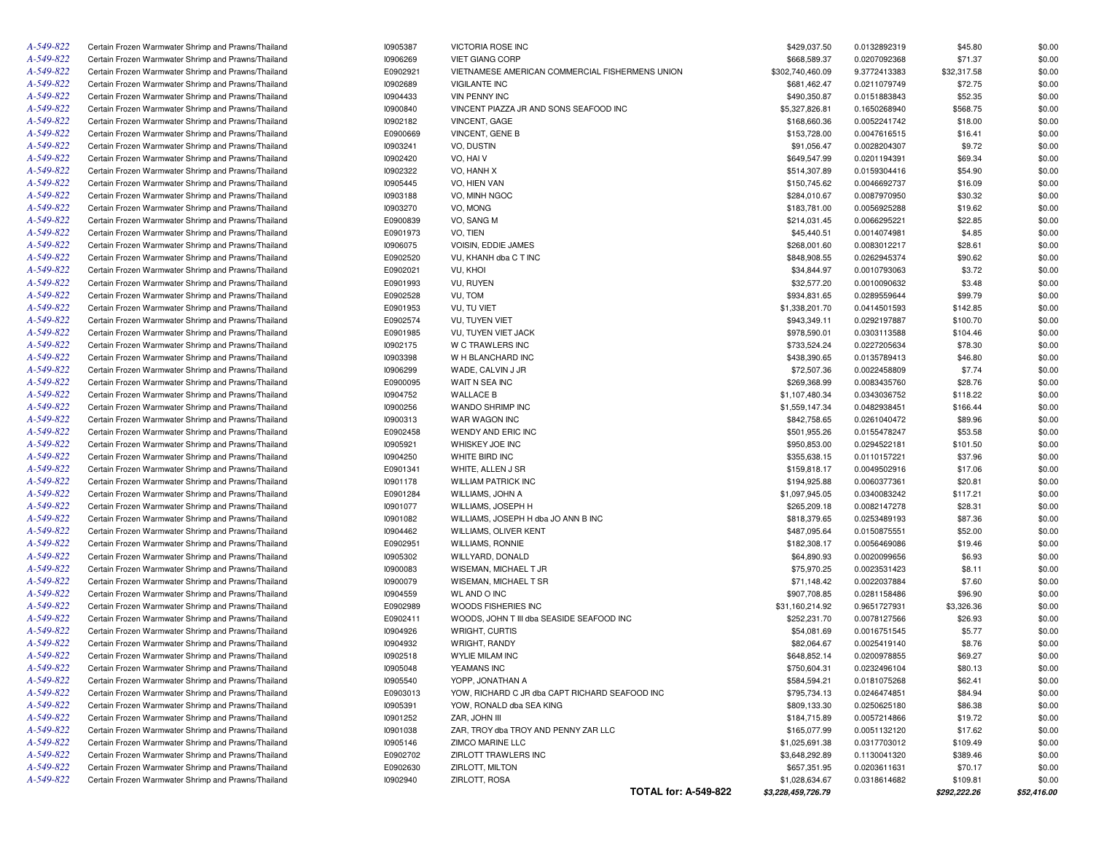| A-549-822 | Certain Frozen Warmwater Shrimp and Prawns/Thailand                                                        | 10905387 | VICTORIA ROSE INC                               | \$429,037.50       | 0.0132892319                 | \$45.80               | \$0.00      |
|-----------|------------------------------------------------------------------------------------------------------------|----------|-------------------------------------------------|--------------------|------------------------------|-----------------------|-------------|
| A-549-822 | Certain Frozen Warmwater Shrimp and Prawns/Thailand                                                        | 10906269 | <b>VIET GIANG CORP</b>                          | \$668,589.37       | 0.0207092368                 | \$71.37               | \$0.00      |
| A-549-822 | Certain Frozen Warmwater Shrimp and Prawns/Thailand                                                        | E0902921 | VIETNAMESE AMERICAN COMMERCIAL FISHERMENS UNION | \$302,740,460.09   | 9.3772413383                 | \$32,317.58           | \$0.00      |
| A-549-822 | Certain Frozen Warmwater Shrimp and Prawns/Thailand                                                        | 10902689 | <b>VIGILANTE INC</b>                            | \$681,462.47       | 0.0211079749                 | \$72.75               | \$0.00      |
| A-549-822 | Certain Frozen Warmwater Shrimp and Prawns/Thailand                                                        | 10904433 | <b>VIN PENNY INC</b>                            | \$490,350.87       | 0.0151883843                 | \$52.35               | \$0.00      |
| A-549-822 | Certain Frozen Warmwater Shrimp and Prawns/Thailand                                                        | 10900840 | VINCENT PIAZZA JR AND SONS SEAFOOD INC          | \$5,327,826.81     | 0.1650268940                 | \$568.75              | \$0.00      |
| A-549-822 | Certain Frozen Warmwater Shrimp and Prawns/Thailand                                                        | 10902182 | VINCENT, GAGE                                   | \$168,660.36       | 0.0052241742                 | \$18.00               | \$0.00      |
| A-549-822 | Certain Frozen Warmwater Shrimp and Prawns/Thailand                                                        | E0900669 | VINCENT, GENE B                                 | \$153,728.00       | 0.0047616515                 | \$16.41               | \$0.00      |
| A-549-822 | Certain Frozen Warmwater Shrimp and Prawns/Thailand                                                        | 10903241 | VO, DUSTIN                                      | \$91,056.47        | 0.0028204307                 | \$9.72                | \$0.00      |
| A-549-822 | Certain Frozen Warmwater Shrimp and Prawns/Thailand                                                        | 10902420 | VO, HAI V                                       | \$649,547.99       | 0.0201194391                 | \$69.34               | \$0.00      |
| A-549-822 | Certain Frozen Warmwater Shrimp and Prawns/Thailand                                                        | 10902322 | VO, HANH X                                      | \$514,307.89       | 0.0159304416                 | \$54.90               | \$0.00      |
| A-549-822 | Certain Frozen Warmwater Shrimp and Prawns/Thailand                                                        | 10905445 | VO, HIEN VAN                                    | \$150,745.62       | 0.0046692737                 | \$16.09               | \$0.00      |
| A-549-822 | Certain Frozen Warmwater Shrimp and Prawns/Thailand                                                        | 10903188 | VO, MINH NGOC                                   | \$284,010.67       | 0.0087970950                 | \$30.32               | \$0.00      |
| A-549-822 | Certain Frozen Warmwater Shrimp and Prawns/Thailand                                                        | 10903270 | VO. MONG                                        | \$183,781.00       | 0.0056925288                 | \$19.62               | \$0.00      |
| A-549-822 | Certain Frozen Warmwater Shrimp and Prawns/Thailand                                                        | E0900839 | VO, SANG M                                      | \$214,031.45       | 0.0066295221                 | \$22.85               | \$0.00      |
| A-549-822 | Certain Frozen Warmwater Shrimp and Prawns/Thailand                                                        | E0901973 | VO, TIEN                                        | \$45,440.51        | 0.0014074981                 | \$4.85                | \$0.00      |
| A-549-822 | Certain Frozen Warmwater Shrimp and Prawns/Thailand                                                        | 10906075 | VOISIN, EDDIE JAMES                             | \$268,001.60       | 0.0083012217                 | \$28.61               | \$0.00      |
| A-549-822 | Certain Frozen Warmwater Shrimp and Prawns/Thailand                                                        | E0902520 | VU, KHANH dba C T INC                           | \$848,908.55       | 0.0262945374                 | \$90.62               | \$0.00      |
| A-549-822 |                                                                                                            |          |                                                 |                    |                              |                       |             |
|           | Certain Frozen Warmwater Shrimp and Prawns/Thailand                                                        | E0902021 | VU, KHOI                                        | \$34,844.97        | 0.0010793063                 | \$3.72                | \$0.00      |
| A-549-822 | Certain Frozen Warmwater Shrimp and Prawns/Thailand                                                        | E0901993 | VU, RUYEN                                       | \$32,577.20        | 0.0010090632                 | \$3.48                | \$0.00      |
| A-549-822 | Certain Frozen Warmwater Shrimp and Prawns/Thailand                                                        | E0902528 | VU, TOM                                         | \$934,831.65       | 0.0289559644                 | \$99.79               | \$0.00      |
| A-549-822 | Certain Frozen Warmwater Shrimp and Prawns/Thailand                                                        | E0901953 | VU, TU VIET                                     | \$1,338,201.70     | 0.0414501593                 | \$142.85              | \$0.00      |
| A-549-822 | Certain Frozen Warmwater Shrimp and Prawns/Thailand                                                        | E0902574 | VU, TUYEN VIET                                  | \$943,349.11       | 0.0292197887                 | \$100.70              | \$0.00      |
| A-549-822 | Certain Frozen Warmwater Shrimp and Prawns/Thailand                                                        | E0901985 | VU, TUYEN VIET JACK                             | \$978,590.01       | 0.0303113588                 | \$104.46              | \$0.00      |
| A-549-822 | Certain Frozen Warmwater Shrimp and Prawns/Thailand                                                        | 10902175 | W C TRAWLERS INC                                | \$733,524.24       | 0.0227205634                 | \$78.30               | \$0.00      |
| A-549-822 | Certain Frozen Warmwater Shrimp and Prawns/Thailand                                                        | 10903398 | W H BLANCHARD INC                               | \$438,390.65       | 0.0135789413                 | \$46.80               | \$0.00      |
| A-549-822 | Certain Frozen Warmwater Shrimp and Prawns/Thailand                                                        | 10906299 | WADE, CALVIN J JR                               | \$72,507.36        | 0.0022458809                 | \$7.74                | \$0.00      |
| A-549-822 | Certain Frozen Warmwater Shrimp and Prawns/Thailand                                                        | E0900095 | WAIT N SEA INC                                  | \$269,368.99       | 0.0083435760                 | \$28.76               | \$0.00      |
| A-549-822 | Certain Frozen Warmwater Shrimp and Prawns/Thailand                                                        | 10904752 | <b>WALLACE B</b>                                | \$1,107,480.34     | 0.0343036752                 | \$118.22              | \$0.00      |
| A-549-822 | Certain Frozen Warmwater Shrimp and Prawns/Thailand                                                        | 10900256 | WANDO SHRIMP INC                                | \$1,559,147.34     | 0.0482938451                 | \$166.44              | \$0.00      |
| A-549-822 | Certain Frozen Warmwater Shrimp and Prawns/Thailand                                                        | 10900313 | WAR WAGON INC                                   | \$842,758.65       | 0.0261040472                 | \$89.96               | \$0.00      |
| A-549-822 | Certain Frozen Warmwater Shrimp and Prawns/Thailand                                                        | E0902458 | WENDY AND ERIC INC                              | \$501,955.26       | 0.0155478247                 | \$53.58               | \$0.00      |
| A-549-822 | Certain Frozen Warmwater Shrimp and Prawns/Thailand                                                        | 10905921 | WHISKEY JOE INC                                 | \$950,853.00       | 0.0294522181                 | \$101.50              | \$0.00      |
| A-549-822 | Certain Frozen Warmwater Shrimp and Prawns/Thailand                                                        | 10904250 | WHITE BIRD INC                                  | \$355,638.15       | 0.0110157221                 | \$37.96               | \$0.00      |
| A-549-822 | Certain Frozen Warmwater Shrimp and Prawns/Thailand                                                        | E0901341 | WHITE, ALLEN J SR                               | \$159,818.17       | 0.0049502916                 | \$17.06               | \$0.00      |
| A-549-822 | Certain Frozen Warmwater Shrimp and Prawns/Thailand                                                        | 10901178 | <b>WILLIAM PATRICK INC</b>                      | \$194,925.88       | 0.0060377361                 | \$20.81               | \$0.00      |
| A-549-822 | Certain Frozen Warmwater Shrimp and Prawns/Thailand                                                        | E0901284 | WILLIAMS, JOHN A                                | \$1,097,945.05     | 0.0340083242                 | \$117.21              | \$0.00      |
| A-549-822 | Certain Frozen Warmwater Shrimp and Prawns/Thailand                                                        | 10901077 | WILLIAMS, JOSEPH H                              | \$265,209.18       | 0.0082147278                 | \$28.31               | \$0.00      |
| A-549-822 | Certain Frozen Warmwater Shrimp and Prawns/Thailand                                                        | 10901082 | WILLIAMS, JOSEPH H dba JO ANN B INC             | \$818,379.65       | 0.0253489193                 | \$87.36               | \$0.00      |
| A-549-822 | Certain Frozen Warmwater Shrimp and Prawns/Thailand                                                        | 10904462 | WILLIAMS, OLIVER KENT                           | \$487,095.64       | 0.0150875551                 | \$52.00               | \$0.00      |
| A-549-822 | Certain Frozen Warmwater Shrimp and Prawns/Thailand                                                        | E0902951 | <b>WILLIAMS, RONNIE</b>                         | \$182,308.17       | 0.0056469086                 | \$19.46               | \$0.00      |
| A-549-822 | Certain Frozen Warmwater Shrimp and Prawns/Thailand                                                        | 10905302 | WILLYARD, DONALD                                | \$64,890.93        | 0.0020099656                 | \$6.93                | \$0.00      |
| A-549-822 | Certain Frozen Warmwater Shrimp and Prawns/Thailand                                                        | 10900083 | WISEMAN, MICHAEL T JR                           | \$75,970.25        | 0.0023531423                 | \$8.11                | \$0.00      |
| A-549-822 | Certain Frozen Warmwater Shrimp and Prawns/Thailand                                                        | 10900079 | WISEMAN, MICHAEL T SR                           | \$71,148.42        | 0.0022037884                 | \$7.60                | \$0.00      |
| A-549-822 |                                                                                                            | 10904559 | <b>WL AND O INC</b>                             | \$907,708.85       |                              |                       | \$0.00      |
| A-549-822 | Certain Frozen Warmwater Shrimp and Prawns/Thailand<br>Certain Frozen Warmwater Shrimp and Prawns/Thailand | E0902989 | WOODS FISHERIES INC                             | \$31,160,214.92    | 0.0281158486<br>0.9651727931 | \$96.90<br>\$3,326.36 | \$0.00      |
|           |                                                                                                            |          |                                                 |                    |                              |                       |             |
| A-549-822 | Certain Frozen Warmwater Shrimp and Prawns/Thailand                                                        | E0902411 | WOODS, JOHN T III dba SEASIDE SEAFOOD INC       | \$252,231.70       | 0.0078127566                 | \$26.93               | \$0.00      |
| A-549-822 | Certain Frozen Warmwater Shrimp and Prawns/Thailand                                                        | 10904926 | WRIGHT, CURTIS                                  | \$54,081.69        | 0.0016751545                 | \$5.77                | \$0.00      |
| A-549-822 | Certain Frozen Warmwater Shrimp and Prawns/Thailand                                                        | 10904932 | WRIGHT, RANDY                                   | \$82,064.67        | 0.0025419140                 | \$8.76                | \$0.00      |
| A-549-822 | Certain Frozen Warmwater Shrimp and Prawns/Thailand                                                        | 10902518 | <b>WYLIE MILAM INC</b>                          | \$648,852.14       | 0.0200978855                 | \$69.27               | \$0.00      |
| A-549-822 | Certain Frozen Warmwater Shrimp and Prawns/Thailand                                                        | 10905048 | YEAMANS INC                                     | \$750,604.31       | 0.0232496104                 | \$80.13               | \$0.00      |
| A-549-822 | Certain Frozen Warmwater Shrimp and Prawns/Thailand                                                        | 10905540 | YOPP, JONATHAN A                                | \$584,594.21       | 0.0181075268                 | \$62.41               | \$0.00      |
| A-549-822 | Certain Frozen Warmwater Shrimp and Prawns/Thailand                                                        | E0903013 | YOW, RICHARD C JR dba CAPT RICHARD SEAFOOD INC  | \$795,734.13       | 0.0246474851                 | \$84.94               | \$0.00      |
| A-549-822 | Certain Frozen Warmwater Shrimp and Prawns/Thailand                                                        | 10905391 | YOW, RONALD dba SEA KING                        | \$809,133.30       | 0.0250625180                 | \$86.38               | \$0.00      |
| A-549-822 | Certain Frozen Warmwater Shrimp and Prawns/Thailand                                                        | 10901252 | ZAR, JOHN III                                   | \$184,715.89       | 0.0057214866                 | \$19.72               | \$0.00      |
| A-549-822 | Certain Frozen Warmwater Shrimp and Prawns/Thailand                                                        | 10901038 | ZAR, TROY dba TROY AND PENNY ZAR LLC            | \$165,077.99       | 0.0051132120                 | \$17.62               | \$0.00      |
| A-549-822 | Certain Frozen Warmwater Shrimp and Prawns/Thailand                                                        | 10905146 | <b>ZIMCO MARINE LLC</b>                         | \$1,025,691.38     | 0.0317703012                 | \$109.49              | \$0.00      |
| A-549-822 | Certain Frozen Warmwater Shrimp and Prawns/Thailand                                                        | E0902702 | ZIRLOTT TRAWLERS INC                            | \$3,648,292.89     | 0.1130041320                 | \$389.46              | \$0.00      |
| A-549-822 | Certain Frozen Warmwater Shrimp and Prawns/Thailand                                                        | E0902630 | ZIRLOTT, MILTON                                 | \$657,351.95       | 0.0203611631                 | \$70.17               | \$0.00      |
| A-549-822 | Certain Frozen Warmwater Shrimp and Prawns/Thailand                                                        | 10902940 | ZIRLOTT, ROSA                                   | \$1,028,634.67     | 0.0318614682                 | \$109.81              | \$0.00      |
|           |                                                                                                            |          | <b>TOTAL for: A-549-822</b>                     | \$3,228,459,726.79 |                              | \$292,222.26          | \$52,416.00 |
|           |                                                                                                            |          |                                                 |                    |                              |                       |             |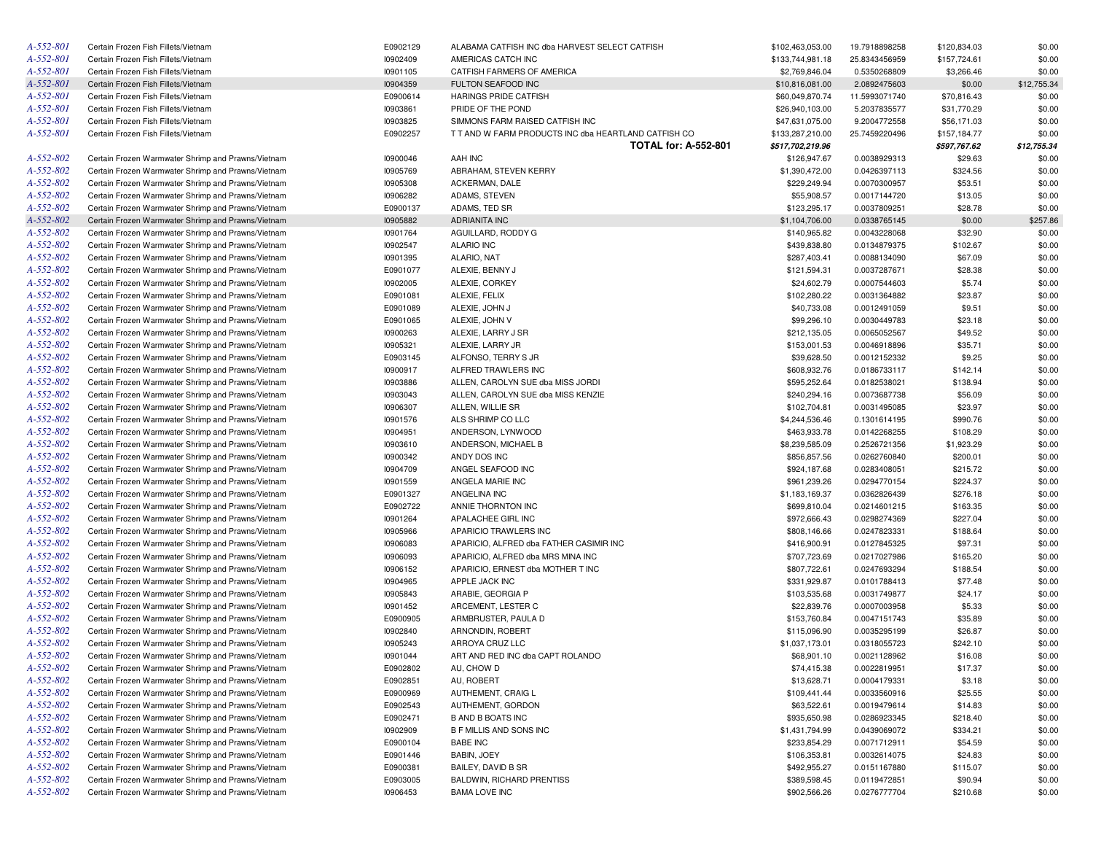| A-552-801 | Certain Frozen Fish Fillets/Vietnam                | E0902129 | ALABAMA CATFISH INC dba HARVEST SELECT CATFISH       | \$102,463,053.00 | 19.7918898258 | \$120,834.03 | \$0.00      |
|-----------|----------------------------------------------------|----------|------------------------------------------------------|------------------|---------------|--------------|-------------|
| A-552-801 | Certain Frozen Fish Fillets/Vietnam                | 10902409 | AMERICAS CATCH INC                                   | \$133,744,981.18 | 25.8343456959 | \$157,724.61 | \$0.00      |
| A-552-801 | Certain Frozen Fish Fillets/Vietnam                | 10901105 | CATFISH FARMERS OF AMERICA                           | \$2,769,846.04   | 0.5350268809  | \$3,266.46   | \$0.00      |
| A-552-801 | Certain Frozen Fish Fillets/Vietnam                | 10904359 | FULTON SEAFOOD INC                                   | \$10,816,081.00  | 2.0892475603  | \$0.00       | \$12,755.34 |
| A-552-801 | Certain Frozen Fish Fillets/Vietnam                | E0900614 | <b>HARINGS PRIDE CATFISH</b>                         | \$60,049,870.74  | 11.5993071740 | \$70,816.43  | \$0.00      |
| A-552-801 | Certain Frozen Fish Fillets/Vietnam                | 10903861 | PRIDE OF THE POND                                    | \$26,940,103.00  | 5.2037835577  | \$31,770.29  | \$0.00      |
| A-552-801 | Certain Frozen Fish Fillets/Vietnam                | 10903825 | SIMMONS FARM RAISED CATFISH INC                      | \$47,631,075.00  | 9.2004772558  | \$56,171.03  | \$0.00      |
| A-552-801 | Certain Frozen Fish Fillets/Vietnam                | E0902257 | T T AND W FARM PRODUCTS INC dba HEARTLAND CATFISH CO | \$133,287,210.00 | 25.7459220496 | \$157,184.77 | \$0.00      |
|           |                                                    |          | <b>TOTAL for: A-552-801</b>                          | \$517,702,219.96 |               | \$597,767.62 | \$12,755.34 |
| A-552-802 | Certain Frozen Warmwater Shrimp and Prawns/Vietnam | 10900046 | AAH INC                                              | \$126,947.67     | 0.0038929313  | \$29.63      | \$0.00      |
| A-552-802 | Certain Frozen Warmwater Shrimp and Prawns/Vietnam | 10905769 | ABRAHAM, STEVEN KERRY                                | \$1,390,472.00   | 0.0426397113  | \$324.56     | \$0.00      |
| A-552-802 | Certain Frozen Warmwater Shrimp and Prawns/Vietnam | 10905308 | ACKERMAN, DALE                                       | \$229,249.94     | 0.0070300957  | \$53.51      | \$0.00      |
| A-552-802 | Certain Frozen Warmwater Shrimp and Prawns/Vietnam | 10906282 | ADAMS, STEVEN                                        | \$55,908.57      | 0.0017144720  | \$13.05      | \$0.00      |
| A-552-802 | Certain Frozen Warmwater Shrimp and Prawns/Vietnam | E0900137 | ADAMS, TED SR                                        | \$123,295.17     | 0.0037809251  | \$28.78      | \$0.00      |
| A-552-802 | Certain Frozen Warmwater Shrimp and Prawns/Vietnam | 10905882 | <b>ADRIANITA INC</b>                                 | \$1,104,706.00   | 0.0338765145  | \$0.00       | \$257.86    |
| A-552-802 | Certain Frozen Warmwater Shrimp and Prawns/Vietnam | 10901764 | AGUILLARD, RODDY G                                   | \$140,965.82     | 0.0043228068  | \$32.90      | \$0.00      |
| A-552-802 | Certain Frozen Warmwater Shrimp and Prawns/Vietnam | 10902547 | <b>ALARIO INC</b>                                    | \$439,838.80     | 0.0134879375  | \$102.67     | \$0.00      |
| A-552-802 | Certain Frozen Warmwater Shrimp and Prawns/Vietnam | 10901395 | ALARIO, NAT                                          | \$287,403.41     | 0.0088134090  | \$67.09      | \$0.00      |
| A-552-802 | Certain Frozen Warmwater Shrimp and Prawns/Vietnam | E0901077 | ALEXIE, BENNY J                                      | \$121,594.31     | 0.0037287671  | \$28.38      | \$0.00      |
| A-552-802 | Certain Frozen Warmwater Shrimp and Prawns/Vietnam | 10902005 | ALEXIE, CORKEY                                       | \$24,602.79      | 0.0007544603  | \$5.74       | \$0.00      |
| A-552-802 | Certain Frozen Warmwater Shrimp and Prawns/Vietnam | E0901081 | ALEXIE, FELIX                                        | \$102,280.22     | 0.0031364882  | \$23.87      | \$0.00      |
| A-552-802 | Certain Frozen Warmwater Shrimp and Prawns/Vietnam | E0901089 | ALEXIE, JOHN J                                       | \$40,733.08      | 0.0012491059  | \$9.51       | \$0.00      |
| A-552-802 | Certain Frozen Warmwater Shrimp and Prawns/Vietnam | E0901065 | ALEXIE, JOHN V                                       | \$99,296.10      | 0.0030449783  | \$23.18      | \$0.00      |
| A-552-802 | Certain Frozen Warmwater Shrimp and Prawns/Vietnam | 10900263 | ALEXIE, LARRY J SR                                   | \$212,135.05     | 0.0065052567  | \$49.52      | \$0.00      |
| A-552-802 | Certain Frozen Warmwater Shrimp and Prawns/Vietnam | 10905321 | ALEXIE, LARRY JR                                     | \$153,001.53     | 0.0046918896  |              | \$0.00      |
| A-552-802 |                                                    | E0903145 | ALFONSO, TERRY S JR                                  |                  | 0.0012152332  | \$35.71      | \$0.00      |
| A-552-802 | Certain Frozen Warmwater Shrimp and Prawns/Vietnam |          |                                                      | \$39,628.50      |               | \$9.25       |             |
| A-552-802 | Certain Frozen Warmwater Shrimp and Prawns/Vietnam | 10900917 | ALFRED TRAWLERS INC                                  | \$608,932.76     | 0.0186733117  | \$142.14     | \$0.00      |
|           | Certain Frozen Warmwater Shrimp and Prawns/Vietnam | 10903886 | ALLEN, CAROLYN SUE dba MISS JORDI                    | \$595,252.64     | 0.0182538021  | \$138.94     | \$0.00      |
| A-552-802 | Certain Frozen Warmwater Shrimp and Prawns/Vietnam | 10903043 | ALLEN, CAROLYN SUE dba MISS KENZIE                   | \$240,294.16     | 0.0073687738  | \$56.09      | \$0.00      |
| A-552-802 | Certain Frozen Warmwater Shrimp and Prawns/Vietnam | 10906307 | ALLEN, WILLIE SR                                     | \$102,704.81     | 0.0031495085  | \$23.97      | \$0.00      |
| A-552-802 | Certain Frozen Warmwater Shrimp and Prawns/Vietnam | 10901576 | ALS SHRIMP CO LLC                                    | \$4,244,536.46   | 0.1301614195  | \$990.76     | \$0.00      |
| A-552-802 | Certain Frozen Warmwater Shrimp and Prawns/Vietnam | 10904951 | ANDERSON, LYNWOOD                                    | \$463,933.78     | 0.0142268255  | \$108.29     | \$0.00      |
| A-552-802 | Certain Frozen Warmwater Shrimp and Prawns/Vietnam | 10903610 | ANDERSON, MICHAEL B                                  | \$8,239,585.09   | 0.2526721356  | \$1,923.29   | \$0.00      |
| A-552-802 | Certain Frozen Warmwater Shrimp and Prawns/Vietnam | 10900342 | ANDY DOS INC                                         | \$856,857.56     | 0.0262760840  | \$200.01     | \$0.00      |
| A-552-802 | Certain Frozen Warmwater Shrimp and Prawns/Vietnam | 10904709 | ANGEL SEAFOOD INC                                    | \$924,187.68     | 0.0283408051  | \$215.72     | \$0.00      |
| A-552-802 | Certain Frozen Warmwater Shrimp and Prawns/Vietnam | 10901559 | ANGELA MARIE INC                                     | \$961,239.26     | 0.0294770154  | \$224.37     | \$0.00      |
| A-552-802 | Certain Frozen Warmwater Shrimp and Prawns/Vietnam | E0901327 | ANGELINA INC                                         | \$1,183,169.37   | 0.0362826439  | \$276.18     | \$0.00      |
| A-552-802 | Certain Frozen Warmwater Shrimp and Prawns/Vietnam | E0902722 | ANNIE THORNTON INC                                   | \$699,810.04     | 0.0214601215  | \$163.35     | \$0.00      |
| A-552-802 | Certain Frozen Warmwater Shrimp and Prawns/Vietnam | 10901264 | APALACHEE GIRL INC                                   | \$972,666.43     | 0.0298274369  | \$227.04     | \$0.00      |
| A-552-802 | Certain Frozen Warmwater Shrimp and Prawns/Vietnam | 10905966 | APARICIO TRAWLERS INC                                | \$808,146.66     | 0.0247823331  | \$188.64     | \$0.00      |
| A-552-802 | Certain Frozen Warmwater Shrimp and Prawns/Vietnam | 10906083 | APARICIO, ALFRED dba FATHER CASIMIR INC              | \$416,900.91     | 0.0127845325  | \$97.31      | \$0.00      |
| A-552-802 | Certain Frozen Warmwater Shrimp and Prawns/Vietnam | 10906093 | APARICIO, ALFRED dba MRS MINA INC                    | \$707,723.69     | 0.0217027986  | \$165.20     | \$0.00      |
| A-552-802 | Certain Frozen Warmwater Shrimp and Prawns/Vietnam | 10906152 | APARICIO, ERNEST dba MOTHER T INC                    | \$807,722.61     | 0.0247693294  | \$188.54     | \$0.00      |
| A-552-802 | Certain Frozen Warmwater Shrimp and Prawns/Vietnam | 10904965 | APPLE JACK INC                                       | \$331,929.87     | 0.0101788413  | \$77.48      | \$0.00      |
| A-552-802 | Certain Frozen Warmwater Shrimp and Prawns/Vietnam | 10905843 | ARABIE, GEORGIA P                                    | \$103,535.68     | 0.0031749877  | \$24.17      | \$0.00      |
| A-552-802 | Certain Frozen Warmwater Shrimp and Prawns/Vietnam | 10901452 | ARCEMENT, LESTER C                                   | \$22,839.76      | 0.0007003958  | \$5.33       | \$0.00      |
| A-552-802 | Certain Frozen Warmwater Shrimp and Prawns/Vietnam | E0900905 | ARMBRUSTER, PAULA D                                  | \$153,760.84     | 0.0047151743  | \$35.89      | \$0.00      |
| A-552-802 | Certain Frozen Warmwater Shrimp and Prawns/Vietnam | 10902840 | ARNONDIN, ROBERT                                     | \$115,096.90     | 0.0035295199  | \$26.87      | \$0.00      |
| A-552-802 | Certain Frozen Warmwater Shrimp and Prawns/Vietnam | 10905243 | ARROYA CRUZ LLC                                      | \$1,037,173.01   | 0.0318055723  | \$242.10     | \$0.00      |
| A-552-802 | Certain Frozen Warmwater Shrimp and Prawns/Vietnam | 10901044 | ART AND RED INC dba CAPT ROLANDO                     | \$68,901.10      | 0.0021128962  | \$16.08      | \$0.00      |
| A-552-802 | Certain Frozen Warmwater Shrimp and Prawns/Vietnam | E0902802 | AU, CHOW D                                           | \$74,415.38      | 0.0022819951  | \$17.37      | \$0.00      |
| A-552-802 | Certain Frozen Warmwater Shrimp and Prawns/Vietnam | E0902851 | AU, ROBERT                                           | \$13,628.71      | 0.0004179331  | \$3.18       | \$0.00      |
| A-552-802 | Certain Frozen Warmwater Shrimp and Prawns/Vietnam | E0900969 | AUTHEMENT, CRAIG L                                   | \$109,441.44     | 0.0033560916  | \$25.55      | \$0.00      |
| A-552-802 | Certain Frozen Warmwater Shrimp and Prawns/Vietnam | E0902543 | AUTHEMENT, GORDON                                    | \$63,522.61      | 0.0019479614  | \$14.83      | \$0.00      |
| A-552-802 | Certain Frozen Warmwater Shrimp and Prawns/Vietnam | E0902471 | <b>B AND B BOATS INC</b>                             | \$935,650.98     | 0.0286923345  | \$218.40     | \$0.00      |
| A-552-802 | Certain Frozen Warmwater Shrimp and Prawns/Vietnam | 10902909 | <b>B F MILLIS AND SONS INC</b>                       | \$1,431,794.99   | 0.0439069072  | \$334.21     | \$0.00      |
| A-552-802 | Certain Frozen Warmwater Shrimp and Prawns/Vietnam | E0900104 | <b>BABE INC</b>                                      | \$233,854.29     | 0.0071712911  | \$54.59      | \$0.00      |
| A-552-802 | Certain Frozen Warmwater Shrimp and Prawns/Vietnam | E0901446 | BABIN, JOEY                                          | \$106,353.81     | 0.0032614075  | \$24.83      | \$0.00      |
| A-552-802 | Certain Frozen Warmwater Shrimp and Prawns/Vietnam | E0900381 | BAILEY, DAVID B SR                                   | \$492,955.27     | 0.0151167880  | \$115.07     | \$0.00      |
| A-552-802 | Certain Frozen Warmwater Shrimp and Prawns/Vietnam | E0903005 | <b>BALDWIN, RICHARD PRENTISS</b>                     | \$389,598.45     | 0.0119472851  | \$90.94      | \$0.00      |
| A-552-802 | Certain Frozen Warmwater Shrimp and Prawns/Vietnam | 10906453 | <b>BAMA LOVE INC</b>                                 | \$902,566.26     | 0.0276777704  | \$210.68     | \$0.00      |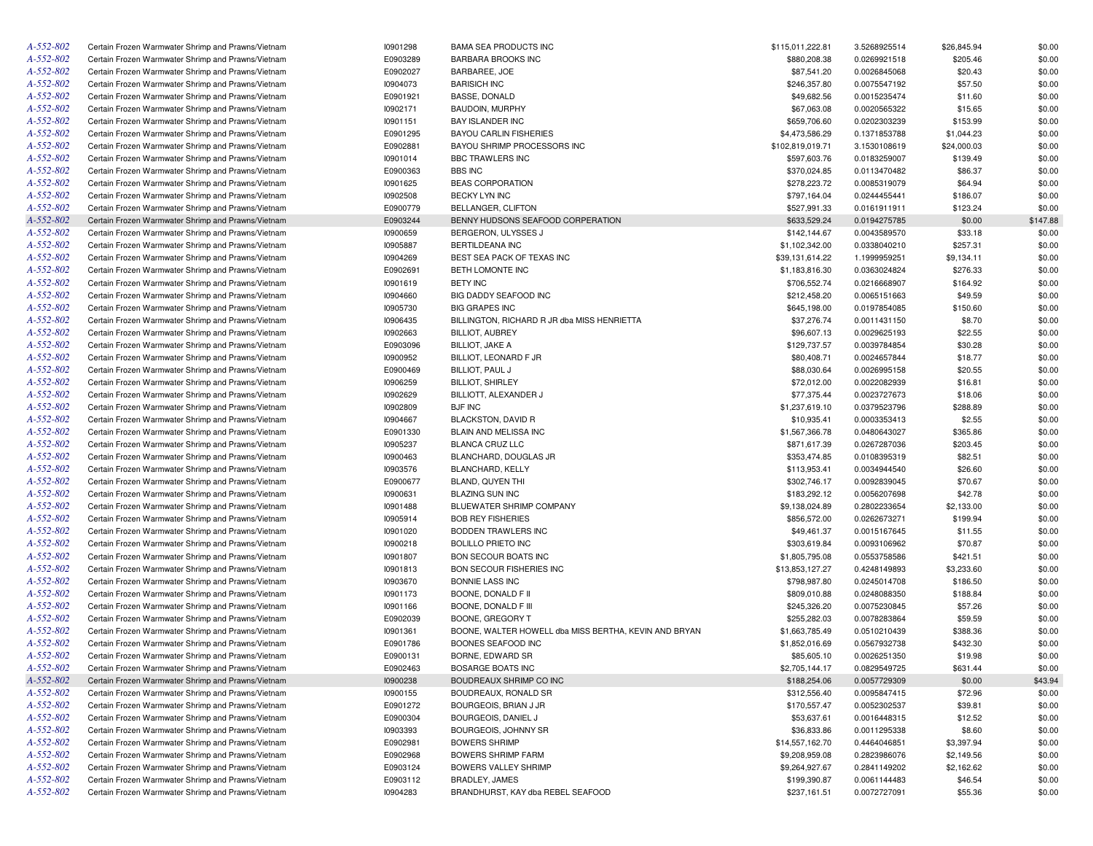| A-552-802 | Certain Frozen Warmwater Shrimp and Prawns/Vietnam | 10901298 | <b>BAMA SEA PRODUCTS INC</b>                          | \$115,011,222.81 | 3.5268925514 | \$26,845.94 | \$0.00   |
|-----------|----------------------------------------------------|----------|-------------------------------------------------------|------------------|--------------|-------------|----------|
| A-552-802 | Certain Frozen Warmwater Shrimp and Prawns/Vietnam | E0903289 | <b>BARBARA BROOKS INC</b>                             | \$880,208.38     | 0.0269921518 | \$205.46    | \$0.00   |
| A-552-802 | Certain Frozen Warmwater Shrimp and Prawns/Vietnam | E0902027 | BARBAREE, JOE                                         | \$87,541.20      | 0.0026845068 | \$20.43     | \$0.00   |
| A-552-802 | Certain Frozen Warmwater Shrimp and Prawns/Vietnam | 10904073 | <b>BARISICH INC</b>                                   | \$246,357.80     | 0.0075547192 | \$57.50     | \$0.00   |
| A-552-802 | Certain Frozen Warmwater Shrimp and Prawns/Vietnam | E0901921 | <b>BASSE, DONALD</b>                                  | \$49,682.56      | 0.0015235474 | \$11.60     | \$0.00   |
| A-552-802 | Certain Frozen Warmwater Shrimp and Prawns/Vietnam | 10902171 | BAUDOIN, MURPHY                                       | \$67,063.08      | 0.0020565322 | \$15.65     | \$0.00   |
| A-552-802 | Certain Frozen Warmwater Shrimp and Prawns/Vietnam | 10901151 | <b>BAY ISLANDER INC</b>                               | \$659,706.60     | 0.0202303239 | \$153.99    | \$0.00   |
| A-552-802 | Certain Frozen Warmwater Shrimp and Prawns/Vietnam | E0901295 | <b>BAYOU CARLIN FISHERIES</b>                         | \$4,473,586.29   | 0.1371853788 | \$1,044.23  | \$0.00   |
| A-552-802 | Certain Frozen Warmwater Shrimp and Prawns/Vietnam | E0902881 | BAYOU SHRIMP PROCESSORS INC                           | \$102,819,019.71 | 3.1530108619 | \$24,000.03 | \$0.00   |
| A-552-802 | Certain Frozen Warmwater Shrimp and Prawns/Vietnam | 10901014 | BBC TRAWLERS INC                                      | \$597,603.76     | 0.0183259007 | \$139.49    | \$0.00   |
| A-552-802 | Certain Frozen Warmwater Shrimp and Prawns/Vietnam | E0900363 | <b>BBS INC</b>                                        | \$370,024.85     | 0.0113470482 | \$86.37     | \$0.00   |
| A-552-802 | Certain Frozen Warmwater Shrimp and Prawns/Vietnam | 10901625 | <b>BEAS CORPORATION</b>                               | \$278,223.72     | 0.0085319079 | \$64.94     | \$0.00   |
| A-552-802 | Certain Frozen Warmwater Shrimp and Prawns/Vietnam | 10902508 | <b>BECKY LYN INC</b>                                  | \$797,164.04     | 0.0244455441 | \$186.07    | \$0.00   |
| A-552-802 | Certain Frozen Warmwater Shrimp and Prawns/Vietnam | E0900779 | BELLANGER, CLIFTON                                    | \$527,991.33     | 0.0161911911 | \$123.24    | \$0.00   |
| A-552-802 | Certain Frozen Warmwater Shrimp and Prawns/Vietnam | E0903244 | BENNY HUDSONS SEAFOOD CORPERATION                     | \$633,529.24     | 0.0194275785 | \$0.00      | \$147.88 |
| A-552-802 | Certain Frozen Warmwater Shrimp and Prawns/Vietnam | 10900659 | BERGERON, ULYSSES J                                   | \$142,144.67     | 0.0043589570 | \$33.18     | \$0.00   |
| A-552-802 | Certain Frozen Warmwater Shrimp and Prawns/Vietnam | 10905887 | <b>BERTILDEANA INC</b>                                | \$1,102,342.00   | 0.0338040210 | \$257.31    | \$0.00   |
| A-552-802 | Certain Frozen Warmwater Shrimp and Prawns/Vietnam | 10904269 | BEST SEA PACK OF TEXAS INC                            | \$39,131,614.22  | 1.1999959251 | \$9,134.11  | \$0.00   |
| A-552-802 |                                                    | E0902691 | BETH LOMONTE INC                                      |                  |              |             | \$0.00   |
|           | Certain Frozen Warmwater Shrimp and Prawns/Vietnam |          |                                                       | \$1,183,816.30   | 0.0363024824 | \$276.33    |          |
| A-552-802 | Certain Frozen Warmwater Shrimp and Prawns/Vietnam | 10901619 | <b>BETY INC</b>                                       | \$706,552.74     | 0.0216668907 | \$164.92    | \$0.00   |
| A-552-802 | Certain Frozen Warmwater Shrimp and Prawns/Vietnam | 10904660 | BIG DADDY SEAFOOD INC                                 | \$212,458.20     | 0.0065151663 | \$49.59     | \$0.00   |
| A-552-802 | Certain Frozen Warmwater Shrimp and Prawns/Vietnam | 10905730 | <b>BIG GRAPES INC</b>                                 | \$645,198.00     | 0.0197854085 | \$150.60    | \$0.00   |
| A-552-802 | Certain Frozen Warmwater Shrimp and Prawns/Vietnam | 10906435 | BILLINGTON, RICHARD R JR dba MISS HENRIETTA           | \$37,276.74      | 0.0011431150 | \$8.70      | \$0.00   |
| A-552-802 | Certain Frozen Warmwater Shrimp and Prawns/Vietnam | 10902663 | <b>BILLIOT, AUBREY</b>                                | \$96,607.13      | 0.0029625193 | \$22.55     | \$0.00   |
| A-552-802 | Certain Frozen Warmwater Shrimp and Prawns/Vietnam | E0903096 | <b>BILLIOT, JAKE A</b>                                | \$129,737.57     | 0.0039784854 | \$30.28     | \$0.00   |
| A-552-802 | Certain Frozen Warmwater Shrimp and Prawns/Vietnam | 10900952 | BILLIOT, LEONARD F JR                                 | \$80,408.71      | 0.0024657844 | \$18.77     | \$0.00   |
| A-552-802 | Certain Frozen Warmwater Shrimp and Prawns/Vietnam | E0900469 | BILLIOT, PAUL J                                       | \$88,030.64      | 0.0026995158 | \$20.55     | \$0.00   |
| A-552-802 | Certain Frozen Warmwater Shrimp and Prawns/Vietnam | 10906259 | <b>BILLIOT, SHIRLEY</b>                               | \$72,012.00      | 0.0022082939 | \$16.81     | \$0.00   |
| A-552-802 | Certain Frozen Warmwater Shrimp and Prawns/Vietnam | 10902629 | BILLIOTT, ALEXANDER J                                 | \$77,375.44      | 0.0023727673 | \$18.06     | \$0.00   |
| A-552-802 | Certain Frozen Warmwater Shrimp and Prawns/Vietnam | 10902809 | <b>BJF INC</b>                                        | \$1,237,619.10   | 0.0379523796 | \$288.89    | \$0.00   |
| A-552-802 | Certain Frozen Warmwater Shrimp and Prawns/Vietnam | 10904667 | BLACKSTON, DAVID R                                    | \$10,935.41      | 0.0003353413 | \$2.55      | \$0.00   |
| A-552-802 | Certain Frozen Warmwater Shrimp and Prawns/Vietnam | E0901330 | BLAIN AND MELISSA INC                                 | \$1,567,366.78   | 0.0480643027 | \$365.86    | \$0.00   |
| A-552-802 | Certain Frozen Warmwater Shrimp and Prawns/Vietnam | 10905237 | <b>BLANCA CRUZ LLC</b>                                | \$871,617.39     | 0.0267287036 | \$203.45    | \$0.00   |
| A-552-802 | Certain Frozen Warmwater Shrimp and Prawns/Vietnam | 10900463 | BLANCHARD, DOUGLAS JR                                 | \$353,474.85     | 0.0108395319 | \$82.51     | \$0.00   |
| A-552-802 | Certain Frozen Warmwater Shrimp and Prawns/Vietnam | 10903576 | BLANCHARD, KELLY                                      | \$113,953.41     | 0.0034944540 | \$26.60     | \$0.00   |
| A-552-802 | Certain Frozen Warmwater Shrimp and Prawns/Vietnam | E0900677 | BLAND, QUYEN THI                                      | \$302,746.17     | 0.0092839045 | \$70.67     | \$0.00   |
| A-552-802 | Certain Frozen Warmwater Shrimp and Prawns/Vietnam | 10900631 | <b>BLAZING SUN INC</b>                                | \$183,292.12     | 0.0056207698 | \$42.78     | \$0.00   |
| A-552-802 | Certain Frozen Warmwater Shrimp and Prawns/Vietnam | 10901488 | BLUEWATER SHRIMP COMPANY                              | \$9,138,024.89   | 0.2802233654 | \$2,133.00  | \$0.00   |
| A-552-802 | Certain Frozen Warmwater Shrimp and Prawns/Vietnam | 10905914 | <b>BOB REY FISHERIES</b>                              | \$856,572.00     | 0.0262673271 | \$199.94    | \$0.00   |
| A-552-802 | Certain Frozen Warmwater Shrimp and Prawns/Vietnam | 10901020 | BODDEN TRAWLERS INC                                   | \$49,461.37      | 0.0015167645 | \$11.55     | \$0.00   |
| A-552-802 | Certain Frozen Warmwater Shrimp and Prawns/Vietnam | 10900218 | <b>BOLILLO PRIETO INC</b>                             | \$303,619.84     | 0.0093106962 | \$70.87     | \$0.00   |
| A-552-802 | Certain Frozen Warmwater Shrimp and Prawns/Vietnam | 10901807 | BON SECOUR BOATS INC                                  | \$1,805,795.08   | 0.0553758586 | \$421.51    | \$0.00   |
| A-552-802 | Certain Frozen Warmwater Shrimp and Prawns/Vietnam | 10901813 | BON SECOUR FISHERIES INC                              | \$13,853,127.27  | 0.4248149893 | \$3,233.60  | \$0.00   |
| A-552-802 | Certain Frozen Warmwater Shrimp and Prawns/Vietnam | 10903670 | <b>BONNIE LASS INC</b>                                | \$798,987.80     | 0.0245014708 | \$186.50    | \$0.00   |
| A-552-802 | Certain Frozen Warmwater Shrimp and Prawns/Vietnam | 10901173 | BOONE, DONALD F II                                    | \$809,010.88     | 0.0248088350 | \$188.84    | \$0.00   |
| A-552-802 | Certain Frozen Warmwater Shrimp and Prawns/Vietnam | 10901166 | BOONE, DONALD F III                                   | \$245,326.20     | 0.0075230845 | \$57.26     | \$0.00   |
| A-552-802 | Certain Frozen Warmwater Shrimp and Prawns/Vietnam | E0902039 | BOONE, GREGORY T                                      | \$255,282.03     | 0.0078283864 | \$59.59     | \$0.00   |
| A-552-802 | Certain Frozen Warmwater Shrimp and Prawns/Vietnam | 10901361 | BOONE, WALTER HOWELL dba MISS BERTHA, KEVIN AND BRYAN | \$1,663,785.49   | 0.0510210439 | \$388.36    | \$0.00   |
| A-552-802 | Certain Frozen Warmwater Shrimp and Prawns/Vietnam | E0901786 | BOONES SEAFOOD INC                                    | \$1,852,016.69   | 0.0567932738 | \$432.30    | \$0.00   |
| A-552-802 | Certain Frozen Warmwater Shrimp and Prawns/Vietnam | E0900131 | BORNE, EDWARD SR                                      | \$85,605.10      | 0.0026251350 | \$19.98     | \$0.00   |
| A-552-802 | Certain Frozen Warmwater Shrimp and Prawns/Vietnam | E0902463 | BOSARGE BOATS INC                                     | \$2,705,144.17   | 0.0829549725 | \$631.44    | \$0.00   |
| A-552-802 | Certain Frozen Warmwater Shrimp and Prawns/Vietnam | 10900238 | BOUDREAUX SHRIMP CO INC                               | \$188,254.06     | 0.0057729309 | \$0.00      | \$43.94  |
| A-552-802 | Certain Frozen Warmwater Shrimp and Prawns/Vietnam | 10900155 | BOUDREAUX, RONALD SR                                  | \$312,556.40     | 0.0095847415 | \$72.96     | \$0.00   |
| A-552-802 | Certain Frozen Warmwater Shrimp and Prawns/Vietnam | E0901272 | BOURGEOIS, BRIAN J JR                                 | \$170,557.47     | 0.0052302537 | \$39.81     | \$0.00   |
| A-552-802 | Certain Frozen Warmwater Shrimp and Prawns/Vietnam | E0900304 | BOURGEOIS, DANIEL J                                   | \$53,637.61      | 0.0016448315 | \$12.52     | \$0.00   |
| A-552-802 |                                                    | 10903393 |                                                       |                  |              |             |          |
|           | Certain Frozen Warmwater Shrimp and Prawns/Vietnam |          | BOURGEOIS, JOHNNY SR                                  | \$36,833.86      | 0.0011295338 | \$8.60      | \$0.00   |
| A-552-802 | Certain Frozen Warmwater Shrimp and Prawns/Vietnam | E0902981 | <b>BOWERS SHRIMP</b>                                  | \$14,557,162.70  | 0.4464046851 | \$3,397.94  | \$0.00   |
| A-552-802 | Certain Frozen Warmwater Shrimp and Prawns/Vietnam | E0902968 | <b>BOWERS SHRIMP FARM</b>                             | \$9,208,959.08   | 0.2823986076 | \$2,149.56  | \$0.00   |
| A-552-802 | Certain Frozen Warmwater Shrimp and Prawns/Vietnam | E0903124 | BOWERS VALLEY SHRIMP                                  | \$9,264,927.67   | 0.2841149202 | \$2,162.62  | \$0.00   |
| A-552-802 | Certain Frozen Warmwater Shrimp and Prawns/Vietnam | E0903112 | BRADLEY, JAMES                                        | \$199,390.87     | 0.0061144483 | \$46.54     | \$0.00   |
| A-552-802 | Certain Frozen Warmwater Shrimp and Prawns/Vietnam | 10904283 | BRANDHURST, KAY dba REBEL SEAFOOD                     | \$237,161.51     | 0.0072727091 | \$55.36     | \$0.00   |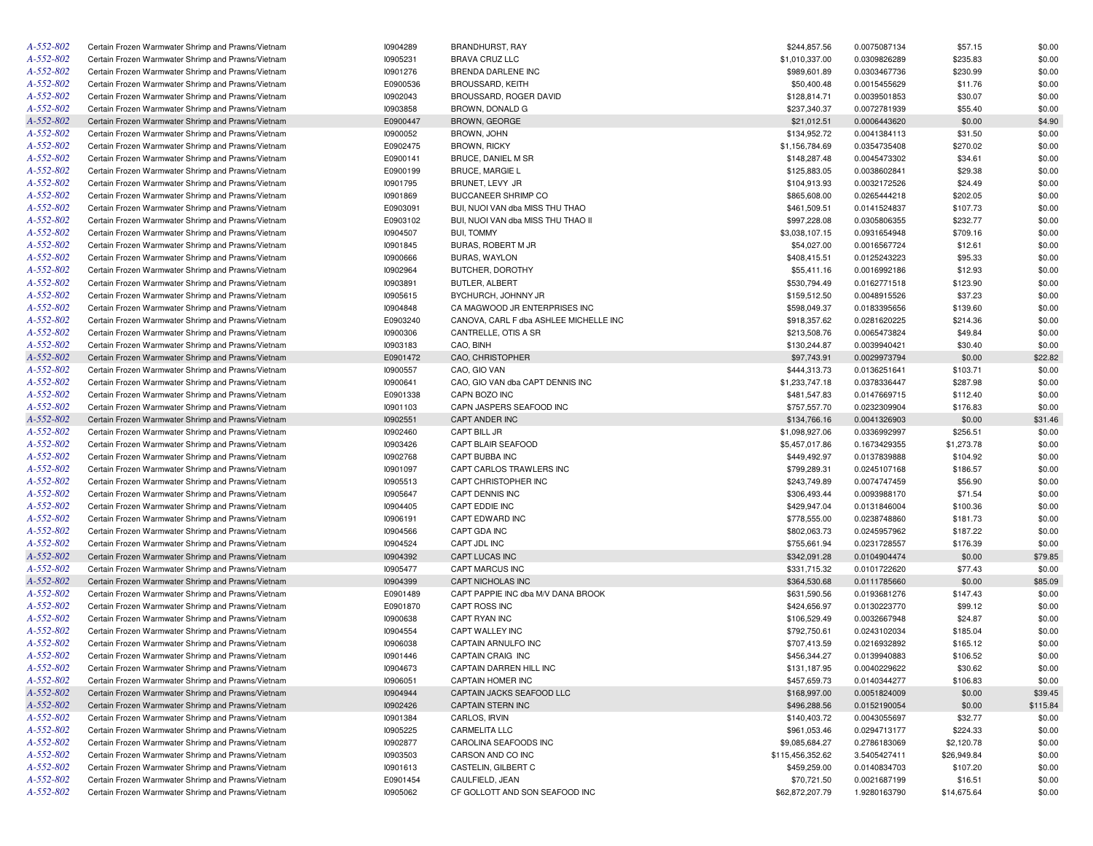| Certain Frozen Warmwater Shrimp and Prawns/Vietnam<br>Certain Frozen Warmwater Shrimp and Prawns/Vietnam<br>Certain Frozen Warmwater Shrimp and Prawns/Vietnam<br>Certain Frozen Warmwater Shrimp and Prawns/Vietnam<br>Certain Frozen Warmwater Shrimp and Prawns/Vietnam | 10905231<br>10901276<br>E0900536<br>10902043 | <b>BRAVA CRUZ LLC</b><br>BRENDA DARLENE INC<br><b>BROUSSARD, KEITH</b> | \$1,010,337.00<br>\$989,601.89<br>\$50,400.48 | 0.0309826289<br>0.0303467736<br>0.0015455629 | \$235.83<br>\$230.99<br>\$11.76 | \$0.00<br>\$0.00<br>\$0.00 |
|----------------------------------------------------------------------------------------------------------------------------------------------------------------------------------------------------------------------------------------------------------------------------|----------------------------------------------|------------------------------------------------------------------------|-----------------------------------------------|----------------------------------------------|---------------------------------|----------------------------|
|                                                                                                                                                                                                                                                                            |                                              |                                                                        |                                               |                                              |                                 |                            |
|                                                                                                                                                                                                                                                                            |                                              |                                                                        |                                               |                                              |                                 |                            |
|                                                                                                                                                                                                                                                                            |                                              |                                                                        |                                               |                                              |                                 |                            |
|                                                                                                                                                                                                                                                                            |                                              | BROUSSARD, ROGER DAVID                                                 | \$128,814.71                                  | 0.0039501853                                 | \$30.07                         | \$0.00                     |
|                                                                                                                                                                                                                                                                            | 10903858                                     | BROWN, DONALD G                                                        | \$237,340.37                                  | 0.0072781939                                 | \$55.40                         | \$0.00                     |
| Certain Frozen Warmwater Shrimp and Prawns/Vietnam                                                                                                                                                                                                                         | E0900447                                     | <b>BROWN, GEORGE</b>                                                   | \$21,012.51                                   | 0.0006443620                                 | \$0.00                          | \$4.90                     |
| Certain Frozen Warmwater Shrimp and Prawns/Vietnam                                                                                                                                                                                                                         | 10900052                                     | <b>BROWN, JOHN</b>                                                     | \$134,952.72                                  | 0.0041384113                                 | \$31.50                         | \$0.00                     |
| Certain Frozen Warmwater Shrimp and Prawns/Vietnam                                                                                                                                                                                                                         | E0902475                                     | <b>BROWN, RICKY</b>                                                    | \$1,156,784.69                                | 0.0354735408                                 | \$270.02                        | \$0.00                     |
| Certain Frozen Warmwater Shrimp and Prawns/Vietnam                                                                                                                                                                                                                         | E0900141                                     | BRUCE, DANIEL M SR                                                     | \$148,287.48                                  | 0.0045473302                                 | \$34.61                         | \$0.00                     |
| Certain Frozen Warmwater Shrimp and Prawns/Vietnam                                                                                                                                                                                                                         | E0900199                                     | <b>BRUCE, MARGIE L</b>                                                 | \$125,883.05                                  | 0.0038602841                                 | \$29.38                         | \$0.00                     |
| Certain Frozen Warmwater Shrimp and Prawns/Vietnam                                                                                                                                                                                                                         | 10901795                                     | BRUNET, LEVY JR                                                        | \$104,913.93                                  | 0.0032172526                                 | \$24.49                         | \$0.00                     |
| Certain Frozen Warmwater Shrimp and Prawns/Vietnam                                                                                                                                                                                                                         | 10901869                                     | BUCCANEER SHRIMP CO                                                    | \$865,608.00                                  | 0.0265444218                                 | \$202.05                        | \$0.00                     |
| Certain Frozen Warmwater Shrimp and Prawns/Vietnam                                                                                                                                                                                                                         | E0903091                                     | BUI, NUOI VAN dba MISS THU THAO                                        | \$461,509.51                                  | 0.0141524837                                 | \$107.73                        | \$0.00                     |
| Certain Frozen Warmwater Shrimp and Prawns/Vietnam                                                                                                                                                                                                                         | E0903102                                     | BUI, NUOI VAN dba MISS THU THAO II                                     | \$997,228.08                                  | 0.0305806355                                 | \$232.77                        | \$0.00                     |
| Certain Frozen Warmwater Shrimp and Prawns/Vietnam                                                                                                                                                                                                                         | 10904507                                     | <b>BUI, TOMMY</b>                                                      | \$3,038,107.15                                | 0.0931654948                                 | \$709.16                        | \$0.00                     |
| Certain Frozen Warmwater Shrimp and Prawns/Vietnam                                                                                                                                                                                                                         | 10901845                                     | BURAS, ROBERT M JR                                                     | \$54,027.00                                   | 0.0016567724                                 | \$12.61                         | \$0.00                     |
| Certain Frozen Warmwater Shrimp and Prawns/Vietnam                                                                                                                                                                                                                         | 10900666                                     | <b>BURAS, WAYLON</b>                                                   | \$408,415.51                                  | 0.0125243223                                 | \$95.33                         | \$0.00                     |
| Certain Frozen Warmwater Shrimp and Prawns/Vietnam                                                                                                                                                                                                                         | 10902964                                     | BUTCHER, DOROTHY                                                       | \$55,411.16                                   | 0.0016992186                                 | \$12.93                         | \$0.00                     |
| Certain Frozen Warmwater Shrimp and Prawns/Vietnam                                                                                                                                                                                                                         | 10903891                                     | <b>BUTLER, ALBERT</b>                                                  | \$530,794.49                                  | 0.0162771518                                 | \$123.90                        | \$0.00                     |
| Certain Frozen Warmwater Shrimp and Prawns/Vietnam                                                                                                                                                                                                                         | 10905615                                     | BYCHURCH, JOHNNY JR                                                    | \$159,512.50                                  | 0.0048915526                                 | \$37.23                         | \$0.00                     |
| Certain Frozen Warmwater Shrimp and Prawns/Vietnam                                                                                                                                                                                                                         | 10904848                                     | CA MAGWOOD JR ENTERPRISES INC                                          | \$598,049.37                                  | 0.0183395656                                 | \$139.60                        | \$0.00                     |
| Certain Frozen Warmwater Shrimp and Prawns/Vietnam                                                                                                                                                                                                                         | E0903240                                     | CANOVA, CARL F dba ASHLEE MICHELLE INC                                 | \$918,357.62                                  | 0.0281620225                                 | \$214.36                        | \$0.00                     |
| Certain Frozen Warmwater Shrimp and Prawns/Vietnam                                                                                                                                                                                                                         | 10900306                                     | CANTRELLE, OTIS A SR                                                   | \$213,508.76                                  | 0.0065473824                                 | \$49.84                         | \$0.00                     |
| Certain Frozen Warmwater Shrimp and Prawns/Vietnam                                                                                                                                                                                                                         | 10903183                                     | CAO, BINH                                                              | \$130,244.87                                  | 0.0039940421                                 | \$30.40                         | \$0.00                     |
| Certain Frozen Warmwater Shrimp and Prawns/Vietnam                                                                                                                                                                                                                         | E0901472                                     | CAO, CHRISTOPHER                                                       | \$97,743.91                                   | 0.0029973794                                 | \$0.00                          | \$22.82                    |
| Certain Frozen Warmwater Shrimp and Prawns/Vietnam                                                                                                                                                                                                                         | I0900557                                     | CAO, GIO VAN                                                           | \$444,313.73                                  | 0.0136251641                                 | \$103.71                        | \$0.00                     |
| Certain Frozen Warmwater Shrimp and Prawns/Vietnam                                                                                                                                                                                                                         | 10900641                                     | CAO, GIO VAN dba CAPT DENNIS INC                                       | \$1,233,747.18                                | 0.0378336447                                 | \$287.98                        | \$0.00                     |
| Certain Frozen Warmwater Shrimp and Prawns/Vietnam                                                                                                                                                                                                                         | E0901338                                     | CAPN BOZO INC                                                          | \$481,547.83                                  | 0.0147669715                                 | \$112.40                        | \$0.00                     |
| Certain Frozen Warmwater Shrimp and Prawns/Vietnam                                                                                                                                                                                                                         | 10901103                                     | CAPN JASPERS SEAFOOD INC                                               | \$757,557.70                                  | 0.0232309904                                 | \$176.83                        | \$0.00                     |
| Certain Frozen Warmwater Shrimp and Prawns/Vietnam                                                                                                                                                                                                                         | 10902551                                     | <b>CAPT ANDER INC</b>                                                  | \$134,766.16                                  | 0.0041326903                                 | \$0.00                          | \$31.46                    |
| Certain Frozen Warmwater Shrimp and Prawns/Vietnam                                                                                                                                                                                                                         | 10902460                                     | CAPT BILL JR                                                           | \$1,098,927.06                                | 0.0336992997                                 | \$256.51                        | \$0.00                     |
| Certain Frozen Warmwater Shrimp and Prawns/Vietnam                                                                                                                                                                                                                         | 10903426                                     | CAPT BLAIR SEAFOOD                                                     | \$5,457,017.86                                | 0.1673429355                                 | \$1,273.78                      | \$0.00                     |
| Certain Frozen Warmwater Shrimp and Prawns/Vietnam                                                                                                                                                                                                                         | 10902768                                     | CAPT BUBBA INC                                                         | \$449,492.97                                  | 0.0137839888                                 | \$104.92                        | \$0.00                     |
| Certain Frozen Warmwater Shrimp and Prawns/Vietnam                                                                                                                                                                                                                         | 10901097                                     | CAPT CARLOS TRAWLERS INC                                               | \$799,289.31                                  | 0.0245107168                                 | \$186.57                        | \$0.00                     |
| Certain Frozen Warmwater Shrimp and Prawns/Vietnam                                                                                                                                                                                                                         | 10905513                                     | CAPT CHRISTOPHER INC                                                   | \$243,749.89                                  | 0.0074747459                                 | \$56.90                         | \$0.00                     |
| Certain Frozen Warmwater Shrimp and Prawns/Vietnam                                                                                                                                                                                                                         | 10905647                                     | CAPT DENNIS INC                                                        | \$306,493.44                                  | 0.0093988170                                 | \$71.54                         | \$0.00                     |
| Certain Frozen Warmwater Shrimp and Prawns/Vietnam                                                                                                                                                                                                                         | 10904405                                     | CAPT EDDIE INC                                                         | \$429,947.04                                  | 0.0131846004                                 | \$100.36                        | \$0.00                     |
| Certain Frozen Warmwater Shrimp and Prawns/Vietnam                                                                                                                                                                                                                         | 10906191                                     | CAPT EDWARD INC                                                        | \$778,555.00                                  | 0.0238748860                                 | \$181.73                        | \$0.00                     |
| Certain Frozen Warmwater Shrimp and Prawns/Vietnam                                                                                                                                                                                                                         | 10904566                                     | CAPT GDA INC                                                           | \$802,063.73                                  | 0.0245957962                                 | \$187.22                        | \$0.00                     |
| Certain Frozen Warmwater Shrimp and Prawns/Vietnam                                                                                                                                                                                                                         | I0904524                                     | CAPT JDL INC                                                           | \$755,661.94                                  | 0.0231728557                                 | \$176.39                        | \$0.00                     |
| Certain Frozen Warmwater Shrimp and Prawns/Vietnam                                                                                                                                                                                                                         | 10904392                                     | CAPT LUCAS INC                                                         | \$342,091.28                                  | 0.0104904474                                 | \$0.00                          | \$79.85                    |
| Certain Frozen Warmwater Shrimp and Prawns/Vietnam                                                                                                                                                                                                                         | I0905477                                     | CAPT MARCUS INC                                                        | \$331,715.32                                  | 0.0101722620                                 | \$77.43                         | \$0.00                     |
| Certain Frozen Warmwater Shrimp and Prawns/Vietnam                                                                                                                                                                                                                         | 10904399                                     | CAPT NICHOLAS INC                                                      | \$364,530.68                                  | 0.0111785660                                 | \$0.00                          | \$85.09                    |
| Certain Frozen Warmwater Shrimp and Prawns/Vietnam                                                                                                                                                                                                                         | E0901489                                     | CAPT PAPPIE INC dba M/V DANA BROOK                                     | \$631,590.56                                  | 0.0193681276                                 | \$147.43                        | \$0.00                     |
| Certain Frozen Warmwater Shrimp and Prawns/Vietnam                                                                                                                                                                                                                         | E0901870                                     | <b>CAPT ROSS INC</b>                                                   | \$424,656.97                                  | 0.0130223770                                 | \$99.12                         | \$0.00                     |
| Certain Frozen Warmwater Shrimp and Prawns/Vietnam                                                                                                                                                                                                                         | 10900638                                     | CAPT RYAN INC                                                          | \$106,529.49                                  | 0.0032667948                                 | \$24.87                         | \$0.00                     |
| Certain Frozen Warmwater Shrimp and Prawns/Vietnam                                                                                                                                                                                                                         | 10904554                                     | CAPT WALLEY INC                                                        | \$792,750.61                                  | 0.0243102034                                 | \$185.04                        | \$0.00                     |
| Certain Frozen Warmwater Shrimp and Prawns/Vietnam                                                                                                                                                                                                                         | 10906038                                     | CAPTAIN ARNULFO INC                                                    | \$707,413.59                                  | 0.0216932892                                 | \$165.12                        | \$0.00                     |
| Certain Frozen Warmwater Shrimp and Prawns/Vietnam                                                                                                                                                                                                                         | 10901446                                     | CAPTAIN CRAIG INC                                                      | \$456,344.27                                  | 0.0139940883                                 | \$106.52                        | \$0.00                     |
| Certain Frozen Warmwater Shrimp and Prawns/Vietnam                                                                                                                                                                                                                         | 10904673                                     | CAPTAIN DARREN HILL INC                                                | \$131,187.95                                  | 0.0040229622                                 | \$30.62                         | \$0.00                     |
| Certain Frozen Warmwater Shrimp and Prawns/Vietnam                                                                                                                                                                                                                         | 10906051                                     | CAPTAIN HOMER INC                                                      | \$457,659.73                                  | 0.0140344277                                 | \$106.83                        | \$0.00                     |
| Certain Frozen Warmwater Shrimp and Prawns/Vietnam                                                                                                                                                                                                                         | 10904944                                     | CAPTAIN JACKS SEAFOOD LLC                                              | \$168,997.00                                  | 0.0051824009                                 | \$0.00                          | \$39.45                    |
| Certain Frozen Warmwater Shrimp and Prawns/Vietnam                                                                                                                                                                                                                         | 10902426                                     | CAPTAIN STERN INC                                                      | \$496,288.56                                  | 0.0152190054                                 | \$0.00                          | \$115.84                   |
| Certain Frozen Warmwater Shrimp and Prawns/Vietnam                                                                                                                                                                                                                         | 10901384                                     | CARLOS, IRVIN                                                          | \$140,403.72                                  | 0.0043055697                                 | \$32.77                         | \$0.00                     |
| Certain Frozen Warmwater Shrimp and Prawns/Vietnam                                                                                                                                                                                                                         | 10905225                                     | <b>CARMELITA LLC</b>                                                   | \$961,053.46                                  | 0.0294713177                                 | \$224.33                        | \$0.00                     |
| Certain Frozen Warmwater Shrimp and Prawns/Vietnam                                                                                                                                                                                                                         | 10902877                                     | CAROLINA SEAFOODS INC                                                  | \$9,085,684.27                                | 0.2786183069                                 | \$2,120.78                      | \$0.00                     |
| Certain Frozen Warmwater Shrimp and Prawns/Vietnam                                                                                                                                                                                                                         | 10903503                                     | CARSON AND CO INC                                                      | \$115,456,352.62                              | 3.5405427411                                 | \$26,949.84                     | \$0.00                     |
| Certain Frozen Warmwater Shrimp and Prawns/Vietnam                                                                                                                                                                                                                         | 10901613                                     | CASTELIN, GILBERT C                                                    | \$459,259.00                                  | 0.0140834703                                 | \$107.20                        | \$0.00                     |
| Certain Frozen Warmwater Shrimp and Prawns/Vietnam                                                                                                                                                                                                                         | E0901454                                     | CAULFIELD, JEAN                                                        | \$70,721.50                                   | 0.0021687199                                 | \$16.51                         | \$0.00                     |
| Certain Frozen Warmwater Shrimp and Prawns/Vietnam                                                                                                                                                                                                                         | 10905062                                     | CF GOLLOTT AND SON SEAFOOD INC                                         | \$62,872,207.79                               | 1.9280163790                                 | \$14,675.64                     | \$0.00                     |
|                                                                                                                                                                                                                                                                            |                                              |                                                                        |                                               |                                              |                                 |                            |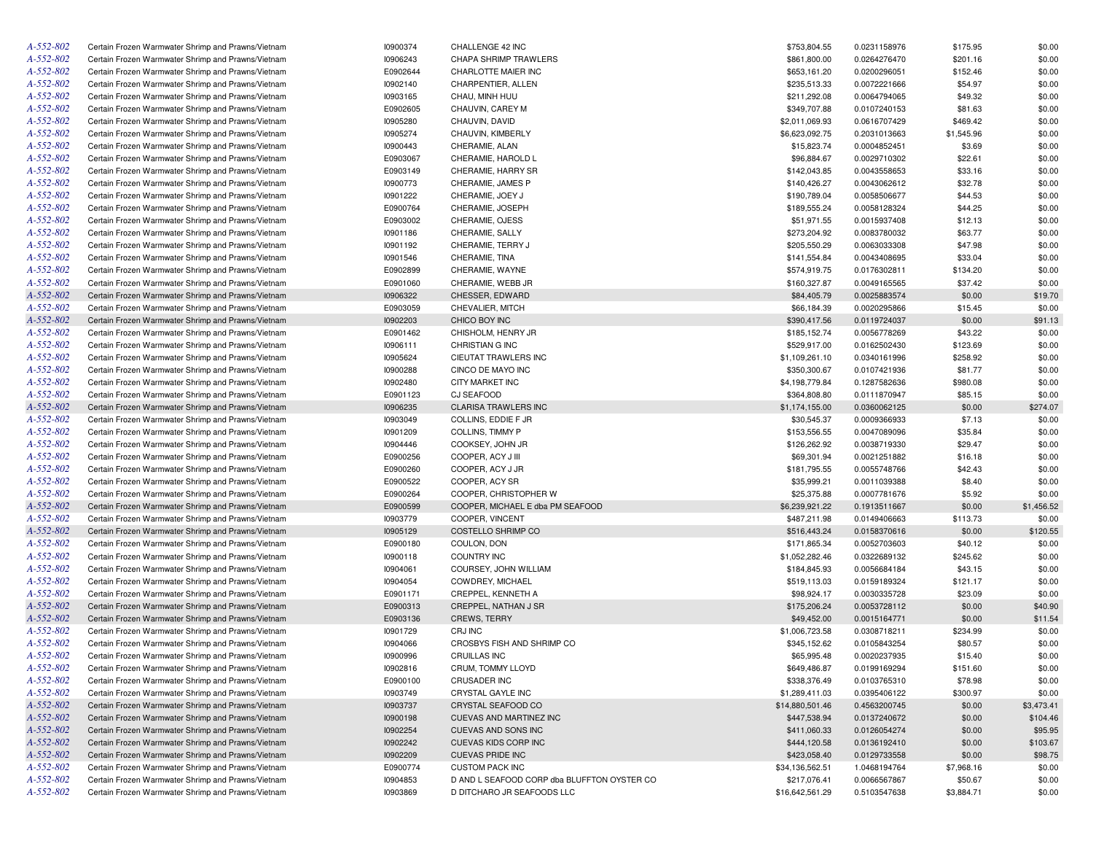| A-552-802 | Certain Frozen Warmwater Shrimp and Prawns/Vietnam | 10900374 | CHALLENGE 42 INC                            | \$753,804.55    | 0.0231158976 | \$175.95   | \$0.00     |
|-----------|----------------------------------------------------|----------|---------------------------------------------|-----------------|--------------|------------|------------|
| A-552-802 | Certain Frozen Warmwater Shrimp and Prawns/Vietnam | 10906243 | CHAPA SHRIMP TRAWLERS                       | \$861,800.00    | 0.0264276470 | \$201.16   | \$0.00     |
| A-552-802 | Certain Frozen Warmwater Shrimp and Prawns/Vietnam | E0902644 | CHARLOTTE MAIER INC                         | \$653,161.20    | 0.0200296051 | \$152.46   | \$0.00     |
| A-552-802 | Certain Frozen Warmwater Shrimp and Prawns/Vietnam | 10902140 | CHARPENTIER, ALLEN                          | \$235,513.33    | 0.0072221666 | \$54.97    | \$0.00     |
| A-552-802 | Certain Frozen Warmwater Shrimp and Prawns/Vietnam | 10903165 | CHAU, MINH HUU                              | \$211,292.08    | 0.0064794065 | \$49.32    | \$0.00     |
| A-552-802 | Certain Frozen Warmwater Shrimp and Prawns/Vietnam | E0902605 | CHAUVIN, CAREY M                            | \$349,707.88    | 0.0107240153 | \$81.63    | \$0.00     |
| A-552-802 | Certain Frozen Warmwater Shrimp and Prawns/Vietnam | 10905280 | CHAUVIN, DAVID                              | \$2,011,069.93  | 0.0616707429 | \$469.42   | \$0.00     |
| A-552-802 | Certain Frozen Warmwater Shrimp and Prawns/Vietnam | 10905274 | CHAUVIN, KIMBERLY                           | \$6,623,092.75  | 0.2031013663 | \$1,545.96 | \$0.00     |
| A-552-802 | Certain Frozen Warmwater Shrimp and Prawns/Vietnam | 10900443 | CHERAMIE, ALAN                              | \$15,823.74     | 0.0004852451 | \$3.69     | \$0.00     |
| A-552-802 | Certain Frozen Warmwater Shrimp and Prawns/Vietnam | E0903067 | CHERAMIE, HAROLD L                          | \$96,884.67     | 0.0029710302 | \$22.61    | \$0.00     |
| A-552-802 | Certain Frozen Warmwater Shrimp and Prawns/Vietnam | E0903149 | CHERAMIE, HARRY SR                          | \$142,043.85    | 0.0043558653 | \$33.16    | \$0.00     |
| A-552-802 | Certain Frozen Warmwater Shrimp and Prawns/Vietnam | 10900773 | CHERAMIE, JAMES P                           | \$140,426.27    | 0.0043062612 | \$32.78    | \$0.00     |
| A-552-802 | Certain Frozen Warmwater Shrimp and Prawns/Vietnam | 10901222 | CHERAMIE, JOEY J                            | \$190,789.04    | 0.0058506677 | \$44.53    | \$0.00     |
| A-552-802 | Certain Frozen Warmwater Shrimp and Prawns/Vietnam | E0900764 | CHERAMIE, JOSEPH                            | \$189,555.24    | 0.0058128324 | \$44.25    | \$0.00     |
| A-552-802 | Certain Frozen Warmwater Shrimp and Prawns/Vietnam | E0903002 | CHERAMIE, OJESS                             | \$51,971.55     | 0.0015937408 | \$12.13    | \$0.00     |
| A-552-802 | Certain Frozen Warmwater Shrimp and Prawns/Vietnam | 10901186 | CHERAMIE, SALLY                             | \$273,204.92    | 0.0083780032 | \$63.77    | \$0.00     |
| A-552-802 |                                                    |          |                                             |                 |              |            |            |
|           | Certain Frozen Warmwater Shrimp and Prawns/Vietnam | 10901192 | CHERAMIE, TERRY J                           | \$205,550.29    | 0.0063033308 | \$47.98    | \$0.00     |
| A-552-802 | Certain Frozen Warmwater Shrimp and Prawns/Vietnam | 10901546 | CHERAMIE, TINA                              | \$141,554.84    | 0.0043408695 | \$33.04    | \$0.00     |
| A-552-802 | Certain Frozen Warmwater Shrimp and Prawns/Vietnam | E0902899 | CHERAMIE, WAYNE                             | \$574,919.75    | 0.0176302811 | \$134.20   | \$0.00     |
| A-552-802 | Certain Frozen Warmwater Shrimp and Prawns/Vietnam | E0901060 | CHERAMIE, WEBB JR                           | \$160,327.87    | 0.0049165565 | \$37.42    | \$0.00     |
| A-552-802 | Certain Frozen Warmwater Shrimp and Prawns/Vietnam | 10906322 | CHESSER, EDWARD                             | \$84,405.79     | 0.0025883574 | \$0.00     | \$19.70    |
| A-552-802 | Certain Frozen Warmwater Shrimp and Prawns/Vietnam | E0903059 | CHEVALIER, MITCH                            | \$66,184.39     | 0.0020295866 | \$15.45    | \$0.00     |
| A-552-802 | Certain Frozen Warmwater Shrimp and Prawns/Vietnam | 10902203 | CHICO BOY INC                               | \$390,417.56    | 0.0119724037 | \$0.00     | \$91.13    |
| A-552-802 | Certain Frozen Warmwater Shrimp and Prawns/Vietnam | E0901462 | CHISHOLM, HENRY JR                          | \$185,152.74    | 0.0056778269 | \$43.22    | \$0.00     |
| A-552-802 | Certain Frozen Warmwater Shrimp and Prawns/Vietnam | 10906111 | <b>CHRISTIAN G INC</b>                      | \$529,917.00    | 0.0162502430 | \$123.69   | \$0.00     |
| A-552-802 | Certain Frozen Warmwater Shrimp and Prawns/Vietnam | 10905624 | CIEUTAT TRAWLERS INC                        | \$1,109,261.10  | 0.0340161996 | \$258.92   | \$0.00     |
| A-552-802 | Certain Frozen Warmwater Shrimp and Prawns/Vietnam | 10900288 | CINCO DE MAYO INC                           | \$350,300.67    | 0.0107421936 | \$81.77    | \$0.00     |
| A-552-802 | Certain Frozen Warmwater Shrimp and Prawns/Vietnam | 10902480 | <b>CITY MARKET INC</b>                      | \$4,198,779.84  | 0.1287582636 | \$980.08   | \$0.00     |
| A-552-802 | Certain Frozen Warmwater Shrimp and Prawns/Vietnam | E0901123 | CJ SEAFOOD                                  | \$364,808.80    | 0.0111870947 | \$85.15    | \$0.00     |
| A-552-802 | Certain Frozen Warmwater Shrimp and Prawns/Vietnam | 10906235 | <b>CLARISA TRAWLERS INC</b>                 | \$1,174,155.00  | 0.0360062125 | \$0.00     | \$274.07   |
| A-552-802 | Certain Frozen Warmwater Shrimp and Prawns/Vietnam | 10903049 | COLLINS, EDDIE F JR                         | \$30,545.37     | 0.0009366933 | \$7.13     | \$0.00     |
| A-552-802 | Certain Frozen Warmwater Shrimp and Prawns/Vietnam | 10901209 | COLLINS, TIMMY P                            | \$153,556.55    | 0.0047089096 | \$35.84    | \$0.00     |
| A-552-802 | Certain Frozen Warmwater Shrimp and Prawns/Vietnam | 10904446 | COOKSEY, JOHN JR                            | \$126,262.92    | 0.0038719330 | \$29.47    | \$0.00     |
| A-552-802 | Certain Frozen Warmwater Shrimp and Prawns/Vietnam | E0900256 | COOPER, ACY J III                           | \$69,301.94     | 0.0021251882 | \$16.18    | \$0.00     |
| A-552-802 | Certain Frozen Warmwater Shrimp and Prawns/Vietnam | E0900260 | COOPER, ACY J JR                            | \$181,795.55    | 0.0055748766 | \$42.43    | \$0.00     |
| A-552-802 | Certain Frozen Warmwater Shrimp and Prawns/Vietnam | E0900522 | COOPER, ACY SR                              | \$35,999.21     | 0.0011039388 | \$8.40     | \$0.00     |
| A-552-802 | Certain Frozen Warmwater Shrimp and Prawns/Vietnam | E0900264 | COOPER, CHRISTOPHER W                       | \$25,375.88     | 0.0007781676 | \$5.92     | \$0.00     |
| A-552-802 | Certain Frozen Warmwater Shrimp and Prawns/Vietnam | E0900599 | COOPER, MICHAEL E dba PM SEAFOOD            | \$6,239,921.22  | 0.1913511667 | \$0.00     | \$1,456.52 |
| A-552-802 | Certain Frozen Warmwater Shrimp and Prawns/Vietnam | 10903779 | COOPER, VINCENT                             | \$487,211.98    | 0.0149406663 | \$113.73   | \$0.00     |
| A-552-802 | Certain Frozen Warmwater Shrimp and Prawns/Vietnam | 10905129 | COSTELLO SHRIMP CO                          | \$516,443.24    | 0.0158370616 | \$0.00     | \$120.55   |
| A-552-802 | Certain Frozen Warmwater Shrimp and Prawns/Vietnam | E0900180 | COULON, DON                                 | \$171,865.34    | 0.0052703603 | \$40.12    | \$0.00     |
| A-552-802 |                                                    |          |                                             |                 |              |            |            |
|           | Certain Frozen Warmwater Shrimp and Prawns/Vietnam | 10900118 | <b>COUNTRY INC</b>                          | \$1,052,282.46  | 0.0322689132 | \$245.62   | \$0.00     |
| A-552-802 | Certain Frozen Warmwater Shrimp and Prawns/Vietnam | 10904061 | COURSEY, JOHN WILLIAM                       | \$184,845.93    | 0.0056684184 | \$43.15    | \$0.00     |
| A-552-802 | Certain Frozen Warmwater Shrimp and Prawns/Vietnam | 10904054 | COWDREY, MICHAEL                            | \$519,113.03    | 0.0159189324 | \$121.17   | \$0.00     |
| A-552-802 | Certain Frozen Warmwater Shrimp and Prawns/Vietnam | E0901171 | CREPPEL, KENNETH A                          | \$98,924.17     | 0.0030335728 | \$23.09    | \$0.00     |
| A-552-802 | Certain Frozen Warmwater Shrimp and Prawns/Vietnam | E0900313 | CREPPEL, NATHAN J SR                        | \$175,206.24    | 0.0053728112 | \$0.00     | \$40.90    |
| A-552-802 | Certain Frozen Warmwater Shrimp and Prawns/Vietnam | E0903136 | <b>CREWS, TERRY</b>                         | \$49,452.00     | 0.0015164771 | \$0.00     | \$11.54    |
| A-552-802 | Certain Frozen Warmwater Shrimp and Prawns/Vietnam | 10901729 | CRJ INC                                     | \$1,006,723.58  | 0.0308718211 | \$234.99   | \$0.00     |
| A-552-802 | Certain Frozen Warmwater Shrimp and Prawns/Vietnam | 10904066 | CROSBYS FISH AND SHRIMP CO                  | \$345,152.62    | 0.0105843254 | \$80.57    | \$0.00     |
| A-552-802 | Certain Frozen Warmwater Shrimp and Prawns/Vietnam | 10900996 | CRUILLAS INC                                | \$65,995.48     | 0.0020237935 | \$15.40    | \$0.00     |
| A-552-802 | Certain Frozen Warmwater Shrimp and Prawns/Vietnam | 10902816 | CRUM, TOMMY LLOYD                           | \$649,486.87    | 0.0199169294 | \$151.60   | \$0.00     |
| A-552-802 | Certain Frozen Warmwater Shrimp and Prawns/Vietnam | E0900100 | <b>CRUSADER INC</b>                         | \$338,376.49    | 0.0103765310 | \$78.98    | \$0.00     |
| A-552-802 | Certain Frozen Warmwater Shrimp and Prawns/Vietnam | 10903749 | CRYSTAL GAYLE INC                           | \$1,289,411.03  | 0.0395406122 | \$300.97   | \$0.00     |
| A-552-802 | Certain Frozen Warmwater Shrimp and Prawns/Vietnam | 10903737 | CRYSTAL SEAFOOD CO                          | \$14,880,501.46 | 0.4563200745 | \$0.00     | \$3,473.41 |
| A-552-802 | Certain Frozen Warmwater Shrimp and Prawns/Vietnam | 10900198 | CUEVAS AND MARTINEZ INC                     | \$447,538.94    | 0.0137240672 | \$0.00     | \$104.46   |
| A-552-802 | Certain Frozen Warmwater Shrimp and Prawns/Vietnam | 10902254 | CUEVAS AND SONS INC                         | \$411,060.33    | 0.0126054274 | \$0.00     | \$95.95    |
| A-552-802 | Certain Frozen Warmwater Shrimp and Prawns/Vietnam | 10902242 | CUEVAS KIDS CORP INC                        | \$444,120.58    | 0.0136192410 | \$0.00     | \$103.67   |
| A-552-802 | Certain Frozen Warmwater Shrimp and Prawns/Vietnam | 10902209 | <b>CUEVAS PRIDE INC</b>                     | \$423,058.40    | 0.0129733558 | \$0.00     | \$98.75    |
| A-552-802 | Certain Frozen Warmwater Shrimp and Prawns/Vietnam | E0900774 | <b>CUSTOM PACK INC</b>                      | \$34,136,562.51 | 1.0468194764 | \$7,968.16 | \$0.00     |
| A-552-802 | Certain Frozen Warmwater Shrimp and Prawns/Vietnam | 10904853 | D AND L SEAFOOD CORP dba BLUFFTON OYSTER CO | \$217,076.41    | 0.0066567867 | \$50.67    | \$0.00     |
| A-552-802 | Certain Frozen Warmwater Shrimp and Prawns/Vietnam | 10903869 | D DITCHARO JR SEAFOODS LLC                  | \$16,642,561.29 | 0.5103547638 | \$3,884.71 | \$0.00     |
|           |                                                    |          |                                             |                 |              |            |            |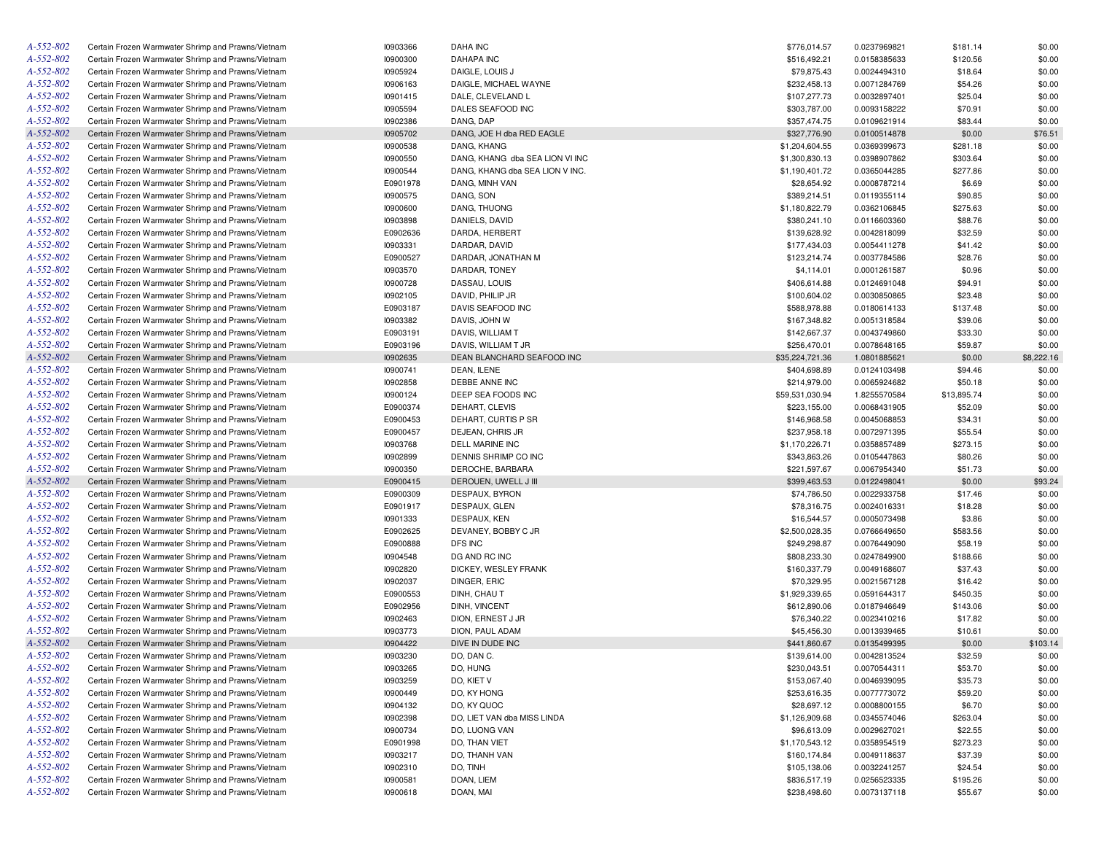| A-552-802 | Certain Frozen Warmwater Shrimp and Prawns/Vietnam | 10903366 | <b>DAHA INC</b>                 | \$776,014.57    | 0.0237969821 | \$181.14    | \$0.00     |
|-----------|----------------------------------------------------|----------|---------------------------------|-----------------|--------------|-------------|------------|
| A-552-802 | Certain Frozen Warmwater Shrimp and Prawns/Vietnam | 10900300 | DAHAPA INC                      | \$516,492.21    | 0.0158385633 | \$120.56    | \$0.00     |
| A-552-802 | Certain Frozen Warmwater Shrimp and Prawns/Vietnam | 10905924 | DAIGLE, LOUIS J                 | \$79,875.43     | 0.0024494310 | \$18.64     | \$0.00     |
| A-552-802 | Certain Frozen Warmwater Shrimp and Prawns/Vietnam | 10906163 | DAIGLE, MICHAEL WAYNE           | \$232,458.13    | 0.0071284769 | \$54.26     | \$0.00     |
| A-552-802 | Certain Frozen Warmwater Shrimp and Prawns/Vietnam | 10901415 | DALE, CLEVELAND L               | \$107,277.73    | 0.0032897401 | \$25.04     | \$0.00     |
| A-552-802 | Certain Frozen Warmwater Shrimp and Prawns/Vietnam | 10905594 | DALES SEAFOOD INC               | \$303,787.00    | 0.0093158222 | \$70.91     | \$0.00     |
| A-552-802 | Certain Frozen Warmwater Shrimp and Prawns/Vietnam | 10902386 | DANG, DAP                       | \$357,474.75    | 0.0109621914 | \$83.44     | \$0.00     |
| A-552-802 | Certain Frozen Warmwater Shrimp and Prawns/Vietnam | 10905702 | DANG, JOE H dba RED EAGLE       | \$327,776.90    | 0.0100514878 | \$0.00      | \$76.51    |
| A-552-802 | Certain Frozen Warmwater Shrimp and Prawns/Vietnam | 10900538 | DANG, KHANG                     | \$1,204,604.55  | 0.0369399673 | \$281.18    | \$0.00     |
| A-552-802 | Certain Frozen Warmwater Shrimp and Prawns/Vietnam | 10900550 | DANG, KHANG dba SEA LION VI INC | \$1,300,830.13  | 0.0398907862 | \$303.64    | \$0.00     |
| A-552-802 | Certain Frozen Warmwater Shrimp and Prawns/Vietnam | 10900544 | DANG, KHANG dba SEA LION V INC. | \$1,190,401.72  | 0.0365044285 | \$277.86    | \$0.00     |
| A-552-802 | Certain Frozen Warmwater Shrimp and Prawns/Vietnam | E0901978 | DANG, MINH VAN                  | \$28,654.92     | 0.0008787214 | \$6.69      | \$0.00     |
| A-552-802 | Certain Frozen Warmwater Shrimp and Prawns/Vietnam | 10900575 | DANG, SON                       | \$389,214.51    | 0.0119355114 | \$90.85     | \$0.00     |
| A-552-802 | Certain Frozen Warmwater Shrimp and Prawns/Vietnam | 10900600 | DANG, THUONG                    | \$1,180,822.79  | 0.0362106845 | \$275.63    | \$0.00     |
| A-552-802 | Certain Frozen Warmwater Shrimp and Prawns/Vietnam | 10903898 | DANIELS, DAVID                  | \$380,241.10    | 0.0116603360 | \$88.76     | \$0.00     |
| A-552-802 | Certain Frozen Warmwater Shrimp and Prawns/Vietnam | E0902636 | DARDA, HERBERT                  | \$139,628.92    | 0.0042818099 | \$32.59     | \$0.00     |
| A-552-802 | Certain Frozen Warmwater Shrimp and Prawns/Vietnam | 10903331 | DARDAR, DAVID                   | \$177,434.03    | 0.0054411278 | \$41.42     | \$0.00     |
| A-552-802 | Certain Frozen Warmwater Shrimp and Prawns/Vietnam | E0900527 | DARDAR, JONATHAN M              | \$123,214.74    | 0.0037784586 | \$28.76     | \$0.00     |
| A-552-802 | Certain Frozen Warmwater Shrimp and Prawns/Vietnam | 10903570 | DARDAR, TONEY                   | \$4,114.01      | 0.0001261587 | \$0.96      | \$0.00     |
| A-552-802 | Certain Frozen Warmwater Shrimp and Prawns/Vietnam | 10900728 | DASSAU, LOUIS                   | \$406,614.88    | 0.0124691048 | \$94.91     | \$0.00     |
| A-552-802 | Certain Frozen Warmwater Shrimp and Prawns/Vietnam | 10902105 | DAVID, PHILIP JR                | \$100,604.02    | 0.0030850865 | \$23.48     | \$0.00     |
| A-552-802 |                                                    | E0903187 |                                 |                 |              |             | \$0.00     |
|           | Certain Frozen Warmwater Shrimp and Prawns/Vietnam |          | DAVIS SEAFOOD INC               | \$588,978.88    | 0.0180614133 | \$137.48    |            |
| A-552-802 | Certain Frozen Warmwater Shrimp and Prawns/Vietnam | 10903382 | DAVIS, JOHN W                   | \$167,348.82    | 0.0051318584 | \$39.06     | \$0.00     |
| A-552-802 | Certain Frozen Warmwater Shrimp and Prawns/Vietnam | E0903191 | DAVIS, WILLIAM T                | \$142,667.37    | 0.0043749860 | \$33.30     | \$0.00     |
| A-552-802 | Certain Frozen Warmwater Shrimp and Prawns/Vietnam | E0903196 | DAVIS, WILLIAM T JR             | \$256,470.01    | 0.0078648165 | \$59.87     | \$0.00     |
| A-552-802 | Certain Frozen Warmwater Shrimp and Prawns/Vietnam | 10902635 | DEAN BLANCHARD SEAFOOD INC      | \$35,224,721.36 | 1.0801885621 | \$0.00      | \$8,222.16 |
| A-552-802 | Certain Frozen Warmwater Shrimp and Prawns/Vietnam | 10900741 | DEAN, ILENE                     | \$404,698.89    | 0.0124103498 | \$94.46     | \$0.00     |
| A-552-802 | Certain Frozen Warmwater Shrimp and Prawns/Vietnam | 10902858 | DEBBE ANNE INC                  | \$214,979.00    | 0.0065924682 | \$50.18     | \$0.00     |
| A-552-802 | Certain Frozen Warmwater Shrimp and Prawns/Vietnam | 10900124 | DEEP SEA FOODS INC              | \$59,531,030.94 | 1.8255570584 | \$13,895.74 | \$0.00     |
| A-552-802 | Certain Frozen Warmwater Shrimp and Prawns/Vietnam | E0900374 | DEHART, CLEVIS                  | \$223,155.00    | 0.0068431905 | \$52.09     | \$0.00     |
| A-552-802 | Certain Frozen Warmwater Shrimp and Prawns/Vietnam | E0900453 | DEHART, CURTIS P SR             | \$146,968.58    | 0.0045068853 | \$34.31     | \$0.00     |
| A-552-802 | Certain Frozen Warmwater Shrimp and Prawns/Vietnam | E0900457 | DEJEAN, CHRIS JR                | \$237,958.18    | 0.0072971395 | \$55.54     | \$0.00     |
| A-552-802 | Certain Frozen Warmwater Shrimp and Prawns/Vietnam | 10903768 | DELL MARINE INC                 | \$1,170,226.71  | 0.0358857489 | \$273.15    | \$0.00     |
| A-552-802 | Certain Frozen Warmwater Shrimp and Prawns/Vietnam | 10902899 | DENNIS SHRIMP CO INC            | \$343,863.26    | 0.0105447863 | \$80.26     | \$0.00     |
| A-552-802 | Certain Frozen Warmwater Shrimp and Prawns/Vietnam | 10900350 | DEROCHE, BARBARA                | \$221,597.67    | 0.0067954340 | \$51.73     | \$0.00     |
| A-552-802 | Certain Frozen Warmwater Shrimp and Prawns/Vietnam | E0900415 | DEROUEN, UWELL J III            | \$399,463.53    | 0.0122498041 | \$0.00      | \$93.24    |
| A-552-802 | Certain Frozen Warmwater Shrimp and Prawns/Vietnam | E0900309 | DESPAUX, BYRON                  | \$74,786.50     | 0.0022933758 | \$17.46     | \$0.00     |
| A-552-802 | Certain Frozen Warmwater Shrimp and Prawns/Vietnam | E0901917 | DESPAUX, GLEN                   | \$78,316.75     | 0.0024016331 | \$18.28     | \$0.00     |
| A-552-802 | Certain Frozen Warmwater Shrimp and Prawns/Vietnam | 10901333 | DESPAUX, KEN                    | \$16,544.57     | 0.0005073498 | \$3.86      | \$0.00     |
| A-552-802 | Certain Frozen Warmwater Shrimp and Prawns/Vietnam | E0902625 | DEVANEY, BOBBY C JR             | \$2,500,028.35  | 0.0766649650 | \$583.56    | \$0.00     |
| A-552-802 | Certain Frozen Warmwater Shrimp and Prawns/Vietnam | E0900888 | DFS INC                         | \$249,298.87    | 0.0076449090 | \$58.19     | \$0.00     |
| A-552-802 | Certain Frozen Warmwater Shrimp and Prawns/Vietnam | 10904548 | DG AND RC INC                   | \$808,233.30    | 0.0247849900 | \$188.66    | \$0.00     |
| A-552-802 | Certain Frozen Warmwater Shrimp and Prawns/Vietnam | 10902820 | DICKEY, WESLEY FRANK            | \$160,337.79    | 0.0049168607 | \$37.43     | \$0.00     |
| A-552-802 | Certain Frozen Warmwater Shrimp and Prawns/Vietnam | 10902037 | DINGER, ERIC                    | \$70,329.95     | 0.0021567128 | \$16.42     | \$0.00     |
| A-552-802 | Certain Frozen Warmwater Shrimp and Prawns/Vietnam | E0900553 | DINH, CHAU T                    | \$1,929,339.65  | 0.0591644317 | \$450.35    | \$0.00     |
| A-552-802 | Certain Frozen Warmwater Shrimp and Prawns/Vietnam | E0902956 | DINH, VINCENT                   | \$612,890.06    | 0.0187946649 | \$143.06    | \$0.00     |
| A-552-802 | Certain Frozen Warmwater Shrimp and Prawns/Vietnam | 10902463 | DION, ERNEST J JR               | \$76,340.22     | 0.0023410216 | \$17.82     | \$0.00     |
| A-552-802 | Certain Frozen Warmwater Shrimp and Prawns/Vietnam | 10903773 | DION, PAUL ADAM                 | \$45,456.30     | 0.0013939465 | \$10.61     | \$0.00     |
| A-552-802 | Certain Frozen Warmwater Shrimp and Prawns/Vietnam | 10904422 | DIVE IN DUDE INC                | \$441,860.67    | 0.0135499395 | \$0.00      | \$103.14   |
| A-552-802 | Certain Frozen Warmwater Shrimp and Prawns/Vietnam | 10903230 | DO, DAN C.                      | \$139,614.00    | 0.0042813524 | \$32.59     | \$0.00     |
| A-552-802 | Certain Frozen Warmwater Shrimp and Prawns/Vietnam | 10903265 | DO, HUNG                        | \$230,043.51    | 0.0070544311 | \$53.70     | \$0.00     |
| A-552-802 | Certain Frozen Warmwater Shrimp and Prawns/Vietnam | 10903259 | DO, KIET V                      | \$153,067.40    | 0.0046939095 | \$35.73     | \$0.00     |
| A-552-802 | Certain Frozen Warmwater Shrimp and Prawns/Vietnam | 10900449 | DO, KY HONG                     | \$253,616.35    | 0.0077773072 | \$59.20     | \$0.00     |
| A-552-802 | Certain Frozen Warmwater Shrimp and Prawns/Vietnam | 10904132 | DO, KY QUOC                     | \$28,697.12     | 0.0008800155 | \$6.70      | \$0.00     |
| A-552-802 | Certain Frozen Warmwater Shrimp and Prawns/Vietnam | 10902398 | DO, LIET VAN dba MISS LINDA     | \$1,126,909.68  | 0.0345574046 | \$263.04    | \$0.00     |
| A-552-802 | Certain Frozen Warmwater Shrimp and Prawns/Vietnam | 10900734 | DO, LUONG VAN                   | \$96,613.09     | 0.0029627021 | \$22.55     | \$0.00     |
| A-552-802 | Certain Frozen Warmwater Shrimp and Prawns/Vietnam | E0901998 | DO, THAN VIET                   | \$1,170,543.12  | 0.0358954519 | \$273.23    | \$0.00     |
| A-552-802 | Certain Frozen Warmwater Shrimp and Prawns/Vietnam | 10903217 | DO, THANH VAN                   | \$160,174.84    | 0.0049118637 | \$37.39     | \$0.00     |
| A-552-802 | Certain Frozen Warmwater Shrimp and Prawns/Vietnam | 10902310 | DO, TINH                        | \$105,138.06    | 0.0032241257 | \$24.54     | \$0.00     |
| A-552-802 | Certain Frozen Warmwater Shrimp and Prawns/Vietnam | 10900581 | DOAN, LIEM                      | \$836,517.19    | 0.0256523335 | \$195.26    | \$0.00     |
| A-552-802 | Certain Frozen Warmwater Shrimp and Prawns/Vietnam | 10900618 | DOAN, MAI                       | \$238,498.60    | 0.0073137118 | \$55.67     | \$0.00     |
|           |                                                    |          |                                 |                 |              |             |            |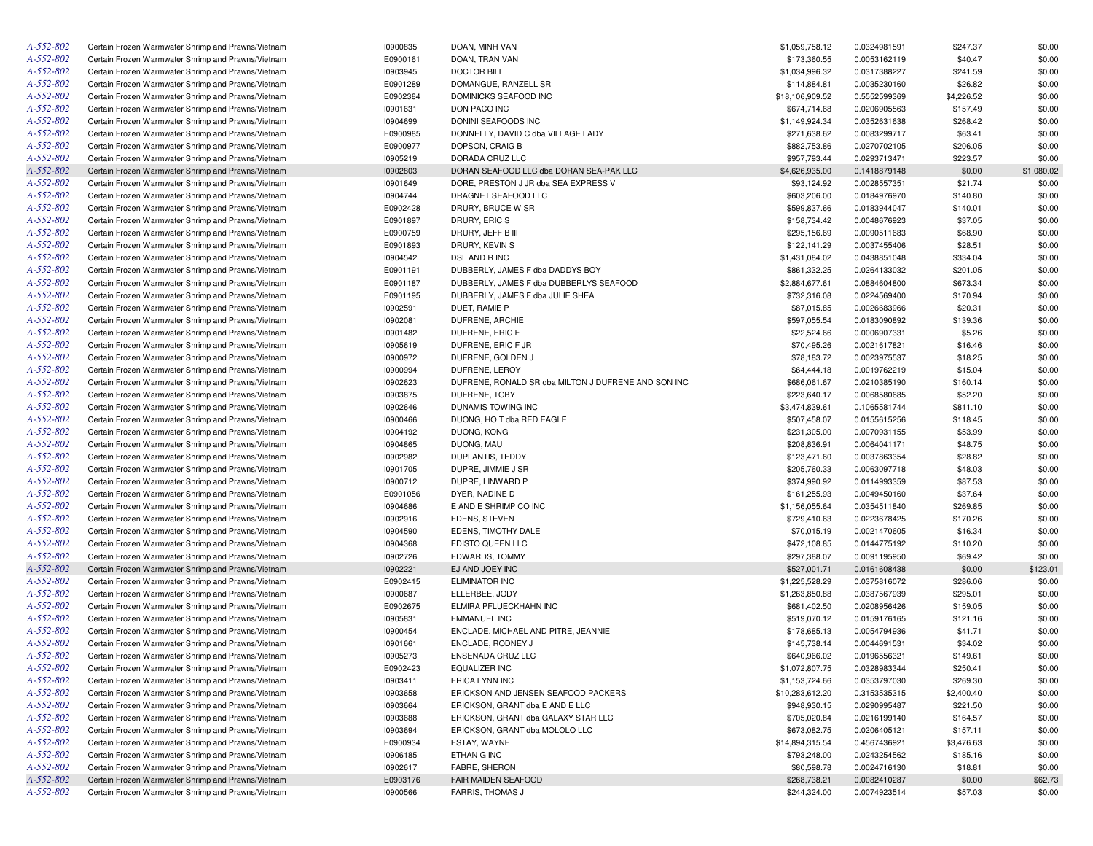| A-552-802 | Certain Frozen Warmwater Shrimp and Prawns/Vietnam | 10900835 | DOAN, MINH VAN                                      | \$1,059,758.12  | 0.0324981591 | \$247.37   | \$0.00     |
|-----------|----------------------------------------------------|----------|-----------------------------------------------------|-----------------|--------------|------------|------------|
| A-552-802 | Certain Frozen Warmwater Shrimp and Prawns/Vietnam | E0900161 | DOAN, TRAN VAN                                      | \$173,360.55    | 0.0053162119 | \$40.47    | \$0.00     |
| A-552-802 | Certain Frozen Warmwater Shrimp and Prawns/Vietnam | 10903945 | <b>DOCTOR BILL</b>                                  | \$1,034,996.32  | 0.0317388227 | \$241.59   | \$0.00     |
| A-552-802 | Certain Frozen Warmwater Shrimp and Prawns/Vietnam | E0901289 | DOMANGUE, RANZELL SR                                | \$114,884.81    | 0.0035230160 | \$26.82    | \$0.00     |
| A-552-802 | Certain Frozen Warmwater Shrimp and Prawns/Vietnam | E0902384 | DOMINICKS SEAFOOD INC                               | \$18,106,909.52 | 0.5552599369 | \$4,226.52 | \$0.00     |
| A-552-802 | Certain Frozen Warmwater Shrimp and Prawns/Vietnam | 10901631 | DON PACO INC                                        | \$674,714.68    | 0.0206905563 | \$157.49   | \$0.00     |
| A-552-802 | Certain Frozen Warmwater Shrimp and Prawns/Vietnam | 10904699 | DONINI SEAFOODS INC                                 | \$1,149,924.34  | 0.0352631638 | \$268.42   | \$0.00     |
| A-552-802 | Certain Frozen Warmwater Shrimp and Prawns/Vietnam | E0900985 | DONNELLY, DAVID C dba VILLAGE LADY                  | \$271,638.62    | 0.0083299717 | \$63.41    | \$0.00     |
| A-552-802 | Certain Frozen Warmwater Shrimp and Prawns/Vietnam | E0900977 | DOPSON, CRAIG B                                     | \$882,753.86    | 0.0270702105 | \$206.05   | \$0.00     |
| A-552-802 | Certain Frozen Warmwater Shrimp and Prawns/Vietnam | 10905219 | DORADA CRUZ LLC                                     | \$957,793.44    | 0.0293713471 | \$223.57   | \$0.00     |
| A-552-802 | Certain Frozen Warmwater Shrimp and Prawns/Vietnam | 10902803 | DORAN SEAFOOD LLC dba DORAN SEA-PAK LLC             | \$4,626,935.00  | 0.1418879148 | \$0.00     | \$1,080.02 |
| A-552-802 | Certain Frozen Warmwater Shrimp and Prawns/Vietnam | 10901649 | DORE, PRESTON J JR dba SEA EXPRESS V                | \$93,124.92     | 0.0028557351 | \$21.74    | \$0.00     |
| A-552-802 | Certain Frozen Warmwater Shrimp and Prawns/Vietnam | 10904744 | DRAGNET SEAFOOD LLC                                 | \$603,206.00    | 0.0184976970 | \$140.80   | \$0.00     |
| A-552-802 | Certain Frozen Warmwater Shrimp and Prawns/Vietnam | E0902428 | DRURY, BRUCE W SR                                   | \$599,837.66    | 0.0183944047 | \$140.01   | \$0.00     |
| A-552-802 | Certain Frozen Warmwater Shrimp and Prawns/Vietnam | E0901897 | DRURY, ERIC S                                       | \$158,734.42    | 0.0048676923 | \$37.05    | \$0.00     |
| A-552-802 | Certain Frozen Warmwater Shrimp and Prawns/Vietnam | E0900759 | DRURY, JEFF B III                                   | \$295,156.69    | 0.0090511683 | \$68.90    | \$0.00     |
| A-552-802 | Certain Frozen Warmwater Shrimp and Prawns/Vietnam | E0901893 | DRURY, KEVIN S                                      | \$122,141.29    | 0.0037455406 | \$28.51    | \$0.00     |
| A-552-802 | Certain Frozen Warmwater Shrimp and Prawns/Vietnam | 10904542 | DSL AND R INC                                       | \$1,431,084.02  | 0.0438851048 | \$334.04   | \$0.00     |
| A-552-802 | Certain Frozen Warmwater Shrimp and Prawns/Vietnam | E0901191 | DUBBERLY, JAMES F dba DADDYS BOY                    | \$861,332.25    | 0.0264133032 | \$201.05   | \$0.00     |
| A-552-802 |                                                    |          |                                                     |                 |              |            |            |
|           | Certain Frozen Warmwater Shrimp and Prawns/Vietnam | E0901187 | DUBBERLY, JAMES F dba DUBBERLYS SEAFOOD             | \$2,884,677.61  | 0.0884604800 | \$673.34   | \$0.00     |
| A-552-802 | Certain Frozen Warmwater Shrimp and Prawns/Vietnam | E0901195 | DUBBERLY, JAMES F dba JULIE SHEA                    | \$732,316.08    | 0.0224569400 | \$170.94   | \$0.00     |
| A-552-802 | Certain Frozen Warmwater Shrimp and Prawns/Vietnam | 10902591 | DUET, RAMIE P                                       | \$87,015.85     | 0.0026683966 | \$20.31    | \$0.00     |
| A-552-802 | Certain Frozen Warmwater Shrimp and Prawns/Vietnam | 10902081 | DUFRENE, ARCHIE                                     | \$597,055.54    | 0.0183090892 | \$139.36   | \$0.00     |
| A-552-802 | Certain Frozen Warmwater Shrimp and Prawns/Vietnam | 10901482 | DUFRENE, ERIC F                                     | \$22,524.66     | 0.0006907331 | \$5.26     | \$0.00     |
| A-552-802 | Certain Frozen Warmwater Shrimp and Prawns/Vietnam | 10905619 | DUFRENE, ERIC F JR                                  | \$70,495.26     | 0.0021617821 | \$16.46    | \$0.00     |
| A-552-802 | Certain Frozen Warmwater Shrimp and Prawns/Vietnam | 10900972 | DUFRENE, GOLDEN J                                   | \$78,183.72     | 0.0023975537 | \$18.25    | \$0.00     |
| A-552-802 | Certain Frozen Warmwater Shrimp and Prawns/Vietnam | 10900994 | DUFRENE, LEROY                                      | \$64,444.18     | 0.0019762219 | \$15.04    | \$0.00     |
| A-552-802 | Certain Frozen Warmwater Shrimp and Prawns/Vietnam | 10902623 | DUFRENE, RONALD SR dba MILTON J DUFRENE AND SON INC | \$686,061.67    | 0.0210385190 | \$160.14   | \$0.00     |
| A-552-802 | Certain Frozen Warmwater Shrimp and Prawns/Vietnam | 10903875 | DUFRENE, TOBY                                       | \$223,640.17    | 0.0068580685 | \$52.20    | \$0.00     |
| A-552-802 | Certain Frozen Warmwater Shrimp and Prawns/Vietnam | 10902646 | DUNAMIS TOWING INC                                  | \$3,474,839.61  | 0.1065581744 | \$811.10   | \$0.00     |
| A-552-802 | Certain Frozen Warmwater Shrimp and Prawns/Vietnam | 10900466 | DUONG, HO T dba RED EAGLE                           | \$507,458.07    | 0.0155615256 | \$118.45   | \$0.00     |
| A-552-802 | Certain Frozen Warmwater Shrimp and Prawns/Vietnam | 10904192 | DUONG, KONG                                         | \$231,305.00    | 0.0070931155 | \$53.99    | \$0.00     |
| A-552-802 | Certain Frozen Warmwater Shrimp and Prawns/Vietnam | 10904865 | DUONG, MAU                                          | \$208,836.91    | 0.0064041171 | \$48.75    | \$0.00     |
| A-552-802 | Certain Frozen Warmwater Shrimp and Prawns/Vietnam | 10902982 | DUPLANTIS, TEDDY                                    | \$123,471.60    | 0.0037863354 | \$28.82    | \$0.00     |
| A-552-802 | Certain Frozen Warmwater Shrimp and Prawns/Vietnam | 10901705 | DUPRE, JIMMIE J SR                                  | \$205,760.33    | 0.0063097718 | \$48.03    | \$0.00     |
| A-552-802 | Certain Frozen Warmwater Shrimp and Prawns/Vietnam | 10900712 | DUPRE, LINWARD P                                    | \$374,990.92    | 0.0114993359 | \$87.53    | \$0.00     |
| A-552-802 | Certain Frozen Warmwater Shrimp and Prawns/Vietnam | E0901056 | DYER, NADINE D                                      | \$161,255.93    | 0.0049450160 | \$37.64    | \$0.00     |
| A-552-802 | Certain Frozen Warmwater Shrimp and Prawns/Vietnam | 10904686 | E AND E SHRIMP CO INC                               | \$1,156,055.64  | 0.0354511840 | \$269.85   | \$0.00     |
| A-552-802 | Certain Frozen Warmwater Shrimp and Prawns/Vietnam | 10902916 | EDENS, STEVEN                                       | \$729,410.63    | 0.0223678425 | \$170.26   | \$0.00     |
| A-552-802 | Certain Frozen Warmwater Shrimp and Prawns/Vietnam | 10904590 | EDENS, TIMOTHY DALE                                 | \$70,015.19     | 0.0021470605 | \$16.34    | \$0.00     |
| A-552-802 | Certain Frozen Warmwater Shrimp and Prawns/Vietnam | 10904368 | EDISTO QUEEN LLC                                    | \$472,108.85    | 0.0144775192 | \$110.20   | \$0.00     |
| A-552-802 | Certain Frozen Warmwater Shrimp and Prawns/Vietnam | 10902726 | EDWARDS, TOMMY                                      | \$297,388.07    | 0.0091195950 | \$69.42    | \$0.00     |
| A-552-802 | Certain Frozen Warmwater Shrimp and Prawns/Vietnam | 10902221 | EJ AND JOEY INC                                     | \$527,001.71    | 0.0161608438 | \$0.00     | \$123.01   |
| A-552-802 | Certain Frozen Warmwater Shrimp and Prawns/Vietnam | E0902415 | <b>ELIMINATOR INC</b>                               | \$1,225,528.29  | 0.0375816072 | \$286.06   | \$0.00     |
| A-552-802 | Certain Frozen Warmwater Shrimp and Prawns/Vietnam | 10900687 | ELLERBEE, JODY                                      | \$1,263,850.88  | 0.0387567939 | \$295.01   | \$0.00     |
| A-552-802 | Certain Frozen Warmwater Shrimp and Prawns/Vietnam | E0902675 | ELMIRA PFLUECKHAHN INC                              | \$681,402.50    | 0.0208956426 | \$159.05   | \$0.00     |
| A-552-802 | Certain Frozen Warmwater Shrimp and Prawns/Vietnam | 10905831 | <b>EMMANUEL INC</b>                                 | \$519,070.12    | 0.0159176165 | \$121.16   | \$0.00     |
| A-552-802 | Certain Frozen Warmwater Shrimp and Prawns/Vietnam | 10900454 | ENCLADE, MICHAEL AND PITRE, JEANNIE                 | \$178,685.13    | 0.0054794936 | \$41.71    | \$0.00     |
| A-552-802 | Certain Frozen Warmwater Shrimp and Prawns/Vietnam |          | ENCLADE, RODNEY J                                   |                 |              |            |            |
|           |                                                    | 10901661 |                                                     | \$145,738.14    | 0.0044691531 | \$34.02    | \$0.00     |
| A-552-802 | Certain Frozen Warmwater Shrimp and Prawns/Vietnam | 10905273 | ENSENADA CRUZ LLC                                   | \$640,966.02    | 0.0196556321 | \$149.61   | \$0.00     |
| A-552-802 | Certain Frozen Warmwater Shrimp and Prawns/Vietnam | E0902423 | <b>EQUALIZER INC</b>                                | \$1,072,807.75  | 0.0328983344 | \$250.41   | \$0.00     |
| A-552-802 | Certain Frozen Warmwater Shrimp and Prawns/Vietnam | 10903411 | ERICA LYNN INC                                      | \$1,153,724.66  | 0.0353797030 | \$269.30   | \$0.00     |
| A-552-802 | Certain Frozen Warmwater Shrimp and Prawns/Vietnam | 10903658 | ERICKSON AND JENSEN SEAFOOD PACKERS                 | \$10,283,612.20 | 0.3153535315 | \$2,400.40 | \$0.00     |
| A-552-802 | Certain Frozen Warmwater Shrimp and Prawns/Vietnam | 10903664 | ERICKSON, GRANT dba E AND E LLC                     | \$948,930.15    | 0.0290995487 | \$221.50   | \$0.00     |
| A-552-802 | Certain Frozen Warmwater Shrimp and Prawns/Vietnam | 10903688 | ERICKSON, GRANT dba GALAXY STAR LLC                 | \$705,020.84    | 0.0216199140 | \$164.57   | \$0.00     |
| A-552-802 | Certain Frozen Warmwater Shrimp and Prawns/Vietnam | 10903694 | ERICKSON, GRANT dba MOLOLO LLC                      | \$673,082.75    | 0.0206405121 | \$157.11   | \$0.00     |
| A-552-802 | Certain Frozen Warmwater Shrimp and Prawns/Vietnam | E0900934 | ESTAY, WAYNE                                        | \$14,894,315.54 | 0.4567436921 | \$3,476.63 | \$0.00     |
| A-552-802 | Certain Frozen Warmwater Shrimp and Prawns/Vietnam | 10906185 | ETHAN G INC                                         | \$793,248.00    | 0.0243254562 | \$185.16   | \$0.00     |
| A-552-802 | Certain Frozen Warmwater Shrimp and Prawns/Vietnam | 10902617 | FABRE, SHERON                                       | \$80,598.78     | 0.0024716130 | \$18.81    | \$0.00     |
| A-552-802 | Certain Frozen Warmwater Shrimp and Prawns/Vietnam | E0903176 | FAIR MAIDEN SEAFOOD                                 | \$268,738.21    | 0.0082410287 | \$0.00     | \$62.73    |
| A-552-802 | Certain Frozen Warmwater Shrimp and Prawns/Vietnam | 10900566 | <b>FARRIS, THOMAS J</b>                             | \$244,324.00    | 0.0074923514 | \$57.03    | \$0.00     |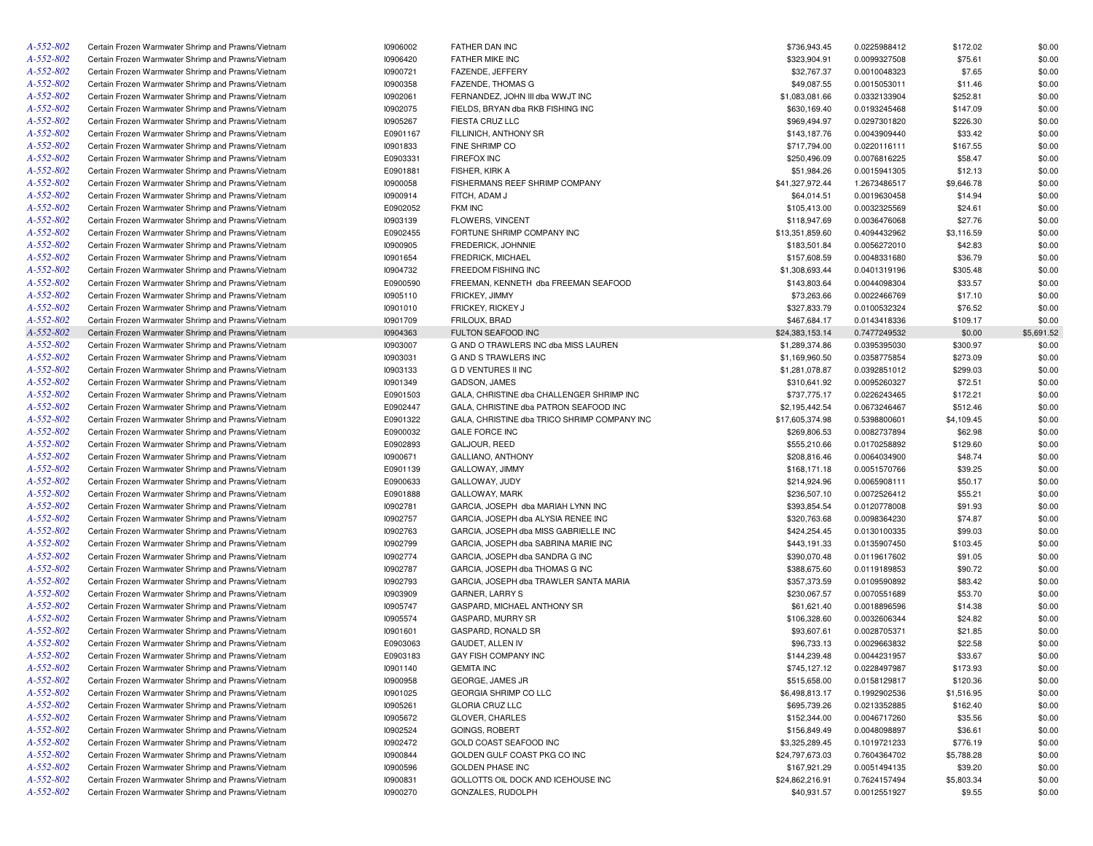| A-552-802 | Certain Frozen Warmwater Shrimp and Prawns/Vietnam | 10906002 | FATHER DAN INC                               | \$736,943.45    | 0.0225988412 | \$172.02   | \$0.00     |
|-----------|----------------------------------------------------|----------|----------------------------------------------|-----------------|--------------|------------|------------|
| A-552-802 | Certain Frozen Warmwater Shrimp and Prawns/Vietnam | 10906420 | FATHER MIKE INC                              | \$323,904.91    | 0.0099327508 | \$75.61    | \$0.00     |
| A-552-802 | Certain Frozen Warmwater Shrimp and Prawns/Vietnam | 10900721 | FAZENDE, JEFFERY                             | \$32,767.37     | 0.0010048323 | \$7.65     | \$0.00     |
| A-552-802 | Certain Frozen Warmwater Shrimp and Prawns/Vietnam | 10900358 | <b>FAZENDE, THOMAS G</b>                     | \$49,087.55     | 0.0015053011 | \$11.46    | \$0.00     |
| A-552-802 | Certain Frozen Warmwater Shrimp and Prawns/Vietnam | 10902061 | FERNANDEZ, JOHN III dba WWJT INC             | \$1,083,081.66  | 0.0332133904 | \$252.81   | \$0.00     |
| A-552-802 | Certain Frozen Warmwater Shrimp and Prawns/Vietnam | 10902075 | FIELDS, BRYAN dba RKB FISHING INC            | \$630,169.40    | 0.0193245468 | \$147.09   | \$0.00     |
| A-552-802 | Certain Frozen Warmwater Shrimp and Prawns/Vietnam | 10905267 | FIESTA CRUZ LLC                              | \$969,494.97    | 0.0297301820 | \$226.30   | \$0.00     |
| A-552-802 | Certain Frozen Warmwater Shrimp and Prawns/Vietnam | E0901167 | FILLINICH, ANTHONY SR                        | \$143,187.76    | 0.0043909440 | \$33.42    | \$0.00     |
| A-552-802 | Certain Frozen Warmwater Shrimp and Prawns/Vietnam | 10901833 | FINE SHRIMP CO                               | \$717,794.00    | 0.0220116111 | \$167.55   | \$0.00     |
| A-552-802 | Certain Frozen Warmwater Shrimp and Prawns/Vietnam | E0903331 | <b>FIREFOX INC</b>                           | \$250,496.09    | 0.0076816225 | \$58.47    | \$0.00     |
| A-552-802 | Certain Frozen Warmwater Shrimp and Prawns/Vietnam | E0901881 | FISHER, KIRK A                               | \$51,984.26     | 0.0015941305 | \$12.13    | \$0.00     |
| A-552-802 | Certain Frozen Warmwater Shrimp and Prawns/Vietnam | 10900058 | FISHERMANS REEF SHRIMP COMPANY               | \$41,327,972.44 | 1.2673486517 | \$9,646.78 | \$0.00     |
| A-552-802 | Certain Frozen Warmwater Shrimp and Prawns/Vietnam | 10900914 | FITCH, ADAM J                                | \$64,014.51     | 0.0019630458 | \$14.94    | \$0.00     |
| A-552-802 | Certain Frozen Warmwater Shrimp and Prawns/Vietnam | E0902052 | <b>FKM INC</b>                               | \$105,413.00    | 0.0032325569 | \$24.61    | \$0.00     |
| A-552-802 | Certain Frozen Warmwater Shrimp and Prawns/Vietnam | 10903139 | FLOWERS, VINCENT                             | \$118,947.69    | 0.0036476068 | \$27.76    | \$0.00     |
| A-552-802 | Certain Frozen Warmwater Shrimp and Prawns/Vietnam | E0902455 | FORTUNE SHRIMP COMPANY INC                   | \$13,351,859.60 | 0.4094432962 | \$3,116.59 | \$0.00     |
| A-552-802 |                                                    | 10900905 |                                              | \$183,501.84    |              |            | \$0.00     |
|           | Certain Frozen Warmwater Shrimp and Prawns/Vietnam |          | FREDERICK, JOHNNIE                           |                 | 0.0056272010 | \$42.83    |            |
| A-552-802 | Certain Frozen Warmwater Shrimp and Prawns/Vietnam | 10901654 | <b>FREDRICK, MICHAEL</b>                     | \$157,608.59    | 0.0048331680 | \$36.79    | \$0.00     |
| A-552-802 | Certain Frozen Warmwater Shrimp and Prawns/Vietnam | 10904732 | FREEDOM FISHING INC                          | \$1,308,693.44  | 0.0401319196 | \$305.48   | \$0.00     |
| A-552-802 | Certain Frozen Warmwater Shrimp and Prawns/Vietnam | E0900590 | FREEMAN, KENNETH dba FREEMAN SEAFOOD         | \$143,803.64    | 0.0044098304 | \$33.57    | \$0.00     |
| A-552-802 | Certain Frozen Warmwater Shrimp and Prawns/Vietnam | 10905110 | FRICKEY, JIMMY                               | \$73,263.66     | 0.0022466769 | \$17.10    | \$0.00     |
| A-552-802 | Certain Frozen Warmwater Shrimp and Prawns/Vietnam | 10901010 | FRICKEY, RICKEY J                            | \$327,833.79    | 0.0100532324 | \$76.52    | \$0.00     |
| A-552-802 | Certain Frozen Warmwater Shrimp and Prawns/Vietnam | 10901709 | FRILOUX, BRAD                                | \$467,684.17    | 0.0143418336 | \$109.17   | \$0.00     |
| A-552-802 | Certain Frozen Warmwater Shrimp and Prawns/Vietnam | 10904363 | FULTON SEAFOOD INC                           | \$24,383,153.14 | 0.7477249532 | \$0.00     | \$5,691.52 |
| A-552-802 | Certain Frozen Warmwater Shrimp and Prawns/Vietnam | 10903007 | G AND O TRAWLERS INC dba MISS LAUREN         | \$1,289,374.86  | 0.0395395030 | \$300.97   | \$0.00     |
| A-552-802 | Certain Frozen Warmwater Shrimp and Prawns/Vietnam | 10903031 | <b>G AND S TRAWLERS INC</b>                  | \$1,169,960.50  | 0.0358775854 | \$273.09   | \$0.00     |
| A-552-802 | Certain Frozen Warmwater Shrimp and Prawns/Vietnam | 10903133 | <b>G D VENTURES II INC</b>                   | \$1,281,078.87  | 0.0392851012 | \$299.03   | \$0.00     |
| A-552-802 | Certain Frozen Warmwater Shrimp and Prawns/Vietnam | 10901349 | GADSON, JAMES                                | \$310,641.92    | 0.0095260327 | \$72.51    | \$0.00     |
| A-552-802 | Certain Frozen Warmwater Shrimp and Prawns/Vietnam | E0901503 | GALA, CHRISTINE dba CHALLENGER SHRIMP INC    | \$737,775.17    | 0.0226243465 | \$172.21   | \$0.00     |
| A-552-802 | Certain Frozen Warmwater Shrimp and Prawns/Vietnam | E0902447 | GALA, CHRISTINE dba PATRON SEAFOOD INC       | \$2,195,442.54  | 0.0673246467 | \$512.46   | \$0.00     |
| A-552-802 | Certain Frozen Warmwater Shrimp and Prawns/Vietnam | E0901322 | GALA, CHRISTINE dba TRICO SHRIMP COMPANY INC | \$17,605,374.98 | 0.5398800601 | \$4,109.45 | \$0.00     |
| A-552-802 | Certain Frozen Warmwater Shrimp and Prawns/Vietnam | E0900032 | <b>GALE FORCE INC</b>                        | \$269,806.53    | 0.0082737894 | \$62.98    | \$0.00     |
| A-552-802 | Certain Frozen Warmwater Shrimp and Prawns/Vietnam | E0902893 | GALJOUR, REED                                | \$555,210.66    | 0.0170258892 | \$129.60   | \$0.00     |
| A-552-802 | Certain Frozen Warmwater Shrimp and Prawns/Vietnam | 10900671 | GALLIANO, ANTHONY                            | \$208,816.46    | 0.0064034900 | \$48.74    | \$0.00     |
| A-552-802 | Certain Frozen Warmwater Shrimp and Prawns/Vietnam | E0901139 | GALLOWAY, JIMMY                              | \$168,171.18    | 0.0051570766 | \$39.25    | \$0.00     |
| A-552-802 | Certain Frozen Warmwater Shrimp and Prawns/Vietnam | E0900633 | GALLOWAY, JUDY                               | \$214,924.96    | 0.0065908111 | \$50.17    | \$0.00     |
| A-552-802 | Certain Frozen Warmwater Shrimp and Prawns/Vietnam | E0901888 | <b>GALLOWAY, MARK</b>                        | \$236,507.10    | 0.0072526412 | \$55.21    | \$0.00     |
| A-552-802 | Certain Frozen Warmwater Shrimp and Prawns/Vietnam | 10902781 | GARCIA, JOSEPH dba MARIAH LYNN INC           | \$393,854.54    | 0.0120778008 | \$91.93    | \$0.00     |
| A-552-802 | Certain Frozen Warmwater Shrimp and Prawns/Vietnam | 10902757 | GARCIA, JOSEPH dba ALYSIA RENEE INC          | \$320,763.68    | 0.0098364230 | \$74.87    | \$0.00     |
| A-552-802 | Certain Frozen Warmwater Shrimp and Prawns/Vietnam | 10902763 | GARCIA, JOSEPH dba MISS GABRIELLE INC        | \$424,254.45    | 0.0130100335 | \$99.03    | \$0.00     |
| A-552-802 | Certain Frozen Warmwater Shrimp and Prawns/Vietnam | 10902799 | GARCIA, JOSEPH dba SABRINA MARIE INC         | \$443,191.33    | 0.0135907450 | \$103.45   | \$0.00     |
| A-552-802 | Certain Frozen Warmwater Shrimp and Prawns/Vietnam | 10902774 | GARCIA, JOSEPH dba SANDRA G INC              | \$390,070.48    | 0.0119617602 | \$91.05    | \$0.00     |
| A-552-802 |                                                    | 10902787 |                                              |                 |              |            | \$0.00     |
|           | Certain Frozen Warmwater Shrimp and Prawns/Vietnam |          | GARCIA, JOSEPH dba THOMAS G INC              | \$388,675.60    | 0.0119189853 | \$90.72    |            |
| A-552-802 | Certain Frozen Warmwater Shrimp and Prawns/Vietnam | 10902793 | GARCIA, JOSEPH dba TRAWLER SANTA MARIA       | \$357,373.59    | 0.0109590892 | \$83.42    | \$0.00     |
| A-552-802 | Certain Frozen Warmwater Shrimp and Prawns/Vietnam | 10903909 | GARNER, LARRY S                              | \$230,067.57    | 0.0070551689 | \$53.70    | \$0.00     |
| A-552-802 | Certain Frozen Warmwater Shrimp and Prawns/Vietnam | 10905747 | GASPARD, MICHAEL ANTHONY SR                  | \$61,621.40     | 0.0018896596 | \$14.38    | \$0.00     |
| A-552-802 | Certain Frozen Warmwater Shrimp and Prawns/Vietnam | 10905574 | GASPARD, MURRY SR                            | \$106,328.60    | 0.0032606344 | \$24.82    | \$0.00     |
| A-552-802 | Certain Frozen Warmwater Shrimp and Prawns/Vietnam | 10901601 | GASPARD, RONALD SR                           | \$93,607.61     | 0.0028705371 | \$21.85    | \$0.00     |
| A-552-802 | Certain Frozen Warmwater Shrimp and Prawns/Vietnam | E0903063 | GAUDET, ALLEN IV                             | \$96,733.13     | 0.0029663832 | \$22.58    | \$0.00     |
| A-552-802 | Certain Frozen Warmwater Shrimp and Prawns/Vietnam | E0903183 | GAY FISH COMPANY INC                         | \$144,239.48    | 0.0044231957 | \$33.67    | \$0.00     |
| A-552-802 | Certain Frozen Warmwater Shrimp and Prawns/Vietnam | 10901140 | <b>GEMITA INC</b>                            | \$745,127.12    | 0.0228497987 | \$173.93   | \$0.00     |
| A-552-802 | Certain Frozen Warmwater Shrimp and Prawns/Vietnam | 10900958 | GEORGE, JAMES JR                             | \$515,658.00    | 0.0158129817 | \$120.36   | \$0.00     |
| A-552-802 | Certain Frozen Warmwater Shrimp and Prawns/Vietnam | 10901025 | GEORGIA SHRIMP CO LLC                        | \$6,498,813.17  | 0.1992902536 | \$1,516.95 | \$0.00     |
| A-552-802 | Certain Frozen Warmwater Shrimp and Prawns/Vietnam | 10905261 | <b>GLORIA CRUZ LLC</b>                       | \$695,739.26    | 0.0213352885 | \$162.40   | \$0.00     |
| A-552-802 | Certain Frozen Warmwater Shrimp and Prawns/Vietnam | 10905672 | GLOVER, CHARLES                              | \$152,344.00    | 0.0046717260 | \$35.56    | \$0.00     |
| A-552-802 | Certain Frozen Warmwater Shrimp and Prawns/Vietnam | 10902524 | GOINGS, ROBERT                               | \$156,849.49    | 0.0048098897 | \$36.61    | \$0.00     |
| A-552-802 | Certain Frozen Warmwater Shrimp and Prawns/Vietnam | 10902472 | GOLD COAST SEAFOOD INC                       | \$3,325,289.45  | 0.1019721233 | \$776.19   | \$0.00     |
| A-552-802 | Certain Frozen Warmwater Shrimp and Prawns/Vietnam | 10900844 | GOLDEN GULF COAST PKG CO INC                 | \$24,797,673.03 | 0.7604364702 | \$5,788.28 | \$0.00     |
| A-552-802 | Certain Frozen Warmwater Shrimp and Prawns/Vietnam | 10900596 | <b>GOLDEN PHASE INC</b>                      | \$167,921.29    | 0.0051494135 | \$39.20    | \$0.00     |
| A-552-802 | Certain Frozen Warmwater Shrimp and Prawns/Vietnam | 10900831 | GOLLOTTS OIL DOCK AND ICEHOUSE INC           | \$24,862,216.91 | 0.7624157494 | \$5,803.34 | \$0.00     |
| A-552-802 | Certain Frozen Warmwater Shrimp and Prawns/Vietnam | 10900270 | GONZALES, RUDOLPH                            | \$40,931.57     | 0.0012551927 | \$9.55     | \$0.00     |
|           |                                                    |          |                                              |                 |              |            |            |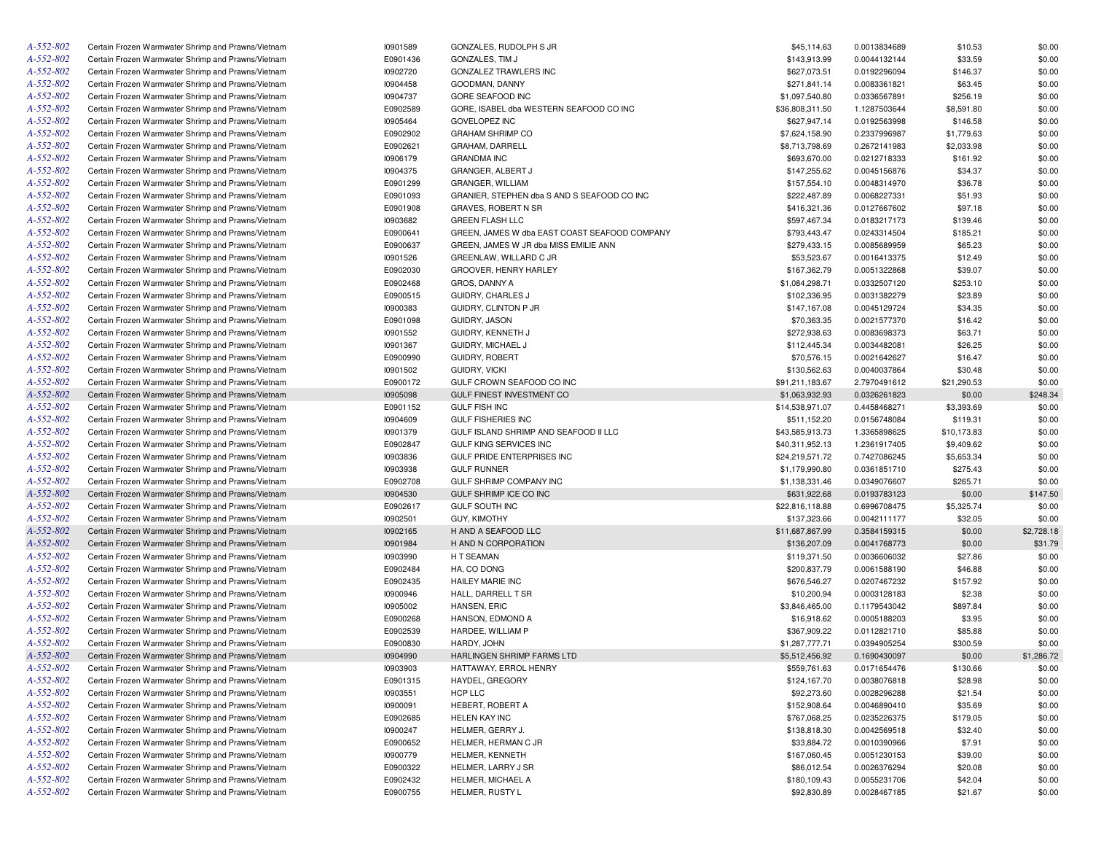| A-552-802 | Certain Frozen Warmwater Shrimp and Prawns/Vietnam | 10901589 | GONZALES, RUDOLPH S JR                        | \$45,114.63     | 0.0013834689 | \$10.53     | \$0.00     |
|-----------|----------------------------------------------------|----------|-----------------------------------------------|-----------------|--------------|-------------|------------|
| A-552-802 | Certain Frozen Warmwater Shrimp and Prawns/Vietnam | E0901436 | GONZALES, TIM J                               | \$143,913.99    | 0.0044132144 | \$33.59     | \$0.00     |
| A-552-802 | Certain Frozen Warmwater Shrimp and Prawns/Vietnam | 10902720 | GONZALEZ TRAWLERS INC                         | \$627,073.51    | 0.0192296094 | \$146.37    | \$0.00     |
| A-552-802 | Certain Frozen Warmwater Shrimp and Prawns/Vietnam | 10904458 | GOODMAN, DANNY                                | \$271,841.14    | 0.0083361821 | \$63.45     | \$0.00     |
| A-552-802 | Certain Frozen Warmwater Shrimp and Prawns/Vietnam | 10904737 | GORE SEAFOOD INC                              | \$1,097,540.80  | 0.0336567891 | \$256.19    | \$0.00     |
| A-552-802 | Certain Frozen Warmwater Shrimp and Prawns/Vietnam | E0902589 | GORE, ISABEL dba WESTERN SEAFOOD CO INC       | \$36,808,311.50 | 1.1287503644 | \$8,591.80  | \$0.00     |
| A-552-802 | Certain Frozen Warmwater Shrimp and Prawns/Vietnam | 10905464 | <b>GOVELOPEZ INC</b>                          | \$627,947.14    | 0.0192563998 | \$146.58    | \$0.00     |
| A-552-802 | Certain Frozen Warmwater Shrimp and Prawns/Vietnam | E0902902 | <b>GRAHAM SHRIMP CO</b>                       | \$7,624,158.90  | 0.2337996987 | \$1,779.63  | \$0.00     |
| A-552-802 | Certain Frozen Warmwater Shrimp and Prawns/Vietnam | E0902621 | <b>GRAHAM, DARRELL</b>                        | \$8,713,798.69  | 0.2672141983 | \$2,033.98  | \$0.00     |
| A-552-802 | Certain Frozen Warmwater Shrimp and Prawns/Vietnam | 10906179 | <b>GRANDMA INC</b>                            | \$693,670.00    | 0.0212718333 | \$161.92    | \$0.00     |
| A-552-802 | Certain Frozen Warmwater Shrimp and Prawns/Vietnam | 10904375 | GRANGER, ALBERT J                             | \$147,255.62    | 0.0045156876 | \$34.37     | \$0.00     |
| A-552-802 | Certain Frozen Warmwater Shrimp and Prawns/Vietnam | E0901299 | <b>GRANGER, WILLIAM</b>                       | \$157,554.10    | 0.0048314970 | \$36.78     | \$0.00     |
| A-552-802 | Certain Frozen Warmwater Shrimp and Prawns/Vietnam | E0901093 | GRANIER, STEPHEN dba S AND S SEAFOOD CO INC   | \$222,487.89    | 0.0068227331 | \$51.93     | \$0.00     |
| A-552-802 | Certain Frozen Warmwater Shrimp and Prawns/Vietnam | E0901908 | GRAVES, ROBERT N SR                           | \$416,321.36    | 0.0127667602 | \$97.18     | \$0.00     |
| A-552-802 | Certain Frozen Warmwater Shrimp and Prawns/Vietnam | 10903682 | <b>GREEN FLASH LLC</b>                        | \$597,467.34    | 0.0183217173 | \$139.46    | \$0.00     |
| A-552-802 | Certain Frozen Warmwater Shrimp and Prawns/Vietnam | E0900641 | GREEN, JAMES W dba EAST COAST SEAFOOD COMPANY | \$793,443.47    | 0.0243314504 | \$185.21    | \$0.00     |
| A-552-802 | Certain Frozen Warmwater Shrimp and Prawns/Vietnam | E0900637 | GREEN, JAMES W JR dba MISS EMILIE ANN         | \$279,433.15    | 0.0085689959 | \$65.23     | \$0.00     |
| A-552-802 | Certain Frozen Warmwater Shrimp and Prawns/Vietnam | 10901526 | GREENLAW, WILLARD C JR                        | \$53,523.67     | 0.0016413375 | \$12.49     | \$0.00     |
| A-552-802 | Certain Frozen Warmwater Shrimp and Prawns/Vietnam | E0902030 | GROOVER, HENRY HARLEY                         | \$167,362.79    | 0.0051322868 | \$39.07     | \$0.00     |
| A-552-802 | Certain Frozen Warmwater Shrimp and Prawns/Vietnam | E0902468 | GROS, DANNY A                                 | \$1,084,298.71  | 0.0332507120 | \$253.10    | \$0.00     |
| A-552-802 | Certain Frozen Warmwater Shrimp and Prawns/Vietnam | E0900515 | GUIDRY, CHARLES J                             | \$102,336.95    | 0.0031382279 | \$23.89     | \$0.00     |
| A-552-802 | Certain Frozen Warmwater Shrimp and Prawns/Vietnam | 10900383 | GUIDRY, CLINTON P JR                          | \$147,167.08    | 0.0045129724 | \$34.35     | \$0.00     |
| A-552-802 | Certain Frozen Warmwater Shrimp and Prawns/Vietnam | E0901098 | GUIDRY, JASON                                 | \$70,363.35     | 0.0021577370 | \$16.42     | \$0.00     |
| A-552-802 | Certain Frozen Warmwater Shrimp and Prawns/Vietnam | 10901552 | GUIDRY, KENNETH J                             | \$272,938.63    | 0.0083698373 | \$63.71     | \$0.00     |
| A-552-802 | Certain Frozen Warmwater Shrimp and Prawns/Vietnam | 10901367 | GUIDRY, MICHAEL J                             | \$112,445.34    | 0.0034482081 | \$26.25     | \$0.00     |
| A-552-802 | Certain Frozen Warmwater Shrimp and Prawns/Vietnam | E0900990 | <b>GUIDRY, ROBERT</b>                         | \$70,576.15     | 0.0021642627 | \$16.47     | \$0.00     |
| A-552-802 | Certain Frozen Warmwater Shrimp and Prawns/Vietnam | 10901502 | GUIDRY, VICKI                                 | \$130,562.63    | 0.0040037864 | \$30.48     | \$0.00     |
| A-552-802 | Certain Frozen Warmwater Shrimp and Prawns/Vietnam | E0900172 | GULF CROWN SEAFOOD CO INC                     | \$91,211,183.67 | 2.7970491612 | \$21,290.53 | \$0.00     |
| A-552-802 | Certain Frozen Warmwater Shrimp and Prawns/Vietnam | 10905098 | GULF FINEST INVESTMENT CO                     | \$1,063,932.93  | 0.0326261823 | \$0.00      | \$248.34   |
| A-552-802 | Certain Frozen Warmwater Shrimp and Prawns/Vietnam | E0901152 | <b>GULF FISH INC</b>                          | \$14,538,971.07 | 0.4458468271 | \$3,393.69  | \$0.00     |
| A-552-802 | Certain Frozen Warmwater Shrimp and Prawns/Vietnam | 10904609 | <b>GULF FISHERIES INC</b>                     | \$511,152.20    | 0.0156748084 | \$119.31    | \$0.00     |
| A-552-802 | Certain Frozen Warmwater Shrimp and Prawns/Vietnam | 10901379 | GULF ISLAND SHRIMP AND SEAFOOD II LLC         | \$43,585,913.73 | 1.3365898625 | \$10,173.83 | \$0.00     |
| A-552-802 | Certain Frozen Warmwater Shrimp and Prawns/Vietnam | E0902847 | GULF KING SERVICES INC                        | \$40,311,952.13 | 1.2361917405 | \$9,409.62  | \$0.00     |
| A-552-802 | Certain Frozen Warmwater Shrimp and Prawns/Vietnam | 10903836 | GULF PRIDE ENTERPRISES INC                    | \$24,219,571.72 | 0.7427086245 | \$5,653.34  | \$0.00     |
| A-552-802 | Certain Frozen Warmwater Shrimp and Prawns/Vietnam | 10903938 | <b>GULF RUNNER</b>                            | \$1,179,990.80  | 0.0361851710 | \$275.43    | \$0.00     |
| A-552-802 | Certain Frozen Warmwater Shrimp and Prawns/Vietnam | E0902708 | GULF SHRIMP COMPANY INC                       | \$1,138,331.46  | 0.0349076607 | \$265.71    | \$0.00     |
| A-552-802 | Certain Frozen Warmwater Shrimp and Prawns/Vietnam | 10904530 | GULF SHRIMP ICE CO INC                        | \$631,922.68    | 0.0193783123 | \$0.00      | \$147.50   |
| A-552-802 | Certain Frozen Warmwater Shrimp and Prawns/Vietnam | E0902617 | <b>GULF SOUTH INC</b>                         | \$22,816,118.88 | 0.6996708475 | \$5,325.74  | \$0.00     |
| A-552-802 | Certain Frozen Warmwater Shrimp and Prawns/Vietnam | 10902501 | <b>GUY, KIMOTHY</b>                           | \$137,323.66    | 0.0042111177 | \$32.05     | \$0.00     |
| A-552-802 | Certain Frozen Warmwater Shrimp and Prawns/Vietnam | 10902165 | H AND A SEAFOOD LLC                           | \$11,687,867.99 | 0.3584159315 | \$0.00      | \$2,728.18 |
| A-552-802 | Certain Frozen Warmwater Shrimp and Prawns/Vietnam | 10901984 | H AND N CORPORATION                           | \$136,207.09    | 0.0041768773 | \$0.00      | \$31.79    |
| A-552-802 | Certain Frozen Warmwater Shrimp and Prawns/Vietnam | 10903990 | H T SEAMAN                                    | \$119,371.50    | 0.0036606032 | \$27.86     | \$0.00     |
| A-552-802 | Certain Frozen Warmwater Shrimp and Prawns/Vietnam | E0902484 | HA, CO DONG                                   | \$200,837.79    | 0.0061588190 | \$46.88     | \$0.00     |
| A-552-802 | Certain Frozen Warmwater Shrimp and Prawns/Vietnam | E0902435 | <b>HAILEY MARIE INC</b>                       | \$676,546.27    | 0.0207467232 | \$157.92    | \$0.00     |
| A-552-802 | Certain Frozen Warmwater Shrimp and Prawns/Vietnam | 10900946 | HALL, DARRELL T SR                            | \$10,200.94     | 0.0003128183 | \$2.38      | \$0.00     |
| A-552-802 | Certain Frozen Warmwater Shrimp and Prawns/Vietnam | 10905002 | HANSEN, ERIC                                  | \$3,846,465.00  | 0.1179543042 | \$897.84    | \$0.00     |
| A-552-802 | Certain Frozen Warmwater Shrimp and Prawns/Vietnam | E0900268 | HANSON, EDMOND A                              | \$16,918.62     | 0.0005188203 | \$3.95      | \$0.00     |
| A-552-802 | Certain Frozen Warmwater Shrimp and Prawns/Vietnam | E0902539 | HARDEE, WILLIAM P                             | \$367,909.22    | 0.0112821710 | \$85.88     | \$0.00     |
| A-552-802 | Certain Frozen Warmwater Shrimp and Prawns/Vietnam | E0900830 | HARDY, JOHN                                   | \$1,287,777.71  | 0.0394905254 | \$300.59    | \$0.00     |
| A-552-802 | Certain Frozen Warmwater Shrimp and Prawns/Vietnam | 10904990 | HARLINGEN SHRIMP FARMS LTD                    | \$5,512,456.92  | 0.1690430097 | \$0.00      | \$1,286.72 |
| A-552-802 | Certain Frozen Warmwater Shrimp and Prawns/Vietnam | 10903903 | HATTAWAY, ERROL HENRY                         | \$559,761.63    | 0.0171654476 | \$130.66    | \$0.00     |
| A-552-802 | Certain Frozen Warmwater Shrimp and Prawns/Vietnam | E0901315 | HAYDEL, GREGORY                               | \$124,167.70    | 0.0038076818 | \$28.98     | \$0.00     |
| A-552-802 | Certain Frozen Warmwater Shrimp and Prawns/Vietnam | 10903551 | HCP LLC                                       | \$92,273.60     | 0.0028296288 | \$21.54     | \$0.00     |
| A-552-802 | Certain Frozen Warmwater Shrimp and Prawns/Vietnam | 10900091 | HEBERT, ROBERT A                              | \$152,908.64    | 0.0046890410 | \$35.69     | \$0.00     |
| A-552-802 | Certain Frozen Warmwater Shrimp and Prawns/Vietnam | E0902685 | <b>HELEN KAY INC</b>                          | \$767,068.25    | 0.0235226375 | \$179.05    | \$0.00     |
| A-552-802 | Certain Frozen Warmwater Shrimp and Prawns/Vietnam | 10900247 | HELMER, GERRY J.                              | \$138,818.30    | 0.0042569518 | \$32.40     | \$0.00     |
| A-552-802 | Certain Frozen Warmwater Shrimp and Prawns/Vietnam | E0900652 | HELMER, HERMAN C JR                           | \$33,884.72     | 0.0010390966 | \$7.91      | \$0.00     |
| A-552-802 | Certain Frozen Warmwater Shrimp and Prawns/Vietnam | 10900779 | HELMER, KENNETH                               | \$167,060.45    | 0.0051230153 | \$39.00     | \$0.00     |
| A-552-802 | Certain Frozen Warmwater Shrimp and Prawns/Vietnam | E0900322 | HELMER, LARRY J SR                            | \$86,012.54     | 0.0026376294 | \$20.08     | \$0.00     |
| A-552-802 | Certain Frozen Warmwater Shrimp and Prawns/Vietnam | E0902432 | HELMER, MICHAEL A                             | \$180,109.43    | 0.0055231706 | \$42.04     | \$0.00     |
| A-552-802 | Certain Frozen Warmwater Shrimp and Prawns/Vietnam | E0900755 | HELMER, RUSTY L                               | \$92,830.89     | 0.0028467185 | \$21.67     | \$0.00     |
|           |                                                    |          |                                               |                 |              |             |            |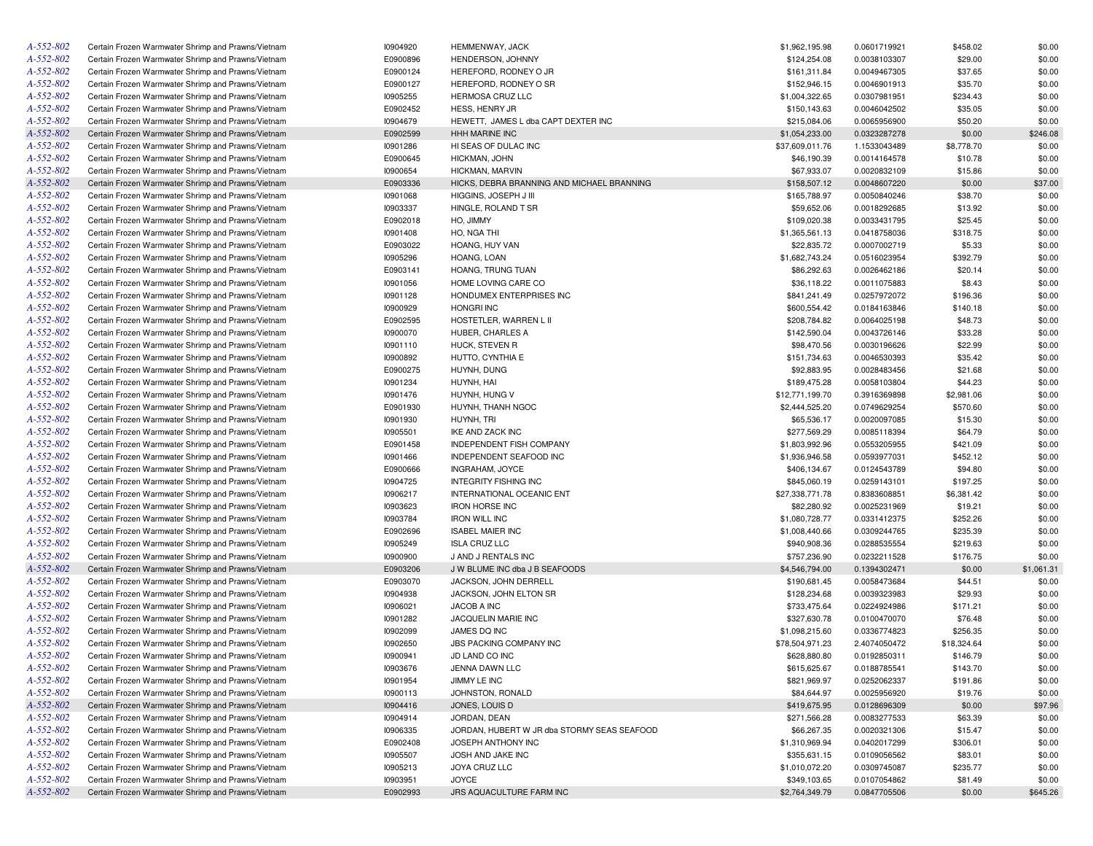| A-552-802 | Certain Frozen Warmwater Shrimp and Prawns/Vietnam | 10904920 | HEMMENWAY, JACK                             | \$1,962,195.98  | 0.0601719921 | \$458.02    | \$0.00     |
|-----------|----------------------------------------------------|----------|---------------------------------------------|-----------------|--------------|-------------|------------|
| A-552-802 | Certain Frozen Warmwater Shrimp and Prawns/Vietnam | E0900896 | HENDERSON, JOHNNY                           | \$124,254.08    | 0.0038103307 | \$29.00     | \$0.00     |
| A-552-802 | Certain Frozen Warmwater Shrimp and Prawns/Vietnam | E0900124 | HEREFORD, RODNEY O JR                       | \$161,311.84    | 0.0049467305 | \$37.65     | \$0.00     |
| A-552-802 | Certain Frozen Warmwater Shrimp and Prawns/Vietnam | E0900127 | HEREFORD, RODNEY O SR                       | \$152,946.15    | 0.0046901913 | \$35.70     | \$0.00     |
| A-552-802 | Certain Frozen Warmwater Shrimp and Prawns/Vietnam | 10905255 | HERMOSA CRUZ LLC                            | \$1,004,322.65  | 0.0307981951 | \$234.43    | \$0.00     |
| A-552-802 | Certain Frozen Warmwater Shrimp and Prawns/Vietnam | E0902452 | HESS, HENRY JR                              | \$150,143.63    | 0.0046042502 | \$35.05     | \$0.00     |
| A-552-802 | Certain Frozen Warmwater Shrimp and Prawns/Vietnam | 10904679 | HEWETT, JAMES L dba CAPT DEXTER INC         | \$215,084.06    | 0.0065956900 | \$50.20     | \$0.00     |
| A-552-802 | Certain Frozen Warmwater Shrimp and Prawns/Vietnam | E0902599 | HHH MARINE INC                              | \$1,054,233.00  | 0.0323287278 | \$0.00      | \$246.08   |
| A-552-802 | Certain Frozen Warmwater Shrimp and Prawns/Vietnam | 10901286 | HI SEAS OF DULAC INC                        | \$37,609,011.76 | 1.1533043489 | \$8,778.70  | \$0.00     |
| A-552-802 | Certain Frozen Warmwater Shrimp and Prawns/Vietnam | E0900645 | HICKMAN, JOHN                               | \$46,190.39     | 0.0014164578 | \$10.78     | \$0.00     |
| A-552-802 | Certain Frozen Warmwater Shrimp and Prawns/Vietnam | 10900654 | HICKMAN, MARVIN                             | \$67,933.07     | 0.0020832109 | \$15.86     | \$0.00     |
| A-552-802 | Certain Frozen Warmwater Shrimp and Prawns/Vietnam | E0903336 | HICKS, DEBRA BRANNING AND MICHAEL BRANNING  | \$158,507.12    | 0.0048607220 | \$0.00      | \$37.00    |
| A-552-802 | Certain Frozen Warmwater Shrimp and Prawns/Vietnam | 10901068 | HIGGINS, JOSEPH J III                       | \$165,788.97    | 0.0050840246 | \$38.70     | \$0.00     |
| A-552-802 | Certain Frozen Warmwater Shrimp and Prawns/Vietnam | 10903337 | HINGLE, ROLAND T SR                         | \$59,652.06     | 0.0018292685 | \$13.92     | \$0.00     |
| A-552-802 | Certain Frozen Warmwater Shrimp and Prawns/Vietnam | E0902018 | HO, JIMMY                                   | \$109,020.38    | 0.0033431795 | \$25.45     | \$0.00     |
| A-552-802 | Certain Frozen Warmwater Shrimp and Prawns/Vietnam | 10901408 | HO, NGA THI                                 | \$1,365,561.13  | 0.0418758036 | \$318.75    | \$0.00     |
| A-552-802 | Certain Frozen Warmwater Shrimp and Prawns/Vietnam | E0903022 | HOANG, HUY VAN                              | \$22,835.72     | 0.0007002719 | \$5.33      | \$0.00     |
| A-552-802 | Certain Frozen Warmwater Shrimp and Prawns/Vietnam | 10905296 | HOANG, LOAN                                 | \$1,682,743.24  | 0.0516023954 | \$392.79    | \$0.00     |
| A-552-802 |                                                    |          |                                             |                 |              |             |            |
|           | Certain Frozen Warmwater Shrimp and Prawns/Vietnam | E0903141 | HOANG, TRUNG TUAN                           | \$86,292.63     | 0.0026462186 | \$20.14     | \$0.00     |
| A-552-802 | Certain Frozen Warmwater Shrimp and Prawns/Vietnam | 10901056 | HOME LOVING CARE CO                         | \$36,118.22     | 0.0011075883 | \$8.43      | \$0.00     |
| A-552-802 | Certain Frozen Warmwater Shrimp and Prawns/Vietnam | 10901128 | HONDUMEX ENTERPRISES INC                    | \$841,241.49    | 0.0257972072 | \$196.36    | \$0.00     |
| A-552-802 | Certain Frozen Warmwater Shrimp and Prawns/Vietnam | 10900929 | <b>HONGRI INC</b>                           | \$600,554.42    | 0.0184163846 | \$140.18    | \$0.00     |
| A-552-802 | Certain Frozen Warmwater Shrimp and Prawns/Vietnam | E0902595 | HOSTETLER, WARREN L II                      | \$208,784.82    | 0.0064025198 | \$48.73     | \$0.00     |
| A-552-802 | Certain Frozen Warmwater Shrimp and Prawns/Vietnam | 10900070 | HUBER, CHARLES A                            | \$142,590.04    | 0.0043726146 | \$33.28     | \$0.00     |
| A-552-802 | Certain Frozen Warmwater Shrimp and Prawns/Vietnam | 10901110 | HUCK, STEVEN R                              | \$98,470.56     | 0.0030196626 | \$22.99     | \$0.00     |
| A-552-802 | Certain Frozen Warmwater Shrimp and Prawns/Vietnam | 10900892 | HUTTO, CYNTHIA E                            | \$151,734.63    | 0.0046530393 | \$35.42     | \$0.00     |
| A-552-802 | Certain Frozen Warmwater Shrimp and Prawns/Vietnam | E0900275 | HUYNH, DUNG                                 | \$92,883.95     | 0.0028483456 | \$21.68     | \$0.00     |
| A-552-802 | Certain Frozen Warmwater Shrimp and Prawns/Vietnam | 10901234 | HUYNH, HAI                                  | \$189,475.28    | 0.0058103804 | \$44.23     | \$0.00     |
| A-552-802 | Certain Frozen Warmwater Shrimp and Prawns/Vietnam | 10901476 | HUYNH, HUNG V                               | \$12,771,199.70 | 0.3916369898 | \$2,981.06  | \$0.00     |
| A-552-802 | Certain Frozen Warmwater Shrimp and Prawns/Vietnam | E0901930 | HUYNH, THANH NGOC                           | \$2,444,525.20  | 0.0749629254 | \$570.60    | \$0.00     |
| A-552-802 | Certain Frozen Warmwater Shrimp and Prawns/Vietnam | 10901930 | HUYNH, TRI                                  | \$65,536.17     | 0.0020097085 | \$15.30     | \$0.00     |
| A-552-802 | Certain Frozen Warmwater Shrimp and Prawns/Vietnam | 10905501 | IKE AND ZACK INC                            | \$277,569.29    | 0.0085118394 | \$64.79     | \$0.00     |
| A-552-802 | Certain Frozen Warmwater Shrimp and Prawns/Vietnam | E0901458 | INDEPENDENT FISH COMPANY                    | \$1,803,992.96  | 0.0553205955 | \$421.09    | \$0.00     |
| A-552-802 | Certain Frozen Warmwater Shrimp and Prawns/Vietnam | 10901466 | INDEPENDENT SEAFOOD INC                     | \$1,936,946.58  | 0.0593977031 | \$452.12    | \$0.00     |
| A-552-802 | Certain Frozen Warmwater Shrimp and Prawns/Vietnam | E0900666 | INGRAHAM, JOYCE                             | \$406,134.67    | 0.0124543789 | \$94.80     | \$0.00     |
| A-552-802 | Certain Frozen Warmwater Shrimp and Prawns/Vietnam | 10904725 | <b>INTEGRITY FISHING INC</b>                | \$845,060.19    | 0.0259143101 | \$197.25    | \$0.00     |
| A-552-802 | Certain Frozen Warmwater Shrimp and Prawns/Vietnam | 10906217 | INTERNATIONAL OCEANIC ENT                   | \$27,338,771.78 | 0.8383608851 | \$6,381.42  | \$0.00     |
| A-552-802 | Certain Frozen Warmwater Shrimp and Prawns/Vietnam | 10903623 | <b>IRON HORSE INC</b>                       | \$82,280.92     | 0.0025231969 | \$19.21     | \$0.00     |
| A-552-802 | Certain Frozen Warmwater Shrimp and Prawns/Vietnam | 10903784 | <b>IRON WILL INC</b>                        | \$1,080,728.77  | 0.0331412375 | \$252.26    | \$0.00     |
| A-552-802 | Certain Frozen Warmwater Shrimp and Prawns/Vietnam | E0902696 | <b>ISABEL MAIER INC</b>                     | \$1,008,440.66  | 0.0309244765 | \$235.39    | \$0.00     |
| A-552-802 | Certain Frozen Warmwater Shrimp and Prawns/Vietnam | 10905249 | <b>ISLA CRUZ LLC</b>                        | \$940,908.36    | 0.0288535554 | \$219.63    | \$0.00     |
| A-552-802 |                                                    |          |                                             |                 |              |             |            |
|           | Certain Frozen Warmwater Shrimp and Prawns/Vietnam | 10900900 | J AND J RENTALS INC                         | \$757,236.90    | 0.0232211528 | \$176.75    | \$0.00     |
| A-552-802 | Certain Frozen Warmwater Shrimp and Prawns/Vietnam | E0903206 | J W BLUME INC dba J B SEAFOODS              | \$4,546,794.00  | 0.1394302471 | \$0.00      | \$1,061.31 |
| A-552-802 | Certain Frozen Warmwater Shrimp and Prawns/Vietnam | E0903070 | JACKSON, JOHN DERRELL                       | \$190,681.45    | 0.0058473684 | \$44.51     | \$0.00     |
| A-552-802 | Certain Frozen Warmwater Shrimp and Prawns/Vietnam | 10904938 | JACKSON, JOHN ELTON SR                      | \$128,234.68    | 0.0039323983 | \$29.93     | \$0.00     |
| A-552-802 | Certain Frozen Warmwater Shrimp and Prawns/Vietnam | 10906021 | JACOB A INC                                 | \$733,475.64    | 0.0224924986 | \$171.21    | \$0.00     |
| A-552-802 | Certain Frozen Warmwater Shrimp and Prawns/Vietnam | 10901282 | JACQUELIN MARIE INC                         | \$327,630.78    | 0.0100470070 | \$76.48     | \$0.00     |
| A-552-802 | Certain Frozen Warmwater Shrimp and Prawns/Vietnam | 10902099 | JAMES DO INC                                | \$1,098,215.60  | 0.0336774823 | \$256.35    | \$0.00     |
| A-552-802 | Certain Frozen Warmwater Shrimp and Prawns/Vietnam | 10902650 | <b>JBS PACKING COMPANY INC</b>              | \$78,504,971.23 | 2.4074050472 | \$18,324.64 | \$0.00     |
| A-552-802 | Certain Frozen Warmwater Shrimp and Prawns/Vietnam | 10900941 | JD LAND CO INC                              | \$628,880.80    | 0.0192850311 | \$146.79    | \$0.00     |
| A-552-802 | Certain Frozen Warmwater Shrimp and Prawns/Vietnam | 10903676 | JENNA DAWN LLC                              | \$615,625.67    | 0.0188785541 | \$143.70    | \$0.00     |
| A-552-802 | Certain Frozen Warmwater Shrimp and Prawns/Vietnam | 10901954 | JIMMY LE INC                                | \$821,969.97    | 0.0252062337 | \$191.86    | \$0.00     |
| A-552-802 | Certain Frozen Warmwater Shrimp and Prawns/Vietnam | 10900113 | JOHNSTON, RONALD                            | \$84,644.97     | 0.0025956920 | \$19.76     | \$0.00     |
| A-552-802 | Certain Frozen Warmwater Shrimp and Prawns/Vietnam | 10904416 | JONES, LOUIS D                              | \$419,675.95    | 0.0128696309 | \$0.00      | \$97.96    |
| A-552-802 | Certain Frozen Warmwater Shrimp and Prawns/Vietnam | 10904914 | JORDAN, DEAN                                | \$271,566.28    | 0.0083277533 | \$63.39     | \$0.00     |
| A-552-802 | Certain Frozen Warmwater Shrimp and Prawns/Vietnam | 10906335 | JORDAN, HUBERT W JR dba STORMY SEAS SEAFOOD | \$66,267.35     | 0.0020321306 | \$15.47     | \$0.00     |
| A-552-802 | Certain Frozen Warmwater Shrimp and Prawns/Vietnam | E0902408 | JOSEPH ANTHONY INC                          | \$1,310,969.94  | 0.0402017299 | \$306.01    | \$0.00     |
| A-552-802 | Certain Frozen Warmwater Shrimp and Prawns/Vietnam | 10905507 | JOSH AND JAKE INC                           | \$355,631.15    | 0.0109056562 | \$83.01     | \$0.00     |
| A-552-802 | Certain Frozen Warmwater Shrimp and Prawns/Vietnam | 10905213 | JOYA CRUZ LLC                               | \$1,010,072.20  | 0.0309745087 | \$235.77    | \$0.00     |
| A-552-802 | Certain Frozen Warmwater Shrimp and Prawns/Vietnam | 10903951 | JOYCE                                       | \$349,103.65    | 0.0107054862 | \$81.49     | \$0.00     |
| A-552-802 | Certain Frozen Warmwater Shrimp and Prawns/Vietnam | E0902993 | JRS AQUACULTURE FARM INC                    | \$2,764,349.79  | 0.0847705506 | \$0.00      | \$645.26   |
|           |                                                    |          |                                             |                 |              |             |            |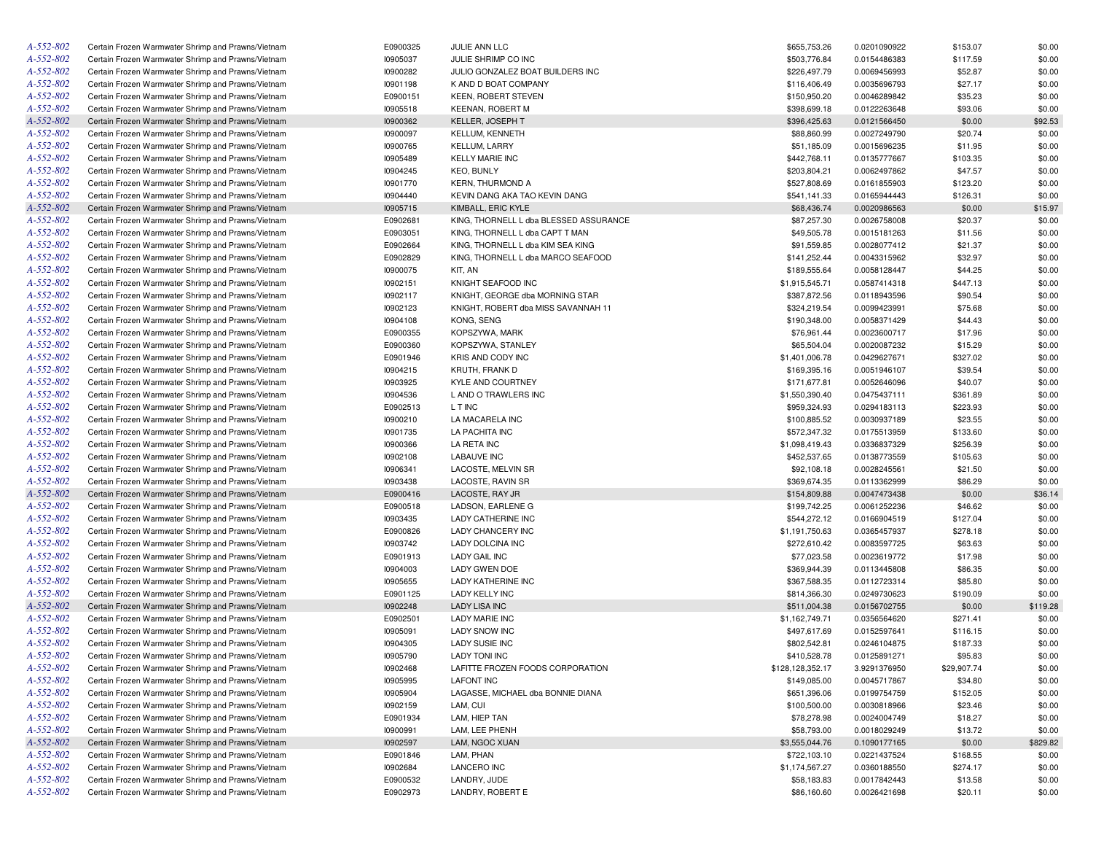| A-552-802 | Certain Frozen Warmwater Shrimp and Prawns/Vietnam | E0900325        | JULIE ANN LLC                          | \$655,753.26                 | 0.0201090922 | \$153.07    | \$0.00   |
|-----------|----------------------------------------------------|-----------------|----------------------------------------|------------------------------|--------------|-------------|----------|
| A-552-802 | Certain Frozen Warmwater Shrimp and Prawns/Vietnam | 10905037        | JULIE SHRIMP CO INC                    | \$503,776.84                 | 0.0154486383 | \$117.59    | \$0.00   |
| A-552-802 | Certain Frozen Warmwater Shrimp and Prawns/Vietnam | 10900282        | JULIO GONZALEZ BOAT BUILDERS INC       | \$226,497.79                 | 0.0069456993 | \$52.87     | \$0.00   |
| A-552-802 | Certain Frozen Warmwater Shrimp and Prawns/Vietnam | 10901198        | K AND D BOAT COMPANY                   | \$116,406.49                 | 0.0035696793 | \$27.17     | \$0.00   |
| A-552-802 | Certain Frozen Warmwater Shrimp and Prawns/Vietnam | E0900151        | KEEN, ROBERT STEVEN                    | \$150,950.20                 | 0.0046289842 | \$35.23     | \$0.00   |
| A-552-802 | Certain Frozen Warmwater Shrimp and Prawns/Vietnam | 10905518        | <b>KEENAN, ROBERT M</b>                | \$398,699.18                 | 0.0122263648 | \$93.06     | \$0.00   |
| A-552-802 | Certain Frozen Warmwater Shrimp and Prawns/Vietnam | 10900362        | KELLER, JOSEPH T                       | \$396,425.63                 | 0.0121566450 | \$0.00      | \$92.53  |
| A-552-802 | Certain Frozen Warmwater Shrimp and Prawns/Vietnam | 10900097        | <b>KELLUM, KENNETH</b>                 | \$88,860.99                  | 0.0027249790 | \$20.74     | \$0.00   |
| A-552-802 | Certain Frozen Warmwater Shrimp and Prawns/Vietnam | 10900765        | <b>KELLUM, LARRY</b>                   | \$51,185.09                  | 0.0015696235 | \$11.95     | \$0.00   |
| A-552-802 | Certain Frozen Warmwater Shrimp and Prawns/Vietnam | 10905489        | <b>KELLY MARIE INC</b>                 | \$442,768.11                 | 0.0135777667 | \$103.35    | \$0.00   |
| A-552-802 | Certain Frozen Warmwater Shrimp and Prawns/Vietnam | 10904245        | <b>KEO, BUNLY</b>                      | \$203,804.21                 | 0.0062497862 | \$47.57     | \$0.00   |
| A-552-802 | Certain Frozen Warmwater Shrimp and Prawns/Vietnam | 10901770        | <b>KERN, THURMOND A</b>                | \$527,808.69                 | 0.0161855903 | \$123.20    | \$0.00   |
| A-552-802 | Certain Frozen Warmwater Shrimp and Prawns/Vietnam | 10904440        | KEVIN DANG AKA TAO KEVIN DANG          | \$541,141.33                 | 0.0165944443 | \$126.31    | \$0.00   |
| A-552-802 | Certain Frozen Warmwater Shrimp and Prawns/Vietnam | 10905715        | KIMBALL, ERIC KYLE                     | \$68,436.74                  | 0.0020986563 | \$0.00      | \$15.97  |
| A-552-802 | Certain Frozen Warmwater Shrimp and Prawns/Vietnam | E0902681        | KING, THORNELL L dba BLESSED ASSURANCE | \$87,257.30                  | 0.0026758008 | \$20.37     | \$0.00   |
| A-552-802 | Certain Frozen Warmwater Shrimp and Prawns/Vietnam | E0903051        | KING, THORNELL L dba CAPT T MAN        | \$49,505.78                  | 0.0015181263 | \$11.56     | \$0.00   |
| A-552-802 | Certain Frozen Warmwater Shrimp and Prawns/Vietnam | E0902664        | KING, THORNELL L dba KIM SEA KING      | \$91,559.85                  | 0.0028077412 | \$21.37     | \$0.00   |
| A-552-802 | Certain Frozen Warmwater Shrimp and Prawns/Vietnam | E0902829        | KING, THORNELL L dba MARCO SEAFOOD     | \$141,252.44                 | 0.0043315962 | \$32.97     | \$0.00   |
| A-552-802 |                                                    |                 | KIT, AN                                | \$189,555.64                 |              |             |          |
|           | Certain Frozen Warmwater Shrimp and Prawns/Vietnam | <b>I0900075</b> |                                        |                              | 0.0058128447 | \$44.25     | \$0.00   |
| A-552-802 | Certain Frozen Warmwater Shrimp and Prawns/Vietnam | 10902151        | KNIGHT SEAFOOD INC                     | \$1,915,545.71               | 0.0587414318 | \$447.13    | \$0.00   |
| A-552-802 | Certain Frozen Warmwater Shrimp and Prawns/Vietnam | 10902117        | KNIGHT, GEORGE dba MORNING STAR        | \$387,872.56                 | 0.0118943596 | \$90.54     | \$0.00   |
| A-552-802 | Certain Frozen Warmwater Shrimp and Prawns/Vietnam | 10902123        | KNIGHT, ROBERT dba MISS SAVANNAH 11    | \$324,219.54                 | 0.0099423991 | \$75.68     | \$0.00   |
| A-552-802 | Certain Frozen Warmwater Shrimp and Prawns/Vietnam | 10904108        | KONG, SENG                             | \$190,348.00                 | 0.0058371429 | \$44.43     | \$0.00   |
| A-552-802 | Certain Frozen Warmwater Shrimp and Prawns/Vietnam | E0900355        | KOPSZYWA, MARK                         | \$76,961.44                  | 0.0023600717 | \$17.96     | \$0.00   |
| A-552-802 | Certain Frozen Warmwater Shrimp and Prawns/Vietnam | E0900360        | KOPSZYWA, STANLEY                      | \$65,504.04                  | 0.0020087232 | \$15.29     | \$0.00   |
| A-552-802 | Certain Frozen Warmwater Shrimp and Prawns/Vietnam | E0901946        | KRIS AND CODY INC                      | \$1,401,006.78               | 0.0429627671 | \$327.02    | \$0.00   |
| A-552-802 | Certain Frozen Warmwater Shrimp and Prawns/Vietnam | 10904215        | KRUTH, FRANK D                         | \$169,395.16                 | 0.0051946107 | \$39.54     | \$0.00   |
| A-552-802 | Certain Frozen Warmwater Shrimp and Prawns/Vietnam | 10903925        | KYLE AND COURTNEY                      | \$171,677.81                 | 0.0052646096 | \$40.07     | \$0.00   |
| A-552-802 | Certain Frozen Warmwater Shrimp and Prawns/Vietnam | 10904536        | L AND O TRAWLERS INC                   | \$1,550,390.40               | 0.0475437111 | \$361.89    | \$0.00   |
| A-552-802 | Certain Frozen Warmwater Shrimp and Prawns/Vietnam | E0902513        | L T INC                                | \$959,324.93                 | 0.0294183113 | \$223.93    | \$0.00   |
| A-552-802 | Certain Frozen Warmwater Shrimp and Prawns/Vietnam | 10900210        | LA MACARELA INC                        | \$100,885.52                 | 0.0030937189 | \$23.55     | \$0.00   |
| A-552-802 | Certain Frozen Warmwater Shrimp and Prawns/Vietnam | 10901735        | LA PACHITA INC                         | \$572,347.32                 | 0.0175513959 | \$133.60    | \$0.00   |
| A-552-802 | Certain Frozen Warmwater Shrimp and Prawns/Vietnam | 10900366        | LA RETA INC                            | \$1,098,419.43               | 0.0336837329 | \$256.39    | \$0.00   |
| A-552-802 | Certain Frozen Warmwater Shrimp and Prawns/Vietnam | 10902108        | <b>LABAUVE INC</b>                     | \$452,537.65                 | 0.0138773559 | \$105.63    | \$0.00   |
| A-552-802 | Certain Frozen Warmwater Shrimp and Prawns/Vietnam | 10906341        | LACOSTE, MELVIN SR                     | \$92,108.18                  | 0.0028245561 | \$21.50     | \$0.00   |
| A-552-802 | Certain Frozen Warmwater Shrimp and Prawns/Vietnam | 10903438        | LACOSTE, RAVIN SR                      | \$369,674.35                 | 0.0113362999 | \$86.29     | \$0.00   |
| A-552-802 | Certain Frozen Warmwater Shrimp and Prawns/Vietnam | E0900416        | LACOSTE, RAY JR                        | \$154,809.88                 | 0.0047473438 | \$0.00      | \$36.14  |
| A-552-802 | Certain Frozen Warmwater Shrimp and Prawns/Vietnam | E0900518        | LADSON, EARLENE G                      | \$199,742.25                 | 0.0061252236 | \$46.62     | \$0.00   |
| A-552-802 | Certain Frozen Warmwater Shrimp and Prawns/Vietnam | 10903435        | LADY CATHERINE INC                     | \$544,272.12                 | 0.0166904519 | \$127.04    | \$0.00   |
| A-552-802 | Certain Frozen Warmwater Shrimp and Prawns/Vietnam | E0900826        | LADY CHANCERY INC                      | \$1,191,750.63               | 0.0365457937 | \$278.18    | \$0.00   |
| A-552-802 | Certain Frozen Warmwater Shrimp and Prawns/Vietnam | 10903742        | LADY DOLCINA INC                       | \$272,610.42                 | 0.0083597725 | \$63.63     | \$0.00   |
| A-552-802 | Certain Frozen Warmwater Shrimp and Prawns/Vietnam | E0901913        | LADY GAIL INC                          | \$77,023.58                  | 0.0023619772 | \$17.98     | \$0.00   |
| A-552-802 | Certain Frozen Warmwater Shrimp and Prawns/Vietnam | 10904003        | LADY GWEN DOE                          | \$369,944.39                 | 0.0113445808 | \$86.35     | \$0.00   |
| A-552-802 | Certain Frozen Warmwater Shrimp and Prawns/Vietnam | 10905655        | LADY KATHERINE INC                     | \$367,588.35                 | 0.0112723314 | \$85.80     | \$0.00   |
| A-552-802 | Certain Frozen Warmwater Shrimp and Prawns/Vietnam | E0901125        | <b>LADY KELLY INC</b>                  | \$814,366.30                 | 0.0249730623 | \$190.09    | \$0.00   |
| A-552-802 | Certain Frozen Warmwater Shrimp and Prawns/Vietnam | 10902248        | LADY LISA INC                          | \$511,004.38                 | 0.0156702755 | \$0.00      | \$119.28 |
| A-552-802 | Certain Frozen Warmwater Shrimp and Prawns/Vietnam | E0902501        | <b>LADY MARIE INC</b>                  | \$1,162,749.71               | 0.0356564620 | \$271.41    | \$0.00   |
| A-552-802 | Certain Frozen Warmwater Shrimp and Prawns/Vietnam | 10905091        | <b>LADY SNOW INC</b>                   | \$497,617.69                 | 0.0152597641 | \$116.15    | \$0.00   |
| A-552-802 | Certain Frozen Warmwater Shrimp and Prawns/Vietnam |                 | <b>LADY SUSIE INC</b>                  |                              |              |             |          |
|           |                                                    | 10904305        | <b>LADY TONI INC</b>                   | \$802,542.81<br>\$410,528.78 | 0.0246104875 | \$187.33    | \$0.00   |
| A-552-802 | Certain Frozen Warmwater Shrimp and Prawns/Vietnam | 10905790        |                                        |                              | 0.0125891271 | \$95.83     | \$0.00   |
| A-552-802 | Certain Frozen Warmwater Shrimp and Prawns/Vietnam | 10902468        | LAFITTE FROZEN FOODS CORPORATION       | \$128,128,352.17             | 3.9291376950 | \$29,907.74 | \$0.00   |
| A-552-802 | Certain Frozen Warmwater Shrimp and Prawns/Vietnam | 10905995        | <b>LAFONT INC</b>                      | \$149,085.00                 | 0.0045717867 | \$34.80     | \$0.00   |
| A-552-802 | Certain Frozen Warmwater Shrimp and Prawns/Vietnam | 10905904        | LAGASSE, MICHAEL dba BONNIE DIANA      | \$651,396.06                 | 0.0199754759 | \$152.05    | \$0.00   |
| A-552-802 | Certain Frozen Warmwater Shrimp and Prawns/Vietnam | 10902159        | LAM, CUI                               | \$100,500.00                 | 0.0030818966 | \$23.46     | \$0.00   |
| A-552-802 | Certain Frozen Warmwater Shrimp and Prawns/Vietnam | E0901934        | LAM, HIEP TAN                          | \$78,278.98                  | 0.0024004749 | \$18.27     | \$0.00   |
| A-552-802 | Certain Frozen Warmwater Shrimp and Prawns/Vietnam | 10900991        | LAM, LEE PHENH                         | \$58,793.00                  | 0.0018029249 | \$13.72     | \$0.00   |
| A-552-802 | Certain Frozen Warmwater Shrimp and Prawns/Vietnam | 10902597        | LAM, NGOC XUAN                         | \$3,555,044.76               | 0.1090177165 | \$0.00      | \$829.82 |
| A-552-802 | Certain Frozen Warmwater Shrimp and Prawns/Vietnam | E0901846        | LAM, PHAN                              | \$722,103.10                 | 0.0221437524 | \$168.55    | \$0.00   |
| A-552-802 | Certain Frozen Warmwater Shrimp and Prawns/Vietnam | 10902684        | LANCERO INC                            | \$1,174,567.27               | 0.0360188550 | \$274.17    | \$0.00   |
| A-552-802 | Certain Frozen Warmwater Shrimp and Prawns/Vietnam | E0900532        | LANDRY, JUDE                           | \$58,183.83                  | 0.0017842443 | \$13.58     | \$0.00   |
| A-552-802 | Certain Frozen Warmwater Shrimp and Prawns/Vietnam | E0902973        | LANDRY, ROBERT E                       | \$86,160.60                  | 0.0026421698 | \$20.11     | \$0.00   |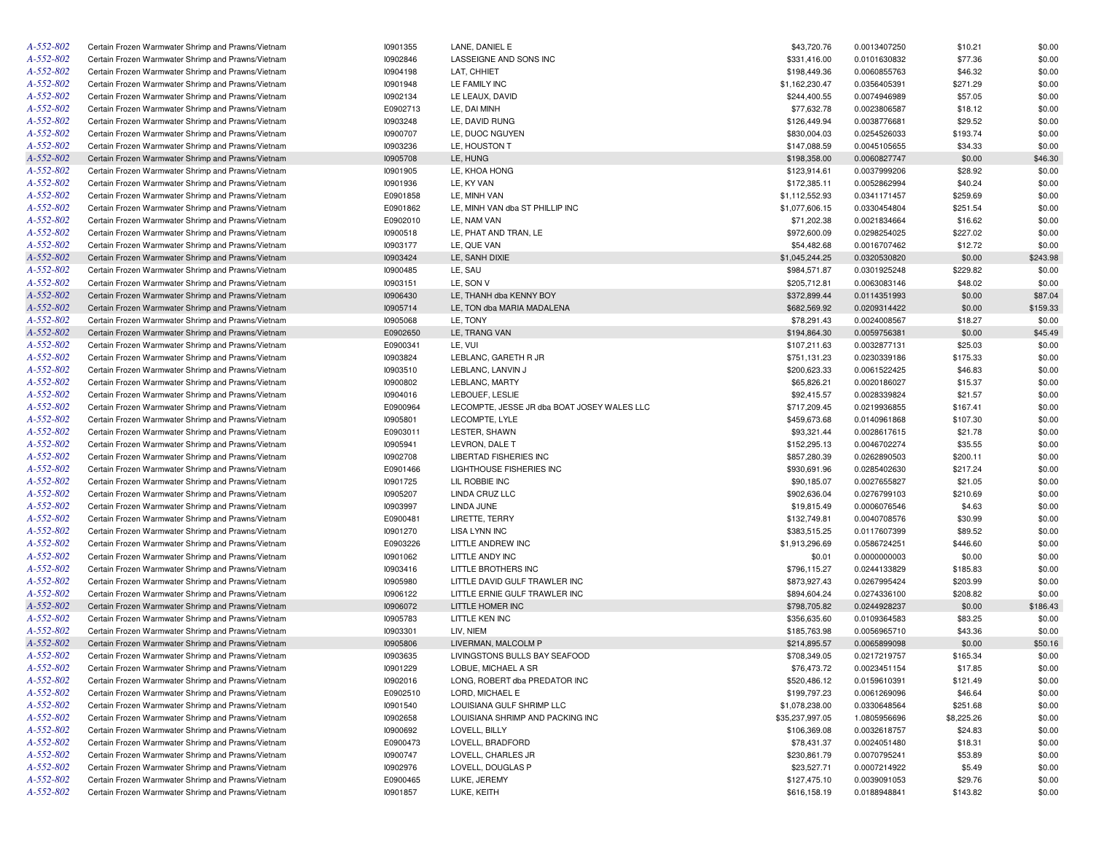| A-552-802       | Certain Frozen Warmwater Shrimp and Prawns/Vietnam                                                       | 10901355 | LANE, DANIEL E                              | \$43,720.76     | 0.0013407250 | \$10.21    | \$0.00   |
|-----------------|----------------------------------------------------------------------------------------------------------|----------|---------------------------------------------|-----------------|--------------|------------|----------|
| A-552-802       | Certain Frozen Warmwater Shrimp and Prawns/Vietnam                                                       | 10902846 | LASSEIGNE AND SONS INC                      | \$331,416.00    | 0.0101630832 | \$77.36    | \$0.00   |
| A-552-802       | Certain Frozen Warmwater Shrimp and Prawns/Vietnam                                                       | 10904198 | LAT, CHHIET                                 | \$198,449.36    | 0.0060855763 | \$46.32    | \$0.00   |
| A-552-802       | Certain Frozen Warmwater Shrimp and Prawns/Vietnam                                                       | 10901948 | LE FAMILY INC                               | \$1,162,230.47  | 0.0356405391 | \$271.29   | \$0.00   |
| A-552-802       | Certain Frozen Warmwater Shrimp and Prawns/Vietnam                                                       | 10902134 | LE LEAUX, DAVID                             | \$244,400.55    | 0.0074946989 | \$57.05    | \$0.00   |
| A-552-802       | Certain Frozen Warmwater Shrimp and Prawns/Vietnam                                                       | E0902713 | LE, DAI MINH                                | \$77,632.78     | 0.0023806587 | \$18.12    | \$0.00   |
| A-552-802       | Certain Frozen Warmwater Shrimp and Prawns/Vietnam                                                       | 10903248 | LE, DAVID RUNG                              | \$126,449.94    | 0.0038776681 | \$29.52    | \$0.00   |
| A-552-802       | Certain Frozen Warmwater Shrimp and Prawns/Vietnam                                                       | 10900707 | LE, DUOC NGUYEN                             | \$830,004.03    | 0.0254526033 | \$193.74   | \$0.00   |
| A-552-802       | Certain Frozen Warmwater Shrimp and Prawns/Vietnam                                                       | 10903236 | LE, HOUSTON T                               | \$147,088.59    | 0.0045105655 | \$34.33    | \$0.00   |
| A-552-802       | Certain Frozen Warmwater Shrimp and Prawns/Vietnam                                                       | 10905708 | LE, HUNG                                    | \$198,358.00    | 0.0060827747 | \$0.00     | \$46.30  |
| A-552-802       | Certain Frozen Warmwater Shrimp and Prawns/Vietnam                                                       | 10901905 | LE, KHOA HONG                               | \$123,914.61    | 0.0037999206 | \$28.92    | \$0.00   |
| A-552-802       | Certain Frozen Warmwater Shrimp and Prawns/Vietnam                                                       | 10901936 | LE, KY VAN                                  | \$172,385.11    | 0.0052862994 | \$40.24    | \$0.00   |
| A-552-802       | Certain Frozen Warmwater Shrimp and Prawns/Vietnam                                                       | E0901858 | LE, MINH VAN                                | \$1,112,552.93  | 0.0341171457 | \$259.69   | \$0.00   |
| A-552-802       | Certain Frozen Warmwater Shrimp and Prawns/Vietnam                                                       | E0901862 | LE, MINH VAN dba ST PHILLIP INC             | \$1,077,606.15  | 0.0330454804 | \$251.54   | \$0.00   |
| A-552-802       | Certain Frozen Warmwater Shrimp and Prawns/Vietnam                                                       | E0902010 | LE, NAM VAN                                 | \$71,202.38     | 0.0021834664 | \$16.62    | \$0.00   |
| A-552-802       | Certain Frozen Warmwater Shrimp and Prawns/Vietnam                                                       | 10900518 | LE, PHAT AND TRAN, LE                       | \$972,600.09    | 0.0298254025 | \$227.02   | \$0.00   |
| A-552-802       | Certain Frozen Warmwater Shrimp and Prawns/Vietnam                                                       | 10903177 | LE, QUE VAN                                 | \$54,482.68     | 0.0016707462 | \$12.72    | \$0.00   |
| A-552-802       | Certain Frozen Warmwater Shrimp and Prawns/Vietnam                                                       | 10903424 | LE, SANH DIXIE                              | \$1,045,244.25  | 0.0320530820 | \$0.00     | \$243.98 |
| A-552-802       | Certain Frozen Warmwater Shrimp and Prawns/Vietnam                                                       | 10900485 | LE, SAU                                     | \$984,571.87    | 0.0301925248 | \$229.82   | \$0.00   |
| A-552-802       | Certain Frozen Warmwater Shrimp and Prawns/Vietnam                                                       | 10903151 | LE, SON V                                   | \$205,712.81    | 0.0063083146 | \$48.02    | \$0.00   |
| A-552-802       | Certain Frozen Warmwater Shrimp and Prawns/Vietnam                                                       | 10906430 | LE, THANH dba KENNY BOY                     | \$372,899.44    | 0.0114351993 | \$0.00     | \$87.04  |
| A-552-802       | Certain Frozen Warmwater Shrimp and Prawns/Vietnam                                                       | 10905714 | LE, TON dba MARIA MADALENA                  | \$682,569.92    | 0.0209314422 | \$0.00     | \$159.33 |
| A-552-802       | Certain Frozen Warmwater Shrimp and Prawns/Vietnam                                                       | 10905068 | LE, TONY                                    | \$78,291.43     | 0.0024008567 | \$18.27    | \$0.00   |
| A-552-802       | Certain Frozen Warmwater Shrimp and Prawns/Vietnam                                                       | E0902650 | LE, TRANG VAN                               | \$194,864.30    | 0.0059756381 | \$0.00     | \$45.49  |
| A-552-802       | Certain Frozen Warmwater Shrimp and Prawns/Vietnam                                                       | E0900341 | LE, VUI                                     | \$107,211.63    | 0.0032877131 | \$25.03    | \$0.00   |
| A-552-802       | Certain Frozen Warmwater Shrimp and Prawns/Vietnam                                                       | 10903824 | LEBLANC, GARETH R JR                        | \$751,131.23    | 0.0230339186 | \$175.33   | \$0.00   |
| A-552-802       | Certain Frozen Warmwater Shrimp and Prawns/Vietnam                                                       | 10903510 | LEBLANC, LANVIN J                           | \$200,623.33    | 0.0061522425 | \$46.83    | \$0.00   |
| A-552-802       | Certain Frozen Warmwater Shrimp and Prawns/Vietnam                                                       | 10900802 | LEBLANC, MARTY                              | \$65,826.21     | 0.0020186027 | \$15.37    | \$0.00   |
| A-552-802       |                                                                                                          | 10904016 | LEBOUEF, LESLIE                             |                 |              |            | \$0.00   |
| A-552-802       | Certain Frozen Warmwater Shrimp and Prawns/Vietnam                                                       |          |                                             | \$92,415.57     | 0.0028339824 | \$21.57    |          |
| A-552-802       | Certain Frozen Warmwater Shrimp and Prawns/Vietnam<br>Certain Frozen Warmwater Shrimp and Prawns/Vietnam | E0900964 | LECOMPTE, JESSE JR dba BOAT JOSEY WALES LLC | \$717,209.45    | 0.0219936855 | \$167.41   | \$0.00   |
| A-552-802       |                                                                                                          | 10905801 | LECOMPTE, LYLE<br>LESTER, SHAWN             | \$459,673.68    | 0.0140961868 | \$107.30   | \$0.00   |
| A-552-802       | Certain Frozen Warmwater Shrimp and Prawns/Vietnam                                                       | E0903011 |                                             | \$93,321.44     | 0.0028617615 | \$21.78    | \$0.00   |
|                 | Certain Frozen Warmwater Shrimp and Prawns/Vietnam                                                       | 10905941 | LEVRON, DALE T                              | \$152,295.13    | 0.0046702274 | \$35.55    | \$0.00   |
| A-552-802       | Certain Frozen Warmwater Shrimp and Prawns/Vietnam                                                       | 10902708 | <b>LIBERTAD FISHERIES INC</b>               | \$857,280.39    | 0.0262890503 | \$200.11   | \$0.00   |
| A-552-802       | Certain Frozen Warmwater Shrimp and Prawns/Vietnam                                                       | E0901466 | LIGHTHOUSE FISHERIES INC                    | \$930,691.96    | 0.0285402630 | \$217.24   | \$0.00   |
| A-552-802       | Certain Frozen Warmwater Shrimp and Prawns/Vietnam                                                       | 10901725 | LIL ROBBIE INC                              | \$90,185.07     | 0.0027655827 | \$21.05    | \$0.00   |
| A-552-802       | Certain Frozen Warmwater Shrimp and Prawns/Vietnam                                                       | 10905207 | LINDA CRUZ LLC                              | \$902,636.04    | 0.0276799103 | \$210.69   | \$0.00   |
| A-552-802       | Certain Frozen Warmwater Shrimp and Prawns/Vietnam                                                       | 10903997 | LINDA JUNE                                  | \$19,815.49     | 0.0006076546 | \$4.63     | \$0.00   |
| A-552-802       | Certain Frozen Warmwater Shrimp and Prawns/Vietnam                                                       | E0900481 | LIRETTE, TERRY                              | \$132,749.81    | 0.0040708576 | \$30.99    | \$0.00   |
| A-552-802       | Certain Frozen Warmwater Shrimp and Prawns/Vietnam                                                       | 10901270 | <b>LISA LYNN INC</b>                        | \$383,515.25    | 0.0117607399 | \$89.52    | \$0.00   |
| A-552-802       | Certain Frozen Warmwater Shrimp and Prawns/Vietnam                                                       | E0903226 | LITTLE ANDREW INC                           | \$1,913,296.69  | 0.0586724251 | \$446.60   | \$0.00   |
| A-552-802       | Certain Frozen Warmwater Shrimp and Prawns/Vietnam                                                       | 10901062 | LITTLE ANDY INC                             | \$0.01          | 0.0000000003 | \$0.00     | \$0.00   |
| A-552-802       | Certain Frozen Warmwater Shrimp and Prawns/Vietnam                                                       | 10903416 | LITTLE BROTHERS INC                         | \$796,115.27    | 0.0244133829 | \$185.83   | \$0.00   |
| A-552-802       | Certain Frozen Warmwater Shrimp and Prawns/Vietnam                                                       | 10905980 | LITTLE DAVID GULF TRAWLER INC               | \$873,927.43    | 0.0267995424 | \$203.99   | \$0.00   |
| A-552-802       | Certain Frozen Warmwater Shrimp and Prawns/Vietnam                                                       | 10906122 | LITTLE ERNIE GULF TRAWLER INC               | \$894,604.24    | 0.0274336100 | \$208.82   | \$0.00   |
| A-552-802       | Certain Frozen Warmwater Shrimp and Prawns/Vietnam                                                       | 10906072 | LITTLE HOMER INC                            | \$798,705.82    | 0.0244928237 | \$0.00     | \$186.43 |
| A-552-802       | Certain Frozen Warmwater Shrimp and Prawns/Vietnam                                                       | 10905783 | LITTLE KEN INC                              | \$356,635.60    | 0.0109364583 | \$83.25    | \$0.00   |
| A-552-802       | Certain Frozen Warmwater Shrimp and Prawns/Vietnam                                                       | 10903301 | LIV, NIEM                                   | \$185,763.98    | 0.0056965710 | \$43.36    | \$0.00   |
| A-552-802       | Certain Frozen Warmwater Shrimp and Prawns/Vietnam                                                       | 10905806 | LIVERMAN, MALCOLM P                         | \$214,895.57    | 0.0065899098 | \$0.00     | \$50.16  |
| $A - 552 - 802$ | Certain Frozen Warmwater Shrimp and Prawns/Vietnam                                                       | 10903635 | LIVINGSTONS BULLS BAY SEAFOOD               | \$708,349.05    | 0.0217219757 | \$165.34   | \$0.00   |
| A-552-802       | Certain Frozen Warmwater Shrimp and Prawns/Vietnam                                                       | 10901229 | LOBUE, MICHAEL A SR                         | \$76,473.72     | 0.0023451154 | \$17.85    | \$0.00   |
| A-552-802       | Certain Frozen Warmwater Shrimp and Prawns/Vietnam                                                       | 10902016 | LONG, ROBERT dba PREDATOR INC               | \$520,486.12    | 0.0159610391 | \$121.49   | \$0.00   |
| A-552-802       | Certain Frozen Warmwater Shrimp and Prawns/Vietnam                                                       | E0902510 | LORD, MICHAEL E                             | \$199,797.23    | 0.0061269096 | \$46.64    | \$0.00   |
| A-552-802       | Certain Frozen Warmwater Shrimp and Prawns/Vietnam                                                       | 10901540 | LOUISIANA GULF SHRIMP LLC                   | \$1,078,238.00  | 0.0330648564 | \$251.68   | \$0.00   |
| A-552-802       | Certain Frozen Warmwater Shrimp and Prawns/Vietnam                                                       | 10902658 | LOUISIANA SHRIMP AND PACKING INC            | \$35,237,997.05 | 1.0805956696 | \$8,225.26 | \$0.00   |
| A-552-802       | Certain Frozen Warmwater Shrimp and Prawns/Vietnam                                                       | 10900692 | LOVELL, BILLY                               | \$106,369.08    | 0.0032618757 | \$24.83    | \$0.00   |
| A-552-802       | Certain Frozen Warmwater Shrimp and Prawns/Vietnam                                                       | E0900473 | LOVELL, BRADFORD                            | \$78,431.37     | 0.0024051480 | \$18.31    | \$0.00   |
| A-552-802       | Certain Frozen Warmwater Shrimp and Prawns/Vietnam                                                       | 10900747 | LOVELL, CHARLES JR                          | \$230,861.79    | 0.0070795241 | \$53.89    | \$0.00   |
| A-552-802       | Certain Frozen Warmwater Shrimp and Prawns/Vietnam                                                       | 10902976 | LOVELL, DOUGLAS P                           | \$23,527.71     | 0.0007214922 | \$5.49     | \$0.00   |
| A-552-802       | Certain Frozen Warmwater Shrimp and Prawns/Vietnam                                                       | E0900465 | LUKE, JEREMY                                | \$127,475.10    | 0.0039091053 | \$29.76    | \$0.00   |
| A-552-802       | Certain Frozen Warmwater Shrimp and Prawns/Vietnam                                                       | 10901857 | LUKE, KEITH                                 | \$616,158.19    | 0.0188948841 | \$143.82   | \$0.00   |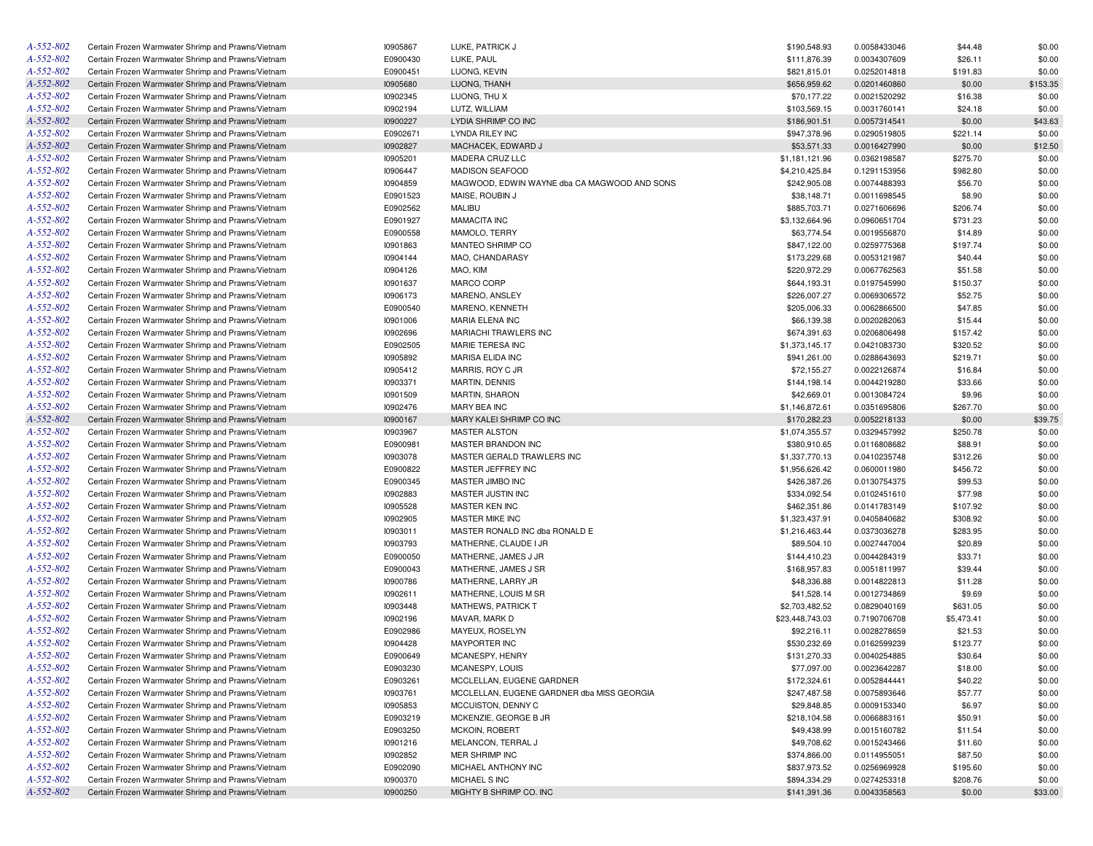| A-552-802<br>E0900430<br>\$111,876.39<br>\$26.11<br>Certain Frozen Warmwater Shrimp and Prawns/Vietnam<br>LUKE, PAUL<br>0.0034307609<br>A-552-802<br>E0900451<br>LUONG, KEVIN<br>Certain Frozen Warmwater Shrimp and Prawns/Vietnam<br>\$821,815.01<br>0.0252014818<br>\$191.83<br>A-552-802<br>10905680<br>\$0.00<br>Certain Frozen Warmwater Shrimp and Prawns/Vietnam<br>LUONG, THANH<br>\$656,959.62<br>0.0201460860<br>A-552-802<br>10902345<br>Certain Frozen Warmwater Shrimp and Prawns/Vietnam<br>LUONG, THU X<br>\$70,177.22<br>0.0021520292<br>\$16.38<br>A-552-802<br>10902194<br>Certain Frozen Warmwater Shrimp and Prawns/Vietnam<br>LUTZ, WILLIAM<br>\$103,569.15<br>0.0031760141<br>\$24.18<br>A-552-802<br>10900227<br>Certain Frozen Warmwater Shrimp and Prawns/Vietnam<br>LYDIA SHRIMP CO INC<br>\$186,901.51<br>0.0057314541<br>\$0.00<br>A-552-802<br>E0902671<br>LYNDA RILEY INC<br>Certain Frozen Warmwater Shrimp and Prawns/Vietnam<br>\$947,378.96<br>0.0290519805<br>\$221.14<br>A-552-802<br>10902827<br>\$53,571.33<br>Certain Frozen Warmwater Shrimp and Prawns/Vietnam<br>MACHACEK, EDWARD J<br>0.0016427990<br>\$0.00<br>A-552-802<br>10905201<br>Certain Frozen Warmwater Shrimp and Prawns/Vietnam<br>MADERA CRUZ LLC<br>\$1,181,121.96<br>0.0362198587<br>\$275.70<br>A-552-802<br>10906447<br>Certain Frozen Warmwater Shrimp and Prawns/Vietnam<br><b>MADISON SEAFOOD</b><br>\$4,210,425.84<br>0.1291153956<br>\$982.80<br>A-552-802<br>10904859<br>MAGWOOD, EDWIN WAYNE dba CA MAGWOOD AND SONS<br>Certain Frozen Warmwater Shrimp and Prawns/Vietnam<br>\$242,905.08<br>0.0074488393<br>\$56.70<br>A-552-802<br>Certain Frozen Warmwater Shrimp and Prawns/Vietnam<br>E0901523<br>MAISE, ROUBIN J<br>\$38,148.71<br>0.0011698545<br>\$8.90<br>A-552-802<br>E0902562<br>MALIBU<br>\$206.74<br>Certain Frozen Warmwater Shrimp and Prawns/Vietnam<br>\$885,703.71<br>0.0271606696<br>A-552-802<br><b>MAMACITA INC</b><br>Certain Frozen Warmwater Shrimp and Prawns/Vietnam<br>E0901927<br>\$3,132,664.96<br>0.0960651704<br>\$731.23<br>A-552-802<br>E0900558<br>MAMOLO, TERRY<br>Certain Frozen Warmwater Shrimp and Prawns/Vietnam<br>\$63,774.54<br>0.0019556870<br>\$14.89<br>A-552-802<br>10901863<br>MANTEO SHRIMP CO<br>Certain Frozen Warmwater Shrimp and Prawns/Vietnam<br>\$847,122.00<br>0.0259775368<br>\$197.74<br>A-552-802<br>10904144<br>MAO, CHANDARASY<br>Certain Frozen Warmwater Shrimp and Prawns/Vietnam<br>\$173,229.68<br>0.0053121987<br>\$40.44<br>A-552-802<br>Certain Frozen Warmwater Shrimp and Prawns/Vietnam<br>10904126<br>MAO, KIM<br>\$220,972.29<br>0.0067762563<br>\$51.58<br>A-552-802<br>10901637<br>MARCO CORP<br>Certain Frozen Warmwater Shrimp and Prawns/Vietnam<br>\$644,193.31<br>0.0197545990<br>\$150.37<br>A-552-802<br>Certain Frozen Warmwater Shrimp and Prawns/Vietnam<br>10906173<br>MARENO, ANSLEY<br>\$226,007.27<br>0.0069306572<br>\$52.75<br>A-552-802<br>E0900540<br>Certain Frozen Warmwater Shrimp and Prawns/Vietnam<br>MARENO, KENNETH<br>\$205,006.33<br>0.0062866500<br>\$47.85<br>A-552-802<br>10901006<br>Certain Frozen Warmwater Shrimp and Prawns/Vietnam<br>MARIA ELENA INC<br>\$66,139.38<br>0.0020282063<br>\$15.44<br>A-552-802<br>10902696<br>MARIACHI TRAWLERS INC<br>Certain Frozen Warmwater Shrimp and Prawns/Vietnam<br>\$674,391.63<br>0.0206806498<br>\$157.42<br>A-552-802<br>E0902505<br>Certain Frozen Warmwater Shrimp and Prawns/Vietnam<br>MARIE TERESA INC<br>\$1,373,145.17<br>0.0421083730<br>\$320.52<br>A-552-802<br>10905892<br>Certain Frozen Warmwater Shrimp and Prawns/Vietnam<br>MARISA ELIDA INC<br>\$941,261.00<br>0.0288643693<br>\$219.71<br>A-552-802<br>Certain Frozen Warmwater Shrimp and Prawns/Vietnam<br>10905412<br>MARRIS, ROY C JR<br>\$72,155.27<br>0.0022126874<br>\$16.84<br>A-552-802<br>10903371<br>\$144,198.14<br>Certain Frozen Warmwater Shrimp and Prawns/Vietnam<br>MARTIN, DENNIS<br>0.0044219280<br>\$33.66<br>A-552-802<br>10901509<br>Certain Frozen Warmwater Shrimp and Prawns/Vietnam<br><b>MARTIN, SHARON</b><br>\$42,669.01<br>0.0013084724<br>\$9.96<br>A-552-802<br>10902476<br>Certain Frozen Warmwater Shrimp and Prawns/Vietnam<br>MARY BEA INC<br>\$1,146,872.61<br>\$267.70<br>0.0351695806<br>A-552-802<br>10900167<br>\$170,282.23<br>Certain Frozen Warmwater Shrimp and Prawns/Vietnam<br>MARY KALEI SHRIMP CO INC<br>0.0052218133<br>\$0.00<br>A-552-802<br>10903967<br>Certain Frozen Warmwater Shrimp and Prawns/Vietnam<br><b>MASTER ALSTON</b><br>\$1,074,355.57<br>0.0329457992<br>\$250.78<br>A-552-802<br>E0900981<br>Certain Frozen Warmwater Shrimp and Prawns/Vietnam<br>MASTER BRANDON INC<br>\$380,910.65<br>0.0116808682<br>\$88.91<br>A-552-802<br>10903078<br>MASTER GERALD TRAWLERS INC<br>\$312.26<br>Certain Frozen Warmwater Shrimp and Prawns/Vietnam<br>\$1,337,770.13<br>0.0410235748<br>A-552-802<br>E0900822<br>MASTER JEFFREY INC<br>\$456.72<br>Certain Frozen Warmwater Shrimp and Prawns/Vietnam<br>\$1,956,626.42<br>0.0600011980<br>A-552-802<br>E0900345<br>Certain Frozen Warmwater Shrimp and Prawns/Vietnam<br>MASTER JIMBO INC<br>\$426,387.26<br>0.0130754375<br>\$99.53<br>A-552-802<br>10902883<br>Certain Frozen Warmwater Shrimp and Prawns/Vietnam<br>MASTER JUSTIN INC<br>\$334,092.54<br>0.0102451610<br>\$77.98<br>A-552-802<br>10905528<br>MASTER KEN INC<br>\$107.92<br>Certain Frozen Warmwater Shrimp and Prawns/Vietnam<br>\$462,351.86<br>0.0141783149<br>A-552-802<br>10902905<br>Certain Frozen Warmwater Shrimp and Prawns/Vietnam<br>MASTER MIKE INC<br>\$1,323,437.91<br>0.0405840682<br>\$308.92<br>A-552-802<br>10903011<br>\$283.95<br>Certain Frozen Warmwater Shrimp and Prawns/Vietnam<br>MASTER RONALD INC dba RONALD E<br>\$1,216,463.44<br>0.0373036278<br>A-552-802<br>10903793<br>Certain Frozen Warmwater Shrimp and Prawns/Vietnam<br>MATHERNE, CLAUDE I JR<br>\$89,504.10<br>0.0027447004<br>\$20.89<br>A-552-802<br>E0900050<br>Certain Frozen Warmwater Shrimp and Prawns/Vietnam<br>MATHERNE, JAMES J JR<br>\$144,410.23<br>0.0044284319<br>\$33.71<br>A-552-802<br>E0900043<br>Certain Frozen Warmwater Shrimp and Prawns/Vietnam<br>MATHERNE, JAMES J SR<br>\$168,957.83<br>0.0051811997<br>\$39.44<br>A-552-802<br>10900786<br>Certain Frozen Warmwater Shrimp and Prawns/Vietnam<br>MATHERNE, LARRY JR<br>\$48,336.88<br>\$11.28<br>0.0014822813<br>A-552-802<br>10902611<br>Certain Frozen Warmwater Shrimp and Prawns/Vietnam<br>MATHERNE, LOUIS M SR<br>\$41,528.14<br>0.0012734869<br>\$9.69<br>A-552-802<br>10903448<br>\$2,703,482.52<br>Certain Frozen Warmwater Shrimp and Prawns/Vietnam<br>MATHEWS, PATRICK T<br>0.0829040169<br>\$631.05<br>A-552-802<br>MAVAR, MARK D<br>Certain Frozen Warmwater Shrimp and Prawns/Vietnam<br>10902196<br>\$23,448,743.03<br>0.7190706708<br>\$5,473.41<br>A-552-802<br>E0902986<br>Certain Frozen Warmwater Shrimp and Prawns/Vietnam<br>MAYEUX, ROSELYN<br>\$92,216.11<br>0.0028278659<br>\$21.53<br>A-552-802<br>10904428<br><b>MAYPORTER INC</b><br>Certain Frozen Warmwater Shrimp and Prawns/Vietnam<br>\$530,232.69<br>0.0162599239<br>\$123.77<br>A-552-802<br>Certain Frozen Warmwater Shrimp and Prawns/Vietnam<br>E0900649<br>MCANESPY, HENRY<br>\$131,270.33<br>0.0040254885<br>\$30.64<br>A-552-802<br>E0903230<br>\$18.00<br>Certain Frozen Warmwater Shrimp and Prawns/Vietnam<br>MCANESPY, LOUIS<br>\$77,097.00<br>0.0023642287<br>A-552-802<br>E0903261<br>\$40.22<br>Certain Frozen Warmwater Shrimp and Prawns/Vietnam<br>MCCLELLAN, EUGENE GARDNER<br>\$172,324.61<br>0.0052844441<br>A-552-802<br>Certain Frozen Warmwater Shrimp and Prawns/Vietnam<br>10903761<br>MCCLELLAN, EUGENE GARDNER dba MISS GEORGIA<br>\$247,487.58<br>0.0075893646<br>\$57.77<br>A-552-802<br>10905853<br>Certain Frozen Warmwater Shrimp and Prawns/Vietnam<br>MCCUISTON, DENNY C<br>\$29,848.85<br>0.0009153340<br>\$6.97<br>A-552-802<br>E0903219<br>Certain Frozen Warmwater Shrimp and Prawns/Vietnam<br>MCKENZIE, GEORGE B JR<br>\$218,104.58<br>0.0066883161<br>\$50.91<br>A-552-802<br>E0903250<br>Certain Frozen Warmwater Shrimp and Prawns/Vietnam<br>MCKOIN, ROBERT<br>\$49,438.99<br>0.0015160782<br>\$11.54<br>A-552-802<br>Certain Frozen Warmwater Shrimp and Prawns/Vietnam<br>10901216<br>MELANCON, TERRAL J<br>\$49,708.62<br>0.0015243466<br>\$11.60<br>A-552-802<br>10902852<br>Certain Frozen Warmwater Shrimp and Prawns/Vietnam<br>MER SHRIMP INC<br>\$374,866.00<br>0.0114955051<br>\$87.50<br>A-552-802<br>Certain Frozen Warmwater Shrimp and Prawns/Vietnam<br>E0902090<br>MICHAEL ANTHONY INC<br>\$837,973.52<br>0.0256969928<br>\$195.60<br>A-552-802<br>Certain Frozen Warmwater Shrimp and Prawns/Vietnam<br>10900370<br>MICHAEL S INC<br>\$894,334.29<br>\$208.76<br>0.0274253318<br>$A - 552 - 802$<br>10900250<br>Certain Frozen Warmwater Shrimp and Prawns/Vietnam<br>MIGHTY B SHRIMP CO. INC<br>\$141,391.36<br>0.0043358563<br>\$0.00 | A-552-802 | Certain Frozen Warmwater Shrimp and Prawns/Vietnam | 10905867 | LUKE, PATRICK J | \$190,548.93 | 0.0058433046 | \$44.48 | \$0.00   |
|----------------------------------------------------------------------------------------------------------------------------------------------------------------------------------------------------------------------------------------------------------------------------------------------------------------------------------------------------------------------------------------------------------------------------------------------------------------------------------------------------------------------------------------------------------------------------------------------------------------------------------------------------------------------------------------------------------------------------------------------------------------------------------------------------------------------------------------------------------------------------------------------------------------------------------------------------------------------------------------------------------------------------------------------------------------------------------------------------------------------------------------------------------------------------------------------------------------------------------------------------------------------------------------------------------------------------------------------------------------------------------------------------------------------------------------------------------------------------------------------------------------------------------------------------------------------------------------------------------------------------------------------------------------------------------------------------------------------------------------------------------------------------------------------------------------------------------------------------------------------------------------------------------------------------------------------------------------------------------------------------------------------------------------------------------------------------------------------------------------------------------------------------------------------------------------------------------------------------------------------------------------------------------------------------------------------------------------------------------------------------------------------------------------------------------------------------------------------------------------------------------------------------------------------------------------------------------------------------------------------------------------------------------------------------------------------------------------------------------------------------------------------------------------------------------------------------------------------------------------------------------------------------------------------------------------------------------------------------------------------------------------------------------------------------------------------------------------------------------------------------------------------------------------------------------------------------------------------------------------------------------------------------------------------------------------------------------------------------------------------------------------------------------------------------------------------------------------------------------------------------------------------------------------------------------------------------------------------------------------------------------------------------------------------------------------------------------------------------------------------------------------------------------------------------------------------------------------------------------------------------------------------------------------------------------------------------------------------------------------------------------------------------------------------------------------------------------------------------------------------------------------------------------------------------------------------------------------------------------------------------------------------------------------------------------------------------------------------------------------------------------------------------------------------------------------------------------------------------------------------------------------------------------------------------------------------------------------------------------------------------------------------------------------------------------------------------------------------------------------------------------------------------------------------------------------------------------------------------------------------------------------------------------------------------------------------------------------------------------------------------------------------------------------------------------------------------------------------------------------------------------------------------------------------------------------------------------------------------------------------------------------------------------------------------------------------------------------------------------------------------------------------------------------------------------------------------------------------------------------------------------------------------------------------------------------------------------------------------------------------------------------------------------------------------------------------------------------------------------------------------------------------------------------------------------------------------------------------------------------------------------------------------------------------------------------------------------------------------------------------------------------------------------------------------------------------------------------------------------------------------------------------------------------------------------------------------------------------------------------------------------------------------------------------------------------------------------------------------------------------------------------------------------------------------------------------------------------------------------------------------------------------------------------------------------------------------------------------------------------------------------------------------------------------------------------------------------------------------------------------------------------------------------------------------------------------------------------------------------------------------------------------------------------------------------------------------------------------------------------------------------------------------------------------------------------------------------------------------------------------------------------------------------------------------------------------------------------------------------------------------------------------------------------------------------------------------------------------------------------------------------------------------------------------------------------------------------------------------------------------------------------------------------------------------------------------------------------------------------------------------------------------------------------------------------------------------------------------------------------------------------------------------------------------------------------------------------------------------------------------------------------------------------------------------------------------------------------------------------------------------------------------------------------------------------------------------------------------------------------------------------------------------------------------------------------------------------------------------------------------------------------------------------------------------------------------------------------------------------------------------------------------------------------------------------------------------------------------------------------------------------------------------------------------------------------------------------------------------------------------------------------------------------------------------------------------------------------------------------------------------------------------------------------------------------------------------------------------------------------------------------------------------------------------------------------------------------------------------------------------------|-----------|----------------------------------------------------|----------|-----------------|--------------|--------------|---------|----------|
|                                                                                                                                                                                                                                                                                                                                                                                                                                                                                                                                                                                                                                                                                                                                                                                                                                                                                                                                                                                                                                                                                                                                                                                                                                                                                                                                                                                                                                                                                                                                                                                                                                                                                                                                                                                                                                                                                                                                                                                                                                                                                                                                                                                                                                                                                                                                                                                                                                                                                                                                                                                                                                                                                                                                                                                                                                                                                                                                                                                                                                                                                                                                                                                                                                                                                                                                                                                                                                                                                                                                                                                                                                                                                                                                                                                                                                                                                                                                                                                                                                                                                                                                                                                                                                                                                                                                                                                                                                                                                                                                                                                                                                                                                                                                                                                                                                                                                                                                                                                                                                                                                                                                                                                                                                                                                                                                                                                                                                                                                                                                                                                                                                                                                                                                                                                                                                                                                                                                                                                                                                                                                                                                                                                                                                                                                                                                                                                                                                                                                                                                                                                                                                                                                                                                                                                                                                                                                                                                                                                                                                                                                                                                                                                                                                                                                                                                                                                                                                                                                                                                                                                                                                                                                                                                                                                                                                                                                                                                                                                                                                                                                                                                                                                                                                                                                                                                                                                                                                                                                                                                                                                                                                                                                                                                                                                                                                                                                                                                                                                                    |           |                                                    |          |                 |              |              |         | \$0.00   |
|                                                                                                                                                                                                                                                                                                                                                                                                                                                                                                                                                                                                                                                                                                                                                                                                                                                                                                                                                                                                                                                                                                                                                                                                                                                                                                                                                                                                                                                                                                                                                                                                                                                                                                                                                                                                                                                                                                                                                                                                                                                                                                                                                                                                                                                                                                                                                                                                                                                                                                                                                                                                                                                                                                                                                                                                                                                                                                                                                                                                                                                                                                                                                                                                                                                                                                                                                                                                                                                                                                                                                                                                                                                                                                                                                                                                                                                                                                                                                                                                                                                                                                                                                                                                                                                                                                                                                                                                                                                                                                                                                                                                                                                                                                                                                                                                                                                                                                                                                                                                                                                                                                                                                                                                                                                                                                                                                                                                                                                                                                                                                                                                                                                                                                                                                                                                                                                                                                                                                                                                                                                                                                                                                                                                                                                                                                                                                                                                                                                                                                                                                                                                                                                                                                                                                                                                                                                                                                                                                                                                                                                                                                                                                                                                                                                                                                                                                                                                                                                                                                                                                                                                                                                                                                                                                                                                                                                                                                                                                                                                                                                                                                                                                                                                                                                                                                                                                                                                                                                                                                                                                                                                                                                                                                                                                                                                                                                                                                                                                                                                    |           |                                                    |          |                 |              |              |         | \$0.00   |
|                                                                                                                                                                                                                                                                                                                                                                                                                                                                                                                                                                                                                                                                                                                                                                                                                                                                                                                                                                                                                                                                                                                                                                                                                                                                                                                                                                                                                                                                                                                                                                                                                                                                                                                                                                                                                                                                                                                                                                                                                                                                                                                                                                                                                                                                                                                                                                                                                                                                                                                                                                                                                                                                                                                                                                                                                                                                                                                                                                                                                                                                                                                                                                                                                                                                                                                                                                                                                                                                                                                                                                                                                                                                                                                                                                                                                                                                                                                                                                                                                                                                                                                                                                                                                                                                                                                                                                                                                                                                                                                                                                                                                                                                                                                                                                                                                                                                                                                                                                                                                                                                                                                                                                                                                                                                                                                                                                                                                                                                                                                                                                                                                                                                                                                                                                                                                                                                                                                                                                                                                                                                                                                                                                                                                                                                                                                                                                                                                                                                                                                                                                                                                                                                                                                                                                                                                                                                                                                                                                                                                                                                                                                                                                                                                                                                                                                                                                                                                                                                                                                                                                                                                                                                                                                                                                                                                                                                                                                                                                                                                                                                                                                                                                                                                                                                                                                                                                                                                                                                                                                                                                                                                                                                                                                                                                                                                                                                                                                                                                                                    |           |                                                    |          |                 |              |              |         | \$153.35 |
|                                                                                                                                                                                                                                                                                                                                                                                                                                                                                                                                                                                                                                                                                                                                                                                                                                                                                                                                                                                                                                                                                                                                                                                                                                                                                                                                                                                                                                                                                                                                                                                                                                                                                                                                                                                                                                                                                                                                                                                                                                                                                                                                                                                                                                                                                                                                                                                                                                                                                                                                                                                                                                                                                                                                                                                                                                                                                                                                                                                                                                                                                                                                                                                                                                                                                                                                                                                                                                                                                                                                                                                                                                                                                                                                                                                                                                                                                                                                                                                                                                                                                                                                                                                                                                                                                                                                                                                                                                                                                                                                                                                                                                                                                                                                                                                                                                                                                                                                                                                                                                                                                                                                                                                                                                                                                                                                                                                                                                                                                                                                                                                                                                                                                                                                                                                                                                                                                                                                                                                                                                                                                                                                                                                                                                                                                                                                                                                                                                                                                                                                                                                                                                                                                                                                                                                                                                                                                                                                                                                                                                                                                                                                                                                                                                                                                                                                                                                                                                                                                                                                                                                                                                                                                                                                                                                                                                                                                                                                                                                                                                                                                                                                                                                                                                                                                                                                                                                                                                                                                                                                                                                                                                                                                                                                                                                                                                                                                                                                                                                                    |           |                                                    |          |                 |              |              |         | \$0.00   |
|                                                                                                                                                                                                                                                                                                                                                                                                                                                                                                                                                                                                                                                                                                                                                                                                                                                                                                                                                                                                                                                                                                                                                                                                                                                                                                                                                                                                                                                                                                                                                                                                                                                                                                                                                                                                                                                                                                                                                                                                                                                                                                                                                                                                                                                                                                                                                                                                                                                                                                                                                                                                                                                                                                                                                                                                                                                                                                                                                                                                                                                                                                                                                                                                                                                                                                                                                                                                                                                                                                                                                                                                                                                                                                                                                                                                                                                                                                                                                                                                                                                                                                                                                                                                                                                                                                                                                                                                                                                                                                                                                                                                                                                                                                                                                                                                                                                                                                                                                                                                                                                                                                                                                                                                                                                                                                                                                                                                                                                                                                                                                                                                                                                                                                                                                                                                                                                                                                                                                                                                                                                                                                                                                                                                                                                                                                                                                                                                                                                                                                                                                                                                                                                                                                                                                                                                                                                                                                                                                                                                                                                                                                                                                                                                                                                                                                                                                                                                                                                                                                                                                                                                                                                                                                                                                                                                                                                                                                                                                                                                                                                                                                                                                                                                                                                                                                                                                                                                                                                                                                                                                                                                                                                                                                                                                                                                                                                                                                                                                                                                    |           |                                                    |          |                 |              |              |         | \$0.00   |
|                                                                                                                                                                                                                                                                                                                                                                                                                                                                                                                                                                                                                                                                                                                                                                                                                                                                                                                                                                                                                                                                                                                                                                                                                                                                                                                                                                                                                                                                                                                                                                                                                                                                                                                                                                                                                                                                                                                                                                                                                                                                                                                                                                                                                                                                                                                                                                                                                                                                                                                                                                                                                                                                                                                                                                                                                                                                                                                                                                                                                                                                                                                                                                                                                                                                                                                                                                                                                                                                                                                                                                                                                                                                                                                                                                                                                                                                                                                                                                                                                                                                                                                                                                                                                                                                                                                                                                                                                                                                                                                                                                                                                                                                                                                                                                                                                                                                                                                                                                                                                                                                                                                                                                                                                                                                                                                                                                                                                                                                                                                                                                                                                                                                                                                                                                                                                                                                                                                                                                                                                                                                                                                                                                                                                                                                                                                                                                                                                                                                                                                                                                                                                                                                                                                                                                                                                                                                                                                                                                                                                                                                                                                                                                                                                                                                                                                                                                                                                                                                                                                                                                                                                                                                                                                                                                                                                                                                                                                                                                                                                                                                                                                                                                                                                                                                                                                                                                                                                                                                                                                                                                                                                                                                                                                                                                                                                                                                                                                                                                                                    |           |                                                    |          |                 |              |              |         | \$43.63  |
|                                                                                                                                                                                                                                                                                                                                                                                                                                                                                                                                                                                                                                                                                                                                                                                                                                                                                                                                                                                                                                                                                                                                                                                                                                                                                                                                                                                                                                                                                                                                                                                                                                                                                                                                                                                                                                                                                                                                                                                                                                                                                                                                                                                                                                                                                                                                                                                                                                                                                                                                                                                                                                                                                                                                                                                                                                                                                                                                                                                                                                                                                                                                                                                                                                                                                                                                                                                                                                                                                                                                                                                                                                                                                                                                                                                                                                                                                                                                                                                                                                                                                                                                                                                                                                                                                                                                                                                                                                                                                                                                                                                                                                                                                                                                                                                                                                                                                                                                                                                                                                                                                                                                                                                                                                                                                                                                                                                                                                                                                                                                                                                                                                                                                                                                                                                                                                                                                                                                                                                                                                                                                                                                                                                                                                                                                                                                                                                                                                                                                                                                                                                                                                                                                                                                                                                                                                                                                                                                                                                                                                                                                                                                                                                                                                                                                                                                                                                                                                                                                                                                                                                                                                                                                                                                                                                                                                                                                                                                                                                                                                                                                                                                                                                                                                                                                                                                                                                                                                                                                                                                                                                                                                                                                                                                                                                                                                                                                                                                                                                                    |           |                                                    |          |                 |              |              |         | \$0.00   |
|                                                                                                                                                                                                                                                                                                                                                                                                                                                                                                                                                                                                                                                                                                                                                                                                                                                                                                                                                                                                                                                                                                                                                                                                                                                                                                                                                                                                                                                                                                                                                                                                                                                                                                                                                                                                                                                                                                                                                                                                                                                                                                                                                                                                                                                                                                                                                                                                                                                                                                                                                                                                                                                                                                                                                                                                                                                                                                                                                                                                                                                                                                                                                                                                                                                                                                                                                                                                                                                                                                                                                                                                                                                                                                                                                                                                                                                                                                                                                                                                                                                                                                                                                                                                                                                                                                                                                                                                                                                                                                                                                                                                                                                                                                                                                                                                                                                                                                                                                                                                                                                                                                                                                                                                                                                                                                                                                                                                                                                                                                                                                                                                                                                                                                                                                                                                                                                                                                                                                                                                                                                                                                                                                                                                                                                                                                                                                                                                                                                                                                                                                                                                                                                                                                                                                                                                                                                                                                                                                                                                                                                                                                                                                                                                                                                                                                                                                                                                                                                                                                                                                                                                                                                                                                                                                                                                                                                                                                                                                                                                                                                                                                                                                                                                                                                                                                                                                                                                                                                                                                                                                                                                                                                                                                                                                                                                                                                                                                                                                                                                    |           |                                                    |          |                 |              |              |         | \$12.50  |
|                                                                                                                                                                                                                                                                                                                                                                                                                                                                                                                                                                                                                                                                                                                                                                                                                                                                                                                                                                                                                                                                                                                                                                                                                                                                                                                                                                                                                                                                                                                                                                                                                                                                                                                                                                                                                                                                                                                                                                                                                                                                                                                                                                                                                                                                                                                                                                                                                                                                                                                                                                                                                                                                                                                                                                                                                                                                                                                                                                                                                                                                                                                                                                                                                                                                                                                                                                                                                                                                                                                                                                                                                                                                                                                                                                                                                                                                                                                                                                                                                                                                                                                                                                                                                                                                                                                                                                                                                                                                                                                                                                                                                                                                                                                                                                                                                                                                                                                                                                                                                                                                                                                                                                                                                                                                                                                                                                                                                                                                                                                                                                                                                                                                                                                                                                                                                                                                                                                                                                                                                                                                                                                                                                                                                                                                                                                                                                                                                                                                                                                                                                                                                                                                                                                                                                                                                                                                                                                                                                                                                                                                                                                                                                                                                                                                                                                                                                                                                                                                                                                                                                                                                                                                                                                                                                                                                                                                                                                                                                                                                                                                                                                                                                                                                                                                                                                                                                                                                                                                                                                                                                                                                                                                                                                                                                                                                                                                                                                                                                                                    |           |                                                    |          |                 |              |              |         | \$0.00   |
|                                                                                                                                                                                                                                                                                                                                                                                                                                                                                                                                                                                                                                                                                                                                                                                                                                                                                                                                                                                                                                                                                                                                                                                                                                                                                                                                                                                                                                                                                                                                                                                                                                                                                                                                                                                                                                                                                                                                                                                                                                                                                                                                                                                                                                                                                                                                                                                                                                                                                                                                                                                                                                                                                                                                                                                                                                                                                                                                                                                                                                                                                                                                                                                                                                                                                                                                                                                                                                                                                                                                                                                                                                                                                                                                                                                                                                                                                                                                                                                                                                                                                                                                                                                                                                                                                                                                                                                                                                                                                                                                                                                                                                                                                                                                                                                                                                                                                                                                                                                                                                                                                                                                                                                                                                                                                                                                                                                                                                                                                                                                                                                                                                                                                                                                                                                                                                                                                                                                                                                                                                                                                                                                                                                                                                                                                                                                                                                                                                                                                                                                                                                                                                                                                                                                                                                                                                                                                                                                                                                                                                                                                                                                                                                                                                                                                                                                                                                                                                                                                                                                                                                                                                                                                                                                                                                                                                                                                                                                                                                                                                                                                                                                                                                                                                                                                                                                                                                                                                                                                                                                                                                                                                                                                                                                                                                                                                                                                                                                                                                                    |           |                                                    |          |                 |              |              |         | \$0.00   |
|                                                                                                                                                                                                                                                                                                                                                                                                                                                                                                                                                                                                                                                                                                                                                                                                                                                                                                                                                                                                                                                                                                                                                                                                                                                                                                                                                                                                                                                                                                                                                                                                                                                                                                                                                                                                                                                                                                                                                                                                                                                                                                                                                                                                                                                                                                                                                                                                                                                                                                                                                                                                                                                                                                                                                                                                                                                                                                                                                                                                                                                                                                                                                                                                                                                                                                                                                                                                                                                                                                                                                                                                                                                                                                                                                                                                                                                                                                                                                                                                                                                                                                                                                                                                                                                                                                                                                                                                                                                                                                                                                                                                                                                                                                                                                                                                                                                                                                                                                                                                                                                                                                                                                                                                                                                                                                                                                                                                                                                                                                                                                                                                                                                                                                                                                                                                                                                                                                                                                                                                                                                                                                                                                                                                                                                                                                                                                                                                                                                                                                                                                                                                                                                                                                                                                                                                                                                                                                                                                                                                                                                                                                                                                                                                                                                                                                                                                                                                                                                                                                                                                                                                                                                                                                                                                                                                                                                                                                                                                                                                                                                                                                                                                                                                                                                                                                                                                                                                                                                                                                                                                                                                                                                                                                                                                                                                                                                                                                                                                                                                    |           |                                                    |          |                 |              |              |         | \$0.00   |
|                                                                                                                                                                                                                                                                                                                                                                                                                                                                                                                                                                                                                                                                                                                                                                                                                                                                                                                                                                                                                                                                                                                                                                                                                                                                                                                                                                                                                                                                                                                                                                                                                                                                                                                                                                                                                                                                                                                                                                                                                                                                                                                                                                                                                                                                                                                                                                                                                                                                                                                                                                                                                                                                                                                                                                                                                                                                                                                                                                                                                                                                                                                                                                                                                                                                                                                                                                                                                                                                                                                                                                                                                                                                                                                                                                                                                                                                                                                                                                                                                                                                                                                                                                                                                                                                                                                                                                                                                                                                                                                                                                                                                                                                                                                                                                                                                                                                                                                                                                                                                                                                                                                                                                                                                                                                                                                                                                                                                                                                                                                                                                                                                                                                                                                                                                                                                                                                                                                                                                                                                                                                                                                                                                                                                                                                                                                                                                                                                                                                                                                                                                                                                                                                                                                                                                                                                                                                                                                                                                                                                                                                                                                                                                                                                                                                                                                                                                                                                                                                                                                                                                                                                                                                                                                                                                                                                                                                                                                                                                                                                                                                                                                                                                                                                                                                                                                                                                                                                                                                                                                                                                                                                                                                                                                                                                                                                                                                                                                                                                                                    |           |                                                    |          |                 |              |              |         | \$0.00   |
|                                                                                                                                                                                                                                                                                                                                                                                                                                                                                                                                                                                                                                                                                                                                                                                                                                                                                                                                                                                                                                                                                                                                                                                                                                                                                                                                                                                                                                                                                                                                                                                                                                                                                                                                                                                                                                                                                                                                                                                                                                                                                                                                                                                                                                                                                                                                                                                                                                                                                                                                                                                                                                                                                                                                                                                                                                                                                                                                                                                                                                                                                                                                                                                                                                                                                                                                                                                                                                                                                                                                                                                                                                                                                                                                                                                                                                                                                                                                                                                                                                                                                                                                                                                                                                                                                                                                                                                                                                                                                                                                                                                                                                                                                                                                                                                                                                                                                                                                                                                                                                                                                                                                                                                                                                                                                                                                                                                                                                                                                                                                                                                                                                                                                                                                                                                                                                                                                                                                                                                                                                                                                                                                                                                                                                                                                                                                                                                                                                                                                                                                                                                                                                                                                                                                                                                                                                                                                                                                                                                                                                                                                                                                                                                                                                                                                                                                                                                                                                                                                                                                                                                                                                                                                                                                                                                                                                                                                                                                                                                                                                                                                                                                                                                                                                                                                                                                                                                                                                                                                                                                                                                                                                                                                                                                                                                                                                                                                                                                                                                                    |           |                                                    |          |                 |              |              |         | \$0.00   |
|                                                                                                                                                                                                                                                                                                                                                                                                                                                                                                                                                                                                                                                                                                                                                                                                                                                                                                                                                                                                                                                                                                                                                                                                                                                                                                                                                                                                                                                                                                                                                                                                                                                                                                                                                                                                                                                                                                                                                                                                                                                                                                                                                                                                                                                                                                                                                                                                                                                                                                                                                                                                                                                                                                                                                                                                                                                                                                                                                                                                                                                                                                                                                                                                                                                                                                                                                                                                                                                                                                                                                                                                                                                                                                                                                                                                                                                                                                                                                                                                                                                                                                                                                                                                                                                                                                                                                                                                                                                                                                                                                                                                                                                                                                                                                                                                                                                                                                                                                                                                                                                                                                                                                                                                                                                                                                                                                                                                                                                                                                                                                                                                                                                                                                                                                                                                                                                                                                                                                                                                                                                                                                                                                                                                                                                                                                                                                                                                                                                                                                                                                                                                                                                                                                                                                                                                                                                                                                                                                                                                                                                                                                                                                                                                                                                                                                                                                                                                                                                                                                                                                                                                                                                                                                                                                                                                                                                                                                                                                                                                                                                                                                                                                                                                                                                                                                                                                                                                                                                                                                                                                                                                                                                                                                                                                                                                                                                                                                                                                                                                    |           |                                                    |          |                 |              |              |         | \$0.00   |
|                                                                                                                                                                                                                                                                                                                                                                                                                                                                                                                                                                                                                                                                                                                                                                                                                                                                                                                                                                                                                                                                                                                                                                                                                                                                                                                                                                                                                                                                                                                                                                                                                                                                                                                                                                                                                                                                                                                                                                                                                                                                                                                                                                                                                                                                                                                                                                                                                                                                                                                                                                                                                                                                                                                                                                                                                                                                                                                                                                                                                                                                                                                                                                                                                                                                                                                                                                                                                                                                                                                                                                                                                                                                                                                                                                                                                                                                                                                                                                                                                                                                                                                                                                                                                                                                                                                                                                                                                                                                                                                                                                                                                                                                                                                                                                                                                                                                                                                                                                                                                                                                                                                                                                                                                                                                                                                                                                                                                                                                                                                                                                                                                                                                                                                                                                                                                                                                                                                                                                                                                                                                                                                                                                                                                                                                                                                                                                                                                                                                                                                                                                                                                                                                                                                                                                                                                                                                                                                                                                                                                                                                                                                                                                                                                                                                                                                                                                                                                                                                                                                                                                                                                                                                                                                                                                                                                                                                                                                                                                                                                                                                                                                                                                                                                                                                                                                                                                                                                                                                                                                                                                                                                                                                                                                                                                                                                                                                                                                                                                                                    |           |                                                    |          |                 |              |              |         | \$0.00   |
|                                                                                                                                                                                                                                                                                                                                                                                                                                                                                                                                                                                                                                                                                                                                                                                                                                                                                                                                                                                                                                                                                                                                                                                                                                                                                                                                                                                                                                                                                                                                                                                                                                                                                                                                                                                                                                                                                                                                                                                                                                                                                                                                                                                                                                                                                                                                                                                                                                                                                                                                                                                                                                                                                                                                                                                                                                                                                                                                                                                                                                                                                                                                                                                                                                                                                                                                                                                                                                                                                                                                                                                                                                                                                                                                                                                                                                                                                                                                                                                                                                                                                                                                                                                                                                                                                                                                                                                                                                                                                                                                                                                                                                                                                                                                                                                                                                                                                                                                                                                                                                                                                                                                                                                                                                                                                                                                                                                                                                                                                                                                                                                                                                                                                                                                                                                                                                                                                                                                                                                                                                                                                                                                                                                                                                                                                                                                                                                                                                                                                                                                                                                                                                                                                                                                                                                                                                                                                                                                                                                                                                                                                                                                                                                                                                                                                                                                                                                                                                                                                                                                                                                                                                                                                                                                                                                                                                                                                                                                                                                                                                                                                                                                                                                                                                                                                                                                                                                                                                                                                                                                                                                                                                                                                                                                                                                                                                                                                                                                                                                                    |           |                                                    |          |                 |              |              |         | \$0.00   |
|                                                                                                                                                                                                                                                                                                                                                                                                                                                                                                                                                                                                                                                                                                                                                                                                                                                                                                                                                                                                                                                                                                                                                                                                                                                                                                                                                                                                                                                                                                                                                                                                                                                                                                                                                                                                                                                                                                                                                                                                                                                                                                                                                                                                                                                                                                                                                                                                                                                                                                                                                                                                                                                                                                                                                                                                                                                                                                                                                                                                                                                                                                                                                                                                                                                                                                                                                                                                                                                                                                                                                                                                                                                                                                                                                                                                                                                                                                                                                                                                                                                                                                                                                                                                                                                                                                                                                                                                                                                                                                                                                                                                                                                                                                                                                                                                                                                                                                                                                                                                                                                                                                                                                                                                                                                                                                                                                                                                                                                                                                                                                                                                                                                                                                                                                                                                                                                                                                                                                                                                                                                                                                                                                                                                                                                                                                                                                                                                                                                                                                                                                                                                                                                                                                                                                                                                                                                                                                                                                                                                                                                                                                                                                                                                                                                                                                                                                                                                                                                                                                                                                                                                                                                                                                                                                                                                                                                                                                                                                                                                                                                                                                                                                                                                                                                                                                                                                                                                                                                                                                                                                                                                                                                                                                                                                                                                                                                                                                                                                                                                    |           |                                                    |          |                 |              |              |         |          |
|                                                                                                                                                                                                                                                                                                                                                                                                                                                                                                                                                                                                                                                                                                                                                                                                                                                                                                                                                                                                                                                                                                                                                                                                                                                                                                                                                                                                                                                                                                                                                                                                                                                                                                                                                                                                                                                                                                                                                                                                                                                                                                                                                                                                                                                                                                                                                                                                                                                                                                                                                                                                                                                                                                                                                                                                                                                                                                                                                                                                                                                                                                                                                                                                                                                                                                                                                                                                                                                                                                                                                                                                                                                                                                                                                                                                                                                                                                                                                                                                                                                                                                                                                                                                                                                                                                                                                                                                                                                                                                                                                                                                                                                                                                                                                                                                                                                                                                                                                                                                                                                                                                                                                                                                                                                                                                                                                                                                                                                                                                                                                                                                                                                                                                                                                                                                                                                                                                                                                                                                                                                                                                                                                                                                                                                                                                                                                                                                                                                                                                                                                                                                                                                                                                                                                                                                                                                                                                                                                                                                                                                                                                                                                                                                                                                                                                                                                                                                                                                                                                                                                                                                                                                                                                                                                                                                                                                                                                                                                                                                                                                                                                                                                                                                                                                                                                                                                                                                                                                                                                                                                                                                                                                                                                                                                                                                                                                                                                                                                                                                    |           |                                                    |          |                 |              |              |         | \$0.00   |
|                                                                                                                                                                                                                                                                                                                                                                                                                                                                                                                                                                                                                                                                                                                                                                                                                                                                                                                                                                                                                                                                                                                                                                                                                                                                                                                                                                                                                                                                                                                                                                                                                                                                                                                                                                                                                                                                                                                                                                                                                                                                                                                                                                                                                                                                                                                                                                                                                                                                                                                                                                                                                                                                                                                                                                                                                                                                                                                                                                                                                                                                                                                                                                                                                                                                                                                                                                                                                                                                                                                                                                                                                                                                                                                                                                                                                                                                                                                                                                                                                                                                                                                                                                                                                                                                                                                                                                                                                                                                                                                                                                                                                                                                                                                                                                                                                                                                                                                                                                                                                                                                                                                                                                                                                                                                                                                                                                                                                                                                                                                                                                                                                                                                                                                                                                                                                                                                                                                                                                                                                                                                                                                                                                                                                                                                                                                                                                                                                                                                                                                                                                                                                                                                                                                                                                                                                                                                                                                                                                                                                                                                                                                                                                                                                                                                                                                                                                                                                                                                                                                                                                                                                                                                                                                                                                                                                                                                                                                                                                                                                                                                                                                                                                                                                                                                                                                                                                                                                                                                                                                                                                                                                                                                                                                                                                                                                                                                                                                                                                                                    |           |                                                    |          |                 |              |              |         | \$0.00   |
|                                                                                                                                                                                                                                                                                                                                                                                                                                                                                                                                                                                                                                                                                                                                                                                                                                                                                                                                                                                                                                                                                                                                                                                                                                                                                                                                                                                                                                                                                                                                                                                                                                                                                                                                                                                                                                                                                                                                                                                                                                                                                                                                                                                                                                                                                                                                                                                                                                                                                                                                                                                                                                                                                                                                                                                                                                                                                                                                                                                                                                                                                                                                                                                                                                                                                                                                                                                                                                                                                                                                                                                                                                                                                                                                                                                                                                                                                                                                                                                                                                                                                                                                                                                                                                                                                                                                                                                                                                                                                                                                                                                                                                                                                                                                                                                                                                                                                                                                                                                                                                                                                                                                                                                                                                                                                                                                                                                                                                                                                                                                                                                                                                                                                                                                                                                                                                                                                                                                                                                                                                                                                                                                                                                                                                                                                                                                                                                                                                                                                                                                                                                                                                                                                                                                                                                                                                                                                                                                                                                                                                                                                                                                                                                                                                                                                                                                                                                                                                                                                                                                                                                                                                                                                                                                                                                                                                                                                                                                                                                                                                                                                                                                                                                                                                                                                                                                                                                                                                                                                                                                                                                                                                                                                                                                                                                                                                                                                                                                                                                                    |           |                                                    |          |                 |              |              |         | \$0.00   |
|                                                                                                                                                                                                                                                                                                                                                                                                                                                                                                                                                                                                                                                                                                                                                                                                                                                                                                                                                                                                                                                                                                                                                                                                                                                                                                                                                                                                                                                                                                                                                                                                                                                                                                                                                                                                                                                                                                                                                                                                                                                                                                                                                                                                                                                                                                                                                                                                                                                                                                                                                                                                                                                                                                                                                                                                                                                                                                                                                                                                                                                                                                                                                                                                                                                                                                                                                                                                                                                                                                                                                                                                                                                                                                                                                                                                                                                                                                                                                                                                                                                                                                                                                                                                                                                                                                                                                                                                                                                                                                                                                                                                                                                                                                                                                                                                                                                                                                                                                                                                                                                                                                                                                                                                                                                                                                                                                                                                                                                                                                                                                                                                                                                                                                                                                                                                                                                                                                                                                                                                                                                                                                                                                                                                                                                                                                                                                                                                                                                                                                                                                                                                                                                                                                                                                                                                                                                                                                                                                                                                                                                                                                                                                                                                                                                                                                                                                                                                                                                                                                                                                                                                                                                                                                                                                                                                                                                                                                                                                                                                                                                                                                                                                                                                                                                                                                                                                                                                                                                                                                                                                                                                                                                                                                                                                                                                                                                                                                                                                                                                    |           |                                                    |          |                 |              |              |         | \$0.00   |
|                                                                                                                                                                                                                                                                                                                                                                                                                                                                                                                                                                                                                                                                                                                                                                                                                                                                                                                                                                                                                                                                                                                                                                                                                                                                                                                                                                                                                                                                                                                                                                                                                                                                                                                                                                                                                                                                                                                                                                                                                                                                                                                                                                                                                                                                                                                                                                                                                                                                                                                                                                                                                                                                                                                                                                                                                                                                                                                                                                                                                                                                                                                                                                                                                                                                                                                                                                                                                                                                                                                                                                                                                                                                                                                                                                                                                                                                                                                                                                                                                                                                                                                                                                                                                                                                                                                                                                                                                                                                                                                                                                                                                                                                                                                                                                                                                                                                                                                                                                                                                                                                                                                                                                                                                                                                                                                                                                                                                                                                                                                                                                                                                                                                                                                                                                                                                                                                                                                                                                                                                                                                                                                                                                                                                                                                                                                                                                                                                                                                                                                                                                                                                                                                                                                                                                                                                                                                                                                                                                                                                                                                                                                                                                                                                                                                                                                                                                                                                                                                                                                                                                                                                                                                                                                                                                                                                                                                                                                                                                                                                                                                                                                                                                                                                                                                                                                                                                                                                                                                                                                                                                                                                                                                                                                                                                                                                                                                                                                                                                                                    |           |                                                    |          |                 |              |              |         | \$0.00   |
|                                                                                                                                                                                                                                                                                                                                                                                                                                                                                                                                                                                                                                                                                                                                                                                                                                                                                                                                                                                                                                                                                                                                                                                                                                                                                                                                                                                                                                                                                                                                                                                                                                                                                                                                                                                                                                                                                                                                                                                                                                                                                                                                                                                                                                                                                                                                                                                                                                                                                                                                                                                                                                                                                                                                                                                                                                                                                                                                                                                                                                                                                                                                                                                                                                                                                                                                                                                                                                                                                                                                                                                                                                                                                                                                                                                                                                                                                                                                                                                                                                                                                                                                                                                                                                                                                                                                                                                                                                                                                                                                                                                                                                                                                                                                                                                                                                                                                                                                                                                                                                                                                                                                                                                                                                                                                                                                                                                                                                                                                                                                                                                                                                                                                                                                                                                                                                                                                                                                                                                                                                                                                                                                                                                                                                                                                                                                                                                                                                                                                                                                                                                                                                                                                                                                                                                                                                                                                                                                                                                                                                                                                                                                                                                                                                                                                                                                                                                                                                                                                                                                                                                                                                                                                                                                                                                                                                                                                                                                                                                                                                                                                                                                                                                                                                                                                                                                                                                                                                                                                                                                                                                                                                                                                                                                                                                                                                                                                                                                                                                                    |           |                                                    |          |                 |              |              |         | \$0.00   |
|                                                                                                                                                                                                                                                                                                                                                                                                                                                                                                                                                                                                                                                                                                                                                                                                                                                                                                                                                                                                                                                                                                                                                                                                                                                                                                                                                                                                                                                                                                                                                                                                                                                                                                                                                                                                                                                                                                                                                                                                                                                                                                                                                                                                                                                                                                                                                                                                                                                                                                                                                                                                                                                                                                                                                                                                                                                                                                                                                                                                                                                                                                                                                                                                                                                                                                                                                                                                                                                                                                                                                                                                                                                                                                                                                                                                                                                                                                                                                                                                                                                                                                                                                                                                                                                                                                                                                                                                                                                                                                                                                                                                                                                                                                                                                                                                                                                                                                                                                                                                                                                                                                                                                                                                                                                                                                                                                                                                                                                                                                                                                                                                                                                                                                                                                                                                                                                                                                                                                                                                                                                                                                                                                                                                                                                                                                                                                                                                                                                                                                                                                                                                                                                                                                                                                                                                                                                                                                                                                                                                                                                                                                                                                                                                                                                                                                                                                                                                                                                                                                                                                                                                                                                                                                                                                                                                                                                                                                                                                                                                                                                                                                                                                                                                                                                                                                                                                                                                                                                                                                                                                                                                                                                                                                                                                                                                                                                                                                                                                                                                    |           |                                                    |          |                 |              |              |         | \$0.00   |
|                                                                                                                                                                                                                                                                                                                                                                                                                                                                                                                                                                                                                                                                                                                                                                                                                                                                                                                                                                                                                                                                                                                                                                                                                                                                                                                                                                                                                                                                                                                                                                                                                                                                                                                                                                                                                                                                                                                                                                                                                                                                                                                                                                                                                                                                                                                                                                                                                                                                                                                                                                                                                                                                                                                                                                                                                                                                                                                                                                                                                                                                                                                                                                                                                                                                                                                                                                                                                                                                                                                                                                                                                                                                                                                                                                                                                                                                                                                                                                                                                                                                                                                                                                                                                                                                                                                                                                                                                                                                                                                                                                                                                                                                                                                                                                                                                                                                                                                                                                                                                                                                                                                                                                                                                                                                                                                                                                                                                                                                                                                                                                                                                                                                                                                                                                                                                                                                                                                                                                                                                                                                                                                                                                                                                                                                                                                                                                                                                                                                                                                                                                                                                                                                                                                                                                                                                                                                                                                                                                                                                                                                                                                                                                                                                                                                                                                                                                                                                                                                                                                                                                                                                                                                                                                                                                                                                                                                                                                                                                                                                                                                                                                                                                                                                                                                                                                                                                                                                                                                                                                                                                                                                                                                                                                                                                                                                                                                                                                                                                                                    |           |                                                    |          |                 |              |              |         | \$0.00   |
|                                                                                                                                                                                                                                                                                                                                                                                                                                                                                                                                                                                                                                                                                                                                                                                                                                                                                                                                                                                                                                                                                                                                                                                                                                                                                                                                                                                                                                                                                                                                                                                                                                                                                                                                                                                                                                                                                                                                                                                                                                                                                                                                                                                                                                                                                                                                                                                                                                                                                                                                                                                                                                                                                                                                                                                                                                                                                                                                                                                                                                                                                                                                                                                                                                                                                                                                                                                                                                                                                                                                                                                                                                                                                                                                                                                                                                                                                                                                                                                                                                                                                                                                                                                                                                                                                                                                                                                                                                                                                                                                                                                                                                                                                                                                                                                                                                                                                                                                                                                                                                                                                                                                                                                                                                                                                                                                                                                                                                                                                                                                                                                                                                                                                                                                                                                                                                                                                                                                                                                                                                                                                                                                                                                                                                                                                                                                                                                                                                                                                                                                                                                                                                                                                                                                                                                                                                                                                                                                                                                                                                                                                                                                                                                                                                                                                                                                                                                                                                                                                                                                                                                                                                                                                                                                                                                                                                                                                                                                                                                                                                                                                                                                                                                                                                                                                                                                                                                                                                                                                                                                                                                                                                                                                                                                                                                                                                                                                                                                                                                                    |           |                                                    |          |                 |              |              |         | \$0.00   |
|                                                                                                                                                                                                                                                                                                                                                                                                                                                                                                                                                                                                                                                                                                                                                                                                                                                                                                                                                                                                                                                                                                                                                                                                                                                                                                                                                                                                                                                                                                                                                                                                                                                                                                                                                                                                                                                                                                                                                                                                                                                                                                                                                                                                                                                                                                                                                                                                                                                                                                                                                                                                                                                                                                                                                                                                                                                                                                                                                                                                                                                                                                                                                                                                                                                                                                                                                                                                                                                                                                                                                                                                                                                                                                                                                                                                                                                                                                                                                                                                                                                                                                                                                                                                                                                                                                                                                                                                                                                                                                                                                                                                                                                                                                                                                                                                                                                                                                                                                                                                                                                                                                                                                                                                                                                                                                                                                                                                                                                                                                                                                                                                                                                                                                                                                                                                                                                                                                                                                                                                                                                                                                                                                                                                                                                                                                                                                                                                                                                                                                                                                                                                                                                                                                                                                                                                                                                                                                                                                                                                                                                                                                                                                                                                                                                                                                                                                                                                                                                                                                                                                                                                                                                                                                                                                                                                                                                                                                                                                                                                                                                                                                                                                                                                                                                                                                                                                                                                                                                                                                                                                                                                                                                                                                                                                                                                                                                                                                                                                                                                    |           |                                                    |          |                 |              |              |         | \$0.00   |
|                                                                                                                                                                                                                                                                                                                                                                                                                                                                                                                                                                                                                                                                                                                                                                                                                                                                                                                                                                                                                                                                                                                                                                                                                                                                                                                                                                                                                                                                                                                                                                                                                                                                                                                                                                                                                                                                                                                                                                                                                                                                                                                                                                                                                                                                                                                                                                                                                                                                                                                                                                                                                                                                                                                                                                                                                                                                                                                                                                                                                                                                                                                                                                                                                                                                                                                                                                                                                                                                                                                                                                                                                                                                                                                                                                                                                                                                                                                                                                                                                                                                                                                                                                                                                                                                                                                                                                                                                                                                                                                                                                                                                                                                                                                                                                                                                                                                                                                                                                                                                                                                                                                                                                                                                                                                                                                                                                                                                                                                                                                                                                                                                                                                                                                                                                                                                                                                                                                                                                                                                                                                                                                                                                                                                                                                                                                                                                                                                                                                                                                                                                                                                                                                                                                                                                                                                                                                                                                                                                                                                                                                                                                                                                                                                                                                                                                                                                                                                                                                                                                                                                                                                                                                                                                                                                                                                                                                                                                                                                                                                                                                                                                                                                                                                                                                                                                                                                                                                                                                                                                                                                                                                                                                                                                                                                                                                                                                                                                                                                                                    |           |                                                    |          |                 |              |              |         | \$0.00   |
|                                                                                                                                                                                                                                                                                                                                                                                                                                                                                                                                                                                                                                                                                                                                                                                                                                                                                                                                                                                                                                                                                                                                                                                                                                                                                                                                                                                                                                                                                                                                                                                                                                                                                                                                                                                                                                                                                                                                                                                                                                                                                                                                                                                                                                                                                                                                                                                                                                                                                                                                                                                                                                                                                                                                                                                                                                                                                                                                                                                                                                                                                                                                                                                                                                                                                                                                                                                                                                                                                                                                                                                                                                                                                                                                                                                                                                                                                                                                                                                                                                                                                                                                                                                                                                                                                                                                                                                                                                                                                                                                                                                                                                                                                                                                                                                                                                                                                                                                                                                                                                                                                                                                                                                                                                                                                                                                                                                                                                                                                                                                                                                                                                                                                                                                                                                                                                                                                                                                                                                                                                                                                                                                                                                                                                                                                                                                                                                                                                                                                                                                                                                                                                                                                                                                                                                                                                                                                                                                                                                                                                                                                                                                                                                                                                                                                                                                                                                                                                                                                                                                                                                                                                                                                                                                                                                                                                                                                                                                                                                                                                                                                                                                                                                                                                                                                                                                                                                                                                                                                                                                                                                                                                                                                                                                                                                                                                                                                                                                                                                                    |           |                                                    |          |                 |              |              |         | \$0.00   |
|                                                                                                                                                                                                                                                                                                                                                                                                                                                                                                                                                                                                                                                                                                                                                                                                                                                                                                                                                                                                                                                                                                                                                                                                                                                                                                                                                                                                                                                                                                                                                                                                                                                                                                                                                                                                                                                                                                                                                                                                                                                                                                                                                                                                                                                                                                                                                                                                                                                                                                                                                                                                                                                                                                                                                                                                                                                                                                                                                                                                                                                                                                                                                                                                                                                                                                                                                                                                                                                                                                                                                                                                                                                                                                                                                                                                                                                                                                                                                                                                                                                                                                                                                                                                                                                                                                                                                                                                                                                                                                                                                                                                                                                                                                                                                                                                                                                                                                                                                                                                                                                                                                                                                                                                                                                                                                                                                                                                                                                                                                                                                                                                                                                                                                                                                                                                                                                                                                                                                                                                                                                                                                                                                                                                                                                                                                                                                                                                                                                                                                                                                                                                                                                                                                                                                                                                                                                                                                                                                                                                                                                                                                                                                                                                                                                                                                                                                                                                                                                                                                                                                                                                                                                                                                                                                                                                                                                                                                                                                                                                                                                                                                                                                                                                                                                                                                                                                                                                                                                                                                                                                                                                                                                                                                                                                                                                                                                                                                                                                                                                    |           |                                                    |          |                 |              |              |         | \$0.00   |
|                                                                                                                                                                                                                                                                                                                                                                                                                                                                                                                                                                                                                                                                                                                                                                                                                                                                                                                                                                                                                                                                                                                                                                                                                                                                                                                                                                                                                                                                                                                                                                                                                                                                                                                                                                                                                                                                                                                                                                                                                                                                                                                                                                                                                                                                                                                                                                                                                                                                                                                                                                                                                                                                                                                                                                                                                                                                                                                                                                                                                                                                                                                                                                                                                                                                                                                                                                                                                                                                                                                                                                                                                                                                                                                                                                                                                                                                                                                                                                                                                                                                                                                                                                                                                                                                                                                                                                                                                                                                                                                                                                                                                                                                                                                                                                                                                                                                                                                                                                                                                                                                                                                                                                                                                                                                                                                                                                                                                                                                                                                                                                                                                                                                                                                                                                                                                                                                                                                                                                                                                                                                                                                                                                                                                                                                                                                                                                                                                                                                                                                                                                                                                                                                                                                                                                                                                                                                                                                                                                                                                                                                                                                                                                                                                                                                                                                                                                                                                                                                                                                                                                                                                                                                                                                                                                                                                                                                                                                                                                                                                                                                                                                                                                                                                                                                                                                                                                                                                                                                                                                                                                                                                                                                                                                                                                                                                                                                                                                                                                                                    |           |                                                    |          |                 |              |              |         | \$39.75  |
|                                                                                                                                                                                                                                                                                                                                                                                                                                                                                                                                                                                                                                                                                                                                                                                                                                                                                                                                                                                                                                                                                                                                                                                                                                                                                                                                                                                                                                                                                                                                                                                                                                                                                                                                                                                                                                                                                                                                                                                                                                                                                                                                                                                                                                                                                                                                                                                                                                                                                                                                                                                                                                                                                                                                                                                                                                                                                                                                                                                                                                                                                                                                                                                                                                                                                                                                                                                                                                                                                                                                                                                                                                                                                                                                                                                                                                                                                                                                                                                                                                                                                                                                                                                                                                                                                                                                                                                                                                                                                                                                                                                                                                                                                                                                                                                                                                                                                                                                                                                                                                                                                                                                                                                                                                                                                                                                                                                                                                                                                                                                                                                                                                                                                                                                                                                                                                                                                                                                                                                                                                                                                                                                                                                                                                                                                                                                                                                                                                                                                                                                                                                                                                                                                                                                                                                                                                                                                                                                                                                                                                                                                                                                                                                                                                                                                                                                                                                                                                                                                                                                                                                                                                                                                                                                                                                                                                                                                                                                                                                                                                                                                                                                                                                                                                                                                                                                                                                                                                                                                                                                                                                                                                                                                                                                                                                                                                                                                                                                                                                                    |           |                                                    |          |                 |              |              |         | \$0.00   |
|                                                                                                                                                                                                                                                                                                                                                                                                                                                                                                                                                                                                                                                                                                                                                                                                                                                                                                                                                                                                                                                                                                                                                                                                                                                                                                                                                                                                                                                                                                                                                                                                                                                                                                                                                                                                                                                                                                                                                                                                                                                                                                                                                                                                                                                                                                                                                                                                                                                                                                                                                                                                                                                                                                                                                                                                                                                                                                                                                                                                                                                                                                                                                                                                                                                                                                                                                                                                                                                                                                                                                                                                                                                                                                                                                                                                                                                                                                                                                                                                                                                                                                                                                                                                                                                                                                                                                                                                                                                                                                                                                                                                                                                                                                                                                                                                                                                                                                                                                                                                                                                                                                                                                                                                                                                                                                                                                                                                                                                                                                                                                                                                                                                                                                                                                                                                                                                                                                                                                                                                                                                                                                                                                                                                                                                                                                                                                                                                                                                                                                                                                                                                                                                                                                                                                                                                                                                                                                                                                                                                                                                                                                                                                                                                                                                                                                                                                                                                                                                                                                                                                                                                                                                                                                                                                                                                                                                                                                                                                                                                                                                                                                                                                                                                                                                                                                                                                                                                                                                                                                                                                                                                                                                                                                                                                                                                                                                                                                                                                                                                    |           |                                                    |          |                 |              |              |         | \$0.00   |
|                                                                                                                                                                                                                                                                                                                                                                                                                                                                                                                                                                                                                                                                                                                                                                                                                                                                                                                                                                                                                                                                                                                                                                                                                                                                                                                                                                                                                                                                                                                                                                                                                                                                                                                                                                                                                                                                                                                                                                                                                                                                                                                                                                                                                                                                                                                                                                                                                                                                                                                                                                                                                                                                                                                                                                                                                                                                                                                                                                                                                                                                                                                                                                                                                                                                                                                                                                                                                                                                                                                                                                                                                                                                                                                                                                                                                                                                                                                                                                                                                                                                                                                                                                                                                                                                                                                                                                                                                                                                                                                                                                                                                                                                                                                                                                                                                                                                                                                                                                                                                                                                                                                                                                                                                                                                                                                                                                                                                                                                                                                                                                                                                                                                                                                                                                                                                                                                                                                                                                                                                                                                                                                                                                                                                                                                                                                                                                                                                                                                                                                                                                                                                                                                                                                                                                                                                                                                                                                                                                                                                                                                                                                                                                                                                                                                                                                                                                                                                                                                                                                                                                                                                                                                                                                                                                                                                                                                                                                                                                                                                                                                                                                                                                                                                                                                                                                                                                                                                                                                                                                                                                                                                                                                                                                                                                                                                                                                                                                                                                                                    |           |                                                    |          |                 |              |              |         | \$0.00   |
|                                                                                                                                                                                                                                                                                                                                                                                                                                                                                                                                                                                                                                                                                                                                                                                                                                                                                                                                                                                                                                                                                                                                                                                                                                                                                                                                                                                                                                                                                                                                                                                                                                                                                                                                                                                                                                                                                                                                                                                                                                                                                                                                                                                                                                                                                                                                                                                                                                                                                                                                                                                                                                                                                                                                                                                                                                                                                                                                                                                                                                                                                                                                                                                                                                                                                                                                                                                                                                                                                                                                                                                                                                                                                                                                                                                                                                                                                                                                                                                                                                                                                                                                                                                                                                                                                                                                                                                                                                                                                                                                                                                                                                                                                                                                                                                                                                                                                                                                                                                                                                                                                                                                                                                                                                                                                                                                                                                                                                                                                                                                                                                                                                                                                                                                                                                                                                                                                                                                                                                                                                                                                                                                                                                                                                                                                                                                                                                                                                                                                                                                                                                                                                                                                                                                                                                                                                                                                                                                                                                                                                                                                                                                                                                                                                                                                                                                                                                                                                                                                                                                                                                                                                                                                                                                                                                                                                                                                                                                                                                                                                                                                                                                                                                                                                                                                                                                                                                                                                                                                                                                                                                                                                                                                                                                                                                                                                                                                                                                                                                                    |           |                                                    |          |                 |              |              |         | \$0.00   |
|                                                                                                                                                                                                                                                                                                                                                                                                                                                                                                                                                                                                                                                                                                                                                                                                                                                                                                                                                                                                                                                                                                                                                                                                                                                                                                                                                                                                                                                                                                                                                                                                                                                                                                                                                                                                                                                                                                                                                                                                                                                                                                                                                                                                                                                                                                                                                                                                                                                                                                                                                                                                                                                                                                                                                                                                                                                                                                                                                                                                                                                                                                                                                                                                                                                                                                                                                                                                                                                                                                                                                                                                                                                                                                                                                                                                                                                                                                                                                                                                                                                                                                                                                                                                                                                                                                                                                                                                                                                                                                                                                                                                                                                                                                                                                                                                                                                                                                                                                                                                                                                                                                                                                                                                                                                                                                                                                                                                                                                                                                                                                                                                                                                                                                                                                                                                                                                                                                                                                                                                                                                                                                                                                                                                                                                                                                                                                                                                                                                                                                                                                                                                                                                                                                                                                                                                                                                                                                                                                                                                                                                                                                                                                                                                                                                                                                                                                                                                                                                                                                                                                                                                                                                                                                                                                                                                                                                                                                                                                                                                                                                                                                                                                                                                                                                                                                                                                                                                                                                                                                                                                                                                                                                                                                                                                                                                                                                                                                                                                                                                    |           |                                                    |          |                 |              |              |         | \$0.00   |
|                                                                                                                                                                                                                                                                                                                                                                                                                                                                                                                                                                                                                                                                                                                                                                                                                                                                                                                                                                                                                                                                                                                                                                                                                                                                                                                                                                                                                                                                                                                                                                                                                                                                                                                                                                                                                                                                                                                                                                                                                                                                                                                                                                                                                                                                                                                                                                                                                                                                                                                                                                                                                                                                                                                                                                                                                                                                                                                                                                                                                                                                                                                                                                                                                                                                                                                                                                                                                                                                                                                                                                                                                                                                                                                                                                                                                                                                                                                                                                                                                                                                                                                                                                                                                                                                                                                                                                                                                                                                                                                                                                                                                                                                                                                                                                                                                                                                                                                                                                                                                                                                                                                                                                                                                                                                                                                                                                                                                                                                                                                                                                                                                                                                                                                                                                                                                                                                                                                                                                                                                                                                                                                                                                                                                                                                                                                                                                                                                                                                                                                                                                                                                                                                                                                                                                                                                                                                                                                                                                                                                                                                                                                                                                                                                                                                                                                                                                                                                                                                                                                                                                                                                                                                                                                                                                                                                                                                                                                                                                                                                                                                                                                                                                                                                                                                                                                                                                                                                                                                                                                                                                                                                                                                                                                                                                                                                                                                                                                                                                                                    |           |                                                    |          |                 |              |              |         | \$0.00   |
|                                                                                                                                                                                                                                                                                                                                                                                                                                                                                                                                                                                                                                                                                                                                                                                                                                                                                                                                                                                                                                                                                                                                                                                                                                                                                                                                                                                                                                                                                                                                                                                                                                                                                                                                                                                                                                                                                                                                                                                                                                                                                                                                                                                                                                                                                                                                                                                                                                                                                                                                                                                                                                                                                                                                                                                                                                                                                                                                                                                                                                                                                                                                                                                                                                                                                                                                                                                                                                                                                                                                                                                                                                                                                                                                                                                                                                                                                                                                                                                                                                                                                                                                                                                                                                                                                                                                                                                                                                                                                                                                                                                                                                                                                                                                                                                                                                                                                                                                                                                                                                                                                                                                                                                                                                                                                                                                                                                                                                                                                                                                                                                                                                                                                                                                                                                                                                                                                                                                                                                                                                                                                                                                                                                                                                                                                                                                                                                                                                                                                                                                                                                                                                                                                                                                                                                                                                                                                                                                                                                                                                                                                                                                                                                                                                                                                                                                                                                                                                                                                                                                                                                                                                                                                                                                                                                                                                                                                                                                                                                                                                                                                                                                                                                                                                                                                                                                                                                                                                                                                                                                                                                                                                                                                                                                                                                                                                                                                                                                                                                                    |           |                                                    |          |                 |              |              |         | \$0.00   |
|                                                                                                                                                                                                                                                                                                                                                                                                                                                                                                                                                                                                                                                                                                                                                                                                                                                                                                                                                                                                                                                                                                                                                                                                                                                                                                                                                                                                                                                                                                                                                                                                                                                                                                                                                                                                                                                                                                                                                                                                                                                                                                                                                                                                                                                                                                                                                                                                                                                                                                                                                                                                                                                                                                                                                                                                                                                                                                                                                                                                                                                                                                                                                                                                                                                                                                                                                                                                                                                                                                                                                                                                                                                                                                                                                                                                                                                                                                                                                                                                                                                                                                                                                                                                                                                                                                                                                                                                                                                                                                                                                                                                                                                                                                                                                                                                                                                                                                                                                                                                                                                                                                                                                                                                                                                                                                                                                                                                                                                                                                                                                                                                                                                                                                                                                                                                                                                                                                                                                                                                                                                                                                                                                                                                                                                                                                                                                                                                                                                                                                                                                                                                                                                                                                                                                                                                                                                                                                                                                                                                                                                                                                                                                                                                                                                                                                                                                                                                                                                                                                                                                                                                                                                                                                                                                                                                                                                                                                                                                                                                                                                                                                                                                                                                                                                                                                                                                                                                                                                                                                                                                                                                                                                                                                                                                                                                                                                                                                                                                                                                    |           |                                                    |          |                 |              |              |         | \$0.00   |
|                                                                                                                                                                                                                                                                                                                                                                                                                                                                                                                                                                                                                                                                                                                                                                                                                                                                                                                                                                                                                                                                                                                                                                                                                                                                                                                                                                                                                                                                                                                                                                                                                                                                                                                                                                                                                                                                                                                                                                                                                                                                                                                                                                                                                                                                                                                                                                                                                                                                                                                                                                                                                                                                                                                                                                                                                                                                                                                                                                                                                                                                                                                                                                                                                                                                                                                                                                                                                                                                                                                                                                                                                                                                                                                                                                                                                                                                                                                                                                                                                                                                                                                                                                                                                                                                                                                                                                                                                                                                                                                                                                                                                                                                                                                                                                                                                                                                                                                                                                                                                                                                                                                                                                                                                                                                                                                                                                                                                                                                                                                                                                                                                                                                                                                                                                                                                                                                                                                                                                                                                                                                                                                                                                                                                                                                                                                                                                                                                                                                                                                                                                                                                                                                                                                                                                                                                                                                                                                                                                                                                                                                                                                                                                                                                                                                                                                                                                                                                                                                                                                                                                                                                                                                                                                                                                                                                                                                                                                                                                                                                                                                                                                                                                                                                                                                                                                                                                                                                                                                                                                                                                                                                                                                                                                                                                                                                                                                                                                                                                                                    |           |                                                    |          |                 |              |              |         | \$0.00   |
|                                                                                                                                                                                                                                                                                                                                                                                                                                                                                                                                                                                                                                                                                                                                                                                                                                                                                                                                                                                                                                                                                                                                                                                                                                                                                                                                                                                                                                                                                                                                                                                                                                                                                                                                                                                                                                                                                                                                                                                                                                                                                                                                                                                                                                                                                                                                                                                                                                                                                                                                                                                                                                                                                                                                                                                                                                                                                                                                                                                                                                                                                                                                                                                                                                                                                                                                                                                                                                                                                                                                                                                                                                                                                                                                                                                                                                                                                                                                                                                                                                                                                                                                                                                                                                                                                                                                                                                                                                                                                                                                                                                                                                                                                                                                                                                                                                                                                                                                                                                                                                                                                                                                                                                                                                                                                                                                                                                                                                                                                                                                                                                                                                                                                                                                                                                                                                                                                                                                                                                                                                                                                                                                                                                                                                                                                                                                                                                                                                                                                                                                                                                                                                                                                                                                                                                                                                                                                                                                                                                                                                                                                                                                                                                                                                                                                                                                                                                                                                                                                                                                                                                                                                                                                                                                                                                                                                                                                                                                                                                                                                                                                                                                                                                                                                                                                                                                                                                                                                                                                                                                                                                                                                                                                                                                                                                                                                                                                                                                                                                                    |           |                                                    |          |                 |              |              |         | \$0.00   |
|                                                                                                                                                                                                                                                                                                                                                                                                                                                                                                                                                                                                                                                                                                                                                                                                                                                                                                                                                                                                                                                                                                                                                                                                                                                                                                                                                                                                                                                                                                                                                                                                                                                                                                                                                                                                                                                                                                                                                                                                                                                                                                                                                                                                                                                                                                                                                                                                                                                                                                                                                                                                                                                                                                                                                                                                                                                                                                                                                                                                                                                                                                                                                                                                                                                                                                                                                                                                                                                                                                                                                                                                                                                                                                                                                                                                                                                                                                                                                                                                                                                                                                                                                                                                                                                                                                                                                                                                                                                                                                                                                                                                                                                                                                                                                                                                                                                                                                                                                                                                                                                                                                                                                                                                                                                                                                                                                                                                                                                                                                                                                                                                                                                                                                                                                                                                                                                                                                                                                                                                                                                                                                                                                                                                                                                                                                                                                                                                                                                                                                                                                                                                                                                                                                                                                                                                                                                                                                                                                                                                                                                                                                                                                                                                                                                                                                                                                                                                                                                                                                                                                                                                                                                                                                                                                                                                                                                                                                                                                                                                                                                                                                                                                                                                                                                                                                                                                                                                                                                                                                                                                                                                                                                                                                                                                                                                                                                                                                                                                                                                    |           |                                                    |          |                 |              |              |         | \$0.00   |
|                                                                                                                                                                                                                                                                                                                                                                                                                                                                                                                                                                                                                                                                                                                                                                                                                                                                                                                                                                                                                                                                                                                                                                                                                                                                                                                                                                                                                                                                                                                                                                                                                                                                                                                                                                                                                                                                                                                                                                                                                                                                                                                                                                                                                                                                                                                                                                                                                                                                                                                                                                                                                                                                                                                                                                                                                                                                                                                                                                                                                                                                                                                                                                                                                                                                                                                                                                                                                                                                                                                                                                                                                                                                                                                                                                                                                                                                                                                                                                                                                                                                                                                                                                                                                                                                                                                                                                                                                                                                                                                                                                                                                                                                                                                                                                                                                                                                                                                                                                                                                                                                                                                                                                                                                                                                                                                                                                                                                                                                                                                                                                                                                                                                                                                                                                                                                                                                                                                                                                                                                                                                                                                                                                                                                                                                                                                                                                                                                                                                                                                                                                                                                                                                                                                                                                                                                                                                                                                                                                                                                                                                                                                                                                                                                                                                                                                                                                                                                                                                                                                                                                                                                                                                                                                                                                                                                                                                                                                                                                                                                                                                                                                                                                                                                                                                                                                                                                                                                                                                                                                                                                                                                                                                                                                                                                                                                                                                                                                                                                                                    |           |                                                    |          |                 |              |              |         | \$0.00   |
|                                                                                                                                                                                                                                                                                                                                                                                                                                                                                                                                                                                                                                                                                                                                                                                                                                                                                                                                                                                                                                                                                                                                                                                                                                                                                                                                                                                                                                                                                                                                                                                                                                                                                                                                                                                                                                                                                                                                                                                                                                                                                                                                                                                                                                                                                                                                                                                                                                                                                                                                                                                                                                                                                                                                                                                                                                                                                                                                                                                                                                                                                                                                                                                                                                                                                                                                                                                                                                                                                                                                                                                                                                                                                                                                                                                                                                                                                                                                                                                                                                                                                                                                                                                                                                                                                                                                                                                                                                                                                                                                                                                                                                                                                                                                                                                                                                                                                                                                                                                                                                                                                                                                                                                                                                                                                                                                                                                                                                                                                                                                                                                                                                                                                                                                                                                                                                                                                                                                                                                                                                                                                                                                                                                                                                                                                                                                                                                                                                                                                                                                                                                                                                                                                                                                                                                                                                                                                                                                                                                                                                                                                                                                                                                                                                                                                                                                                                                                                                                                                                                                                                                                                                                                                                                                                                                                                                                                                                                                                                                                                                                                                                                                                                                                                                                                                                                                                                                                                                                                                                                                                                                                                                                                                                                                                                                                                                                                                                                                                                                                    |           |                                                    |          |                 |              |              |         | \$0.00   |
|                                                                                                                                                                                                                                                                                                                                                                                                                                                                                                                                                                                                                                                                                                                                                                                                                                                                                                                                                                                                                                                                                                                                                                                                                                                                                                                                                                                                                                                                                                                                                                                                                                                                                                                                                                                                                                                                                                                                                                                                                                                                                                                                                                                                                                                                                                                                                                                                                                                                                                                                                                                                                                                                                                                                                                                                                                                                                                                                                                                                                                                                                                                                                                                                                                                                                                                                                                                                                                                                                                                                                                                                                                                                                                                                                                                                                                                                                                                                                                                                                                                                                                                                                                                                                                                                                                                                                                                                                                                                                                                                                                                                                                                                                                                                                                                                                                                                                                                                                                                                                                                                                                                                                                                                                                                                                                                                                                                                                                                                                                                                                                                                                                                                                                                                                                                                                                                                                                                                                                                                                                                                                                                                                                                                                                                                                                                                                                                                                                                                                                                                                                                                                                                                                                                                                                                                                                                                                                                                                                                                                                                                                                                                                                                                                                                                                                                                                                                                                                                                                                                                                                                                                                                                                                                                                                                                                                                                                                                                                                                                                                                                                                                                                                                                                                                                                                                                                                                                                                                                                                                                                                                                                                                                                                                                                                                                                                                                                                                                                                                                    |           |                                                    |          |                 |              |              |         | \$0.00   |
|                                                                                                                                                                                                                                                                                                                                                                                                                                                                                                                                                                                                                                                                                                                                                                                                                                                                                                                                                                                                                                                                                                                                                                                                                                                                                                                                                                                                                                                                                                                                                                                                                                                                                                                                                                                                                                                                                                                                                                                                                                                                                                                                                                                                                                                                                                                                                                                                                                                                                                                                                                                                                                                                                                                                                                                                                                                                                                                                                                                                                                                                                                                                                                                                                                                                                                                                                                                                                                                                                                                                                                                                                                                                                                                                                                                                                                                                                                                                                                                                                                                                                                                                                                                                                                                                                                                                                                                                                                                                                                                                                                                                                                                                                                                                                                                                                                                                                                                                                                                                                                                                                                                                                                                                                                                                                                                                                                                                                                                                                                                                                                                                                                                                                                                                                                                                                                                                                                                                                                                                                                                                                                                                                                                                                                                                                                                                                                                                                                                                                                                                                                                                                                                                                                                                                                                                                                                                                                                                                                                                                                                                                                                                                                                                                                                                                                                                                                                                                                                                                                                                                                                                                                                                                                                                                                                                                                                                                                                                                                                                                                                                                                                                                                                                                                                                                                                                                                                                                                                                                                                                                                                                                                                                                                                                                                                                                                                                                                                                                                                                    |           |                                                    |          |                 |              |              |         | \$0.00   |
|                                                                                                                                                                                                                                                                                                                                                                                                                                                                                                                                                                                                                                                                                                                                                                                                                                                                                                                                                                                                                                                                                                                                                                                                                                                                                                                                                                                                                                                                                                                                                                                                                                                                                                                                                                                                                                                                                                                                                                                                                                                                                                                                                                                                                                                                                                                                                                                                                                                                                                                                                                                                                                                                                                                                                                                                                                                                                                                                                                                                                                                                                                                                                                                                                                                                                                                                                                                                                                                                                                                                                                                                                                                                                                                                                                                                                                                                                                                                                                                                                                                                                                                                                                                                                                                                                                                                                                                                                                                                                                                                                                                                                                                                                                                                                                                                                                                                                                                                                                                                                                                                                                                                                                                                                                                                                                                                                                                                                                                                                                                                                                                                                                                                                                                                                                                                                                                                                                                                                                                                                                                                                                                                                                                                                                                                                                                                                                                                                                                                                                                                                                                                                                                                                                                                                                                                                                                                                                                                                                                                                                                                                                                                                                                                                                                                                                                                                                                                                                                                                                                                                                                                                                                                                                                                                                                                                                                                                                                                                                                                                                                                                                                                                                                                                                                                                                                                                                                                                                                                                                                                                                                                                                                                                                                                                                                                                                                                                                                                                                                                    |           |                                                    |          |                 |              |              |         |          |
|                                                                                                                                                                                                                                                                                                                                                                                                                                                                                                                                                                                                                                                                                                                                                                                                                                                                                                                                                                                                                                                                                                                                                                                                                                                                                                                                                                                                                                                                                                                                                                                                                                                                                                                                                                                                                                                                                                                                                                                                                                                                                                                                                                                                                                                                                                                                                                                                                                                                                                                                                                                                                                                                                                                                                                                                                                                                                                                                                                                                                                                                                                                                                                                                                                                                                                                                                                                                                                                                                                                                                                                                                                                                                                                                                                                                                                                                                                                                                                                                                                                                                                                                                                                                                                                                                                                                                                                                                                                                                                                                                                                                                                                                                                                                                                                                                                                                                                                                                                                                                                                                                                                                                                                                                                                                                                                                                                                                                                                                                                                                                                                                                                                                                                                                                                                                                                                                                                                                                                                                                                                                                                                                                                                                                                                                                                                                                                                                                                                                                                                                                                                                                                                                                                                                                                                                                                                                                                                                                                                                                                                                                                                                                                                                                                                                                                                                                                                                                                                                                                                                                                                                                                                                                                                                                                                                                                                                                                                                                                                                                                                                                                                                                                                                                                                                                                                                                                                                                                                                                                                                                                                                                                                                                                                                                                                                                                                                                                                                                                                                    |           |                                                    |          |                 |              |              |         | \$0.00   |
|                                                                                                                                                                                                                                                                                                                                                                                                                                                                                                                                                                                                                                                                                                                                                                                                                                                                                                                                                                                                                                                                                                                                                                                                                                                                                                                                                                                                                                                                                                                                                                                                                                                                                                                                                                                                                                                                                                                                                                                                                                                                                                                                                                                                                                                                                                                                                                                                                                                                                                                                                                                                                                                                                                                                                                                                                                                                                                                                                                                                                                                                                                                                                                                                                                                                                                                                                                                                                                                                                                                                                                                                                                                                                                                                                                                                                                                                                                                                                                                                                                                                                                                                                                                                                                                                                                                                                                                                                                                                                                                                                                                                                                                                                                                                                                                                                                                                                                                                                                                                                                                                                                                                                                                                                                                                                                                                                                                                                                                                                                                                                                                                                                                                                                                                                                                                                                                                                                                                                                                                                                                                                                                                                                                                                                                                                                                                                                                                                                                                                                                                                                                                                                                                                                                                                                                                                                                                                                                                                                                                                                                                                                                                                                                                                                                                                                                                                                                                                                                                                                                                                                                                                                                                                                                                                                                                                                                                                                                                                                                                                                                                                                                                                                                                                                                                                                                                                                                                                                                                                                                                                                                                                                                                                                                                                                                                                                                                                                                                                                                                    |           |                                                    |          |                 |              |              |         | \$0.00   |
|                                                                                                                                                                                                                                                                                                                                                                                                                                                                                                                                                                                                                                                                                                                                                                                                                                                                                                                                                                                                                                                                                                                                                                                                                                                                                                                                                                                                                                                                                                                                                                                                                                                                                                                                                                                                                                                                                                                                                                                                                                                                                                                                                                                                                                                                                                                                                                                                                                                                                                                                                                                                                                                                                                                                                                                                                                                                                                                                                                                                                                                                                                                                                                                                                                                                                                                                                                                                                                                                                                                                                                                                                                                                                                                                                                                                                                                                                                                                                                                                                                                                                                                                                                                                                                                                                                                                                                                                                                                                                                                                                                                                                                                                                                                                                                                                                                                                                                                                                                                                                                                                                                                                                                                                                                                                                                                                                                                                                                                                                                                                                                                                                                                                                                                                                                                                                                                                                                                                                                                                                                                                                                                                                                                                                                                                                                                                                                                                                                                                                                                                                                                                                                                                                                                                                                                                                                                                                                                                                                                                                                                                                                                                                                                                                                                                                                                                                                                                                                                                                                                                                                                                                                                                                                                                                                                                                                                                                                                                                                                                                                                                                                                                                                                                                                                                                                                                                                                                                                                                                                                                                                                                                                                                                                                                                                                                                                                                                                                                                                                                    |           |                                                    |          |                 |              |              |         | \$0.00   |
|                                                                                                                                                                                                                                                                                                                                                                                                                                                                                                                                                                                                                                                                                                                                                                                                                                                                                                                                                                                                                                                                                                                                                                                                                                                                                                                                                                                                                                                                                                                                                                                                                                                                                                                                                                                                                                                                                                                                                                                                                                                                                                                                                                                                                                                                                                                                                                                                                                                                                                                                                                                                                                                                                                                                                                                                                                                                                                                                                                                                                                                                                                                                                                                                                                                                                                                                                                                                                                                                                                                                                                                                                                                                                                                                                                                                                                                                                                                                                                                                                                                                                                                                                                                                                                                                                                                                                                                                                                                                                                                                                                                                                                                                                                                                                                                                                                                                                                                                                                                                                                                                                                                                                                                                                                                                                                                                                                                                                                                                                                                                                                                                                                                                                                                                                                                                                                                                                                                                                                                                                                                                                                                                                                                                                                                                                                                                                                                                                                                                                                                                                                                                                                                                                                                                                                                                                                                                                                                                                                                                                                                                                                                                                                                                                                                                                                                                                                                                                                                                                                                                                                                                                                                                                                                                                                                                                                                                                                                                                                                                                                                                                                                                                                                                                                                                                                                                                                                                                                                                                                                                                                                                                                                                                                                                                                                                                                                                                                                                                                                                    |           |                                                    |          |                 |              |              |         | \$0.00   |
|                                                                                                                                                                                                                                                                                                                                                                                                                                                                                                                                                                                                                                                                                                                                                                                                                                                                                                                                                                                                                                                                                                                                                                                                                                                                                                                                                                                                                                                                                                                                                                                                                                                                                                                                                                                                                                                                                                                                                                                                                                                                                                                                                                                                                                                                                                                                                                                                                                                                                                                                                                                                                                                                                                                                                                                                                                                                                                                                                                                                                                                                                                                                                                                                                                                                                                                                                                                                                                                                                                                                                                                                                                                                                                                                                                                                                                                                                                                                                                                                                                                                                                                                                                                                                                                                                                                                                                                                                                                                                                                                                                                                                                                                                                                                                                                                                                                                                                                                                                                                                                                                                                                                                                                                                                                                                                                                                                                                                                                                                                                                                                                                                                                                                                                                                                                                                                                                                                                                                                                                                                                                                                                                                                                                                                                                                                                                                                                                                                                                                                                                                                                                                                                                                                                                                                                                                                                                                                                                                                                                                                                                                                                                                                                                                                                                                                                                                                                                                                                                                                                                                                                                                                                                                                                                                                                                                                                                                                                                                                                                                                                                                                                                                                                                                                                                                                                                                                                                                                                                                                                                                                                                                                                                                                                                                                                                                                                                                                                                                                                                    |           |                                                    |          |                 |              |              |         | \$0.00   |
|                                                                                                                                                                                                                                                                                                                                                                                                                                                                                                                                                                                                                                                                                                                                                                                                                                                                                                                                                                                                                                                                                                                                                                                                                                                                                                                                                                                                                                                                                                                                                                                                                                                                                                                                                                                                                                                                                                                                                                                                                                                                                                                                                                                                                                                                                                                                                                                                                                                                                                                                                                                                                                                                                                                                                                                                                                                                                                                                                                                                                                                                                                                                                                                                                                                                                                                                                                                                                                                                                                                                                                                                                                                                                                                                                                                                                                                                                                                                                                                                                                                                                                                                                                                                                                                                                                                                                                                                                                                                                                                                                                                                                                                                                                                                                                                                                                                                                                                                                                                                                                                                                                                                                                                                                                                                                                                                                                                                                                                                                                                                                                                                                                                                                                                                                                                                                                                                                                                                                                                                                                                                                                                                                                                                                                                                                                                                                                                                                                                                                                                                                                                                                                                                                                                                                                                                                                                                                                                                                                                                                                                                                                                                                                                                                                                                                                                                                                                                                                                                                                                                                                                                                                                                                                                                                                                                                                                                                                                                                                                                                                                                                                                                                                                                                                                                                                                                                                                                                                                                                                                                                                                                                                                                                                                                                                                                                                                                                                                                                                                                    |           |                                                    |          |                 |              |              |         | \$0.00   |
|                                                                                                                                                                                                                                                                                                                                                                                                                                                                                                                                                                                                                                                                                                                                                                                                                                                                                                                                                                                                                                                                                                                                                                                                                                                                                                                                                                                                                                                                                                                                                                                                                                                                                                                                                                                                                                                                                                                                                                                                                                                                                                                                                                                                                                                                                                                                                                                                                                                                                                                                                                                                                                                                                                                                                                                                                                                                                                                                                                                                                                                                                                                                                                                                                                                                                                                                                                                                                                                                                                                                                                                                                                                                                                                                                                                                                                                                                                                                                                                                                                                                                                                                                                                                                                                                                                                                                                                                                                                                                                                                                                                                                                                                                                                                                                                                                                                                                                                                                                                                                                                                                                                                                                                                                                                                                                                                                                                                                                                                                                                                                                                                                                                                                                                                                                                                                                                                                                                                                                                                                                                                                                                                                                                                                                                                                                                                                                                                                                                                                                                                                                                                                                                                                                                                                                                                                                                                                                                                                                                                                                                                                                                                                                                                                                                                                                                                                                                                                                                                                                                                                                                                                                                                                                                                                                                                                                                                                                                                                                                                                                                                                                                                                                                                                                                                                                                                                                                                                                                                                                                                                                                                                                                                                                                                                                                                                                                                                                                                                                                                    |           |                                                    |          |                 |              |              |         | \$0.00   |
|                                                                                                                                                                                                                                                                                                                                                                                                                                                                                                                                                                                                                                                                                                                                                                                                                                                                                                                                                                                                                                                                                                                                                                                                                                                                                                                                                                                                                                                                                                                                                                                                                                                                                                                                                                                                                                                                                                                                                                                                                                                                                                                                                                                                                                                                                                                                                                                                                                                                                                                                                                                                                                                                                                                                                                                                                                                                                                                                                                                                                                                                                                                                                                                                                                                                                                                                                                                                                                                                                                                                                                                                                                                                                                                                                                                                                                                                                                                                                                                                                                                                                                                                                                                                                                                                                                                                                                                                                                                                                                                                                                                                                                                                                                                                                                                                                                                                                                                                                                                                                                                                                                                                                                                                                                                                                                                                                                                                                                                                                                                                                                                                                                                                                                                                                                                                                                                                                                                                                                                                                                                                                                                                                                                                                                                                                                                                                                                                                                                                                                                                                                                                                                                                                                                                                                                                                                                                                                                                                                                                                                                                                                                                                                                                                                                                                                                                                                                                                                                                                                                                                                                                                                                                                                                                                                                                                                                                                                                                                                                                                                                                                                                                                                                                                                                                                                                                                                                                                                                                                                                                                                                                                                                                                                                                                                                                                                                                                                                                                                                                    |           |                                                    |          |                 |              |              |         | \$0.00   |
|                                                                                                                                                                                                                                                                                                                                                                                                                                                                                                                                                                                                                                                                                                                                                                                                                                                                                                                                                                                                                                                                                                                                                                                                                                                                                                                                                                                                                                                                                                                                                                                                                                                                                                                                                                                                                                                                                                                                                                                                                                                                                                                                                                                                                                                                                                                                                                                                                                                                                                                                                                                                                                                                                                                                                                                                                                                                                                                                                                                                                                                                                                                                                                                                                                                                                                                                                                                                                                                                                                                                                                                                                                                                                                                                                                                                                                                                                                                                                                                                                                                                                                                                                                                                                                                                                                                                                                                                                                                                                                                                                                                                                                                                                                                                                                                                                                                                                                                                                                                                                                                                                                                                                                                                                                                                                                                                                                                                                                                                                                                                                                                                                                                                                                                                                                                                                                                                                                                                                                                                                                                                                                                                                                                                                                                                                                                                                                                                                                                                                                                                                                                                                                                                                                                                                                                                                                                                                                                                                                                                                                                                                                                                                                                                                                                                                                                                                                                                                                                                                                                                                                                                                                                                                                                                                                                                                                                                                                                                                                                                                                                                                                                                                                                                                                                                                                                                                                                                                                                                                                                                                                                                                                                                                                                                                                                                                                                                                                                                                                                                    |           |                                                    |          |                 |              |              |         | \$0.00   |
|                                                                                                                                                                                                                                                                                                                                                                                                                                                                                                                                                                                                                                                                                                                                                                                                                                                                                                                                                                                                                                                                                                                                                                                                                                                                                                                                                                                                                                                                                                                                                                                                                                                                                                                                                                                                                                                                                                                                                                                                                                                                                                                                                                                                                                                                                                                                                                                                                                                                                                                                                                                                                                                                                                                                                                                                                                                                                                                                                                                                                                                                                                                                                                                                                                                                                                                                                                                                                                                                                                                                                                                                                                                                                                                                                                                                                                                                                                                                                                                                                                                                                                                                                                                                                                                                                                                                                                                                                                                                                                                                                                                                                                                                                                                                                                                                                                                                                                                                                                                                                                                                                                                                                                                                                                                                                                                                                                                                                                                                                                                                                                                                                                                                                                                                                                                                                                                                                                                                                                                                                                                                                                                                                                                                                                                                                                                                                                                                                                                                                                                                                                                                                                                                                                                                                                                                                                                                                                                                                                                                                                                                                                                                                                                                                                                                                                                                                                                                                                                                                                                                                                                                                                                                                                                                                                                                                                                                                                                                                                                                                                                                                                                                                                                                                                                                                                                                                                                                                                                                                                                                                                                                                                                                                                                                                                                                                                                                                                                                                                                                    |           |                                                    |          |                 |              |              |         | \$0.00   |
|                                                                                                                                                                                                                                                                                                                                                                                                                                                                                                                                                                                                                                                                                                                                                                                                                                                                                                                                                                                                                                                                                                                                                                                                                                                                                                                                                                                                                                                                                                                                                                                                                                                                                                                                                                                                                                                                                                                                                                                                                                                                                                                                                                                                                                                                                                                                                                                                                                                                                                                                                                                                                                                                                                                                                                                                                                                                                                                                                                                                                                                                                                                                                                                                                                                                                                                                                                                                                                                                                                                                                                                                                                                                                                                                                                                                                                                                                                                                                                                                                                                                                                                                                                                                                                                                                                                                                                                                                                                                                                                                                                                                                                                                                                                                                                                                                                                                                                                                                                                                                                                                                                                                                                                                                                                                                                                                                                                                                                                                                                                                                                                                                                                                                                                                                                                                                                                                                                                                                                                                                                                                                                                                                                                                                                                                                                                                                                                                                                                                                                                                                                                                                                                                                                                                                                                                                                                                                                                                                                                                                                                                                                                                                                                                                                                                                                                                                                                                                                                                                                                                                                                                                                                                                                                                                                                                                                                                                                                                                                                                                                                                                                                                                                                                                                                                                                                                                                                                                                                                                                                                                                                                                                                                                                                                                                                                                                                                                                                                                                                                    |           |                                                    |          |                 |              |              |         | \$0.00   |
|                                                                                                                                                                                                                                                                                                                                                                                                                                                                                                                                                                                                                                                                                                                                                                                                                                                                                                                                                                                                                                                                                                                                                                                                                                                                                                                                                                                                                                                                                                                                                                                                                                                                                                                                                                                                                                                                                                                                                                                                                                                                                                                                                                                                                                                                                                                                                                                                                                                                                                                                                                                                                                                                                                                                                                                                                                                                                                                                                                                                                                                                                                                                                                                                                                                                                                                                                                                                                                                                                                                                                                                                                                                                                                                                                                                                                                                                                                                                                                                                                                                                                                                                                                                                                                                                                                                                                                                                                                                                                                                                                                                                                                                                                                                                                                                                                                                                                                                                                                                                                                                                                                                                                                                                                                                                                                                                                                                                                                                                                                                                                                                                                                                                                                                                                                                                                                                                                                                                                                                                                                                                                                                                                                                                                                                                                                                                                                                                                                                                                                                                                                                                                                                                                                                                                                                                                                                                                                                                                                                                                                                                                                                                                                                                                                                                                                                                                                                                                                                                                                                                                                                                                                                                                                                                                                                                                                                                                                                                                                                                                                                                                                                                                                                                                                                                                                                                                                                                                                                                                                                                                                                                                                                                                                                                                                                                                                                                                                                                                                                                    |           |                                                    |          |                 |              |              |         | \$0.00   |
|                                                                                                                                                                                                                                                                                                                                                                                                                                                                                                                                                                                                                                                                                                                                                                                                                                                                                                                                                                                                                                                                                                                                                                                                                                                                                                                                                                                                                                                                                                                                                                                                                                                                                                                                                                                                                                                                                                                                                                                                                                                                                                                                                                                                                                                                                                                                                                                                                                                                                                                                                                                                                                                                                                                                                                                                                                                                                                                                                                                                                                                                                                                                                                                                                                                                                                                                                                                                                                                                                                                                                                                                                                                                                                                                                                                                                                                                                                                                                                                                                                                                                                                                                                                                                                                                                                                                                                                                                                                                                                                                                                                                                                                                                                                                                                                                                                                                                                                                                                                                                                                                                                                                                                                                                                                                                                                                                                                                                                                                                                                                                                                                                                                                                                                                                                                                                                                                                                                                                                                                                                                                                                                                                                                                                                                                                                                                                                                                                                                                                                                                                                                                                                                                                                                                                                                                                                                                                                                                                                                                                                                                                                                                                                                                                                                                                                                                                                                                                                                                                                                                                                                                                                                                                                                                                                                                                                                                                                                                                                                                                                                                                                                                                                                                                                                                                                                                                                                                                                                                                                                                                                                                                                                                                                                                                                                                                                                                                                                                                                                                    |           |                                                    |          |                 |              |              |         | \$0.00   |
|                                                                                                                                                                                                                                                                                                                                                                                                                                                                                                                                                                                                                                                                                                                                                                                                                                                                                                                                                                                                                                                                                                                                                                                                                                                                                                                                                                                                                                                                                                                                                                                                                                                                                                                                                                                                                                                                                                                                                                                                                                                                                                                                                                                                                                                                                                                                                                                                                                                                                                                                                                                                                                                                                                                                                                                                                                                                                                                                                                                                                                                                                                                                                                                                                                                                                                                                                                                                                                                                                                                                                                                                                                                                                                                                                                                                                                                                                                                                                                                                                                                                                                                                                                                                                                                                                                                                                                                                                                                                                                                                                                                                                                                                                                                                                                                                                                                                                                                                                                                                                                                                                                                                                                                                                                                                                                                                                                                                                                                                                                                                                                                                                                                                                                                                                                                                                                                                                                                                                                                                                                                                                                                                                                                                                                                                                                                                                                                                                                                                                                                                                                                                                                                                                                                                                                                                                                                                                                                                                                                                                                                                                                                                                                                                                                                                                                                                                                                                                                                                                                                                                                                                                                                                                                                                                                                                                                                                                                                                                                                                                                                                                                                                                                                                                                                                                                                                                                                                                                                                                                                                                                                                                                                                                                                                                                                                                                                                                                                                                                                                    |           |                                                    |          |                 |              |              |         | \$0.00   |
|                                                                                                                                                                                                                                                                                                                                                                                                                                                                                                                                                                                                                                                                                                                                                                                                                                                                                                                                                                                                                                                                                                                                                                                                                                                                                                                                                                                                                                                                                                                                                                                                                                                                                                                                                                                                                                                                                                                                                                                                                                                                                                                                                                                                                                                                                                                                                                                                                                                                                                                                                                                                                                                                                                                                                                                                                                                                                                                                                                                                                                                                                                                                                                                                                                                                                                                                                                                                                                                                                                                                                                                                                                                                                                                                                                                                                                                                                                                                                                                                                                                                                                                                                                                                                                                                                                                                                                                                                                                                                                                                                                                                                                                                                                                                                                                                                                                                                                                                                                                                                                                                                                                                                                                                                                                                                                                                                                                                                                                                                                                                                                                                                                                                                                                                                                                                                                                                                                                                                                                                                                                                                                                                                                                                                                                                                                                                                                                                                                                                                                                                                                                                                                                                                                                                                                                                                                                                                                                                                                                                                                                                                                                                                                                                                                                                                                                                                                                                                                                                                                                                                                                                                                                                                                                                                                                                                                                                                                                                                                                                                                                                                                                                                                                                                                                                                                                                                                                                                                                                                                                                                                                                                                                                                                                                                                                                                                                                                                                                                                                                    |           |                                                    |          |                 |              |              |         | \$33.00  |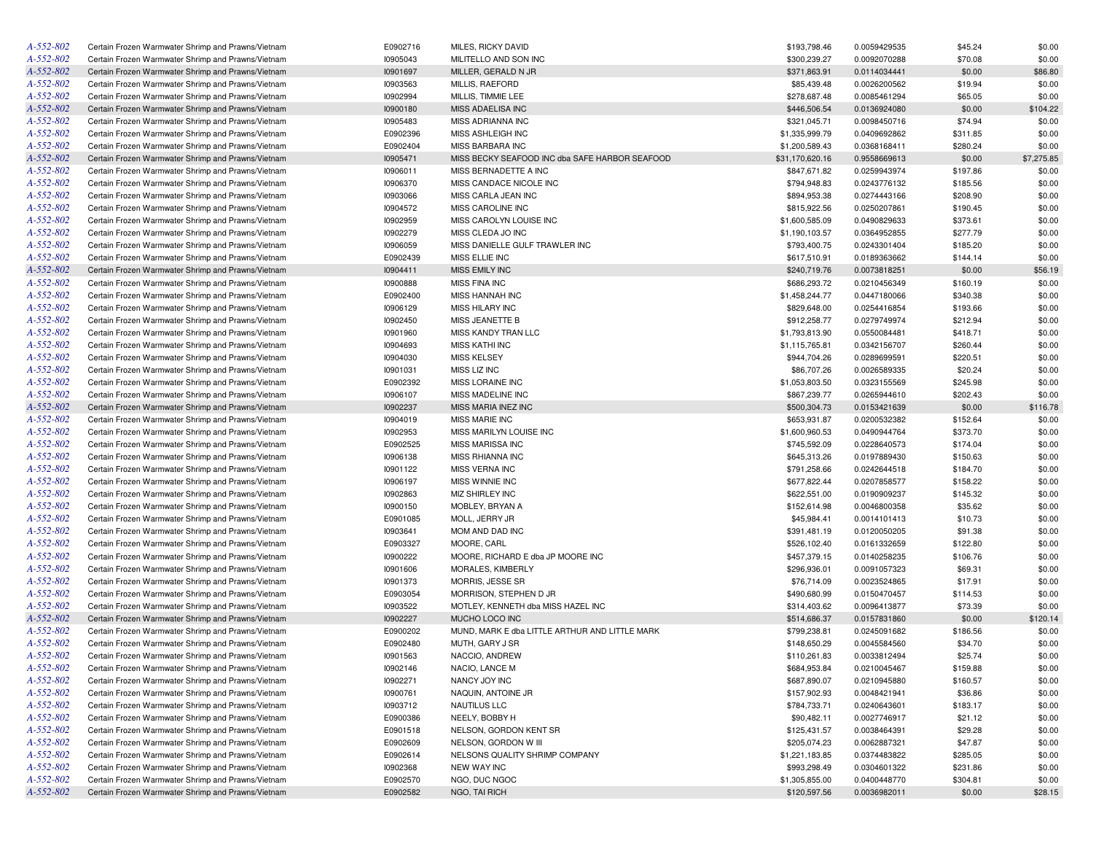| A-552-802                    | Certain Frozen Warmwater Shrimp and Prawns/Vietnam                                                       | E0902716 | MILES, RICKY DAVID                             | \$193,798.46    | 0.0059429535 | \$45.24  | \$0.00     |
|------------------------------|----------------------------------------------------------------------------------------------------------|----------|------------------------------------------------|-----------------|--------------|----------|------------|
| A-552-802                    | Certain Frozen Warmwater Shrimp and Prawns/Vietnam                                                       | 10905043 | MILITELLO AND SON INC                          | \$300,239.27    | 0.0092070288 | \$70.08  | \$0.00     |
| A-552-802                    | Certain Frozen Warmwater Shrimp and Prawns/Vietnam                                                       | 10901697 | MILLER, GERALD N JR                            | \$371,863.91    | 0.0114034441 | \$0.00   | \$86.80    |
| A-552-802                    | Certain Frozen Warmwater Shrimp and Prawns/Vietnam                                                       | 10903563 | MILLIS, RAEFORD                                | \$85,439.48     | 0.0026200562 | \$19.94  | \$0.00     |
| A-552-802                    | Certain Frozen Warmwater Shrimp and Prawns/Vietnam                                                       | 10902994 | MILLIS, TIMMIE LEE                             | \$278,687.48    | 0.0085461294 | \$65.05  | \$0.00     |
| A-552-802                    | Certain Frozen Warmwater Shrimp and Prawns/Vietnam                                                       | 10900180 | MISS ADAELISA INC                              | \$446,506.54    | 0.0136924080 | \$0.00   | \$104.22   |
| A-552-802                    | Certain Frozen Warmwater Shrimp and Prawns/Vietnam                                                       | 10905483 | MISS ADRIANNA INC                              | \$321,045.71    | 0.0098450716 | \$74.94  | \$0.00     |
| A-552-802                    | Certain Frozen Warmwater Shrimp and Prawns/Vietnam                                                       | E0902396 | MISS ASHLEIGH INC                              | \$1,335,999.79  | 0.0409692862 | \$311.85 | \$0.00     |
| A-552-802                    | Certain Frozen Warmwater Shrimp and Prawns/Vietnam                                                       | E0902404 | MISS BARBARA INC                               | \$1,200,589.43  | 0.0368168411 | \$280.24 | \$0.00     |
| A-552-802                    | Certain Frozen Warmwater Shrimp and Prawns/Vietnam                                                       | 10905471 | MISS BECKY SEAFOOD INC dba SAFE HARBOR SEAFOOD | \$31,170,620.16 | 0.9558669613 | \$0.00   | \$7,275.85 |
| A-552-802                    | Certain Frozen Warmwater Shrimp and Prawns/Vietnam                                                       | 10906011 | MISS BERNADETTE A INC                          | \$847,671.82    | 0.0259943974 | \$197.86 | \$0.00     |
| A-552-802                    | Certain Frozen Warmwater Shrimp and Prawns/Vietnam                                                       | 10906370 | MISS CANDACE NICOLE INC                        | \$794,948.83    | 0.0243776132 | \$185.56 | \$0.00     |
| A-552-802                    | Certain Frozen Warmwater Shrimp and Prawns/Vietnam                                                       | 10903066 | MISS CARLA JEAN INC                            | \$894,953.38    | 0.0274443166 | \$208.90 | \$0.00     |
| A-552-802                    | Certain Frozen Warmwater Shrimp and Prawns/Vietnam                                                       | 10904572 | MISS CAROLINE INC                              | \$815,922.56    | 0.0250207861 | \$190.45 | \$0.00     |
| A-552-802                    | Certain Frozen Warmwater Shrimp and Prawns/Vietnam                                                       | 10902959 | MISS CAROLYN LOUISE INC                        | \$1,600,585.09  | 0.0490829633 | \$373.61 | \$0.00     |
| A-552-802                    | Certain Frozen Warmwater Shrimp and Prawns/Vietnam                                                       | 10902279 | MISS CLEDA JO INC                              | \$1,190,103.57  | 0.0364952855 | \$277.79 | \$0.00     |
| A-552-802                    | Certain Frozen Warmwater Shrimp and Prawns/Vietnam                                                       | 10906059 | MISS DANIELLE GULF TRAWLER INC                 | \$793,400.75    | 0.0243301404 | \$185.20 | \$0.00     |
| A-552-802                    | Certain Frozen Warmwater Shrimp and Prawns/Vietnam                                                       | E0902439 | MISS ELLIE INC                                 | \$617,510.91    | 0.0189363662 | \$144.14 | \$0.00     |
| A-552-802                    | Certain Frozen Warmwater Shrimp and Prawns/Vietnam                                                       | 10904411 | <b>MISS EMILY INC</b>                          | \$240,719.76    | 0.0073818251 | \$0.00   | \$56.19    |
| A-552-802                    | Certain Frozen Warmwater Shrimp and Prawns/Vietnam                                                       | 10900888 | <b>MISS FINA INC</b>                           | \$686,293.72    | 0.0210456349 | \$160.19 | \$0.00     |
| A-552-802                    | Certain Frozen Warmwater Shrimp and Prawns/Vietnam                                                       | E0902400 | MISS HANNAH INC                                | \$1,458,244.77  | 0.0447180066 | \$340.38 | \$0.00     |
| A-552-802                    | Certain Frozen Warmwater Shrimp and Prawns/Vietnam                                                       | 10906129 | <b>MISS HILARY INC</b>                         | \$829,648.00    | 0.0254416854 | \$193.66 | \$0.00     |
| $A - 552 - 802$              | Certain Frozen Warmwater Shrimp and Prawns/Vietnam                                                       | 10902450 | MISS JEANETTE B                                | \$912,258.77    | 0.0279749974 | \$212.94 | \$0.00     |
| A-552-802                    | Certain Frozen Warmwater Shrimp and Prawns/Vietnam                                                       | 10901960 | MISS KANDY TRAN LLC                            | \$1,793,813.90  | 0.0550084481 | \$418.71 | \$0.00     |
| $A - 552 - 802$              | Certain Frozen Warmwater Shrimp and Prawns/Vietnam                                                       | 10904693 | <b>MISS KATHI INC</b>                          | \$1,115,765.81  | 0.0342156707 | \$260.44 | \$0.00     |
| A-552-802                    | Certain Frozen Warmwater Shrimp and Prawns/Vietnam                                                       | 10904030 | <b>MISS KELSEY</b>                             | \$944,704.26    | 0.0289699591 | \$220.51 | \$0.00     |
| A-552-802                    | Certain Frozen Warmwater Shrimp and Prawns/Vietnam                                                       | 10901031 | MISS LIZ INC                                   | \$86,707.26     | 0.0026589335 | \$20.24  | \$0.00     |
| A-552-802                    | Certain Frozen Warmwater Shrimp and Prawns/Vietnam                                                       | E0902392 | MISS LORAINE INC                               | \$1,053,803.50  | 0.0323155569 | \$245.98 | \$0.00     |
| A-552-802                    | Certain Frozen Warmwater Shrimp and Prawns/Vietnam                                                       | 10906107 | MISS MADELINE INC                              | \$867,239.77    | 0.0265944610 | \$202.43 | \$0.00     |
| A-552-802                    | Certain Frozen Warmwater Shrimp and Prawns/Vietnam                                                       | 10902237 | MISS MARIA INEZ INC                            | \$500,304.73    | 0.0153421639 | \$0.00   | \$116.78   |
| A-552-802                    | Certain Frozen Warmwater Shrimp and Prawns/Vietnam                                                       | 10904019 | <b>MISS MARIE INC</b>                          | \$653,931.87    | 0.0200532382 | \$152.64 | \$0.00     |
| A-552-802                    | Certain Frozen Warmwater Shrimp and Prawns/Vietnam                                                       | 10902953 | MISS MARILYN LOUISE INC                        | \$1,600,960.53  | 0.0490944764 | \$373.70 | \$0.00     |
| A-552-802                    | Certain Frozen Warmwater Shrimp and Prawns/Vietnam                                                       | E0902525 | <b>MISS MARISSA INC</b>                        | \$745,592.09    | 0.0228640573 | \$174.04 | \$0.00     |
| A-552-802                    | Certain Frozen Warmwater Shrimp and Prawns/Vietnam                                                       | 10906138 | <b>MISS RHIANNA INC</b>                        | \$645,313.26    | 0.0197889430 | \$150.63 | \$0.00     |
| A-552-802                    | Certain Frozen Warmwater Shrimp and Prawns/Vietnam                                                       | 10901122 | <b>MISS VERNA INC</b>                          | \$791,258.66    | 0.0242644518 | \$184.70 | \$0.00     |
| A-552-802                    | Certain Frozen Warmwater Shrimp and Prawns/Vietnam                                                       | 10906197 | MISS WINNIE INC                                | \$677,822.44    | 0.0207858577 | \$158.22 | \$0.00     |
| A-552-802                    | Certain Frozen Warmwater Shrimp and Prawns/Vietnam                                                       | 10902863 | MIZ SHIRLEY INC                                | \$622,551.00    |              | \$145.32 | \$0.00     |
| A-552-802                    | Certain Frozen Warmwater Shrimp and Prawns/Vietnam                                                       | 10900150 | MOBLEY, BRYAN A                                |                 | 0.0190909237 |          |            |
| A-552-802                    |                                                                                                          |          |                                                | \$152,614.98    | 0.0046800358 | \$35.62  | \$0.00     |
| A-552-802                    | Certain Frozen Warmwater Shrimp and Prawns/Vietnam                                                       | E0901085 | MOLL, JERRY JR                                 | \$45,984.41     | 0.0014101413 | \$10.73  | \$0.00     |
| A-552-802                    | Certain Frozen Warmwater Shrimp and Prawns/Vietnam                                                       | 10903641 | MOM AND DAD INC                                | \$391,481.19    | 0.0120050205 | \$91.38  | \$0.00     |
| A-552-802                    | Certain Frozen Warmwater Shrimp and Prawns/Vietnam                                                       | E0903327 | MOORE, CARL                                    | \$526,102.40    | 0.0161332659 | \$122.80 | \$0.00     |
|                              | Certain Frozen Warmwater Shrimp and Prawns/Vietnam                                                       | 10900222 | MOORE, RICHARD E dba JP MOORE INC              | \$457,379.15    | 0.0140258235 | \$106.76 | \$0.00     |
| A-552-802<br>A-552-802       | Certain Frozen Warmwater Shrimp and Prawns/Vietnam<br>Certain Frozen Warmwater Shrimp and Prawns/Vietnam | 10901606 | MORALES, KIMBERLY<br>MORRIS, JESSE SR          | \$296,936.01    | 0.0091057323 | \$69.31  | \$0.00     |
|                              |                                                                                                          | 10901373 |                                                | \$76,714.09     | 0.0023524865 | \$17.91  | \$0.00     |
| A-552-802                    | Certain Frozen Warmwater Shrimp and Prawns/Vietnam                                                       | E0903054 | MORRISON, STEPHEN D JR                         | \$490,680.99    | 0.0150470457 | \$114.53 | \$0.00     |
| A-552-802<br>$A - 552 - 802$ | Certain Frozen Warmwater Shrimp and Prawns/Vietnam                                                       | 10903522 | MOTLEY, KENNETH dba MISS HAZEL INC             | \$314,403.62    | 0.0096413877 | \$73.39  | \$0.00     |
|                              | Certain Frozen Warmwater Shrimp and Prawns/Vietnam                                                       | 10902227 | MUCHO LOCO INC                                 | \$514,686.37    | 0.0157831860 | \$0.00   | \$120.14   |
| A-552-802                    | Certain Frozen Warmwater Shrimp and Prawns/Vietnam                                                       | E0900202 | MUND, MARK E dba LITTLE ARTHUR AND LITTLE MARK | \$799,238.81    | 0.0245091682 | \$186.56 | \$0.00     |
| A-552-802                    | Certain Frozen Warmwater Shrimp and Prawns/Vietnam                                                       | E0902480 | MUTH, GARY J SR                                | \$148,650.29    | 0.0045584560 | \$34.70  | \$0.00     |
| A-552-802                    | Certain Frozen Warmwater Shrimp and Prawns/Vietnam                                                       | 10901563 | NACCIO, ANDREW                                 | \$110,261.83    | 0.0033812494 | \$25.74  | \$0.00     |
| A-552-802                    | Certain Frozen Warmwater Shrimp and Prawns/Vietnam                                                       | 10902146 | NACIO, LANCE M                                 | \$684,953.84    | 0.0210045467 | \$159.88 | \$0.00     |
| $A - 552 - 802$              | Certain Frozen Warmwater Shrimp and Prawns/Vietnam                                                       | 10902271 | NANCY JOY INC                                  | \$687,890.07    | 0.0210945880 | \$160.57 | \$0.00     |
| A-552-802                    | Certain Frozen Warmwater Shrimp and Prawns/Vietnam                                                       | 10900761 | NAQUIN, ANTOINE JR                             | \$157,902.93    | 0.0048421941 | \$36.86  | \$0.00     |
| A-552-802                    | Certain Frozen Warmwater Shrimp and Prawns/Vietnam                                                       | 10903712 | <b>NAUTILUS LLC</b>                            | \$784,733.71    | 0.0240643601 | \$183.17 | \$0.00     |
| A-552-802                    | Certain Frozen Warmwater Shrimp and Prawns/Vietnam                                                       | E0900386 | NEELY, BOBBY H                                 | \$90,482.11     | 0.0027746917 | \$21.12  | \$0.00     |
| A-552-802                    | Certain Frozen Warmwater Shrimp and Prawns/Vietnam                                                       | E0901518 | NELSON, GORDON KENT SR                         | \$125,431.57    | 0.0038464391 | \$29.28  | \$0.00     |
| A-552-802                    | Certain Frozen Warmwater Shrimp and Prawns/Vietnam                                                       | E0902609 | NELSON, GORDON W III                           | \$205,074.23    | 0.0062887321 | \$47.87  | \$0.00     |
| A-552-802                    | Certain Frozen Warmwater Shrimp and Prawns/Vietnam                                                       | E0902614 | NELSONS QUALITY SHRIMP COMPANY                 | \$1,221,183.85  | 0.0374483822 | \$285.05 | \$0.00     |
| A-552-802                    | Certain Frozen Warmwater Shrimp and Prawns/Vietnam                                                       | 10902368 | <b>NEW WAY INC</b>                             | \$993,298.49    | 0.0304601322 | \$231.86 | \$0.00     |
| A-552-802                    | Certain Frozen Warmwater Shrimp and Prawns/Vietnam                                                       | E0902570 | NGO, DUC NGOC                                  | \$1,305,855.00  | 0.0400448770 | \$304.81 | \$0.00     |
| $A - 552 - 802$              | Certain Frozen Warmwater Shrimp and Prawns/Vietnam                                                       | E0902582 | NGO, TAI RICH                                  | \$120,597.56    | 0.0036982011 | \$0.00   | \$28.15    |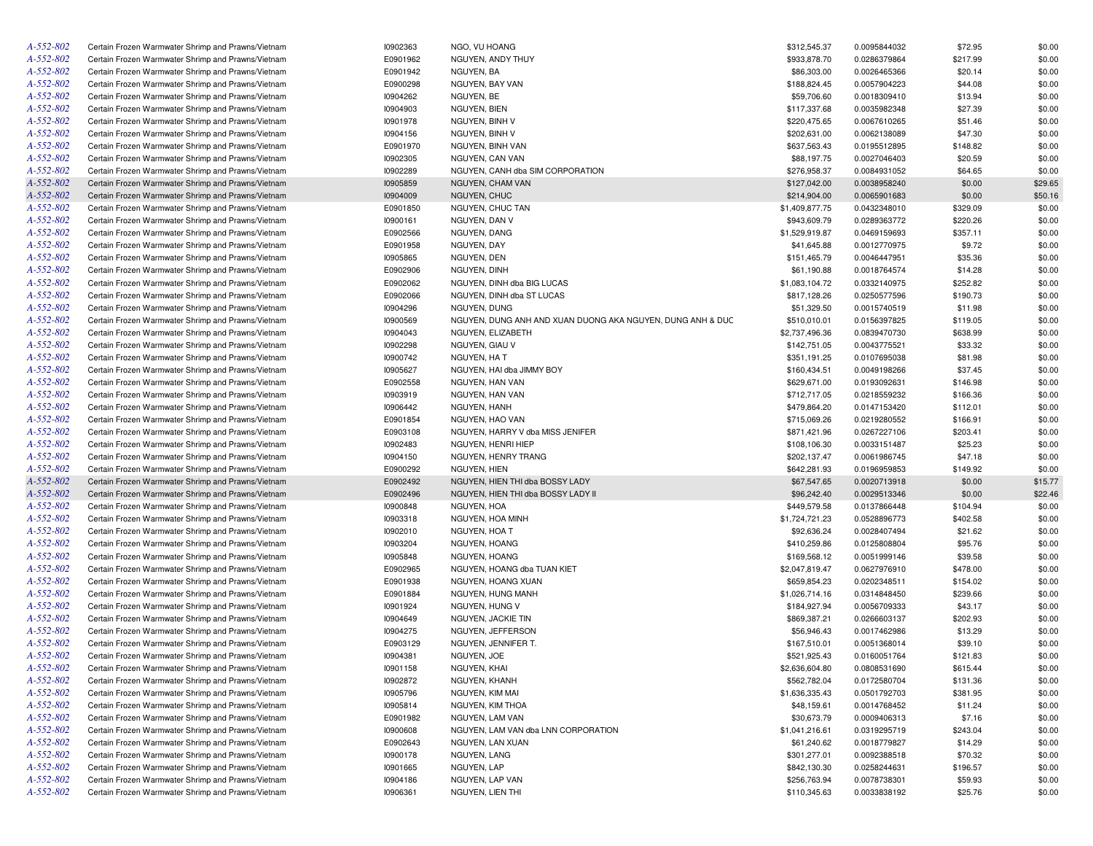| A-552-802 | Certain Frozen Warmwater Shrimp and Prawns/Vietnam | 10902363 | NGO, VU HOANG                                              | \$312,545.37   | 0.0095844032 | \$72.95  | \$0.00  |
|-----------|----------------------------------------------------|----------|------------------------------------------------------------|----------------|--------------|----------|---------|
| A-552-802 | Certain Frozen Warmwater Shrimp and Prawns/Vietnam | E0901962 | NGUYEN, ANDY THUY                                          | \$933,878.70   | 0.0286379864 | \$217.99 | \$0.00  |
| A-552-802 | Certain Frozen Warmwater Shrimp and Prawns/Vietnam | E0901942 | NGUYEN, BA                                                 | \$86,303.00    | 0.0026465366 | \$20.14  | \$0.00  |
| A-552-802 | Certain Frozen Warmwater Shrimp and Prawns/Vietnam | E0900298 | NGUYEN, BAY VAN                                            | \$188,824.45   | 0.0057904223 | \$44.08  | \$0.00  |
| A-552-802 | Certain Frozen Warmwater Shrimp and Prawns/Vietnam | 10904262 | NGUYEN, BE                                                 | \$59,706.60    | 0.0018309410 | \$13.94  | \$0.00  |
| A-552-802 | Certain Frozen Warmwater Shrimp and Prawns/Vietnam | 10904903 | NGUYEN, BIEN                                               | \$117,337.68   | 0.0035982348 | \$27.39  | \$0.00  |
| A-552-802 | Certain Frozen Warmwater Shrimp and Prawns/Vietnam | 10901978 | NGUYEN, BINH V                                             | \$220,475.65   | 0.0067610265 | \$51.46  | \$0.00  |
| A-552-802 | Certain Frozen Warmwater Shrimp and Prawns/Vietnam | 10904156 | NGUYEN, BINH V                                             | \$202,631.00   | 0.0062138089 | \$47.30  | \$0.00  |
| A-552-802 | Certain Frozen Warmwater Shrimp and Prawns/Vietnam | E0901970 | NGUYEN, BINH VAN                                           | \$637,563.43   | 0.0195512895 | \$148.82 | \$0.00  |
| A-552-802 | Certain Frozen Warmwater Shrimp and Prawns/Vietnam | 10902305 | NGUYEN, CAN VAN                                            | \$88,197.75    | 0.0027046403 | \$20.59  | \$0.00  |
| A-552-802 | Certain Frozen Warmwater Shrimp and Prawns/Vietnam | 10902289 | NGUYEN, CANH dba SIM CORPORATION                           | \$276,958.37   | 0.0084931052 | \$64.65  | \$0.00  |
| A-552-802 | Certain Frozen Warmwater Shrimp and Prawns/Vietnam | 10905859 | <b>NGUYEN, CHAM VAN</b>                                    | \$127,042.00   | 0.0038958240 | \$0.00   | \$29.65 |
| A-552-802 | Certain Frozen Warmwater Shrimp and Prawns/Vietnam | 10904009 | NGUYEN, CHUC                                               | \$214,904.00   | 0.0065901683 | \$0.00   | \$50.16 |
| A-552-802 | Certain Frozen Warmwater Shrimp and Prawns/Vietnam | E0901850 | NGUYEN, CHUC TAN                                           | \$1,409,877.75 | 0.0432348010 | \$329.09 | \$0.00  |
| A-552-802 | Certain Frozen Warmwater Shrimp and Prawns/Vietnam | 10900161 | NGUYEN, DAN V                                              | \$943,609.79   | 0.0289363772 | \$220.26 | \$0.00  |
| A-552-802 |                                                    | E0902566 | NGUYEN, DANG                                               |                |              |          | \$0.00  |
| A-552-802 | Certain Frozen Warmwater Shrimp and Prawns/Vietnam |          |                                                            | \$1,529,919.87 | 0.0469159693 | \$357.11 |         |
|           | Certain Frozen Warmwater Shrimp and Prawns/Vietnam | E0901958 | NGUYEN, DAY                                                | \$41,645.88    | 0.0012770975 | \$9.72   | \$0.00  |
| A-552-802 | Certain Frozen Warmwater Shrimp and Prawns/Vietnam | 10905865 | NGUYEN, DEN                                                | \$151,465.79   | 0.0046447951 | \$35.36  | \$0.00  |
| A-552-802 | Certain Frozen Warmwater Shrimp and Prawns/Vietnam | E0902906 | NGUYEN, DINH                                               | \$61,190.88    | 0.0018764574 | \$14.28  | \$0.00  |
| A-552-802 | Certain Frozen Warmwater Shrimp and Prawns/Vietnam | E0902062 | NGUYEN, DINH dba BIG LUCAS                                 | \$1,083,104.72 | 0.0332140975 | \$252.82 | \$0.00  |
| A-552-802 | Certain Frozen Warmwater Shrimp and Prawns/Vietnam | E0902066 | NGUYEN, DINH dba ST LUCAS                                  | \$817,128.26   | 0.0250577596 | \$190.73 | \$0.00  |
| A-552-802 | Certain Frozen Warmwater Shrimp and Prawns/Vietnam | 10904296 | NGUYEN, DUNG                                               | \$51,329.50    | 0.0015740519 | \$11.98  | \$0.00  |
| A-552-802 | Certain Frozen Warmwater Shrimp and Prawns/Vietnam | 10900569 | NGUYEN, DUNG ANH AND XUAN DUONG AKA NGUYEN, DUNG ANH & DUC | \$510,010.01   | 0.0156397825 | \$119.05 | \$0.00  |
| A-552-802 | Certain Frozen Warmwater Shrimp and Prawns/Vietnam | 10904043 | NGUYEN, ELIZABETH                                          | \$2,737,496.36 | 0.0839470730 | \$638.99 | \$0.00  |
| A-552-802 | Certain Frozen Warmwater Shrimp and Prawns/Vietnam | 10902298 | NGUYEN, GIAU V                                             | \$142,751.05   | 0.0043775521 | \$33.32  | \$0.00  |
| A-552-802 | Certain Frozen Warmwater Shrimp and Prawns/Vietnam | 10900742 | NGUYEN, HA T                                               | \$351,191.25   | 0.0107695038 | \$81.98  | \$0.00  |
| A-552-802 | Certain Frozen Warmwater Shrimp and Prawns/Vietnam | 10905627 | NGUYEN, HAI dba JIMMY BOY                                  | \$160,434.51   | 0.0049198266 | \$37.45  | \$0.00  |
| A-552-802 | Certain Frozen Warmwater Shrimp and Prawns/Vietnam | E0902558 | NGUYEN, HAN VAN                                            | \$629,671.00   | 0.0193092631 | \$146.98 | \$0.00  |
| A-552-802 | Certain Frozen Warmwater Shrimp and Prawns/Vietnam | 10903919 | NGUYEN, HAN VAN                                            | \$712,717.05   | 0.0218559232 | \$166.36 | \$0.00  |
| A-552-802 | Certain Frozen Warmwater Shrimp and Prawns/Vietnam | 10906442 | NGUYEN, HANH                                               | \$479,864.20   | 0.0147153420 | \$112.01 | \$0.00  |
| A-552-802 | Certain Frozen Warmwater Shrimp and Prawns/Vietnam | E0901854 | NGUYEN, HAO VAN                                            | \$715,069.26   | 0.0219280552 | \$166.91 | \$0.00  |
| A-552-802 | Certain Frozen Warmwater Shrimp and Prawns/Vietnam | E0903108 | NGUYEN, HARRY V dba MISS JENIFER                           | \$871,421.96   | 0.0267227106 | \$203.41 | \$0.00  |
| A-552-802 | Certain Frozen Warmwater Shrimp and Prawns/Vietnam | 10902483 | NGUYEN, HENRI HIEP                                         | \$108,106.30   | 0.0033151487 | \$25.23  | \$0.00  |
| A-552-802 | Certain Frozen Warmwater Shrimp and Prawns/Vietnam | 10904150 | NGUYEN, HENRY TRANG                                        | \$202,137.47   | 0.0061986745 | \$47.18  | \$0.00  |
| A-552-802 | Certain Frozen Warmwater Shrimp and Prawns/Vietnam | E0900292 | NGUYEN, HIEN                                               | \$642,281.93   | 0.0196959853 | \$149.92 | \$0.00  |
| A-552-802 | Certain Frozen Warmwater Shrimp and Prawns/Vietnam | E0902492 | NGUYEN, HIEN THI dba BOSSY LADY                            | \$67,547.65    | 0.0020713918 | \$0.00   | \$15.77 |
| A-552-802 | Certain Frozen Warmwater Shrimp and Prawns/Vietnam | E0902496 | NGUYEN, HIEN THI dba BOSSY LADY II                         | \$96,242.40    | 0.0029513346 | \$0.00   | \$22.46 |
| A-552-802 | Certain Frozen Warmwater Shrimp and Prawns/Vietnam | 10900848 | NGUYEN, HOA                                                | \$449,579.58   | 0.0137866448 | \$104.94 | \$0.00  |
| A-552-802 | Certain Frozen Warmwater Shrimp and Prawns/Vietnam | 10903318 | NGUYEN, HOA MINH                                           | \$1,724,721.23 | 0.0528896773 | \$402.58 | \$0.00  |
| A-552-802 | Certain Frozen Warmwater Shrimp and Prawns/Vietnam | 10902010 | NGUYEN, HOA T                                              | \$92,636.24    | 0.0028407494 | \$21.62  | \$0.00  |
| A-552-802 | Certain Frozen Warmwater Shrimp and Prawns/Vietnam | 10903204 | NGUYEN, HOANG                                              | \$410,259.86   | 0.0125808804 | \$95.76  | \$0.00  |
| A-552-802 | Certain Frozen Warmwater Shrimp and Prawns/Vietnam | 10905848 | NGUYEN, HOANG                                              | \$169,568.12   | 0.0051999146 | \$39.58  | \$0.00  |
| A-552-802 | Certain Frozen Warmwater Shrimp and Prawns/Vietnam | E0902965 | NGUYEN, HOANG dba TUAN KIET                                | \$2,047,819.47 | 0.0627976910 | \$478.00 | \$0.00  |
| A-552-802 | Certain Frozen Warmwater Shrimp and Prawns/Vietnam | E0901938 | NGUYEN, HOANG XUAN                                         | \$659,854.23   | 0.0202348511 | \$154.02 | \$0.00  |
| A-552-802 | Certain Frozen Warmwater Shrimp and Prawns/Vietnam | E0901884 | NGUYEN, HUNG MANH                                          | \$1,026,714.16 | 0.0314848450 | \$239.66 | \$0.00  |
| A-552-802 | Certain Frozen Warmwater Shrimp and Prawns/Vietnam | 10901924 | NGUYEN, HUNG V                                             | \$184,927.94   | 0.0056709333 | \$43.17  | \$0.00  |
| A-552-802 | Certain Frozen Warmwater Shrimp and Prawns/Vietnam | 10904649 | NGUYEN, JACKIE TIN                                         | \$869,387.21   | 0.0266603137 | \$202.93 | \$0.00  |
| A-552-802 | Certain Frozen Warmwater Shrimp and Prawns/Vietnam | I0904275 | NGUYEN, JEFFERSON                                          | \$56,946.43    | 0.0017462986 | \$13.29  | \$0.00  |
| A-552-802 | Certain Frozen Warmwater Shrimp and Prawns/Vietnam | E0903129 | NGUYEN, JENNIFER T.                                        | \$167,510.01   | 0.0051368014 | \$39.10  | \$0.00  |
| A-552-802 | Certain Frozen Warmwater Shrimp and Prawns/Vietnam | 10904381 | NGUYEN, JOE                                                | \$521,925.43   | 0.0160051764 | \$121.83 | \$0.00  |
| A-552-802 | Certain Frozen Warmwater Shrimp and Prawns/Vietnam | 10901158 | NGUYEN, KHAI                                               | \$2,636,604.80 | 0.0808531690 | \$615.44 | \$0.00  |
| A-552-802 | Certain Frozen Warmwater Shrimp and Prawns/Vietnam | 10902872 | NGUYEN, KHANH                                              | \$562,782.04   | 0.0172580704 | \$131.36 | \$0.00  |
| A-552-802 | Certain Frozen Warmwater Shrimp and Prawns/Vietnam | 10905796 | NGUYEN, KIM MAI                                            | \$1,636,335.43 | 0.0501792703 | \$381.95 | \$0.00  |
| A-552-802 | Certain Frozen Warmwater Shrimp and Prawns/Vietnam | 10905814 | NGUYEN, KIM THOA                                           | \$48,159.61    | 0.0014768452 | \$11.24  | \$0.00  |
| A-552-802 | Certain Frozen Warmwater Shrimp and Prawns/Vietnam | E0901982 | NGUYEN, LAM VAN                                            | \$30,673.79    | 0.0009406313 | \$7.16   | \$0.00  |
| A-552-802 | Certain Frozen Warmwater Shrimp and Prawns/Vietnam | 10900608 | NGUYEN, LAM VAN dba LNN CORPORATION                        | \$1,041,216.61 | 0.0319295719 | \$243.04 | \$0.00  |
| A-552-802 | Certain Frozen Warmwater Shrimp and Prawns/Vietnam | E0902643 | NGUYEN, LAN XUAN                                           | \$61,240.62    | 0.0018779827 | \$14.29  | \$0.00  |
| A-552-802 | Certain Frozen Warmwater Shrimp and Prawns/Vietnam | 10900178 | NGUYEN, LANG                                               | \$301,277.01   | 0.0092388518 | \$70.32  | \$0.00  |
| A-552-802 | Certain Frozen Warmwater Shrimp and Prawns/Vietnam | 10901665 | NGUYEN, LAP                                                | \$842,130.30   | 0.0258244631 | \$196.57 | \$0.00  |
| A-552-802 | Certain Frozen Warmwater Shrimp and Prawns/Vietnam | 10904186 | NGUYEN, LAP VAN                                            | \$256,763.94   | 0.0078738301 | \$59.93  | \$0.00  |
| A-552-802 | Certain Frozen Warmwater Shrimp and Prawns/Vietnam | 10906361 | NGUYEN, LIEN THI                                           |                | 0.0033838192 |          | \$0.00  |
|           |                                                    |          |                                                            | \$110,345.63   |              | \$25.76  |         |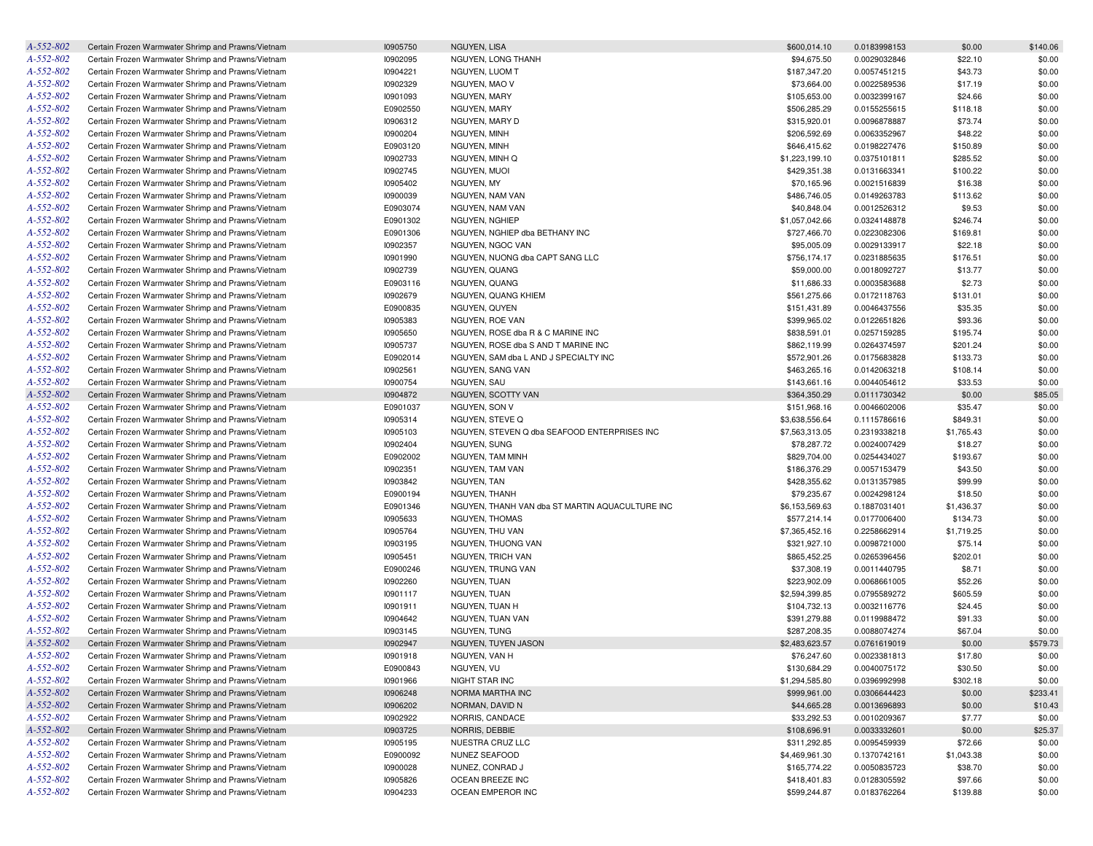| A-552-802 | Certain Frozen Warmwater Shrimp and Prawns/Vietnam | 10905750 | NGUYEN, LISA                                    | \$600,014.10   | 0.0183998153 | \$0.00     | \$140.06 |
|-----------|----------------------------------------------------|----------|-------------------------------------------------|----------------|--------------|------------|----------|
| A-552-802 | Certain Frozen Warmwater Shrimp and Prawns/Vietnam | 10902095 | NGUYEN, LONG THANH                              | \$94,675.50    | 0.0029032846 | \$22.10    | \$0.00   |
| A-552-802 | Certain Frozen Warmwater Shrimp and Prawns/Vietnam | 10904221 | NGUYEN, LUOM T                                  | \$187,347.20   | 0.0057451215 | \$43.73    | \$0.00   |
| A-552-802 | Certain Frozen Warmwater Shrimp and Prawns/Vietnam | 10902329 | NGUYEN, MAO V                                   | \$73,664.00    | 0.0022589536 | \$17.19    | \$0.00   |
| A-552-802 | Certain Frozen Warmwater Shrimp and Prawns/Vietnam | 10901093 | NGUYEN, MARY                                    | \$105,653.00   | 0.0032399167 | \$24.66    | \$0.00   |
| A-552-802 | Certain Frozen Warmwater Shrimp and Prawns/Vietnam | E0902550 | NGUYEN, MARY                                    | \$506,285.29   | 0.0155255615 | \$118.18   | \$0.00   |
| A-552-802 | Certain Frozen Warmwater Shrimp and Prawns/Vietnam | 10906312 | NGUYEN, MARY D                                  | \$315,920.01   | 0.0096878887 | \$73.74    | \$0.00   |
| A-552-802 | Certain Frozen Warmwater Shrimp and Prawns/Vietnam | 10900204 | NGUYEN, MINH                                    | \$206,592.69   | 0.0063352967 | \$48.22    | \$0.00   |
| A-552-802 | Certain Frozen Warmwater Shrimp and Prawns/Vietnam | E0903120 | NGUYEN, MINH                                    | \$646,415.62   | 0.0198227476 | \$150.89   | \$0.00   |
| A-552-802 | Certain Frozen Warmwater Shrimp and Prawns/Vietnam | 10902733 | NGUYEN, MINH Q                                  | \$1,223,199.10 | 0.0375101811 | \$285.52   | \$0.00   |
| A-552-802 | Certain Frozen Warmwater Shrimp and Prawns/Vietnam | 10902745 | NGUYEN, MUOI                                    | \$429,351.38   | 0.0131663341 | \$100.22   | \$0.00   |
| A-552-802 | Certain Frozen Warmwater Shrimp and Prawns/Vietnam | 10905402 | NGUYEN, MY                                      | \$70,165.96    | 0.0021516839 | \$16.38    | \$0.00   |
| A-552-802 | Certain Frozen Warmwater Shrimp and Prawns/Vietnam | 10900039 | NGUYEN, NAM VAN                                 | \$486,746.05   | 0.0149263783 | \$113.62   | \$0.00   |
| A-552-802 | Certain Frozen Warmwater Shrimp and Prawns/Vietnam | E0903074 | NGUYEN, NAM VAN                                 | \$40,848.04    | 0.0012526312 | \$9.53     | \$0.00   |
| A-552-802 | Certain Frozen Warmwater Shrimp and Prawns/Vietnam | E0901302 | NGUYEN, NGHIEP                                  | \$1,057,042.66 | 0.0324148878 | \$246.74   | \$0.00   |
| A-552-802 | Certain Frozen Warmwater Shrimp and Prawns/Vietnam | E0901306 | NGUYEN, NGHIEP dba BETHANY INC                  | \$727,466.70   | 0.0223082306 | \$169.81   | \$0.00   |
| A-552-802 | Certain Frozen Warmwater Shrimp and Prawns/Vietnam | 10902357 | NGUYEN, NGOC VAN                                | \$95,005.09    | 0.0029133917 | \$22.18    | \$0.00   |
| A-552-802 | Certain Frozen Warmwater Shrimp and Prawns/Vietnam |          | NGUYEN, NUONG dba CAPT SANG LLC                 |                |              |            |          |
| A-552-802 |                                                    | 10901990 |                                                 | \$756,174.17   | 0.0231885635 | \$176.51   | \$0.00   |
|           | Certain Frozen Warmwater Shrimp and Prawns/Vietnam | 10902739 | NGUYEN, QUANG                                   | \$59,000.00    | 0.0018092727 | \$13.77    | \$0.00   |
| A-552-802 | Certain Frozen Warmwater Shrimp and Prawns/Vietnam | E0903116 | NGUYEN, QUANG                                   | \$11,686.33    | 0.0003583688 | \$2.73     | \$0.00   |
| A-552-802 | Certain Frozen Warmwater Shrimp and Prawns/Vietnam | 10902679 | NGUYEN, QUANG KHIEM                             | \$561,275.66   | 0.0172118763 | \$131.01   | \$0.00   |
| A-552-802 | Certain Frozen Warmwater Shrimp and Prawns/Vietnam | E0900835 | NGUYEN, QUYEN                                   | \$151,431.89   | 0.0046437556 | \$35.35    | \$0.00   |
| A-552-802 | Certain Frozen Warmwater Shrimp and Prawns/Vietnam | 10905383 | NGUYEN, ROE VAN                                 | \$399,965.02   | 0.0122651826 | \$93.36    | \$0.00   |
| A-552-802 | Certain Frozen Warmwater Shrimp and Prawns/Vietnam | 10905650 | NGUYEN, ROSE dba R & C MARINE INC               | \$838,591.01   | 0.0257159285 | \$195.74   | \$0.00   |
| A-552-802 | Certain Frozen Warmwater Shrimp and Prawns/Vietnam | 10905737 | NGUYEN, ROSE dba S AND T MARINE INC             | \$862,119.99   | 0.0264374597 | \$201.24   | \$0.00   |
| A-552-802 | Certain Frozen Warmwater Shrimp and Prawns/Vietnam | E0902014 | NGUYEN, SAM dba L AND J SPECIALTY INC           | \$572,901.26   | 0.0175683828 | \$133.73   | \$0.00   |
| A-552-802 | Certain Frozen Warmwater Shrimp and Prawns/Vietnam | 10902561 | <b>NGUYEN, SANG VAN</b>                         | \$463,265.16   | 0.0142063218 | \$108.14   | \$0.00   |
| A-552-802 | Certain Frozen Warmwater Shrimp and Prawns/Vietnam | 10900754 | NGUYEN, SAU                                     | \$143,661.16   | 0.0044054612 | \$33.53    | \$0.00   |
| A-552-802 | Certain Frozen Warmwater Shrimp and Prawns/Vietnam | 10904872 | NGUYEN, SCOTTY VAN                              | \$364,350.29   | 0.0111730342 | \$0.00     | \$85.05  |
| A-552-802 | Certain Frozen Warmwater Shrimp and Prawns/Vietnam | E0901037 | NGUYEN, SON V                                   | \$151,968.16   | 0.0046602006 | \$35.47    | \$0.00   |
| A-552-802 | Certain Frozen Warmwater Shrimp and Prawns/Vietnam | 10905314 | NGUYEN, STEVE Q                                 | \$3,638,556.64 | 0.1115786616 | \$849.31   | \$0.00   |
| A-552-802 | Certain Frozen Warmwater Shrimp and Prawns/Vietnam | 10905103 | NGUYEN, STEVEN Q dba SEAFOOD ENTERPRISES INC    | \$7,563,313.05 | 0.2319338218 | \$1,765.43 | \$0.00   |
| A-552-802 | Certain Frozen Warmwater Shrimp and Prawns/Vietnam | 10902404 | NGUYEN, SUNG                                    | \$78,287.72    | 0.0024007429 | \$18.27    | \$0.00   |
| A-552-802 | Certain Frozen Warmwater Shrimp and Prawns/Vietnam | E0902002 | NGUYEN, TAM MINH                                | \$829,704.00   | 0.0254434027 | \$193.67   | \$0.00   |
| A-552-802 | Certain Frozen Warmwater Shrimp and Prawns/Vietnam | 10902351 | NGUYEN, TAM VAN                                 | \$186,376.29   | 0.0057153479 | \$43.50    | \$0.00   |
| A-552-802 | Certain Frozen Warmwater Shrimp and Prawns/Vietnam | 10903842 | NGUYEN, TAN                                     | \$428,355.62   | 0.0131357985 | \$99.99    | \$0.00   |
| A-552-802 | Certain Frozen Warmwater Shrimp and Prawns/Vietnam | E0900194 | NGUYEN, THANH                                   | \$79,235.67    | 0.0024298124 | \$18.50    | \$0.00   |
| A-552-802 | Certain Frozen Warmwater Shrimp and Prawns/Vietnam | E0901346 | NGUYEN, THANH VAN dba ST MARTIN AQUACULTURE INC | \$6,153,569.63 | 0.1887031401 | \$1,436.37 | \$0.00   |
| A-552-802 | Certain Frozen Warmwater Shrimp and Prawns/Vietnam | 10905633 | NGUYEN, THOMAS                                  | \$577,214.14   | 0.0177006400 | \$134.73   | \$0.00   |
| A-552-802 | Certain Frozen Warmwater Shrimp and Prawns/Vietnam | 10905764 | NGUYEN, THU VAN                                 | \$7,365,452.16 | 0.2258662914 | \$1,719.25 | \$0.00   |
| A-552-802 | Certain Frozen Warmwater Shrimp and Prawns/Vietnam | 10903195 | NGUYEN, THUONG VAN                              | \$321,927.10   | 0.0098721000 | \$75.14    | \$0.00   |
| A-552-802 | Certain Frozen Warmwater Shrimp and Prawns/Vietnam | 10905451 | NGUYEN, TRICH VAN                               | \$865,452.25   | 0.0265396456 | \$202.01   | \$0.00   |
| A-552-802 | Certain Frozen Warmwater Shrimp and Prawns/Vietnam | E0900246 | NGUYEN, TRUNG VAN                               | \$37,308.19    | 0.0011440795 | \$8.71     | \$0.00   |
| A-552-802 | Certain Frozen Warmwater Shrimp and Prawns/Vietnam | 10902260 | NGUYEN, TUAN                                    | \$223,902.09   | 0.0068661005 | \$52.26    | \$0.00   |
| A-552-802 | Certain Frozen Warmwater Shrimp and Prawns/Vietnam | 10901117 | NGUYEN, TUAN                                    | \$2,594,399.85 | 0.0795589272 | \$605.59   | \$0.00   |
| A-552-802 | Certain Frozen Warmwater Shrimp and Prawns/Vietnam | 10901911 | NGUYEN. TUAN H                                  | \$104,732.13   | 0.0032116776 | \$24.45    | \$0.00   |
| A-552-802 | Certain Frozen Warmwater Shrimp and Prawns/Vietnam | 10904642 | NGUYEN, TUAN VAN                                | \$391,279.88   | 0.0119988472 | \$91.33    | \$0.00   |
| A-552-802 | Certain Frozen Warmwater Shrimp and Prawns/Vietnam | 10903145 | NGUYEN, TUNG                                    | \$287,208.35   | 0.0088074274 | \$67.04    | \$0.00   |
| A-552-802 | Certain Frozen Warmwater Shrimp and Prawns/Vietnam | 10902947 | NGUYEN, TUYEN JASON                             | \$2,483,623.57 | 0.0761619019 | \$0.00     | \$579.73 |
| A-552-802 | Certain Frozen Warmwater Shrimp and Prawns/Vietnam | 10901918 | NGUYEN, VAN H                                   | \$76,247.60    | 0.0023381813 | \$17.80    | \$0.00   |
| A-552-802 | Certain Frozen Warmwater Shrimp and Prawns/Vietnam | E0900843 | NGUYEN, VU                                      | \$130,684.29   | 0.0040075172 | \$30.50    | \$0.00   |
| A-552-802 | Certain Frozen Warmwater Shrimp and Prawns/Vietnam | 10901966 | NIGHT STAR INC                                  | \$1,294,585.80 | 0.0396992998 | \$302.18   | \$0.00   |
| A-552-802 | Certain Frozen Warmwater Shrimp and Prawns/Vietnam | 10906248 | NORMA MARTHA INC                                | \$999,961.00   | 0.0306644423 | \$0.00     | \$233.41 |
| A-552-802 | Certain Frozen Warmwater Shrimp and Prawns/Vietnam | 10906202 | NORMAN, DAVID N                                 | \$44,665.28    | 0.0013696893 | \$0.00     | \$10.43  |
| A-552-802 | Certain Frozen Warmwater Shrimp and Prawns/Vietnam | 10902922 | NORRIS, CANDACE                                 | \$33,292.53    | 0.0010209367 | \$7.77     | \$0.00   |
| A-552-802 | Certain Frozen Warmwater Shrimp and Prawns/Vietnam | 10903725 | NORRIS, DEBBIE                                  | \$108,696.91   | 0.0033332601 | \$0.00     | \$25.37  |
| A-552-802 | Certain Frozen Warmwater Shrimp and Prawns/Vietnam | 10905195 | NUESTRA CRUZ LLC                                | \$311,292.85   | 0.0095459939 | \$72.66    | \$0.00   |
| A-552-802 | Certain Frozen Warmwater Shrimp and Prawns/Vietnam | E0900092 | NUNEZ SEAFOOD                                   | \$4,469,961.30 | 0.1370742161 | \$1,043.38 | \$0.00   |
| A-552-802 | Certain Frozen Warmwater Shrimp and Prawns/Vietnam | 10900028 | NUNEZ, CONRAD J                                 | \$165,774.22   | 0.0050835723 | \$38.70    | \$0.00   |
| A-552-802 | Certain Frozen Warmwater Shrimp and Prawns/Vietnam | 10905826 | OCEAN BREEZE INC                                | \$418,401.83   | 0.0128305592 | \$97.66    | \$0.00   |
| A-552-802 | Certain Frozen Warmwater Shrimp and Prawns/Vietnam | 10904233 | OCEAN EMPEROR INC                               | \$599,244.87   | 0.0183762264 | \$139.88   | \$0.00   |
|           |                                                    |          |                                                 |                |              |            |          |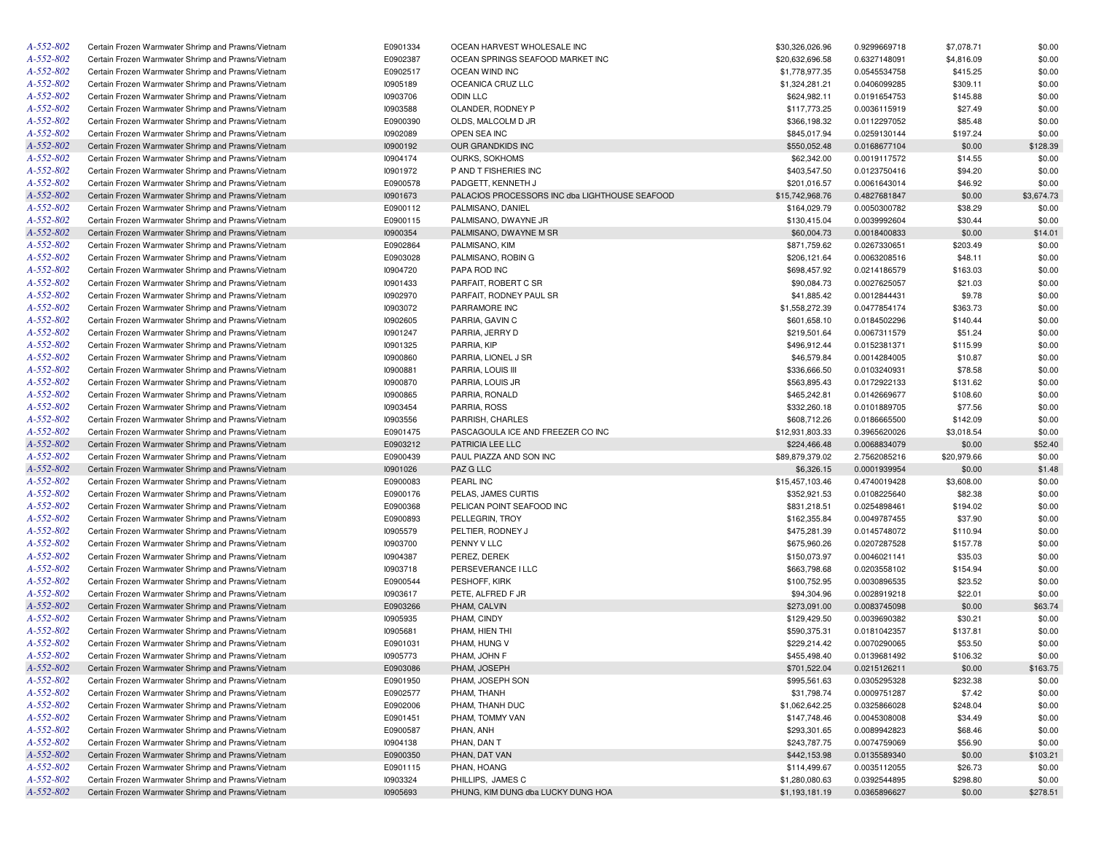| A-552-802 | Certain Frozen Warmwater Shrimp and Prawns/Vietnam | E0901334 | OCEAN HARVEST WHOLESALE INC                    | \$30,326,026.96 | 0.9299669718 | \$7,078.71  | \$0.00     |
|-----------|----------------------------------------------------|----------|------------------------------------------------|-----------------|--------------|-------------|------------|
| A-552-802 | Certain Frozen Warmwater Shrimp and Prawns/Vietnam | E0902387 | OCEAN SPRINGS SEAFOOD MARKET INC               | \$20,632,696.58 | 0.6327148091 | \$4,816.09  | \$0.00     |
| A-552-802 | Certain Frozen Warmwater Shrimp and Prawns/Vietnam | E0902517 | OCEAN WIND INC                                 | \$1,778,977.35  | 0.0545534758 | \$415.25    | \$0.00     |
| A-552-802 | Certain Frozen Warmwater Shrimp and Prawns/Vietnam | 10905189 | OCEANICA CRUZ LLC                              | \$1,324,281.21  | 0.0406099285 | \$309.11    | \$0.00     |
| A-552-802 | Certain Frozen Warmwater Shrimp and Prawns/Vietnam | 10903706 | <b>ODIN LLC</b>                                | \$624,982.11    | 0.0191654753 | \$145.88    | \$0.00     |
| A-552-802 | Certain Frozen Warmwater Shrimp and Prawns/Vietnam | 10903588 | OLANDER, RODNEY P                              | \$117,773.25    | 0.0036115919 | \$27.49     | \$0.00     |
| A-552-802 | Certain Frozen Warmwater Shrimp and Prawns/Vietnam | E0900390 | OLDS, MALCOLM D JR                             | \$366,198.32    | 0.0112297052 | \$85.48     | \$0.00     |
| A-552-802 | Certain Frozen Warmwater Shrimp and Prawns/Vietnam | 10902089 | OPEN SEA INC                                   | \$845,017.94    | 0.0259130144 | \$197.24    | \$0.00     |
| A-552-802 | Certain Frozen Warmwater Shrimp and Prawns/Vietnam | 10900192 | OUR GRANDKIDS INC                              | \$550,052.48    | 0.0168677104 | \$0.00      | \$128.39   |
| A-552-802 | Certain Frozen Warmwater Shrimp and Prawns/Vietnam | 10904174 | OURKS, SOKHOMS                                 | \$62,342.00     | 0.0019117572 | \$14.55     | \$0.00     |
| A-552-802 | Certain Frozen Warmwater Shrimp and Prawns/Vietnam | 10901972 | P AND T FISHERIES INC                          | \$403,547.50    | 0.0123750416 | \$94.20     | \$0.00     |
| A-552-802 | Certain Frozen Warmwater Shrimp and Prawns/Vietnam | E0900578 | PADGETT, KENNETH J                             | \$201,016.57    | 0.0061643014 | \$46.92     | \$0.00     |
| A-552-802 | Certain Frozen Warmwater Shrimp and Prawns/Vietnam | 10901673 | PALACIOS PROCESSORS INC dba LIGHTHOUSE SEAFOOD | \$15,742,968.76 | 0.4827681847 | \$0.00      | \$3,674.73 |
| A-552-802 | Certain Frozen Warmwater Shrimp and Prawns/Vietnam | E0900112 | PALMISANO, DANIEL                              | \$164,029.79    | 0.0050300782 | \$38.29     | \$0.00     |
| A-552-802 | Certain Frozen Warmwater Shrimp and Prawns/Vietnam | E0900115 | PALMISANO, DWAYNE JR                           | \$130,415.04    | 0.0039992604 | \$30.44     | \$0.00     |
| A-552-802 | Certain Frozen Warmwater Shrimp and Prawns/Vietnam | 10900354 | PALMISANO, DWAYNE M SR                         | \$60,004.73     | 0.0018400833 | \$0.00      | \$14.01    |
| A-552-802 | Certain Frozen Warmwater Shrimp and Prawns/Vietnam | E0902864 | PALMISANO, KIM                                 | \$871,759.62    | 0.0267330651 | \$203.49    | \$0.00     |
| A-552-802 | Certain Frozen Warmwater Shrimp and Prawns/Vietnam | E0903028 | PALMISANO, ROBIN G                             | \$206,121.64    | 0.0063208516 | \$48.11     | \$0.00     |
| A-552-802 |                                                    |          |                                                |                 |              |             |            |
|           | Certain Frozen Warmwater Shrimp and Prawns/Vietnam | 10904720 | PAPA ROD INC                                   | \$698,457.92    | 0.0214186579 | \$163.03    | \$0.00     |
| A-552-802 | Certain Frozen Warmwater Shrimp and Prawns/Vietnam | 10901433 | PARFAIT, ROBERT C SR                           | \$90,084.73     | 0.0027625057 | \$21.03     | \$0.00     |
| A-552-802 | Certain Frozen Warmwater Shrimp and Prawns/Vietnam | 10902970 | PARFAIT, RODNEY PAUL SR                        | \$41,885.42     | 0.0012844431 | \$9.78      | \$0.00     |
| A-552-802 | Certain Frozen Warmwater Shrimp and Prawns/Vietnam | 10903072 | PARRAMORE INC                                  | \$1,558,272.39  | 0.0477854174 | \$363.73    | \$0.00     |
| A-552-802 | Certain Frozen Warmwater Shrimp and Prawns/Vietnam | 10902605 | PARRIA, GAVIN C                                | \$601,658.10    | 0.0184502296 | \$140.44    | \$0.00     |
| A-552-802 | Certain Frozen Warmwater Shrimp and Prawns/Vietnam | 10901247 | PARRIA, JERRY D                                | \$219,501.64    | 0.0067311579 | \$51.24     | \$0.00     |
| A-552-802 | Certain Frozen Warmwater Shrimp and Prawns/Vietnam | 10901325 | PARRIA, KIP                                    | \$496,912.44    | 0.0152381371 | \$115.99    | \$0.00     |
| A-552-802 | Certain Frozen Warmwater Shrimp and Prawns/Vietnam | 10900860 | PARRIA, LIONEL J SR                            | \$46,579.84     | 0.0014284005 | \$10.87     | \$0.00     |
| A-552-802 | Certain Frozen Warmwater Shrimp and Prawns/Vietnam | 10900881 | PARRIA, LOUIS III                              | \$336,666.50    | 0.0103240931 | \$78.58     | \$0.00     |
| A-552-802 | Certain Frozen Warmwater Shrimp and Prawns/Vietnam | 10900870 | PARRIA, LOUIS JR                               | \$563,895.43    | 0.0172922133 | \$131.62    | \$0.00     |
| A-552-802 | Certain Frozen Warmwater Shrimp and Prawns/Vietnam | 10900865 | PARRIA, RONALD                                 | \$465,242.81    | 0.0142669677 | \$108.60    | \$0.00     |
| A-552-802 | Certain Frozen Warmwater Shrimp and Prawns/Vietnam | 10903454 | PARRIA, ROSS                                   | \$332,260.18    | 0.0101889705 | \$77.56     | \$0.00     |
| A-552-802 | Certain Frozen Warmwater Shrimp and Prawns/Vietnam | 10903556 | PARRISH, CHARLES                               | \$608,712.26    | 0.0186665500 | \$142.09    | \$0.00     |
| A-552-802 | Certain Frozen Warmwater Shrimp and Prawns/Vietnam | E0901475 | PASCAGOULA ICE AND FREEZER CO INC              | \$12,931,803.33 | 0.3965620026 | \$3,018.54  | \$0.00     |
| A-552-802 | Certain Frozen Warmwater Shrimp and Prawns/Vietnam | E0903212 | PATRICIA LEE LLC                               | \$224,466.48    | 0.0068834079 | \$0.00      | \$52.40    |
| A-552-802 | Certain Frozen Warmwater Shrimp and Prawns/Vietnam | E0900439 | PAUL PIAZZA AND SON INC                        | \$89,879,379.02 | 2.7562085216 | \$20,979.66 | \$0.00     |
| A-552-802 | Certain Frozen Warmwater Shrimp and Prawns/Vietnam | 10901026 | PAZ G LLC                                      | \$6,326.15      | 0.0001939954 | \$0.00      | \$1.48     |
| A-552-802 | Certain Frozen Warmwater Shrimp and Prawns/Vietnam | E0900083 | PEARL INC                                      | \$15,457,103.46 | 0.4740019428 | \$3,608.00  | \$0.00     |
| A-552-802 | Certain Frozen Warmwater Shrimp and Prawns/Vietnam | E0900176 | PELAS, JAMES CURTIS                            | \$352,921.53    | 0.0108225640 | \$82.38     | \$0.00     |
| A-552-802 | Certain Frozen Warmwater Shrimp and Prawns/Vietnam | E0900368 | PELICAN POINT SEAFOOD INC                      | \$831,218.51    | 0.0254898461 | \$194.02    | \$0.00     |
| A-552-802 | Certain Frozen Warmwater Shrimp and Prawns/Vietnam | E0900893 | PELLEGRIN, TROY                                | \$162,355.84    | 0.0049787455 | \$37.90     | \$0.00     |
| A-552-802 | Certain Frozen Warmwater Shrimp and Prawns/Vietnam | 10905579 | PELTIER, RODNEY J                              | \$475,281.39    | 0.0145748072 | \$110.94    | \$0.00     |
| A-552-802 | Certain Frozen Warmwater Shrimp and Prawns/Vietnam | 10903700 | PENNY V LLC                                    | \$675,960.26    | 0.0207287528 | \$157.78    | \$0.00     |
| A-552-802 | Certain Frozen Warmwater Shrimp and Prawns/Vietnam | 10904387 | PEREZ, DEREK                                   | \$150,073.97    | 0.0046021141 | \$35.03     | \$0.00     |
| A-552-802 | Certain Frozen Warmwater Shrimp and Prawns/Vietnam | 10903718 | PERSEVERANCE I LLC                             | \$663,798.68    | 0.0203558102 | \$154.94    | \$0.00     |
| A-552-802 | Certain Frozen Warmwater Shrimp and Prawns/Vietnam | E0900544 | PESHOFF, KIRK                                  | \$100,752.95    | 0.0030896535 | \$23.52     | \$0.00     |
| A-552-802 | Certain Frozen Warmwater Shrimp and Prawns/Vietnam | 10903617 | PETE, ALFRED F JR                              | \$94,304.96     | 0.0028919218 | \$22.01     | \$0.00     |
| A-552-802 | Certain Frozen Warmwater Shrimp and Prawns/Vietnam | E0903266 | PHAM, CALVIN                                   | \$273,091.00    | 0.0083745098 | \$0.00      | \$63.74    |
| A-552-802 | Certain Frozen Warmwater Shrimp and Prawns/Vietnam | 10905935 | PHAM, CINDY                                    | \$129,429.50    | 0.0039690382 | \$30.21     | \$0.00     |
| A-552-802 | Certain Frozen Warmwater Shrimp and Prawns/Vietnam | 10905681 | PHAM, HIEN THI                                 | \$590,375.31    | 0.0181042357 | \$137.81    | \$0.00     |
| A-552-802 | Certain Frozen Warmwater Shrimp and Prawns/Vietnam |          |                                                | \$229,214.42    |              |             |            |
|           |                                                    | E0901031 | PHAM, HUNG V                                   | \$455,498,40    | 0.0070290065 | \$53.50     | \$0.00     |
| A-552-802 | Certain Frozen Warmwater Shrimp and Prawns/Vietnam | 10905773 | PHAM, JOHN F                                   |                 | 0.0139681492 | \$106.32    | \$0.00     |
| A-552-802 | Certain Frozen Warmwater Shrimp and Prawns/Vietnam | E0903086 | PHAM, JOSEPH                                   | \$701,522.04    | 0.0215126211 | \$0.00      | \$163.75   |
| A-552-802 | Certain Frozen Warmwater Shrimp and Prawns/Vietnam | E0901950 | PHAM, JOSEPH SON                               | \$995,561.63    | 0.0305295328 | \$232.38    | \$0.00     |
| A-552-802 | Certain Frozen Warmwater Shrimp and Prawns/Vietnam | E0902577 | PHAM, THANH                                    | \$31,798.74     | 0.0009751287 | \$7.42      | \$0.00     |
| A-552-802 | Certain Frozen Warmwater Shrimp and Prawns/Vietnam | E0902006 | PHAM, THANH DUC                                | \$1,062,642.25  | 0.0325866028 | \$248.04    | \$0.00     |
| A-552-802 | Certain Frozen Warmwater Shrimp and Prawns/Vietnam | E0901451 | PHAM, TOMMY VAN                                | \$147,748.46    | 0.0045308008 | \$34.49     | \$0.00     |
| A-552-802 | Certain Frozen Warmwater Shrimp and Prawns/Vietnam | E0900587 | PHAN, ANH                                      | \$293,301.65    | 0.0089942823 | \$68.46     | \$0.00     |
| A-552-802 | Certain Frozen Warmwater Shrimp and Prawns/Vietnam | 10904138 | PHAN, DAN T                                    | \$243,787.75    | 0.0074759069 | \$56.90     | \$0.00     |
| A-552-802 | Certain Frozen Warmwater Shrimp and Prawns/Vietnam | E0900350 | PHAN, DAT VAN                                  | \$442,153.98    | 0.0135589340 | \$0.00      | \$103.21   |
| A-552-802 | Certain Frozen Warmwater Shrimp and Prawns/Vietnam | E0901115 | PHAN, HOANG                                    | \$114,499.67    | 0.0035112055 | \$26.73     | \$0.00     |
| A-552-802 | Certain Frozen Warmwater Shrimp and Prawns/Vietnam | 10903324 | PHILLIPS, JAMES C                              | \$1,280,080.63  | 0.0392544895 | \$298.80    | \$0.00     |
| A-552-802 | Certain Frozen Warmwater Shrimp and Prawns/Vietnam | 10905693 | PHUNG, KIM DUNG dba LUCKY DUNG HOA             | \$1,193,181.19  | 0.0365896627 | \$0.00      | \$278.51   |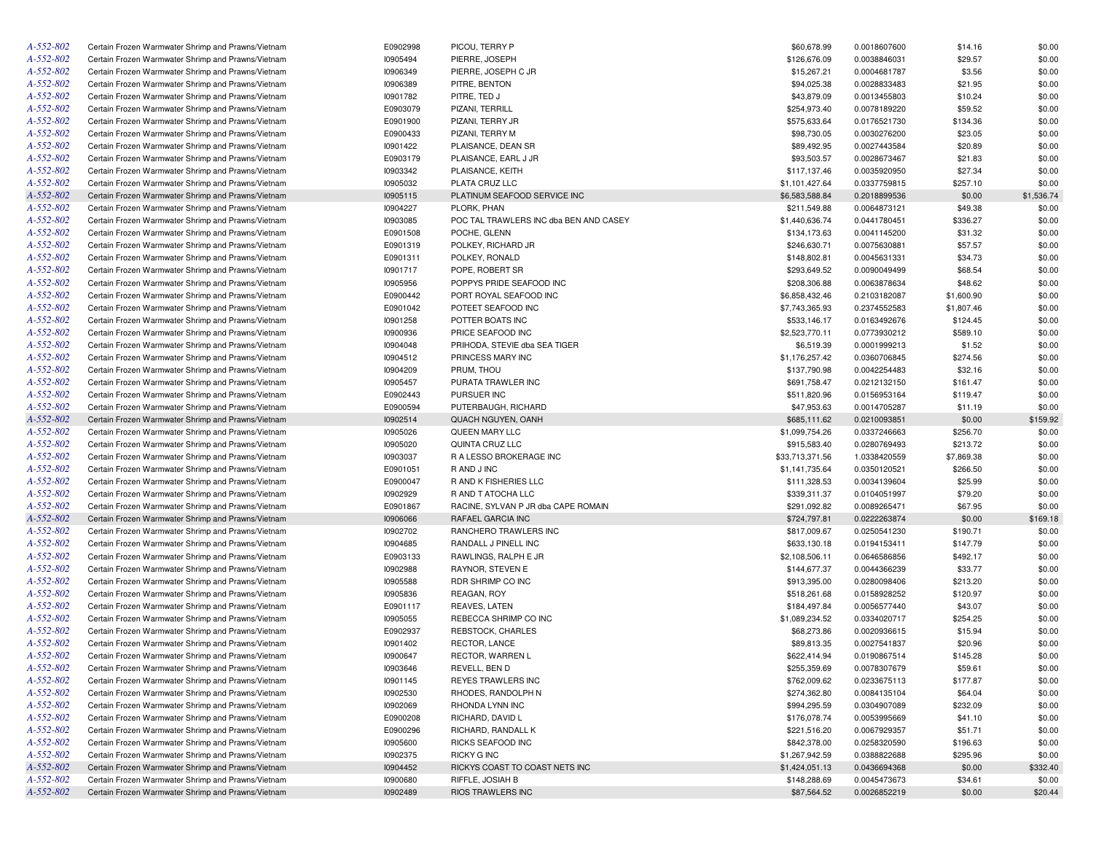| A-552-802       | Certain Frozen Warmwater Shrimp and Prawns/Vietnam | E0902998        | PICOU, TERRY P                         | \$60,678.99     | 0.0018607600 | \$14.16    | \$0.00     |
|-----------------|----------------------------------------------------|-----------------|----------------------------------------|-----------------|--------------|------------|------------|
| A-552-802       | Certain Frozen Warmwater Shrimp and Prawns/Vietnam | 10905494        | PIERRE, JOSEPH                         | \$126,676.09    | 0.0038846031 | \$29.57    | \$0.00     |
| A-552-802       | Certain Frozen Warmwater Shrimp and Prawns/Vietnam | 10906349        | PIERRE, JOSEPH C JR                    | \$15,267.21     | 0.0004681787 | \$3.56     | \$0.00     |
| A-552-802       | Certain Frozen Warmwater Shrimp and Prawns/Vietnam | 10906389        | PITRE, BENTON                          | \$94,025.38     | 0.0028833483 | \$21.95    | \$0.00     |
| A-552-802       | Certain Frozen Warmwater Shrimp and Prawns/Vietnam | 10901782        | PITRE, TED J                           | \$43,879.09     | 0.0013455803 | \$10.24    | \$0.00     |
| A-552-802       | Certain Frozen Warmwater Shrimp and Prawns/Vietnam | E0903079        | PIZANI, TERRILL                        | \$254,973.40    | 0.0078189220 | \$59.52    | \$0.00     |
| $A - 552 - 802$ | Certain Frozen Warmwater Shrimp and Prawns/Vietnam | E0901900        | PIZANI, TERRY JR                       | \$575,633.64    | 0.0176521730 | \$134.36   | \$0.00     |
| A-552-802       | Certain Frozen Warmwater Shrimp and Prawns/Vietnam | E0900433        | PIZANI, TERRY M                        | \$98,730.05     | 0.0030276200 | \$23.05    | \$0.00     |
| A-552-802       | Certain Frozen Warmwater Shrimp and Prawns/Vietnam | 10901422        | PLAISANCE, DEAN SR                     | \$89,492.95     | 0.0027443584 | \$20.89    | \$0.00     |
| A-552-802       | Certain Frozen Warmwater Shrimp and Prawns/Vietnam | E0903179        | PLAISANCE, EARL J JR                   | \$93,503.57     | 0.0028673467 | \$21.83    | \$0.00     |
| A-552-802       | Certain Frozen Warmwater Shrimp and Prawns/Vietnam | 10903342        | PLAISANCE, KEITH                       | \$117,137.46    | 0.0035920950 | \$27.34    | \$0.00     |
| A-552-802       | Certain Frozen Warmwater Shrimp and Prawns/Vietnam | 10905032        | PLATA CRUZ LLC                         | \$1,101,427.64  | 0.0337759815 | \$257.10   | \$0.00     |
| A-552-802       | Certain Frozen Warmwater Shrimp and Prawns/Vietnam | 10905115        | PLATINUM SEAFOOD SERVICE INC           | \$6,583,588,84  | 0.2018899536 | \$0.00     | \$1,536.74 |
| A-552-802       | Certain Frozen Warmwater Shrimp and Prawns/Vietnam | 10904227        | PLORK, PHAN                            | \$211,549.88    | 0.0064873121 | \$49.38    | \$0.00     |
| A-552-802       | Certain Frozen Warmwater Shrimp and Prawns/Vietnam | 10903085        | POC TAL TRAWLERS INC dba BEN AND CASEY | \$1,440,636.74  | 0.0441780451 | \$336.27   | \$0.00     |
| A-552-802       |                                                    |                 |                                        |                 |              |            |            |
| A-552-802       | Certain Frozen Warmwater Shrimp and Prawns/Vietnam | E0901508        | POCHE, GLENN                           | \$134,173.63    | 0.0041145200 | \$31.32    | \$0.00     |
|                 | Certain Frozen Warmwater Shrimp and Prawns/Vietnam | E0901319        | POLKEY, RICHARD JR                     | \$246,630.71    | 0.0075630881 | \$57.57    | \$0.00     |
| A-552-802       | Certain Frozen Warmwater Shrimp and Prawns/Vietnam | E0901311        | POLKEY, RONALD                         | \$148,802.81    | 0.0045631331 | \$34.73    | \$0.00     |
| A-552-802       | Certain Frozen Warmwater Shrimp and Prawns/Vietnam | 10901717        | POPE, ROBERT SR                        | \$293,649.52    | 0.0090049499 | \$68.54    | \$0.00     |
| A-552-802       | Certain Frozen Warmwater Shrimp and Prawns/Vietnam | 10905956        | POPPYS PRIDE SEAFOOD INC               | \$208,306.88    | 0.0063878634 | \$48.62    | \$0.00     |
| A-552-802       | Certain Frozen Warmwater Shrimp and Prawns/Vietnam | E0900442        | PORT ROYAL SEAFOOD INC                 | \$6,858,432.46  | 0.2103182087 | \$1,600.90 | \$0.00     |
| A-552-802       | Certain Frozen Warmwater Shrimp and Prawns/Vietnam | E0901042        | POTEET SEAFOOD INC                     | \$7,743,365.93  | 0.2374552583 | \$1,807.46 | \$0.00     |
| A-552-802       | Certain Frozen Warmwater Shrimp and Prawns/Vietnam | 10901258        | POTTER BOATS INC                       | \$533,146.17    | 0.0163492676 | \$124.45   | \$0.00     |
| A-552-802       | Certain Frozen Warmwater Shrimp and Prawns/Vietnam | 10900936        | PRICE SEAFOOD INC                      | \$2,523,770.11  | 0.0773930212 | \$589.10   | \$0.00     |
| A-552-802       | Certain Frozen Warmwater Shrimp and Prawns/Vietnam | 10904048        | PRIHODA, STEVIE dba SEA TIGER          | \$6,519.39      | 0.0001999213 | \$1.52     | \$0.00     |
| A-552-802       | Certain Frozen Warmwater Shrimp and Prawns/Vietnam | 10904512        | PRINCESS MARY INC                      | \$1,176,257.42  | 0.0360706845 | \$274.56   | \$0.00     |
| A-552-802       | Certain Frozen Warmwater Shrimp and Prawns/Vietnam | 10904209        | PRUM, THOU                             | \$137,790.98    | 0.0042254483 | \$32.16    | \$0.00     |
| A-552-802       | Certain Frozen Warmwater Shrimp and Prawns/Vietnam | 10905457        | PURATA TRAWLER INC                     | \$691,758.47    | 0.0212132150 | \$161.47   | \$0.00     |
| A-552-802       | Certain Frozen Warmwater Shrimp and Prawns/Vietnam | E0902443        | PURSUER INC                            | \$511,820.96    | 0.0156953164 | \$119.47   | \$0.00     |
| A-552-802       | Certain Frozen Warmwater Shrimp and Prawns/Vietnam | E0900594        | PUTERBAUGH, RICHARD                    | \$47,953.63     | 0.0014705287 | \$11.19    | \$0.00     |
| A-552-802       | Certain Frozen Warmwater Shrimp and Prawns/Vietnam | 10902514        | <b>QUACH NGUYEN, OANH</b>              | \$685,111.62    | 0.0210093851 | \$0.00     | \$159.92   |
| A-552-802       | Certain Frozen Warmwater Shrimp and Prawns/Vietnam | 10905026        | QUEEN MARY LLC                         | \$1,099,754.26  | 0.0337246663 | \$256.70   | \$0.00     |
| A-552-802       | Certain Frozen Warmwater Shrimp and Prawns/Vietnam | 10905020        | QUINTA CRUZ LLC                        | \$915,583.40    | 0.0280769493 | \$213.72   | \$0.00     |
| A-552-802       | Certain Frozen Warmwater Shrimp and Prawns/Vietnam | 10903037        | R A LESSO BROKERAGE INC                | \$33,713,371.56 | 1.0338420559 | \$7,869.38 | \$0.00     |
| A-552-802       | Certain Frozen Warmwater Shrimp and Prawns/Vietnam | E0901051        | R AND J INC                            | \$1,141,735.64  | 0.0350120521 | \$266.50   | \$0.00     |
| A-552-802       | Certain Frozen Warmwater Shrimp and Prawns/Vietnam | E0900047        | R AND K FISHERIES LLC                  | \$111,328.53    | 0.0034139604 | \$25.99    | \$0.00     |
| A-552-802       | Certain Frozen Warmwater Shrimp and Prawns/Vietnam | 10902929        | R AND T ATOCHA LLC                     | \$339,311.37    | 0.0104051997 | \$79.20    | \$0.00     |
| A-552-802       | Certain Frozen Warmwater Shrimp and Prawns/Vietnam | E0901867        | RACINE, SYLVAN P JR dba CAPE ROMAIN    | \$291,092.82    | 0.0089265471 | \$67.95    | \$0.00     |
| A-552-802       | Certain Frozen Warmwater Shrimp and Prawns/Vietnam | 10906066        | RAFAEL GARCIA INC                      | \$724,797.81    | 0.0222263874 | \$0.00     | \$169.18   |
| A-552-802       | Certain Frozen Warmwater Shrimp and Prawns/Vietnam | 10902702        | RANCHERO TRAWLERS INC                  | \$817,009.67    | 0.0250541230 | \$190.71   | \$0.00     |
| A-552-802       | Certain Frozen Warmwater Shrimp and Prawns/Vietnam | 10904685        | RANDALL J PINELL INC                   | \$633,130.18    | 0.0194153411 | \$147.79   | \$0.00     |
| A-552-802       | Certain Frozen Warmwater Shrimp and Prawns/Vietnam | E0903133        | RAWLINGS, RALPH E JR                   | \$2,108,506.11  | 0.0646586856 | \$492.17   | \$0.00     |
| A-552-802       | Certain Frozen Warmwater Shrimp and Prawns/Vietnam | 10902988        | RAYNOR, STEVEN E                       | \$144,677.37    | 0.0044366239 | \$33.77    | \$0.00     |
| A-552-802       |                                                    |                 |                                        |                 |              |            |            |
|                 | Certain Frozen Warmwater Shrimp and Prawns/Vietnam | 10905588        | RDR SHRIMP CO INC                      | \$913,395.00    | 0.0280098406 | \$213.20   | \$0.00     |
| A-552-802       | Certain Frozen Warmwater Shrimp and Prawns/Vietnam | 10905836        | REAGAN, ROY                            | \$518,261.68    | 0.0158928252 | \$120.97   | \$0.00     |
| A-552-802       | Certain Frozen Warmwater Shrimp and Prawns/Vietnam | E0901117        | <b>REAVES, LATEN</b>                   | \$184,497.84    | 0.0056577440 | \$43.07    | \$0.00     |
| A-552-802       | Certain Frozen Warmwater Shrimp and Prawns/Vietnam | <b>I0905055</b> | REBECCA SHRIMP CO INC                  | \$1,089,234.52  | 0.0334020717 | \$254.25   | \$0.00     |
| A-552-802       | Certain Frozen Warmwater Shrimp and Prawns/Vietnam | E0902937        | <b>REBSTOCK, CHARLES</b>               | \$68,273.86     | 0.0020936615 | \$15.94    | \$0.00     |
| A-552-802       | Certain Frozen Warmwater Shrimp and Prawns/Vietnam | 10901402        | <b>RECTOR, LANCE</b>                   | \$89,813.35     | 0.0027541837 | \$20.96    | \$0.00     |
| A-552-802       | Certain Frozen Warmwater Shrimp and Prawns/Vietnam | 10900647        | RECTOR, WARREN L                       | \$622.414.94    | 0.0190867514 | \$145.28   | \$0.00     |
| A-552-802       | Certain Frozen Warmwater Shrimp and Prawns/Vietnam | 10903646        | REVELL, BEN D                          | \$255,359.69    | 0.0078307679 | \$59.61    | \$0.00     |
| A-552-802       | Certain Frozen Warmwater Shrimp and Prawns/Vietnam | 10901145        | REYES TRAWLERS INC                     | \$762,009.62    | 0.0233675113 | \$177.87   | \$0.00     |
| A-552-802       | Certain Frozen Warmwater Shrimp and Prawns/Vietnam | 10902530        | RHODES, RANDOLPH N                     | \$274,362.80    | 0.0084135104 | \$64.04    | \$0.00     |
| A-552-802       | Certain Frozen Warmwater Shrimp and Prawns/Vietnam | 10902069        | RHONDA LYNN INC                        | \$994,295.59    | 0.0304907089 | \$232.09   | \$0.00     |
| A-552-802       | Certain Frozen Warmwater Shrimp and Prawns/Vietnam | E0900208        | RICHARD, DAVID L                       | \$176,078.74    | 0.0053995669 | \$41.10    | \$0.00     |
| A-552-802       | Certain Frozen Warmwater Shrimp and Prawns/Vietnam | E0900296        | RICHARD, RANDALL K                     | \$221,516.20    | 0.0067929357 | \$51.71    | \$0.00     |
| A-552-802       | Certain Frozen Warmwater Shrimp and Prawns/Vietnam | 10905600        | RICKS SEAFOOD INC                      | \$842,378.00    | 0.0258320590 | \$196.63   | \$0.00     |
| A-552-802       | Certain Frozen Warmwater Shrimp and Prawns/Vietnam | 10902375        | <b>RICKY G INC</b>                     | \$1,267,942.59  | 0.0388822688 | \$295.96   | \$0.00     |
| A-552-802       | Certain Frozen Warmwater Shrimp and Prawns/Vietnam | 10904452        | RICKYS COAST TO COAST NETS INC         | \$1,424,051.13  | 0.0436694368 | \$0.00     | \$332.40   |
| A-552-802       | Certain Frozen Warmwater Shrimp and Prawns/Vietnam | 10900680        | RIFFLE, JOSIAH B                       | \$148,288.69    | 0.0045473673 | \$34.61    | \$0.00     |
| A-552-802       | Certain Frozen Warmwater Shrimp and Prawns/Vietnam | 10902489        | <b>RIOS TRAWLERS INC</b>               | \$87,564.52     | 0.0026852219 | \$0.00     | \$20.44    |
|                 |                                                    |                 |                                        |                 |              |            |            |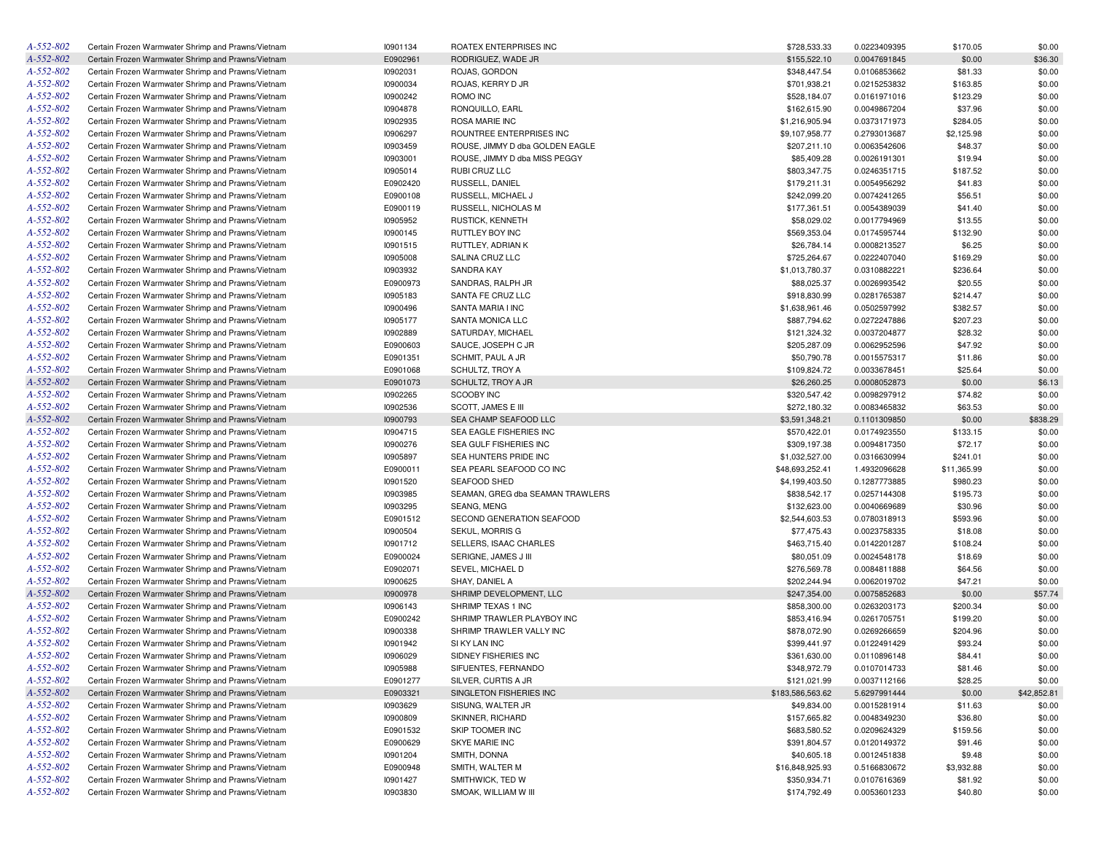| A-552-802 | Certain Frozen Warmwater Shrimp and Prawns/Vietnam | 10901134 | ROATEX ENTERPRISES INC           | \$728,533.33     | 0.0223409395 | \$170.05    | \$0.00      |
|-----------|----------------------------------------------------|----------|----------------------------------|------------------|--------------|-------------|-------------|
| A-552-802 | Certain Frozen Warmwater Shrimp and Prawns/Vietnam | E0902961 | RODRIGUEZ, WADE JR               | \$155,522.10     | 0.0047691845 | \$0.00      | \$36.30     |
| A-552-802 | Certain Frozen Warmwater Shrimp and Prawns/Vietnam | 10902031 | ROJAS, GORDON                    | \$348,447.54     | 0.0106853662 | \$81.33     | \$0.00      |
| A-552-802 | Certain Frozen Warmwater Shrimp and Prawns/Vietnam | 10900034 | ROJAS, KERRY D JR                | \$701,938.21     | 0.0215253832 | \$163.85    | \$0.00      |
| A-552-802 | Certain Frozen Warmwater Shrimp and Prawns/Vietnam | 10900242 | ROMO INC                         | \$528,184.07     | 0.0161971016 | \$123.29    | \$0.00      |
| A-552-802 | Certain Frozen Warmwater Shrimp and Prawns/Vietnam | 10904878 | RONQUILLO, EARL                  | \$162,615.90     | 0.0049867204 | \$37.96     | \$0.00      |
| A-552-802 | Certain Frozen Warmwater Shrimp and Prawns/Vietnam | 10902935 | ROSA MARIE INC                   | \$1,216,905.94   | 0.0373171973 | \$284.05    | \$0.00      |
| A-552-802 | Certain Frozen Warmwater Shrimp and Prawns/Vietnam | 10906297 | ROUNTREE ENTERPRISES INC         | \$9,107,958.77   | 0.2793013687 | \$2,125.98  | \$0.00      |
| A-552-802 | Certain Frozen Warmwater Shrimp and Prawns/Vietnam | 10903459 | ROUSE, JIMMY D dba GOLDEN EAGLE  | \$207,211.10     | 0.0063542606 | \$48.37     | \$0.00      |
| A-552-802 | Certain Frozen Warmwater Shrimp and Prawns/Vietnam | 10903001 | ROUSE, JIMMY D dba MISS PEGGY    | \$85,409.28      | 0.0026191301 | \$19.94     | \$0.00      |
| A-552-802 | Certain Frozen Warmwater Shrimp and Prawns/Vietnam | 10905014 | RUBI CRUZ LLC                    | \$803,347.75     | 0.0246351715 | \$187.52    | \$0.00      |
| A-552-802 | Certain Frozen Warmwater Shrimp and Prawns/Vietnam | E0902420 | RUSSELL, DANIEL                  | \$179,211.31     | 0.0054956292 | \$41.83     | \$0.00      |
| A-552-802 | Certain Frozen Warmwater Shrimp and Prawns/Vietnam | E0900108 | RUSSELL, MICHAEL J               | \$242,099.20     | 0.0074241265 | \$56.51     | \$0.00      |
| A-552-802 | Certain Frozen Warmwater Shrimp and Prawns/Vietnam | E0900119 | RUSSELL, NICHOLAS M              | \$177,361.51     | 0.0054389039 | \$41.40     | \$0.00      |
| A-552-802 | Certain Frozen Warmwater Shrimp and Prawns/Vietnam | 10905952 | RUSTICK, KENNETH                 | \$58,029.02      | 0.0017794969 | \$13.55     | \$0.00      |
| A-552-802 | Certain Frozen Warmwater Shrimp and Prawns/Vietnam | 10900145 | RUTTLEY BOY INC                  | \$569,353.04     | 0.0174595744 | \$132.90    | \$0.00      |
| A-552-802 | Certain Frozen Warmwater Shrimp and Prawns/Vietnam | 10901515 | RUTTLEY, ADRIAN K                | \$26,784.14      | 0.0008213527 | \$6.25      | \$0.00      |
| A-552-802 |                                                    |          |                                  |                  |              |             |             |
|           | Certain Frozen Warmwater Shrimp and Prawns/Vietnam | 10905008 | SALINA CRUZ LLC                  | \$725,264.67     | 0.0222407040 | \$169.29    | \$0.00      |
| A-552-802 | Certain Frozen Warmwater Shrimp and Prawns/Vietnam | 10903932 | <b>SANDRA KAY</b>                | \$1,013,780.37   | 0.0310882221 | \$236.64    | \$0.00      |
| A-552-802 | Certain Frozen Warmwater Shrimp and Prawns/Vietnam | E0900973 | SANDRAS, RALPH JR                | \$88,025.37      | 0.0026993542 | \$20.55     | \$0.00      |
| A-552-802 | Certain Frozen Warmwater Shrimp and Prawns/Vietnam | 10905183 | SANTA FE CRUZ LLC                | \$918,830.99     | 0.0281765387 | \$214.47    | \$0.00      |
| A-552-802 | Certain Frozen Warmwater Shrimp and Prawns/Vietnam | 10900496 | SANTA MARIA I INC                | \$1,638,961.46   | 0.0502597992 | \$382.57    | \$0.00      |
| A-552-802 | Certain Frozen Warmwater Shrimp and Prawns/Vietnam | 10905177 | SANTA MONICA LLC                 | \$887,794.62     | 0.0272247886 | \$207.23    | \$0.00      |
| A-552-802 | Certain Frozen Warmwater Shrimp and Prawns/Vietnam | 10902889 | SATURDAY, MICHAEL                | \$121,324.32     | 0.0037204877 | \$28.32     | \$0.00      |
| A-552-802 | Certain Frozen Warmwater Shrimp and Prawns/Vietnam | E0900603 | SAUCE, JOSEPH C JR               | \$205,287.09     | 0.0062952596 | \$47.92     | \$0.00      |
| A-552-802 | Certain Frozen Warmwater Shrimp and Prawns/Vietnam | E0901351 | SCHMIT, PAUL A JR                | \$50,790.78      | 0.0015575317 | \$11.86     | \$0.00      |
| A-552-802 | Certain Frozen Warmwater Shrimp and Prawns/Vietnam | E0901068 | SCHULTZ, TROY A                  | \$109,824.72     | 0.0033678451 | \$25.64     | \$0.00      |
| A-552-802 | Certain Frozen Warmwater Shrimp and Prawns/Vietnam | E0901073 | SCHULTZ, TROY A JR               | \$26,260.25      | 0.0008052873 | \$0.00      | \$6.13      |
| A-552-802 | Certain Frozen Warmwater Shrimp and Prawns/Vietnam | 10902265 | <b>SCOOBY INC</b>                | \$320,547.42     | 0.0098297912 | \$74.82     | \$0.00      |
| A-552-802 | Certain Frozen Warmwater Shrimp and Prawns/Vietnam | 10902536 | SCOTT, JAMES E III               | \$272,180.32     | 0.0083465832 | \$63.53     | \$0.00      |
| A-552-802 | Certain Frozen Warmwater Shrimp and Prawns/Vietnam | 10900793 | SEA CHAMP SEAFOOD LLC            | \$3,591,348.21   | 0.1101309850 | \$0.00      | \$838.29    |
| A-552-802 | Certain Frozen Warmwater Shrimp and Prawns/Vietnam | 10904715 | SEA EAGLE FISHERIES INC          | \$570,422.01     | 0.0174923550 | \$133.15    | \$0.00      |
| A-552-802 | Certain Frozen Warmwater Shrimp and Prawns/Vietnam | 10900276 | SEA GULF FISHERIES INC           | \$309,197.38     | 0.0094817350 | \$72.17     | \$0.00      |
| A-552-802 | Certain Frozen Warmwater Shrimp and Prawns/Vietnam | 10905897 | SEA HUNTERS PRIDE INC            | \$1,032,527.00   | 0.0316630994 | \$241.01    | \$0.00      |
| A-552-802 | Certain Frozen Warmwater Shrimp and Prawns/Vietnam | E0900011 | SEA PEARL SEAFOOD CO INC         | \$48,693,252.41  | 1.4932096628 | \$11,365.99 | \$0.00      |
| A-552-802 | Certain Frozen Warmwater Shrimp and Prawns/Vietnam | 10901520 | SEAFOOD SHED                     | \$4,199,403.50   | 0.1287773885 | \$980.23    | \$0.00      |
| A-552-802 | Certain Frozen Warmwater Shrimp and Prawns/Vietnam | 10903985 | SEAMAN, GREG dba SEAMAN TRAWLERS | \$838,542.17     | 0.0257144308 | \$195.73    | \$0.00      |
| A-552-802 | Certain Frozen Warmwater Shrimp and Prawns/Vietnam | 10903295 | SEANG, MENG                      | \$132,623.00     | 0.0040669689 | \$30.96     | \$0.00      |
| A-552-802 | Certain Frozen Warmwater Shrimp and Prawns/Vietnam | E0901512 | SECOND GENERATION SEAFOOD        | \$2,544,603.53   | 0.0780318913 | \$593.96    | \$0.00      |
| A-552-802 | Certain Frozen Warmwater Shrimp and Prawns/Vietnam | 10900504 | SEKUL, MORRIS G                  | \$77,475.43      | 0.0023758335 | \$18.08     | \$0.00      |
| A-552-802 | Certain Frozen Warmwater Shrimp and Prawns/Vietnam | 10901712 | SELLERS, ISAAC CHARLES           | \$463,715.40     | 0.0142201287 | \$108.24    | \$0.00      |
| A-552-802 |                                                    | E0900024 | SERIGNE, JAMES J III             |                  |              |             | \$0.00      |
|           | Certain Frozen Warmwater Shrimp and Prawns/Vietnam |          |                                  | \$80,051.09      | 0.0024548178 | \$18.69     |             |
| A-552-802 | Certain Frozen Warmwater Shrimp and Prawns/Vietnam | E0902071 | SEVEL, MICHAEL D                 | \$276,569.78     | 0.0084811888 | \$64.56     | \$0.00      |
| A-552-802 | Certain Frozen Warmwater Shrimp and Prawns/Vietnam | 10900625 | SHAY, DANIEL A                   | \$202,244.94     | 0.0062019702 | \$47.21     | \$0.00      |
| A-552-802 | Certain Frozen Warmwater Shrimp and Prawns/Vietnam | 10900978 | SHRIMP DEVELOPMENT, LLC          | \$247,354.00     | 0.0075852683 | \$0.00      | \$57.74     |
| A-552-802 | Certain Frozen Warmwater Shrimp and Prawns/Vietnam | 10906143 | SHRIMP TEXAS 1 INC               | \$858,300.00     | 0.0263203173 | \$200.34    | \$0.00      |
| A-552-802 | Certain Frozen Warmwater Shrimp and Prawns/Vietnam | E0900242 | SHRIMP TRAWLER PLAYBOY INC       | \$853,416.94     | 0.0261705751 | \$199.20    | \$0.00      |
| A-552-802 | Certain Frozen Warmwater Shrimp and Prawns/Vietnam | 10900338 | SHRIMP TRAWLER VALLY INC         | \$878,072.90     | 0.0269266659 | \$204.96    | \$0.00      |
| A-552-802 | Certain Frozen Warmwater Shrimp and Prawns/Vietnam | 10901942 | SI KY LAN INC                    | \$399,441.97     | 0.0122491429 | \$93.24     | \$0.00      |
| A-552-802 | Certain Frozen Warmwater Shrimp and Prawns/Vietnam | 10906029 | SIDNEY FISHERIES INC             | \$361,630.00     | 0.0110896148 | \$84.41     | \$0.00      |
| A-552-802 | Certain Frozen Warmwater Shrimp and Prawns/Vietnam | 10905988 | SIFUENTES, FERNANDO              | \$348,972.79     | 0.0107014733 | \$81.46     | \$0.00      |
| A-552-802 | Certain Frozen Warmwater Shrimp and Prawns/Vietnam | E0901277 | SILVER, CURTIS A JR              | \$121,021.99     | 0.0037112166 | \$28.25     | \$0.00      |
| A-552-802 | Certain Frozen Warmwater Shrimp and Prawns/Vietnam | E0903321 | SINGLETON FISHERIES INC          | \$183,586,563.62 | 5.6297991444 | \$0.00      | \$42,852.81 |
| A-552-802 | Certain Frozen Warmwater Shrimp and Prawns/Vietnam | 10903629 | SISUNG, WALTER JR                | \$49,834.00      | 0.0015281914 | \$11.63     | \$0.00      |
| A-552-802 | Certain Frozen Warmwater Shrimp and Prawns/Vietnam | 10900809 | SKINNER, RICHARD                 | \$157,665.82     | 0.0048349230 | \$36.80     | \$0.00      |
| A-552-802 | Certain Frozen Warmwater Shrimp and Prawns/Vietnam | E0901532 | SKIP TOOMER INC                  | \$683,580.52     | 0.0209624329 | \$159.56    | \$0.00      |
| A-552-802 | Certain Frozen Warmwater Shrimp and Prawns/Vietnam | E0900629 | SKYE MARIE INC                   | \$391,804.57     | 0.0120149372 | \$91.46     | \$0.00      |
| A-552-802 | Certain Frozen Warmwater Shrimp and Prawns/Vietnam | 10901204 | SMITH, DONNA                     | \$40,605.18      | 0.0012451838 | \$9.48      | \$0.00      |
| A-552-802 | Certain Frozen Warmwater Shrimp and Prawns/Vietnam | E0900948 | SMITH, WALTER M                  | \$16,848,925.93  | 0.5166830672 | \$3,932.88  | \$0.00      |
| A-552-802 | Certain Frozen Warmwater Shrimp and Prawns/Vietnam | 10901427 | SMITHWICK, TED W                 | \$350,934.71     | 0.0107616369 | \$81.92     | \$0.00      |
| A-552-802 | Certain Frozen Warmwater Shrimp and Prawns/Vietnam | 10903830 | SMOAK, WILLIAM W III             | \$174,792.49     | 0.0053601233 | \$40.80     | \$0.00      |
|           |                                                    |          |                                  |                  |              |             |             |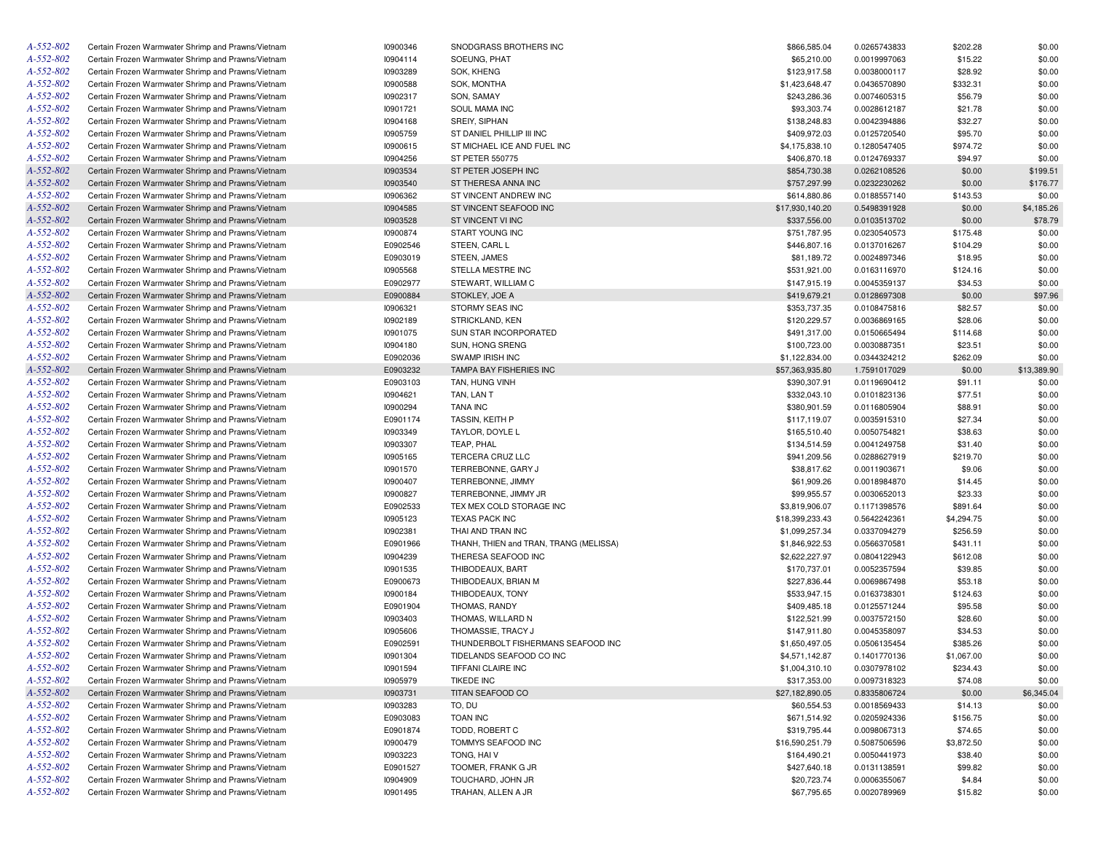| A-552-802 | Certain Frozen Warmwater Shrimp and Prawns/Vietnam | 10900346 | SNODGRASS BROTHERS INC                 | \$866,585.04    | 0.0265743833 | \$202.28   | \$0.00      |
|-----------|----------------------------------------------------|----------|----------------------------------------|-----------------|--------------|------------|-------------|
| A-552-802 | Certain Frozen Warmwater Shrimp and Prawns/Vietnam | 10904114 | SOEUNG, PHAT                           | \$65,210.00     | 0.0019997063 | \$15.22    | \$0.00      |
| A-552-802 | Certain Frozen Warmwater Shrimp and Prawns/Vietnam | 10903289 | SOK, KHENG                             | \$123,917.58    | 0.0038000117 | \$28.92    | \$0.00      |
| A-552-802 | Certain Frozen Warmwater Shrimp and Prawns/Vietnam | 10900588 | SOK, MONTHA                            | \$1,423,648.47  | 0.0436570890 | \$332.31   | \$0.00      |
| A-552-802 | Certain Frozen Warmwater Shrimp and Prawns/Vietnam | 10902317 | SON, SAMAY                             | \$243,286.36    | 0.0074605315 | \$56.79    | \$0.00      |
| A-552-802 | Certain Frozen Warmwater Shrimp and Prawns/Vietnam | 10901721 | SOUL MAMA INC                          | \$93,303.74     | 0.0028612187 | \$21.78    | \$0.00      |
| A-552-802 | Certain Frozen Warmwater Shrimp and Prawns/Vietnam | 10904168 | SREIY, SIPHAN                          | \$138,248.83    | 0.0042394886 | \$32.27    | \$0.00      |
| A-552-802 | Certain Frozen Warmwater Shrimp and Prawns/Vietnam | 10905759 | ST DANIEL PHILLIP III INC              | \$409,972.03    | 0.0125720540 | \$95.70    | \$0.00      |
| A-552-802 | Certain Frozen Warmwater Shrimp and Prawns/Vietnam | 10900615 | ST MICHAEL ICE AND FUEL INC            | \$4,175,838.10  | 0.1280547405 | \$974.72   | \$0.00      |
| A-552-802 | Certain Frozen Warmwater Shrimp and Prawns/Vietnam | 10904256 | <b>ST PETER 550775</b>                 | \$406,870.18    | 0.0124769337 | \$94.97    | \$0.00      |
| A-552-802 | Certain Frozen Warmwater Shrimp and Prawns/Vietnam | 10903534 | ST PETER JOSEPH INC                    | \$854,730.38    | 0.0262108526 | \$0.00     | \$199.51    |
| A-552-802 | Certain Frozen Warmwater Shrimp and Prawns/Vietnam | 10903540 | ST THERESA ANNA INC                    | \$757,297.99    | 0.0232230262 | \$0.00     | \$176.77    |
| A-552-802 | Certain Frozen Warmwater Shrimp and Prawns/Vietnam | 10906362 | ST VINCENT ANDREW INC                  | \$614,880.86    | 0.0188557140 | \$143.53   | \$0.00      |
| A-552-802 | Certain Frozen Warmwater Shrimp and Prawns/Vietnam | 10904585 | ST VINCENT SEAFOOD INC                 | \$17,930,140.20 | 0.5498391928 | \$0.00     | \$4,185.26  |
| A-552-802 | Certain Frozen Warmwater Shrimp and Prawns/Vietnam | 10903528 | ST VINCENT VI INC                      | \$337,556.00    | 0.0103513702 | \$0.00     | \$78.79     |
| A-552-802 | Certain Frozen Warmwater Shrimp and Prawns/Vietnam | 10900874 | START YOUNG INC                        | \$751,787.95    | 0.0230540573 | \$175.48   | \$0.00      |
| A-552-802 |                                                    |          |                                        |                 |              |            |             |
|           | Certain Frozen Warmwater Shrimp and Prawns/Vietnam | E0902546 | STEEN, CARL L                          | \$446,807.16    | 0.0137016267 | \$104.29   | \$0.00      |
| A-552-802 | Certain Frozen Warmwater Shrimp and Prawns/Vietnam | E0903019 | STEEN, JAMES                           | \$81,189.72     | 0.0024897346 | \$18.95    | \$0.00      |
| A-552-802 | Certain Frozen Warmwater Shrimp and Prawns/Vietnam | 10905568 | STELLA MESTRE INC                      | \$531,921.00    | 0.0163116970 | \$124.16   | \$0.00      |
| A-552-802 | Certain Frozen Warmwater Shrimp and Prawns/Vietnam | E0902977 | STEWART, WILLIAM C                     | \$147,915.19    | 0.0045359137 | \$34.53    | \$0.00      |
| A-552-802 | Certain Frozen Warmwater Shrimp and Prawns/Vietnam | E0900884 | STOKLEY, JOE A                         | \$419,679.21    | 0.0128697308 | \$0.00     | \$97.96     |
| A-552-802 | Certain Frozen Warmwater Shrimp and Prawns/Vietnam | 10906321 | STORMY SEAS INC                        | \$353,737.35    | 0.0108475816 | \$82.57    | \$0.00      |
| A-552-802 | Certain Frozen Warmwater Shrimp and Prawns/Vietnam | 10902189 | STRICKLAND, KEN                        | \$120,229.57    | 0.0036869165 | \$28.06    | \$0.00      |
| A-552-802 | Certain Frozen Warmwater Shrimp and Prawns/Vietnam | 10901075 | SUN STAR INCORPORATED                  | \$491,317.00    | 0.0150665494 | \$114.68   | \$0.00      |
| A-552-802 | Certain Frozen Warmwater Shrimp and Prawns/Vietnam | 10904180 | SUN, HONG SRENG                        | \$100,723.00    | 0.0030887351 | \$23.51    | \$0.00      |
| A-552-802 | Certain Frozen Warmwater Shrimp and Prawns/Vietnam | E0902036 | SWAMP IRISH INC                        | \$1,122,834.00  | 0.0344324212 | \$262.09   | \$0.00      |
| A-552-802 | Certain Frozen Warmwater Shrimp and Prawns/Vietnam | E0903232 | TAMPA BAY FISHERIES INC                | \$57,363,935.80 | 1.7591017029 | \$0.00     | \$13,389.90 |
| A-552-802 | Certain Frozen Warmwater Shrimp and Prawns/Vietnam | E0903103 | TAN, HUNG VINH                         | \$390,307.91    | 0.0119690412 | \$91.11    | \$0.00      |
| A-552-802 | Certain Frozen Warmwater Shrimp and Prawns/Vietnam | 10904621 | TAN, LAN T                             | \$332,043.10    | 0.0101823136 | \$77.51    | \$0.00      |
| A-552-802 | Certain Frozen Warmwater Shrimp and Prawns/Vietnam | 10900294 | <b>TANA INC</b>                        | \$380,901.59    | 0.0116805904 | \$88.91    | \$0.00      |
| A-552-802 | Certain Frozen Warmwater Shrimp and Prawns/Vietnam | E0901174 | TASSIN, KEITH P                        | \$117,119.07    | 0.0035915310 | \$27.34    | \$0.00      |
| A-552-802 | Certain Frozen Warmwater Shrimp and Prawns/Vietnam | 10903349 | TAYLOR, DOYLE L                        | \$165,510.40    | 0.0050754821 | \$38.63    | \$0.00      |
| A-552-802 | Certain Frozen Warmwater Shrimp and Prawns/Vietnam | 10903307 | TEAP, PHAL                             | \$134,514.59    | 0.0041249758 | \$31.40    | \$0.00      |
| A-552-802 | Certain Frozen Warmwater Shrimp and Prawns/Vietnam | 10905165 | TERCERA CRUZ LLC                       | \$941,209.56    | 0.0288627919 | \$219.70   | \$0.00      |
| A-552-802 | Certain Frozen Warmwater Shrimp and Prawns/Vietnam | 10901570 | TERREBONNE, GARY J                     | \$38,817.62     | 0.0011903671 | \$9.06     | \$0.00      |
| A-552-802 | Certain Frozen Warmwater Shrimp and Prawns/Vietnam | 10900407 | TERREBONNE, JIMMY                      | \$61,909.26     | 0.0018984870 | \$14.45    | \$0.00      |
| A-552-802 | Certain Frozen Warmwater Shrimp and Prawns/Vietnam | 10900827 | TERREBONNE, JIMMY JR                   | \$99,955.57     | 0.0030652013 | \$23.33    | \$0.00      |
| A-552-802 | Certain Frozen Warmwater Shrimp and Prawns/Vietnam | E0902533 | TEX MEX COLD STORAGE INC               | \$3,819,906.07  | 0.1171398576 | \$891.64   | \$0.00      |
| A-552-802 | Certain Frozen Warmwater Shrimp and Prawns/Vietnam | 10905123 | <b>TEXAS PACK INC</b>                  | \$18,399,233.43 | 0.5642242361 | \$4,294.75 | \$0.00      |
| A-552-802 | Certain Frozen Warmwater Shrimp and Prawns/Vietnam | 10902381 | THAI AND TRAN INC                      | \$1,099,257.34  | 0.0337094279 | \$256.59   | \$0.00      |
| A-552-802 | Certain Frozen Warmwater Shrimp and Prawns/Vietnam | E0901966 | THANH, THIEN and TRAN, TRANG (MELISSA) | \$1,846,922.53  | 0.0566370581 | \$431.11   | \$0.00      |
| A-552-802 | Certain Frozen Warmwater Shrimp and Prawns/Vietnam | 10904239 | THERESA SEAFOOD INC                    | \$2,622,227.97  |              | \$612.08   | \$0.00      |
| A-552-802 |                                                    |          |                                        |                 | 0.0804122943 |            |             |
|           | Certain Frozen Warmwater Shrimp and Prawns/Vietnam | 10901535 | THIBODEAUX, BART                       | \$170,737.01    | 0.0052357594 | \$39.85    | \$0.00      |
| A-552-802 | Certain Frozen Warmwater Shrimp and Prawns/Vietnam | E0900673 | THIBODEAUX, BRIAN M                    | \$227,836.44    | 0.0069867498 | \$53.18    | \$0.00      |
| A-552-802 | Certain Frozen Warmwater Shrimp and Prawns/Vietnam | 10900184 | THIBODEAUX, TONY                       | \$533,947.15    | 0.0163738301 | \$124.63   | \$0.00      |
| A-552-802 | Certain Frozen Warmwater Shrimp and Prawns/Vietnam | E0901904 | THOMAS, RANDY                          | \$409,485.18    | 0.0125571244 | \$95.58    | \$0.00      |
| A-552-802 | Certain Frozen Warmwater Shrimp and Prawns/Vietnam | 10903403 | THOMAS, WILLARD N                      | \$122,521.99    | 0.0037572150 | \$28.60    | \$0.00      |
| A-552-802 | Certain Frozen Warmwater Shrimp and Prawns/Vietnam | 10905606 | THOMASSIE, TRACY J                     | \$147,911.80    | 0.0045358097 | \$34.53    | \$0.00      |
| A-552-802 | Certain Frozen Warmwater Shrimp and Prawns/Vietnam | E0902591 | THUNDERBOLT FISHERMANS SEAFOOD INC     | \$1,650,497.05  | 0.0506135454 | \$385.26   | \$0.00      |
| A-552-802 | Certain Frozen Warmwater Shrimp and Prawns/Vietnam | 10901304 | TIDELANDS SEAFOOD CO INC               | \$4,571,142.87  | 0.1401770136 | \$1,067.00 | \$0.00      |
| A-552-802 | Certain Frozen Warmwater Shrimp and Prawns/Vietnam | 10901594 | TIFFANI CLAIRE INC                     | \$1,004,310.10  | 0.0307978102 | \$234.43   | \$0.00      |
| A-552-802 | Certain Frozen Warmwater Shrimp and Prawns/Vietnam | 10905979 | <b>TIKEDE INC</b>                      | \$317,353.00    | 0.0097318323 | \$74.08    | \$0.00      |
| A-552-802 | Certain Frozen Warmwater Shrimp and Prawns/Vietnam | 10903731 | TITAN SEAFOOD CO                       | \$27,182,890.05 | 0.8335806724 | \$0.00     | \$6,345.04  |
| A-552-802 | Certain Frozen Warmwater Shrimp and Prawns/Vietnam | 10903283 | to, du                                 | \$60,554.53     | 0.0018569433 | \$14.13    | \$0.00      |
| A-552-802 | Certain Frozen Warmwater Shrimp and Prawns/Vietnam | E0903083 | <b>TOAN INC</b>                        | \$671,514.92    | 0.0205924336 | \$156.75   | \$0.00      |
| A-552-802 | Certain Frozen Warmwater Shrimp and Prawns/Vietnam | E0901874 | TODD, ROBERT C                         | \$319,795.44    | 0.0098067313 | \$74.65    | \$0.00      |
| A-552-802 | Certain Frozen Warmwater Shrimp and Prawns/Vietnam | 10900479 | TOMMYS SEAFOOD INC                     | \$16,590,251.79 | 0.5087506596 | \$3,872.50 | \$0.00      |
| A-552-802 | Certain Frozen Warmwater Shrimp and Prawns/Vietnam | 10903223 | TONG, HAIV                             | \$164,490.21    | 0.0050441973 | \$38.40    | \$0.00      |
| A-552-802 | Certain Frozen Warmwater Shrimp and Prawns/Vietnam | E0901527 | TOOMER, FRANK G JR                     | \$427,640.18    | 0.0131138591 | \$99.82    | \$0.00      |
| A-552-802 | Certain Frozen Warmwater Shrimp and Prawns/Vietnam | 10904909 | TOUCHARD, JOHN JR                      | \$20,723.74     | 0.0006355067 | \$4.84     | \$0.00      |
| A-552-802 | Certain Frozen Warmwater Shrimp and Prawns/Vietnam | 10901495 | TRAHAN, ALLEN A JR                     | \$67,795.65     | 0.0020789969 | \$15.82    | \$0.00      |
|           |                                                    |          |                                        |                 |              |            |             |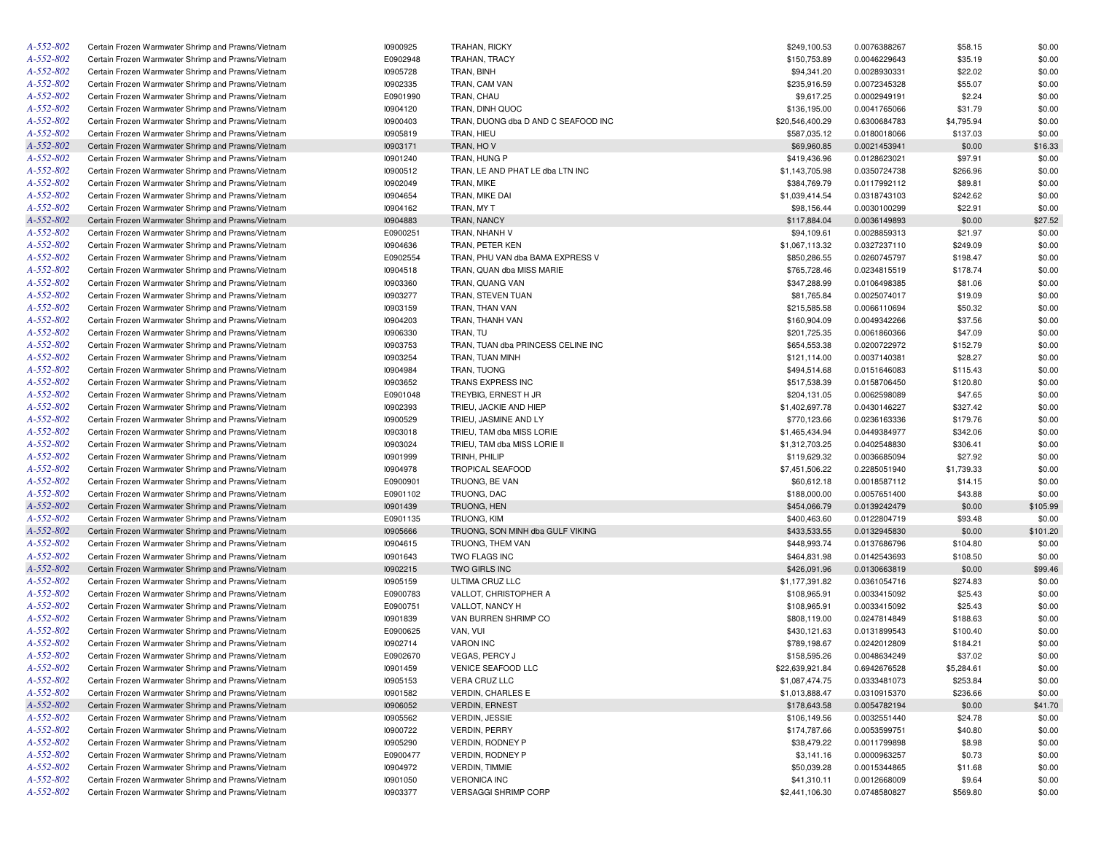| A-552-802       | Certain Frozen Warmwater Shrimp and Prawns/Vietnam | 10900925 | <b>TRAHAN, RICKY</b>                | \$249,100.53    | 0.0076388267 | \$58.15    | \$0.00   |
|-----------------|----------------------------------------------------|----------|-------------------------------------|-----------------|--------------|------------|----------|
| A-552-802       | Certain Frozen Warmwater Shrimp and Prawns/Vietnam | E0902948 | TRAHAN, TRACY                       | \$150,753.89    | 0.0046229643 | \$35.19    | \$0.00   |
| A-552-802       | Certain Frozen Warmwater Shrimp and Prawns/Vietnam | 10905728 | TRAN, BINH                          | \$94,341.20     | 0.0028930331 | \$22.02    | \$0.00   |
| A-552-802       | Certain Frozen Warmwater Shrimp and Prawns/Vietnam | 10902335 | TRAN, CAM VAN                       | \$235,916.59    | 0.0072345328 | \$55.07    | \$0.00   |
| A-552-802       | Certain Frozen Warmwater Shrimp and Prawns/Vietnam | E0901990 | TRAN, CHAU                          | \$9,617.25      | 0.0002949191 | \$2.24     | \$0.00   |
| A-552-802       | Certain Frozen Warmwater Shrimp and Prawns/Vietnam | 10904120 | TRAN, DINH QUOC                     | \$136,195.00    | 0.0041765066 | \$31.79    | \$0.00   |
| A-552-802       | Certain Frozen Warmwater Shrimp and Prawns/Vietnam | 10900403 | TRAN, DUONG dba D AND C SEAFOOD INC | \$20,546,400.29 | 0.6300684783 | \$4,795.94 | \$0.00   |
| A-552-802       | Certain Frozen Warmwater Shrimp and Prawns/Vietnam | 10905819 | TRAN, HIEU                          | \$587,035.12    | 0.0180018066 | \$137.03   | \$0.00   |
| A-552-802       | Certain Frozen Warmwater Shrimp and Prawns/Vietnam | 10903171 | TRAN, HOV                           | \$69,960.85     | 0.0021453941 | \$0.00     | \$16.33  |
| A-552-802       | Certain Frozen Warmwater Shrimp and Prawns/Vietnam | 10901240 | TRAN, HUNG P                        | \$419,436.96    | 0.0128623021 | \$97.91    | \$0.00   |
| A-552-802       | Certain Frozen Warmwater Shrimp and Prawns/Vietnam | 10900512 | TRAN, LE AND PHAT LE dba LTN INC    | \$1,143,705.98  | 0.0350724738 | \$266.96   | \$0.00   |
| A-552-802       | Certain Frozen Warmwater Shrimp and Prawns/Vietnam | 10902049 | TRAN, MIKE                          | \$384,769.79    | 0.0117992112 | \$89.81    | \$0.00   |
| A-552-802       | Certain Frozen Warmwater Shrimp and Prawns/Vietnam | 10904654 | TRAN, MIKE DAI                      | \$1,039,414.54  | 0.0318743103 | \$242.62   | \$0.00   |
| A-552-802       | Certain Frozen Warmwater Shrimp and Prawns/Vietnam | 10904162 | TRAN, MY T                          | \$98,156.44     | 0.0030100299 | \$22.91    | \$0.00   |
| A-552-802       | Certain Frozen Warmwater Shrimp and Prawns/Vietnam | 10904883 | TRAN, NANCY                         | \$117,884.04    | 0.0036149893 | \$0.00     | \$27.52  |
| A-552-802       | Certain Frozen Warmwater Shrimp and Prawns/Vietnam | E0900251 | TRAN, NHANH V                       | \$94,109.61     | 0.0028859313 | \$21.97    | \$0.00   |
| A-552-802       | Certain Frozen Warmwater Shrimp and Prawns/Vietnam | 10904636 | TRAN, PETER KEN                     | \$1,067,113.32  | 0.0327237110 | \$249.09   | \$0.00   |
| A-552-802       | Certain Frozen Warmwater Shrimp and Prawns/Vietnam | E0902554 | TRAN, PHU VAN dba BAMA EXPRESS V    | \$850,286.55    | 0.0260745797 | \$198.47   | \$0.00   |
| A-552-802       |                                                    | 10904518 |                                     |                 |              |            |          |
|                 | Certain Frozen Warmwater Shrimp and Prawns/Vietnam |          | TRAN, QUAN dba MISS MARIE           | \$765,728.46    | 0.0234815519 | \$178.74   | \$0.00   |
| A-552-802       | Certain Frozen Warmwater Shrimp and Prawns/Vietnam | 10903360 | TRAN, QUANG VAN                     | \$347,288.99    | 0.0106498385 | \$81.06    | \$0.00   |
| A-552-802       | Certain Frozen Warmwater Shrimp and Prawns/Vietnam | 10903277 | TRAN, STEVEN TUAN                   | \$81,765.84     | 0.0025074017 | \$19.09    | \$0.00   |
| A-552-802       | Certain Frozen Warmwater Shrimp and Prawns/Vietnam | 10903159 | TRAN, THAN VAN                      | \$215,585.58    | 0.0066110694 | \$50.32    | \$0.00   |
| A-552-802       | Certain Frozen Warmwater Shrimp and Prawns/Vietnam | 10904203 | TRAN, THANH VAN                     | \$160,904.09    | 0.0049342266 | \$37.56    | \$0.00   |
| A-552-802       | Certain Frozen Warmwater Shrimp and Prawns/Vietnam | 10906330 | TRAN, TU                            | \$201,725.35    | 0.0061860366 | \$47.09    | \$0.00   |
| A-552-802       | Certain Frozen Warmwater Shrimp and Prawns/Vietnam | 10903753 | TRAN, TUAN dba PRINCESS CELINE INC  | \$654,553.38    | 0.0200722972 | \$152.79   | \$0.00   |
| A-552-802       | Certain Frozen Warmwater Shrimp and Prawns/Vietnam | 10903254 | TRAN, TUAN MINH                     | \$121,114.00    | 0.0037140381 | \$28.27    | \$0.00   |
| A-552-802       | Certain Frozen Warmwater Shrimp and Prawns/Vietnam | 10904984 | TRAN, TUONG                         | \$494,514.68    | 0.0151646083 | \$115.43   | \$0.00   |
| A-552-802       | Certain Frozen Warmwater Shrimp and Prawns/Vietnam | 10903652 | TRANS EXPRESS INC                   | \$517,538.39    | 0.0158706450 | \$120.80   | \$0.00   |
| A-552-802       | Certain Frozen Warmwater Shrimp and Prawns/Vietnam | E0901048 | TREYBIG, ERNEST H JR                | \$204,131.05    | 0.0062598089 | \$47.65    | \$0.00   |
| A-552-802       | Certain Frozen Warmwater Shrimp and Prawns/Vietnam | 10902393 | TRIEU, JACKIE AND HIEP              | \$1,402,697.78  | 0.0430146227 | \$327.42   | \$0.00   |
| A-552-802       | Certain Frozen Warmwater Shrimp and Prawns/Vietnam | 10900529 | TRIEU, JASMINE AND LY               | \$770,123.66    | 0.0236163336 | \$179.76   | \$0.00   |
| A-552-802       | Certain Frozen Warmwater Shrimp and Prawns/Vietnam | 10903018 | TRIEU. TAM dba MISS LORIE           | \$1,465,434.94  | 0.0449384977 | \$342.06   | \$0.00   |
| A-552-802       | Certain Frozen Warmwater Shrimp and Prawns/Vietnam | 10903024 | TRIEU, TAM dba MISS LORIE II        | \$1,312,703.25  | 0.0402548830 | \$306.41   | \$0.00   |
| A-552-802       | Certain Frozen Warmwater Shrimp and Prawns/Vietnam | 10901999 | TRINH, PHILIP                       | \$119,629.32    | 0.0036685094 | \$27.92    | \$0.00   |
| A-552-802       | Certain Frozen Warmwater Shrimp and Prawns/Vietnam | 10904978 | <b>TROPICAL SEAFOOD</b>             | \$7,451,506.22  | 0.2285051940 | \$1,739.33 | \$0.00   |
| A-552-802       | Certain Frozen Warmwater Shrimp and Prawns/Vietnam | E0900901 | TRUONG, BE VAN                      | \$60,612.18     | 0.0018587112 | \$14.15    | \$0.00   |
| A-552-802       | Certain Frozen Warmwater Shrimp and Prawns/Vietnam | E0901102 | TRUONG, DAC                         | \$188,000.00    | 0.0057651400 | \$43.88    | \$0.00   |
| A-552-802       | Certain Frozen Warmwater Shrimp and Prawns/Vietnam | 10901439 | TRUONG, HEN                         | \$454,066.79    | 0.0139242479 | \$0.00     | \$105.99 |
| A-552-802       | Certain Frozen Warmwater Shrimp and Prawns/Vietnam | E0901135 | TRUONG, KIM                         | \$400,463.60    | 0.0122804719 | \$93.48    | \$0.00   |
| A-552-802       | Certain Frozen Warmwater Shrimp and Prawns/Vietnam | 10905666 | TRUONG, SON MINH dba GULF VIKING    | \$433,533.55    | 0.0132945830 | \$0.00     | \$101.20 |
| A-552-802       | Certain Frozen Warmwater Shrimp and Prawns/Vietnam | 10904615 | TRUONG, THEM VAN                    | \$448,993.74    | 0.0137686796 | \$104.80   | \$0.00   |
| A-552-802       | Certain Frozen Warmwater Shrimp and Prawns/Vietnam | 10901643 | TWO FLAGS INC                       | \$464,831.98    | 0.0142543693 | \$108.50   | \$0.00   |
| A-552-802       | Certain Frozen Warmwater Shrimp and Prawns/Vietnam | 10902215 | TWO GIRLS INC                       | \$426,091.96    | 0.0130663819 | \$0.00     | \$99.46  |
| A-552-802       | Certain Frozen Warmwater Shrimp and Prawns/Vietnam | 10905159 | ULTIMA CRUZ LLC                     | \$1,177,391.82  | 0.0361054716 | \$274.83   | \$0.00   |
| A-552-802       | Certain Frozen Warmwater Shrimp and Prawns/Vietnam | E0900783 | VALLOT, CHRISTOPHER A               | \$108,965.91    | 0.0033415092 | \$25.43    | \$0.00   |
| A-552-802       | Certain Frozen Warmwater Shrimp and Prawns/Vietnam | E0900751 | VALLOT, NANCY H                     | \$108,965.91    | 0.0033415092 | \$25.43    | \$0.00   |
| A-552-802       | Certain Frozen Warmwater Shrimp and Prawns/Vietnam | 10901839 | VAN BURREN SHRIMP CO                | \$808,119.00    | 0.0247814849 | \$188.63   | \$0.00   |
| A-552-802       | Certain Frozen Warmwater Shrimp and Prawns/Vietnam | E0900625 | VAN, VUI                            | \$430,121.63    | 0.0131899543 | \$100.40   | \$0.00   |
| A-552-802       | Certain Frozen Warmwater Shrimp and Prawns/Vietnam | 10902714 | <b>VARON INC</b>                    | \$789,198.67    | 0.0242012809 | \$184.21   | \$0.00   |
| $A - 552 - 802$ | Certain Frozen Warmwater Shrimp and Prawns/Vietnam | E0902670 | VEGAS, PERCY J                      | \$158,595.26    | 0.0048634249 | \$37.02    | \$0.00   |
| A-552-802       | Certain Frozen Warmwater Shrimp and Prawns/Vietnam | 10901459 | VENICE SEAFOOD LLC                  | \$22,639,921.84 | 0.6942676528 | \$5,284.61 | \$0.00   |
| A-552-802       | Certain Frozen Warmwater Shrimp and Prawns/Vietnam | 10905153 | VERA CRUZ LLC                       | \$1,087,474.75  | 0.0333481073 | \$253.84   | \$0.00   |
| A-552-802       |                                                    | 10901582 | VERDIN, CHARLES E                   |                 |              |            |          |
| A-552-802       | Certain Frozen Warmwater Shrimp and Prawns/Vietnam | 10906052 | <b>VERDIN, ERNEST</b>               | \$1,013,888.47  | 0.0310915370 | \$236.66   | \$0.00   |
|                 | Certain Frozen Warmwater Shrimp and Prawns/Vietnam |          |                                     | \$178,643.58    | 0.0054782194 | \$0.00     | \$41.70  |
| A-552-802       | Certain Frozen Warmwater Shrimp and Prawns/Vietnam | 10905562 | <b>VERDIN, JESSIE</b>               | \$106,149.56    | 0.0032551440 | \$24.78    | \$0.00   |
| A-552-802       | Certain Frozen Warmwater Shrimp and Prawns/Vietnam | 10900722 | VERDIN, PERRY                       | \$174,787.66    | 0.0053599751 | \$40.80    | \$0.00   |
| A-552-802       | Certain Frozen Warmwater Shrimp and Prawns/Vietnam | 10905290 | VERDIN, RODNEY P                    | \$38,479.22     | 0.0011799898 | \$8.98     | \$0.00   |
| A-552-802       | Certain Frozen Warmwater Shrimp and Prawns/Vietnam | E0900477 | VERDIN, RODNEY P                    | \$3,141.16      | 0.0000963257 | \$0.73     | \$0.00   |
| A-552-802       | Certain Frozen Warmwater Shrimp and Prawns/Vietnam | 10904972 | <b>VERDIN, TIMMIE</b>               | \$50,039.28     | 0.0015344865 | \$11.68    | \$0.00   |
| A-552-802       | Certain Frozen Warmwater Shrimp and Prawns/Vietnam | 10901050 | <b>VERONICA INC</b>                 | \$41,310.11     | 0.0012668009 | \$9.64     | \$0.00   |
| A-552-802       | Certain Frozen Warmwater Shrimp and Prawns/Vietnam | 10903377 | <b>VERSAGGI SHRIMP CORP</b>         | \$2,441,106.30  | 0.0748580827 | \$569.80   | \$0.00   |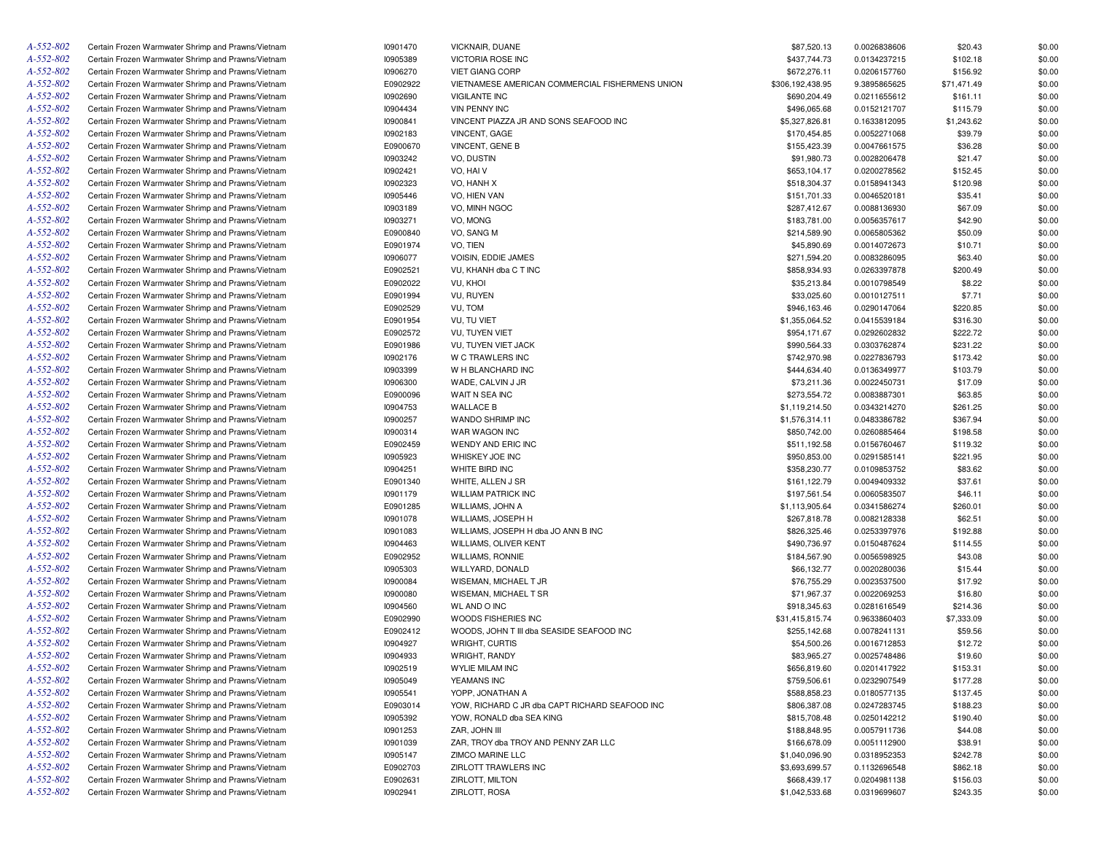| A-552-802 | Certain Frozen Warmwater Shrimp and Prawns/Vietnam | 10901470 | VICKNAIR, DUANE                                 | \$87,520.13      | 0.0026838606 | \$20.43     | \$0.00 |
|-----------|----------------------------------------------------|----------|-------------------------------------------------|------------------|--------------|-------------|--------|
| A-552-802 | Certain Frozen Warmwater Shrimp and Prawns/Vietnam | 10905389 | VICTORIA ROSE INC                               | \$437,744.73     | 0.0134237215 | \$102.18    | \$0.00 |
| A-552-802 | Certain Frozen Warmwater Shrimp and Prawns/Vietnam | 10906270 | <b>VIET GIANG CORP</b>                          | \$672,276.11     | 0.0206157760 | \$156.92    | \$0.00 |
| A-552-802 | Certain Frozen Warmwater Shrimp and Prawns/Vietnam | E0902922 | VIETNAMESE AMERICAN COMMERCIAL FISHERMENS UNION | \$306,192,438.95 | 9.3895865625 | \$71,471.49 | \$0.00 |
| A-552-802 | Certain Frozen Warmwater Shrimp and Prawns/Vietnam | 10902690 | <b>VIGILANTE INC</b>                            | \$690,204.49     | 0.0211655612 | \$161.11    | \$0.00 |
| A-552-802 | Certain Frozen Warmwater Shrimp and Prawns/Vietnam | 10904434 | <b>VIN PENNY INC</b>                            | \$496,065.68     | 0.0152121707 | \$115.79    | \$0.00 |
| A-552-802 | Certain Frozen Warmwater Shrimp and Prawns/Vietnam | 10900841 | VINCENT PIAZZA JR AND SONS SEAFOOD INC          | \$5,327,826.81   | 0.1633812095 | \$1,243.62  | \$0.00 |
| A-552-802 | Certain Frozen Warmwater Shrimp and Prawns/Vietnam | 10902183 | <b>VINCENT, GAGE</b>                            | \$170,454.85     | 0.0052271068 | \$39.79     | \$0.00 |
| A-552-802 | Certain Frozen Warmwater Shrimp and Prawns/Vietnam | E0900670 | VINCENT, GENE B                                 | \$155,423.39     | 0.0047661575 | \$36.28     | \$0.00 |
| A-552-802 | Certain Frozen Warmwater Shrimp and Prawns/Vietnam | 10903242 | VO, DUSTIN                                      | \$91,980.73      | 0.0028206478 | \$21.47     | \$0.00 |
| A-552-802 | Certain Frozen Warmwater Shrimp and Prawns/Vietnam | 10902421 | VO, HAI V                                       | \$653,104.17     | 0.0200278562 | \$152.45    | \$0.00 |
| A-552-802 | Certain Frozen Warmwater Shrimp and Prawns/Vietnam | 10902323 | VO, HANH X                                      | \$518,304.37     | 0.0158941343 | \$120.98    | \$0.00 |
| A-552-802 | Certain Frozen Warmwater Shrimp and Prawns/Vietnam | 10905446 | VO, HIEN VAN                                    | \$151,701.33     | 0.0046520181 | \$35.41     | \$0.00 |
| A-552-802 | Certain Frozen Warmwater Shrimp and Prawns/Vietnam | 10903189 | VO, MINH NGOC                                   | \$287,412.67     | 0.0088136930 | \$67.09     | \$0.00 |
| A-552-802 | Certain Frozen Warmwater Shrimp and Prawns/Vietnam | 10903271 | VO, MONG                                        | \$183,781.00     | 0.0056357617 | \$42.90     | \$0.00 |
| A-552-802 | Certain Frozen Warmwater Shrimp and Prawns/Vietnam | E0900840 | VO, SANG M                                      | \$214,589.90     | 0.0065805362 | \$50.09     | \$0.00 |
| A-552-802 |                                                    |          | VO, TIEN                                        |                  |              |             |        |
|           | Certain Frozen Warmwater Shrimp and Prawns/Vietnam | E0901974 |                                                 | \$45,890.69      | 0.0014072673 | \$10.71     | \$0.00 |
| A-552-802 | Certain Frozen Warmwater Shrimp and Prawns/Vietnam | 10906077 | VOISIN, EDDIE JAMES                             | \$271,594.20     | 0.0083286095 | \$63.40     | \$0.00 |
| A-552-802 | Certain Frozen Warmwater Shrimp and Prawns/Vietnam | E0902521 | VU, KHANH dba C T INC                           | \$858,934.93     | 0.0263397878 | \$200.49    | \$0.00 |
| A-552-802 | Certain Frozen Warmwater Shrimp and Prawns/Vietnam | E0902022 | VU, KHOI                                        | \$35,213.84      | 0.0010798549 | \$8.22      | \$0.00 |
| A-552-802 | Certain Frozen Warmwater Shrimp and Prawns/Vietnam | E0901994 | VU, RUYEN                                       | \$33,025.60      | 0.0010127511 | \$7.71      | \$0.00 |
| A-552-802 | Certain Frozen Warmwater Shrimp and Prawns/Vietnam | E0902529 | VU, TOM                                         | \$946,163.46     | 0.0290147064 | \$220.85    | \$0.00 |
| A-552-802 | Certain Frozen Warmwater Shrimp and Prawns/Vietnam | E0901954 | VU, TU VIET                                     | \$1,355,064.52   | 0.0415539184 | \$316.30    | \$0.00 |
| A-552-802 | Certain Frozen Warmwater Shrimp and Prawns/Vietnam | E0902572 | VU, TUYEN VIET                                  | \$954,171.67     | 0.0292602832 | \$222.72    | \$0.00 |
| A-552-802 | Certain Frozen Warmwater Shrimp and Prawns/Vietnam | E0901986 | VU, TUYEN VIET JACK                             | \$990,564.33     | 0.0303762874 | \$231.22    | \$0.00 |
| A-552-802 | Certain Frozen Warmwater Shrimp and Prawns/Vietnam | 10902176 | W C TRAWLERS INC                                | \$742,970.98     | 0.0227836793 | \$173.42    | \$0.00 |
| A-552-802 | Certain Frozen Warmwater Shrimp and Prawns/Vietnam | 10903399 | W H BLANCHARD INC                               | \$444,634.40     | 0.0136349977 | \$103.79    | \$0.00 |
| A-552-802 | Certain Frozen Warmwater Shrimp and Prawns/Vietnam | 10906300 | WADE, CALVIN J JR                               | \$73,211.36      | 0.0022450731 | \$17.09     | \$0.00 |
| A-552-802 | Certain Frozen Warmwater Shrimp and Prawns/Vietnam | E0900096 | WAIT N SEA INC                                  | \$273,554.72     | 0.0083887301 | \$63.85     | \$0.00 |
| A-552-802 | Certain Frozen Warmwater Shrimp and Prawns/Vietnam | 10904753 | <b>WALLACE B</b>                                | \$1,119,214.50   | 0.0343214270 | \$261.25    | \$0.00 |
| A-552-802 | Certain Frozen Warmwater Shrimp and Prawns/Vietnam | 10900257 | WANDO SHRIMP INC                                | \$1,576,314.11   | 0.0483386782 | \$367.94    | \$0.00 |
| A-552-802 | Certain Frozen Warmwater Shrimp and Prawns/Vietnam | 10900314 | WAR WAGON INC                                   | \$850,742.00     | 0.0260885464 | \$198.58    | \$0.00 |
| A-552-802 | Certain Frozen Warmwater Shrimp and Prawns/Vietnam | E0902459 | WENDY AND ERIC INC                              | \$511,192.58     | 0.0156760467 | \$119.32    | \$0.00 |
| A-552-802 | Certain Frozen Warmwater Shrimp and Prawns/Vietnam | 10905923 | WHISKEY JOE INC                                 | \$950,853.00     | 0.0291585141 | \$221.95    | \$0.00 |
| A-552-802 | Certain Frozen Warmwater Shrimp and Prawns/Vietnam | 10904251 | WHITE BIRD INC                                  | \$358,230.77     | 0.0109853752 | \$83.62     | \$0.00 |
| A-552-802 | Certain Frozen Warmwater Shrimp and Prawns/Vietnam | E0901340 | WHITE, ALLEN J SR                               | \$161,122.79     | 0.0049409332 | \$37.61     | \$0.00 |
| A-552-802 | Certain Frozen Warmwater Shrimp and Prawns/Vietnam | 10901179 | <b>WILLIAM PATRICK INC</b>                      | \$197,561.54     | 0.0060583507 | \$46.11     | \$0.00 |
| A-552-802 | Certain Frozen Warmwater Shrimp and Prawns/Vietnam | E0901285 | WILLIAMS, JOHN A                                | \$1,113,905.64   | 0.0341586274 | \$260.01    | \$0.00 |
| A-552-802 | Certain Frozen Warmwater Shrimp and Prawns/Vietnam | 10901078 | WILLIAMS, JOSEPH H                              | \$267,818.78     | 0.0082128338 | \$62.51     | \$0.00 |
| A-552-802 | Certain Frozen Warmwater Shrimp and Prawns/Vietnam | 10901083 | WILLIAMS, JOSEPH H dba JO ANN B INC             | \$826,325.46     | 0.0253397976 | \$192.88    | \$0.00 |
| A-552-802 | Certain Frozen Warmwater Shrimp and Prawns/Vietnam | 10904463 | WILLIAMS, OLIVER KENT                           | \$490,736.97     | 0.0150487624 | \$114.55    | \$0.00 |
| A-552-802 | Certain Frozen Warmwater Shrimp and Prawns/Vietnam | E0902952 | <b>WILLIAMS, RONNIE</b>                         | \$184,567.90     | 0.0056598925 | \$43.08     | \$0.00 |
| A-552-802 | Certain Frozen Warmwater Shrimp and Prawns/Vietnam | 10905303 | WILLYARD, DONALD                                | \$66,132.77      | 0.0020280036 | \$15.44     | \$0.00 |
|           |                                                    |          |                                                 |                  |              |             |        |
| A-552-802 | Certain Frozen Warmwater Shrimp and Prawns/Vietnam | 10900084 | WISEMAN, MICHAEL T JR                           | \$76,755.29      | 0.0023537500 | \$17.92     | \$0.00 |
| A-552-802 | Certain Frozen Warmwater Shrimp and Prawns/Vietnam | 10900080 | WISEMAN, MICHAEL T SR                           | \$71,967.37      | 0.0022069253 | \$16.80     | \$0.00 |
| A-552-802 | Certain Frozen Warmwater Shrimp and Prawns/Vietnam | 10904560 | <b>WL AND O INC</b>                             | \$918,345.63     | 0.0281616549 | \$214.36    | \$0.00 |
| A-552-802 | Certain Frozen Warmwater Shrimp and Prawns/Vietnam | E0902990 | WOODS FISHERIES INC                             | \$31,415,815.74  | 0.9633860403 | \$7,333.09  | \$0.00 |
| A-552-802 | Certain Frozen Warmwater Shrimp and Prawns/Vietnam | E0902412 | WOODS, JOHN T III dba SEASIDE SEAFOOD INC       | \$255,142.68     | 0.0078241131 | \$59.56     | \$0.00 |
| A-552-802 | Certain Frozen Warmwater Shrimp and Prawns/Vietnam | 10904927 | WRIGHT, CURTIS                                  | \$54,500.26      | 0.0016712853 | \$12.72     | \$0.00 |
| A-552-802 | Certain Frozen Warmwater Shrimp and Prawns/Vietnam | 10904933 | <b>WRIGHT, RANDY</b>                            | \$83,965.27      | 0.0025748486 | \$19.60     | \$0.00 |
| A-552-802 | Certain Frozen Warmwater Shrimp and Prawns/Vietnam | 10902519 | <b>WYLIE MILAM INC</b>                          | \$656,819.60     | 0.0201417922 | \$153.31    | \$0.00 |
| A-552-802 | Certain Frozen Warmwater Shrimp and Prawns/Vietnam | 10905049 | YEAMANS INC                                     | \$759,506.61     | 0.0232907549 | \$177.28    | \$0.00 |
| A-552-802 | Certain Frozen Warmwater Shrimp and Prawns/Vietnam | 10905541 | YOPP, JONATHAN A                                | \$588,858.23     | 0.0180577135 | \$137.45    | \$0.00 |
| A-552-802 | Certain Frozen Warmwater Shrimp and Prawns/Vietnam | E0903014 | YOW, RICHARD C JR dba CAPT RICHARD SEAFOOD INC  | \$806,387.08     | 0.0247283745 | \$188.23    | \$0.00 |
| A-552-802 | Certain Frozen Warmwater Shrimp and Prawns/Vietnam | 10905392 | YOW, RONALD dba SEA KING                        | \$815,708.48     | 0.0250142212 | \$190.40    | \$0.00 |
| A-552-802 | Certain Frozen Warmwater Shrimp and Prawns/Vietnam | 10901253 | ZAR, JOHN III                                   | \$188,848.95     | 0.0057911736 | \$44.08     | \$0.00 |
| A-552-802 | Certain Frozen Warmwater Shrimp and Prawns/Vietnam | 10901039 | ZAR, TROY dba TROY AND PENNY ZAR LLC            | \$166,678.09     | 0.0051112900 | \$38.91     | \$0.00 |
| A-552-802 | Certain Frozen Warmwater Shrimp and Prawns/Vietnam | 10905147 | <b>ZIMCO MARINE LLC</b>                         | \$1,040,096.90   | 0.0318952353 | \$242.78    | \$0.00 |
| A-552-802 | Certain Frozen Warmwater Shrimp and Prawns/Vietnam | E0902703 | ZIRLOTT TRAWLERS INC                            | \$3,693,699.57   | 0.1132696548 | \$862.18    | \$0.00 |
| A-552-802 | Certain Frozen Warmwater Shrimp and Prawns/Vietnam | E0902631 | ZIRLOTT, MILTON                                 | \$668,439.17     | 0.0204981138 | \$156.03    | \$0.00 |
| A-552-802 | Certain Frozen Warmwater Shrimp and Prawns/Vietnam | 10902941 | ZIRLOTT, ROSA                                   | \$1,042,533.68   | 0.0319699607 | \$243.35    | \$0.00 |
|           |                                                    |          |                                                 |                  |              |             |        |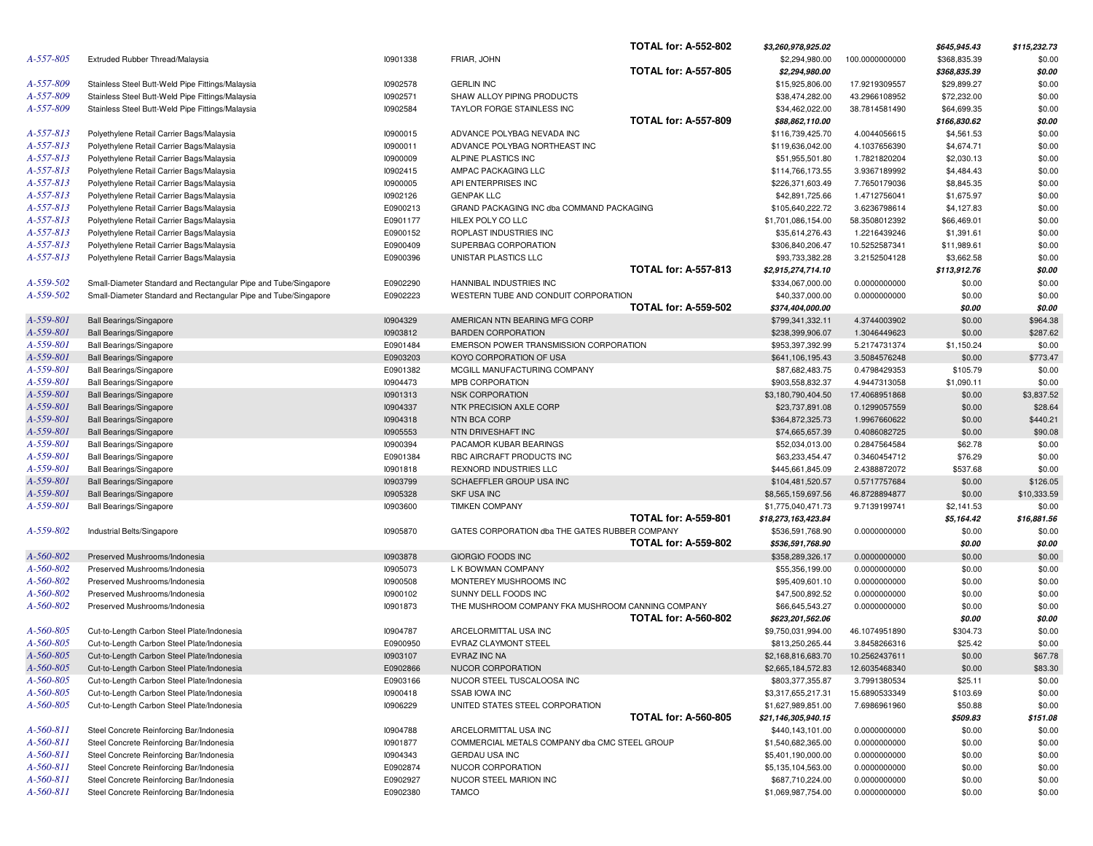|                 |                                                                 |                      |                                                                 | <b>TOTAL for: A-552-802</b> | \$3,260,978,925.02                  |                | \$645,945.43     | \$115,232.73     |
|-----------------|-----------------------------------------------------------------|----------------------|-----------------------------------------------------------------|-----------------------------|-------------------------------------|----------------|------------------|------------------|
| A-557-805       | Extruded Rubber Thread/Malaysia                                 | 10901338             | FRIAR, JOHN                                                     |                             | \$2,294,980.00                      | 100.0000000000 | \$368,835.39     | \$0.00           |
|                 |                                                                 |                      |                                                                 | <b>TOTAL for: A-557-805</b> | \$2,294,980.00                      |                | \$368,835.39     | \$0.00           |
| A-557-809       | Stainless Steel Butt-Weld Pipe Fittings/Malaysia                | 10902578             | <b>GERLIN INC</b>                                               |                             | \$15,925,806.00                     | 17.9219309557  | \$29,899.27      | \$0.00           |
| A-557-809       | Stainless Steel Butt-Weld Pipe Fittings/Malaysia                | 10902571             | SHAW ALLOY PIPING PRODUCTS                                      |                             | \$38,474,282.00                     | 43.2966108952  | \$72,232.00      | \$0.00           |
| A-557-809       | Stainless Steel Butt-Weld Pipe Fittings/Malaysia                | 10902584             | TAYLOR FORGE STAINLESS INC                                      |                             | \$34,462,022.00                     | 38.7814581490  | \$64,699.35      | \$0.00           |
|                 |                                                                 |                      |                                                                 | <b>TOTAL for: A-557-809</b> | \$88,862,110.00                     |                | \$166,830.62     | \$0.00           |
| $A - 557 - 813$ | Polyethylene Retail Carrier Bags/Malaysia                       | 10900015             | ADVANCE POLYBAG NEVADA INC                                      |                             | \$116,739,425.70                    | 4.0044056615   | \$4,561.53       | \$0.00           |
| A-557-813       | Polyethylene Retail Carrier Bags/Malaysia                       | 10900011             | ADVANCE POLYBAG NORTHEAST INC                                   |                             | \$119,636,042.00                    | 4.1037656390   | \$4,674.71       | \$0.00           |
| $A - 557 - 813$ | Polyethylene Retail Carrier Bags/Malaysia                       | 10900009             | ALPINE PLASTICS INC                                             |                             | \$51,955,501.80                     | 1.7821820204   | \$2,030.13       | \$0.00           |
| A-557-813       | Polyethylene Retail Carrier Bags/Malaysia                       | 10902415             | AMPAC PACKAGING LLC                                             |                             | \$114,766,173.55                    | 3.9367189992   | \$4,484.43       | \$0.00           |
| A-557-813       | Polyethylene Retail Carrier Bags/Malaysia                       | 10900005             | API ENTERPRISES INC                                             |                             | \$226,371,603.49                    | 7.7650179036   | \$8,845.35       | \$0.00           |
| A-557-813       | Polyethylene Retail Carrier Bags/Malaysia                       | 10902126             | <b>GENPAK LLC</b>                                               |                             | \$42,891,725.66                     | 1.4712756041   | \$1,675.97       | \$0.00           |
| $A - 557 - 813$ | Polyethylene Retail Carrier Bags/Malaysia                       | E0900213             | GRAND PACKAGING INC dba COMMAND PACKAGING                       |                             | \$105,640,222.72                    | 3.6236798614   | \$4,127.83       | \$0.00           |
| A-557-813       | Polyethylene Retail Carrier Bags/Malaysia                       | E0901177             | HILEX POLY CO LLC                                               |                             | \$1,701,086,154.00                  | 58.3508012392  | \$66,469.01      | \$0.00           |
| A-557-813       | Polyethylene Retail Carrier Bags/Malaysia                       | E0900152             | ROPLAST INDUSTRIES INC                                          |                             | \$35,614,276.43                     | 1.2216439246   | \$1,391.61       | \$0.00           |
| $A - 557 - 813$ | Polyethylene Retail Carrier Bags/Malaysia                       | E0900409             | SUPERBAG CORPORATION                                            |                             | \$306,840,206.47                    | 10.5252587341  | \$11,989.61      | \$0.00           |
| $A - 557 - 813$ | Polyethylene Retail Carrier Bags/Malaysia                       | E0900396             | UNISTAR PLASTICS LLC                                            | <b>TOTAL for: A-557-813</b> | \$93,733,382.28                     | 3.2152504128   | \$3,662.58       | \$0.00           |
| A-559-502       |                                                                 |                      |                                                                 |                             | \$2,915,274,714.10                  |                | \$113,912.76     | \$0.00           |
| A-559-502       | Small-Diameter Standard and Rectangular Pipe and Tube/Singapore | E0902290<br>E0902223 | HANNIBAL INDUSTRIES INC<br>WESTERN TUBE AND CONDUIT CORPORATION |                             | \$334,067,000.00                    | 0.0000000000   | \$0.00           | \$0.00           |
|                 | Small-Diameter Standard and Rectangular Pipe and Tube/Singapore |                      |                                                                 | <b>TOTAL for: A-559-502</b> | \$40,337,000.00<br>\$374,404,000.00 | 0.0000000000   | \$0.00<br>\$0.00 | \$0.00<br>\$0.00 |
| A-559-801       | <b>Ball Bearings/Singapore</b>                                  | 10904329             | AMERICAN NTN BEARING MFG CORP                                   |                             | \$799,341,332.11                    | 4.3744003902   | \$0.00           | \$964.38         |
| A-559-801       | <b>Ball Bearings/Singapore</b>                                  | 10903812             | <b>BARDEN CORPORATION</b>                                       |                             | \$238,399,906.07                    | 1.3046449623   | \$0.00           | \$287.62         |
| A-559-801       | <b>Ball Bearings/Singapore</b>                                  | E0901484             | EMERSON POWER TRANSMISSION CORPORATION                          |                             | \$953,397,392.99                    | 5.2174731374   | \$1,150.24       | \$0.00           |
| A-559-801       | <b>Ball Bearings/Singapore</b>                                  | E0903203             | KOYO CORPORATION OF USA                                         |                             | \$641,106,195.43                    | 3.5084576248   | \$0.00           | \$773.47         |
| A-559-801       | <b>Ball Bearings/Singapore</b>                                  | E0901382             | MCGILL MANUFACTURING COMPANY                                    |                             | \$87,682,483.75                     | 0.4798429353   | \$105.79         | \$0.00           |
| A-559-801       | <b>Ball Bearings/Singapore</b>                                  | 10904473             | MPB CORPORATION                                                 |                             | \$903,558,832.37                    | 4.9447313058   | \$1,090.11       | \$0.00           |
| A-559-801       | <b>Ball Bearings/Singapore</b>                                  | 10901313             | <b>NSK CORPORATION</b>                                          |                             | \$3,180,790,404.50                  | 17.4068951868  | \$0.00           | \$3,837.52       |
| A-559-801       | <b>Ball Bearings/Singapore</b>                                  | 10904337             | NTK PRECISION AXLE CORP                                         |                             | \$23,737,891.08                     | 0.1299057559   | \$0.00           | \$28.64          |
| A-559-801       | <b>Ball Bearings/Singapore</b>                                  | 10904318             | <b>NTN BCA CORP</b>                                             |                             | \$364,872,325.73                    | 1.9967660622   | \$0.00           | \$440.21         |
| A-559-801       | <b>Ball Bearings/Singapore</b>                                  | 10905553             | NTN DRIVESHAFT INC                                              |                             | \$74,665,657.39                     | 0.4086082725   | \$0.00           | \$90.08          |
| A-559-801       | <b>Ball Bearings/Singapore</b>                                  | 10900394             | PACAMOR KUBAR BEARINGS                                          |                             | \$52,034,013.00                     | 0.2847564584   | \$62.78          | \$0.00           |
| A-559-801       | <b>Ball Bearings/Singapore</b>                                  | E0901384             | RBC AIRCRAFT PRODUCTS INC                                       |                             | \$63,233,454.47                     | 0.3460454712   | \$76.29          | \$0.00           |
| A-559-801       | <b>Ball Bearings/Singapore</b>                                  | 10901818             | REXNORD INDUSTRIES LLC                                          |                             | \$445,661,845.09                    | 2.4388872072   | \$537.68         | \$0.00           |
| A-559-801       | <b>Ball Bearings/Singapore</b>                                  | 10903799             | SCHAEFFLER GROUP USA INC                                        |                             | \$104,481,520.57                    | 0.5717757684   | \$0.00           | \$126.05         |
| A-559-801       | <b>Ball Bearings/Singapore</b>                                  | 10905328             | <b>SKF USA INC</b>                                              |                             | \$8,565,159,697.56                  | 46.8728894877  | \$0.00           | \$10,333.59      |
| A-559-801       | <b>Ball Bearings/Singapore</b>                                  | 10903600             | <b>TIMKEN COMPANY</b>                                           |                             | \$1,775,040,471.73                  | 9.7139199741   | \$2,141.53       | \$0.00           |
|                 |                                                                 |                      |                                                                 | <b>TOTAL for: A-559-801</b> | \$18,273,163,423.84                 |                | \$5,164.42       | \$16,881.56      |
| A-559-802       | Industrial Belts/Singapore                                      | 10905870             | GATES CORPORATION dba THE GATES RUBBER COMPANY                  |                             | \$536,591,768.90                    | 0.0000000000   | \$0.00           | \$0.00           |
|                 |                                                                 |                      |                                                                 | <b>TOTAL for: A-559-802</b> | \$536,591,768.90                    |                | \$0.00           | \$0.00           |
| A-560-802       | Preserved Mushrooms/Indonesia                                   | 10903878             | GIORGIO FOODS INC                                               |                             | \$358,289,326.17                    | 0.0000000000   | \$0.00           | \$0.00           |
| A-560-802       | Preserved Mushrooms/Indonesia                                   | 10905073             | L K BOWMAN COMPANY                                              |                             | \$55,356,199.00                     | 0.0000000000   | \$0.00           | \$0.00           |
| A-560-802       | Preserved Mushrooms/Indonesia                                   | 10900508             | MONTEREY MUSHROOMS INC                                          |                             | \$95,409,601.10                     | 0.0000000000   | \$0.00           | \$0.00           |
| A-560-802       | Preserved Mushrooms/Indonesia                                   | 10900102             | SUNNY DELL FOODS INC                                            |                             | \$47,500,892.52                     | 0.0000000000   | \$0.00           | \$0.00           |
| A-560-802       | Preserved Mushrooms/Indonesia                                   | 10901873             | THE MUSHROOM COMPANY FKA MUSHROOM CANNING COMPANY               |                             | \$66,645,543.27                     | 0.0000000000   | \$0.00           | \$0.00           |
|                 |                                                                 |                      |                                                                 | <b>TOTAL for: A-560-802</b> | \$623,201,562.06                    |                | \$0.00           | \$0.00           |
| A-560-805       | Cut-to-Length Carbon Steel Plate/Indonesia                      | 10904787             | ARCELORMITTAL USA INC                                           |                             | \$9,750,031,994.00                  | 46.1074951890  | \$304.73         | \$0.00           |
| A-560-805       | Cut-to-Length Carbon Steel Plate/Indonesia                      | E0900950             | EVRAZ CLAYMONT STEEL                                            |                             | \$813,250,265.44                    | 3.8458266316   | \$25.42          | \$0.00           |
| A-560-805       | Cut-to-Length Carbon Steel Plate/Indonesia                      | 10903107             | EVRAZ INC NA                                                    |                             | \$2,168,816,683.70                  | 10.2562437611  | \$0.00           | \$67.78          |
| A-560-805       | Cut-to-Length Carbon Steel Plate/Indonesia                      | E0902866             | NUCOR CORPORATION                                               |                             | \$2,665,184,572.83                  | 12.6035468340  | \$0.00           | \$83.30          |
| A-560-805       | Cut-to-Length Carbon Steel Plate/Indonesia                      | E0903166             | NUCOR STEEL TUSCALOOSA INC                                      |                             | \$803,377,355.87                    | 3.7991380534   | \$25.11          | \$0.00           |
| A-560-805       | Cut-to-Length Carbon Steel Plate/Indonesia                      | 10900418             | <b>SSAB IOWA INC</b>                                            |                             | \$3,317,655,217.31                  | 15.6890533349  | \$103.69         | \$0.00           |
| A-560-805       | Cut-to-Length Carbon Steel Plate/Indonesia                      | 10906229             | UNITED STATES STEEL CORPORATION                                 |                             | \$1,627,989,851.00                  | 7.6986961960   | \$50.88          | \$0.00           |
|                 |                                                                 |                      |                                                                 | <b>TOTAL for: A-560-805</b> | \$21,146,305,940.15                 |                | \$509.83         | \$151.08         |
| A-560-811       | Steel Concrete Reinforcing Bar/Indonesia                        | 10904788             | ARCELORMITTAL USA INC                                           |                             | \$440,143,101.00                    | 0.0000000000   | \$0.00           | \$0.00           |
| A-560-811       | Steel Concrete Reinforcing Bar/Indonesia                        | 10901877             | COMMERCIAL METALS COMPANY dba CMC STEEL GROUP                   |                             | \$1,540,682,365.00                  | 0.0000000000   | \$0.00           | \$0.00           |
| A-560-811       | Steel Concrete Reinforcing Bar/Indonesia                        | 10904343             | <b>GERDAU USA INC</b>                                           |                             | \$5,401,190,000.00                  | 0.0000000000   | \$0.00           | \$0.00           |
| A-560-811       | Steel Concrete Reinforcing Bar/Indonesia                        | E0902874             | NUCOR CORPORATION                                               |                             | \$5,135,104,563.00                  | 0.0000000000   | \$0.00           | \$0.00           |
| A-560-811       | Steel Concrete Reinforcing Bar/Indonesia                        | E0902927             | NUCOR STEEL MARION INC                                          |                             | \$687,710,224.00                    | 0.0000000000   | \$0.00           | \$0.00           |
| A-560-811       | Steel Concrete Reinforcing Bar/Indonesia                        | E0902380             | <b>TAMCO</b>                                                    |                             | \$1,069,987,754.00                  | 0.0000000000   | \$0.00           | \$0.00           |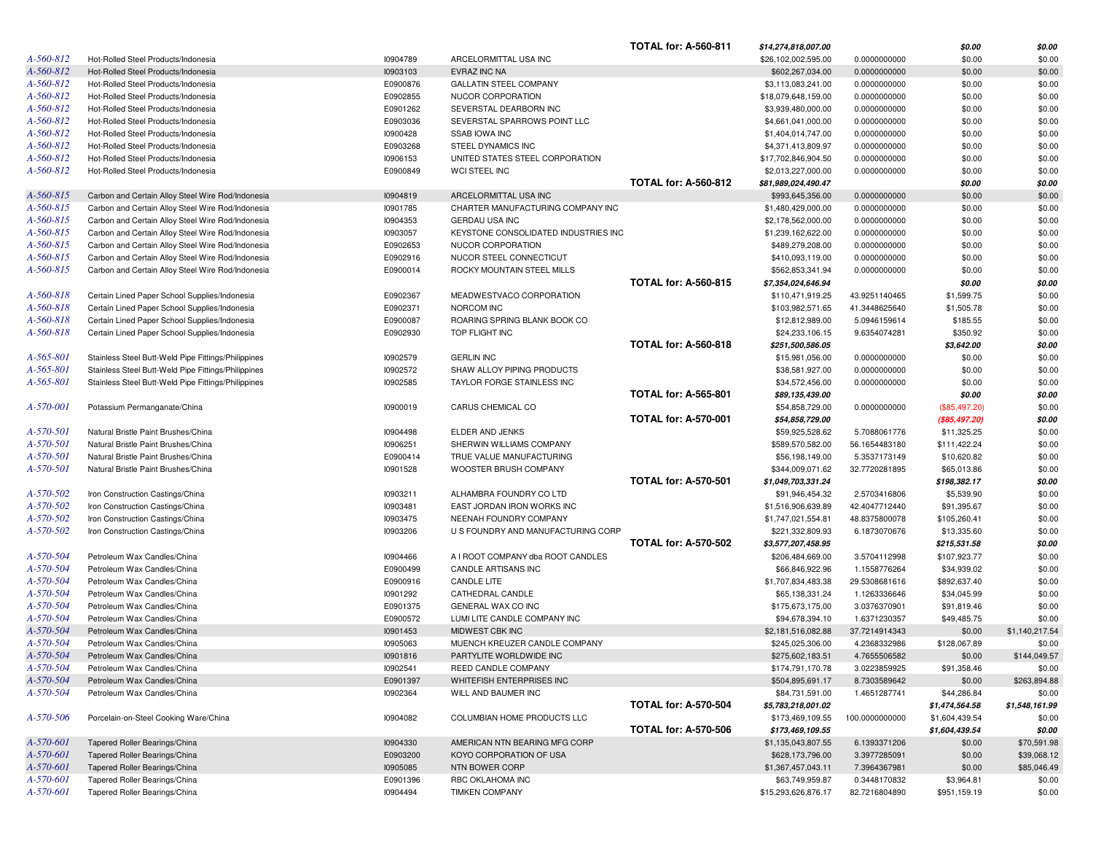|                 |                                                     |          |                                      | <b>TOTAL for: A-560-811</b> | \$14,274,818,007.00 |                | \$0.00         | \$0.00         |
|-----------------|-----------------------------------------------------|----------|--------------------------------------|-----------------------------|---------------------|----------------|----------------|----------------|
| A-560-812       | Hot-Rolled Steel Products/Indonesia                 | 10904789 | ARCELORMITTAL USA INC                |                             | \$26,102,002,595.00 | 0.0000000000   | \$0.00         | \$0.00         |
| $A - 560 - 812$ | Hot-Rolled Steel Products/Indonesia                 | 10903103 | EVRAZ INC NA                         |                             | \$602,267,034.00    | 0.0000000000   | \$0.00         | \$0.00         |
| A-560-812       | Hot-Rolled Steel Products/Indonesia                 | E0900876 | <b>GALLATIN STEEL COMPANY</b>        |                             | \$3,113,083,241.00  | 0.0000000000   | \$0.00         | \$0.00         |
| A-560-812       | Hot-Rolled Steel Products/Indonesia                 | E0902855 | NUCOR CORPORATION                    |                             | \$18,079,648,159.00 | 0.0000000000   | \$0.00         | \$0.00         |
| A-560-812       | Hot-Rolled Steel Products/Indonesia                 | E0901262 | SEVERSTAL DEARBORN INC               |                             | \$3,939,480,000.00  | 0.0000000000   | \$0.00         | \$0.00         |
| A-560-812       | Hot-Rolled Steel Products/Indonesia                 | E0903036 | SEVERSTAL SPARROWS POINT LLC         |                             | \$4,661,041,000.00  | 0.0000000000   | \$0.00         | \$0.00         |
| A-560-812       | Hot-Rolled Steel Products/Indonesia                 |          | <b>SSAB IOWA INC</b>                 |                             |                     |                |                |                |
|                 |                                                     | 10900428 |                                      |                             | \$1,404,014,747.00  | 0.0000000000   | \$0.00         | \$0.00         |
| A-560-812       | Hot-Rolled Steel Products/Indonesia                 | E0903268 | STEEL DYNAMICS INC                   |                             | \$4,371,413,809.97  | 0.0000000000   | \$0.00         | \$0.00         |
| A-560-812       | Hot-Rolled Steel Products/Indonesia                 | 10906153 | UNITED STATES STEEL CORPORATION      |                             | \$17,702,846,904.50 | 0.0000000000   | \$0.00         | \$0.00         |
| A-560-812       | Hot-Rolled Steel Products/Indonesia                 | E0900849 | WCI STEEL INC                        |                             | \$2,013,227,000.00  | 0.0000000000   | \$0.00         | \$0.00         |
|                 |                                                     |          |                                      | <b>TOTAL for: A-560-812</b> | \$81,989,024,490.47 |                | \$0.00         | \$0.00         |
| A-560-815       | Carbon and Certain Alloy Steel Wire Rod/Indonesia   | 10904819 | ARCELORMITTAL USA INC                |                             | \$993,645,356.00    | 0.0000000000   | \$0.00         | \$0.00         |
| $A - 560 - 815$ | Carbon and Certain Alloy Steel Wire Rod/Indonesia   | 10901785 | CHARTER MANUFACTURING COMPANY INC    |                             | \$1,480,429,000.00  | 0.0000000000   | \$0.00         | \$0.00         |
| $A - 560 - 815$ | Carbon and Certain Alloy Steel Wire Rod/Indonesia   | 10904353 | GERDAU USA INC                       |                             | \$2,178,562,000.00  | 0.0000000000   | \$0.00         | \$0.00         |
| $A - 560 - 815$ | Carbon and Certain Alloy Steel Wire Rod/Indonesia   | 10903057 | KEYSTONE CONSOLIDATED INDUSTRIES INC |                             | \$1,239,162,622.00  | 0.0000000000   | \$0.00         | \$0.00         |
| $A - 560 - 815$ | Carbon and Certain Alloy Steel Wire Rod/Indonesia   | E0902653 | NUCOR CORPORATION                    |                             | \$489,279,208.00    | 0.0000000000   | \$0.00         | \$0.00         |
| A-560-815       | Carbon and Certain Alloy Steel Wire Rod/Indonesia   | E0902916 | NUCOR STEEL CONNECTICUT              |                             | \$410,093,119.00    | 0.0000000000   | \$0.00         | \$0.00         |
| A-560-815       | Carbon and Certain Alloy Steel Wire Rod/Indonesia   | E0900014 | ROCKY MOUNTAIN STEEL MILLS           |                             | \$562,853,341.94    | 0.0000000000   | \$0.00         | \$0.00         |
|                 |                                                     |          |                                      | <b>TOTAL for: A-560-815</b> | \$7,354,024,646.94  |                | \$0.00         | \$0.00         |
| A-560-818       |                                                     | E0902367 | MEADWESTVACO CORPORATION             |                             | \$110,471,919.25    | 43.9251140465  |                | \$0.00         |
|                 | Certain Lined Paper School Supplies/Indonesia       |          |                                      |                             |                     |                | \$1,599.75     |                |
| A-560-818       | Certain Lined Paper School Supplies/Indonesia       | E0902371 | NORCOM INC                           |                             | \$103,982,571.65    | 41.3448625640  | \$1,505.78     | \$0.00         |
| A-560-818       | Certain Lined Paper School Supplies/Indonesia       | E0900087 | ROARING SPRING BLANK BOOK CO         |                             | \$12,812,989.00     | 5.0946159614   | \$185.55       | \$0.00         |
| A-560-818       | Certain Lined Paper School Supplies/Indonesia       | E0902930 | TOP FLIGHT INC                       |                             | \$24,233,106.15     | 9.6354074281   | \$350.92       | \$0.00         |
|                 |                                                     |          |                                      | <b>TOTAL for: A-560-818</b> | \$251,500,586.05    |                | \$3,642.00     | \$0.00         |
| $A - 565 - 801$ | Stainless Steel Butt-Weld Pipe Fittings/Philippines | 10902579 | <b>GERLIN INC</b>                    |                             | \$15,981,056.00     | 0.0000000000   | \$0.00         | \$0.00         |
| $A - 565 - 801$ | Stainless Steel Butt-Weld Pipe Fittings/Philippines | 10902572 | SHAW ALLOY PIPING PRODUCTS           |                             | \$38,581,927.00     | 0.0000000000   | \$0.00         | \$0.00         |
| $A - 565 - 801$ | Stainless Steel Butt-Weld Pipe Fittings/Philippines | 10902585 | TAYLOR FORGE STAINLESS INC           |                             | \$34,572,456.00     | 0.0000000000   | \$0.00         | \$0.00         |
|                 |                                                     |          |                                      | <b>TOTAL for: A-565-801</b> | \$89,135,439.00     |                | \$0.00         | \$0.00         |
| A-570-001       | Potassium Permanganate/China                        | 10900019 | CARUS CHEMICAL CO                    |                             | \$54,858,729.00     | 0.0000000000   | (\$85,497.20)  | \$0.00         |
|                 |                                                     |          |                                      | <b>TOTAL for: A-570-001</b> | \$54,858,729.00     |                | ( \$85,497.20) | \$0.00         |
| A-570-501       | Natural Bristle Paint Brushes/China                 | 10904498 | ELDER AND JENKS                      |                             | \$59,925,528.62     | 5.7088061776   | \$11,325.25    | \$0.00         |
| A-570-501       | Natural Bristle Paint Brushes/China                 | 10906251 | SHERWIN WILLIAMS COMPANY             |                             | \$589,570,582.00    | 56.1654483180  | \$111,422.24   | \$0.00         |
| $A - 570 - 501$ | Natural Bristle Paint Brushes/China                 | E0900414 | TRUE VALUE MANUFACTURING             |                             | \$56,198,149.00     | 5.3537173149   | \$10,620.82    | \$0.00         |
| $A - 570 - 501$ |                                                     |          |                                      |                             |                     |                |                |                |
|                 | Natural Bristle Paint Brushes/China                 | 10901528 | WOOSTER BRUSH COMPANY                |                             | \$344,009,071.62    | 32.7720281895  | \$65,013.86    | \$0.00         |
|                 |                                                     |          |                                      | <b>TOTAL for: A-570-501</b> | \$1,049,703,331.24  |                | \$198,382.17   | \$0.00         |
| A-570-502       | Iron Construction Castings/China                    | 10903211 | ALHAMBRA FOUNDRY CO LTD              |                             | \$91,946,454.32     | 2.5703416806   | \$5,539.90     | \$0.00         |
| A-570-502       | Iron Construction Castings/China                    | 10903481 | EAST JORDAN IRON WORKS INC           |                             | \$1,516,906,639.89  | 42.4047712440  | \$91,395.67    | \$0.00         |
| A-570-502       | Iron Construction Castings/China                    | 10903475 | NEENAH FOUNDRY COMPANY               |                             | \$1,747,021,554.81  | 48.8375800078  | \$105,260.41   | \$0.00         |
| A-570-502       | Iron Construction Castings/China                    | 10903206 | U S FOUNDRY AND MANUFACTURING CORP   |                             | \$221,332,809.93    | 6.1873070676   | \$13,335.60    | \$0.00         |
|                 |                                                     |          |                                      | <b>TOTAL for: A-570-502</b> | \$3,577,207,458.95  |                | \$215,531.58   | \$0.00         |
| A-570-504       | Petroleum Wax Candles/China                         | 10904466 | A I ROOT COMPANY dba ROOT CANDLES    |                             | \$206,484,669.00    | 3.5704112998   | \$107,923.77   | \$0.00         |
| A-570-504       | Petroleum Wax Candles/China                         | E0900499 | CANDLE ARTISANS INC                  |                             | \$66,846,922.96     | 1.1558776264   | \$34,939.02    | \$0.00         |
| A-570-504       | Petroleum Wax Candles/China                         | E0900916 | <b>CANDLE LITE</b>                   |                             | \$1,707,834,483.38  | 29.5308681616  | \$892,637.40   | \$0.00         |
| A-570-504       | Petroleum Wax Candles/China                         | 10901292 | CATHEDRAL CANDLE                     |                             | \$65,138,331.24     | 1.1263336646   | \$34,045.99    | \$0.00         |
| A-570-504       | Petroleum Wax Candles/China                         | E0901375 | <b>GENERAL WAX CO INC</b>            |                             | \$175,673,175.00    | 3.0376370901   | \$91,819.46    | \$0.00         |
| A-570-504       | Petroleum Wax Candles/China                         | E0900572 | LUMI LITE CANDLE COMPANY INC         |                             | \$94,678,394.10     | 1.6371230357   | \$49,485.75    | \$0.00         |
| A-570-504       | Petroleum Wax Candles/China                         | 10901453 | MIDWEST CBK INC                      |                             | \$2,181,516,082.88  | 37.7214914343  | \$0.00         | \$1,140,217.54 |
| A-570-504       | Petroleum Wax Candles/China                         | 10905063 | MUENCH KREUZER CANDLE COMPANY        |                             | \$245,025,306.00    | 4.2368332986   | \$128,067.89   | \$0.00         |
|                 |                                                     |          |                                      |                             |                     |                |                |                |
| A-570-504       | Petroleum Wax Candles/China                         | 10901816 | PARTYLITE WORLDWIDE INC              |                             | \$275,602,183.51    | 4.7655506582   | \$0.00         | \$144,049.57   |
| A-570-504       | Petroleum Wax Candles/China                         | 10902541 | REED CANDLE COMPANY                  |                             | \$174,791,170.78    | 3.0223859925   | \$91,358.46    | \$0.00         |
| A-570-504       | Petroleum Wax Candles/China                         | E0901397 | WHITEFISH ENTERPRISES INC            |                             | \$504,895,691.17    | 8.7303589642   | \$0.00         | \$263,894.88   |
| A-570-504       | Petroleum Wax Candles/China                         | 10902364 | WILL AND BAUMER INC                  |                             | \$84,731,591.00     | 1.4651287741   | \$44,286.84    | \$0.00         |
|                 |                                                     |          |                                      | <b>TOTAL for: A-570-504</b> | \$5,783,218,001.02  |                | \$1,474,564.58 | \$1,548,161.99 |
| $A - 570 - 506$ | Porcelain-on-Steel Cooking Ware/China               | 10904082 | COLUMBIAN HOME PRODUCTS LLC          |                             | \$173,469,109.55    | 100.0000000000 | \$1,604,439.54 | \$0.00         |
|                 |                                                     |          |                                      | <b>TOTAL for: A-570-506</b> | \$173,469,109.55    |                | \$1,604,439.54 | \$0.00         |
| $A - 570 - 601$ | Tapered Roller Bearings/China                       | 10904330 | AMERICAN NTN BEARING MFG CORP        |                             | \$1,135,043,807.55  | 6.1393371206   | \$0.00         | \$70,591.98    |
| A-570-601       | Tapered Roller Bearings/China                       | E0903200 | KOYO CORPORATION OF USA              |                             | \$628,173,796.00    | 3.3977285091   | \$0.00         | \$39,068.12    |
| $A - 570 - 601$ | Tapered Roller Bearings/China                       | 10905085 | NTN BOWER CORP                       |                             | \$1,367,457,043.11  | 7.3964367981   | \$0.00         | \$85,046.49    |
| A-570-601       | Tapered Roller Bearings/China                       | E0901396 | RBC OKLAHOMA INC                     |                             | \$63,749,959.87     | 0.3448170832   | \$3,964.81     | \$0.00         |
| A-570-601       | Tapered Roller Bearings/China                       | 10904494 | <b>TIMKEN COMPANY</b>                |                             | \$15,293,626,876.17 | 82.7216804890  | \$951,159.19   | \$0.00         |
|                 |                                                     |          |                                      |                             |                     |                |                |                |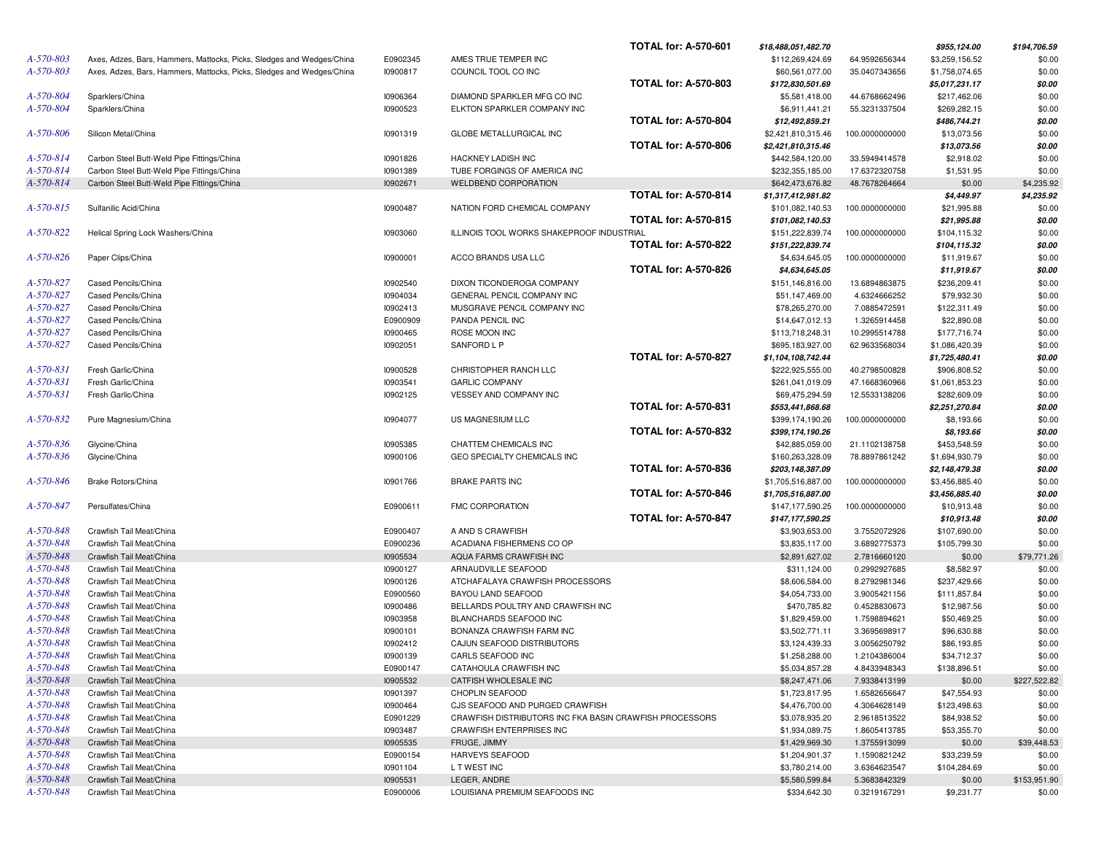|           |                                                                       |          |                                                         | <b>TOTAL for: A-570-601</b> | \$18,488,051,482.70 |                | \$955,124.00   | \$194,706.59 |
|-----------|-----------------------------------------------------------------------|----------|---------------------------------------------------------|-----------------------------|---------------------|----------------|----------------|--------------|
| A-570-803 | Axes, Adzes, Bars, Hammers, Mattocks, Picks, Sledges and Wedges/China | E0902345 | AMES TRUE TEMPER INC                                    |                             | \$112,269,424.69    | 64.9592656344  | \$3,259,156.52 | \$0.00       |
| A-570-803 | Axes, Adzes, Bars, Hammers, Mattocks, Picks, Sledges and Wedges/China | 10900817 | COUNCIL TOOL CO INC                                     |                             | \$60,561,077.00     | 35.0407343656  | \$1,758,074.65 | \$0.00       |
|           |                                                                       |          |                                                         | <b>TOTAL for: A-570-803</b> | \$172,830,501.69    |                | \$5,017,231.17 | \$0.00       |
| A-570-804 | Sparklers/China                                                       | 10906364 | DIAMOND SPARKLER MFG CO INC                             |                             | \$5,581,418.00      | 44.6768662496  | \$217,462.06   | \$0.00       |
| A-570-804 | Sparklers/China                                                       | 10900523 | ELKTON SPARKLER COMPANY INC                             |                             | \$6,911,441.21      | 55.3231337504  | \$269,282.15   | \$0.00       |
|           |                                                                       |          |                                                         | <b>TOTAL for: A-570-804</b> | \$12,492,859.21     |                | \$486,744.21   | \$0.00       |
| A-570-806 | Silicon Metal/China                                                   | 10901319 | GLOBE METALLURGICAL INC                                 |                             | \$2,421,810,315.46  | 100.0000000000 | \$13,073.56    | \$0.00       |
|           |                                                                       |          |                                                         | <b>TOTAL for: A-570-806</b> | \$2,421,810,315.46  |                | \$13,073.56    | \$0.00       |
| A-570-814 | Carbon Steel Butt-Weld Pipe Fittings/China                            | 10901826 | HACKNEY LADISH INC                                      |                             | \$442,584,120.00    | 33.5949414578  | \$2,918.02     | \$0.00       |
| A-570-814 | Carbon Steel Butt-Weld Pipe Fittings/China                            | 10901389 | TUBE FORGINGS OF AMERICA INC                            |                             | \$232,355,185.00    | 17.6372320758  | \$1,531.95     | \$0.00       |
| A-570-814 | Carbon Steel Butt-Weld Pipe Fittings/China                            | 10902671 | <b>WELDBEND CORPORATION</b>                             |                             | \$642,473,676.82    | 48.7678264664  | \$0.00         | \$4,235.92   |
|           |                                                                       |          |                                                         | <b>TOTAL for: A-570-814</b> | \$1,317,412,981.82  |                | \$4,449.97     | \$4,235.92   |
| A-570-815 | Sulfanilic Acid/China                                                 | 10900487 | NATION FORD CHEMICAL COMPANY                            |                             | \$101,082,140.53    | 100.0000000000 | \$21,995.88    | \$0.00       |
|           |                                                                       |          |                                                         | <b>TOTAL for: A-570-815</b> | \$101,082,140.53    |                | \$21,995.88    | \$0.00       |
| A-570-822 |                                                                       |          | ILLINOIS TOOL WORKS SHAKEPROOF INDUSTRIAL               |                             |                     |                |                |              |
|           | Helical Spring Lock Washers/China                                     | 10903060 |                                                         |                             | \$151,222,839.74    | 100.0000000000 | \$104,115.32   | \$0.00       |
|           |                                                                       |          |                                                         | <b>TOTAL for: A-570-822</b> | \$151,222,839.74    |                | \$104,115.32   | \$0.00       |
| A-570-826 | Paper Clips/China                                                     | 10900001 | ACCO BRANDS USA LLC                                     |                             | \$4,634,645.05      | 100.0000000000 | \$11,919.67    | \$0.00       |
|           |                                                                       |          |                                                         | <b>TOTAL for: A-570-826</b> | \$4,634,645.05      |                | \$11,919.67    | \$0.00       |
| A-570-827 | Cased Pencils/China                                                   | 10902540 | DIXON TICONDEROGA COMPANY                               |                             | \$151,146,816.00    | 13.6894863875  | \$236,209.41   | \$0.00       |
| A-570-827 | Cased Pencils/China                                                   | 10904034 | GENERAL PENCIL COMPANY INC                              |                             | \$51,147,469.00     | 4.6324666252   | \$79,932.30    | \$0.00       |
| A-570-827 | Cased Pencils/China                                                   | 10902413 | MUSGRAVE PENCIL COMPANY INC                             |                             | \$78,265,270.00     | 7.0885472591   | \$122,311.49   | \$0.00       |
| A-570-827 | Cased Pencils/China                                                   | E0900909 | PANDA PENCIL INC                                        |                             | \$14,647,012.13     | 1.3265914458   | \$22,890.08    | \$0.00       |
| A-570-827 | Cased Pencils/China                                                   | 10900465 | ROSE MOON INC                                           |                             | \$113,718,248.31    | 10.2995514788  | \$177,716.74   | \$0.00       |
| A-570-827 | Cased Pencils/China                                                   | 10902051 | SANFORD L P                                             |                             | \$695,183,927.00    | 62.9633568034  | \$1,086,420.39 | \$0.00       |
|           |                                                                       |          |                                                         | <b>TOTAL for: A-570-827</b> | \$1,104,108,742.44  |                | \$1,725,480.41 | \$0.00       |
| A-570-831 | Fresh Garlic/China                                                    | 10900528 | CHRISTOPHER RANCH LLC                                   |                             | \$222,925,555.00    | 40.2798500828  | \$906,808.52   | \$0.00       |
| A-570-831 | Fresh Garlic/China                                                    | 10903541 | <b>GARLIC COMPANY</b>                                   |                             | \$261,041,019.09    | 47.1668360966  | \$1,061,853.23 | \$0.00       |
| A-570-831 | Fresh Garlic/China                                                    | 10902125 | VESSEY AND COMPANY INC                                  |                             | \$69,475,294.59     | 12.5533138206  | \$282,609.09   | \$0.00       |
|           |                                                                       |          |                                                         | <b>TOTAL for: A-570-831</b> | \$553,441,868.68    |                | \$2,251,270.84 | \$0.00       |
| A-570-832 | Pure Magnesium/China                                                  | 10904077 | US MAGNESIUM LLC                                        |                             | \$399,174,190.26    | 100.0000000000 | \$8,193.66     | \$0.00       |
|           |                                                                       |          |                                                         | <b>TOTAL for: A-570-832</b> | \$399,174,190.26    |                | \$8,193.66     | \$0.00       |
| A-570-836 | Glycine/China                                                         | 10905385 | CHATTEM CHEMICALS INC                                   |                             | \$42,885,059.00     | 21.1102138758  | \$453,548.59   | \$0.00       |
| A-570-836 | Glycine/China                                                         | 10900106 | GEO SPECIALTY CHEMICALS INC                             |                             | \$160,263,328.09    | 78.8897861242  | \$1,694,930.79 | \$0.00       |
|           |                                                                       |          |                                                         | <b>TOTAL for: A-570-836</b> | \$203,148,387.09    |                | \$2,148,479.38 | \$0.00       |
| A-570-846 | <b>Brake Rotors/China</b>                                             | 10901766 | <b>BRAKE PARTS INC</b>                                  |                             | \$1,705,516,887.00  | 100.0000000000 | \$3,456,885.40 | \$0.00       |
|           |                                                                       |          |                                                         | <b>TOTAL for: A-570-846</b> | \$1,705,516,887.00  |                | \$3,456,885.40 | \$0.00       |
| A-570-847 | Persulfates/China                                                     | E0900611 | FMC CORPORATION                                         |                             | \$147,177,590.25    |                |                | \$0.00       |
|           |                                                                       |          |                                                         | <b>TOTAL for: A-570-847</b> |                     | 100.0000000000 | \$10,913.48    |              |
|           |                                                                       |          |                                                         |                             | \$147,177,590.25    |                | \$10,913.48    | \$0.00       |
| A-570-848 | Crawfish Tail Meat/China                                              | E0900407 | A AND S CRAWFISH                                        |                             | \$3,903,653.00      | 3.7552072926   | \$107,690.00   | \$0.00       |
| A-570-848 | Crawfish Tail Meat/China                                              | E0900236 | ACADIANA FISHERMENS CO OP                               |                             | \$3,835,117.00      | 3.6892775373   | \$105,799.30   | \$0.00       |
| A-570-848 | Crawfish Tail Meat/China                                              | 10905534 | AQUA FARMS CRAWFISH INC                                 |                             | \$2,891,627.02      | 2.7816660120   | \$0.00         | \$79,771.26  |
| A-570-848 | Crawfish Tail Meat/China                                              | 10900127 | ARNAUDVILLE SEAFOOD                                     |                             | \$311,124.00        | 0.2992927685   | \$8,582.97     | \$0.00       |
| A-570-848 | Crawfish Tail Meat/China                                              | 10900126 | ATCHAFALAYA CRAWFISH PROCESSORS                         |                             | \$8,606,584.00      | 8.2792981346   | \$237,429.66   | \$0.00       |
| A-570-848 | Crawfish Tail Meat/China                                              | E0900560 | BAYOU LAND SEAFOOD                                      |                             | \$4,054,733.00      | 3.9005421156   | \$111,857.84   | \$0.00       |
| A-570-848 | Crawfish Tail Meat/China                                              | 10900486 | BELLARDS POULTRY AND CRAWFISH INC                       |                             | \$470,785.82        | 0.4528830673   | \$12,987.56    | \$0.00       |
| A-570-848 | Crawfish Tail Meat/China                                              | 10903958 | BLANCHARDS SEAFOOD INC                                  |                             | \$1,829,459.00      | 1.7598894621   | \$50,469.25    | \$0.00       |
| A-570-848 | Crawfish Tail Meat/China                                              | 10900101 | BONANZA CRAWFISH FARM INC                               |                             | \$3,502,771.11      | 3.3695698917   | \$96,630.88    | \$0.00       |
| A-570-848 | Crawfish Tail Meat/China                                              | 10902412 | CAJUN SEAFOOD DISTRIBUTORS                              |                             | \$3,124,439.33      | 3.0056250792   | \$86,193.85    | \$0.00       |
| A-570-848 | Crawfish Tail Meat/China                                              | 10900139 | CARLS SEAFOOD INC                                       |                             | \$1,258,288.00      | 1.2104386004   | \$34,712.37    | \$0.00       |
| A-570-848 | Crawfish Tail Meat/China                                              | E0900147 | CATAHOULA CRAWFISH INC                                  |                             | \$5,034,857.28      | 4.8433948343   | \$138,896.51   | \$0.00       |
| A-570-848 | Crawfish Tail Meat/China                                              | 10905532 | CATFISH WHOLESALE INC                                   |                             | \$8,247,471.06      | 7.9338413199   | \$0.00         | \$227,522.82 |
| A-570-848 | Crawfish Tail Meat/China                                              | 10901397 | <b>CHOPLIN SEAFOOD</b>                                  |                             | \$1,723,817.95      | 1.6582656647   | \$47,554.93    | \$0.00       |
| A-570-848 | Crawfish Tail Meat/China                                              | 10900464 | CJS SEAFOOD AND PURGED CRAWFISH                         |                             | \$4,476,700.00      | 4.3064628149   | \$123,498.63   | \$0.00       |
| A-570-848 | Crawfish Tail Meat/China                                              | E0901229 | CRAWFISH DISTRIBUTORS INC FKA BASIN CRAWFISH PROCESSORS |                             | \$3,078,935.20      | 2.9618513522   | \$84,938.52    | \$0.00       |
| A-570-848 | Crawfish Tail Meat/China                                              | 10903487 | CRAWFISH ENTERPRISES INC                                |                             | \$1,934,089.75      | 1.8605413785   | \$53,355.70    | \$0.00       |
| A-570-848 | Crawfish Tail Meat/China                                              | 10905535 | FRUGE, JIMMY                                            |                             | \$1,429,969.30      | 1.3755913099   | \$0.00         | \$39,448.53  |
| A-570-848 | Crawfish Tail Meat/China                                              | E0900154 | <b>HARVEYS SEAFOOD</b>                                  |                             | \$1,204,901.37      | 1.1590821242   | \$33,239.59    | \$0.00       |
| A-570-848 | Crawfish Tail Meat/China                                              | 10901104 | L T WEST INC                                            |                             | \$3,780,214.00      | 3.6364623547   | \$104,284.69   | \$0.00       |
| A-570-848 |                                                                       |          |                                                         |                             |                     |                |                |              |
|           | Crawfish Tail Meat/China                                              | 10905531 | LEGER, ANDRE                                            |                             | \$5,580,599.84      | 5.3683842329   | \$0.00         | \$153,951.90 |
| A-570-848 | Crawfish Tail Meat/China                                              | E0900006 | LOUISIANA PREMIUM SEAFOODS INC                          |                             | \$334,642.30        | 0.3219167291   | \$9,231.77     | \$0.00       |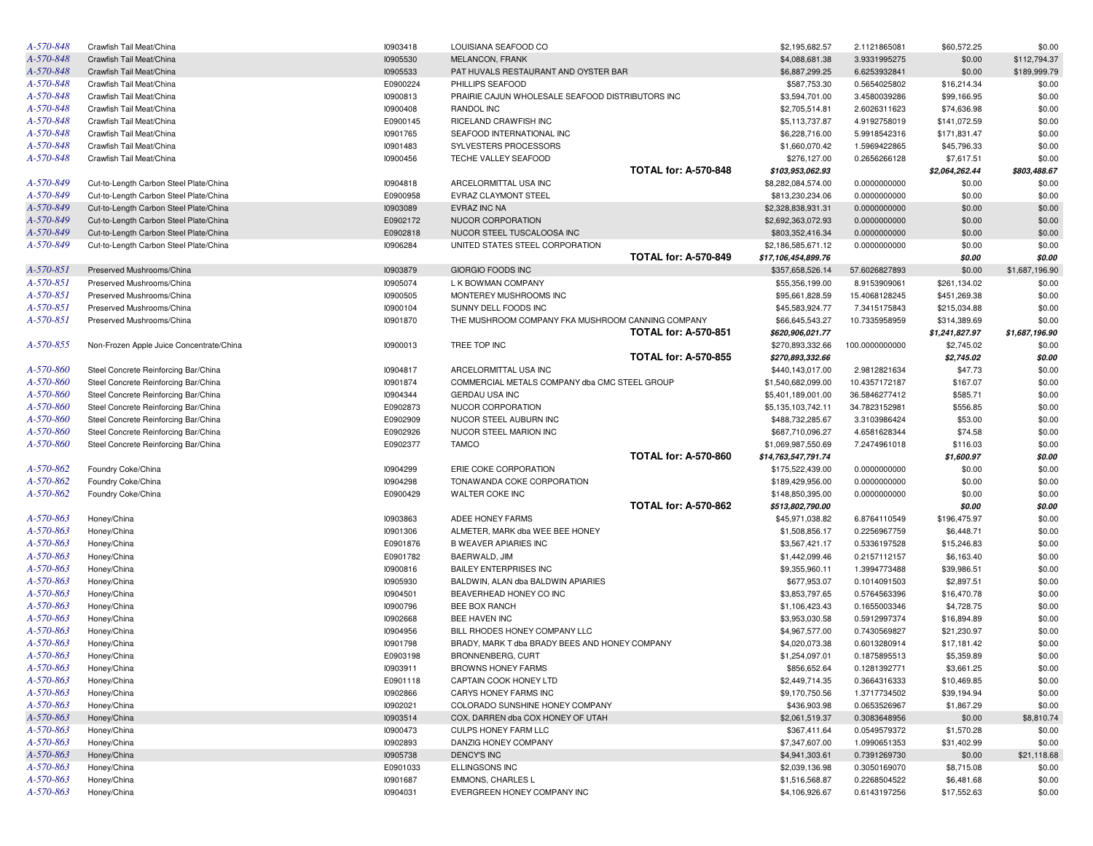| A-570-848       | Crawfish Tail Meat/China                 | 10903418 | LOUISIANA SEAFOOD CO                              |                             | \$2,195,682.57      | 2.1121865081   | \$60,572.25    | \$0.00         |
|-----------------|------------------------------------------|----------|---------------------------------------------------|-----------------------------|---------------------|----------------|----------------|----------------|
| A-570-848       | Crawfish Tail Meat/China                 | 10905530 | <b>MELANCON, FRANK</b>                            |                             | \$4,088,681.38      | 3.9331995275   | \$0.00         | \$112,794.37   |
| A-570-848       | Crawfish Tail Meat/China                 | 10905533 | PAT HUVALS RESTAURANT AND OYSTER BAR              |                             | \$6,887,299.25      | 6.6253932841   | \$0.00         | \$189,999.79   |
| A-570-848       | Crawfish Tail Meat/China                 | E0900224 | PHILLIPS SEAFOOD                                  |                             | \$587,753.30        | 0.5654025802   | \$16,214.34    | \$0.00         |
| A-570-848       | Crawfish Tail Meat/China                 | 10900813 | PRAIRIE CAJUN WHOLESALE SEAFOOD DISTRIBUTORS INC  |                             | \$3,594,701.00      | 3.4580039286   | \$99,166.95    | \$0.00         |
| A-570-848       | Crawfish Tail Meat/China                 | 10900408 | RANDOL INC                                        |                             | \$2,705,514.81      | 2.6026311623   | \$74,636.98    | \$0.00         |
| A-570-848       | Crawfish Tail Meat/China                 | E0900145 | RICELAND CRAWFISH INC                             |                             | \$5,113,737.87      | 4.9192758019   | \$141,072.59   | \$0.00         |
| A-570-848       | Crawfish Tail Meat/China                 | 10901765 | SEAFOOD INTERNATIONAL INC                         |                             | \$6,228,716.00      | 5.9918542316   | \$171,831.47   | \$0.00         |
| A-570-848       | Crawfish Tail Meat/China                 | 10901483 | SYLVESTERS PROCESSORS                             |                             | \$1,660,070.42      | 1.5969422865   | \$45,796.33    | \$0.00         |
| A-570-848       | Crawfish Tail Meat/China                 | 10900456 | TECHE VALLEY SEAFOOD                              |                             | \$276,127.00        | 0.2656266128   | \$7,617.51     | \$0.00         |
|                 |                                          |          |                                                   | <b>TOTAL for: A-570-848</b> | \$103,953,062.93    |                | \$2,064,262.44 | \$803,488.67   |
| A-570-849       | Cut-to-Length Carbon Steel Plate/China   | 10904818 | ARCELORMITTAL USA INC                             |                             | \$8,282,084,574.00  | 0.0000000000   | \$0.00         | \$0.00         |
| A-570-849       | Cut-to-Length Carbon Steel Plate/China   | E0900958 | EVRAZ CLAYMONT STEEL                              |                             | \$813,230,234.06    | 0.0000000000   | \$0.00         | \$0.00         |
| A-570-849       | Cut-to-Length Carbon Steel Plate/China   | 10903089 | EVRAZ INC NA                                      |                             | \$2,328,838,931.31  | 0.0000000000   | \$0.00         | \$0.00         |
| A-570-849       | Cut-to-Length Carbon Steel Plate/China   | E0902172 | NUCOR CORPORATION                                 |                             | \$2,692,363,072.93  | 0.0000000000   | \$0.00         | \$0.00         |
| A-570-849       | Cut-to-Length Carbon Steel Plate/China   | E0902818 | NUCOR STEEL TUSCALOOSA INC                        |                             | \$803,352,416.34    | 0.0000000000   | \$0.00         | \$0.00         |
| A-570-849       | Cut-to-Length Carbon Steel Plate/China   | 10906284 | UNITED STATES STEEL CORPORATION                   |                             | \$2,186,585,671.12  | 0.0000000000   | \$0.00         | \$0.00         |
|                 |                                          |          |                                                   | <b>TOTAL for: A-570-849</b> | \$17,106,454,899.76 |                | \$0.00         | \$0.00         |
| A-570-851       | Preserved Mushrooms/China                | 10903879 | GIORGIO FOODS INC                                 |                             | \$357,658,526.14    | 57.6026827893  | \$0.00         | \$1,687,196.90 |
| A-570-851       | Preserved Mushrooms/China                | 10905074 | L K BOWMAN COMPANY                                |                             | \$55,356,199.00     | 8.9153909061   | \$261,134.02   | \$0.00         |
| A-570-851       | Preserved Mushrooms/China                | 10900505 | MONTEREY MUSHROOMS INC                            |                             | \$95,661,828.59     | 15.4068128245  | \$451,269.38   | \$0.00         |
| A-570-851       | Preserved Mushrooms/China                | 10900104 | SUNNY DELL FOODS INC                              |                             | \$45,583,924.77     | 7.3415175843   | \$215,034.88   | \$0.00         |
| A-570-851       | Preserved Mushrooms/China                | 10901870 | THE MUSHROOM COMPANY FKA MUSHROOM CANNING COMPANY |                             | \$66,645,543.27     | 10.7335958959  | \$314,389.69   | \$0.00         |
|                 |                                          |          |                                                   | <b>TOTAL for: A-570-851</b> | \$620,906,021.77    |                | \$1,241,827.97 | \$1,687,196.90 |
| A-570-855       | Non-Frozen Apple Juice Concentrate/China | 10900013 | TREE TOP INC                                      |                             | \$270,893,332.66    | 100.0000000000 | \$2,745.02     | \$0.00         |
|                 |                                          |          |                                                   | <b>TOTAL for: A-570-855</b> | \$270,893,332.66    |                | \$2,745.02     | \$0.00         |
| A-570-860       | Steel Concrete Reinforcing Bar/China     | 10904817 | ARCELORMITTAL USA INC                             |                             | \$440,143,017.00    | 2.9812821634   | \$47.73        | \$0.00         |
| A-570-860       | Steel Concrete Reinforcing Bar/China     | 10901874 | COMMERCIAL METALS COMPANY dba CMC STEEL GROUP     |                             | \$1,540,682,099.00  | 10.4357172187  | \$167.07       | \$0.00         |
| A-570-860       | Steel Concrete Reinforcing Bar/China     | 10904344 | <b>GERDAU USA INC</b>                             |                             | \$5,401,189,001.00  | 36.5846277412  | \$585.71       | \$0.00         |
| A-570-860       | Steel Concrete Reinforcing Bar/China     | E0902873 | NUCOR CORPORATION                                 |                             | \$5,135,103,742.11  | 34.7823152981  | \$556.85       | \$0.00         |
| A-570-860       | Steel Concrete Reinforcing Bar/China     | E0902909 | NUCOR STEEL AUBURN INC                            |                             | \$488,732,285.67    | 3.3103986424   | \$53.00        | \$0.00         |
| A-570-860       | Steel Concrete Reinforcing Bar/China     | E0902926 | NUCOR STEEL MARION INC                            |                             | \$687,710,096.27    | 4.6581628344   | \$74.58        | \$0.00         |
| A-570-860       | Steel Concrete Reinforcing Bar/China     | E0902377 | <b>TAMCO</b>                                      |                             | \$1,069,987,550.69  | 7.2474961018   | \$116.03       | \$0.00         |
|                 |                                          |          |                                                   | <b>TOTAL for: A-570-860</b> | \$14,763,547,791.74 |                | \$1,600.97     | \$0.00         |
| A-570-862       | Foundry Coke/China                       | 10904299 | ERIE COKE CORPORATION                             |                             | \$175,522,439.00    | 0.0000000000   | \$0.00         | \$0.00         |
| A-570-862       | Foundry Coke/China                       | 10904298 | TONAWANDA COKE CORPORATION                        |                             | \$189,429,956.00    | 0.0000000000   | \$0.00         | \$0.00         |
| A-570-862       | Foundry Coke/China                       | E0900429 | WALTER COKE INC                                   |                             | \$148,850,395.00    | 0.0000000000   | \$0.00         | \$0.00         |
|                 |                                          |          |                                                   | <b>TOTAL for: A-570-862</b> | \$513,802,790.00    |                | \$0.00         | \$0.00         |
| A-570-863       | Honey/China                              | 10903863 | ADEE HONEY FARMS                                  |                             | \$45,971,038.82     | 6.8764110549   | \$196,475.97   | \$0.00         |
| A-570-863       | Honey/China                              | 10901306 | ALMETER, MARK dba WEE BEE HONEY                   |                             | \$1,508,856.17      | 0.2256967759   | \$6,448.71     | \$0.00         |
| A-570-863       | Honey/China                              | E0901876 | <b>B WEAVER APIARIES INC</b>                      |                             | \$3,567,421.17      | 0.5336197528   | \$15,246.83    | \$0.00         |
| A-570-863       | Honey/China                              | E0901782 | BAERWALD, JIM                                     |                             | \$1,442,099.46      | 0.2157112157   | \$6,163.40     | \$0.00         |
| A-570-863       | Honey/China                              | 10900816 | <b>BAILEY ENTERPRISES INC</b>                     |                             | \$9,355,960.11      | 1.3994773488   | \$39,986.51    | \$0.00         |
| A-570-863       | Honey/China                              | 10905930 | BALDWIN, ALAN dba BALDWIN APIARIES                |                             | \$677,953.07        | 0.1014091503   | \$2,897.51     | \$0.00         |
| A-570-863       | Honey/China                              | 10904501 | BEAVERHEAD HONEY CO INC                           |                             | \$3,853,797.65      | 0.5764563396   | \$16,470.78    | \$0.00         |
| A-570-863       | Honey/China                              | 10900796 | <b>BEE BOX RANCH</b>                              |                             | \$1,106,423.43      | 0.1655003346   | \$4,728.75     | \$0.00         |
| A-570-863       | Honey/China                              | 10902668 | BEE HAVEN INC                                     |                             | \$3,953,030.58      | 0.5912997374   | \$16,894.89    | \$0.00         |
| A-570-863       | Honey/China                              | 10904956 | BILL RHODES HONEY COMPANY LLC                     |                             | \$4,967,577.00      | 0.7430569827   | \$21,230.97    | \$0.00         |
| A-570-863       | Honey/China                              | 10901798 | BRADY, MARK T dba BRADY BEES AND HONEY COMPANY    |                             | \$4,020,073.38      | 0.6013280914   | \$17,181.42    | \$0.00         |
| $A - 570 - 863$ | Honey/China                              | E0903198 | BRONNENBERG, CURT                                 |                             | \$1,254,097.01      | 0.1875895513   | \$5,359.89     | \$0.00         |
| A-570-863       | Honey/China                              | 10903911 | BROWNS HONEY FARMS                                |                             | \$856,652.64        | 0.1281392771   | \$3,661.25     | \$0.00         |
| A-570-863       | Honey/China                              | E0901118 | CAPTAIN COOK HONEY LTD                            |                             | \$2,449,714.35      | 0.3664316333   | \$10,469.85    | \$0.00         |
| $A - 570 - 863$ | Honey/China                              | 10902866 | CARYS HONEY FARMS INC                             |                             | \$9,170,750.56      | 1.3717734502   | \$39,194.94    | \$0.00         |
| A-570-863       | Honey/China                              | 10902021 | COLORADO SUNSHINE HONEY COMPANY                   |                             | \$436,903.98        | 0.0653526967   | \$1,867.29     | \$0.00         |
| A-570-863       | Honey/China                              | 10903514 | COX, DARREN dba COX HONEY OF UTAH                 |                             | \$2,061,519.37      | 0.3083648956   | \$0.00         | \$8,810.74     |
| $A - 570 - 863$ | Honey/China                              | 10900473 | <b>CULPS HONEY FARM LLC</b>                       |                             | \$367,411.64        | 0.0549579372   | \$1,570.28     | \$0.00         |
| A-570-863       | Honey/China                              | 10902893 | DANZIG HONEY COMPANY                              |                             | \$7,347,607.00      | 1.0990651353   | \$31,402.99    | \$0.00         |
| $A - 570 - 863$ | Honey/China                              | 10905738 | <b>DENCY'S INC</b>                                |                             | \$4,941,303.61      | 0.7391269730   | \$0.00         | \$21,118.68    |
| A-570-863       | Honey/China                              | E0901033 | <b>ELLINGSONS INC</b>                             |                             | \$2,039,136.98      | 0.3050169070   | \$8,715.08     | \$0.00         |
| A-570-863       | Honey/China                              | 10901687 | <b>EMMONS, CHARLES L</b>                          |                             | \$1,516,568.87      | 0.2268504522   | \$6,481.68     | \$0.00         |
| A-570-863       | Honey/China                              | 10904031 | EVERGREEN HONEY COMPANY INC                       |                             | \$4,106,926.67      | 0.6143197256   | \$17,552.63    | \$0.00         |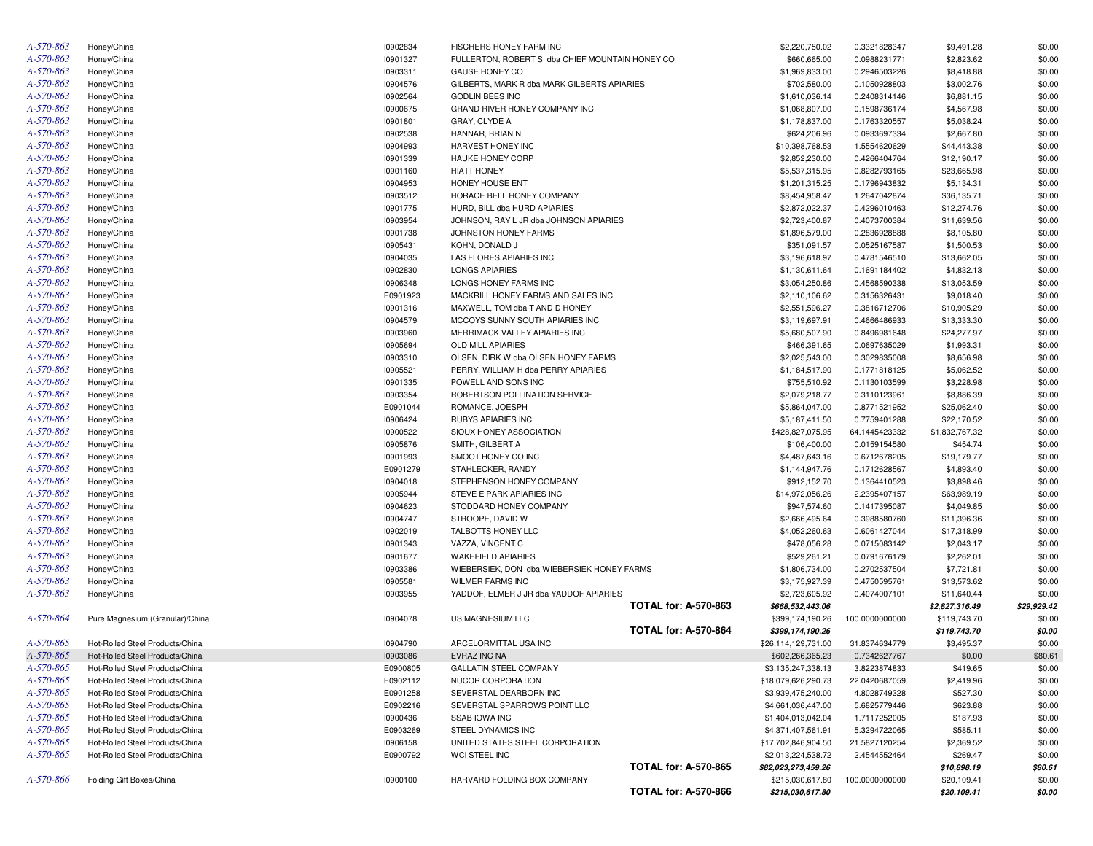| A-570-863              | Honey/China                     | 10902834        | <b>FISCHERS HONEY FARM INC</b>                  |                             | \$2,220,750.02      | 0.3321828347                 | \$9,491.28     | \$0.00      |
|------------------------|---------------------------------|-----------------|-------------------------------------------------|-----------------------------|---------------------|------------------------------|----------------|-------------|
| A-570-863              | Honey/China                     | 10901327        | FULLERTON, ROBERT S dba CHIEF MOUNTAIN HONEY CO |                             | \$660,665.00        | 0.0988231771                 | \$2,823.62     | \$0.00      |
| A-570-863              | Honey/China                     | 10903311        | <b>GAUSE HONEY CO</b>                           |                             | \$1,969,833.00      | 0.2946503226                 | \$8,418.88     | \$0.00      |
| A-570-863              | Honey/China                     | I0904576        | GILBERTS, MARK R dba MARK GILBERTS APIARIES     |                             | \$702,580.00        | 0.1050928803                 | \$3,002.76     | \$0.00      |
| A-570-863              | Honey/China                     | I0902564        | <b>GODLIN BEES INC</b>                          |                             | \$1,610,036.14      | 0.2408314146                 | \$6,881.15     | \$0.00      |
| A-570-863              | Honey/China                     | <b>I0900675</b> | GRAND RIVER HONEY COMPANY INC                   |                             | \$1,068,807.00      | 0.1598736174                 | \$4,567.98     | \$0.00      |
| A-570-863              | Honey/China                     | 10901801        | GRAY, CLYDE A                                   |                             | \$1,178,837.00      | 0.1763320557                 | \$5,038.24     | \$0.00      |
| A-570-863              | Honey/China                     | 10902538        | HANNAR, BRIAN N                                 |                             | \$624,206.96        | 0.0933697334                 | \$2,667.80     | \$0.00      |
| A-570-863              | Honey/China                     | <b>I0904993</b> | HARVEST HONEY INC                               |                             | \$10,398,768.53     | 1.5554620629                 | \$44,443.38    | \$0.00      |
| A-570-863              | Honey/China                     | 10901339        | HAUKE HONEY CORP                                |                             | \$2,852,230.00      | 0.4266404764                 | \$12,190.17    | \$0.00      |
| A-570-863              | Honey/China                     | 10901160        | <b>HIATT HONEY</b>                              |                             | \$5,537,315.95      | 0.8282793165                 | \$23,665.98    | \$0.00      |
| A-570-863              | Honey/China                     | <b>I0904953</b> | <b>HONEY HOUSE ENT</b>                          |                             | \$1,201,315.25      | 0.1796943832                 | \$5,134.31     | \$0.00      |
| A-570-863              | Honey/China                     | 10903512        | HORACE BELL HONEY COMPANY                       |                             | \$8,454,958.47      | 1.2647042874                 | \$36,135.71    | \$0.00      |
| A-570-863              | Honey/China                     | 10901775        | HURD, BILL dba HURD APIARIES                    |                             | \$2,872,022.37      | 0.4296010463                 | \$12,274.76    | \$0.00      |
| A-570-863              | Honey/China                     | 10903954        | JOHNSON, RAY L JR dba JOHNSON APIARIES          |                             | \$2,723,400.87      | 0.4073700384                 | \$11,639.56    | \$0.00      |
| A-570-863              | Honey/China                     | 10901738        | JOHNSTON HONEY FARMS                            |                             | \$1,896,579.00      | 0.2836928888                 | \$8,105.80     | \$0.00      |
| A-570-863              | Honey/China                     | 10905431        | KOHN, DONALD J                                  |                             | \$351,091.57        | 0.0525167587                 | \$1,500.53     | \$0.00      |
| A-570-863              | Honey/China                     | <b>I0904035</b> | LAS FLORES APIARIES INC                         |                             | \$3,196,618.97      | 0.4781546510                 | \$13,662.05    | \$0.00      |
| A-570-863              | Honey/China                     | 10902830        | <b>LONGS APIARIES</b>                           |                             | \$1,130,611.64      | 0.1691184402                 | \$4,832.13     | \$0.00      |
| A-570-863              | Honey/China                     | 10906348        | LONGS HONEY FARMS INC                           |                             | \$3,054,250.86      | 0.4568590338                 | \$13,053.59    | \$0.00      |
| A-570-863              | Honey/China                     | E0901923        | MACKRILL HONEY FARMS AND SALES INC              |                             | \$2,110,106.62      | 0.3156326431                 | \$9,018.40     | \$0.00      |
| A-570-863              | Honey/China                     | 10901316        | MAXWELL, TOM dba T AND D HONEY                  |                             | \$2,551,596.27      | 0.3816712706                 | \$10,905.29    | \$0.00      |
| A-570-863              | Honey/China                     | I0904579        | MCCOYS SUNNY SOUTH APIARIES INC                 |                             | \$3,119,697.91      | 0.4666486933                 | \$13,333.30    | \$0.00      |
| A-570-863              | Honey/China                     | 10903960        | MERRIMACK VALLEY APIARIES INC                   |                             | \$5,680,507.90      | 0.8496981648                 | \$24,277.97    | \$0.00      |
| A-570-863              | Honey/China                     | 10905694        | <b>OLD MILL APIARIES</b>                        |                             | \$466,391.65        | 0.0697635029                 | \$1,993.31     | \$0.00      |
| A-570-863              | Honey/China                     | 10903310        | OLSEN, DIRK W dba OLSEN HONEY FARMS             |                             | \$2,025,543.00      | 0.3029835008                 | \$8,656.98     | \$0.00      |
| A-570-863              | Honey/China                     | <b>I0905521</b> | PERRY, WILLIAM H dba PERRY APIARIES             |                             | \$1,184,517.90      | 0.1771818125                 | \$5,062.52     | \$0.00      |
| A-570-863              | Honey/China                     | 10901335        | POWELL AND SONS INC                             |                             | \$755,510.92        | 0.1130103599                 | \$3,228.98     | \$0.00      |
| A-570-863              | Honey/China                     | 10903354        | ROBERTSON POLLINATION SERVICE                   |                             | \$2,079,218.77      | 0.3110123961                 | \$8,886.39     | \$0.00      |
| A-570-863              | Honey/China                     | E0901044        | ROMANCE, JOESPH                                 |                             | \$5,864,047.00      | 0.8771521952                 | \$25,062.40    | \$0.00      |
| A-570-863              | Honey/China                     | 10906424        | <b>RUBYS APIARIES INC</b>                       |                             | \$5,187,411.50      | 0.7759401288                 | \$22,170.52    | \$0.00      |
| A-570-863              | Honey/China                     | 10900522        | SIOUX HONEY ASSOCIATION                         |                             | \$428,827,075.95    | 64.1445423332                | \$1,832,767.32 | \$0.00      |
| A-570-863              | Honey/China                     | 10905876        | SMITH, GILBERT A                                |                             | \$106,400.00        | 0.0159154580                 | \$454.74       | \$0.00      |
| A-570-863              |                                 | 10901993        | SMOOT HONEY CO INC                              |                             | \$4,487,643.16      |                              | \$19,179.77    | \$0.00      |
| A-570-863              | Honey/China                     | E0901279        | STAHLECKER, RANDY                               |                             | \$1,144,947.76      | 0.6712678205<br>0.1712628567 | \$4,893.40     | \$0.00      |
| A-570-863              | Honey/China                     | 10904018        | STEPHENSON HONEY COMPANY                        |                             | \$912,152.70        |                              | \$3,898.46     | \$0.00      |
| A-570-863              | Honey/China                     | <b>I0905944</b> | STEVE E PARK APIARIES INC                       |                             | \$14,972,056.26     | 0.1364410523                 | \$63,989.19    | \$0.00      |
| A-570-863              | Honey/China                     | I0904623        | STODDARD HONEY COMPANY                          |                             | \$947,574.60        | 2.2395407157                 |                |             |
| A-570-863              | Honey/China                     |                 |                                                 |                             |                     | 0.1417395087                 | \$4,049.85     | \$0.00      |
| A-570-863              | Honey/China                     | I0904747        | STROOPE, DAVID W                                |                             | \$2,666,495.64      | 0.3988580760                 | \$11,396.36    | \$0.00      |
| A-570-863              | Honey/China                     | 10902019        | TALBOTTS HONEY LLC                              |                             | \$4,052,260.63      | 0.6061427044                 | \$17,318.99    | \$0.00      |
| A-570-863              | Honey/China                     | 10901343        | VAZZA, VINCENT C                                |                             | \$478,056.28        | 0.0715083142                 | \$2,043.17     | \$0.00      |
|                        | Honey/China                     | 10901677        | <b>WAKEFIELD APIARIES</b>                       |                             | \$529,261.21        | 0.0791676179                 | \$2,262.01     | \$0.00      |
| A-570-863              | Honey/China                     | 10903386        | WIEBERSIEK, DON dba WIEBERSIEK HONEY FARMS      |                             | \$1,806,734.00      | 0.2702537504                 | \$7,721.81     | \$0.00      |
| A-570-863              | Honey/China                     | 10905581        | <b>WILMER FARMS INC</b>                         |                             | \$3,175,927.39      | 0.4750595761                 | \$13,573.62    | \$0.00      |
| A-570-863              | Honey/China                     | 10903955        | YADDOF, ELMER J JR dba YADDOF APIARIES          | <b>TOTAL for: A-570-863</b> | \$2,723,605.92      | 0.4074007101                 | \$11,640.44    | \$0.00      |
| A-570-864              |                                 |                 |                                                 |                             | \$668,532,443.06    |                              | \$2,827,316.49 | \$29,929.42 |
|                        | Pure Magnesium (Granular)/China | 10904078        | US MAGNESIUM LLC                                |                             | \$399,174,190.26    | 100.0000000000               | \$119,743.70   | \$0.00      |
| A-570-865              |                                 |                 | ARCELORMITTAL USA INC                           | <b>TOTAL for: A-570-864</b> | \$399,174,190.26    |                              | \$119,743.70   | \$0.00      |
|                        | Hot-Rolled Steel Products/China | 10904790        |                                                 |                             | \$26,114,129,731.00 | 31.8374634779                | \$3,495.37     | \$0.00      |
| A-570-865              | Hot-Rolled Steel Products/China | 10903086        | EVRAZ INC NA                                    |                             | \$602,266,365.23    | 0.7342627767                 | \$0.00         | \$80.61     |
| A-570-865<br>A-570-865 | Hot-Rolled Steel Products/China | E0900805        | <b>GALLATIN STEEL COMPANY</b>                   |                             | \$3,135,247,338.13  | 3.8223874833                 | \$419.65       | \$0.00      |
|                        | Hot-Rolled Steel Products/China | E0902112        | NUCOR CORPORATION                               |                             | \$18,079,626,290.73 | 22.0420687059                | \$2,419.96     | \$0.00      |
| A-570-865              | Hot-Rolled Steel Products/China | E0901258        | SEVERSTAL DEARBORN INC                          |                             | \$3,939,475,240.00  | 4.8028749328                 | \$527.30       | \$0.00      |
| A-570-865              | Hot-Rolled Steel Products/China | E0902216        | SEVERSTAL SPARROWS POINT LLC                    |                             | \$4,661,036,447.00  | 5.6825779446                 | \$623.88       | \$0.00      |
| A-570-865              | Hot-Rolled Steel Products/China | <b>I0900436</b> | <b>SSAB IOWA INC</b>                            |                             | \$1,404,013,042.04  | 1.7117252005                 | \$187.93       | \$0.00      |
| A-570-865              | Hot-Rolled Steel Products/China | E0903269        | STEEL DYNAMICS INC                              |                             | \$4,371,407,561.91  | 5.3294722065                 | \$585.11       | \$0.00      |
| A-570-865              | Hot-Rolled Steel Products/China | 10906158        | UNITED STATES STEEL CORPORATION                 |                             | \$17,702,846,904.50 | 21.5827120254                | \$2,369.52     | \$0.00      |
| A-570-865              | Hot-Rolled Steel Products/China | E0900792        | WCI STEEL INC                                   |                             | \$2,013,224,538.72  | 2.4544552464                 | \$269.47       | \$0.00      |
|                        |                                 |                 |                                                 | <b>TOTAL for: A-570-865</b> | \$82,023,273,459.26 |                              | \$10,898.19    | \$80.61     |
| A-570-866              | Folding Gift Boxes/China        | 10900100        | HARVARD FOLDING BOX COMPANY                     |                             | \$215,030,617.80    | 100.0000000000               | \$20,109.41    | \$0.00      |
|                        |                                 |                 |                                                 | <b>TOTAL for: A-570-866</b> | \$215,030,617.80    |                              | \$20,109.41    | \$0.00      |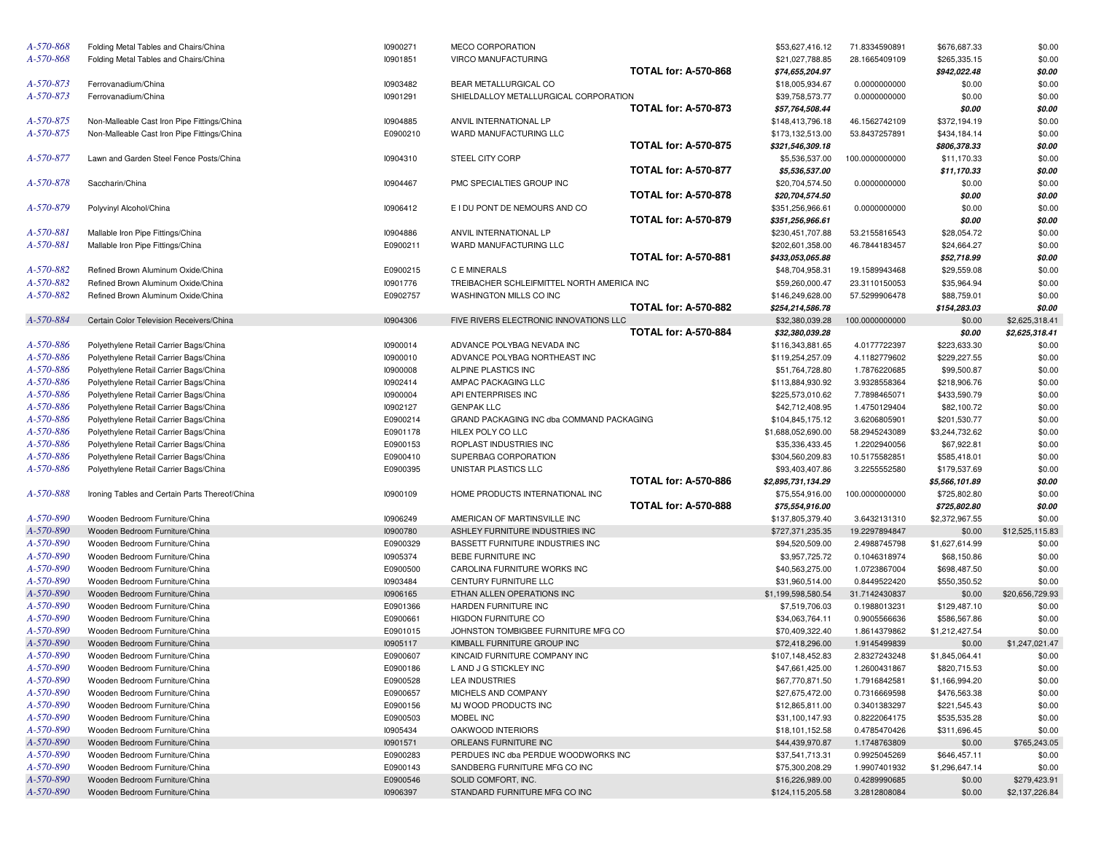| A-570-868 | Folding Metal Tables and Chairs/China          | 10900271 | MECO CORPORATION                           |                             | \$53,627,416.12    | 71.8334590891  | \$676,687.33   | \$0.00          |
|-----------|------------------------------------------------|----------|--------------------------------------------|-----------------------------|--------------------|----------------|----------------|-----------------|
| A-570-868 | Folding Metal Tables and Chairs/China          | 10901851 | VIRCO MANUFACTURING                        |                             | \$21,027,788.85    | 28.1665409109  | \$265,335.15   | \$0.00          |
|           |                                                |          |                                            | <b>TOTAL for: A-570-868</b> | \$74,655,204.97    |                | \$942,022.48   | \$0.00          |
| A-570-873 | Ferrovanadium/China                            | 10903482 | BEAR METALLURGICAL CO                      |                             | \$18,005,934.67    | 0.0000000000   | \$0.00         | \$0.00          |
| A-570-873 | Ferrovanadium/China                            | 10901291 | SHIELDALLOY METALLURGICAL CORPORATION      |                             | \$39,758,573.77    | 0.0000000000   | \$0.00         | \$0.00          |
|           |                                                |          |                                            | <b>TOTAL for: A-570-873</b> | \$57,764,508.44    |                | \$0.00         | \$0.00          |
| A-570-875 | Non-Malleable Cast Iron Pipe Fittings/China    | 10904885 | ANVIL INTERNATIONAL LP                     |                             | \$148,413,796.18   | 46.1562742109  | \$372,194.19   | \$0.00          |
| A-570-875 | Non-Malleable Cast Iron Pipe Fittings/China    | E0900210 | WARD MANUFACTURING LLC                     |                             | \$173,132,513.00   | 53.8437257891  | \$434,184.14   | \$0.00          |
|           |                                                |          |                                            | <b>TOTAL for: A-570-875</b> | \$321,546,309.18   |                | \$806,378.33   | \$0.00          |
| A-570-877 | Lawn and Garden Steel Fence Posts/China        | 10904310 | STEEL CITY CORP                            |                             | \$5,536,537.00     | 100.0000000000 | \$11,170.33    | \$0.00          |
|           |                                                |          |                                            | <b>TOTAL for: A-570-877</b> | \$5,536,537.00     |                | \$11,170.33    | \$0.00          |
| A-570-878 |                                                |          | PMC SPECIALTIES GROUP INC                  |                             | \$20,704,574.50    |                |                |                 |
|           | Saccharin/China                                | 10904467 |                                            |                             |                    | 0.0000000000   | \$0.00         | \$0.00          |
|           |                                                |          |                                            | <b>TOTAL for: A-570-878</b> | \$20,704,574.50    |                | \$0.00         | \$0.00          |
| A-570-879 | Polyvinyl Alcohol/China                        | 10906412 | E I DU PONT DE NEMOURS AND CO              |                             | \$351,256,966.61   | 0.0000000000   | \$0.00         | \$0.00          |
|           |                                                |          |                                            | <b>TOTAL for: A-570-879</b> | \$351,256,966.61   |                | \$0.00         | \$0.00          |
| A-570-881 | Mallable Iron Pipe Fittings/China              | 10904886 | ANVIL INTERNATIONAL LP                     |                             | \$230,451,707.88   | 53.2155816543  | \$28,054.72    | \$0.00          |
| A-570-881 | Mallable Iron Pipe Fittings/China              | E0900211 | WARD MANUFACTURING LLC                     |                             | \$202,601,358.00   | 46.7844183457  | \$24,664.27    | \$0.00          |
|           |                                                |          |                                            | <b>TOTAL for: A-570-881</b> | \$433,053,065.88   |                | \$52,718.99    | \$0.00          |
| A-570-882 | Refined Brown Aluminum Oxide/China             | E0900215 | C E MINERALS                               |                             | \$48,704,958.31    | 19.1589943468  | \$29,559.08    | \$0.00          |
| A-570-882 | Refined Brown Aluminum Oxide/China             | 10901776 | TREIBACHER SCHLEIFMITTEL NORTH AMERICA INC |                             | \$59,260,000.47    | 23.3110150053  | \$35,964.94    | \$0.00          |
| A-570-882 | Refined Brown Aluminum Oxide/China             | E0902757 | WASHINGTON MILLS CO INC                    |                             | \$146,249,628.00   | 57.5299906478  | \$88,759.01    | \$0.00          |
|           |                                                |          |                                            | <b>TOTAL for: A-570-882</b> | \$254,214,586.78   |                | \$154,283.03   | \$0.00          |
| A-570-884 | Certain Color Television Receivers/China       | 10904306 | FIVE RIVERS ELECTRONIC INNOVATIONS LLC     |                             | \$32,380,039.28    | 100.0000000000 | \$0.00         | \$2,625,318.41  |
|           |                                                |          |                                            | <b>TOTAL for: A-570-884</b> | \$32,380,039.28    |                | \$0.00         | \$2,625,318.41  |
| A-570-886 | Polyethylene Retail Carrier Bags/China         | 10900014 | ADVANCE POLYBAG NEVADA INC                 |                             | \$116,343,881.65   | 4.0177722397   | \$223,633.30   | \$0.00          |
| A-570-886 | Polyethylene Retail Carrier Bags/China         | 10900010 | ADVANCE POLYBAG NORTHEAST INC              |                             | \$119,254,257.09   | 4.1182779602   | \$229,227.55   | \$0.00          |
| A-570-886 | Polyethylene Retail Carrier Bags/China         | 10900008 | ALPINE PLASTICS INC                        |                             | \$51,764,728.80    | 1.7876220685   | \$99,500.87    | \$0.00          |
| A-570-886 | Polyethylene Retail Carrier Bags/China         | 10902414 | AMPAC PACKAGING LLC                        |                             | \$113,884,930.92   | 3.9328558364   | \$218,906.76   | \$0.00          |
| A-570-886 | Polyethylene Retail Carrier Bags/China         | 10900004 | API ENTERPRISES INC                        |                             | \$225,573,010.62   | 7.7898465071   | \$433,590.79   | \$0.00          |
| A-570-886 | Polyethylene Retail Carrier Bags/China         | 10902127 | <b>GENPAK LLC</b>                          |                             | \$42,712,408.95    | 1.4750129404   | \$82,100.72    | \$0.00          |
| A-570-886 | Polyethylene Retail Carrier Bags/China         | E0900214 | GRAND PACKAGING INC dba COMMAND PACKAGING  |                             | \$104,845,175.12   | 3.6206805901   | \$201,530.77   | \$0.00          |
| A-570-886 |                                                | E0901178 | HILEX POLY CO LLC                          |                             | \$1,688,052,690.00 | 58.2945243089  | \$3,244,732.62 | \$0.00          |
| A-570-886 | Polyethylene Retail Carrier Bags/China         | E0900153 |                                            |                             |                    |                |                |                 |
|           | Polyethylene Retail Carrier Bags/China         |          | ROPLAST INDUSTRIES INC                     |                             | \$35,336,433.45    | 1.2202940056   | \$67,922.81    | \$0.00          |
| A-570-886 | Polyethylene Retail Carrier Bags/China         | E0900410 | SUPERBAG CORPORATION                       |                             | \$304,560,209.83   | 10.5175582851  | \$585,418.01   | \$0.00          |
| A-570-886 | Polyethylene Retail Carrier Bags/China         | E0900395 | UNISTAR PLASTICS LLC                       |                             | \$93,403,407.86    | 3.2255552580   | \$179,537.69   | \$0.00          |
|           |                                                |          |                                            | <b>TOTAL for: A-570-886</b> | \$2,895,731,134.29 |                | \$5,566,101.89 | \$0.00          |
| A-570-888 | Ironing Tables and Certain Parts Thereof/China | 10900109 | HOME PRODUCTS INTERNATIONAL INC            |                             | \$75,554,916.00    | 100.0000000000 | \$725,802.80   | \$0.00          |
|           |                                                |          |                                            | <b>TOTAL for: A-570-888</b> | \$75,554,916.00    |                | \$725,802.80   | \$0.00          |
| A-570-890 | Wooden Bedroom Furniture/China                 | 10906249 | AMERICAN OF MARTINSVILLE INC               |                             | \$137,805,379.40   | 3.6432131310   | \$2,372,967.55 | \$0.00          |
| A-570-890 | Wooden Bedroom Furniture/China                 | 10900780 | ASHLEY FURNITURE INDUSTRIES INC            |                             | \$727,371,235.35   | 19.2297894847  | \$0.00         | \$12,525,115.83 |
| A-570-890 | Wooden Bedroom Furniture/China                 | E0900329 | BASSETT FURNITURE INDUSTRIES INC           |                             | \$94,520,509.00    | 2.4988745798   | \$1,627,614.99 | \$0.00          |
| A-570-890 | Wooden Bedroom Furniture/China                 | 10905374 | BEBE FURNITURE INC                         |                             | \$3,957,725.72     | 0.1046318974   | \$68,150.86    | \$0.00          |
| A-570-890 | Wooden Bedroom Furniture/China                 | E0900500 | CAROLINA FURNITURE WORKS INC               |                             | \$40,563,275.00    | 1.0723867004   | \$698,487.50   | \$0.00          |
| A-570-890 | Wooden Bedroom Furniture/China                 | 10903484 | CENTURY FURNITURE LLC                      |                             | \$31,960,514.00    | 0.8449522420   | \$550,350.52   | \$0.00          |
| A-570-890 | Wooden Bedroom Furniture/China                 | 10906165 | ETHAN ALLEN OPERATIONS INC                 |                             | \$1,199,598,580.54 | 31.7142430837  | \$0.00         | \$20,656,729.93 |
| A-570-890 | Wooden Bedroom Furniture/China                 | E0901366 | HARDEN FURNITURE INC                       |                             | \$7,519,706.03     | 0.1988013231   | \$129,487.10   | \$0.00          |
| A-570-890 | Wooden Bedroom Furniture/China                 | E0900661 | HIGDON FURNITURE CO                        |                             | \$34,063,764.11    | 0.9005566636   | \$586,567.86   | \$0.00          |
| A-570-890 | Wooden Bedroom Furniture/China                 | E0901015 | JOHNSTON TOMBIGBEE FURNITURE MFG CO        |                             | \$70,409,322.40    | 1.8614379862   | \$1,212,427.54 | \$0.00          |
| A-570-890 | Wooden Bedroom Furniture/China                 | 10905117 | KIMBALL FURNITURE GROUP INC                |                             | \$72,418,296.00    | 1.9145499839   | \$0.00         | \$1,247,021.47  |
| A-570-890 | Wooden Bedroom Furniture/China                 | E0900607 | KINCAID FURNITURE COMPANY INC              |                             | \$107,148,452.83   | 2.8327243248   | \$1,845,064.41 | \$0.00          |
| A-570-890 | Wooden Bedroom Furniture/China                 | E0900186 | L AND J G STICKLEY INC                     |                             | \$47,661,425.00    | 1.2600431867   | \$820,715.53   | \$0.00          |
| A-570-890 | Wooden Bedroom Furniture/China                 | E0900528 | <b>LEA INDUSTRIES</b>                      |                             | \$67,770,871.50    | 1.7916842581   | \$1,166,994.20 | \$0.00          |
| A-570-890 | Wooden Bedroom Furniture/China                 | E0900657 | MICHELS AND COMPANY                        |                             | \$27,675,472.00    | 0.7316669598   |                | \$0.00          |
| A-570-890 | Wooden Bedroom Furniture/China                 |          |                                            |                             |                    |                | \$476,563.38   |                 |
|           |                                                | E0900156 | MJ WOOD PRODUCTS INC                       |                             | \$12,865,811.00    | 0.3401383297   | \$221,545.43   | \$0.00          |
| A-570-890 | Wooden Bedroom Furniture/China                 | E0900503 | MOBEL INC                                  |                             | \$31,100,147.93    | 0.8222064175   | \$535,535.28   | \$0.00          |
| A-570-890 | Wooden Bedroom Furniture/China                 | 10905434 | OAKWOOD INTERIORS                          |                             | \$18,101,152.58    | 0.4785470426   | \$311,696.45   | \$0.00          |
| A-570-890 | Wooden Bedroom Furniture/China                 | 10901571 | ORLEANS FURNITURE INC                      |                             | \$44,439,970.87    | 1.1748763809   | \$0.00         | \$765,243.05    |
| A-570-890 | Wooden Bedroom Furniture/China                 | E0900283 | PERDUES INC dba PERDUE WOODWORKS INC       |                             | \$37,541,713.31    | 0.9925045269   | \$646,457.11   | \$0.00          |
| A-570-890 | Wooden Bedroom Furniture/China                 | E0900143 | SANDBERG FURNITURE MFG CO INC              |                             | \$75,300,208.29    | 1.9907401932   | \$1,296,647.14 | \$0.00          |
| A-570-890 | Wooden Bedroom Furniture/China                 | E0900546 | SOLID COMFORT, INC.                        |                             | \$16,226,989.00    | 0.4289990685   | \$0.00         | \$279,423.91    |
| A-570-890 | Wooden Bedroom Furniture/China                 | 10906397 | STANDARD FURNITURE MFG CO INC              |                             | \$124,115,205.58   | 3.2812808084   | \$0.00         | \$2,137,226.84  |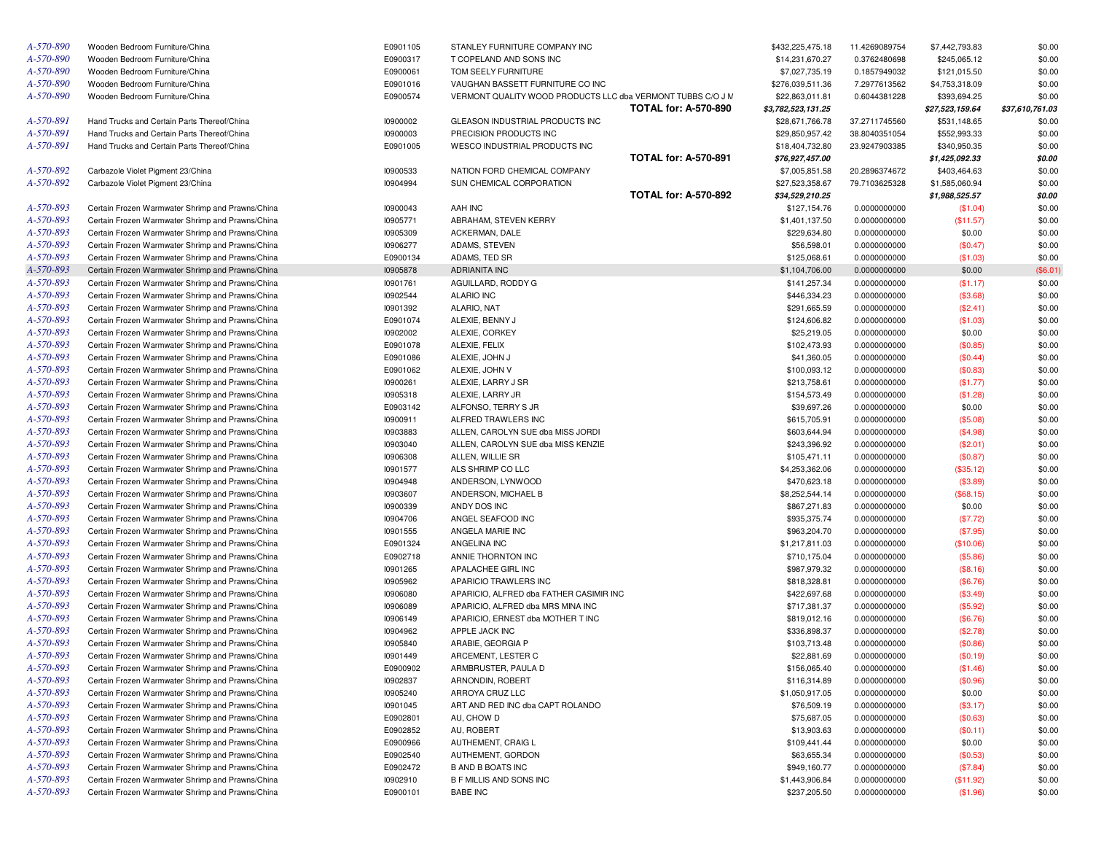| Wooden Bedroom Furniture/China                   | E0901105                                                                                                                                                                                                                                                                                                                                                                                                                                                                                                                                                                                                                                                                                                                                                                                                                                                                                                                                                                                                                                                                                                                                                                                                                                                                                                                                                                                                                                                                                                                                                                                                                                                                                                                                                                                          | STANLEY FURNITURE COMPANY INC                                                                                                                                                                                                                                                                                                                                                                                                    | \$432,225,475.18                                                                                                                                                                                                                                                                                                                                                                                                                                                                                                                                                                                                                                                                                                                                                                | 11.4269089754                                                                                                                                                                                                                                                                                                                                                                                                                                                                                                                                                                                                                                                                                                                                                             | \$7,442,793.83                                                                                                                                                                                                                                                                                                                                                                                                                                                                                                                  | \$0.00                                                                                                                                                                                                                                                                                                                                                                                                                                               |
|--------------------------------------------------|---------------------------------------------------------------------------------------------------------------------------------------------------------------------------------------------------------------------------------------------------------------------------------------------------------------------------------------------------------------------------------------------------------------------------------------------------------------------------------------------------------------------------------------------------------------------------------------------------------------------------------------------------------------------------------------------------------------------------------------------------------------------------------------------------------------------------------------------------------------------------------------------------------------------------------------------------------------------------------------------------------------------------------------------------------------------------------------------------------------------------------------------------------------------------------------------------------------------------------------------------------------------------------------------------------------------------------------------------------------------------------------------------------------------------------------------------------------------------------------------------------------------------------------------------------------------------------------------------------------------------------------------------------------------------------------------------------------------------------------------------------------------------------------------------|----------------------------------------------------------------------------------------------------------------------------------------------------------------------------------------------------------------------------------------------------------------------------------------------------------------------------------------------------------------------------------------------------------------------------------|---------------------------------------------------------------------------------------------------------------------------------------------------------------------------------------------------------------------------------------------------------------------------------------------------------------------------------------------------------------------------------------------------------------------------------------------------------------------------------------------------------------------------------------------------------------------------------------------------------------------------------------------------------------------------------------------------------------------------------------------------------------------------------|---------------------------------------------------------------------------------------------------------------------------------------------------------------------------------------------------------------------------------------------------------------------------------------------------------------------------------------------------------------------------------------------------------------------------------------------------------------------------------------------------------------------------------------------------------------------------------------------------------------------------------------------------------------------------------------------------------------------------------------------------------------------------|---------------------------------------------------------------------------------------------------------------------------------------------------------------------------------------------------------------------------------------------------------------------------------------------------------------------------------------------------------------------------------------------------------------------------------------------------------------------------------------------------------------------------------|------------------------------------------------------------------------------------------------------------------------------------------------------------------------------------------------------------------------------------------------------------------------------------------------------------------------------------------------------------------------------------------------------------------------------------------------------|
| Wooden Bedroom Furniture/China                   | E0900317                                                                                                                                                                                                                                                                                                                                                                                                                                                                                                                                                                                                                                                                                                                                                                                                                                                                                                                                                                                                                                                                                                                                                                                                                                                                                                                                                                                                                                                                                                                                                                                                                                                                                                                                                                                          | T COPELAND AND SONS INC                                                                                                                                                                                                                                                                                                                                                                                                          | \$14,231,670.27                                                                                                                                                                                                                                                                                                                                                                                                                                                                                                                                                                                                                                                                                                                                                                 | 0.3762480698                                                                                                                                                                                                                                                                                                                                                                                                                                                                                                                                                                                                                                                                                                                                                              | \$245,065.12                                                                                                                                                                                                                                                                                                                                                                                                                                                                                                                    | \$0.00                                                                                                                                                                                                                                                                                                                                                                                                                                               |
| Wooden Bedroom Furniture/China                   | E0900061                                                                                                                                                                                                                                                                                                                                                                                                                                                                                                                                                                                                                                                                                                                                                                                                                                                                                                                                                                                                                                                                                                                                                                                                                                                                                                                                                                                                                                                                                                                                                                                                                                                                                                                                                                                          | TOM SEELY FURNITURE                                                                                                                                                                                                                                                                                                                                                                                                              | \$7,027,735.19                                                                                                                                                                                                                                                                                                                                                                                                                                                                                                                                                                                                                                                                                                                                                                  | 0.1857949032                                                                                                                                                                                                                                                                                                                                                                                                                                                                                                                                                                                                                                                                                                                                                              | \$121,015.50                                                                                                                                                                                                                                                                                                                                                                                                                                                                                                                    | \$0.00                                                                                                                                                                                                                                                                                                                                                                                                                                               |
| Wooden Bedroom Furniture/China                   | E0901016                                                                                                                                                                                                                                                                                                                                                                                                                                                                                                                                                                                                                                                                                                                                                                                                                                                                                                                                                                                                                                                                                                                                                                                                                                                                                                                                                                                                                                                                                                                                                                                                                                                                                                                                                                                          | VAUGHAN BASSETT FURNITURE CO INC                                                                                                                                                                                                                                                                                                                                                                                                 | \$276,039,511.36                                                                                                                                                                                                                                                                                                                                                                                                                                                                                                                                                                                                                                                                                                                                                                | 7.2977613562                                                                                                                                                                                                                                                                                                                                                                                                                                                                                                                                                                                                                                                                                                                                                              | \$4,753,318.09                                                                                                                                                                                                                                                                                                                                                                                                                                                                                                                  | \$0.00                                                                                                                                                                                                                                                                                                                                                                                                                                               |
| Wooden Bedroom Furniture/China                   | E0900574                                                                                                                                                                                                                                                                                                                                                                                                                                                                                                                                                                                                                                                                                                                                                                                                                                                                                                                                                                                                                                                                                                                                                                                                                                                                                                                                                                                                                                                                                                                                                                                                                                                                                                                                                                                          |                                                                                                                                                                                                                                                                                                                                                                                                                                  | \$22,863,011.81                                                                                                                                                                                                                                                                                                                                                                                                                                                                                                                                                                                                                                                                                                                                                                 | 0.6044381228                                                                                                                                                                                                                                                                                                                                                                                                                                                                                                                                                                                                                                                                                                                                                              | \$393,694.25                                                                                                                                                                                                                                                                                                                                                                                                                                                                                                                    | \$0.00                                                                                                                                                                                                                                                                                                                                                                                                                                               |
|                                                  |                                                                                                                                                                                                                                                                                                                                                                                                                                                                                                                                                                                                                                                                                                                                                                                                                                                                                                                                                                                                                                                                                                                                                                                                                                                                                                                                                                                                                                                                                                                                                                                                                                                                                                                                                                                                   |                                                                                                                                                                                                                                                                                                                                                                                                                                  | \$3,782,523,131.25                                                                                                                                                                                                                                                                                                                                                                                                                                                                                                                                                                                                                                                                                                                                                              |                                                                                                                                                                                                                                                                                                                                                                                                                                                                                                                                                                                                                                                                                                                                                                           | \$27,523,159.64                                                                                                                                                                                                                                                                                                                                                                                                                                                                                                                 | \$37,610,761.03                                                                                                                                                                                                                                                                                                                                                                                                                                      |
| Hand Trucks and Certain Parts Thereof/China      | 10900002                                                                                                                                                                                                                                                                                                                                                                                                                                                                                                                                                                                                                                                                                                                                                                                                                                                                                                                                                                                                                                                                                                                                                                                                                                                                                                                                                                                                                                                                                                                                                                                                                                                                                                                                                                                          | GLEASON INDUSTRIAL PRODUCTS INC                                                                                                                                                                                                                                                                                                                                                                                                  | \$28,671,766.78                                                                                                                                                                                                                                                                                                                                                                                                                                                                                                                                                                                                                                                                                                                                                                 | 37.2711745560                                                                                                                                                                                                                                                                                                                                                                                                                                                                                                                                                                                                                                                                                                                                                             | \$531,148.65                                                                                                                                                                                                                                                                                                                                                                                                                                                                                                                    | \$0.00                                                                                                                                                                                                                                                                                                                                                                                                                                               |
| Hand Trucks and Certain Parts Thereof/China      | 10900003                                                                                                                                                                                                                                                                                                                                                                                                                                                                                                                                                                                                                                                                                                                                                                                                                                                                                                                                                                                                                                                                                                                                                                                                                                                                                                                                                                                                                                                                                                                                                                                                                                                                                                                                                                                          | PRECISION PRODUCTS INC                                                                                                                                                                                                                                                                                                                                                                                                           | \$29,850,957.42                                                                                                                                                                                                                                                                                                                                                                                                                                                                                                                                                                                                                                                                                                                                                                 | 38.8040351054                                                                                                                                                                                                                                                                                                                                                                                                                                                                                                                                                                                                                                                                                                                                                             | \$552,993.33                                                                                                                                                                                                                                                                                                                                                                                                                                                                                                                    | \$0.00                                                                                                                                                                                                                                                                                                                                                                                                                                               |
|                                                  |                                                                                                                                                                                                                                                                                                                                                                                                                                                                                                                                                                                                                                                                                                                                                                                                                                                                                                                                                                                                                                                                                                                                                                                                                                                                                                                                                                                                                                                                                                                                                                                                                                                                                                                                                                                                   |                                                                                                                                                                                                                                                                                                                                                                                                                                  |                                                                                                                                                                                                                                                                                                                                                                                                                                                                                                                                                                                                                                                                                                                                                                                 |                                                                                                                                                                                                                                                                                                                                                                                                                                                                                                                                                                                                                                                                                                                                                                           |                                                                                                                                                                                                                                                                                                                                                                                                                                                                                                                                 | \$0.00                                                                                                                                                                                                                                                                                                                                                                                                                                               |
|                                                  |                                                                                                                                                                                                                                                                                                                                                                                                                                                                                                                                                                                                                                                                                                                                                                                                                                                                                                                                                                                                                                                                                                                                                                                                                                                                                                                                                                                                                                                                                                                                                                                                                                                                                                                                                                                                   |                                                                                                                                                                                                                                                                                                                                                                                                                                  |                                                                                                                                                                                                                                                                                                                                                                                                                                                                                                                                                                                                                                                                                                                                                                                 |                                                                                                                                                                                                                                                                                                                                                                                                                                                                                                                                                                                                                                                                                                                                                                           |                                                                                                                                                                                                                                                                                                                                                                                                                                                                                                                                 | \$0.00                                                                                                                                                                                                                                                                                                                                                                                                                                               |
|                                                  |                                                                                                                                                                                                                                                                                                                                                                                                                                                                                                                                                                                                                                                                                                                                                                                                                                                                                                                                                                                                                                                                                                                                                                                                                                                                                                                                                                                                                                                                                                                                                                                                                                                                                                                                                                                                   |                                                                                                                                                                                                                                                                                                                                                                                                                                  |                                                                                                                                                                                                                                                                                                                                                                                                                                                                                                                                                                                                                                                                                                                                                                                 |                                                                                                                                                                                                                                                                                                                                                                                                                                                                                                                                                                                                                                                                                                                                                                           |                                                                                                                                                                                                                                                                                                                                                                                                                                                                                                                                 | \$0.00                                                                                                                                                                                                                                                                                                                                                                                                                                               |
|                                                  |                                                                                                                                                                                                                                                                                                                                                                                                                                                                                                                                                                                                                                                                                                                                                                                                                                                                                                                                                                                                                                                                                                                                                                                                                                                                                                                                                                                                                                                                                                                                                                                                                                                                                                                                                                                                   |                                                                                                                                                                                                                                                                                                                                                                                                                                  |                                                                                                                                                                                                                                                                                                                                                                                                                                                                                                                                                                                                                                                                                                                                                                                 |                                                                                                                                                                                                                                                                                                                                                                                                                                                                                                                                                                                                                                                                                                                                                                           |                                                                                                                                                                                                                                                                                                                                                                                                                                                                                                                                 | \$0.00                                                                                                                                                                                                                                                                                                                                                                                                                                               |
|                                                  |                                                                                                                                                                                                                                                                                                                                                                                                                                                                                                                                                                                                                                                                                                                                                                                                                                                                                                                                                                                                                                                                                                                                                                                                                                                                                                                                                                                                                                                                                                                                                                                                                                                                                                                                                                                                   |                                                                                                                                                                                                                                                                                                                                                                                                                                  |                                                                                                                                                                                                                                                                                                                                                                                                                                                                                                                                                                                                                                                                                                                                                                                 |                                                                                                                                                                                                                                                                                                                                                                                                                                                                                                                                                                                                                                                                                                                                                                           |                                                                                                                                                                                                                                                                                                                                                                                                                                                                                                                                 | \$0.00                                                                                                                                                                                                                                                                                                                                                                                                                                               |
|                                                  |                                                                                                                                                                                                                                                                                                                                                                                                                                                                                                                                                                                                                                                                                                                                                                                                                                                                                                                                                                                                                                                                                                                                                                                                                                                                                                                                                                                                                                                                                                                                                                                                                                                                                                                                                                                                   |                                                                                                                                                                                                                                                                                                                                                                                                                                  |                                                                                                                                                                                                                                                                                                                                                                                                                                                                                                                                                                                                                                                                                                                                                                                 |                                                                                                                                                                                                                                                                                                                                                                                                                                                                                                                                                                                                                                                                                                                                                                           |                                                                                                                                                                                                                                                                                                                                                                                                                                                                                                                                 | \$0.00                                                                                                                                                                                                                                                                                                                                                                                                                                               |
|                                                  |                                                                                                                                                                                                                                                                                                                                                                                                                                                                                                                                                                                                                                                                                                                                                                                                                                                                                                                                                                                                                                                                                                                                                                                                                                                                                                                                                                                                                                                                                                                                                                                                                                                                                                                                                                                                   |                                                                                                                                                                                                                                                                                                                                                                                                                                  |                                                                                                                                                                                                                                                                                                                                                                                                                                                                                                                                                                                                                                                                                                                                                                                 |                                                                                                                                                                                                                                                                                                                                                                                                                                                                                                                                                                                                                                                                                                                                                                           |                                                                                                                                                                                                                                                                                                                                                                                                                                                                                                                                 | \$0.00                                                                                                                                                                                                                                                                                                                                                                                                                                               |
|                                                  |                                                                                                                                                                                                                                                                                                                                                                                                                                                                                                                                                                                                                                                                                                                                                                                                                                                                                                                                                                                                                                                                                                                                                                                                                                                                                                                                                                                                                                                                                                                                                                                                                                                                                                                                                                                                   |                                                                                                                                                                                                                                                                                                                                                                                                                                  |                                                                                                                                                                                                                                                                                                                                                                                                                                                                                                                                                                                                                                                                                                                                                                                 |                                                                                                                                                                                                                                                                                                                                                                                                                                                                                                                                                                                                                                                                                                                                                                           |                                                                                                                                                                                                                                                                                                                                                                                                                                                                                                                                 | \$0.00                                                                                                                                                                                                                                                                                                                                                                                                                                               |
|                                                  |                                                                                                                                                                                                                                                                                                                                                                                                                                                                                                                                                                                                                                                                                                                                                                                                                                                                                                                                                                                                                                                                                                                                                                                                                                                                                                                                                                                                                                                                                                                                                                                                                                                                                                                                                                                                   |                                                                                                                                                                                                                                                                                                                                                                                                                                  |                                                                                                                                                                                                                                                                                                                                                                                                                                                                                                                                                                                                                                                                                                                                                                                 |                                                                                                                                                                                                                                                                                                                                                                                                                                                                                                                                                                                                                                                                                                                                                                           |                                                                                                                                                                                                                                                                                                                                                                                                                                                                                                                                 | \$0.00                                                                                                                                                                                                                                                                                                                                                                                                                                               |
|                                                  |                                                                                                                                                                                                                                                                                                                                                                                                                                                                                                                                                                                                                                                                                                                                                                                                                                                                                                                                                                                                                                                                                                                                                                                                                                                                                                                                                                                                                                                                                                                                                                                                                                                                                                                                                                                                   |                                                                                                                                                                                                                                                                                                                                                                                                                                  |                                                                                                                                                                                                                                                                                                                                                                                                                                                                                                                                                                                                                                                                                                                                                                                 |                                                                                                                                                                                                                                                                                                                                                                                                                                                                                                                                                                                                                                                                                                                                                                           |                                                                                                                                                                                                                                                                                                                                                                                                                                                                                                                                 | \$0.00                                                                                                                                                                                                                                                                                                                                                                                                                                               |
|                                                  |                                                                                                                                                                                                                                                                                                                                                                                                                                                                                                                                                                                                                                                                                                                                                                                                                                                                                                                                                                                                                                                                                                                                                                                                                                                                                                                                                                                                                                                                                                                                                                                                                                                                                                                                                                                                   |                                                                                                                                                                                                                                                                                                                                                                                                                                  |                                                                                                                                                                                                                                                                                                                                                                                                                                                                                                                                                                                                                                                                                                                                                                                 |                                                                                                                                                                                                                                                                                                                                                                                                                                                                                                                                                                                                                                                                                                                                                                           |                                                                                                                                                                                                                                                                                                                                                                                                                                                                                                                                 |                                                                                                                                                                                                                                                                                                                                                                                                                                                      |
|                                                  |                                                                                                                                                                                                                                                                                                                                                                                                                                                                                                                                                                                                                                                                                                                                                                                                                                                                                                                                                                                                                                                                                                                                                                                                                                                                                                                                                                                                                                                                                                                                                                                                                                                                                                                                                                                                   |                                                                                                                                                                                                                                                                                                                                                                                                                                  |                                                                                                                                                                                                                                                                                                                                                                                                                                                                                                                                                                                                                                                                                                                                                                                 |                                                                                                                                                                                                                                                                                                                                                                                                                                                                                                                                                                                                                                                                                                                                                                           |                                                                                                                                                                                                                                                                                                                                                                                                                                                                                                                                 | (\$6.01)                                                                                                                                                                                                                                                                                                                                                                                                                                             |
|                                                  |                                                                                                                                                                                                                                                                                                                                                                                                                                                                                                                                                                                                                                                                                                                                                                                                                                                                                                                                                                                                                                                                                                                                                                                                                                                                                                                                                                                                                                                                                                                                                                                                                                                                                                                                                                                                   |                                                                                                                                                                                                                                                                                                                                                                                                                                  |                                                                                                                                                                                                                                                                                                                                                                                                                                                                                                                                                                                                                                                                                                                                                                                 |                                                                                                                                                                                                                                                                                                                                                                                                                                                                                                                                                                                                                                                                                                                                                                           |                                                                                                                                                                                                                                                                                                                                                                                                                                                                                                                                 | \$0.00                                                                                                                                                                                                                                                                                                                                                                                                                                               |
|                                                  |                                                                                                                                                                                                                                                                                                                                                                                                                                                                                                                                                                                                                                                                                                                                                                                                                                                                                                                                                                                                                                                                                                                                                                                                                                                                                                                                                                                                                                                                                                                                                                                                                                                                                                                                                                                                   |                                                                                                                                                                                                                                                                                                                                                                                                                                  |                                                                                                                                                                                                                                                                                                                                                                                                                                                                                                                                                                                                                                                                                                                                                                                 |                                                                                                                                                                                                                                                                                                                                                                                                                                                                                                                                                                                                                                                                                                                                                                           |                                                                                                                                                                                                                                                                                                                                                                                                                                                                                                                                 | \$0.00                                                                                                                                                                                                                                                                                                                                                                                                                                               |
|                                                  |                                                                                                                                                                                                                                                                                                                                                                                                                                                                                                                                                                                                                                                                                                                                                                                                                                                                                                                                                                                                                                                                                                                                                                                                                                                                                                                                                                                                                                                                                                                                                                                                                                                                                                                                                                                                   |                                                                                                                                                                                                                                                                                                                                                                                                                                  |                                                                                                                                                                                                                                                                                                                                                                                                                                                                                                                                                                                                                                                                                                                                                                                 |                                                                                                                                                                                                                                                                                                                                                                                                                                                                                                                                                                                                                                                                                                                                                                           |                                                                                                                                                                                                                                                                                                                                                                                                                                                                                                                                 | \$0.00                                                                                                                                                                                                                                                                                                                                                                                                                                               |
|                                                  |                                                                                                                                                                                                                                                                                                                                                                                                                                                                                                                                                                                                                                                                                                                                                                                                                                                                                                                                                                                                                                                                                                                                                                                                                                                                                                                                                                                                                                                                                                                                                                                                                                                                                                                                                                                                   |                                                                                                                                                                                                                                                                                                                                                                                                                                  |                                                                                                                                                                                                                                                                                                                                                                                                                                                                                                                                                                                                                                                                                                                                                                                 |                                                                                                                                                                                                                                                                                                                                                                                                                                                                                                                                                                                                                                                                                                                                                                           |                                                                                                                                                                                                                                                                                                                                                                                                                                                                                                                                 | \$0.00                                                                                                                                                                                                                                                                                                                                                                                                                                               |
|                                                  |                                                                                                                                                                                                                                                                                                                                                                                                                                                                                                                                                                                                                                                                                                                                                                                                                                                                                                                                                                                                                                                                                                                                                                                                                                                                                                                                                                                                                                                                                                                                                                                                                                                                                                                                                                                                   |                                                                                                                                                                                                                                                                                                                                                                                                                                  |                                                                                                                                                                                                                                                                                                                                                                                                                                                                                                                                                                                                                                                                                                                                                                                 |                                                                                                                                                                                                                                                                                                                                                                                                                                                                                                                                                                                                                                                                                                                                                                           |                                                                                                                                                                                                                                                                                                                                                                                                                                                                                                                                 | \$0.00                                                                                                                                                                                                                                                                                                                                                                                                                                               |
|                                                  |                                                                                                                                                                                                                                                                                                                                                                                                                                                                                                                                                                                                                                                                                                                                                                                                                                                                                                                                                                                                                                                                                                                                                                                                                                                                                                                                                                                                                                                                                                                                                                                                                                                                                                                                                                                                   |                                                                                                                                                                                                                                                                                                                                                                                                                                  |                                                                                                                                                                                                                                                                                                                                                                                                                                                                                                                                                                                                                                                                                                                                                                                 |                                                                                                                                                                                                                                                                                                                                                                                                                                                                                                                                                                                                                                                                                                                                                                           |                                                                                                                                                                                                                                                                                                                                                                                                                                                                                                                                 | \$0.00                                                                                                                                                                                                                                                                                                                                                                                                                                               |
|                                                  |                                                                                                                                                                                                                                                                                                                                                                                                                                                                                                                                                                                                                                                                                                                                                                                                                                                                                                                                                                                                                                                                                                                                                                                                                                                                                                                                                                                                                                                                                                                                                                                                                                                                                                                                                                                                   |                                                                                                                                                                                                                                                                                                                                                                                                                                  |                                                                                                                                                                                                                                                                                                                                                                                                                                                                                                                                                                                                                                                                                                                                                                                 |                                                                                                                                                                                                                                                                                                                                                                                                                                                                                                                                                                                                                                                                                                                                                                           |                                                                                                                                                                                                                                                                                                                                                                                                                                                                                                                                 | \$0.00                                                                                                                                                                                                                                                                                                                                                                                                                                               |
|                                                  |                                                                                                                                                                                                                                                                                                                                                                                                                                                                                                                                                                                                                                                                                                                                                                                                                                                                                                                                                                                                                                                                                                                                                                                                                                                                                                                                                                                                                                                                                                                                                                                                                                                                                                                                                                                                   |                                                                                                                                                                                                                                                                                                                                                                                                                                  |                                                                                                                                                                                                                                                                                                                                                                                                                                                                                                                                                                                                                                                                                                                                                                                 |                                                                                                                                                                                                                                                                                                                                                                                                                                                                                                                                                                                                                                                                                                                                                                           |                                                                                                                                                                                                                                                                                                                                                                                                                                                                                                                                 | \$0.00                                                                                                                                                                                                                                                                                                                                                                                                                                               |
| Certain Frozen Warmwater Shrimp and Prawns/China |                                                                                                                                                                                                                                                                                                                                                                                                                                                                                                                                                                                                                                                                                                                                                                                                                                                                                                                                                                                                                                                                                                                                                                                                                                                                                                                                                                                                                                                                                                                                                                                                                                                                                                                                                                                                   | ALEXIE, LARRY J SR                                                                                                                                                                                                                                                                                                                                                                                                               |                                                                                                                                                                                                                                                                                                                                                                                                                                                                                                                                                                                                                                                                                                                                                                                 | 0.0000000000                                                                                                                                                                                                                                                                                                                                                                                                                                                                                                                                                                                                                                                                                                                                                              | (\$1.77)                                                                                                                                                                                                                                                                                                                                                                                                                                                                                                                        | \$0.00                                                                                                                                                                                                                                                                                                                                                                                                                                               |
| Certain Frozen Warmwater Shrimp and Prawns/China | 10905318                                                                                                                                                                                                                                                                                                                                                                                                                                                                                                                                                                                                                                                                                                                                                                                                                                                                                                                                                                                                                                                                                                                                                                                                                                                                                                                                                                                                                                                                                                                                                                                                                                                                                                                                                                                          | ALEXIE, LARRY JR                                                                                                                                                                                                                                                                                                                                                                                                                 | \$154,573.49                                                                                                                                                                                                                                                                                                                                                                                                                                                                                                                                                                                                                                                                                                                                                                    | 0.0000000000                                                                                                                                                                                                                                                                                                                                                                                                                                                                                                                                                                                                                                                                                                                                                              | (\$1.28)                                                                                                                                                                                                                                                                                                                                                                                                                                                                                                                        | \$0.00                                                                                                                                                                                                                                                                                                                                                                                                                                               |
| Certain Frozen Warmwater Shrimp and Prawns/China | E0903142                                                                                                                                                                                                                                                                                                                                                                                                                                                                                                                                                                                                                                                                                                                                                                                                                                                                                                                                                                                                                                                                                                                                                                                                                                                                                                                                                                                                                                                                                                                                                                                                                                                                                                                                                                                          | ALFONSO, TERRY S JR                                                                                                                                                                                                                                                                                                                                                                                                              | \$39,697.26                                                                                                                                                                                                                                                                                                                                                                                                                                                                                                                                                                                                                                                                                                                                                                     | 0.0000000000                                                                                                                                                                                                                                                                                                                                                                                                                                                                                                                                                                                                                                                                                                                                                              | \$0.00                                                                                                                                                                                                                                                                                                                                                                                                                                                                                                                          | \$0.00                                                                                                                                                                                                                                                                                                                                                                                                                                               |
| Certain Frozen Warmwater Shrimp and Prawns/China | 10900911                                                                                                                                                                                                                                                                                                                                                                                                                                                                                                                                                                                                                                                                                                                                                                                                                                                                                                                                                                                                                                                                                                                                                                                                                                                                                                                                                                                                                                                                                                                                                                                                                                                                                                                                                                                          | ALFRED TRAWLERS INC                                                                                                                                                                                                                                                                                                                                                                                                              | \$615,705.91                                                                                                                                                                                                                                                                                                                                                                                                                                                                                                                                                                                                                                                                                                                                                                    | 0.0000000000                                                                                                                                                                                                                                                                                                                                                                                                                                                                                                                                                                                                                                                                                                                                                              | (\$5.08)                                                                                                                                                                                                                                                                                                                                                                                                                                                                                                                        | \$0.00                                                                                                                                                                                                                                                                                                                                                                                                                                               |
| Certain Frozen Warmwater Shrimp and Prawns/China | 10903883                                                                                                                                                                                                                                                                                                                                                                                                                                                                                                                                                                                                                                                                                                                                                                                                                                                                                                                                                                                                                                                                                                                                                                                                                                                                                                                                                                                                                                                                                                                                                                                                                                                                                                                                                                                          | ALLEN, CAROLYN SUE dba MISS JORDI                                                                                                                                                                                                                                                                                                                                                                                                | \$603,644.94                                                                                                                                                                                                                                                                                                                                                                                                                                                                                                                                                                                                                                                                                                                                                                    | 0.0000000000                                                                                                                                                                                                                                                                                                                                                                                                                                                                                                                                                                                                                                                                                                                                                              | (\$4.98)                                                                                                                                                                                                                                                                                                                                                                                                                                                                                                                        | \$0.00                                                                                                                                                                                                                                                                                                                                                                                                                                               |
| Certain Frozen Warmwater Shrimp and Prawns/China | 10903040                                                                                                                                                                                                                                                                                                                                                                                                                                                                                                                                                                                                                                                                                                                                                                                                                                                                                                                                                                                                                                                                                                                                                                                                                                                                                                                                                                                                                                                                                                                                                                                                                                                                                                                                                                                          | ALLEN, CAROLYN SUE dba MISS KENZIE                                                                                                                                                                                                                                                                                                                                                                                               | \$243,396.92                                                                                                                                                                                                                                                                                                                                                                                                                                                                                                                                                                                                                                                                                                                                                                    | 0.0000000000                                                                                                                                                                                                                                                                                                                                                                                                                                                                                                                                                                                                                                                                                                                                                              | (\$2.01)                                                                                                                                                                                                                                                                                                                                                                                                                                                                                                                        | \$0.00                                                                                                                                                                                                                                                                                                                                                                                                                                               |
| Certain Frozen Warmwater Shrimp and Prawns/China | 10906308                                                                                                                                                                                                                                                                                                                                                                                                                                                                                                                                                                                                                                                                                                                                                                                                                                                                                                                                                                                                                                                                                                                                                                                                                                                                                                                                                                                                                                                                                                                                                                                                                                                                                                                                                                                          | ALLEN, WILLIE SR                                                                                                                                                                                                                                                                                                                                                                                                                 | \$105,471.11                                                                                                                                                                                                                                                                                                                                                                                                                                                                                                                                                                                                                                                                                                                                                                    | 0.0000000000                                                                                                                                                                                                                                                                                                                                                                                                                                                                                                                                                                                                                                                                                                                                                              | (\$0.87)                                                                                                                                                                                                                                                                                                                                                                                                                                                                                                                        | \$0.00                                                                                                                                                                                                                                                                                                                                                                                                                                               |
| Certain Frozen Warmwater Shrimp and Prawns/China | 10901577                                                                                                                                                                                                                                                                                                                                                                                                                                                                                                                                                                                                                                                                                                                                                                                                                                                                                                                                                                                                                                                                                                                                                                                                                                                                                                                                                                                                                                                                                                                                                                                                                                                                                                                                                                                          | ALS SHRIMP CO LLC                                                                                                                                                                                                                                                                                                                                                                                                                | \$4,253,362.06                                                                                                                                                                                                                                                                                                                                                                                                                                                                                                                                                                                                                                                                                                                                                                  | 0.0000000000                                                                                                                                                                                                                                                                                                                                                                                                                                                                                                                                                                                                                                                                                                                                                              | (\$35.12)                                                                                                                                                                                                                                                                                                                                                                                                                                                                                                                       | \$0.00                                                                                                                                                                                                                                                                                                                                                                                                                                               |
| Certain Frozen Warmwater Shrimp and Prawns/China | 10904948                                                                                                                                                                                                                                                                                                                                                                                                                                                                                                                                                                                                                                                                                                                                                                                                                                                                                                                                                                                                                                                                                                                                                                                                                                                                                                                                                                                                                                                                                                                                                                                                                                                                                                                                                                                          | ANDERSON, LYNWOOD                                                                                                                                                                                                                                                                                                                                                                                                                | \$470,623.18                                                                                                                                                                                                                                                                                                                                                                                                                                                                                                                                                                                                                                                                                                                                                                    | 0.0000000000                                                                                                                                                                                                                                                                                                                                                                                                                                                                                                                                                                                                                                                                                                                                                              | (\$3.89)                                                                                                                                                                                                                                                                                                                                                                                                                                                                                                                        | \$0.00                                                                                                                                                                                                                                                                                                                                                                                                                                               |
| Certain Frozen Warmwater Shrimp and Prawns/China | 10903607                                                                                                                                                                                                                                                                                                                                                                                                                                                                                                                                                                                                                                                                                                                                                                                                                                                                                                                                                                                                                                                                                                                                                                                                                                                                                                                                                                                                                                                                                                                                                                                                                                                                                                                                                                                          | ANDERSON, MICHAEL B                                                                                                                                                                                                                                                                                                                                                                                                              | \$8,252,544.14                                                                                                                                                                                                                                                                                                                                                                                                                                                                                                                                                                                                                                                                                                                                                                  | 0.0000000000                                                                                                                                                                                                                                                                                                                                                                                                                                                                                                                                                                                                                                                                                                                                                              | (\$68.15)                                                                                                                                                                                                                                                                                                                                                                                                                                                                                                                       | \$0.00                                                                                                                                                                                                                                                                                                                                                                                                                                               |
| Certain Frozen Warmwater Shrimp and Prawns/China | 10900339                                                                                                                                                                                                                                                                                                                                                                                                                                                                                                                                                                                                                                                                                                                                                                                                                                                                                                                                                                                                                                                                                                                                                                                                                                                                                                                                                                                                                                                                                                                                                                                                                                                                                                                                                                                          | ANDY DOS INC                                                                                                                                                                                                                                                                                                                                                                                                                     | \$867,271.83                                                                                                                                                                                                                                                                                                                                                                                                                                                                                                                                                                                                                                                                                                                                                                    | 0.0000000000                                                                                                                                                                                                                                                                                                                                                                                                                                                                                                                                                                                                                                                                                                                                                              | \$0.00                                                                                                                                                                                                                                                                                                                                                                                                                                                                                                                          | \$0.00                                                                                                                                                                                                                                                                                                                                                                                                                                               |
|                                                  |                                                                                                                                                                                                                                                                                                                                                                                                                                                                                                                                                                                                                                                                                                                                                                                                                                                                                                                                                                                                                                                                                                                                                                                                                                                                                                                                                                                                                                                                                                                                                                                                                                                                                                                                                                                                   |                                                                                                                                                                                                                                                                                                                                                                                                                                  |                                                                                                                                                                                                                                                                                                                                                                                                                                                                                                                                                                                                                                                                                                                                                                                 |                                                                                                                                                                                                                                                                                                                                                                                                                                                                                                                                                                                                                                                                                                                                                                           |                                                                                                                                                                                                                                                                                                                                                                                                                                                                                                                                 | \$0.00                                                                                                                                                                                                                                                                                                                                                                                                                                               |
|                                                  |                                                                                                                                                                                                                                                                                                                                                                                                                                                                                                                                                                                                                                                                                                                                                                                                                                                                                                                                                                                                                                                                                                                                                                                                                                                                                                                                                                                                                                                                                                                                                                                                                                                                                                                                                                                                   |                                                                                                                                                                                                                                                                                                                                                                                                                                  |                                                                                                                                                                                                                                                                                                                                                                                                                                                                                                                                                                                                                                                                                                                                                                                 |                                                                                                                                                                                                                                                                                                                                                                                                                                                                                                                                                                                                                                                                                                                                                                           |                                                                                                                                                                                                                                                                                                                                                                                                                                                                                                                                 | \$0.00                                                                                                                                                                                                                                                                                                                                                                                                                                               |
|                                                  |                                                                                                                                                                                                                                                                                                                                                                                                                                                                                                                                                                                                                                                                                                                                                                                                                                                                                                                                                                                                                                                                                                                                                                                                                                                                                                                                                                                                                                                                                                                                                                                                                                                                                                                                                                                                   |                                                                                                                                                                                                                                                                                                                                                                                                                                  |                                                                                                                                                                                                                                                                                                                                                                                                                                                                                                                                                                                                                                                                                                                                                                                 |                                                                                                                                                                                                                                                                                                                                                                                                                                                                                                                                                                                                                                                                                                                                                                           |                                                                                                                                                                                                                                                                                                                                                                                                                                                                                                                                 | \$0.00                                                                                                                                                                                                                                                                                                                                                                                                                                               |
|                                                  |                                                                                                                                                                                                                                                                                                                                                                                                                                                                                                                                                                                                                                                                                                                                                                                                                                                                                                                                                                                                                                                                                                                                                                                                                                                                                                                                                                                                                                                                                                                                                                                                                                                                                                                                                                                                   |                                                                                                                                                                                                                                                                                                                                                                                                                                  |                                                                                                                                                                                                                                                                                                                                                                                                                                                                                                                                                                                                                                                                                                                                                                                 |                                                                                                                                                                                                                                                                                                                                                                                                                                                                                                                                                                                                                                                                                                                                                                           |                                                                                                                                                                                                                                                                                                                                                                                                                                                                                                                                 | \$0.00                                                                                                                                                                                                                                                                                                                                                                                                                                               |
|                                                  |                                                                                                                                                                                                                                                                                                                                                                                                                                                                                                                                                                                                                                                                                                                                                                                                                                                                                                                                                                                                                                                                                                                                                                                                                                                                                                                                                                                                                                                                                                                                                                                                                                                                                                                                                                                                   |                                                                                                                                                                                                                                                                                                                                                                                                                                  |                                                                                                                                                                                                                                                                                                                                                                                                                                                                                                                                                                                                                                                                                                                                                                                 |                                                                                                                                                                                                                                                                                                                                                                                                                                                                                                                                                                                                                                                                                                                                                                           |                                                                                                                                                                                                                                                                                                                                                                                                                                                                                                                                 | \$0.00                                                                                                                                                                                                                                                                                                                                                                                                                                               |
|                                                  |                                                                                                                                                                                                                                                                                                                                                                                                                                                                                                                                                                                                                                                                                                                                                                                                                                                                                                                                                                                                                                                                                                                                                                                                                                                                                                                                                                                                                                                                                                                                                                                                                                                                                                                                                                                                   |                                                                                                                                                                                                                                                                                                                                                                                                                                  |                                                                                                                                                                                                                                                                                                                                                                                                                                                                                                                                                                                                                                                                                                                                                                                 |                                                                                                                                                                                                                                                                                                                                                                                                                                                                                                                                                                                                                                                                                                                                                                           |                                                                                                                                                                                                                                                                                                                                                                                                                                                                                                                                 | \$0.00                                                                                                                                                                                                                                                                                                                                                                                                                                               |
|                                                  |                                                                                                                                                                                                                                                                                                                                                                                                                                                                                                                                                                                                                                                                                                                                                                                                                                                                                                                                                                                                                                                                                                                                                                                                                                                                                                                                                                                                                                                                                                                                                                                                                                                                                                                                                                                                   |                                                                                                                                                                                                                                                                                                                                                                                                                                  |                                                                                                                                                                                                                                                                                                                                                                                                                                                                                                                                                                                                                                                                                                                                                                                 |                                                                                                                                                                                                                                                                                                                                                                                                                                                                                                                                                                                                                                                                                                                                                                           |                                                                                                                                                                                                                                                                                                                                                                                                                                                                                                                                 | \$0.00                                                                                                                                                                                                                                                                                                                                                                                                                                               |
|                                                  |                                                                                                                                                                                                                                                                                                                                                                                                                                                                                                                                                                                                                                                                                                                                                                                                                                                                                                                                                                                                                                                                                                                                                                                                                                                                                                                                                                                                                                                                                                                                                                                                                                                                                                                                                                                                   |                                                                                                                                                                                                                                                                                                                                                                                                                                  |                                                                                                                                                                                                                                                                                                                                                                                                                                                                                                                                                                                                                                                                                                                                                                                 |                                                                                                                                                                                                                                                                                                                                                                                                                                                                                                                                                                                                                                                                                                                                                                           |                                                                                                                                                                                                                                                                                                                                                                                                                                                                                                                                 | \$0.00                                                                                                                                                                                                                                                                                                                                                                                                                                               |
|                                                  |                                                                                                                                                                                                                                                                                                                                                                                                                                                                                                                                                                                                                                                                                                                                                                                                                                                                                                                                                                                                                                                                                                                                                                                                                                                                                                                                                                                                                                                                                                                                                                                                                                                                                                                                                                                                   |                                                                                                                                                                                                                                                                                                                                                                                                                                  |                                                                                                                                                                                                                                                                                                                                                                                                                                                                                                                                                                                                                                                                                                                                                                                 |                                                                                                                                                                                                                                                                                                                                                                                                                                                                                                                                                                                                                                                                                                                                                                           |                                                                                                                                                                                                                                                                                                                                                                                                                                                                                                                                 | \$0.00                                                                                                                                                                                                                                                                                                                                                                                                                                               |
|                                                  |                                                                                                                                                                                                                                                                                                                                                                                                                                                                                                                                                                                                                                                                                                                                                                                                                                                                                                                                                                                                                                                                                                                                                                                                                                                                                                                                                                                                                                                                                                                                                                                                                                                                                                                                                                                                   |                                                                                                                                                                                                                                                                                                                                                                                                                                  |                                                                                                                                                                                                                                                                                                                                                                                                                                                                                                                                                                                                                                                                                                                                                                                 |                                                                                                                                                                                                                                                                                                                                                                                                                                                                                                                                                                                                                                                                                                                                                                           |                                                                                                                                                                                                                                                                                                                                                                                                                                                                                                                                 | \$0.00                                                                                                                                                                                                                                                                                                                                                                                                                                               |
|                                                  |                                                                                                                                                                                                                                                                                                                                                                                                                                                                                                                                                                                                                                                                                                                                                                                                                                                                                                                                                                                                                                                                                                                                                                                                                                                                                                                                                                                                                                                                                                                                                                                                                                                                                                                                                                                                   |                                                                                                                                                                                                                                                                                                                                                                                                                                  |                                                                                                                                                                                                                                                                                                                                                                                                                                                                                                                                                                                                                                                                                                                                                                                 |                                                                                                                                                                                                                                                                                                                                                                                                                                                                                                                                                                                                                                                                                                                                                                           |                                                                                                                                                                                                                                                                                                                                                                                                                                                                                                                                 | \$0.00                                                                                                                                                                                                                                                                                                                                                                                                                                               |
|                                                  |                                                                                                                                                                                                                                                                                                                                                                                                                                                                                                                                                                                                                                                                                                                                                                                                                                                                                                                                                                                                                                                                                                                                                                                                                                                                                                                                                                                                                                                                                                                                                                                                                                                                                                                                                                                                   |                                                                                                                                                                                                                                                                                                                                                                                                                                  |                                                                                                                                                                                                                                                                                                                                                                                                                                                                                                                                                                                                                                                                                                                                                                                 |                                                                                                                                                                                                                                                                                                                                                                                                                                                                                                                                                                                                                                                                                                                                                                           |                                                                                                                                                                                                                                                                                                                                                                                                                                                                                                                                 |                                                                                                                                                                                                                                                                                                                                                                                                                                                      |
|                                                  |                                                                                                                                                                                                                                                                                                                                                                                                                                                                                                                                                                                                                                                                                                                                                                                                                                                                                                                                                                                                                                                                                                                                                                                                                                                                                                                                                                                                                                                                                                                                                                                                                                                                                                                                                                                                   |                                                                                                                                                                                                                                                                                                                                                                                                                                  |                                                                                                                                                                                                                                                                                                                                                                                                                                                                                                                                                                                                                                                                                                                                                                                 |                                                                                                                                                                                                                                                                                                                                                                                                                                                                                                                                                                                                                                                                                                                                                                           |                                                                                                                                                                                                                                                                                                                                                                                                                                                                                                                                 | \$0.00                                                                                                                                                                                                                                                                                                                                                                                                                                               |
|                                                  |                                                                                                                                                                                                                                                                                                                                                                                                                                                                                                                                                                                                                                                                                                                                                                                                                                                                                                                                                                                                                                                                                                                                                                                                                                                                                                                                                                                                                                                                                                                                                                                                                                                                                                                                                                                                   |                                                                                                                                                                                                                                                                                                                                                                                                                                  |                                                                                                                                                                                                                                                                                                                                                                                                                                                                                                                                                                                                                                                                                                                                                                                 |                                                                                                                                                                                                                                                                                                                                                                                                                                                                                                                                                                                                                                                                                                                                                                           |                                                                                                                                                                                                                                                                                                                                                                                                                                                                                                                                 | \$0.00                                                                                                                                                                                                                                                                                                                                                                                                                                               |
|                                                  |                                                                                                                                                                                                                                                                                                                                                                                                                                                                                                                                                                                                                                                                                                                                                                                                                                                                                                                                                                                                                                                                                                                                                                                                                                                                                                                                                                                                                                                                                                                                                                                                                                                                                                                                                                                                   |                                                                                                                                                                                                                                                                                                                                                                                                                                  |                                                                                                                                                                                                                                                                                                                                                                                                                                                                                                                                                                                                                                                                                                                                                                                 |                                                                                                                                                                                                                                                                                                                                                                                                                                                                                                                                                                                                                                                                                                                                                                           |                                                                                                                                                                                                                                                                                                                                                                                                                                                                                                                                 | \$0.00                                                                                                                                                                                                                                                                                                                                                                                                                                               |
|                                                  |                                                                                                                                                                                                                                                                                                                                                                                                                                                                                                                                                                                                                                                                                                                                                                                                                                                                                                                                                                                                                                                                                                                                                                                                                                                                                                                                                                                                                                                                                                                                                                                                                                                                                                                                                                                                   |                                                                                                                                                                                                                                                                                                                                                                                                                                  |                                                                                                                                                                                                                                                                                                                                                                                                                                                                                                                                                                                                                                                                                                                                                                                 |                                                                                                                                                                                                                                                                                                                                                                                                                                                                                                                                                                                                                                                                                                                                                                           |                                                                                                                                                                                                                                                                                                                                                                                                                                                                                                                                 | \$0.00                                                                                                                                                                                                                                                                                                                                                                                                                                               |
|                                                  |                                                                                                                                                                                                                                                                                                                                                                                                                                                                                                                                                                                                                                                                                                                                                                                                                                                                                                                                                                                                                                                                                                                                                                                                                                                                                                                                                                                                                                                                                                                                                                                                                                                                                                                                                                                                   |                                                                                                                                                                                                                                                                                                                                                                                                                                  |                                                                                                                                                                                                                                                                                                                                                                                                                                                                                                                                                                                                                                                                                                                                                                                 | 0.0000000000                                                                                                                                                                                                                                                                                                                                                                                                                                                                                                                                                                                                                                                                                                                                                              |                                                                                                                                                                                                                                                                                                                                                                                                                                                                                                                                 | \$0.00                                                                                                                                                                                                                                                                                                                                                                                                                                               |
|                                                  |                                                                                                                                                                                                                                                                                                                                                                                                                                                                                                                                                                                                                                                                                                                                                                                                                                                                                                                                                                                                                                                                                                                                                                                                                                                                                                                                                                                                                                                                                                                                                                                                                                                                                                                                                                                                   | AU, CHOW D                                                                                                                                                                                                                                                                                                                                                                                                                       | \$75,687.05                                                                                                                                                                                                                                                                                                                                                                                                                                                                                                                                                                                                                                                                                                                                                                     | 0.0000000000                                                                                                                                                                                                                                                                                                                                                                                                                                                                                                                                                                                                                                                                                                                                                              | (\$0.63)                                                                                                                                                                                                                                                                                                                                                                                                                                                                                                                        | \$0.00                                                                                                                                                                                                                                                                                                                                                                                                                                               |
| Certain Frozen Warmwater Shrimp and Prawns/China | E0902852                                                                                                                                                                                                                                                                                                                                                                                                                                                                                                                                                                                                                                                                                                                                                                                                                                                                                                                                                                                                                                                                                                                                                                                                                                                                                                                                                                                                                                                                                                                                                                                                                                                                                                                                                                                          | AU, ROBERT                                                                                                                                                                                                                                                                                                                                                                                                                       | \$13,903.63                                                                                                                                                                                                                                                                                                                                                                                                                                                                                                                                                                                                                                                                                                                                                                     | 0.0000000000                                                                                                                                                                                                                                                                                                                                                                                                                                                                                                                                                                                                                                                                                                                                                              | $(\$0.11)$                                                                                                                                                                                                                                                                                                                                                                                                                                                                                                                      | \$0.00                                                                                                                                                                                                                                                                                                                                                                                                                                               |
| Certain Frozen Warmwater Shrimp and Prawns/China | E0900966                                                                                                                                                                                                                                                                                                                                                                                                                                                                                                                                                                                                                                                                                                                                                                                                                                                                                                                                                                                                                                                                                                                                                                                                                                                                                                                                                                                                                                                                                                                                                                                                                                                                                                                                                                                          | AUTHEMENT, CRAIG L                                                                                                                                                                                                                                                                                                                                                                                                               | \$109,441.44                                                                                                                                                                                                                                                                                                                                                                                                                                                                                                                                                                                                                                                                                                                                                                    | 0.0000000000                                                                                                                                                                                                                                                                                                                                                                                                                                                                                                                                                                                                                                                                                                                                                              | \$0.00                                                                                                                                                                                                                                                                                                                                                                                                                                                                                                                          | \$0.00                                                                                                                                                                                                                                                                                                                                                                                                                                               |
| Certain Frozen Warmwater Shrimp and Prawns/China | E0902540                                                                                                                                                                                                                                                                                                                                                                                                                                                                                                                                                                                                                                                                                                                                                                                                                                                                                                                                                                                                                                                                                                                                                                                                                                                                                                                                                                                                                                                                                                                                                                                                                                                                                                                                                                                          | AUTHEMENT, GORDON                                                                                                                                                                                                                                                                                                                                                                                                                | \$63,655.34                                                                                                                                                                                                                                                                                                                                                                                                                                                                                                                                                                                                                                                                                                                                                                     | 0.0000000000                                                                                                                                                                                                                                                                                                                                                                                                                                                                                                                                                                                                                                                                                                                                                              | (\$0.53)                                                                                                                                                                                                                                                                                                                                                                                                                                                                                                                        | \$0.00                                                                                                                                                                                                                                                                                                                                                                                                                                               |
| Certain Frozen Warmwater Shrimp and Prawns/China | E0902472                                                                                                                                                                                                                                                                                                                                                                                                                                                                                                                                                                                                                                                                                                                                                                                                                                                                                                                                                                                                                                                                                                                                                                                                                                                                                                                                                                                                                                                                                                                                                                                                                                                                                                                                                                                          | <b>B AND B BOATS INC</b>                                                                                                                                                                                                                                                                                                                                                                                                         | \$949,160.77                                                                                                                                                                                                                                                                                                                                                                                                                                                                                                                                                                                                                                                                                                                                                                    | 0.0000000000                                                                                                                                                                                                                                                                                                                                                                                                                                                                                                                                                                                                                                                                                                                                                              | (\$7.84)                                                                                                                                                                                                                                                                                                                                                                                                                                                                                                                        | \$0.00                                                                                                                                                                                                                                                                                                                                                                                                                                               |
| Certain Frozen Warmwater Shrimp and Prawns/China | 10902910                                                                                                                                                                                                                                                                                                                                                                                                                                                                                                                                                                                                                                                                                                                                                                                                                                                                                                                                                                                                                                                                                                                                                                                                                                                                                                                                                                                                                                                                                                                                                                                                                                                                                                                                                                                          | <b>B F MILLIS AND SONS INC</b>                                                                                                                                                                                                                                                                                                                                                                                                   | \$1,443,906.84                                                                                                                                                                                                                                                                                                                                                                                                                                                                                                                                                                                                                                                                                                                                                                  | 0.0000000000                                                                                                                                                                                                                                                                                                                                                                                                                                                                                                                                                                                                                                                                                                                                                              | (\$11.92)                                                                                                                                                                                                                                                                                                                                                                                                                                                                                                                       | \$0.00                                                                                                                                                                                                                                                                                                                                                                                                                                               |
| Certain Frozen Warmwater Shrimp and Prawns/China | E0900101                                                                                                                                                                                                                                                                                                                                                                                                                                                                                                                                                                                                                                                                                                                                                                                                                                                                                                                                                                                                                                                                                                                                                                                                                                                                                                                                                                                                                                                                                                                                                                                                                                                                                                                                                                                          | <b>BABE INC</b>                                                                                                                                                                                                                                                                                                                                                                                                                  | \$237,205.50                                                                                                                                                                                                                                                                                                                                                                                                                                                                                                                                                                                                                                                                                                                                                                    | 0.0000000000                                                                                                                                                                                                                                                                                                                                                                                                                                                                                                                                                                                                                                                                                                                                                              | (\$1.96)                                                                                                                                                                                                                                                                                                                                                                                                                                                                                                                        | \$0.00                                                                                                                                                                                                                                                                                                                                                                                                                                               |
|                                                  | Hand Trucks and Certain Parts Thereof/China<br>Carbazole Violet Pigment 23/China<br>Carbazole Violet Pigment 23/China<br>Certain Frozen Warmwater Shrimp and Prawns/China<br>Certain Frozen Warmwater Shrimp and Prawns/China<br>Certain Frozen Warmwater Shrimp and Prawns/China<br>Certain Frozen Warmwater Shrimp and Prawns/China<br>Certain Frozen Warmwater Shrimp and Prawns/China<br>Certain Frozen Warmwater Shrimp and Prawns/China<br>Certain Frozen Warmwater Shrimp and Prawns/China<br>Certain Frozen Warmwater Shrimp and Prawns/China<br>Certain Frozen Warmwater Shrimp and Prawns/China<br>Certain Frozen Warmwater Shrimp and Prawns/China<br>Certain Frozen Warmwater Shrimp and Prawns/China<br>Certain Frozen Warmwater Shrimp and Prawns/China<br>Certain Frozen Warmwater Shrimp and Prawns/China<br>Certain Frozen Warmwater Shrimp and Prawns/China<br>Certain Frozen Warmwater Shrimp and Prawns/China<br>Certain Frozen Warmwater Shrimp and Prawns/China<br>Certain Frozen Warmwater Shrimp and Prawns/China<br>Certain Frozen Warmwater Shrimp and Prawns/China<br>Certain Frozen Warmwater Shrimp and Prawns/China<br>Certain Frozen Warmwater Shrimp and Prawns/China<br>Certain Frozen Warmwater Shrimp and Prawns/China<br>Certain Frozen Warmwater Shrimp and Prawns/China<br>Certain Frozen Warmwater Shrimp and Prawns/China<br>Certain Frozen Warmwater Shrimp and Prawns/China<br>Certain Frozen Warmwater Shrimp and Prawns/China<br>Certain Frozen Warmwater Shrimp and Prawns/China<br>Certain Frozen Warmwater Shrimp and Prawns/China<br>Certain Frozen Warmwater Shrimp and Prawns/China<br>Certain Frozen Warmwater Shrimp and Prawns/China<br>Certain Frozen Warmwater Shrimp and Prawns/China<br>Certain Frozen Warmwater Shrimp and Prawns/China | E0901005<br>10900533<br>10904994<br>10900043<br>10905771<br>10905309<br>10906277<br>E0900134<br>10905878<br>10901761<br>10902544<br>10901392<br>E0901074<br>10902002<br>E0901078<br>E0901086<br>E0901062<br>10900261<br>10904706<br>10901555<br>E0901324<br>E0902718<br>10901265<br>10905962<br>10906080<br>10906089<br>10906149<br>10904962<br>10905840<br>10901449<br>E0900902<br>10902837<br>10905240<br>10901045<br>E0902801 | WESCO INDUSTRIAL PRODUCTS INC<br>NATION FORD CHEMICAL COMPANY<br>SUN CHEMICAL CORPORATION<br>AAH INC<br>ABRAHAM, STEVEN KERRY<br>ACKERMAN, DALE<br>ADAMS, STEVEN<br>ADAMS, TED SR<br><b>ADRIANITA INC</b><br>AGUILLARD, RODDY G<br><b>ALARIO INC</b><br>ALARIO, NAT<br>ALEXIE, BENNY J<br>ALEXIE, CORKEY<br>ALEXIE, FELIX<br>ALEXIE, JOHN J<br>ALEXIE, JOHN V<br>ANGEL SEAFOOD INC<br>ANGELA MARIE INC<br>ANGELINA INC<br>ANNIE THORNTON INC<br>APALACHEE GIRL INC<br>APARICIO TRAWLERS INC<br>APARICIO, ALFRED dba FATHER CASIMIR INC<br>APARICIO, ALFRED dba MRS MINA INC<br>APARICIO, ERNEST dba MOTHER T INC<br>APPLE JACK INC<br>ARABIE, GEORGIA P<br>ARCEMENT, LESTER C<br>ARMBRUSTER, PAULA D<br>ARNONDIN, ROBERT<br>ARROYA CRUZ LLC<br>ART AND RED INC dba CAPT ROLANDO | VERMONT QUALITY WOOD PRODUCTS LLC dba VERMONT TUBBS C/O J M<br><b>TOTAL for: A-570-890</b><br>\$18,404,732.80<br><b>TOTAL for: A-570-891</b><br>\$76,927,457.00<br>\$7,005,851.58<br>\$27,523,358.67<br><b>TOTAL for: A-570-892</b><br>\$34,529,210.25<br>\$127,154.76<br>\$1,401,137.50<br>\$229,634.80<br>\$56,598.01<br>\$125,068.61<br>\$1,104,706.00<br>\$141,257.34<br>\$446,334.23<br>\$291,665.59<br>\$124,606.82<br>\$25,219.05<br>\$102,473.93<br>\$41,360.05<br>\$100,093.12<br>\$213,758.61<br>\$935,375.74<br>\$963,204.70<br>\$1,217,811.03<br>\$710,175.04<br>\$987,979.32<br>\$818,328.81<br>\$422,697.68<br>\$717,381.37<br>\$819,012.16<br>\$336,898.37<br>\$103,713.48<br>\$22,881.69<br>\$156,065.40<br>\$116,314.89<br>\$1,050,917.05<br>\$76,509.19 | 23.9247903385<br>20.2896374672<br>79.7103625328<br>0.0000000000<br>0.0000000000<br>0.0000000000<br>0.0000000000<br>0.0000000000<br>0.0000000000<br>0.0000000000<br>0.0000000000<br>0.0000000000<br>0.0000000000<br>0.0000000000<br>0.0000000000<br>0.0000000000<br>0.0000000000<br>0.0000000000<br>0.0000000000<br>0.0000000000<br>0.0000000000<br>0.0000000000<br>0.0000000000<br>0.0000000000<br>0.0000000000<br>0.0000000000<br>0.0000000000<br>0.0000000000<br>0.0000000000<br>0.0000000000<br>0.0000000000<br>0.0000000000 | \$340,950.35<br>\$1,425,092.33<br>\$403,464.63<br>\$1,585,060.94<br>\$1,988,525.57<br>(\$1.04)<br>(\$11.57)<br>\$0.00<br>(\$0.47)<br>(\$1.03)<br>\$0.00<br>(\$1.17)<br>(\$3.68)<br>(\$2.41)<br>(\$1.03)<br>\$0.00<br>(\$0.85)<br>(\$0.44)<br>(\$0.83)<br>(\$7.72)<br>(\$7.95)<br>(\$10.06)<br>(\$5.86)<br>(\$8.16)<br>(\$6.76)<br>(\$3.49)<br>(\$5.92)<br>(\$6.76)<br>(\$2.78)<br>(\$0.86)<br>(\$0.19)<br>(\$1.46)<br>(\$0.96)<br>\$0.00<br>(\$3.17) |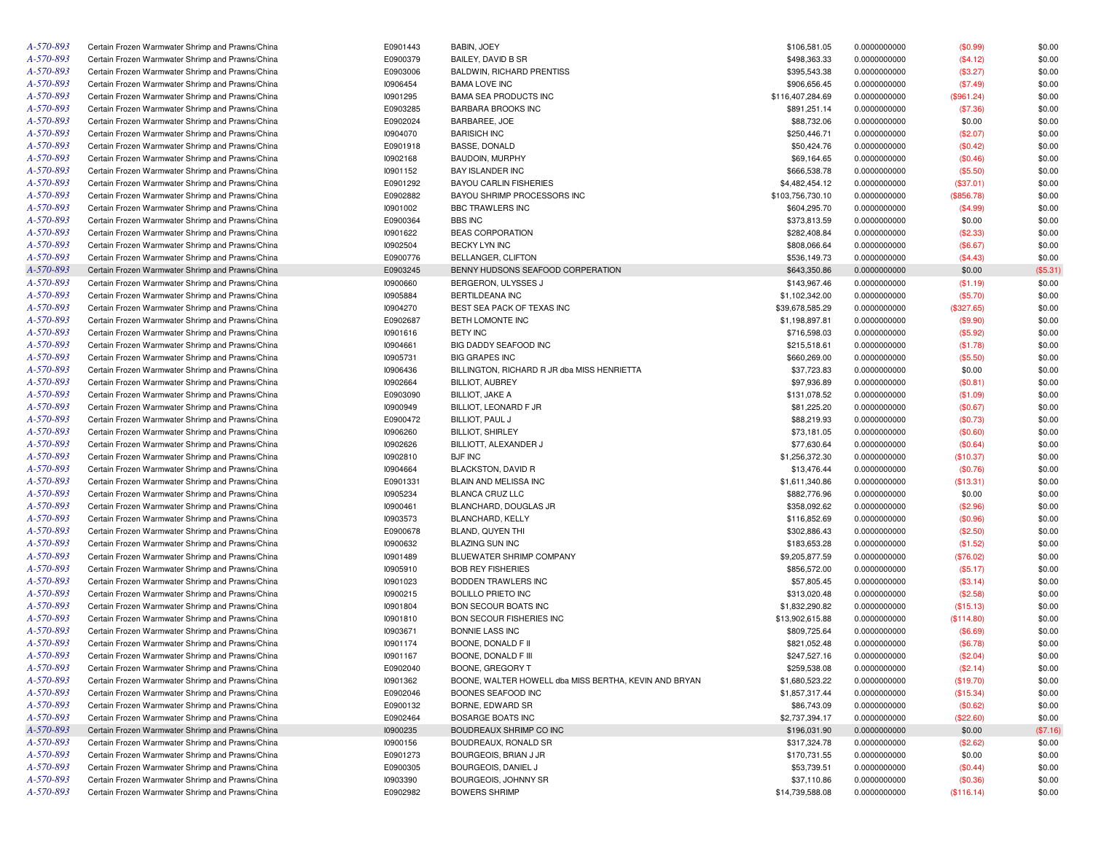| A-570-893 | Certain Frozen Warmwater Shrimp and Prawns/China | E0901443 | BABIN, JOEY                                           | \$106,581.05     | 0.0000000000 | (\$0.99)   | \$0.00   |
|-----------|--------------------------------------------------|----------|-------------------------------------------------------|------------------|--------------|------------|----------|
| A-570-893 | Certain Frozen Warmwater Shrimp and Prawns/China | E0900379 | BAILEY, DAVID B SR                                    | \$498,363.33     | 0.0000000000 | (\$4.12)   | \$0.00   |
| A-570-893 | Certain Frozen Warmwater Shrimp and Prawns/China | E0903006 | BALDWIN, RICHARD PRENTISS                             | \$395,543.38     | 0.0000000000 | (\$3.27)   | \$0.00   |
| A-570-893 | Certain Frozen Warmwater Shrimp and Prawns/China | 10906454 | <b>BAMA LOVE INC</b>                                  | \$906,656.45     | 0.0000000000 | (\$7.49)   | \$0.00   |
| A-570-893 | Certain Frozen Warmwater Shrimp and Prawns/China | 10901295 | <b>BAMA SEA PRODUCTS INC</b>                          | \$116,407,284.69 | 0.0000000000 | (\$961.24) | \$0.00   |
| A-570-893 | Certain Frozen Warmwater Shrimp and Prawns/China | E0903285 | <b>BARBARA BROOKS INC</b>                             | \$891,251.14     | 0.0000000000 | (\$7.36)   | \$0.00   |
| A-570-893 | Certain Frozen Warmwater Shrimp and Prawns/China | E0902024 | BARBAREE, JOE                                         | \$88,732.06      | 0.0000000000 | \$0.00     | \$0.00   |
| A-570-893 | Certain Frozen Warmwater Shrimp and Prawns/China | 10904070 | <b>BARISICH INC</b>                                   | \$250,446.71     | 0.0000000000 | (\$2.07)   | \$0.00   |
| A-570-893 | Certain Frozen Warmwater Shrimp and Prawns/China | E0901918 | <b>BASSE, DONALD</b>                                  | \$50,424.76      | 0.0000000000 | (\$0.42)   | \$0.00   |
| A-570-893 | Certain Frozen Warmwater Shrimp and Prawns/China | 10902168 | BAUDOIN, MURPHY                                       | \$69,164.65      | 0.0000000000 | (\$0.46)   | \$0.00   |
| A-570-893 | Certain Frozen Warmwater Shrimp and Prawns/China | 10901152 | <b>BAY ISLANDER INC</b>                               | \$666,538.78     | 0.0000000000 | (\$5.50)   | \$0.00   |
| A-570-893 | Certain Frozen Warmwater Shrimp and Prawns/China | E0901292 | <b>BAYOU CARLIN FISHERIES</b>                         | \$4,482,454.12   | 0.0000000000 | (\$37.01)  | \$0.00   |
| A-570-893 | Certain Frozen Warmwater Shrimp and Prawns/China | E0902882 | BAYOU SHRIMP PROCESSORS INC                           | \$103,756,730.10 | 0.0000000000 | (\$856.78) | \$0.00   |
| A-570-893 | Certain Frozen Warmwater Shrimp and Prawns/China | 10901002 | <b>BBC TRAWLERS INC</b>                               | \$604,295.70     | 0.0000000000 | (\$4.99)   | \$0.00   |
| A-570-893 | Certain Frozen Warmwater Shrimp and Prawns/China | E0900364 | <b>BBS INC</b>                                        | \$373,813.59     | 0.0000000000 | \$0.00     | \$0.00   |
| A-570-893 |                                                  | 10901622 | <b>BEAS CORPORATION</b>                               |                  |              |            | \$0.00   |
|           | Certain Frozen Warmwater Shrimp and Prawns/China |          |                                                       | \$282,408.84     | 0.0000000000 | (\$2.33)   |          |
| A-570-893 | Certain Frozen Warmwater Shrimp and Prawns/China | 10902504 | BECKY LYN INC                                         | \$808,066.64     | 0.0000000000 | (\$6.67)   | \$0.00   |
| A-570-893 | Certain Frozen Warmwater Shrimp and Prawns/China | E0900776 | BELLANGER, CLIFTON                                    | \$536,149.73     | 0.0000000000 | (\$4.43)   | \$0.00   |
| A-570-893 | Certain Frozen Warmwater Shrimp and Prawns/China | E0903245 | BENNY HUDSONS SEAFOOD CORPERATION                     | \$643,350.86     | 0.0000000000 | \$0.00     | (\$5.31) |
| A-570-893 | Certain Frozen Warmwater Shrimp and Prawns/China | 10900660 | BERGERON, ULYSSES J                                   | \$143,967.46     | 0.0000000000 | (\$1.19)   | \$0.00   |
| A-570-893 | Certain Frozen Warmwater Shrimp and Prawns/China | 10905884 | BERTILDEANA INC                                       | \$1,102,342.00   | 0.0000000000 | (\$5.70)   | \$0.00   |
| A-570-893 | Certain Frozen Warmwater Shrimp and Prawns/China | 10904270 | BEST SEA PACK OF TEXAS INC                            | \$39,678,585.29  | 0.0000000000 | (\$327.65) | \$0.00   |
| A-570-893 | Certain Frozen Warmwater Shrimp and Prawns/China | E0902687 | BETH LOMONTE INC                                      | \$1,198,897.81   | 0.0000000000 | (\$9.90)   | \$0.00   |
| A-570-893 | Certain Frozen Warmwater Shrimp and Prawns/China | 10901616 | <b>BETY INC</b>                                       | \$716,598.03     | 0.0000000000 | (\$5.92)   | \$0.00   |
| A-570-893 | Certain Frozen Warmwater Shrimp and Prawns/China | 10904661 | BIG DADDY SEAFOOD INC                                 | \$215,518.61     | 0.0000000000 | (\$1.78)   | \$0.00   |
| A-570-893 | Certain Frozen Warmwater Shrimp and Prawns/China | 10905731 | <b>BIG GRAPES INC</b>                                 | \$660,269.00     | 0.0000000000 | (\$5.50)   | \$0.00   |
| A-570-893 | Certain Frozen Warmwater Shrimp and Prawns/China | 10906436 | BILLINGTON, RICHARD R JR dba MISS HENRIETTA           | \$37,723.83      | 0.0000000000 | \$0.00     | \$0.00   |
| A-570-893 | Certain Frozen Warmwater Shrimp and Prawns/China | 10902664 | <b>BILLIOT, AUBREY</b>                                | \$97,936.89      | 0.0000000000 | (\$0.81)   | \$0.00   |
| A-570-893 | Certain Frozen Warmwater Shrimp and Prawns/China | E0903090 | <b>BILLIOT, JAKE A</b>                                | \$131,078.52     | 0.0000000000 | (\$1.09)   | \$0.00   |
| A-570-893 | Certain Frozen Warmwater Shrimp and Prawns/China | 10900949 | BILLIOT, LEONARD F JR                                 | \$81,225.20      | 0.0000000000 | (\$0.67)   | \$0.00   |
| A-570-893 | Certain Frozen Warmwater Shrimp and Prawns/China | E0900472 | BILLIOT, PAUL J                                       | \$88,219.93      | 0.0000000000 | (\$0.73)   | \$0.00   |
| A-570-893 | Certain Frozen Warmwater Shrimp and Prawns/China | 10906260 | <b>BILLIOT, SHIRLEY</b>                               | \$73,181.05      | 0.0000000000 | (\$0.60)   | \$0.00   |
| A-570-893 | Certain Frozen Warmwater Shrimp and Prawns/China | 10902626 | BILLIOTT, ALEXANDER J                                 | \$77,630.64      | 0.0000000000 | (\$0.64)   | \$0.00   |
| A-570-893 | Certain Frozen Warmwater Shrimp and Prawns/China | 10902810 | <b>BJF INC</b>                                        | \$1,256,372.30   | 0.0000000000 | (\$10.37)  | \$0.00   |
| A-570-893 | Certain Frozen Warmwater Shrimp and Prawns/China | 10904664 | BLACKSTON, DAVID R                                    | \$13,476.44      | 0.0000000000 | (\$0.76)   | \$0.00   |
| A-570-893 | Certain Frozen Warmwater Shrimp and Prawns/China | E0901331 | BLAIN AND MELISSA INC                                 | \$1,611,340.86   | 0.0000000000 | (\$13.31)  | \$0.00   |
| A-570-893 | Certain Frozen Warmwater Shrimp and Prawns/China | 10905234 | <b>BLANCA CRUZ LLC</b>                                | \$882,776.96     | 0.0000000000 | \$0.00     | \$0.00   |
| A-570-893 | Certain Frozen Warmwater Shrimp and Prawns/China | 10900461 | BLANCHARD, DOUGLAS JR                                 | \$358,092.62     | 0.0000000000 | (\$2.96)   | \$0.00   |
| A-570-893 | Certain Frozen Warmwater Shrimp and Prawns/China | 10903573 | BLANCHARD, KELLY                                      | \$116,852.69     | 0.0000000000 |            | \$0.00   |
| A-570-893 |                                                  |          |                                                       |                  |              | (\$0.96)   |          |
|           | Certain Frozen Warmwater Shrimp and Prawns/China | E0900678 | BLAND, QUYEN THI                                      | \$302,886.43     | 0.0000000000 | (\$2.50)   | \$0.00   |
| A-570-893 | Certain Frozen Warmwater Shrimp and Prawns/China | 10900632 | <b>BLAZING SUN INC</b>                                | \$183,653.28     | 0.0000000000 | (\$1.52)   | \$0.00   |
| A-570-893 | Certain Frozen Warmwater Shrimp and Prawns/China | 10901489 | BLUEWATER SHRIMP COMPANY                              | \$9,205,877.59   | 0.0000000000 | (\$76.02)  | \$0.00   |
| A-570-893 | Certain Frozen Warmwater Shrimp and Prawns/China | 10905910 | <b>BOB REY FISHERIES</b>                              | \$856,572.00     | 0.0000000000 | (\$5.17)   | \$0.00   |
| A-570-893 | Certain Frozen Warmwater Shrimp and Prawns/China | 10901023 | BODDEN TRAWLERS INC                                   | \$57,805.45      | 0.0000000000 | (\$3.14)   | \$0.00   |
| A-570-893 | Certain Frozen Warmwater Shrimp and Prawns/China | 10900215 | <b>BOLILLO PRIETO INC</b>                             | \$313,020.48     | 0.0000000000 | (\$2.58)   | \$0.00   |
| A-570-893 | Certain Frozen Warmwater Shrimp and Prawns/China | 10901804 | <b>BON SECOUR BOATS INC</b>                           | \$1,832,290.82   | 0.0000000000 | (\$15.13)  | \$0.00   |
| A-570-893 | Certain Frozen Warmwater Shrimp and Prawns/China | 10901810 | BON SECOUR FISHERIES INC                              | \$13,902,615.88  | 0.0000000000 | (\$114.80) | \$0.00   |
| A-570-893 | Certain Frozen Warmwater Shrimp and Prawns/China | 10903671 | BONNIE LASS INC                                       | \$809,725.64     | 0.0000000000 | (\$6.69)   | \$0.00   |
| A-570-893 | Certain Frozen Warmwater Shrimp and Prawns/China | 10901174 | BOONE, DONALD F II                                    | \$821,052.48     | 0.0000000000 | (\$6.78)   | \$0.00   |
| A-570-893 | Certain Frozen Warmwater Shrimp and Prawns/China | 10901167 | BOONE, DONALD F III                                   | \$247,527.16     | 0.0000000000 | (\$2.04)   | \$0.00   |
| A-570-893 | Certain Frozen Warmwater Shrimp and Prawns/China | E0902040 | BOONE, GREGORY T                                      | \$259,538.08     | 0.0000000000 | (\$2.14)   | \$0.00   |
| A-570-893 | Certain Frozen Warmwater Shrimp and Prawns/China | 10901362 | BOONE, WALTER HOWELL dba MISS BERTHA, KEVIN AND BRYAN | \$1,680,523.22   | 0.0000000000 | (\$19.70)  | \$0.00   |
| A-570-893 | Certain Frozen Warmwater Shrimp and Prawns/China | E0902046 | BOONES SEAFOOD INC                                    | \$1,857,317.44   | 0.0000000000 | (\$15.34)  | \$0.00   |
| A-570-893 | Certain Frozen Warmwater Shrimp and Prawns/China | E0900132 | BORNE, EDWARD SR                                      | \$86,743.09      | 0.0000000000 | (\$0.62)   | \$0.00   |
| A-570-893 | Certain Frozen Warmwater Shrimp and Prawns/China | E0902464 | BOSARGE BOATS INC                                     | \$2,737,394.17   | 0.0000000000 | (\$22.60)  | \$0.00   |
| A-570-893 | Certain Frozen Warmwater Shrimp and Prawns/China | 10900235 | BOUDREAUX SHRIMP CO INC                               | \$196,031.90     | 0.0000000000 | \$0.00     | (\$7.16) |
| A-570-893 | Certain Frozen Warmwater Shrimp and Prawns/China | 10900156 | BOUDREAUX, RONALD SR                                  | \$317,324.78     | 0.0000000000 | (\$2.62)   | \$0.00   |
| A-570-893 | Certain Frozen Warmwater Shrimp and Prawns/China | E0901273 | BOURGEOIS, BRIAN J JR                                 | \$170,731.55     | 0.0000000000 | \$0.00     | \$0.00   |
| A-570-893 | Certain Frozen Warmwater Shrimp and Prawns/China | E0900305 | BOURGEOIS, DANIEL J                                   | \$53,739.51      | 0.0000000000 | (\$0.44)   | \$0.00   |
| A-570-893 | Certain Frozen Warmwater Shrimp and Prawns/China | 10903390 | BOURGEOIS, JOHNNY SR                                  | \$37,110.86      | 0.0000000000 | (\$0.36)   | \$0.00   |
| A-570-893 | Certain Frozen Warmwater Shrimp and Prawns/China | E0902982 | <b>BOWERS SHRIMP</b>                                  | \$14,739,588.08  | 0.0000000000 |            |          |
|           |                                                  |          |                                                       |                  |              | (\$116.14) | \$0.00   |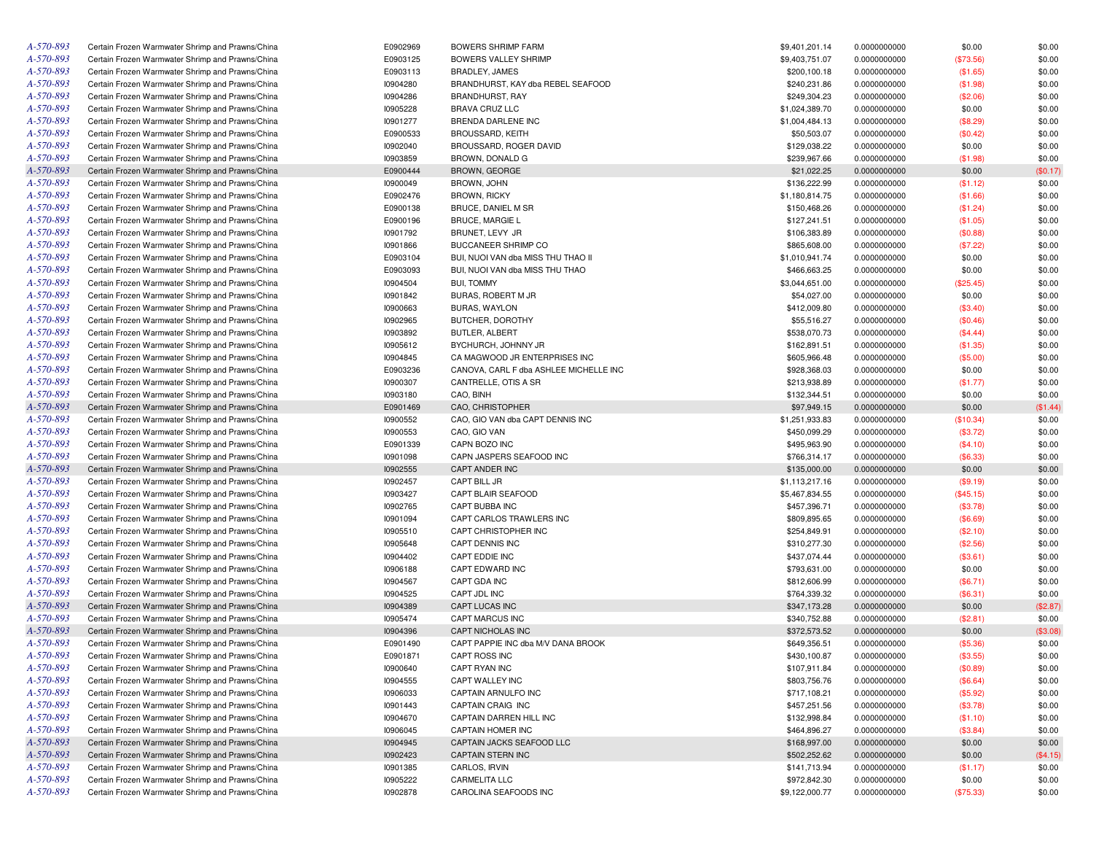| A-570-893 | Certain Frozen Warmwater Shrimp and Prawns/China | E0902969 | BOWERS SHRIMP FARM                     | \$9,401,201.14 | 0.0000000000 | \$0.00    | \$0.00           |
|-----------|--------------------------------------------------|----------|----------------------------------------|----------------|--------------|-----------|------------------|
| A-570-893 | Certain Frozen Warmwater Shrimp and Prawns/China | E0903125 | BOWERS VALLEY SHRIMP                   | \$9,403,751.07 | 0.0000000000 | (\$73.56) | \$0.00           |
| A-570-893 | Certain Frozen Warmwater Shrimp and Prawns/China | E0903113 | BRADLEY, JAMES                         | \$200,100.18   | 0.0000000000 | (\$1.65)  | \$0.00           |
| A-570-893 | Certain Frozen Warmwater Shrimp and Prawns/China | 10904280 | BRANDHURST, KAY dba REBEL SEAFOOD      | \$240,231.86   | 0.0000000000 | (\$1.98)  | \$0.00           |
| A-570-893 | Certain Frozen Warmwater Shrimp and Prawns/China | 10904286 | BRANDHURST, RAY                        | \$249,304.23   | 0.0000000000 | (\$2.06)  | \$0.00           |
| A-570-893 | Certain Frozen Warmwater Shrimp and Prawns/China | 10905228 | BRAVA CRUZ LLC                         | \$1,024,389.70 | 0.0000000000 | \$0.00    | \$0.00           |
| A-570-893 | Certain Frozen Warmwater Shrimp and Prawns/China | 10901277 | BRENDA DARLENE INC                     | \$1,004,484.13 | 0.0000000000 | (\$8.29)  | \$0.00           |
| A-570-893 | Certain Frozen Warmwater Shrimp and Prawns/China | E0900533 | <b>BROUSSARD, KEITH</b>                | \$50,503.07    | 0.0000000000 | (\$0.42)  | \$0.00           |
| A-570-893 | Certain Frozen Warmwater Shrimp and Prawns/China | 10902040 | BROUSSARD, ROGER DAVID                 | \$129,038.22   | 0.0000000000 | \$0.00    | \$0.00           |
| A-570-893 | Certain Frozen Warmwater Shrimp and Prawns/China | 10903859 | BROWN, DONALD G                        | \$239,967.66   | 0.0000000000 | (\$1.98)  | \$0.00           |
| A-570-893 | Certain Frozen Warmwater Shrimp and Prawns/China | E0900444 | BROWN, GEORGE                          | \$21,022.25    | 0.0000000000 | \$0.00    | (\$0.17)         |
| A-570-893 | Certain Frozen Warmwater Shrimp and Prawns/China | 10900049 | BROWN, JOHN                            | \$136,222.99   | 0.0000000000 | (\$1.12)  | \$0.00           |
| A-570-893 | Certain Frozen Warmwater Shrimp and Prawns/China | E0902476 | <b>BROWN, RICKY</b>                    | \$1,180,814.75 | 0.0000000000 | (\$1.66)  | \$0.00           |
| A-570-893 | Certain Frozen Warmwater Shrimp and Prawns/China | E0900138 | BRUCE, DANIEL M SR                     | \$150,468.26   | 0.0000000000 | (\$1.24)  | \$0.00           |
| A-570-893 | Certain Frozen Warmwater Shrimp and Prawns/China | E0900196 | <b>BRUCE, MARGIE L</b>                 | \$127,241.51   | 0.0000000000 | (\$1.05)  | \$0.00           |
| A-570-893 | Certain Frozen Warmwater Shrimp and Prawns/China | 10901792 | BRUNET, LEVY JR                        | \$106,383.89   | 0.0000000000 | (\$0.88)  | \$0.00           |
| A-570-893 | Certain Frozen Warmwater Shrimp and Prawns/China | 10901866 | BUCCANEER SHRIMP CO                    | \$865,608.00   | 0.0000000000 | (\$7.22)  | \$0.00           |
| A-570-893 | Certain Frozen Warmwater Shrimp and Prawns/China | E0903104 | BUI, NUOI VAN dba MISS THU THAO II     | \$1,010,941.74 | 0.0000000000 |           | \$0.00           |
| A-570-893 |                                                  |          | BUI, NUOI VAN dba MISS THU THAO        |                |              | \$0.00    |                  |
|           | Certain Frozen Warmwater Shrimp and Prawns/China | E0903093 |                                        | \$466,663.25   | 0.0000000000 | \$0.00    | \$0.00           |
| A-570-893 | Certain Frozen Warmwater Shrimp and Prawns/China | 10904504 | <b>BUI, TOMMY</b>                      | \$3,044,651.00 | 0.0000000000 | (\$25.45) | \$0.00           |
| A-570-893 | Certain Frozen Warmwater Shrimp and Prawns/China | 10901842 | BURAS, ROBERT M JR                     | \$54,027.00    | 0.0000000000 | \$0.00    | \$0.00           |
| A-570-893 | Certain Frozen Warmwater Shrimp and Prawns/China | 10900663 | <b>BURAS, WAYLON</b>                   | \$412,009.80   | 0.0000000000 | (\$3.40)  | \$0.00           |
| A-570-893 | Certain Frozen Warmwater Shrimp and Prawns/China | 10902965 | BUTCHER, DOROTHY                       | \$55,516.27    | 0.0000000000 | (\$0.46)  | \$0.00           |
| A-570-893 | Certain Frozen Warmwater Shrimp and Prawns/China | 10903892 | BUTLER, ALBERT                         | \$538,070.73   | 0.0000000000 | (\$4.44)  | \$0.00           |
| A-570-893 | Certain Frozen Warmwater Shrimp and Prawns/China | 10905612 | BYCHURCH, JOHNNY JR                    | \$162,891.51   | 0.0000000000 | (\$1.35)  | \$0.00           |
| A-570-893 | Certain Frozen Warmwater Shrimp and Prawns/China | 10904845 | CA MAGWOOD JR ENTERPRISES INC          | \$605,966.48   | 0.0000000000 | (\$5.00)  | \$0.00           |
| A-570-893 | Certain Frozen Warmwater Shrimp and Prawns/China | E0903236 | CANOVA, CARL F dba ASHLEE MICHELLE INC | \$928,368.03   | 0.0000000000 | \$0.00    | \$0.00           |
| A-570-893 | Certain Frozen Warmwater Shrimp and Prawns/China | 10900307 | CANTRELLE, OTIS A SR                   | \$213,938.89   | 0.0000000000 | (\$1.77)  | \$0.00           |
| A-570-893 | Certain Frozen Warmwater Shrimp and Prawns/China | 10903180 | CAO, BINH                              | \$132,344.51   | 0.0000000000 | \$0.00    | \$0.00           |
| A-570-893 | Certain Frozen Warmwater Shrimp and Prawns/China | E0901469 | CAO, CHRISTOPHER                       | \$97,949.15    | 0.0000000000 | \$0.00    | (\$1.44)         |
| A-570-893 | Certain Frozen Warmwater Shrimp and Prawns/China | 10900552 | CAO, GIO VAN dba CAPT DENNIS INC       | \$1,251,933.83 | 0.0000000000 | (\$10.34) | \$0.00           |
| A-570-893 | Certain Frozen Warmwater Shrimp and Prawns/China | 10900553 | CAO, GIO VAN                           | \$450,099.29   | 0.0000000000 | (\$3.72)  | \$0.00           |
| A-570-893 | Certain Frozen Warmwater Shrimp and Prawns/China | E0901339 | CAPN BOZO INC                          | \$495,963.90   | 0.0000000000 | (\$4.10)  | \$0.00           |
| A-570-893 | Certain Frozen Warmwater Shrimp and Prawns/China | 10901098 | CAPN JASPERS SEAFOOD INC               | \$766,314.17   | 0.0000000000 | (\$6.33)  | \$0.00           |
| A-570-893 | Certain Frozen Warmwater Shrimp and Prawns/China | 10902555 | <b>CAPT ANDER INC</b>                  | \$135,000.00   | 0.0000000000 | \$0.00    | \$0.00           |
| A-570-893 | Certain Frozen Warmwater Shrimp and Prawns/China | 10902457 | <b>CAPT BILL JR</b>                    | \$1,113,217.16 | 0.0000000000 | (\$9.19)  | \$0.00           |
| A-570-893 | Certain Frozen Warmwater Shrimp and Prawns/China | 10903427 | CAPT BLAIR SEAFOOD                     | \$5,467,834.55 | 0.0000000000 | (\$45.15) | \$0.00           |
| A-570-893 | Certain Frozen Warmwater Shrimp and Prawns/China | 10902765 | CAPT BUBBA INC                         | \$457,396.71   | 0.0000000000 | (\$3.78)  | \$0.00           |
| A-570-893 | Certain Frozen Warmwater Shrimp and Prawns/China | 10901094 | CAPT CARLOS TRAWLERS INC               | \$809,895.65   | 0.0000000000 | (\$6.69)  | \$0.00           |
| A-570-893 | Certain Frozen Warmwater Shrimp and Prawns/China | 10905510 | CAPT CHRISTOPHER INC                   | \$254,849.91   | 0.0000000000 | (\$2.10)  | \$0.00           |
| A-570-893 | Certain Frozen Warmwater Shrimp and Prawns/China | 10905648 | CAPT DENNIS INC                        | \$310,277.30   | 0.0000000000 | (\$2.56)  | \$0.00           |
| A-570-893 | Certain Frozen Warmwater Shrimp and Prawns/China | 10904402 | CAPT EDDIE INC                         | \$437,074.44   | 0.0000000000 | (\$3.61)  | \$0.00           |
| A-570-893 | Certain Frozen Warmwater Shrimp and Prawns/China | 10906188 | CAPT EDWARD INC                        | \$793,631.00   | 0.0000000000 | \$0.00    | \$0.00           |
| A-570-893 | Certain Frozen Warmwater Shrimp and Prawns/China | 10904567 | CAPT GDA INC                           | \$812,606.99   | 0.0000000000 | (\$6.71)  | \$0.00           |
| A-570-893 | Certain Frozen Warmwater Shrimp and Prawns/China | 10904525 | CAPT JDL INC                           | \$764,339.32   | 0.0000000000 | (\$6.31)  | \$0.00           |
| A-570-893 | Certain Frozen Warmwater Shrimp and Prawns/China | 10904389 | CAPT LUCAS INC                         | \$347,173.28   | 0.0000000000 | \$0.00    | (\$2.87)         |
| A-570-893 | Certain Frozen Warmwater Shrimp and Prawns/China | 10905474 | CAPT MARCUS INC                        | \$340,752.88   | 0.0000000000 | (\$2.81)  | \$0.00           |
| A-570-893 | Certain Frozen Warmwater Shrimp and Prawns/China | 10904396 | CAPT NICHOLAS INC                      | \$372,573.52   | 0.0000000000 | \$0.00    | (\$3.08)         |
| A-570-893 | Certain Frozen Warmwater Shrimp and Prawns/China | E0901490 | CAPT PAPPIE INC dba M/V DANA BROOK     | \$649,356.51   | 0.0000000000 | (\$5.36)  | \$0.00           |
| A-570-893 | Certain Frozen Warmwater Shrimp and Prawns/China | E0901871 | CAPT ROSS INC                          | \$430,100.87   | 0.0000000000 | (\$3.55)  | \$0.00           |
| A-570-893 | Certain Frozen Warmwater Shrimp and Prawns/China | 10900640 | CAPT RYAN INC                          | \$107,911.84   | 0.0000000000 | (\$0.89)  | \$0.00           |
| A-570-893 | Certain Frozen Warmwater Shrimp and Prawns/China | 10904555 | CAPT WALLEY INC                        | \$803,756.76   | 0.0000000000 | (\$6.64)  | \$0.00           |
| A-570-893 | Certain Frozen Warmwater Shrimp and Prawns/China | 10906033 | CAPTAIN ARNULFO INC                    | \$717,108.21   | 0.0000000000 | (\$5.92)  | \$0.00           |
| A-570-893 | Certain Frozen Warmwater Shrimp and Prawns/China | 10901443 | CAPTAIN CRAIG INC                      | \$457,251.56   | 0.0000000000 | (\$3.78)  | \$0.00           |
| A-570-893 | Certain Frozen Warmwater Shrimp and Prawns/China | 10904670 | CAPTAIN DARREN HILL INC                | \$132,998.84   |              |           |                  |
| A-570-893 |                                                  | 10906045 |                                        |                | 0.0000000000 | (\$1.10)  | \$0.00<br>\$0.00 |
|           | Certain Frozen Warmwater Shrimp and Prawns/China |          | CAPTAIN HOMER INC                      | \$464,896.27   | 0.0000000000 | (\$3.84)  |                  |
| A-570-893 | Certain Frozen Warmwater Shrimp and Prawns/China | 10904945 | CAPTAIN JACKS SEAFOOD LLC              | \$168,997.00   | 0.0000000000 | \$0.00    | \$0.00           |
| A-570-893 | Certain Frozen Warmwater Shrimp and Prawns/China | 10902423 | <b>CAPTAIN STERN INC</b>               | \$502,252.62   | 0.0000000000 | \$0.00    | (\$4.15)         |
| A-570-893 | Certain Frozen Warmwater Shrimp and Prawns/China | 10901385 | CARLOS, IRVIN                          | \$141,713.94   | 0.0000000000 | (\$1.17)  | \$0.00           |
| A-570-893 | Certain Frozen Warmwater Shrimp and Prawns/China | 10905222 | CARMELITA LLC                          | \$972,842.30   | 0.0000000000 | \$0.00    | \$0.00           |
| A-570-893 | Certain Frozen Warmwater Shrimp and Prawns/China | 10902878 | CAROLINA SEAFOODS INC                  | \$9,122,000.77 | 0.0000000000 | (\$75.33) | \$0.00           |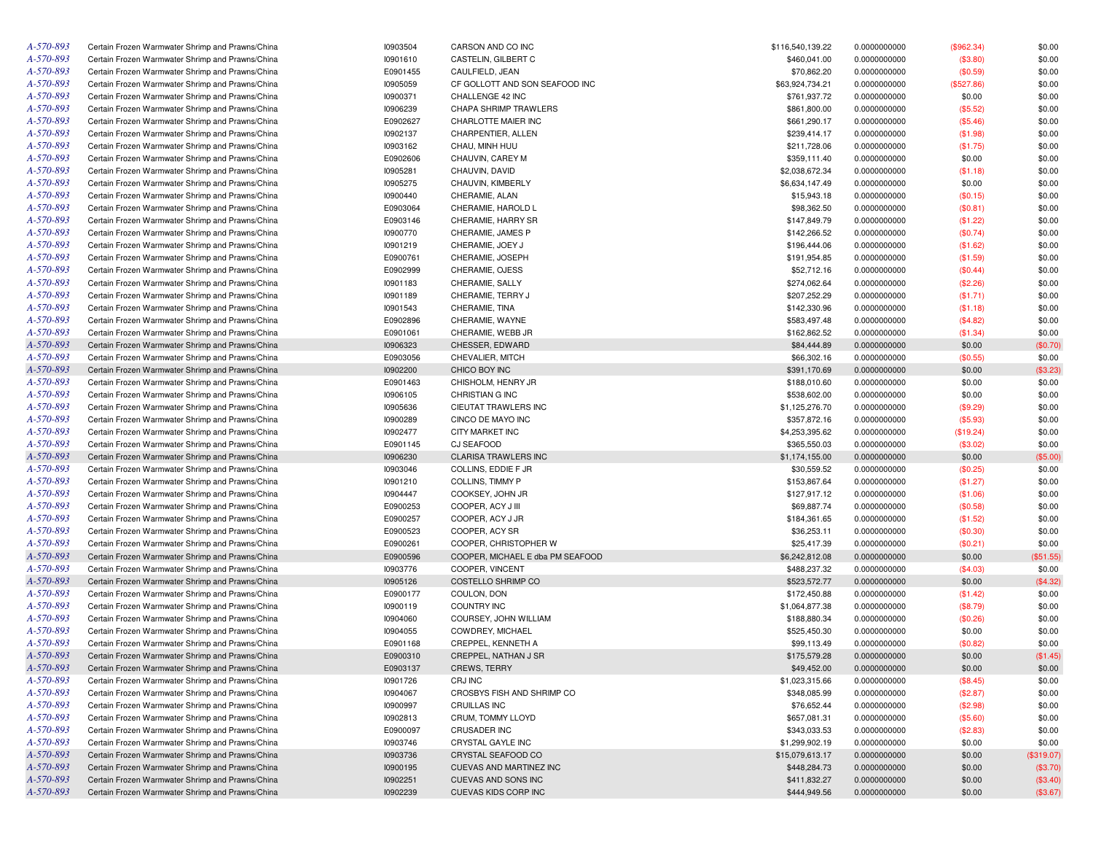| Certain Frozen Warmwater Shrimp and Prawns/China | 10903504                                                                                                                                                                                                                                                                                                                                                                                                                                                                                                                                                                                                                                                                                                                                                                                                                                                                                                                                                                                                                                                                                                                                                                                                                                                                                                                                                                                                                                                                                                     | CARSON AND CO INC                                                                                                                                                                                                                                                                                                                                        | \$116,540,139.22                                                                                                                                                                                                                                                                                                                                                                                                                                                                                                                                                             | 0.0000000000                                                                                                                                                                                                                                                                                                                                                                                                                                                  | (\$962.34)                                                                                                                                                                                                                                                                                                                                                                                                                                                   | \$0.00                                                                                                                                                                                                                                                                                                                                       |
|--------------------------------------------------|--------------------------------------------------------------------------------------------------------------------------------------------------------------------------------------------------------------------------------------------------------------------------------------------------------------------------------------------------------------------------------------------------------------------------------------------------------------------------------------------------------------------------------------------------------------------------------------------------------------------------------------------------------------------------------------------------------------------------------------------------------------------------------------------------------------------------------------------------------------------------------------------------------------------------------------------------------------------------------------------------------------------------------------------------------------------------------------------------------------------------------------------------------------------------------------------------------------------------------------------------------------------------------------------------------------------------------------------------------------------------------------------------------------------------------------------------------------------------------------------------------------|----------------------------------------------------------------------------------------------------------------------------------------------------------------------------------------------------------------------------------------------------------------------------------------------------------------------------------------------------------|------------------------------------------------------------------------------------------------------------------------------------------------------------------------------------------------------------------------------------------------------------------------------------------------------------------------------------------------------------------------------------------------------------------------------------------------------------------------------------------------------------------------------------------------------------------------------|---------------------------------------------------------------------------------------------------------------------------------------------------------------------------------------------------------------------------------------------------------------------------------------------------------------------------------------------------------------------------------------------------------------------------------------------------------------|--------------------------------------------------------------------------------------------------------------------------------------------------------------------------------------------------------------------------------------------------------------------------------------------------------------------------------------------------------------------------------------------------------------------------------------------------------------|----------------------------------------------------------------------------------------------------------------------------------------------------------------------------------------------------------------------------------------------------------------------------------------------------------------------------------------------|
| Certain Frozen Warmwater Shrimp and Prawns/China | 10901610                                                                                                                                                                                                                                                                                                                                                                                                                                                                                                                                                                                                                                                                                                                                                                                                                                                                                                                                                                                                                                                                                                                                                                                                                                                                                                                                                                                                                                                                                                     | CASTELIN, GILBERT C                                                                                                                                                                                                                                                                                                                                      | \$460,041.00                                                                                                                                                                                                                                                                                                                                                                                                                                                                                                                                                                 | 0.0000000000                                                                                                                                                                                                                                                                                                                                                                                                                                                  | (\$3.80)                                                                                                                                                                                                                                                                                                                                                                                                                                                     | \$0.00                                                                                                                                                                                                                                                                                                                                       |
| Certain Frozen Warmwater Shrimp and Prawns/China | E0901455                                                                                                                                                                                                                                                                                                                                                                                                                                                                                                                                                                                                                                                                                                                                                                                                                                                                                                                                                                                                                                                                                                                                                                                                                                                                                                                                                                                                                                                                                                     | CAULFIELD, JEAN                                                                                                                                                                                                                                                                                                                                          | \$70,862.20                                                                                                                                                                                                                                                                                                                                                                                                                                                                                                                                                                  | 0.0000000000                                                                                                                                                                                                                                                                                                                                                                                                                                                  | (\$0.59)                                                                                                                                                                                                                                                                                                                                                                                                                                                     | \$0.00                                                                                                                                                                                                                                                                                                                                       |
| Certain Frozen Warmwater Shrimp and Prawns/China | 10905059                                                                                                                                                                                                                                                                                                                                                                                                                                                                                                                                                                                                                                                                                                                                                                                                                                                                                                                                                                                                                                                                                                                                                                                                                                                                                                                                                                                                                                                                                                     | CF GOLLOTT AND SON SEAFOOD INC                                                                                                                                                                                                                                                                                                                           | \$63,924,734.21                                                                                                                                                                                                                                                                                                                                                                                                                                                                                                                                                              | 0.0000000000                                                                                                                                                                                                                                                                                                                                                                                                                                                  | (\$527.86)                                                                                                                                                                                                                                                                                                                                                                                                                                                   | \$0.00                                                                                                                                                                                                                                                                                                                                       |
| Certain Frozen Warmwater Shrimp and Prawns/China | 10900371                                                                                                                                                                                                                                                                                                                                                                                                                                                                                                                                                                                                                                                                                                                                                                                                                                                                                                                                                                                                                                                                                                                                                                                                                                                                                                                                                                                                                                                                                                     | CHALLENGE 42 INC                                                                                                                                                                                                                                                                                                                                         | \$761,937.72                                                                                                                                                                                                                                                                                                                                                                                                                                                                                                                                                                 | 0.0000000000                                                                                                                                                                                                                                                                                                                                                                                                                                                  | \$0.00                                                                                                                                                                                                                                                                                                                                                                                                                                                       | \$0.00                                                                                                                                                                                                                                                                                                                                       |
| Certain Frozen Warmwater Shrimp and Prawns/China | 10906239                                                                                                                                                                                                                                                                                                                                                                                                                                                                                                                                                                                                                                                                                                                                                                                                                                                                                                                                                                                                                                                                                                                                                                                                                                                                                                                                                                                                                                                                                                     | CHAPA SHRIMP TRAWLERS                                                                                                                                                                                                                                                                                                                                    | \$861,800.00                                                                                                                                                                                                                                                                                                                                                                                                                                                                                                                                                                 | 0.0000000000                                                                                                                                                                                                                                                                                                                                                                                                                                                  | (\$5.52)                                                                                                                                                                                                                                                                                                                                                                                                                                                     | \$0.00                                                                                                                                                                                                                                                                                                                                       |
| Certain Frozen Warmwater Shrimp and Prawns/China | E0902627                                                                                                                                                                                                                                                                                                                                                                                                                                                                                                                                                                                                                                                                                                                                                                                                                                                                                                                                                                                                                                                                                                                                                                                                                                                                                                                                                                                                                                                                                                     | CHARLOTTE MAIER INC                                                                                                                                                                                                                                                                                                                                      | \$661,290.17                                                                                                                                                                                                                                                                                                                                                                                                                                                                                                                                                                 | 0.0000000000                                                                                                                                                                                                                                                                                                                                                                                                                                                  | (\$5.46)                                                                                                                                                                                                                                                                                                                                                                                                                                                     | \$0.00                                                                                                                                                                                                                                                                                                                                       |
| Certain Frozen Warmwater Shrimp and Prawns/China | 10902137                                                                                                                                                                                                                                                                                                                                                                                                                                                                                                                                                                                                                                                                                                                                                                                                                                                                                                                                                                                                                                                                                                                                                                                                                                                                                                                                                                                                                                                                                                     | CHARPENTIER, ALLEN                                                                                                                                                                                                                                                                                                                                       | \$239,414.17                                                                                                                                                                                                                                                                                                                                                                                                                                                                                                                                                                 | 0.0000000000                                                                                                                                                                                                                                                                                                                                                                                                                                                  |                                                                                                                                                                                                                                                                                                                                                                                                                                                              | \$0.00                                                                                                                                                                                                                                                                                                                                       |
|                                                  |                                                                                                                                                                                                                                                                                                                                                                                                                                                                                                                                                                                                                                                                                                                                                                                                                                                                                                                                                                                                                                                                                                                                                                                                                                                                                                                                                                                                                                                                                                              | CHAU, MINH HUU                                                                                                                                                                                                                                                                                                                                           |                                                                                                                                                                                                                                                                                                                                                                                                                                                                                                                                                                              |                                                                                                                                                                                                                                                                                                                                                                                                                                                               |                                                                                                                                                                                                                                                                                                                                                                                                                                                              | \$0.00                                                                                                                                                                                                                                                                                                                                       |
|                                                  |                                                                                                                                                                                                                                                                                                                                                                                                                                                                                                                                                                                                                                                                                                                                                                                                                                                                                                                                                                                                                                                                                                                                                                                                                                                                                                                                                                                                                                                                                                              |                                                                                                                                                                                                                                                                                                                                                          |                                                                                                                                                                                                                                                                                                                                                                                                                                                                                                                                                                              |                                                                                                                                                                                                                                                                                                                                                                                                                                                               |                                                                                                                                                                                                                                                                                                                                                                                                                                                              | \$0.00                                                                                                                                                                                                                                                                                                                                       |
|                                                  |                                                                                                                                                                                                                                                                                                                                                                                                                                                                                                                                                                                                                                                                                                                                                                                                                                                                                                                                                                                                                                                                                                                                                                                                                                                                                                                                                                                                                                                                                                              |                                                                                                                                                                                                                                                                                                                                                          |                                                                                                                                                                                                                                                                                                                                                                                                                                                                                                                                                                              |                                                                                                                                                                                                                                                                                                                                                                                                                                                               |                                                                                                                                                                                                                                                                                                                                                                                                                                                              | \$0.00                                                                                                                                                                                                                                                                                                                                       |
|                                                  |                                                                                                                                                                                                                                                                                                                                                                                                                                                                                                                                                                                                                                                                                                                                                                                                                                                                                                                                                                                                                                                                                                                                                                                                                                                                                                                                                                                                                                                                                                              |                                                                                                                                                                                                                                                                                                                                                          |                                                                                                                                                                                                                                                                                                                                                                                                                                                                                                                                                                              |                                                                                                                                                                                                                                                                                                                                                                                                                                                               |                                                                                                                                                                                                                                                                                                                                                                                                                                                              | \$0.00                                                                                                                                                                                                                                                                                                                                       |
|                                                  |                                                                                                                                                                                                                                                                                                                                                                                                                                                                                                                                                                                                                                                                                                                                                                                                                                                                                                                                                                                                                                                                                                                                                                                                                                                                                                                                                                                                                                                                                                              |                                                                                                                                                                                                                                                                                                                                                          |                                                                                                                                                                                                                                                                                                                                                                                                                                                                                                                                                                              |                                                                                                                                                                                                                                                                                                                                                                                                                                                               |                                                                                                                                                                                                                                                                                                                                                                                                                                                              | \$0.00                                                                                                                                                                                                                                                                                                                                       |
|                                                  |                                                                                                                                                                                                                                                                                                                                                                                                                                                                                                                                                                                                                                                                                                                                                                                                                                                                                                                                                                                                                                                                                                                                                                                                                                                                                                                                                                                                                                                                                                              |                                                                                                                                                                                                                                                                                                                                                          |                                                                                                                                                                                                                                                                                                                                                                                                                                                                                                                                                                              |                                                                                                                                                                                                                                                                                                                                                                                                                                                               |                                                                                                                                                                                                                                                                                                                                                                                                                                                              | \$0.00                                                                                                                                                                                                                                                                                                                                       |
|                                                  |                                                                                                                                                                                                                                                                                                                                                                                                                                                                                                                                                                                                                                                                                                                                                                                                                                                                                                                                                                                                                                                                                                                                                                                                                                                                                                                                                                                                                                                                                                              |                                                                                                                                                                                                                                                                                                                                                          |                                                                                                                                                                                                                                                                                                                                                                                                                                                                                                                                                                              |                                                                                                                                                                                                                                                                                                                                                                                                                                                               |                                                                                                                                                                                                                                                                                                                                                                                                                                                              | \$0.00                                                                                                                                                                                                                                                                                                                                       |
|                                                  |                                                                                                                                                                                                                                                                                                                                                                                                                                                                                                                                                                                                                                                                                                                                                                                                                                                                                                                                                                                                                                                                                                                                                                                                                                                                                                                                                                                                                                                                                                              |                                                                                                                                                                                                                                                                                                                                                          |                                                                                                                                                                                                                                                                                                                                                                                                                                                                                                                                                                              |                                                                                                                                                                                                                                                                                                                                                                                                                                                               |                                                                                                                                                                                                                                                                                                                                                                                                                                                              | \$0.00                                                                                                                                                                                                                                                                                                                                       |
|                                                  |                                                                                                                                                                                                                                                                                                                                                                                                                                                                                                                                                                                                                                                                                                                                                                                                                                                                                                                                                                                                                                                                                                                                                                                                                                                                                                                                                                                                                                                                                                              |                                                                                                                                                                                                                                                                                                                                                          |                                                                                                                                                                                                                                                                                                                                                                                                                                                                                                                                                                              |                                                                                                                                                                                                                                                                                                                                                                                                                                                               |                                                                                                                                                                                                                                                                                                                                                                                                                                                              | \$0.00                                                                                                                                                                                                                                                                                                                                       |
|                                                  |                                                                                                                                                                                                                                                                                                                                                                                                                                                                                                                                                                                                                                                                                                                                                                                                                                                                                                                                                                                                                                                                                                                                                                                                                                                                                                                                                                                                                                                                                                              |                                                                                                                                                                                                                                                                                                                                                          |                                                                                                                                                                                                                                                                                                                                                                                                                                                                                                                                                                              |                                                                                                                                                                                                                                                                                                                                                                                                                                                               |                                                                                                                                                                                                                                                                                                                                                                                                                                                              | \$0.00                                                                                                                                                                                                                                                                                                                                       |
|                                                  |                                                                                                                                                                                                                                                                                                                                                                                                                                                                                                                                                                                                                                                                                                                                                                                                                                                                                                                                                                                                                                                                                                                                                                                                                                                                                                                                                                                                                                                                                                              |                                                                                                                                                                                                                                                                                                                                                          |                                                                                                                                                                                                                                                                                                                                                                                                                                                                                                                                                                              |                                                                                                                                                                                                                                                                                                                                                                                                                                                               |                                                                                                                                                                                                                                                                                                                                                                                                                                                              |                                                                                                                                                                                                                                                                                                                                              |
|                                                  |                                                                                                                                                                                                                                                                                                                                                                                                                                                                                                                                                                                                                                                                                                                                                                                                                                                                                                                                                                                                                                                                                                                                                                                                                                                                                                                                                                                                                                                                                                              |                                                                                                                                                                                                                                                                                                                                                          |                                                                                                                                                                                                                                                                                                                                                                                                                                                                                                                                                                              |                                                                                                                                                                                                                                                                                                                                                                                                                                                               |                                                                                                                                                                                                                                                                                                                                                                                                                                                              | \$0.00                                                                                                                                                                                                                                                                                                                                       |
|                                                  |                                                                                                                                                                                                                                                                                                                                                                                                                                                                                                                                                                                                                                                                                                                                                                                                                                                                                                                                                                                                                                                                                                                                                                                                                                                                                                                                                                                                                                                                                                              |                                                                                                                                                                                                                                                                                                                                                          |                                                                                                                                                                                                                                                                                                                                                                                                                                                                                                                                                                              |                                                                                                                                                                                                                                                                                                                                                                                                                                                               |                                                                                                                                                                                                                                                                                                                                                                                                                                                              | \$0.00                                                                                                                                                                                                                                                                                                                                       |
|                                                  |                                                                                                                                                                                                                                                                                                                                                                                                                                                                                                                                                                                                                                                                                                                                                                                                                                                                                                                                                                                                                                                                                                                                                                                                                                                                                                                                                                                                                                                                                                              |                                                                                                                                                                                                                                                                                                                                                          |                                                                                                                                                                                                                                                                                                                                                                                                                                                                                                                                                                              |                                                                                                                                                                                                                                                                                                                                                                                                                                                               |                                                                                                                                                                                                                                                                                                                                                                                                                                                              | \$0.00                                                                                                                                                                                                                                                                                                                                       |
|                                                  |                                                                                                                                                                                                                                                                                                                                                                                                                                                                                                                                                                                                                                                                                                                                                                                                                                                                                                                                                                                                                                                                                                                                                                                                                                                                                                                                                                                                                                                                                                              |                                                                                                                                                                                                                                                                                                                                                          |                                                                                                                                                                                                                                                                                                                                                                                                                                                                                                                                                                              |                                                                                                                                                                                                                                                                                                                                                                                                                                                               |                                                                                                                                                                                                                                                                                                                                                                                                                                                              | \$0.00                                                                                                                                                                                                                                                                                                                                       |
|                                                  |                                                                                                                                                                                                                                                                                                                                                                                                                                                                                                                                                                                                                                                                                                                                                                                                                                                                                                                                                                                                                                                                                                                                                                                                                                                                                                                                                                                                                                                                                                              |                                                                                                                                                                                                                                                                                                                                                          |                                                                                                                                                                                                                                                                                                                                                                                                                                                                                                                                                                              |                                                                                                                                                                                                                                                                                                                                                                                                                                                               |                                                                                                                                                                                                                                                                                                                                                                                                                                                              | \$0.00                                                                                                                                                                                                                                                                                                                                       |
|                                                  |                                                                                                                                                                                                                                                                                                                                                                                                                                                                                                                                                                                                                                                                                                                                                                                                                                                                                                                                                                                                                                                                                                                                                                                                                                                                                                                                                                                                                                                                                                              |                                                                                                                                                                                                                                                                                                                                                          |                                                                                                                                                                                                                                                                                                                                                                                                                                                                                                                                                                              |                                                                                                                                                                                                                                                                                                                                                                                                                                                               |                                                                                                                                                                                                                                                                                                                                                                                                                                                              | \$0.00                                                                                                                                                                                                                                                                                                                                       |
|                                                  |                                                                                                                                                                                                                                                                                                                                                                                                                                                                                                                                                                                                                                                                                                                                                                                                                                                                                                                                                                                                                                                                                                                                                                                                                                                                                                                                                                                                                                                                                                              |                                                                                                                                                                                                                                                                                                                                                          |                                                                                                                                                                                                                                                                                                                                                                                                                                                                                                                                                                              |                                                                                                                                                                                                                                                                                                                                                                                                                                                               |                                                                                                                                                                                                                                                                                                                                                                                                                                                              | (\$0.70)                                                                                                                                                                                                                                                                                                                                     |
|                                                  |                                                                                                                                                                                                                                                                                                                                                                                                                                                                                                                                                                                                                                                                                                                                                                                                                                                                                                                                                                                                                                                                                                                                                                                                                                                                                                                                                                                                                                                                                                              |                                                                                                                                                                                                                                                                                                                                                          |                                                                                                                                                                                                                                                                                                                                                                                                                                                                                                                                                                              |                                                                                                                                                                                                                                                                                                                                                                                                                                                               |                                                                                                                                                                                                                                                                                                                                                                                                                                                              | \$0.00                                                                                                                                                                                                                                                                                                                                       |
| Certain Frozen Warmwater Shrimp and Prawns/China |                                                                                                                                                                                                                                                                                                                                                                                                                                                                                                                                                                                                                                                                                                                                                                                                                                                                                                                                                                                                                                                                                                                                                                                                                                                                                                                                                                                                                                                                                                              | CHICO BOY INC                                                                                                                                                                                                                                                                                                                                            | \$391,170.69                                                                                                                                                                                                                                                                                                                                                                                                                                                                                                                                                                 | 0.0000000000                                                                                                                                                                                                                                                                                                                                                                                                                                                  | \$0.00                                                                                                                                                                                                                                                                                                                                                                                                                                                       | (\$3.23)                                                                                                                                                                                                                                                                                                                                     |
| Certain Frozen Warmwater Shrimp and Prawns/China | E0901463                                                                                                                                                                                                                                                                                                                                                                                                                                                                                                                                                                                                                                                                                                                                                                                                                                                                                                                                                                                                                                                                                                                                                                                                                                                                                                                                                                                                                                                                                                     | CHISHOLM, HENRY JR                                                                                                                                                                                                                                                                                                                                       | \$188,010.60                                                                                                                                                                                                                                                                                                                                                                                                                                                                                                                                                                 | 0.0000000000                                                                                                                                                                                                                                                                                                                                                                                                                                                  | \$0.00                                                                                                                                                                                                                                                                                                                                                                                                                                                       | \$0.00                                                                                                                                                                                                                                                                                                                                       |
| Certain Frozen Warmwater Shrimp and Prawns/China | 10906105                                                                                                                                                                                                                                                                                                                                                                                                                                                                                                                                                                                                                                                                                                                                                                                                                                                                                                                                                                                                                                                                                                                                                                                                                                                                                                                                                                                                                                                                                                     | CHRISTIAN G INC                                                                                                                                                                                                                                                                                                                                          | \$538,602.00                                                                                                                                                                                                                                                                                                                                                                                                                                                                                                                                                                 | 0.0000000000                                                                                                                                                                                                                                                                                                                                                                                                                                                  | \$0.00                                                                                                                                                                                                                                                                                                                                                                                                                                                       | \$0.00                                                                                                                                                                                                                                                                                                                                       |
| Certain Frozen Warmwater Shrimp and Prawns/China | 10905636                                                                                                                                                                                                                                                                                                                                                                                                                                                                                                                                                                                                                                                                                                                                                                                                                                                                                                                                                                                                                                                                                                                                                                                                                                                                                                                                                                                                                                                                                                     | CIEUTAT TRAWLERS INC                                                                                                                                                                                                                                                                                                                                     | \$1,125,276.70                                                                                                                                                                                                                                                                                                                                                                                                                                                                                                                                                               | 0.0000000000                                                                                                                                                                                                                                                                                                                                                                                                                                                  | (\$9.29)                                                                                                                                                                                                                                                                                                                                                                                                                                                     | \$0.00                                                                                                                                                                                                                                                                                                                                       |
| Certain Frozen Warmwater Shrimp and Prawns/China | 10900289                                                                                                                                                                                                                                                                                                                                                                                                                                                                                                                                                                                                                                                                                                                                                                                                                                                                                                                                                                                                                                                                                                                                                                                                                                                                                                                                                                                                                                                                                                     | CINCO DE MAYO INC                                                                                                                                                                                                                                                                                                                                        | \$357,872.16                                                                                                                                                                                                                                                                                                                                                                                                                                                                                                                                                                 | 0.0000000000                                                                                                                                                                                                                                                                                                                                                                                                                                                  | (\$5.93)                                                                                                                                                                                                                                                                                                                                                                                                                                                     | \$0.00                                                                                                                                                                                                                                                                                                                                       |
| Certain Frozen Warmwater Shrimp and Prawns/China | 10902477                                                                                                                                                                                                                                                                                                                                                                                                                                                                                                                                                                                                                                                                                                                                                                                                                                                                                                                                                                                                                                                                                                                                                                                                                                                                                                                                                                                                                                                                                                     | <b>CITY MARKET INC</b>                                                                                                                                                                                                                                                                                                                                   | \$4,253,395.62                                                                                                                                                                                                                                                                                                                                                                                                                                                                                                                                                               | 0.0000000000                                                                                                                                                                                                                                                                                                                                                                                                                                                  | (\$19.24)                                                                                                                                                                                                                                                                                                                                                                                                                                                    | \$0.00                                                                                                                                                                                                                                                                                                                                       |
| Certain Frozen Warmwater Shrimp and Prawns/China | E0901145                                                                                                                                                                                                                                                                                                                                                                                                                                                                                                                                                                                                                                                                                                                                                                                                                                                                                                                                                                                                                                                                                                                                                                                                                                                                                                                                                                                                                                                                                                     | CJ SEAFOOD                                                                                                                                                                                                                                                                                                                                               | \$365,550.03                                                                                                                                                                                                                                                                                                                                                                                                                                                                                                                                                                 | 0.0000000000                                                                                                                                                                                                                                                                                                                                                                                                                                                  | (\$3.02)                                                                                                                                                                                                                                                                                                                                                                                                                                                     | \$0.00                                                                                                                                                                                                                                                                                                                                       |
| Certain Frozen Warmwater Shrimp and Prawns/China | 10906230                                                                                                                                                                                                                                                                                                                                                                                                                                                                                                                                                                                                                                                                                                                                                                                                                                                                                                                                                                                                                                                                                                                                                                                                                                                                                                                                                                                                                                                                                                     | <b>CLARISA TRAWLERS INC</b>                                                                                                                                                                                                                                                                                                                              | \$1,174,155.00                                                                                                                                                                                                                                                                                                                                                                                                                                                                                                                                                               | 0.0000000000                                                                                                                                                                                                                                                                                                                                                                                                                                                  | \$0.00                                                                                                                                                                                                                                                                                                                                                                                                                                                       | (\$5.00)                                                                                                                                                                                                                                                                                                                                     |
| Certain Frozen Warmwater Shrimp and Prawns/China | 10903046                                                                                                                                                                                                                                                                                                                                                                                                                                                                                                                                                                                                                                                                                                                                                                                                                                                                                                                                                                                                                                                                                                                                                                                                                                                                                                                                                                                                                                                                                                     | COLLINS, EDDIE F JR                                                                                                                                                                                                                                                                                                                                      | \$30,559.52                                                                                                                                                                                                                                                                                                                                                                                                                                                                                                                                                                  | 0.0000000000                                                                                                                                                                                                                                                                                                                                                                                                                                                  | (\$0.25)                                                                                                                                                                                                                                                                                                                                                                                                                                                     | \$0.00                                                                                                                                                                                                                                                                                                                                       |
| Certain Frozen Warmwater Shrimp and Prawns/China | 10901210                                                                                                                                                                                                                                                                                                                                                                                                                                                                                                                                                                                                                                                                                                                                                                                                                                                                                                                                                                                                                                                                                                                                                                                                                                                                                                                                                                                                                                                                                                     | COLLINS, TIMMY P                                                                                                                                                                                                                                                                                                                                         | \$153,867.64                                                                                                                                                                                                                                                                                                                                                                                                                                                                                                                                                                 | 0.0000000000                                                                                                                                                                                                                                                                                                                                                                                                                                                  | (\$1.27)                                                                                                                                                                                                                                                                                                                                                                                                                                                     | \$0.00                                                                                                                                                                                                                                                                                                                                       |
| Certain Frozen Warmwater Shrimp and Prawns/China | 10904447                                                                                                                                                                                                                                                                                                                                                                                                                                                                                                                                                                                                                                                                                                                                                                                                                                                                                                                                                                                                                                                                                                                                                                                                                                                                                                                                                                                                                                                                                                     | COOKSEY, JOHN JR                                                                                                                                                                                                                                                                                                                                         | \$127,917.12                                                                                                                                                                                                                                                                                                                                                                                                                                                                                                                                                                 | 0.0000000000                                                                                                                                                                                                                                                                                                                                                                                                                                                  | (\$1.06)                                                                                                                                                                                                                                                                                                                                                                                                                                                     | \$0.00                                                                                                                                                                                                                                                                                                                                       |
| Certain Frozen Warmwater Shrimp and Prawns/China | E0900253                                                                                                                                                                                                                                                                                                                                                                                                                                                                                                                                                                                                                                                                                                                                                                                                                                                                                                                                                                                                                                                                                                                                                                                                                                                                                                                                                                                                                                                                                                     | COOPER, ACY J III                                                                                                                                                                                                                                                                                                                                        | \$69,887.74                                                                                                                                                                                                                                                                                                                                                                                                                                                                                                                                                                  | 0.0000000000                                                                                                                                                                                                                                                                                                                                                                                                                                                  | (\$0.58)                                                                                                                                                                                                                                                                                                                                                                                                                                                     | \$0.00                                                                                                                                                                                                                                                                                                                                       |
|                                                  |                                                                                                                                                                                                                                                                                                                                                                                                                                                                                                                                                                                                                                                                                                                                                                                                                                                                                                                                                                                                                                                                                                                                                                                                                                                                                                                                                                                                                                                                                                              |                                                                                                                                                                                                                                                                                                                                                          |                                                                                                                                                                                                                                                                                                                                                                                                                                                                                                                                                                              |                                                                                                                                                                                                                                                                                                                                                                                                                                                               |                                                                                                                                                                                                                                                                                                                                                                                                                                                              | \$0.00                                                                                                                                                                                                                                                                                                                                       |
|                                                  |                                                                                                                                                                                                                                                                                                                                                                                                                                                                                                                                                                                                                                                                                                                                                                                                                                                                                                                                                                                                                                                                                                                                                                                                                                                                                                                                                                                                                                                                                                              |                                                                                                                                                                                                                                                                                                                                                          |                                                                                                                                                                                                                                                                                                                                                                                                                                                                                                                                                                              |                                                                                                                                                                                                                                                                                                                                                                                                                                                               |                                                                                                                                                                                                                                                                                                                                                                                                                                                              | \$0.00                                                                                                                                                                                                                                                                                                                                       |
|                                                  |                                                                                                                                                                                                                                                                                                                                                                                                                                                                                                                                                                                                                                                                                                                                                                                                                                                                                                                                                                                                                                                                                                                                                                                                                                                                                                                                                                                                                                                                                                              |                                                                                                                                                                                                                                                                                                                                                          |                                                                                                                                                                                                                                                                                                                                                                                                                                                                                                                                                                              |                                                                                                                                                                                                                                                                                                                                                                                                                                                               |                                                                                                                                                                                                                                                                                                                                                                                                                                                              | \$0.00                                                                                                                                                                                                                                                                                                                                       |
|                                                  |                                                                                                                                                                                                                                                                                                                                                                                                                                                                                                                                                                                                                                                                                                                                                                                                                                                                                                                                                                                                                                                                                                                                                                                                                                                                                                                                                                                                                                                                                                              |                                                                                                                                                                                                                                                                                                                                                          |                                                                                                                                                                                                                                                                                                                                                                                                                                                                                                                                                                              |                                                                                                                                                                                                                                                                                                                                                                                                                                                               |                                                                                                                                                                                                                                                                                                                                                                                                                                                              | (\$51.55)                                                                                                                                                                                                                                                                                                                                    |
|                                                  |                                                                                                                                                                                                                                                                                                                                                                                                                                                                                                                                                                                                                                                                                                                                                                                                                                                                                                                                                                                                                                                                                                                                                                                                                                                                                                                                                                                                                                                                                                              |                                                                                                                                                                                                                                                                                                                                                          |                                                                                                                                                                                                                                                                                                                                                                                                                                                                                                                                                                              |                                                                                                                                                                                                                                                                                                                                                                                                                                                               |                                                                                                                                                                                                                                                                                                                                                                                                                                                              | \$0.00                                                                                                                                                                                                                                                                                                                                       |
|                                                  |                                                                                                                                                                                                                                                                                                                                                                                                                                                                                                                                                                                                                                                                                                                                                                                                                                                                                                                                                                                                                                                                                                                                                                                                                                                                                                                                                                                                                                                                                                              |                                                                                                                                                                                                                                                                                                                                                          |                                                                                                                                                                                                                                                                                                                                                                                                                                                                                                                                                                              |                                                                                                                                                                                                                                                                                                                                                                                                                                                               |                                                                                                                                                                                                                                                                                                                                                                                                                                                              | (\$4.32)                                                                                                                                                                                                                                                                                                                                     |
|                                                  |                                                                                                                                                                                                                                                                                                                                                                                                                                                                                                                                                                                                                                                                                                                                                                                                                                                                                                                                                                                                                                                                                                                                                                                                                                                                                                                                                                                                                                                                                                              |                                                                                                                                                                                                                                                                                                                                                          |                                                                                                                                                                                                                                                                                                                                                                                                                                                                                                                                                                              |                                                                                                                                                                                                                                                                                                                                                                                                                                                               |                                                                                                                                                                                                                                                                                                                                                                                                                                                              | \$0.00                                                                                                                                                                                                                                                                                                                                       |
|                                                  |                                                                                                                                                                                                                                                                                                                                                                                                                                                                                                                                                                                                                                                                                                                                                                                                                                                                                                                                                                                                                                                                                                                                                                                                                                                                                                                                                                                                                                                                                                              |                                                                                                                                                                                                                                                                                                                                                          |                                                                                                                                                                                                                                                                                                                                                                                                                                                                                                                                                                              |                                                                                                                                                                                                                                                                                                                                                                                                                                                               |                                                                                                                                                                                                                                                                                                                                                                                                                                                              | \$0.00                                                                                                                                                                                                                                                                                                                                       |
|                                                  |                                                                                                                                                                                                                                                                                                                                                                                                                                                                                                                                                                                                                                                                                                                                                                                                                                                                                                                                                                                                                                                                                                                                                                                                                                                                                                                                                                                                                                                                                                              |                                                                                                                                                                                                                                                                                                                                                          |                                                                                                                                                                                                                                                                                                                                                                                                                                                                                                                                                                              |                                                                                                                                                                                                                                                                                                                                                                                                                                                               |                                                                                                                                                                                                                                                                                                                                                                                                                                                              | \$0.00                                                                                                                                                                                                                                                                                                                                       |
|                                                  |                                                                                                                                                                                                                                                                                                                                                                                                                                                                                                                                                                                                                                                                                                                                                                                                                                                                                                                                                                                                                                                                                                                                                                                                                                                                                                                                                                                                                                                                                                              |                                                                                                                                                                                                                                                                                                                                                          |                                                                                                                                                                                                                                                                                                                                                                                                                                                                                                                                                                              |                                                                                                                                                                                                                                                                                                                                                                                                                                                               |                                                                                                                                                                                                                                                                                                                                                                                                                                                              | \$0.00                                                                                                                                                                                                                                                                                                                                       |
|                                                  |                                                                                                                                                                                                                                                                                                                                                                                                                                                                                                                                                                                                                                                                                                                                                                                                                                                                                                                                                                                                                                                                                                                                                                                                                                                                                                                                                                                                                                                                                                              |                                                                                                                                                                                                                                                                                                                                                          | \$99,113.49                                                                                                                                                                                                                                                                                                                                                                                                                                                                                                                                                                  | 0.0000000000                                                                                                                                                                                                                                                                                                                                                                                                                                                  |                                                                                                                                                                                                                                                                                                                                                                                                                                                              |                                                                                                                                                                                                                                                                                                                                              |
|                                                  |                                                                                                                                                                                                                                                                                                                                                                                                                                                                                                                                                                                                                                                                                                                                                                                                                                                                                                                                                                                                                                                                                                                                                                                                                                                                                                                                                                                                                                                                                                              | CREPPEL, KENNETH A                                                                                                                                                                                                                                                                                                                                       |                                                                                                                                                                                                                                                                                                                                                                                                                                                                                                                                                                              |                                                                                                                                                                                                                                                                                                                                                                                                                                                               | (\$0.82)                                                                                                                                                                                                                                                                                                                                                                                                                                                     | \$0.00                                                                                                                                                                                                                                                                                                                                       |
| Certain Frozen Warmwater Shrimp and Prawns/China | E0901168                                                                                                                                                                                                                                                                                                                                                                                                                                                                                                                                                                                                                                                                                                                                                                                                                                                                                                                                                                                                                                                                                                                                                                                                                                                                                                                                                                                                                                                                                                     |                                                                                                                                                                                                                                                                                                                                                          |                                                                                                                                                                                                                                                                                                                                                                                                                                                                                                                                                                              |                                                                                                                                                                                                                                                                                                                                                                                                                                                               |                                                                                                                                                                                                                                                                                                                                                                                                                                                              |                                                                                                                                                                                                                                                                                                                                              |
| Certain Frozen Warmwater Shrimp and Prawns/China | E0900310                                                                                                                                                                                                                                                                                                                                                                                                                                                                                                                                                                                                                                                                                                                                                                                                                                                                                                                                                                                                                                                                                                                                                                                                                                                                                                                                                                                                                                                                                                     | CREPPEL. NATHAN J SR                                                                                                                                                                                                                                                                                                                                     | \$175,579.28                                                                                                                                                                                                                                                                                                                                                                                                                                                                                                                                                                 | 0.0000000000                                                                                                                                                                                                                                                                                                                                                                                                                                                  | \$0.00                                                                                                                                                                                                                                                                                                                                                                                                                                                       | (\$1.45)                                                                                                                                                                                                                                                                                                                                     |
| Certain Frozen Warmwater Shrimp and Prawns/China | E0903137                                                                                                                                                                                                                                                                                                                                                                                                                                                                                                                                                                                                                                                                                                                                                                                                                                                                                                                                                                                                                                                                                                                                                                                                                                                                                                                                                                                                                                                                                                     | <b>CREWS, TERRY</b>                                                                                                                                                                                                                                                                                                                                      | \$49,452.00                                                                                                                                                                                                                                                                                                                                                                                                                                                                                                                                                                  | 0.0000000000                                                                                                                                                                                                                                                                                                                                                                                                                                                  | \$0.00                                                                                                                                                                                                                                                                                                                                                                                                                                                       | \$0.00                                                                                                                                                                                                                                                                                                                                       |
| Certain Frozen Warmwater Shrimp and Prawns/China | 10901726                                                                                                                                                                                                                                                                                                                                                                                                                                                                                                                                                                                                                                                                                                                                                                                                                                                                                                                                                                                                                                                                                                                                                                                                                                                                                                                                                                                                                                                                                                     | CRJ INC                                                                                                                                                                                                                                                                                                                                                  | \$1,023,315.66                                                                                                                                                                                                                                                                                                                                                                                                                                                                                                                                                               | 0.0000000000                                                                                                                                                                                                                                                                                                                                                                                                                                                  | (\$8.45)                                                                                                                                                                                                                                                                                                                                                                                                                                                     | \$0.00                                                                                                                                                                                                                                                                                                                                       |
| Certain Frozen Warmwater Shrimp and Prawns/China | 10904067                                                                                                                                                                                                                                                                                                                                                                                                                                                                                                                                                                                                                                                                                                                                                                                                                                                                                                                                                                                                                                                                                                                                                                                                                                                                                                                                                                                                                                                                                                     | CROSBYS FISH AND SHRIMP CO                                                                                                                                                                                                                                                                                                                               | \$348,085.99                                                                                                                                                                                                                                                                                                                                                                                                                                                                                                                                                                 | 0.0000000000                                                                                                                                                                                                                                                                                                                                                                                                                                                  | (\$2.87)                                                                                                                                                                                                                                                                                                                                                                                                                                                     | \$0.00                                                                                                                                                                                                                                                                                                                                       |
| Certain Frozen Warmwater Shrimp and Prawns/China | 10900997                                                                                                                                                                                                                                                                                                                                                                                                                                                                                                                                                                                                                                                                                                                                                                                                                                                                                                                                                                                                                                                                                                                                                                                                                                                                                                                                                                                                                                                                                                     | CRUILLAS INC                                                                                                                                                                                                                                                                                                                                             | \$76,652.44                                                                                                                                                                                                                                                                                                                                                                                                                                                                                                                                                                  | 0.0000000000                                                                                                                                                                                                                                                                                                                                                                                                                                                  | (\$2.98)                                                                                                                                                                                                                                                                                                                                                                                                                                                     | \$0.00                                                                                                                                                                                                                                                                                                                                       |
| Certain Frozen Warmwater Shrimp and Prawns/China | 10902813                                                                                                                                                                                                                                                                                                                                                                                                                                                                                                                                                                                                                                                                                                                                                                                                                                                                                                                                                                                                                                                                                                                                                                                                                                                                                                                                                                                                                                                                                                     | CRUM, TOMMY LLOYD                                                                                                                                                                                                                                                                                                                                        | \$657,081.31                                                                                                                                                                                                                                                                                                                                                                                                                                                                                                                                                                 | 0.0000000000                                                                                                                                                                                                                                                                                                                                                                                                                                                  | (\$5.60)                                                                                                                                                                                                                                                                                                                                                                                                                                                     | \$0.00                                                                                                                                                                                                                                                                                                                                       |
| Certain Frozen Warmwater Shrimp and Prawns/China | E0900097                                                                                                                                                                                                                                                                                                                                                                                                                                                                                                                                                                                                                                                                                                                                                                                                                                                                                                                                                                                                                                                                                                                                                                                                                                                                                                                                                                                                                                                                                                     | <b>CRUSADER INC</b>                                                                                                                                                                                                                                                                                                                                      | \$343,033.53                                                                                                                                                                                                                                                                                                                                                                                                                                                                                                                                                                 | 0.0000000000                                                                                                                                                                                                                                                                                                                                                                                                                                                  | (\$2.83)                                                                                                                                                                                                                                                                                                                                                                                                                                                     | \$0.00                                                                                                                                                                                                                                                                                                                                       |
| Certain Frozen Warmwater Shrimp and Prawns/China | 10903746                                                                                                                                                                                                                                                                                                                                                                                                                                                                                                                                                                                                                                                                                                                                                                                                                                                                                                                                                                                                                                                                                                                                                                                                                                                                                                                                                                                                                                                                                                     | CRYSTAL GAYLE INC                                                                                                                                                                                                                                                                                                                                        | \$1,299,902.19                                                                                                                                                                                                                                                                                                                                                                                                                                                                                                                                                               | 0.0000000000                                                                                                                                                                                                                                                                                                                                                                                                                                                  | \$0.00                                                                                                                                                                                                                                                                                                                                                                                                                                                       | \$0.00                                                                                                                                                                                                                                                                                                                                       |
| Certain Frozen Warmwater Shrimp and Prawns/China | 10903736                                                                                                                                                                                                                                                                                                                                                                                                                                                                                                                                                                                                                                                                                                                                                                                                                                                                                                                                                                                                                                                                                                                                                                                                                                                                                                                                                                                                                                                                                                     | CRYSTAL SEAFOOD CO                                                                                                                                                                                                                                                                                                                                       | \$15,079,613.17                                                                                                                                                                                                                                                                                                                                                                                                                                                                                                                                                              | 0.0000000000                                                                                                                                                                                                                                                                                                                                                                                                                                                  | \$0.00                                                                                                                                                                                                                                                                                                                                                                                                                                                       | (\$319.07)                                                                                                                                                                                                                                                                                                                                   |
| Certain Frozen Warmwater Shrimp and Prawns/China | 10900195                                                                                                                                                                                                                                                                                                                                                                                                                                                                                                                                                                                                                                                                                                                                                                                                                                                                                                                                                                                                                                                                                                                                                                                                                                                                                                                                                                                                                                                                                                     | CUEVAS AND MARTINEZ INC                                                                                                                                                                                                                                                                                                                                  | \$448,284.73                                                                                                                                                                                                                                                                                                                                                                                                                                                                                                                                                                 | 0.0000000000                                                                                                                                                                                                                                                                                                                                                                                                                                                  | \$0.00                                                                                                                                                                                                                                                                                                                                                                                                                                                       | (\$3.70)                                                                                                                                                                                                                                                                                                                                     |
| Certain Frozen Warmwater Shrimp and Prawns/China | 10902251                                                                                                                                                                                                                                                                                                                                                                                                                                                                                                                                                                                                                                                                                                                                                                                                                                                                                                                                                                                                                                                                                                                                                                                                                                                                                                                                                                                                                                                                                                     | CUEVAS AND SONS INC                                                                                                                                                                                                                                                                                                                                      | \$411,832.27                                                                                                                                                                                                                                                                                                                                                                                                                                                                                                                                                                 | 0.0000000000                                                                                                                                                                                                                                                                                                                                                                                                                                                  | \$0.00                                                                                                                                                                                                                                                                                                                                                                                                                                                       | (\$3.40)                                                                                                                                                                                                                                                                                                                                     |
|                                                  | Certain Frozen Warmwater Shrimp and Prawns/China<br>Certain Frozen Warmwater Shrimp and Prawns/China<br>Certain Frozen Warmwater Shrimp and Prawns/China<br>Certain Frozen Warmwater Shrimp and Prawns/China<br>Certain Frozen Warmwater Shrimp and Prawns/China<br>Certain Frozen Warmwater Shrimp and Prawns/China<br>Certain Frozen Warmwater Shrimp and Prawns/China<br>Certain Frozen Warmwater Shrimp and Prawns/China<br>Certain Frozen Warmwater Shrimp and Prawns/China<br>Certain Frozen Warmwater Shrimp and Prawns/China<br>Certain Frozen Warmwater Shrimp and Prawns/China<br>Certain Frozen Warmwater Shrimp and Prawns/China<br>Certain Frozen Warmwater Shrimp and Prawns/China<br>Certain Frozen Warmwater Shrimp and Prawns/China<br>Certain Frozen Warmwater Shrimp and Prawns/China<br>Certain Frozen Warmwater Shrimp and Prawns/China<br>Certain Frozen Warmwater Shrimp and Prawns/China<br>Certain Frozen Warmwater Shrimp and Prawns/China<br>Certain Frozen Warmwater Shrimp and Prawns/China<br>Certain Frozen Warmwater Shrimp and Prawns/China<br>Certain Frozen Warmwater Shrimp and Prawns/China<br>Certain Frozen Warmwater Shrimp and Prawns/China<br>Certain Frozen Warmwater Shrimp and Prawns/China<br>Certain Frozen Warmwater Shrimp and Prawns/China<br>Certain Frozen Warmwater Shrimp and Prawns/China<br>Certain Frozen Warmwater Shrimp and Prawns/China<br>Certain Frozen Warmwater Shrimp and Prawns/China<br>Certain Frozen Warmwater Shrimp and Prawns/China | 10903162<br>E0902606<br>10905281<br>10905275<br>10900440<br>E0903064<br>E0903146<br>10900770<br>10901219<br>E0900761<br>E0902999<br>10901183<br>10901189<br>10901543<br>E0902896<br>E0901061<br>10906323<br>E0903056<br>10902200<br>E0900257<br>E0900523<br>E0900261<br>E0900596<br>10903776<br>10905126<br>E0900177<br>10900119<br>10904060<br>I0904055 | CHAUVIN, CAREY M<br>CHAUVIN, DAVID<br>CHAUVIN, KIMBERLY<br>CHERAMIE, ALAN<br>CHERAMIE, HAROLD L<br>CHERAMIE. HARRY SR<br>CHERAMIE, JAMES P<br>CHERAMIE, JOEY J<br>CHERAMIE, JOSEPH<br>CHERAMIE, OJESS<br>CHERAMIE, SALLY<br>CHERAMIE, TERRY J<br>CHERAMIE, TINA<br>CHERAMIE, WAYNE<br>CHERAMIE, WEBB JR<br>CHESSER, EDWARD<br>CHEVALIER, MITCH<br>COOPER, ACY J JR<br>COOPER, ACY SR<br>COOPER, CHRISTOPHER W<br>COOPER, MICHAEL E dba PM SEAFOOD<br>COOPER, VINCENT<br>COSTELLO SHRIMP CO<br>COULON, DON<br><b>COUNTRY INC</b><br>COURSEY, JOHN WILLIAM<br>COWDREY, MICHAEL | \$211,728.06<br>\$359,111.40<br>\$2,038,672.34<br>\$6,634,147.49<br>\$15,943.18<br>\$98,362.50<br>\$147,849.79<br>\$142,266.52<br>\$196,444.06<br>\$191,954.85<br>\$52,712.16<br>\$274,062.64<br>\$207,252.29<br>\$142,330.96<br>\$583,497.48<br>\$162,862.52<br>\$84,444.89<br>\$66,302.16<br>\$184,361.65<br>\$36,253.11<br>\$25,417.39<br>\$6,242,812.08<br>\$488,237.32<br>\$523,572.77<br>\$172,450.88<br>\$1,064,877.38<br>\$188,880.34<br>\$525,450.30 | 0.0000000000<br>0.0000000000<br>0.0000000000<br>0.0000000000<br>0.0000000000<br>0.0000000000<br>0.0000000000<br>0.0000000000<br>0.0000000000<br>0.0000000000<br>0.0000000000<br>0.0000000000<br>0.0000000000<br>0.0000000000<br>0.0000000000<br>0.0000000000<br>0.0000000000<br>0.0000000000<br>0.0000000000<br>0.0000000000<br>0.0000000000<br>0.0000000000<br>0.0000000000<br>0.0000000000<br>0.0000000000<br>0.0000000000<br>0.0000000000<br>0.0000000000 | (\$1.98)<br>(\$1.75)<br>\$0.00<br>(\$1.18)<br>\$0.00<br>(\$0.15)<br>(\$0.81)<br>(\$1.22)<br>(\$0.74)<br>(\$1.62)<br>(\$1.59)<br>(\$0.44)<br>(\$2.26)<br>(\$1.71)<br>(\$1.18)<br>(\$4.82)<br>(\$1.34)<br>\$0.00<br>(\$0.55)<br>(\$1.52)<br>(\$0.30)<br>(\$0.21)<br>\$0.00<br>(\$4.03)<br>\$0.00<br>(\$1.42)<br>(\$8.79)<br>(\$0.26)<br>\$0.00 |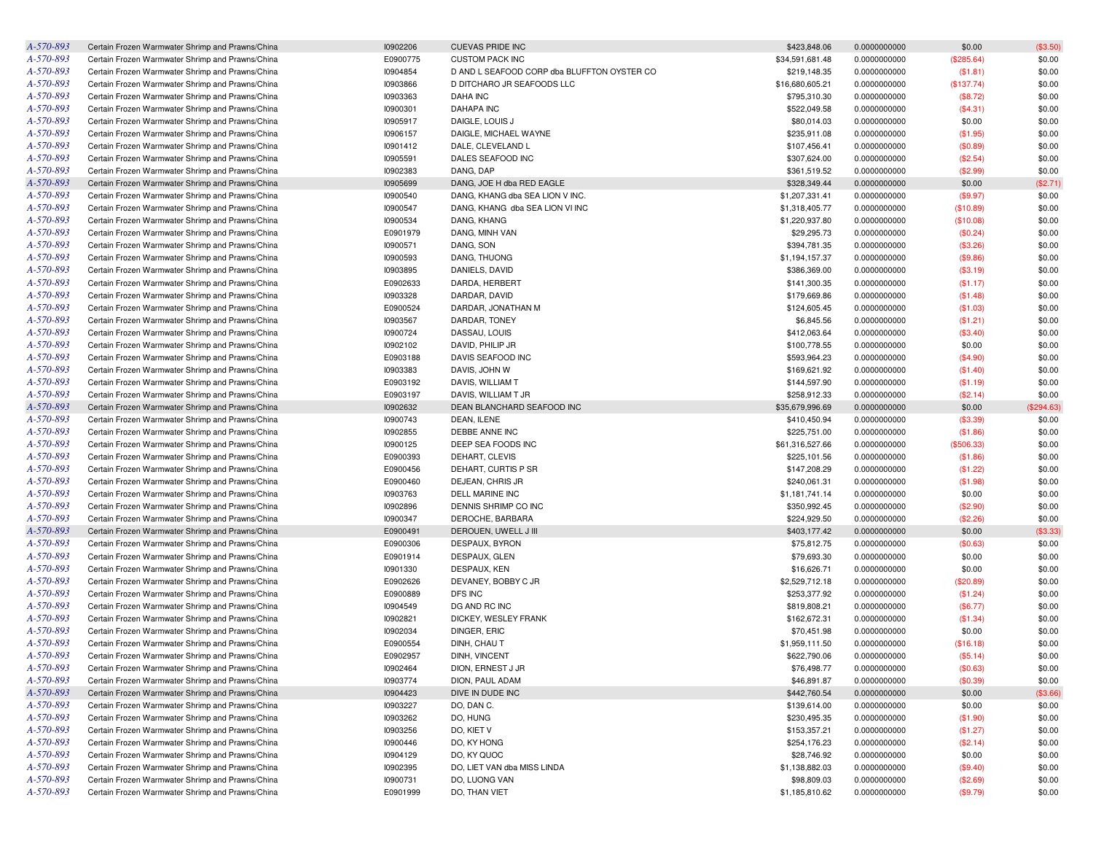| A-570-893 | Certain Frozen Warmwater Shrimp and Prawns/China | 10902206 | <b>CUEVAS PRIDE INC</b>                     | \$423,848.06    | 0.0000000000 | \$0.00     | (\$3.50)   |
|-----------|--------------------------------------------------|----------|---------------------------------------------|-----------------|--------------|------------|------------|
| A-570-893 | Certain Frozen Warmwater Shrimp and Prawns/China | E0900775 | <b>CUSTOM PACK INC</b>                      | \$34,591,681.48 | 0.0000000000 | (\$285.64) | \$0.00     |
| A-570-893 | Certain Frozen Warmwater Shrimp and Prawns/China | 10904854 | D AND L SEAFOOD CORP dba BLUFFTON OYSTER CO | \$219,148.35    | 0.0000000000 | (\$1.81)   | \$0.00     |
| A-570-893 | Certain Frozen Warmwater Shrimp and Prawns/China | 10903866 | D DITCHARO JR SEAFOODS LLC                  | \$16,680,605.21 | 0.0000000000 | (\$137.74) | \$0.00     |
| A-570-893 | Certain Frozen Warmwater Shrimp and Prawns/China | 10903363 | <b>DAHA INC</b>                             | \$795,310.30    | 0.0000000000 | (\$8.72)   | \$0.00     |
| A-570-893 | Certain Frozen Warmwater Shrimp and Prawns/China | 10900301 | <b>DAHAPA INC</b>                           | \$522,049.58    | 0.0000000000 | (\$4.31)   | \$0.00     |
| A-570-893 | Certain Frozen Warmwater Shrimp and Prawns/China | 10905917 | DAIGLE, LOUIS J                             | \$80,014.03     | 0.0000000000 | \$0.00     | \$0.00     |
| A-570-893 | Certain Frozen Warmwater Shrimp and Prawns/China | 10906157 | DAIGLE, MICHAEL WAYNE                       | \$235,911.08    | 0.0000000000 | (\$1.95)   | \$0.00     |
| A-570-893 | Certain Frozen Warmwater Shrimp and Prawns/China | 10901412 | DALE, CLEVELAND L                           | \$107,456.41    | 0.0000000000 | (\$0.89)   | \$0.00     |
| A-570-893 | Certain Frozen Warmwater Shrimp and Prawns/China | 10905591 | DALES SEAFOOD INC                           | \$307,624.00    | 0.0000000000 | (\$2.54)   | \$0.00     |
| A-570-893 | Certain Frozen Warmwater Shrimp and Prawns/China | 10902383 | DANG, DAP                                   | \$361,519.52    | 0.0000000000 | (\$2.99)   | \$0.00     |
| A-570-893 | Certain Frozen Warmwater Shrimp and Prawns/China | 10905699 | DANG, JOE H dba RED EAGLE                   | \$328,349.44    | 0.0000000000 | \$0.00     | (\$2.71)   |
| A-570-893 | Certain Frozen Warmwater Shrimp and Prawns/China | 10900540 | DANG, KHANG dba SEA LION V INC.             | \$1,207,331.41  | 0.0000000000 | (\$9.97)   | \$0.00     |
| A-570-893 | Certain Frozen Warmwater Shrimp and Prawns/China | 10900547 | DANG, KHANG dba SEA LION VI INC             | \$1,318,405.77  | 0.0000000000 | (\$10.89)  | \$0.00     |
| A-570-893 | Certain Frozen Warmwater Shrimp and Prawns/China | 10900534 | DANG, KHANG                                 | \$1,220,937.80  | 0.0000000000 | (\$10.08)  | \$0.00     |
| A-570-893 | Certain Frozen Warmwater Shrimp and Prawns/China | E0901979 | DANG, MINH VAN                              | \$29,295.73     | 0.0000000000 | (\$0.24)   | \$0.00     |
| A-570-893 | Certain Frozen Warmwater Shrimp and Prawns/China | 10900571 | DANG, SON                                   | \$394,781.35    | 0.0000000000 |            | \$0.00     |
| A-570-893 |                                                  | 10900593 |                                             | \$1,194,157.37  |              | (\$3.26)   | \$0.00     |
| A-570-893 | Certain Frozen Warmwater Shrimp and Prawns/China |          | DANG, THUONG                                |                 | 0.0000000000 | (\$9.86)   |            |
|           | Certain Frozen Warmwater Shrimp and Prawns/China | 10903895 | DANIELS, DAVID                              | \$386,369.00    | 0.0000000000 | (\$3.19)   | \$0.00     |
| A-570-893 | Certain Frozen Warmwater Shrimp and Prawns/China | E0902633 | DARDA, HERBERT                              | \$141,300.35    | 0.0000000000 | (\$1.17)   | \$0.00     |
| A-570-893 | Certain Frozen Warmwater Shrimp and Prawns/China | 10903328 | DARDAR, DAVID                               | \$179,669.86    | 0.0000000000 | (\$1.48)   | \$0.00     |
| A-570-893 | Certain Frozen Warmwater Shrimp and Prawns/China | E0900524 | DARDAR, JONATHAN M                          | \$124,605.45    | 0.0000000000 | (\$1.03)   | \$0.00     |
| A-570-893 | Certain Frozen Warmwater Shrimp and Prawns/China | 10903567 | DARDAR, TONEY                               | \$6,845.56      | 0.0000000000 | (\$1.21)   | \$0.00     |
| A-570-893 | Certain Frozen Warmwater Shrimp and Prawns/China | 10900724 | DASSAU, LOUIS                               | \$412,063.64    | 0.0000000000 | (\$3.40)   | \$0.00     |
| A-570-893 | Certain Frozen Warmwater Shrimp and Prawns/China | 10902102 | DAVID, PHILIP JR                            | \$100,778.55    | 0.0000000000 | \$0.00     | \$0.00     |
| A-570-893 | Certain Frozen Warmwater Shrimp and Prawns/China | E0903188 | DAVIS SEAFOOD INC                           | \$593,964.23    | 0.0000000000 | (\$4.90)   | \$0.00     |
| A-570-893 | Certain Frozen Warmwater Shrimp and Prawns/China | 10903383 | DAVIS, JOHN W                               | \$169,621.92    | 0.0000000000 | (\$1.40)   | \$0.00     |
| A-570-893 | Certain Frozen Warmwater Shrimp and Prawns/China | E0903192 | DAVIS, WILLIAM T                            | \$144,597.90    | 0.0000000000 | (\$1.19)   | \$0.00     |
| A-570-893 | Certain Frozen Warmwater Shrimp and Prawns/China | E0903197 | DAVIS, WILLIAM T JR                         | \$258,912.33    | 0.0000000000 | (\$2.14)   | \$0.00     |
| A-570-893 | Certain Frozen Warmwater Shrimp and Prawns/China | 10902632 | DEAN BLANCHARD SEAFOOD INC                  | \$35,679,996.69 | 0.0000000000 | \$0.00     | (\$294.63) |
| A-570-893 | Certain Frozen Warmwater Shrimp and Prawns/China | 10900743 | DEAN, ILENE                                 | \$410,450.94    | 0.0000000000 | (\$3.39)   | \$0.00     |
| A-570-893 | Certain Frozen Warmwater Shrimp and Prawns/China | 10902855 | DEBBE ANNE INC                              | \$225,751.00    | 0.0000000000 | (\$1.86)   | \$0.00     |
| A-570-893 | Certain Frozen Warmwater Shrimp and Prawns/China | 10900125 | DEEP SEA FOODS INC                          | \$61,316,527.66 | 0.0000000000 | (\$506.33) | \$0.00     |
| A-570-893 | Certain Frozen Warmwater Shrimp and Prawns/China | E0900393 | DEHART, CLEVIS                              | \$225,101.56    | 0.0000000000 | (\$1.86)   | \$0.00     |
| A-570-893 | Certain Frozen Warmwater Shrimp and Prawns/China | E0900456 | DEHART, CURTIS P SR                         | \$147,208.29    | 0.0000000000 | (\$1.22)   | \$0.00     |
| A-570-893 | Certain Frozen Warmwater Shrimp and Prawns/China | E0900460 | DEJEAN, CHRIS JR                            | \$240,061.31    | 0.0000000000 | (\$1.98)   | \$0.00     |
| A-570-893 | Certain Frozen Warmwater Shrimp and Prawns/China | 10903763 | <b>DELL MARINE INC</b>                      | \$1,181,741.14  | 0.0000000000 | \$0.00     | \$0.00     |
| A-570-893 | Certain Frozen Warmwater Shrimp and Prawns/China | 10902896 | DENNIS SHRIMP CO INC                        | \$350,992.45    | 0.0000000000 | (\$2.90)   | \$0.00     |
| A-570-893 | Certain Frozen Warmwater Shrimp and Prawns/China | 10900347 | DEROCHE, BARBARA                            | \$224,929.50    | 0.0000000000 | (\$2.26)   | \$0.00     |
| A-570-893 | Certain Frozen Warmwater Shrimp and Prawns/China | E0900491 | DEROUEN, UWELL J III                        | \$403,177.42    | 0.0000000000 | \$0.00     | (\$3.33)   |
| A-570-893 | Certain Frozen Warmwater Shrimp and Prawns/China | E0900306 | DESPAUX, BYRON                              | \$75,812.75     | 0.0000000000 | (\$0.63)   | \$0.00     |
| A-570-893 | Certain Frozen Warmwater Shrimp and Prawns/China | E0901914 | DESPAUX, GLEN                               | \$79,693.30     | 0.0000000000 | \$0.00     | \$0.00     |
| A-570-893 | Certain Frozen Warmwater Shrimp and Prawns/China | 10901330 | DESPAUX, KEN                                | \$16,626.71     | 0.0000000000 | \$0.00     | \$0.00     |
| A-570-893 | Certain Frozen Warmwater Shrimp and Prawns/China | E0902626 | DEVANEY, BOBBY C JR                         | \$2,529,712.18  | 0.0000000000 | (\$20.89)  | \$0.00     |
| A-570-893 | Certain Frozen Warmwater Shrimp and Prawns/China | E0900889 | DFS INC                                     | \$253,377.92    | 0.0000000000 | (\$1.24)   | \$0.00     |
| A-570-893 | Certain Frozen Warmwater Shrimp and Prawns/China | 10904549 | DG AND RC INC                               | \$819,808.21    | 0.0000000000 | (\$6.77)   | \$0.00     |
| A-570-893 | Certain Frozen Warmwater Shrimp and Prawns/China | 10902821 | DICKEY, WESLEY FRANK                        | \$162,672.31    | 0.0000000000 | (\$1.34)   | \$0.00     |
| A-570-893 | Certain Frozen Warmwater Shrimp and Prawns/China | 10902034 | DINGER, ERIC                                | \$70,451.98     | 0.0000000000 | \$0.00     | \$0.00     |
| A-570-893 | Certain Frozen Warmwater Shrimp and Prawns/China | E0900554 | DINH, CHAU T                                | \$1,959,111.50  | 0.0000000000 | (\$16.18)  | \$0.00     |
| A-570-893 | Certain Frozen Warmwater Shrimp and Prawns/China | E0902957 | DINH, VINCENT                               | \$622,790.06    | 0.0000000000 |            | \$0.00     |
|           |                                                  |          |                                             |                 |              | (\$5.14)   |            |
| A-570-893 | Certain Frozen Warmwater Shrimp and Prawns/China | 10902464 | DION, ERNEST J JR                           | \$76,498.77     | 0.0000000000 | (\$0.63)   | \$0.00     |
| A-570-893 | Certain Frozen Warmwater Shrimp and Prawns/China | 10903774 | DION, PAUL ADAM                             | \$46,891.87     | 0.0000000000 | (\$0.39)   | \$0.00     |
| A-570-893 | Certain Frozen Warmwater Shrimp and Prawns/China | 10904423 | DIVE IN DUDE INC                            | \$442,760.54    | 0.0000000000 | \$0.00     | (\$3.66)   |
| A-570-893 | Certain Frozen Warmwater Shrimp and Prawns/China | 10903227 | DO, DAN C.                                  | \$139,614.00    | 0.0000000000 | \$0.00     | \$0.00     |
| A-570-893 | Certain Frozen Warmwater Shrimp and Prawns/China | 10903262 | DO, HUNG                                    | \$230,495.35    | 0.0000000000 | (\$1.90)   | \$0.00     |
| A-570-893 | Certain Frozen Warmwater Shrimp and Prawns/China | 10903256 | DO, KIET V                                  | \$153,357.21    | 0.0000000000 | (\$1.27)   | \$0.00     |
| A-570-893 | Certain Frozen Warmwater Shrimp and Prawns/China | 10900446 | DO, KY HONG                                 | \$254,176.23    | 0.0000000000 | (\$2.14)   | \$0.00     |
| A-570-893 | Certain Frozen Warmwater Shrimp and Prawns/China | 10904129 | DO, KY QUOC                                 | \$28,746.92     | 0.0000000000 | \$0.00     | \$0.00     |
| A-570-893 | Certain Frozen Warmwater Shrimp and Prawns/China | 10902395 | DO, LIET VAN dba MISS LINDA                 | \$1,138,882.03  | 0.0000000000 | (\$9.40)   | \$0.00     |
| A-570-893 | Certain Frozen Warmwater Shrimp and Prawns/China | 10900731 | DO, LUONG VAN                               | \$98,809.03     | 0.0000000000 | (\$2.69)   | \$0.00     |
| A-570-893 | Certain Frozen Warmwater Shrimp and Prawns/China | E0901999 | DO, THAN VIET                               | \$1,185,810.62  | 0.0000000000 | (\$9.79)   | \$0.00     |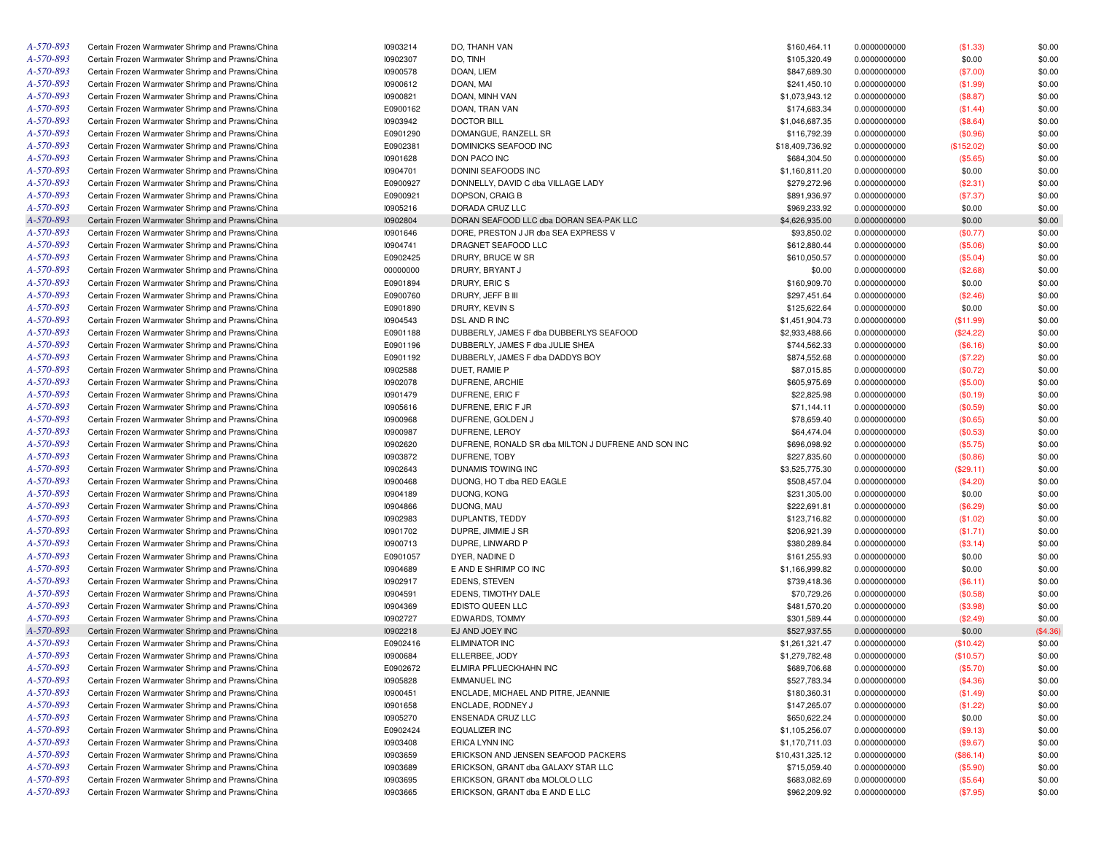| A-570-893 | Certain Frozen Warmwater Shrimp and Prawns/China | 10903214 | DO, THANH VAN                                       | \$160,464.11    | 0.0000000000 | (\$1.33)   | \$0.00   |
|-----------|--------------------------------------------------|----------|-----------------------------------------------------|-----------------|--------------|------------|----------|
| A-570-893 | Certain Frozen Warmwater Shrimp and Prawns/China | 10902307 | DO, TINH                                            | \$105,320.49    | 0.0000000000 | \$0.00     | \$0.00   |
| A-570-893 | Certain Frozen Warmwater Shrimp and Prawns/China | 10900578 | DOAN, LIEM                                          | \$847,689.30    | 0.0000000000 | (\$7.00)   | \$0.00   |
| A-570-893 | Certain Frozen Warmwater Shrimp and Prawns/China | 10900612 | DOAN, MAI                                           | \$241,450.10    | 0.0000000000 | (\$1.99)   | \$0.00   |
| A-570-893 | Certain Frozen Warmwater Shrimp and Prawns/China | 10900821 | DOAN, MINH VAN                                      | \$1,073,943.12  | 0.0000000000 | (\$8.87)   | \$0.00   |
| A-570-893 | Certain Frozen Warmwater Shrimp and Prawns/China | E0900162 | DOAN, TRAN VAN                                      | \$174,683.34    | 0.0000000000 | (\$1.44)   | \$0.00   |
| A-570-893 | Certain Frozen Warmwater Shrimp and Prawns/China | 10903942 | <b>DOCTOR BILL</b>                                  | \$1,046,687.35  | 0.0000000000 | (\$8.64)   | \$0.00   |
| A-570-893 | Certain Frozen Warmwater Shrimp and Prawns/China | E0901290 | DOMANGUE, RANZELL SR                                | \$116,792.39    | 0.0000000000 | (\$0.96)   | \$0.00   |
| A-570-893 | Certain Frozen Warmwater Shrimp and Prawns/China | E0902381 | DOMINICKS SEAFOOD INC                               | \$18,409,736.92 | 0.0000000000 | (\$152.02) | \$0.00   |
| A-570-893 | Certain Frozen Warmwater Shrimp and Prawns/China | 10901628 | DON PACO INC                                        | \$684,304.50    | 0.0000000000 | (\$5.65)   | \$0.00   |
| A-570-893 | Certain Frozen Warmwater Shrimp and Prawns/China | 10904701 | DONINI SEAFOODS INC                                 | \$1,160,811.20  | 0.0000000000 | \$0.00     | \$0.00   |
| A-570-893 | Certain Frozen Warmwater Shrimp and Prawns/China | E0900927 | DONNELLY, DAVID C dba VILLAGE LADY                  | \$279,272.96    | 0.0000000000 | (\$2.31)   | \$0.00   |
| A-570-893 | Certain Frozen Warmwater Shrimp and Prawns/China | E0900921 | DOPSON, CRAIG B                                     | \$891,936.97    | 0.0000000000 | (\$7.37)   | \$0.00   |
| A-570-893 | Certain Frozen Warmwater Shrimp and Prawns/China | 10905216 | DORADA CRUZ LLC                                     | \$969,233.92    | 0.0000000000 | \$0.00     | \$0.00   |
| A-570-893 | Certain Frozen Warmwater Shrimp and Prawns/China | 10902804 | DORAN SEAFOOD LLC dba DORAN SEA-PAK LLC             | \$4,626,935.00  | 0.0000000000 | \$0.00     | \$0.00   |
| A-570-893 | Certain Frozen Warmwater Shrimp and Prawns/China | 10901646 | DORE, PRESTON J JR dba SEA EXPRESS V                | \$93,850.02     | 0.0000000000 | (\$0.77)   | \$0.00   |
| A-570-893 | Certain Frozen Warmwater Shrimp and Prawns/China | 10904741 | DRAGNET SEAFOOD LLC                                 | \$612,880.44    | 0.0000000000 | (\$5.06)   | \$0.00   |
| A-570-893 | Certain Frozen Warmwater Shrimp and Prawns/China | E0902425 | DRURY, BRUCE W SR                                   | \$610,050.57    | 0.0000000000 | (\$5.04)   | \$0.00   |
| A-570-893 | Certain Frozen Warmwater Shrimp and Prawns/China | 00000000 | DRURY, BRYANT J                                     | \$0.00          | 0.0000000000 | (\$2.68)   | \$0.00   |
| A-570-893 | Certain Frozen Warmwater Shrimp and Prawns/China | E0901894 | DRURY, ERIC S                                       | \$160,909.70    | 0.0000000000 | \$0.00     | \$0.00   |
| A-570-893 |                                                  | E0900760 |                                                     |                 |              |            |          |
| A-570-893 | Certain Frozen Warmwater Shrimp and Prawns/China |          | DRURY, JEFF B III                                   | \$297,451.64    | 0.0000000000 | (\$2.46)   | \$0.00   |
|           | Certain Frozen Warmwater Shrimp and Prawns/China | E0901890 | DRURY, KEVIN S                                      | \$125,622.64    | 0.0000000000 | \$0.00     | \$0.00   |
| A-570-893 | Certain Frozen Warmwater Shrimp and Prawns/China | 10904543 | DSL AND R INC                                       | \$1,451,904.73  | 0.0000000000 | (\$11.99)  | \$0.00   |
| A-570-893 | Certain Frozen Warmwater Shrimp and Prawns/China | E0901188 | DUBBERLY, JAMES F dba DUBBERLYS SEAFOOD             | \$2,933,488.66  | 0.0000000000 | (\$24.22)  | \$0.00   |
| A-570-893 | Certain Frozen Warmwater Shrimp and Prawns/China | E0901196 | DUBBERLY, JAMES F dba JULIE SHEA                    | \$744,562.33    | 0.0000000000 | (\$6.16)   | \$0.00   |
| A-570-893 | Certain Frozen Warmwater Shrimp and Prawns/China | E0901192 | DUBBERLY, JAMES F dba DADDYS BOY                    | \$874,552.68    | 0.0000000000 | (\$7.22)   | \$0.00   |
| A-570-893 | Certain Frozen Warmwater Shrimp and Prawns/China | 10902588 | DUET, RAMIE P                                       | \$87,015.85     | 0.0000000000 | (\$0.72)   | \$0.00   |
| A-570-893 | Certain Frozen Warmwater Shrimp and Prawns/China | 10902078 | DUFRENE, ARCHIE                                     | \$605,975.69    | 0.0000000000 | (\$5.00)   | \$0.00   |
| A-570-893 | Certain Frozen Warmwater Shrimp and Prawns/China | 10901479 | DUFRENE, ERIC F                                     | \$22,825.98     | 0.0000000000 | (\$0.19)   | \$0.00   |
| A-570-893 | Certain Frozen Warmwater Shrimp and Prawns/China | 10905616 | DUFRENE, ERIC F JR                                  | \$71,144.11     | 0.0000000000 | (\$0.59)   | \$0.00   |
| A-570-893 | Certain Frozen Warmwater Shrimp and Prawns/China | 10900968 | DUFRENE, GOLDEN J                                   | \$78,659.40     | 0.0000000000 | (\$0.65)   | \$0.00   |
| A-570-893 | Certain Frozen Warmwater Shrimp and Prawns/China | 10900987 | DUFRENE, LEROY                                      | \$64,474.04     | 0.0000000000 | (\$0.53)   | \$0.00   |
| A-570-893 | Certain Frozen Warmwater Shrimp and Prawns/China | 10902620 | DUFRENE, RONALD SR dba MILTON J DUFRENE AND SON INC | \$696,098.92    | 0.0000000000 | (\$5.75)   | \$0.00   |
| A-570-893 | Certain Frozen Warmwater Shrimp and Prawns/China | 10903872 | DUFRENE, TOBY                                       | \$227,835.60    | 0.0000000000 | (\$0.86)   | \$0.00   |
| A-570-893 | Certain Frozen Warmwater Shrimp and Prawns/China | 10902643 | DUNAMIS TOWING INC                                  | \$3,525,775.30  | 0.0000000000 | (\$29.11)  | \$0.00   |
| A-570-893 | Certain Frozen Warmwater Shrimp and Prawns/China | 10900468 | DUONG, HO T dba RED EAGLE                           | \$508,457.04    | 0.0000000000 | (\$4.20)   | \$0.00   |
| A-570-893 | Certain Frozen Warmwater Shrimp and Prawns/China | 10904189 | DUONG, KONG                                         | \$231,305.00    | 0.0000000000 | \$0.00     | \$0.00   |
| A-570-893 | Certain Frozen Warmwater Shrimp and Prawns/China | 10904866 | DUONG, MAU                                          | \$222,691.81    | 0.0000000000 | (\$6.29)   | \$0.00   |
| A-570-893 | Certain Frozen Warmwater Shrimp and Prawns/China | 10902983 | DUPLANTIS, TEDDY                                    | \$123,716.82    | 0.0000000000 | (\$1.02)   | \$0.00   |
| A-570-893 | Certain Frozen Warmwater Shrimp and Prawns/China | 10901702 | DUPRE, JIMMIE J SR                                  | \$206,921.39    | 0.0000000000 | (\$1.71)   | \$0.00   |
| A-570-893 | Certain Frozen Warmwater Shrimp and Prawns/China | 10900713 | DUPRE, LINWARD P                                    | \$380,289.84    | 0.0000000000 | (\$3.14)   | \$0.00   |
| A-570-893 | Certain Frozen Warmwater Shrimp and Prawns/China | E0901057 | DYER, NADINE D                                      | \$161,255.93    | 0.0000000000 | \$0.00     | \$0.00   |
| A-570-893 | Certain Frozen Warmwater Shrimp and Prawns/China | 10904689 | E AND E SHRIMP CO INC                               | \$1,166,999.82  | 0.0000000000 | \$0.00     | \$0.00   |
| A-570-893 | Certain Frozen Warmwater Shrimp and Prawns/China | 10902917 | EDENS, STEVEN                                       | \$739,418.36    | 0.0000000000 | (\$6.11)   | \$0.00   |
| A-570-893 | Certain Frozen Warmwater Shrimp and Prawns/China | 10904591 | EDENS, TIMOTHY DALE                                 | \$70,729.26     | 0.0000000000 | (\$0.58)   | \$0.00   |
| A-570-893 | Certain Frozen Warmwater Shrimp and Prawns/China | 10904369 | EDISTO QUEEN LLC                                    | \$481,570.20    | 0.0000000000 | (\$3.98)   | \$0.00   |
| A-570-893 | Certain Frozen Warmwater Shrimp and Prawns/China | 10902727 | EDWARDS, TOMMY                                      | \$301,589.44    | 0.0000000000 | (\$2.49)   | \$0.00   |
| A-570-893 | Certain Frozen Warmwater Shrimp and Prawns/China | 10902218 | EJ AND JOEY INC                                     | \$527,937.55    | 0.0000000000 | \$0.00     | (\$4.36) |
| A-570-893 | Certain Frozen Warmwater Shrimp and Prawns/China | E0902416 | <b>ELIMINATOR INC</b>                               | \$1,261,321.47  | 0.0000000000 | (\$10.42)  | \$0.00   |
| A-570-893 | Certain Frozen Warmwater Shrimp and Prawns/China | 10900684 | ELLERBEE, JODY                                      | \$1,279,782.48  | 0.0000000000 | (\$10.57)  | \$0.00   |
| A-570-893 | Certain Frozen Warmwater Shrimp and Prawns/China | E0902672 | ELMIRA PFLUECKHAHN INC                              | \$689,706.68    | 0.0000000000 | (\$5.70)   | \$0.00   |
| A-570-893 | Certain Frozen Warmwater Shrimp and Prawns/China | 10905828 | <b>EMMANUEL INC</b>                                 | \$527,783.34    | 0.0000000000 | (\$4.36)   | \$0.00   |
| A-570-893 | Certain Frozen Warmwater Shrimp and Prawns/China | 10900451 | ENCLADE, MICHAEL AND PITRE, JEANNIE                 | \$180,360.31    | 0.0000000000 | (\$1.49)   | \$0.00   |
| A-570-893 | Certain Frozen Warmwater Shrimp and Prawns/China | 10901658 | ENCLADE, RODNEY J                                   | \$147,265.07    | 0.0000000000 | (\$1.22)   | \$0.00   |
| A-570-893 | Certain Frozen Warmwater Shrimp and Prawns/China | 10905270 | ENSENADA CRUZ LLC                                   | \$650,622.24    | 0.0000000000 | \$0.00     | \$0.00   |
| A-570-893 | Certain Frozen Warmwater Shrimp and Prawns/China | E0902424 | EQUALIZER INC                                       | \$1,105,256.07  | 0.0000000000 | (\$9.13)   | \$0.00   |
| A-570-893 | Certain Frozen Warmwater Shrimp and Prawns/China | 10903408 | ERICA LYNN INC                                      | \$1,170,711.03  | 0.0000000000 | (\$9.67)   | \$0.00   |
| A-570-893 | Certain Frozen Warmwater Shrimp and Prawns/China | 10903659 | ERICKSON AND JENSEN SEAFOOD PACKERS                 | \$10,431,325.12 | 0.0000000000 | (\$86.14)  | \$0.00   |
| A-570-893 | Certain Frozen Warmwater Shrimp and Prawns/China | 10903689 | ERICKSON, GRANT dba GALAXY STAR LLC                 | \$715,059.40    | 0.0000000000 | (\$5.90)   | \$0.00   |
| A-570-893 | Certain Frozen Warmwater Shrimp and Prawns/China | 10903695 | ERICKSON, GRANT dba MOLOLO LLC                      | \$683,082.69    | 0.0000000000 | (\$5.64)   | \$0.00   |
| A-570-893 | Certain Frozen Warmwater Shrimp and Prawns/China | 10903665 | ERICKSON, GRANT dba E AND E LLC                     | \$962,209.92    | 0.0000000000 | (\$7.95)   | \$0.00   |
|           |                                                  |          |                                                     |                 |              |            |          |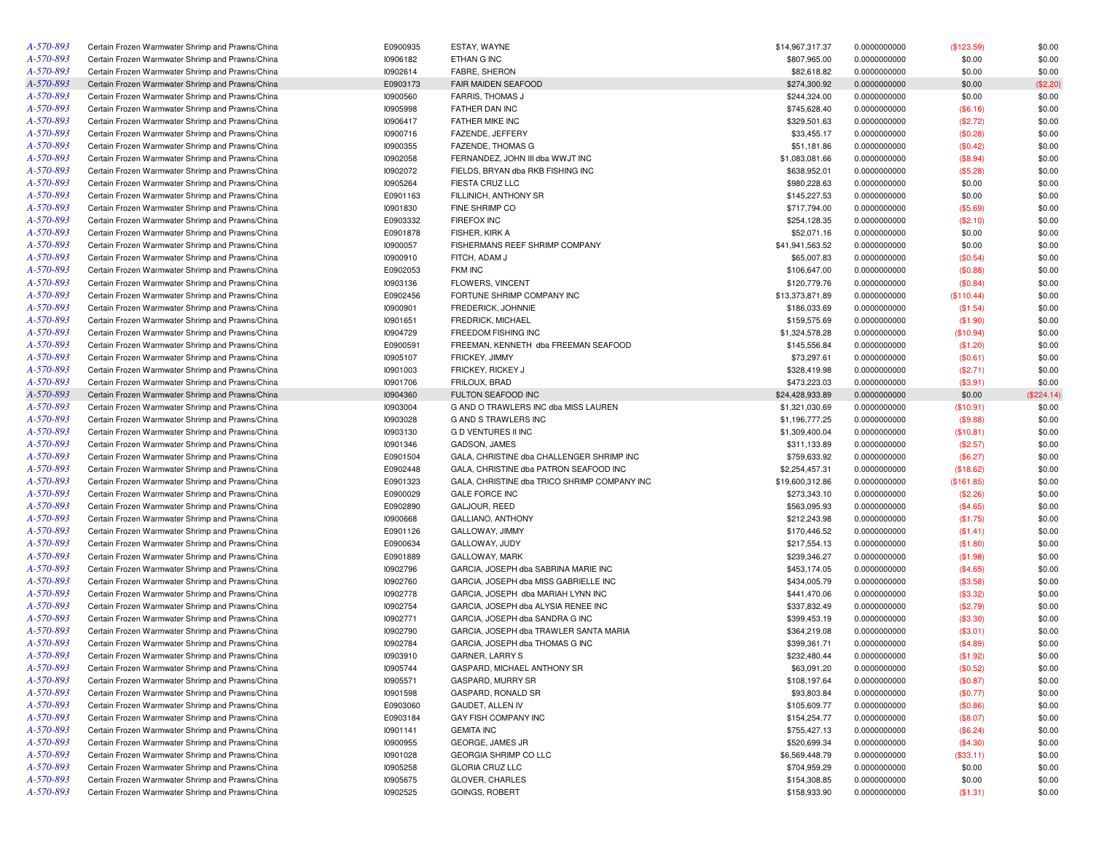| A-570-893 | Certain Frozen Warmwater Shrimp and Prawns/China | E0900935 | ESTAY, WAYNE                                 | \$14,967,317.37 | 0.0000000000 | (\$123.59) | \$0.00     |
|-----------|--------------------------------------------------|----------|----------------------------------------------|-----------------|--------------|------------|------------|
| A-570-893 | Certain Frozen Warmwater Shrimp and Prawns/China | 10906182 | ETHAN G INC                                  | \$807,965.00    | 0.0000000000 | \$0.00     | \$0.00     |
| A-570-893 | Certain Frozen Warmwater Shrimp and Prawns/China | 10902614 | <b>FABRE, SHERON</b>                         | \$82,618.82     | 0.0000000000 | \$0.00     | \$0.00     |
| A-570-893 | Certain Frozen Warmwater Shrimp and Prawns/China | E0903173 | FAIR MAIDEN SEAFOOD                          | \$274,300.92    | 0.0000000000 | \$0.00     | (\$2.20)   |
| A-570-893 | Certain Frozen Warmwater Shrimp and Prawns/China | 10900560 | <b>FARRIS, THOMAS J</b>                      | \$244,324.00    | 0.0000000000 | \$0.00     | \$0.00     |
| A-570-893 | Certain Frozen Warmwater Shrimp and Prawns/China | 10905998 | FATHER DAN INC                               | \$745,628.40    | 0.0000000000 | (\$6.16)   | \$0.00     |
| A-570-893 | Certain Frozen Warmwater Shrimp and Prawns/China | 10906417 | FATHER MIKE INC                              | \$329,501.63    | 0.0000000000 | (\$2.72)   | \$0.00     |
| A-570-893 | Certain Frozen Warmwater Shrimp and Prawns/China | 10900716 | FAZENDE, JEFFERY                             | \$33,455.17     | 0.0000000000 | (\$0.28)   | \$0.00     |
| A-570-893 | Certain Frozen Warmwater Shrimp and Prawns/China | 10900355 | FAZENDE, THOMAS G                            | \$51,181.86     | 0.0000000000 | (\$0.42)   | \$0.00     |
| A-570-893 | Certain Frozen Warmwater Shrimp and Prawns/China | 10902058 | FERNANDEZ, JOHN III dba WWJT INC             | \$1,083,081.66  | 0.0000000000 | (\$8.94)   | \$0.00     |
| A-570-893 | Certain Frozen Warmwater Shrimp and Prawns/China | 10902072 | FIELDS, BRYAN dba RKB FISHING INC            | \$638,952.01    | 0.0000000000 | (\$5.28)   | \$0.00     |
| A-570-893 | Certain Frozen Warmwater Shrimp and Prawns/China | 10905264 | FIESTA CRUZ LLC                              | \$980,228.63    | 0.0000000000 | \$0.00     | \$0.00     |
| A-570-893 | Certain Frozen Warmwater Shrimp and Prawns/China | E0901163 | FILLINICH, ANTHONY SR                        | \$145,227.53    | 0.0000000000 | \$0.00     | \$0.00     |
| A-570-893 | Certain Frozen Warmwater Shrimp and Prawns/China | 10901830 | FINE SHRIMP CO                               | \$717,794.00    | 0.0000000000 | (\$5.69)   | \$0.00     |
| A-570-893 | Certain Frozen Warmwater Shrimp and Prawns/China | E0903332 | <b>FIREFOX INC</b>                           | \$254,128.35    | 0.0000000000 | (\$2.10)   | \$0.00     |
| A-570-893 | Certain Frozen Warmwater Shrimp and Prawns/China | E0901878 | FISHER, KIRK A                               | \$52,071.16     | 0.0000000000 | \$0.00     | \$0.00     |
| A-570-893 | Certain Frozen Warmwater Shrimp and Prawns/China | 10900057 | FISHERMANS REEF SHRIMP COMPANY               | \$41,941,563.52 | 0.0000000000 | \$0.00     | \$0.00     |
| A-570-893 | Certain Frozen Warmwater Shrimp and Prawns/China | 10900910 | FITCH, ADAM J                                | \$65,007.83     | 0.0000000000 | (\$0.54)   | \$0.00     |
| A-570-893 | Certain Frozen Warmwater Shrimp and Prawns/China | E0902053 | <b>FKM INC</b>                               | \$106,647.00    | 0.0000000000 | (\$0.88)   | \$0.00     |
| A-570-893 | Certain Frozen Warmwater Shrimp and Prawns/China | 10903136 | FLOWERS, VINCENT                             | \$120,779.76    | 0.0000000000 |            | \$0.00     |
| A-570-893 |                                                  |          |                                              |                 |              | (\$0.84)   |            |
|           | Certain Frozen Warmwater Shrimp and Prawns/China | E0902456 | FORTUNE SHRIMP COMPANY INC                   | \$13,373,871.89 | 0.0000000000 | (\$110.44) | \$0.00     |
| A-570-893 | Certain Frozen Warmwater Shrimp and Prawns/China | 10900901 | FREDERICK, JOHNNIE                           | \$186,033.69    | 0.0000000000 | (\$1.54)   | \$0.00     |
| A-570-893 | Certain Frozen Warmwater Shrimp and Prawns/China | 10901651 | FREDRICK, MICHAEL                            | \$159,575.69    | 0.0000000000 | (\$1.90)   | \$0.00     |
| A-570-893 | Certain Frozen Warmwater Shrimp and Prawns/China | 10904729 | FREEDOM FISHING INC                          | \$1,324,578.28  | 0.0000000000 | (\$10.94)  | \$0.00     |
| A-570-893 | Certain Frozen Warmwater Shrimp and Prawns/China | E0900591 | FREEMAN, KENNETH dba FREEMAN SEAFOOD         | \$145,556.84    | 0.0000000000 | (\$1.20)   | \$0.00     |
| A-570-893 | Certain Frozen Warmwater Shrimp and Prawns/China | 10905107 | <b>FRICKEY, JIMMY</b>                        | \$73,297.61     | 0.0000000000 | (\$0.61)   | \$0.00     |
| A-570-893 | Certain Frozen Warmwater Shrimp and Prawns/China | 10901003 | FRICKEY, RICKEY J                            | \$328,419.98    | 0.0000000000 | (\$2.71)   | \$0.00     |
| A-570-893 | Certain Frozen Warmwater Shrimp and Prawns/China | 10901706 | FRILOUX, BRAD                                | \$473,223.03    | 0.0000000000 | (\$3.91)   | \$0.00     |
| A-570-893 | Certain Frozen Warmwater Shrimp and Prawns/China | 10904360 | FULTON SEAFOOD INC                           | \$24,428,933.89 | 0.0000000000 | \$0.00     | (\$224.14) |
| A-570-893 | Certain Frozen Warmwater Shrimp and Prawns/China | 10903004 | G AND O TRAWLERS INC dba MISS LAUREN         | \$1,321,030.69  | 0.0000000000 | (\$10.91)  | \$0.00     |
| A-570-893 | Certain Frozen Warmwater Shrimp and Prawns/China | 10903028 | <b>G AND S TRAWLERS INC</b>                  | \$1,196,777.25  | 0.0000000000 | (\$9.88)   | \$0.00     |
| A-570-893 | Certain Frozen Warmwater Shrimp and Prawns/China | 10903130 | <b>GD VENTURES II INC</b>                    | \$1,309,400.04  | 0.0000000000 | (\$10.81)  | \$0.00     |
| A-570-893 | Certain Frozen Warmwater Shrimp and Prawns/China | 10901346 | <b>GADSON, JAMES</b>                         | \$311,133.89    | 0.0000000000 | (\$2.57)   | \$0.00     |
| A-570-893 | Certain Frozen Warmwater Shrimp and Prawns/China | E0901504 | GALA, CHRISTINE dba CHALLENGER SHRIMP INC    | \$759,633.92    | 0.0000000000 | (\$6.27)   | \$0.00     |
| A-570-893 | Certain Frozen Warmwater Shrimp and Prawns/China | E0902448 | GALA, CHRISTINE dba PATRON SEAFOOD INC       | \$2,254,457.31  | 0.0000000000 | (\$18.62)  | \$0.00     |
| A-570-893 | Certain Frozen Warmwater Shrimp and Prawns/China | E0901323 | GALA, CHRISTINE dba TRICO SHRIMP COMPANY INC | \$19,600,312.86 | 0.0000000000 | (\$161.85) | \$0.00     |
| A-570-893 | Certain Frozen Warmwater Shrimp and Prawns/China | E0900029 | <b>GALE FORCE INC</b>                        | \$273,343.10    | 0.0000000000 | (\$2.26)   | \$0.00     |
| A-570-893 | Certain Frozen Warmwater Shrimp and Prawns/China | E0902890 | GALJOUR, REED                                | \$563,095.93    | 0.0000000000 | (\$4.65)   | \$0.00     |
| A-570-893 | Certain Frozen Warmwater Shrimp and Prawns/China | 10900668 | GALLIANO, ANTHONY                            | \$212,243.98    | 0.0000000000 | (\$1.75)   | \$0.00     |
| A-570-893 | Certain Frozen Warmwater Shrimp and Prawns/China | E0901126 | GALLOWAY, JIMMY                              | \$170,446.52    | 0.0000000000 | (\$1.41)   | \$0.00     |
| A-570-893 | Certain Frozen Warmwater Shrimp and Prawns/China | E0900634 | GALLOWAY, JUDY                               | \$217,554.13    | 0.0000000000 | (\$1.80)   | \$0.00     |
| A-570-893 | Certain Frozen Warmwater Shrimp and Prawns/China | E0901889 | GALLOWAY, MARK                               | \$239,346.27    | 0.0000000000 | (\$1.98)   | \$0.00     |
| A-570-893 | Certain Frozen Warmwater Shrimp and Prawns/China | 10902796 | GARCIA, JOSEPH dba SABRINA MARIE INC         | \$453,174.05    | 0.0000000000 | (\$4.65)   | \$0.00     |
| A-570-893 | Certain Frozen Warmwater Shrimp and Prawns/China | 10902760 | GARCIA, JOSEPH dba MISS GABRIELLE INC        | \$434,005.79    | 0.0000000000 | (\$3.58)   | \$0.00     |
| A-570-893 | Certain Frozen Warmwater Shrimp and Prawns/China | 10902778 | GARCIA, JOSEPH dba MARIAH LYNN INC           | \$441,470.06    | 0.0000000000 | (\$3.32)   | \$0.00     |
| A-570-893 | Certain Frozen Warmwater Shrimp and Prawns/China | 10902754 | GARCIA, JOSEPH dba ALYSIA RENEE INC          | \$337,832.49    | 0.0000000000 | (\$2.79)   | \$0.00     |
| A-570-893 | Certain Frozen Warmwater Shrimp and Prawns/China | 10902771 | GARCIA, JOSEPH dba SANDRA G INC              | \$399,453.19    | 0.0000000000 | (\$3.30)   | \$0.00     |
| A-570-893 | Certain Frozen Warmwater Shrimp and Prawns/China | 10902790 | GARCIA, JOSEPH dba TRAWLER SANTA MARIA       | \$364,219.08    | 0.0000000000 | (\$3.01)   | \$0.00     |
| A-570-893 | Certain Frozen Warmwater Shrimp and Prawns/China | 10902784 | GARCIA, JOSEPH dba THOMAS G INC              | \$399,361.71    | 0.0000000000 | (\$4.89)   | \$0.00     |
| A-570-893 | Certain Frozen Warmwater Shrimp and Prawns/China | 10903910 | GARNER, LARRY S                              | \$232,480.44    | 0.0000000000 |            | \$0.00     |
|           |                                                  |          |                                              |                 |              | (\$1.92)   |            |
| A-570-893 | Certain Frozen Warmwater Shrimp and Prawns/China | 10905744 | GASPARD, MICHAEL ANTHONY SR                  | \$63,091.20     | 0.0000000000 | (\$0.52)   | \$0.00     |
| A-570-893 | Certain Frozen Warmwater Shrimp and Prawns/China | 10905571 | GASPARD, MURRY SR                            | \$108,197.64    | 0.0000000000 | (\$0.87)   | \$0.00     |
| A-570-893 | Certain Frozen Warmwater Shrimp and Prawns/China | 10901598 | GASPARD, RONALD SR                           | \$93,803.84     | 0.0000000000 | (\$0.77)   | \$0.00     |
| A-570-893 | Certain Frozen Warmwater Shrimp and Prawns/China | E0903060 | GAUDET, ALLEN IV                             | \$105,609.77    | 0.0000000000 | (\$0.86)   | \$0.00     |
| A-570-893 | Certain Frozen Warmwater Shrimp and Prawns/China | E0903184 | GAY FISH COMPANY INC                         | \$154,254.77    | 0.0000000000 | (\$8.07)   | \$0.00     |
| A-570-893 | Certain Frozen Warmwater Shrimp and Prawns/China | 10901141 | <b>GEMITA INC</b>                            | \$755,427.13    | 0.0000000000 | (\$6.24)   | \$0.00     |
| A-570-893 | Certain Frozen Warmwater Shrimp and Prawns/China | 10900955 | GEORGE, JAMES JR                             | \$520,699.34    | 0.0000000000 | (\$4.30)   | \$0.00     |
| A-570-893 | Certain Frozen Warmwater Shrimp and Prawns/China | 10901028 | GEORGIA SHRIMP CO LLC                        | \$6,569,448.79  | 0.0000000000 | (\$33.11)  | \$0.00     |
| A-570-893 | Certain Frozen Warmwater Shrimp and Prawns/China | 10905258 | <b>GLORIA CRUZ LLC</b>                       | \$704,959.29    | 0.0000000000 | \$0.00     | \$0.00     |
| A-570-893 | Certain Frozen Warmwater Shrimp and Prawns/China | 10905675 | GLOVER, CHARLES                              | \$154,308.85    | 0.0000000000 | \$0.00     | \$0.00     |
| A-570-893 | Certain Frozen Warmwater Shrimp and Prawns/China | 10902525 | GOINGS, ROBERT                               | \$158,933.90    | 0.0000000000 | (\$1.31)   | \$0.00     |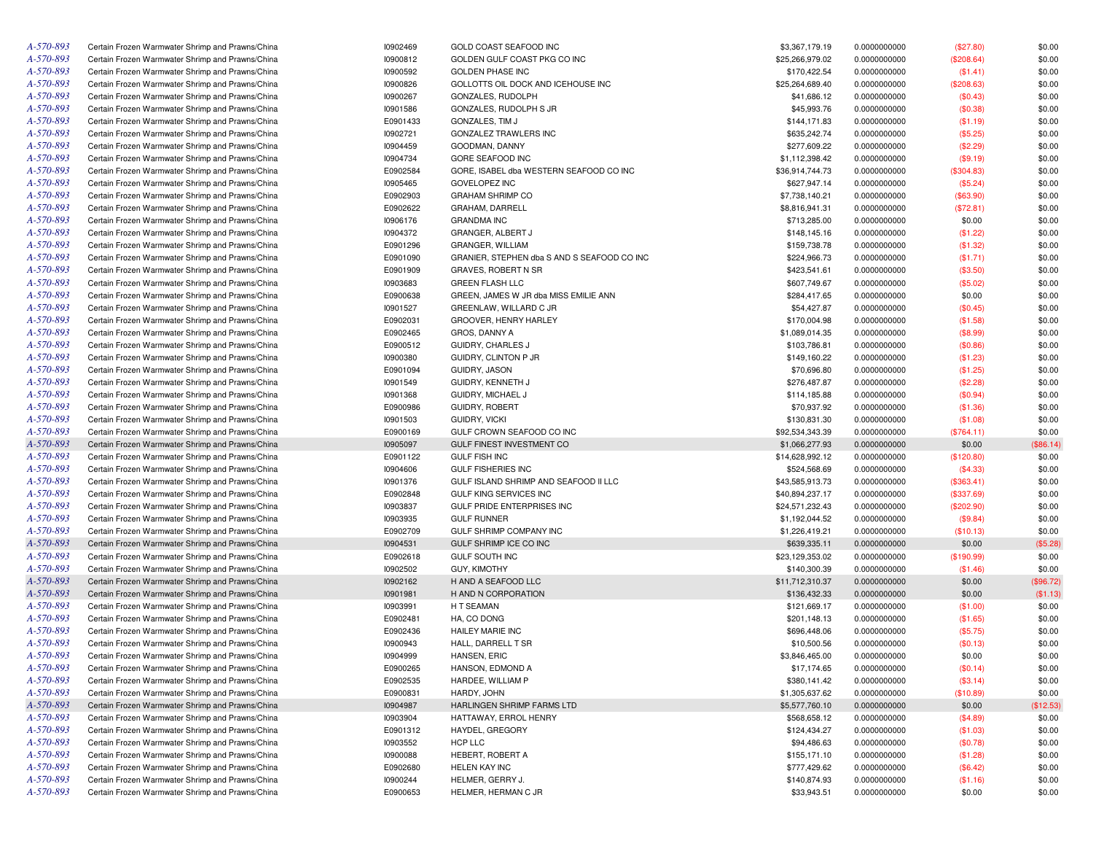| A-570-893 | Certain Frozen Warmwater Shrimp and Prawns/China | 10902469 | GOLD COAST SEAFOOD INC                      | \$3,367,179.19  | 0.0000000000 | (\$27.80)  | \$0.00    |
|-----------|--------------------------------------------------|----------|---------------------------------------------|-----------------|--------------|------------|-----------|
| A-570-893 | Certain Frozen Warmwater Shrimp and Prawns/China | 10900812 | GOLDEN GULF COAST PKG CO INC                | \$25,266,979.02 | 0.0000000000 | (\$208.64) | \$0.00    |
| A-570-893 | Certain Frozen Warmwater Shrimp and Prawns/China | 10900592 | <b>GOLDEN PHASE INC</b>                     | \$170,422.54    | 0.0000000000 | (\$1.41)   | \$0.00    |
| A-570-893 | Certain Frozen Warmwater Shrimp and Prawns/China | 10900826 | GOLLOTTS OIL DOCK AND ICEHOUSE INC          | \$25,264,689.40 | 0.0000000000 | (\$208.63) | \$0.00    |
| A-570-893 | Certain Frozen Warmwater Shrimp and Prawns/China | 10900267 | GONZALES, RUDOLPH                           | \$41,686.12     | 0.0000000000 | (\$0.43)   | \$0.00    |
| A-570-893 | Certain Frozen Warmwater Shrimp and Prawns/China | 10901586 | GONZALES, RUDOLPH S JR                      | \$45,993.76     | 0.0000000000 | (\$0.38)   | \$0.00    |
| A-570-893 | Certain Frozen Warmwater Shrimp and Prawns/China | E0901433 | GONZALES, TIM J                             | \$144,171.83    | 0.0000000000 | (\$1.19)   | \$0.00    |
| A-570-893 | Certain Frozen Warmwater Shrimp and Prawns/China | 10902721 | GONZALEZ TRAWLERS INC                       | \$635,242.74    | 0.0000000000 | (\$5.25)   | \$0.00    |
| A-570-893 | Certain Frozen Warmwater Shrimp and Prawns/China | 10904459 | GOODMAN, DANNY                              | \$277,609.22    | 0.0000000000 | (\$2.29)   | \$0.00    |
| A-570-893 | Certain Frozen Warmwater Shrimp and Prawns/China | 10904734 | GORE SEAFOOD INC                            | \$1,112,398.42  | 0.0000000000 | (\$9.19)   | \$0.00    |
| A-570-893 | Certain Frozen Warmwater Shrimp and Prawns/China | E0902584 | GORE, ISABEL dba WESTERN SEAFOOD CO INC     | \$36,914,744.73 | 0.0000000000 | (\$304.83) | \$0.00    |
| A-570-893 | Certain Frozen Warmwater Shrimp and Prawns/China | 10905465 | <b>GOVELOPEZ INC</b>                        | \$627,947.14    | 0.0000000000 | (\$5.24)   | \$0.00    |
| A-570-893 | Certain Frozen Warmwater Shrimp and Prawns/China | E0902903 | <b>GRAHAM SHRIMP CO</b>                     | \$7,738,140.21  | 0.0000000000 | (\$63.90)  | \$0.00    |
| A-570-893 | Certain Frozen Warmwater Shrimp and Prawns/China | E0902622 | GRAHAM, DARRELL                             | \$8,816,941.31  | 0.0000000000 | (\$72.81)  | \$0.00    |
| A-570-893 | Certain Frozen Warmwater Shrimp and Prawns/China | 10906176 | <b>GRANDMA INC</b>                          | \$713,285.00    | 0.0000000000 | \$0.00     | \$0.00    |
| A-570-893 | Certain Frozen Warmwater Shrimp and Prawns/China | 10904372 | GRANGER, ALBERT J                           | \$148,145.16    | 0.0000000000 | (\$1.22)   | \$0.00    |
| A-570-893 | Certain Frozen Warmwater Shrimp and Prawns/China | E0901296 | GRANGER, WILLIAM                            | \$159,738.78    | 0.0000000000 | (\$1.32)   | \$0.00    |
| A-570-893 |                                                  |          |                                             |                 |              |            |           |
|           | Certain Frozen Warmwater Shrimp and Prawns/China | E0901090 | GRANIER, STEPHEN dba S AND S SEAFOOD CO INC | \$224,966.73    | 0.0000000000 | (\$1.71)   | \$0.00    |
| A-570-893 | Certain Frozen Warmwater Shrimp and Prawns/China | E0901909 | <b>GRAVES, ROBERT N SR</b>                  | \$423,541.61    | 0.0000000000 | (\$3.50)   | \$0.00    |
| A-570-893 | Certain Frozen Warmwater Shrimp and Prawns/China | 10903683 | <b>GREEN FLASH LLC</b>                      | \$607,749.67    | 0.0000000000 | (\$5.02)   | \$0.00    |
| A-570-893 | Certain Frozen Warmwater Shrimp and Prawns/China | E0900638 | GREEN, JAMES W JR dba MISS EMILIE ANN       | \$284,417.65    | 0.0000000000 | \$0.00     | \$0.00    |
| A-570-893 | Certain Frozen Warmwater Shrimp and Prawns/China | 10901527 | GREENLAW, WILLARD C JR                      | \$54,427.87     | 0.0000000000 | (\$0.45)   | \$0.00    |
| A-570-893 | Certain Frozen Warmwater Shrimp and Prawns/China | E0902031 | GROOVER, HENRY HARLEY                       | \$170,004.98    | 0.0000000000 | (\$1.58)   | \$0.00    |
| A-570-893 | Certain Frozen Warmwater Shrimp and Prawns/China | E0902465 | GROS, DANNY A                               | \$1,089,014.35  | 0.0000000000 | (\$8.99)   | \$0.00    |
| A-570-893 | Certain Frozen Warmwater Shrimp and Prawns/China | E0900512 | GUIDRY, CHARLES J                           | \$103,786.81    | 0.0000000000 | (\$0.86)   | \$0.00    |
| A-570-893 | Certain Frozen Warmwater Shrimp and Prawns/China | 10900380 | GUIDRY, CLINTON P JR                        | \$149,160.22    | 0.0000000000 | (\$1.23)   | \$0.00    |
| A-570-893 | Certain Frozen Warmwater Shrimp and Prawns/China | E0901094 | GUIDRY, JASON                               | \$70,696.80     | 0.0000000000 | (\$1.25)   | \$0.00    |
| A-570-893 | Certain Frozen Warmwater Shrimp and Prawns/China | 10901549 | GUIDRY, KENNETH J                           | \$276,487.87    | 0.0000000000 | (\$2.28)   | \$0.00    |
| A-570-893 | Certain Frozen Warmwater Shrimp and Prawns/China | 10901368 | GUIDRY, MICHAEL J                           | \$114,185.88    | 0.0000000000 | (\$0.94)   | \$0.00    |
| A-570-893 | Certain Frozen Warmwater Shrimp and Prawns/China | E0900986 | GUIDRY, ROBERT                              | \$70,937.92     | 0.0000000000 | (\$1.36)   | \$0.00    |
| A-570-893 | Certain Frozen Warmwater Shrimp and Prawns/China | 10901503 | <b>GUIDRY, VICKI</b>                        | \$130,831.30    | 0.0000000000 | (\$1.08)   | \$0.00    |
| A-570-893 | Certain Frozen Warmwater Shrimp and Prawns/China | E0900169 | GULF CROWN SEAFOOD CO INC                   | \$92,534,343.39 | 0.0000000000 | (\$764.11) | \$0.00    |
| A-570-893 | Certain Frozen Warmwater Shrimp and Prawns/China | 10905097 | GULF FINEST INVESTMENT CO                   | \$1,066,277.93  | 0.0000000000 | \$0.00     | (\$86.14) |
| A-570-893 | Certain Frozen Warmwater Shrimp and Prawns/China | E0901122 | <b>GULF FISH INC</b>                        | \$14,628,992.12 | 0.0000000000 | (\$120.80) | \$0.00    |
| A-570-893 | Certain Frozen Warmwater Shrimp and Prawns/China | 10904606 | <b>GULF FISHERIES INC</b>                   | \$524,568.69    | 0.0000000000 | (\$4.33)   | \$0.00    |
| A-570-893 | Certain Frozen Warmwater Shrimp and Prawns/China | 10901376 | GULF ISLAND SHRIMP AND SEAFOOD II LLC       | \$43,585,913.73 | 0.0000000000 | (\$363.41) | \$0.00    |
| A-570-893 | Certain Frozen Warmwater Shrimp and Prawns/China | E0902848 | <b>GULF KING SERVICES INC</b>               | \$40,894,237.17 | 0.0000000000 | (\$337.69) | \$0.00    |
| A-570-893 | Certain Frozen Warmwater Shrimp and Prawns/China | 10903837 | GULF PRIDE ENTERPRISES INC                  | \$24,571,232.43 | 0.0000000000 | (\$202.90) | \$0.00    |
| A-570-893 | Certain Frozen Warmwater Shrimp and Prawns/China | 10903935 | <b>GULF RUNNER</b>                          | \$1,192,044.52  | 0.0000000000 | (\$9.84)   | \$0.00    |
| A-570-893 | Certain Frozen Warmwater Shrimp and Prawns/China | E0902709 | GULF SHRIMP COMPANY INC                     | \$1,226,419.21  | 0.0000000000 | (\$10.13)  | \$0.00    |
| A-570-893 | Certain Frozen Warmwater Shrimp and Prawns/China | 10904531 | GULF SHRIMP ICE CO INC                      | \$639,335.11    | 0.0000000000 | \$0.00     | (\$5.28)  |
| A-570-893 | Certain Frozen Warmwater Shrimp and Prawns/China | E0902618 | GULF SOUTH INC                              | \$23,129,353.02 | 0.0000000000 | (\$190.99) | \$0.00    |
| A-570-893 | Certain Frozen Warmwater Shrimp and Prawns/China | 10902502 | <b>GUY, KIMOTHY</b>                         | \$140,300.39    | 0.0000000000 | (\$1.46)   | \$0.00    |
| A-570-893 | Certain Frozen Warmwater Shrimp and Prawns/China | 10902162 | H AND A SEAFOOD LLC                         | \$11,712,310.37 | 0.0000000000 | \$0.00     | (\$96.72) |
| A-570-893 | Certain Frozen Warmwater Shrimp and Prawns/China | 10901981 | H AND N CORPORATION                         | \$136,432.33    | 0.0000000000 | \$0.00     | (\$1.13)  |
| A-570-893 | Certain Frozen Warmwater Shrimp and Prawns/China | 10903991 | H T SEAMAN                                  | \$121,669.17    | 0.0000000000 | (\$1.00)   | \$0.00    |
| A-570-893 | Certain Frozen Warmwater Shrimp and Prawns/China | E0902481 | HA, CO DONG                                 | \$201,148.13    | 0.0000000000 | (\$1.65)   | \$0.00    |
| A-570-893 | Certain Frozen Warmwater Shrimp and Prawns/China | E0902436 | HAILEY MARIE INC                            | \$696,448.06    | 0.0000000000 | (\$5.75)   | \$0.00    |
| A-570-893 | Certain Frozen Warmwater Shrimp and Prawns/China | 10900943 | HALL, DARRELL T SR                          | \$10,500.56     | 0.0000000000 | (\$0.13)   | \$0.00    |
| A-570-893 | Certain Frozen Warmwater Shrimp and Prawns/China | 10904999 | HANSEN, ERIC                                | \$3,846,465.00  | 0.0000000000 | \$0.00     | \$0.00    |
| A-570-893 |                                                  | E0900265 |                                             |                 |              |            |           |
|           | Certain Frozen Warmwater Shrimp and Prawns/China |          | HANSON, EDMOND A                            | \$17,174.65     | 0.0000000000 | (\$0.14)   | \$0.00    |
| A-570-893 | Certain Frozen Warmwater Shrimp and Prawns/China | E0902535 | HARDEE, WILLIAM P                           | \$380,141.42    | 0.0000000000 | (\$3.14)   | \$0.00    |
| A-570-893 | Certain Frozen Warmwater Shrimp and Prawns/China | E0900831 | HARDY, JOHN                                 | \$1,305,637.62  | 0.0000000000 | (\$10.89)  | \$0.00    |
| A-570-893 | Certain Frozen Warmwater Shrimp and Prawns/China | 10904987 | HARLINGEN SHRIMP FARMS LTD                  | \$5,577,760.10  | 0.0000000000 | \$0.00     | (\$12.53) |
| A-570-893 | Certain Frozen Warmwater Shrimp and Prawns/China | 10903904 | HATTAWAY, ERROL HENRY                       | \$568,658.12    | 0.0000000000 | (\$4.89)   | \$0.00    |
| A-570-893 | Certain Frozen Warmwater Shrimp and Prawns/China | E0901312 | HAYDEL, GREGORY                             | \$124,434.27    | 0.0000000000 | (\$1.03)   | \$0.00    |
| A-570-893 | Certain Frozen Warmwater Shrimp and Prawns/China | 10903552 | HCP LLC                                     | \$94,486.63     | 0.0000000000 | (\$0.78)   | \$0.00    |
| A-570-893 | Certain Frozen Warmwater Shrimp and Prawns/China | 10900088 | HEBERT, ROBERT A                            | \$155,171.10    | 0.0000000000 | (\$1.28)   | \$0.00    |
| A-570-893 | Certain Frozen Warmwater Shrimp and Prawns/China | E0902680 | <b>HELEN KAY INC</b>                        | \$777,429.62    | 0.0000000000 | (\$6.42)   | \$0.00    |
| A-570-893 | Certain Frozen Warmwater Shrimp and Prawns/China | 10900244 | HELMER, GERRY J.                            | \$140,874.93    | 0.0000000000 | (\$1.16)   | \$0.00    |
| A-570-893 | Certain Frozen Warmwater Shrimp and Prawns/China | E0900653 | HELMER, HERMAN C JR                         | \$33,943.51     | 0.0000000000 | \$0.00     | \$0.00    |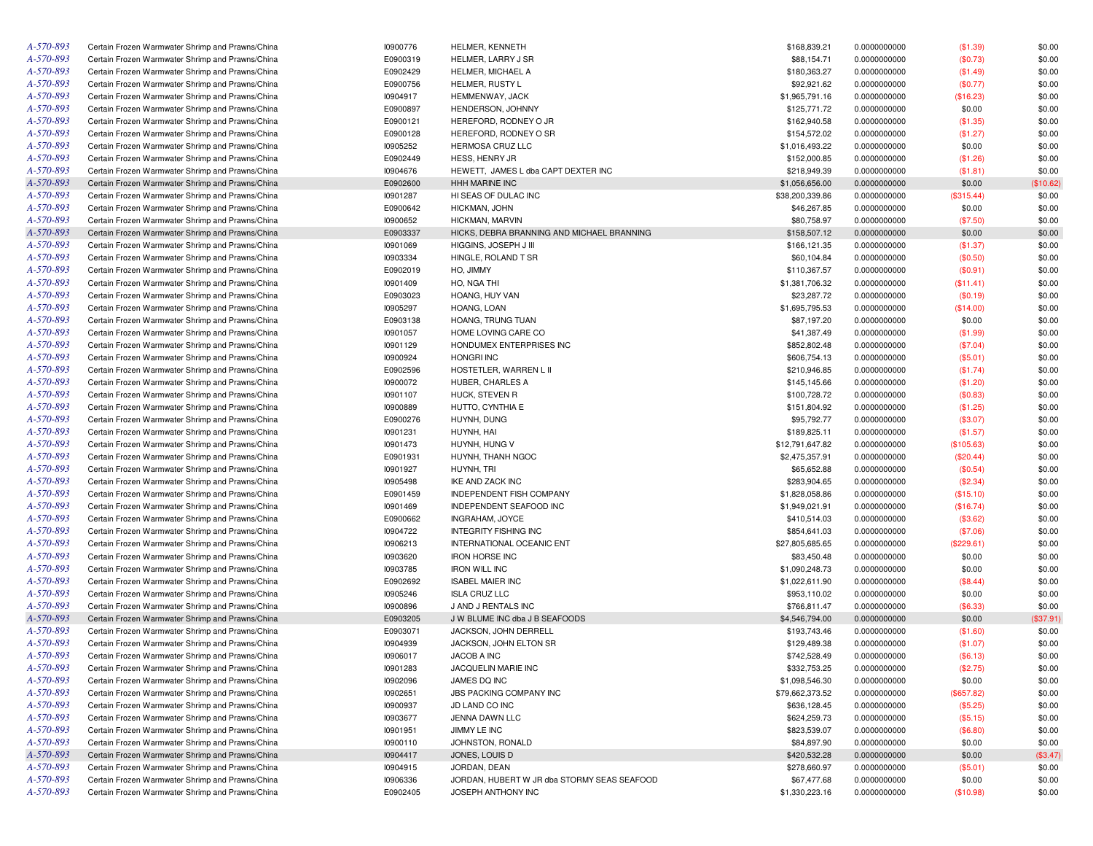| A-570-893 | Certain Frozen Warmwater Shrimp and Prawns/China | 10900776 | HELMER, KENNETH                             | \$168,839.21    | 0.0000000000 | (\$1.39)     | \$0.00    |
|-----------|--------------------------------------------------|----------|---------------------------------------------|-----------------|--------------|--------------|-----------|
| A-570-893 | Certain Frozen Warmwater Shrimp and Prawns/China | E0900319 | HELMER, LARRY J SR                          | \$88,154.71     | 0.0000000000 | (\$0.73)     | \$0.00    |
| A-570-893 | Certain Frozen Warmwater Shrimp and Prawns/China | E0902429 | HELMER, MICHAEL A                           | \$180,363.27    | 0.0000000000 | (\$1.49)     | \$0.00    |
| A-570-893 | Certain Frozen Warmwater Shrimp and Prawns/China | E0900756 | <b>HELMER, RUSTY L</b>                      | \$92,921.62     | 0.0000000000 | (\$0.77)     | \$0.00    |
| A-570-893 | Certain Frozen Warmwater Shrimp and Prawns/China | 10904917 | HEMMENWAY, JACK                             | \$1,965,791.16  | 0.0000000000 | (\$16.23)    | \$0.00    |
| A-570-893 | Certain Frozen Warmwater Shrimp and Prawns/China | E0900897 | HENDERSON, JOHNNY                           | \$125,771.72    | 0.0000000000 | \$0.00       | \$0.00    |
| A-570-893 | Certain Frozen Warmwater Shrimp and Prawns/China | E0900121 | HEREFORD, RODNEY O JR                       | \$162,940.58    | 0.0000000000 | (\$1.35)     | \$0.00    |
| A-570-893 | Certain Frozen Warmwater Shrimp and Prawns/China | E0900128 | HEREFORD, RODNEY O SR                       | \$154,572.02    | 0.0000000000 | (\$1.27)     | \$0.00    |
| A-570-893 | Certain Frozen Warmwater Shrimp and Prawns/China | 10905252 | <b>HERMOSA CRUZ LLC</b>                     | \$1,016,493.22  | 0.0000000000 | \$0.00       | \$0.00    |
| A-570-893 | Certain Frozen Warmwater Shrimp and Prawns/China | E0902449 | <b>HESS, HENRY JR</b>                       | \$152,000.85    | 0.0000000000 | (\$1.26)     | \$0.00    |
| A-570-893 | Certain Frozen Warmwater Shrimp and Prawns/China | 10904676 | HEWETT, JAMES L dba CAPT DEXTER INC         | \$218,949.39    | 0.0000000000 | (\$1.81)     | \$0.00    |
| A-570-893 | Certain Frozen Warmwater Shrimp and Prawns/China | E0902600 | <b>HHH MARINE INC</b>                       | \$1,056,656.00  | 0.0000000000 | \$0.00       | (\$10.62) |
| A-570-893 | Certain Frozen Warmwater Shrimp and Prawns/China | 10901287 | HI SEAS OF DULAC INC                        | \$38,200,339.86 | 0.0000000000 | (\$315.44)   | \$0.00    |
| A-570-893 | Certain Frozen Warmwater Shrimp and Prawns/China | E0900642 | HICKMAN, JOHN                               | \$46,267.85     | 0.0000000000 | \$0.00       | \$0.00    |
| A-570-893 | Certain Frozen Warmwater Shrimp and Prawns/China | 10900652 | HICKMAN, MARVIN                             | \$80,758.97     |              | (\$7.50)     | \$0.00    |
| A-570-893 |                                                  | E0903337 | HICKS, DEBRA BRANNING AND MICHAEL BRANNING  |                 | 0.0000000000 |              |           |
|           | Certain Frozen Warmwater Shrimp and Prawns/China |          |                                             | \$158,507.12    | 0.0000000000 | \$0.00       | \$0.00    |
| A-570-893 | Certain Frozen Warmwater Shrimp and Prawns/China | 10901069 | HIGGINS, JOSEPH J III                       | \$166,121.35    | 0.0000000000 | (\$1.37)     | \$0.00    |
| A-570-893 | Certain Frozen Warmwater Shrimp and Prawns/China | 10903334 | HINGLE, ROLAND T SR                         | \$60,104.84     | 0.0000000000 | (\$0.50)     | \$0.00    |
| A-570-893 | Certain Frozen Warmwater Shrimp and Prawns/China | E0902019 | HO, JIMMY                                   | \$110,367.57    | 0.0000000000 | (\$0.91)     | \$0.00    |
| A-570-893 | Certain Frozen Warmwater Shrimp and Prawns/China | 10901409 | HO, NGA THI                                 | \$1,381,706.32  | 0.0000000000 | (\$11.41)    | \$0.00    |
| A-570-893 | Certain Frozen Warmwater Shrimp and Prawns/China | E0903023 | HOANG, HUY VAN                              | \$23,287.72     | 0.0000000000 | (\$0.19)     | \$0.00    |
| A-570-893 | Certain Frozen Warmwater Shrimp and Prawns/China | 10905297 | HOANG, LOAN                                 | \$1,695,795.53  | 0.0000000000 | (\$14.00)    | \$0.00    |
| A-570-893 | Certain Frozen Warmwater Shrimp and Prawns/China | E0903138 | HOANG, TRUNG TUAN                           | \$87,197.20     | 0.0000000000 | \$0.00       | \$0.00    |
| A-570-893 | Certain Frozen Warmwater Shrimp and Prawns/China | 10901057 | HOME LOVING CARE CO                         | \$41,387.49     | 0.0000000000 | (\$1.99)     | \$0.00    |
| A-570-893 | Certain Frozen Warmwater Shrimp and Prawns/China | 10901129 | HONDUMEX ENTERPRISES INC                    | \$852,802.48    | 0.0000000000 | (\$7.04)     | \$0.00    |
| A-570-893 | Certain Frozen Warmwater Shrimp and Prawns/China | 10900924 | <b>HONGRI INC</b>                           | \$606,754.13    | 0.0000000000 | (\$5.01)     | \$0.00    |
| A-570-893 | Certain Frozen Warmwater Shrimp and Prawns/China | E0902596 | HOSTETLER, WARREN L II                      | \$210,946.85    | 0.0000000000 | (\$1.74)     | \$0.00    |
| A-570-893 | Certain Frozen Warmwater Shrimp and Prawns/China | 10900072 | HUBER, CHARLES A                            | \$145,145.66    | 0.0000000000 | (\$1.20)     | \$0.00    |
| A-570-893 | Certain Frozen Warmwater Shrimp and Prawns/China | 10901107 | HUCK, STEVEN R                              | \$100,728.72    | 0.0000000000 | (\$0.83)     | \$0.00    |
| A-570-893 | Certain Frozen Warmwater Shrimp and Prawns/China | 10900889 | HUTTO, CYNTHIA E                            | \$151,804.92    | 0.0000000000 | (\$1.25)     | \$0.00    |
| A-570-893 | Certain Frozen Warmwater Shrimp and Prawns/China | E0900276 | HUYNH, DUNG                                 | \$95,792.77     | 0.0000000000 | (\$3.07)     | \$0.00    |
| A-570-893 | Certain Frozen Warmwater Shrimp and Prawns/China | 10901231 | HUYNH, HAI                                  | \$189,825.11    | 0.0000000000 | (\$1.57)     | \$0.00    |
| A-570-893 | Certain Frozen Warmwater Shrimp and Prawns/China | 10901473 | HUYNH, HUNG V                               | \$12,791,647.82 | 0.0000000000 | (\$105.63)   | \$0.00    |
| A-570-893 | Certain Frozen Warmwater Shrimp and Prawns/China | E0901931 | HUYNH, THANH NGOC                           | \$2,475,357.91  | 0.0000000000 | $(\$20.44)$  | \$0.00    |
| A-570-893 | Certain Frozen Warmwater Shrimp and Prawns/China | 10901927 | HUYNH, TRI                                  | \$65,652.88     | 0.0000000000 | (\$0.54)     | \$0.00    |
| A-570-893 | Certain Frozen Warmwater Shrimp and Prawns/China | 10905498 | IKE AND ZACK INC                            | \$283,904.65    | 0.0000000000 | (\$2.34)     | \$0.00    |
| A-570-893 | Certain Frozen Warmwater Shrimp and Prawns/China | E0901459 | <b>INDEPENDENT FISH COMPANY</b>             | \$1,828,058.86  | 0.0000000000 | (\$15.10)    | \$0.00    |
| A-570-893 | Certain Frozen Warmwater Shrimp and Prawns/China | 10901469 | INDEPENDENT SEAFOOD INC                     | \$1,949,021.91  | 0.0000000000 | (\$16.74)    | \$0.00    |
| A-570-893 | Certain Frozen Warmwater Shrimp and Prawns/China | E0900662 | INGRAHAM, JOYCE                             | \$410,514.03    |              |              | \$0.00    |
| A-570-893 |                                                  |          |                                             |                 | 0.0000000000 | (\$3.62)     |           |
|           | Certain Frozen Warmwater Shrimp and Prawns/China | 10904722 | <b>INTEGRITY FISHING INC</b>                | \$854,641.03    | 0.0000000000 | (\$7.06)     | \$0.00    |
| A-570-893 | Certain Frozen Warmwater Shrimp and Prawns/China | 10906213 | INTERNATIONAL OCEANIC ENT                   | \$27,805,685.65 | 0.0000000000 | $(\$229.61)$ | \$0.00    |
| A-570-893 | Certain Frozen Warmwater Shrimp and Prawns/China | 10903620 | <b>IRON HORSE INC</b>                       | \$83,450.48     | 0.0000000000 | \$0.00       | \$0.00    |
| A-570-893 | Certain Frozen Warmwater Shrimp and Prawns/China | 10903785 | <b>IRON WILL INC</b>                        | \$1,090,248.73  | 0.0000000000 | \$0.00       | \$0.00    |
| A-570-893 | Certain Frozen Warmwater Shrimp and Prawns/China | E0902692 | <b>ISABEL MAIER INC</b>                     | \$1,022,611.90  | 0.0000000000 | (\$8.44)     | \$0.00    |
| A-570-893 | Certain Frozen Warmwater Shrimp and Prawns/China | 10905246 | <b>ISLA CRUZ LLC</b>                        | \$953,110.02    | 0.0000000000 | \$0.00       | \$0.00    |
| A-570-893 | Certain Frozen Warmwater Shrimp and Prawns/China | 10900896 | J AND J RENTALS INC                         | \$766,811.47    | 0.0000000000 | (\$6.33)     | \$0.00    |
| A-570-893 | Certain Frozen Warmwater Shrimp and Prawns/China | E0903205 | J W BLUME INC dba J B SEAFOODS              | \$4,546,794.00  | 0.0000000000 | \$0.00       | (\$37.91) |
| A-570-893 | Certain Frozen Warmwater Shrimp and Prawns/China | E0903071 | JACKSON, JOHN DERRELL                       | \$193,743.46    | 0.0000000000 | (\$1.60)     | \$0.00    |
| A-570-893 | Certain Frozen Warmwater Shrimp and Prawns/China | 10904939 | JACKSON, JOHN ELTON SR                      | \$129,489.38    | 0.0000000000 | (\$1.07)     | \$0.00    |
| A-570-893 | Certain Frozen Warmwater Shrimp and Prawns/China | 10906017 | JACOB A INC                                 | \$742,528.49    | 0.0000000000 | (\$6.13)     | \$0.00    |
| A-570-893 | Certain Frozen Warmwater Shrimp and Prawns/China | 10901283 | JACQUELIN MARIE INC                         | \$332,753.25    | 0.0000000000 | (\$2.75)     | \$0.00    |
| A-570-893 | Certain Frozen Warmwater Shrimp and Prawns/China | 10902096 | JAMES DO INC                                | \$1,098,546.30  | 0.0000000000 | \$0.00       | \$0.00    |
| A-570-893 | Certain Frozen Warmwater Shrimp and Prawns/China | 10902651 | <b>JBS PACKING COMPANY INC</b>              | \$79,662,373.52 | 0.0000000000 | (\$657.82)   | \$0.00    |
| A-570-893 | Certain Frozen Warmwater Shrimp and Prawns/China | 10900937 | JD LAND CO INC                              | \$636,128.45    | 0.0000000000 | (\$5.25)     | \$0.00    |
| A-570-893 | Certain Frozen Warmwater Shrimp and Prawns/China | 10903677 | JENNA DAWN LLC                              | \$624,259.73    | 0.0000000000 | (\$5.15)     | \$0.00    |
| A-570-893 | Certain Frozen Warmwater Shrimp and Prawns/China | 10901951 | JIMMY LE INC                                | \$823,539.07    | 0.0000000000 | (\$6.80)     | \$0.00    |
| A-570-893 | Certain Frozen Warmwater Shrimp and Prawns/China | 10900110 | JOHNSTON, RONALD                            | \$84,897.90     | 0.0000000000 | \$0.00       | \$0.00    |
| A-570-893 | Certain Frozen Warmwater Shrimp and Prawns/China | 10904417 | JONES, LOUIS D                              | \$420,532.28    | 0.0000000000 | \$0.00       | (\$3.47)  |
| A-570-893 | Certain Frozen Warmwater Shrimp and Prawns/China | 10904915 | JORDAN, DEAN                                | \$278,660.97    | 0.0000000000 | (\$5.01)     | \$0.00    |
| A-570-893 | Certain Frozen Warmwater Shrimp and Prawns/China | 10906336 | JORDAN, HUBERT W JR dba STORMY SEAS SEAFOOD | \$67,477.68     | 0.0000000000 | \$0.00       | \$0.00    |
| A-570-893 | Certain Frozen Warmwater Shrimp and Prawns/China | E0902405 | <b>JOSEPH ANTHONY INC</b>                   |                 |              |              |           |
|           |                                                  |          |                                             | \$1,330,223.16  | 0.0000000000 | (\$10.98)    | \$0.00    |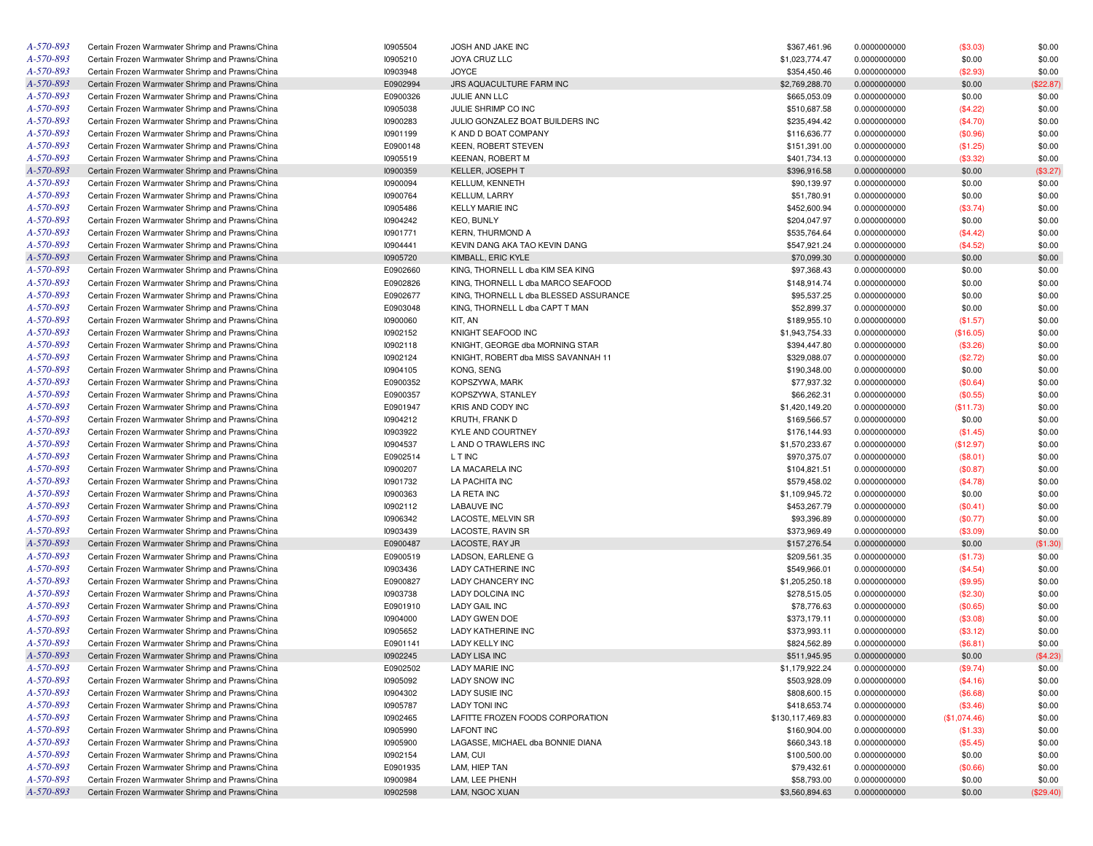| A-570-893 | Certain Frozen Warmwater Shrimp and Prawns/China | 10905504 | JOSH AND JAKE INC                      | \$367,461.96     | 0.0000000000 | (\$3.03)     | \$0.00    |
|-----------|--------------------------------------------------|----------|----------------------------------------|------------------|--------------|--------------|-----------|
| A-570-893 | Certain Frozen Warmwater Shrimp and Prawns/China | 10905210 | JOYA CRUZ LLC                          | \$1,023,774.47   | 0.0000000000 | \$0.00       | \$0.00    |
| A-570-893 | Certain Frozen Warmwater Shrimp and Prawns/China | 10903948 | <b>JOYCE</b>                           | \$354,450.46     | 0.0000000000 | (\$2.93)     | \$0.00    |
| A-570-893 | Certain Frozen Warmwater Shrimp and Prawns/China | E0902994 | JRS AQUACULTURE FARM INC               | \$2,769,288.70   | 0.0000000000 | \$0.00       | (\$22.87) |
| A-570-893 | Certain Frozen Warmwater Shrimp and Prawns/China | E0900326 | JULIE ANN LLC                          | \$665,053.09     | 0.0000000000 | \$0.00       | \$0.00    |
| A-570-893 | Certain Frozen Warmwater Shrimp and Prawns/China | 10905038 | JULIE SHRIMP CO INC                    | \$510,687.58     | 0.0000000000 | (\$4.22)     | \$0.00    |
| A-570-893 | Certain Frozen Warmwater Shrimp and Prawns/China | 10900283 | JULIO GONZALEZ BOAT BUILDERS INC       | \$235,494.42     | 0.0000000000 | (\$4.70)     | \$0.00    |
| A-570-893 | Certain Frozen Warmwater Shrimp and Prawns/China | 10901199 | K AND D BOAT COMPANY                   | \$116,636.77     | 0.0000000000 | (\$0.96)     | \$0.00    |
| A-570-893 | Certain Frozen Warmwater Shrimp and Prawns/China | E0900148 | <b>KEEN, ROBERT STEVEN</b>             | \$151,391.00     | 0.0000000000 | (\$1.25)     | \$0.00    |
| A-570-893 | Certain Frozen Warmwater Shrimp and Prawns/China | 10905519 | <b>KEENAN, ROBERT M</b>                | \$401,734.13     | 0.0000000000 | (\$3.32)     | \$0.00    |
| A-570-893 | Certain Frozen Warmwater Shrimp and Prawns/China | 10900359 | KELLER, JOSEPH T                       | \$396,916.58     | 0.0000000000 | \$0.00       | (\$3.27)  |
| A-570-893 | Certain Frozen Warmwater Shrimp and Prawns/China | 10900094 | <b>KELLUM, KENNETH</b>                 | \$90,139.97      | 0.0000000000 | \$0.00       | \$0.00    |
| A-570-893 | Certain Frozen Warmwater Shrimp and Prawns/China | 10900764 | <b>KELLUM, LARRY</b>                   | \$51,780.91      | 0.0000000000 | \$0.00       | \$0.00    |
| A-570-893 | Certain Frozen Warmwater Shrimp and Prawns/China | 10905486 | <b>KELLY MARIE INC</b>                 | \$452,600.94     | 0.0000000000 | (\$3.74)     | \$0.00    |
| A-570-893 | Certain Frozen Warmwater Shrimp and Prawns/China | 10904242 | <b>KEO, BUNLY</b>                      | \$204,047.97     | 0.0000000000 | \$0.00       | \$0.00    |
| A-570-893 |                                                  |          | <b>KERN. THURMOND A</b>                |                  |              |              |           |
|           | Certain Frozen Warmwater Shrimp and Prawns/China | 10901771 |                                        | \$535,764.64     | 0.0000000000 | (\$4.42)     | \$0.00    |
| A-570-893 | Certain Frozen Warmwater Shrimp and Prawns/China | 10904441 | KEVIN DANG AKA TAO KEVIN DANG          | \$547,921.24     | 0.0000000000 | (\$4.52)     | \$0.00    |
| A-570-893 | Certain Frozen Warmwater Shrimp and Prawns/China | 10905720 | KIMBALL, ERIC KYLE                     | \$70,099.30      | 0.0000000000 | \$0.00       | \$0.00    |
| A-570-893 | Certain Frozen Warmwater Shrimp and Prawns/China | E0902660 | KING, THORNELL L dba KIM SEA KING      | \$97,368.43      | 0.0000000000 | \$0.00       | \$0.00    |
| A-570-893 | Certain Frozen Warmwater Shrimp and Prawns/China | E0902826 | KING, THORNELL L dba MARCO SEAFOOD     | \$148,914.74     | 0.0000000000 | \$0.00       | \$0.00    |
| A-570-893 | Certain Frozen Warmwater Shrimp and Prawns/China | E0902677 | KING, THORNELL L dba BLESSED ASSURANCE | \$95,537.25      | 0.0000000000 | \$0.00       | \$0.00    |
| A-570-893 | Certain Frozen Warmwater Shrimp and Prawns/China | E0903048 | KING, THORNELL L dba CAPT T MAN        | \$52,899.37      | 0.0000000000 | \$0.00       | \$0.00    |
| A-570-893 | Certain Frozen Warmwater Shrimp and Prawns/China | 10900060 | KIT, AN                                | \$189,955.10     | 0.0000000000 | (\$1.57)     | \$0.00    |
| A-570-893 | Certain Frozen Warmwater Shrimp and Prawns/China | 10902152 | KNIGHT SEAFOOD INC                     | \$1,943,754.33   | 0.0000000000 | (\$16.05)    | \$0.00    |
| A-570-893 | Certain Frozen Warmwater Shrimp and Prawns/China | 10902118 | KNIGHT, GEORGE dba MORNING STAR        | \$394,447.80     | 0.0000000000 | (\$3.26)     | \$0.00    |
| A-570-893 | Certain Frozen Warmwater Shrimp and Prawns/China | 10902124 | KNIGHT, ROBERT dba MISS SAVANNAH 11    | \$329,088.07     | 0.0000000000 | (\$2.72)     | \$0.00    |
| A-570-893 | Certain Frozen Warmwater Shrimp and Prawns/China | 10904105 | KONG, SENG                             | \$190,348.00     | 0.0000000000 | \$0.00       | \$0.00    |
| A-570-893 | Certain Frozen Warmwater Shrimp and Prawns/China | E0900352 | KOPSZYWA, MARK                         | \$77,937.32      | 0.0000000000 | (\$0.64)     | \$0.00    |
| A-570-893 | Certain Frozen Warmwater Shrimp and Prawns/China | E0900357 | KOPSZYWA, STANLEY                      | \$66,262.31      | 0.0000000000 | (\$0.55)     | \$0.00    |
| A-570-893 | Certain Frozen Warmwater Shrimp and Prawns/China | E0901947 | KRIS AND CODY INC                      | \$1,420,149.20   | 0.0000000000 | (\$11.73)    | \$0.00    |
| A-570-893 | Certain Frozen Warmwater Shrimp and Prawns/China | 10904212 | KRUTH, FRANK D                         | \$169,566.57     | 0.0000000000 | \$0.00       | \$0.00    |
| A-570-893 | Certain Frozen Warmwater Shrimp and Prawns/China | 10903922 | <b>KYLE AND COURTNEY</b>               | \$176,144.93     | 0.0000000000 | (\$1.45)     | \$0.00    |
| A-570-893 | Certain Frozen Warmwater Shrimp and Prawns/China | 10904537 | L AND O TRAWLERS INC                   | \$1,570,233.67   | 0.0000000000 | (\$12.97)    | \$0.00    |
| A-570-893 | Certain Frozen Warmwater Shrimp and Prawns/China | E0902514 | L T INC                                | \$970,375.07     | 0.0000000000 | (\$8.01)     | \$0.00    |
| A-570-893 | Certain Frozen Warmwater Shrimp and Prawns/China | 10900207 | LA MACARELA INC                        | \$104,821.51     | 0.0000000000 | (\$0.87)     | \$0.00    |
| A-570-893 | Certain Frozen Warmwater Shrimp and Prawns/China | 10901732 | LA PACHITA INC                         | \$579,458.02     | 0.0000000000 | (\$4.78)     | \$0.00    |
| A-570-893 | Certain Frozen Warmwater Shrimp and Prawns/China | 10900363 | LA RETA INC                            | \$1,109,945.72   | 0.0000000000 | \$0.00       | \$0.00    |
| A-570-893 | Certain Frozen Warmwater Shrimp and Prawns/China | 10902112 | <b>LABAUVE INC</b>                     | \$453,267.79     | 0.0000000000 | (\$0.41)     | \$0.00    |
| A-570-893 | Certain Frozen Warmwater Shrimp and Prawns/China | 10906342 | LACOSTE, MELVIN SR                     | \$93,396.89      | 0.0000000000 | (\$0.77)     | \$0.00    |
| A-570-893 | Certain Frozen Warmwater Shrimp and Prawns/China | 10903439 | LACOSTE, RAVIN SR                      | \$373,969.49     | 0.0000000000 | (\$3.09)     | \$0.00    |
| A-570-893 | Certain Frozen Warmwater Shrimp and Prawns/China | E0900487 | LACOSTE, RAY JR                        | \$157,276.54     | 0.0000000000 | \$0.00       | (\$1.30)  |
| A-570-893 | Certain Frozen Warmwater Shrimp and Prawns/China | E0900519 | LADSON, EARLENE G                      | \$209,561.35     | 0.0000000000 | (\$1.73)     | \$0.00    |
| A-570-893 | Certain Frozen Warmwater Shrimp and Prawns/China | 10903436 | LADY CATHERINE INC                     | \$549,966.01     | 0.0000000000 | (\$4.54)     | \$0.00    |
| A-570-893 | Certain Frozen Warmwater Shrimp and Prawns/China | E0900827 | LADY CHANCERY INC                      | \$1,205,250.18   | 0.0000000000 | (\$9.95)     | \$0.00    |
| A-570-893 | Certain Frozen Warmwater Shrimp and Prawns/China | 10903738 | LADY DOLCINA INC                       | \$278,515.05     | 0.0000000000 | (\$2.30)     | \$0.00    |
| A-570-893 | Certain Frozen Warmwater Shrimp and Prawns/China | E0901910 | <b>LADY GAIL INC</b>                   | \$78,776.63      | 0.0000000000 | (\$0.65)     | \$0.00    |
| A-570-893 | Certain Frozen Warmwater Shrimp and Prawns/China | 10904000 | LADY GWEN DOE                          | \$373,179.11     | 0.0000000000 | (\$3.08)     | \$0.00    |
| A-570-893 | Certain Frozen Warmwater Shrimp and Prawns/China | 10905652 | LADY KATHERINE INC                     | \$373,993.11     | 0.0000000000 | (\$3.12)     | \$0.00    |
| A-570-893 | Certain Frozen Warmwater Shrimp and Prawns/China | E0901141 | LADY KELLY INC                         | \$824,562.89     | 0.0000000000 | (\$6.81)     | \$0.00    |
| A-570-893 | Certain Frozen Warmwater Shrimp and Prawns/China | 10902245 | <b>LADY LISA INC</b>                   | \$511.945.95     | 0.0000000000 | \$0.00       | (\$4.23)  |
| A-570-893 | Certain Frozen Warmwater Shrimp and Prawns/China | E0902502 | <b>LADY MARIE INC</b>                  | \$1,179,922.24   | 0.0000000000 | (\$9.74)     | \$0.00    |
| A-570-893 | Certain Frozen Warmwater Shrimp and Prawns/China | 10905092 | LADY SNOW INC                          | \$503,928.09     | 0.0000000000 | (\$4.16)     | \$0.00    |
| A-570-893 | Certain Frozen Warmwater Shrimp and Prawns/China | 10904302 | LADY SUSIE INC                         | \$808,600.15     | 0.0000000000 | (\$6.68)     | \$0.00    |
| A-570-893 | Certain Frozen Warmwater Shrimp and Prawns/China | 10905787 | <b>LADY TONI INC</b>                   | \$418,653.74     | 0.0000000000 | (\$3.46)     | \$0.00    |
| A-570-893 | Certain Frozen Warmwater Shrimp and Prawns/China | 10902465 | LAFITTE FROZEN FOODS CORPORATION       | \$130,117,469.83 | 0.0000000000 | (\$1,074.46) | \$0.00    |
|           |                                                  |          |                                        |                  |              |              |           |
| A-570-893 | Certain Frozen Warmwater Shrimp and Prawns/China | 10905990 | <b>LAFONT INC</b>                      | \$160,904.00     | 0.0000000000 | (\$1.33)     | \$0.00    |
| A-570-893 | Certain Frozen Warmwater Shrimp and Prawns/China | 10905900 | LAGASSE, MICHAEL dba BONNIE DIANA      | \$660,343.18     | 0.0000000000 | (\$5.45)     | \$0.00    |
| A-570-893 | Certain Frozen Warmwater Shrimp and Prawns/China | 10902154 | LAM, CUI                               | \$100,500.00     | 0.0000000000 | \$0.00       | \$0.00    |
| A-570-893 | Certain Frozen Warmwater Shrimp and Prawns/China | E0901935 | LAM, HIEP TAN                          | \$79,432.61      | 0.0000000000 | (\$0.66)     | \$0.00    |
| A-570-893 | Certain Frozen Warmwater Shrimp and Prawns/China | 10900984 | LAM, LEE PHENH                         | \$58,793.00      | 0.0000000000 | \$0.00       | \$0.00    |
| A-570-893 | Certain Frozen Warmwater Shrimp and Prawns/China | 10902598 | LAM, NGOC XUAN                         | \$3,560,894.63   | 0.0000000000 | \$0.00       | (\$29.40) |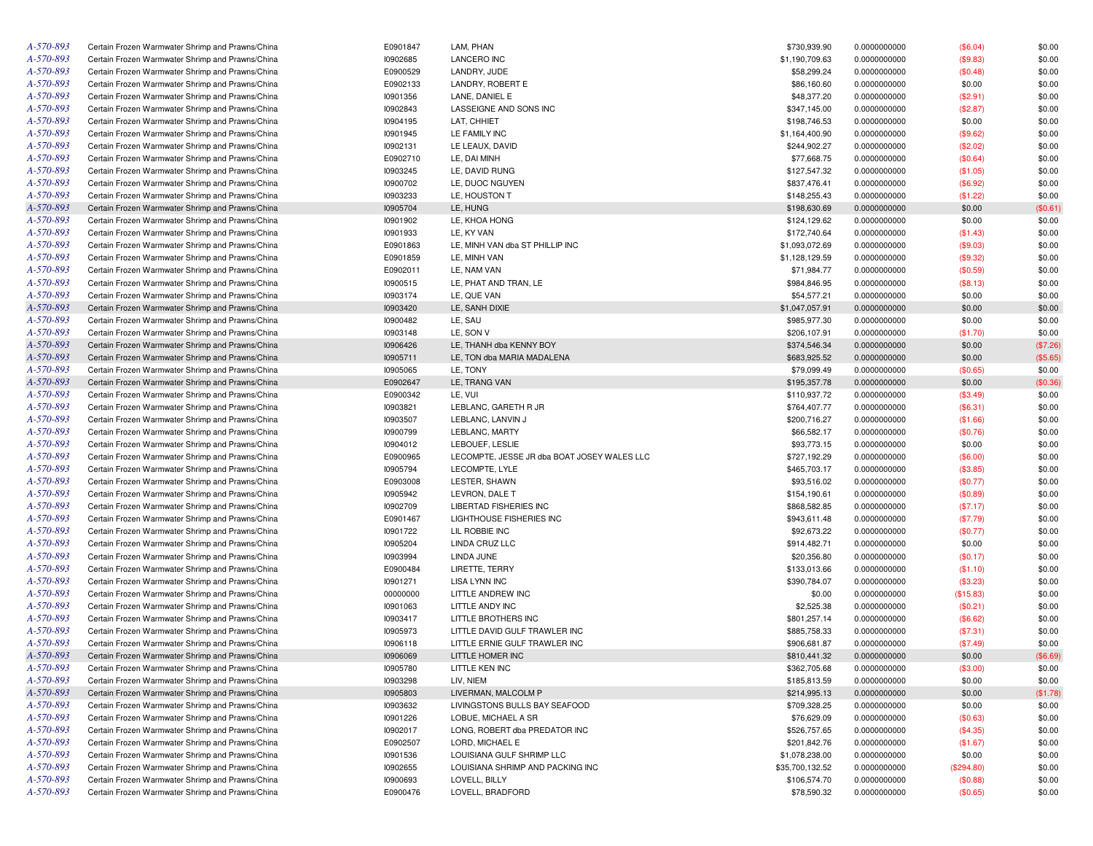| A-570-893 | Certain Frozen Warmwater Shrimp and Prawns/China | E0901847        | LAM, PHAN                                   | \$730,939.90    | 0.0000000000 | (\$6.04)   | \$0.00   |
|-----------|--------------------------------------------------|-----------------|---------------------------------------------|-----------------|--------------|------------|----------|
| A-570-893 | Certain Frozen Warmwater Shrimp and Prawns/China | 10902685        | <b>LANCERO INC</b>                          | \$1,190,709.63  | 0.0000000000 | (\$9.83)   | \$0.00   |
| A-570-893 | Certain Frozen Warmwater Shrimp and Prawns/China | E0900529        | LANDRY, JUDE                                | \$58,299.24     | 0.0000000000 | (\$0.48)   | \$0.00   |
| A-570-893 | Certain Frozen Warmwater Shrimp and Prawns/China | E0902133        | LANDRY, ROBERT E                            | \$86,160.60     | 0.0000000000 | \$0.00     | \$0.00   |
| A-570-893 | Certain Frozen Warmwater Shrimp and Prawns/China | 10901356        | LANE, DANIEL E                              | \$48,377.20     | 0.0000000000 | (\$2.91)   | \$0.00   |
| A-570-893 | Certain Frozen Warmwater Shrimp and Prawns/China | 10902843        | LASSEIGNE AND SONS INC                      | \$347,145.00    | 0.0000000000 | (\$2.87)   | \$0.00   |
| A-570-893 | Certain Frozen Warmwater Shrimp and Prawns/China | 10904195        | LAT, CHHIET                                 | \$198,746.53    | 0.0000000000 | \$0.00     | \$0.00   |
| A-570-893 | Certain Frozen Warmwater Shrimp and Prawns/China | 10901945        | LE FAMILY INC                               | \$1,164,400.90  | 0.0000000000 | (\$9.62)   | \$0.00   |
| A-570-893 | Certain Frozen Warmwater Shrimp and Prawns/China | 10902131        | LE LEAUX, DAVID                             | \$244,902.27    | 0.0000000000 | (\$2.02)   | \$0.00   |
| A-570-893 | Certain Frozen Warmwater Shrimp and Prawns/China | E0902710        | LE, DAI MINH                                | \$77,668.75     | 0.0000000000 | (\$0.64)   | \$0.00   |
| A-570-893 | Certain Frozen Warmwater Shrimp and Prawns/China | 10903245        | LE, DAVID RUNG                              | \$127,547.32    | 0.0000000000 | (\$1.05)   | \$0.00   |
| A-570-893 | Certain Frozen Warmwater Shrimp and Prawns/China | 10900702        | LE, DUOC NGUYEN                             | \$837,476.41    | 0.0000000000 | (\$6.92)   | \$0.00   |
| A-570-893 | Certain Frozen Warmwater Shrimp and Prawns/China | 10903233        | LE. HOUSTON T                               | \$148,255.43    | 0.0000000000 | (\$1.22)   | \$0.00   |
| A-570-893 | Certain Frozen Warmwater Shrimp and Prawns/China | 10905704        | LE, HUNG                                    | \$198,630.69    | 0.0000000000 | \$0.00     | (\$0.61) |
| A-570-893 | Certain Frozen Warmwater Shrimp and Prawns/China | 10901902        | LE, KHOA HONG                               | \$124,129.62    | 0.0000000000 | \$0.00     | \$0.00   |
| A-570-893 |                                                  |                 |                                             |                 |              |            |          |
|           | Certain Frozen Warmwater Shrimp and Prawns/China | 10901933        | LE, KY VAN                                  | \$172,740.64    | 0.0000000000 | (\$1.43)   | \$0.00   |
| A-570-893 | Certain Frozen Warmwater Shrimp and Prawns/China | E0901863        | LE, MINH VAN dba ST PHILLIP INC             | \$1,093,072.69  | 0.0000000000 | (\$9.03)   | \$0.00   |
| A-570-893 | Certain Frozen Warmwater Shrimp and Prawns/China | E0901859        | LE, MINH VAN                                | \$1,128,129.59  | 0.0000000000 | (\$9.32)   | \$0.00   |
| A-570-893 | Certain Frozen Warmwater Shrimp and Prawns/China | E0902011        | LE, NAM VAN                                 | \$71,984.77     | 0.0000000000 | (\$0.59)   | \$0.00   |
| A-570-893 | Certain Frozen Warmwater Shrimp and Prawns/China | 10900515        | LE, PHAT AND TRAN, LE                       | \$984,846.95    | 0.0000000000 | (\$8.13)   | \$0.00   |
| A-570-893 | Certain Frozen Warmwater Shrimp and Prawns/China | 10903174        | LE, QUE VAN                                 | \$54,577.21     | 0.0000000000 | \$0.00     | \$0.00   |
| A-570-893 | Certain Frozen Warmwater Shrimp and Prawns/China | 10903420        | LE, SANH DIXIE                              | \$1,047,057.91  | 0.0000000000 | \$0.00     | \$0.00   |
| A-570-893 | Certain Frozen Warmwater Shrimp and Prawns/China | 10900482        | LE, SAU                                     | \$985,977.30    | 0.0000000000 | \$0.00     | \$0.00   |
| A-570-893 | Certain Frozen Warmwater Shrimp and Prawns/China | 10903148        | LE, SON V                                   | \$206,107.91    | 0.0000000000 | (\$1.70)   | \$0.00   |
| A-570-893 | Certain Frozen Warmwater Shrimp and Prawns/China | 10906426        | LE, THANH dba KENNY BOY                     | \$374,546.34    | 0.0000000000 | \$0.00     | (\$7.26) |
| A-570-893 | Certain Frozen Warmwater Shrimp and Prawns/China | 10905711        | LE. TON dba MARIA MADALENA                  | \$683,925.52    | 0.0000000000 | \$0.00     | (\$5.65) |
| A-570-893 | Certain Frozen Warmwater Shrimp and Prawns/China | 10905065        | LE, TONY                                    | \$79,099.49     | 0.0000000000 | (\$0.65)   | \$0.00   |
| A-570-893 | Certain Frozen Warmwater Shrimp and Prawns/China | E0902647        | LE, TRANG VAN                               | \$195,357.78    | 0.0000000000 | \$0.00     | (\$0.36) |
| A-570-893 | Certain Frozen Warmwater Shrimp and Prawns/China | E0900342        | LE, VUI                                     | \$110,937.72    | 0.0000000000 | (\$3.49)   | \$0.00   |
| A-570-893 | Certain Frozen Warmwater Shrimp and Prawns/China | 10903821        | LEBLANC, GARETH R JR                        | \$764,407.77    | 0.0000000000 | (\$6.31)   | \$0.00   |
| A-570-893 | Certain Frozen Warmwater Shrimp and Prawns/China | 10903507        | LEBLANC, LANVIN J                           | \$200,716.27    | 0.0000000000 | (\$1.66)   | \$0.00   |
| A-570-893 | Certain Frozen Warmwater Shrimp and Prawns/China | 10900799        | LEBLANC, MARTY                              | \$66,582.17     | 0.0000000000 | (\$0.76)   | \$0.00   |
| A-570-893 | Certain Frozen Warmwater Shrimp and Prawns/China | 10904012        | LEBOUEF, LESLIE                             | \$93,773.15     | 0.0000000000 | \$0.00     | \$0.00   |
| A-570-893 | Certain Frozen Warmwater Shrimp and Prawns/China | E0900965        | LECOMPTE, JESSE JR dba BOAT JOSEY WALES LLC | \$727,192.29    | 0.0000000000 | (\$6.00)   | \$0.00   |
| A-570-893 | Certain Frozen Warmwater Shrimp and Prawns/China | 10905794        | LECOMPTE, LYLE                              | \$465,703.17    | 0.0000000000 | (\$3.85)   | \$0.00   |
| A-570-893 | Certain Frozen Warmwater Shrimp and Prawns/China | E0903008        | LESTER, SHAWN                               | \$93,516.02     | 0.0000000000 | (\$0.77)   | \$0.00   |
| A-570-893 | Certain Frozen Warmwater Shrimp and Prawns/China | 10905942        | LEVRON, DALE T                              | \$154,190.61    | 0.0000000000 | (\$0.89)   | \$0.00   |
| A-570-893 | Certain Frozen Warmwater Shrimp and Prawns/China | 10902709        | LIBERTAD FISHERIES INC                      | \$868,582.85    | 0.0000000000 | (\$7.17)   | \$0.00   |
| A-570-893 | Certain Frozen Warmwater Shrimp and Prawns/China | E0901467        | LIGHTHOUSE FISHERIES INC                    | \$943,611.48    | 0.0000000000 | (\$7.79)   | \$0.00   |
| A-570-893 | Certain Frozen Warmwater Shrimp and Prawns/China | 10901722        | LIL ROBBIE INC                              | \$92,673.22     | 0.0000000000 |            | \$0.00   |
| A-570-893 |                                                  | 10905204        |                                             |                 |              | (\$0.77)   |          |
| A-570-893 | Certain Frozen Warmwater Shrimp and Prawns/China |                 | LINDA CRUZ LLC                              | \$914,482.71    | 0.0000000000 | \$0.00     | \$0.00   |
|           | Certain Frozen Warmwater Shrimp and Prawns/China | 10903994        | LINDA JUNE                                  | \$20,356.80     | 0.0000000000 | (\$0.17)   | \$0.00   |
| A-570-893 | Certain Frozen Warmwater Shrimp and Prawns/China | E0900484        | LIRETTE, TERRY                              | \$133,013.66    | 0.0000000000 | (\$1.10)   | \$0.00   |
| A-570-893 | Certain Frozen Warmwater Shrimp and Prawns/China | 10901271        | <b>LISA LYNN INC</b>                        | \$390,784.07    | 0.0000000000 | (\$3.23)   | \$0.00   |
| A-570-893 | Certain Frozen Warmwater Shrimp and Prawns/China | 00000000        | LITTLE ANDREW INC                           | \$0.00          | 0.0000000000 | (\$15.83)  | \$0.00   |
| A-570-893 | Certain Frozen Warmwater Shrimp and Prawns/China | 10901063        | LITTLE ANDY INC                             | \$2,525.38      | 0.0000000000 | (\$0.21)   | \$0.00   |
| A-570-893 | Certain Frozen Warmwater Shrimp and Prawns/China | 10903417        | LITTLE BROTHERS INC                         | \$801,257.14    | 0.0000000000 | (\$6.62)   | \$0.00   |
| A-570-893 | Certain Frozen Warmwater Shrimp and Prawns/China | 10905973        | LITTLE DAVID GULF TRAWLER INC               | \$885,758.33    | 0.0000000000 | (\$7.31)   | \$0.00   |
| A-570-893 | Certain Frozen Warmwater Shrimp and Prawns/China | 10906118        | LITTLE ERNIE GULF TRAWLER INC               | \$906.681.87    | 0.0000000000 | (\$7.49)   | \$0.00   |
| A-570-893 | Certain Frozen Warmwater Shrimp and Prawns/China | 10906069        | LITTLE HOMER INC                            | \$810,441.32    | 0.0000000000 | \$0.00     | (\$6.69) |
| A-570-893 | Certain Frozen Warmwater Shrimp and Prawns/China | 10905780        | LITTLE KEN INC                              | \$362,705.68    | 0.0000000000 | (\$3.00)   | \$0.00   |
| A-570-893 | Certain Frozen Warmwater Shrimp and Prawns/China | 10903298        | LIV, NIEM                                   | \$185,813.59    | 0.0000000000 | \$0.00     | \$0.00   |
| A-570-893 | Certain Frozen Warmwater Shrimp and Prawns/China | 10905803        | LIVERMAN, MALCOLM P                         | \$214,995.13    | 0.0000000000 | \$0.00     | (\$1.78) |
| A-570-893 | Certain Frozen Warmwater Shrimp and Prawns/China | 10903632        | LIVINGSTONS BULLS BAY SEAFOOD               | \$709,328.25    | 0.0000000000 | \$0.00     | \$0.00   |
| A-570-893 | Certain Frozen Warmwater Shrimp and Prawns/China | 10901226        | LOBUE, MICHAEL A SR                         | \$76,629.09     | 0.0000000000 | (\$0.63)   | \$0.00   |
| A-570-893 | Certain Frozen Warmwater Shrimp and Prawns/China | 10902017        | LONG, ROBERT dba PREDATOR INC               | \$526,757.65    | 0.0000000000 | (\$4.35)   | \$0.00   |
| A-570-893 | Certain Frozen Warmwater Shrimp and Prawns/China | E0902507        | LORD, MICHAEL E                             | \$201,842.76    | 0.0000000000 | (\$1.67)   | \$0.00   |
| A-570-893 | Certain Frozen Warmwater Shrimp and Prawns/China | 10901536        | LOUISIANA GULF SHRIMP LLC                   | \$1,078,238.00  | 0.0000000000 | \$0.00     | \$0.00   |
| A-570-893 | Certain Frozen Warmwater Shrimp and Prawns/China | <b>I0902655</b> | LOUISIANA SHRIMP AND PACKING INC            | \$35,700,132.52 | 0.0000000000 | (\$294.80) | \$0.00   |
| A-570-893 | Certain Frozen Warmwater Shrimp and Prawns/China | 10900693        | LOVELL, BILLY                               | \$106,574.70    | 0.0000000000 | (\$0.88)   | \$0.00   |
| A-570-893 | Certain Frozen Warmwater Shrimp and Prawns/China | E0900476        | LOVELL, BRADFORD                            | \$78,590.32     | 0.0000000000 | (\$0.65)   | \$0.00   |
|           |                                                  |                 |                                             |                 |              |            |          |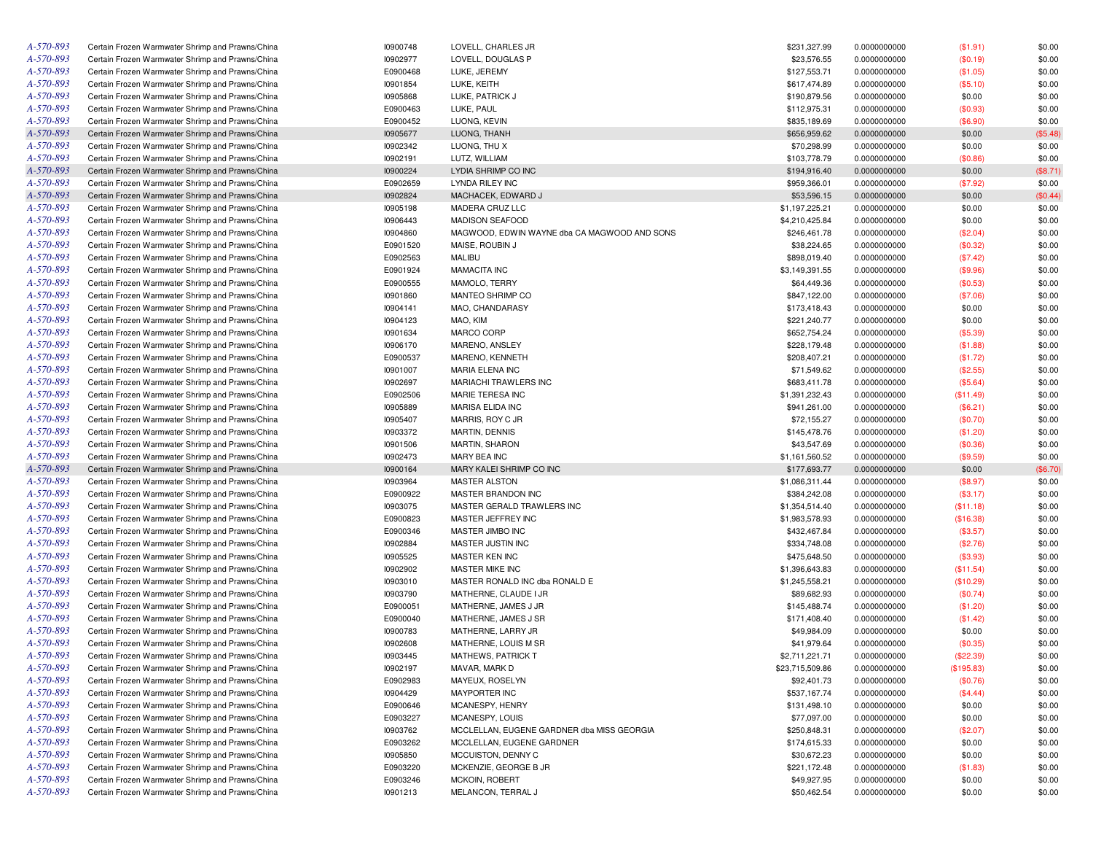| A-570-893 | Certain Frozen Warmwater Shrimp and Prawns/China | 10900748 | LOVELL, CHARLES JR                           | \$231,327.99    | 0.0000000000 | (\$1.91)         | \$0.00   |
|-----------|--------------------------------------------------|----------|----------------------------------------------|-----------------|--------------|------------------|----------|
| A-570-893 | Certain Frozen Warmwater Shrimp and Prawns/China | 10902977 | LOVELL, DOUGLAS P                            | \$23,576.55     | 0.0000000000 | (\$0.19)         | \$0.00   |
| A-570-893 | Certain Frozen Warmwater Shrimp and Prawns/China | E0900468 | LUKE, JEREMY                                 | \$127,553.71    | 0.0000000000 | (\$1.05)         | \$0.00   |
| A-570-893 | Certain Frozen Warmwater Shrimp and Prawns/China | 10901854 | LUKE, KEITH                                  | \$617,474.89    | 0.0000000000 | (\$5.10)         | \$0.00   |
| A-570-893 | Certain Frozen Warmwater Shrimp and Prawns/China | 10905868 | LUKE, PATRICK J                              | \$190,879.56    | 0.0000000000 | \$0.00           | \$0.00   |
| A-570-893 | Certain Frozen Warmwater Shrimp and Prawns/China | E0900463 | LUKE, PAUL                                   | \$112,975.31    | 0.0000000000 | (\$0.93)         | \$0.00   |
| A-570-893 | Certain Frozen Warmwater Shrimp and Prawns/China | E0900452 | LUONG, KEVIN                                 | \$835,189.69    | 0.0000000000 | (\$6.90)         | \$0.00   |
| A-570-893 | Certain Frozen Warmwater Shrimp and Prawns/China | 10905677 | LUONG, THANH                                 | \$656,959.62    | 0.0000000000 | \$0.00           | (\$5.48) |
| A-570-893 | Certain Frozen Warmwater Shrimp and Prawns/China | 10902342 | LUONG, THU X                                 | \$70,298.99     | 0.0000000000 | \$0.00           | \$0.00   |
| A-570-893 | Certain Frozen Warmwater Shrimp and Prawns/China | 10902191 | LUTZ, WILLIAM                                | \$103,778.79    | 0.0000000000 | (\$0.86)         | \$0.00   |
| A-570-893 | Certain Frozen Warmwater Shrimp and Prawns/China | 10900224 | LYDIA SHRIMP CO INC                          | \$194,916.40    | 0.0000000000 | \$0.00           | (\$8.71) |
| A-570-893 | Certain Frozen Warmwater Shrimp and Prawns/China | E0902659 | LYNDA RILEY INC                              | \$959,366.01    | 0.0000000000 | (\$7.92)         | \$0.00   |
| A-570-893 | Certain Frozen Warmwater Shrimp and Prawns/China | 10902824 | MACHACEK, EDWARD J                           | \$53,596.15     | 0.0000000000 | \$0.00           | (\$0.44) |
| A-570-893 | Certain Frozen Warmwater Shrimp and Prawns/China | 10905198 | MADERA CRUZ LLC                              | \$1,197,225.21  | 0.0000000000 |                  | \$0.00   |
| A-570-893 | Certain Frozen Warmwater Shrimp and Prawns/China | 10906443 | <b>MADISON SEAFOOD</b>                       | \$4,210,425.84  |              | \$0.00<br>\$0.00 | \$0.00   |
| A-570-893 |                                                  |          |                                              |                 | 0.0000000000 |                  |          |
|           | Certain Frozen Warmwater Shrimp and Prawns/China | 10904860 | MAGWOOD, EDWIN WAYNE dba CA MAGWOOD AND SONS | \$246,461.78    | 0.0000000000 | (\$2.04)         | \$0.00   |
| A-570-893 | Certain Frozen Warmwater Shrimp and Prawns/China | E0901520 | MAISE, ROUBIN J                              | \$38,224.65     | 0.0000000000 | (\$0.32)         | \$0.00   |
| A-570-893 | Certain Frozen Warmwater Shrimp and Prawns/China | E0902563 | <b>MALIBU</b>                                | \$898,019.40    | 0.0000000000 | (\$7.42)         | \$0.00   |
| A-570-893 | Certain Frozen Warmwater Shrimp and Prawns/China | E0901924 | <b>MAMACITA INC</b>                          | \$3,149,391.55  | 0.0000000000 | (\$9.96)         | \$0.00   |
| A-570-893 | Certain Frozen Warmwater Shrimp and Prawns/China | E0900555 | MAMOLO, TERRY                                | \$64,449.36     | 0.0000000000 | (\$0.53)         | \$0.00   |
| A-570-893 | Certain Frozen Warmwater Shrimp and Prawns/China | 10901860 | MANTEO SHRIMP CO                             | \$847,122.00    | 0.0000000000 | (\$7.06)         | \$0.00   |
| A-570-893 | Certain Frozen Warmwater Shrimp and Prawns/China | 10904141 | MAO, CHANDARASY                              | \$173,418.43    | 0.0000000000 | \$0.00           | \$0.00   |
| A-570-893 | Certain Frozen Warmwater Shrimp and Prawns/China | 10904123 | MAO, KIM                                     | \$221,240.77    | 0.0000000000 | \$0.00           | \$0.00   |
| A-570-893 | Certain Frozen Warmwater Shrimp and Prawns/China | 10901634 | <b>MARCO CORP</b>                            | \$652,754.24    | 0.0000000000 | (\$5.39)         | \$0.00   |
| A-570-893 | Certain Frozen Warmwater Shrimp and Prawns/China | 10906170 | MARENO, ANSLEY                               | \$228,179.48    | 0.0000000000 | (\$1.88)         | \$0.00   |
| A-570-893 | Certain Frozen Warmwater Shrimp and Prawns/China | E0900537 | MARENO, KENNETH                              | \$208,407.21    | 0.0000000000 | (\$1.72)         | \$0.00   |
| A-570-893 | Certain Frozen Warmwater Shrimp and Prawns/China | 10901007 | MARIA ELENA INC                              | \$71,549.62     | 0.0000000000 | (\$2.55)         | \$0.00   |
| A-570-893 | Certain Frozen Warmwater Shrimp and Prawns/China | 10902697 | MARIACHI TRAWLERS INC                        | \$683,411.78    | 0.0000000000 | (\$5.64)         | \$0.00   |
| A-570-893 | Certain Frozen Warmwater Shrimp and Prawns/China | E0902506 | MARIE TERESA INC                             | \$1,391,232.43  | 0.0000000000 | (\$11.49)        | \$0.00   |
| A-570-893 | Certain Frozen Warmwater Shrimp and Prawns/China | 10905889 | <b>MARISA ELIDA INC</b>                      | \$941,261.00    | 0.0000000000 | (\$6.21)         | \$0.00   |
| A-570-893 | Certain Frozen Warmwater Shrimp and Prawns/China | 10905407 | MARRIS, ROY C JR                             | \$72,155.27     | 0.0000000000 | (\$0.70)         | \$0.00   |
| A-570-893 | Certain Frozen Warmwater Shrimp and Prawns/China | 10903372 | <b>MARTIN, DENNIS</b>                        | \$145,478.76    | 0.0000000000 | (\$1.20)         | \$0.00   |
| A-570-893 | Certain Frozen Warmwater Shrimp and Prawns/China | 10901506 | <b>MARTIN, SHARON</b>                        | \$43,547.69     | 0.0000000000 | (\$0.36)         | \$0.00   |
| A-570-893 | Certain Frozen Warmwater Shrimp and Prawns/China | 10902473 | MARY BEA INC                                 | \$1,161,560.52  | 0.0000000000 | (\$9.59)         | \$0.00   |
| A-570-893 | Certain Frozen Warmwater Shrimp and Prawns/China | 10900164 | MARY KALEI SHRIMP CO INC                     | \$177,693.77    | 0.0000000000 | \$0.00           | (\$6.70) |
| A-570-893 | Certain Frozen Warmwater Shrimp and Prawns/China | 10903964 | <b>MASTER ALSTON</b>                         | \$1,086,311.44  | 0.0000000000 | (\$8.97)         | \$0.00   |
| A-570-893 | Certain Frozen Warmwater Shrimp and Prawns/China | E0900922 | MASTER BRANDON INC                           | \$384,242.08    | 0.0000000000 | (\$3.17)         | \$0.00   |
| A-570-893 | Certain Frozen Warmwater Shrimp and Prawns/China | 10903075 | MASTER GERALD TRAWLERS INC                   | \$1,354,514.40  | 0.0000000000 |                  | \$0.00   |
| A-570-893 | Certain Frozen Warmwater Shrimp and Prawns/China |          | MASTER JEFFREY INC                           |                 |              | (\$11.18)        |          |
| A-570-893 |                                                  | E0900823 |                                              | \$1,983,578.93  | 0.0000000000 | (\$16.38)        | \$0.00   |
|           | Certain Frozen Warmwater Shrimp and Prawns/China | E0900346 | MASTER JIMBO INC                             | \$432,467.84    | 0.0000000000 | (\$3.57)         | \$0.00   |
| A-570-893 | Certain Frozen Warmwater Shrimp and Prawns/China | 10902884 | MASTER JUSTIN INC                            | \$334,748.08    | 0.0000000000 | (\$2.76)         | \$0.00   |
| A-570-893 | Certain Frozen Warmwater Shrimp and Prawns/China | 10905525 | MASTER KEN INC                               | \$475,648.50    | 0.0000000000 | (\$3.93)         | \$0.00   |
| A-570-893 | Certain Frozen Warmwater Shrimp and Prawns/China | 10902902 | MASTER MIKE INC                              | \$1,396,643.83  | 0.0000000000 | (\$11.54)        | \$0.00   |
| A-570-893 | Certain Frozen Warmwater Shrimp and Prawns/China | 10903010 | MASTER RONALD INC dba RONALD E               | \$1,245,558.21  | 0.0000000000 | (\$10.29)        | \$0.00   |
| A-570-893 | Certain Frozen Warmwater Shrimp and Prawns/China | 10903790 | MATHERNE, CLAUDE I JR                        | \$89,682.93     | 0.0000000000 | (\$0.74)         | \$0.00   |
| A-570-893 | Certain Frozen Warmwater Shrimp and Prawns/China | E0900051 | MATHERNE, JAMES J JR                         | \$145,488.74    | 0.0000000000 | (\$1.20)         | \$0.00   |
| A-570-893 | Certain Frozen Warmwater Shrimp and Prawns/China | E0900040 | MATHERNE, JAMES J SR                         | \$171,408.40    | 0.0000000000 | (\$1.42)         | \$0.00   |
| A-570-893 | Certain Frozen Warmwater Shrimp and Prawns/China | 10900783 | MATHERNE, LARRY JR                           | \$49,984.09     | 0.0000000000 | \$0.00           | \$0.00   |
| A-570-893 | Certain Frozen Warmwater Shrimp and Prawns/China | 10902608 | MATHERNE, LOUIS M SR                         | \$41,979.64     | 0.0000000000 | (\$0.35)         | \$0.00   |
| A-570-893 | Certain Frozen Warmwater Shrimp and Prawns/China | 10903445 | <b>MATHEWS, PATRICK T</b>                    | \$2,711,221.71  | 0.0000000000 | (\$22.39)        | \$0.00   |
| A-570-893 | Certain Frozen Warmwater Shrimp and Prawns/China | 10902197 | MAVAR, MARK D                                | \$23,715,509.86 | 0.0000000000 | (\$195.83)       | \$0.00   |
| A-570-893 | Certain Frozen Warmwater Shrimp and Prawns/China | E0902983 | MAYEUX, ROSELYN                              | \$92,401.73     | 0.0000000000 | (\$0.76)         | \$0.00   |
| A-570-893 | Certain Frozen Warmwater Shrimp and Prawns/China | 10904429 | <b>MAYPORTER INC</b>                         | \$537,167.74    | 0.0000000000 | (\$4.44)         | \$0.00   |
| A-570-893 | Certain Frozen Warmwater Shrimp and Prawns/China | E0900646 | MCANESPY, HENRY                              | \$131,498.10    | 0.0000000000 | \$0.00           | \$0.00   |
| A-570-893 | Certain Frozen Warmwater Shrimp and Prawns/China | E0903227 | MCANESPY, LOUIS                              | \$77,097.00     | 0.0000000000 | \$0.00           | \$0.00   |
| A-570-893 | Certain Frozen Warmwater Shrimp and Prawns/China | 10903762 | MCCLELLAN, EUGENE GARDNER dba MISS GEORGIA   | \$250,848.31    | 0.0000000000 | (\$2.07)         | \$0.00   |
| A-570-893 | Certain Frozen Warmwater Shrimp and Prawns/China | E0903262 | MCCLELLAN, EUGENE GARDNER                    | \$174,615.33    | 0.0000000000 | \$0.00           | \$0.00   |
| A-570-893 | Certain Frozen Warmwater Shrimp and Prawns/China | 10905850 | MCCUISTON, DENNY C                           | \$30,672.23     | 0.0000000000 | \$0.00           | \$0.00   |
| A-570-893 | Certain Frozen Warmwater Shrimp and Prawns/China | E0903220 | MCKENZIE, GEORGE B JR                        | \$221,172.48    | 0.0000000000 | (\$1.83)         | \$0.00   |
| A-570-893 | Certain Frozen Warmwater Shrimp and Prawns/China | E0903246 | <b>MCKOIN, ROBERT</b>                        | \$49,927.95     | 0.0000000000 | \$0.00           | \$0.00   |
| A-570-893 | Certain Frozen Warmwater Shrimp and Prawns/China | 10901213 | MELANCON, TERRAL J                           | \$50,462.54     | 0.0000000000 | \$0.00           |          |
|           |                                                  |          |                                              |                 |              |                  | \$0.00   |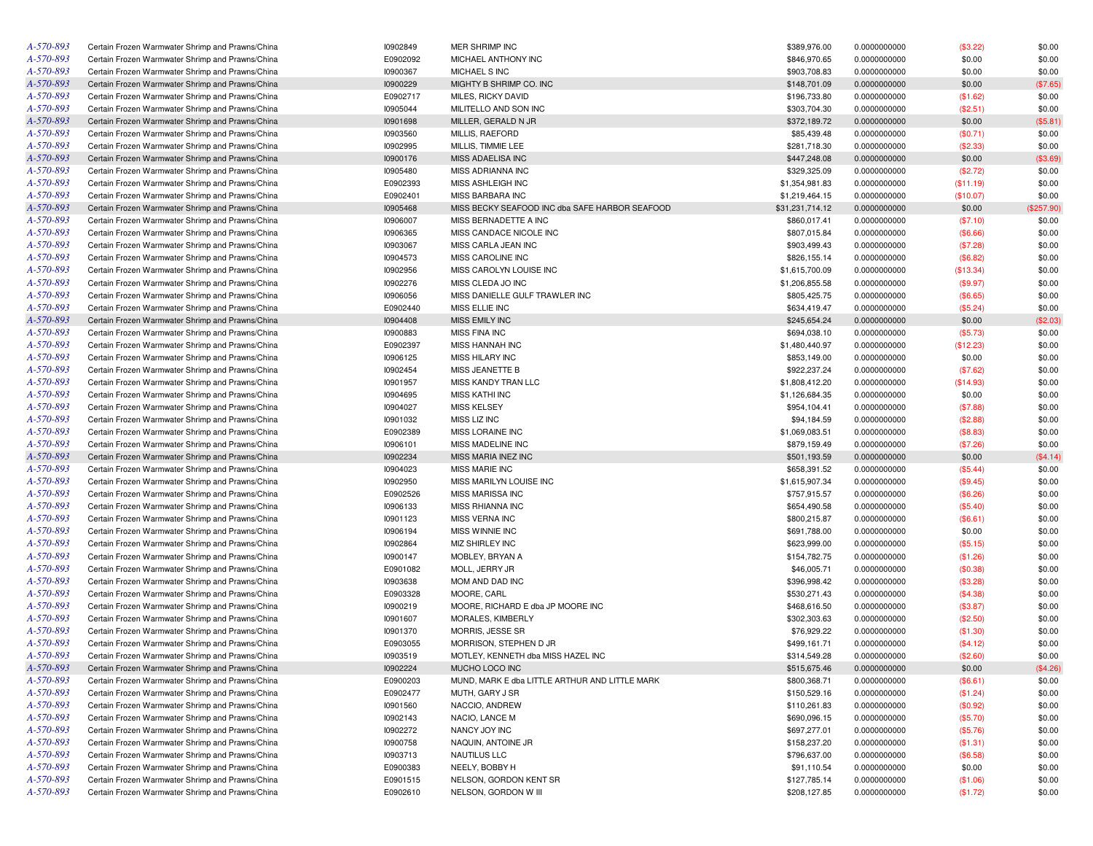| A-570-893 | Certain Frozen Warmwater Shrimp and Prawns/China | 10902849 | MER SHRIMP INC                                 | \$389,976.00    | 0.0000000000 | (\$3.22)  | \$0.00     |
|-----------|--------------------------------------------------|----------|------------------------------------------------|-----------------|--------------|-----------|------------|
| A-570-893 | Certain Frozen Warmwater Shrimp and Prawns/China | E0902092 | MICHAEL ANTHONY INC                            | \$846,970.65    | 0.0000000000 | \$0.00    | \$0.00     |
| A-570-893 | Certain Frozen Warmwater Shrimp and Prawns/China | 10900367 | MICHAEL S INC                                  | \$903,708.83    | 0.0000000000 | \$0.00    | \$0.00     |
| A-570-893 | Certain Frozen Warmwater Shrimp and Prawns/China | 10900229 | MIGHTY B SHRIMP CO. INC                        | \$148,701.09    | 0.0000000000 | \$0.00    | (\$7.65)   |
| A-570-893 | Certain Frozen Warmwater Shrimp and Prawns/China | E0902717 | MILES, RICKY DAVID                             | \$196,733.80    | 0.0000000000 | (\$1.62)  | \$0.00     |
| A-570-893 | Certain Frozen Warmwater Shrimp and Prawns/China | 10905044 | MILITELLO AND SON INC                          | \$303,704.30    | 0.0000000000 | (\$2.51)  | \$0.00     |
| A-570-893 | Certain Frozen Warmwater Shrimp and Prawns/China | 10901698 | MILLER, GERALD N JR                            | \$372,189.72    | 0.0000000000 | \$0.00    | (\$5.81)   |
| A-570-893 | Certain Frozen Warmwater Shrimp and Prawns/China | 10903560 | MILLIS, RAEFORD                                | \$85,439.48     | 0.0000000000 | (\$0.71)  | \$0.00     |
| A-570-893 | Certain Frozen Warmwater Shrimp and Prawns/China | 10902995 | MILLIS, TIMMIE LEE                             | \$281,718.30    | 0.0000000000 | (\$2.33)  | \$0.00     |
| A-570-893 | Certain Frozen Warmwater Shrimp and Prawns/China | 10900176 | MISS ADAELISA INC                              | \$447,248.08    | 0.0000000000 | \$0.00    | (\$3.69)   |
| A-570-893 | Certain Frozen Warmwater Shrimp and Prawns/China | 10905480 | MISS ADRIANNA INC                              | \$329,325.09    | 0.0000000000 | (\$2.72)  | \$0.00     |
| A-570-893 | Certain Frozen Warmwater Shrimp and Prawns/China | E0902393 | MISS ASHLEIGH INC                              | \$1,354,981.83  | 0.0000000000 | (\$11.19) | \$0.00     |
| A-570-893 | Certain Frozen Warmwater Shrimp and Prawns/China | E0902401 | MISS BARBARA INC                               | \$1,219,464.15  | 0.0000000000 | (\$10.07) | \$0.00     |
| A-570-893 | Certain Frozen Warmwater Shrimp and Prawns/China | 10905468 | MISS BECKY SEAFOOD INC dba SAFE HARBOR SEAFOOD | \$31,231,714.12 | 0.0000000000 | \$0.00    | (\$257.90) |
| A-570-893 | Certain Frozen Warmwater Shrimp and Prawns/China | 10906007 | MISS BERNADETTE A INC                          | \$860,017.41    | 0.0000000000 | (\$7.10)  | \$0.00     |
| A-570-893 | Certain Frozen Warmwater Shrimp and Prawns/China | 10906365 | MISS CANDACE NICOLE INC                        | \$807,015.84    | 0.0000000000 | (\$6.66)  | \$0.00     |
| A-570-893 | Certain Frozen Warmwater Shrimp and Prawns/China | 10903067 | MISS CARLA JEAN INC                            | \$903,499.43    | 0.0000000000 |           | \$0.00     |
| A-570-893 |                                                  |          |                                                |                 |              | (\$7.28)  |            |
|           | Certain Frozen Warmwater Shrimp and Prawns/China | 10904573 | MISS CAROLINE INC                              | \$826,155.14    | 0.0000000000 | (\$6.82)  | \$0.00     |
| A-570-893 | Certain Frozen Warmwater Shrimp and Prawns/China | 10902956 | MISS CAROLYN LOUISE INC                        | \$1,615,700.09  | 0.0000000000 | (\$13.34) | \$0.00     |
| A-570-893 | Certain Frozen Warmwater Shrimp and Prawns/China | 10902276 | MISS CLEDA JO INC                              | \$1,206,855.58  | 0.0000000000 | (\$9.97)  | \$0.00     |
| A-570-893 | Certain Frozen Warmwater Shrimp and Prawns/China | 10906056 | MISS DANIELLE GULF TRAWLER INC                 | \$805,425.75    | 0.0000000000 | (\$6.65)  | \$0.00     |
| A-570-893 | Certain Frozen Warmwater Shrimp and Prawns/China | E0902440 | MISS ELLIE INC                                 | \$634,419.47    | 0.0000000000 | (\$5.24)  | \$0.00     |
| A-570-893 | Certain Frozen Warmwater Shrimp and Prawns/China | 10904408 | <b>MISS EMILY INC</b>                          | \$245,654.24    | 0.0000000000 | \$0.00    | (\$2.03)   |
| A-570-893 | Certain Frozen Warmwater Shrimp and Prawns/China | 10900883 | <b>MISS FINA INC</b>                           | \$694,038.10    | 0.0000000000 | (\$5.73)  | \$0.00     |
| A-570-893 | Certain Frozen Warmwater Shrimp and Prawns/China | E0902397 | <b>MISS HANNAH INC</b>                         | \$1,480,440.97  | 0.0000000000 | (\$12.23) | \$0.00     |
| A-570-893 | Certain Frozen Warmwater Shrimp and Prawns/China | 10906125 | <b>MISS HILARY INC</b>                         | \$853,149.00    | 0.0000000000 | \$0.00    | \$0.00     |
| A-570-893 | Certain Frozen Warmwater Shrimp and Prawns/China | 10902454 | MISS JEANETTE B                                | \$922,237.24    | 0.0000000000 | (\$7.62)  | \$0.00     |
| A-570-893 | Certain Frozen Warmwater Shrimp and Prawns/China | 10901957 | MISS KANDY TRAN LLC                            | \$1,808,412.20  | 0.0000000000 | (\$14.93) | \$0.00     |
| A-570-893 | Certain Frozen Warmwater Shrimp and Prawns/China | 10904695 | <b>MISS KATHI INC</b>                          | \$1,126,684.35  | 0.0000000000 | \$0.00    | \$0.00     |
| A-570-893 | Certain Frozen Warmwater Shrimp and Prawns/China | 10904027 | <b>MISS KELSEY</b>                             | \$954,104.41    | 0.0000000000 | (\$7.88)  | \$0.00     |
| A-570-893 | Certain Frozen Warmwater Shrimp and Prawns/China | 10901032 | MISS LIZ INC                                   | \$94,184.59     | 0.0000000000 | (\$2.88)  | \$0.00     |
| A-570-893 | Certain Frozen Warmwater Shrimp and Prawns/China | E0902389 | MISS LORAINE INC                               | \$1,069,083.51  | 0.0000000000 | (\$8.83)  | \$0.00     |
| A-570-893 | Certain Frozen Warmwater Shrimp and Prawns/China | 10906101 | MISS MADELINE INC                              | \$879,159.49    | 0.0000000000 | (\$7.26)  | \$0.00     |
| A-570-893 | Certain Frozen Warmwater Shrimp and Prawns/China | 10902234 | MISS MARIA INEZ INC                            | \$501,193.59    | 0.0000000000 | \$0.00    | (\$4.14)   |
| A-570-893 | Certain Frozen Warmwater Shrimp and Prawns/China | 10904023 | <b>MISS MARIE INC</b>                          | \$658,391.52    | 0.0000000000 | (\$5.44)  | \$0.00     |
| A-570-893 | Certain Frozen Warmwater Shrimp and Prawns/China | 10902950 | MISS MARILYN LOUISE INC                        | \$1,615,907.34  | 0.0000000000 | (\$9.45)  | \$0.00     |
| A-570-893 | Certain Frozen Warmwater Shrimp and Prawns/China | E0902526 | <b>MISS MARISSA INC</b>                        | \$757,915.57    | 0.0000000000 | (\$6.26)  | \$0.00     |
| A-570-893 | Certain Frozen Warmwater Shrimp and Prawns/China | 10906133 | <b>MISS RHIANNA INC</b>                        | \$654,490.58    | 0.0000000000 | (\$5.40)  | \$0.00     |
| A-570-893 | Certain Frozen Warmwater Shrimp and Prawns/China | 10901123 | <b>MISS VERNA INC</b>                          | \$800,215.87    | 0.0000000000 | (\$6.61)  | \$0.00     |
| A-570-893 | Certain Frozen Warmwater Shrimp and Prawns/China | 10906194 | MISS WINNIE INC                                | \$691,788.00    | 0.0000000000 | \$0.00    | \$0.00     |
| A-570-893 | Certain Frozen Warmwater Shrimp and Prawns/China | 10902864 | MIZ SHIRLEY INC                                | \$623,999.00    | 0.0000000000 | (\$5.15)  | \$0.00     |
| A-570-893 | Certain Frozen Warmwater Shrimp and Prawns/China | 10900147 | MOBLEY, BRYAN A                                | \$154,782.75    | 0.0000000000 | (\$1.26)  | \$0.00     |
| A-570-893 | Certain Frozen Warmwater Shrimp and Prawns/China | E0901082 | MOLL, JERRY JR                                 | \$46,005.71     | 0.0000000000 | (\$0.38)  | \$0.00     |
| A-570-893 | Certain Frozen Warmwater Shrimp and Prawns/China | 10903638 | MOM AND DAD INC                                | \$396,998.42    | 0.0000000000 | (\$3.28)  | \$0.00     |
| A-570-893 | Certain Frozen Warmwater Shrimp and Prawns/China | E0903328 | MOORE, CARL                                    | \$530,271.43    | 0.0000000000 | (\$4.38)  | \$0.00     |
| A-570-893 | Certain Frozen Warmwater Shrimp and Prawns/China | 10900219 | MOORE, RICHARD E dba JP MOORE INC              | \$468,616.50    | 0.0000000000 | (\$3.87)  | \$0.00     |
| A-570-893 | Certain Frozen Warmwater Shrimp and Prawns/China | 10901607 | MORALES, KIMBERLY                              | \$302,303.63    | 0.0000000000 |           |            |
| A-570-893 | Certain Frozen Warmwater Shrimp and Prawns/China |          | MORRIS, JESSE SR                               |                 | 0.0000000000 | (\$2.50)  | \$0.00     |
| A-570-893 |                                                  | 10901370 | MORRISON, STEPHEN D JR                         | \$76,929.22     |              | (\$1.30)  | \$0.00     |
|           | Certain Frozen Warmwater Shrimp and Prawns/China | E0903055 |                                                | \$499,161.71    | 0.0000000000 | (\$4.12)  | \$0.00     |
| A-570-893 | Certain Frozen Warmwater Shrimp and Prawns/China | 10903519 | MOTLEY, KENNETH dba MISS HAZEL INC             | \$314,549.28    | 0.0000000000 | (\$2.60)  | \$0.00     |
| A-570-893 | Certain Frozen Warmwater Shrimp and Prawns/China | 10902224 | MUCHO LOCO INC                                 | \$515,675.46    | 0.0000000000 | \$0.00    | (\$4.26)   |
| A-570-893 | Certain Frozen Warmwater Shrimp and Prawns/China | E0900203 | MUND, MARK E dba LITTLE ARTHUR AND LITTLE MARK | \$800,368.71    | 0.0000000000 | (\$6.61)  | \$0.00     |
| A-570-893 | Certain Frozen Warmwater Shrimp and Prawns/China | E0902477 | MUTH, GARY J SR                                | \$150,529.16    | 0.0000000000 | (\$1.24)  | \$0.00     |
| A-570-893 | Certain Frozen Warmwater Shrimp and Prawns/China | 10901560 | NACCIO, ANDREW                                 | \$110,261.83    | 0.0000000000 | (\$0.92)  | \$0.00     |
| A-570-893 | Certain Frozen Warmwater Shrimp and Prawns/China | 10902143 | NACIO, LANCE M                                 | \$690,096.15    | 0.0000000000 | (\$5.70)  | \$0.00     |
| A-570-893 | Certain Frozen Warmwater Shrimp and Prawns/China | 10902272 | NANCY JOY INC                                  | \$697,277.01    | 0.0000000000 | (\$5.76)  | \$0.00     |
| A-570-893 | Certain Frozen Warmwater Shrimp and Prawns/China | 10900758 | NAQUIN, ANTOINE JR                             | \$158,237.20    | 0.0000000000 | (\$1.31)  | \$0.00     |
| A-570-893 | Certain Frozen Warmwater Shrimp and Prawns/China | 10903713 | <b>NAUTILUS LLC</b>                            | \$796,637.00    | 0.0000000000 | (\$6.58)  | \$0.00     |
| A-570-893 | Certain Frozen Warmwater Shrimp and Prawns/China | E0900383 | NEELY, BOBBY H                                 | \$91,110.54     | 0.0000000000 | \$0.00    | \$0.00     |
| A-570-893 | Certain Frozen Warmwater Shrimp and Prawns/China | E0901515 | NELSON, GORDON KENT SR                         | \$127,785.14    | 0.0000000000 | (\$1.06)  | \$0.00     |
| A-570-893 | Certain Frozen Warmwater Shrimp and Prawns/China | E0902610 | NELSON, GORDON W III                           | \$208,127.85    | 0.0000000000 | (\$1.72)  | \$0.00     |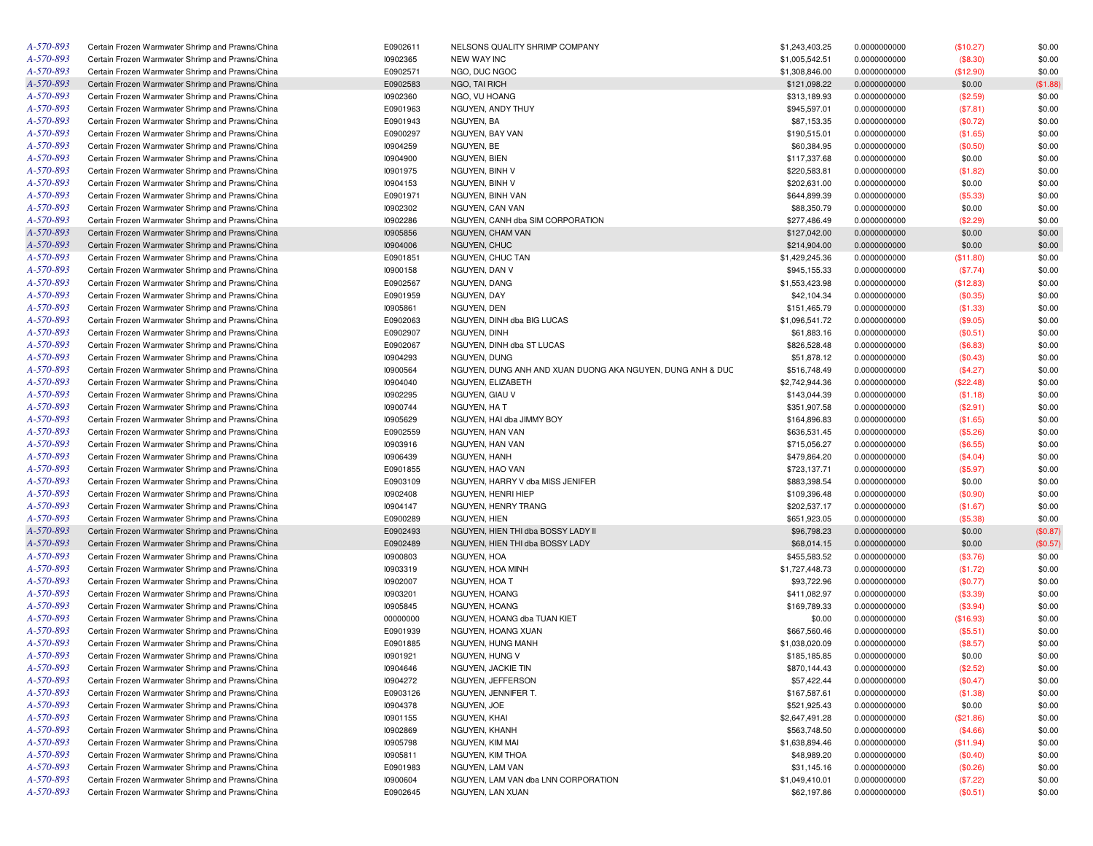| A-570-893 | Certain Frozen Warmwater Shrimp and Prawns/China | E0902611 | NELSONS QUALITY SHRIMP COMPANY                             | \$1,243,403.25 | 0.0000000000 | (\$10.27) | \$0.00   |
|-----------|--------------------------------------------------|----------|------------------------------------------------------------|----------------|--------------|-----------|----------|
| A-570-893 | Certain Frozen Warmwater Shrimp and Prawns/China | 10902365 | <b>NEW WAY INC</b>                                         | \$1,005,542.51 | 0.0000000000 | (\$8.30)  | \$0.00   |
| A-570-893 | Certain Frozen Warmwater Shrimp and Prawns/China | E0902571 | NGO, DUC NGOC                                              | \$1,308,846.00 | 0.0000000000 | (\$12.90) | \$0.00   |
| A-570-893 | Certain Frozen Warmwater Shrimp and Prawns/China | E0902583 | NGO, TAI RICH                                              | \$121,098.22   | 0.0000000000 | \$0.00    | (\$1.88) |
| A-570-893 | Certain Frozen Warmwater Shrimp and Prawns/China | 10902360 | NGO, VU HOANG                                              | \$313,189.93   | 0.0000000000 | (\$2.59)  | \$0.00   |
| A-570-893 | Certain Frozen Warmwater Shrimp and Prawns/China | E0901963 | NGUYEN, ANDY THUY                                          | \$945,597.01   | 0.0000000000 | (\$7.81)  | \$0.00   |
| A-570-893 | Certain Frozen Warmwater Shrimp and Prawns/China | E0901943 | NGUYEN, BA                                                 | \$87,153.35    | 0.0000000000 | (\$0.72)  | \$0.00   |
| A-570-893 | Certain Frozen Warmwater Shrimp and Prawns/China | E0900297 | NGUYEN, BAY VAN                                            | \$190,515.01   | 0.0000000000 | (\$1.65)  | \$0.00   |
| A-570-893 | Certain Frozen Warmwater Shrimp and Prawns/China | 10904259 | NGUYEN, BE                                                 | \$60,384.95    | 0.0000000000 | (\$0.50)  | \$0.00   |
| A-570-893 | Certain Frozen Warmwater Shrimp and Prawns/China | 10904900 | NGUYEN, BIEN                                               | \$117,337.68   | 0.0000000000 | \$0.00    | \$0.00   |
| A-570-893 | Certain Frozen Warmwater Shrimp and Prawns/China | 10901975 | NGUYEN, BINH V                                             | \$220,583.81   | 0.0000000000 | (\$1.82)  | \$0.00   |
| A-570-893 | Certain Frozen Warmwater Shrimp and Prawns/China | 10904153 | NGUYEN, BINH V                                             | \$202,631.00   | 0.0000000000 | \$0.00    | \$0.00   |
| A-570-893 | Certain Frozen Warmwater Shrimp and Prawns/China | E0901971 | NGUYEN, BINH VAN                                           | \$644,899.39   | 0.0000000000 | (\$5.33)  | \$0.00   |
| A-570-893 | Certain Frozen Warmwater Shrimp and Prawns/China | 10902302 | NGUYEN, CAN VAN                                            | \$88,350.79    | 0.0000000000 | \$0.00    | \$0.00   |
| A-570-893 | Certain Frozen Warmwater Shrimp and Prawns/China | 10902286 | NGUYEN, CANH dba SIM CORPORATION                           | \$277,486.49   | 0.0000000000 | (\$2.29)  | \$0.00   |
| A-570-893 | Certain Frozen Warmwater Shrimp and Prawns/China | 10905856 | NGUYEN, CHAM VAN                                           | \$127,042.00   | 0.0000000000 | \$0.00    | \$0.00   |
| A-570-893 | Certain Frozen Warmwater Shrimp and Prawns/China | 10904006 | NGUYEN, CHUC                                               | \$214,904.00   | 0.0000000000 | \$0.00    | \$0.00   |
| A-570-893 | Certain Frozen Warmwater Shrimp and Prawns/China | E0901851 | NGUYEN, CHUC TAN                                           | \$1,429,245.36 | 0.0000000000 | (\$11.80) | \$0.00   |
| A-570-893 |                                                  |          |                                                            | \$945,155.33   |              |           | \$0.00   |
|           | Certain Frozen Warmwater Shrimp and Prawns/China | 10900158 | NGUYEN, DAN V                                              |                | 0.0000000000 | (\$7.74)  |          |
| A-570-893 | Certain Frozen Warmwater Shrimp and Prawns/China | E0902567 | NGUYEN, DANG                                               | \$1,553,423.98 | 0.0000000000 | (\$12.83) | \$0.00   |
| A-570-893 | Certain Frozen Warmwater Shrimp and Prawns/China | E0901959 | NGUYEN, DAY                                                | \$42,104.34    | 0.0000000000 | (\$0.35)  | \$0.00   |
| A-570-893 | Certain Frozen Warmwater Shrimp and Prawns/China | 10905861 | NGUYEN, DEN                                                | \$151,465.79   | 0.0000000000 | (\$1.33)  | \$0.00   |
| A-570-893 | Certain Frozen Warmwater Shrimp and Prawns/China | E0902063 | NGUYEN, DINH dba BIG LUCAS                                 | \$1,096,541.72 | 0.0000000000 | (\$9.05)  | \$0.00   |
| A-570-893 | Certain Frozen Warmwater Shrimp and Prawns/China | E0902907 | NGUYEN, DINH                                               | \$61,883.16    | 0.0000000000 | (\$0.51)  | \$0.00   |
| A-570-893 | Certain Frozen Warmwater Shrimp and Prawns/China | E0902067 | NGUYEN, DINH dba ST LUCAS                                  | \$826,528.48   | 0.0000000000 | (\$6.83)  | \$0.00   |
| A-570-893 | Certain Frozen Warmwater Shrimp and Prawns/China | 10904293 | NGUYEN, DUNG                                               | \$51,878.12    | 0.0000000000 | (\$0.43)  | \$0.00   |
| A-570-893 | Certain Frozen Warmwater Shrimp and Prawns/China | 10900564 | NGUYEN, DUNG ANH AND XUAN DUONG AKA NGUYEN, DUNG ANH & DUC | \$516,748.49   | 0.0000000000 | (\$4.27)  | \$0.00   |
| A-570-893 | Certain Frozen Warmwater Shrimp and Prawns/China | 10904040 | NGUYEN, ELIZABETH                                          | \$2,742,944.36 | 0.0000000000 | (\$22.48) | \$0.00   |
| A-570-893 | Certain Frozen Warmwater Shrimp and Prawns/China | 10902295 | NGUYEN, GIAU V                                             | \$143,044.39   | 0.0000000000 | (\$1.18)  | \$0.00   |
| A-570-893 | Certain Frozen Warmwater Shrimp and Prawns/China | 10900744 | NGUYEN, HA T                                               | \$351,907.58   | 0.0000000000 | (\$2.91)  | \$0.00   |
| A-570-893 | Certain Frozen Warmwater Shrimp and Prawns/China | 10905629 | NGUYEN, HAI dba JIMMY BOY                                  | \$164,896.83   | 0.0000000000 | (\$1.65)  | \$0.00   |
| A-570-893 | Certain Frozen Warmwater Shrimp and Prawns/China | E0902559 | NGUYEN, HAN VAN                                            | \$636,531.45   | 0.0000000000 | (\$5.26)  | \$0.00   |
| A-570-893 | Certain Frozen Warmwater Shrimp and Prawns/China | 10903916 | NGUYEN, HAN VAN                                            | \$715,056.27   | 0.0000000000 | (\$6.55)  | \$0.00   |
| A-570-893 | Certain Frozen Warmwater Shrimp and Prawns/China | 10906439 | NGUYEN, HANH                                               | \$479,864.20   | 0.0000000000 | (\$4.04)  | \$0.00   |
| A-570-893 | Certain Frozen Warmwater Shrimp and Prawns/China | E0901855 | NGUYEN, HAO VAN                                            | \$723,137.71   | 0.0000000000 | (\$5.97)  | \$0.00   |
| A-570-893 | Certain Frozen Warmwater Shrimp and Prawns/China | E0903109 | NGUYEN, HARRY V dba MISS JENIFER                           | \$883,398.54   | 0.0000000000 | \$0.00    | \$0.00   |
| A-570-893 | Certain Frozen Warmwater Shrimp and Prawns/China | 10902408 | NGUYEN, HENRI HIEP                                         | \$109,396.48   | 0.0000000000 | (\$0.90)  | \$0.00   |
| A-570-893 | Certain Frozen Warmwater Shrimp and Prawns/China | 10904147 | NGUYEN, HENRY TRANG                                        | \$202,537.17   | 0.0000000000 | (\$1.67)  | \$0.00   |
| A-570-893 | Certain Frozen Warmwater Shrimp and Prawns/China | E0900289 | NGUYEN, HIEN                                               | \$651,923.05   | 0.0000000000 | (\$5.38)  | \$0.00   |
| A-570-893 | Certain Frozen Warmwater Shrimp and Prawns/China | E0902493 | NGUYEN, HIEN THI dba BOSSY LADY II                         | \$96,798.23    | 0.0000000000 | \$0.00    | (\$0.87) |
| A-570-893 | Certain Frozen Warmwater Shrimp and Prawns/China | E0902489 | NGUYEN, HIEN THI dba BOSSY LADY                            | \$68,014.15    | 0.0000000000 | \$0.00    | (\$0.57) |
| A-570-893 | Certain Frozen Warmwater Shrimp and Prawns/China | 10900803 | NGUYEN, HOA                                                | \$455,583.52   | 0.0000000000 | (\$3.76)  | \$0.00   |
| A-570-893 | Certain Frozen Warmwater Shrimp and Prawns/China | 10903319 | NGUYEN, HOA MINH                                           | \$1,727,448.73 | 0.0000000000 | (\$1.72)  | \$0.00   |
| A-570-893 | Certain Frozen Warmwater Shrimp and Prawns/China | 10902007 | NGUYEN, HOA T                                              | \$93,722.96    | 0.0000000000 | (\$0.77)  | \$0.00   |
| A-570-893 | Certain Frozen Warmwater Shrimp and Prawns/China | 10903201 | NGUYEN, HOANG                                              | \$411,082.97   | 0.0000000000 | (\$3.39)  | \$0.00   |
| A-570-893 | Certain Frozen Warmwater Shrimp and Prawns/China | 10905845 | NGUYEN, HOANG                                              | \$169,789.33   | 0.0000000000 | (\$3.94)  | \$0.00   |
| A-570-893 | Certain Frozen Warmwater Shrimp and Prawns/China | 00000000 | NGUYEN, HOANG dba TUAN KIET                                | \$0.00         | 0.0000000000 | (\$16.93) | \$0.00   |
| A-570-893 | Certain Frozen Warmwater Shrimp and Prawns/China | E0901939 | NGUYEN, HOANG XUAN                                         | \$667,560.46   | 0.0000000000 | (\$5.51)  | \$0.00   |
| A-570-893 | Certain Frozen Warmwater Shrimp and Prawns/China | E0901885 | NGUYEN, HUNG MANH                                          | \$1,038,020.09 | 0.0000000000 | (\$8.57)  | \$0.00   |
| A-570-893 | Certain Frozen Warmwater Shrimp and Prawns/China | 10901921 | NGUYEN, HUNG V                                             | \$185,185.85   | 0.0000000000 | \$0.00    | \$0.00   |
| A-570-893 | Certain Frozen Warmwater Shrimp and Prawns/China | 10904646 | NGUYEN, JACKIE TIN                                         | \$870,144.43   | 0.0000000000 | (\$2.52)  | \$0.00   |
| A-570-893 | Certain Frozen Warmwater Shrimp and Prawns/China | 10904272 | NGUYEN, JEFFERSON                                          | \$57,422.44    | 0.0000000000 | (\$0.47)  | \$0.00   |
| A-570-893 | Certain Frozen Warmwater Shrimp and Prawns/China | E0903126 | NGUYEN, JENNIFER T.                                        | \$167,587.61   | 0.0000000000 | (\$1.38)  | \$0.00   |
| A-570-893 | Certain Frozen Warmwater Shrimp and Prawns/China | 10904378 | NGUYEN, JOE                                                | \$521,925.43   | 0.0000000000 | \$0.00    | \$0.00   |
| A-570-893 | Certain Frozen Warmwater Shrimp and Prawns/China | 10901155 | NGUYEN, KHAI                                               | \$2,647,491.28 | 0.0000000000 | (\$21.86) | \$0.00   |
| A-570-893 | Certain Frozen Warmwater Shrimp and Prawns/China | 10902869 | NGUYEN, KHANH                                              | \$563,748.50   | 0.0000000000 | (\$4.66)  | \$0.00   |
| A-570-893 | Certain Frozen Warmwater Shrimp and Prawns/China | 10905798 | NGUYEN, KIM MAI                                            | \$1,638,894.46 |              |           |          |
|           |                                                  |          |                                                            |                | 0.0000000000 | (\$11.94) | \$0.00   |
| A-570-893 | Certain Frozen Warmwater Shrimp and Prawns/China | 10905811 | NGUYEN, KIM THOA                                           | \$48,989.20    | 0.0000000000 | (\$0.40)  | \$0.00   |
| A-570-893 | Certain Frozen Warmwater Shrimp and Prawns/China | E0901983 | NGUYEN, LAM VAN                                            | \$31,145.16    | 0.0000000000 | (\$0.26)  | \$0.00   |
| A-570-893 | Certain Frozen Warmwater Shrimp and Prawns/China | 10900604 | NGUYEN, LAM VAN dba LNN CORPORATION                        | \$1,049,410.01 | 0.0000000000 | (\$7.22)  | \$0.00   |
| A-570-893 | Certain Frozen Warmwater Shrimp and Prawns/China | E0902645 | NGUYEN, LAN XUAN                                           | \$62,197.86    | 0.0000000000 | (\$0.51)  | \$0.00   |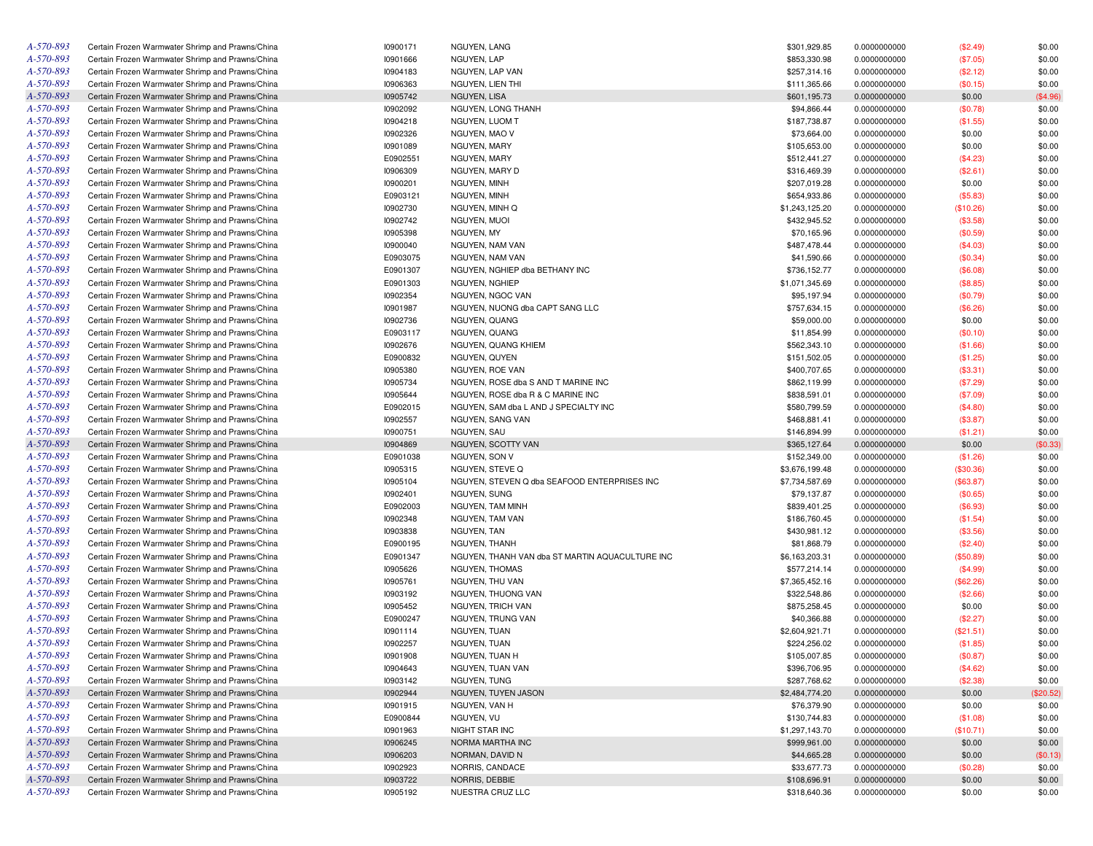| A-570-893 | Certain Frozen Warmwater Shrimp and Prawns/China | 10900171 | NGUYEN, LANG                                    | \$301,929.85   | 0.0000000000 | (\$2.49)  | \$0.00    |
|-----------|--------------------------------------------------|----------|-------------------------------------------------|----------------|--------------|-----------|-----------|
| A-570-893 | Certain Frozen Warmwater Shrimp and Prawns/China | 10901666 | NGUYEN, LAP                                     | \$853,330.98   | 0.0000000000 | (\$7.05)  | \$0.00    |
| A-570-893 | Certain Frozen Warmwater Shrimp and Prawns/China | 10904183 | NGUYEN, LAP VAN                                 | \$257,314.16   | 0.0000000000 | (\$2.12)  | \$0.00    |
| A-570-893 | Certain Frozen Warmwater Shrimp and Prawns/China | 10906363 | NGUYEN, LIEN THI                                | \$111,365.66   | 0.0000000000 | (\$0.15)  | \$0.00    |
| A-570-893 | Certain Frozen Warmwater Shrimp and Prawns/China | 10905742 | NGUYEN, LISA                                    | \$601,195.73   | 0.0000000000 | \$0.00    | (\$4.96)  |
| A-570-893 | Certain Frozen Warmwater Shrimp and Prawns/China | 10902092 | NGUYEN, LONG THANH                              | \$94,866.44    | 0.0000000000 | (\$0.78)  | \$0.00    |
| A-570-893 | Certain Frozen Warmwater Shrimp and Prawns/China | 10904218 | NGUYEN, LUOM T                                  | \$187,738.87   | 0.0000000000 | (\$1.55)  | \$0.00    |
| A-570-893 | Certain Frozen Warmwater Shrimp and Prawns/China | 10902326 | NGUYEN, MAO V                                   | \$73,664.00    | 0.0000000000 | \$0.00    | \$0.00    |
| A-570-893 | Certain Frozen Warmwater Shrimp and Prawns/China | 10901089 | NGUYEN, MARY                                    | \$105,653.00   | 0.0000000000 | \$0.00    | \$0.00    |
| A-570-893 | Certain Frozen Warmwater Shrimp and Prawns/China | E0902551 | NGUYEN, MARY                                    | \$512,441.27   | 0.0000000000 | (\$4.23)  | \$0.00    |
| A-570-893 | Certain Frozen Warmwater Shrimp and Prawns/China | 10906309 | NGUYEN, MARY D                                  | \$316,469.39   | 0.0000000000 | (\$2.61)  | \$0.00    |
| A-570-893 | Certain Frozen Warmwater Shrimp and Prawns/China | 10900201 | NGUYEN, MINH                                    | \$207,019.28   | 0.0000000000 | \$0.00    | \$0.00    |
| A-570-893 | Certain Frozen Warmwater Shrimp and Prawns/China | E0903121 | NGUYEN, MINH                                    | \$654,933.86   | 0.0000000000 | (\$5.83)  | \$0.00    |
| A-570-893 | Certain Frozen Warmwater Shrimp and Prawns/China | 10902730 | NGUYEN, MINH Q                                  | \$1,243,125.20 | 0.0000000000 | (\$10.26) | \$0.00    |
| A-570-893 | Certain Frozen Warmwater Shrimp and Prawns/China | 10902742 | NGUYEN, MUOI                                    | \$432,945.52   | 0.0000000000 | (\$3.58)  | \$0.00    |
| A-570-893 | Certain Frozen Warmwater Shrimp and Prawns/China | 10905398 | NGUYEN, MY                                      | \$70,165.96    | 0.0000000000 | (\$0.59)  | \$0.00    |
| A-570-893 | Certain Frozen Warmwater Shrimp and Prawns/China | 10900040 | NGUYEN, NAM VAN                                 |                |              |           |           |
| A-570-893 |                                                  |          |                                                 | \$487,478.44   | 0.0000000000 | (\$4.03)  | \$0.00    |
|           | Certain Frozen Warmwater Shrimp and Prawns/China | E0903075 | NGUYEN, NAM VAN                                 | \$41,590.66    | 0.0000000000 | (\$0.34)  | \$0.00    |
| A-570-893 | Certain Frozen Warmwater Shrimp and Prawns/China | E0901307 | NGUYEN, NGHIEP dba BETHANY INC                  | \$736,152.77   | 0.0000000000 | (\$6.08)  | \$0.00    |
| A-570-893 | Certain Frozen Warmwater Shrimp and Prawns/China | E0901303 | NGUYEN, NGHIEP                                  | \$1,071,345.69 | 0.0000000000 | (\$8.85)  | \$0.00    |
| A-570-893 | Certain Frozen Warmwater Shrimp and Prawns/China | 10902354 | NGUYEN, NGOC VAN                                | \$95,197.94    | 0.0000000000 | (\$0.79)  | \$0.00    |
| A-570-893 | Certain Frozen Warmwater Shrimp and Prawns/China | 10901987 | NGUYEN, NUONG dba CAPT SANG LLC                 | \$757,634.15   | 0.0000000000 | (\$6.26)  | \$0.00    |
| A-570-893 | Certain Frozen Warmwater Shrimp and Prawns/China | 10902736 | NGUYEN, QUANG                                   | \$59,000.00    | 0.0000000000 | \$0.00    | \$0.00    |
| A-570-893 | Certain Frozen Warmwater Shrimp and Prawns/China | E0903117 | NGUYEN, QUANG                                   | \$11,854.99    | 0.0000000000 | (\$0.10)  | \$0.00    |
| A-570-893 | Certain Frozen Warmwater Shrimp and Prawns/China | 10902676 | NGUYEN, QUANG KHIEM                             | \$562,343.10   | 0.0000000000 | (\$1.66)  | \$0.00    |
| A-570-893 | Certain Frozen Warmwater Shrimp and Prawns/China | E0900832 | NGUYEN, QUYEN                                   | \$151,502.05   | 0.0000000000 | (\$1.25)  | \$0.00    |
| A-570-893 | Certain Frozen Warmwater Shrimp and Prawns/China | 10905380 | NGUYEN, ROE VAN                                 | \$400,707.65   | 0.0000000000 | (\$3.31)  | \$0.00    |
| A-570-893 | Certain Frozen Warmwater Shrimp and Prawns/China | 10905734 | NGUYEN, ROSE dba S AND T MARINE INC             | \$862,119.99   | 0.0000000000 | (\$7.29)  | \$0.00    |
| A-570-893 | Certain Frozen Warmwater Shrimp and Prawns/China | 10905644 | NGUYEN, ROSE dba R & C MARINE INC               | \$838,591.01   | 0.0000000000 | (\$7.09)  | \$0.00    |
| A-570-893 | Certain Frozen Warmwater Shrimp and Prawns/China | E0902015 | NGUYEN, SAM dba L AND J SPECIALTY INC           | \$580,799.59   | 0.0000000000 | (\$4.80)  | \$0.00    |
| A-570-893 | Certain Frozen Warmwater Shrimp and Prawns/China | 10902557 | NGUYEN, SANG VAN                                | \$468,881.41   | 0.0000000000 | (\$3.87)  | \$0.00    |
| A-570-893 | Certain Frozen Warmwater Shrimp and Prawns/China | 10900751 | <b>NGUYEN, SAU</b>                              | \$146,894.99   | 0.0000000000 | (\$1.21)  | \$0.00    |
| A-570-893 | Certain Frozen Warmwater Shrimp and Prawns/China | 10904869 | NGUYEN, SCOTTY VAN                              | \$365,127.64   | 0.0000000000 | \$0.00    | (\$0.33)  |
| A-570-893 | Certain Frozen Warmwater Shrimp and Prawns/China | E0901038 | NGUYEN, SON V                                   | \$152,349.00   | 0.0000000000 | (\$1.26)  | \$0.00    |
| A-570-893 | Certain Frozen Warmwater Shrimp and Prawns/China | 10905315 | NGUYEN, STEVE Q                                 | \$3,676,199.48 | 0.0000000000 | (\$30.36) | \$0.00    |
| A-570-893 | Certain Frozen Warmwater Shrimp and Prawns/China | 10905104 | NGUYEN, STEVEN Q dba SEAFOOD ENTERPRISES INC    | \$7,734,587.69 | 0.0000000000 | (\$63.87) | \$0.00    |
| A-570-893 | Certain Frozen Warmwater Shrimp and Prawns/China | 10902401 | NGUYEN, SUNG                                    | \$79,137.87    | 0.0000000000 | (\$0.65)  | \$0.00    |
| A-570-893 | Certain Frozen Warmwater Shrimp and Prawns/China | E0902003 | NGUYEN, TAM MINH                                | \$839,401.25   | 0.0000000000 | (\$6.93)  | \$0.00    |
| A-570-893 | Certain Frozen Warmwater Shrimp and Prawns/China | 10902348 | NGUYEN, TAM VAN                                 | \$186,760.45   | 0.0000000000 | (\$1.54)  | \$0.00    |
| A-570-893 | Certain Frozen Warmwater Shrimp and Prawns/China | 10903838 | NGUYEN, TAN                                     | \$430,981.12   | 0.0000000000 | (\$3.56)  | \$0.00    |
| A-570-893 | Certain Frozen Warmwater Shrimp and Prawns/China | E0900195 | NGUYEN, THANH                                   | \$81,868.79    | 0.0000000000 | (\$2.40)  | \$0.00    |
| A-570-893 | Certain Frozen Warmwater Shrimp and Prawns/China | E0901347 | NGUYEN, THANH VAN dba ST MARTIN AQUACULTURE INC | \$6,163,203.31 | 0.0000000000 | (\$50.89) | \$0.00    |
| A-570-893 | Certain Frozen Warmwater Shrimp and Prawns/China | 10905626 | <b>NGUYEN, THOMAS</b>                           | \$577,214.14   | 0.0000000000 | (\$4.99)  | \$0.00    |
| A-570-893 | Certain Frozen Warmwater Shrimp and Prawns/China | 10905761 | NGUYEN, THU VAN                                 | \$7,365,452.16 | 0.0000000000 | (\$62.26) | \$0.00    |
| A-570-893 | Certain Frozen Warmwater Shrimp and Prawns/China | 10903192 | NGUYEN, THUONG VAN                              | \$322,548.86   | 0.0000000000 | (\$2.66)  | \$0.00    |
| A-570-893 | Certain Frozen Warmwater Shrimp and Prawns/China | 10905452 | NGUYEN, TRICH VAN                               | \$875,258.45   | 0.0000000000 | \$0.00    | \$0.00    |
| A-570-893 | Certain Frozen Warmwater Shrimp and Prawns/China | E0900247 | NGUYEN, TRUNG VAN                               | \$40,366.88    | 0.0000000000 | (\$2.27)  | \$0.00    |
| A-570-893 | Certain Frozen Warmwater Shrimp and Prawns/China | 10901114 | NGUYEN, TUAN                                    | \$2,604,921.71 | 0.0000000000 | (\$21.51) | \$0.00    |
| A-570-893 | Certain Frozen Warmwater Shrimp and Prawns/China | 10902257 | NGUYEN, TUAN                                    | \$224,256.02   | 0.0000000000 | (\$1.85)  | \$0.00    |
| A-570-893 | Certain Frozen Warmwater Shrimp and Prawns/China | 10901908 | NGUYEN. TUAN H                                  | \$105,007.85   | 0.0000000000 | (\$0.87)  | \$0.00    |
| A-570-893 | Certain Frozen Warmwater Shrimp and Prawns/China | 10904643 | NGUYEN, TUAN VAN                                | \$396,706.95   | 0.0000000000 | (\$4.62)  | \$0.00    |
| A-570-893 | Certain Frozen Warmwater Shrimp and Prawns/China | 10903142 | NGUYEN, TUNG                                    | \$287,768.62   | 0.0000000000 | (\$2.38)  | \$0.00    |
| A-570-893 | Certain Frozen Warmwater Shrimp and Prawns/China | 10902944 | NGUYEN, TUYEN JASON                             | \$2,484,774.20 | 0.0000000000 | \$0.00    | (\$20.52) |
| A-570-893 | Certain Frozen Warmwater Shrimp and Prawns/China | 10901915 | NGUYEN, VAN H                                   | \$76,379.90    | 0.0000000000 | \$0.00    | \$0.00    |
| A-570-893 | Certain Frozen Warmwater Shrimp and Prawns/China |          |                                                 |                |              |           |           |
|           |                                                  | E0900844 | NGUYEN, VU                                      | \$130,744.83   | 0.0000000000 | (\$1.08)  | \$0.00    |
| A-570-893 | Certain Frozen Warmwater Shrimp and Prawns/China | 10901963 | NIGHT STAR INC                                  | \$1,297,143.70 | 0.0000000000 | (\$10.71) | \$0.00    |
| A-570-893 | Certain Frozen Warmwater Shrimp and Prawns/China | 10906245 | NORMA MARTHA INC                                | \$999,961.00   | 0.0000000000 | \$0.00    | \$0.00    |
| A-570-893 | Certain Frozen Warmwater Shrimp and Prawns/China | 10906203 | NORMAN, DAVID N                                 | \$44,665.28    | 0.0000000000 | \$0.00    | (\$0.13)  |
| A-570-893 | Certain Frozen Warmwater Shrimp and Prawns/China | 10902923 | NORRIS, CANDACE                                 | \$33,677.73    | 0.0000000000 | (\$0.28)  | \$0.00    |
| A-570-893 | Certain Frozen Warmwater Shrimp and Prawns/China | 10903722 | NORRIS, DEBBIE                                  | \$108,696.91   | 0.0000000000 | \$0.00    | \$0.00    |
| A-570-893 | Certain Frozen Warmwater Shrimp and Prawns/China | 10905192 | NUESTRA CRUZ LLC                                | \$318,640.36   | 0.0000000000 | \$0.00    | \$0.00    |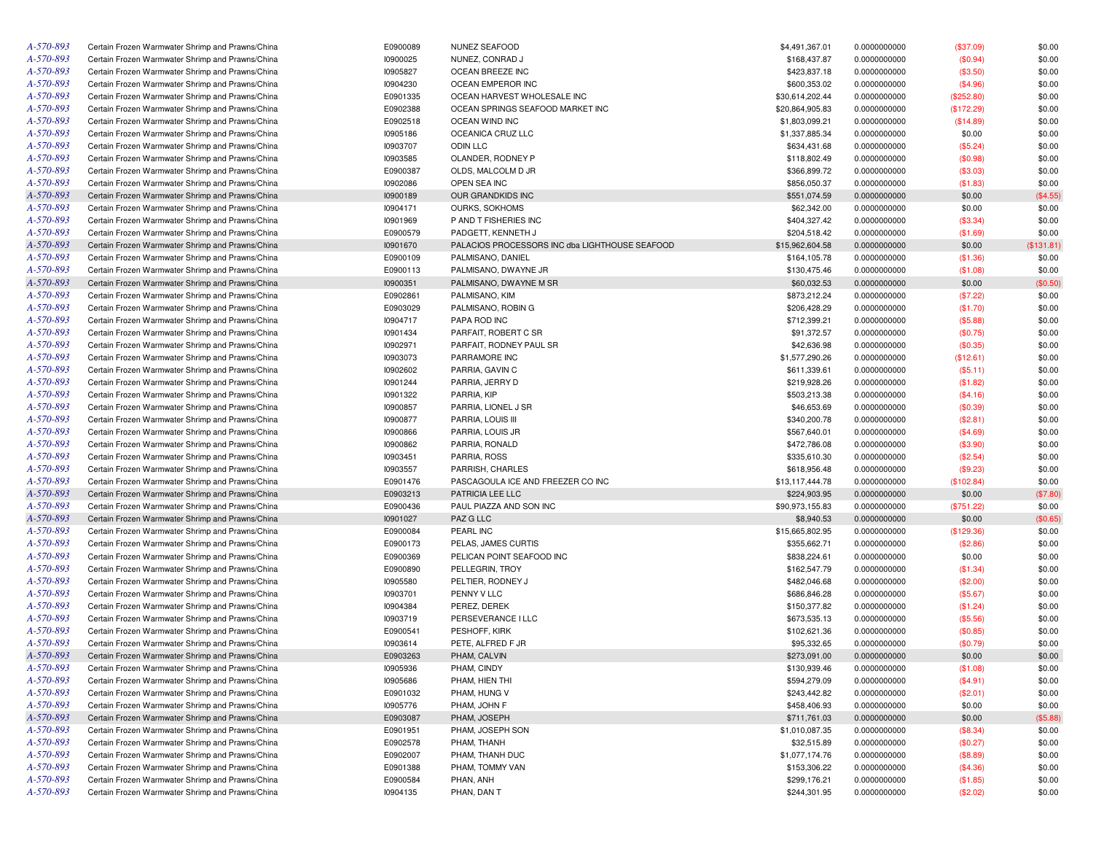| A-570-893              | Certain Frozen Warmwater Shrimp and Prawns/China | E0900089 | NUNEZ SEAFOOD                                  | \$4,491,367.01  | 0.0000000000 | (\$37.09)  | \$0.00     |
|------------------------|--------------------------------------------------|----------|------------------------------------------------|-----------------|--------------|------------|------------|
| A-570-893              | Certain Frozen Warmwater Shrimp and Prawns/China | 10900025 | NUNEZ, CONRAD J                                | \$168,437.87    | 0.0000000000 | (\$0.94)   | \$0.00     |
| A-570-893              | Certain Frozen Warmwater Shrimp and Prawns/China | 10905827 | OCEAN BREEZE INC                               | \$423,837.18    | 0.0000000000 | (\$3.50)   | \$0.00     |
| A-570-893              | Certain Frozen Warmwater Shrimp and Prawns/China | 10904230 | OCEAN EMPEROR INC                              | \$600,353.02    | 0.0000000000 | (\$4.96)   | \$0.00     |
| A-570-893              | Certain Frozen Warmwater Shrimp and Prawns/China | E0901335 | OCEAN HARVEST WHOLESALE INC                    | \$30,614,202.44 | 0.0000000000 | (\$252.80) | \$0.00     |
| A-570-893              | Certain Frozen Warmwater Shrimp and Prawns/China | E0902388 | OCEAN SPRINGS SEAFOOD MARKET INC               | \$20,864,905.83 | 0.0000000000 | (\$172.29) | \$0.00     |
| A-570-893              | Certain Frozen Warmwater Shrimp and Prawns/China | E0902518 | OCEAN WIND INC                                 | \$1,803,099.21  | 0.0000000000 | (\$14.89)  | \$0.00     |
| A-570-893              | Certain Frozen Warmwater Shrimp and Prawns/China | 10905186 | OCEANICA CRUZ LLC                              | \$1,337,885.34  | 0.0000000000 | \$0.00     | \$0.00     |
| A-570-893              | Certain Frozen Warmwater Shrimp and Prawns/China | 10903707 | <b>ODIN LLC</b>                                | \$634,431.68    | 0.0000000000 | (\$5.24)   | \$0.00     |
| A-570-893              | Certain Frozen Warmwater Shrimp and Prawns/China | 10903585 | OLANDER, RODNEY P                              | \$118,802.49    | 0.0000000000 | (\$0.98)   | \$0.00     |
| A-570-893              | Certain Frozen Warmwater Shrimp and Prawns/China | E0900387 | OLDS, MALCOLM D JR                             | \$366,899.72    | 0.0000000000 | (\$3.03)   | \$0.00     |
| A-570-893              | Certain Frozen Warmwater Shrimp and Prawns/China | 10902086 | OPEN SEA INC                                   | \$856,050.37    | 0.0000000000 | (\$1.83)   | \$0.00     |
| A-570-893              | Certain Frozen Warmwater Shrimp and Prawns/China | 10900189 | OUR GRANDKIDS INC                              | \$551,074.59    | 0.0000000000 | \$0.00     | (\$4.55)   |
| A-570-893              | Certain Frozen Warmwater Shrimp and Prawns/China | 10904171 | <b>OURKS, SOKHOMS</b>                          | \$62,342.00     | 0.0000000000 | \$0.00     | \$0.00     |
| A-570-893              | Certain Frozen Warmwater Shrimp and Prawns/China | 10901969 | P AND T FISHERIES INC                          | \$404,327.42    | 0.0000000000 | (\$3.34)   | \$0.00     |
| A-570-893              | Certain Frozen Warmwater Shrimp and Prawns/China | E0900579 | PADGETT, KENNETH J                             | \$204,518.42    |              |            |            |
| A-570-893              |                                                  |          |                                                |                 | 0.0000000000 | (\$1.69)   | \$0.00     |
|                        | Certain Frozen Warmwater Shrimp and Prawns/China | 10901670 | PALACIOS PROCESSORS INC dba LIGHTHOUSE SEAFOOD | \$15,962,604.58 | 0.0000000000 | \$0.00     | (\$131.81) |
| A-570-893              | Certain Frozen Warmwater Shrimp and Prawns/China | E0900109 | PALMISANO, DANIEL                              | \$164,105.78    | 0.0000000000 | (\$1.36)   | \$0.00     |
| A-570-893              | Certain Frozen Warmwater Shrimp and Prawns/China | E0900113 | PALMISANO, DWAYNE JR                           | \$130,475.46    | 0.0000000000 | (\$1.08)   | \$0.00     |
| A-570-893              | Certain Frozen Warmwater Shrimp and Prawns/China | 10900351 | PALMISANO, DWAYNE M SR                         | \$60,032.53     | 0.0000000000 | \$0.00     | (\$0.50)   |
| A-570-893              | Certain Frozen Warmwater Shrimp and Prawns/China | E0902861 | PALMISANO, KIM                                 | \$873,212.24    | 0.0000000000 | (\$7.22)   | \$0.00     |
| A-570-893              | Certain Frozen Warmwater Shrimp and Prawns/China | E0903029 | PALMISANO, ROBIN G                             | \$206,428.29    | 0.0000000000 | (\$1.70)   | \$0.00     |
| A-570-893              | Certain Frozen Warmwater Shrimp and Prawns/China | 10904717 | PAPA ROD INC                                   | \$712,399.21    | 0.0000000000 | (\$5.88)   | \$0.00     |
| A-570-893              | Certain Frozen Warmwater Shrimp and Prawns/China | 10901434 | PARFAIT, ROBERT C SR                           | \$91,372.57     | 0.0000000000 | (\$0.75)   | \$0.00     |
| A-570-893              | Certain Frozen Warmwater Shrimp and Prawns/China | 10902971 | PARFAIT, RODNEY PAUL SR                        | \$42,636.98     | 0.0000000000 | (\$0.35)   | \$0.00     |
| A-570-893              | Certain Frozen Warmwater Shrimp and Prawns/China | 10903073 | PARRAMORE INC                                  | \$1,577,290.26  | 0.0000000000 | (\$12.61)  | \$0.00     |
| A-570-893              | Certain Frozen Warmwater Shrimp and Prawns/China | 10902602 | PARRIA, GAVIN C                                | \$611,339.61    | 0.0000000000 | (\$5.11)   | \$0.00     |
| A-570-893              | Certain Frozen Warmwater Shrimp and Prawns/China | 10901244 | PARRIA, JERRY D                                | \$219,928.26    | 0.0000000000 | (\$1.82)   | \$0.00     |
| A-570-893              | Certain Frozen Warmwater Shrimp and Prawns/China | 10901322 | PARRIA, KIP                                    | \$503,213.38    | 0.0000000000 | (\$4.16)   | \$0.00     |
| A-570-893              | Certain Frozen Warmwater Shrimp and Prawns/China | 10900857 | PARRIA, LIONEL J SR                            | \$46,653.69     | 0.0000000000 | (\$0.39)   | \$0.00     |
| A-570-893              | Certain Frozen Warmwater Shrimp and Prawns/China | 10900877 | PARRIA, LOUIS III                              | \$340,200.78    | 0.0000000000 | (\$2.81)   | \$0.00     |
| A-570-893              | Certain Frozen Warmwater Shrimp and Prawns/China | 10900866 | PARRIA, LOUIS JR                               | \$567,640.01    | 0.0000000000 | (\$4.69)   | \$0.00     |
| A-570-893              | Certain Frozen Warmwater Shrimp and Prawns/China | 10900862 | PARRIA, RONALD                                 | \$472,786.08    | 0.0000000000 | (\$3.90)   | \$0.00     |
| A-570-893              | Certain Frozen Warmwater Shrimp and Prawns/China | 10903451 | PARRIA, ROSS                                   | \$335,610.30    | 0.0000000000 | (\$2.54)   | \$0.00     |
| A-570-893              | Certain Frozen Warmwater Shrimp and Prawns/China | 10903557 | PARRISH, CHARLES                               | \$618,956.48    | 0.0000000000 | (\$9.23)   | \$0.00     |
| A-570-893              | Certain Frozen Warmwater Shrimp and Prawns/China | E0901476 | PASCAGOULA ICE AND FREEZER CO INC              | \$13,117,444.78 | 0.0000000000 | (\$102.84) | \$0.00     |
| A-570-893              | Certain Frozen Warmwater Shrimp and Prawns/China | E0903213 | PATRICIA LEE LLC                               | \$224,903.95    | 0.0000000000 | \$0.00     | (\$7.80)   |
| A-570-893              | Certain Frozen Warmwater Shrimp and Prawns/China | E0900436 | PAUL PIAZZA AND SON INC                        | \$90,973,155.83 | 0.0000000000 | (\$751.22) | \$0.00     |
| A-570-893              | Certain Frozen Warmwater Shrimp and Prawns/China | 10901027 | PAZ G LLC                                      | \$8,940.53      | 0.0000000000 | \$0.00     | (\$0.65)   |
| A-570-893              | Certain Frozen Warmwater Shrimp and Prawns/China | E0900084 | PEARL INC                                      | \$15,665,802.95 | 0.0000000000 | (\$129.36) | \$0.00     |
| A-570-893              | Certain Frozen Warmwater Shrimp and Prawns/China | E0900173 | PELAS, JAMES CURTIS                            | \$355,662.71    | 0.0000000000 | (\$2.86)   | \$0.00     |
| A-570-893              | Certain Frozen Warmwater Shrimp and Prawns/China | E0900369 | PELICAN POINT SEAFOOD INC                      | \$838,224.61    | 0.0000000000 | \$0.00     | \$0.00     |
| A-570-893              | Certain Frozen Warmwater Shrimp and Prawns/China | E0900890 | PELLEGRIN, TROY                                | \$162,547.79    | 0.0000000000 |            | \$0.00     |
|                        |                                                  |          |                                                |                 |              | (\$1.34)   |            |
| A-570-893<br>A-570-893 | Certain Frozen Warmwater Shrimp and Prawns/China | 10905580 | PELTIER, RODNEY J<br>PENNY V LLC               | \$482,046.68    | 0.0000000000 | (\$2.00)   | \$0.00     |
|                        | Certain Frozen Warmwater Shrimp and Prawns/China | 10903701 |                                                | \$686,846.28    | 0.0000000000 | (\$5.67)   | \$0.00     |
| A-570-893              | Certain Frozen Warmwater Shrimp and Prawns/China | 10904384 | PEREZ, DEREK                                   | \$150,377.82    | 0.0000000000 | (\$1.24)   | \$0.00     |
| A-570-893              | Certain Frozen Warmwater Shrimp and Prawns/China | 10903719 | PERSEVERANCE I LLC                             | \$673,535.13    | 0.0000000000 | (\$5.56)   | \$0.00     |
| A-570-893              | Certain Frozen Warmwater Shrimp and Prawns/China | E0900541 | PESHOFF, KIRK                                  | \$102,621.36    | 0.0000000000 | (\$0.85)   | \$0.00     |
| A-570-893              | Certain Frozen Warmwater Shrimp and Prawns/China | 10903614 | PETE, ALFRED F JR                              | \$95,332.65     | 0.0000000000 | (\$0.79)   | \$0.00     |
| A-570-893              | Certain Frozen Warmwater Shrimp and Prawns/China | E0903263 | PHAM, CALVIN                                   | \$273,091.00    | 0.0000000000 | \$0.00     | \$0.00     |
| A-570-893              | Certain Frozen Warmwater Shrimp and Prawns/China | 10905936 | PHAM, CINDY                                    | \$130,939.46    | 0.0000000000 | (\$1.08)   | \$0.00     |
| A-570-893              | Certain Frozen Warmwater Shrimp and Prawns/China | 10905686 | PHAM, HIEN THI                                 | \$594,279.09    | 0.0000000000 | (\$4.91)   | \$0.00     |
| A-570-893              | Certain Frozen Warmwater Shrimp and Prawns/China | E0901032 | PHAM, HUNG V                                   | \$243,442.82    | 0.0000000000 | (\$2.01)   | \$0.00     |
| A-570-893              | Certain Frozen Warmwater Shrimp and Prawns/China | 10905776 | PHAM, JOHN F                                   | \$458,406.93    | 0.0000000000 | \$0.00     | \$0.00     |
| A-570-893              | Certain Frozen Warmwater Shrimp and Prawns/China | E0903087 | PHAM, JOSEPH                                   | \$711,761.03    | 0.0000000000 | \$0.00     | (\$5.88)   |
| A-570-893              | Certain Frozen Warmwater Shrimp and Prawns/China | E0901951 | PHAM, JOSEPH SON                               | \$1,010,087.35  | 0.0000000000 | (\$8.34)   | \$0.00     |
| A-570-893              | Certain Frozen Warmwater Shrimp and Prawns/China | E0902578 | PHAM, THANH                                    | \$32,515.89     | 0.0000000000 | (\$0.27)   | \$0.00     |
| A-570-893              | Certain Frozen Warmwater Shrimp and Prawns/China | E0902007 | PHAM, THANH DUC                                | \$1,077,174.76  | 0.0000000000 | (\$8.89)   | \$0.00     |
| A-570-893              | Certain Frozen Warmwater Shrimp and Prawns/China | E0901388 | PHAM, TOMMY VAN                                | \$153,306.22    | 0.0000000000 | (\$4.36)   | \$0.00     |
| A-570-893              | Certain Frozen Warmwater Shrimp and Prawns/China | E0900584 | PHAN, ANH                                      | \$299,176.21    | 0.0000000000 | (\$1.85)   | \$0.00     |
| A-570-893              | Certain Frozen Warmwater Shrimp and Prawns/China | 10904135 | PHAN, DAN T                                    | \$244,301.95    | 0.0000000000 | (\$2.02)   | \$0.00     |
|                        |                                                  |          |                                                |                 |              |            |            |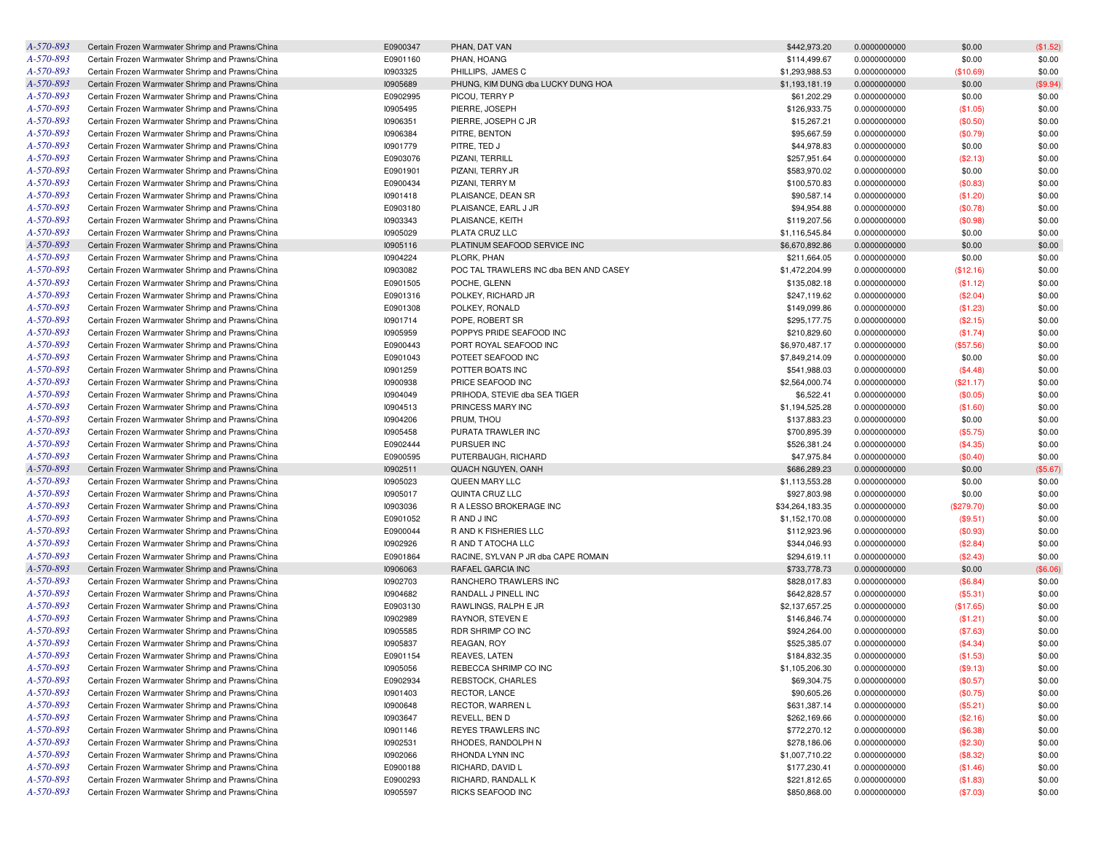| A-570-893 | Certain Frozen Warmwater Shrimp and Prawns/China                                                     | E0900347 | PHAN, DAT VAN                          | \$442,973.20    | 0.0000000000                 | \$0.00     | (\$1.52) |
|-----------|------------------------------------------------------------------------------------------------------|----------|----------------------------------------|-----------------|------------------------------|------------|----------|
| A-570-893 | Certain Frozen Warmwater Shrimp and Prawns/China                                                     | E0901160 | PHAN, HOANG                            | \$114,499.67    | 0.0000000000                 | \$0.00     | \$0.00   |
| A-570-893 | Certain Frozen Warmwater Shrimp and Prawns/China                                                     | 10903325 | PHILLIPS, JAMES C                      | \$1,293,988.53  | 0.0000000000                 | (\$10.69)  | \$0.00   |
| A-570-893 | Certain Frozen Warmwater Shrimp and Prawns/China                                                     | 10905689 | PHUNG, KIM DUNG dba LUCKY DUNG HOA     | \$1,193,181.19  | 0.0000000000                 | \$0.00     | (\$9.94) |
| A-570-893 | Certain Frozen Warmwater Shrimp and Prawns/China                                                     | E0902995 | PICOU, TERRY P                         | \$61,202.29     | 0.0000000000                 | \$0.00     | \$0.00   |
| A-570-893 | Certain Frozen Warmwater Shrimp and Prawns/China                                                     | 10905495 | PIERRE, JOSEPH                         | \$126,933.75    | 0.0000000000                 | (\$1.05)   | \$0.00   |
| A-570-893 | Certain Frozen Warmwater Shrimp and Prawns/China                                                     | 10906351 | PIERRE, JOSEPH C JR                    | \$15,267.21     | 0.0000000000                 | (\$0.50)   | \$0.00   |
| A-570-893 | Certain Frozen Warmwater Shrimp and Prawns/China                                                     | 10906384 | PITRE, BENTON                          | \$95,667.59     | 0.0000000000                 | (\$0.79)   | \$0.00   |
| A-570-893 | Certain Frozen Warmwater Shrimp and Prawns/China                                                     | 10901779 | PITRE, TED J                           | \$44,978.83     | 0.0000000000                 | \$0.00     | \$0.00   |
| A-570-893 | Certain Frozen Warmwater Shrimp and Prawns/China                                                     | E0903076 | PIZANI, TERRILL                        | \$257,951.64    | 0.0000000000                 | (\$2.13)   | \$0.00   |
| A-570-893 | Certain Frozen Warmwater Shrimp and Prawns/China                                                     | E0901901 | PIZANI, TERRY JR                       | \$583,970.02    | 0.0000000000                 | \$0.00     | \$0.00   |
| A-570-893 | Certain Frozen Warmwater Shrimp and Prawns/China                                                     | E0900434 | PIZANI, TERRY M                        | \$100,570.83    | 0.0000000000                 | (\$0.83)   | \$0.00   |
| A-570-893 |                                                                                                      | 10901418 |                                        | \$90,587.14     |                              |            | \$0.00   |
|           | Certain Frozen Warmwater Shrimp and Prawns/China                                                     |          | PLAISANCE, DEAN SR                     |                 | 0.0000000000<br>0.0000000000 | (\$1.20)   |          |
| A-570-893 | Certain Frozen Warmwater Shrimp and Prawns/China                                                     | E0903180 | PLAISANCE, EARL J JR                   | \$94,954.88     |                              | (\$0.78)   | \$0.00   |
| A-570-893 | Certain Frozen Warmwater Shrimp and Prawns/China                                                     | 10903343 | PLAISANCE, KEITH                       | \$119,207.56    | 0.0000000000                 | (\$0.98)   | \$0.00   |
| A-570-893 | Certain Frozen Warmwater Shrimp and Prawns/China                                                     | 10905029 | PLATA CRUZ LLC                         | \$1,116,545.84  | 0.0000000000                 | \$0.00     | \$0.00   |
| A-570-893 | Certain Frozen Warmwater Shrimp and Prawns/China                                                     | 10905116 | PLATINUM SEAFOOD SERVICE INC           | \$6,670,892.86  | 0.0000000000                 | \$0.00     | \$0.00   |
| A-570-893 | Certain Frozen Warmwater Shrimp and Prawns/China                                                     | 10904224 | PLORK, PHAN                            | \$211,664.05    | 0.0000000000                 | \$0.00     | \$0.00   |
| A-570-893 | Certain Frozen Warmwater Shrimp and Prawns/China                                                     | 10903082 | POC TAL TRAWLERS INC dba BEN AND CASEY | \$1,472,204.99  | 0.0000000000                 | (\$12.16)  | \$0.00   |
| A-570-893 | Certain Frozen Warmwater Shrimp and Prawns/China                                                     | E0901505 | POCHE, GLENN                           | \$135,082.18    | 0.0000000000                 | (\$1.12)   | \$0.00   |
| A-570-893 | Certain Frozen Warmwater Shrimp and Prawns/China                                                     | E0901316 | POLKEY, RICHARD JR                     | \$247,119.62    | 0.0000000000                 | (\$2.04)   | \$0.00   |
| A-570-893 | Certain Frozen Warmwater Shrimp and Prawns/China                                                     | E0901308 | POLKEY, RONALD                         | \$149,099.86    | 0.0000000000                 | (\$1.23)   | \$0.00   |
| A-570-893 | Certain Frozen Warmwater Shrimp and Prawns/China                                                     | 10901714 | POPE, ROBERT SR                        | \$295,177.75    | 0.0000000000                 | (\$2.15)   | \$0.00   |
| A-570-893 | Certain Frozen Warmwater Shrimp and Prawns/China                                                     | 10905959 | POPPYS PRIDE SEAFOOD INC               | \$210,829.60    | 0.0000000000                 | (\$1.74)   | \$0.00   |
| A-570-893 | Certain Frozen Warmwater Shrimp and Prawns/China                                                     | E0900443 | PORT ROYAL SEAFOOD INC                 | \$6,970,487.17  | 0.0000000000                 | (\$57.56)  | \$0.00   |
| A-570-893 | Certain Frozen Warmwater Shrimp and Prawns/China                                                     | E0901043 | POTEET SEAFOOD INC                     | \$7,849,214.09  | 0.0000000000                 | \$0.00     | \$0.00   |
| A-570-893 | Certain Frozen Warmwater Shrimp and Prawns/China                                                     | 10901259 | POTTER BOATS INC                       | \$541,988.03    | 0.0000000000                 | (\$4.48)   | \$0.00   |
| A-570-893 | Certain Frozen Warmwater Shrimp and Prawns/China                                                     | 10900938 | PRICE SEAFOOD INC                      | \$2,564,000.74  | 0.0000000000                 | (\$21.17)  | \$0.00   |
| A-570-893 | Certain Frozen Warmwater Shrimp and Prawns/China                                                     | 10904049 | PRIHODA, STEVIE dba SEA TIGER          | \$6,522.41      | 0.0000000000                 | (\$0.05)   | \$0.00   |
| A-570-893 | Certain Frozen Warmwater Shrimp and Prawns/China                                                     | 10904513 | PRINCESS MARY INC                      | \$1,194,525.28  | 0.0000000000                 | (\$1.60)   | \$0.00   |
| A-570-893 | Certain Frozen Warmwater Shrimp and Prawns/China                                                     | 10904206 | PRUM, THOU                             | \$137,883.23    | 0.0000000000                 | \$0.00     | \$0.00   |
| A-570-893 | Certain Frozen Warmwater Shrimp and Prawns/China                                                     | 10905458 | PURATA TRAWLER INC                     | \$700,895.39    | 0.0000000000                 | (\$5.75)   | \$0.00   |
| A-570-893 | Certain Frozen Warmwater Shrimp and Prawns/China                                                     | E0902444 | PURSUER INC                            | \$526,381.24    | 0.0000000000                 | (\$4.35)   | \$0.00   |
| A-570-893 | Certain Frozen Warmwater Shrimp and Prawns/China                                                     | E0900595 | PUTERBAUGH, RICHARD                    | \$47,975.84     | 0.0000000000                 | (\$0.40)   | \$0.00   |
| A-570-893 | Certain Frozen Warmwater Shrimp and Prawns/China                                                     | 10902511 | QUACH NGUYEN, OANH                     | \$686,289.23    | 0.0000000000                 | \$0.00     | (\$5.67) |
| A-570-893 | Certain Frozen Warmwater Shrimp and Prawns/China                                                     | 10905023 | QUEEN MARY LLC                         | \$1,113,553.28  | 0.0000000000                 | \$0.00     | \$0.00   |
| A-570-893 | Certain Frozen Warmwater Shrimp and Prawns/China                                                     | 10905017 | QUINTA CRUZ LLC                        | \$927,803.98    | 0.0000000000                 | \$0.00     | \$0.00   |
| A-570-893 | Certain Frozen Warmwater Shrimp and Prawns/China                                                     | 10903036 | R A LESSO BROKERAGE INC                | \$34,264,183.35 | 0.0000000000                 | (\$279.70) | \$0.00   |
| A-570-893 | Certain Frozen Warmwater Shrimp and Prawns/China                                                     | E0901052 | R AND J INC                            | \$1,152,170.08  | 0.0000000000                 | (\$9.51)   | \$0.00   |
| A-570-893 | Certain Frozen Warmwater Shrimp and Prawns/China                                                     | E0900044 | R AND K FISHERIES LLC                  | \$112,923.96    | 0.0000000000                 | (\$0.93)   | \$0.00   |
| A-570-893 | Certain Frozen Warmwater Shrimp and Prawns/China                                                     | 10902926 | R AND T ATOCHA LLC                     | \$344,046.93    | 0.0000000000                 | (\$2.84)   | \$0.00   |
| A-570-893 | Certain Frozen Warmwater Shrimp and Prawns/China                                                     | E0901864 | RACINE, SYLVAN P JR dba CAPE ROMAIN    | \$294,619.11    | 0.0000000000                 | (\$2.43)   | \$0.00   |
| A-570-893 | Certain Frozen Warmwater Shrimp and Prawns/China                                                     | 10906063 | RAFAEL GARCIA INC                      | \$733,778.73    | 0.0000000000                 | \$0.00     | (\$6.06) |
| A-570-893 | Certain Frozen Warmwater Shrimp and Prawns/China                                                     | 10902703 | RANCHERO TRAWLERS INC                  | \$828,017.83    | 0.0000000000                 | (\$6.84)   | \$0.00   |
| A-570-893 | Certain Frozen Warmwater Shrimp and Prawns/China                                                     | 10904682 | RANDALL J PINELL INC                   | \$642,828.57    | 0.0000000000                 | (\$5.31)   | \$0.00   |
| A-570-893 | Certain Frozen Warmwater Shrimp and Prawns/China                                                     | E0903130 | RAWLINGS, RALPH E JR                   | \$2,137,657.25  | 0.0000000000                 | (\$17.65)  | \$0.00   |
| A-570-893 | Certain Frozen Warmwater Shrimp and Prawns/China                                                     | 10902989 | RAYNOR, STEVEN E                       | \$146,846.74    | 0.0000000000                 | (\$1.21)   | \$0.00   |
| A-570-893 | Certain Frozen Warmwater Shrimp and Prawns/China                                                     | 10905585 | RDR SHRIMP CO INC                      | \$924,264.00    | 0.0000000000                 | (\$7.63)   | \$0.00   |
| A-570-893 | Certain Frozen Warmwater Shrimp and Prawns/China                                                     | 10905837 | REAGAN, ROY                            | \$525,385.07    | 0.0000000000                 | (\$4.34)   | \$0.00   |
| A-570-893 | Certain Frozen Warmwater Shrimp and Prawns/China                                                     | E0901154 | REAVES, LATEN                          | \$184,832.35    | 0.0000000000                 | (\$1.53)   | \$0.00   |
| A-570-893 | Certain Frozen Warmwater Shrimp and Prawns/China                                                     | 10905056 | REBECCA SHRIMP CO INC                  | \$1,105,206.30  | 0.0000000000                 | (\$9.13)   | \$0.00   |
| A-570-893 | Certain Frozen Warmwater Shrimp and Prawns/China                                                     | E0902934 | REBSTOCK, CHARLES                      | \$69,304.75     | 0.0000000000                 | (\$0.57)   | \$0.00   |
|           |                                                                                                      |          |                                        |                 |                              |            |          |
| A-570-893 | Certain Frozen Warmwater Shrimp and Prawns/China<br>Certain Frozen Warmwater Shrimp and Prawns/China | 10901403 | RECTOR, LANCE                          | \$90,605.26     | 0.0000000000                 | (\$0.75)   | \$0.00   |
| A-570-893 |                                                                                                      | 10900648 | RECTOR, WARREN L                       | \$631,387.14    | 0.0000000000                 | (\$5.21)   | \$0.00   |
| A-570-893 | Certain Frozen Warmwater Shrimp and Prawns/China                                                     | 10903647 | REVELL, BEN D                          | \$262,169.66    | 0.0000000000                 | (\$2.16)   | \$0.00   |
| A-570-893 | Certain Frozen Warmwater Shrimp and Prawns/China                                                     | 10901146 | REYES TRAWLERS INC                     | \$772,270.12    | 0.0000000000                 | (\$6.38)   | \$0.00   |
| A-570-893 | Certain Frozen Warmwater Shrimp and Prawns/China                                                     | 10902531 | RHODES, RANDOLPH N                     | \$278,186.06    | 0.0000000000                 | (\$2.30)   | \$0.00   |
| A-570-893 | Certain Frozen Warmwater Shrimp and Prawns/China                                                     | 10902066 | RHONDA LYNN INC                        | \$1,007,710.22  | 0.0000000000                 | (\$8.32)   | \$0.00   |
| A-570-893 | Certain Frozen Warmwater Shrimp and Prawns/China                                                     | E0900188 | RICHARD, DAVID L                       | \$177,230.41    | 0.0000000000                 | (\$1.46)   | \$0.00   |
| A-570-893 | Certain Frozen Warmwater Shrimp and Prawns/China                                                     | E0900293 | RICHARD, RANDALL K                     | \$221,812.65    | 0.0000000000                 | (\$1.83)   | \$0.00   |
| A-570-893 | Certain Frozen Warmwater Shrimp and Prawns/China                                                     | 10905597 | RICKS SEAFOOD INC                      | \$850,868.00    | 0.0000000000                 | (\$7.03)   | \$0.00   |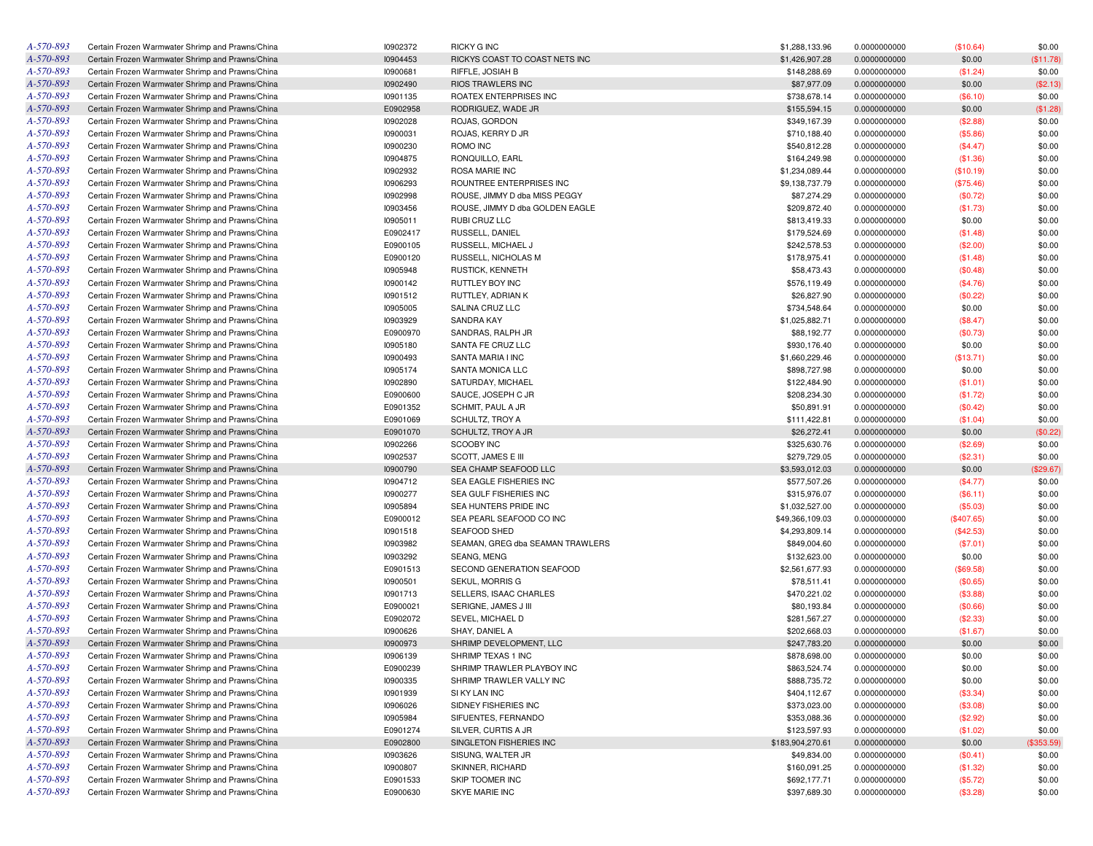| A-570-893 | Certain Frozen Warmwater Shrimp and Prawns/China | 10902372 | <b>RICKY G INC</b>               | \$1,288,133.96   | 0.0000000000 | (\$10.64)  | \$0.00     |
|-----------|--------------------------------------------------|----------|----------------------------------|------------------|--------------|------------|------------|
| A-570-893 | Certain Frozen Warmwater Shrimp and Prawns/China | 10904453 | RICKYS COAST TO COAST NETS INC   | \$1,426,907.28   | 0.0000000000 | \$0.00     | (\$11.78)  |
| A-570-893 | Certain Frozen Warmwater Shrimp and Prawns/China | 10900681 | RIFFLE, JOSIAH B                 | \$148,288.69     | 0.0000000000 | (\$1.24)   | \$0.00     |
| A-570-893 | Certain Frozen Warmwater Shrimp and Prawns/China | 10902490 | <b>RIOS TRAWLERS INC</b>         | \$87,977.09      | 0.0000000000 | \$0.00     | (\$2.13)   |
| A-570-893 | Certain Frozen Warmwater Shrimp and Prawns/China | 10901135 | ROATEX ENTERPRISES INC           | \$738,678.14     | 0.0000000000 | (\$6.10)   | \$0.00     |
| A-570-893 | Certain Frozen Warmwater Shrimp and Prawns/China | E0902958 | RODRIGUEZ, WADE JR               | \$155,594.15     | 0.0000000000 | \$0.00     | (\$1.28)   |
| A-570-893 | Certain Frozen Warmwater Shrimp and Prawns/China | 10902028 | ROJAS, GORDON                    | \$349,167.39     | 0.0000000000 | (\$2.88)   | \$0.00     |
| A-570-893 | Certain Frozen Warmwater Shrimp and Prawns/China | 10900031 | ROJAS, KERRY D JR                | \$710,188.40     | 0.0000000000 | (\$5.86)   | \$0.00     |
| A-570-893 | Certain Frozen Warmwater Shrimp and Prawns/China | 10900230 | ROMO INC                         | \$540,812.28     | 0.0000000000 | (\$4.47)   | \$0.00     |
| A-570-893 | Certain Frozen Warmwater Shrimp and Prawns/China | 10904875 | RONQUILLO, EARL                  | \$164,249.98     | 0.0000000000 | (\$1.36)   | \$0.00     |
| A-570-893 | Certain Frozen Warmwater Shrimp and Prawns/China | 10902932 | <b>ROSA MARIE INC</b>            | \$1,234,089.44   | 0.0000000000 | (\$10.19)  | \$0.00     |
| A-570-893 | Certain Frozen Warmwater Shrimp and Prawns/China | 10906293 | ROUNTREE ENTERPRISES INC         | \$9,138,737.79   | 0.0000000000 | (\$75.46)  | \$0.00     |
| A-570-893 | Certain Frozen Warmwater Shrimp and Prawns/China | 10902998 | ROUSE, JIMMY D dba MISS PEGGY    | \$87,274.29      | 0.0000000000 | (\$0.72)   | \$0.00     |
| A-570-893 | Certain Frozen Warmwater Shrimp and Prawns/China | 10903456 | ROUSE. JIMMY D dba GOLDEN EAGLE  | \$209,872.40     | 0.0000000000 | (\$1.73)   | \$0.00     |
| A-570-893 | Certain Frozen Warmwater Shrimp and Prawns/China | 10905011 | RUBI CRUZ LLC                    | \$813,419.33     |              | \$0.00     | \$0.00     |
| A-570-893 |                                                  |          |                                  |                  | 0.0000000000 |            |            |
|           | Certain Frozen Warmwater Shrimp and Prawns/China | E0902417 | RUSSELL, DANIEL                  | \$179,524.69     | 0.0000000000 | (\$1.48)   | \$0.00     |
| A-570-893 | Certain Frozen Warmwater Shrimp and Prawns/China | E0900105 | RUSSELL, MICHAEL J               | \$242,578.53     | 0.0000000000 | (\$2.00)   | \$0.00     |
| A-570-893 | Certain Frozen Warmwater Shrimp and Prawns/China | E0900120 | RUSSELL, NICHOLAS M              | \$178,975.41     | 0.0000000000 | (\$1.48)   | \$0.00     |
| A-570-893 | Certain Frozen Warmwater Shrimp and Prawns/China | 10905948 | <b>RUSTICK, KENNETH</b>          | \$58,473.43      | 0.0000000000 | (\$0.48)   | \$0.00     |
| A-570-893 | Certain Frozen Warmwater Shrimp and Prawns/China | 10900142 | RUTTLEY BOY INC                  | \$576,119.49     | 0.0000000000 | (\$4.76)   | \$0.00     |
| A-570-893 | Certain Frozen Warmwater Shrimp and Prawns/China | 10901512 | RUTTLEY, ADRIAN K                | \$26,827.90      | 0.0000000000 | (\$0.22)   | \$0.00     |
| A-570-893 | Certain Frozen Warmwater Shrimp and Prawns/China | 10905005 | SALINA CRUZ LLC                  | \$734,548.64     | 0.0000000000 | \$0.00     | \$0.00     |
| A-570-893 | Certain Frozen Warmwater Shrimp and Prawns/China | 10903929 | <b>SANDRA KAY</b>                | \$1,025,882.71   | 0.0000000000 | (\$8.47)   | \$0.00     |
| A-570-893 | Certain Frozen Warmwater Shrimp and Prawns/China | E0900970 | SANDRAS, RALPH JR                | \$88,192.77      | 0.0000000000 | (\$0.73)   | \$0.00     |
| A-570-893 | Certain Frozen Warmwater Shrimp and Prawns/China | 10905180 | SANTA FE CRUZ LLC                | \$930,176.40     | 0.0000000000 | \$0.00     | \$0.00     |
| A-570-893 | Certain Frozen Warmwater Shrimp and Prawns/China | 10900493 | SANTA MARIA I INC                | \$1,660,229.46   | 0.0000000000 | (\$13.71)  | \$0.00     |
| A-570-893 | Certain Frozen Warmwater Shrimp and Prawns/China | 10905174 | SANTA MONICA LLC                 | \$898,727.98     | 0.0000000000 | \$0.00     | \$0.00     |
| A-570-893 | Certain Frozen Warmwater Shrimp and Prawns/China | 10902890 | SATURDAY, MICHAEL                | \$122,484.90     | 0.0000000000 | (\$1.01)   | \$0.00     |
| A-570-893 | Certain Frozen Warmwater Shrimp and Prawns/China | E0900600 | SAUCE, JOSEPH C JR               | \$208,234.30     | 0.0000000000 | (\$1.72)   | \$0.00     |
| A-570-893 | Certain Frozen Warmwater Shrimp and Prawns/China | E0901352 | SCHMIT, PAUL A JR                | \$50,891.91      | 0.0000000000 | (\$0.42)   | \$0.00     |
| A-570-893 | Certain Frozen Warmwater Shrimp and Prawns/China | E0901069 | SCHULTZ, TROY A                  | \$111,422.81     | 0.0000000000 | (\$1.04)   | \$0.00     |
| A-570-893 | Certain Frozen Warmwater Shrimp and Prawns/China | E0901070 | SCHULTZ, TROY A JR               | \$26,272.41      | 0.0000000000 | \$0.00     | (\$0.22)   |
| A-570-893 | Certain Frozen Warmwater Shrimp and Prawns/China | 10902266 | SCOOBY INC                       | \$325,630.76     | 0.0000000000 | (\$2.69)   | \$0.00     |
| A-570-893 | Certain Frozen Warmwater Shrimp and Prawns/China | 10902537 | SCOTT, JAMES E III               | \$279,729.05     | 0.0000000000 | (\$2.31)   | \$0.00     |
| A-570-893 | Certain Frozen Warmwater Shrimp and Prawns/China | 10900790 | SEA CHAMP SEAFOOD LLC            | \$3,593,012.03   | 0.0000000000 | \$0.00     | (\$29.67)  |
| A-570-893 | Certain Frozen Warmwater Shrimp and Prawns/China | 10904712 | SEA EAGLE FISHERIES INC          | \$577,507.26     | 0.0000000000 | (\$4.77)   | \$0.00     |
| A-570-893 | Certain Frozen Warmwater Shrimp and Prawns/China | 10900277 | SEA GULF FISHERIES INC           | \$315,976.07     | 0.0000000000 | (\$6.11)   | \$0.00     |
| A-570-893 | Certain Frozen Warmwater Shrimp and Prawns/China | 10905894 | SEA HUNTERS PRIDE INC            | \$1,032,527.00   | 0.0000000000 | (\$5.03)   | \$0.00     |
| A-570-893 | Certain Frozen Warmwater Shrimp and Prawns/China | E0900012 | SEA PEARL SEAFOOD CO INC         | \$49,366,109.03  |              |            | \$0.00     |
| A-570-893 |                                                  |          |                                  |                  | 0.0000000000 | (\$407.65) |            |
|           | Certain Frozen Warmwater Shrimp and Prawns/China | 10901518 | SEAFOOD SHED                     | \$4,293,809.14   | 0.0000000000 | (\$42.53)  | \$0.00     |
| A-570-893 | Certain Frozen Warmwater Shrimp and Prawns/China | 10903982 | SEAMAN, GREG dba SEAMAN TRAWLERS | \$849,004.60     | 0.0000000000 | (\$7.01)   | \$0.00     |
| A-570-893 | Certain Frozen Warmwater Shrimp and Prawns/China | 10903292 | SEANG, MENG                      | \$132,623.00     | 0.0000000000 | \$0.00     | \$0.00     |
| A-570-893 | Certain Frozen Warmwater Shrimp and Prawns/China | E0901513 | SECOND GENERATION SEAFOOD        | \$2,561,677.93   | 0.0000000000 | (\$69.58)  | \$0.00     |
| A-570-893 | Certain Frozen Warmwater Shrimp and Prawns/China | 10900501 | SEKUL, MORRIS G                  | \$78,511.41      | 0.0000000000 | (\$0.65)   | \$0.00     |
| A-570-893 | Certain Frozen Warmwater Shrimp and Prawns/China | 10901713 | SELLERS. ISAAC CHARLES           | \$470,221.02     | 0.0000000000 | (\$3.88)   | \$0.00     |
| A-570-893 | Certain Frozen Warmwater Shrimp and Prawns/China | E0900021 | SERIGNE, JAMES J III             | \$80,193.84      | 0.0000000000 | (\$0.66)   | \$0.00     |
| A-570-893 | Certain Frozen Warmwater Shrimp and Prawns/China | E0902072 | SEVEL, MICHAEL D                 | \$281,567.27     | 0.0000000000 | (\$2.33)   | \$0.00     |
| A-570-893 | Certain Frozen Warmwater Shrimp and Prawns/China | 10900626 | SHAY, DANIEL A                   | \$202,668.03     | 0.0000000000 | (\$1.67)   | \$0.00     |
| A-570-893 | Certain Frozen Warmwater Shrimp and Prawns/China | 10900973 | SHRIMP DEVELOPMENT, LLC          | \$247,783.20     | 0.0000000000 | \$0.00     | \$0.00     |
| A-570-893 | Certain Frozen Warmwater Shrimp and Prawns/China | 10906139 | SHRIMP TEXAS 1 INC               | \$878,698.00     | 0.0000000000 | \$0.00     | \$0.00     |
| A-570-893 | Certain Frozen Warmwater Shrimp and Prawns/China | E0900239 | SHRIMP TRAWLER PLAYBOY INC       | \$863,524.74     | 0.0000000000 | \$0.00     | \$0.00     |
| A-570-893 | Certain Frozen Warmwater Shrimp and Prawns/China | 10900335 | SHRIMP TRAWLER VALLY INC         | \$888,735.72     | 0.0000000000 | \$0.00     | \$0.00     |
| A-570-893 | Certain Frozen Warmwater Shrimp and Prawns/China | 10901939 | SI KY LAN INC                    | \$404,112.67     | 0.0000000000 | (\$3.34)   | \$0.00     |
| A-570-893 | Certain Frozen Warmwater Shrimp and Prawns/China | 10906026 | SIDNEY FISHERIES INC             | \$373,023.00     | 0.0000000000 | (\$3.08)   | \$0.00     |
| A-570-893 | Certain Frozen Warmwater Shrimp and Prawns/China | 10905984 | SIFUENTES, FERNANDO              | \$353,088.36     | 0.0000000000 | (\$2.92)   | \$0.00     |
| A-570-893 | Certain Frozen Warmwater Shrimp and Prawns/China | E0901274 | SILVER, CURTIS A JR              | \$123,597.93     | 0.0000000000 | (\$1.02)   | \$0.00     |
| A-570-893 | Certain Frozen Warmwater Shrimp and Prawns/China | E0902800 | SINGLETON FISHERIES INC          | \$183,904,270.61 | 0.0000000000 | \$0.00     | (\$353.59) |
| A-570-893 | Certain Frozen Warmwater Shrimp and Prawns/China | 10903626 | SISUNG, WALTER JR                | \$49,834.00      | 0.0000000000 | $(\$0.41)$ | \$0.00     |
| A-570-893 | Certain Frozen Warmwater Shrimp and Prawns/China | 10900807 | <b>SKINNER, RICHARD</b>          | \$160,091.25     | 0.0000000000 | (\$1.32)   | \$0.00     |
| A-570-893 | Certain Frozen Warmwater Shrimp and Prawns/China | E0901533 | SKIP TOOMER INC                  | \$692,177.71     | 0.0000000000 | (\$5.72)   | \$0.00     |
| A-570-893 | Certain Frozen Warmwater Shrimp and Prawns/China | E0900630 | SKYE MARIE INC                   | \$397,689.30     | 0.0000000000 | (\$3.28)   | \$0.00     |
|           |                                                  |          |                                  |                  |              |            |            |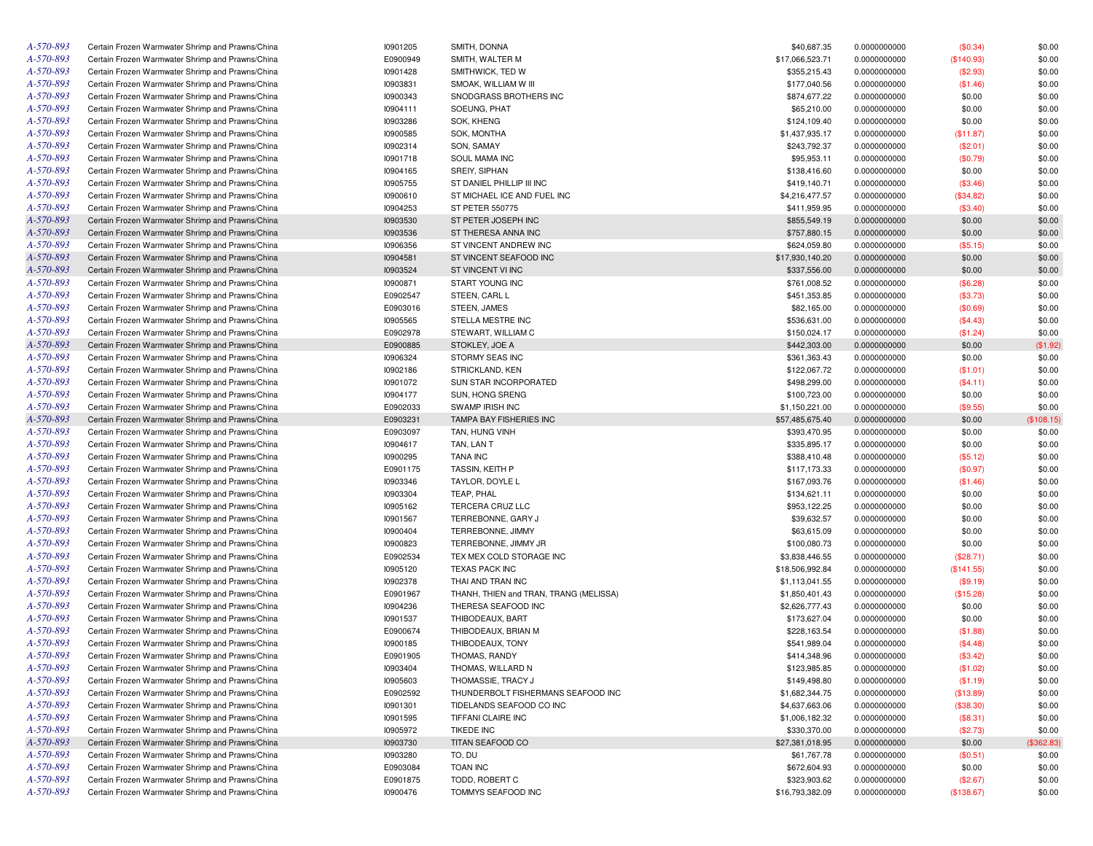| A-570-893 | Certain Frozen Warmwater Shrimp and Prawns/China | 10901205 | SMITH, DONNA                           | \$40,687.35     | 0.0000000000 | (\$0.34)   | \$0.00     |
|-----------|--------------------------------------------------|----------|----------------------------------------|-----------------|--------------|------------|------------|
| A-570-893 | Certain Frozen Warmwater Shrimp and Prawns/China | E0900949 | SMITH, WALTER M                        | \$17,066,523.71 | 0.0000000000 | (\$140.93) | \$0.00     |
| A-570-893 | Certain Frozen Warmwater Shrimp and Prawns/China | 10901428 | SMITHWICK, TED W                       | \$355,215.43    | 0.0000000000 | (\$2.93)   | \$0.00     |
| A-570-893 | Certain Frozen Warmwater Shrimp and Prawns/China | 10903831 | SMOAK, WILLIAM W III                   | \$177,040.56    | 0.0000000000 | (\$1.46)   | \$0.00     |
| A-570-893 | Certain Frozen Warmwater Shrimp and Prawns/China | 10900343 | SNODGRASS BROTHERS INC                 | \$874,677.22    | 0.0000000000 | \$0.00     | \$0.00     |
| A-570-893 | Certain Frozen Warmwater Shrimp and Prawns/China | 10904111 | SOEUNG, PHAT                           | \$65,210.00     | 0.0000000000 | \$0.00     | \$0.00     |
| A-570-893 | Certain Frozen Warmwater Shrimp and Prawns/China | 10903286 | SOK, KHENG                             | \$124,109.40    | 0.0000000000 | \$0.00     | \$0.00     |
| A-570-893 | Certain Frozen Warmwater Shrimp and Prawns/China | 10900585 | SOK, MONTHA                            | \$1,437,935.17  | 0.0000000000 | (\$11.87)  | \$0.00     |
| A-570-893 | Certain Frozen Warmwater Shrimp and Prawns/China | 10902314 | SON, SAMAY                             | \$243,792.37    | 0.0000000000 | (\$2.01)   | \$0.00     |
| A-570-893 | Certain Frozen Warmwater Shrimp and Prawns/China | 10901718 | SOUL MAMA INC                          | \$95,953.11     | 0.0000000000 | (\$0.79)   | \$0.00     |
| A-570-893 | Certain Frozen Warmwater Shrimp and Prawns/China | 10904165 | SREIY, SIPHAN                          | \$138,416.60    | 0.0000000000 | \$0.00     | \$0.00     |
| A-570-893 | Certain Frozen Warmwater Shrimp and Prawns/China | 10905755 | ST DANIEL PHILLIP III INC              | \$419,140.71    | 0.0000000000 | (\$3.46)   | \$0.00     |
| A-570-893 | Certain Frozen Warmwater Shrimp and Prawns/China | 10900610 | ST MICHAEL ICE AND FUEL INC            | \$4,216,477.57  | 0.0000000000 | (\$34.82)  | \$0.00     |
| A-570-893 | Certain Frozen Warmwater Shrimp and Prawns/China | 10904253 | <b>ST PETER 550775</b>                 | \$411,959.95    | 0.0000000000 | (\$3.40)   | \$0.00     |
| A-570-893 | Certain Frozen Warmwater Shrimp and Prawns/China | 10903530 | ST PETER JOSEPH INC                    | \$855,549.19    | 0.0000000000 | \$0.00     | \$0.00     |
| A-570-893 | Certain Frozen Warmwater Shrimp and Prawns/China | 10903536 |                                        |                 |              |            |            |
| A-570-893 |                                                  |          | ST THERESA ANNA INC                    | \$757,880.15    | 0.0000000000 | \$0.00     | \$0.00     |
|           | Certain Frozen Warmwater Shrimp and Prawns/China | 10906356 | ST VINCENT ANDREW INC                  | \$624,059.80    | 0.0000000000 | (\$5.15)   | \$0.00     |
| A-570-893 | Certain Frozen Warmwater Shrimp and Prawns/China | 10904581 | ST VINCENT SEAFOOD INC                 | \$17,930,140.20 | 0.0000000000 | \$0.00     | \$0.00     |
| A-570-893 | Certain Frozen Warmwater Shrimp and Prawns/China | 10903524 | ST VINCENT VI INC                      | \$337,556.00    | 0.0000000000 | \$0.00     | \$0.00     |
| A-570-893 | Certain Frozen Warmwater Shrimp and Prawns/China | 10900871 | START YOUNG INC                        | \$761,008.52    | 0.0000000000 | (\$6.28)   | \$0.00     |
| A-570-893 | Certain Frozen Warmwater Shrimp and Prawns/China | E0902547 | STEEN, CARL L                          | \$451,353.85    | 0.0000000000 | (\$3.73)   | \$0.00     |
| A-570-893 | Certain Frozen Warmwater Shrimp and Prawns/China | E0903016 | STEEN, JAMES                           | \$82,165.00     | 0.0000000000 | (\$0.69)   | \$0.00     |
| A-570-893 | Certain Frozen Warmwater Shrimp and Prawns/China | 10905565 | STELLA MESTRE INC                      | \$536,631.00    | 0.0000000000 | (\$4.43)   | \$0.00     |
| A-570-893 | Certain Frozen Warmwater Shrimp and Prawns/China | E0902978 | STEWART, WILLIAM C                     | \$150,024.17    | 0.0000000000 | (\$1.24)   | \$0.00     |
| A-570-893 | Certain Frozen Warmwater Shrimp and Prawns/China | E0900885 | STOKLEY, JOE A                         | \$442,303.00    | 0.0000000000 | \$0.00     | (\$1.92)   |
| A-570-893 | Certain Frozen Warmwater Shrimp and Prawns/China | 10906324 | <b>STORMY SEAS INC</b>                 | \$361,363.43    | 0.0000000000 | \$0.00     | \$0.00     |
| A-570-893 | Certain Frozen Warmwater Shrimp and Prawns/China | 10902186 | STRICKLAND, KEN                        | \$122,067.72    | 0.0000000000 | (\$1.01)   | \$0.00     |
| A-570-893 | Certain Frozen Warmwater Shrimp and Prawns/China | 10901072 | SUN STAR INCORPORATED                  | \$498,299.00    | 0.0000000000 | (\$4.11)   | \$0.00     |
| A-570-893 | Certain Frozen Warmwater Shrimp and Prawns/China | 10904177 | SUN, HONG SRENG                        | \$100,723.00    | 0.0000000000 | \$0.00     | \$0.00     |
| A-570-893 | Certain Frozen Warmwater Shrimp and Prawns/China | E0902033 | SWAMP IRISH INC                        | \$1,150,221.00  | 0.0000000000 | (\$9.55)   | \$0.00     |
| A-570-893 | Certain Frozen Warmwater Shrimp and Prawns/China | E0903231 | TAMPA BAY FISHERIES INC                | \$57,485,675.40 | 0.0000000000 | \$0.00     | (\$108.15) |
| A-570-893 | Certain Frozen Warmwater Shrimp and Prawns/China | E0903097 | TAN, HUNG VINH                         | \$393,470.95    | 0.0000000000 | \$0.00     | \$0.00     |
| A-570-893 | Certain Frozen Warmwater Shrimp and Prawns/China | 10904617 | TAN, LAN T                             | \$335,895.17    | 0.0000000000 | \$0.00     | \$0.00     |
| A-570-893 | Certain Frozen Warmwater Shrimp and Prawns/China | 10900295 | <b>TANA INC</b>                        | \$388,410.48    | 0.0000000000 | (\$5.12)   | \$0.00     |
| A-570-893 | Certain Frozen Warmwater Shrimp and Prawns/China | E0901175 | TASSIN, KEITH P                        | \$117,173.33    | 0.0000000000 | (\$0.97)   | \$0.00     |
| A-570-893 | Certain Frozen Warmwater Shrimp and Prawns/China | 10903346 | TAYLOR, DOYLE L                        | \$167,093.76    | 0.0000000000 | (\$1.46)   | \$0.00     |
| A-570-893 | Certain Frozen Warmwater Shrimp and Prawns/China | 10903304 | TEAP, PHAL                             | \$134,621.11    | 0.0000000000 | \$0.00     | \$0.00     |
| A-570-893 | Certain Frozen Warmwater Shrimp and Prawns/China | 10905162 | TERCERA CRUZ LLC                       | \$953,122.25    | 0.0000000000 | \$0.00     | \$0.00     |
| A-570-893 | Certain Frozen Warmwater Shrimp and Prawns/China | 10901567 | TERREBONNE, GARY J                     | \$39,632.57     | 0.0000000000 | \$0.00     | \$0.00     |
| A-570-893 | Certain Frozen Warmwater Shrimp and Prawns/China | 10900404 | TERREBONNE, JIMMY                      | \$63,615.09     | 0.0000000000 | \$0.00     | \$0.00     |
| A-570-893 | Certain Frozen Warmwater Shrimp and Prawns/China | 10900823 | TERREBONNE, JIMMY JR                   | \$100,080.73    | 0.0000000000 | \$0.00     | \$0.00     |
| A-570-893 |                                                  |          |                                        |                 |              |            |            |
|           | Certain Frozen Warmwater Shrimp and Prawns/China | E0902534 | TEX MEX COLD STORAGE INC               | \$3,838,446.55  | 0.0000000000 | (\$28.71)  | \$0.00     |
| A-570-893 | Certain Frozen Warmwater Shrimp and Prawns/China | 10905120 | <b>TEXAS PACK INC</b>                  | \$18,506,992.84 | 0.0000000000 | (\$141.55) | \$0.00     |
| A-570-893 | Certain Frozen Warmwater Shrimp and Prawns/China | 10902378 | THAI AND TRAN INC                      | \$1,113,041.55  | 0.0000000000 | (\$9.19)   | \$0.00     |
| A-570-893 | Certain Frozen Warmwater Shrimp and Prawns/China | E0901967 | THANH, THIEN and TRAN, TRANG (MELISSA) | \$1,850,401.43  | 0.0000000000 | (\$15.28)  | \$0.00     |
| A-570-893 | Certain Frozen Warmwater Shrimp and Prawns/China | 10904236 | THERESA SEAFOOD INC                    | \$2,626,777.43  | 0.0000000000 | \$0.00     | \$0.00     |
| A-570-893 | Certain Frozen Warmwater Shrimp and Prawns/China | 10901537 | THIBODEAUX, BART                       | \$173,627.04    | 0.0000000000 | \$0.00     | \$0.00     |
| A-570-893 | Certain Frozen Warmwater Shrimp and Prawns/China | E0900674 | THIBODEAUX, BRIAN M                    | \$228,163.54    | 0.0000000000 | (\$1.88)   | \$0.00     |
| A-570-893 | Certain Frozen Warmwater Shrimp and Prawns/China | 10900185 | THIBODEAUX, TONY                       | \$541,989.04    | 0.0000000000 | (\$4.48)   | \$0.00     |
| A-570-893 | Certain Frozen Warmwater Shrimp and Prawns/China | E0901905 | THOMAS, RANDY                          | \$414,348.96    | 0.0000000000 | (\$3.42)   | \$0.00     |
| A-570-893 | Certain Frozen Warmwater Shrimp and Prawns/China | 10903404 | THOMAS, WILLARD N                      | \$123,985.85    | 0.0000000000 | (\$1.02)   | \$0.00     |
| A-570-893 | Certain Frozen Warmwater Shrimp and Prawns/China | 10905603 | THOMASSIE, TRACY J                     | \$149,498.80    | 0.0000000000 | (\$1.19)   | \$0.00     |
| A-570-893 | Certain Frozen Warmwater Shrimp and Prawns/China | E0902592 | THUNDERBOLT FISHERMANS SEAFOOD INC     | \$1,682,344.75  | 0.0000000000 | (\$13.89)  | \$0.00     |
| A-570-893 | Certain Frozen Warmwater Shrimp and Prawns/China | 10901301 | TIDELANDS SEAFOOD CO INC               | \$4,637,663.06  | 0.0000000000 | (\$38.30)  | \$0.00     |
| A-570-893 | Certain Frozen Warmwater Shrimp and Prawns/China | 10901595 | TIFFANI CLAIRE INC                     | \$1,006,182.32  | 0.0000000000 | (\$8.31)   | \$0.00     |
| A-570-893 | Certain Frozen Warmwater Shrimp and Prawns/China | 10905972 | <b>TIKEDE INC</b>                      | \$330,370.00    | 0.0000000000 | (\$2.73)   | \$0.00     |
| A-570-893 | Certain Frozen Warmwater Shrimp and Prawns/China | 10903730 | TITAN SEAFOOD CO                       | \$27,381,018.95 | 0.0000000000 | \$0.00     | (\$362.83) |
| A-570-893 | Certain Frozen Warmwater Shrimp and Prawns/China | 10903280 | TO, DU                                 | \$61,767.78     | 0.0000000000 | (\$0.51)   | \$0.00     |
| A-570-893 | Certain Frozen Warmwater Shrimp and Prawns/China | E0903084 | <b>TOAN INC</b>                        | \$672,604.93    | 0.0000000000 | \$0.00     | \$0.00     |
| A-570-893 | Certain Frozen Warmwater Shrimp and Prawns/China | E0901875 | TODD, ROBERT C                         | \$323,903.62    | 0.0000000000 | (\$2.67)   | \$0.00     |
| A-570-893 | Certain Frozen Warmwater Shrimp and Prawns/China | 10900476 | TOMMYS SEAFOOD INC                     | \$16,793,382.09 | 0.0000000000 | (\$138.67) | \$0.00     |
|           |                                                  |          |                                        |                 |              |            |            |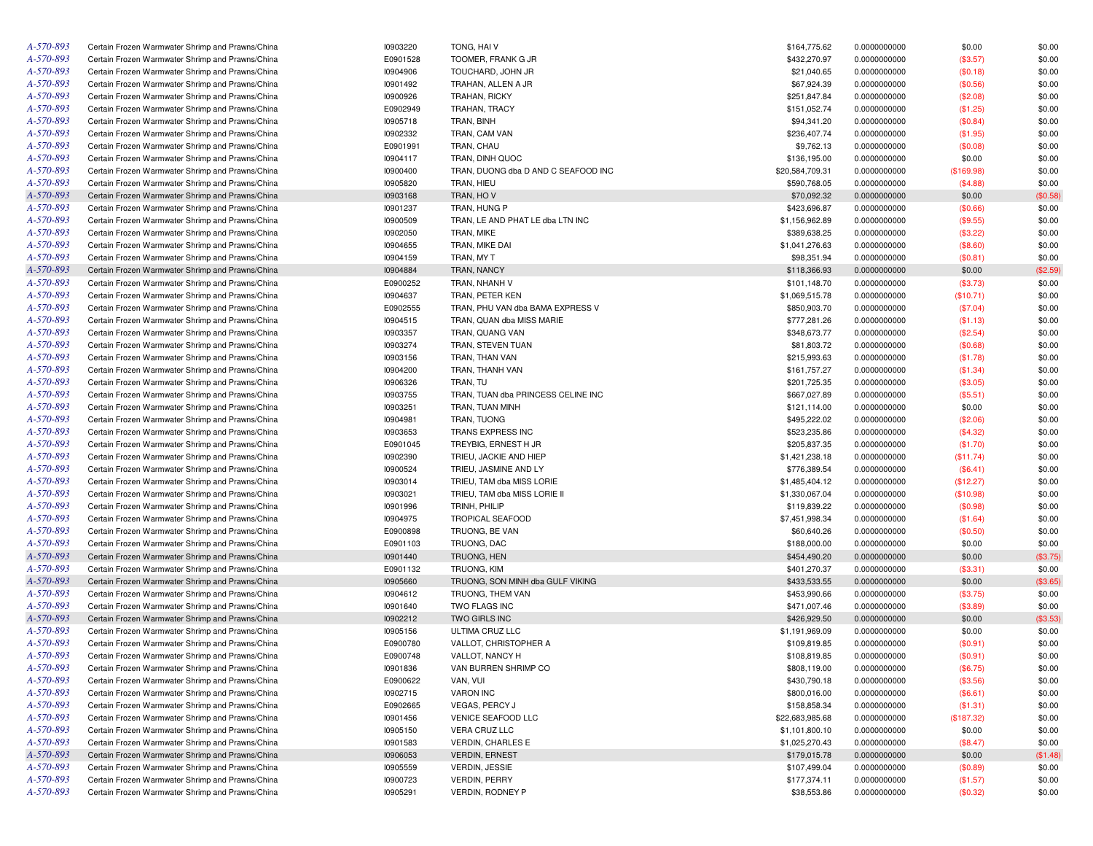| A-570-893 | Certain Frozen Warmwater Shrimp and Prawns/China | 10903220        | TONG, HAIV                          | \$164,775.62    | 0.0000000000 | \$0.00     | \$0.00   |
|-----------|--------------------------------------------------|-----------------|-------------------------------------|-----------------|--------------|------------|----------|
| A-570-893 | Certain Frozen Warmwater Shrimp and Prawns/China | E0901528        | TOOMER, FRANK G JR                  | \$432,270.97    | 0.0000000000 | (\$3.57)   | \$0.00   |
| A-570-893 | Certain Frozen Warmwater Shrimp and Prawns/China | 10904906        | TOUCHARD, JOHN JR                   | \$21,040.65     | 0.0000000000 | (\$0.18)   | \$0.00   |
| A-570-893 | Certain Frozen Warmwater Shrimp and Prawns/China | 10901492        | TRAHAN, ALLEN A JR                  | \$67,924.39     | 0.0000000000 | (\$0.56)   | \$0.00   |
| A-570-893 | Certain Frozen Warmwater Shrimp and Prawns/China | 10900926        | TRAHAN, RICKY                       | \$251,847.84    | 0.0000000000 | (\$2.08)   | \$0.00   |
| A-570-893 | Certain Frozen Warmwater Shrimp and Prawns/China | E0902949        | TRAHAN, TRACY                       | \$151,052.74    | 0.0000000000 | (\$1.25)   | \$0.00   |
| A-570-893 | Certain Frozen Warmwater Shrimp and Prawns/China | 10905718        | TRAN, BINH                          | \$94,341.20     | 0.0000000000 | (\$0.84)   | \$0.00   |
| A-570-893 | Certain Frozen Warmwater Shrimp and Prawns/China | 10902332        | TRAN, CAM VAN                       | \$236,407.74    | 0.0000000000 | (\$1.95)   | \$0.00   |
| A-570-893 | Certain Frozen Warmwater Shrimp and Prawns/China | E0901991        | TRAN, CHAU                          | \$9,762.13      | 0.0000000000 | (\$0.08)   | \$0.00   |
| A-570-893 | Certain Frozen Warmwater Shrimp and Prawns/China | 10904117        | TRAN, DINH QUOC                     | \$136,195.00    | 0.0000000000 | \$0.00     | \$0.00   |
| A-570-893 | Certain Frozen Warmwater Shrimp and Prawns/China | 10900400        | TRAN, DUONG dba D AND C SEAFOOD INC | \$20,584,709.31 | 0.0000000000 | (\$169.98) | \$0.00   |
| A-570-893 | Certain Frozen Warmwater Shrimp and Prawns/China | 10905820        | TRAN, HIEU                          | \$590,768.05    | 0.0000000000 | (\$4.88)   | \$0.00   |
| A-570-893 | Certain Frozen Warmwater Shrimp and Prawns/China | 10903168        | TRAN, HOV                           | \$70,092.32     | 0.0000000000 | \$0.00     | (\$0.58) |
| A-570-893 | Certain Frozen Warmwater Shrimp and Prawns/China | 10901237        | TRAN, HUNG P                        | \$423,696.87    | 0.0000000000 |            | \$0.00   |
| A-570-893 | Certain Frozen Warmwater Shrimp and Prawns/China | 10900509        | TRAN, LE AND PHAT LE dba LTN INC    | \$1,156,962.89  | 0.0000000000 | (\$0.66)   | \$0.00   |
| A-570-893 |                                                  | 10902050        |                                     |                 |              | (\$9.55)   |          |
|           | Certain Frozen Warmwater Shrimp and Prawns/China |                 | TRAN, MIKE                          | \$389,638.25    | 0.0000000000 | (\$3.22)   | \$0.00   |
| A-570-893 | Certain Frozen Warmwater Shrimp and Prawns/China | <b>I0904655</b> | TRAN, MIKE DAI                      | \$1,041,276.63  | 0.0000000000 | (\$8.60)   | \$0.00   |
| A-570-893 | Certain Frozen Warmwater Shrimp and Prawns/China | 10904159        | TRAN, MY T                          | \$98,351.94     | 0.0000000000 | (\$0.81)   | \$0.00   |
| A-570-893 | Certain Frozen Warmwater Shrimp and Prawns/China | 10904884        | TRAN, NANCY                         | \$118,366.93    | 0.0000000000 | \$0.00     | (\$2.59) |
| A-570-893 | Certain Frozen Warmwater Shrimp and Prawns/China | E0900252        | TRAN, NHANH V                       | \$101,148.70    | 0.0000000000 | (\$3.73)   | \$0.00   |
| A-570-893 | Certain Frozen Warmwater Shrimp and Prawns/China | 10904637        | TRAN, PETER KEN                     | \$1,069,515.78  | 0.0000000000 | (\$10.71)  | \$0.00   |
| A-570-893 | Certain Frozen Warmwater Shrimp and Prawns/China | E0902555        | TRAN, PHU VAN dba BAMA EXPRESS V    | \$850,903.70    | 0.0000000000 | (\$7.04)   | \$0.00   |
| A-570-893 | Certain Frozen Warmwater Shrimp and Prawns/China | 10904515        | TRAN, QUAN dba MISS MARIE           | \$777,281.26    | 0.0000000000 | (\$1.13)   | \$0.00   |
| A-570-893 | Certain Frozen Warmwater Shrimp and Prawns/China | 10903357        | TRAN, QUANG VAN                     | \$348,673.77    | 0.0000000000 | (\$2.54)   | \$0.00   |
| A-570-893 | Certain Frozen Warmwater Shrimp and Prawns/China | 10903274        | TRAN, STEVEN TUAN                   | \$81,803.72     | 0.0000000000 | (\$0.68)   | \$0.00   |
| A-570-893 | Certain Frozen Warmwater Shrimp and Prawns/China | 10903156        | TRAN, THAN VAN                      | \$215,993.63    | 0.0000000000 | (\$1.78)   | \$0.00   |
| A-570-893 | Certain Frozen Warmwater Shrimp and Prawns/China | 10904200        | TRAN, THANH VAN                     | \$161,757.27    | 0.0000000000 | (\$1.34)   | \$0.00   |
| A-570-893 | Certain Frozen Warmwater Shrimp and Prawns/China | 10906326        | TRAN, TU                            | \$201,725.35    | 0.0000000000 | (\$3.05)   | \$0.00   |
| A-570-893 | Certain Frozen Warmwater Shrimp and Prawns/China | 10903755        | TRAN. TUAN dba PRINCESS CELINE INC  | \$667,027.89    | 0.0000000000 | (\$5.51)   | \$0.00   |
| A-570-893 | Certain Frozen Warmwater Shrimp and Prawns/China | 10903251        | TRAN, TUAN MINH                     | \$121,114.00    | 0.0000000000 | \$0.00     | \$0.00   |
| A-570-893 | Certain Frozen Warmwater Shrimp and Prawns/China | 10904981        | TRAN, TUONG                         | \$495,222.02    | 0.0000000000 | (\$2.06)   | \$0.00   |
| A-570-893 | Certain Frozen Warmwater Shrimp and Prawns/China | 10903653        | TRANS EXPRESS INC                   | \$523,235.86    | 0.0000000000 | (\$4.32)   | \$0.00   |
| A-570-893 | Certain Frozen Warmwater Shrimp and Prawns/China | E0901045        | TREYBIG, ERNEST H JR                | \$205,837.35    | 0.0000000000 | (\$1.70)   | \$0.00   |
| A-570-893 | Certain Frozen Warmwater Shrimp and Prawns/China | 10902390        | TRIEU, JACKIE AND HIEP              | \$1,421,238.18  | 0.0000000000 | (\$11.74)  | \$0.00   |
| A-570-893 | Certain Frozen Warmwater Shrimp and Prawns/China | 10900524        | TRIEU, JASMINE AND LY               | \$776,389.54    | 0.0000000000 | (\$6.41)   | \$0.00   |
| A-570-893 | Certain Frozen Warmwater Shrimp and Prawns/China | 10903014        | TRIEU, TAM dba MISS LORIE           | \$1,485,404.12  | 0.0000000000 | (\$12.27)  | \$0.00   |
| A-570-893 | Certain Frozen Warmwater Shrimp and Prawns/China | 10903021        | TRIEU, TAM dba MISS LORIE II        | \$1,330,067.04  | 0.0000000000 | (\$10.98)  | \$0.00   |
| A-570-893 | Certain Frozen Warmwater Shrimp and Prawns/China | 10901996        | TRINH, PHILIP                       | \$119,839.22    | 0.0000000000 | (\$0.98)   | \$0.00   |
| A-570-893 |                                                  |                 | <b>TROPICAL SEAFOOD</b>             |                 |              |            |          |
| A-570-893 | Certain Frozen Warmwater Shrimp and Prawns/China | <b>I0904975</b> |                                     | \$7,451,998.34  | 0.0000000000 | (\$1.64)   | \$0.00   |
|           | Certain Frozen Warmwater Shrimp and Prawns/China | E0900898        | TRUONG, BE VAN                      | \$60,640.26     | 0.0000000000 | (\$0.50)   | \$0.00   |
| A-570-893 | Certain Frozen Warmwater Shrimp and Prawns/China | E0901103        | TRUONG, DAC                         | \$188,000.00    | 0.0000000000 | \$0.00     | \$0.00   |
| A-570-893 | Certain Frozen Warmwater Shrimp and Prawns/China | 10901440        | TRUONG, HEN                         | \$454,490.20    | 0.0000000000 | \$0.00     | (\$3.75) |
| A-570-893 | Certain Frozen Warmwater Shrimp and Prawns/China | E0901132        | TRUONG, KIM                         | \$401,270.37    | 0.0000000000 | (\$3.31)   | \$0.00   |
| A-570-893 | Certain Frozen Warmwater Shrimp and Prawns/China | 10905660        | TRUONG, SON MINH dba GULF VIKING    | \$433,533.55    | 0.0000000000 | \$0.00     | (\$3.65) |
| A-570-893 | Certain Frozen Warmwater Shrimp and Prawns/China | 10904612        | TRUONG, THEM VAN                    | \$453,990.66    | 0.0000000000 | (\$3.75)   | \$0.00   |
| A-570-893 | Certain Frozen Warmwater Shrimp and Prawns/China | 10901640        | TWO FLAGS INC                       | \$471,007.46    | 0.0000000000 | (\$3.89)   | \$0.00   |
| A-570-893 | Certain Frozen Warmwater Shrimp and Prawns/China | 10902212        | TWO GIRLS INC                       | \$426,929.50    | 0.0000000000 | \$0.00     | (\$3.53) |
| A-570-893 | Certain Frozen Warmwater Shrimp and Prawns/China | 10905156        | ULTIMA CRUZ LLC                     | \$1,191,969.09  | 0.0000000000 | \$0.00     | \$0.00   |
| A-570-893 | Certain Frozen Warmwater Shrimp and Prawns/China | E0900780        | VALLOT, CHRISTOPHER A               | \$109,819.85    | 0.0000000000 | (\$0.91)   | \$0.00   |
| A-570-893 | Certain Frozen Warmwater Shrimp and Prawns/China | E0900748        | VALLOT, NANCY H                     | \$108,819.85    | 0.0000000000 | (\$0.91)   | \$0.00   |
| A-570-893 | Certain Frozen Warmwater Shrimp and Prawns/China | 10901836        | VAN BURREN SHRIMP CO                | \$808,119.00    | 0.0000000000 | (\$6.75)   | \$0.00   |
| A-570-893 | Certain Frozen Warmwater Shrimp and Prawns/China | E0900622        | VAN, VUI                            | \$430,790.18    | 0.0000000000 | (\$3.56)   | \$0.00   |
| A-570-893 | Certain Frozen Warmwater Shrimp and Prawns/China | 10902715        | <b>VARON INC</b>                    | \$800,016.00    | 0.0000000000 | (\$6.61)   | \$0.00   |
| A-570-893 | Certain Frozen Warmwater Shrimp and Prawns/China | E0902665        | VEGAS, PERCY J                      | \$158,858.34    | 0.0000000000 | (\$1.31)   | \$0.00   |
| A-570-893 | Certain Frozen Warmwater Shrimp and Prawns/China | 10901456        | <b>VENICE SEAFOOD LLC</b>           | \$22,683,985.68 | 0.0000000000 | (\$187.32) | \$0.00   |
| A-570-893 | Certain Frozen Warmwater Shrimp and Prawns/China | 10905150        | VERA CRUZ LLC                       | \$1,101,800.10  | 0.0000000000 | \$0.00     | \$0.00   |
| A-570-893 | Certain Frozen Warmwater Shrimp and Prawns/China | 10901583        | <b>VERDIN, CHARLES E</b>            | \$1,025,270.43  | 0.0000000000 | (\$8.47)   | \$0.00   |
| A-570-893 | Certain Frozen Warmwater Shrimp and Prawns/China | 10906053        | <b>VERDIN, ERNEST</b>               | \$179,015.78    | 0.0000000000 | \$0.00     | (\$1.48) |
| A-570-893 | Certain Frozen Warmwater Shrimp and Prawns/China | <b>I0905559</b> | <b>VERDIN, JESSIE</b>               | \$107,499.04    | 0.0000000000 | (\$0.89)   | \$0.00   |
| A-570-893 | Certain Frozen Warmwater Shrimp and Prawns/China | 10900723        | <b>VERDIN, PERRY</b>                | \$177,374.11    | 0.0000000000 | (\$1.57)   | \$0.00   |
| A-570-893 | Certain Frozen Warmwater Shrimp and Prawns/China | 10905291        | VERDIN, RODNEY P                    | \$38,553.86     | 0.0000000000 |            |          |
|           |                                                  |                 |                                     |                 |              | (\$0.32)   | \$0.00   |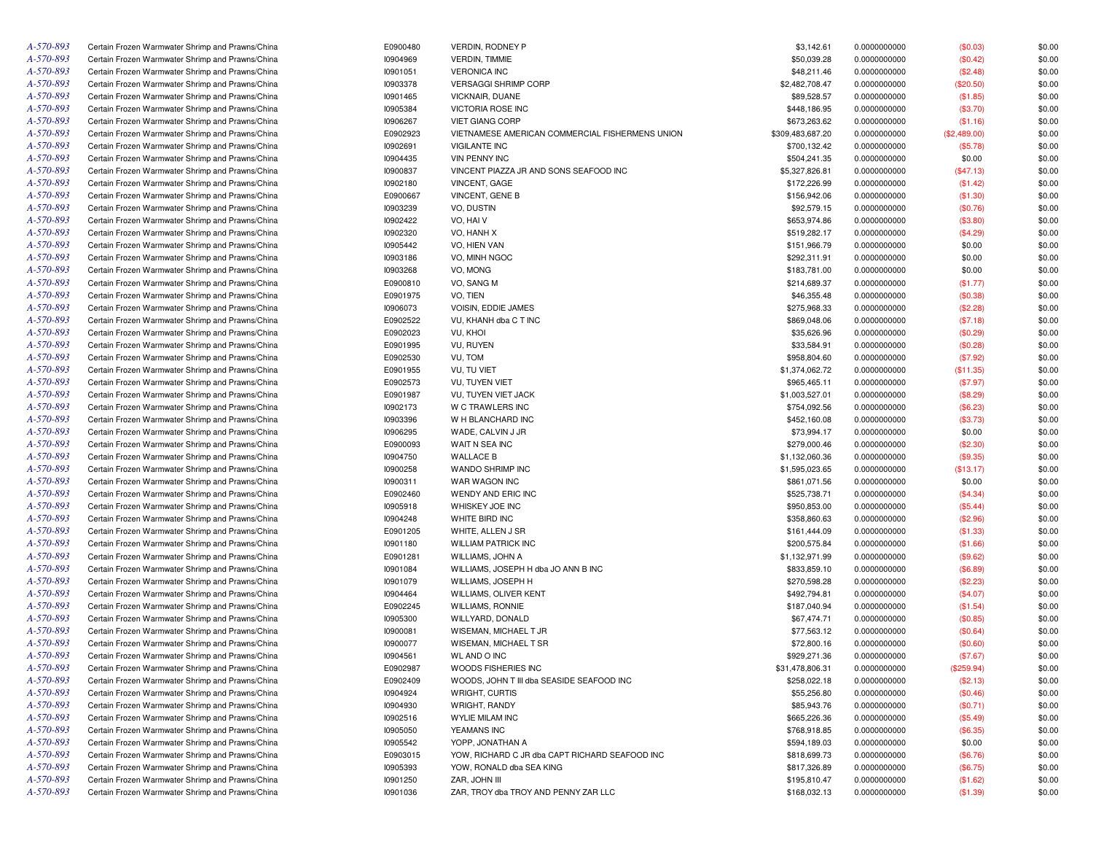| A-570-893 | Certain Frozen Warmwater Shrimp and Prawns/China | E0900480 | VERDIN, RODNEY P                                | \$3,142.61       | 0.0000000000 | (\$0.03)     | \$0.00 |
|-----------|--------------------------------------------------|----------|-------------------------------------------------|------------------|--------------|--------------|--------|
| A-570-893 | Certain Frozen Warmwater Shrimp and Prawns/China | 10904969 | <b>VERDIN, TIMMIE</b>                           | \$50,039.28      | 0.0000000000 | (\$0.42)     | \$0.00 |
| A-570-893 | Certain Frozen Warmwater Shrimp and Prawns/China | 10901051 | <b>VERONICA INC</b>                             | \$48,211.46      | 0.0000000000 | (\$2.48)     | \$0.00 |
| A-570-893 | Certain Frozen Warmwater Shrimp and Prawns/China | 10903378 | VERSAGGI SHRIMP CORP                            | \$2,482,708.47   | 0.0000000000 | (\$20.50)    | \$0.00 |
| A-570-893 | Certain Frozen Warmwater Shrimp and Prawns/China | 10901465 | VICKNAIR, DUANE                                 | \$89,528.57      | 0.0000000000 | (\$1.85)     | \$0.00 |
| A-570-893 | Certain Frozen Warmwater Shrimp and Prawns/China | 10905384 | <b>VICTORIA ROSE INC</b>                        | \$448,186.95     | 0.0000000000 | (\$3.70)     | \$0.00 |
| A-570-893 | Certain Frozen Warmwater Shrimp and Prawns/China | 10906267 | <b>VIET GIANG CORP</b>                          | \$673,263.62     | 0.0000000000 | (\$1.16)     | \$0.00 |
| A-570-893 | Certain Frozen Warmwater Shrimp and Prawns/China | E0902923 | VIETNAMESE AMERICAN COMMERCIAL FISHERMENS UNION | \$309,483,687.20 | 0.0000000000 | (\$2,489.00) | \$0.00 |
| A-570-893 | Certain Frozen Warmwater Shrimp and Prawns/China | 10902691 | <b>VIGILANTE INC</b>                            | \$700,132.42     | 0.0000000000 | (\$5.78)     | \$0.00 |
| A-570-893 | Certain Frozen Warmwater Shrimp and Prawns/China | 10904435 | <b>VIN PENNY INC</b>                            | \$504,241.35     | 0.0000000000 | \$0.00       | \$0.00 |
| A-570-893 | Certain Frozen Warmwater Shrimp and Prawns/China | 10900837 | VINCENT PIAZZA JR AND SONS SEAFOOD INC          | \$5,327,826.81   | 0.0000000000 | (\$47.13)    | \$0.00 |
| A-570-893 | Certain Frozen Warmwater Shrimp and Prawns/China | 10902180 | VINCENT, GAGE                                   | \$172,226.99     | 0.0000000000 | (\$1.42)     | \$0.00 |
| A-570-893 | Certain Frozen Warmwater Shrimp and Prawns/China | E0900667 | VINCENT, GENE B                                 | \$156,942.06     | 0.0000000000 | (\$1.30)     | \$0.00 |
| A-570-893 | Certain Frozen Warmwater Shrimp and Prawns/China | 10903239 | VO, DUSTIN                                      | \$92,579.15      | 0.0000000000 | (\$0.76)     | \$0.00 |
| A-570-893 | Certain Frozen Warmwater Shrimp and Prawns/China | 10902422 | VO, HAI V                                       | \$653,974.86     | 0.0000000000 | (\$3.80)     | \$0.00 |
| A-570-893 | Certain Frozen Warmwater Shrimp and Prawns/China | 10902320 | VO, HANH X                                      | \$519,282.17     | 0.0000000000 | (\$4.29)     | \$0.00 |
| A-570-893 | Certain Frozen Warmwater Shrimp and Prawns/China | 10905442 | VO, HIEN VAN                                    | \$151,966.79     | 0.0000000000 | \$0.00       | \$0.00 |
| A-570-893 | Certain Frozen Warmwater Shrimp and Prawns/China | 10903186 | VO, MINH NGOC                                   | \$292,311.91     | 0.0000000000 | \$0.00       | \$0.00 |
| A-570-893 |                                                  |          |                                                 |                  |              |              |        |
|           | Certain Frozen Warmwater Shrimp and Prawns/China | 10903268 | VO, MONG                                        | \$183,781.00     | 0.0000000000 | \$0.00       | \$0.00 |
| A-570-893 | Certain Frozen Warmwater Shrimp and Prawns/China | E0900810 | VO, SANG M                                      | \$214,689.37     | 0.0000000000 | (\$1.77)     | \$0.00 |
| A-570-893 | Certain Frozen Warmwater Shrimp and Prawns/China | E0901975 | VO, TIEN                                        | \$46,355.48      | 0.0000000000 | (\$0.38)     | \$0.00 |
| A-570-893 | Certain Frozen Warmwater Shrimp and Prawns/China | 10906073 | VOISIN, EDDIE JAMES                             | \$275,968.33     | 0.0000000000 | (\$2.28)     | \$0.00 |
| A-570-893 | Certain Frozen Warmwater Shrimp and Prawns/China | E0902522 | VU, KHANH dba C T INC                           | \$869,048.06     | 0.0000000000 | (\$7.18)     | \$0.00 |
| A-570-893 | Certain Frozen Warmwater Shrimp and Prawns/China | E0902023 | VU, KHOI                                        | \$35,626.96      | 0.0000000000 | (\$0.29)     | \$0.00 |
| A-570-893 | Certain Frozen Warmwater Shrimp and Prawns/China | E0901995 | VU, RUYEN                                       | \$33,584.91      | 0.0000000000 | (\$0.28)     | \$0.00 |
| A-570-893 | Certain Frozen Warmwater Shrimp and Prawns/China | E0902530 | VU, TOM                                         | \$958,804.60     | 0.0000000000 | (\$7.92)     | \$0.00 |
| A-570-893 | Certain Frozen Warmwater Shrimp and Prawns/China | E0901955 | VU, TU VIET                                     | \$1,374,062.72   | 0.0000000000 | (\$11.35)    | \$0.00 |
| A-570-893 | Certain Frozen Warmwater Shrimp and Prawns/China | E0902573 | VU, TUYEN VIET                                  | \$965,465.11     | 0.0000000000 | (\$7.97)     | \$0.00 |
| A-570-893 | Certain Frozen Warmwater Shrimp and Prawns/China | E0901987 | VU, TUYEN VIET JACK                             | \$1,003,527.01   | 0.0000000000 | (\$8.29)     | \$0.00 |
| A-570-893 | Certain Frozen Warmwater Shrimp and Prawns/China | 10902173 | W C TRAWLERS INC                                | \$754,092.56     | 0.0000000000 | (\$6.23)     | \$0.00 |
| A-570-893 | Certain Frozen Warmwater Shrimp and Prawns/China | 10903396 | W H BLANCHARD INC                               | \$452,160.08     | 0.0000000000 | (\$3.73)     | \$0.00 |
| A-570-893 | Certain Frozen Warmwater Shrimp and Prawns/China | 10906295 | WADE, CALVIN J JR                               | \$73,994.17      | 0.0000000000 | \$0.00       | \$0.00 |
| A-570-893 | Certain Frozen Warmwater Shrimp and Prawns/China | E0900093 | WAIT N SEA INC                                  | \$279,000.46     | 0.0000000000 | (\$2.30)     | \$0.00 |
| A-570-893 | Certain Frozen Warmwater Shrimp and Prawns/China | 10904750 | <b>WALLACE B</b>                                | \$1,132,060.36   | 0.0000000000 | (\$9.35)     | \$0.00 |
| A-570-893 | Certain Frozen Warmwater Shrimp and Prawns/China | 10900258 | WANDO SHRIMP INC                                | \$1,595,023.65   | 0.0000000000 | (\$13.17)    | \$0.00 |
| A-570-893 | Certain Frozen Warmwater Shrimp and Prawns/China | 10900311 | WAR WAGON INC                                   | \$861,071.56     | 0.0000000000 | \$0.00       | \$0.00 |
| A-570-893 | Certain Frozen Warmwater Shrimp and Prawns/China | E0902460 | WENDY AND ERIC INC                              | \$525,738.71     | 0.0000000000 | (\$4.34)     | \$0.00 |
| A-570-893 | Certain Frozen Warmwater Shrimp and Prawns/China | 10905918 | WHISKEY JOE INC                                 | \$950,853.00     | 0.0000000000 | (\$5.44)     | \$0.00 |
| A-570-893 | Certain Frozen Warmwater Shrimp and Prawns/China | 10904248 | WHITE BIRD INC                                  | \$358,860.63     | 0.0000000000 | (\$2.96)     | \$0.00 |
| A-570-893 | Certain Frozen Warmwater Shrimp and Prawns/China | E0901205 | WHITE, ALLEN J SR                               | \$161,444.09     | 0.0000000000 | (\$1.33)     | \$0.00 |
| A-570-893 | Certain Frozen Warmwater Shrimp and Prawns/China | 10901180 | <b>WILLIAM PATRICK INC</b>                      | \$200,575.84     | 0.0000000000 | (\$1.66)     | \$0.00 |
| A-570-893 | Certain Frozen Warmwater Shrimp and Prawns/China | E0901281 | WILLIAMS, JOHN A                                | \$1,132,971.99   | 0.0000000000 | (\$9.62)     | \$0.00 |
| A-570-893 | Certain Frozen Warmwater Shrimp and Prawns/China | 10901084 | WILLIAMS, JOSEPH H dba JO ANN B INC             | \$833,859.10     | 0.0000000000 | (\$6.89)     | \$0.00 |
| A-570-893 | Certain Frozen Warmwater Shrimp and Prawns/China | 10901079 | WILLIAMS, JOSEPH H                              | \$270,598.28     | 0.0000000000 | (\$2.23)     | \$0.00 |
| A-570-893 | Certain Frozen Warmwater Shrimp and Prawns/China | 10904464 | WILLIAMS, OLIVER KENT                           | \$492,794.81     | 0.0000000000 | (\$4.07)     | \$0.00 |
| A-570-893 | Certain Frozen Warmwater Shrimp and Prawns/China | E0902245 | <b>WILLIAMS, RONNIE</b>                         | \$187,040.94     | 0.0000000000 | (\$1.54)     | \$0.00 |
| A-570-893 | Certain Frozen Warmwater Shrimp and Prawns/China | 10905300 | WILLYARD, DONALD                                | \$67,474.71      | 0.0000000000 | (\$0.85)     | \$0.00 |
| A-570-893 | Certain Frozen Warmwater Shrimp and Prawns/China | 10900081 | WISEMAN, MICHAEL T JR                           | \$77,563.12      | 0.0000000000 | (\$0.64)     | \$0.00 |
| A-570-893 | Certain Frozen Warmwater Shrimp and Prawns/China | 10900077 | WISEMAN, MICHAEL T SR                           | \$72,800.16      | 0.0000000000 | (\$0.60)     | \$0.00 |
| A-570-893 | Certain Frozen Warmwater Shrimp and Prawns/China | 10904561 | WL AND O INC                                    | \$929,271.36     | 0.0000000000 | (\$7.67)     | \$0.00 |
| A-570-893 | Certain Frozen Warmwater Shrimp and Prawns/China | E0902987 | WOODS FISHERIES INC                             | \$31,478,806.31  | 0.0000000000 | (\$259.94)   | \$0.00 |
| A-570-893 | Certain Frozen Warmwater Shrimp and Prawns/China | E0902409 | WOODS, JOHN T III dba SEASIDE SEAFOOD INC       | \$258,022.18     | 0.0000000000 | (\$2.13)     | \$0.00 |
| A-570-893 | Certain Frozen Warmwater Shrimp and Prawns/China | 10904924 | WRIGHT, CURTIS                                  | \$55,256.80      | 0.0000000000 | (\$0.46)     | \$0.00 |
| A-570-893 | Certain Frozen Warmwater Shrimp and Prawns/China | 10904930 | WRIGHT, RANDY                                   | \$85,943.76      | 0.0000000000 | (\$0.71)     | \$0.00 |
| A-570-893 | Certain Frozen Warmwater Shrimp and Prawns/China | 10902516 | WYLIE MILAM INC                                 | \$665,226.36     | 0.0000000000 | (\$5.49)     | \$0.00 |
| A-570-893 | Certain Frozen Warmwater Shrimp and Prawns/China | 10905050 | YEAMANS INC                                     | \$768,918.85     | 0.0000000000 | (\$6.35)     | \$0.00 |
| A-570-893 | Certain Frozen Warmwater Shrimp and Prawns/China | 10905542 | YOPP, JONATHAN A                                | \$594,189.03     |              | \$0.00       | \$0.00 |
| A-570-893 | Certain Frozen Warmwater Shrimp and Prawns/China | E0903015 |                                                 |                  | 0.0000000000 |              |        |
| A-570-893 | Certain Frozen Warmwater Shrimp and Prawns/China |          | YOW, RICHARD C JR dba CAPT RICHARD SEAFOOD INC  | \$818,699.73     | 0.0000000000 | (\$6.76)     | \$0.00 |
|           |                                                  | 10905393 | YOW, RONALD dba SEA KING                        | \$817,326.89     | 0.0000000000 | (\$6.75)     | \$0.00 |
| A-570-893 | Certain Frozen Warmwater Shrimp and Prawns/China | 10901250 | ZAR, JOHN III                                   | \$195,810.47     | 0.0000000000 | (\$1.62)     | \$0.00 |
| A-570-893 | Certain Frozen Warmwater Shrimp and Prawns/China | 10901036 | ZAR, TROY dba TROY AND PENNY ZAR LLC            | \$168,032.13     | 0.0000000000 | (\$1.39)     | \$0.00 |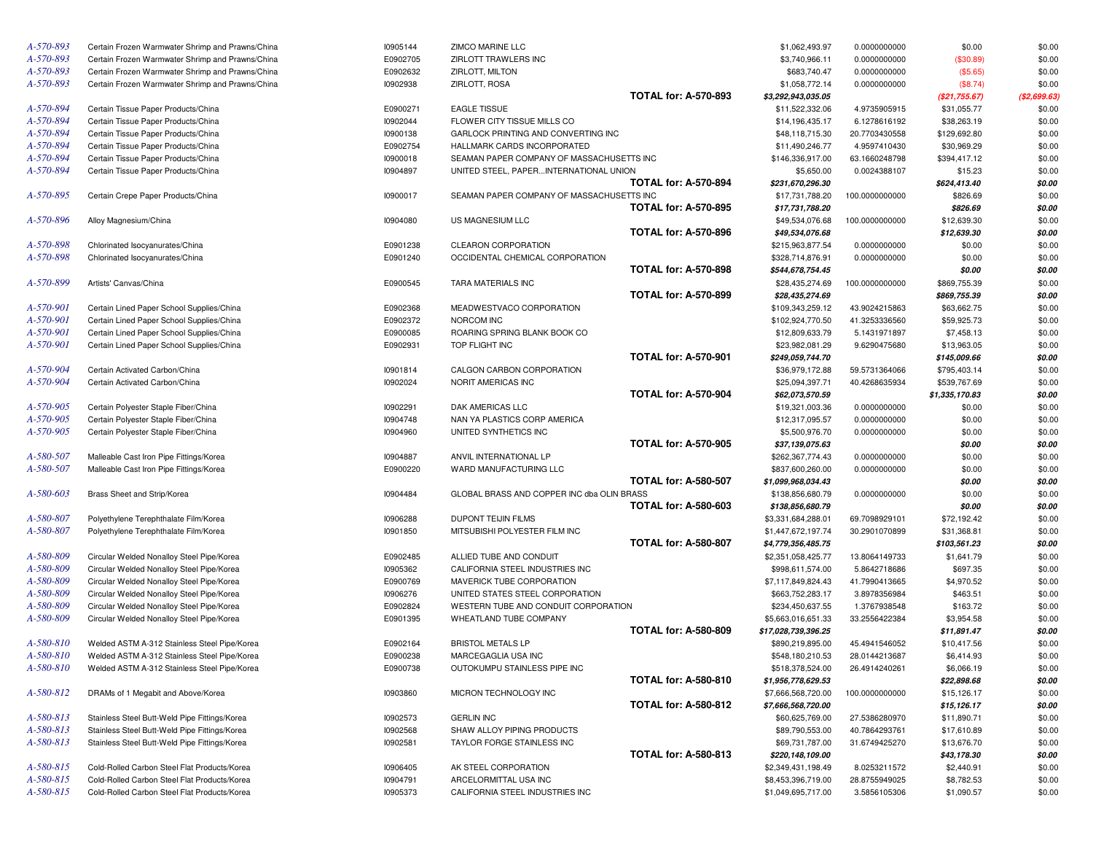| A-570-893              | Certain Frozen Warmwater Shrimp and Prawns/China                                       | 10905144             | ZIMCO MARINE LLC                                                        | \$1,062,493.97                                                           | 0.0000000000                 | \$0.00                     | \$0.00           |
|------------------------|----------------------------------------------------------------------------------------|----------------------|-------------------------------------------------------------------------|--------------------------------------------------------------------------|------------------------------|----------------------------|------------------|
| A-570-893              | Certain Frozen Warmwater Shrimp and Prawns/China                                       | E0902705             | ZIRLOTT TRAWLERS INC                                                    | \$3,740,966.11                                                           | 0.0000000000                 | (\$30.89)                  | \$0.00           |
| A-570-893              | Certain Frozen Warmwater Shrimp and Prawns/China                                       | E0902632             | ZIRLOTT, MILTON                                                         | \$683,740.47                                                             | 0.0000000000                 | (\$5.65)                   | \$0.00           |
| A-570-893              | Certain Frozen Warmwater Shrimp and Prawns/China                                       | 10902938             | ZIRLOTT, ROSA                                                           | \$1,058,772.14                                                           | 0.0000000000                 | (\$8.74)                   | \$0.00           |
|                        |                                                                                        |                      |                                                                         | <b>TOTAL for: A-570-893</b><br>\$3,292,943,035.05                        |                              | (\$21,755.67)              | ( \$2,699.63)    |
| A-570-894              | Certain Tissue Paper Products/China                                                    | E0900271             | <b>EAGLE TISSUE</b>                                                     | \$11,522,332.06                                                          | 4.9735905915                 | \$31,055.77                | \$0.00           |
| A-570-894              | Certain Tissue Paper Products/China                                                    | 10902044             | FLOWER CITY TISSUE MILLS CO                                             | \$14,196,435.17                                                          | 6.1278616192                 | \$38,263.19                | \$0.00           |
| A-570-894              | Certain Tissue Paper Products/China                                                    | 10900138             | <b>GARLOCK PRINTING AND CONVERTING INC</b>                              | \$48,118,715.30                                                          | 20.7703430558                | \$129,692.80               | \$0.00           |
| A-570-894              | Certain Tissue Paper Products/China                                                    | E0902754             | HALLMARK CARDS INCORPORATED                                             | \$11,490,246.77                                                          | 4.9597410430                 | \$30,969.29                | \$0.00           |
| A-570-894              | Certain Tissue Paper Products/China                                                    | 10900018             | SEAMAN PAPER COMPANY OF MASSACHUSETTS INC                               | \$146,336,917.00                                                         | 63.1660248798                | \$394,417.12               | \$0.00           |
| A-570-894              | Certain Tissue Paper Products/China                                                    | 10904897             | UNITED STEEL, PAPERINTERNATIONAL UNION                                  | \$5,650.00                                                               | 0.0024388107                 | \$15.23                    | \$0.00           |
|                        |                                                                                        |                      |                                                                         | <b>TOTAL for: A-570-894</b><br>\$231,670,296.30                          |                              | \$624,413.40               | \$0.00           |
| A-570-895              | Certain Crepe Paper Products/China                                                     | 10900017             | SEAMAN PAPER COMPANY OF MASSACHUSETTS INC                               | \$17,731,788.20                                                          | 100.0000000000               | \$826.69                   | \$0.00           |
|                        |                                                                                        |                      |                                                                         | <b>TOTAL for: A-570-895</b><br>\$17,731,788.20                           |                              | \$826.69                   | \$0.00           |
| A-570-896              | Alloy Magnesium/China                                                                  | 10904080             | US MAGNESIUM LLC                                                        | \$49,534,076.68                                                          | 100.0000000000               | \$12,639.30                | \$0.00           |
|                        |                                                                                        |                      |                                                                         | <b>TOTAL for: A-570-896</b><br>\$49,534,076.68                           |                              | \$12,639.30                | \$0.00           |
| A-570-898              | Chlorinated Isocyanurates/China                                                        | E0901238             | <b>CLEARON CORPORATION</b>                                              | \$215,963,877.54                                                         | 0.0000000000                 | \$0.00                     | \$0.00           |
| A-570-898              | Chlorinated Isocyanurates/China                                                        | E0901240             | OCCIDENTAL CHEMICAL CORPORATION                                         | \$328,714,876.91                                                         | 0.0000000000                 | \$0.00                     | \$0.00           |
|                        |                                                                                        |                      |                                                                         | <b>TOTAL for: A-570-898</b><br>\$544,678,754.45                          |                              | \$0.00                     | \$0.00           |
| A-570-899              | Artists' Canvas/China                                                                  | E0900545             | TARA MATERIALS INC                                                      | \$28,435,274.69                                                          | 100.0000000000               | \$869,755.39               | \$0.00           |
|                        |                                                                                        |                      |                                                                         | <b>TOTAL for: A-570-899</b><br>\$28,435,274.69                           |                              | \$869,755.39               | \$0.00           |
| A-570-901              | Certain Lined Paper School Supplies/China                                              | E0902368             | MEADWESTVACO CORPORATION                                                | \$109,343,259.12                                                         | 43.9024215863                | \$63,662.75                | \$0.00           |
| A-570-901              | Certain Lined Paper School Supplies/China                                              | E0902372             | NORCOM INC                                                              | \$102,924,770.50                                                         | 41.3253336560                | \$59,925.73                | \$0.00           |
| A-570-901              | Certain Lined Paper School Supplies/China                                              | E0900085             | ROARING SPRING BLANK BOOK CO                                            | \$12,809,633.79                                                          | 5.1431971897                 | \$7,458.13                 | \$0.00           |
| A-570-901              | Certain Lined Paper School Supplies/China                                              | E0902931             | TOP FLIGHT INC                                                          | \$23,982,081.29                                                          | 9.6290475680                 | \$13,963.05                | \$0.00           |
|                        |                                                                                        |                      |                                                                         | <b>TOTAL for: A-570-901</b><br>\$249,059,744.70                          |                              | \$145,009.66               | \$0.00           |
| A-570-904              | Certain Activated Carbon/China                                                         | 10901814             | CALGON CARBON CORPORATION                                               | \$36,979,172.88                                                          | 59.5731364066                | \$795,403.14               | \$0.00           |
| A-570-904              | Certain Activated Carbon/China                                                         | 10902024             | NORIT AMERICAS INC                                                      | \$25,094,397.71                                                          | 40.4268635934                | \$539,767.69               | \$0.00           |
|                        |                                                                                        |                      |                                                                         | <b>TOTAL for: A-570-904</b><br>\$62,073,570.59                           |                              | \$1,335,170.83             | \$0.00           |
| A-570-905              | Certain Polyester Staple Fiber/China                                                   | 10902291             | DAK AMERICAS LLC                                                        | \$19,321,003.36                                                          | 0.0000000000                 | \$0.00                     | \$0.00           |
| A-570-905              | Certain Polyester Staple Fiber/China                                                   | 10904748             | NAN YA PLASTICS CORP AMERICA                                            | \$12,317,095.57                                                          | 0.0000000000                 | \$0.00                     | \$0.00           |
| A-570-905              | Certain Polyester Staple Fiber/China                                                   | 10904960             | UNITED SYNTHETICS INC                                                   | \$5,500,976.70                                                           | 0.0000000000                 | \$0.00                     | \$0.00           |
|                        |                                                                                        |                      |                                                                         | <b>TOTAL for: A-570-905</b><br>\$37,139,075.63                           |                              | \$0.00                     | \$0.00           |
| A-580-507              | Malleable Cast Iron Pipe Fittings/Korea                                                | 10904887             | ANVIL INTERNATIONAL LP                                                  | \$262,367,774.43                                                         | 0.0000000000                 | \$0.00                     | \$0.00           |
| A-580-507              | Malleable Cast Iron Pipe Fittings/Korea                                                | E0900220             | WARD MANUFACTURING LLC                                                  | \$837,600,260.00                                                         | 0.0000000000                 | \$0.00                     | \$0.00           |
|                        |                                                                                        |                      |                                                                         | <b>TOTAL for: A-580-507</b><br>\$1,099,968,034.43                        |                              | \$0.00                     | \$0.00           |
| A-580-603              | Brass Sheet and Strip/Korea                                                            | 10904484             | GLOBAL BRASS AND COPPER INC dba OLIN BRASS                              | \$138,856,680.79                                                         | 0.0000000000                 | \$0.00                     | \$0.00           |
|                        |                                                                                        |                      |                                                                         | <b>TOTAL for: A-580-603</b><br>\$138,856,680.79                          |                              | \$0.00                     | \$0.00           |
| A-580-807              | Polyethylene Terephthalate Film/Korea                                                  | 10906288             | DUPONT TEIJIN FILMS                                                     | \$3,331,684,288.01                                                       | 69.7098929101                | \$72,192.42                | \$0.00           |
| A-580-807              | Polyethylene Terephthalate Film/Korea                                                  | 10901850             | MITSUBISHI POLYESTER FILM INC                                           | \$1,447,672,197.74                                                       | 30.2901070899                | \$31,368.81                | \$0.00           |
|                        |                                                                                        |                      |                                                                         | <b>TOTAL for: A-580-807</b><br>\$4,779,356,485.75                        |                              | \$103,561.23               | \$0.00           |
| A-580-809              | Circular Welded Nonalloy Steel Pipe/Korea                                              | E0902485             | ALLIED TUBE AND CONDUIT                                                 | \$2,351,058,425.77                                                       | 13.8064149733                | \$1,641.79                 | \$0.00           |
| A-580-809              | Circular Welded Nonalloy Steel Pipe/Korea                                              | 10905362             | CALIFORNIA STEEL INDUSTRIES INC                                         | \$998,611,574.00                                                         | 5.8642718686                 | \$697.35                   | \$0.00           |
| A-580-809              | Circular Welded Nonalloy Steel Pipe/Korea                                              | E0900769             | MAVERICK TUBE CORPORATION                                               | \$7,117,849,824.43                                                       | 41.7990413665                | \$4,970.52                 | \$0.00           |
| A-580-809<br>A-580-809 | Circular Welded Nonalloy Steel Pipe/Korea<br>Circular Welded Nonalloy Steel Pipe/Korea | 10906276<br>E0902824 | UNITED STATES STEEL CORPORATION<br>WESTERN TUBE AND CONDUIT CORPORATION | \$663,752,283.17<br>\$234,450,637.55                                     | 3.8978356984<br>1.3767938548 | \$463.51<br>\$163.72       | \$0.00<br>\$0.00 |
| A-580-809              |                                                                                        | E0901395             | WHEATLAND TUBE COMPANY                                                  |                                                                          | 33.2556422384                |                            |                  |
|                        | Circular Welded Nonalloy Steel Pipe/Korea                                              |                      |                                                                         | \$5,663,016,651.33<br><b>TOTAL for: A-580-809</b><br>\$17,028,739,396.25 |                              | \$3,954.58                 | \$0.00<br>\$0.00 |
| A-580-810              | Welded ASTM A-312 Stainless Steel Pipe/Korea                                           | E0902164             | <b>BRISTOL METALS LP</b>                                                | \$890,219,895.00                                                         | 45.4941546052                | \$11,891.47<br>\$10,417.56 | \$0.00           |
| A-580-810              | Welded ASTM A-312 Stainless Steel Pipe/Korea                                           | E0900238             | MARCEGAGLIA USA INC                                                     | \$548,180,210.53                                                         | 28.0144213687                | \$6,414.93                 | \$0.00           |
| A-580-810              | Welded ASTM A-312 Stainless Steel Pipe/Korea                                           | E0900738             | OUTOKUMPU STAINLESS PIPE INC                                            |                                                                          | 26.4914240261                |                            | \$0.00           |
|                        |                                                                                        |                      |                                                                         | \$518,378,524.00<br><b>TOTAL for: A-580-810</b><br>\$1,956,778,629.53    |                              | \$6,066.19<br>\$22,898.68  | \$0.00           |
| A-580-812              | DRAMs of 1 Megabit and Above/Korea                                                     | 10903860             | MICRON TECHNOLOGY INC                                                   | \$7,666,568,720.00                                                       | 100.0000000000               | \$15,126.17                | \$0.00           |
|                        |                                                                                        |                      |                                                                         | <b>TOTAL for: A-580-812</b><br>\$7,666,568,720.00                        |                              | \$15,126.17                | \$0.00           |
| A-580-813              | Stainless Steel Butt-Weld Pipe Fittings/Korea                                          | 10902573             | <b>GERLIN INC</b>                                                       | \$60,625,769.00                                                          | 27.5386280970                | \$11,890.71                | \$0.00           |
| A-580-813              | Stainless Steel Butt-Weld Pipe Fittings/Korea                                          | 10902568             | SHAW ALLOY PIPING PRODUCTS                                              | \$89,790,553.00                                                          | 40.7864293761                | \$17,610.89                | \$0.00           |
| A-580-813              | Stainless Steel Butt-Weld Pipe Fittings/Korea                                          | 10902581             | TAYLOR FORGE STAINLESS INC                                              | \$69,731,787.00                                                          | 31.6749425270                | \$13,676.70                | \$0.00           |
|                        |                                                                                        |                      |                                                                         | <b>TOTAL for: A-580-813</b><br>\$220,148,109.00                          |                              | \$43,178.30                | \$0.00           |
| A-580-815              | Cold-Rolled Carbon Steel Flat Products/Korea                                           | 10906405             | AK STEEL CORPORATION                                                    | \$2,349,431,198.49                                                       | 8.0253211572                 | \$2,440.91                 | \$0.00           |
| A-580-815              | Cold-Rolled Carbon Steel Flat Products/Korea                                           | 10904791             | ARCELORMITTAL USA INC                                                   | \$8,453,396,719.00                                                       | 28.8755949025                | \$8,782.53                 | \$0.00           |
| A-580-815              | Cold-Rolled Carbon Steel Flat Products/Korea                                           | 10905373             | CALIFORNIA STEEL INDUSTRIES INC                                         | \$1,049,695,717.00                                                       | 3.5856105306                 | \$1,090.57                 | \$0.00           |
|                        |                                                                                        |                      |                                                                         |                                                                          |                              |                            |                  |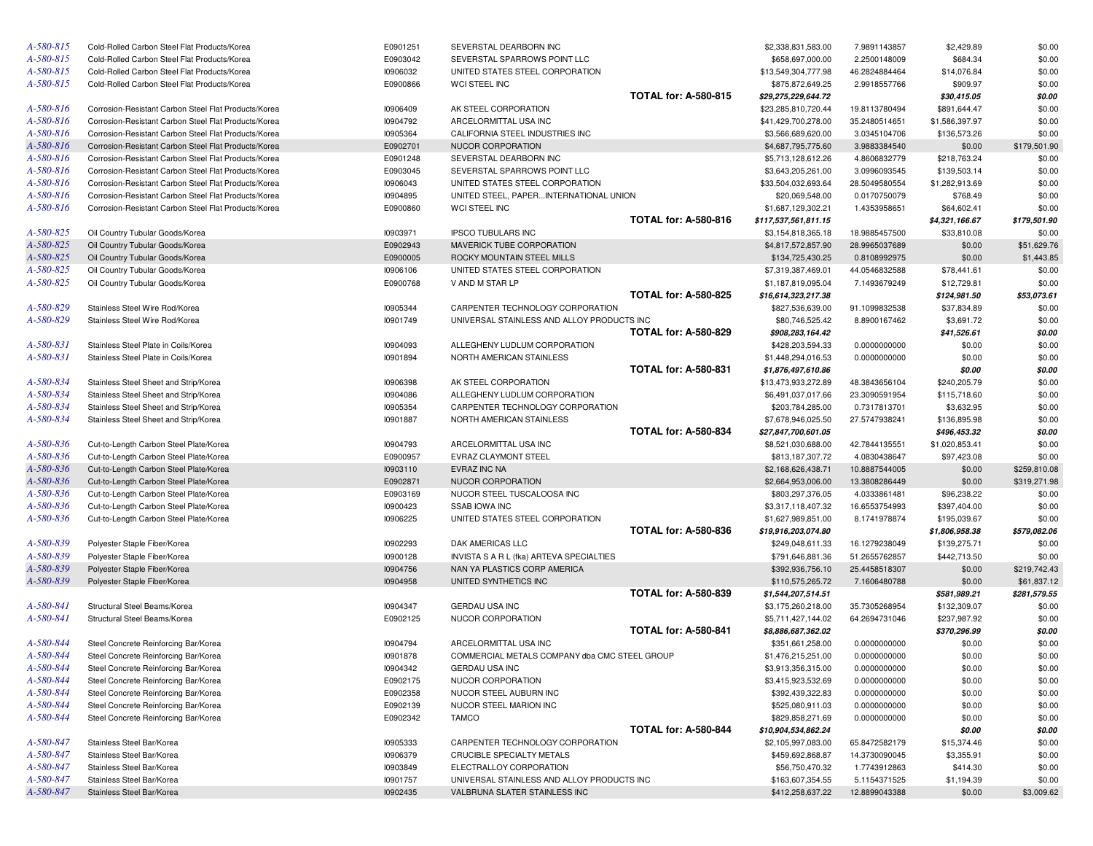| A-580-815 | Cold-Rolled Carbon Steel Flat Products/Korea                       | E0901251             | SEVERSTAL DEARBORN INC                             |                             | \$2,338,831,583.00                       | 7.9891143857                  | \$2,429.89                  | \$0.00           |
|-----------|--------------------------------------------------------------------|----------------------|----------------------------------------------------|-----------------------------|------------------------------------------|-------------------------------|-----------------------------|------------------|
| A-580-815 | Cold-Rolled Carbon Steel Flat Products/Korea                       | E0903042             | SEVERSTAL SPARROWS POINT LLC                       |                             | \$658,697,000.00                         | 2.2500148009                  | \$684.34                    | \$0.00           |
| A-580-815 | Cold-Rolled Carbon Steel Flat Products/Korea                       | 10906032             | UNITED STATES STEEL CORPORATION                    |                             | \$13,549,304,777.98                      | 46.2824884464                 | \$14,076.84                 | \$0.00           |
| A-580-815 | Cold-Rolled Carbon Steel Flat Products/Korea                       | E0900866             | WCI STEEL INC                                      |                             | \$875,872,649.25                         | 2.9918557766                  | \$909.97                    | \$0.00           |
|           |                                                                    |                      |                                                    | <b>TOTAL for: A-580-815</b> | \$29,275,229,644.72                      |                               | \$30,415.05                 | \$0.00           |
| A-580-816 | Corrosion-Resistant Carbon Steel Flat Products/Korea               | 10906409             | AK STEEL CORPORATION                               |                             | \$23,285,810,720.44                      | 19.8113780494                 | \$891,644.47                | \$0.00           |
| A-580-816 | Corrosion-Resistant Carbon Steel Flat Products/Korea               | 10904792             | ARCELORMITTAL USA INC                              |                             | \$41,429,700,278.00                      | 35.2480514651                 | \$1,586,397.97              | \$0.00           |
| A-580-816 | Corrosion-Resistant Carbon Steel Flat Products/Korea               | 10905364             | CALIFORNIA STEEL INDUSTRIES INC                    |                             | \$3,566,689,620.00                       | 3.0345104706                  | \$136,573.26                | \$0.00           |
| A-580-816 | Corrosion-Resistant Carbon Steel Flat Products/Korea               | E0902701             | NUCOR CORPORATION                                  |                             | \$4,687,795,775.60                       | 3.9883384540                  | \$0.00                      | \$179,501.90     |
| A-580-816 | Corrosion-Resistant Carbon Steel Flat Products/Korea               | E0901248             | SEVERSTAL DEARBORN INC                             |                             | \$5,713,128,612.26                       | 4.8606832779                  | \$218,763.24                | \$0.00           |
| A-580-816 | Corrosion-Resistant Carbon Steel Flat Products/Korea               | E0903045             | SEVERSTAL SPARROWS POINT LLC                       |                             | \$3,643,205,261.00                       | 3.0996093545                  | \$139,503.14                | \$0.00           |
| A-580-816 | Corrosion-Resistant Carbon Steel Flat Products/Korea               | 10906043             | UNITED STATES STEEL CORPORATION                    |                             | \$33,504,032,693.64                      | 28.5049580554                 | \$1,282,913.69              | \$0.00           |
| A-580-816 | Corrosion-Resistant Carbon Steel Flat Products/Korea               | 10904895             | UNITED STEEL, PAPERINTERNATIONAL UNION             |                             | \$20,069,548.00                          | 0.0170750079                  | \$768.49                    | \$0.00           |
| A-580-816 | Corrosion-Resistant Carbon Steel Flat Products/Korea               | E0900860             | WCI STEEL INC                                      | <b>TOTAL for: A-580-816</b> | \$1,687,129,302.21                       | 1.4353958651                  | \$64,602.41                 | \$0.00           |
| A-580-825 |                                                                    |                      |                                                    |                             | \$117,537,561,811.15                     |                               | \$4,321,166.67              | \$179,501.90     |
| A-580-825 | Oil Country Tubular Goods/Korea                                    | 10903971<br>E0902943 | <b>IPSCO TUBULARS INC</b>                          |                             | \$3,154,818,365.18                       | 18.9885457500                 | \$33,810.08                 | \$0.00           |
| A-580-825 | Oil Country Tubular Goods/Korea                                    |                      | MAVERICK TUBE CORPORATION                          |                             | \$4,817,572,857.90                       | 28.9965037689                 | \$0.00                      | \$51,629.76      |
| A-580-825 | Oil Country Tubular Goods/Korea                                    | E0900005             | ROCKY MOUNTAIN STEEL MILLS                         |                             | \$134,725,430.25                         | 0.8108992975                  | \$0.00                      | \$1,443.85       |
| A-580-825 | Oil Country Tubular Goods/Korea<br>Oil Country Tubular Goods/Korea | 10906106<br>E0900768 | UNITED STATES STEEL CORPORATION<br>V AND M STAR LP |                             | \$7,319,387,469.01<br>\$1,187,819,095.04 | 44.0546832588<br>7.1493679249 | \$78,441.61<br>\$12,729.81  | \$0.00<br>\$0.00 |
|           |                                                                    |                      |                                                    | <b>TOTAL for: A-580-825</b> | \$16,614,323,217.38                      |                               |                             | \$53,073.61      |
| A-580-829 | Stainless Steel Wire Rod/Korea                                     | 10905344             | CARPENTER TECHNOLOGY CORPORATION                   |                             | \$827,536,639.00                         | 91.1099832538                 | \$124,981.50<br>\$37,834.89 | \$0.00           |
| A-580-829 | Stainless Steel Wire Rod/Korea                                     | 10901749             | UNIVERSAL STAINLESS AND ALLOY PRODUCTS INC         |                             | \$80,746,525.42                          | 8.8900167462                  | \$3,691.72                  | \$0.00           |
|           |                                                                    |                      |                                                    | <b>TOTAL for: A-580-829</b> | \$908,283,164.42                         |                               | \$41,526.61                 | \$0.00           |
| A-580-831 | Stainless Steel Plate in Coils/Korea                               | 10904093             | ALLEGHENY LUDLUM CORPORATION                       |                             | \$428,203,594.33                         | 0.0000000000                  | \$0.00                      | \$0.00           |
| A-580-831 | Stainless Steel Plate in Coils/Korea                               | 10901894             | NORTH AMERICAN STAINLESS                           |                             | \$1,448,294,016.53                       | 0.0000000000                  | \$0.00                      | \$0.00           |
|           |                                                                    |                      |                                                    | <b>TOTAL for: A-580-831</b> | \$1,876,497,610.86                       |                               | \$0.00                      | \$0.00           |
| A-580-834 | Stainless Steel Sheet and Strip/Korea                              | 10906398             | AK STEEL CORPORATION                               |                             | \$13,473,933,272.89                      | 48.3843656104                 | \$240,205.79                | \$0.00           |
| A-580-834 | Stainless Steel Sheet and Strip/Korea                              | 10904086             | ALLEGHENY LUDLUM CORPORATION                       |                             | \$6,491,037,017.66                       | 23.3090591954                 | \$115,718.60                | \$0.00           |
| A-580-834 | Stainless Steel Sheet and Strip/Korea                              | 10905354             | CARPENTER TECHNOLOGY CORPORATION                   |                             | \$203,784,285.00                         | 0.7317813701                  | \$3,632.95                  | \$0.00           |
| A-580-834 | Stainless Steel Sheet and Strip/Korea                              | 10901887             | NORTH AMERICAN STAINLESS                           |                             | \$7,678,946,025.50                       | 27.5747938241                 | \$136,895.98                | \$0.00           |
|           |                                                                    |                      |                                                    | <b>TOTAL for: A-580-834</b> | \$27,847,700,601.05                      |                               | \$496,453.32                | \$0.00           |
| A-580-836 | Cut-to-Length Carbon Steel Plate/Korea                             | 10904793             | ARCELORMITTAL USA INC                              |                             | \$8,521,030,688.00                       | 42.7844135551                 | \$1,020,853.41              | \$0.00           |
| A-580-836 | Cut-to-Length Carbon Steel Plate/Korea                             | E0900957             | EVRAZ CLAYMONT STEEL                               |                             | \$813,187,307.72                         | 4.0830438647                  | \$97,423.08                 | \$0.00           |
| A-580-836 | Cut-to-Length Carbon Steel Plate/Korea                             | 10903110             | EVRAZ INC NA                                       |                             | \$2,168,626,438.71                       | 10.8887544005                 | \$0.00                      | \$259,810.08     |
| A-580-836 | Cut-to-Length Carbon Steel Plate/Korea                             | E0902871             | NUCOR CORPORATION                                  |                             | \$2,664,953,006.00                       | 13.3808286449                 | \$0.00                      | \$319,271.98     |
| A-580-836 | Cut-to-Length Carbon Steel Plate/Korea                             | E0903169             | NUCOR STEEL TUSCALOOSA INC                         |                             | \$803,297,376.05                         | 4.0333861481                  | \$96,238.22                 | \$0.00           |
| A-580-836 | Cut-to-Length Carbon Steel Plate/Korea                             | 10900423             | <b>SSAB IOWA INC</b>                               |                             | \$3,317,118,407.32                       | 16.6553754993                 | \$397,404.00                | \$0.00           |
| A-580-836 | Cut-to-Length Carbon Steel Plate/Korea                             | 10906225             | UNITED STATES STEEL CORPORATION                    |                             | \$1,627,989,851.00                       | 8.1741978874                  | \$195,039.67                | \$0.00           |
|           |                                                                    |                      |                                                    | <b>TOTAL for: A-580-836</b> | \$19,916,203,074.80                      |                               | \$1,806,958.38              | \$579,082.06     |
| A-580-839 | Polyester Staple Fiber/Korea                                       | 10902293             | DAK AMERICAS LLC                                   |                             | \$249,048,611.33                         | 16.1279238049                 | \$139,275.71                | \$0.00           |
| A-580-839 | Polyester Staple Fiber/Korea                                       | 10900128             | INVISTA S A R L (fka) ARTEVA SPECIALTIES           |                             | \$791,646,881.36                         | 51.2655762857                 | \$442,713.50                | \$0.00           |
| A-580-839 | Polyester Staple Fiber/Korea                                       | 10904756             | NAN YA PLASTICS CORP AMERICA                       |                             | \$392,936,756.10                         | 25.4458518307                 | \$0.00                      | \$219,742.43     |
| A-580-839 | Polyester Staple Fiber/Korea                                       | 10904958             | UNITED SYNTHETICS INC                              |                             | \$110,575,265.72                         | 7.1606480788                  | \$0.00                      | \$61,837.12      |
|           |                                                                    |                      |                                                    | <b>TOTAL for: A-580-839</b> | \$1,544,207,514.51                       |                               | \$581,989.21                | \$281,579.55     |
| A-580-841 | Structural Steel Beams/Korea                                       | 10904347             | <b>GERDAU USA INC</b>                              |                             | \$3,175,260,218.00                       | 35.7305268954                 | \$132,309.07                | \$0.00           |
| A-580-841 | Structural Steel Beams/Korea                                       | E0902125             | NUCOR CORPORATION                                  |                             | \$5,711,427,144.02                       | 64.2694731046                 | \$237,987.92                | \$0.00           |
|           |                                                                    |                      |                                                    | <b>TOTAL for: A-580-841</b> | \$8,886,687,362.02                       |                               | \$370,296.99                | \$0.00           |
| A-580-844 | Steel Concrete Reinforcing Bar/Korea                               | 10904794             | ARCELORMITTAL USA INC                              |                             | \$351,661,258.00                         | 0.0000000000                  | \$0.00                      | \$0.00           |
| A-580-844 | Steel Concrete Reinforcing Bar/Korea                               | 10901878             | COMMERCIAL METALS COMPANY dba CMC STEEL GROUP      |                             | \$1.476.215.251.00                       | 0.0000000000                  | \$0.00                      | \$0.00           |
| A-580-844 | Steel Concrete Reinforcing Bar/Korea                               | 10904342             | <b>GERDAU USA INC</b>                              |                             | \$3,913,356,315.00                       | 0.0000000000                  | \$0.00                      | \$0.00           |
| A-580-844 | Steel Concrete Reinforcing Bar/Korea                               | E0902175             | NUCOR CORPORATION                                  |                             | \$3,415,923,532.69                       | 0.0000000000                  | \$0.00                      | \$0.00           |
| A-580-844 | Steel Concrete Reinforcing Bar/Korea                               | E0902358             | NUCOR STEEL AUBURN INC                             |                             | \$392,439,322.83                         | 0.0000000000                  | \$0.00                      | \$0.00           |
| A-580-844 | Steel Concrete Reinforcing Bar/Korea                               | E0902139             | NUCOR STEEL MARION INC                             |                             | \$525,080,911.03                         | 0.0000000000                  | \$0.00                      | \$0.00           |
| A-580-844 | Steel Concrete Reinforcing Bar/Korea                               | E0902342             | <b>TAMCO</b>                                       |                             | \$829,858,271.69                         | 0.0000000000                  | \$0.00                      | \$0.00           |
|           |                                                                    |                      |                                                    | <b>TOTAL for: A-580-844</b> | \$10,904,534,862.24                      |                               | \$0.00                      | \$0.00           |
| A-580-847 | Stainless Steel Bar/Korea                                          | 10905333             | CARPENTER TECHNOLOGY CORPORATION                   |                             | \$2,105,997,083.00                       | 65.8472582179                 | \$15,374.46                 | \$0.00           |
| A-580-847 | Stainless Steel Bar/Korea                                          | 10906379             | CRUCIBLE SPECIALTY METALS                          |                             | \$459,692,868.87                         | 14.3730090045                 | \$3,355.91                  | \$0.00           |
| A-580-847 | Stainless Steel Bar/Korea                                          | 10903849             | ELECTRALLOY CORPORATION                            |                             | \$56,750,470.32                          | 1.7743912863                  | \$414.30                    | \$0.00           |
| A-580-847 | Stainless Steel Bar/Korea                                          | 10901757             | UNIVERSAL STAINLESS AND ALLOY PRODUCTS INC         |                             | \$163,607,354.55                         | 5.1154371525                  | \$1,194.39                  | \$0.00           |
| A-580-847 | Stainless Steel Bar/Korea                                          | 10902435             | VALBRUNA SLATER STAINLESS INC                      |                             | \$412,258,637.22                         | 12.8899043388                 | \$0.00                      | \$3,009.62       |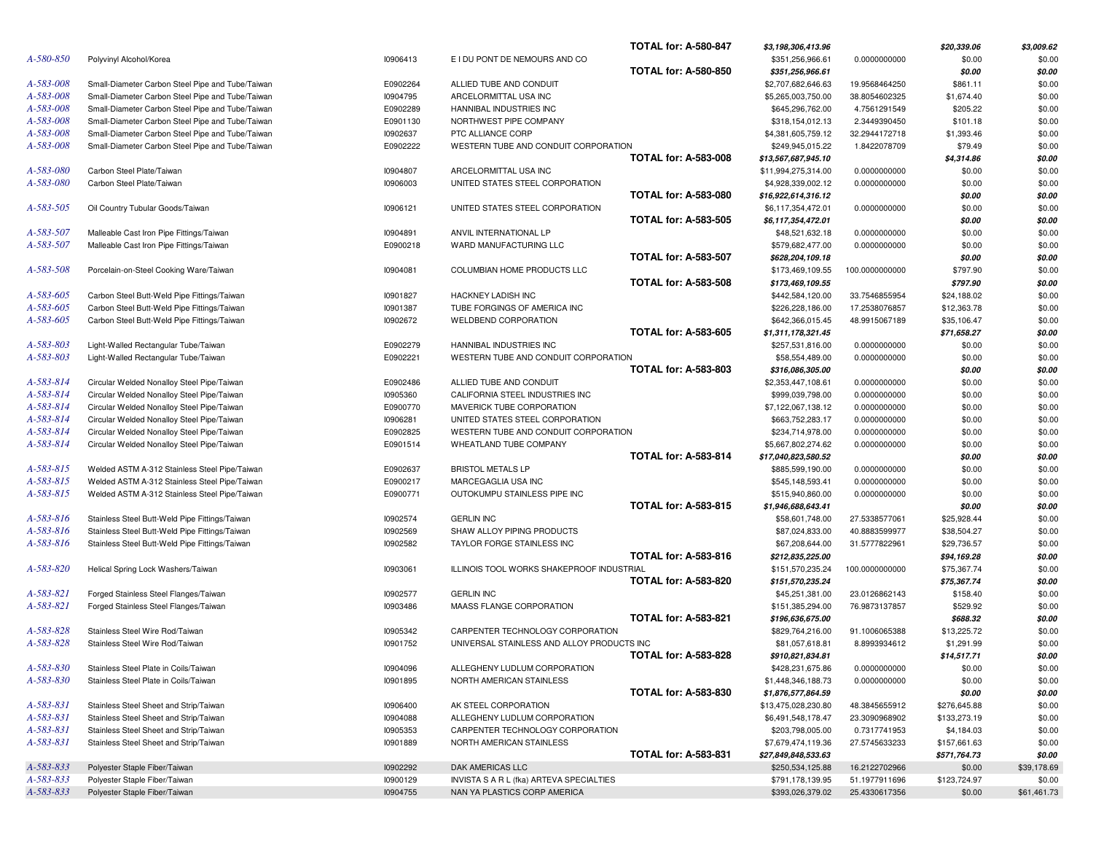|           |                                                  |          |                                            | <b>TOTAL for: A-580-847</b> | \$3,198,306,413.96  |                | \$20,339.06  | \$3,009.62  |
|-----------|--------------------------------------------------|----------|--------------------------------------------|-----------------------------|---------------------|----------------|--------------|-------------|
| A-580-850 | Polyvinyl Alcohol/Korea                          | 10906413 | E I DU PONT DE NEMOURS AND CO              |                             | \$351,256,966.61    | 0.0000000000   | \$0.00       | \$0.00      |
|           |                                                  |          |                                            | <b>TOTAL for: A-580-850</b> | \$351,256,966.61    |                | \$0.00       | \$0.00      |
| A-583-008 | Small-Diameter Carbon Steel Pipe and Tube/Taiwan | E0902264 | ALLIED TUBE AND CONDUIT                    |                             | \$2,707,682,646.63  | 19.9568464250  | \$861.11     | \$0.00      |
| A-583-008 | Small-Diameter Carbon Steel Pipe and Tube/Taiwan | 10904795 | ARCELORMITTAL USA INC                      |                             | \$5,265,003,750.00  | 38.8054602325  | \$1,674.40   | \$0.00      |
| A-583-008 | Small-Diameter Carbon Steel Pipe and Tube/Taiwan | E0902289 | HANNIBAL INDUSTRIES INC                    |                             | \$645,296,762.00    | 4.7561291549   | \$205.22     | \$0.00      |
| A-583-008 | Small-Diameter Carbon Steel Pipe and Tube/Taiwan | E0901130 | NORTHWEST PIPE COMPANY                     |                             | \$318,154,012.13    | 2.3449390450   | \$101.18     | \$0.00      |
| A-583-008 | Small-Diameter Carbon Steel Pipe and Tube/Taiwan | 10902637 | PTC ALLIANCE CORP                          |                             | \$4,381,605,759.12  | 32.2944172718  | \$1,393.46   | \$0.00      |
| A-583-008 | Small-Diameter Carbon Steel Pipe and Tube/Taiwan | E0902222 | WESTERN TUBE AND CONDUIT CORPORATION       |                             | \$249,945,015.22    | 1.8422078709   | \$79.49      | \$0.00      |
|           |                                                  |          |                                            | <b>TOTAL for: A-583-008</b> | \$13,567,687,945.10 |                | \$4,314.86   | \$0.00      |
| A-583-080 | Carbon Steel Plate/Taiwan                        | 10904807 | ARCELORMITTAL USA INC                      |                             | \$11,994,275,314.00 | 0.0000000000   | \$0.00       | \$0.00      |
| A-583-080 | Carbon Steel Plate/Taiwan                        | 10906003 | UNITED STATES STEEL CORPORATION            |                             | \$4,928,339,002.12  | 0.0000000000   | \$0.00       | \$0.00      |
|           |                                                  |          |                                            | <b>TOTAL for: A-583-080</b> | \$16,922,614,316.12 |                | \$0.00       | \$0.00      |
| A-583-505 | Oil Country Tubular Goods/Taiwan                 | 10906121 | UNITED STATES STEEL CORPORATION            |                             | \$6,117,354,472.01  | 0.0000000000   | \$0.00       | \$0.00      |
|           |                                                  |          |                                            | <b>TOTAL for: A-583-505</b> | \$6,117,354,472.01  |                | \$0.00       | \$0.00      |
| A-583-507 | Malleable Cast Iron Pipe Fittings/Taiwan         |          |                                            |                             |                     |                |              |             |
|           |                                                  | 10904891 | ANVIL INTERNATIONAL LP                     |                             | \$48,521,632.18     | 0.0000000000   | \$0.00       | \$0.00      |
| A-583-507 | Malleable Cast Iron Pipe Fittings/Taiwan         | E0900218 | WARD MANUFACTURING LLC                     |                             | \$579,682,477.00    | 0.0000000000   | \$0.00       | \$0.00      |
|           |                                                  |          |                                            | <b>TOTAL for: A-583-507</b> | \$628,204,109.18    |                | \$0.00       | \$0.00      |
| A-583-508 | Porcelain-on-Steel Cooking Ware/Taiwan           | 10904081 | COLUMBIAN HOME PRODUCTS LLC                |                             | \$173,469,109.55    | 100.0000000000 | \$797.90     | \$0.00      |
|           |                                                  |          |                                            | <b>TOTAL for: A-583-508</b> | \$173,469,109.55    |                | \$797.90     | \$0.00      |
| A-583-605 | Carbon Steel Butt-Weld Pipe Fittings/Taiwan      | 10901827 | HACKNEY LADISH INC                         |                             | \$442,584,120.00    | 33.7546855954  | \$24,188.02  | \$0.00      |
| A-583-605 | Carbon Steel Butt-Weld Pipe Fittings/Taiwan      | 10901387 | TUBE FORGINGS OF AMERICA INC               |                             | \$226,228,186.00    | 17.2538076857  | \$12,363.78  | \$0.00      |
| A-583-605 | Carbon Steel Butt-Weld Pipe Fittings/Taiwan      | 10902672 | <b>WELDBEND CORPORATION</b>                |                             | \$642,366,015.45    | 48.9915067189  | \$35,106.47  | \$0.00      |
|           |                                                  |          |                                            | <b>TOTAL for: A-583-605</b> | \$1,311,178,321.45  |                | \$71,658.27  | \$0.00      |
| A-583-803 | Light-Walled Rectangular Tube/Taiwan             | E0902279 | HANNIBAL INDUSTRIES INC                    |                             | \$257,531,816.00    | 0.0000000000   | \$0.00       | \$0.00      |
| A-583-803 | Light-Walled Rectangular Tube/Taiwan             | E0902221 | WESTERN TUBE AND CONDUIT CORPORATION       |                             | \$58,554,489.00     | 0.0000000000   | \$0.00       | \$0.00      |
|           |                                                  |          |                                            | <b>TOTAL for: A-583-803</b> | \$316,086,305.00    |                | \$0.00       | \$0.00      |
| A-583-814 | Circular Welded Nonalloy Steel Pipe/Taiwan       | E0902486 | ALLIED TUBE AND CONDUIT                    |                             | \$2,353,447,108.61  | 0.0000000000   | \$0.00       | \$0.00      |
| A-583-814 | Circular Welded Nonalloy Steel Pipe/Taiwan       | 10905360 | CALIFORNIA STEEL INDUSTRIES INC            |                             | \$999,039,798.00    | 0.0000000000   | \$0.00       | \$0.00      |
| A-583-814 | Circular Welded Nonalloy Steel Pipe/Taiwan       | E0900770 | MAVERICK TUBE CORPORATION                  |                             | \$7,122,067,138.12  | 0.0000000000   | \$0.00       | \$0.00      |
| A-583-814 | Circular Welded Nonalloy Steel Pipe/Taiwan       | 10906281 | UNITED STATES STEEL CORPORATION            |                             | \$663,752,283.17    | 0.0000000000   | \$0.00       | \$0.00      |
| A-583-814 | Circular Welded Nonalloy Steel Pipe/Taiwan       | E0902825 | WESTERN TUBE AND CONDUIT CORPORATION       |                             | \$234,714,978.00    | 0.0000000000   | \$0.00       | \$0.00      |
| A-583-814 | Circular Welded Nonalloy Steel Pipe/Taiwan       | E0901514 | WHEATLAND TUBE COMPANY                     |                             | \$5,667,802,274.62  | 0.0000000000   | \$0.00       | \$0.00      |
|           |                                                  |          |                                            | <b>TOTAL for: A-583-814</b> | \$17,040,823,580.52 |                | \$0.00       | \$0.00      |
| A-583-815 | Welded ASTM A-312 Stainless Steel Pipe/Taiwan    | E0902637 | <b>BRISTOL METALS LP</b>                   |                             | \$885,599,190.00    | 0.0000000000   | \$0.00       | \$0.00      |
| A-583-815 | Welded ASTM A-312 Stainless Steel Pipe/Taiwan    | E0900217 | MARCEGAGLIA USA INC                        |                             | \$545,148,593.41    | 0.0000000000   | \$0.00       | \$0.00      |
| A-583-815 | Welded ASTM A-312 Stainless Steel Pipe/Taiwan    | E0900771 | OUTOKUMPU STAINLESS PIPE INC               |                             | \$515,940,860.00    | 0.0000000000   | \$0.00       | \$0.00      |
|           |                                                  |          |                                            | <b>TOTAL for: A-583-815</b> | \$1,946,688,643.41  |                | \$0.00       | \$0.00      |
| A-583-816 | Stainless Steel Butt-Weld Pipe Fittings/Taiwan   | 10902574 | <b>GERLIN INC</b>                          |                             | \$58,601,748.00     | 27.5338577061  | \$25,928.44  | \$0.00      |
| A-583-816 | Stainless Steel Butt-Weld Pipe Fittings/Taiwan   | 10902569 | SHAW ALLOY PIPING PRODUCTS                 |                             | \$87,024,833.00     | 40.8883599977  | \$38,504.27  | \$0.00      |
| A-583-816 |                                                  |          | TAYLOR FORGE STAINLESS INC                 |                             |                     |                |              |             |
|           | Stainless Steel Butt-Weld Pipe Fittings/Taiwan   | 10902582 |                                            | <b>TOTAL for: A-583-816</b> | \$67,208,644.00     | 31.5777822961  | \$29,736.57  | \$0.00      |
|           |                                                  |          |                                            |                             | \$212,835,225.00    |                | \$94,169.28  | \$0.00      |
| A-583-820 | Helical Spring Lock Washers/Taiwan               | 10903061 | ILLINOIS TOOL WORKS SHAKEPROOF INDUSTRIAL  |                             | \$151,570,235.24    | 100.0000000000 | \$75,367.74  | \$0.00      |
|           |                                                  |          |                                            | <b>TOTAL for: A-583-820</b> | \$151,570,235.24    |                | \$75,367.74  | \$0.00      |
| A-583-821 | Forged Stainless Steel Flanges/Taiwan            | 10902577 | <b>GERLIN INC</b>                          |                             | \$45,251,381.00     | 23.0126862143  | \$158.40     | \$0.00      |
| A-583-821 | Forged Stainless Steel Flanges/Taiwan            | 10903486 | MAASS FLANGE CORPORATION                   |                             | \$151,385,294.00    | 76.9873137857  | \$529.92     | \$0.00      |
|           |                                                  |          |                                            | <b>TOTAL for: A-583-821</b> | \$196,636,675.00    |                | \$688.32     | \$0.00      |
| A-583-828 | Stainless Steel Wire Rod/Taiwan                  | 10905342 | CARPENTER TECHNOLOGY CORPORATION           |                             | \$829,764,216.00    | 91.1006065388  | \$13,225.72  | \$0.00      |
| A-583-828 | Stainless Steel Wire Rod/Taiwan                  | 10901752 | UNIVERSAL STAINLESS AND ALLOY PRODUCTS INC |                             | \$81,057,618.81     | 8.8993934612   | \$1,291.99   | \$0.00      |
|           |                                                  |          |                                            | <b>TOTAL for: A-583-828</b> | \$910,821,834.81    |                | \$14,517.71  | \$0.00      |
| A-583-830 | Stainless Steel Plate in Coils/Taiwan            | 10904096 | ALLEGHENY LUDLUM CORPORATION               |                             | \$428,231,675.86    | 0.0000000000   | \$0.00       | \$0.00      |
| A-583-830 | Stainless Steel Plate in Coils/Taiwan            | 10901895 | NORTH AMERICAN STAINLESS                   |                             | \$1,448,346,188.73  | 0.0000000000   | \$0.00       | \$0.00      |
|           |                                                  |          |                                            | <b>TOTAL for: A-583-830</b> | \$1,876,577,864.59  |                | \$0.00       | \$0.00      |
| A-583-831 | Stainless Steel Sheet and Strip/Taiwan           | 10906400 | AK STEEL CORPORATION                       |                             | \$13,475,028,230.80 | 48.3845655912  | \$276,645.88 | \$0.00      |
| A-583-831 | Stainless Steel Sheet and Strip/Taiwan           | 10904088 | ALLEGHENY LUDLUM CORPORATION               |                             | \$6,491,548,178.47  | 23.3090968902  | \$133,273.19 | \$0.00      |
| A-583-831 | Stainless Steel Sheet and Strip/Taiwan           | 10905353 | CARPENTER TECHNOLOGY CORPORATION           |                             | \$203,798,005.00    | 0.7317741953   | \$4,184.03   | \$0.00      |
| A-583-831 | Stainless Steel Sheet and Strip/Taiwan           | 10901889 | NORTH AMERICAN STAINLESS                   |                             | \$7,679,474,119.36  | 27.5745633233  | \$157,661.63 | \$0.00      |
|           |                                                  |          |                                            | <b>TOTAL for: A-583-831</b> | \$27,849,848,533.63 |                | \$571,764.73 | \$0.00      |
| A-583-833 | Polyester Staple Fiber/Taiwan                    | 10902292 | DAK AMERICAS LLC                           |                             | \$250,534,125.88    | 16.2122702966  | \$0.00       | \$39,178.69 |
| A-583-833 | Polyester Staple Fiber/Taiwan                    | 10900129 | INVISTA S A R L (fka) ARTEVA SPECIALTIES   |                             | \$791,178,139.95    | 51.1977911696  | \$123,724.97 | \$0.00      |
| A-583-833 |                                                  | 10904755 | NAN YA PLASTICS CORP AMERICA               |                             |                     |                | \$0.00       | \$61,461.73 |
|           | Polyester Staple Fiber/Taiwan                    |          |                                            |                             | \$393,026,379.02    | 25.4330617356  |              |             |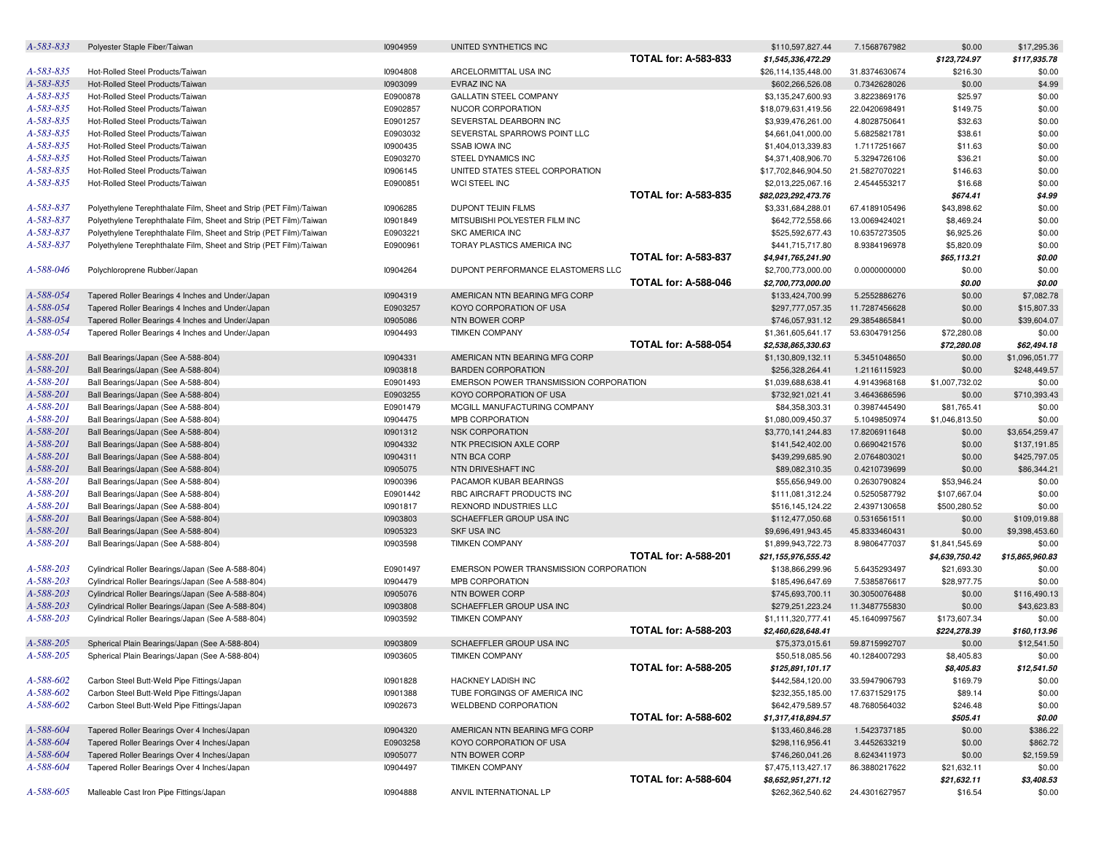| A-583-833 | Polyester Staple Fiber/Taiwan                                      | 10904959 | UNITED SYNTHETICS INC                  |                             | \$110,597,827.44    | 7.1568767982  | \$0.00         | \$17,295.36     |
|-----------|--------------------------------------------------------------------|----------|----------------------------------------|-----------------------------|---------------------|---------------|----------------|-----------------|
|           |                                                                    |          |                                        | <b>TOTAL for: A-583-833</b> | \$1,545,336,472.29  |               | \$123,724.97   | \$117,935.78    |
| A-583-835 | Hot-Rolled Steel Products/Taiwan                                   | 10904808 | ARCELORMITTAL USA INC                  |                             | \$26,114,135,448.00 | 31.8374630674 | \$216.30       | \$0.00          |
| A-583-835 | Hot-Rolled Steel Products/Taiwan                                   | 10903099 | <b>EVRAZ INC NA</b>                    |                             | \$602,266,526.08    | 0.7342628026  | \$0.00         | \$4.99          |
| A-583-835 | Hot-Rolled Steel Products/Taiwan                                   | E0900878 | <b>GALLATIN STEEL COMPANY</b>          |                             | \$3,135,247,600.93  | 3.8223869176  | \$25.97        | \$0.00          |
| A-583-835 | Hot-Rolled Steel Products/Taiwan                                   | E0902857 | NUCOR CORPORATION                      |                             | \$18,079,631,419.56 | 22.0420698491 | \$149.75       | \$0.00          |
| A-583-835 | Hot-Rolled Steel Products/Taiwan                                   | E0901257 | SEVERSTAL DEARBORN INC                 |                             | \$3,939,476,261.00  | 4.8028750641  | \$32.63        | \$0.00          |
| A-583-835 | Hot-Rolled Steel Products/Taiwan                                   | E0903032 | SEVERSTAL SPARROWS POINT LLC           |                             | \$4,661,041,000.00  | 5.6825821781  | \$38.61        | \$0.00          |
| A-583-835 | Hot-Rolled Steel Products/Taiwan                                   | 10900435 | <b>SSAB IOWA INC</b>                   |                             | \$1,404,013,339.83  | 1.7117251667  | \$11.63        | \$0.00          |
| A-583-835 | Hot-Rolled Steel Products/Taiwan                                   | E0903270 | STEEL DYNAMICS INC                     |                             | \$4,371,408,906.70  | 5.3294726106  | \$36.21        | \$0.00          |
| A-583-835 | Hot-Rolled Steel Products/Taiwan                                   | 10906145 | UNITED STATES STEEL CORPORATION        |                             | \$17,702,846,904.50 | 21.5827070221 | \$146.63       | \$0.00          |
| A-583-835 | Hot-Rolled Steel Products/Taiwan                                   | E0900851 | WCI STEEL INC                          |                             | \$2,013,225,067.16  | 2.4544553217  | \$16.68        | \$0.00          |
|           |                                                                    |          |                                        | <b>TOTAL for: A-583-835</b> | \$82,023,292,473.76 |               | \$674.41       | \$4.99          |
| A-583-837 | Polyethylene Terephthalate Film, Sheet and Strip (PET Film)/Taiwan | 10906285 | DUPONT TEIJIN FILMS                    |                             | \$3,331,684,288.01  | 67.4189105496 | \$43,898.62    | \$0.00          |
| A-583-837 | Polyethylene Terephthalate Film, Sheet and Strip (PET Film)/Taiwan |          |                                        |                             |                     |               |                |                 |
|           |                                                                    | 10901849 | MITSUBISHI POLYESTER FILM INC          |                             | \$642,772,558.66    | 13.0069424021 | \$8,469.24     | \$0.00          |
| A-583-837 | Polyethylene Terephthalate Film, Sheet and Strip (PET Film)/Taiwan | E0903221 | <b>SKC AMERICA INC</b>                 |                             | \$525,592,677.43    | 10.6357273505 | \$6,925.26     | \$0.00          |
| A-583-837 | Polyethylene Terephthalate Film, Sheet and Strip (PET Film)/Taiwan | E0900961 | TORAY PLASTICS AMERICA INC             |                             | \$441,715,717.80    | 8.9384196978  | \$5,820.09     | \$0.00          |
|           |                                                                    |          |                                        | <b>TOTAL for: A-583-837</b> | \$4,941,765,241.90  |               | \$65,113.21    | \$0.00          |
| A-588-046 | Polychloroprene Rubber/Japan                                       | 10904264 | DUPONT PERFORMANCE ELASTOMERS LLC      |                             | \$2,700,773,000.00  | 0.0000000000  | \$0.00         | \$0.00          |
|           |                                                                    |          |                                        | <b>TOTAL for: A-588-046</b> | \$2,700,773,000.00  |               | \$0.00         | \$0.00          |
| A-588-054 | Tapered Roller Bearings 4 Inches and Under/Japan                   | 10904319 | AMERICAN NTN BEARING MFG CORP          |                             | \$133,424,700.99    | 5.2552886276  | \$0.00         | \$7,082.78      |
| A-588-054 | Tapered Roller Bearings 4 Inches and Under/Japan                   | E0903257 | KOYO CORPORATION OF USA                |                             | \$297,777,057.35    | 11.7287456628 | \$0.00         | \$15,807.33     |
| A-588-054 | Tapered Roller Bearings 4 Inches and Under/Japan                   | 10905086 | NTN BOWER CORP                         |                             | \$746,057,931.12    | 29.3854865841 | \$0.00         | \$39,604.07     |
| A-588-054 | Tapered Roller Bearings 4 Inches and Under/Japan                   | 10904493 | <b>TIMKEN COMPANY</b>                  |                             | \$1,361,605,641.17  | 53.6304791256 | \$72,280.08    | \$0.00          |
|           |                                                                    |          |                                        | <b>TOTAL for: A-588-054</b> | \$2,538,865,330.63  |               | \$72,280.08    | \$62,494.18     |
| A-588-201 | Ball Bearings/Japan (See A-588-804)                                | 10904331 | AMERICAN NTN BEARING MFG CORP          |                             | \$1,130,809,132.11  | 5.3451048650  | \$0.00         | \$1,096,051.77  |
| A-588-201 | Ball Bearings/Japan (See A-588-804)                                | 10903818 | <b>BARDEN CORPORATION</b>              |                             | \$256,328,264.41    | 1.2116115923  | \$0.00         | \$248,449.57    |
| A-588-201 | Ball Bearings/Japan (See A-588-804)                                | E0901493 | EMERSON POWER TRANSMISSION CORPORATION |                             | \$1,039,688,638.41  | 4.9143968168  | \$1,007,732.02 | \$0.00          |
| A-588-201 | Ball Bearings/Japan (See A-588-804)                                | E0903255 | KOYO CORPORATION OF USA                |                             | \$732,921,021.41    | 3.4643686596  | \$0.00         | \$710,393.43    |
| A-588-201 | Ball Bearings/Japan (See A-588-804)                                | E0901479 | MCGILL MANUFACTURING COMPANY           |                             | \$84,358,303.31     | 0.3987445490  | \$81,765.41    | \$0.00          |
| A-588-201 | Ball Bearings/Japan (See A-588-804)                                | 10904475 | MPB CORPORATION                        |                             | \$1,080,009,450.37  | 5.1049850974  | \$1,046,813.50 | \$0.00          |
| A-588-201 | Ball Bearings/Japan (See A-588-804)                                | 10901312 | <b>NSK CORPORATION</b>                 |                             | \$3,770,141,244.83  | 17.8206911648 | \$0.00         | \$3,654,259.47  |
| A-588-201 | Ball Bearings/Japan (See A-588-804)                                | 10904332 | NTK PRECISION AXLE CORP                |                             | \$141,542,402.00    | 0.6690421576  | \$0.00         | \$137,191.85    |
| A-588-201 | Ball Bearings/Japan (See A-588-804)                                | 10904311 | NTN BCA CORP                           |                             | \$439,299,685.90    | 2.0764803021  | \$0.00         | \$425,797.05    |
| A-588-201 | Ball Bearings/Japan (See A-588-804)                                | 10905075 | NTN DRIVESHAFT INC                     |                             | \$89,082,310.35     | 0.4210739699  | \$0.00         | \$86,344.21     |
| A-588-201 | Ball Bearings/Japan (See A-588-804)                                | 10900396 | PACAMOR KUBAR BEARINGS                 |                             | \$55,656,949.00     | 0.2630790824  | \$53,946.24    | \$0.00          |
| A-588-201 | Ball Bearings/Japan (See A-588-804)                                | E0901442 | RBC AIRCRAFT PRODUCTS INC              |                             | \$111,081,312.24    | 0.5250587792  | \$107,667.04   | \$0.00          |
| A-588-201 | Ball Bearings/Japan (See A-588-804)                                | 10901817 | REXNORD INDUSTRIES LLC                 |                             | \$516,145,124.22    | 2.4397130658  | \$500,280.52   | \$0.00          |
| A-588-201 | Ball Bearings/Japan (See A-588-804)                                | 10903803 | SCHAEFFLER GROUP USA INC               |                             | \$112,477,050.68    | 0.5316561511  | \$0.00         | \$109,019.88    |
| A-588-201 | Ball Bearings/Japan (See A-588-804)                                | 10905323 | <b>SKF USA INC</b>                     |                             | \$9,696,491,943.45  | 45.8333460431 | \$0.00         | \$9,398,453.60  |
| A-588-201 |                                                                    |          |                                        |                             |                     |               |                |                 |
|           | Ball Bearings/Japan (See A-588-804)                                | 10903598 | <b>TIMKEN COMPANY</b>                  | <b>TOTAL for: A-588-201</b> | \$1,899,943,722.73  | 8.9806477037  | \$1,841,545.69 | \$0.00          |
|           |                                                                    |          |                                        |                             | \$21,155,976,555.42 |               | \$4,639,750.42 | \$15,865,960.83 |
| A-588-203 | Cylindrical Roller Bearings/Japan (See A-588-804)                  | E0901497 | EMERSON POWER TRANSMISSION CORPORATION |                             | \$138,866,299.96    | 5.6435293497  | \$21,693.30    | \$0.00          |
| A-588-203 | Cylindrical Roller Bearings/Japan (See A-588-804)                  | 10904479 | MPB CORPORATION                        |                             | \$185,496,647.69    | 7.5385876617  | \$28,977.75    | \$0.00          |
| A-588-203 | Cylindrical Roller Bearings/Japan (See A-588-804)                  | 10905076 | NTN BOWER CORP                         |                             | \$745,693,700.11    | 30.3050076488 | \$0.00         | \$116,490.13    |
| A-588-203 | Cylindrical Roller Bearings/Japan (See A-588-804)                  | 10903808 | SCHAEFFLER GROUP USA INC               |                             | \$279,251,223.24    | 11.3487755830 | \$0.00         | \$43,623.83     |
| A-588-203 | Cylindrical Roller Bearings/Japan (See A-588-804)                  | 10903592 | <b>TIMKEN COMPANY</b>                  |                             | \$1,111,320,777.41  | 45.1640997567 | \$173,607.34   | \$0.00          |
|           |                                                                    |          |                                        | <b>TOTAL for: A-588-203</b> | \$2,460,628,648.41  |               | \$224,278.39   | \$160,113.96    |
| A-588-205 | Spherical Plain Bearings/Japan (See A-588-804)                     | 10903809 | SCHAEFFLER GROUP USA INC               |                             | \$75,373,015.61     | 59.8715992707 | \$0.00         | \$12,541.50     |
| A-588-205 | Spherical Plain Bearings/Japan (See A-588-804)                     | 10903605 | <b>TIMKEN COMPANY</b>                  |                             | \$50,518,085.56     | 40.1284007293 | \$8,405.83     | \$0.00          |
|           |                                                                    |          |                                        | <b>TOTAL for: A-588-205</b> | \$125,891,101.17    |               | \$8,405.83     | \$12,541.50     |
| A-588-602 | Carbon Steel Butt-Weld Pipe Fittings/Japan                         | 10901828 | HACKNEY LADISH INC                     |                             | \$442,584,120.00    | 33.5947906793 | \$169.79       | \$0.00          |
| A-588-602 | Carbon Steel Butt-Weld Pipe Fittings/Japan                         | 10901388 | TUBE FORGINGS OF AMERICA INC           |                             | \$232,355,185.00    | 17.6371529175 | \$89.14        | \$0.00          |
| A-588-602 | Carbon Steel Butt-Weld Pipe Fittings/Japan                         | 10902673 | WELDBEND CORPORATION                   |                             | \$642,479,589.57    | 48.7680564032 | \$246.48       | \$0.00          |
|           |                                                                    |          |                                        | <b>TOTAL for: A-588-602</b> | \$1,317,418,894.57  |               | \$505.41       | \$0.00          |
| A-588-604 | Tapered Roller Bearings Over 4 Inches/Japan                        | 10904320 | AMERICAN NTN BEARING MFG CORP          |                             | \$133,460,846.28    | 1.5423737185  | \$0.00         | \$386.22        |
| A-588-604 | Tapered Roller Bearings Over 4 Inches/Japan                        | E0903258 | KOYO CORPORATION OF USA                |                             | \$298,116,956.41    | 3.4452633219  | \$0.00         | \$862.72        |
| A-588-604 | Tapered Roller Bearings Over 4 Inches/Japan                        | 10905077 | NTN BOWER CORP                         |                             | \$746,260,041.26    | 8.6243411973  | \$0.00         | \$2,159.59      |
| A-588-604 | Tapered Roller Bearings Over 4 Inches/Japan                        | 10904497 | <b>TIMKEN COMPANY</b>                  |                             | \$7,475,113,427.17  | 86.3880217622 | \$21,632.11    | \$0.00          |
|           |                                                                    |          |                                        | <b>TOTAL for: A-588-604</b> | \$8,652,951,271.12  |               | \$21,632.11    | \$3,408.53      |
| A-588-605 | Malleable Cast Iron Pipe Fittings/Japan                            | 10904888 | ANVIL INTERNATIONAL LP                 |                             | \$262,362,540.62    | 24.4301627957 | \$16.54        | \$0.00          |
|           |                                                                    |          |                                        |                             |                     |               |                |                 |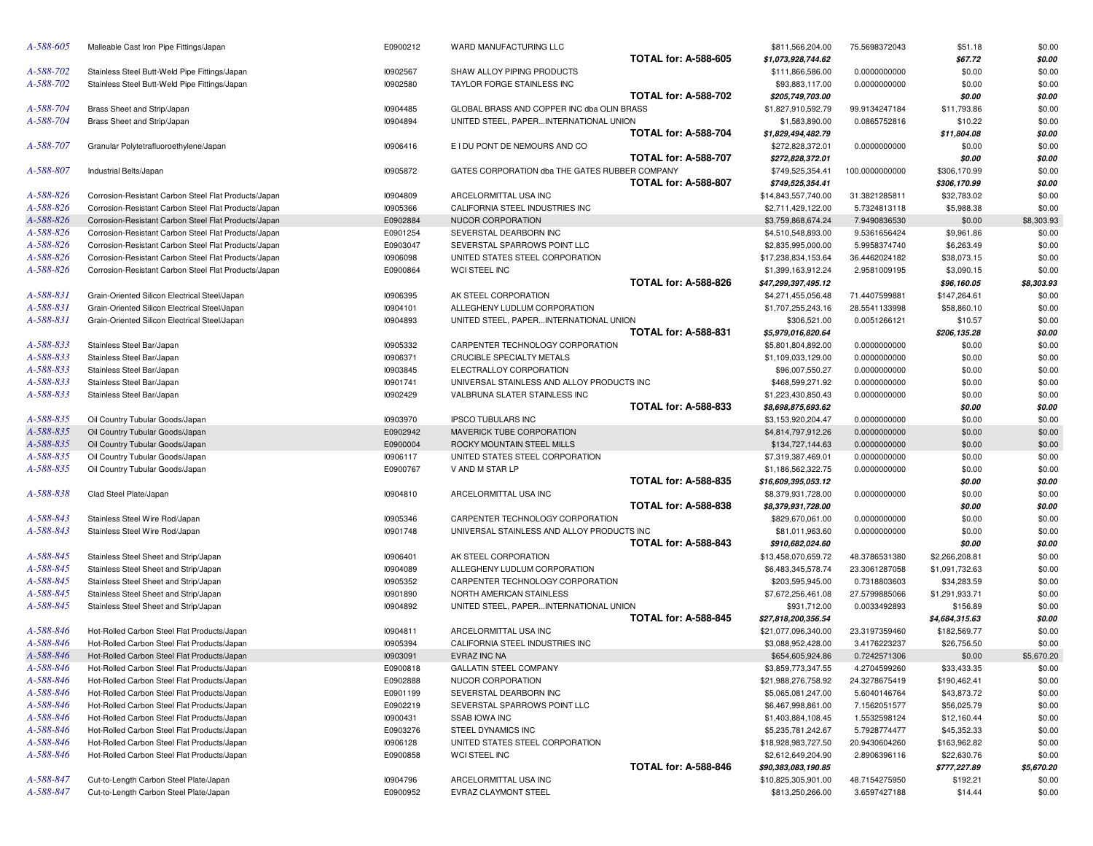| A-588-605 | Malleable Cast Iron Pipe Fittings/Japan              | E0900212        | WARD MANUFACTURING LLC                         |                             | \$811,566,204.00    | 75.5698372043  | \$51.18        | \$0.00     |
|-----------|------------------------------------------------------|-----------------|------------------------------------------------|-----------------------------|---------------------|----------------|----------------|------------|
|           |                                                      |                 |                                                | <b>TOTAL for: A-588-605</b> | \$1,073,928,744.62  |                | \$67.72        | \$0.00     |
| A-588-702 | Stainless Steel Butt-Weld Pipe Fittings/Japan        | 10902567        | SHAW ALLOY PIPING PRODUCTS                     |                             | \$111,866,586.00    | 0.0000000000   | \$0.00         | \$0.00     |
| A-588-702 | Stainless Steel Butt-Weld Pipe Fittings/Japan        | 10902580        | TAYLOR FORGE STAINLESS INC                     |                             | \$93,883,117.00     | 0.0000000000   | \$0.00         | \$0.00     |
|           |                                                      |                 |                                                | <b>TOTAL for: A-588-702</b> | \$205,749,703.00    |                | \$0.00         | \$0.00     |
| A-588-704 | Brass Sheet and Strip/Japan                          | 10904485        | GLOBAL BRASS AND COPPER INC dba OLIN BRASS     |                             | \$1,827,910,592.79  | 99.9134247184  | \$11,793.86    | \$0.00     |
| A-588-704 | Brass Sheet and Strip/Japan                          | 10904894        | UNITED STEEL, PAPERINTERNATIONAL UNION         |                             | \$1,583,890.00      | 0.0865752816   | \$10.22        | \$0.00     |
|           |                                                      |                 |                                                | <b>TOTAL for: A-588-704</b> | \$1,829,494,482.79  |                | \$11,804.08    | \$0.00     |
| A-588-707 | Granular Polytetrafluoroethylene/Japan               | 10906416        | E I DU PONT DE NEMOURS AND CO                  |                             | \$272,828,372.01    | 0.0000000000   | \$0.00         | \$0.00     |
|           |                                                      |                 |                                                | <b>TOTAL for: A-588-707</b> | \$272,828,372.01    |                | \$0.00         | \$0.00     |
| A-588-807 |                                                      |                 | GATES CORPORATION dba THE GATES RUBBER COMPANY |                             |                     |                |                |            |
|           | Industrial Belts/Japan                               | <b>I0905872</b> |                                                | <b>TOTAL for: A-588-807</b> | \$749,525,354.41    | 100.0000000000 | \$306,170.99   | \$0.00     |
|           |                                                      |                 |                                                |                             | \$749,525,354.41    |                | \$306,170.99   | \$0.00     |
| A-588-826 | Corrosion-Resistant Carbon Steel Flat Products/Japan | 10904809        | ARCELORMITTAL USA INC                          |                             | \$14,843,557,740.00 | 31.3821285811  | \$32,783.02    | \$0.00     |
| A-588-826 | Corrosion-Resistant Carbon Steel Flat Products/Japan | <b>I0905366</b> | CALIFORNIA STEEL INDUSTRIES INC                |                             | \$2,711,429,122.00  | 5.7324813118   | \$5,988.38     | \$0.00     |
| A-588-826 | Corrosion-Resistant Carbon Steel Flat Products/Japan | E0902884        | NUCOR CORPORATION                              |                             | \$3,759,868,674.24  | 7.9490836530   | \$0.00         | \$8,303.93 |
| A-588-826 | Corrosion-Resistant Carbon Steel Flat Products/Japan | E0901254        | SEVERSTAL DEARBORN INC                         |                             | \$4,510,548,893.00  | 9.5361656424   | \$9,961.86     | \$0.00     |
| A-588-826 | Corrosion-Resistant Carbon Steel Flat Products/Japan | E0903047        | SEVERSTAL SPARROWS POINT LLC                   |                             | \$2,835,995,000.00  | 5.9958374740   | \$6,263.49     | \$0.00     |
| A-588-826 | Corrosion-Resistant Carbon Steel Flat Products/Japan | 10906098        | UNITED STATES STEEL CORPORATION                |                             | \$17,238,834,153.64 | 36.4462024182  | \$38,073.15    | \$0.00     |
| A-588-826 | Corrosion-Resistant Carbon Steel Flat Products/Japan | E0900864        | WCI STEEL INC                                  |                             | \$1,399,163,912.24  | 2.9581009195   | \$3,090.15     | \$0.00     |
|           |                                                      |                 |                                                | <b>TOTAL for: A-588-826</b> | \$47,299,397,495.12 |                | \$96,160.05    | \$8,303.93 |
| A-588-831 | Grain-Oriented Silicon Electrical Steel/Japan        | 10906395        | AK STEEL CORPORATION                           |                             | \$4,271,455,056.48  | 71.4407599881  | \$147,264.61   | \$0.00     |
| A-588-831 | Grain-Oriented Silicon Electrical Steel/Japan        | 10904101        | ALLEGHENY LUDLUM CORPORATION                   |                             | \$1,707,255,243.16  | 28.5541133998  | \$58,860.10    | \$0.00     |
| A-588-831 | Grain-Oriented Silicon Electrical Steel/Japan        | 10904893        | UNITED STEEL, PAPERINTERNATIONAL UNION         |                             | \$306.521.00        | 0.0051266121   | \$10.57        | \$0.00     |
|           |                                                      |                 |                                                | <b>TOTAL for: A-588-831</b> | \$5,979,016,820.64  |                | \$206,135.28   | \$0.00     |
| A-588-833 | Stainless Steel Bar/Japan                            | 10905332        | CARPENTER TECHNOLOGY CORPORATION               |                             | \$5,801,804,892.00  | 0.0000000000   | \$0.00         | \$0.00     |
| A-588-833 | Stainless Steel Bar/Japan                            | 10906371        | CRUCIBLE SPECIALTY METALS                      |                             | \$1,109,033,129.00  | 0.0000000000   | \$0.00         | \$0.00     |
| A-588-833 | Stainless Steel Bar/Japan                            | 10903845        | ELECTRALLOY CORPORATION                        |                             | \$96,007,550.27     | 0.0000000000   | \$0.00         | \$0.00     |
| A-588-833 | Stainless Steel Bar/Japan                            | 10901741        | UNIVERSAL STAINLESS AND ALLOY PRODUCTS INC     |                             | \$468,599,271.92    | 0.0000000000   | \$0.00         | \$0.00     |
| A-588-833 | Stainless Steel Bar/Japan                            | 10902429        | VALBRUNA SLATER STAINLESS INC                  |                             | \$1,223,430,850.43  | 0.0000000000   | \$0.00         | \$0.00     |
|           |                                                      |                 |                                                | <b>TOTAL for: A-588-833</b> | \$8,698,875,693.62  |                | \$0.00         | \$0.00     |
| A-588-835 |                                                      | 10903970        | <b>IPSCO TUBULARS INC</b>                      |                             |                     |                |                |            |
|           | Oil Country Tubular Goods/Japan                      |                 |                                                |                             | \$3,153,920,204.47  | 0.0000000000   | \$0.00         | \$0.00     |
| A-588-835 | Oil Country Tubular Goods/Japan                      | E0902942        | MAVERICK TUBE CORPORATION                      |                             | \$4,814,797,912.26  | 0.0000000000   | \$0.00         | \$0.00     |
| A-588-835 | Oil Country Tubular Goods/Japan                      | E0900004        | ROCKY MOUNTAIN STEEL MILLS                     |                             | \$134,727,144.63    | 0.0000000000   | \$0.00         | \$0.00     |
| A-588-835 | Oil Country Tubular Goods/Japan                      | 10906117        | UNITED STATES STEEL CORPORATION                |                             | \$7,319,387,469.01  | 0.0000000000   | \$0.00         | \$0.00     |
| A-588-835 | Oil Country Tubular Goods/Japan                      | E0900767        | V AND M STAR LP                                |                             | \$1,186,562,322.75  | 0.0000000000   | \$0.00         | \$0.00     |
|           |                                                      |                 |                                                | <b>TOTAL for: A-588-835</b> | \$16,609,395,053.12 |                | \$0.00         | \$0.00     |
| A-588-838 | Clad Steel Plate/Japan                               | 10904810        | ARCELORMITTAL USA INC                          |                             | \$8,379,931,728.00  | 0.0000000000   | \$0.00         | \$0.00     |
|           |                                                      |                 |                                                | <b>TOTAL for: A-588-838</b> | \$8,379,931,728.00  |                | \$0.00         | \$0.00     |
| A-588-843 | Stainless Steel Wire Rod/Japan                       | 10905346        | CARPENTER TECHNOLOGY CORPORATION               |                             | \$829,670,061.00    | 0.0000000000   | \$0.00         | \$0.00     |
| A-588-843 | Stainless Steel Wire Rod/Japan                       | 10901748        | UNIVERSAL STAINLESS AND ALLOY PRODUCTS INC     |                             | \$81,011,963.60     | 0.0000000000   | \$0.00         | \$0.00     |
|           |                                                      |                 |                                                | <b>TOTAL for: A-588-843</b> | \$910,682,024.60    |                | \$0.00         | \$0.00     |
| A-588-845 | Stainless Steel Sheet and Strip/Japan                | 10906401        | AK STEEL CORPORATION                           |                             | \$13,458,070,659.72 | 48.3786531380  | \$2,266,208.81 | \$0.00     |
| A-588-845 | Stainless Steel Sheet and Strip/Japan                | 10904089        | ALLEGHENY LUDLUM CORPORATION                   |                             | \$6,483,345,578.74  | 23.3061287058  | \$1,091,732.63 | \$0.00     |
| A-588-845 | Stainless Steel Sheet and Strip/Japan                | 10905352        | CARPENTER TECHNOLOGY CORPORATION               |                             | \$203,595,945.00    | 0.7318803603   | \$34,283.59    | \$0.00     |
| A-588-845 | Stainless Steel Sheet and Strip/Japan                | 10901890        | NORTH AMERICAN STAINLESS                       |                             | \$7,672,256,461.08  | 27.5799885066  | \$1,291,933.71 | \$0.00     |
| A-588-845 | Stainless Steel Sheet and Strip/Japan                | 10904892        | UNITED STEEL, PAPERINTERNATIONAL UNION         |                             | \$931,712.00        | 0.0033492893   | \$156.89       | \$0.00     |
|           |                                                      |                 |                                                | <b>TOTAL for: A-588-845</b> | \$27,818,200,356.54 |                | \$4,684,315.63 | \$0.00     |
| A-588-846 | Hot-Rolled Carbon Steel Flat Products/Japan          | 10904811        | ARCELORMITTAL USA INC                          |                             | \$21,077,096,340.00 | 23.3197359460  | \$182,569.77   | \$0.00     |
| A-588-846 | Hot-Rolled Carbon Steel Flat Products/Japan          | 10905394        | CALIFORNIA STEEL INDUSTRIES INC                |                             | \$3,088,952,428.00  | 3.4176223237   | \$26,756.50    | \$0.00     |
| A-588-846 | Hot-Rolled Carbon Steel Flat Products/Japan          | 10903091        | EVRAZ INC NA                                   |                             | \$654,605,924.86    | 0.7242571306   | \$0.00         | \$5,670.20 |
| A-588-846 | Hot-Rolled Carbon Steel Flat Products/Japan          |                 | <b>GALLATIN STEEL COMPANY</b>                  |                             |                     |                |                |            |
| A-588-846 |                                                      | E0900818        |                                                |                             | \$3,859,773,347.55  | 4.2704599260   | \$33,433.35    | \$0.00     |
|           | Hot-Rolled Carbon Steel Flat Products/Japan          | E0902888        | NUCOR CORPORATION                              |                             | \$21,988,276,758.92 | 24.3278675419  | \$190,462.41   | \$0.00     |
| A-588-846 | Hot-Rolled Carbon Steel Flat Products/Japan          | E0901199        | SEVERSTAL DEARBORN INC                         |                             | \$5,065,081,247.00  | 5.6040146764   | \$43,873.72    | \$0.00     |
| A-588-846 | Hot-Rolled Carbon Steel Flat Products/Japan          | E0902219        | SEVERSTAL SPARROWS POINT LLC                   |                             | \$6,467,998,861.00  | 7.1562051577   | \$56,025.79    | \$0.00     |
| A-588-846 | Hot-Rolled Carbon Steel Flat Products/Japan          | 10900431        | <b>SSAB IOWA INC</b>                           |                             | \$1,403,884,108.45  | 1.5532598124   | \$12,160.44    | \$0.00     |
| A-588-846 | Hot-Rolled Carbon Steel Flat Products/Japan          | E0903276        | <b>STEEL DYNAMICS INC</b>                      |                             | \$5,235,781,242.67  | 5.7928774477   | \$45,352.33    | \$0.00     |
| A-588-846 | Hot-Rolled Carbon Steel Flat Products/Japan          | 10906128        | UNITED STATES STEEL CORPORATION                |                             | \$18,928,983,727.50 | 20.9430604260  | \$163,962.82   | \$0.00     |
| A-588-846 | Hot-Rolled Carbon Steel Flat Products/Japan          | E0900858        | WCI STEEL INC                                  |                             | \$2,612,649,204.90  | 2.8906396116   | \$22,630.76    | \$0.00     |
|           |                                                      |                 |                                                | <b>TOTAL for: A-588-846</b> | \$90,383,083,190.85 |                | \$777,227.89   | \$5,670.20 |
| A-588-847 | Cut-to-Length Carbon Steel Plate/Japan               | 10904796        | ARCELORMITTAL USA INC                          |                             | \$10,825,305,901.00 | 48.7154275950  | \$192.21       | \$0.00     |
| A-588-847 | Cut-to-Length Carbon Steel Plate/Japan               | E0900952        | EVRAZ CLAYMONT STEEL                           |                             | \$813,250,266.00    | 3.6597427188   | \$14.44        | \$0.00     |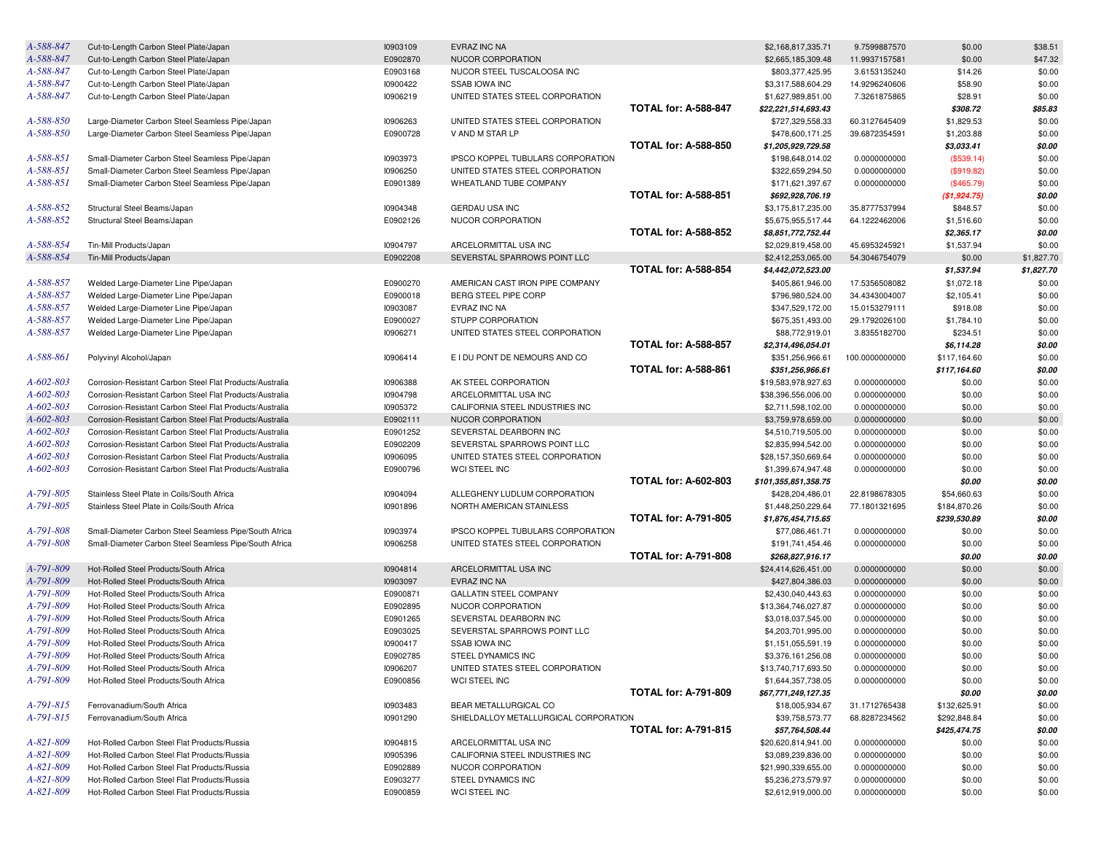| A-588-847              | Cut-to-Length Carbon Steel Plate/Japan                                           | 10903109 | EVRAZ INC NA                          |                             | \$2,168,817,335.71                        | 9.7599887570   | \$0.00       | \$38.51          |
|------------------------|----------------------------------------------------------------------------------|----------|---------------------------------------|-----------------------------|-------------------------------------------|----------------|--------------|------------------|
| A-588-847              | Cut-to-Length Carbon Steel Plate/Japan                                           | E0902870 | NUCOR CORPORATION                     |                             | \$2,665,185,309.48                        | 11.9937157581  | \$0.00       | \$47.32          |
| A-588-847              | Cut-to-Length Carbon Steel Plate/Japan                                           | E0903168 | NUCOR STEEL TUSCALOOSA INC            |                             | \$803,377,425.95                          | 3.6153135240   | \$14.26      | \$0.00           |
| A-588-847              | Cut-to-Length Carbon Steel Plate/Japan                                           | 10900422 | <b>SSAB IOWA INC</b>                  |                             | \$3,317,588,604.29                        | 14.9296240606  | \$58.90      | \$0.00           |
| A-588-847              | Cut-to-Length Carbon Steel Plate/Japan                                           | 10906219 | UNITED STATES STEEL CORPORATION       |                             | \$1,627,989,851.00                        | 7.3261875865   | \$28.91      | \$0.00           |
|                        |                                                                                  |          |                                       | <b>TOTAL for: A-588-847</b> | \$22,221,514,693.43                       |                | \$308.72     | \$85.83          |
| A-588-850              | Large-Diameter Carbon Steel Seamless Pipe/Japan                                  | 10906263 | UNITED STATES STEEL CORPORATION       |                             | \$727,329,558.33                          | 60.3127645409  | \$1,829.53   | \$0.00           |
| A-588-850              | Large-Diameter Carbon Steel Seamless Pipe/Japan                                  | E0900728 | V AND M STAR LP                       |                             | \$478,600,171.25                          | 39.6872354591  | \$1,203.88   | \$0.00           |
|                        |                                                                                  |          |                                       | <b>TOTAL for: A-588-850</b> | \$1,205,929,729.58                        |                | \$3,033.41   | \$0.00           |
| A-588-851              | Small-Diameter Carbon Steel Seamless Pipe/Japan                                  | 10903973 | IPSCO KOPPEL TUBULARS CORPORATION     |                             | \$198,648,014.02                          | 0.0000000000   | (\$539.14)   | \$0.00           |
| A-588-851              | Small-Diameter Carbon Steel Seamless Pipe/Japan                                  | 10906250 | UNITED STATES STEEL CORPORATION       |                             | \$322,659,294.50                          | 0.0000000000   | (\$919.82)   | \$0.00           |
| A-588-851              | Small-Diameter Carbon Steel Seamless Pipe/Japan                                  | E0901389 | WHEATLAND TUBE COMPANY                |                             | \$171,621,397.67                          | 0.0000000000   | (\$465.79)   | \$0.00           |
|                        |                                                                                  |          |                                       | <b>TOTAL for: A-588-851</b> | \$692,928,706.19                          |                | (\$1,924.75) | \$0.00           |
| A-588-852              | Structural Steel Beams/Japan                                                     | 10904348 | <b>GERDAU USA INC</b>                 |                             | \$3,175,817,235.00                        | 35.8777537994  | \$848.57     | \$0.00           |
| A-588-852              | Structural Steel Beams/Japan                                                     | E0902126 | NUCOR CORPORATION                     |                             | \$5,675,955,517.44                        | 64.1222462006  | \$1,516.60   | \$0.00           |
|                        |                                                                                  |          |                                       | <b>TOTAL for: A-588-852</b> | \$8,851,772,752.44                        |                | \$2,365.17   | \$0.00           |
| A-588-854              | Tin-Mill Products/Japan                                                          | 10904797 | ARCELORMITTAL USA INC                 |                             | \$2,029,819,458.00                        | 45.6953245921  | \$1,537.94   | \$0.00           |
| A-588-854              | Tin-Mill Products/Japan                                                          | E0902208 | SEVERSTAL SPARROWS POINT LLC          |                             | \$2,412,253,065.00                        | 54.3046754079  | \$0.00       | \$1,827.70       |
|                        |                                                                                  |          |                                       | <b>TOTAL for: A-588-854</b> | \$4,442,072,523.00                        |                | \$1,537.94   | \$1,827.70       |
| A-588-857              | Welded Large-Diameter Line Pipe/Japan                                            | E0900270 | AMERICAN CAST IRON PIPE COMPANY       |                             | \$405,861,946.00                          | 17.5356508082  | \$1,072.18   | \$0.00           |
| A-588-857              | Welded Large-Diameter Line Pipe/Japan                                            | E0900018 | BERG STEEL PIPE CORP                  |                             | \$796,980,524.00                          | 34.4343004007  | \$2,105.41   | \$0.00           |
| A-588-857              | Welded Large-Diameter Line Pipe/Japan                                            | 10903087 | EVRAZ INC NA                          |                             | \$347,529,172.00                          | 15.0153279111  | \$918.08     | \$0.00           |
| A-588-857              | Welded Large-Diameter Line Pipe/Japan                                            | E0900027 | <b>STUPP CORPORATION</b>              |                             | \$675,351,493.00                          | 29.1792026100  | \$1,784.10   | \$0.00           |
| A-588-857              | Welded Large-Diameter Line Pipe/Japan                                            | 10906271 | UNITED STATES STEEL CORPORATION       |                             | \$88,772,919.01                           | 3.8355182700   | \$234.51     | \$0.00           |
|                        |                                                                                  |          |                                       | <b>TOTAL for: A-588-857</b> | \$2,314,496,054.01                        |                | \$6,114.28   | \$0.00           |
| A-588-861              | Polyvinyl Alcohol/Japan                                                          | 10906414 | E I DU PONT DE NEMOURS AND CO         |                             | \$351,256,966.61                          | 100.0000000000 | \$117,164.60 | \$0.00           |
|                        |                                                                                  |          |                                       | <b>TOTAL for: A-588-861</b> | \$351,256,966.61                          |                | \$117,164.60 | \$0.00           |
| $A - 602 - 803$        | Corrosion-Resistant Carbon Steel Flat Products/Australia                         | 10906388 | AK STEEL CORPORATION                  |                             | \$19,583,978,927.63                       | 0.0000000000   | \$0.00       | \$0.00           |
| A-602-803              | Corrosion-Resistant Carbon Steel Flat Products/Australia                         | 10904798 | ARCELORMITTAL USA INC                 |                             | \$38,396,556,006.00                       | 0.0000000000   | \$0.00       | \$0.00           |
| A-602-803              | Corrosion-Resistant Carbon Steel Flat Products/Australia                         | 10905372 | CALIFORNIA STEEL INDUSTRIES INC       |                             | \$2,711,598,102.00                        | 0.0000000000   | \$0.00       | \$0.00           |
| A-602-803              | Corrosion-Resistant Carbon Steel Flat Products/Australia                         | E0902111 | NUCOR CORPORATION                     |                             | \$3,759,978,659.00                        | 0.0000000000   | \$0.00       | \$0.00           |
| A-602-803              | Corrosion-Resistant Carbon Steel Flat Products/Australia                         | E0901252 | SEVERSTAL DEARBORN INC                |                             | \$4,510,719,505.00                        | 0.0000000000   | \$0.00       | \$0.00           |
| A-602-803              | Corrosion-Resistant Carbon Steel Flat Products/Australia                         | E0902209 | SEVERSTAL SPARROWS POINT LLC          |                             | \$2,835,994,542.00                        | 0.0000000000   | \$0.00       | \$0.00           |
| A-602-803              | Corrosion-Resistant Carbon Steel Flat Products/Australia                         | 10906095 | UNITED STATES STEEL CORPORATION       |                             | \$28,157,350,669.64                       | 0.0000000000   | \$0.00       | \$0.00           |
| A-602-803              | Corrosion-Resistant Carbon Steel Flat Products/Australia                         | E0900796 | WCI STEEL INC                         |                             | \$1,399,674,947.48                        | 0.0000000000   | \$0.00       | \$0.00           |
|                        |                                                                                  |          |                                       | <b>TOTAL for: A-602-803</b> | \$101,355,851,358.75                      |                | \$0.00       | \$0.00           |
| A-791-805              | Stainless Steel Plate in Coils/South Africa                                      | 10904094 | ALLEGHENY LUDLUM CORPORATION          |                             | \$428,204,486.01                          | 22.8198678305  | \$54,660.63  | \$0.00           |
| A-791-805              | Stainless Steel Plate in Coils/South Africa                                      | 10901896 | NORTH AMERICAN STAINLESS              |                             | \$1,448,250,229.64                        | 77.1801321695  | \$184,870.26 | \$0.00           |
|                        |                                                                                  |          |                                       | <b>TOTAL for: A-791-805</b> | \$1,876,454,715.65                        |                | \$239,530.89 | \$0.00           |
| A-791-808              | Small-Diameter Carbon Steel Seamless Pipe/South Africa                           | 10903974 | IPSCO KOPPEL TUBULARS CORPORATION     |                             | \$77,086,461.71                           | 0.0000000000   | \$0.00       | \$0.00           |
| A-791-808              | Small-Diameter Carbon Steel Seamless Pipe/South Africa                           | 10906258 | UNITED STATES STEEL CORPORATION       |                             | \$191,741,454.46                          | 0.0000000000   | \$0.00       | \$0.00           |
|                        |                                                                                  |          |                                       | <b>TOTAL for: A-791-808</b> | \$268,827,916.17                          |                | \$0.00       | \$0.00           |
| A-791-809              | Hot-Rolled Steel Products/South Africa                                           | 10904814 | ARCELORMITTAL USA INC                 |                             | \$24,414,626,451.00                       | 0.0000000000   | \$0.00       | \$0.00           |
| A-791-809              | Hot-Rolled Steel Products/South Africa                                           | 10903097 | EVRAZ INC NA                          |                             | \$427,804,386.03                          | 0.0000000000   | \$0.00       | \$0.00           |
| A-791-809              | Hot-Rolled Steel Products/South Africa                                           | E0900871 | <b>GALLATIN STEEL COMPANY</b>         |                             |                                           | 0.0000000000   |              |                  |
| A-791-809              |                                                                                  | E0902895 | NUCOR CORPORATION                     |                             | \$2,430,040,443.63<br>\$13,364,746,027.87 | 0.0000000000   | \$0.00       | \$0.00<br>\$0.00 |
| A-791-809              | Hot-Rolled Steel Products/South Africa                                           |          |                                       |                             |                                           |                | \$0.00       |                  |
|                        | Hot-Rolled Steel Products/South Africa<br>Hot-Rolled Steel Products/South Africa | E0901265 | SEVERSTAL DEARBORN INC                |                             | \$3,018,037,545.00                        | 0.0000000000   | \$0.00       | \$0.00           |
| A-791-809<br>A-791-809 |                                                                                  | E0903025 | SEVERSTAL SPARROWS POINT LLC          |                             | \$4,203,701,995.00                        | 0.0000000000   | \$0.00       | \$0.00           |
|                        | Hot-Rolled Steel Products/South Africa                                           | 10900417 | <b>SSAB IOWA INC</b>                  |                             | \$1,151,055,591.19                        | 0.0000000000   | \$0.00       | \$0.00           |
| A-791-809              | Hot-Rolled Steel Products/South Africa                                           | E0902785 | STEEL DYNAMICS INC                    |                             | \$3,376,161,256.08                        | 0.0000000000   | \$0.00       | \$0.00           |
| A-791-809              | Hot-Rolled Steel Products/South Africa                                           | 10906207 | UNITED STATES STEEL CORPORATION       |                             | \$13,740,717,693.50                       | 0.0000000000   | \$0.00       | \$0.00           |
| A-791-809              | Hot-Rolled Steel Products/South Africa                                           | E0900856 | WCI STEEL INC                         |                             | \$1,644,357,738.05                        | 0.0000000000   | \$0.00       | \$0.00           |
|                        |                                                                                  |          |                                       | <b>TOTAL for: A-791-809</b> | \$67,771,249,127.35                       |                | \$0.00       | \$0.00           |
| A-791-815              | Ferrovanadium/South Africa                                                       | 10903483 | BEAR METALLURGICAL CO                 |                             | \$18,005,934.67                           | 31.1712765438  | \$132,625.91 | \$0.00           |
| A-791-815              | Ferrovanadium/South Africa                                                       | 10901290 | SHIELDALLOY METALLURGICAL CORPORATION |                             | \$39,758,573.77                           | 68.8287234562  | \$292,848.84 | \$0.00           |
|                        |                                                                                  |          |                                       | <b>TOTAL for: A-791-815</b> | \$57,764,508.44                           |                | \$425,474.75 | \$0.00           |
| A-821-809              | Hot-Rolled Carbon Steel Flat Products/Russia                                     | 10904815 | ARCELORMITTAL USA INC                 |                             | \$20,620,814,941.00                       | 0.0000000000   | \$0.00       | \$0.00           |
| A-821-809              | Hot-Rolled Carbon Steel Flat Products/Russia                                     | 10905396 | CALIFORNIA STEEL INDUSTRIES INC       |                             | \$3,089,239,836.00                        | 0.0000000000   | \$0.00       | \$0.00           |
| A-821-809              | Hot-Rolled Carbon Steel Flat Products/Russia                                     | E0902889 | NUCOR CORPORATION                     |                             | \$21,990,339,655.00                       | 0.0000000000   | \$0.00       | \$0.00           |
| A-821-809              | Hot-Rolled Carbon Steel Flat Products/Russia                                     | E0903277 | STEEL DYNAMICS INC                    |                             | \$5,236,273,579.97                        | 0.0000000000   | \$0.00       | \$0.00           |
| A-821-809              | Hot-Rolled Carbon Steel Flat Products/Russia                                     | E0900859 | WCI STEEL INC                         |                             | \$2,612,919,000.00                        | 0.0000000000   | \$0.00       | \$0.00           |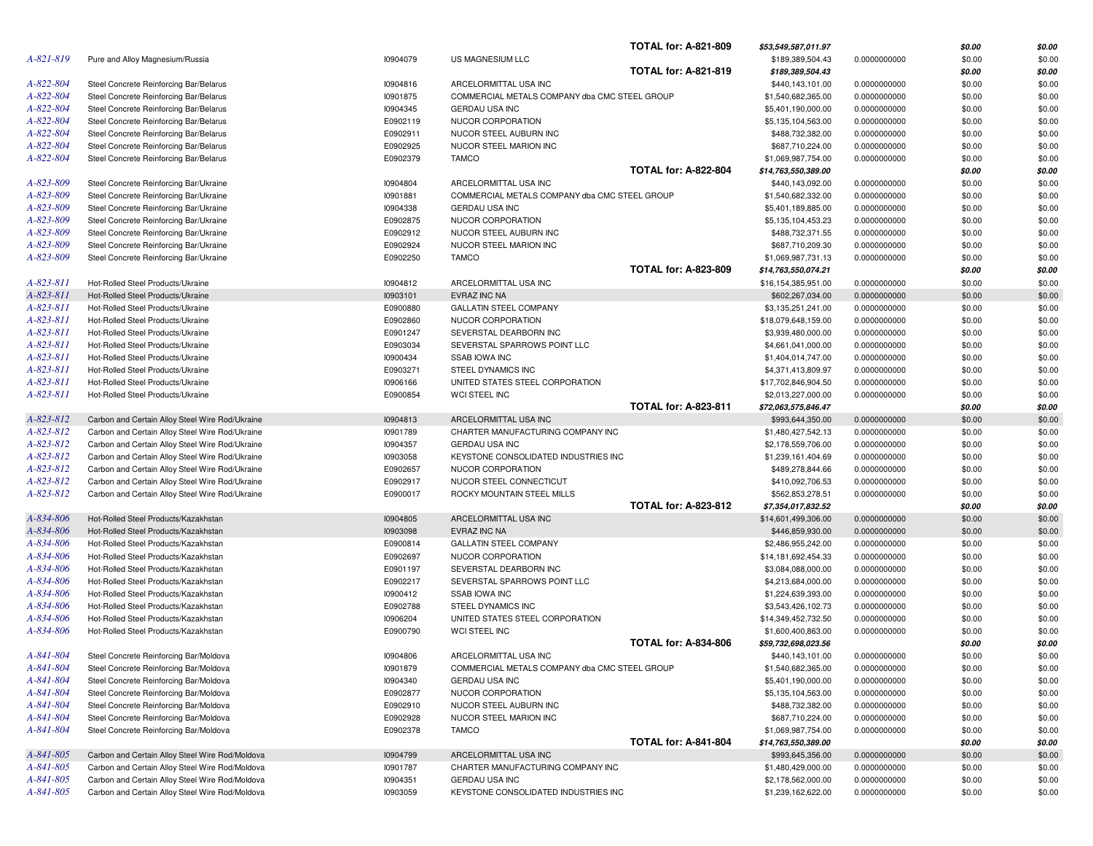|                 |                                                 |          |                                               | <b>TOTAL for: A-821-809</b> | \$53,549,587,011.97 |              | \$0.00 | \$0.00 |
|-----------------|-------------------------------------------------|----------|-----------------------------------------------|-----------------------------|---------------------|--------------|--------|--------|
| $A - 821 - 819$ | Pure and Alloy Magnesium/Russia                 | 10904079 | US MAGNESIUM LLC                              |                             | \$189,389,504.43    | 0.0000000000 | \$0.00 | \$0.00 |
|                 |                                                 |          |                                               | <b>TOTAL for: A-821-819</b> | \$189,389,504.43    |              | \$0.00 | \$0.00 |
| A-822-804       | Steel Concrete Reinforcing Bar/Belarus          | 10904816 | ARCELORMITTAL USA INC                         |                             | \$440,143,101.00    | 0.0000000000 | \$0.00 | \$0.00 |
| A-822-804       | Steel Concrete Reinforcing Bar/Belarus          | 10901875 | COMMERCIAL METALS COMPANY dba CMC STEEL GROUP |                             | \$1,540,682,365.00  | 0.0000000000 | \$0.00 | \$0.00 |
| A-822-804       | Steel Concrete Reinforcing Bar/Belarus          | 10904345 | <b>GERDAU USA INC</b>                         |                             | \$5,401,190,000.00  | 0.0000000000 | \$0.00 | \$0.00 |
| A-822-804       | Steel Concrete Reinforcing Bar/Belarus          | E0902119 | NUCOR CORPORATION                             |                             | \$5,135,104,563.00  | 0.0000000000 | \$0.00 | \$0.00 |
| A-822-804       |                                                 |          |                                               |                             |                     |              |        |        |
|                 | Steel Concrete Reinforcing Bar/Belarus          | E0902911 | NUCOR STEEL AUBURN INC                        |                             | \$488,732,382.00    | 0.0000000000 | \$0.00 | \$0.00 |
| A-822-804       | Steel Concrete Reinforcing Bar/Belarus          | E0902925 | NUCOR STEEL MARION INC                        |                             | \$687,710,224.00    | 0.0000000000 | \$0.00 | \$0.00 |
| A-822-804       | Steel Concrete Reinforcing Bar/Belarus          | E0902379 | <b>TAMCO</b>                                  |                             | \$1,069,987,754.00  | 0.0000000000 | \$0.00 | \$0.00 |
|                 |                                                 |          |                                               | <b>TOTAL for: A-822-804</b> | \$14,763,550,389.00 |              | \$0.00 | \$0.00 |
| A-823-809       | Steel Concrete Reinforcing Bar/Ukraine          | 10904804 | ARCELORMITTAL USA INC                         |                             | \$440,143,092.00    | 0.0000000000 | \$0.00 | \$0.00 |
| A-823-809       | Steel Concrete Reinforcing Bar/Ukraine          | 10901881 | COMMERCIAL METALS COMPANY dba CMC STEEL GROUP |                             | \$1,540,682,332.00  | 0.0000000000 | \$0.00 | \$0.00 |
| A-823-809       | Steel Concrete Reinforcing Bar/Ukraine          | 10904338 | <b>GERDAU USA INC</b>                         |                             | \$5,401,189,885.00  | 0.0000000000 | \$0.00 | \$0.00 |
| A-823-809       | Steel Concrete Reinforcing Bar/Ukraine          | E0902875 | NUCOR CORPORATION                             |                             | \$5,135,104,453.23  | 0.0000000000 | \$0.00 | \$0.00 |
| A-823-809       | Steel Concrete Reinforcing Bar/Ukraine          | E0902912 | NUCOR STEEL AUBURN INC                        |                             | \$488,732,371.55    | 0.0000000000 | \$0.00 | \$0.00 |
| A-823-809       | Steel Concrete Reinforcing Bar/Ukraine          | E0902924 | NUCOR STEEL MARION INC                        |                             | \$687,710,209.30    | 0.0000000000 | \$0.00 | \$0.00 |
| A-823-809       | Steel Concrete Reinforcing Bar/Ukraine          | E0902250 | <b>TAMCO</b>                                  |                             | \$1,069,987,731.13  | 0.0000000000 | \$0.00 | \$0.00 |
|                 |                                                 |          |                                               | <b>TOTAL for: A-823-809</b> | \$14,763,550,074.21 |              | \$0.00 | \$0.00 |
| $A - 823 - 811$ | Hot-Rolled Steel Products/Ukraine               | 10904812 | ARCELORMITTAL USA INC                         |                             | \$16,154,385,951.00 | 0.0000000000 | \$0.00 | \$0.00 |
| $A - 823 - 811$ | Hot-Rolled Steel Products/Ukraine               | 10903101 | EVRAZ INC NA                                  |                             | \$602,267,034.00    | 0.0000000000 | \$0.00 | \$0.00 |
| $A - 823 - 811$ | Hot-Rolled Steel Products/Ukraine               | E0900880 | GALLATIN STEEL COMPANY                        |                             |                     | 0.0000000000 | \$0.00 | \$0.00 |
|                 |                                                 |          |                                               |                             | \$3,135,251,241.00  |              |        |        |
| $A - 823 - 811$ | Hot-Rolled Steel Products/Ukraine               | E0902860 | NUCOR CORPORATION                             |                             | \$18,079,648,159.00 | 0.0000000000 | \$0.00 | \$0.00 |
| $A - 823 - 811$ | Hot-Rolled Steel Products/Ukraine               | E0901247 | SEVERSTAL DEARBORN INC                        |                             | \$3,939,480,000.00  | 0.0000000000 | \$0.00 | \$0.00 |
| $A - 823 - 811$ | Hot-Rolled Steel Products/Ukraine               | E0903034 | SEVERSTAL SPARROWS POINT LLC                  |                             | \$4,661,041,000.00  | 0.0000000000 | \$0.00 | \$0.00 |
| $A - 823 - 811$ | Hot-Rolled Steel Products/Ukraine               | 10900434 | <b>SSAB IOWA INC</b>                          |                             | \$1,404,014,747.00  | 0.0000000000 | \$0.00 | \$0.00 |
| $A - 823 - 811$ | Hot-Rolled Steel Products/Ukraine               | E0903271 | STEEL DYNAMICS INC                            |                             | \$4,371,413,809.97  | 0.0000000000 | \$0.00 | \$0.00 |
| $A - 823 - 811$ | Hot-Rolled Steel Products/Ukraine               | 10906166 | UNITED STATES STEEL CORPORATION               |                             | \$17,702,846,904.50 | 0.0000000000 | \$0.00 | \$0.00 |
| $A - 823 - 811$ | Hot-Rolled Steel Products/Ukraine               | E0900854 | WCI STEEL INC                                 |                             | \$2,013,227,000.00  | 0.0000000000 | \$0.00 | \$0.00 |
|                 |                                                 |          |                                               | <b>TOTAL for: A-823-811</b> | \$72,063,575,846.47 |              | \$0.00 | \$0.00 |
| A-823-812       | Carbon and Certain Alloy Steel Wire Rod/Ukraine | 10904813 | ARCELORMITTAL USA INC                         |                             | \$993,644,350.00    | 0.0000000000 | \$0.00 | \$0.00 |
| $A - 823 - 812$ | Carbon and Certain Alloy Steel Wire Rod/Ukraine | 10901789 | CHARTER MANUFACTURING COMPANY INC             |                             | \$1,480,427,542.13  | 0.0000000000 | \$0.00 | \$0.00 |
| $A - 823 - 812$ | Carbon and Certain Alloy Steel Wire Rod/Ukraine | 10904357 | <b>GERDAU USA INC</b>                         |                             | \$2,178,559,706.00  | 0.0000000000 | \$0.00 | \$0.00 |
| $A - 823 - 812$ | Carbon and Certain Alloy Steel Wire Rod/Ukraine | 10903058 | KEYSTONE CONSOLIDATED INDUSTRIES INC          |                             | \$1,239,161,404.69  | 0.0000000000 | \$0.00 | \$0.00 |
| $A - 823 - 812$ | Carbon and Certain Alloy Steel Wire Rod/Ukraine | E0902657 | NUCOR CORPORATION                             |                             | \$489,278,844.66    | 0.0000000000 | \$0.00 | \$0.00 |
| $A - 823 - 812$ | Carbon and Certain Alloy Steel Wire Rod/Ukraine | E0902917 | NUCOR STEEL CONNECTICUT                       |                             | \$410,092,706.53    | 0.0000000000 | \$0.00 | \$0.00 |
| $A - 823 - 812$ | Carbon and Certain Alloy Steel Wire Rod/Ukraine | E0900017 | ROCKY MOUNTAIN STEEL MILLS                    |                             | \$562,853,278.51    | 0.0000000000 | \$0.00 | \$0.00 |
|                 |                                                 |          |                                               | <b>TOTAL for: A-823-812</b> | \$7,354,017,832.52  |              | \$0.00 | \$0.00 |
| A-834-806       | Hot-Rolled Steel Products/Kazakhstan            | 10904805 | ARCELORMITTAL USA INC                         |                             | \$14,601,499,306.00 | 0.0000000000 | \$0.00 | \$0.00 |
| A-834-806       | Hot-Rolled Steel Products/Kazakhstan            | 10903098 | EVRAZ INC NA                                  |                             | \$446,859,930.00    | 0.0000000000 | \$0.00 | \$0.00 |
| A-834-806       |                                                 |          |                                               |                             |                     |              |        |        |
|                 | Hot-Rolled Steel Products/Kazakhstan            | E0900814 | GALLATIN STEEL COMPANY                        |                             | \$2,486,955,242.00  | 0.0000000000 | \$0.00 | \$0.00 |
| A-834-806       | Hot-Rolled Steel Products/Kazakhstan            | E0902697 | NUCOR CORPORATION                             |                             | \$14,181,692,454.33 | 0.0000000000 | \$0.00 | \$0.00 |
| A-834-806       | Hot-Rolled Steel Products/Kazakhstan            | E0901197 | SEVERSTAL DEARBORN INC                        |                             | \$3,084,088,000.00  | 0.0000000000 | \$0.00 | \$0.00 |
| A-834-806       | Hot-Rolled Steel Products/Kazakhstan            | E0902217 | SEVERSTAL SPARROWS POINT LLC                  |                             | \$4,213,684,000.00  | 0.0000000000 | \$0.00 | \$0.00 |
| A-834-806       | Hot-Rolled Steel Products/Kazakhstan            | 10900412 | <b>SSAB IOWA INC</b>                          |                             | \$1,224,639,393.00  | 0.0000000000 | \$0.00 | \$0.00 |
| A-834-806       | Hot-Rolled Steel Products/Kazakhstan            | E0902788 | STEEL DYNAMICS INC                            |                             | \$3,543,426,102.73  | 0.0000000000 | \$0.00 | \$0.00 |
| A-834-806       | Hot-Rolled Steel Products/Kazakhstan            | 10906204 | UNITED STATES STEEL CORPORATION               |                             | \$14,349,452,732.50 | 0.0000000000 | \$0.00 | \$0.00 |
| A-834-806       | Hot-Rolled Steel Products/Kazakhstan            | E0900790 | WCI STEEL INC                                 |                             | \$1,600,400,863.00  | 0.0000000000 | \$0.00 | \$0.00 |
|                 |                                                 |          |                                               | <b>TOTAL for: A-834-806</b> | \$59,732,698,023.56 |              | \$0.00 | \$0.00 |
| A-841-804       | Steel Concrete Reinforcing Bar/Moldova          | 10904806 | ARCELORMITTAL USA INC                         |                             | \$440,143,101.00    | 0.0000000000 | \$0.00 | \$0.00 |
| A-841-804       | Steel Concrete Reinforcing Bar/Moldova          | 10901879 | COMMERCIAL METALS COMPANY dba CMC STEEL GROUP |                             | \$1,540,682,365.00  | 0.0000000000 | \$0.00 | \$0.00 |
| A-841-804       | Steel Concrete Reinforcing Bar/Moldova          | 10904340 | <b>GERDAU USA INC</b>                         |                             | \$5,401,190,000.00  | 0.0000000000 | \$0.00 | \$0.00 |
| A-841-804       | Steel Concrete Reinforcing Bar/Moldova          | E0902877 | NUCOR CORPORATION                             |                             | \$5,135,104,563.00  | 0.0000000000 | \$0.00 | \$0.00 |
| A-841-804       | Steel Concrete Reinforcing Bar/Moldova          | E0902910 | NUCOR STEEL AUBURN INC                        |                             | \$488,732,382.00    | 0.0000000000 | \$0.00 | \$0.00 |
| A-841-804       | Steel Concrete Reinforcing Bar/Moldova          | E0902928 | NUCOR STEEL MARION INC                        |                             | \$687,710,224.00    | 0.0000000000 | \$0.00 | \$0.00 |
| A-841-804       | Steel Concrete Reinforcing Bar/Moldova          | E0902378 | <b>TAMCO</b>                                  |                             | \$1,069,987,754.00  | 0.0000000000 | \$0.00 | \$0.00 |
|                 |                                                 |          |                                               | <b>TOTAL for: A-841-804</b> | \$14,763,550,389.00 |              | \$0.00 | \$0.00 |
| A-841-805       | Carbon and Certain Alloy Steel Wire Rod/Moldova | 10904799 | ARCELORMITTAL USA INC                         |                             | \$993,645,356.00    | 0.0000000000 | \$0.00 | \$0.00 |
| A-841-805       | Carbon and Certain Alloy Steel Wire Rod/Moldova | 10901787 | CHARTER MANUFACTURING COMPANY INC             |                             | \$1,480,429,000.00  | 0.0000000000 | \$0.00 | \$0.00 |
| A-841-805       | Carbon and Certain Alloy Steel Wire Rod/Moldova |          | <b>GERDAU USA INC</b>                         |                             |                     |              |        |        |
|                 |                                                 | 10904351 |                                               |                             | \$2,178,562,000.00  | 0.0000000000 | \$0.00 | \$0.00 |
| A-841-805       | Carbon and Certain Alloy Steel Wire Rod/Moldova | 10903059 | KEYSTONE CONSOLIDATED INDUSTRIES INC          |                             | \$1,239,162,622.00  | 0.0000000000 | \$0.00 | \$0.00 |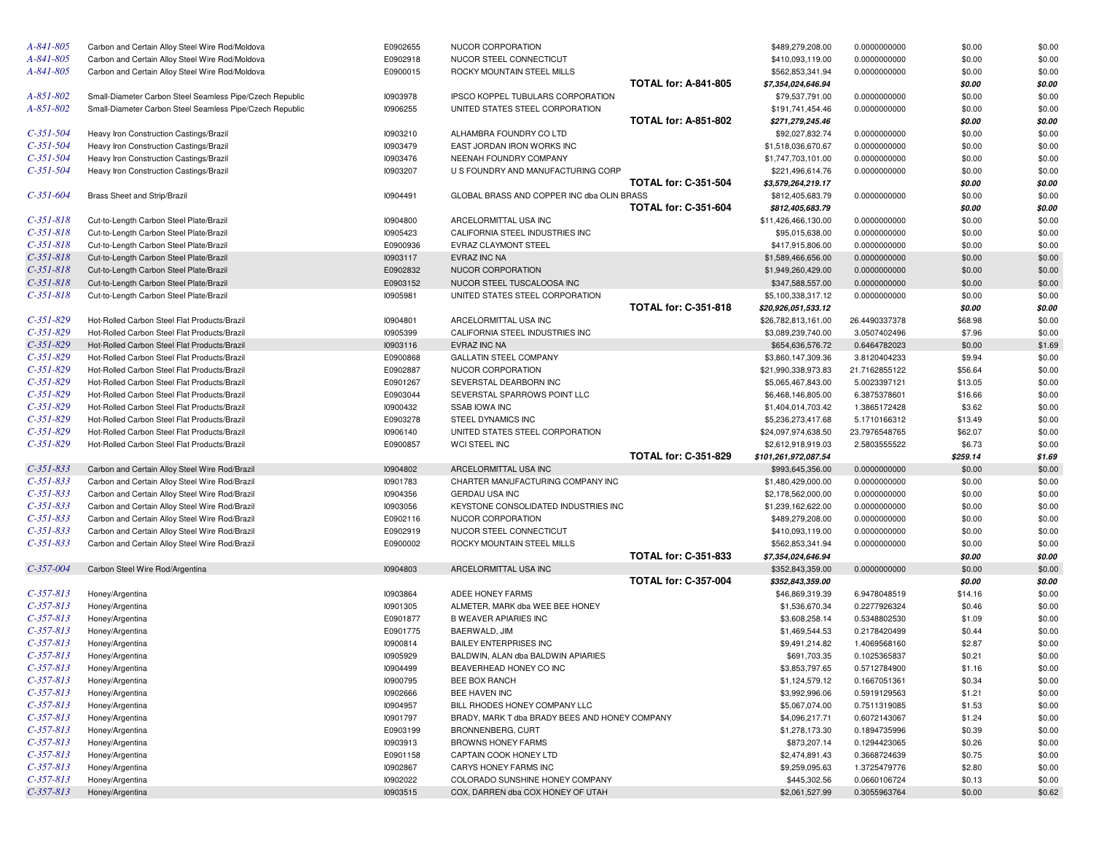| A-841-805                  | Carbon and Certain Alloy Steel Wire Rod/Moldova          | E0902655             | NUCOR CORPORATION                                                    |                             | \$489,279,208.00               | 0.0000000000                 | \$0.00           | \$0.00           |
|----------------------------|----------------------------------------------------------|----------------------|----------------------------------------------------------------------|-----------------------------|--------------------------------|------------------------------|------------------|------------------|
| A-841-805                  | Carbon and Certain Alloy Steel Wire Rod/Moldova          | E0902918             | NUCOR STEEL CONNECTICUT                                              |                             | \$410,093,119.00               | 0.0000000000                 | \$0.00           | \$0.00           |
| A-841-805                  | Carbon and Certain Alloy Steel Wire Rod/Moldova          | E0900015             | ROCKY MOUNTAIN STEEL MILLS                                           |                             | \$562,853,341.94               | 0.0000000000                 | \$0.00           | \$0.00           |
|                            |                                                          |                      |                                                                      | <b>TOTAL for: A-841-805</b> | \$7,354,024,646.94             |                              | \$0.00           | \$0.00           |
| A-851-802                  | Small-Diameter Carbon Steel Seamless Pipe/Czech Republic | 10903978             | IPSCO KOPPEL TUBULARS CORPORATION                                    |                             | \$79,537,791.00                | 0.0000000000                 | \$0.00           | \$0.00           |
| A-851-802                  | Small-Diameter Carbon Steel Seamless Pipe/Czech Republic | 10906255             | UNITED STATES STEEL CORPORATION                                      |                             | \$191,741,454.46               | 0.0000000000                 | \$0.00           | \$0.00           |
|                            |                                                          |                      |                                                                      | <b>TOTAL for: A-851-802</b> | \$271,279,245.46               |                              | \$0.00           | \$0.00           |
| $C-351-504$                | Heavy Iron Construction Castings/Brazil                  | 10903210             | ALHAMBRA FOUNDRY CO LTD                                              |                             | \$92,027,832.74                | 0.0000000000                 | \$0.00           | \$0.00           |
| $C-351-504$                | Heavy Iron Construction Castings/Brazil                  | 10903479             | EAST JORDAN IRON WORKS INC                                           |                             | \$1,518,036,670.67             | 0.0000000000                 | \$0.00           | \$0.00           |
| $C-351-504$                | Heavy Iron Construction Castings/Brazil                  | 10903476             | NEENAH FOUNDRY COMPANY                                               |                             | \$1,747,703,101.00             | 0.0000000000                 | \$0.00           | \$0.00           |
| $C-351-504$                | Heavy Iron Construction Castings/Brazil                  | 10903207             | U S FOUNDRY AND MANUFACTURING CORP                                   |                             | \$221,496,614.76               | 0.0000000000                 | \$0.00           | \$0.00           |
|                            |                                                          |                      |                                                                      | <b>TOTAL for: C-351-504</b> | \$3,579,264,219.17             |                              | \$0.00           | \$0.00           |
| C-351-604                  | Brass Sheet and Strip/Brazil                             | 10904491             | GLOBAL BRASS AND COPPER INC dba OLIN BRASS                           |                             | \$812,405,683.79               | 0.0000000000                 | \$0.00           | \$0.00           |
|                            |                                                          |                      |                                                                      | <b>TOTAL for: C-351-604</b> | \$812,405,683.79               |                              | \$0.00           | \$0.00           |
| $C-351-818$                | Cut-to-Length Carbon Steel Plate/Brazil                  | 10904800             | ARCELORMITTAL USA INC                                                |                             | \$11,426,466,130.00            | 0.0000000000                 | \$0.00           | \$0.00           |
| $C-351-818$                | Cut-to-Length Carbon Steel Plate/Brazil                  | 10905423             | CALIFORNIA STEEL INDUSTRIES INC                                      |                             | \$95,015,638.00                | 0.0000000000                 | \$0.00           | \$0.00           |
| $C-351-818$                | Cut-to-Length Carbon Steel Plate/Brazil                  | E0900936             | EVRAZ CLAYMONT STEEL                                                 |                             | \$417,915,806.00               | 0.0000000000                 | \$0.00           | \$0.00           |
| $C-351-818$                | Cut-to-Length Carbon Steel Plate/Brazil                  | 10903117             | EVRAZ INC NA                                                         |                             | \$1,589,466,656.00             | 0.0000000000                 | \$0.00           | \$0.00           |
| $C-351-818$                | Cut-to-Length Carbon Steel Plate/Brazil                  | E0902832             | NUCOR CORPORATION                                                    |                             | \$1,949,260,429.00             | 0.0000000000                 | \$0.00           | \$0.00           |
| $C-351-818$                | Cut-to-Length Carbon Steel Plate/Brazil                  | E0903152             | NUCOR STEEL TUSCALOOSA INC                                           |                             | \$347,588,557.00               | 0.0000000000                 | \$0.00           | \$0.00           |
| $C-351-818$                | Cut-to-Length Carbon Steel Plate/Brazil                  | 10905981             | UNITED STATES STEEL CORPORATION                                      |                             | \$5,100,338,317.12             | 0.0000000000                 | \$0.00           | \$0.00           |
|                            |                                                          |                      |                                                                      | <b>TOTAL for: C-351-818</b> | \$20,926,051,533.12            |                              | \$0.00           | \$0.00           |
| $C-351-829$                | Hot-Rolled Carbon Steel Flat Products/Brazil             | 10904801             | ARCELORMITTAL USA INC                                                |                             | \$26,782,813,161.00            | 26.4490337378                | \$68.98          | \$0.00           |
| $C-351-829$                | Hot-Rolled Carbon Steel Flat Products/Brazil             | 10905399             | CALIFORNIA STEEL INDUSTRIES INC                                      |                             | \$3,089,239,740.00             | 3.0507402496                 | \$7.96           | \$0.00           |
| $C-351-829$                | Hot-Rolled Carbon Steel Flat Products/Brazil             | 10903116             | EVRAZ INC NA                                                         |                             | \$654,636,576.72               | 0.6464782023                 | \$0.00           | \$1.69           |
| $C-351-829$                | Hot-Rolled Carbon Steel Flat Products/Brazil             | E0900868             | GALLATIN STEEL COMPANY                                               |                             | \$3,860,147,309.36             | 3.8120404233                 | \$9.94           | \$0.00           |
| $C-351-829$                | Hot-Rolled Carbon Steel Flat Products/Brazil             | E0902887             | NUCOR CORPORATION                                                    |                             | \$21,990,338,973.83            | 21.7162855122                | \$56.64          | \$0.00           |
| $C-351-829$                | Hot-Rolled Carbon Steel Flat Products/Brazil             | E0901267             | SEVERSTAL DEARBORN INC                                               |                             | \$5,065,467,843.00             | 5.0023397121                 | \$13.05          | \$0.00           |
| $C-351-829$                | Hot-Rolled Carbon Steel Flat Products/Brazil             | E0903044             | SEVERSTAL SPARROWS POINT LLC                                         |                             | \$6,468,146,805.00             | 6.3875378601                 | \$16.66          | \$0.00           |
| $C-351-829$                | Hot-Rolled Carbon Steel Flat Products/Brazil             | 10900432             | <b>SSAB IOWA INC</b>                                                 |                             | \$1,404,014,703.42             | 1.3865172428                 | \$3.62           | \$0.00           |
| $C-351-829$                | Hot-Rolled Carbon Steel Flat Products/Brazil             | E0903278             | STEEL DYNAMICS INC                                                   |                             | \$5,236,273,417.68             | 5.1710166312                 | \$13.49          | \$0.00           |
|                            |                                                          |                      |                                                                      |                             |                                |                              |                  |                  |
| $C-351-829$                | Hot-Rolled Carbon Steel Flat Products/Brazil             | 10906140             | UNITED STATES STEEL CORPORATION                                      |                             | \$24,097,974,638.50            | 23.7976548765                | \$62.07          | \$0.00           |
| $C-351-829$                | Hot-Rolled Carbon Steel Flat Products/Brazil             | E0900857             | WCI STEEL INC                                                        |                             | \$2,612,918,919.03             | 2.5803555522                 | \$6.73           | \$0.00           |
|                            |                                                          |                      |                                                                      | <b>TOTAL for: C-351-829</b> | \$101,261,972,087.54           |                              | \$259.14         | \$1.69           |
| $C-351-833$                | Carbon and Certain Alloy Steel Wire Rod/Brazil           | 10904802             | ARCELORMITTAL USA INC                                                |                             | \$993,645,356.00               | 0.0000000000                 | \$0.00           | \$0.00           |
| $C-351-833$                | Carbon and Certain Alloy Steel Wire Rod/Brazil           | 10901783             | CHARTER MANUFACTURING COMPANY INC                                    |                             | \$1,480,429,000.00             | 0.0000000000                 | \$0.00           | \$0.00           |
| $C-351-833$                | Carbon and Certain Alloy Steel Wire Rod/Brazil           | 10904356             | <b>GERDAU USA INC</b>                                                |                             | \$2,178,562,000.00             | 0.0000000000                 | \$0.00           | \$0.00           |
| $C-351-833$                | Carbon and Certain Alloy Steel Wire Rod/Brazil           | 10903056             | KEYSTONE CONSOLIDATED INDUSTRIES INC                                 |                             | \$1,239,162,622.00             | 0.0000000000                 | \$0.00           | \$0.00           |
| $C-351-833$                | Carbon and Certain Alloy Steel Wire Rod/Brazil           | E0902116             | NUCOR CORPORATION                                                    |                             | \$489,279,208.00               | 0.0000000000                 | \$0.00           | \$0.00           |
| $C-351-833$                | Carbon and Certain Alloy Steel Wire Rod/Brazil           | E0902919             | NUCOR STEEL CONNECTICUT                                              |                             | \$410,093,119.00               | 0.0000000000                 | \$0.00           | \$0.00           |
| $C-351-833$                | Carbon and Certain Alloy Steel Wire Rod/Brazil           | E0900002             | ROCKY MOUNTAIN STEEL MILLS                                           |                             | \$562,853,341.94               | 0.0000000000                 | \$0.00           | \$0.00           |
|                            |                                                          |                      |                                                                      | <b>TOTAL for: C-351-833</b> | \$7,354,024,646.94             |                              | \$0.00           | \$0.00           |
| $C-357-004$                | Carbon Steel Wire Rod/Argentina                          | 10904803             | ARCELORMITTAL USA INC                                                |                             | \$352,843,359.00               | 0.0000000000                 | \$0.00           | \$0.00           |
|                            |                                                          |                      |                                                                      | <b>TOTAL for: C-357-004</b> | \$352,843,359.00               |                              | \$0.00           | \$0.00           |
| $C-357-813$                | Honey/Argentina                                          | 10903864             | ADEE HONEY FARMS                                                     |                             | \$46,869,319.39                | 6.9478048519                 | \$14.16          | \$0.00           |
| $C-357-813$                | Honey/Argentina                                          | 10901305             | ALMETER, MARK dba WEE BEE HONEY                                      |                             | \$1,536,670.34                 | 0.2277926324                 | \$0.46           | \$0.00           |
| $C-357-813$                | Honey/Argentina                                          | E0901877             | <b>B WEAVER APIARIES INC</b>                                         |                             | \$3,608,258.14                 | 0.5348802530                 | \$1.09           | \$0.00           |
| $C-357-813$                | Honey/Argentina                                          | E0901775             | BAERWALD, JIM                                                        |                             | \$1,469,544.53                 | 0.2178420499                 | \$0.44           | \$0.00           |
| $C-357-813$                | Honey/Argentina                                          | 10900814             | <b>BAILEY ENTERPRISES INC</b>                                        |                             | \$9,491,214.82                 | 1.4069568160                 | \$2.87           | \$0.00           |
| $C-357-813$                | Honey/Argentina                                          | 10905929             | BALDWIN, ALAN dba BALDWIN APIARIES                                   |                             | \$691,703.35                   | 0.1025365837                 | \$0.21           | \$0.00           |
| $C-357-813$                | Honey/Argentina                                          | 10904499             | BEAVERHEAD HONEY CO INC                                              |                             | \$3,853,797.65                 | 0.5712784900                 | \$1.16           | \$0.00           |
| $C-357-813$                | Honey/Argentina                                          | 10900795             | <b>BEE BOX RANCH</b>                                                 |                             | \$1,124,579.12                 | 0.1667051361                 | \$0.34           | \$0.00           |
| $C-357-813$                | Honey/Argentina                                          | 10902666             | BEE HAVEN INC                                                        |                             | \$3,992,996.06                 | 0.5919129563                 | \$1.21           | \$0.00           |
| $C-357-813$                | Honey/Argentina                                          | I0904957             | BILL RHODES HONEY COMPANY LLC                                        |                             | \$5,067,074.00                 | 0.7511319085                 | \$1.53           | \$0.00           |
| $C-357-813$                | Honey/Argentina                                          | 10901797             | BRADY, MARK T dba BRADY BEES AND HONEY COMPANY                       |                             | \$4,096,217.71                 | 0.6072143067                 | \$1.24           | \$0.00           |
| $C-357-813$                | Honey/Argentina                                          | E0903199             | <b>BRONNENBERG, CURT</b>                                             |                             | \$1,278,173.30                 | 0.1894735996                 | \$0.39           | \$0.00           |
| $C-357-813$                | Honey/Argentina                                          | 10903913             | <b>BROWNS HONEY FARMS</b>                                            |                             | \$873,207.14                   | 0.1294423065                 | \$0.26           | \$0.00           |
| $C-357-813$                | Honey/Argentina                                          | E0901158             | CAPTAIN COOK HONEY LTD                                               |                             | \$2,474,891.43                 | 0.3668724639                 | \$0.75           | \$0.00           |
| $C-357-813$                | Honey/Argentina                                          | 10902867             | CARYS HONEY FARMS INC                                                |                             | \$9,259,095.63                 | 1.3725479776                 | \$2.80           | \$0.00           |
| $C-357-813$<br>$C-357-813$ | Honey/Argentina<br>Honey/Argentina                       | 10902022<br>10903515 | COLORADO SUNSHINE HONEY COMPANY<br>COX, DARREN dba COX HONEY OF UTAH |                             | \$445,302.56<br>\$2,061,527.99 | 0.0660106724<br>0.3055963764 | \$0.13<br>\$0.00 | \$0.00<br>\$0.62 |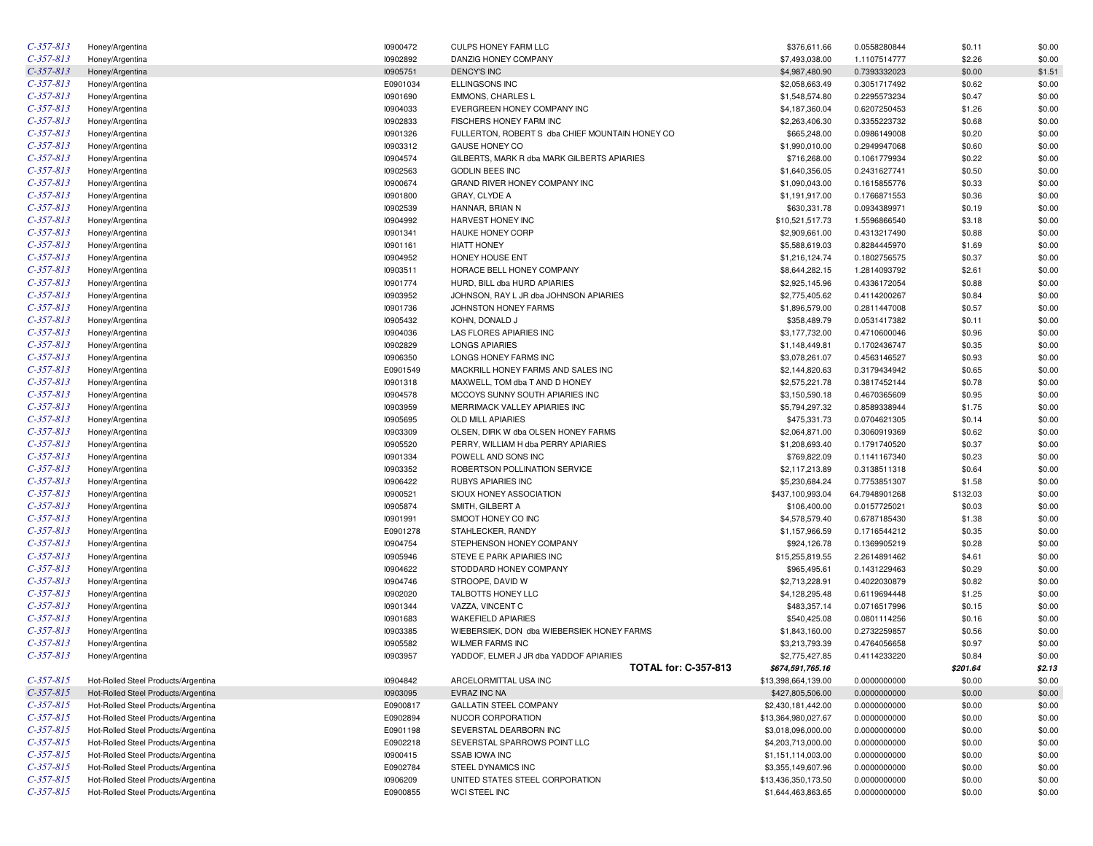| $C-357-813$ | Honey/Argentina                     | 10900472 | <b>CULPS HONEY FARM LLC</b>                     | \$376,611.66        | 0.0558280844  | \$0.11   | \$0.00 |
|-------------|-------------------------------------|----------|-------------------------------------------------|---------------------|---------------|----------|--------|
| $C-357-813$ | Honey/Argentina                     | 10902892 | DANZIG HONEY COMPANY                            | \$7,493,038.00      | 1.1107514777  | \$2.26   | \$0.00 |
| $C-357-813$ | Honey/Argentina                     | 10905751 | <b>DENCY'S INC</b>                              | \$4,987,480.90      | 0.7393332023  | \$0.00   | \$1.51 |
| $C-357-813$ | Honey/Argentina                     | E0901034 | <b>ELLINGSONS INC</b>                           | \$2,058,663.49      | 0.3051717492  | \$0.62   | \$0.00 |
| $C-357-813$ | Honey/Argentina                     | 10901690 | EMMONS, CHARLES L                               | \$1,548,574.80      | 0.2295573234  | \$0.47   | \$0.00 |
| $C-357-813$ | Honey/Argentina                     | 10904033 | EVERGREEN HONEY COMPANY INC                     | \$4,187,360.04      | 0.6207250453  | \$1.26   | \$0.00 |
| $C-357-813$ | Honey/Argentina                     | 10902833 | FISCHERS HONEY FARM INC                         | \$2,263,406.30      | 0.3355223732  | \$0.68   | \$0.00 |
| $C-357-813$ | Honey/Argentina                     | 10901326 | FULLERTON, ROBERT S dba CHIEF MOUNTAIN HONEY CO | \$665,248.00        | 0.0986149008  | \$0.20   | \$0.00 |
| $C-357-813$ | Honey/Argentina                     | 10903312 | GAUSE HONEY CO                                  | \$1,990,010.00      | 0.2949947068  | \$0.60   | \$0.00 |
| $C-357-813$ | Honey/Argentina                     | 10904574 | GILBERTS, MARK R dba MARK GILBERTS APIARIES     | \$716,268.00        | 0.1061779934  | \$0.22   | \$0.00 |
| $C-357-813$ | Honey/Argentina                     | 10902563 | <b>GODLIN BEES INC</b>                          | \$1,640,356.05      | 0.2431627741  | \$0.50   | \$0.00 |
| $C-357-813$ | Honey/Argentina                     | 10900674 | GRAND RIVER HONEY COMPANY INC                   | \$1,090,043.00      | 0.1615855776  | \$0.33   | \$0.00 |
| $C-357-813$ | Honey/Argentina                     | 10901800 | GRAY, CLYDE A                                   | \$1,191,917.00      | 0.1766871553  | \$0.36   | \$0.00 |
| $C-357-813$ | Honey/Argentina                     | 10902539 | HANNAR, BRIAN N                                 | \$630,331.78        | 0.0934389971  | \$0.19   | \$0.00 |
| $C-357-813$ | Honey/Argentina                     | 10904992 | HARVEST HONEY INC                               | \$10,521,517.73     | 1.5596866540  | \$3.18   | \$0.00 |
| $C-357-813$ | Honey/Argentina                     | 10901341 | HAUKE HONEY CORP                                | \$2,909,661.00      | 0.4313217490  | \$0.88   | \$0.00 |
| $C-357-813$ | Honey/Argentina                     | 10901161 | <b>HIATT HONEY</b>                              | \$5,588,619.03      | 0.8284445970  | \$1.69   | \$0.00 |
| $C-357-813$ | Honey/Argentina                     | 10904952 | HONEY HOUSE ENT                                 | \$1,216,124.74      | 0.1802756575  | \$0.37   | \$0.00 |
| $C-357-813$ | Honey/Argentina                     | 10903511 | HORACE BELL HONEY COMPANY                       | \$8,644,282.15      | 1.2814093792  | \$2.61   | \$0.00 |
| $C-357-813$ |                                     | 10901774 | HURD, BILL dba HURD APIARIES                    | \$2,925,145.96      | 0.4336172054  | \$0.88   | \$0.00 |
| $C-357-813$ | Honey/Argentina                     | 10903952 |                                                 |                     |               |          | \$0.00 |
| $C-357-813$ | Honey/Argentina                     |          | JOHNSON, RAY L JR dba JOHNSON APIARIES          | \$2,775,405.62      | 0.4114200267  | \$0.84   |        |
| $C-357-813$ | Honey/Argentina                     | 10901736 | JOHNSTON HONEY FARMS                            | \$1,896,579.00      | 0.2811447008  | \$0.57   | \$0.00 |
| $C-357-813$ | Honey/Argentina                     | 10905432 | KOHN, DONALD J                                  | \$358,489.79        | 0.0531417382  | \$0.11   | \$0.00 |
|             | Honey/Argentina                     | 10904036 | LAS FLORES APIARIES INC                         | \$3,177,732.00      | 0.4710600046  | \$0.96   | \$0.00 |
| $C-357-813$ | Honey/Argentina                     | 10902829 | <b>LONGS APIARIES</b>                           | \$1,148,449.81      | 0.1702436747  | \$0.35   | \$0.00 |
| $C-357-813$ | Honey/Argentina                     | 10906350 | LONGS HONEY FARMS INC                           | \$3,078,261.07      | 0.4563146527  | \$0.93   | \$0.00 |
| $C-357-813$ | Honey/Argentina                     | E0901549 | MACKRILL HONEY FARMS AND SALES INC              | \$2,144,820.63      | 0.3179434942  | \$0.65   | \$0.00 |
| $C-357-813$ | Honey/Argentina                     | 10901318 | MAXWELL, TOM dba T AND D HONEY                  | \$2,575,221.78      | 0.3817452144  | \$0.78   | \$0.00 |
| $C-357-813$ | Honey/Argentina                     | 10904578 | MCCOYS SUNNY SOUTH APIARIES INC                 | \$3,150,590.18      | 0.4670365609  | \$0.95   | \$0.00 |
| $C-357-813$ | Honey/Argentina                     | 10903959 | MERRIMACK VALLEY APIARIES INC                   | \$5,794,297.32      | 0.8589338944  | \$1.75   | \$0.00 |
| $C-357-813$ | Honey/Argentina                     | 10905695 | <b>OLD MILL APIARIES</b>                        | \$475,331.73        | 0.0704621305  | \$0.14   | \$0.00 |
| $C-357-813$ | Honey/Argentina                     | 10903309 | OLSEN, DIRK W dba OLSEN HONEY FARMS             | \$2,064,871.00      | 0.3060919369  | \$0.62   | \$0.00 |
| $C-357-813$ | Honey/Argentina                     | 10905520 | PERRY, WILLIAM H dba PERRY APIARIES             | \$1,208,693.40      | 0.1791740520  | \$0.37   | \$0.00 |
| $C-357-813$ | Honey/Argentina                     | 10901334 | POWELL AND SONS INC                             | \$769,822.09        | 0.1141167340  | \$0.23   | \$0.00 |
| $C-357-813$ | Honey/Argentina                     | 10903352 | ROBERTSON POLLINATION SERVICE                   | \$2,117,213.89      | 0.3138511318  | \$0.64   | \$0.00 |
| $C-357-813$ | Honey/Argentina                     | 10906422 | <b>RUBYS APIARIES INC</b>                       | \$5,230,684.24      | 0.7753851307  | \$1.58   | \$0.00 |
| $C-357-813$ | Honey/Argentina                     | 10900521 | SIOUX HONEY ASSOCIATION                         | \$437,100,993.04    | 64.7948901268 | \$132.03 | \$0.00 |
| $C-357-813$ | Honey/Argentina                     | 10905874 | SMITH, GILBERT A                                | \$106,400.00        | 0.0157725021  | \$0.03   | \$0.00 |
| $C-357-813$ | Honey/Argentina                     | 10901991 | SMOOT HONEY CO INC                              | \$4,578,579.40      | 0.6787185430  | \$1.38   | \$0.00 |
| $C-357-813$ | Honey/Argentina                     | E0901278 | STAHLECKER, RANDY                               | \$1,157,966.59      | 0.1716544212  | \$0.35   | \$0.00 |
| $C-357-813$ | Honey/Argentina                     | 10904754 | STEPHENSON HONEY COMPANY                        | \$924,126.78        | 0.1369905219  | \$0.28   | \$0.00 |
| $C-357-813$ | Honey/Argentina                     | 10905946 | STEVE E PARK APIARIES INC                       | \$15,255,819.55     | 2.2614891462  | \$4.61   | \$0.00 |
| $C-357-813$ | Honey/Argentina                     | 10904622 | STODDARD HONEY COMPANY                          | \$965,495.61        | 0.1431229463  | \$0.29   | \$0.00 |
| $C-357-813$ | Honey/Argentina                     | 10904746 | STROOPE, DAVID W                                | \$2,713,228.91      | 0.4022030879  | \$0.82   | \$0.00 |
| $C-357-813$ | Honey/Argentina                     | 10902020 | TALBOTTS HONEY LLC                              | \$4,128,295.48      | 0.6119694448  | \$1.25   | \$0.00 |
| $C-357-813$ | Honey/Argentina                     | 10901344 | VAZZA, VINCENT C                                | \$483,357.14        | 0.0716517996  | \$0.15   | \$0.00 |
| $C-357-813$ | Honey/Argentina                     | 10901683 | <b>WAKEFIELD APIARIES</b>                       | \$540,425.08        | 0.0801114256  | \$0.16   | \$0.00 |
| $C-357-813$ | Honey/Argentina                     | 10903385 | WIEBERSIEK, DON dba WIEBERSIEK HONEY FARMS      | \$1,843,160.00      | 0.2732259857  | \$0.56   | \$0.00 |
| $C-357-813$ | Honey/Argentina                     | 10905582 | <b>WILMER FARMS INC</b>                         | \$3,213,793.39      | 0.4764056658  | \$0.97   | \$0.00 |
| $C-357-813$ | Honey/Argentina                     | 10903957 | YADDOF, ELMER J JR dba YADDOF APIARIES          | \$2,775,427.85      | 0.4114233220  | \$0.84   | \$0.00 |
|             |                                     |          | <b>TOTAL for: C-357-813</b>                     | \$674,591,765.16    |               | \$201.64 | \$2.13 |
| $C-357-815$ | Hot-Rolled Steel Products/Argentina | 10904842 | ARCELORMITTAL USA INC                           | \$13,398,664,139.00 | 0.0000000000  | \$0.00   | \$0.00 |
| $C-357-815$ | Hot-Rolled Steel Products/Argentina | 10903095 | EVRAZ INC NA                                    | \$427,805,506.00    | 0.0000000000  | \$0.00   | \$0.00 |
| $C-357-815$ | Hot-Rolled Steel Products/Argentina | E0900817 | <b>GALLATIN STEEL COMPANY</b>                   | \$2,430,181,442.00  | 0.0000000000  | \$0.00   | \$0.00 |
| $C-357-815$ | Hot-Rolled Steel Products/Argentina | E0902894 | NUCOR CORPORATION                               | \$13,364,980,027.67 | 0.0000000000  | \$0.00   | \$0.00 |
| $C-357-815$ | Hot-Rolled Steel Products/Argentina | E0901198 | SEVERSTAL DEARBORN INC                          | \$3,018,096,000.00  | 0.0000000000  | \$0.00   | \$0.00 |
| $C-357-815$ | Hot-Rolled Steel Products/Argentina | E0902218 | SEVERSTAL SPARROWS POINT LLC                    | \$4,203,713,000.00  | 0.0000000000  | \$0.00   | \$0.00 |
| $C-357-815$ | Hot-Rolled Steel Products/Argentina | 10900415 | <b>SSAB IOWA INC</b>                            | \$1,151,114,003.00  | 0.0000000000  | \$0.00   | \$0.00 |
| $C-357-815$ | Hot-Rolled Steel Products/Argentina | E0902784 | STEEL DYNAMICS INC                              | \$3,355,149,607.96  | 0.0000000000  | \$0.00   | \$0.00 |
| $C-357-815$ | Hot-Rolled Steel Products/Argentina | 10906209 | UNITED STATES STEEL CORPORATION                 | \$13,436,350,173.50 | 0.0000000000  | \$0.00   | \$0.00 |
| $C-357-815$ | Hot-Rolled Steel Products/Argentina | E0900855 | WCI STEEL INC                                   | \$1,644,463,863.65  | 0.0000000000  | \$0.00   | \$0.00 |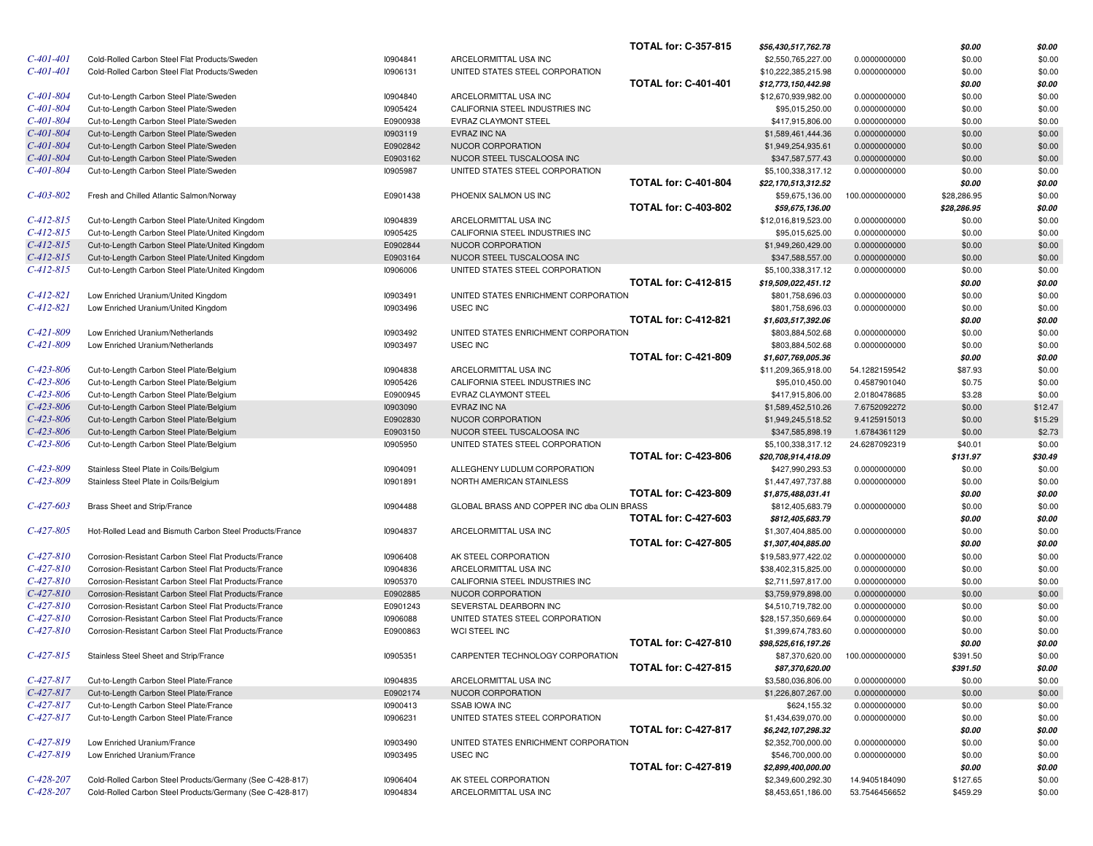|                 |                                                           |          |                                            | <b>TOTAL for: C-357-815</b> | \$56,430,517,762.78 |                | \$0.00      | \$0.00  |
|-----------------|-----------------------------------------------------------|----------|--------------------------------------------|-----------------------------|---------------------|----------------|-------------|---------|
| $C-401-401$     | Cold-Rolled Carbon Steel Flat Products/Sweden             | 10904841 | ARCELORMITTAL USA INC                      |                             | \$2,550,765,227.00  | 0.0000000000   | \$0.00      | \$0.00  |
| C-401-401       | Cold-Rolled Carbon Steel Flat Products/Sweden             | 10906131 | UNITED STATES STEEL CORPORATION            |                             | \$10,222,385,215.98 | 0.0000000000   | \$0.00      | \$0.00  |
|                 |                                                           |          |                                            | <b>TOTAL for: C-401-401</b> | \$12,773,150,442.98 |                | \$0.00      | \$0.00  |
| C-401-804       | Cut-to-Length Carbon Steel Plate/Sweden                   | 10904840 | ARCELORMITTAL USA INC                      |                             | \$12,670,939,982.00 | 0.0000000000   | \$0.00      | \$0.00  |
| C-401-804       | Cut-to-Length Carbon Steel Plate/Sweden                   | 10905424 | CALIFORNIA STEEL INDUSTRIES INC            |                             | \$95,015,250.00     | 0.0000000000   | \$0.00      | \$0.00  |
| C-401-804       | Cut-to-Length Carbon Steel Plate/Sweden                   | E0900938 | <b>EVRAZ CLAYMONT STEEL</b>                |                             | \$417,915,806.00    | 0.0000000000   | \$0.00      | \$0.00  |
| C-401-804       | Cut-to-Length Carbon Steel Plate/Sweden                   | 10903119 | EVRAZ INC NA                               |                             | \$1,589,461,444.36  | 0.0000000000   | \$0.00      | \$0.00  |
| $C-401-804$     | Cut-to-Length Carbon Steel Plate/Sweden                   | E0902842 | NUCOR CORPORATION                          |                             | \$1,949,254,935.61  | 0.0000000000   | \$0.00      | \$0.00  |
| $C-401-804$     | Cut-to-Length Carbon Steel Plate/Sweden                   | E0903162 | NUCOR STEEL TUSCALOOSA INC                 |                             | \$347,587,577.43    | 0.0000000000   | \$0.00      | \$0.00  |
| C-401-804       | Cut-to-Length Carbon Steel Plate/Sweden                   | 10905987 | UNITED STATES STEEL CORPORATION            |                             | \$5,100,338,317.12  | 0.0000000000   | \$0.00      | \$0.00  |
|                 |                                                           |          |                                            | <b>TOTAL for: C-401-804</b> | \$22,170,513,312.52 |                | \$0.00      | \$0.00  |
| $C - 403 - 802$ | Fresh and Chilled Atlantic Salmon/Norway                  | E0901438 | PHOENIX SALMON US INC                      |                             | \$59,675,136.00     | 100.0000000000 | \$28,286.95 | \$0.00  |
|                 |                                                           |          |                                            | <b>TOTAL for: C-403-802</b> | \$59,675,136.00     |                | \$28,286.95 | \$0.00  |
| $C - 412 - 815$ | Cut-to-Length Carbon Steel Plate/United Kingdom           | 10904839 | ARCELORMITTAL USA INC                      |                             | \$12,016,819,523.00 | 0.0000000000   | \$0.00      | \$0.00  |
| $C - 412 - 815$ | Cut-to-Length Carbon Steel Plate/United Kingdom           | 10905425 | CALIFORNIA STEEL INDUSTRIES INC            |                             | \$95,015,625.00     | 0.0000000000   | \$0.00      | \$0.00  |
| $C-412-815$     | Cut-to-Length Carbon Steel Plate/United Kingdom           | E0902844 | NUCOR CORPORATION                          |                             | \$1,949,260,429.00  | 0.0000000000   | \$0.00      | \$0.00  |
| $C - 412 - 815$ | Cut-to-Length Carbon Steel Plate/United Kingdom           | E0903164 | NUCOR STEEL TUSCALOOSA INC                 |                             | \$347,588,557.00    | 0.0000000000   | \$0.00      | \$0.00  |
| $C - 412 - 815$ | Cut-to-Length Carbon Steel Plate/United Kingdom           | 10906006 | UNITED STATES STEEL CORPORATION            |                             | \$5,100,338,317.12  | 0.0000000000   | \$0.00      | \$0.00  |
|                 |                                                           |          |                                            | <b>TOTAL for: C-412-815</b> | \$19,509,022,451.12 |                | \$0.00      | \$0.00  |
| $C-412-821$     |                                                           | 10903491 | UNITED STATES ENRICHMENT CORPORATION       |                             |                     |                |             |         |
|                 | Low Enriched Uranium/United Kingdom                       |          | <b>USEC INC</b>                            |                             | \$801,758,696.03    | 0.0000000000   | \$0.00      | \$0.00  |
| $C-412-821$     | Low Enriched Uranium/United Kingdom                       | 10903496 |                                            |                             | \$801,758,696.03    | 0.0000000000   | \$0.00      | \$0.00  |
|                 |                                                           |          |                                            | <b>TOTAL for: C-412-821</b> | \$1,603,517,392.06  |                | \$0.00      | \$0.00  |
| $C-421-809$     | Low Enriched Uranium/Netherlands                          | 10903492 | UNITED STATES ENRICHMENT CORPORATION       |                             | \$803,884,502.68    | 0.0000000000   | \$0.00      | \$0.00  |
| $C-421-809$     | Low Enriched Uranium/Netherlands                          | 10903497 | <b>USEC INC</b>                            |                             | \$803,884,502.68    | 0.0000000000   | \$0.00      | \$0.00  |
|                 |                                                           |          |                                            | <b>TOTAL for: C-421-809</b> | \$1,607,769,005.36  |                | \$0.00      | \$0.00  |
| $C-423-806$     | Cut-to-Length Carbon Steel Plate/Belgium                  | 10904838 | ARCELORMITTAL USA INC                      |                             | \$11,209,365,918.00 | 54.1282159542  | \$87.93     | \$0.00  |
| $C-423-806$     | Cut-to-Length Carbon Steel Plate/Belgium                  | 10905426 | CALIFORNIA STEEL INDUSTRIES INC            |                             | \$95,010,450.00     | 0.4587901040   | \$0.75      | \$0.00  |
| $C-423-806$     | Cut-to-Length Carbon Steel Plate/Belgium                  | E0900945 | EVRAZ CLAYMONT STEEL                       |                             | \$417,915,806.00    | 2.0180478685   | \$3.28      | \$0.00  |
| $C-423-806$     | Cut-to-Length Carbon Steel Plate/Belgium                  | 10903090 | EVRAZ INC NA                               |                             | \$1,589,452,510.26  | 7.6752092272   | \$0.00      | \$12.47 |
| $C-423-806$     | Cut-to-Length Carbon Steel Plate/Belgium                  | E0902830 | NUCOR CORPORATION                          |                             | \$1,949,245,518.52  | 9.4125915013   | \$0.00      | \$15.29 |
| $C-423-806$     | Cut-to-Length Carbon Steel Plate/Belgium                  | E0903150 | NUCOR STEEL TUSCALOOSA INC                 |                             | \$347,585,898.19    | 1.6784361129   | \$0.00      | \$2.73  |
| $C-423-806$     | Cut-to-Length Carbon Steel Plate/Belgium                  | 10905950 | UNITED STATES STEEL CORPORATION            |                             | \$5,100,338,317.12  | 24.6287092319  | \$40.01     | \$0.00  |
|                 |                                                           |          |                                            | <b>TOTAL for: C-423-806</b> | \$20,708,914,418.09 |                | \$131.97    | \$30.49 |
| $C-423-809$     | Stainless Steel Plate in Coils/Belgium                    | 10904091 | ALLEGHENY LUDLUM CORPORATION               |                             | \$427,990,293.53    | 0.0000000000   | \$0.00      | \$0.00  |
| $C-423-809$     | Stainless Steel Plate in Coils/Belgium                    | 10901891 | NORTH AMERICAN STAINLESS                   |                             | \$1,447,497,737.88  | 0.0000000000   | \$0.00      | \$0.00  |
|                 |                                                           |          |                                            | <b>TOTAL for: C-423-809</b> | \$1,875,488,031.41  |                | \$0.00      | \$0.00  |
| $C-427-603$     | Brass Sheet and Strip/France                              | 10904488 | GLOBAL BRASS AND COPPER INC dba OLIN BRASS |                             | \$812,405,683.79    | 0.0000000000   | \$0.00      | \$0.00  |
|                 |                                                           |          |                                            | <b>TOTAL for: C-427-603</b> | \$812,405,683.79    |                | \$0.00      | \$0.00  |
| $C-427-805$     | Hot-Rolled Lead and Bismuth Carbon Steel Products/France  | 10904837 | ARCELORMITTAL USA INC                      |                             | \$1,307,404,885.00  | 0.0000000000   | \$0.00      | \$0.00  |
|                 |                                                           |          |                                            | <b>TOTAL for: C-427-805</b> | \$1,307,404,885.00  |                | \$0.00      | \$0.00  |
| $C - 427 - 810$ | Corrosion-Resistant Carbon Steel Flat Products/France     | 10906408 | AK STEEL CORPORATION                       |                             | \$19,583,977,422.02 | 0.0000000000   | \$0.00      | \$0.00  |
| $C - 427 - 810$ | Corrosion-Resistant Carbon Steel Flat Products/France     | 10904836 | ARCELORMITTAL USA INC                      |                             | \$38,402,315,825.00 | 0.0000000000   | \$0.00      | \$0.00  |
| $C - 427 - 810$ | Corrosion-Resistant Carbon Steel Flat Products/France     | 10905370 | CALIFORNIA STEEL INDUSTRIES INC            |                             | \$2,711,597,817.00  | 0.0000000000   | \$0.00      | \$0.00  |
| $C-427-810$     | Corrosion-Resistant Carbon Steel Flat Products/France     | E0902885 | NUCOR CORPORATION                          |                             | \$3,759,979,898.00  | 0.0000000000   | \$0.00      | \$0.00  |
| $C - 427 - 810$ | Corrosion-Resistant Carbon Steel Flat Products/France     | E0901243 | SEVERSTAL DEARBORN INC                     |                             | \$4,510,719,782.00  | 0.0000000000   | \$0.00      | \$0.00  |
| $C - 427 - 810$ | Corrosion-Resistant Carbon Steel Flat Products/France     | 10906088 | UNITED STATES STEEL CORPORATION            |                             | \$28,157,350,669.64 | 0.0000000000   | \$0.00      | \$0.00  |
| $C - 427 - 810$ | Corrosion-Resistant Carbon Steel Flat Products/France     | E0900863 | WCI STEEL INC                              |                             | \$1,399,674,783.60  | 0.0000000000   |             | \$0.00  |
|                 |                                                           |          |                                            | <b>TOTAL for: C-427-810</b> |                     |                | \$0.00      | \$0.00  |
|                 |                                                           |          |                                            |                             | \$98,525,616,197.26 |                | \$0.00      |         |
| $C-427-815$     | Stainless Steel Sheet and Strip/France                    | 10905351 | CARPENTER TECHNOLOGY CORPORATION           |                             | \$87,370,620.00     | 100.0000000000 | \$391.50    | \$0.00  |
|                 |                                                           |          |                                            | <b>TOTAL for: C-427-815</b> | \$87,370,620.00     |                | \$391.50    | \$0.00  |
| $C-427-817$     | Cut-to-Length Carbon Steel Plate/France                   | 10904835 | ARCELORMITTAL USA INC                      |                             | \$3,580,036,806.00  | 0.0000000000   | \$0.00      | \$0.00  |
| $C-427-817$     | Cut-to-Length Carbon Steel Plate/France                   | E0902174 | NUCOR CORPORATION                          |                             | \$1,226,807,267.00  | 0.0000000000   | \$0.00      | \$0.00  |
| C-427-817       | Cut-to-Length Carbon Steel Plate/France                   | 10900413 | SSAB IOWA INC                              |                             | \$624,155.32        | 0.0000000000   | \$0.00      | \$0.00  |
| $C-427-817$     | Cut-to-Length Carbon Steel Plate/France                   | 10906231 | UNITED STATES STEEL CORPORATION            |                             | \$1,434,639,070.00  | 0.0000000000   | \$0.00      | \$0.00  |
|                 |                                                           |          |                                            | <b>TOTAL for: C-427-817</b> | \$6,242,107,298.32  |                | \$0.00      | \$0.00  |
| $C-427-819$     | Low Enriched Uranium/France                               | 10903490 | UNITED STATES ENRICHMENT CORPORATION       |                             | \$2,352,700,000.00  | 0.0000000000   | \$0.00      | \$0.00  |
| $C-427-819$     | Low Enriched Uranium/France                               | 10903495 | USEC INC                                   |                             | \$546,700,000.00    | 0.0000000000   | \$0.00      | \$0.00  |
|                 |                                                           |          |                                            | <b>TOTAL for: C-427-819</b> | \$2,899,400,000.00  |                | \$0.00      | \$0.00  |
| $C-428-207$     | Cold-Rolled Carbon Steel Products/Germany (See C-428-817) | 10906404 | AK STEEL CORPORATION                       |                             | \$2,349,600,292.30  | 14.9405184090  | \$127.65    | \$0.00  |
| $C-428-207$     | Cold-Rolled Carbon Steel Products/Germany (See C-428-817) | 10904834 | ARCELORMITTAL USA INC                      |                             | \$8,453,651,186.00  | 53.7546456652  | \$459.29    | \$0.00  |
|                 |                                                           |          |                                            |                             |                     |                |             |         |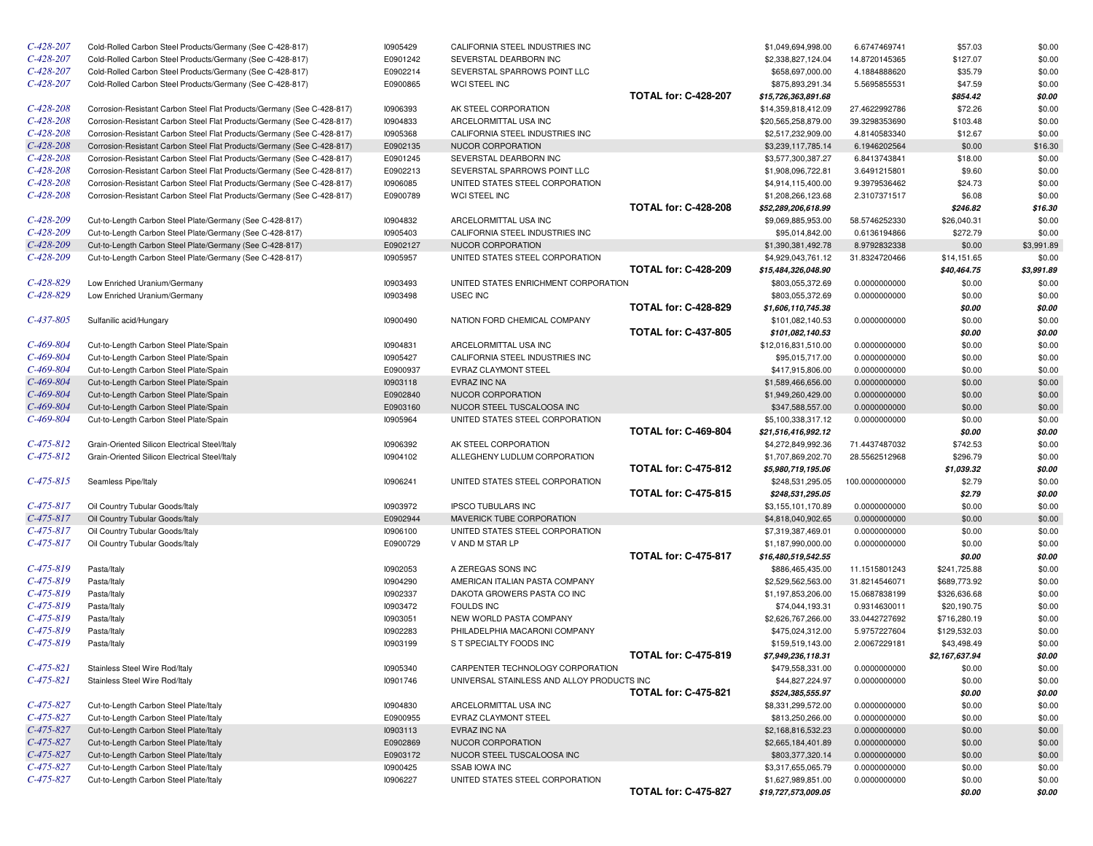| $C - 428 - 207$ | Cold-Rolled Carbon Steel Products/Germany (See C-428-817)                        | 10905429             | CALIFORNIA STEEL INDUSTRIES INC                          |                             | \$1,049,694,998.00                       | 6.6747469741                 | \$57.03          | \$0.00           |
|-----------------|----------------------------------------------------------------------------------|----------------------|----------------------------------------------------------|-----------------------------|------------------------------------------|------------------------------|------------------|------------------|
| $C-428-207$     | Cold-Rolled Carbon Steel Products/Germany (See C-428-817)                        | E0901242             | SEVERSTAL DEARBORN INC                                   |                             | \$2,338,827,124.04                       | 14.8720145365                | \$127.07         | \$0.00           |
| $C-428-207$     | Cold-Rolled Carbon Steel Products/Germany (See C-428-817)                        | E0902214             | SEVERSTAL SPARROWS POINT LLC                             |                             | \$658,697,000.00                         | 4.1884888620                 | \$35.79          | \$0.00           |
| $C-428-207$     | Cold-Rolled Carbon Steel Products/Germany (See C-428-817)                        | E0900865             | WCI STEEL INC                                            |                             | \$875,893,291.34                         | 5.5695855531                 | \$47.59          | \$0.00           |
|                 |                                                                                  |                      |                                                          | <b>TOTAL for: C-428-207</b> | \$15,726,363,891.68                      |                              | \$854.42         | \$0.00           |
| $C - 428 - 208$ | Corrosion-Resistant Carbon Steel Flat Products/Germany (See C-428-817)           | 10906393             | AK STEEL CORPORATION                                     |                             | \$14,359,818,412.09                      | 27.4622992786                | \$72.26          | \$0.00           |
| $C-428-208$     | Corrosion-Resistant Carbon Steel Flat Products/Germany (See C-428-817)           | 10904833             | ARCELORMITTAL USA INC                                    |                             | \$20,565,258,879.00                      | 39.3298353690                | \$103.48         | \$0.00           |
| $C-428-208$     | Corrosion-Resistant Carbon Steel Flat Products/Germany (See C-428-817)           | 10905368             | CALIFORNIA STEEL INDUSTRIES INC                          |                             | \$2,517,232,909.00                       | 4.8140583340                 | \$12.67          | \$0.00           |
| $C-428-208$     | Corrosion-Resistant Carbon Steel Flat Products/Germany (See C-428-817)           | E0902135             | NUCOR CORPORATION                                        |                             | \$3,239,117,785.14                       | 6.1946202564                 | \$0.00           | \$16.30          |
| $C-428-208$     | Corrosion-Resistant Carbon Steel Flat Products/Germany (See C-428-817)           | E0901245             | SEVERSTAL DEARBORN INC                                   |                             | \$3,577,300,387.27                       | 6.8413743841                 | \$18.00          | \$0.00           |
| $C - 428 - 208$ | Corrosion-Resistant Carbon Steel Flat Products/Germany (See C-428-817)           | E0902213             | SEVERSTAL SPARROWS POINT LLC                             |                             | \$1,908,096,722.81                       | 3.6491215801                 | \$9.60           | \$0.00           |
| $C-428-208$     | Corrosion-Resistant Carbon Steel Flat Products/Germany (See C-428-817)           | 10906085             | UNITED STATES STEEL CORPORATION                          |                             | \$4,914,115,400.00                       | 9.3979536462                 | \$24.73          | \$0.00           |
| $C-428-208$     | Corrosion-Resistant Carbon Steel Flat Products/Germany (See C-428-817)           | E0900789             | <b>WCI STEEL INC</b>                                     |                             | \$1,208,266,123.68                       | 2.3107371517                 | \$6.08           | \$0.00           |
|                 |                                                                                  |                      |                                                          | <b>TOTAL for: C-428-208</b> | \$52,289,206,618.99                      |                              | \$246.82         | \$16.30          |
| $C-428-209$     | Cut-to-Length Carbon Steel Plate/Germany (See C-428-817)                         | 10904832             | ARCELORMITTAL USA INC                                    |                             | \$9,069,885,953.00                       | 58.5746252330                | \$26,040.31      | \$0.00           |
| $C-428-209$     | Cut-to-Length Carbon Steel Plate/Germany (See C-428-817)                         | 10905403             | CALIFORNIA STEEL INDUSTRIES INC                          |                             | \$95,014,842.00                          | 0.6136194866                 | \$272.79         | \$0.00           |
| $C-428-209$     | Cut-to-Length Carbon Steel Plate/Germany (See C-428-817)                         | E0902127             | NUCOR CORPORATION                                        |                             | \$1,390,381,492.78                       | 8.9792832338                 | \$0.00           | \$3,991.89       |
| $C-428-209$     | Cut-to-Length Carbon Steel Plate/Germany (See C-428-817)                         | 10905957             | UNITED STATES STEEL CORPORATION                          |                             | \$4,929,043,761.12                       | 31.8324720466                | \$14,151.65      | \$0.00           |
|                 |                                                                                  |                      |                                                          | <b>TOTAL for: C-428-209</b> | \$15,484,326,048.90                      |                              | \$40,464.75      | \$3,991.89       |
| $C-428-829$     | Low Enriched Uranium/Germany                                                     | 10903493             | UNITED STATES ENRICHMENT CORPORATION                     |                             | \$803,055,372.69                         | 0.0000000000                 | \$0.00           | \$0.00           |
| $C-428-829$     | Low Enriched Uranium/Germany                                                     | 10903498             | <b>USEC INC</b>                                          |                             | \$803,055,372.69                         | 0.0000000000                 | \$0.00           | \$0.00           |
|                 |                                                                                  |                      |                                                          | <b>TOTAL for: C-428-829</b> | \$1,606,110,745.38                       |                              | \$0.00           | \$0.00           |
| $C-437-805$     | Sulfanilic acid/Hungary                                                          | 10900490             | NATION FORD CHEMICAL COMPANY                             | <b>TOTAL for: C-437-805</b> | \$101,082,140.53                         | 0.0000000000                 | \$0.00           | \$0.00           |
| $C-469-804$     |                                                                                  |                      |                                                          |                             | \$101,082,140.53                         |                              | \$0.00           | \$0.00           |
| $C-469-804$     | Cut-to-Length Carbon Steel Plate/Spain                                           | 10904831             | ARCELORMITTAL USA INC<br>CALIFORNIA STEEL INDUSTRIES INC |                             | \$12,016,831,510.00                      | 0.0000000000                 | \$0.00           | \$0.00           |
| $C-469-804$     | Cut-to-Length Carbon Steel Plate/Spain                                           | 10905427<br>E0900937 | <b>EVRAZ CLAYMONT STEEL</b>                              |                             | \$95,015,717.00                          | 0.0000000000                 | \$0.00           | \$0.00           |
| $C-469-804$     | Cut-to-Length Carbon Steel Plate/Spain<br>Cut-to-Length Carbon Steel Plate/Spain | 10903118             | EVRAZ INC NA                                             |                             | \$417,915,806.00                         | 0.0000000000<br>0.0000000000 | \$0.00<br>\$0.00 | \$0.00<br>\$0.00 |
| $C-469-804$     | Cut-to-Length Carbon Steel Plate/Spain                                           | E0902840             | NUCOR CORPORATION                                        |                             | \$1,589,466,656.00<br>\$1,949,260,429.00 | 0.0000000000                 | \$0.00           | \$0.00           |
| $C-469-804$     | Cut-to-Length Carbon Steel Plate/Spain                                           | E0903160             | NUCOR STEEL TUSCALOOSA INC                               |                             | \$347,588,557.00                         | 0.0000000000                 | \$0.00           | \$0.00           |
| $C-469-804$     | Cut-to-Length Carbon Steel Plate/Spain                                           | 10905964             | UNITED STATES STEEL CORPORATION                          |                             | \$5,100,338,317.12                       | 0.0000000000                 | \$0.00           | \$0.00           |
|                 |                                                                                  |                      |                                                          | <b>TOTAL for: C-469-804</b> | \$21,516,416,992.12                      |                              | \$0.00           | \$0.00           |
| $C - 475 - 812$ | Grain-Oriented Silicon Electrical Steel/Italy                                    | 10906392             | AK STEEL CORPORATION                                     |                             | \$4,272,849,992.36                       | 71.4437487032                | \$742.53         | \$0.00           |
| $C - 475 - 812$ | Grain-Oriented Silicon Electrical Steel/Italy                                    | 10904102             | ALLEGHENY LUDLUM CORPORATION                             |                             | \$1,707,869,202.70                       | 28.5562512968                | \$296.79         | \$0.00           |
|                 |                                                                                  |                      |                                                          | <b>TOTAL for: C-475-812</b> | \$5,980,719,195.06                       |                              | \$1,039.32       | \$0.00           |
| $C-475-815$     | Seamless Pipe/Italy                                                              | 10906241             | UNITED STATES STEEL CORPORATION                          |                             | \$248,531,295.05                         | 100.0000000000               | \$2.79           | \$0.00           |
|                 |                                                                                  |                      |                                                          | <b>TOTAL for: C-475-815</b> | \$248,531,295.05                         |                              | \$2.79           | \$0.00           |
| $C - 475 - 817$ | Oil Country Tubular Goods/Italy                                                  | 10903972             | <b>IPSCO TUBULARS INC</b>                                |                             | \$3,155,101,170.89                       | 0.0000000000                 | \$0.00           | \$0.00           |
| $C - 475 - 817$ | Oil Country Tubular Goods/Italy                                                  | E0902944             | MAVERICK TUBE CORPORATION                                |                             | \$4,818,040,902.65                       | 0.0000000000                 | \$0.00           | \$0.00           |
| $C - 475 - 817$ | Oil Country Tubular Goods/Italy                                                  | 10906100             | UNITED STATES STEEL CORPORATION                          |                             | \$7,319,387,469.01                       | 0.0000000000                 | \$0.00           | \$0.00           |
| $C-475-817$     | Oil Country Tubular Goods/Italy                                                  | E0900729             | V AND M STAR LP                                          |                             | \$1,187,990,000.00                       | 0.0000000000                 | \$0.00           | \$0.00           |
|                 |                                                                                  |                      |                                                          | <b>TOTAL for: C-475-817</b> | \$16,480,519,542.55                      |                              | \$0.00           | \$0.00           |
| $C-475-819$     | Pasta/Italy                                                                      | 10902053             | A ZEREGAS SONS INC                                       |                             | \$886,465,435.00                         | 11.1515801243                | \$241,725.88     | \$0.00           |
| $C-475-819$     | Pasta/Italy                                                                      | 10904290             | AMERICAN ITALIAN PASTA COMPANY                           |                             | \$2,529,562,563,00                       | 31.8214546071                | \$689,773.92     | \$0.00           |
| $C-475-819$     | Pasta/Italy                                                                      | 10902337             | DAKOTA GROWERS PASTA CO INC                              |                             | \$1,197,853,206.00                       | 15.0687838199                | \$326,636.68     | \$0.00           |
| $C-475-819$     | Pasta/Italy                                                                      | 10903472             | <b>FOULDS INC</b>                                        |                             | \$74,044,193.31                          | 0.9314630011                 | \$20,190.75      | \$0.00           |
| $C-475-819$     | Pasta/Italy                                                                      | 10903051             | NEW WORLD PASTA COMPANY                                  |                             | \$2,626,767,266.00                       | 33.0442727692                | \$716,280.19     | \$0.00           |
| $C-475-819$     | Pasta/Italy                                                                      | 10902283             | PHILADELPHIA MACARONI COMPANY                            |                             | \$475,024,312.00                         | 5.9757227604                 | \$129,532.03     | \$0.00           |
| $C-475-819$     | Pasta/Italy                                                                      | 10903199             | S T SPECIALTY FOODS INC                                  |                             | \$159,519,143.00                         | 2.0067229181                 | \$43,498.49      | \$0.00           |
|                 |                                                                                  |                      |                                                          | <b>TOTAL for: C-475-819</b> | \$7,949,236,118.31                       |                              | \$2,167,637.94   | \$0.00           |
| $C-475-821$     | Stainless Steel Wire Rod/Italy                                                   | 10905340             | CARPENTER TECHNOLOGY CORPORATION                         |                             | \$479,558,331.00                         | 0.0000000000                 | \$0.00           | \$0.00           |
| $C-475-821$     | Stainless Steel Wire Rod/Italy                                                   | 10901746             | UNIVERSAL STAINLESS AND ALLOY PRODUCTS INC               |                             | \$44,827,224.97                          | 0.0000000000                 | \$0.00           | \$0.00           |
|                 |                                                                                  |                      |                                                          | <b>TOTAL for: C-475-821</b> | \$524,385,555.97                         |                              | \$0.00           | \$0.00           |
| $C-475-827$     | Cut-to-Length Carbon Steel Plate/Italy                                           | 10904830             | ARCELORMITTAL USA INC                                    |                             | \$8,331,299,572.00                       | 0.0000000000                 | \$0.00           | \$0.00           |
| $C-475-827$     | Cut-to-Length Carbon Steel Plate/Italy                                           | E0900955             | EVRAZ CLAYMONT STEEL                                     |                             | \$813,250,266.00                         | 0.0000000000                 | \$0.00           | \$0.00           |
| $C-475-827$     | Cut-to-Length Carbon Steel Plate/Italy                                           | 10903113             | EVRAZ INC NA                                             |                             | \$2,168,816,532.23                       | 0.0000000000                 | \$0.00           | \$0.00           |
| $C-475-827$     | Cut-to-Length Carbon Steel Plate/Italy                                           | E0902869             | NUCOR CORPORATION                                        |                             | \$2,665,184,401.89                       | 0.0000000000                 | \$0.00           | \$0.00           |
| $C-475-827$     | Cut-to-Length Carbon Steel Plate/Italy                                           | E0903172             | NUCOR STEEL TUSCALOOSA INC                               |                             | \$803,377,320.14                         | 0.0000000000                 | \$0.00           | \$0.00           |
| $C-475-827$     | Cut-to-Length Carbon Steel Plate/Italy                                           | I0900425             | <b>SSAB IOWA INC</b>                                     |                             | \$3,317,655,065.79                       | 0.0000000000                 | \$0.00           | \$0.00           |
| $C-475-827$     | Cut-to-Length Carbon Steel Plate/Italy                                           | 10906227             | UNITED STATES STEEL CORPORATION                          |                             | \$1,627,989,851.00                       | 0.0000000000                 | \$0.00           | \$0.00           |
|                 |                                                                                  |                      |                                                          | <b>TOTAL for: C-475-827</b> | \$19,727,573,009.05                      |                              | \$0.00           | \$0.00           |
|                 |                                                                                  |                      |                                                          |                             |                                          |                              |                  |                  |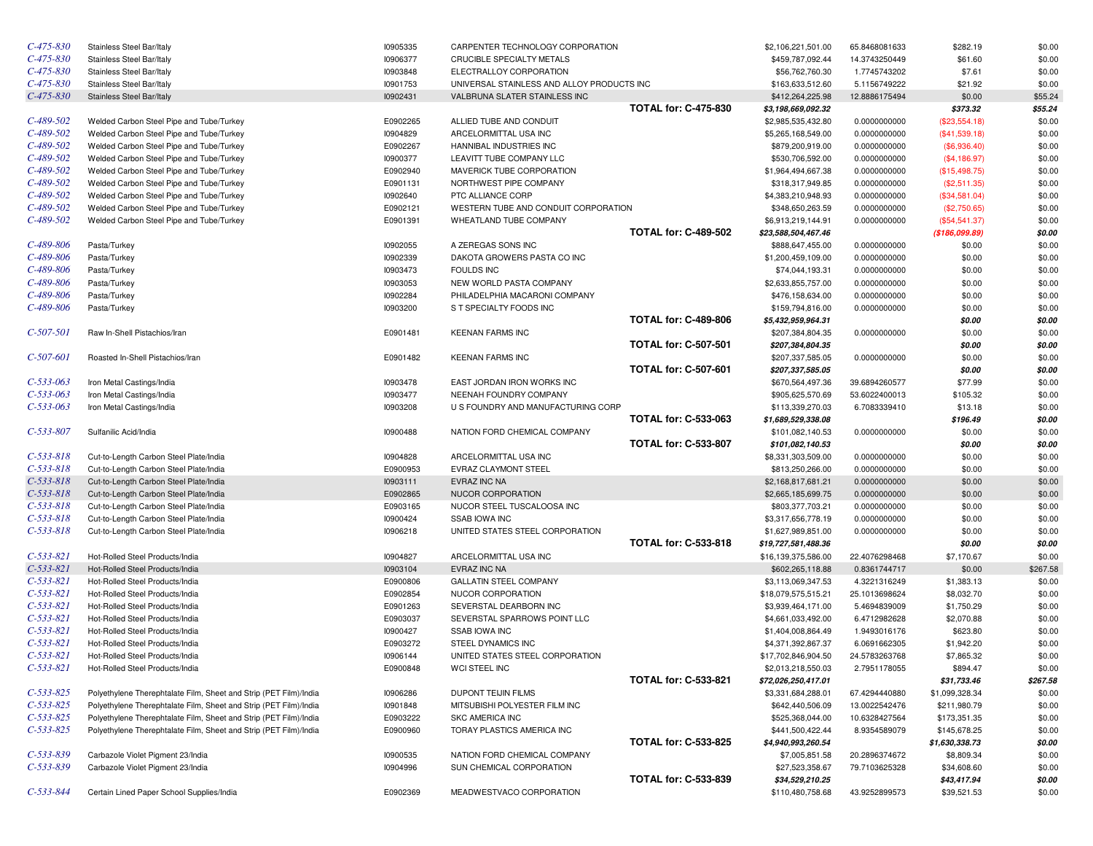| $C-475-830$     | Stainless Steel Bar/Italy                                         | 10905335        | CARPENTER TECHNOLOGY CORPORATION           |                             | \$2,106,221,501.00                        | 65.8468081633 | \$282.19        | \$0.00   |
|-----------------|-------------------------------------------------------------------|-----------------|--------------------------------------------|-----------------------------|-------------------------------------------|---------------|-----------------|----------|
| $C-475-830$     | Stainless Steel Bar/Italy                                         | 10906377        | CRUCIBLE SPECIALTY METALS                  |                             | \$459,787,092.44                          | 14.3743250449 | \$61.60         | \$0.00   |
| $C-475-830$     | Stainless Steel Bar/Italy                                         | 10903848        | ELECTRALLOY CORPORATION                    |                             | \$56,762,760.30                           | 1.7745743202  | \$7.61          | \$0.00   |
| $C-475-830$     | Stainless Steel Bar/Italy                                         | 10901753        | UNIVERSAL STAINLESS AND ALLOY PRODUCTS INC |                             | \$163,633,512.60                          | 5.1156749222  | \$21.92         | \$0.00   |
| $C-475-830$     | Stainless Steel Bar/Italy                                         | 10902431        | VALBRUNA SLATER STAINLESS INC              |                             | \$412,264,225.98                          | 12.8886175494 | \$0.00          | \$55.24  |
|                 |                                                                   |                 |                                            | <b>TOTAL for: C-475-830</b> | \$3,198,669,092.32                        |               | \$373.32        | \$55.24  |
| $C-489-502$     | Welded Carbon Steel Pipe and Tube/Turkey                          | E0902265        | ALLIED TUBE AND CONDUIT                    |                             | \$2,985,535,432.80                        | 0.0000000000  | (\$23,554.18)   | \$0.00   |
| $C-489-502$     | Welded Carbon Steel Pipe and Tube/Turkey                          | 10904829        | ARCELORMITTAL USA INC                      |                             | \$5,265,168,549.00                        | 0.0000000000  | (\$41,539.18)   | \$0.00   |
| $C-489-502$     | Welded Carbon Steel Pipe and Tube/Turkey                          | E0902267        | HANNIBAL INDUSTRIES INC                    |                             | \$879,200,919.00                          | 0.0000000000  | (\$6,936.40)    | \$0.00   |
| $C-489-502$     | Welded Carbon Steel Pipe and Tube/Turkey                          | 10900377        | LEAVITT TUBE COMPANY LLC                   |                             | \$530,706,592.00                          | 0.0000000000  | (\$4,186.97)    | \$0.00   |
| $C-489-502$     | Welded Carbon Steel Pipe and Tube/Turkey                          | E0902940        | MAVERICK TUBE CORPORATION                  |                             | \$1,964,494,667.38                        | 0.0000000000  | (\$15,498.75)   | \$0.00   |
| $C-489-502$     | Welded Carbon Steel Pipe and Tube/Turkey                          | E0901131        | NORTHWEST PIPE COMPANY                     |                             | \$318,317,949.85                          | 0.0000000000  | (\$2,511.35)    | \$0.00   |
| $C-489-502$     | Welded Carbon Steel Pipe and Tube/Turkey                          | 10902640        | PTC ALLIANCE CORP                          |                             | \$4,383,210,948.93                        | 0.0000000000  | (\$34,581.04)   | \$0.00   |
| $C-489-502$     | Welded Carbon Steel Pipe and Tube/Turkey                          | E0902121        | WESTERN TUBE AND CONDUIT CORPORATION       |                             | \$348,650,263.59                          | 0.0000000000  | (\$2,750.65)    | \$0.00   |
| $C-489-502$     | Welded Carbon Steel Pipe and Tube/Turkey                          | E0901391        | WHEATLAND TUBE COMPANY                     |                             | \$6,913,219,144.91                        | 0.0000000000  | $(\$54,541.37)$ | \$0.00   |
|                 |                                                                   |                 |                                            | <b>TOTAL for: C-489-502</b> | \$23,588,504,467.46                       |               | (\$186,099.89)  | \$0.00   |
| $C-489-806$     | Pasta/Turkey                                                      | <b>I0902055</b> | A ZEREGAS SONS INC                         |                             | \$888,647,455.00                          | 0.0000000000  | \$0.00          | \$0.00   |
| C-489-806       | Pasta/Turkey                                                      | 10902339        | DAKOTA GROWERS PASTA CO INC                |                             | \$1,200,459,109.00                        | 0.0000000000  | \$0.00          | \$0.00   |
| C-489-806       | Pasta/Turkey                                                      | 10903473        | <b>FOULDS INC</b>                          |                             | \$74,044,193.31                           | 0.0000000000  | \$0.00          | \$0.00   |
| C-489-806       | Pasta/Turkey                                                      | 10903053        | NEW WORLD PASTA COMPANY                    |                             | \$2,633,855,757.00                        | 0.0000000000  | \$0.00          | \$0.00   |
| C-489-806       | Pasta/Turkey                                                      | 10902284        | PHILADELPHIA MACARONI COMPANY              |                             | \$476,158,634.00                          | 0.0000000000  | \$0.00          | \$0.00   |
| C-489-806       | Pasta/Turkey                                                      | 10903200        | S T SPECIALTY FOODS INC                    |                             | \$159,794,816.00                          | 0.0000000000  | \$0.00          | \$0.00   |
|                 |                                                                   |                 |                                            | <b>TOTAL for: C-489-806</b> | \$5,432,959,964.31                        |               | \$0.00          | \$0.00   |
| C-507-501       | Raw In-Shell Pistachios/Iran                                      | E0901481        | <b>KEENAN FARMS INC</b>                    |                             | \$207,384,804.35                          | 0.0000000000  | \$0.00          | \$0.00   |
|                 |                                                                   |                 |                                            | <b>TOTAL for: C-507-501</b> | \$207,384,804.35                          |               | \$0.00          | \$0.00   |
| C-507-601       | Roasted In-Shell Pistachios/Iran                                  | E0901482        | <b>KEENAN FARMS INC</b>                    |                             | \$207,337,585.05                          | 0.0000000000  | \$0.00          | \$0.00   |
|                 |                                                                   |                 |                                            | <b>TOTAL for: C-507-601</b> | \$207,337,585.05                          |               | \$0.00          | \$0.00   |
| $C-533-063$     | Iron Metal Castings/India                                         | 10903478        | EAST JORDAN IRON WORKS INC                 |                             | \$670,564,497.36                          | 39.6894260577 | \$77.99         | \$0.00   |
| $C-533-063$     | Iron Metal Castings/India                                         | 10903477        | NEENAH FOUNDRY COMPANY                     |                             | \$905,625,570.69                          | 53.6022400013 | \$105.32        | \$0.00   |
| $C-533-063$     | Iron Metal Castings/India                                         | 10903208        | U S FOUNDRY AND MANUFACTURING CORP         |                             | \$113,339,270.03                          | 6.7083339410  | \$13.18         | \$0.00   |
|                 |                                                                   |                 |                                            | <b>TOTAL for: C-533-063</b> | \$1,689,529,338.08                        |               | \$196.49        | \$0.00   |
| C-533-807       | Sulfanilic Acid/India                                             | 10900488        | NATION FORD CHEMICAL COMPANY               |                             | \$101,082,140.53                          | 0.0000000000  | \$0.00          | \$0.00   |
|                 |                                                                   |                 |                                            | <b>TOTAL for: C-533-807</b> | \$101,082,140.53                          |               | \$0.00          | \$0.00   |
| C-533-818       | Cut-to-Length Carbon Steel Plate/India                            | 10904828        | ARCELORMITTAL USA INC                      |                             | \$8,331,303,509.00                        | 0.0000000000  | \$0.00          | \$0.00   |
| $C-533-818$     | Cut-to-Length Carbon Steel Plate/India                            | E0900953        | EVRAZ CLAYMONT STEEL                       |                             | \$813,250,266.00                          | 0.0000000000  | \$0.00          | \$0.00   |
| $C-533-818$     | Cut-to-Length Carbon Steel Plate/India                            | 10903111        | EVRAZ INC NA                               |                             | \$2,168,817,681.21                        | 0.0000000000  | \$0.00          | \$0.00   |
| $C-533-818$     | Cut-to-Length Carbon Steel Plate/India                            | E0902865        | NUCOR CORPORATION                          |                             | \$2,665,185,699.75                        | 0.0000000000  | \$0.00          | \$0.00   |
| $C-533-818$     | Cut-to-Length Carbon Steel Plate/India                            | E0903165        | NUCOR STEEL TUSCALOOSA INC                 |                             | \$803,377,703.21                          | 0.0000000000  | \$0.00          | \$0.00   |
| $C-533-818$     | Cut-to-Length Carbon Steel Plate/India                            | 10900424        | <b>SSAB IOWA INC</b>                       |                             | \$3,317,656,778.19                        | 0.0000000000  | \$0.00          | \$0.00   |
| $C-533-818$     | Cut-to-Length Carbon Steel Plate/India                            | 10906218        | UNITED STATES STEEL CORPORATION            |                             | \$1,627,989,851.00                        | 0.0000000000  | \$0.00          | \$0.00   |
|                 |                                                                   |                 |                                            | <b>TOTAL for: C-533-818</b> | \$19,727,581,488.36                       |               | \$0.00          | \$0.00   |
| C-533-821       | Hot-Rolled Steel Products/India                                   | 10904827        | ARCELORMITTAL USA INC                      |                             | \$16,139,375,586.00                       | 22.4076298468 | \$7,170.67      | \$0.00   |
| $C-533-821$     | Hot-Rolled Steel Products/India                                   | 10903104        | EVRAZ INC NA                               |                             | \$602,265,118.88                          | 0.8361744717  | \$0.00          | \$267.58 |
| C-533-821       | Hot-Rolled Steel Products/India                                   | E0900806        | <b>GALLATIN STEEL COMPANY</b>              |                             | \$3,113,069,347.53                        | 4.3221316249  | \$1,383.13      | \$0.00   |
| $C-533-821$     | Hot-Rolled Steel Products/India                                   | E0902854        | NUCOR CORPORATION                          |                             | \$18,079,575,515.21                       | 25.1013698624 | \$8,032.70      | \$0.00   |
| $C-533-821$     | Hot-Rolled Steel Products/India                                   | E0901263        | SEVERSTAL DEARBORN INC                     |                             | \$3,939,464,171.00                        | 5.4694839009  | \$1,750.29      | \$0.00   |
| $C-533-821$     | Hot-Rolled Steel Products/India                                   | E0903037        | SEVERSTAL SPARROWS POINT LLC               |                             | \$4,661,033,492.00                        | 6.4712982628  | \$2,070.88      | \$0.00   |
| $C - 533 - 821$ | Hot-Rolled Steel Products/India                                   | 10900427        | <b>SSAB IOWA INC</b>                       |                             | \$1,404,008,864.49                        | 1.9493016176  | \$623.80        | \$0.00   |
| $C-533-821$     | Hot-Rolled Steel Products/India                                   | E0903272        | STEEL DYNAMICS INC                         |                             | \$4,371,392,867.37                        | 6.0691662305  | \$1,942.20      | \$0.00   |
| $C-533-821$     | Hot-Rolled Steel Products/India                                   | 10906144        | UNITED STATES STEEL CORPORATION            |                             | \$17,702,846,904.50                       | 24.5783263768 | \$7,865.32      | \$0.00   |
| $C-533-821$     | Hot-Rolled Steel Products/India                                   | E0900848        | WCI STEEL INC                              |                             |                                           |               | \$894.47        | \$0.00   |
|                 |                                                                   |                 |                                            | <b>TOTAL for: C-533-821</b> | \$2,013,218,550.03<br>\$72,026,250,417.01 | 2.7951178055  | \$31,733.46     | \$267.58 |
| $C-533-825$     | Polyethylene Therephtalate Film, Sheet and Strip (PET Film)/India | 10906286        | DUPONT TEIJIN FILMS                        |                             | \$3,331,684,288.01                        | 67.4294440880 | \$1,099,328.34  | \$0.00   |
| $C-533-825$     | Polyethylene Therephtalate Film, Sheet and Strip (PET Film)/India | 10901848        | MITSUBISHI POLYESTER FILM INC              |                             | \$642,440,506.09                          | 13.0022542476 | \$211,980.79    | \$0.00   |
| $C-533-825$     | Polyethylene Therephtalate Film, Sheet and Strip (PET Film)/India | E0903222        | <b>SKC AMERICA INC</b>                     |                             | \$525,368,044.00                          | 10.6328427564 | \$173,351.35    | \$0.00   |
| $C-533-825$     | Polyethylene Therephtalate Film, Sheet and Strip (PET Film)/India | E0900960        | TORAY PLASTICS AMERICA INC                 |                             | \$441,500,422.44                          | 8.9354589079  | \$145,678.25    | \$0.00   |
|                 |                                                                   |                 |                                            | <b>TOTAL for: C-533-825</b> |                                           |               | \$1,630,338.73  |          |
| $C-533-839$     | Carbazole Violet Pigment 23/India                                 | 10900535        | NATION FORD CHEMICAL COMPANY               |                             | \$4,940,993,260.54<br>\$7,005,851.58      | 20.2896374672 | \$8,809.34      | \$0.00   |
| $C-533-839$     | Carbazole Violet Pigment 23/India                                 | 10904996        | SUN CHEMICAL CORPORATION                   |                             |                                           | 79.7103625328 |                 | \$0.00   |
|                 |                                                                   |                 |                                            | <b>TOTAL for: C-533-839</b> | \$27,523,358.67<br>\$34,529,210.25        |               | \$34,608.60     | \$0.00   |
| $C - 533 - 844$ | Certain Lined Paper School Supplies/India                         | E0902369        | MEADWESTVACO CORPORATION                   |                             | \$110,480,758.68                          | 43.9252899573 | \$43,417.94     | \$0.00   |
|                 |                                                                   |                 |                                            |                             |                                           |               | \$39,521.53     | \$0.00   |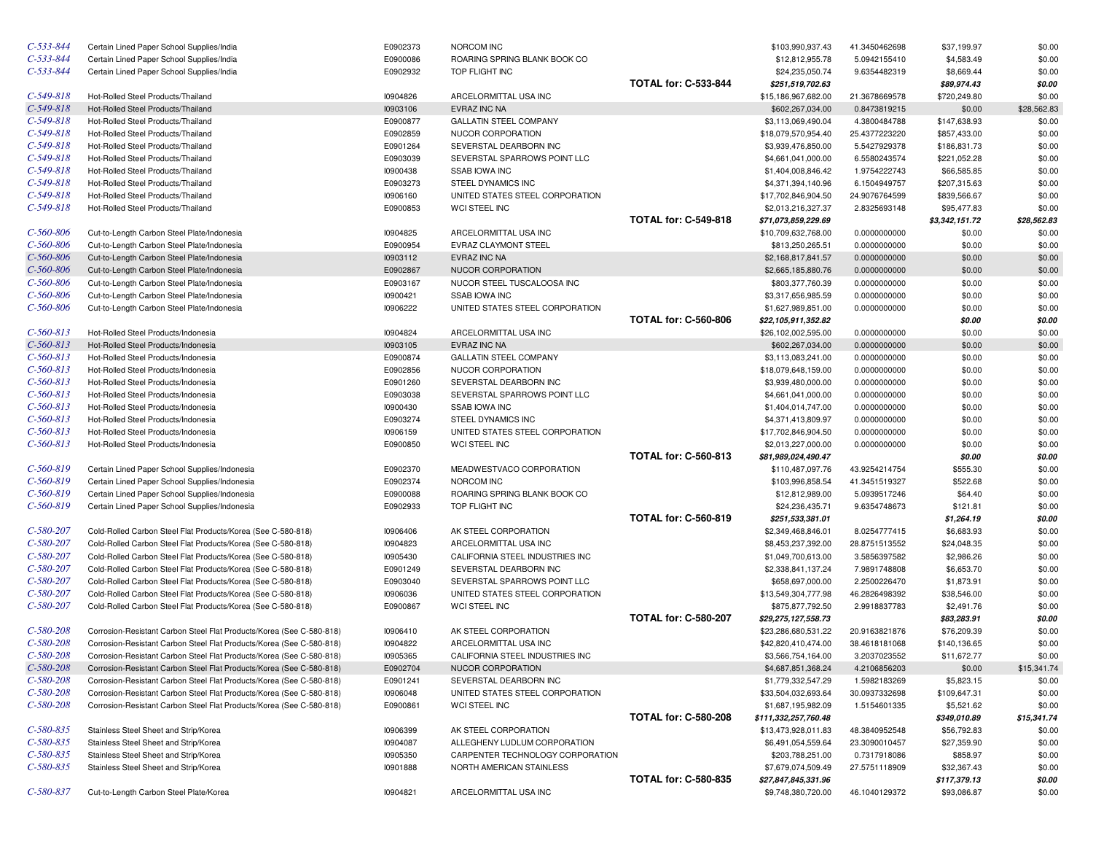| $C-533-844$     | Certain Lined Paper School Supplies/India                            | E0902373 | NORCOM INC                       |                             | \$103,990,937.43     | 41.3450462698 | \$37,199.97    | \$0.00      |
|-----------------|----------------------------------------------------------------------|----------|----------------------------------|-----------------------------|----------------------|---------------|----------------|-------------|
| $C-533-844$     | Certain Lined Paper School Supplies/India                            | E0900086 | ROARING SPRING BLANK BOOK CO     |                             | \$12,812,955.78      | 5.0942155410  | \$4,583.49     | \$0.00      |
| $C-533-844$     | Certain Lined Paper School Supplies/India                            | E0902932 | TOP FLIGHT INC                   |                             | \$24,235,050.74      | 9.6354482319  | \$8,669.44     | \$0.00      |
|                 |                                                                      |          |                                  | <b>TOTAL for: C-533-844</b> | \$251,519,702.63     |               | \$89,974.43    | \$0.00      |
| $C-549-818$     | Hot-Rolled Steel Products/Thailand                                   | 10904826 | ARCELORMITTAL USA INC            |                             | \$15,186,967,682.00  | 21.3678669578 | \$720,249.80   | \$0.00      |
| $C-549-818$     | Hot-Rolled Steel Products/Thailand                                   | 10903106 | EVRAZ INC NA                     |                             | \$602,267,034.00     | 0.8473819215  | \$0.00         | \$28,562.83 |
| $C-549-818$     | Hot-Rolled Steel Products/Thailand                                   | E0900877 | <b>GALLATIN STEEL COMPANY</b>    |                             | \$3,113,069,490.04   | 4.3800484788  | \$147,638.93   | \$0.00      |
| $C-549-818$     | Hot-Rolled Steel Products/Thailand                                   | E0902859 | NUCOR CORPORATION                |                             | \$18,079,570,954.40  | 25.4377223220 | \$857,433.00   | \$0.00      |
| $C-549-818$     | Hot-Rolled Steel Products/Thailand                                   | E0901264 | SEVERSTAL DEARBORN INC           |                             | \$3,939,476,850.00   | 5.5427929378  | \$186,831.73   | \$0.00      |
| $C-549-818$     | Hot-Rolled Steel Products/Thailand                                   | E0903039 | SEVERSTAL SPARROWS POINT LLC     |                             | \$4,661,041,000.00   | 6.5580243574  | \$221,052.28   | \$0.00      |
| $C-549-818$     | Hot-Rolled Steel Products/Thailand                                   | 10900438 | <b>SSAB IOWA INC</b>             |                             | \$1,404,008,846.42   | 1.9754222743  | \$66,585.85    | \$0.00      |
| $C-549-818$     | Hot-Rolled Steel Products/Thailand                                   | E0903273 | STEEL DYNAMICS INC               |                             | \$4,371,394,140.96   | 6.1504949757  | \$207,315.63   | \$0.00      |
| $C-549-818$     | Hot-Rolled Steel Products/Thailand                                   | 10906160 | UNITED STATES STEEL CORPORATION  |                             | \$17,702,846,904.50  | 24.9076764599 | \$839,566.67   | \$0.00      |
| $C-549-818$     | Hot-Rolled Steel Products/Thailand                                   | E0900853 | <b>WCI STEEL INC</b>             |                             | \$2,013,216,327.37   | 2.8325693148  | \$95,477.83    | \$0.00      |
|                 |                                                                      |          |                                  | <b>TOTAL for: C-549-818</b> | \$71,073,859,229.69  |               | \$3,342,151.72 | \$28,562.83 |
| $C-560-806$     | Cut-to-Length Carbon Steel Plate/Indonesia                           | 10904825 | ARCELORMITTAL USA INC            |                             | \$10,709,632,768.00  | 0.0000000000  | \$0.00         | \$0.00      |
| $C-560-806$     | Cut-to-Length Carbon Steel Plate/Indonesia                           | E0900954 | EVRAZ CLAYMONT STEEL             |                             | \$813,250,265.51     | 0.0000000000  | \$0.00         | \$0.00      |
| $C - 560 - 806$ | Cut-to-Length Carbon Steel Plate/Indonesia                           | 10903112 | EVRAZ INC NA                     |                             | \$2,168,817,841.57   | 0.0000000000  | \$0.00         | \$0.00      |
| $C - 560 - 806$ | Cut-to-Length Carbon Steel Plate/Indonesia                           | E0902867 | NUCOR CORPORATION                |                             | \$2,665,185,880.76   | 0.0000000000  | \$0.00         | \$0.00      |
| $C-560-806$     | Cut-to-Length Carbon Steel Plate/Indonesia                           | E0903167 | NUCOR STEEL TUSCALOOSA INC       |                             | \$803,377,760.39     | 0.0000000000  | \$0.00         | \$0.00      |
| $C-560-806$     | Cut-to-Length Carbon Steel Plate/Indonesia                           | 10900421 | <b>SSAB IOWA INC</b>             |                             | \$3,317,656,985.59   | 0.0000000000  | \$0.00         | \$0.00      |
| $C-560-806$     | Cut-to-Length Carbon Steel Plate/Indonesia                           | 10906222 | UNITED STATES STEEL CORPORATION  |                             | \$1,627,989,851.00   | 0.0000000000  | \$0.00         | \$0.00      |
|                 |                                                                      |          |                                  | <b>TOTAL for: C-560-806</b> | \$22,105,911,352.82  |               | \$0.00         | \$0.00      |
| $C-560-813$     | Hot-Rolled Steel Products/Indonesia                                  | 10904824 | ARCELORMITTAL USA INC            |                             | \$26,102,002,595.00  | 0.0000000000  | \$0.00         | \$0.00      |
| $C-560-813$     | Hot-Rolled Steel Products/Indonesia                                  | 10903105 | EVRAZ INC NA                     |                             | \$602,267,034.00     | 0.0000000000  | \$0.00         | \$0.00      |
| $C-560-813$     | Hot-Rolled Steel Products/Indonesia                                  | E0900874 | <b>GALLATIN STEEL COMPANY</b>    |                             | \$3,113,083,241.00   | 0.0000000000  | \$0.00         | \$0.00      |
| $C-560-813$     | Hot-Rolled Steel Products/Indonesia                                  | E0902856 | NUCOR CORPORATION                |                             | \$18,079,648,159.00  | 0.0000000000  | \$0.00         | \$0.00      |
| $C-560-813$     | Hot-Rolled Steel Products/Indonesia                                  | E0901260 | SEVERSTAL DEARBORN INC           |                             | \$3,939,480,000.00   | 0.0000000000  | \$0.00         | \$0.00      |
| $C-560-813$     | Hot-Rolled Steel Products/Indonesia                                  | E0903038 | SEVERSTAL SPARROWS POINT LLC     |                             | \$4,661,041,000.00   | 0.0000000000  | \$0.00         | \$0.00      |
| $C-560-813$     | Hot-Rolled Steel Products/Indonesia                                  | 10900430 | <b>SSAB IOWA INC</b>             |                             | \$1,404,014,747.00   | 0.0000000000  | \$0.00         | \$0.00      |
| $C-560-813$     | Hot-Rolled Steel Products/Indonesia                                  | E0903274 | STEEL DYNAMICS INC               |                             | \$4,371,413,809.97   | 0.0000000000  | \$0.00         | \$0.00      |
| $C-560-813$     | Hot-Rolled Steel Products/Indonesia                                  | 10906159 | UNITED STATES STEEL CORPORATION  |                             | \$17,702,846,904.50  | 0.0000000000  | \$0.00         | \$0.00      |
| $C-560-813$     | Hot-Rolled Steel Products/Indonesia                                  | E0900850 | WCI STEEL INC                    |                             | \$2,013,227,000.00   | 0.0000000000  | \$0.00         | \$0.00      |
|                 |                                                                      |          |                                  | <b>TOTAL for: C-560-813</b> | \$81,989,024,490.47  |               | \$0.00         | \$0.00      |
| $C-560-819$     | Certain Lined Paper School Supplies/Indonesia                        | E0902370 | MEADWESTVACO CORPORATION         |                             | \$110,487,097.76     | 43.9254214754 | \$555.30       | \$0.00      |
| $C-560-819$     | Certain Lined Paper School Supplies/Indonesia                        | E0902374 | NORCOM INC                       |                             | \$103,996,858.54     | 41.3451519327 | \$522.68       | \$0.00      |
| $C-560-819$     | Certain Lined Paper School Supplies/Indonesia                        | E0900088 | ROARING SPRING BLANK BOOK CO     |                             | \$12,812,989.00      | 5.0939517246  | \$64.40        | \$0.00      |
| $C-560-819$     | Certain Lined Paper School Supplies/Indonesia                        | E0902933 | TOP FLIGHT INC                   |                             | \$24,236,435.71      | 9.6354748673  | \$121.81       | \$0.00      |
|                 |                                                                      |          |                                  | <b>TOTAL for: C-560-819</b> | \$251,533,381.01     |               | \$1,264.19     | \$0.00      |
| $C-580-207$     | Cold-Rolled Carbon Steel Flat Products/Korea (See C-580-818)         | 10906406 | AK STEEL CORPORATION             |                             | \$2,349,468,846.01   | 8.0254777415  | \$6,683.93     | \$0.00      |
| $C-580-207$     | Cold-Rolled Carbon Steel Flat Products/Korea (See C-580-818)         | 10904823 | ARCELORMITTAL USA INC            |                             | \$8,453,237,392.00   | 28.8751513552 | \$24,048.35    | \$0.00      |
| $C-580-207$     | Cold-Rolled Carbon Steel Flat Products/Korea (See C-580-818)         | 10905430 | CALIFORNIA STEEL INDUSTRIES INC  |                             | \$1,049,700,613.00   | 3.5856397582  | \$2,986.26     | \$0.00      |
| $C-580-207$     | Cold-Rolled Carbon Steel Flat Products/Korea (See C-580-818)         | E0901249 | SEVERSTAL DEARBORN INC           |                             | \$2,338,841,137.24   | 7.9891748808  | \$6,653.70     | \$0.00      |
| $C-580-207$     | Cold-Rolled Carbon Steel Flat Products/Korea (See C-580-818)         | E0903040 | SEVERSTAL SPARROWS POINT LLC     |                             | \$658,697,000.00     | 2.2500226470  | \$1,873.91     | \$0.00      |
| $C-580-207$     | Cold-Rolled Carbon Steel Flat Products/Korea (See C-580-818)         | 10906036 | UNITED STATES STEEL CORPORATION  |                             | \$13,549,304,777.98  | 46.2826498392 | \$38,546.00    | \$0.00      |
| $C-580-207$     | Cold-Rolled Carbon Steel Flat Products/Korea (See C-580-818)         | E0900867 | WCI STEEL INC                    |                             | \$875,877,792.50     | 2.9918837783  | \$2,491.76     | \$0.00      |
|                 |                                                                      |          |                                  | <b>TOTAL for: C-580-207</b> | \$29,275,127,558.73  |               | \$83,283.91    | \$0.00      |
| $C-580-208$     | Corrosion-Resistant Carbon Steel Flat Products/Korea (See C-580-818) | 10906410 | AK STEEL CORPORATION             |                             | \$23,286,680,531.22  | 20.9163821876 | \$76,209.39    | \$0.00      |
| $C-580-208$     | Corrosion-Resistant Carbon Steel Flat Products/Korea (See C-580-818) | 10904822 | ARCELORMITTAL USA INC            |                             | \$42,820,410,474.00  | 38.4618181068 | \$140,136.65   | \$0.00      |
| $C-580-208$     | Corrosion-Resistant Carbon Steel Flat Products/Korea (See C-580-818) | 10905365 | CALIFORNIA STEEL INDUSTRIES INC  |                             | \$3,566,754,164.00   | 3.2037023552  | \$11,672.77    | \$0.00      |
| $C - 580 - 208$ | Corrosion-Resistant Carbon Steel Flat Products/Korea (See C-580-818) | E0902704 | NUCOR CORPORATION                |                             | \$4,687,851,368.24   | 4.2106856203  | \$0.00         | \$15,341.74 |
| $C-580-208$     | Corrosion-Resistant Carbon Steel Flat Products/Korea (See C-580-818) | E0901241 | SEVERSTAL DEARBORN INC           |                             | \$1,779,332,547.29   | 1.5982183269  | \$5,823.15     | \$0.00      |
| $C-580-208$     | Corrosion-Resistant Carbon Steel Flat Products/Korea (See C-580-818) | 10906048 | UNITED STATES STEEL CORPORATION  |                             | \$33,504,032,693.64  | 30.0937332698 | \$109,647.31   | \$0.00      |
| $C-580-208$     | Corrosion-Resistant Carbon Steel Flat Products/Korea (See C-580-818) | E0900861 | WCI STEEL INC                    |                             | \$1,687,195,982.09   | 1.5154601335  | \$5,521.62     | \$0.00      |
|                 |                                                                      |          |                                  | <b>TOTAL for: C-580-208</b> | \$111,332,257,760.48 |               | \$349,010.89   | \$15,341.74 |
| $C - 580 - 835$ | Stainless Steel Sheet and Strip/Korea                                | 10906399 | AK STEEL CORPORATION             |                             | \$13,473,928,011.83  | 48.3840952548 | \$56,792.83    | \$0.00      |
| $C - 580 - 835$ | Stainless Steel Sheet and Strip/Korea                                | 10904087 | ALLEGHENY LUDLUM CORPORATION     |                             | \$6,491,054,559.64   | 23.3090010457 | \$27,359.90    | \$0.00      |
| $C - 580 - 835$ | Stainless Steel Sheet and Strip/Korea                                | 10905350 | CARPENTER TECHNOLOGY CORPORATION |                             | \$203,788,251.00     | 0.7317918086  | \$858.97       | \$0.00      |
| $C - 580 - 835$ | Stainless Steel Sheet and Strip/Korea                                | 10901888 | NORTH AMERICAN STAINLESS         |                             | \$7,679,074,509.49   | 27.5751118909 | \$32,367.43    | \$0.00      |
|                 |                                                                      |          |                                  | <b>TOTAL for: C-580-835</b> | \$27,847,845,331.96  |               | \$117,379.13   | \$0.00      |
| $C - 580 - 837$ | Cut-to-Length Carbon Steel Plate/Korea                               | 10904821 | ARCELORMITTAL USA INC            |                             | \$9,748,380,720.00   | 46.1040129372 | \$93,086.87    | \$0.00      |